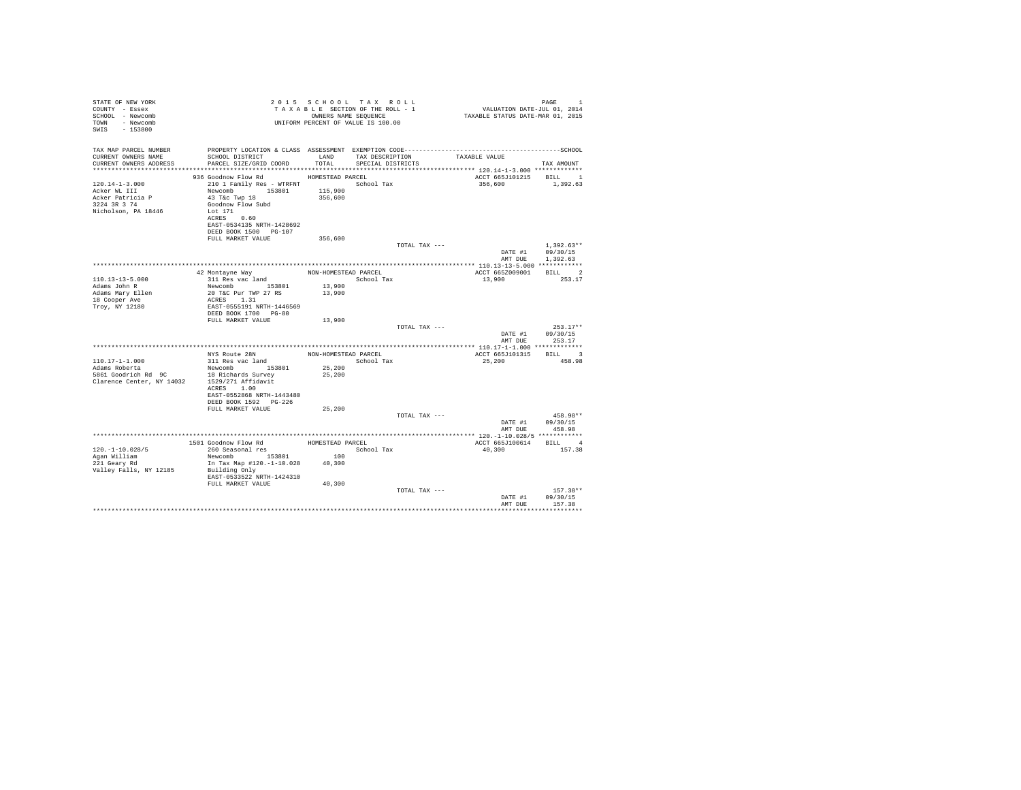| STATE OF NEW YORK<br>COUNTY - Essex<br>SCHOOL - Newcomb<br>TOWN - Newcomb<br>SWIS - 153800      |                                                                                                                                                                                                                  |                      | 2015 SCHOOL TAX ROLL<br>TAXABLE SECTION OF THE ROLL - 1<br>OWNERS NAME SEQUENCE<br>UNIFORM PERCENT OF VALUE IS 100.00 | 1<br>701, VALUATION DATE-JUL 01, 2014<br>712 TAXABLE STATUS DATE-MAR | PAGE<br>$\overline{1}$                               |  |
|-------------------------------------------------------------------------------------------------|------------------------------------------------------------------------------------------------------------------------------------------------------------------------------------------------------------------|----------------------|-----------------------------------------------------------------------------------------------------------------------|----------------------------------------------------------------------|------------------------------------------------------|--|
| TAX MAP PARCEL NUMBER<br>CURRENT OWNERS NAME<br>CURRENT OWNERS ADDRESS                          | SCHOOL DISTRICT LAND<br>PARCEL SIZE/GRID COORD                                                                                                                                                                   | TOTAL                | TAX DESCRIPTION TAXABLE VALUE<br>SPECIAL DISTRICTS                                                                    |                                                                      | TAX AMOUNT                                           |  |
|                                                                                                 |                                                                                                                                                                                                                  |                      |                                                                                                                       |                                                                      |                                                      |  |
| $120.14 - 1 - 3.000$<br>Acker WL III<br>Acker Patricia P<br>3224 3R 3 74<br>Nicholson, PA 18446 | 936 Goodnow Flow Rd HOMESTEAD PARCEL<br>210 1 Family Res - WTRFNT               School Tax<br>Newcomb 153801 115,900<br>43 T&C Twp 18<br>Goodnow Flow Subd<br>Lot 171<br>ACRES 0.60<br>EAST-0534135 NRTH-1428692 | 356,600              |                                                                                                                       | ACCT 665J101215 BILL 1<br>356,600                                    | 1,392.63                                             |  |
|                                                                                                 | DEED BOOK 1500 PG-107<br>FULL MARKET VALUE                                                                                                                                                                       | 356,600              |                                                                                                                       |                                                                      |                                                      |  |
|                                                                                                 |                                                                                                                                                                                                                  |                      | TOTAL TAX ---                                                                                                         |                                                                      | $1.392.63**$<br>DATE #1 09/30/15<br>AMT DUE 1,392.63 |  |
|                                                                                                 |                                                                                                                                                                                                                  |                      |                                                                                                                       |                                                                      |                                                      |  |
|                                                                                                 | 42 Montayne Way                                                                                                                                                                                                  | NON-HOMESTEAD PARCEL |                                                                                                                       | ACCT 665Z009001 BILL 2                                               |                                                      |  |
| $110.13 - 13 - 5.000$<br>Adams John R<br>Adams Mary Ellen<br>18 Cooper Ave<br>Troy, NY 12180    | 311 Res vac land<br>Newcomb 153801<br>20 T&C Pur TWP 27 RS<br>ACRES 1.31<br>EAST-0555191 NRTH-1446569                                                                                                            | 13,900<br>13,900     | School Tax                                                                                                            | 13,900                                                               | 253.17                                               |  |
|                                                                                                 | DEED BOOK 1700 PG-80                                                                                                                                                                                             |                      |                                                                                                                       |                                                                      |                                                      |  |
|                                                                                                 | FULL MARKET VALUE                                                                                                                                                                                                | 13,900               | TOTAL TAX ---                                                                                                         |                                                                      | $253.17**$                                           |  |
|                                                                                                 |                                                                                                                                                                                                                  |                      |                                                                                                                       | DATE #1<br>AMT DUE                                                   | 09/30/15<br>253.17                                   |  |
|                                                                                                 |                                                                                                                                                                                                                  |                      |                                                                                                                       |                                                                      |                                                      |  |
|                                                                                                 | NYS Route 28N                                                                                                                                                                                                    |                      | NON-HOMESTEAD PARCEL                                                                                                  | ACCT 665J101315 BILL 3                                               |                                                      |  |
| $110.17 - 1 - 1.000$<br>Adams Roberta                                                           | 311 Res vac land<br>Newcomb 153801                                                                                                                                                                               | 25,200               | School Tax                                                                                                            | 25,200                                                               | 458.98                                               |  |
|                                                                                                 | ACRES 1.00<br>EAST-0552868 NRTH-1443480                                                                                                                                                                          | 25,200               |                                                                                                                       |                                                                      |                                                      |  |
|                                                                                                 | DEED BOOK 1592 PG-226<br>FULL MARKET VALUE                                                                                                                                                                       | 25,200               |                                                                                                                       |                                                                      |                                                      |  |
|                                                                                                 |                                                                                                                                                                                                                  |                      | TOTAL TAX ---                                                                                                         |                                                                      | 458.98**                                             |  |
|                                                                                                 |                                                                                                                                                                                                                  |                      |                                                                                                                       |                                                                      | DATE #1 09/30/15                                     |  |
|                                                                                                 |                                                                                                                                                                                                                  |                      |                                                                                                                       | AMT DUE                                                              | 458.98                                               |  |
|                                                                                                 |                                                                                                                                                                                                                  | HOMESTEAD PARCEL     |                                                                                                                       | ACCT 665J100614 BILL 4                                               |                                                      |  |
| $120. -1 - 10.028/5$                                                                            | 1501 Goodnow Flow Rd<br>260 Seasonal res                                                                                                                                                                         |                      | School Tax                                                                                                            | 40,300                                                               | 157.38                                               |  |
| Agan William                                                                                    | $\begin{array}{cccc}\n&\text{redu}\text{ and } \text{res} &\text{if } 100 \\ \text{Newton} & 153801 & 100 \\ \text{In } \text{Tax } \text{Man } \text{H}^{100}\n\end{array}$                                     | 100                  |                                                                                                                       |                                                                      |                                                      |  |
| 221 Geary Rd<br>Valley Falls, NY 12185                                                          | In Tax Map #120.-1-10.028 40,300<br>Building Only<br>EAST-0533522 NRTH-1424310                                                                                                                                   |                      |                                                                                                                       |                                                                      |                                                      |  |
|                                                                                                 | FULL MARKET VALUE                                                                                                                                                                                                | 40,300               |                                                                                                                       |                                                                      |                                                      |  |
|                                                                                                 |                                                                                                                                                                                                                  |                      | TOTAL TAX ---                                                                                                         | DATE #1<br>AMT DUE                                                   | $157.38**$<br>09/30/15<br>157.38                     |  |
|                                                                                                 |                                                                                                                                                                                                                  |                      |                                                                                                                       |                                                                      |                                                      |  |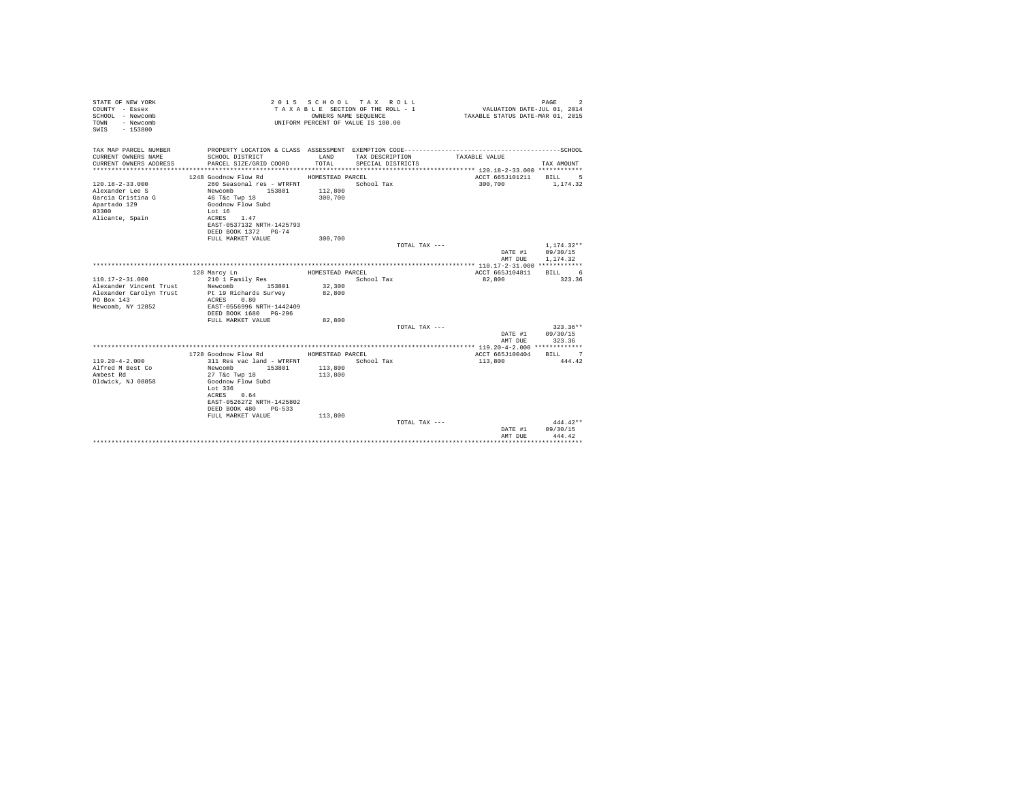| TAX MAP PARCEL NUMBER<br>CURRENT OWNERS NAME<br>SCHOOL DISTRICT<br>LAND<br>TAX DESCRIPTION<br>TAXABLE VALUE<br>TOTAL.<br>CURRENT OWNERS ADDRESS<br>PARCEL SIZE/GRID COORD<br>SPECIAL DISTRICTS<br>TAX AMOUNT<br>***********************<br>1248 Goodnow Flow Rd<br>HOMESTEAD PARCEL<br>ACCT 665J101211<br><b>BILL</b><br>-5<br>$120.18 - 2 - 33.000$<br>260 Seasonal res - WTRFNT<br>School Tax<br>300,700<br>1,174.32<br>Alexander Lee S<br>Newcomb<br>153801<br>112,800<br>Garcia Cristina G<br>46 T&c Twp 18<br>300,700<br>Apartado 129<br>Goodnow Flow Subd<br>03300<br>Lot $16$<br>Alicante, Spain<br>ACRES 1.47<br>EAST-0537132 NRTH-1425793<br>DEED BOOK 1372 PG-74<br>FULL MARKET VALUE<br>300,700 |
|------------------------------------------------------------------------------------------------------------------------------------------------------------------------------------------------------------------------------------------------------------------------------------------------------------------------------------------------------------------------------------------------------------------------------------------------------------------------------------------------------------------------------------------------------------------------------------------------------------------------------------------------------------------------------------------------------------|
|                                                                                                                                                                                                                                                                                                                                                                                                                                                                                                                                                                                                                                                                                                            |
|                                                                                                                                                                                                                                                                                                                                                                                                                                                                                                                                                                                                                                                                                                            |
|                                                                                                                                                                                                                                                                                                                                                                                                                                                                                                                                                                                                                                                                                                            |
|                                                                                                                                                                                                                                                                                                                                                                                                                                                                                                                                                                                                                                                                                                            |
|                                                                                                                                                                                                                                                                                                                                                                                                                                                                                                                                                                                                                                                                                                            |
|                                                                                                                                                                                                                                                                                                                                                                                                                                                                                                                                                                                                                                                                                                            |
|                                                                                                                                                                                                                                                                                                                                                                                                                                                                                                                                                                                                                                                                                                            |
|                                                                                                                                                                                                                                                                                                                                                                                                                                                                                                                                                                                                                                                                                                            |
|                                                                                                                                                                                                                                                                                                                                                                                                                                                                                                                                                                                                                                                                                                            |
|                                                                                                                                                                                                                                                                                                                                                                                                                                                                                                                                                                                                                                                                                                            |
|                                                                                                                                                                                                                                                                                                                                                                                                                                                                                                                                                                                                                                                                                                            |
|                                                                                                                                                                                                                                                                                                                                                                                                                                                                                                                                                                                                                                                                                                            |
| TOTAL TAX ---<br>$1.174.32**$                                                                                                                                                                                                                                                                                                                                                                                                                                                                                                                                                                                                                                                                              |
| 09/30/15<br>DATE #1                                                                                                                                                                                                                                                                                                                                                                                                                                                                                                                                                                                                                                                                                        |
| AMT DUE<br>1,174.32                                                                                                                                                                                                                                                                                                                                                                                                                                                                                                                                                                                                                                                                                        |
|                                                                                                                                                                                                                                                                                                                                                                                                                                                                                                                                                                                                                                                                                                            |
| ACCT 665J104811<br>128 Marcy Ln<br>HOMESTEAD PARCEL<br>BILL 6                                                                                                                                                                                                                                                                                                                                                                                                                                                                                                                                                                                                                                              |
| $110.17 - 2 - 31.000$<br>210 1 Family Res<br>School Tax<br>323.36<br>82,800                                                                                                                                                                                                                                                                                                                                                                                                                                                                                                                                                                                                                                |
| Alexander Vincent Trust<br>32,300<br>Newcomb<br>153801                                                                                                                                                                                                                                                                                                                                                                                                                                                                                                                                                                                                                                                     |
| Pt 19 Richards Survey<br>82,800<br>Alexander Carolyn Trust                                                                                                                                                                                                                                                                                                                                                                                                                                                                                                                                                                                                                                                 |
| PO Box 143<br>ACRES 0.80                                                                                                                                                                                                                                                                                                                                                                                                                                                                                                                                                                                                                                                                                   |
| Newcomb, NY 12852<br>EAST-0556996 NRTH-1442409                                                                                                                                                                                                                                                                                                                                                                                                                                                                                                                                                                                                                                                             |
| DEED BOOK 1680 PG-296<br>FULL MARKET VALUE<br>82,800                                                                                                                                                                                                                                                                                                                                                                                                                                                                                                                                                                                                                                                       |
| $323.36**$<br>TOTAL TAX ---                                                                                                                                                                                                                                                                                                                                                                                                                                                                                                                                                                                                                                                                                |
| 09/30/15<br>DATE #1                                                                                                                                                                                                                                                                                                                                                                                                                                                                                                                                                                                                                                                                                        |
| 323.36<br>AMT DUE                                                                                                                                                                                                                                                                                                                                                                                                                                                                                                                                                                                                                                                                                          |
|                                                                                                                                                                                                                                                                                                                                                                                                                                                                                                                                                                                                                                                                                                            |
| 1728 Goodnow Flow Rd<br>HOMESTEAD PARCEL<br>ACCT 665J100404<br>RTLL 7                                                                                                                                                                                                                                                                                                                                                                                                                                                                                                                                                                                                                                      |
| $119.20 - 4 - 2.000$<br>School Tax<br>113,800<br>444.42<br>311 Res vac land - WTRFNT                                                                                                                                                                                                                                                                                                                                                                                                                                                                                                                                                                                                                       |
| Alfred M Best Co<br>113,800<br>Newcomb<br>153801                                                                                                                                                                                                                                                                                                                                                                                                                                                                                                                                                                                                                                                           |
| Ambest Rd<br>27 T&c Twp 18<br>113,800                                                                                                                                                                                                                                                                                                                                                                                                                                                                                                                                                                                                                                                                      |
| Oldwick, NJ 08858<br>Goodnow Flow Subd                                                                                                                                                                                                                                                                                                                                                                                                                                                                                                                                                                                                                                                                     |
| Lot 336                                                                                                                                                                                                                                                                                                                                                                                                                                                                                                                                                                                                                                                                                                    |
| ACRES 0.64                                                                                                                                                                                                                                                                                                                                                                                                                                                                                                                                                                                                                                                                                                 |
| EAST-0526272 NRTH-1425802                                                                                                                                                                                                                                                                                                                                                                                                                                                                                                                                                                                                                                                                                  |
| DEED BOOK 480 PG-533                                                                                                                                                                                                                                                                                                                                                                                                                                                                                                                                                                                                                                                                                       |
| FULL MARKET VALUE<br>113,800<br>$444.42**$<br>TOTAL TAX ---                                                                                                                                                                                                                                                                                                                                                                                                                                                                                                                                                                                                                                                |
| 09/30/15<br>DATE #1                                                                                                                                                                                                                                                                                                                                                                                                                                                                                                                                                                                                                                                                                        |
| AMT DUE<br>444.42                                                                                                                                                                                                                                                                                                                                                                                                                                                                                                                                                                                                                                                                                          |
|                                                                                                                                                                                                                                                                                                                                                                                                                                                                                                                                                                                                                                                                                                            |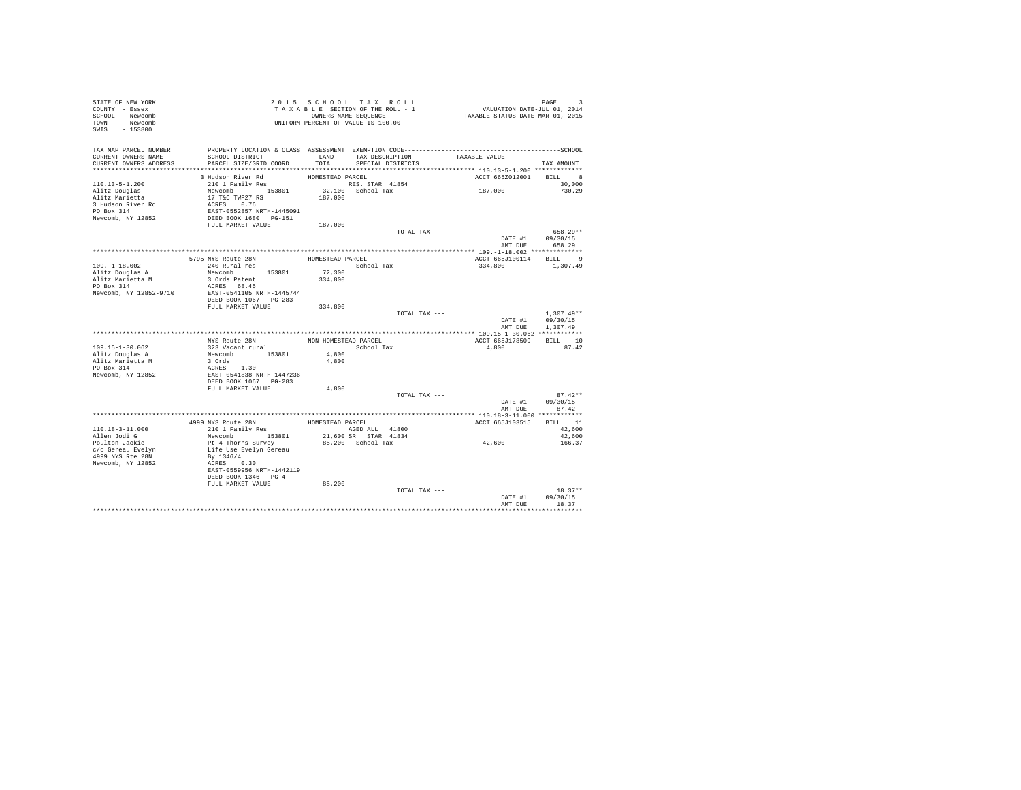| STATE OF NEW YORK      |                                                                                                                            |                   |                                 |                                                                           |                           |
|------------------------|----------------------------------------------------------------------------------------------------------------------------|-------------------|---------------------------------|---------------------------------------------------------------------------|---------------------------|
| COUNTY - Essex         | TAXABLE SECTION OF ALL<br>OWNERS NAME SEQUENCE<br>UNIFORM PERCENT OF VALUE IS 100.00                                       |                   | TAXABLE SECTION OF THE ROLL - 1 | PAGE 9<br>VALUATION DATE-JUL 01, 2014<br>TAXABLE STATUS DATE-MAR 01, 2015 |                           |
| SCHOOL - Newcomb       |                                                                                                                            |                   | OWNERS NAME SEQUENCE            |                                                                           |                           |
| TOWN - Newcomb         |                                                                                                                            |                   |                                 |                                                                           |                           |
| SWIS - 153800          |                                                                                                                            |                   |                                 |                                                                           |                           |
|                        |                                                                                                                            |                   |                                 |                                                                           |                           |
| TAX MAP PARCEL NUMBER  | PROPERTY LOCATION & CLASS ASSESSMENT EXEMPTION CODE-----------------------------------SCHOOL                               |                   |                                 |                                                                           |                           |
| CURRENT OWNERS NAME    | SCHOOL DISTRICT                                                                                                            |                   | LAND TAX DESCRIPTION            | TAXABLE VALUE                                                             |                           |
| CURRENT OWNERS ADDRESS | PARCEL SIZE/GRID COORD                                                                                                     | TOTAL.            | SPECIAL DISTRICTS               |                                                                           | TAX AMOUNT                |
|                        |                                                                                                                            |                   |                                 |                                                                           |                           |
|                        | 3 Hudson River Rd                                                                                                          | HOMESTEAD PARCEL  |                                 | ACCT 665Z012001 BILL 8                                                    |                           |
| $110.13 - 5 - 1.200$   | 210 1 Family Res                                                                                                           |                   | RES. STAR 41854                 |                                                                           | 30,000                    |
| Alitz Douglas          |                                                                                                                            |                   | $32,100$ School Tax             | 187,000                                                                   | 730.29                    |
| Alitz Marietta         |                                                                                                                            | 187,000           |                                 |                                                                           |                           |
| 3 Hudson River Rd      |                                                                                                                            |                   |                                 |                                                                           |                           |
| PO Box 314             |                                                                                                                            |                   |                                 |                                                                           |                           |
| Newcomb, NY 12852      | Newcomb<br>153801<br>17 T&C TWP27 RS<br>ACRES 0.76<br>EAST-0552857 NRTH-1445091<br>DEED BOOK 1680<br>DEED BOOK 1680 PG-151 |                   |                                 |                                                                           |                           |
|                        | FULL MARKET VALUE                                                                                                          | 187,000           |                                 |                                                                           |                           |
|                        |                                                                                                                            |                   | TOTAL TAX ---                   |                                                                           | 658.29**                  |
|                        |                                                                                                                            |                   |                                 |                                                                           | DATE #1 09/30/15          |
|                        |                                                                                                                            |                   |                                 |                                                                           | AMT DUE 658.29            |
|                        |                                                                                                                            |                   |                                 |                                                                           |                           |
|                        | 5795 NYS Route 28N                                                                                                         | HOMESTEAD PARCEL  |                                 | ACCT 665J100114 BILL 9                                                    |                           |
| $109. - 1 - 18.002$    | 240 Rural res                                                                                                              |                   | School Tax                      | 334,800                                                                   | 1,307.49                  |
| Alitz Douglas A        | Newcomb 153801                                                                                                             |                   |                                 |                                                                           |                           |
| Alitz Marietta M       | 3 Ords Patent                                                                                                              | 72,300<br>334,800 |                                 |                                                                           |                           |
| PO Box 314             | ACRES 68.45                                                                                                                |                   |                                 |                                                                           |                           |
| Newcomb, NY 12852-9710 | EAST-0541105 NRTH-1445744                                                                                                  |                   |                                 |                                                                           |                           |
|                        | DEED BOOK 1067 PG-283                                                                                                      |                   |                                 |                                                                           |                           |
|                        |                                                                                                                            |                   |                                 |                                                                           |                           |
|                        | FULL MARKET VALUE 334,800                                                                                                  |                   |                                 |                                                                           |                           |
|                        |                                                                                                                            |                   | TOTAL TAX ---                   |                                                                           | $1,307.49**$              |
|                        |                                                                                                                            |                   |                                 | DATE #1                                                                   | 09/30/15                  |
|                        |                                                                                                                            |                   |                                 |                                                                           | AMT DUE 1,307.49          |
|                        |                                                                                                                            |                   |                                 |                                                                           |                           |
|                        |                                                                                                                            |                   | NON-HOMESTEAD PARCEL            | ACCT 665J178509                                                           | $\texttt{BILL} \qquad 10$ |
| $109.15 - 1 - 30.062$  |                                                                                                                            |                   | School Tax                      | 4.800                                                                     | 87.42                     |
| Alitz Douglas A        |                                                                                                                            | 4,800             |                                 |                                                                           |                           |
| Alitz Marietta M       |                                                                                                                            | 4,800             |                                 |                                                                           |                           |
| PO Box 314             | , Route 28N<br>323 Vacant rural<br>Newcomb 153801<br>3 Ords<br>ACT                                                         |                   |                                 |                                                                           |                           |
| Newcomb, NY 12852      |                                                                                                                            |                   |                                 |                                                                           |                           |
|                        | ACRES 1.30<br>EAST-0541838 NRTH-1447236<br>DEED BOOK 1067 PG-283                                                           |                   |                                 |                                                                           |                           |
|                        | FULL MARKET VALUE                                                                                                          | 4,800             |                                 |                                                                           |                           |
|                        |                                                                                                                            |                   | TOTAL TAX ---                   |                                                                           | $87.42**$                 |
|                        |                                                                                                                            |                   |                                 |                                                                           | DATE #1 09/30/15          |
|                        |                                                                                                                            |                   |                                 | AMT DUE                                                                   | 87.42                     |
|                        |                                                                                                                            |                   |                                 |                                                                           |                           |
|                        |                                                                                                                            |                   | HOMESTEAD PARCEL                | ACCT 665J103515                                                           | BILL 11                   |
| 110.18-3-11.000        | 4999 NYS Route 28N<br>210 1 Family Res                                                                                     |                   | AGED ALL 41800                  |                                                                           | 42,600                    |
| Allen Jodi G           |                                                                                                                            |                   | 21,600 SR STAR 41834            |                                                                           | 42,600                    |
| Poulton Jackie         | Newcomb 153801<br>Pt 4 Thorns Survey                                                                                       |                   | 85,200 School Tax               | 42,600                                                                    | 166.37                    |
| c/o Gereau Evelyn      |                                                                                                                            |                   |                                 |                                                                           |                           |
| 4999 NYS Rte 28N       | Life Use Evelyn Gereau<br>By 1346/4                                                                                        |                   |                                 |                                                                           |                           |
| Newcomb, NY 12852      | ACRES 0.30                                                                                                                 |                   |                                 |                                                                           |                           |
|                        | EAST-0559956 NRTH-1442119                                                                                                  |                   |                                 |                                                                           |                           |
|                        | DEED BOOK 1346 PG-4                                                                                                        |                   |                                 |                                                                           |                           |
|                        | FULL MARKET VALUE                                                                                                          | 85,200            |                                 |                                                                           |                           |
|                        |                                                                                                                            |                   | TOTAL TAX ---                   |                                                                           | $18.37**$                 |
|                        |                                                                                                                            |                   |                                 | DATE #1<br>AMT DUE                                                        | 09/30/15<br>18.37         |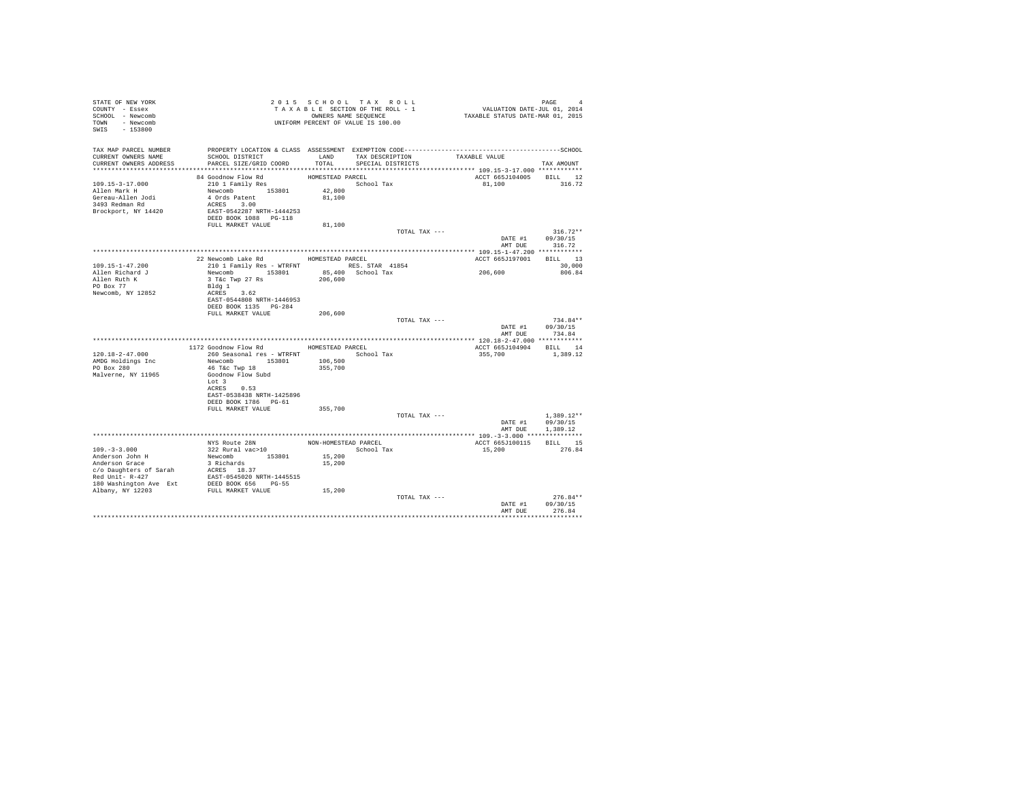| STATE OF NEW YORK<br>COUNTY - Essex<br>SCHOOL - Newcomb<br>TOWN - Newcomb<br>SWIS - 153800               |                                                                                                                                               |                                      | 2015 SCHOOL TAX ROLL<br>TAXABLE SECTION OF THE ROLL - 1<br>OWNERS NAME SEQUENCE<br>UNIFORM PERCENT OF VALUE IS 100.00 |                           | PAGE 4<br>VALUATION DATE-JUL 01, 2014<br>TAXABLE STATUS DATE-MAR 01, 2015 |
|----------------------------------------------------------------------------------------------------------|-----------------------------------------------------------------------------------------------------------------------------------------------|--------------------------------------|-----------------------------------------------------------------------------------------------------------------------|---------------------------|---------------------------------------------------------------------------|
| TAX MAP PARCEL NUMBER<br>CURRENT OWNERS NAME<br>CURRENT OWNERS ADDRESS                                   | SCHOOL DISTRICT<br>PARCEL SIZE/GRID COORD                                                                                                     | TOTAL                                | LAND TAX DESCRIPTION<br>SPECIAL DISTRICTS                                                                             | TAXABLE VALUE             | TAX AMOUNT                                                                |
|                                                                                                          |                                                                                                                                               |                                      |                                                                                                                       |                           |                                                                           |
| $109.15 - 3 - 17.000$<br>Allen Mark H<br>Gereau-Allen Jodi<br>3493 Redman Rd<br>Brockport, NY 14420      | 84 Goodnow Flow Rd<br>210 1 Family Res<br>Newcomb 153801<br>4 Ords Patent<br>ACRES 3.00<br>EAST-0542287 NRTH-1444253<br>DEED BOOK 1088 PG-118 | HOMESTEAD PARCEL<br>42,800<br>81,100 | School Tax                                                                                                            | ACCT 665J104005<br>81,100 | BILL 12<br>316.72                                                         |
|                                                                                                          | FULL MARKET VALUE                                                                                                                             | 81,100                               |                                                                                                                       |                           |                                                                           |
|                                                                                                          |                                                                                                                                               |                                      |                                                                                                                       | TOTAL TAX ---             | $316.72**$<br>DATE #1 09/30/15<br>AMT DUE<br>316.72                       |
|                                                                                                          |                                                                                                                                               |                                      |                                                                                                                       |                           |                                                                           |
| $109.15 - 1 - 47.200$                                                                                    | 22 Newcomb Lake Rd MOMESTEAD PARCEL<br>210 1 Family Res - WTRFNT RES. STAR 41854                                                              |                                      |                                                                                                                       | ACCT 665J197001           | BILL 13<br>30,000                                                         |
| Allen Richard J                                                                                          | Newcomb 153801                                                                                                                                |                                      | 85,400 School Tax                                                                                                     | 206,600                   | 806.84                                                                    |
| Allen Ruth K<br>PO Box 77<br>Newcomb, NY 12852                                                           | 3 T&c Twp 27 Rs<br>Bldg 1<br>ACRES 3.62<br>EAST-0544808 NRTH-1446953<br>DEED BOOK 1135 PG-284                                                 | 206,600                              |                                                                                                                       |                           |                                                                           |
|                                                                                                          | FULL MARKET VALUE                                                                                                                             | 206,600                              |                                                                                                                       |                           |                                                                           |
|                                                                                                          |                                                                                                                                               |                                      |                                                                                                                       | TOTAL TAX ---<br>DATE #1  | $734.84**$<br>09/30/15<br>AMT DUE<br>734.84                               |
|                                                                                                          |                                                                                                                                               |                                      |                                                                                                                       |                           |                                                                           |
|                                                                                                          | 1172 Goodnow Flow Rd MOMESTEAD PARCEL                                                                                                         |                                      |                                                                                                                       | ACCT 665J104904           | BILL 14                                                                   |
| 120.18-2-47.000<br>AMDG Holdings Inc<br>PO Box 280<br>Malverne, NY 11965                                 | 260 Seasonal res - WTRFNT<br>Newcomb 153801<br>46 T&C Twp 18<br>Goodnow Flow Subd<br>Lot 3<br>ACRES 0.53                                      | 106,500<br>355,700                   | School Tax                                                                                                            | 355,700                   | 1,389.12                                                                  |
|                                                                                                          | EAST-0538438 NRTH-1425896<br>DEED BOOK 1786 PG-61<br>FULL MARKET VALUE                                                                        | 355,700                              |                                                                                                                       |                           |                                                                           |
|                                                                                                          |                                                                                                                                               |                                      |                                                                                                                       | TOTAL TAX ---             | $1.389.12**$<br>09/30/15<br>DATE #1                                       |
|                                                                                                          |                                                                                                                                               |                                      |                                                                                                                       |                           | AMT DUE<br>1,389.12                                                       |
|                                                                                                          |                                                                                                                                               |                                      |                                                                                                                       |                           | BILL 15                                                                   |
| $109. - 3 - 3.000$                                                                                       | NYS Route 28N<br>322 Rural vac>10                                                                                                             |                                      | NON-HOMESTEAD PARCEL<br>School Tax                                                                                    | ACCT 665J100115<br>15,200 | 276.84                                                                    |
| Anderson John H<br>Anderson Grace<br>c/o Daughters of Sarah<br>Red Unit- R-427<br>180 Washington Ave Ext | Newcomb 153801<br>3 Richards<br>ACRES 18.37<br>EAST-0545020 NRTH-1445515<br>DEED BOOK 656 PG-55                                               | 15,200<br>15,200                     |                                                                                                                       |                           |                                                                           |
| Albany, NY 12203                                                                                         | FULL MARKET VALUE                                                                                                                             | 15,200                               |                                                                                                                       | TOTAL TAX ---             | $276.84**$<br>DATE #1<br>09/30/15                                         |
|                                                                                                          |                                                                                                                                               |                                      |                                                                                                                       |                           | AMT DUE<br>276.84<br>.                                                    |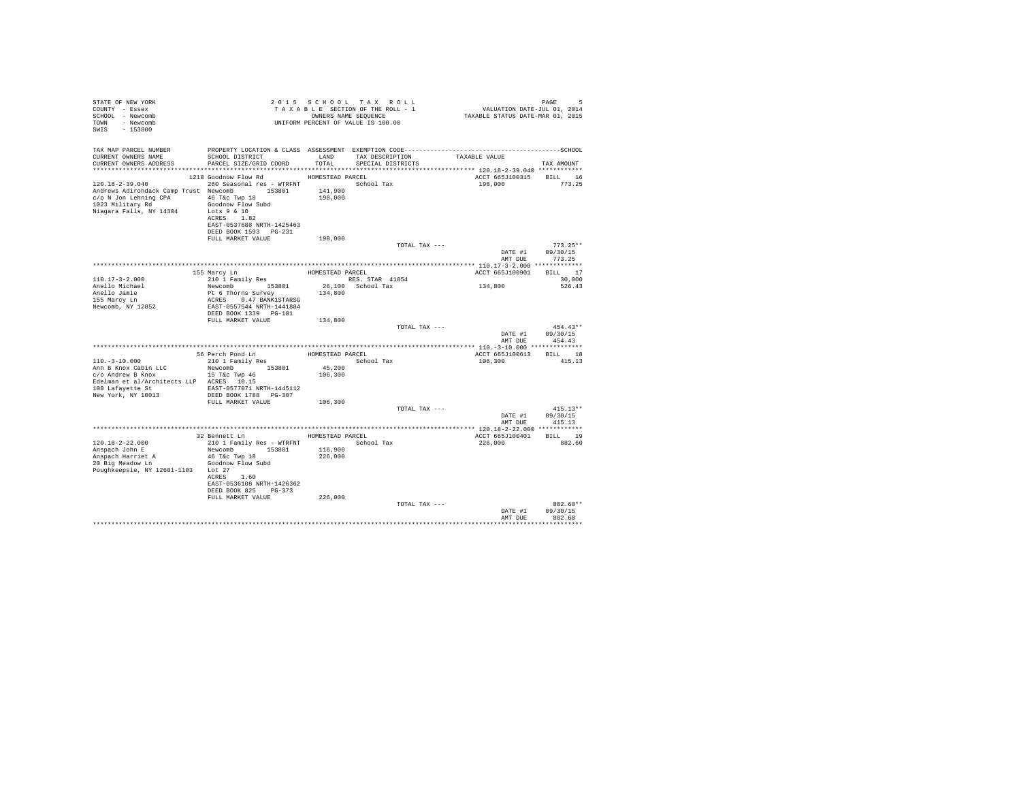| STATE OF NEW YORK<br>COUNTY - Essex<br>SCHOOL - Newcomb<br>TOWN - Newcomb<br>SWIS - 153800                                                            |                                                                                                                    |                                        | 2015 SCHOOL TAX ROLL<br>TAXABLE SECTION OF THE ROLL - 1<br>OWNERS NAME SEQUENCE |               | PAGE 5<br>VALUATION DATE-JUL 01, 2014<br>TAXABLE STATUS DATE-MAR 01, 2015 |                                  |
|-------------------------------------------------------------------------------------------------------------------------------------------------------|--------------------------------------------------------------------------------------------------------------------|----------------------------------------|---------------------------------------------------------------------------------|---------------|---------------------------------------------------------------------------|----------------------------------|
| TAX MAP PARCEL NUMBER                                                                                                                                 | PROPERTY LOCATION & CLASS ASSESSMENT EXEMPTION CODE-----------------------------------SCHOOL                       |                                        |                                                                                 |               |                                                                           |                                  |
| CURRENT OWNERS NAME<br>CURRENT OWNERS ADDRESS                                                                                                         | SCHOOL DISTRICT<br>PARCEL SIZE/GRID COORD                                                                          | LAND<br>TOTAL                          | TAX DESCRIPTION<br>SPECIAL DISTRICTS                                            |               | TAXABLE VALUE                                                             | TAX AMOUNT                       |
|                                                                                                                                                       |                                                                                                                    |                                        |                                                                                 |               |                                                                           |                                  |
| 120.18-2-39.040<br>Andrews Adirondack Camp Trust Newcomb 153801<br>c/o N Jon Lehning CPA 46 T&c Twp 18<br>1023 Military Rd<br>Niagara Falls, NY 14304 | 1218 Goodnow Flow Rd<br>260 Seasonal res - WTRFNT The School Tax<br>Goodnow Flow Subd<br>Lots 9 & 10<br>ACRES 1.82 | HOMESTEAD PARCEL<br>141,900<br>198,000 |                                                                                 |               | ACCT 665J100315<br>198,000                                                | BILL 16<br>773.25                |
|                                                                                                                                                       | EAST-0537688 NRTH-1425463<br>DEED BOOK 1593 PG-231                                                                 |                                        |                                                                                 |               |                                                                           |                                  |
|                                                                                                                                                       | FULL MARKET VALUE                                                                                                  | 198,000                                |                                                                                 |               |                                                                           |                                  |
|                                                                                                                                                       |                                                                                                                    |                                        |                                                                                 | TOTAL TAX --- | DATE #1<br>AMT DUE                                                        | $773.25**$<br>09/30/15<br>773.25 |
|                                                                                                                                                       |                                                                                                                    |                                        |                                                                                 |               |                                                                           |                                  |
| $110.17 - 3 - 2.000$                                                                                                                                  | 155 Marcy Ln                                                                                                       | HOMESTEAD PARCEL                       | RES. STAR 41854                                                                 |               | ACCT 665J100901                                                           | BILL 17<br>30,000                |
| Anello Michael                                                                                                                                        | 210 1 Family Res<br>Newcomb 153801                                                                                 |                                        | 26,100 School Tax                                                               |               | 134,800                                                                   | 526.43                           |
| Anello Jamie                                                                                                                                          |                                                                                                                    | 134,800                                |                                                                                 |               |                                                                           |                                  |
| 155 Marcy Ln                                                                                                                                          | Pt 6 Thorns Survey<br>ACRES 0.47 BANK1STARSG                                                                       |                                        |                                                                                 |               |                                                                           |                                  |
| Newcomb, NY 12852                                                                                                                                     | EAST-0557544 NRTH-1441884<br>DEED BOOK 1339 PG-181                                                                 |                                        |                                                                                 |               |                                                                           |                                  |
|                                                                                                                                                       | FULL MARKET VALUE                                                                                                  | 134,800                                |                                                                                 |               |                                                                           |                                  |
|                                                                                                                                                       |                                                                                                                    |                                        |                                                                                 | TOTAL TAX --- |                                                                           | $454.43**$                       |
|                                                                                                                                                       |                                                                                                                    |                                        |                                                                                 |               | DATE #1                                                                   | 09/30/15                         |
|                                                                                                                                                       |                                                                                                                    |                                        |                                                                                 |               | AMT DUE                                                                   | 454.43                           |
|                                                                                                                                                       |                                                                                                                    |                                        |                                                                                 |               |                                                                           |                                  |
| $110. - 3 - 10.000$                                                                                                                                   | 56 Perch Pond Ln<br>210 1 Family Res                                                                               | HOMESTEAD PARCEL                       | School Tax                                                                      |               | ACCT 665J100613 BILL 18<br>106,300                                        | 415.13                           |
| Ann B Knox Cabin LLC                                                                                                                                  | Newcomb 153801                                                                                                     | 45,200                                 |                                                                                 |               |                                                                           |                                  |
| c/o Andrew B Knox                                                                                                                                     | 15 T&c Twp 46                                                                                                      | 106,300                                |                                                                                 |               |                                                                           |                                  |
| Edelman et al/Architects LLP ACRES 10.15                                                                                                              |                                                                                                                    |                                        |                                                                                 |               |                                                                           |                                  |
| 100 Lafayette St                                                                                                                                      | EAST-0577071 NRTH-1445112                                                                                          |                                        |                                                                                 |               |                                                                           |                                  |
| New York, NY 10013                                                                                                                                    | DEED BOOK 1788 PG-307                                                                                              |                                        |                                                                                 |               |                                                                           |                                  |
|                                                                                                                                                       | FULL MARKET VALUE                                                                                                  | 106,300                                |                                                                                 | TOTAL TAX --- |                                                                           | $415.13**$                       |
|                                                                                                                                                       |                                                                                                                    |                                        |                                                                                 |               | DATE #1                                                                   | 09/30/15                         |
|                                                                                                                                                       |                                                                                                                    |                                        |                                                                                 |               |                                                                           | AMT DUE 415.13                   |
|                                                                                                                                                       |                                                                                                                    |                                        |                                                                                 |               |                                                                           |                                  |
|                                                                                                                                                       | 32 Bennett Ln                                                                                                      |                                        | HOMESTEAD PARCEL                                                                |               | ACCT 665J100401 BILL 19                                                   |                                  |
| 120.18-2-22.000                                                                                                                                       | 210 1 Family Res - WTRFNT                                                                                          |                                        | School Tax                                                                      |               | 226,000                                                                   | 882.60                           |
| Anspach John E                                                                                                                                        | Newcomb 153801<br>46 T&C Twp 18                                                                                    | 116,900<br>226,000                     |                                                                                 |               |                                                                           |                                  |
| Anspach Harriet A<br>20 Big Meadow Ln                                                                                                                 | Goodnow Flow Subd                                                                                                  |                                        |                                                                                 |               |                                                                           |                                  |
| Poughkeepsie, NY 12601-1103 Lot 27                                                                                                                    |                                                                                                                    |                                        |                                                                                 |               |                                                                           |                                  |
|                                                                                                                                                       | ACRES 1.60                                                                                                         |                                        |                                                                                 |               |                                                                           |                                  |
|                                                                                                                                                       | EAST-0536108 NRTH-1426362                                                                                          |                                        |                                                                                 |               |                                                                           |                                  |
|                                                                                                                                                       | DEED BOOK 825 PG-373                                                                                               |                                        |                                                                                 |               |                                                                           |                                  |
|                                                                                                                                                       | FULL MARKET VALUE                                                                                                  | 226,000                                |                                                                                 | TOTAL TAX --- |                                                                           | 882.60**                         |
|                                                                                                                                                       |                                                                                                                    |                                        |                                                                                 |               | DATE #1                                                                   | 09/30/15                         |
|                                                                                                                                                       |                                                                                                                    |                                        |                                                                                 |               | AMT DUE                                                                   | 882.60                           |
|                                                                                                                                                       |                                                                                                                    |                                        |                                                                                 |               |                                                                           | **********                       |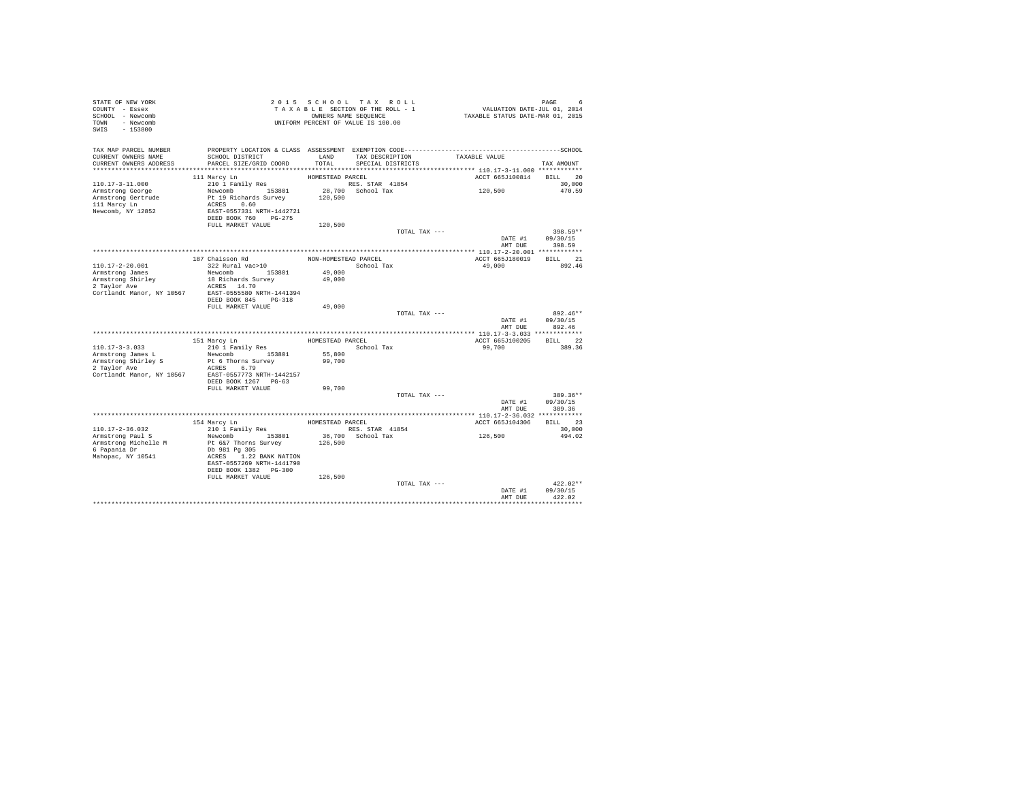| PAGE 6<br>VALUATION DATE-JUL 01, 2014<br>TAXABLE STATUS DATE-MAR 01, 2015<br>COUNTY - Essex<br>TAXABLE SECTION OF THE ROLL - 1<br>SCHOOL - Newcomb<br>OWNERS NAME SEQUENCE<br>UNIFORM PERCENT OF VALUE IS 100.00<br>TOWN - Newcomb<br>SWIS - 153800<br>TAX MAP PARCEL NUMBER<br>TAXABLE VALUE<br>TAX DESCRIPTION<br>SCHOOL DISTRICT<br>CURRENT OWNERS NAME<br>LAND<br>CURRENT OWNERS ADDRESS<br>PARCEL SIZE/GRID COORD<br>TOTAL<br>SPECIAL DISTRICTS<br>TAX AMOUNT<br>ACCT 665J100814<br>BILL 20<br>111 Marcy Ln<br>HOMESTEAD PARCEL<br>$110.17 - 3 - 11.000$<br>RES. STAR 41854<br>28,700 School Tax<br>210 1 Family Res<br>30,000<br>120,500<br>Newcomb 153801<br>470.59<br>Armstrong George<br>Pt 19 Richards Survey<br>Armstrong Gertrude<br>120,500<br>111 Marcy Ln<br>ACRES 0.60<br>Newcomb, NY 12852<br>EAST-0557331 NRTH-1442721<br>DEED BOOK 760 PG-275<br>FULL MARKET VALUE<br>120,500<br>TOTAL TAX ---<br>398.59**<br>09/30/15<br>DATE #1<br>AMT DUE<br>398.59<br>187 Chaisson Rd<br>BILL 21<br>NON-HOMESTEAD PARCEL<br>ACCT 665J180019<br>322 Rural vac>10<br>110.17-2-20.001<br>School Tax<br>49,000<br>892.46<br>Newcomb 153801<br>Armstrong James<br>49,000<br>Armstrong Shirley<br>18 Richards Survey<br>49,000<br>2 Taylor Ave<br>ACRES 14.70<br>EAST-0555580 NRTH-1441394<br>Cortlandt Manor, NY 10567<br>DEED BOOK 845 PG-318<br>FULL MARKET VALUE<br>49,000<br>TOTAL TAX ---<br>892.46**<br>DATE #1<br>09/30/15<br>AMT DUE<br>892.46<br>HOMESTEAD PARCEL<br>ACCT 665J100205<br>BILL 22<br>151 Marcy Ln<br>$110.17 - 3 - 3.033$<br>210 1 Family Res<br>99,700<br>389.36<br>School Tax<br>Newcomb 153801<br>55,800<br>Armstrong James L<br>Armstrong Shirley S<br>Pt 6 Thorns Survey<br>99,700<br>2 Taylor Ave<br>ACRES 6.79<br>Cortlandt Manor, NY 10567<br>EAST-0557773 NRTH-1442157<br>DEED BOOK 1267 PG-63<br>FULL MARKET VALUE<br>99,700<br>TOTAL TAX ---<br>389.36**<br>DATE #1<br>09/30/15<br>389.36<br>AMT DUE<br>BILL 23<br>154 Marcy Ln<br>HOMESTEAD PARCEL<br>ACCT 665J104306<br>210 1 Family Res<br>RES. STAR 41854<br>110.17-2-36.032<br>30,000<br>126,500<br>36,700 School Tax<br>Newcomb 153801<br>Armstrong Paul S<br>494.02<br>Armstrong Michelle M<br>Pt 6&7 Thorns Survey<br>126,500<br>6 Papania Dr<br>Db 981 Pg 305<br>Mahopac, NY 10541<br>ACRES 1.22 BANK NATION<br>EAST-0557269 NRTH-1441790<br>DEED BOOK 1382 PG-300<br>FULL MARKET VALUE<br>126,500<br>$422.02**$<br>TOTAL TAX ---<br>09/30/15<br>DATE #1<br>AMT DUE<br>422.02 | STATE OF NEW YORK |  | 2015 SCHOOL TAX ROLL |  |
|----------------------------------------------------------------------------------------------------------------------------------------------------------------------------------------------------------------------------------------------------------------------------------------------------------------------------------------------------------------------------------------------------------------------------------------------------------------------------------------------------------------------------------------------------------------------------------------------------------------------------------------------------------------------------------------------------------------------------------------------------------------------------------------------------------------------------------------------------------------------------------------------------------------------------------------------------------------------------------------------------------------------------------------------------------------------------------------------------------------------------------------------------------------------------------------------------------------------------------------------------------------------------------------------------------------------------------------------------------------------------------------------------------------------------------------------------------------------------------------------------------------------------------------------------------------------------------------------------------------------------------------------------------------------------------------------------------------------------------------------------------------------------------------------------------------------------------------------------------------------------------------------------------------------------------------------------------------------------------------------------------------------------------------------------------------------------------------------------------------------------------------------------------------------------------------------------------------------------------------------------------------------------------------------------------------------------------------------------------------------------------------------------------------------------------------------------------------------------|-------------------|--|----------------------|--|
|                                                                                                                                                                                                                                                                                                                                                                                                                                                                                                                                                                                                                                                                                                                                                                                                                                                                                                                                                                                                                                                                                                                                                                                                                                                                                                                                                                                                                                                                                                                                                                                                                                                                                                                                                                                                                                                                                                                                                                                                                                                                                                                                                                                                                                                                                                                                                                                                                                                                            |                   |  |                      |  |
|                                                                                                                                                                                                                                                                                                                                                                                                                                                                                                                                                                                                                                                                                                                                                                                                                                                                                                                                                                                                                                                                                                                                                                                                                                                                                                                                                                                                                                                                                                                                                                                                                                                                                                                                                                                                                                                                                                                                                                                                                                                                                                                                                                                                                                                                                                                                                                                                                                                                            |                   |  |                      |  |
|                                                                                                                                                                                                                                                                                                                                                                                                                                                                                                                                                                                                                                                                                                                                                                                                                                                                                                                                                                                                                                                                                                                                                                                                                                                                                                                                                                                                                                                                                                                                                                                                                                                                                                                                                                                                                                                                                                                                                                                                                                                                                                                                                                                                                                                                                                                                                                                                                                                                            |                   |  |                      |  |
|                                                                                                                                                                                                                                                                                                                                                                                                                                                                                                                                                                                                                                                                                                                                                                                                                                                                                                                                                                                                                                                                                                                                                                                                                                                                                                                                                                                                                                                                                                                                                                                                                                                                                                                                                                                                                                                                                                                                                                                                                                                                                                                                                                                                                                                                                                                                                                                                                                                                            |                   |  |                      |  |
|                                                                                                                                                                                                                                                                                                                                                                                                                                                                                                                                                                                                                                                                                                                                                                                                                                                                                                                                                                                                                                                                                                                                                                                                                                                                                                                                                                                                                                                                                                                                                                                                                                                                                                                                                                                                                                                                                                                                                                                                                                                                                                                                                                                                                                                                                                                                                                                                                                                                            |                   |  |                      |  |
|                                                                                                                                                                                                                                                                                                                                                                                                                                                                                                                                                                                                                                                                                                                                                                                                                                                                                                                                                                                                                                                                                                                                                                                                                                                                                                                                                                                                                                                                                                                                                                                                                                                                                                                                                                                                                                                                                                                                                                                                                                                                                                                                                                                                                                                                                                                                                                                                                                                                            |                   |  |                      |  |
|                                                                                                                                                                                                                                                                                                                                                                                                                                                                                                                                                                                                                                                                                                                                                                                                                                                                                                                                                                                                                                                                                                                                                                                                                                                                                                                                                                                                                                                                                                                                                                                                                                                                                                                                                                                                                                                                                                                                                                                                                                                                                                                                                                                                                                                                                                                                                                                                                                                                            |                   |  |                      |  |
|                                                                                                                                                                                                                                                                                                                                                                                                                                                                                                                                                                                                                                                                                                                                                                                                                                                                                                                                                                                                                                                                                                                                                                                                                                                                                                                                                                                                                                                                                                                                                                                                                                                                                                                                                                                                                                                                                                                                                                                                                                                                                                                                                                                                                                                                                                                                                                                                                                                                            |                   |  |                      |  |
|                                                                                                                                                                                                                                                                                                                                                                                                                                                                                                                                                                                                                                                                                                                                                                                                                                                                                                                                                                                                                                                                                                                                                                                                                                                                                                                                                                                                                                                                                                                                                                                                                                                                                                                                                                                                                                                                                                                                                                                                                                                                                                                                                                                                                                                                                                                                                                                                                                                                            |                   |  |                      |  |
|                                                                                                                                                                                                                                                                                                                                                                                                                                                                                                                                                                                                                                                                                                                                                                                                                                                                                                                                                                                                                                                                                                                                                                                                                                                                                                                                                                                                                                                                                                                                                                                                                                                                                                                                                                                                                                                                                                                                                                                                                                                                                                                                                                                                                                                                                                                                                                                                                                                                            |                   |  |                      |  |
|                                                                                                                                                                                                                                                                                                                                                                                                                                                                                                                                                                                                                                                                                                                                                                                                                                                                                                                                                                                                                                                                                                                                                                                                                                                                                                                                                                                                                                                                                                                                                                                                                                                                                                                                                                                                                                                                                                                                                                                                                                                                                                                                                                                                                                                                                                                                                                                                                                                                            |                   |  |                      |  |
|                                                                                                                                                                                                                                                                                                                                                                                                                                                                                                                                                                                                                                                                                                                                                                                                                                                                                                                                                                                                                                                                                                                                                                                                                                                                                                                                                                                                                                                                                                                                                                                                                                                                                                                                                                                                                                                                                                                                                                                                                                                                                                                                                                                                                                                                                                                                                                                                                                                                            |                   |  |                      |  |
|                                                                                                                                                                                                                                                                                                                                                                                                                                                                                                                                                                                                                                                                                                                                                                                                                                                                                                                                                                                                                                                                                                                                                                                                                                                                                                                                                                                                                                                                                                                                                                                                                                                                                                                                                                                                                                                                                                                                                                                                                                                                                                                                                                                                                                                                                                                                                                                                                                                                            |                   |  |                      |  |
|                                                                                                                                                                                                                                                                                                                                                                                                                                                                                                                                                                                                                                                                                                                                                                                                                                                                                                                                                                                                                                                                                                                                                                                                                                                                                                                                                                                                                                                                                                                                                                                                                                                                                                                                                                                                                                                                                                                                                                                                                                                                                                                                                                                                                                                                                                                                                                                                                                                                            |                   |  |                      |  |
|                                                                                                                                                                                                                                                                                                                                                                                                                                                                                                                                                                                                                                                                                                                                                                                                                                                                                                                                                                                                                                                                                                                                                                                                                                                                                                                                                                                                                                                                                                                                                                                                                                                                                                                                                                                                                                                                                                                                                                                                                                                                                                                                                                                                                                                                                                                                                                                                                                                                            |                   |  |                      |  |
|                                                                                                                                                                                                                                                                                                                                                                                                                                                                                                                                                                                                                                                                                                                                                                                                                                                                                                                                                                                                                                                                                                                                                                                                                                                                                                                                                                                                                                                                                                                                                                                                                                                                                                                                                                                                                                                                                                                                                                                                                                                                                                                                                                                                                                                                                                                                                                                                                                                                            |                   |  |                      |  |
|                                                                                                                                                                                                                                                                                                                                                                                                                                                                                                                                                                                                                                                                                                                                                                                                                                                                                                                                                                                                                                                                                                                                                                                                                                                                                                                                                                                                                                                                                                                                                                                                                                                                                                                                                                                                                                                                                                                                                                                                                                                                                                                                                                                                                                                                                                                                                                                                                                                                            |                   |  |                      |  |
|                                                                                                                                                                                                                                                                                                                                                                                                                                                                                                                                                                                                                                                                                                                                                                                                                                                                                                                                                                                                                                                                                                                                                                                                                                                                                                                                                                                                                                                                                                                                                                                                                                                                                                                                                                                                                                                                                                                                                                                                                                                                                                                                                                                                                                                                                                                                                                                                                                                                            |                   |  |                      |  |
|                                                                                                                                                                                                                                                                                                                                                                                                                                                                                                                                                                                                                                                                                                                                                                                                                                                                                                                                                                                                                                                                                                                                                                                                                                                                                                                                                                                                                                                                                                                                                                                                                                                                                                                                                                                                                                                                                                                                                                                                                                                                                                                                                                                                                                                                                                                                                                                                                                                                            |                   |  |                      |  |
|                                                                                                                                                                                                                                                                                                                                                                                                                                                                                                                                                                                                                                                                                                                                                                                                                                                                                                                                                                                                                                                                                                                                                                                                                                                                                                                                                                                                                                                                                                                                                                                                                                                                                                                                                                                                                                                                                                                                                                                                                                                                                                                                                                                                                                                                                                                                                                                                                                                                            |                   |  |                      |  |
|                                                                                                                                                                                                                                                                                                                                                                                                                                                                                                                                                                                                                                                                                                                                                                                                                                                                                                                                                                                                                                                                                                                                                                                                                                                                                                                                                                                                                                                                                                                                                                                                                                                                                                                                                                                                                                                                                                                                                                                                                                                                                                                                                                                                                                                                                                                                                                                                                                                                            |                   |  |                      |  |
|                                                                                                                                                                                                                                                                                                                                                                                                                                                                                                                                                                                                                                                                                                                                                                                                                                                                                                                                                                                                                                                                                                                                                                                                                                                                                                                                                                                                                                                                                                                                                                                                                                                                                                                                                                                                                                                                                                                                                                                                                                                                                                                                                                                                                                                                                                                                                                                                                                                                            |                   |  |                      |  |
|                                                                                                                                                                                                                                                                                                                                                                                                                                                                                                                                                                                                                                                                                                                                                                                                                                                                                                                                                                                                                                                                                                                                                                                                                                                                                                                                                                                                                                                                                                                                                                                                                                                                                                                                                                                                                                                                                                                                                                                                                                                                                                                                                                                                                                                                                                                                                                                                                                                                            |                   |  |                      |  |
|                                                                                                                                                                                                                                                                                                                                                                                                                                                                                                                                                                                                                                                                                                                                                                                                                                                                                                                                                                                                                                                                                                                                                                                                                                                                                                                                                                                                                                                                                                                                                                                                                                                                                                                                                                                                                                                                                                                                                                                                                                                                                                                                                                                                                                                                                                                                                                                                                                                                            |                   |  |                      |  |
|                                                                                                                                                                                                                                                                                                                                                                                                                                                                                                                                                                                                                                                                                                                                                                                                                                                                                                                                                                                                                                                                                                                                                                                                                                                                                                                                                                                                                                                                                                                                                                                                                                                                                                                                                                                                                                                                                                                                                                                                                                                                                                                                                                                                                                                                                                                                                                                                                                                                            |                   |  |                      |  |
|                                                                                                                                                                                                                                                                                                                                                                                                                                                                                                                                                                                                                                                                                                                                                                                                                                                                                                                                                                                                                                                                                                                                                                                                                                                                                                                                                                                                                                                                                                                                                                                                                                                                                                                                                                                                                                                                                                                                                                                                                                                                                                                                                                                                                                                                                                                                                                                                                                                                            |                   |  |                      |  |
|                                                                                                                                                                                                                                                                                                                                                                                                                                                                                                                                                                                                                                                                                                                                                                                                                                                                                                                                                                                                                                                                                                                                                                                                                                                                                                                                                                                                                                                                                                                                                                                                                                                                                                                                                                                                                                                                                                                                                                                                                                                                                                                                                                                                                                                                                                                                                                                                                                                                            |                   |  |                      |  |
|                                                                                                                                                                                                                                                                                                                                                                                                                                                                                                                                                                                                                                                                                                                                                                                                                                                                                                                                                                                                                                                                                                                                                                                                                                                                                                                                                                                                                                                                                                                                                                                                                                                                                                                                                                                                                                                                                                                                                                                                                                                                                                                                                                                                                                                                                                                                                                                                                                                                            |                   |  |                      |  |
|                                                                                                                                                                                                                                                                                                                                                                                                                                                                                                                                                                                                                                                                                                                                                                                                                                                                                                                                                                                                                                                                                                                                                                                                                                                                                                                                                                                                                                                                                                                                                                                                                                                                                                                                                                                                                                                                                                                                                                                                                                                                                                                                                                                                                                                                                                                                                                                                                                                                            |                   |  |                      |  |
|                                                                                                                                                                                                                                                                                                                                                                                                                                                                                                                                                                                                                                                                                                                                                                                                                                                                                                                                                                                                                                                                                                                                                                                                                                                                                                                                                                                                                                                                                                                                                                                                                                                                                                                                                                                                                                                                                                                                                                                                                                                                                                                                                                                                                                                                                                                                                                                                                                                                            |                   |  |                      |  |
|                                                                                                                                                                                                                                                                                                                                                                                                                                                                                                                                                                                                                                                                                                                                                                                                                                                                                                                                                                                                                                                                                                                                                                                                                                                                                                                                                                                                                                                                                                                                                                                                                                                                                                                                                                                                                                                                                                                                                                                                                                                                                                                                                                                                                                                                                                                                                                                                                                                                            |                   |  |                      |  |
|                                                                                                                                                                                                                                                                                                                                                                                                                                                                                                                                                                                                                                                                                                                                                                                                                                                                                                                                                                                                                                                                                                                                                                                                                                                                                                                                                                                                                                                                                                                                                                                                                                                                                                                                                                                                                                                                                                                                                                                                                                                                                                                                                                                                                                                                                                                                                                                                                                                                            |                   |  |                      |  |
|                                                                                                                                                                                                                                                                                                                                                                                                                                                                                                                                                                                                                                                                                                                                                                                                                                                                                                                                                                                                                                                                                                                                                                                                                                                                                                                                                                                                                                                                                                                                                                                                                                                                                                                                                                                                                                                                                                                                                                                                                                                                                                                                                                                                                                                                                                                                                                                                                                                                            |                   |  |                      |  |
|                                                                                                                                                                                                                                                                                                                                                                                                                                                                                                                                                                                                                                                                                                                                                                                                                                                                                                                                                                                                                                                                                                                                                                                                                                                                                                                                                                                                                                                                                                                                                                                                                                                                                                                                                                                                                                                                                                                                                                                                                                                                                                                                                                                                                                                                                                                                                                                                                                                                            |                   |  |                      |  |
|                                                                                                                                                                                                                                                                                                                                                                                                                                                                                                                                                                                                                                                                                                                                                                                                                                                                                                                                                                                                                                                                                                                                                                                                                                                                                                                                                                                                                                                                                                                                                                                                                                                                                                                                                                                                                                                                                                                                                                                                                                                                                                                                                                                                                                                                                                                                                                                                                                                                            |                   |  |                      |  |
|                                                                                                                                                                                                                                                                                                                                                                                                                                                                                                                                                                                                                                                                                                                                                                                                                                                                                                                                                                                                                                                                                                                                                                                                                                                                                                                                                                                                                                                                                                                                                                                                                                                                                                                                                                                                                                                                                                                                                                                                                                                                                                                                                                                                                                                                                                                                                                                                                                                                            |                   |  |                      |  |
|                                                                                                                                                                                                                                                                                                                                                                                                                                                                                                                                                                                                                                                                                                                                                                                                                                                                                                                                                                                                                                                                                                                                                                                                                                                                                                                                                                                                                                                                                                                                                                                                                                                                                                                                                                                                                                                                                                                                                                                                                                                                                                                                                                                                                                                                                                                                                                                                                                                                            |                   |  |                      |  |
|                                                                                                                                                                                                                                                                                                                                                                                                                                                                                                                                                                                                                                                                                                                                                                                                                                                                                                                                                                                                                                                                                                                                                                                                                                                                                                                                                                                                                                                                                                                                                                                                                                                                                                                                                                                                                                                                                                                                                                                                                                                                                                                                                                                                                                                                                                                                                                                                                                                                            |                   |  |                      |  |
|                                                                                                                                                                                                                                                                                                                                                                                                                                                                                                                                                                                                                                                                                                                                                                                                                                                                                                                                                                                                                                                                                                                                                                                                                                                                                                                                                                                                                                                                                                                                                                                                                                                                                                                                                                                                                                                                                                                                                                                                                                                                                                                                                                                                                                                                                                                                                                                                                                                                            |                   |  |                      |  |
|                                                                                                                                                                                                                                                                                                                                                                                                                                                                                                                                                                                                                                                                                                                                                                                                                                                                                                                                                                                                                                                                                                                                                                                                                                                                                                                                                                                                                                                                                                                                                                                                                                                                                                                                                                                                                                                                                                                                                                                                                                                                                                                                                                                                                                                                                                                                                                                                                                                                            |                   |  |                      |  |
|                                                                                                                                                                                                                                                                                                                                                                                                                                                                                                                                                                                                                                                                                                                                                                                                                                                                                                                                                                                                                                                                                                                                                                                                                                                                                                                                                                                                                                                                                                                                                                                                                                                                                                                                                                                                                                                                                                                                                                                                                                                                                                                                                                                                                                                                                                                                                                                                                                                                            |                   |  |                      |  |
|                                                                                                                                                                                                                                                                                                                                                                                                                                                                                                                                                                                                                                                                                                                                                                                                                                                                                                                                                                                                                                                                                                                                                                                                                                                                                                                                                                                                                                                                                                                                                                                                                                                                                                                                                                                                                                                                                                                                                                                                                                                                                                                                                                                                                                                                                                                                                                                                                                                                            |                   |  |                      |  |
|                                                                                                                                                                                                                                                                                                                                                                                                                                                                                                                                                                                                                                                                                                                                                                                                                                                                                                                                                                                                                                                                                                                                                                                                                                                                                                                                                                                                                                                                                                                                                                                                                                                                                                                                                                                                                                                                                                                                                                                                                                                                                                                                                                                                                                                                                                                                                                                                                                                                            |                   |  |                      |  |
|                                                                                                                                                                                                                                                                                                                                                                                                                                                                                                                                                                                                                                                                                                                                                                                                                                                                                                                                                                                                                                                                                                                                                                                                                                                                                                                                                                                                                                                                                                                                                                                                                                                                                                                                                                                                                                                                                                                                                                                                                                                                                                                                                                                                                                                                                                                                                                                                                                                                            |                   |  |                      |  |
|                                                                                                                                                                                                                                                                                                                                                                                                                                                                                                                                                                                                                                                                                                                                                                                                                                                                                                                                                                                                                                                                                                                                                                                                                                                                                                                                                                                                                                                                                                                                                                                                                                                                                                                                                                                                                                                                                                                                                                                                                                                                                                                                                                                                                                                                                                                                                                                                                                                                            |                   |  |                      |  |
|                                                                                                                                                                                                                                                                                                                                                                                                                                                                                                                                                                                                                                                                                                                                                                                                                                                                                                                                                                                                                                                                                                                                                                                                                                                                                                                                                                                                                                                                                                                                                                                                                                                                                                                                                                                                                                                                                                                                                                                                                                                                                                                                                                                                                                                                                                                                                                                                                                                                            |                   |  |                      |  |
|                                                                                                                                                                                                                                                                                                                                                                                                                                                                                                                                                                                                                                                                                                                                                                                                                                                                                                                                                                                                                                                                                                                                                                                                                                                                                                                                                                                                                                                                                                                                                                                                                                                                                                                                                                                                                                                                                                                                                                                                                                                                                                                                                                                                                                                                                                                                                                                                                                                                            |                   |  |                      |  |
|                                                                                                                                                                                                                                                                                                                                                                                                                                                                                                                                                                                                                                                                                                                                                                                                                                                                                                                                                                                                                                                                                                                                                                                                                                                                                                                                                                                                                                                                                                                                                                                                                                                                                                                                                                                                                                                                                                                                                                                                                                                                                                                                                                                                                                                                                                                                                                                                                                                                            |                   |  |                      |  |
|                                                                                                                                                                                                                                                                                                                                                                                                                                                                                                                                                                                                                                                                                                                                                                                                                                                                                                                                                                                                                                                                                                                                                                                                                                                                                                                                                                                                                                                                                                                                                                                                                                                                                                                                                                                                                                                                                                                                                                                                                                                                                                                                                                                                                                                                                                                                                                                                                                                                            |                   |  |                      |  |
|                                                                                                                                                                                                                                                                                                                                                                                                                                                                                                                                                                                                                                                                                                                                                                                                                                                                                                                                                                                                                                                                                                                                                                                                                                                                                                                                                                                                                                                                                                                                                                                                                                                                                                                                                                                                                                                                                                                                                                                                                                                                                                                                                                                                                                                                                                                                                                                                                                                                            |                   |  |                      |  |
|                                                                                                                                                                                                                                                                                                                                                                                                                                                                                                                                                                                                                                                                                                                                                                                                                                                                                                                                                                                                                                                                                                                                                                                                                                                                                                                                                                                                                                                                                                                                                                                                                                                                                                                                                                                                                                                                                                                                                                                                                                                                                                                                                                                                                                                                                                                                                                                                                                                                            |                   |  |                      |  |
|                                                                                                                                                                                                                                                                                                                                                                                                                                                                                                                                                                                                                                                                                                                                                                                                                                                                                                                                                                                                                                                                                                                                                                                                                                                                                                                                                                                                                                                                                                                                                                                                                                                                                                                                                                                                                                                                                                                                                                                                                                                                                                                                                                                                                                                                                                                                                                                                                                                                            |                   |  |                      |  |
|                                                                                                                                                                                                                                                                                                                                                                                                                                                                                                                                                                                                                                                                                                                                                                                                                                                                                                                                                                                                                                                                                                                                                                                                                                                                                                                                                                                                                                                                                                                                                                                                                                                                                                                                                                                                                                                                                                                                                                                                                                                                                                                                                                                                                                                                                                                                                                                                                                                                            |                   |  |                      |  |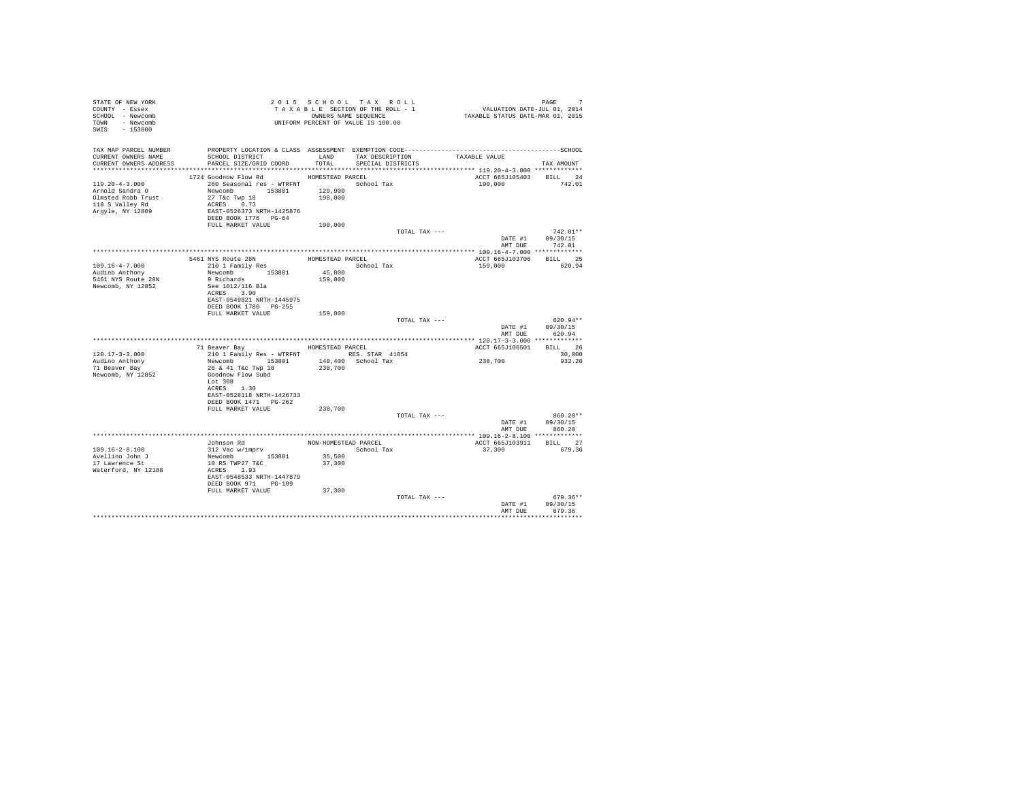| STATE OF NEW YORK<br>COUNTY - Essex<br>SCHOOL - Newcomb<br>TOWN - Newcomb<br>SWIS - 153800           |                                                                                                                                                                    |                                        | 2015 SCHOOL TAX ROLL<br>TAXABLE SECTION OF THE ROLL - 1<br>OWNERS NAME SEQUENCE<br>UNIFORM PERCENT OF VALUE IS 100.00 | PAGE 7<br>VALUATION DATE-JUL 01, 2014<br>TAXABLE STATUS DATE-MAR 01, 2015 |                                          |
|------------------------------------------------------------------------------------------------------|--------------------------------------------------------------------------------------------------------------------------------------------------------------------|----------------------------------------|-----------------------------------------------------------------------------------------------------------------------|---------------------------------------------------------------------------|------------------------------------------|
| TAX MAP PARCEL NUMBER<br>CURRENT OWNERS NAME<br>CURRENT OWNERS ADDRESS                               | SCHOOL DISTRICT<br>PARCEL SIZE/GRID COORD                                                                                                                          | TOTAL                                  | LAND TAX DESCRIPTION<br>SPECIAL DISTRICTS                                                                             | TAXABLE VALUE                                                             | TAX AMOUNT                               |
|                                                                                                      |                                                                                                                                                                    |                                        |                                                                                                                       |                                                                           |                                          |
| $119.20 - 4 - 3.000$<br>Arnold Sandra O<br>Olmsted Robb Trust<br>118 S Valley Rd<br>Arqyle, NY 12809 | 1724 Goodnow Flow Rd<br>260 Seasonal res - WTRFNT School Tax<br>Newcomb 153801<br>27 T&c Twp 18<br>ACRES 0.73<br>EAST-0526373 NRTH-1425876<br>DEED BOOK 1776 PG-64 | HOMESTEAD PARCEL<br>129,900<br>190,000 |                                                                                                                       | ACCT 665J105403 BILL 24<br>190,000                                        | 742.01                                   |
|                                                                                                      | FULL MARKET VALUE                                                                                                                                                  | 190,000                                |                                                                                                                       |                                                                           |                                          |
|                                                                                                      |                                                                                                                                                                    |                                        | TOTAL TAX ---                                                                                                         | AMT DUE                                                                   | $742.01**$<br>DATE #1 09/30/15<br>742.01 |
|                                                                                                      |                                                                                                                                                                    |                                        |                                                                                                                       |                                                                           |                                          |
| $109.16 - 4 - 7.000$                                                                                 | 5461 NYS Route 28N<br>210 1 Family Res                                                                                                                             | HOMESTEAD PARCEL                       | School Tax                                                                                                            | ACCT 665J103706 BILL 25<br>159,000                                        | 620.94                                   |
| Audino Anthony                                                                                       | Newcomb 153801                                                                                                                                                     | 45,800                                 |                                                                                                                       |                                                                           |                                          |
| 5461 NYS Route 28N<br>Newcomb, NY 12852                                                              | 9 Richards<br>See 1012/116 Bla<br>ACRES 3.90<br>EAST-0549821 NRTH-1445975<br>DEED BOOK 1780 PG-255                                                                 | 159,000                                |                                                                                                                       |                                                                           |                                          |
|                                                                                                      | FULL MARKET VALUE                                                                                                                                                  | 159,000                                |                                                                                                                       |                                                                           |                                          |
|                                                                                                      |                                                                                                                                                                    |                                        | TOTAL TAX ---                                                                                                         | DATE #1<br>AMT DUE                                                        | $620.94**$<br>09/30/15<br>620.94         |
|                                                                                                      |                                                                                                                                                                    |                                        |                                                                                                                       |                                                                           |                                          |
|                                                                                                      | 71 Beaver Bay MOMESTEAD PARCEL                                                                                                                                     |                                        |                                                                                                                       | ACCT 665J106501                                                           | BILL 26                                  |
| $120.17 - 3 - 3.000$                                                                                 | 210 1 Family Res - WTRFNT RES. STAR 41854                                                                                                                          |                                        |                                                                                                                       |                                                                           | 30,000                                   |
| Audino Anthony<br>71 Beaver Bay<br>Newcomb, NY 12852                                                 | Newcomb 153801<br>26 & 41 T&c Twp 18<br>Goodnow Flow Subd<br>Lot 308<br>ACRES 1.30<br>EAST-0528118 NRTH-1426733                                                    | 238,700                                | 140,400 School Tax                                                                                                    | 238,700                                                                   | 932.20                                   |
|                                                                                                      | DEED BOOK 1471    PG-262                                                                                                                                           |                                        |                                                                                                                       |                                                                           |                                          |
|                                                                                                      | FULL MARKET VALUE                                                                                                                                                  | 238,700                                | TOTAL TAX ---                                                                                                         |                                                                           | $860.20**$                               |
|                                                                                                      |                                                                                                                                                                    |                                        |                                                                                                                       | DATE #1<br>AMT DUE                                                        | 09/30/15<br>860.20                       |
|                                                                                                      |                                                                                                                                                                    |                                        |                                                                                                                       |                                                                           |                                          |
| $109.16 - 2 - 8.100$                                                                                 | Johnson Rd<br>312 Vac w/imprv                                                                                                                                      |                                        | NON-HOMESTEAD PARCEL<br>School Tax                                                                                    | ACCT 665J103911 BILL 27<br>37,300                                         | 679.36                                   |
| Avellino John J                                                                                      | Newcomb 153801                                                                                                                                                     | 35,500                                 |                                                                                                                       |                                                                           |                                          |
| 17 Lawrence St<br>Waterford, NY 12188                                                                | 10 RS TWP27 T&C<br>ACRES 1.93<br>EAST-0548533 NRTH-1447879<br>DEED BOOK 971 PG-109                                                                                 | 37,300                                 |                                                                                                                       |                                                                           |                                          |
|                                                                                                      | FULL MARKET VALUE                                                                                                                                                  | 37,300                                 |                                                                                                                       |                                                                           |                                          |
|                                                                                                      |                                                                                                                                                                    |                                        | TOTAL TAX ---                                                                                                         | DATE #1<br>AMT DUE                                                        | $679.36**$<br>09/30/15<br>679.36         |
|                                                                                                      |                                                                                                                                                                    |                                        |                                                                                                                       |                                                                           | ***********                              |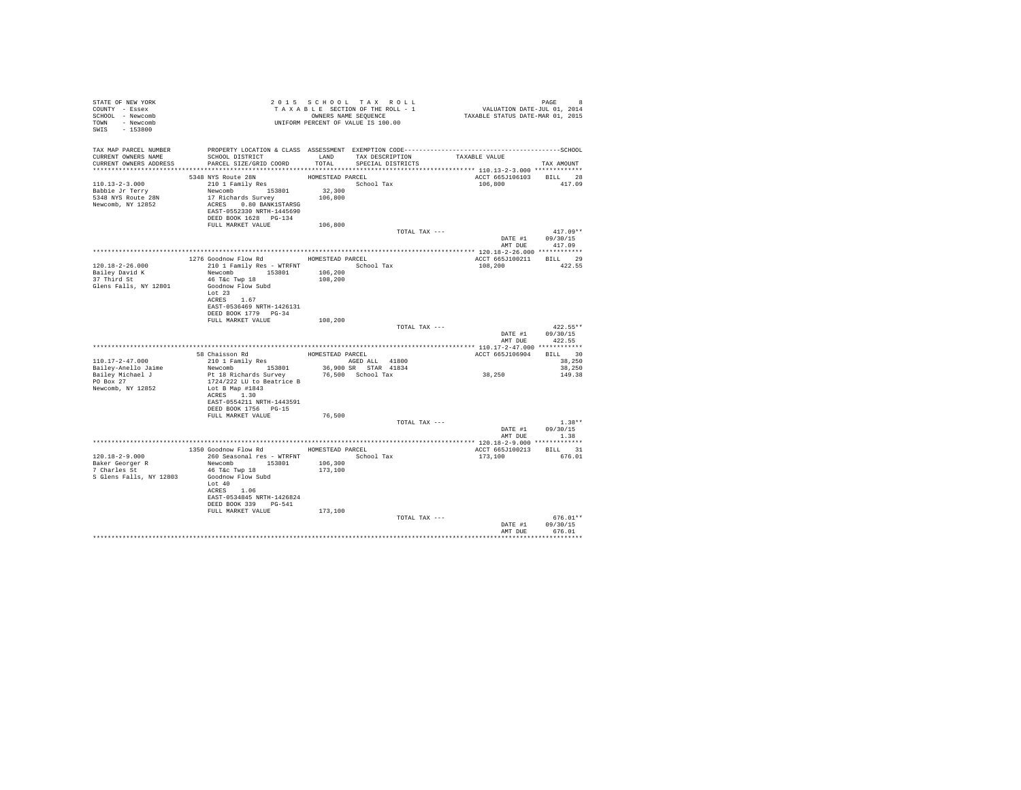| STATE OF NEW YORK                                                        |                                                                                                                                              |                  |                   |                                    |                  |
|--------------------------------------------------------------------------|----------------------------------------------------------------------------------------------------------------------------------------------|------------------|-------------------|------------------------------------|------------------|
| COUNTY - Essex                                                           |                                                                                                                                              |                  |                   |                                    |                  |
| SCHOOL - Newcomb                                                         |                                                                                                                                              |                  |                   |                                    |                  |
| TOWN - Newcomb                                                           | T A X A B L E SECTION OF THE ROLL - 1<br>T A X A B L E SECTION OF THE ROLL - 1<br>OWNERS NAME SEQUENCE<br>UNIFORM PERCENT OF VALUE IS 100.00 |                  |                   |                                    |                  |
| SWIS - 153800                                                            |                                                                                                                                              |                  |                   |                                    |                  |
|                                                                          |                                                                                                                                              |                  |                   |                                    |                  |
|                                                                          |                                                                                                                                              |                  |                   |                                    |                  |
| CURRENT OWNERS NAME                                                      | TAX MAP PARCEL NUMBER PROPERTY LOCATION & CLASS ASSESSMENT EXEMPTION CODE-----------------------------------SCHOOL                           |                  |                   |                                    |                  |
| CURRENT OWNERS ADDRESS                                                   | SCHOOL DISTRICT                      LAND        TAX DESCRIPTION                  TAXABLE VALUE<br>PARCEL SIZE/GRID COORD                    | TOTAL            | SPECIAL DISTRICTS |                                    | TAX AMOUNT       |
|                                                                          |                                                                                                                                              |                  |                   |                                    |                  |
|                                                                          | 5348 NYS Route 28N                                                                                                                           | HOMESTEAD PARCEL |                   | ACCT 665J106103 BILL 28            |                  |
|                                                                          |                                                                                                                                              |                  | School Tax        | 106,800 417.09                     |                  |
|                                                                          |                                                                                                                                              |                  |                   |                                    |                  |
|                                                                          |                                                                                                                                              |                  |                   |                                    |                  |
| Newcomb, NY 12852                                                        | ACRES 0.80 BANK1STARSG                                                                                                                       |                  |                   |                                    |                  |
|                                                                          | EAST-0552330 NRTH-1445690                                                                                                                    |                  |                   |                                    |                  |
|                                                                          | DEED BOOK 1628 PG-134                                                                                                                        |                  |                   |                                    |                  |
|                                                                          | FULL MARKET VALUE 106,800                                                                                                                    |                  |                   |                                    |                  |
|                                                                          |                                                                                                                                              |                  | TOTAL TAX ---     |                                    | $417.09**$       |
|                                                                          |                                                                                                                                              |                  |                   | DATE #1 09/30/15<br>AMT DUE 417.09 |                  |
|                                                                          |                                                                                                                                              |                  |                   |                                    |                  |
|                                                                          |                                                                                                                                              |                  |                   |                                    |                  |
|                                                                          | 1276 Goodnow Flow Rd MOMESTEAD PARCEL                                                                                                        |                  |                   | ACCT 665J100211 BILL 29            |                  |
| 120.18-2-26.000                                                          |                                                                                                                                              |                  |                   | 108,200                            | 422.55           |
| Bailey David K<br>37 Third St                                            | 210 1 Family Res - WTRFNT<br>Newcomb 153801 16,200<br>46 T&c Twp 18 153801 106,200                                                           |                  |                   |                                    |                  |
|                                                                          |                                                                                                                                              |                  |                   |                                    |                  |
| Glens Falls, NY 12801                                                    | Goodnow Flow Subd                                                                                                                            |                  |                   |                                    |                  |
|                                                                          | Lot 23                                                                                                                                       |                  |                   |                                    |                  |
|                                                                          | ACRES 1.67                                                                                                                                   |                  |                   |                                    |                  |
|                                                                          | EAST-0536469 NRTH-1426131<br>DEED BOOK 1779 PG-34                                                                                            |                  |                   |                                    |                  |
|                                                                          | FULL MARKET VALUE 108,200                                                                                                                    |                  |                   |                                    |                  |
|                                                                          |                                                                                                                                              |                  |                   |                                    |                  |
|                                                                          |                                                                                                                                              |                  |                   |                                    |                  |
|                                                                          |                                                                                                                                              |                  | TOTAL TAX ---     |                                    | $422.55**$       |
|                                                                          |                                                                                                                                              |                  |                   | DATE #1 09/30/15                   |                  |
|                                                                          |                                                                                                                                              |                  |                   | AMT DUE                            | 422.55           |
|                                                                          |                                                                                                                                              |                  |                   |                                    |                  |
| $110.17 - 2 - 47.000$                                                    |                                                                                                                                              |                  | AGED ALL 41800    | ACCT 665J106904 BILL 30            | 38,250           |
|                                                                          | 58 Chaisson Rd<br>210 1 Family Res<br>RGED AI                                                                                                |                  |                   |                                    | 38,250           |
|                                                                          |                                                                                                                                              |                  |                   |                                    | 149.38           |
| Bailey-Anello Jaime<br>Bailey Michael J<br>Bailey Michael J<br>PO Box 27 | Newcomb 153801 36,900 SR STAR 41834<br>Pt 18 Richards Survey 76,500 School Tax<br>1724/222 LU to Beatrice B                                  |                  |                   | $\bf 38$ , $\bf 250$               |                  |
| Newcomb, NY 12852                                                        | Lot B Map #1843                                                                                                                              |                  |                   |                                    |                  |
|                                                                          | ACRES 1.30                                                                                                                                   |                  |                   |                                    |                  |
|                                                                          | EAST-0554211 NRTH-1443591                                                                                                                    |                  |                   |                                    |                  |
|                                                                          | DEED BOOK 1756 PG-15                                                                                                                         |                  |                   |                                    |                  |
|                                                                          | FULL MARKET VALUE                                                                                                                            | 76,500           |                   |                                    |                  |
|                                                                          |                                                                                                                                              |                  | TOTAL TAX ---     |                                    | $1.38**$         |
|                                                                          |                                                                                                                                              |                  |                   |                                    | DATE #1 09/30/15 |
|                                                                          |                                                                                                                                              |                  |                   |                                    | AMT DUE 1.38     |
|                                                                          |                                                                                                                                              |                  |                   |                                    |                  |
|                                                                          | 1350 Goodnow Flow Rd HOMESTEAD PARCEL                                                                                                        |                  |                   | ACCT 665J100213 BILL 31            |                  |
| 120.18-2-9.000                                                           | 260 Seasonal res - WTRFNT                                                                                                                    |                  | School Tax        | 173,100 676.01                     |                  |
|                                                                          | Newcomb 153801 106,300                                                                                                                       |                  |                   |                                    |                  |
| Baker Georger R<br>7 Charles St                                          | 46 T&C Twp 18                                                                                                                                | 173,100          |                   |                                    |                  |
| S Glens Falls, NY 12803                                                  | Goodnow Flow Subd                                                                                                                            |                  |                   |                                    |                  |
|                                                                          | Lot 40                                                                                                                                       |                  |                   |                                    |                  |
|                                                                          | ACRES 1.06<br>EAST-0534845 NRTH-1426824                                                                                                      |                  |                   |                                    |                  |
|                                                                          | DEED BOOK 339 PG-541                                                                                                                         |                  |                   |                                    |                  |
|                                                                          |                                                                                                                                              |                  |                   |                                    |                  |
|                                                                          | FULL MARKET VALUE 173,100                                                                                                                    |                  | TOTAL TAX ---     |                                    | $676.01**$       |
|                                                                          |                                                                                                                                              |                  |                   | DATE #1 09/30/15                   |                  |
|                                                                          |                                                                                                                                              |                  |                   | AMT DUE                            | 676.01           |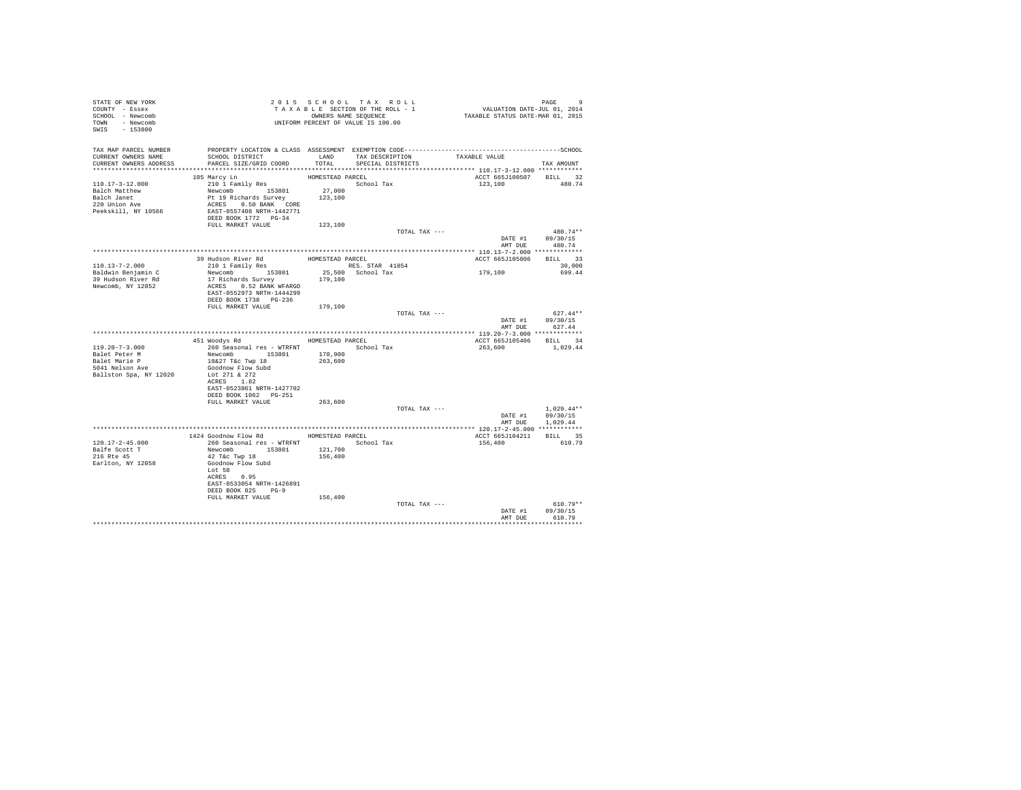| TAX MAP PARCEL NUMBER<br>TAX DESCRIPTION<br>CURRENT OWNERS NAME<br>SCHOOL DISTRICT<br>LAND<br>TAXABLE VALUE<br>PARCEL SIZE/GRID COORD<br>TOTAL<br>CURRENT OWNERS ADDRESS<br>SPECIAL DISTRICTS<br>TAX AMOUNT<br>ACCT 665J100507<br>105 Marcy Ln<br>HOMESTEAD PARCEL<br>210 1 Family Res<br>School Tax<br>110.17-3-12.000<br>123,100<br>Newcomb 153801<br>27,000<br>Balch Matthew<br>123,100<br>Balch Janet<br>Pt 19 Richards Survey<br>220 Union Ave<br>ACRES 0.50 BANK CORE<br>EAST-0557408 NRTH-1442771<br>Peekskill, NY 10566<br>DEED BOOK 1772 PG-34<br>FULL MARKET VALUE<br>123,100<br>TOTAL TAX ---<br>DATE #1 09/30/15<br>AMT DUE 480.74<br>Budson River Rd<br>210 1 Family Res BOMESTEAD PARCEL<br>Neusonbus<br>39 Hudson River Rd<br>ACCT 665J105806<br>RES. STAR 41854<br>110.13-7-2.000<br>Newcomb 153801<br>25,500 School Tax<br>179,100<br>Baldwin Benjamin C<br>17 Richards Survey 179,100<br>39 Hudson River Rd<br>Newcomb, NY 12852<br>ACRES 0.52 BANK WFARGO<br>EAST-0552973 NRTH-1444299<br>DEED BOOK 1738 PG-236<br>FULL MARKET VALUE<br>179,100<br>TOTAL TAX ---<br>DATE #1<br>09/30/15<br>AMT DUE<br>627.44<br>451 Woodys Rd MOMESTEAD PARCEL<br>ACCT 665J105406 BILL 34<br>260 Seasonal res - WTRFNT<br>1,029.44<br>$119.20 - 7 - 3.000$<br>School Tax<br>263,600<br>Newcomb 153801<br>170,900<br>Balet Peter M<br>Balet Marie P<br>18&27 T&c Twp 18<br>263,600<br>5041 Nelson Ave<br>Goodnow Flow Subd<br>Lot 271 & 272<br>Ballston Spa, NY 12020<br>ACRES 1.82<br>EAST-0523861 NRTH-1427702<br>DEED BOOK 1062    PG-251<br>263,600<br>FULL MARKET VALUE<br>TOTAL TAX ---<br>09/30/15<br>DATE #1<br>AMT DUE<br>1,029.44<br>1424 Goodnow Flow Rd MOMESTEAD PARCEL<br>ACCT 665J104211<br>$120.17 - 2 - 45.000$<br>260 Seasonal res - WTRFNT<br>School Tax<br>156,400<br>Balfe Scott T<br>Newcomb 153801<br>42 T&c Twp 18<br>121,700<br>216 Rte 45<br>156,400<br>Goodnow Flow Subd<br>Earlton, NY 12058<br>Lot 58<br>ACRES 0.95<br>EAST-0533054 NRTH-1426891<br>DEED BOOK 825 PG-9<br>FULL MARKET VALUE<br>156,400<br>TOTAL TAX --- | STATE OF NEW YORK<br>COUNTY - Essex<br>SCHOOL - Newcomb<br>TOWN - Newcomb<br>SWIS - 153800 | T A X A B B B B B B SEQUENCE<br>UNIFORM PERCENT OF VALUE IS 100.00 | 2015 SCHOOL TAX ROLL<br>TAXABLE SECTION OF THE ROLL - 1<br>OWNERS NAME SEQUENCE | PAGE 9<br>VALUATION DATE-JUL 01, 2014<br>TAXABLE STATUS DATE-MAR 01, 2015 |                             |
|--------------------------------------------------------------------------------------------------------------------------------------------------------------------------------------------------------------------------------------------------------------------------------------------------------------------------------------------------------------------------------------------------------------------------------------------------------------------------------------------------------------------------------------------------------------------------------------------------------------------------------------------------------------------------------------------------------------------------------------------------------------------------------------------------------------------------------------------------------------------------------------------------------------------------------------------------------------------------------------------------------------------------------------------------------------------------------------------------------------------------------------------------------------------------------------------------------------------------------------------------------------------------------------------------------------------------------------------------------------------------------------------------------------------------------------------------------------------------------------------------------------------------------------------------------------------------------------------------------------------------------------------------------------------------------------------------------------------------------------------------------------------------------------------------------------------------------------------------------------------------------------------------------------------------------------------------------------------------------------------------------------------------------------------------------|--------------------------------------------------------------------------------------------|--------------------------------------------------------------------|---------------------------------------------------------------------------------|---------------------------------------------------------------------------|-----------------------------|
|                                                                                                                                                                                                                                                                                                                                                                                                                                                                                                                                                                                                                                                                                                                                                                                                                                                                                                                                                                                                                                                                                                                                                                                                                                                                                                                                                                                                                                                                                                                                                                                                                                                                                                                                                                                                                                                                                                                                                                                                                                                        |                                                                                            |                                                                    |                                                                                 |                                                                           |                             |
|                                                                                                                                                                                                                                                                                                                                                                                                                                                                                                                                                                                                                                                                                                                                                                                                                                                                                                                                                                                                                                                                                                                                                                                                                                                                                                                                                                                                                                                                                                                                                                                                                                                                                                                                                                                                                                                                                                                                                                                                                                                        |                                                                                            |                                                                    |                                                                                 |                                                                           | BILL 32<br>480.74           |
|                                                                                                                                                                                                                                                                                                                                                                                                                                                                                                                                                                                                                                                                                                                                                                                                                                                                                                                                                                                                                                                                                                                                                                                                                                                                                                                                                                                                                                                                                                                                                                                                                                                                                                                                                                                                                                                                                                                                                                                                                                                        |                                                                                            |                                                                    |                                                                                 |                                                                           | 480.74**                    |
|                                                                                                                                                                                                                                                                                                                                                                                                                                                                                                                                                                                                                                                                                                                                                                                                                                                                                                                                                                                                                                                                                                                                                                                                                                                                                                                                                                                                                                                                                                                                                                                                                                                                                                                                                                                                                                                                                                                                                                                                                                                        |                                                                                            |                                                                    |                                                                                 |                                                                           | BILL 33<br>30,000<br>699.44 |
|                                                                                                                                                                                                                                                                                                                                                                                                                                                                                                                                                                                                                                                                                                                                                                                                                                                                                                                                                                                                                                                                                                                                                                                                                                                                                                                                                                                                                                                                                                                                                                                                                                                                                                                                                                                                                                                                                                                                                                                                                                                        |                                                                                            |                                                                    |                                                                                 |                                                                           | $627.44**$                  |
|                                                                                                                                                                                                                                                                                                                                                                                                                                                                                                                                                                                                                                                                                                                                                                                                                                                                                                                                                                                                                                                                                                                                                                                                                                                                                                                                                                                                                                                                                                                                                                                                                                                                                                                                                                                                                                                                                                                                                                                                                                                        |                                                                                            |                                                                    |                                                                                 |                                                                           |                             |
|                                                                                                                                                                                                                                                                                                                                                                                                                                                                                                                                                                                                                                                                                                                                                                                                                                                                                                                                                                                                                                                                                                                                                                                                                                                                                                                                                                                                                                                                                                                                                                                                                                                                                                                                                                                                                                                                                                                                                                                                                                                        |                                                                                            |                                                                    |                                                                                 |                                                                           |                             |
|                                                                                                                                                                                                                                                                                                                                                                                                                                                                                                                                                                                                                                                                                                                                                                                                                                                                                                                                                                                                                                                                                                                                                                                                                                                                                                                                                                                                                                                                                                                                                                                                                                                                                                                                                                                                                                                                                                                                                                                                                                                        |                                                                                            |                                                                    |                                                                                 |                                                                           |                             |
|                                                                                                                                                                                                                                                                                                                                                                                                                                                                                                                                                                                                                                                                                                                                                                                                                                                                                                                                                                                                                                                                                                                                                                                                                                                                                                                                                                                                                                                                                                                                                                                                                                                                                                                                                                                                                                                                                                                                                                                                                                                        |                                                                                            |                                                                    |                                                                                 |                                                                           | $1.029.44**$                |
|                                                                                                                                                                                                                                                                                                                                                                                                                                                                                                                                                                                                                                                                                                                                                                                                                                                                                                                                                                                                                                                                                                                                                                                                                                                                                                                                                                                                                                                                                                                                                                                                                                                                                                                                                                                                                                                                                                                                                                                                                                                        |                                                                                            |                                                                    |                                                                                 |                                                                           |                             |
|                                                                                                                                                                                                                                                                                                                                                                                                                                                                                                                                                                                                                                                                                                                                                                                                                                                                                                                                                                                                                                                                                                                                                                                                                                                                                                                                                                                                                                                                                                                                                                                                                                                                                                                                                                                                                                                                                                                                                                                                                                                        |                                                                                            |                                                                    |                                                                                 |                                                                           | BILL 35                     |
|                                                                                                                                                                                                                                                                                                                                                                                                                                                                                                                                                                                                                                                                                                                                                                                                                                                                                                                                                                                                                                                                                                                                                                                                                                                                                                                                                                                                                                                                                                                                                                                                                                                                                                                                                                                                                                                                                                                                                                                                                                                        |                                                                                            |                                                                    |                                                                                 |                                                                           | 610.79                      |
| AMT DUE<br>610.79                                                                                                                                                                                                                                                                                                                                                                                                                                                                                                                                                                                                                                                                                                                                                                                                                                                                                                                                                                                                                                                                                                                                                                                                                                                                                                                                                                                                                                                                                                                                                                                                                                                                                                                                                                                                                                                                                                                                                                                                                                      |                                                                                            |                                                                    |                                                                                 | DATE #1                                                                   | $610.79**$<br>09/30/15      |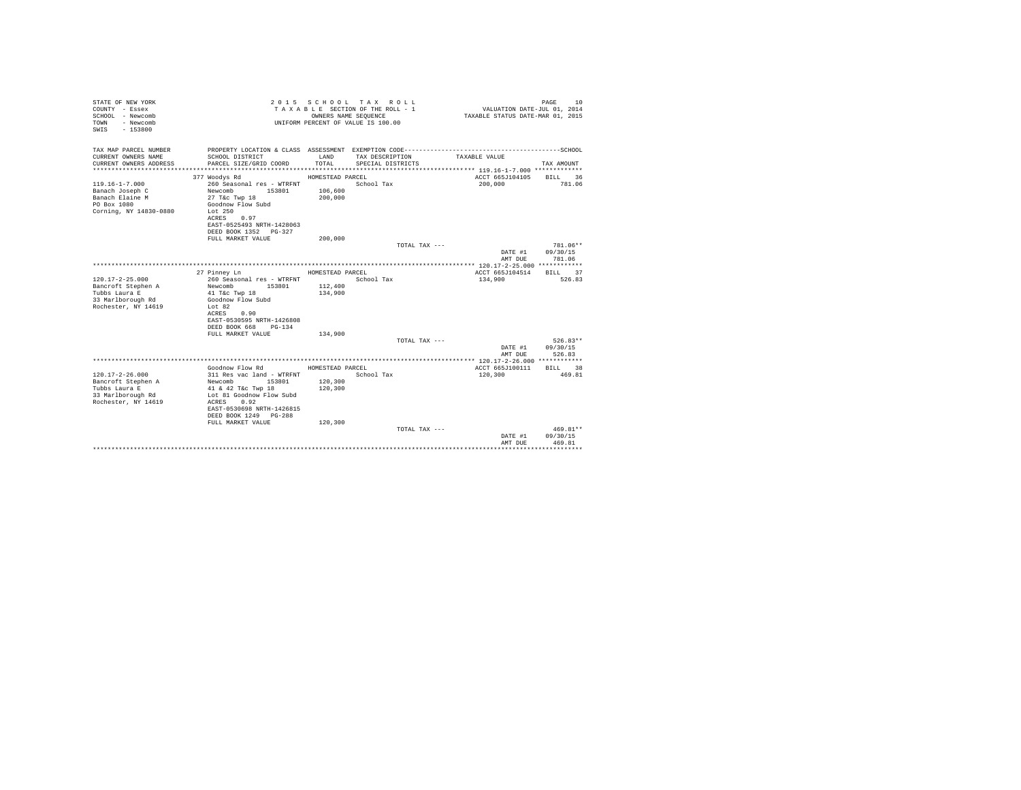| STATE OF NEW YORK<br>COUNTY - Essex<br>SCHOOL - Newcomb<br>- Newcomb<br>TOWN<br>$-153800$<br>SWIS |                                                   |                  | 2015 SCHOOL TAX ROLL<br>TAXABLE SECTION OF THE ROLL - 1<br>OWNERS NAME SEOUENCE<br>UNIFORM PERCENT OF VALUE IS 100.00 | VALUATION DATE-JUL 01, 2014<br>TAXABLE STATUS DATE-MAR 01, 2015 | 10<br>PAGE             |
|---------------------------------------------------------------------------------------------------|---------------------------------------------------|------------------|-----------------------------------------------------------------------------------------------------------------------|-----------------------------------------------------------------|------------------------|
| TAX MAP PARCEL NUMBER<br>CURRENT OWNERS NAME                                                      | SCHOOL DISTRICT                                   | LAND             | TAX DESCRIPTION                                                                                                       | TAXABLE VALUE                                                   |                        |
| CURRENT OWNERS ADDRESS                                                                            | PARCEL SIZE/GRID COORD                            | TOTAL            | SPECIAL DISTRICTS                                                                                                     |                                                                 | TAX AMOUNT             |
|                                                                                                   |                                                   |                  |                                                                                                                       |                                                                 |                        |
|                                                                                                   | 377 Woodys Rd                                     | HOMESTEAD PARCEL |                                                                                                                       | ACCT 665J104105                                                 | <b>BILL</b><br>36      |
| $119.16 - 1 - 7.000$                                                                              | 260 Seasonal res - WTRFNT                         |                  | School Tax                                                                                                            | 200,000                                                         | 781.06                 |
| Banach Joseph C                                                                                   | Newcomb<br>153801                                 | 106,600          |                                                                                                                       |                                                                 |                        |
| Banach Elaine M<br>PO Box 1080                                                                    | 27 T&c Twp 18<br>Goodnow Flow Subd                | 200,000          |                                                                                                                       |                                                                 |                        |
| Corning, NY 14830-0880                                                                            | Lot $250$                                         |                  |                                                                                                                       |                                                                 |                        |
|                                                                                                   | ACRES 0.97                                        |                  |                                                                                                                       |                                                                 |                        |
|                                                                                                   | EAST-0525493 NRTH-1428063                         |                  |                                                                                                                       |                                                                 |                        |
|                                                                                                   | DEED BOOK 1352 PG-327                             |                  |                                                                                                                       |                                                                 |                        |
|                                                                                                   | FULL MARKET VALUE                                 | 200,000          | TOTAL TAX ---                                                                                                         |                                                                 | 781.06**               |
|                                                                                                   |                                                   |                  |                                                                                                                       | DATE #1                                                         | 09/30/15               |
|                                                                                                   |                                                   |                  |                                                                                                                       | AMT DUE                                                         | 781.06                 |
|                                                                                                   |                                                   |                  |                                                                                                                       |                                                                 |                        |
|                                                                                                   | 27 Pinney Ln                                      | HOMESTEAD PARCEL |                                                                                                                       | ACCT 665J104514                                                 | BILL 37                |
| $120.17 - 2 - 25.000$<br>Bancroft Stephen A                                                       | 260 Seasonal res - WTRFNT<br>153801<br>Newcomb    | 112,400          | School Tax                                                                                                            | 134,900                                                         | 526.83                 |
| Tubbs Laura E                                                                                     | 41 T&c Twp 18                                     | 134,900          |                                                                                                                       |                                                                 |                        |
| 33 Marlborough Rd                                                                                 | Goodnow Flow Subd                                 |                  |                                                                                                                       |                                                                 |                        |
| Rochester, NY 14619                                                                               | Lot $82$                                          |                  |                                                                                                                       |                                                                 |                        |
|                                                                                                   | ACRES<br>0.90                                     |                  |                                                                                                                       |                                                                 |                        |
|                                                                                                   | EAST-0530595 NRTH-1426808<br>DEED BOOK 668 PG-134 |                  |                                                                                                                       |                                                                 |                        |
|                                                                                                   | FULL MARKET VALUE                                 | 134,900          |                                                                                                                       |                                                                 |                        |
|                                                                                                   |                                                   |                  | TOTAL TAX ---                                                                                                         |                                                                 | $526.83**$             |
|                                                                                                   |                                                   |                  |                                                                                                                       |                                                                 | DATE #1 09/30/15       |
|                                                                                                   |                                                   |                  |                                                                                                                       | AMT DUE                                                         | 526.83                 |
|                                                                                                   | Goodnow Flow Rd                                   | HOMESTEAD PARCEL |                                                                                                                       | ACCT 665J100111                                                 | BILL 38                |
| $120.17 - 2 - 26.000$                                                                             | 311 Res vac land - WTRFNT                         |                  | School Tax                                                                                                            | 120,300                                                         | 469.81                 |
| Bancroft Stephen A                                                                                | Newcomb 153801                                    | 120,300          |                                                                                                                       |                                                                 |                        |
| Tubbs Laura E                                                                                     | 41 & 42 T&c Twp 18                                | 120,300          |                                                                                                                       |                                                                 |                        |
| 33 Marlborough Rd                                                                                 | Lot 81 Goodnow Flow Subd                          |                  |                                                                                                                       |                                                                 |                        |
| Rochester, NY 14619                                                                               | ACRES 0.92<br>EAST-0530698 NRTH-1426815           |                  |                                                                                                                       |                                                                 |                        |
|                                                                                                   | DEED BOOK 1249 PG-288                             |                  |                                                                                                                       |                                                                 |                        |
|                                                                                                   | FULL MARKET VALUE                                 | 120,300          |                                                                                                                       |                                                                 |                        |
|                                                                                                   |                                                   |                  | TOTAL TAX ---                                                                                                         |                                                                 | $469.81**$             |
|                                                                                                   |                                                   |                  |                                                                                                                       | DATE #1                                                         | 09/30/15               |
|                                                                                                   |                                                   |                  |                                                                                                                       | AMT DUE                                                         | 469.81<br>************ |
|                                                                                                   |                                                   |                  |                                                                                                                       |                                                                 |                        |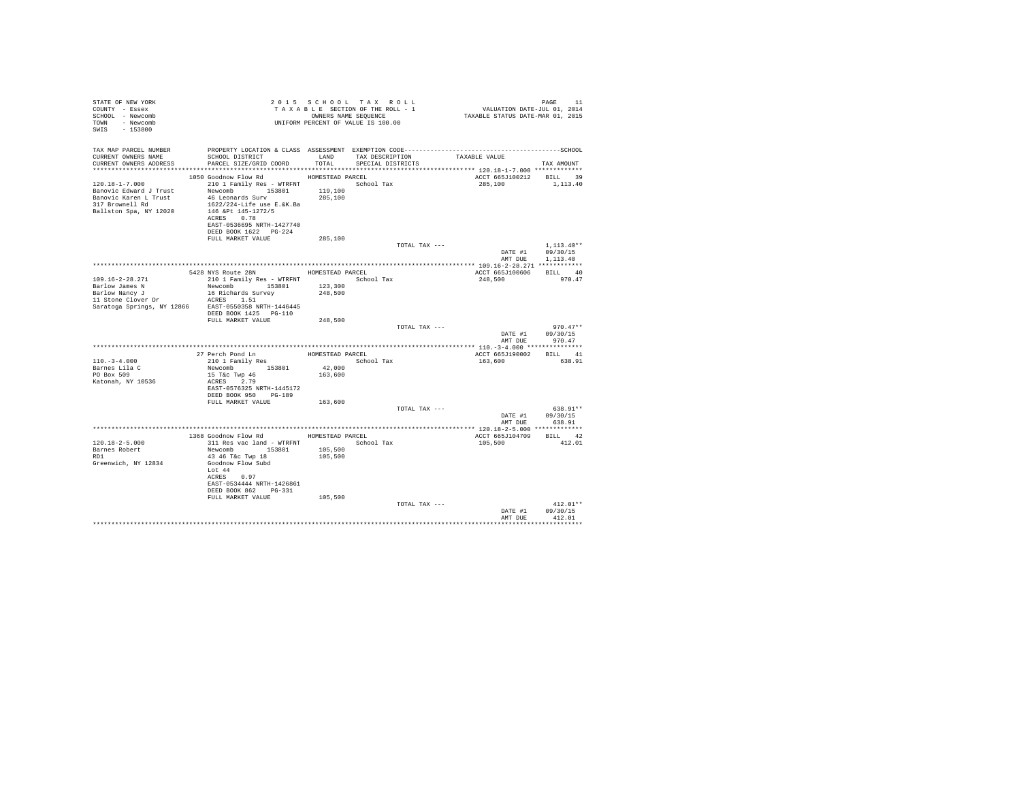| STATE OF NEW YORK<br>COUNTY - Essex<br>SCHOOL - Newcomb<br>TOWN - Newcomb<br>SWIS - 153800                                              | TAXABLE SECTION OF THE ROWL -<br>ONNEES NAME SEQUENCE<br>UNIFORM PERCENT OF VALUE IS 100.00                                                                                                                                                | TAXABLE SECTION OF THE ROLL - 1 |                                      |               | PAGE 11<br>VALUATION DATE-JUL 01, 2014<br>TAXABLE STATUS DATE-MAR 01, 2015 |                                              |
|-----------------------------------------------------------------------------------------------------------------------------------------|--------------------------------------------------------------------------------------------------------------------------------------------------------------------------------------------------------------------------------------------|---------------------------------|--------------------------------------|---------------|----------------------------------------------------------------------------|----------------------------------------------|
| TAX MAP PARCEL NUMBER<br>CURRENT OWNERS NAME<br>CURRENT OWNERS ADDRESS PARCEL SIZE/GRID COORD                                           | PROPERTY LOCATION & CLASS ASSESSMENT EXEMPTION CODE-----------------------------------SCHOOL<br>SCHOOL DISTRICT                                                                                                                            | LAND<br>TOTAL                   | TAX DESCRIPTION<br>SPECIAL DISTRICTS |               | TAXABLE VALUE                                                              | TAX AMOUNT                                   |
| 120.18-1-7.000<br>Banovic Edward J Trust<br>Banovic Karen L Trust<br>317 Brownell Rd<br>Ballston Spa, NY 12020                          | 1050 Goodnow Flow Rd MOMESTEAD PARCEL<br>210 1 Family Res - WTRFNT School Tax<br>Newcomb 153801<br>46 Leonards Surv<br>1622/224-Life use E.&K.Ba<br>146 &Pt 145-1272/5<br>ACRES 0.78<br>EAST-0536695 NRTH-1427740<br>DEED BOOK 1622 PG-224 | 119,100<br>285,100              |                                      |               | ACCT 665J100212 BILL 39<br>285,100                                         | 1,113,40                                     |
|                                                                                                                                         | FULL MARKET VALUE                                                                                                                                                                                                                          | 285,100                         |                                      | TOTAL TAX --- | AMT DUE                                                                    | $1.113.40**$<br>DATE #1 09/30/15<br>1,113,40 |
|                                                                                                                                         |                                                                                                                                                                                                                                            |                                 |                                      |               |                                                                            |                                              |
| $109.16 - 2 - 28.271$<br>Barlow James N<br>Barlow Nancy J<br>11 Stone Clover Dr<br>Saratoga Springs, NY 12866 EAST-0550358 NRTH-1446445 | 5428 NYS Route 28N HOMESTEAD PARCEL<br>210 1 Family Res - WTRFNT School Tax<br>Newcomb 153801<br>16 Richards Survey<br>ACRES 1.51<br>DEED BOOK 1425 PG-110                                                                                 | 123,300<br>248,500              |                                      |               | ACCT 665J100606 BILL 40<br>248,500                                         | 970.47                                       |
|                                                                                                                                         | FULL MARKET VALUE                                                                                                                                                                                                                          | 248,500                         |                                      | TOTAL TAX --- | DATE #1                                                                    | $970.47**$<br>09/30/15<br>AMT DUE 970.47     |
|                                                                                                                                         |                                                                                                                                                                                                                                            |                                 |                                      |               |                                                                            |                                              |
| $110. - 3 - 4.000$<br>Barnes Lila C<br>PO Box 509<br>Katonah, NY 10536                                                                  | 27 Perch Pond Ln<br>210 1 Family Res<br>Newcomb 153801<br>15 T&c Twp 46<br>ACRES 2.79<br>EAST-0576325 NRTH-1445172<br>DEED BOOK 950 PG-189                                                                                                 | 42,000<br>163,600               | HOMESTEAD PARCEL<br>School Tax       |               | ACCT 665J190002 BILL 41<br>163,600                                         | 638.91                                       |
|                                                                                                                                         | FULL MARKET VALUE                                                                                                                                                                                                                          | 163,600                         |                                      | TOTAL TAX --- |                                                                            | 638.91**                                     |
|                                                                                                                                         |                                                                                                                                                                                                                                            |                                 |                                      |               |                                                                            | DATE #1 09/30/15<br>AMT DUE 638.91           |
|                                                                                                                                         |                                                                                                                                                                                                                                            |                                 |                                      |               |                                                                            |                                              |
|                                                                                                                                         | 1368 Goodnow Flow Rd HOMESTEAD PARCEL                                                                                                                                                                                                      |                                 |                                      |               | ACCT 665J104709                                                            | BILL 42                                      |
| $120.18 - 2 - 5.000$<br>Barnes Robert<br>RD1<br>Greenwich, NY 12834                                                                     | 311 Res vac land - WTRFNT<br>Newcomb 153801<br>43 46 T&c Twp 18<br>Goodnow Flow Subd<br>Lot 44<br>ACRES 0.97<br>EAST-0534444 NRTH-1426861<br>DEED BOOK 862    PG-331<br>FULL MARKET VALUE                                                  | 105,500<br>105,500<br>105,500   | School Tax                           |               | 105,500                                                                    | 412.01                                       |
|                                                                                                                                         |                                                                                                                                                                                                                                            |                                 |                                      | TOTAL TAX --- | DATE #1                                                                    | $412.01**$<br>09/30/15                       |
|                                                                                                                                         |                                                                                                                                                                                                                                            |                                 |                                      |               | AMT DUE                                                                    | 412.01                                       |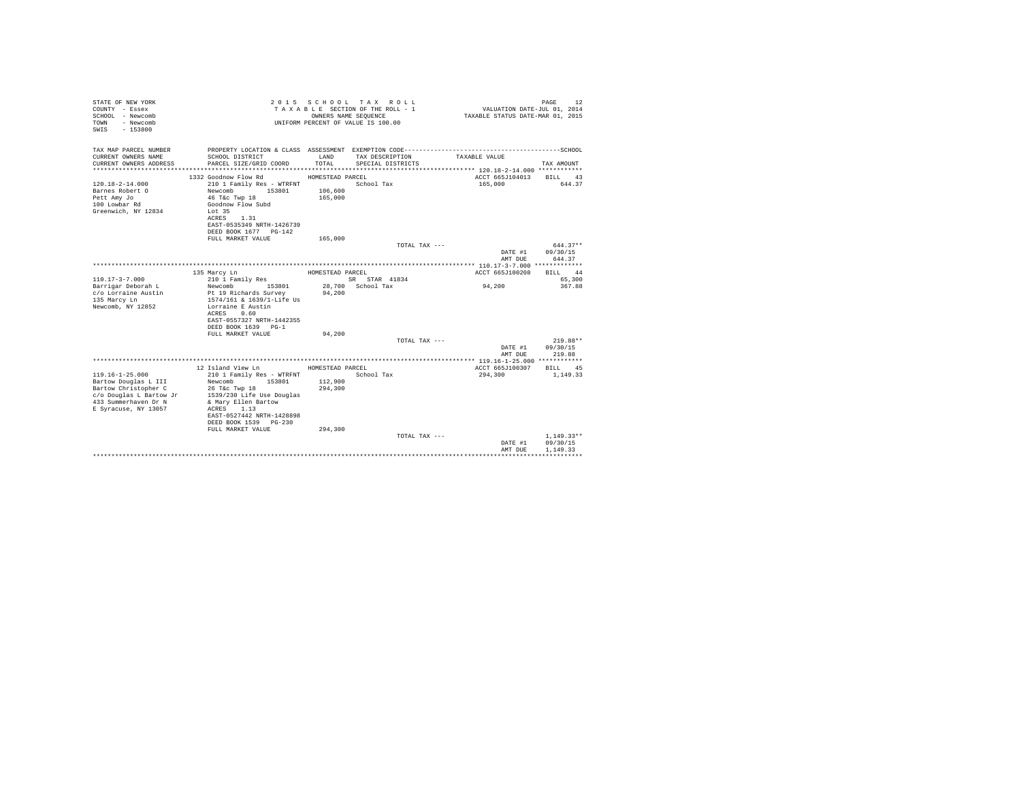| STATE OF NEW YORK<br>COUNTY - Essex<br>SCHOOL - Newcomb<br>- Newcomb<br>TOWN<br>SWIS - 153800<br>TAX MAP PARCEL NUMBER |                                                | OWNERS NAME SEQUENCE | 2015 SCHOOL TAX ROLL<br>TAXABLE SECTION OF THE ROLL - 1<br>UNIFORM PERCENT OF VALUE IS 100.00 | VALUATION DATE-JUL 01, 2014<br>TAXABLE STATUS DATE-MAR 01, 2015 | PAGE<br>12         |
|------------------------------------------------------------------------------------------------------------------------|------------------------------------------------|----------------------|-----------------------------------------------------------------------------------------------|-----------------------------------------------------------------|--------------------|
| CURRENT OWNERS NAME                                                                                                    | SCHOOL DISTRICT                                | LAND                 | TAX DESCRIPTION                                                                               | TAXABLE VALUE                                                   |                    |
| CURRENT OWNERS ADDRESS                                                                                                 | PARCEL SIZE/GRID COORD                         | TOTAL.               | SPECIAL DISTRICTS                                                                             |                                                                 | TAX AMOUNT         |
|                                                                                                                        |                                                |                      |                                                                                               |                                                                 |                    |
|                                                                                                                        | 1332 Goodnow Flow Rd                           | HOMESTEAD PARCEL     |                                                                                               | ACCT 665J104013                                                 | BILL 43            |
| $120.18 - 2 - 14.000$                                                                                                  | 210 1 Family Res - WTRFNT                      |                      | School Tax                                                                                    | 165,000                                                         | 644.37             |
| Barnes Robert O                                                                                                        | Newcomb<br>153801                              | 106,600              |                                                                                               |                                                                 |                    |
| Pett Amy Jo                                                                                                            | 46 T&c Twp 18<br>Goodnow Flow Subd             | 165,000              |                                                                                               |                                                                 |                    |
| 100 Lowbar Rd<br>Greenwich, NY 12834                                                                                   | Lot 35                                         |                      |                                                                                               |                                                                 |                    |
|                                                                                                                        | 1.31<br>ACRES                                  |                      |                                                                                               |                                                                 |                    |
|                                                                                                                        | EAST-0535349 NRTH-1426739                      |                      |                                                                                               |                                                                 |                    |
|                                                                                                                        | DEED BOOK 1677 PG-142                          |                      |                                                                                               |                                                                 |                    |
|                                                                                                                        | FULL MARKET VALUE                              | 165,000              |                                                                                               |                                                                 |                    |
|                                                                                                                        |                                                |                      | TOTAL TAX ---                                                                                 |                                                                 | $644.37**$         |
|                                                                                                                        |                                                |                      |                                                                                               | DATE #1<br>AMT DUE                                              | 09/30/15<br>644.37 |
|                                                                                                                        |                                                |                      |                                                                                               |                                                                 |                    |
|                                                                                                                        | 135 Marcy Ln                                   | HOMESTEAD PARCEL     |                                                                                               | ACCT 665J100208                                                 | BILL 44            |
| $110.17 - 3 - 7.000$                                                                                                   | 210 1 Family Res                               |                      | SR STAR 41834                                                                                 |                                                                 | 65,300             |
| Barrigar Deborah L                                                                                                     | 153801<br>Newcomb                              |                      | 28.700 School Tax                                                                             | 94,200                                                          | 367.88             |
| c/o Lorraine Austin                                                                                                    | Pt 19 Richards Survey                          | 94,200               |                                                                                               |                                                                 |                    |
| 135 Marcy Ln<br>Newcomb, NY 12852                                                                                      | 1574/161 & 1639/1-Life Us<br>Lorraine E Austin |                      |                                                                                               |                                                                 |                    |
|                                                                                                                        | ACRES 0.60                                     |                      |                                                                                               |                                                                 |                    |
|                                                                                                                        | EAST-0557327 NRTH-1442355                      |                      |                                                                                               |                                                                 |                    |
|                                                                                                                        | DEED BOOK 1639 PG-1                            |                      |                                                                                               |                                                                 |                    |
|                                                                                                                        | FULL MARKET VALUE                              | 94,200               |                                                                                               |                                                                 |                    |
|                                                                                                                        |                                                |                      | TOTAL TAX ---                                                                                 |                                                                 | $219.88**$         |
|                                                                                                                        |                                                |                      |                                                                                               | DATE #1                                                         | 09/30/15           |
|                                                                                                                        |                                                |                      |                                                                                               | AMT DUE                                                         | 219.88             |
|                                                                                                                        | 12 Island View Ln                              | HOMESTEAD PARCEL     |                                                                                               | ACCT 665J100307                                                 | BILL<br>45         |
| $119.16 - 1 - 25.000$                                                                                                  | 210 1 Family Res - WTRFNT                      |                      | School Tax                                                                                    | 294,300                                                         | 1,149.33           |
| Bartow Douglas L III                                                                                                   | 153801<br>Newcomb                              | 112,900              |                                                                                               |                                                                 |                    |
| Bartow Christopher C                                                                                                   | 26 T&c Twp 18                                  | 294,300              |                                                                                               |                                                                 |                    |
| c/o Douglas L Bartow Jr                                                                                                | 1539/230 Life Use Douglas                      |                      |                                                                                               |                                                                 |                    |
| 433 Summerhaven Dr N                                                                                                   | & Mary Ellen Bartow                            |                      |                                                                                               |                                                                 |                    |
| E Syracuse, NY 13057                                                                                                   | ACRES 1.13<br>EAST-0527442 NRTH-1428898        |                      |                                                                                               |                                                                 |                    |
|                                                                                                                        | DEED BOOK 1539 PG-230                          |                      |                                                                                               |                                                                 |                    |
|                                                                                                                        | FULL MARKET VALUE                              | 294,300              |                                                                                               |                                                                 |                    |
|                                                                                                                        |                                                |                      | TOTAL TAX ---                                                                                 |                                                                 | $1.149.33**$       |
|                                                                                                                        |                                                |                      |                                                                                               | DATE #1                                                         | 09/30/15           |
|                                                                                                                        |                                                |                      |                                                                                               | AMT DUE                                                         | 1,149.33           |
|                                                                                                                        |                                                |                      |                                                                                               |                                                                 | .                  |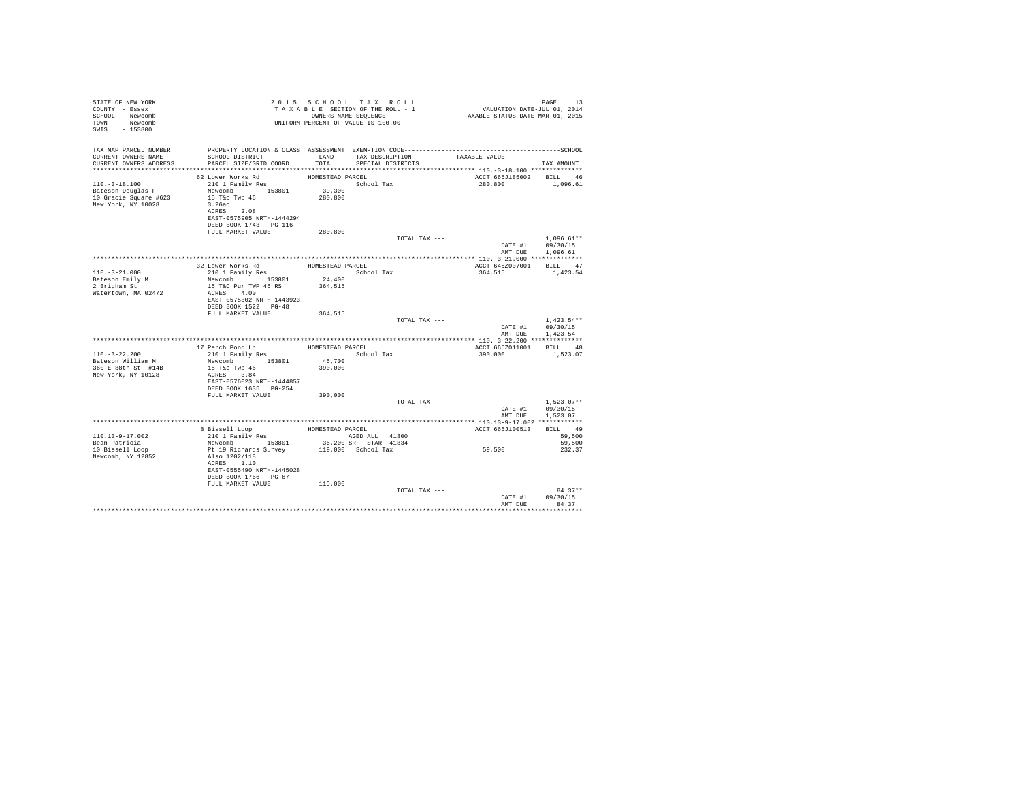| STATE OF NEW YORK<br>COUNTY - Essex<br>SCHOOL - Newcomb<br>TOWN - Newcomb<br>SWIS - 153800               | TAXABLE SECTION OF THE ROLL - 1<br>TAXABLE SECTION OF THE ROLL - 1<br>UNIFORM PERCENT OF VALUE IS 100.00                                                                                                                                              |                                       |                                                               | PAGE 13<br>VALUATION DATE-JUL 01, 2014<br>TAXABLE STATUS DATE-MAR 01, 2015 |                                                      |
|----------------------------------------------------------------------------------------------------------|-------------------------------------------------------------------------------------------------------------------------------------------------------------------------------------------------------------------------------------------------------|---------------------------------------|---------------------------------------------------------------|----------------------------------------------------------------------------|------------------------------------------------------|
| CURRENT OWNERS NAME<br>CURRENT OWNERS ADDRESS                                                            | TAX MAP PARCEL NUMBER THE PROPERTY LOCATION & CLASS ASSESSMENT EXEMPTION CODE--------------------------------SCHOOL<br>SCHOOL DISTRICT<br>PARCEL SIZE/GRID COORD                                                                                      |                                       | LAND TAX DESCRIPTION TAXABLE VALUE<br>TOTAL SPECIAL DISTRICTS |                                                                            | TAX AMOUNT                                           |
| $110. - 3 - 18.100$<br>110.-3-18.100<br>Bateson Douglas F<br>10 Gracie Square #623<br>New York, NY 10028 | 62 Lower Works Rd<br>210 1 Family Res<br>210 1 Family Res<br>Newcomb 153801 39,300<br><sup>15 Tex</sup> Twn 46 280,800<br>3.26ac<br>ACRES 2.08<br>EAST-0575905 NRTH-1444294<br>DEED BOOK 1743 PG-116<br>FULL MARKET VALUE                             | HOMESTEAD PARCEL<br>280,800           | School Tax                                                    | ACCT 665J185002 BILL 46<br>280.800 1.096.61                                |                                                      |
|                                                                                                          |                                                                                                                                                                                                                                                       |                                       | TOTAL TAX ---                                                 |                                                                            | $1,096.61**$<br>DATE #1 09/30/15<br>AMT DUE 1,096.61 |
|                                                                                                          |                                                                                                                                                                                                                                                       |                                       |                                                               |                                                                            |                                                      |
| $110. - 3 - 21.000$<br>Bateson Emily M<br>2 Brigham St<br>Watertown, MA 02472                            | $\begin{tabular}{llll} 32 Lower Works\ Rd & \text{HOMESTBAD PARCEL} \\ 210\ \text{1 Family Res} & & \text{Scho} \\ \end{tabular}$<br>Newcomb 153801 24,400<br>15 T&C Pur TWP 46 RS<br>ACRES 4.00<br>EAST-0575302 NRTH-1443923<br>DEED BOOK 1522 PG-48 | 364,515                               | School Tax                                                    | ACCT 645Z007001 BILL 47<br>364,515 1,423.54                                |                                                      |
|                                                                                                          | FULL MARKET VALUE                                                                                                                                                                                                                                     | 364,515                               | TOTAL TAX ---                                                 |                                                                            | $1.423.54**$<br>DATE #1 09/30/15<br>AMT DUE 1,423.54 |
|                                                                                                          |                                                                                                                                                                                                                                                       |                                       |                                                               |                                                                            |                                                      |
| $110.-3-22.200$<br>Bateson William M<br>360 E 88th St #14B<br>New York, NY 10128                         | 17 Perch Pond Ln<br>210 1 Family Res<br>Newcomb 153801<br>15 T&c Twp 46<br>ACRES 3.84<br>EAST-0576023 NRTH-1444857                                                                                                                                    | HOMESTEAD PARCEL<br>45,700<br>390,000 | School Tax                                                    | ACCT 665Z011001 BILL 48<br>390,000                                         | 1,523.07                                             |
|                                                                                                          | DEED BOOK 1635 PG-254<br>FULL MARKET VALUE 390,000                                                                                                                                                                                                    |                                       | TOTAL TAX ---                                                 |                                                                            | $1.523.07**$                                         |
|                                                                                                          |                                                                                                                                                                                                                                                       |                                       |                                                               |                                                                            | DATE #1 09/30/15<br>AMT DUE 1,523.07                 |
|                                                                                                          |                                                                                                                                                                                                                                                       |                                       |                                                               | ACCT 665J100513                                                            | BILL 49                                              |
| 110.13-9-17.002                                                                                          |                                                                                                                                                                                                                                                       |                                       |                                                               |                                                                            | 59,500                                               |
| Bean Patricia                                                                                            |                                                                                                                                                                                                                                                       |                                       |                                                               |                                                                            | 59,500                                               |
| 10 Bissell Loop<br>Newcomb, NY 12852                                                                     | ACRES 1.10<br>EAST-0555490 NRTH-1445028<br>DEED BOOK 1766 PG-67<br>FULL MARKET VALUE                                                                                                                                                                  | 119,000                               |                                                               | 59,500                                                                     | 232.37                                               |
|                                                                                                          |                                                                                                                                                                                                                                                       |                                       | TOTAL TAX ---                                                 |                                                                            | $84.37**$<br>DATE #1 09/30/15<br>AMT DUE 84.37       |
|                                                                                                          |                                                                                                                                                                                                                                                       |                                       |                                                               |                                                                            |                                                      |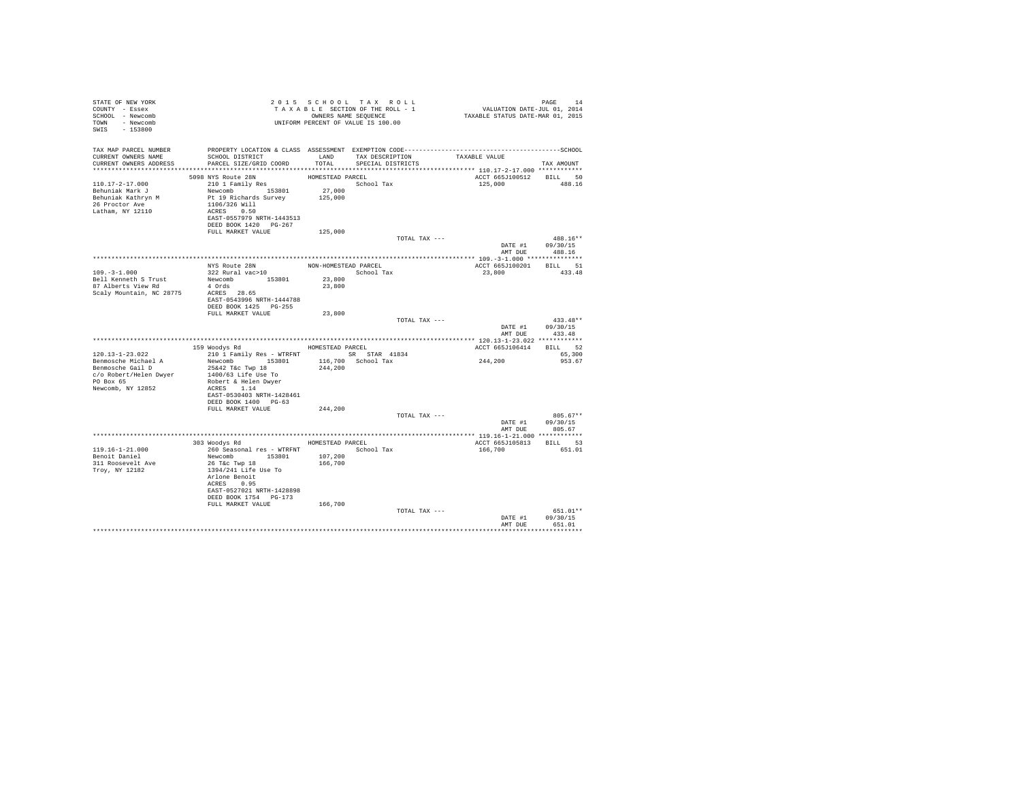| STATE OF NEW YORK<br>COUNTY - Essex<br>SCHOOL - Newcomb<br>TOWN - Newcomb<br>SWIS - 153800                                   |                                                                                                                                                                                                                                       |                      | 2015 SCHOOL TAX ROLL<br>UNIFORM PERCENT OF VALUE IS 100.00 | PAGE 14 ERGETION TAX ROLL TO VALUATION DATE-UIL 1999 2 14 EXTION OF THE ROLL - 1<br>TAXABLE SECTION OF THE ROLL - 1 VALUATION DATE-VIL 01, 2014<br>OWNEES NAME SEQUENCE 1 TAXABLE STATUS DATE-MAR 01, 2015 | PAGE<br>14                                       |
|------------------------------------------------------------------------------------------------------------------------------|---------------------------------------------------------------------------------------------------------------------------------------------------------------------------------------------------------------------------------------|----------------------|------------------------------------------------------------|------------------------------------------------------------------------------------------------------------------------------------------------------------------------------------------------------------|--------------------------------------------------|
| TAX MAP PARCEL NUMBER<br>CURRENT OWNERS NAME<br>CURRENT OWNERS ADDRESS PARCEL SIZE/GRID COORD TOTAL SPECIAL DISTRICTS        | SCHOOL DISTRICT TAND TAX DESCRIPTION                                                                                                                                                                                                  |                      |                                                            | PROPERTY LOCATION & CLASS ASSESSMENT EXEMPTION CODE-----------------------------------SCHOOL<br>TAXABLE VALUE                                                                                              | TAX AMOUNT                                       |
|                                                                                                                              |                                                                                                                                                                                                                                       |                      |                                                            |                                                                                                                                                                                                            |                                                  |
| $110.17 - 2 - 17.000$<br>Behuniak Mark J<br>Behuniak Kathryn M<br>26 Proctor Ave<br>Latham, NY 12110                         | 5098 NYS Route 28N<br>210 1 Family Res<br>210 1 Family Res<br>Newcomb 153801 27,000<br>Pride and the school Tax<br>125,000<br>215,000<br>215,000<br>1106/326 Will<br>ACRES 0.50<br>EAST-0557979 NRTH-1443513<br>DEED BOOK 1420 PG-267 | HOMESTEAD PARCEL     |                                                            | ACCT 665J100512 BILL 50<br>125,000                                                                                                                                                                         | 488.16                                           |
|                                                                                                                              | FULL MARKET VALUE                                                                                                                                                                                                                     | 125,000              |                                                            |                                                                                                                                                                                                            |                                                  |
|                                                                                                                              |                                                                                                                                                                                                                                       |                      | TOTAL TAX ---                                              |                                                                                                                                                                                                            | 488.16**<br>DATE #1 09/30/15<br>AMT DUE 488.16   |
|                                                                                                                              |                                                                                                                                                                                                                                       |                      |                                                            |                                                                                                                                                                                                            |                                                  |
|                                                                                                                              | NYS Route 28N<br>322 Rural vac>10                                                                                                                                                                                                     | NON-HOMESTEAD PARCEL |                                                            | ACCT 665J100201 BILL 51                                                                                                                                                                                    |                                                  |
| $109. -3 - 1.000$<br>Bell Kenneth S Trust<br>87 Alberts View Rd<br>Scaly Mountain, NC 28775 ACRES 28.65                      | Newcomb 153801<br>4 Ords<br>EAST-0543996 NRTH-1444788                                                                                                                                                                                 | 23,800<br>23,800     | School Tax                                                 | 23,800 433.48                                                                                                                                                                                              |                                                  |
|                                                                                                                              | DEED BOOK 1425 PG-255                                                                                                                                                                                                                 |                      |                                                            |                                                                                                                                                                                                            |                                                  |
|                                                                                                                              | FULL MARKET VALUE                                                                                                                                                                                                                     | 23,800               | TOTAL TAX ---                                              |                                                                                                                                                                                                            | $433.48**$                                       |
|                                                                                                                              |                                                                                                                                                                                                                                       |                      |                                                            | AMT DUE                                                                                                                                                                                                    | DATE #1 09/30/15<br>433.48                       |
|                                                                                                                              |                                                                                                                                                                                                                                       |                      |                                                            |                                                                                                                                                                                                            |                                                  |
| $120.13 - 1 - 23.022$                                                                                                        | 159 Woodys Rd MOMESTEAD PARCEL<br>210 1 Family Res - WTRFNT SR STAR 41834                                                                                                                                                             |                      |                                                            | ACCT 665J106414 BILL 52                                                                                                                                                                                    | 65,300                                           |
| Benmosche Michael A<br>Benmosche Gail D<br>$c$ /o Robert/Helen Dwyer $1400/63$ Life Use To<br>PO Box 65<br>Newcomb, NY 12852 | Newcomb 153801 116,700 School Tax<br>25&42 T&c Twp 18<br>Robert & Helen Dwyer<br>ACRES 1.14<br>EAST-0530403 NRTH-1428461<br>DEED BOOK 1400 PG-63                                                                                      | 244,200              |                                                            | 244, 200                                                                                                                                                                                                   | 953.67                                           |
|                                                                                                                              | FULL MARKET VALUE                                                                                                                                                                                                                     | 244,200              |                                                            |                                                                                                                                                                                                            |                                                  |
|                                                                                                                              |                                                                                                                                                                                                                                       |                      | TOTAL TAX ---                                              |                                                                                                                                                                                                            | $805.67**$<br>DATE #1 09/30/15<br>AMT DUE 805.67 |
|                                                                                                                              | 303 Woodys Rd MOMESTEAD PARCEL                                                                                                                                                                                                        |                      |                                                            |                                                                                                                                                                                                            |                                                  |
| 119.16-1-21.000                                                                                                              | 260 Seasonal res - WTRFNT <a></a> School Tax                                                                                                                                                                                          |                      |                                                            | ACCT 665J105813 BILL 53<br>166,700                                                                                                                                                                         | 651.01                                           |
| Benoit Daniel<br>311 Roosevelt Ave<br>Troy, NY 12182                                                                         | Newcomb 153801 107,200<br>26 T&C Twp 18<br>1394/241 Life Use To<br>Arlone Benoit<br>ACRES 0.95<br>EAST-0527021 NRTH-1428898<br>DEED BOOK 1754 PG-173                                                                                  | 166,700              |                                                            |                                                                                                                                                                                                            |                                                  |
|                                                                                                                              | FULL MARKET VALUE                                                                                                                                                                                                                     | 166,700              | TOTAL TAX ---                                              |                                                                                                                                                                                                            | 651.01**                                         |
|                                                                                                                              |                                                                                                                                                                                                                                       |                      |                                                            |                                                                                                                                                                                                            | DATE #1 09/30/15<br>AMT DUE 651.01               |
|                                                                                                                              |                                                                                                                                                                                                                                       |                      |                                                            |                                                                                                                                                                                                            |                                                  |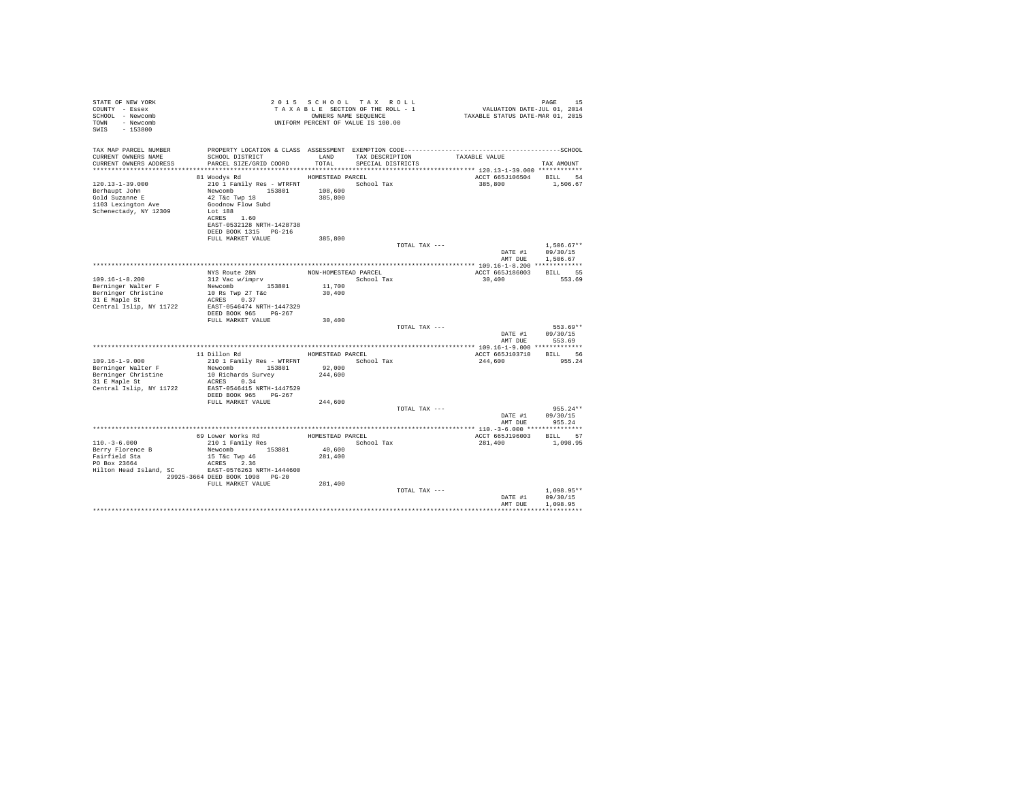| STATE OF NEW YORK<br>COUNTY - Essex<br>SCHOOL - Newcomb<br>TOWN - Newcomb<br>$-153800$<br>SWTS          |                                                                                                                                                                  |                    | 2015 SCHOOL TAX ROLL<br>TAXABLE SECTION OF THE ROLL - 1<br>OWNERS NAME SEOUENCE<br>UNIFORM PERCENT OF VALUE IS 100.00 | PAGE 15<br>VALUATION DATE-JUL 01, 2014<br>TAXABLE STATUS DATE-MAR 01, 2015 | PAGE<br>15                             |
|---------------------------------------------------------------------------------------------------------|------------------------------------------------------------------------------------------------------------------------------------------------------------------|--------------------|-----------------------------------------------------------------------------------------------------------------------|----------------------------------------------------------------------------|----------------------------------------|
| TAX MAP PARCEL NUMBER<br>CURRENT OWNERS NAME<br>CURRENT OWNERS ADDRESS                                  | SCHOOL DISTRICT<br>PARCEL SIZE/GRID COORD                                                                                                                        | LAND<br>TOTAL.     | TAX DESCRIPTION<br>SPECIAL DISTRICTS                                                                                  | TAXABLE VALUE                                                              | TAX AMOUNT                             |
|                                                                                                         |                                                                                                                                                                  |                    |                                                                                                                       |                                                                            |                                        |
|                                                                                                         | 81 Woodys Rd                                                                                                                                                     | HOMESTEAD PARCEL   |                                                                                                                       | ACCT 665J106504 BILL 54                                                    |                                        |
| $120.13 - 1 - 39.000$<br>Berhaupt John<br>Gold Suzanne E<br>1103 Lexington Ave<br>Schenectady, NY 12309 | 210 1 Family Res - WTRFNT               School Tax<br>Newcomb 153801<br>42 T&C Twp 18<br>Goodnow Flow Subd<br>Lot 188<br>ACRES 1.60<br>EAST-0532128 NRTH-1428738 | 108,600<br>385,800 |                                                                                                                       | 385,800                                                                    | 1,506.67                               |
|                                                                                                         | DEED BOOK 1315 PG-216                                                                                                                                            |                    |                                                                                                                       |                                                                            |                                        |
|                                                                                                         | FULL MARKET VALUE                                                                                                                                                | 385,800            | TOTAL TAX ---                                                                                                         |                                                                            | $1.506.67**$<br>DATE #1 09/30/15       |
|                                                                                                         |                                                                                                                                                                  |                    |                                                                                                                       | AMT DUE                                                                    | 1,506.67                               |
|                                                                                                         |                                                                                                                                                                  |                    |                                                                                                                       | ACCT 665J186003                                                            | <b>BTLL</b> 55                         |
| $109.16 - 1 - 8.200$                                                                                    | NYS Route 28N MON-HOMESTEAD PARCEL<br>312 Vac w/imprv School T                                                                                                   | School Tax         |                                                                                                                       | 30,400                                                                     | 553.69                                 |
| Berninger Walter F                                                                                      |                                                                                                                                                                  | 11,700             |                                                                                                                       |                                                                            |                                        |
| Berninger Christine                                                                                     | Newcomb 153801<br>10 Rs Twp 27 T&c                                                                                                                               | 30,400             |                                                                                                                       |                                                                            |                                        |
| 31 E Maple St                                                                                           | ACRES 0.37                                                                                                                                                       |                    |                                                                                                                       |                                                                            |                                        |
| Central Islip, NY 11722                                                                                 | EAST-0546474 NRTH-1447329                                                                                                                                        |                    |                                                                                                                       |                                                                            |                                        |
|                                                                                                         | DEED BOOK 965 PG-267                                                                                                                                             |                    |                                                                                                                       |                                                                            |                                        |
|                                                                                                         | FULL MARKET VALUE                                                                                                                                                | 30,400             |                                                                                                                       |                                                                            |                                        |
|                                                                                                         |                                                                                                                                                                  |                    | TOTAL TAX ---                                                                                                         | AMT DUE                                                                    | 553.69**<br>DATE #1 09/30/15<br>553.69 |
|                                                                                                         |                                                                                                                                                                  |                    |                                                                                                                       |                                                                            |                                        |
|                                                                                                         | 11 Dillon Rd                                                                                                                                                     | HOMESTEAD PARCEL   |                                                                                                                       | ACCT 665J103710 BILL 56                                                    |                                        |
| $109.16 - 1 - 9.000$                                                                                    | 210 1 Family Res - WTRFNT                                                                                                                                        |                    | School Tax                                                                                                            | 244,600                                                                    | 955.24                                 |
| Berninger Walter F                                                                                      | Newcomb 153801                                                                                                                                                   | 92,000             |                                                                                                                       |                                                                            |                                        |
| Berninger Christine<br>31 E Maple St                                                                    | 10 Richards Survey                                                                                                                                               | 244,600            |                                                                                                                       |                                                                            |                                        |
|                                                                                                         | ACRES 0.34                                                                                                                                                       |                    |                                                                                                                       |                                                                            |                                        |
| Central Islip, NY 11722                                                                                 | EAST-0546415 NRTH-1447529                                                                                                                                        |                    |                                                                                                                       |                                                                            |                                        |
|                                                                                                         | DEED BOOK 965 PG-267<br>FULL MARKET VALUE                                                                                                                        | 244,600            |                                                                                                                       |                                                                            |                                        |
|                                                                                                         |                                                                                                                                                                  |                    | TOTAL TAX ---                                                                                                         |                                                                            | $955.24**$                             |
|                                                                                                         |                                                                                                                                                                  |                    |                                                                                                                       | DATE #1<br>AMT DUE                                                         | 09/30/15<br>955.24                     |
|                                                                                                         |                                                                                                                                                                  |                    |                                                                                                                       |                                                                            |                                        |
|                                                                                                         |                                                                                                                                                                  |                    |                                                                                                                       | ACCT 665J196003 BILL 57                                                    |                                        |
| $110. - 3 - 6.000$                                                                                      |                                                                                                                                                                  |                    | School Tax                                                                                                            | 281,400                                                                    | 1,098.95                               |
| Berry Florence B                                                                                        | Newcomb 153801                                                                                                                                                   | 40,600             |                                                                                                                       |                                                                            |                                        |
| Fairfield Sta                                                                                           | 15 T&C Twp 46                                                                                                                                                    | 281,400            |                                                                                                                       |                                                                            |                                        |
| PO Box 23664<br>Hilton Head Island, SC BAST-0576263 NRTH-1444600                                        | ACRES 2.36                                                                                                                                                       |                    |                                                                                                                       |                                                                            |                                        |
|                                                                                                         | 29925-3664 DEED BOOK 1098 PG-20                                                                                                                                  |                    |                                                                                                                       |                                                                            |                                        |
|                                                                                                         | FULL MARKET VALUE                                                                                                                                                | 281,400            |                                                                                                                       |                                                                            |                                        |
|                                                                                                         |                                                                                                                                                                  |                    | TOTAL TAX ---                                                                                                         |                                                                            | $1.098.95**$                           |
|                                                                                                         |                                                                                                                                                                  |                    |                                                                                                                       | DATE #1                                                                    | 09/30/15                               |
|                                                                                                         |                                                                                                                                                                  |                    |                                                                                                                       | AMT DUE                                                                    | 1,098.95                               |
|                                                                                                         |                                                                                                                                                                  |                    |                                                                                                                       |                                                                            |                                        |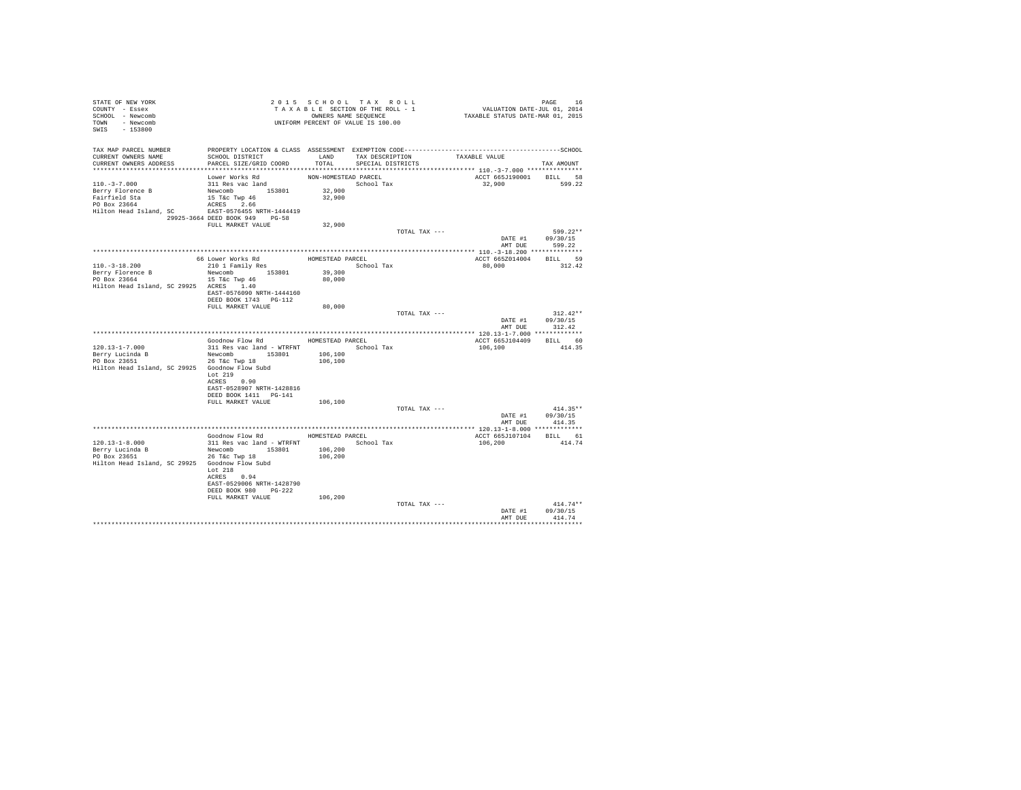| STATE OF NEW YORK<br>COUNTY - Essex<br>SCHOOL - Newcomb<br>TOWN - Newcomb<br>SWIS - 153800                              | T A X A B L E SECTION OF THE RULL - T<br>OWNERS NAME SEQUENCE<br>UNIFORM PERCENT OF VALUE IS 100.00                                        |                                          | TAXABLE SECTION OF THE ROLL - 1           | PAGE 16<br>VALUATION DATE-JUL 01, 2014<br>TAXABLE STATUS DATE-MAR 01, 2015 |                                                |
|-------------------------------------------------------------------------------------------------------------------------|--------------------------------------------------------------------------------------------------------------------------------------------|------------------------------------------|-------------------------------------------|----------------------------------------------------------------------------|------------------------------------------------|
| TAX MAP PARCEL NUMBER<br>CURRENT OWNERS NAME<br>CURRENT OWNERS ADDRESS                                                  | SCHOOL DISTRICT<br>PARCEL SIZE/GRID COORD                                                                                                  | TOTAL                                    | LAND TAX DESCRIPTION<br>SPECIAL DISTRICTS | TAXABLE VALUE                                                              | TAX AMOUNT                                     |
| $110.-3-7.000$<br>Berry Florence B<br>Fairfield Sta<br>PO Box 23664<br>Hilton Head Island, SC EAST-0576455 NRTH-1444419 | Lower Works Rd<br>311 Res vac land<br>Newcomb 153801<br>15 T&c Twp 46<br>aCRES 266<br>ACRES 2.66<br>29925-3664 DEED BOOK 949 PG-58         | NON-HOMESTEAD PARCEL<br>32,900<br>32,900 | School Tax                                | ACCT 665J190001<br>32,900 599.22                                           | BILL 58                                        |
|                                                                                                                         | FULL MARKET VALUE                                                                                                                          | 32,900                                   |                                           |                                                                            |                                                |
|                                                                                                                         |                                                                                                                                            |                                          |                                           | TOTAL TAX ---                                                              | 599.22**<br>DATE #1 09/30/15<br>AMT DUE 599.22 |
|                                                                                                                         |                                                                                                                                            |                                          |                                           |                                                                            |                                                |
| $110.-3-18.200$<br>Berry Florence B<br>PO Box 23664<br>Hilton Head Island, SC 29925 ACRES 1.40                          | Newcomb 153801<br>15 T&C Twp 46                                                                                                            | School Tax<br>39,300<br>80,000           |                                           | ACCT 665Z014004 BILL 59<br>80,000                                          | 312.42                                         |
|                                                                                                                         | EAST-0576090 NRTH-1444160<br>DEED BOOK 1743 PG-112<br>FULL MARKET VALUE                                                                    | 80,000                                   |                                           | TOTAL TAX ---                                                              | $312.42**$                                     |
|                                                                                                                         |                                                                                                                                            |                                          |                                           | AMT DUE                                                                    | DATE #1 09/30/15<br>312.42                     |
|                                                                                                                         |                                                                                                                                            |                                          |                                           |                                                                            |                                                |
| $120.13 - 1 - 7.000$                                                                                                    | Goodnow Flow Rd MOMESTEAD PARCEL<br>311 Res vac land - WTRFNT                                                                              |                                          | School Tax                                | ACCT 665J104409 BILL 60<br>106,100                                         | 414.35                                         |
| Berry Lucinda B<br>PO Box 23651<br>Hilton Head Island, SC 29925 Goodnow Flow Subd                                       | Newcomb 153801<br>26 T&C Twp 18<br>Lot 219                                                                                                 | 106,100<br>106,100                       |                                           |                                                                            |                                                |
|                                                                                                                         | ACRES 0.90<br>EAST-0528907 NRTH-1428816<br>DEED BOOK 1411 PG-141<br>FULL MARKET VALUE                                                      |                                          |                                           |                                                                            |                                                |
|                                                                                                                         |                                                                                                                                            | 106,100                                  |                                           | TOTAL TAX ---                                                              | $414.35**$<br>DATE #1 09/30/15                 |
|                                                                                                                         |                                                                                                                                            |                                          |                                           |                                                                            | AMT DUE 414.35                                 |
|                                                                                                                         | Goodnow Flow Rd MOMESTEAD PARCEL                                                                                                           |                                          |                                           |                                                                            |                                                |
| 120.13-1-8.000<br>Berry Lucinda B<br>PO Box 23651<br>Hilton Head Island, SC 29925 Goodnow Flow Subd                     | 311 Res vac land - WTRFNT<br>Newcomb 153801<br>26 T&C Twp 18<br>Lot 218<br>ACRES 0.94<br>EAST-0529006 NRTH-1428790<br>DEED BOOK 980 PG-222 | 106,200<br>106,200                       | School Tax                                | ACCT 665J107104 BILL 61<br>106,200                                         | 414.74                                         |
|                                                                                                                         | FULL MARKET VALUE                                                                                                                          | 106,200                                  |                                           | TOTAL TAX ---<br>DATE #1                                                   | $414.74**$<br>09/30/15                         |
|                                                                                                                         |                                                                                                                                            |                                          |                                           | AMT DUE                                                                    | 414.74                                         |
|                                                                                                                         |                                                                                                                                            |                                          |                                           |                                                                            |                                                |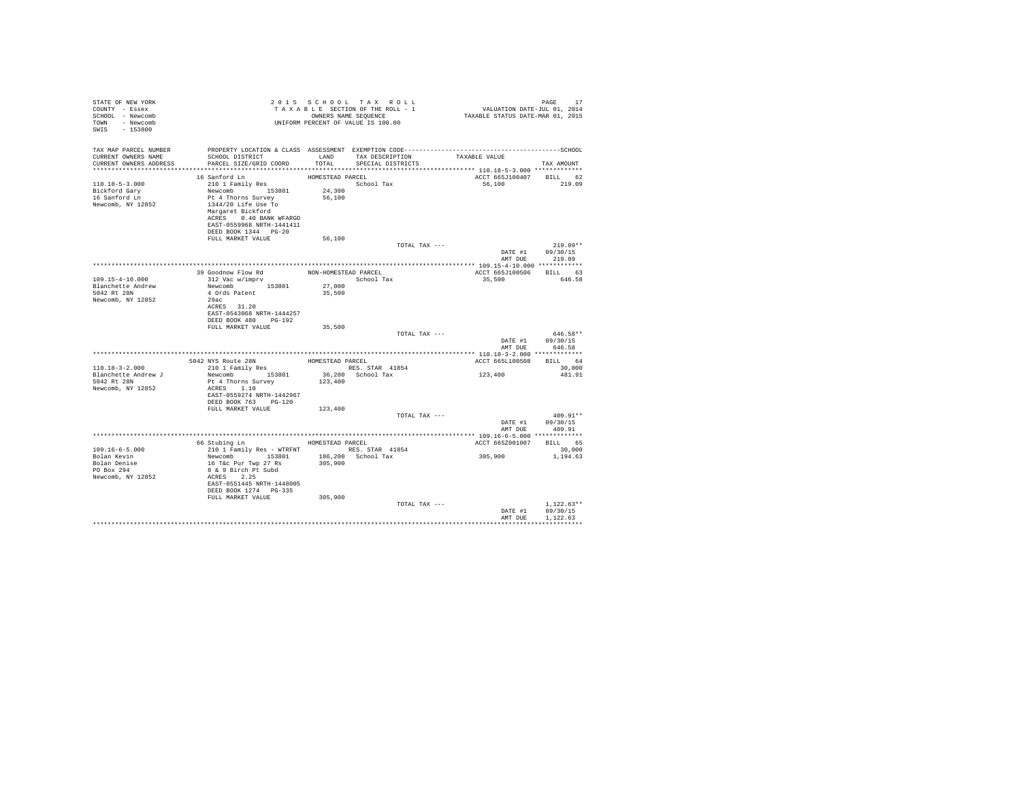| STATE OF NEW YORK<br>COUNTY - Essex<br>SCHOOL - Newcomb<br>TOWN - Newcomb<br>SWIS - 153800 |                                                                                                                                                                                                                                                            |                                      | 2015 SCHOOL TAX ROLL<br>UNIFORM PERCENT OF VALUE IS 100.00 |                                                                                                               | PAGE<br>17                           |
|--------------------------------------------------------------------------------------------|------------------------------------------------------------------------------------------------------------------------------------------------------------------------------------------------------------------------------------------------------------|--------------------------------------|------------------------------------------------------------|---------------------------------------------------------------------------------------------------------------|--------------------------------------|
| TAX MAP PARCEL NUMBER<br>CURRENT OWNERS NAME<br>CURRENT OWNERS ADDRESS                     | SCHOOL DISTRICT<br>PARCEL SIZE/GRID COORD TOTAL                                                                                                                                                                                                            |                                      | LAND TAX DESCRIPTION<br>SPECIAL DISTRICTS                  | PROPERTY LOCATION & CLASS ASSESSMENT EXEMPTION CODE-----------------------------------SCHOOL<br>TAXABLE VALUE | TAX AMOUNT                           |
|                                                                                            |                                                                                                                                                                                                                                                            |                                      |                                                            |                                                                                                               |                                      |
| $110.18 - 5 - 3.000$<br>Bickford Gary<br>16 Sanford Ln<br>Newcomb, NY 12852                | 16 Sanford Ln<br>210 1 Family Res<br>Newcomb 153801<br>Pt 4 Thorns Survey<br>1344/20 Life Use To<br>Margaret Bickford<br>ACRES 0.40 BANK WFARGO<br>EAST-0559968 NRTH-1441411<br>DEED BOOK 1344 PG-20                                                       | HOMESTEAD PARCEL<br>24,300<br>56,100 | School Tax                                                 | ACCT 665J100407 BILL 62<br>56,100                                                                             | 219.09                               |
|                                                                                            | FULL MARKET VALUE                                                                                                                                                                                                                                          | 56,100                               |                                                            |                                                                                                               |                                      |
|                                                                                            |                                                                                                                                                                                                                                                            |                                      | TOTAL TAX ---                                              | DATE #1<br>AMT DUE                                                                                            | $219.09**$<br>09/30/15<br>219.09     |
|                                                                                            |                                                                                                                                                                                                                                                            |                                      |                                                            |                                                                                                               |                                      |
|                                                                                            | 39 Goodnow Flow Rd $$\tt{NON-HOMESTEAD}$ PARCEL 312 Vac $\rm w/imprv$ $$\tt School~Ti$$                                                                                                                                                                    |                                      |                                                            | ACCT 665J100506 BILL 63                                                                                       |                                      |
| 109.15-4-10.000<br>Blanchette Andrew<br>5042 Rt 28N<br>Newcomb, NY 12852                   | Newcomb 153801<br>4 Ords Patent<br>29ac<br>ACRES 31.20<br>EAST-0543068 NRTH-1444257<br>DEED BOOK 480 PG-192                                                                                                                                                | 27,000<br>35,500                     | School Tax                                                 | 35,500                                                                                                        | 646.58                               |
|                                                                                            | FULL MARKET VALUE                                                                                                                                                                                                                                          | 35,500                               |                                                            |                                                                                                               |                                      |
|                                                                                            |                                                                                                                                                                                                                                                            |                                      | TOTAL TAX ---                                              | DATE #1<br>AMT DUE                                                                                            | 646.58**<br>09/30/15<br>646.58       |
|                                                                                            |                                                                                                                                                                                                                                                            |                                      |                                                            |                                                                                                               |                                      |
|                                                                                            | 5042 NYS Route 28N HOMESTEAD PARCEL<br>210 1 Family Res RES. STAR 41854                                                                                                                                                                                    |                                      |                                                            | ACCT 665L100508                                                                                               | BILL 64                              |
| $110.18 - 3 - 2.000$<br>Blanchette Andrew J<br>5042 Rt 28N<br>Newcomb, NY 12852            | Pt 4 Thorns Survey<br>ACRES 1.10<br>EAST-0559274 NRTH-1442967<br>DEED BOOK 763 PG-120<br>FULL MARKET VALUE                                                                                                                                                 | 123,400<br>123,400                   |                                                            | 123,400                                                                                                       | 30,000<br>481.91                     |
|                                                                                            |                                                                                                                                                                                                                                                            |                                      | TOTAL TAX ---                                              |                                                                                                               | $409.91**$                           |
|                                                                                            |                                                                                                                                                                                                                                                            |                                      |                                                            | DATE #1<br>AMT DUE                                                                                            | 09/30/15<br>409.91                   |
|                                                                                            |                                                                                                                                                                                                                                                            |                                      |                                                            |                                                                                                               |                                      |
| $109.16 - 6 - 5.000$<br>Bolan Kevin<br>Bolan Denise<br>PO Box 294<br>Newcomb, NY 12852     | 66 Stubing Ln MOMESTEAD PARCEL<br>210 1 Family Res - WTRFNT RES. STAR 41854<br>Newcomb 153801 186,200 School Tax<br>16 T&c Pur Twp 27 Rs<br>8 & 9 Birch Pt Subd<br>ACRES 2.25<br>EAST-0551445 NRTH-1448005<br>DEED BOOK 1274   PG-335<br>FULL MARKET VALUE | 305,900<br>305,900                   |                                                            | ACCT 665Z001007<br>305,900                                                                                    | BILL 65<br>30.000<br>1,194.63        |
|                                                                                            |                                                                                                                                                                                                                                                            |                                      | TOTAL TAX ---                                              | DATE #1<br>AMT DUE                                                                                            | $1.122.63**$<br>09/30/15<br>1,122.63 |
|                                                                                            |                                                                                                                                                                                                                                                            |                                      |                                                            |                                                                                                               |                                      |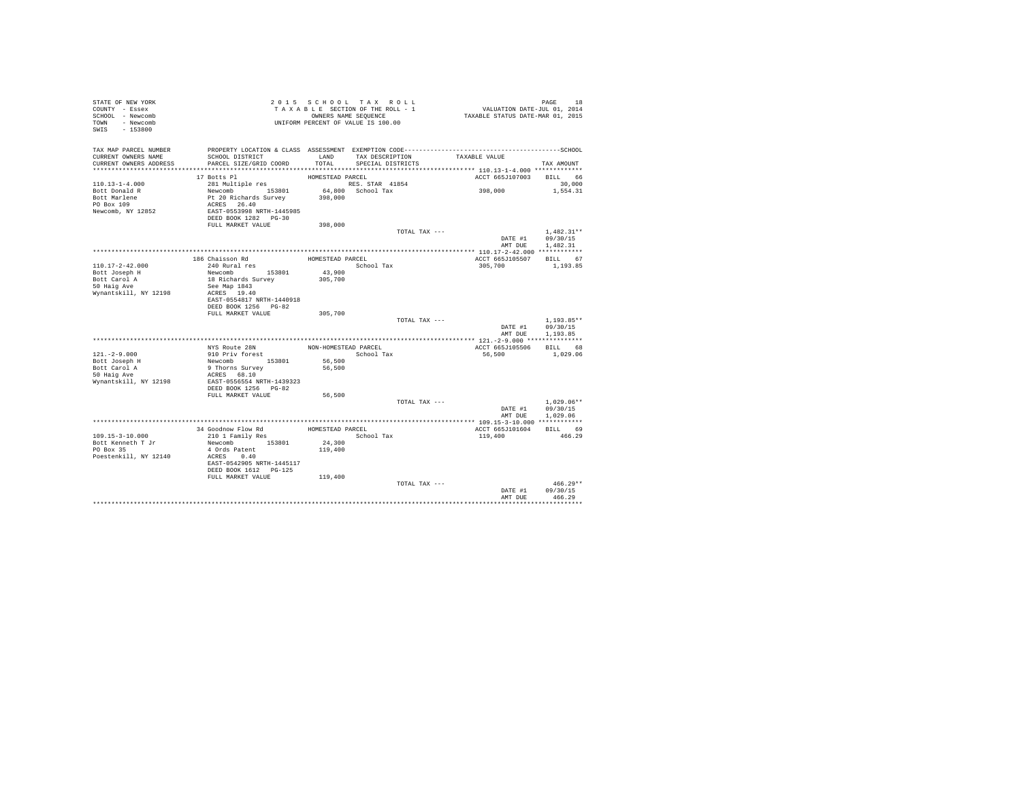| STATE OF NEW YORK<br>COUNTY - Essex<br>SCHOOL - Newcomb<br>TOWN - Newcomb<br>SWIS - 153800 |                                                                              |                  | 2015 SCHOOL TAX ROLL<br>TAXABLE SECTION OF THE ROLL - 1<br>OWNERS NAME SEQUENCE<br>UNIFORM PERCENT OF VALUE IS 100.00 | PAGE 18<br>VALUATION DATE-JUL 01, 2014<br>TAXABLE STATUS DATE-MAR 01, 2015 |                                  |
|--------------------------------------------------------------------------------------------|------------------------------------------------------------------------------|------------------|-----------------------------------------------------------------------------------------------------------------------|----------------------------------------------------------------------------|----------------------------------|
| TAX MAP PARCEL NUMBER<br>CURRENT OWNERS NAME<br>CURRENT OWNERS ADDRESS                     | SCHOOL DISTRICT<br>PARCEL SIZE/GRID COORD                                    | LAND<br>TOTAL    | TAX DESCRIPTION<br>SPECIAL DISTRICTS                                                                                  | TAXABLE VALUE                                                              | TAX AMOUNT                       |
|                                                                                            | 17 Botts Pl                                                                  | HOMESTEAD PARCEL |                                                                                                                       | ACCT 665J107003 BILL 66                                                    |                                  |
| $110.13 - 1 - 4.000$                                                                       | 281 Multiple res                                                             |                  | RES. STAR 41854                                                                                                       |                                                                            | 30,000                           |
| Bott Donald R<br>Bott Marlene                                                              |                                                                              | 398,000          | 64,800 School Tax                                                                                                     | 398,000                                                                    | 1,554.31                         |
| PO Box 109                                                                                 |                                                                              |                  |                                                                                                                       |                                                                            |                                  |
| Newcomb, NY 12852                                                                          | Newcomb<br>Pt 20 Richards Survey<br>ACRES 26.40<br>EAST-0553998 NRTH-1445985 |                  |                                                                                                                       |                                                                            |                                  |
|                                                                                            | DEED BOOK 1282 PG-30                                                         |                  |                                                                                                                       |                                                                            |                                  |
|                                                                                            | FULL MARKET VALUE                                                            | 398,000          |                                                                                                                       |                                                                            |                                  |
|                                                                                            |                                                                              |                  | TOTAL TAX ---                                                                                                         |                                                                            | $1,482.31**$<br>DATE #1 09/30/15 |
|                                                                                            |                                                                              |                  |                                                                                                                       | AMT DUE                                                                    | 1,482.31                         |
|                                                                                            |                                                                              |                  |                                                                                                                       |                                                                            |                                  |
|                                                                                            | 186 Chaisson Rd                                                              | HOMESTEAD PARCEL |                                                                                                                       | ACCT 665J105507 BILL 67                                                    |                                  |
| 110.17-2-42.000                                                                            | 240 Rural res                                                                |                  | School Tax                                                                                                            | 305,700                                                                    | 1,193.85                         |
| Bott Joseph H                                                                              | Newcomb 153801                                                               | 43,900           |                                                                                                                       |                                                                            |                                  |
| Bott Carol A<br>50 Haig Ave                                                                | 18 Richards Survey<br>See Map 1843                                           | 305,700          |                                                                                                                       |                                                                            |                                  |
| Wynantskill, NY 12198                                                                      | ACRES 19.40                                                                  |                  |                                                                                                                       |                                                                            |                                  |
|                                                                                            | EAST-0554817 NRTH-1440918                                                    |                  |                                                                                                                       |                                                                            |                                  |
|                                                                                            | DEED BOOK 1256 PG-82                                                         |                  |                                                                                                                       |                                                                            |                                  |
|                                                                                            | FULL MARKET VALUE                                                            | 305,700          | TOTAL TAX ---                                                                                                         |                                                                            | $1.193.85**$                     |
|                                                                                            |                                                                              |                  |                                                                                                                       |                                                                            | DATE #1 09/30/15                 |
|                                                                                            |                                                                              |                  |                                                                                                                       | AMT DUE                                                                    | 1,193.85                         |
|                                                                                            |                                                                              |                  |                                                                                                                       |                                                                            |                                  |
|                                                                                            | NYS Route 28N                                                                |                  | NON-HOMESTEAD PARCEL                                                                                                  | ACCT 665J105506                                                            | BILL 68                          |
| $121. - 2 - 9.000$<br>Bott Joseph H                                                        | 910 Priv forest<br>Newcomb 153801                                            | 56,500           | School Tax                                                                                                            | 56,500                                                                     | 1,029.06                         |
|                                                                                            | 9 Thorns Survey                                                              | 56,500           |                                                                                                                       |                                                                            |                                  |
| soct Carol A<br>50 Haig Ave<br>Www.                                                        | ACRES 68.10                                                                  |                  |                                                                                                                       |                                                                            |                                  |
| Wynantskill, NY 12198                                                                      | EAST-0556554 NRTH-1439323                                                    |                  |                                                                                                                       |                                                                            |                                  |
|                                                                                            | DEED BOOK 1256 PG-82                                                         |                  |                                                                                                                       |                                                                            |                                  |
|                                                                                            | FULL MARKET VALUE                                                            | 56,500           | TOTAL TAX ---                                                                                                         |                                                                            | $1,029.06**$                     |
|                                                                                            |                                                                              |                  |                                                                                                                       |                                                                            | DATE #1 09/30/15                 |
|                                                                                            |                                                                              |                  |                                                                                                                       | AMT DUE                                                                    | 1,029.06                         |
|                                                                                            | **************************************                                       |                  |                                                                                                                       | ***************** 109.15-3-10.000 ************                             |                                  |
|                                                                                            | 34 Goodnow Flow Rd                                                           | HOMESTEAD PARCEL |                                                                                                                       | ACCT 665J101604                                                            | BILL 69                          |
| 109.15-3-10.000<br>Bott Kenneth T Jr                                                       | 210 1 Family Res<br>Newcomb 153801                                           | 24,300           | School Tax                                                                                                            | 119,400                                                                    | 466.29                           |
| PO Box 35                                                                                  | 4 Ords Patent                                                                | 119,400          |                                                                                                                       |                                                                            |                                  |
| Poestenkill, NY 12140                                                                      | ACRES 0.40                                                                   |                  |                                                                                                                       |                                                                            |                                  |
|                                                                                            | EAST-0542905 NRTH-1445117                                                    |                  |                                                                                                                       |                                                                            |                                  |
|                                                                                            | DEED BOOK 1612 PG-125                                                        |                  |                                                                                                                       |                                                                            |                                  |
|                                                                                            | FULL MARKET VALUE 119,400                                                    |                  | TOTAL TAX ---                                                                                                         |                                                                            | $466.29**$                       |
|                                                                                            |                                                                              |                  |                                                                                                                       | DATE #1                                                                    | 09/30/15                         |
|                                                                                            |                                                                              |                  |                                                                                                                       | AMT DUE                                                                    | 466.29                           |
|                                                                                            |                                                                              |                  |                                                                                                                       |                                                                            |                                  |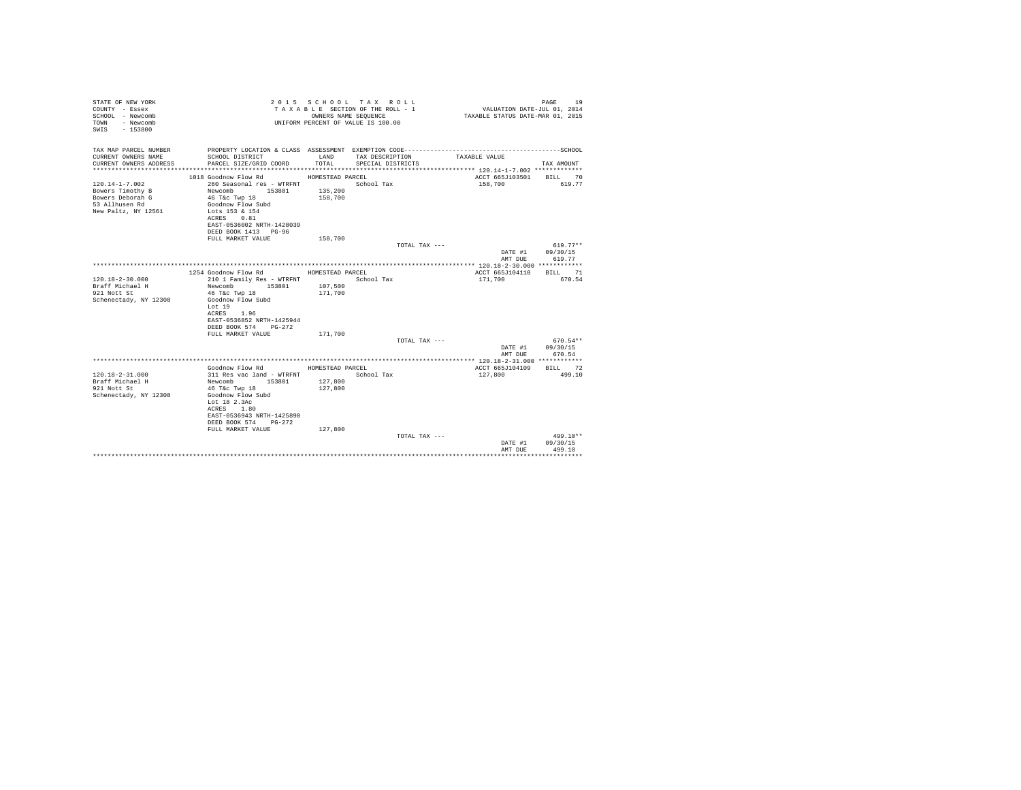| STATE OF NEW YORK<br>COUNTY - Essex<br>SCHOOL - Newcomb<br>- Newcomb<br>TOWN<br>$-153800$<br>SWTS |                                                   |                    | 2015 SCHOOL TAX ROLL<br>TAXABLE SECTION OF THE ROLL - 1<br>OWNERS NAME SEQUENCE<br>UNIFORM PERCENT OF VALUE IS 100.00 | VALUATION DATE-JUL 01, 2014<br>TAXABLE STATUS DATE-MAR 01, 2015 | 19<br>PAGE |
|---------------------------------------------------------------------------------------------------|---------------------------------------------------|--------------------|-----------------------------------------------------------------------------------------------------------------------|-----------------------------------------------------------------|------------|
| TAX MAP PARCEL NUMBER                                                                             |                                                   |                    |                                                                                                                       |                                                                 |            |
| CURRENT OWNERS NAME<br>CURRENT OWNERS ADDRESS                                                     | SCHOOL DISTRICT<br>PARCEL SIZE/GRID COORD         | LAND<br>TOTAL.     | TAX DESCRIPTION<br>SPECIAL DISTRICTS                                                                                  | TAXABLE VALUE                                                   | TAX AMOUNT |
|                                                                                                   |                                                   |                    |                                                                                                                       |                                                                 |            |
|                                                                                                   | 1018 Goodnow Flow Rd                              | HOMESTEAD PARCEL   |                                                                                                                       | ACCT 665J103501                                                 | BILL 70    |
| $120.14 - 1 - 7.002$                                                                              | 260 Seasonal res - WTRFNT                         |                    | School Tax                                                                                                            | 158,700                                                         | 619.77     |
| Bowers Timothy B<br>Bowers Deborah G                                                              | Newcomb 153801<br>46 T&c Twp 18                   | 135,200<br>158,700 |                                                                                                                       |                                                                 |            |
| 53 Allhusen Rd                                                                                    | Goodnow Flow Subd                                 |                    |                                                                                                                       |                                                                 |            |
| New Paltz, NY 12561                                                                               | Lots 153 & 154                                    |                    |                                                                                                                       |                                                                 |            |
|                                                                                                   | ACRES 0.81                                        |                    |                                                                                                                       |                                                                 |            |
|                                                                                                   | EAST-0536002 NRTH-1428039<br>DEED BOOK 1413 PG-96 |                    |                                                                                                                       |                                                                 |            |
|                                                                                                   | FULL MARKET VALUE                                 | 158,700            |                                                                                                                       |                                                                 |            |
|                                                                                                   |                                                   |                    | TOTAL TAX ---                                                                                                         |                                                                 | $619.77**$ |
|                                                                                                   |                                                   |                    |                                                                                                                       | DATE #1                                                         | 09/30/15   |
|                                                                                                   |                                                   |                    |                                                                                                                       | AMT DUE                                                         | 619.77     |
|                                                                                                   | 1254 Goodnow Flow Rd                              | HOMESTEAD PARCEL   |                                                                                                                       | ACCT 665J104110                                                 | BILL 71    |
| $120.18 - 2 - 30.000$                                                                             | 210 1 Family Res - WTRFNT                         |                    | School Tax                                                                                                            | 171,700                                                         | 670.54     |
| Braff Michael H                                                                                   | Newcomb 153801                                    | 107,500            |                                                                                                                       |                                                                 |            |
| 921 Nott St<br>Schenectady, NY 12308                                                              | 46 T&c Twp 18<br>Goodnow Flow Subd                | 171,700            |                                                                                                                       |                                                                 |            |
|                                                                                                   | Lot 19                                            |                    |                                                                                                                       |                                                                 |            |
|                                                                                                   | ACRES 1.96                                        |                    |                                                                                                                       |                                                                 |            |
|                                                                                                   | EAST-0536852 NRTH-1425944                         |                    |                                                                                                                       |                                                                 |            |
|                                                                                                   | DEED BOOK 574 PG-272<br>FULL MARKET VALUE         | 171,700            |                                                                                                                       |                                                                 |            |
|                                                                                                   |                                                   |                    | TOTAL TAX ---                                                                                                         |                                                                 | 670.54**   |
|                                                                                                   |                                                   |                    |                                                                                                                       | DATE #1                                                         | 09/30/15   |
|                                                                                                   |                                                   |                    |                                                                                                                       | AMT DUE                                                         | 670.54     |
|                                                                                                   | Goodnow Flow Rd                                   | HOMESTEAD PARCEL   |                                                                                                                       | ACCT 665J104109                                                 | BILL 72    |
| $120.18 - 2 - 31.000$                                                                             | 311 Res vac land - WTRFNT                         |                    | School Tax                                                                                                            | 127,800                                                         | 499.10     |
| Braff Michael H                                                                                   | Newcomb 153801                                    | 127,800            |                                                                                                                       |                                                                 |            |
| 921 Nott St                                                                                       | 46 T&c Twp 18                                     | 127,800            |                                                                                                                       |                                                                 |            |
| Schenectady, NY 12308                                                                             | Goodnow Flow Subd<br>Lot 18 2.3Ac                 |                    |                                                                                                                       |                                                                 |            |
|                                                                                                   | ACRES 1.80                                        |                    |                                                                                                                       |                                                                 |            |
|                                                                                                   | EAST-0536943 NRTH-1425890                         |                    |                                                                                                                       |                                                                 |            |
|                                                                                                   | DEED BOOK 574 PG-272                              |                    |                                                                                                                       |                                                                 |            |
|                                                                                                   | FULL MARKET VALUE                                 | 127,800            | TOTAL TAX ---                                                                                                         |                                                                 | 499.10**   |
|                                                                                                   |                                                   |                    |                                                                                                                       | DATE #1                                                         | 09/30/15   |
|                                                                                                   |                                                   |                    |                                                                                                                       | AMT DUE                                                         | 499.10     |
|                                                                                                   |                                                   |                    |                                                                                                                       |                                                                 |            |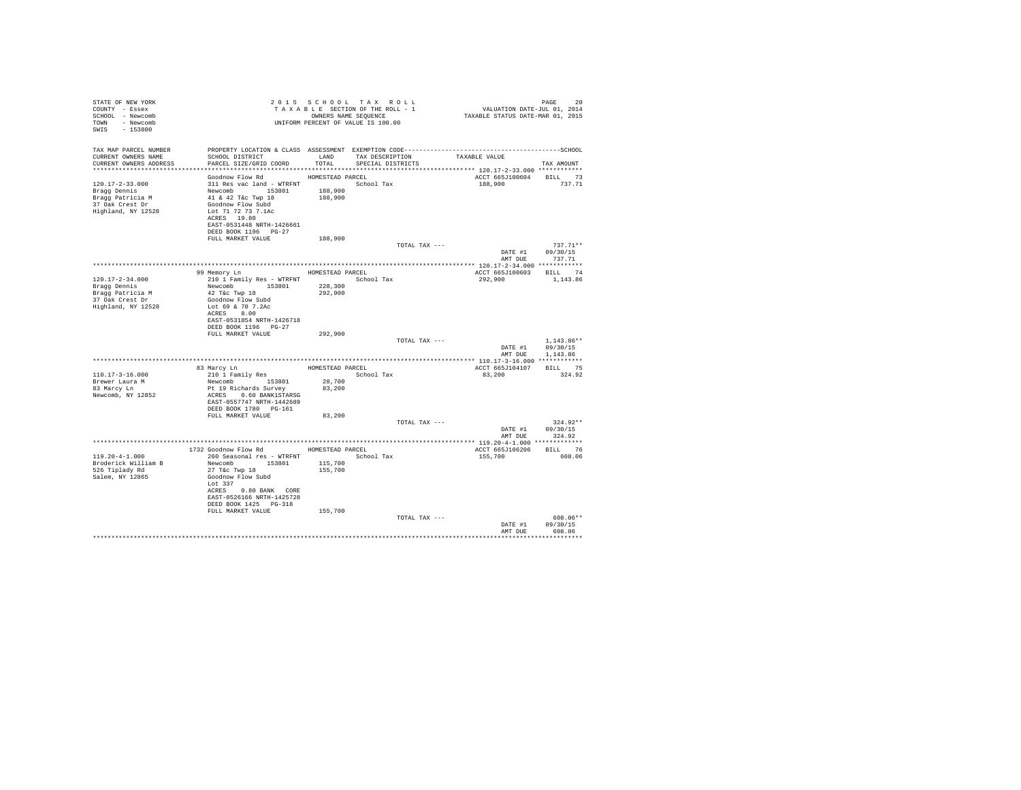| STATE OF NEW YORK                   |                                                                                                   |                  | 2015 SCHOOL TAX ROLL                                          |               | PAGE 20<br>VALUATION DATE-JUL 01, 2014<br>TAXABLE STATUS DATE-MAR 01, 2015 |                         |
|-------------------------------------|---------------------------------------------------------------------------------------------------|------------------|---------------------------------------------------------------|---------------|----------------------------------------------------------------------------|-------------------------|
| COUNTY - Essex                      |                                                                                                   |                  | T A X A B L E SECTION OF THE ROLL - 1<br>OWNERS NAME SEQUENCE |               |                                                                            |                         |
| SCHOOL - Newcomb                    |                                                                                                   |                  |                                                               |               |                                                                            |                         |
| TOWN - Newcomb                      | OWNERS NAME SEQUENCE<br>UNIFORM PERCENT OF VALUE IS 100.00                                        |                  |                                                               |               |                                                                            |                         |
| SWIS - 153800                       |                                                                                                   |                  |                                                               |               |                                                                            |                         |
|                                     |                                                                                                   |                  |                                                               |               |                                                                            |                         |
|                                     |                                                                                                   |                  |                                                               |               |                                                                            |                         |
|                                     |                                                                                                   |                  |                                                               |               |                                                                            |                         |
|                                     | SCHOOL DISTRICT                       LAND        TAX DESCRIPTION                   TAXABLE VALUE | TOTAL            |                                                               |               |                                                                            |                         |
| CURRENT OWNERS ADDRESS              | PARCEL SIZE/GRID COORD                                                                            |                  | SPECIAL DISTRICTS                                             |               |                                                                            | TAX AMOUNT              |
|                                     | Goodnow Flow Rd                                                                                   |                  |                                                               |               |                                                                            |                         |
|                                     |                                                                                                   | HOMESTEAD PARCEL |                                                               |               |                                                                            | ACCT 665J100604 BILL 73 |
|                                     |                                                                                                   |                  | School Tax                                                    |               |                                                                            | 188,900 737.71          |
|                                     |                                                                                                   |                  |                                                               |               |                                                                            |                         |
|                                     |                                                                                                   |                  |                                                               |               |                                                                            |                         |
| Highland, NY 12528                  | Lot 71 72 73 7.1Ac                                                                                |                  |                                                               |               |                                                                            |                         |
|                                     | ACRES 19.80                                                                                       |                  |                                                               |               |                                                                            |                         |
|                                     | EAST-0531448 NRTH-1426661                                                                         |                  |                                                               |               |                                                                            |                         |
|                                     | DEED BOOK 1196 PG-27                                                                              |                  |                                                               |               |                                                                            |                         |
|                                     | FULL MARKET VALUE                                                                                 | 188,900          |                                                               |               |                                                                            |                         |
|                                     |                                                                                                   |                  |                                                               | TOTAL TAX --- |                                                                            | $737.71**$              |
|                                     |                                                                                                   |                  |                                                               |               |                                                                            | DATE #1 09/30/15        |
|                                     |                                                                                                   |                  |                                                               |               |                                                                            | AMT DUE 737.71          |
|                                     |                                                                                                   |                  |                                                               |               |                                                                            |                         |
|                                     | 99 Memory Ln                                                                                      |                  | HOMESTEAD PARCEL                                              |               |                                                                            | ACCT 665J100603 BILL 74 |
| 120.17-2-34.000                     |                                                                                                   |                  |                                                               |               | 292,900                                                                    | 1,143.86                |
| Bragg Dennis                        | 210 1 Family Res - WTRFNT School Tax<br>Newcomb 153801 228,300                                    |                  |                                                               |               |                                                                            |                         |
|                                     | 42 T&C Twp 18                                                                                     | 292,900          |                                                               |               |                                                                            |                         |
| Bragg Patricia M<br>37 Oak Crest Dr | Goodnow Flow Subd                                                                                 |                  |                                                               |               |                                                                            |                         |
| Highland, NY 12528                  | Lot 69 & 70 7.2Ac                                                                                 |                  |                                                               |               |                                                                            |                         |
|                                     | ACRES 8.00                                                                                        |                  |                                                               |               |                                                                            |                         |
|                                     | EAST-0531854 NRTH-1426718                                                                         |                  |                                                               |               |                                                                            |                         |
|                                     | DEED BOOK 1196 PG-27                                                                              |                  |                                                               |               |                                                                            |                         |
|                                     | FULL MARKET VALUE                                                                                 | 292,900          |                                                               |               |                                                                            |                         |
|                                     |                                                                                                   |                  |                                                               | TOTAL TAX --- |                                                                            | 1,143.86**              |
|                                     |                                                                                                   |                  |                                                               |               |                                                                            | DATE #1 09/30/15        |
|                                     |                                                                                                   |                  |                                                               |               |                                                                            | AMT DUE 1,143.86        |
|                                     |                                                                                                   |                  |                                                               |               |                                                                            |                         |
|                                     | 83 Marcy Ln<br>210 1 Family Res                                                                   |                  | HOMESTEAD PARCEL                                              |               | ACCT 665J104107                                                            | BILL 75                 |
| 110.17-3-16.000                     |                                                                                                   |                  | School Tax                                                    |               | 83,200                                                                     | 324.92                  |
| Brewer Laura M                      | Newcomb 153801                                                                                    | 28,700           |                                                               |               |                                                                            |                         |
| 83 Marcy Ln                         | Pt 19 Richards Survey                                                                             | 83,200           |                                                               |               |                                                                            |                         |
| Newcomb, NY 12852                   | ACRES 0.60 BANK1STARSG                                                                            |                  |                                                               |               |                                                                            |                         |
|                                     | EAST-0557747 NRTH-1442689                                                                         |                  |                                                               |               |                                                                            |                         |
|                                     | DEED BOOK 1780 PG-161                                                                             |                  |                                                               |               |                                                                            |                         |
|                                     | FULL MARKET VALUE 83,200                                                                          |                  |                                                               |               |                                                                            |                         |
|                                     |                                                                                                   |                  |                                                               | TOTAL TAX --- |                                                                            | $324.92**$              |
|                                     |                                                                                                   |                  |                                                               |               |                                                                            | DATE #1 09/30/15        |
|                                     |                                                                                                   |                  |                                                               |               | AMT DUE                                                                    | 324.92                  |
|                                     |                                                                                                   |                  |                                                               |               |                                                                            |                         |
|                                     | 1732 Goodnow Flow Rd MOMESTEAD PARCEL                                                             |                  |                                                               |               |                                                                            | ACCT 665J106206 BILL 76 |
| $119.20 - 4 - 1.000$                | 260 Seasonal res - WTRFNT             School Tax                                                  |                  |                                                               |               | 155,700                                                                    | 608.06                  |
| Broderick William B                 | Newcomb 153801 115,700                                                                            |                  |                                                               |               |                                                                            |                         |
| 526 Tiplady Rd                      | 27 T&C Twp 18                                                                                     | 155,700          |                                                               |               |                                                                            |                         |
| Salem, NY 12865                     | Goodnow Flow Subd                                                                                 |                  |                                                               |               |                                                                            |                         |
|                                     | Lot 337                                                                                           |                  |                                                               |               |                                                                            |                         |
|                                     | ACRES 0.80 BANK CORE                                                                              |                  |                                                               |               |                                                                            |                         |
|                                     | EAST-0526166 NRTH-1425728                                                                         |                  |                                                               |               |                                                                            |                         |
|                                     | DEED BOOK 1425 PG-318                                                                             |                  |                                                               |               |                                                                            |                         |
|                                     | FULL MARKET VALUE                                                                                 | 155,700          |                                                               |               |                                                                            |                         |
|                                     |                                                                                                   |                  |                                                               | TOTAL TAX --- |                                                                            | 608.06**                |
|                                     |                                                                                                   |                  |                                                               |               | DATE #1                                                                    | 09/30/15                |
|                                     |                                                                                                   |                  |                                                               |               |                                                                            | AMT DUE 608.06          |
|                                     |                                                                                                   |                  |                                                               |               |                                                                            |                         |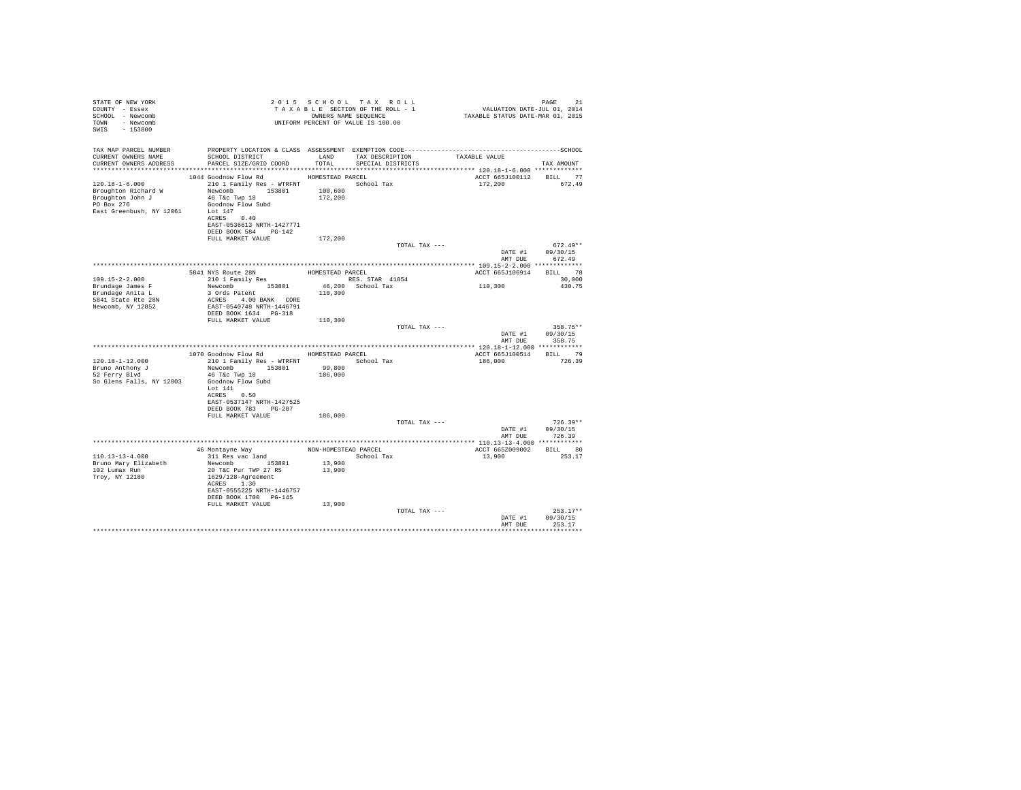| STATE OF NEW YORK<br>COUNTY - Essex<br>SCHOOL - Newcomb<br>TOWN - Newcomb<br>SWIS - 153800                  |                                                                                                                                                                                   |                    | 2015 SCHOOL TAX ROLL<br>UNIFORM PERCENT OF VALUE IS 100.00 |                                    | PAGE<br>21             |  |
|-------------------------------------------------------------------------------------------------------------|-----------------------------------------------------------------------------------------------------------------------------------------------------------------------------------|--------------------|------------------------------------------------------------|------------------------------------|------------------------|--|
| TAX MAP PARCEL NUMBER<br>CURRENT OWNERS NAME<br>CURRENT OWNERS ADDRESS                                      | SCHOOL DISTRICT TAND TAX DESCRIPTION<br>PARCEL SIZE/GRID COORD TOTAL SPECIAL DISTRICTS                                                                                            |                    |                                                            | TAXABLE VALUE                      | TAX AMOUNT             |  |
| 120.18-1-6.000<br>Broughton Richard W<br>Broughton John J<br>PO Box 276<br>East Greenbush, NY 12061 Lot 147 | 1044 Goodnow Flow Rd MOMESTEAD PARCEL<br>210 1 Family Res - WTRFNT  School Tax<br>Newcomb 153801<br>46 T&c Twp 18<br>Goodnow Flow Subd<br>ACRES 0.40<br>EAST-0536613 NRTH-1427771 | 100,600<br>172,200 |                                                            | ACCT 665J100112 BILL 77<br>172,200 | 672.49                 |  |
|                                                                                                             | DEED BOOK 584 PG-142                                                                                                                                                              |                    |                                                            |                                    |                        |  |
|                                                                                                             | FULL MARKET VALUE                                                                                                                                                                 | 172,200            |                                                            |                                    | $672.49**$             |  |
|                                                                                                             |                                                                                                                                                                                   |                    | TOTAL TAX ---                                              | DATE #1                            | 09/30/15               |  |
|                                                                                                             |                                                                                                                                                                                   |                    |                                                            | AMT DUE                            | 672.49                 |  |
|                                                                                                             |                                                                                                                                                                                   |                    |                                                            |                                    |                        |  |
| $109.15 - 2 - 2.000$                                                                                        | 5841 NYS Route 28N HOMESTEAD PARCEL 210 1 Family Res RES. STAR 41854                                                                                                              |                    |                                                            | ACCT 665J106914 BILL 78            | 30,000                 |  |
| Brundage James F                                                                                            | Newcomb 153801                                                                                                                                                                    |                    | 46,200 School Tax                                          | 110, 300                           | 430.75                 |  |
| Brundage Anita L                                                                                            | 3 Ords Patent                                                                                                                                                                     | 110,300            |                                                            |                                    |                        |  |
| 5841 State Rte 28N<br>Newcomb, NY 12852                                                                     | ACRES 4.00 BANK CORE<br>EAST-0540748 NRTH-1446791<br>DEED BOOK 1634 PG-318                                                                                                        |                    |                                                            |                                    |                        |  |
|                                                                                                             | FULL MARKET VALUE                                                                                                                                                                 | 110,300            |                                                            |                                    |                        |  |
|                                                                                                             |                                                                                                                                                                                   |                    | TOTAL TAX ---                                              | DATE #1                            | 358.75**<br>09/30/15   |  |
|                                                                                                             |                                                                                                                                                                                   |                    |                                                            | AMT DUE                            | 358.75                 |  |
|                                                                                                             | 1070 Goodnow Flow Rd MOMESTEAD PARCEL                                                                                                                                             |                    |                                                            | ACCT 665J100514 BILL 79            |                        |  |
| $120.18 - 1 - 12.000$                                                                                       | 210 1 Family Res - WTRFNT School Tax                                                                                                                                              |                    |                                                            | 186,000 726.39                     |                        |  |
| Bruno Anthony J                                                                                             | Newcomb 153801                                                                                                                                                                    | 99,800             |                                                            |                                    |                        |  |
| 52 Ferry Blvd<br>So Glens Falls, NY 12803                                                                   | 46 T&C Twp 18<br>Goodnow Flow Subd<br>Lot 141                                                                                                                                     | 186,000            |                                                            |                                    |                        |  |
|                                                                                                             | ACRES 0.50<br>EAST-0537147 NRTH-1427525<br>DEED BOOK 783 PG-207                                                                                                                   |                    |                                                            |                                    |                        |  |
|                                                                                                             | FULL MARKET VALUE                                                                                                                                                                 | 186,000            |                                                            |                                    |                        |  |
|                                                                                                             |                                                                                                                                                                                   |                    | TOTAL TAX ---                                              |                                    | $726.39**$             |  |
|                                                                                                             |                                                                                                                                                                                   |                    |                                                            | DATE #1<br>AMT DUE                 | 09/30/15<br>726.39     |  |
|                                                                                                             |                                                                                                                                                                                   |                    |                                                            |                                    |                        |  |
|                                                                                                             | 46 Montayne Way <b>MON-HOMESTEAD PARCEL</b><br>311 Res vac land <b>MON-HOMESTEAD</b> School Tax                                                                                   |                    |                                                            | ACCT 665Z009002 BILL 80            |                        |  |
| $110.13 - 13 - 4.000$                                                                                       |                                                                                                                                                                                   |                    |                                                            | 13,900                             | 253.17                 |  |
| Bruno Mary Elizabeth<br>102 Lumax Run<br>Troy, NY 12180                                                     | Newcomb 153801<br>20 T&C Pur TWP 27 RS<br>1629/128-Agreement<br>ACRES 1.30<br>EAST-0555225 NRTH-1446757<br>DEED BOOK 1700 PG-145                                                  | 13,900<br>13,900   |                                                            |                                    |                        |  |
|                                                                                                             | FULL MARKET VALUE                                                                                                                                                                 | 13,900             |                                                            |                                    |                        |  |
|                                                                                                             |                                                                                                                                                                                   |                    | TOTAL TAX ---                                              | DATE #1                            | $253.17**$<br>09/30/15 |  |
|                                                                                                             |                                                                                                                                                                                   |                    |                                                            | AMT DUE                            | 253.17<br>.            |  |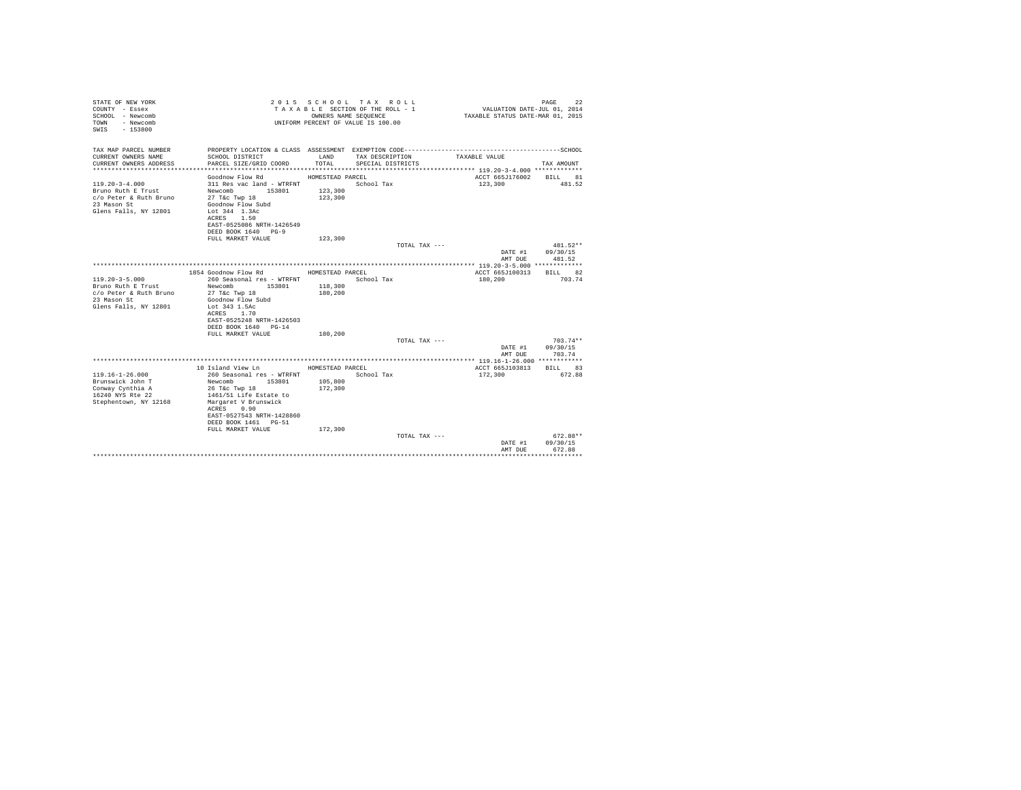| STATE OF NEW YORK<br>COUNTY - Essex<br>SCHOOL - Newcomb<br>- Newcomb<br>TOWN<br>$-153800$<br>SWTS |                                                                    | OWNERS NAME SEQUENCE | 2015 SCHOOL TAX ROLL<br>TAXABLE SECTION OF THE ROLL - 1<br>UNIFORM PERCENT OF VALUE IS 100.00 | VALUATION DATE-JUL 01, 2014<br>TAXABLE STATUS DATE-MAR 01, 2015 | PAGE<br>22               |
|---------------------------------------------------------------------------------------------------|--------------------------------------------------------------------|----------------------|-----------------------------------------------------------------------------------------------|-----------------------------------------------------------------|--------------------------|
| TAX MAP PARCEL NUMBER                                                                             | PROPERTY LOCATION & CLASS ASSESSMENT EXEMPTION CODE--------------- |                      |                                                                                               |                                                                 | ------------------SCHOOL |
| CURRENT OWNERS NAME<br>CURRENT OWNERS ADDRESS                                                     | SCHOOL DISTRICT<br>PARCEL SIZE/GRID COORD                          | LAND<br>TOTAL.       | TAX DESCRIPTION<br>SPECIAL DISTRICTS                                                          | TAXABLE VALUE                                                   | TAX AMOUNT               |
|                                                                                                   |                                                                    |                      |                                                                                               |                                                                 |                          |
|                                                                                                   | Goodnow Flow Rd                                                    | HOMESTEAD PARCEL     |                                                                                               | ACCT 665J176002                                                 | BILL 81                  |
| $119.20 - 3 - 4.000$                                                                              | 311 Res vac land - WTRFNT                                          |                      | School Tax                                                                                    | 123,300                                                         | 481.52                   |
| Bruno Ruth E Trust                                                                                | Newcomb 153801                                                     | 123,300              |                                                                                               |                                                                 |                          |
| c/o Peter & Ruth Bruno<br>23 Mason St                                                             | 27 T&c Twp 18<br>Goodnow Flow Subd                                 | 123,300              |                                                                                               |                                                                 |                          |
| Glens Falls, NY 12801                                                                             | Lot 344 1.3Ac                                                      |                      |                                                                                               |                                                                 |                          |
|                                                                                                   | ACRES 1.50                                                         |                      |                                                                                               |                                                                 |                          |
|                                                                                                   | EAST-0525086 NRTH-1426549                                          |                      |                                                                                               |                                                                 |                          |
|                                                                                                   | DEED BOOK 1640 PG-9                                                |                      |                                                                                               |                                                                 |                          |
|                                                                                                   | FULL MARKET VALUE                                                  | 123,300              | TOTAL TAX ---                                                                                 |                                                                 | $481.52**$               |
|                                                                                                   |                                                                    |                      |                                                                                               | DATE #1                                                         | 09/30/15                 |
|                                                                                                   |                                                                    |                      |                                                                                               | AMT DUE                                                         | 481.52                   |
|                                                                                                   |                                                                    |                      |                                                                                               |                                                                 |                          |
| $119.20 - 3 - 5.000$                                                                              | 1854 Goodnow Flow Rd<br>260 Seasonal res - WTRFNT                  | HOMESTEAD PARCEL     | School Tax                                                                                    | ACCT 665J100313<br>180,200                                      | <b>BTLL</b> 82<br>703.74 |
| Bruno Ruth E Trust                                                                                | Newcomb<br>153801                                                  | 118,300              |                                                                                               |                                                                 |                          |
| c/o Peter & Ruth Bruno                                                                            | 27 T&c Twp 18                                                      | 180,200              |                                                                                               |                                                                 |                          |
| 23 Mason St                                                                                       | Goodnow Flow Subd                                                  |                      |                                                                                               |                                                                 |                          |
| Glens Falls, NY 12801                                                                             | Lot 343 1.5Ac                                                      |                      |                                                                                               |                                                                 |                          |
|                                                                                                   | 1.70<br>ACRES<br>EAST-0525248 NRTH-1426503                         |                      |                                                                                               |                                                                 |                          |
|                                                                                                   | DEED BOOK 1640 PG-14                                               |                      |                                                                                               |                                                                 |                          |
|                                                                                                   | FULL MARKET VALUE                                                  | 180,200              |                                                                                               |                                                                 |                          |
|                                                                                                   |                                                                    |                      | TOTAL TAX ---                                                                                 |                                                                 | $703.74**$               |
|                                                                                                   |                                                                    |                      |                                                                                               | DATE #1                                                         | 09/30/15                 |
|                                                                                                   |                                                                    |                      |                                                                                               | AMT DUE                                                         | 703.74                   |
|                                                                                                   | 10 Island View Ln                                                  | HOMESTEAD PARCEL     |                                                                                               | ACCT 665J103813                                                 | BILL 83                  |
| $119.16 - 1 - 26.000$                                                                             | 260 Seasonal res - WTRFNT                                          |                      | School Tax                                                                                    | 172,300                                                         | 672.88                   |
| Brunswick John T                                                                                  | Newcomb<br>153801                                                  | 105,800              |                                                                                               |                                                                 |                          |
| Conway Cynthia A                                                                                  | 26 T&c Twp 18                                                      | 172,300              |                                                                                               |                                                                 |                          |
| 16240 NYS Rte 22<br>Stephentown, NY 12168                                                         | 1461/51 Life Estate to<br>Margaret V Brunswick                     |                      |                                                                                               |                                                                 |                          |
|                                                                                                   | 0.90<br>ACRES                                                      |                      |                                                                                               |                                                                 |                          |
|                                                                                                   | EAST-0527543 NRTH-1428860                                          |                      |                                                                                               |                                                                 |                          |
|                                                                                                   | DEED BOOK 1461 PG-51                                               |                      |                                                                                               |                                                                 |                          |
|                                                                                                   | FULL MARKET VALUE                                                  | 172,300              |                                                                                               |                                                                 |                          |
|                                                                                                   |                                                                    |                      | TOTAL TAX ---                                                                                 | DATE #1                                                         | $672.88**$<br>09/30/15   |
|                                                                                                   |                                                                    |                      |                                                                                               | AMT DUE                                                         | 672.88                   |
|                                                                                                   |                                                                    |                      |                                                                                               |                                                                 | .                        |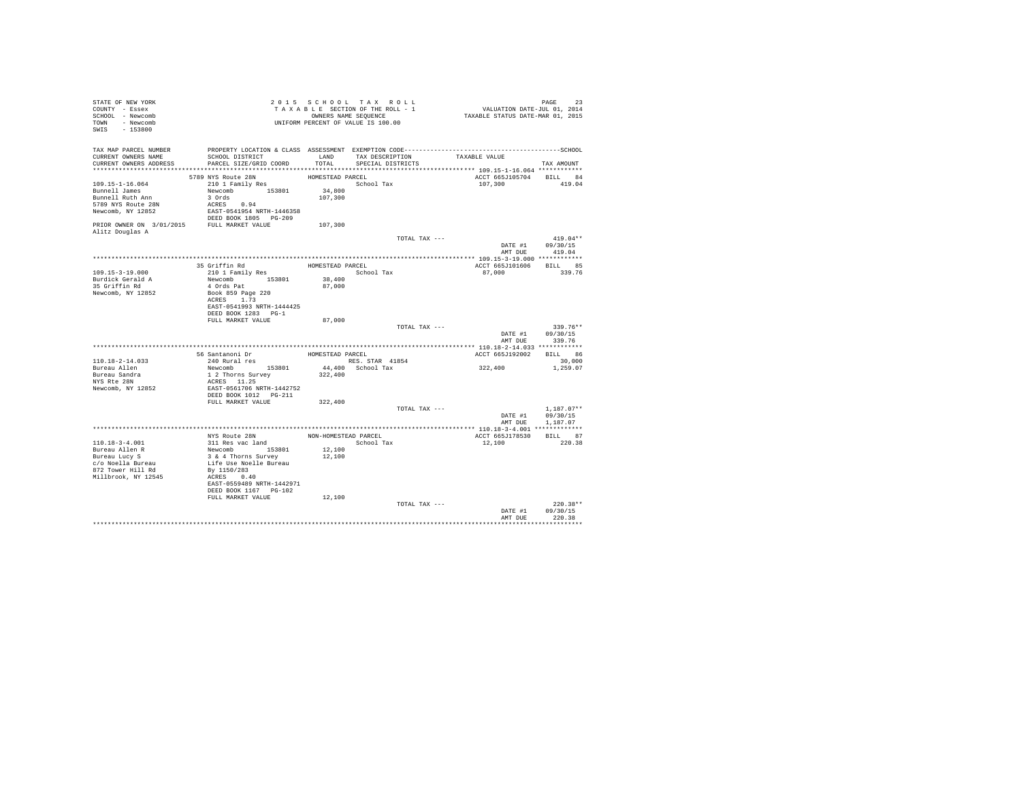| STATE OF NEW YORK<br>COUNTY - Essex<br>SCHOOL - Newcomb<br>TOWN - Newcomb<br>SWIS - 153800                         |                                                                                                                                             |                             | 2015 SCHOOL TAX ROLL<br>TAXABLE SECTION OF THE ROLL - 1<br>OWNERS NAME SEQUENCE | PAGE 23<br>VALUATION DATE-JUL 01, 2014<br>TAXABLE STATUS DATE-MAR 01, 2015 |                                          |
|--------------------------------------------------------------------------------------------------------------------|---------------------------------------------------------------------------------------------------------------------------------------------|-----------------------------|---------------------------------------------------------------------------------|----------------------------------------------------------------------------|------------------------------------------|
| TAX MAP PARCEL NUMBER<br>CURRENT OWNERS NAME<br>CURRENT OWNERS ADDRESS PARCEL SIZE/GRID COORD                      | SCHOOL DISTRICT                                                                                                                             | LAND<br>TOTAL               | TAX DESCRIPTION<br>SPECIAL DISTRICTS                                            | TAXABLE VALUE                                                              | TAX AMOUNT                               |
|                                                                                                                    | 5789 NYS Route 28N                                                                                                                          | HOMESTEAD PARCEL            |                                                                                 | ACCT 665J105704 BILL 84                                                    |                                          |
| 109.15-1-16.064<br>Bunnell James<br>Bunnell Ruth Ann<br>5789 NYS Route 28N<br>Newcomb, NY 12852                    | 210 1 Family Res<br>Newcomb 153801<br>3 Ords<br>ACRES 0.94<br>EAST-0541954 NRTH-1446358<br>DEED BOOK 1805 PG-209                            | 34,800<br>107,300           | School Tax                                                                      | 107,300                                                                    | 419.04                                   |
| PRIOR OWNER ON 3/01/2015 FULL MARKET VALUE<br>Alitz Douglas A                                                      |                                                                                                                                             | 107,300                     |                                                                                 |                                                                            |                                          |
|                                                                                                                    |                                                                                                                                             |                             | TOTAL TAX ---                                                                   | AMT DUE                                                                    | $419.04**$<br>DATE #1 09/30/15<br>419.04 |
|                                                                                                                    |                                                                                                                                             |                             |                                                                                 |                                                                            |                                          |
| 109.15-3-19.000<br>Burdick Gerald A                                                                                | 35 Griffin Rd<br>210 1 Family Res<br>Newcomb 153801                                                                                         | 38,400                      | HOMESTEAD PARCEL<br>School Tax                                                  | ACCT 665J101606 BILL 85<br>87,000                                          | 339.76                                   |
| 35 Griffin Rd<br>Newcomb, NY 12852                                                                                 | 4 Ords Pat<br>Book 859 Page 220<br>ACRES 1.73<br>EAST-0541993 NRTH-1444425<br>DEED BOOK 1283 PG-1<br>FULL MARKET VALUE                      | 87,000<br>87,000            |                                                                                 |                                                                            |                                          |
|                                                                                                                    |                                                                                                                                             |                             | TOTAL TAX ---                                                                   | DATE #1                                                                    | $339.76**$<br>09/30/15<br>AMT DUE 339.76 |
|                                                                                                                    |                                                                                                                                             |                             |                                                                                 |                                                                            |                                          |
| 110.18-2-14.033<br>Bureau Allen<br>Bureau Sandra<br>NYS Rte 28N<br>Newcomb, NY 12852                               | 56 Santanoni Dr<br>040 Bural res<br>240 Rural res<br>Newcomb 153801<br>1 2 Thorns Survey<br>ACRES 11.25<br>EAST-0561706 NRTH-1442752        | HOMESTEAD PARCEL<br>322,400 | RES. STAR 41854<br>44,400 School Tax                                            | ACCT 665J192002 BILL 86<br>322,400                                         | 30,000<br>1,259.07                       |
|                                                                                                                    |                                                                                                                                             |                             |                                                                                 |                                                                            |                                          |
|                                                                                                                    | FULL MARKET VALUE                                                                                                                           | 322,400                     | TOTAL TAX ---                                                                   | DATE #1 09/30/15                                                           | $1.187.07**$                             |
|                                                                                                                    |                                                                                                                                             |                             |                                                                                 | AMT DUE                                                                    | 1,187.07                                 |
|                                                                                                                    |                                                                                                                                             |                             |                                                                                 | ACCT 665J178530 BILL 87                                                    |                                          |
| 110.18-3-4.001<br>Bureau Allen R<br>Bureau Lucy S<br>c/o Noella Bureau<br>872 Tower Hill Rd<br>Millbrook, NY 12545 | Newcomb<br>3 & 4 Thorns Survey<br>Life Use Noelle Bureau<br>By 1150/283<br>ACRES 0.40<br>EAST-0559489 NRTH-1442971<br>DEED BOOK 1167 PG-102 | 12,100<br>12,100            |                                                                                 | 12,100                                                                     | 220.38                                   |
|                                                                                                                    | FULL MARKET VALUE                                                                                                                           | 12,100                      | TOTAL TAX ---                                                                   | DATE #1                                                                    | $220.38**$<br>09/30/15                   |
|                                                                                                                    |                                                                                                                                             |                             |                                                                                 | AMT DUE                                                                    | 220.38<br>***********                    |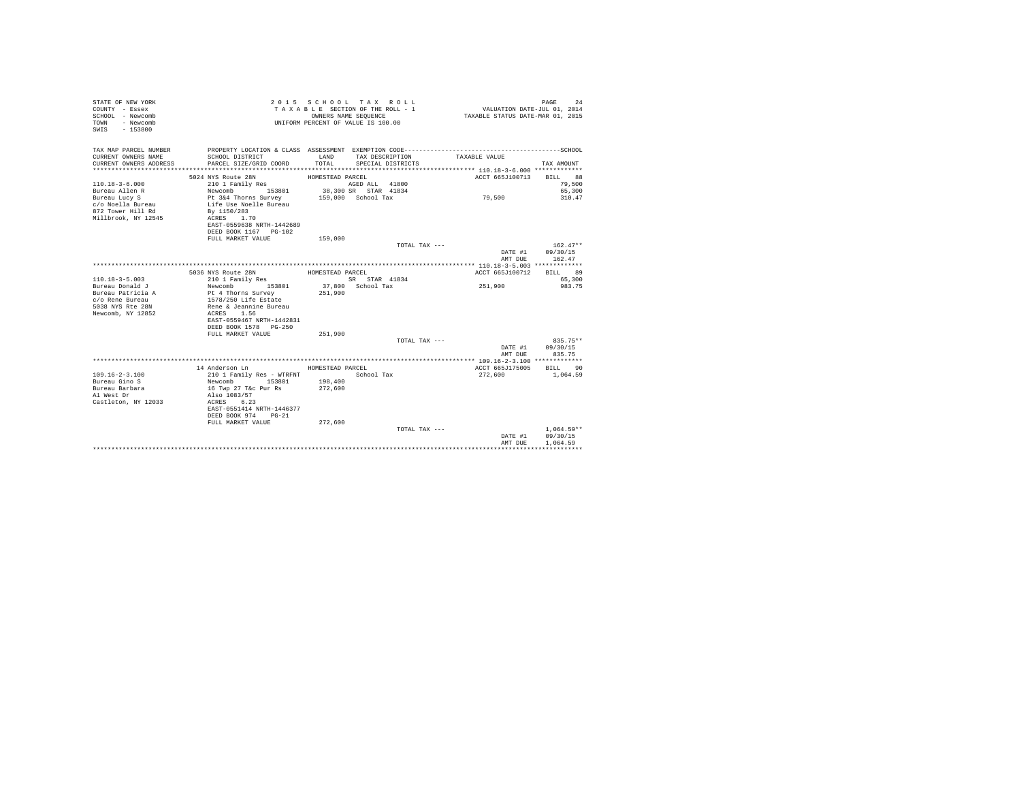| STATE OF NEW YORK<br>COUNTY - Essex<br>SCHOOL - Newcomb<br>- Newcomb<br>TOWN<br>SWIS - 153800 |                                                        |                  | 2015 SCHOOL TAX ROLL<br>TAXABLE SECTION OF THE ROLL - 1<br>OWNERS NAME SEOUENCE<br>UNIFORM PERCENT OF VALUE IS 100.00 | VALUATION DATE-JUL 01, 2014<br>TAXABLE STATUS DATE-MAR 01, 2015 | PAGE<br>24       |
|-----------------------------------------------------------------------------------------------|--------------------------------------------------------|------------------|-----------------------------------------------------------------------------------------------------------------------|-----------------------------------------------------------------|------------------|
| CURRENT OWNERS NAME                                                                           |                                                        | LAND             | TAX DESCRIPTION                                                                                                       |                                                                 |                  |
| CURRENT OWNERS ADDRESS                                                                        | SCHOOL DISTRICT<br>PARCEL SIZE/GRID COORD              |                  | TOTAL SPECIAL DISTRICTS                                                                                               | TAXABLE VALUE                                                   | TAX AMOUNT       |
|                                                                                               |                                                        |                  |                                                                                                                       |                                                                 |                  |
|                                                                                               | 5024 NYS Route 28N                                     | HOMESTEAD PARCEL |                                                                                                                       | ACCT 665J100713                                                 | BILL 88          |
| $110.18 - 3 - 6.000$                                                                          | 210 1 Family Res                                       |                  | AGED ALL 41800                                                                                                        |                                                                 | 79,500           |
| Bureau Allen R                                                                                | Newcomb 153801<br>Pt 3&4 Thorns Survey                 |                  | 38,300 SR STAR 41834                                                                                                  |                                                                 | 65,300           |
| Bureau Lucy S                                                                                 |                                                        |                  | 159,000 School Tax                                                                                                    | 79,500                                                          | 310.47           |
| c/o Noella Bureau                                                                             | Life Use Noelle Bureau                                 |                  |                                                                                                                       |                                                                 |                  |
| 872 Tower Hill Rd<br>Millbrook, NY 12545                                                      | By 1150/283<br>ACRES 1.70                              |                  |                                                                                                                       |                                                                 |                  |
|                                                                                               | EAST-0559638 NRTH-1442689                              |                  |                                                                                                                       |                                                                 |                  |
|                                                                                               | DEED BOOK 1167 PG-102                                  |                  |                                                                                                                       |                                                                 |                  |
|                                                                                               | FULL MARKET VALUE                                      | 159,000          |                                                                                                                       |                                                                 |                  |
|                                                                                               |                                                        |                  | TOTAL TAX ---                                                                                                         |                                                                 | $162.47**$       |
|                                                                                               |                                                        |                  |                                                                                                                       |                                                                 | DATE #1 09/30/15 |
|                                                                                               |                                                        |                  |                                                                                                                       | AMT DUE                                                         | 162.47           |
|                                                                                               |                                                        | HOMESTEAD PARCEL |                                                                                                                       |                                                                 | <b>BTLL</b> 89   |
| $110.18 - 3 - 5.003$                                                                          | 5036 NYS Route 28N<br>210 1 Family Res                 |                  | SR STAR 41834                                                                                                         | ACCT 665J100712                                                 | 65,300           |
| Bureau Donald J                                                                               | Newcomb 153801                                         |                  | 37,800 School Tax                                                                                                     | 251,900                                                         | 983.75           |
| Bureau Patricia A                                                                             | Pt 4 Thorns Survey                                     | 251,900          |                                                                                                                       |                                                                 |                  |
| c/o Rene Bureau                                                                               | 1578/250 Life Estate                                   |                  |                                                                                                                       |                                                                 |                  |
| 5038 NYS Rte 28N                                                                              | Rene & Jeannine Bureau                                 |                  |                                                                                                                       |                                                                 |                  |
| Newcomb, NY 12852                                                                             | ACRES 1.56                                             |                  |                                                                                                                       |                                                                 |                  |
|                                                                                               | EAST-0559467 NRTH-1442831                              |                  |                                                                                                                       |                                                                 |                  |
|                                                                                               | DEED BOOK 1578 PG-250<br>FULL MARKET VALUE             | 251,900          |                                                                                                                       |                                                                 |                  |
|                                                                                               |                                                        |                  | TOTAL TAX ---                                                                                                         |                                                                 | $835.75**$       |
|                                                                                               |                                                        |                  |                                                                                                                       |                                                                 | DATE #1 09/30/15 |
|                                                                                               |                                                        |                  |                                                                                                                       | AMT DUE                                                         | 835.75           |
|                                                                                               |                                                        |                  |                                                                                                                       |                                                                 |                  |
|                                                                                               | 14 Anderson Ln                                         | HOMESTEAD PARCEL |                                                                                                                       | ACCT 665J175005 BILL 90                                         |                  |
| $109.16 - 2 - 3.100$                                                                          | 210 1 Family Res - WTRFNT School Tax                   |                  |                                                                                                                       | 272,600                                                         | 1,064.59         |
| Bureau Gino S<br>Bureau Barbara                                                               | Newcomb 153801 198,400<br>16 Twp 27 T&c Pur Rs 272,600 |                  |                                                                                                                       |                                                                 |                  |
| Al West Dr                                                                                    | Also 1083/57                                           |                  |                                                                                                                       |                                                                 |                  |
| Castleton, NY 12033                                                                           | ACRES 6.23                                             |                  |                                                                                                                       |                                                                 |                  |
|                                                                                               | EAST-0551414 NRTH-1446377                              |                  |                                                                                                                       |                                                                 |                  |
|                                                                                               | DEED BOOK 974 PG-21                                    |                  |                                                                                                                       |                                                                 |                  |
|                                                                                               | FULL MARKET VALUE                                      | 272,600          |                                                                                                                       |                                                                 |                  |
|                                                                                               |                                                        |                  | TOTAL TAX ---                                                                                                         |                                                                 | $1.064.59**$     |
|                                                                                               |                                                        |                  |                                                                                                                       | DATE #1                                                         | 09/30/15         |
|                                                                                               |                                                        |                  |                                                                                                                       | AMT DUE                                                         | 1,064.59         |
|                                                                                               |                                                        |                  |                                                                                                                       |                                                                 |                  |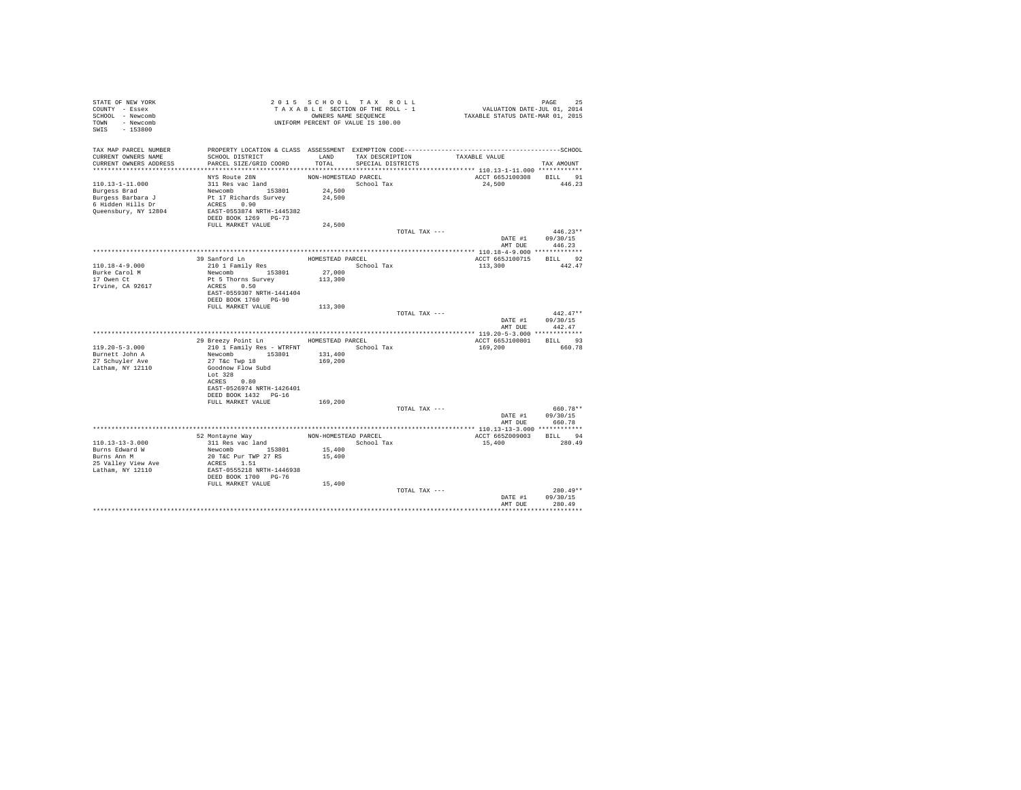| STATE OF NEW YORK<br>COUNTY - Essex |                                                       |                      | 2015 SCHOOL TAX ROLL<br>TAXABLE SECTION OF THE ROLL - 1 | PAGE 25<br>VALUATION DATE-JUL 01, 2014 |                  |
|-------------------------------------|-------------------------------------------------------|----------------------|---------------------------------------------------------|----------------------------------------|------------------|
| SCHOOL - Newcomb                    |                                                       |                      | OWNERS NAME SEQUENCE                                    | TAXABLE STATUS DATE-MAR 01, 2015       |                  |
| TOWN - Newcomb                      |                                                       |                      | UNIFORM PERCENT OF VALUE IS 100.00                      |                                        |                  |
| SWIS - 153800                       |                                                       |                      |                                                         |                                        |                  |
|                                     |                                                       |                      |                                                         |                                        |                  |
| TAX MAP PARCEL NUMBER               |                                                       |                      |                                                         |                                        |                  |
| CURRENT OWNERS NAME                 | SCHOOL DISTRICT                                       | LAND                 | TAX DESCRIPTION                                         | TAXABLE VALUE                          |                  |
| CURRENT OWNERS ADDRESS              | PARCEL SIZE/GRID COORD                                | TOTAL.               | SPECIAL DISTRICTS                                       |                                        | TAX AMOUNT       |
|                                     |                                                       |                      |                                                         |                                        |                  |
|                                     | NYS Route 28N                                         | NON-HOMESTEAD PARCEL |                                                         | ACCT 665J100308 BILL 91                |                  |
| $110.13 - 1 - 11.000$               | 311 Res vac land                                      |                      | School Tax                                              | 24,500                                 | 446.23           |
| Burgess Brad                        |                                                       | 24,500               |                                                         |                                        |                  |
| Burgess Barbara J                   | Newcomb 153801<br>Pt 17 Richards Survey<br>ACRES 0.90 | 24,500               |                                                         |                                        |                  |
| 6 Hidden Hills Dr                   |                                                       |                      |                                                         |                                        |                  |
| Queensbury, NY 12804                | EAST-0553874 NRTH-1445382<br>DEED BOOK 1269 PG-73     |                      |                                                         |                                        |                  |
|                                     | FULL MARKET VALUE                                     | 24,500               |                                                         |                                        |                  |
|                                     |                                                       |                      |                                                         | TOTAL TAX ---                          | $446.23**$       |
|                                     |                                                       |                      |                                                         |                                        | DATE #1 09/30/15 |
|                                     |                                                       |                      |                                                         |                                        | AMT DUE 446.23   |
|                                     |                                                       |                      |                                                         |                                        |                  |
|                                     | 39 Sanford Ln                                         | HOMESTEAD PARCEL     |                                                         | ACCT 665J100715                        | BILL 92          |
| 110.18-4-9.000                      | 210 1 Family Res                                      |                      | School Tax                                              | 113,300                                | 442.47           |
| Burke Carol M                       | Newcomb 153801                                        | 27,000               |                                                         |                                        |                  |
| 17 Owen Ct                          | Pt 5 Thorns Survey                                    | 113,300              |                                                         |                                        |                  |
| Irvine, CA 92617                    | ACRES 0.50                                            |                      |                                                         |                                        |                  |
|                                     | EAST-0559307 NRTH-1441404<br>DEED BOOK 1760 PG-90     |                      |                                                         |                                        |                  |
|                                     | FULL MARKET VALUE                                     | 113,300              |                                                         |                                        |                  |
|                                     |                                                       |                      |                                                         | TOTAL TAX ---                          | $442.47**$       |
|                                     |                                                       |                      |                                                         |                                        | DATE #1 09/30/15 |
|                                     |                                                       |                      |                                                         | AMT DUE                                | 442.47           |
|                                     |                                                       |                      |                                                         |                                        |                  |
|                                     | 29 Breezy Point Ln                                    | HOMESTEAD PARCEL     |                                                         | ACCT 665J100801                        | BILL 93          |
| $119.20 - 5 - 3.000$                | 210 1 Family Res - WTRFNT                             |                      | School Tax                                              | 169,200                                | 660.78           |
| Burnett John A                      | Newcomb 153801                                        | 131,400              |                                                         |                                        |                  |
| 27 Schuyler Ave                     | 27 T&c Twp 18                                         | 169,200              |                                                         |                                        |                  |
| Latham, NY 12110                    | Goodnow Flow Subd<br>Lot 328                          |                      |                                                         |                                        |                  |
|                                     | ACRES 0.80                                            |                      |                                                         |                                        |                  |
|                                     | EAST-0526974 NRTH-1426401                             |                      |                                                         |                                        |                  |
|                                     | DEED BOOK 1432 PG-16                                  |                      |                                                         |                                        |                  |
|                                     | FULL MARKET VALUE                                     | 169,200              |                                                         |                                        |                  |
|                                     |                                                       |                      |                                                         | TOTAL TAX ---                          | 660.78**         |
|                                     |                                                       |                      |                                                         |                                        | DATE #1 09/30/15 |
|                                     |                                                       |                      |                                                         |                                        | AMT DUE 660.78   |
|                                     |                                                       |                      |                                                         |                                        |                  |
|                                     | 52 Montayne Way<br>311 Res vac land                   |                      | NON-HOMESTEAD PARCEL                                    | ACCT 665Z009003 BILL 94                |                  |
| $110.13 - 13 - 3.000$               |                                                       |                      | School Tax                                              | 15,400                                 | 280.49           |
| Burns Edward W<br>Burns Ann M       | Newcomb 153801<br>20 T&C Pur TWP 27 RS                | 15,400<br>15,400     |                                                         |                                        |                  |
| 25 Valley View Ave                  | ACRES 1.51                                            |                      |                                                         |                                        |                  |
| Latham, NY 12110                    | EAST-0555218 NRTH-1446938                             |                      |                                                         |                                        |                  |
|                                     | DEED BOOK 1700 PG-76                                  |                      |                                                         |                                        |                  |
|                                     | FULL MARKET VALUE                                     | 15,400               |                                                         |                                        |                  |
|                                     |                                                       |                      |                                                         | TOTAL TAX ---                          | $280.49**$       |
|                                     |                                                       |                      |                                                         | DATE #1                                | 09/30/15         |
|                                     |                                                       |                      |                                                         | AMT DUE                                | 280.49           |
|                                     |                                                       |                      |                                                         |                                        |                  |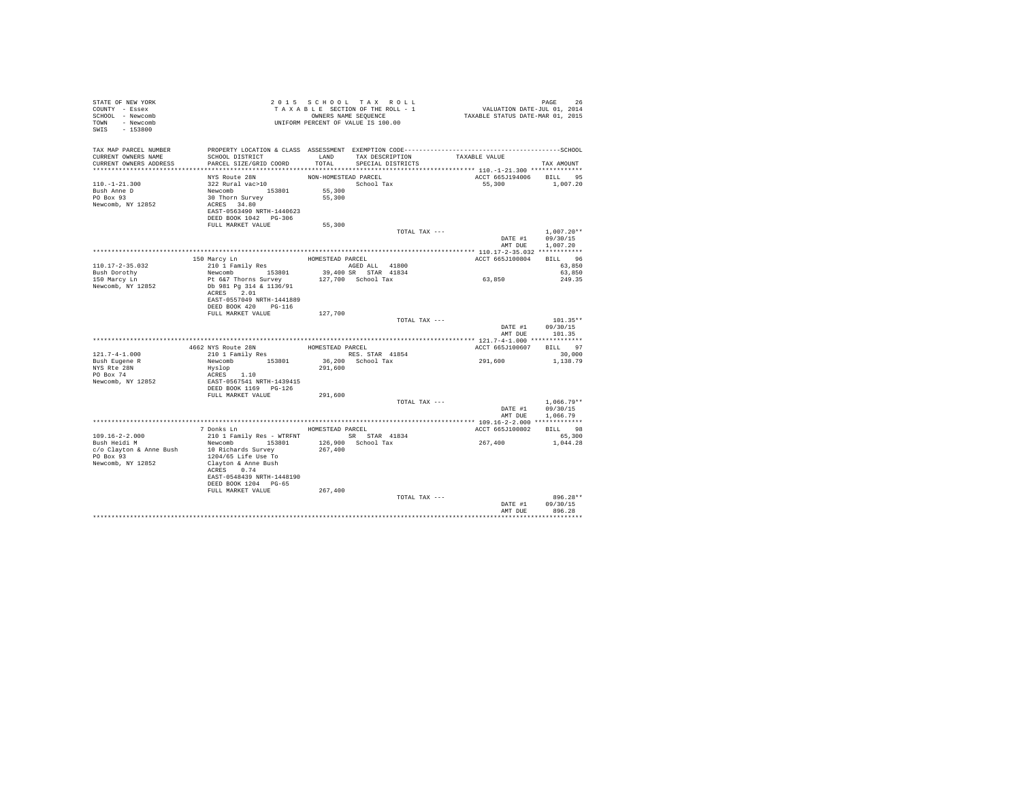| STATE OF NEW YORK<br>COUNTY - Essex<br>SCHOOL - Newcomb<br>TOWN - Newcomb<br>SWIS - 153800 | TAXABLE VI.<br>ONNERS NAME SEQUENCE<br>UNIFORM PERCENT OF VALUE IS 100.00                                                                                                                                                                                                                                                                                                                                                                                                                                                                                               |                                | TAXABLE SECTION OF THE ROLL - 1<br>OWNERS NAME SEQUENCE | PAGE 26<br>VALUATION DATE-JUL 01, 2014<br>TAXABLE STATUS DATE-MAR 01, 2015                                    |                                              |
|--------------------------------------------------------------------------------------------|-------------------------------------------------------------------------------------------------------------------------------------------------------------------------------------------------------------------------------------------------------------------------------------------------------------------------------------------------------------------------------------------------------------------------------------------------------------------------------------------------------------------------------------------------------------------------|--------------------------------|---------------------------------------------------------|---------------------------------------------------------------------------------------------------------------|----------------------------------------------|
| TAX MAP PARCEL NUMBER<br>CURRENT OWNERS NAME<br>CURRENT OWNERS ADDRESS                     | SCHOOL DISTRICT<br>PARCEL SIZE/GRID COORD                                                                                                                                                                                                                                                                                                                                                                                                                                                                                                                               |                                | LAND TAX DESCRIPTION<br>TOTAL SPECIAL DISTRICTS         | PROPERTY LOCATION & CLASS ASSESSMENT EXEMPTION CODE-----------------------------------SCHOOL<br>TAXABLE VALUE | TAX AMOUNT                                   |
|                                                                                            |                                                                                                                                                                                                                                                                                                                                                                                                                                                                                                                                                                         |                                |                                                         |                                                                                                               |                                              |
| 110. -1-21.300<br>Bush Anne D<br>PO Box 93<br>Newcomb, NY 12852                            | NYS Route 28N<br>322 Rural vac>10<br>Newcomb 153801<br>30 Thorn Survey<br>ACRES 34.80<br>EAST-0563490 NRTH-1440623<br>DEED BOOK 1042 PG-306                                                                                                                                                                                                                                                                                                                                                                                                                             | NON-HOMESTEAD PARCEL<br>55,300 | School Tax<br>55,300                                    | ACCT 665J194006 BILL 95<br>55,300 1,007.20                                                                    |                                              |
|                                                                                            | FULL MARKET VALUE                                                                                                                                                                                                                                                                                                                                                                                                                                                                                                                                                       | 55,300                         |                                                         |                                                                                                               |                                              |
|                                                                                            |                                                                                                                                                                                                                                                                                                                                                                                                                                                                                                                                                                         |                                | TOTAL TAX ---                                           | DATE #1 09/30/15<br>AMT DUE                                                                                   | $1.007.20**$<br>1,007.20                     |
|                                                                                            |                                                                                                                                                                                                                                                                                                                                                                                                                                                                                                                                                                         |                                |                                                         |                                                                                                               | BILL 96                                      |
| 110.17-2-35.032<br>Bush Dorothy                                                            | 150 Marcy Ln<br>210 1 Family Res<br>Newcomb 153801<br>Pt 6&7 Thorns Survey                                                                                                                                                                                                                                                                                                                                                                                                                                                                                              | HOMESTEAD PARCEL               | AGED ALL 41800<br>39,400 SR STAR 41834                  | ACCT 665J100804                                                                                               | 63,850<br>63,850                             |
| 150 Marcy Ln<br>Newcomb, NY 12852                                                          | Db 981 Pg 314 & 1136/91<br>ACRES 2.01<br>EAST-0557049 NRTH-1441889<br>DEED BOOK 420 PG-116                                                                                                                                                                                                                                                                                                                                                                                                                                                                              |                                | 127,700 School Tax                                      | 63,850                                                                                                        | 249.35                                       |
|                                                                                            | FULL MARKET VALUE                                                                                                                                                                                                                                                                                                                                                                                                                                                                                                                                                       | 127,700                        |                                                         |                                                                                                               |                                              |
|                                                                                            |                                                                                                                                                                                                                                                                                                                                                                                                                                                                                                                                                                         |                                | TOTAL TAX ---                                           | DATE #1<br>AMT DUE                                                                                            | $101.35**$<br>09/30/15<br>101.35             |
|                                                                                            |                                                                                                                                                                                                                                                                                                                                                                                                                                                                                                                                                                         |                                |                                                         |                                                                                                               |                                              |
| $121.7 - 4 - 1.000$                                                                        | 4662 NYS Route 28N<br>210 1 Family Res                                                                                                                                                                                                                                                                                                                                                                                                                                                                                                                                  | HOMESTEAD PARCEL               |                                                         | ACCT 665J100607 BILL 97<br>291,600                                                                            | 30,000                                       |
| Bush Eugene R<br>NYS Rte 28N<br>PO Box 74<br>Newcomb, NY 12852                             | $\begin{tabular}{lllllllllll} $\textsc{a} & $\textsc{a}$ & $\textsc{a}$ & $\textsc{a}$ & $\textsc{a}$ & $\textsc{a}$ & $\textsc{a}$ & $\textsc{a}$ & $\textsc{a}$ \\ \textsc{Neu} & $\textsc{a}$ & $\textsc{b}$ & $\textsc{b}$ & $\textsc{b}$ & $\textsc{b}$ & $\textsc{b}$ & $\textsc{b}$ & $\textsc{b}$ & $\textsc{b}$ & $\textsc{b}$ \\ \textsc{Neu} & $\textsc{b}$ & $\textsc{b}$ & $\textsc{b}$ & $\textsc{b}$ & $\textsc{c}$ & $\textsc{c}$ & $\textsc{c}$ & $\textsc{c}$ & $\text$<br>Hyslop<br>ACRES 1.10<br>EAST-0567541 NRTH-1439415<br>DEED BOOK 1169 PG-126 |                                |                                                         |                                                                                                               | 1,138.79                                     |
|                                                                                            | FULL MARKET VALUE                                                                                                                                                                                                                                                                                                                                                                                                                                                                                                                                                       | 291,600                        |                                                         |                                                                                                               |                                              |
|                                                                                            |                                                                                                                                                                                                                                                                                                                                                                                                                                                                                                                                                                         |                                | TOTAL TAX ---                                           | DATE #1                                                                                                       | $1,066.79**$<br>09/30/15<br>AMT DUE 1.066.79 |
|                                                                                            |                                                                                                                                                                                                                                                                                                                                                                                                                                                                                                                                                                         |                                |                                                         |                                                                                                               |                                              |
| 109.16-2-2.000<br>Bush Heidi M<br>c/o Clayton & Anne Bush 10 Richards Survey<br>PO Box 93  | 7 Donks Ln<br>210 1 Family Res - WTRFNT<br>Newcomb 153801<br>1204/65 Life Use To                                                                                                                                                                                                                                                                                                                                                                                                                                                                                        | 267,400                        | HOMESTEAD PARCEL<br>SR STAR 41834<br>126,900 School Tax | ACCT 665J100802 BILL 98<br>267,400                                                                            | 65,300<br>1,044.28                           |
| Newcomb, NY 12852                                                                          | Clayton & Anne Bush<br>ACRES 0.74<br>EAST-0548439 NRTH-1448190<br>DEED BOOK 1204 PG-65<br>FULL MARKET VALUE                                                                                                                                                                                                                                                                                                                                                                                                                                                             |                                |                                                         |                                                                                                               |                                              |
|                                                                                            |                                                                                                                                                                                                                                                                                                                                                                                                                                                                                                                                                                         | 267,400                        | TOTAL TAX ---                                           |                                                                                                               | $896.28**$                                   |
|                                                                                            |                                                                                                                                                                                                                                                                                                                                                                                                                                                                                                                                                                         |                                |                                                         | DATE #1<br>AMT DUE                                                                                            | 09/30/15<br>896.28                           |
|                                                                                            |                                                                                                                                                                                                                                                                                                                                                                                                                                                                                                                                                                         |                                |                                                         |                                                                                                               |                                              |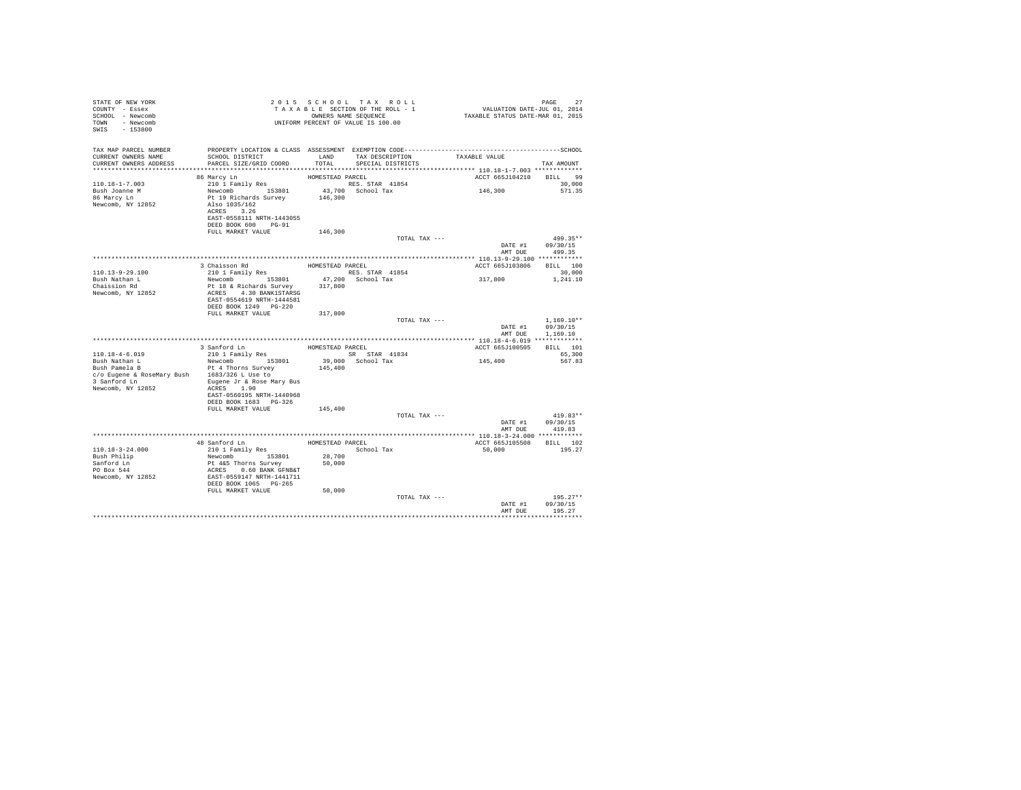| STATE OF NEW YORK<br>COUNTY - Essex<br>SCHOOL - Newcomb<br>TOWN - Newcomb<br>SWIS - 153800 |                                                                                                                                                                                |                  | 2015 SCHOOL TAX ROLL<br>TAXABLE SECTION OF THE ROLL - 1<br>OWNERS NAME SEQUENCE | PAGE 27<br>VALUATION DATE-JUL 01, 2014<br>TAXABLE STATUS DATE-MAR 01, 2015 |                        |
|--------------------------------------------------------------------------------------------|--------------------------------------------------------------------------------------------------------------------------------------------------------------------------------|------------------|---------------------------------------------------------------------------------|----------------------------------------------------------------------------|------------------------|
| TAX MAP PARCEL NUMBER                                                                      |                                                                                                                                                                                |                  |                                                                                 |                                                                            |                        |
| CURRENT OWNERS NAME<br>CURRENT OWNERS ADDRESS                                              | SCHOOL DISTRICT<br>PARCEL SIZE/GRID COORD                                                                                                                                      |                  | LAND TAX DESCRIPTION TAXABLE VALUE<br>TOTAL SPECIAL DISTRICTS                   |                                                                            |                        |
|                                                                                            |                                                                                                                                                                                |                  |                                                                                 |                                                                            | TAX AMOUNT             |
|                                                                                            | 86 Marcy Ln                                                                                                                                                                    | HOMESTEAD PARCEL |                                                                                 | ACCT 665J104210 BILL 99                                                    |                        |
| 110.18-1-7.003                                                                             |                                                                                                                                                                                |                  | RES. STAR 41854                                                                 |                                                                            | 30,000                 |
|                                                                                            |                                                                                                                                                                                |                  | 43.700 School Tax                                                               | 146,300                                                                    | 571.35                 |
| Bush Joanne M<br>86 Marcy Ln                                                               |                                                                                                                                                                                |                  |                                                                                 |                                                                            |                        |
| Newcomb, NY 12852                                                                          | 210 1 Family Res<br>Newcomb 153801 43,700<br>Pt 19 Richards Survey 146,300<br>Also 1035/162 146,300                                                                            |                  |                                                                                 |                                                                            |                        |
|                                                                                            | ACRES 3.26                                                                                                                                                                     |                  |                                                                                 |                                                                            |                        |
|                                                                                            | EAST-0558111 NRTH-1443055                                                                                                                                                      |                  |                                                                                 |                                                                            |                        |
|                                                                                            | DEED BOOK 600 PG-91<br>FULL MARKET VALUE                                                                                                                                       | 146,300          |                                                                                 |                                                                            |                        |
|                                                                                            |                                                                                                                                                                                |                  | TOTAL TAX ---                                                                   |                                                                            | 499.35**               |
|                                                                                            |                                                                                                                                                                                |                  |                                                                                 |                                                                            | DATE #1 09/30/15       |
|                                                                                            |                                                                                                                                                                                |                  |                                                                                 | AMT DUE                                                                    | 499.35                 |
|                                                                                            |                                                                                                                                                                                |                  |                                                                                 |                                                                            |                        |
|                                                                                            | 3 Chaisson Rd<br>210 1 Family Res                                                                                                                                              | HOMESTEAD PARCEL |                                                                                 | ACCT 665J103806 BILL 100                                                   |                        |
| 110.13-9-29.100                                                                            |                                                                                                                                                                                |                  | RES. STAR 41854                                                                 |                                                                            | 30,000                 |
| Bush Nathan L<br>Chaission Rd                                                              | Newcomb 153801<br>Pt 18 & Richards Survey 317,800                                                                                                                              |                  | 47,200 School Tax                                                               | 317,800                                                                    | 1,241.10               |
| Newcomb, NY 12852                                                                          | ACRES 4.30 BANK1STARSG                                                                                                                                                         |                  |                                                                                 |                                                                            |                        |
|                                                                                            | EAST-0554619 NRTH-1444581                                                                                                                                                      |                  |                                                                                 |                                                                            |                        |
|                                                                                            | DEED BOOK 1249    PG-220                                                                                                                                                       |                  |                                                                                 |                                                                            |                        |
|                                                                                            | FULL MARKET VALUE                                                                                                                                                              | 317,800          |                                                                                 |                                                                            |                        |
|                                                                                            |                                                                                                                                                                                |                  | TOTAL TAX ---                                                                   |                                                                            | $1.169.10**$           |
|                                                                                            |                                                                                                                                                                                |                  |                                                                                 |                                                                            | DATE #1 09/30/15       |
|                                                                                            |                                                                                                                                                                                |                  |                                                                                 | AMT DUE                                                                    | 1,169.10               |
|                                                                                            | 3 Sanford Ln                                                                                                                                                                   | HOMESTEAD PARCEL |                                                                                 | ACCT 665J100505 BILL 101                                                   |                        |
| 110.18-4-6.019                                                                             | 210 1 Family Res                                                                                                                                                               |                  | SR STAR 41834                                                                   |                                                                            | 65,300                 |
|                                                                                            | Newcomb 153801                                                                                                                                                                 |                  | 39,000 School Tax                                                               | 145,400                                                                    | 567.83                 |
| Bush Nathan L<br>Bush Pamela B                                                             | Pt 4 Thorns Survey                                                                                                                                                             | 145,400          |                                                                                 |                                                                            |                        |
| c/o Eugene & RoseMary Bush 1683/326 L Use to                                               |                                                                                                                                                                                |                  |                                                                                 |                                                                            |                        |
| 3 Sanford Ln Bugene Jr & Rose Mary Bus                                                     |                                                                                                                                                                                |                  |                                                                                 |                                                                            |                        |
| Newcomb, NY 12852                                                                          | ACRES 1.90<br>EAST-0560195 NRTH-1440968                                                                                                                                        |                  |                                                                                 |                                                                            |                        |
|                                                                                            | DEED BOOK 1683 PG-326                                                                                                                                                          |                  |                                                                                 |                                                                            |                        |
|                                                                                            | FULL MARKET VALUE                                                                                                                                                              | 145,400          |                                                                                 |                                                                            |                        |
|                                                                                            |                                                                                                                                                                                |                  | TOTAL TAX ---                                                                   |                                                                            | $419.83**$             |
|                                                                                            |                                                                                                                                                                                |                  |                                                                                 |                                                                            | DATE #1 09/30/15       |
|                                                                                            |                                                                                                                                                                                |                  |                                                                                 | AMT DUE                                                                    | 419.83                 |
|                                                                                            |                                                                                                                                                                                |                  |                                                                                 |                                                                            |                        |
|                                                                                            |                                                                                                                                                                                |                  | HOMESTEAD PARCEL<br>School Tax                                                  | ACCT 665J105508 BILL 102<br>50.000                                         | 195.27                 |
| 110.18-3-24.000<br>Bush Philip                                                             |                                                                                                                                                                                | 28,700           |                                                                                 |                                                                            |                        |
|                                                                                            |                                                                                                                                                                                | 50,000           |                                                                                 |                                                                            |                        |
| Sanford Ln<br>PO Box 544                                                                   |                                                                                                                                                                                |                  |                                                                                 |                                                                            |                        |
| Newcomb, NY 12852                                                                          | 48 Sanford Ln<br>210 1 Family Res<br>Newcomb<br>216 153801<br>Pt 445 Thorns Survey<br>ACRES<br>ACRES 0.60 BANK GPNB&T<br>EAST-0559147 NRTH-1441711<br>DEED BOOK 1065<br>PG-265 |                  |                                                                                 |                                                                            |                        |
|                                                                                            |                                                                                                                                                                                |                  |                                                                                 |                                                                            |                        |
|                                                                                            | FULL MARKET VALUE                                                                                                                                                              | 50,000           |                                                                                 |                                                                            |                        |
|                                                                                            |                                                                                                                                                                                |                  | TOTAL TAX ---                                                                   | DATE #1                                                                    | $195.27**$<br>09/30/15 |
|                                                                                            |                                                                                                                                                                                |                  |                                                                                 | AMT DUE                                                                    | 195.27                 |
|                                                                                            |                                                                                                                                                                                |                  |                                                                                 |                                                                            | **************         |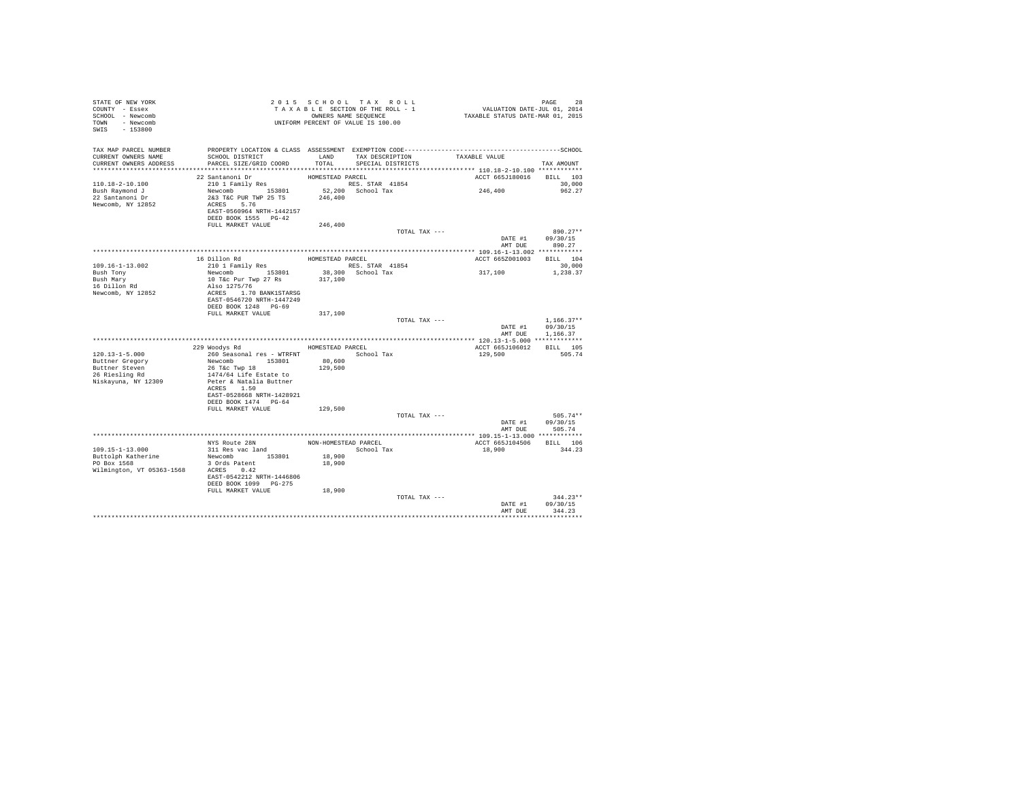| STATE OF NEW YORK<br>COUNTY - Essex<br>SCHOOL - Newcomb<br>TOWN - Newcomb<br>SWIS - 153800 | UNIFORM PERCENT OF VALUE IS 100.00                                                                |                  | 2015 SCHOOL TAX ROLL<br>TAXABLE SECTION OF THE ROLL - 1<br>OWNERS NAME SEQUENCE |               | PAGE 28<br>VALUATION DATE-JUL 01, 2014<br>TAXABLE STATUS DATE-MAR 01, 2015 |              |
|--------------------------------------------------------------------------------------------|---------------------------------------------------------------------------------------------------|------------------|---------------------------------------------------------------------------------|---------------|----------------------------------------------------------------------------|--------------|
| TAX MAP PARCEL NUMBER<br>CURRENT OWNERS NAME<br>CURRENT OWNERS ADDRESS                     | SCHOOL DISTRICT<br>PARCEL SIZE/GRID COORD                                                         | TOTAL            | LAND TAX DESCRIPTION<br>SPECIAL DISTRICTS                                       | TAXABLE VALUE |                                                                            | TAX AMOUNT   |
|                                                                                            |                                                                                                   |                  |                                                                                 |               |                                                                            |              |
|                                                                                            | 22 Santanoni Dr                                                                                   | HOMESTEAD PARCEL |                                                                                 |               | ACCT 665J180016 BILL 103                                                   |              |
| 110.18-2-10.100                                                                            | 210 1 Family Res                                                                                  |                  | RES. STAR 41854                                                                 |               |                                                                            | 30,000       |
| Bush Raymond J                                                                             |                                                                                                   |                  | 52,200 School Tax                                                               |               | 246,400                                                                    | 962.27       |
| 22 Santanoni Dr<br>Newcomb, NY 12852                                                       | Newcomb 153801 52,200<br>2&3 T&C PUR TWP 25 TS 246,400<br>ACRES 5.76<br>EAST-0560964 NRTH-1442157 |                  |                                                                                 |               |                                                                            |              |
|                                                                                            | DEED BOOK 1555 PG-42                                                                              |                  |                                                                                 |               |                                                                            |              |
|                                                                                            | FULL MARKET VALUE                                                                                 | 246,400          |                                                                                 |               |                                                                            |              |
|                                                                                            |                                                                                                   |                  |                                                                                 | TOTAL TAX --- | DATE #1 09/30/15                                                           | 890.27**     |
|                                                                                            |                                                                                                   |                  |                                                                                 |               | AMT DUE                                                                    | 890.27       |
|                                                                                            |                                                                                                   |                  |                                                                                 |               |                                                                            |              |
|                                                                                            | 16 Dillon Rd                                                                                      | HOMESTEAD PARCEL |                                                                                 |               | ACCT 665Z001003                                                            | BILL 104     |
| 109.16-1-13.002                                                                            | 210 1 Family Res                                                                                  |                  | RES. STAR 41854                                                                 |               | 317,100                                                                    | 30,000       |
| Bush Tony<br>Bush Mary                                                                     | Newcomb 153801                                                                                    |                  | 38,300 School Tax                                                               |               |                                                                            | 1,238.37     |
| 16 Dillon Rd                                                                               | 10 T&c Pur Twp 27 Rs<br>Also 1275/76                                                              | 317,100          |                                                                                 |               |                                                                            |              |
| Newcomb, NY 12852                                                                          | ACRES 1.70 BANK1STARSG                                                                            |                  |                                                                                 |               |                                                                            |              |
|                                                                                            | EAST-0546720 NRTH-1447249                                                                         |                  |                                                                                 |               |                                                                            |              |
|                                                                                            | DEED BOOK 1248 PG-69                                                                              |                  |                                                                                 |               |                                                                            |              |
|                                                                                            | FULL MARKET VALUE                                                                                 | 317,100          |                                                                                 | TOTAL TAX --- |                                                                            | $1.166.37**$ |
|                                                                                            |                                                                                                   |                  |                                                                                 |               | DATE #1                                                                    | 09/30/15     |
|                                                                                            |                                                                                                   |                  |                                                                                 |               | AMT DUE                                                                    | 1,166.37     |
|                                                                                            |                                                                                                   | HOMESTEAD PARCEL |                                                                                 |               | ACCT 665J106012                                                            | BILL 105     |
| 120.13-1-5.000                                                                             | 229 Woodys Rd<br>260 Seasonal res - WTRFNT                                                        |                  |                                                                                 |               | 129,500                                                                    | 505.74       |
| Buttner Gregory                                                                            | Newcomb 153801                                                                                    | 80,600           | School Tax                                                                      |               |                                                                            |              |
| Buttner Steven                                                                             | 26 T&c Twp 18                                                                                     | 129,500          |                                                                                 |               |                                                                            |              |
| 26 Riesling Rd                                                                             | 1474/64 Life Estate to                                                                            |                  |                                                                                 |               |                                                                            |              |
| Niskayuna, NY 12309                                                                        | Peter & Natalia Buttner                                                                           |                  |                                                                                 |               |                                                                            |              |
|                                                                                            | ACRES 1.50                                                                                        |                  |                                                                                 |               |                                                                            |              |
|                                                                                            | EAST-0528668 NRTH-1428921                                                                         |                  |                                                                                 |               |                                                                            |              |
|                                                                                            | DEED BOOK 1474 PG-64                                                                              |                  |                                                                                 |               |                                                                            |              |
|                                                                                            | FULL MARKET VALUE                                                                                 | 129,500          |                                                                                 |               |                                                                            |              |
|                                                                                            |                                                                                                   |                  |                                                                                 | TOTAL TAX --- |                                                                            | $505.74**$   |
|                                                                                            |                                                                                                   |                  |                                                                                 |               | DATE #1                                                                    | 09/30/15     |
|                                                                                            |                                                                                                   |                  |                                                                                 |               | AMT DUE                                                                    | 505.74       |
|                                                                                            |                                                                                                   |                  |                                                                                 |               |                                                                            |              |
|                                                                                            | NYS Route 28N                                                                                     |                  | NON-HOMESTEAD PARCEL                                                            |               | ACCT 665J104506 BILL 106                                                   |              |
| 109.15-1-13.000                                                                            | 311 Res vac land                                                                                  |                  | School Tax                                                                      |               | 18,900                                                                     | 344.23       |
| Buttolph Katherine<br>PO Box 1568                                                          | Newcomb 153801<br>3 Ords Patent                                                                   | 18,900<br>18,900 |                                                                                 |               |                                                                            |              |
|                                                                                            |                                                                                                   |                  |                                                                                 |               |                                                                            |              |
| Wilmington, VT 05363-1568 ACRES 0.42                                                       | EAST-0542212 NRTH-1446806                                                                         |                  |                                                                                 |               |                                                                            |              |
|                                                                                            | DEED BOOK 1099 PG-275                                                                             |                  |                                                                                 |               |                                                                            |              |
|                                                                                            | FULL MARKET VALUE                                                                                 | 18,900           |                                                                                 |               |                                                                            | $344.23**$   |
|                                                                                            |                                                                                                   |                  |                                                                                 | TOTAL TAX --- | DATE #1                                                                    | 09/30/15     |
|                                                                                            |                                                                                                   |                  |                                                                                 |               | AMT DUE                                                                    | 344.23       |
|                                                                                            |                                                                                                   |                  |                                                                                 |               |                                                                            |              |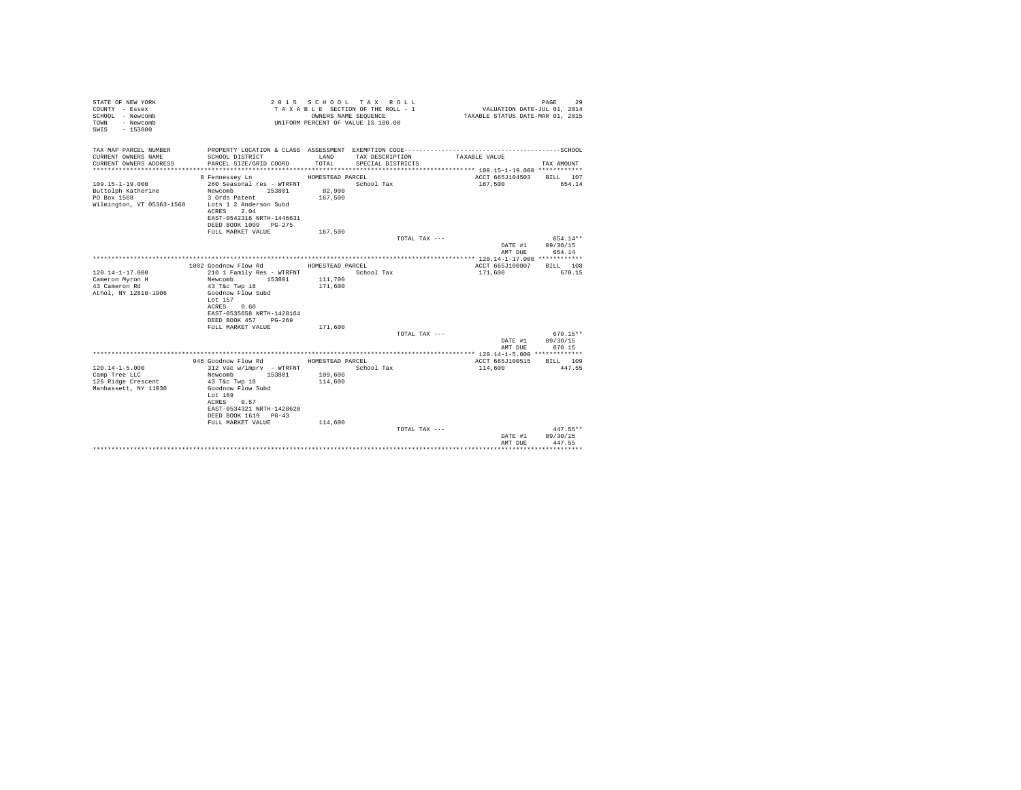| STATE OF NEW YORK<br>COUNTY - Essex<br>SCHOOL - Newcomb<br>- Newcomb<br>TOWN<br>SWIS - 153800 |                                           |                  | 2015 SCHOOL TAX ROLL<br>TAXABLE SECTION OF THE ROLL - 1<br>OWNERS NAME SEQUENCE<br>UNIFORM PERCENT OF VALUE IS 100.00 | VALUATION DATE-JUL 01, 2014<br>TAXABLE STATUS DATE-MAR 01, 2015 | PAGE<br>29         |
|-----------------------------------------------------------------------------------------------|-------------------------------------------|------------------|-----------------------------------------------------------------------------------------------------------------------|-----------------------------------------------------------------|--------------------|
| TAX MAP PARCEL NUMBER                                                                         |                                           |                  |                                                                                                                       |                                                                 |                    |
| CURRENT OWNERS NAME<br>CURRENT OWNERS ADDRESS                                                 | SCHOOL DISTRICT<br>PARCEL SIZE/GRID COORD | LAND<br>TOTAL    | TAX DESCRIPTION<br>SPECIAL DISTRICTS                                                                                  | TAXABLE VALUE                                                   | TAX AMOUNT         |
|                                                                                               |                                           |                  |                                                                                                                       |                                                                 |                    |
|                                                                                               | 8 Fennessey Ln                            | HOMESTEAD PARCEL |                                                                                                                       | ACCT 665J104503 BILL 107                                        |                    |
| $109.15 - 1 - 19.000$                                                                         | 260 Seasonal res - WTRFNT                 |                  | School Tax                                                                                                            | 167.500                                                         | 654.14             |
| Buttolph Katherine                                                                            | 153801<br>Newcomb                         | 82,900           |                                                                                                                       |                                                                 |                    |
| PO Box 1568                                                                                   | 3 Ords Patent                             | 167,500          |                                                                                                                       |                                                                 |                    |
| Wilmington, VT 05363-1568                                                                     | Lots 1 2 Anderson Subd                    |                  |                                                                                                                       |                                                                 |                    |
|                                                                                               | ACRES 2.04<br>EAST-0542316 NRTH-1446631   |                  |                                                                                                                       |                                                                 |                    |
|                                                                                               | DEED BOOK 1099 PG-275                     |                  |                                                                                                                       |                                                                 |                    |
|                                                                                               | FULL MARKET VALUE                         | 167.500          |                                                                                                                       |                                                                 |                    |
|                                                                                               |                                           |                  | TOTAL TAX ---                                                                                                         |                                                                 | 654.14**           |
|                                                                                               |                                           |                  |                                                                                                                       | DATE #1                                                         | 09/30/15           |
|                                                                                               |                                           |                  |                                                                                                                       | AMT DUE                                                         | 654.14             |
|                                                                                               | 1002 Goodnow Flow Rd                      | HOMESTEAD PARCEL |                                                                                                                       | ACCT 665J100807                                                 | BILL 108           |
| $120.14 - 1 - 17.000$                                                                         | 210 1 Family Res - WTRFNT                 |                  | School Tax                                                                                                            | 171,600                                                         | 670.15             |
| Cameron Myron H                                                                               | 153801<br>Newcomb                         | 111,700          |                                                                                                                       |                                                                 |                    |
| 43 Cameron Rd                                                                                 | 43 T&c Twp 18                             | 171,600          |                                                                                                                       |                                                                 |                    |
| Athol, NY 12810-1906                                                                          | Goodnow Flow Subd                         |                  |                                                                                                                       |                                                                 |                    |
|                                                                                               | Lot 157<br>ACRES 0.60                     |                  |                                                                                                                       |                                                                 |                    |
|                                                                                               | EAST-0535658 NRTH-1428164                 |                  |                                                                                                                       |                                                                 |                    |
|                                                                                               | DEED BOOK 457 PG-269                      |                  |                                                                                                                       |                                                                 |                    |
|                                                                                               | FULL MARKET VALUE                         | 171,600          |                                                                                                                       |                                                                 |                    |
|                                                                                               |                                           |                  | TOTAL TAX ---                                                                                                         |                                                                 | $670.15**$         |
|                                                                                               |                                           |                  |                                                                                                                       | DATE #1<br>AMT DUE                                              | 09/30/15<br>670.15 |
|                                                                                               |                                           |                  |                                                                                                                       |                                                                 |                    |
|                                                                                               | 946 Goodnow Flow Rd                       | HOMESTEAD PARCEL |                                                                                                                       | ACCT 665J100515                                                 | BILL 109           |
| $120.14 - 1 - 5.000$                                                                          | 312 Vac w/imprv - WTRFNT                  |                  | School Tax                                                                                                            | 114,600                                                         | 447.55             |
| Camp Tree LLC                                                                                 | Newcomb<br>153801                         | 109,600          |                                                                                                                       |                                                                 |                    |
| 126 Ridge Crescent                                                                            | 43 T&c Twp 18                             | 114,600          |                                                                                                                       |                                                                 |                    |
| Manhassett, NY 11030                                                                          | Goodnow Flow Subd<br>Lot $169$            |                  |                                                                                                                       |                                                                 |                    |
|                                                                                               | ACRES 0.57                                |                  |                                                                                                                       |                                                                 |                    |
|                                                                                               | EAST-0534321 NRTH-1428620                 |                  |                                                                                                                       |                                                                 |                    |
|                                                                                               | DEED BOOK 1619 PG-43                      |                  |                                                                                                                       |                                                                 |                    |
|                                                                                               | FULL MARKET VALUE                         | 114,600          |                                                                                                                       |                                                                 |                    |
|                                                                                               |                                           |                  | TOTAL TAX ---                                                                                                         |                                                                 | $447.55**$         |
|                                                                                               |                                           |                  |                                                                                                                       | DATE #1<br>AMT DUE                                              | 09/30/15<br>447.55 |
|                                                                                               |                                           |                  |                                                                                                                       |                                                                 | **********         |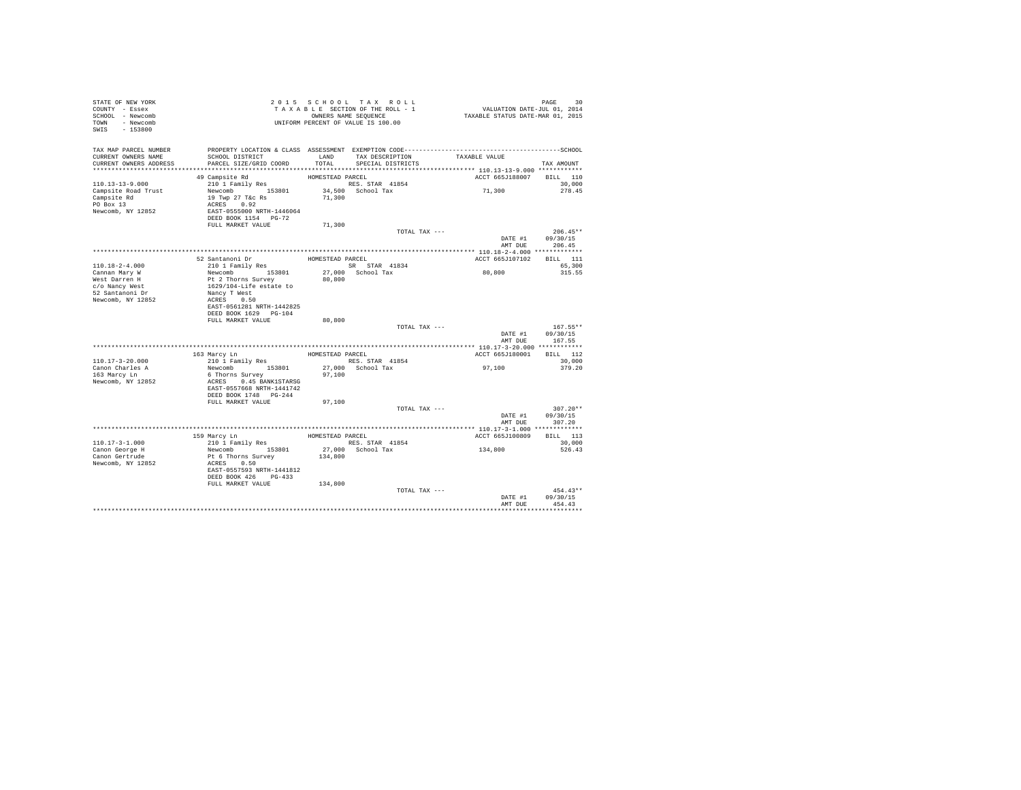| STATE OF NEW YORK<br>COUNTY - Essex<br>SCHOOL - Newcomb<br>TOWN - Newcomb<br>SWIS - 153800 | TAXABLE SECTION OF THE STATES NAME SEQUENCE<br>OWNERS NAME SEQUENCE<br>UNIFORM PERCENT OF VALUE IS 100.00 |                  | TAXABLE SECTION OF THE ROLL - 1<br>OWNERS NAME SEQUENCE | PAGE 30<br>VALUATION DATE-JUL 01, 2014<br>TAXABLE STATUS DATE-MAR 01, 2015                                                         |                    |
|--------------------------------------------------------------------------------------------|-----------------------------------------------------------------------------------------------------------|------------------|---------------------------------------------------------|------------------------------------------------------------------------------------------------------------------------------------|--------------------|
| TAX MAP PARCEL NUMBER<br>CURRENT OWNERS NAME                                               | SCHOOL DISTRICT                                                                                           |                  |                                                         | PROPERTY LOCATION & CLASS ASSESSMENT EXEMPTION CODE-----------------------------------SCHOOL<br>LAND TAX DESCRIPTION TAXABLE VALUE |                    |
| CURRENT OWNERS ADDRESS                                                                     | PARCEL SIZE/GRID COORD                                                                                    | TOTAL            | SPECIAL DISTRICTS                                       |                                                                                                                                    | TAX AMOUNT         |
|                                                                                            | 49 Campsite Rd                                                                                            | HOMESTEAD PARCEL |                                                         | ACCT 665J188007 BILL 110                                                                                                           |                    |
| $110.13 - 13 - 9.000$                                                                      | 210 1 Family Res                                                                                          |                  | RES. STAR 41854                                         |                                                                                                                                    | 30,000             |
| Campsite Road Trust                                                                        | Newcomb 153801                                                                                            |                  | 34,500 School Tax                                       | 71,300                                                                                                                             | 278.45             |
| Campsite Rd                                                                                | 19 Twp 27 T&c Rs                                                                                          | 71,300           |                                                         |                                                                                                                                    |                    |
| PO Box 13                                                                                  | ACRES 0.92                                                                                                |                  |                                                         |                                                                                                                                    |                    |
| Newcomb, NY 12852                                                                          |                                                                                                           |                  |                                                         |                                                                                                                                    |                    |
|                                                                                            | EAST-0555000 NRTH-1446064<br>DEED BOOK 1154 PG-72                                                         |                  |                                                         |                                                                                                                                    |                    |
|                                                                                            | FULL MARKET VALUE                                                                                         | 71,300           |                                                         |                                                                                                                                    |                    |
|                                                                                            |                                                                                                           |                  | TOTAL TAX ---                                           |                                                                                                                                    | $206.45**$         |
|                                                                                            |                                                                                                           |                  |                                                         |                                                                                                                                    | DATE #1 09/30/15   |
|                                                                                            |                                                                                                           |                  |                                                         | AMT DUE                                                                                                                            | 206.45             |
|                                                                                            |                                                                                                           |                  | HOMESTEAD PARCEL                                        |                                                                                                                                    |                    |
| 110.18-2-4.000                                                                             | 52 Santanoni Dr<br>210 1 Family Res                                                                       |                  | SR STAR 41834                                           | ACCT 665J107102 BILL 111                                                                                                           | 65,300             |
|                                                                                            | Newcomb 153801                                                                                            |                  | 27,000 School Tax                                       | 80,800                                                                                                                             | 315.55             |
| Cannan Mary W<br>West Darren H                                                             |                                                                                                           | 80,800           |                                                         |                                                                                                                                    |                    |
| c/o Nancy West                                                                             |                                                                                                           |                  |                                                         |                                                                                                                                    |                    |
| 52 Santanoni Dr                                                                            |                                                                                                           |                  |                                                         |                                                                                                                                    |                    |
| Newcomb, NY 12852                                                                          | Pt 2 Thorns Survey<br>Dt 2 Thorns Survey<br>1629/104-Life estate to<br>Nancy T West<br>ACRES 0.50         |                  |                                                         |                                                                                                                                    |                    |
|                                                                                            | EAST-0561281 NRTH-1442825                                                                                 |                  |                                                         |                                                                                                                                    |                    |
|                                                                                            | DEED BOOK 1629 PG-104                                                                                     |                  |                                                         |                                                                                                                                    |                    |
|                                                                                            | FULL MARKET VALUE                                                                                         | 80,800           |                                                         |                                                                                                                                    |                    |
|                                                                                            |                                                                                                           |                  | TOTAL TAX ---                                           |                                                                                                                                    | $167.55**$         |
|                                                                                            |                                                                                                           |                  |                                                         | DATE #1<br>AMT DUE                                                                                                                 | 09/30/15<br>167.55 |
|                                                                                            |                                                                                                           |                  |                                                         |                                                                                                                                    |                    |
|                                                                                            | 163 Marcy Ln<br>210 1 Family Res                                                                          |                  | HOMESTEAD PARCEL                                        | ACCT 665J180001 BILL 112                                                                                                           |                    |
| $110.17 - 3 - 20.000$<br>Canon Charles A                                                   | Newcomb 153801 27,000 School Tax                                                                          |                  | RES. STAR 41854                                         | 97,100                                                                                                                             | 30,000<br>379.20   |
| 163 Marcy Ln                                                                               | 6 Thorns Survey                                                                                           | 97,100           |                                                         |                                                                                                                                    |                    |
| Newcomb, NY 12852                                                                          | ACRES 0.45 BANK1STARSG                                                                                    |                  |                                                         |                                                                                                                                    |                    |
|                                                                                            | EAST-0557668 NRTH-1441742                                                                                 |                  |                                                         |                                                                                                                                    |                    |
|                                                                                            | DEED BOOK 1748 PG-244                                                                                     |                  |                                                         |                                                                                                                                    |                    |
|                                                                                            | FULL MARKET VALUE                                                                                         | 97,100           |                                                         |                                                                                                                                    |                    |
|                                                                                            |                                                                                                           |                  | TOTAL TAX ---                                           |                                                                                                                                    | $307.20**$         |
|                                                                                            |                                                                                                           |                  |                                                         | DATE #1                                                                                                                            | 09/30/15           |
|                                                                                            |                                                                                                           |                  |                                                         |                                                                                                                                    | AMT DUE 307.20     |
|                                                                                            |                                                                                                           |                  |                                                         |                                                                                                                                    |                    |
|                                                                                            | 159 Marcy Ln<br>210 1 Family Res                                                                          |                  | HOMESTEAD PARCEL                                        | ACCT 665J100809                                                                                                                    | BILL 113           |
| $110.17 - 3 - 1.000$                                                                       | Newcomb 153801                                                                                            |                  | RES. STAR 41854<br>27,000 School Tax                    | 134,800                                                                                                                            | 30,000<br>526.43   |
| Canon George H<br>Canon Gertrude                                                           | Pt 6 Thorns Survey                                                                                        | 134,800          |                                                         |                                                                                                                                    |                    |
| Newcomb, NY 12852                                                                          | ACRES 0.50                                                                                                |                  |                                                         |                                                                                                                                    |                    |
|                                                                                            | EAST-0557593 NRTH-1441812                                                                                 |                  |                                                         |                                                                                                                                    |                    |
|                                                                                            | DEED BOOK 426 PG-433                                                                                      |                  |                                                         |                                                                                                                                    |                    |
|                                                                                            | FULL MARKET VALUE                                                                                         | 134,800          |                                                         |                                                                                                                                    |                    |
|                                                                                            |                                                                                                           |                  | TOTAL TAX ---                                           |                                                                                                                                    | $454.43**$         |
|                                                                                            |                                                                                                           |                  |                                                         | DATE #1                                                                                                                            | 09/30/15           |
|                                                                                            |                                                                                                           |                  |                                                         | AMT DUE                                                                                                                            | 454.43             |
|                                                                                            |                                                                                                           |                  |                                                         |                                                                                                                                    |                    |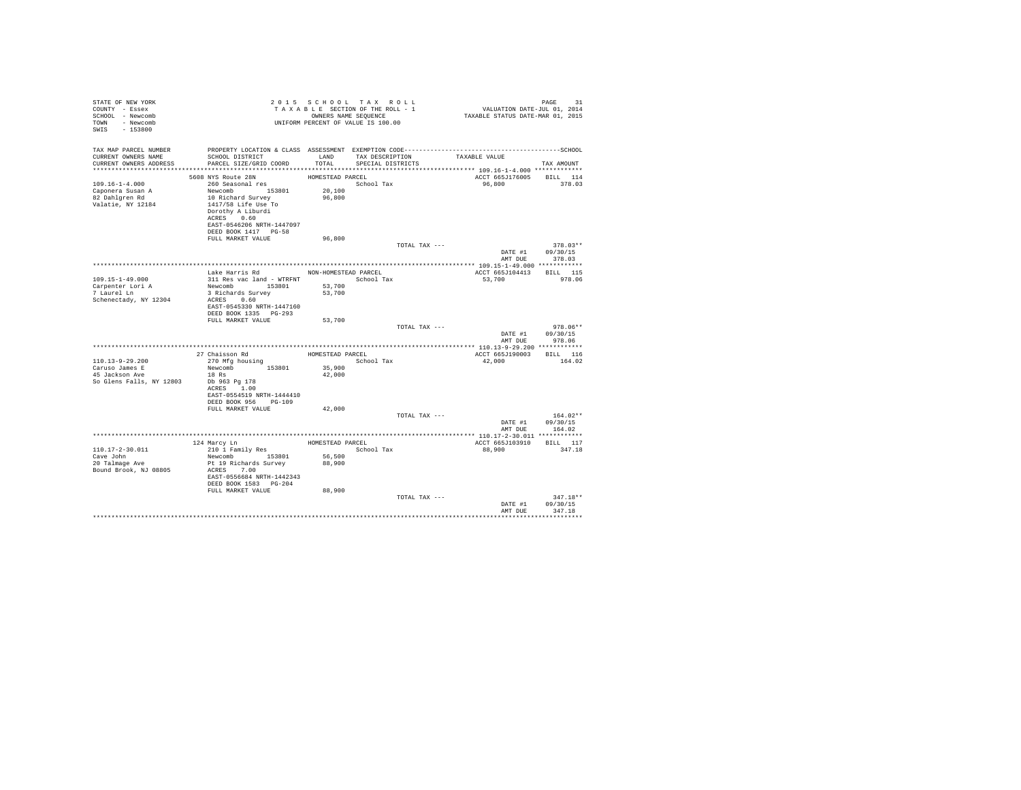| STATE OF NEW YORK<br>COUNTY - Essex<br>SCHOOL - Newcomb<br>TOWN - Newcomb<br>SWIS - 153800 |                                                                                                                                                                                              | 2015 SCHOOL TAX ROLL<br>UNIFORM PERCENT OF VALUE IS 100.00 |                                      |               |                                    |                                                  |
|--------------------------------------------------------------------------------------------|----------------------------------------------------------------------------------------------------------------------------------------------------------------------------------------------|------------------------------------------------------------|--------------------------------------|---------------|------------------------------------|--------------------------------------------------|
| TAX MAP PARCEL NUMBER<br>CURRENT OWNERS NAME<br>CURRENT OWNERS ADDRESS                     | SCHOOL DISTRICT<br>PARCEL SIZE/GRID COORD                                                                                                                                                    | LAND<br>TOTAL                                              | TAX DESCRIPTION<br>SPECIAL DISTRICTS |               | TAXABLE VALUE                      | TAX AMOUNT                                       |
|                                                                                            |                                                                                                                                                                                              |                                                            |                                      |               |                                    |                                                  |
| $109.16 - 1 - 4.000$<br>Caponera Susan A<br>82 Dahlgren Rd<br>Valatie, NY 12184            | 5608 NYS Route 28N<br>260 Seasonal res<br>Newcomb 153801<br>10 Richard Survey<br>1417/58 Life Use To<br>Dorothy A Liburdi<br>ACRES 0.60<br>EAST-0546206 NRTH-1447097<br>DEED BOOK 1417 PG-58 | HOMESTEAD PARCEL<br>School Tax<br>20,100<br>96,800         |                                      |               | ACCT 665J176005 BILL 114<br>96,800 | 378.03                                           |
|                                                                                            | FULL MARKET VALUE                                                                                                                                                                            | 96,800                                                     |                                      |               |                                    |                                                  |
|                                                                                            |                                                                                                                                                                                              |                                                            |                                      | TOTAL TAX --- |                                    | $378.03**$<br>DATE #1 09/30/15<br>AMT DUE 378.03 |
|                                                                                            |                                                                                                                                                                                              |                                                            |                                      |               |                                    |                                                  |
| 109.15-1-49.000<br>Carpenter Lori A<br>7 Laurel Ln<br>Schenectady, NY 12304                | Lake Harris Rd MON-HOMESTEAD PARCEL<br>311 Res vac land - WTRFNT School Tax<br>Newcomb 153801<br>3 Richards Survey<br>ACRES 0.60                                                             | 53,700<br>53,700                                           |                                      |               | ACCT 665J104413 BILL 115<br>53,700 | 978.06                                           |
|                                                                                            | EAST-0545330 NRTH-1447160<br>DEED BOOK 1335 PG-293<br>FULL MARKET VALUE                                                                                                                      | 53,700                                                     |                                      |               |                                    |                                                  |
|                                                                                            |                                                                                                                                                                                              |                                                            |                                      | TOTAL TAX --- | DATE #1<br>AMT DUE                 | $978.06**$<br>09/30/15<br>978.06                 |
|                                                                                            |                                                                                                                                                                                              |                                                            |                                      |               | ACCT 665J190003 BILL 116           |                                                  |
| $110.13 - 9 - 29.200$<br>Caruso James E<br>45 Jackson Ave<br>So Glens Falls, NY 12803      | 27 Chaisson Rd<br>270 Mfg housing BOMESTEAD PARCEL 270 Mfg housing School<br>Newcomb 153801<br>18 Rs<br>Db 963 Pa 178<br>ACRES 1.00                                                          | School Tax<br>35,900<br>42,000                             |                                      |               | 42,000                             | 164.02                                           |
|                                                                                            | EAST-0554519 NRTH-1444410<br>DEED BOOK 956 PG-109                                                                                                                                            |                                                            |                                      |               |                                    |                                                  |
|                                                                                            | FULL MARKET VALUE                                                                                                                                                                            | 42,000                                                     |                                      | TOTAL TAX --- |                                    | $164.02**$<br>DATE #1 09/30/15                   |
|                                                                                            |                                                                                                                                                                                              |                                                            |                                      |               | AMT DUE                            | 164.02                                           |
|                                                                                            |                                                                                                                                                                                              | HOMESTEAD PARCEL                                           |                                      |               | ACCT 665J103910                    | BILL 117                                         |
| $110.17 - 2 - 30.011$<br>Cave John<br>20 Talmage Ave<br>Bound Brook, NJ 08805              | 124 Marcy Ln<br>210 1 Family Res<br>Newcomb 153801<br>Pt 19 Richards Survey<br>ACRES 7.00<br>EAST-0556684 NRTH-1442343<br>DEED BOOK 1583 PG-204                                              | 56,500<br>88,900                                           | School Tax                           |               | 88,900                             | 347.18                                           |
|                                                                                            | FULL MARKET VALUE                                                                                                                                                                            | 88,900                                                     |                                      | TOTAL TAX --- | DATE #1<br>AMT DUE                 | $347.18**$<br>09/30/15<br>347.18                 |
|                                                                                            |                                                                                                                                                                                              |                                                            |                                      |               |                                    |                                                  |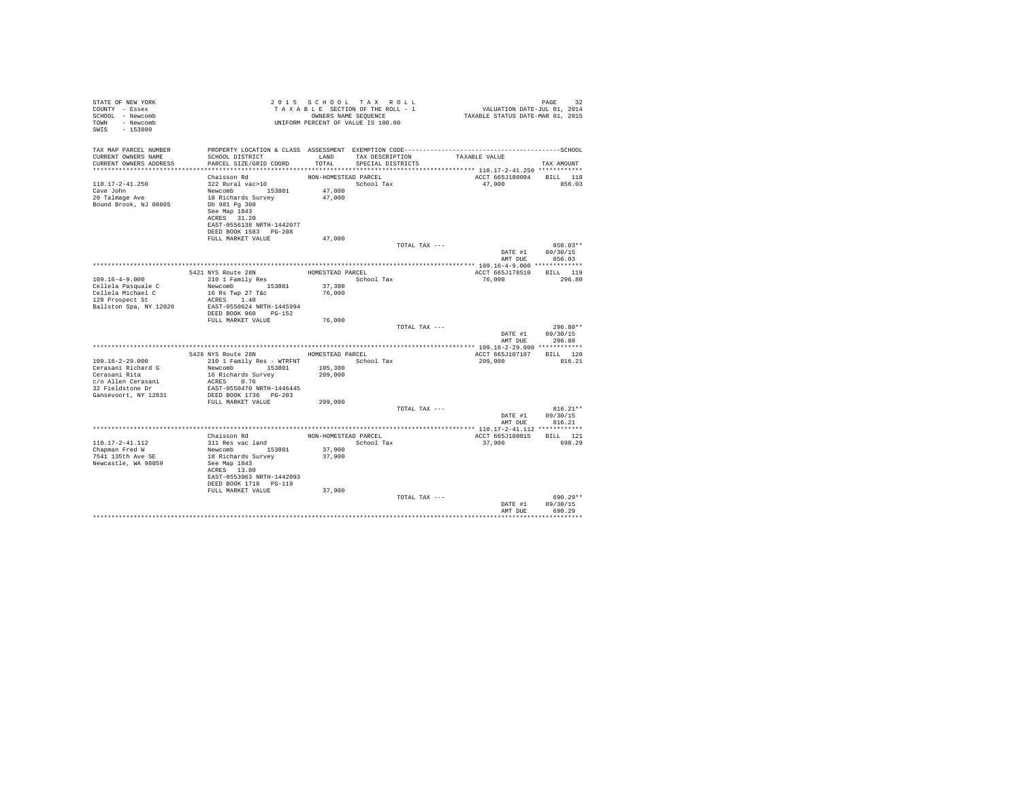| STATE OF NEW YORK<br>COUNTY - Essex<br>SCHOOL - Newcomb<br>- Newcomb<br>TOWN<br>$-153800$<br>SWIS |                                                                                                                 | 2015 SCHOOL TAX ROLL<br>TAXABLE SECTION OF THE ROLL - 1<br>OWNERS NAME SEQUENCE<br>UNIFORM PERCENT OF VALUE IS 100.00 |                   |               | VALUATION DATE-JUL 01, 2014<br>TAXABLE STATUS DATE-MAR 01, 2015 | PAGE<br>32             |
|---------------------------------------------------------------------------------------------------|-----------------------------------------------------------------------------------------------------------------|-----------------------------------------------------------------------------------------------------------------------|-------------------|---------------|-----------------------------------------------------------------|------------------------|
| TAX MAP PARCEL NUMBER<br>CURRENT OWNERS NAME                                                      | PROPERTY LOCATION & CLASS ASSESSMENT EXEMPTION CODE-----------------------------------SCHOOL<br>SCHOOL DISTRICT | LAND                                                                                                                  | TAX DESCRIPTION   |               | TAXABLE VALUE                                                   |                        |
| CURRENT OWNERS ADDRESS<br>************************                                                | PARCEL SIZE/GRID COORD                                                                                          | TOTAL                                                                                                                 | SPECIAL DISTRICTS |               |                                                                 | TAX AMOUNT             |
|                                                                                                   | Chaisson Rd                                                                                                     | NON-HOMESTEAD PARCEL                                                                                                  |                   |               | ACCT 665J180004                                                 | BILL 118               |
| $110.17 - 2 - 41.250$<br>Cave John<br>20 Talmage Ave<br>Bound Brook, NJ 08805                     | 322 Rural vac>10<br>Newcomb 153801<br>18 Richards Survey<br>Db 981 Pg 308                                       | 47,000<br>47,000                                                                                                      | School Tax        |               | 47,000                                                          | 856.03                 |
|                                                                                                   | See Map 1843<br>ACRES 31.20<br>EAST-0556138 NRTH-1442077<br>DEED BOOK 1583 PG-208                               |                                                                                                                       |                   |               |                                                                 |                        |
|                                                                                                   | FULL MARKET VALUE                                                                                               | 47,000                                                                                                                |                   |               |                                                                 |                        |
|                                                                                                   |                                                                                                                 |                                                                                                                       |                   | TOTAL TAX --- | DATE #1                                                         | $856.03**$<br>09/30/15 |
|                                                                                                   |                                                                                                                 |                                                                                                                       |                   |               | AMT DUE                                                         | 856.03                 |
|                                                                                                   | 5421 NYS Route 28N                                                                                              | HOMESTEAD PARCEL                                                                                                      |                   |               | ACCT 665J178510                                                 | BILL 119               |
| $109.16 - 4 - 9.000$                                                                              | 210 1 Family Res                                                                                                |                                                                                                                       | School Tax        |               | 76,000                                                          | 296.80                 |
| Cellela Pasquale C                                                                                | Newcomb 153801                                                                                                  | 37,300                                                                                                                |                   |               |                                                                 |                        |
| Cellela Michael C                                                                                 | 16 Rs Twp 27 T&c                                                                                                | 76,000                                                                                                                |                   |               |                                                                 |                        |
| 128 Prospect St                                                                                   | ACRES 1.40                                                                                                      |                                                                                                                       |                   |               |                                                                 |                        |
| Ballston Spa, NY 12020                                                                            | EAST-0550624 NRTH-1445994<br>DEED BOOK 960 PG-152                                                               |                                                                                                                       |                   |               |                                                                 |                        |
|                                                                                                   | FULL MARKET VALUE                                                                                               | 76,000                                                                                                                |                   |               |                                                                 |                        |
|                                                                                                   |                                                                                                                 |                                                                                                                       |                   | TOTAL TAX --- |                                                                 | $296.80**$             |
|                                                                                                   |                                                                                                                 |                                                                                                                       |                   |               | DATE #1<br>AMT DUE                                              | 09/30/15<br>296.80     |
|                                                                                                   |                                                                                                                 |                                                                                                                       |                   |               |                                                                 |                        |
|                                                                                                   | 5426 NYS Route 28N                                                                                              | HOMESTEAD PARCEL                                                                                                      |                   |               | ACCT 665J107107                                                 | BILL 120               |
| $109.16 - 2 - 29.000$<br>Cerasani Richard G                                                       | 210 1 Family Res - WTRFNT<br>Newcomb 153801                                                                     | 105,300                                                                                                               | School Tax        |               | 209,000                                                         | 816.21                 |
| Cerasani Rita                                                                                     | 16 Richards Survey                                                                                              | 209,000                                                                                                               |                   |               |                                                                 |                        |
| c/o Allen Cerasani                                                                                | ACRES 0.76                                                                                                      |                                                                                                                       |                   |               |                                                                 |                        |
| 32 Fieldstone Dr                                                                                  | EAST-0550470 NRTH-1446445                                                                                       |                                                                                                                       |                   |               |                                                                 |                        |
| Gansevoort, NY 12831                                                                              | DEED BOOK 1736 PG-203                                                                                           |                                                                                                                       |                   |               |                                                                 |                        |
|                                                                                                   | FULL MARKET VALUE                                                                                               | 209,000                                                                                                               |                   | TOTAL TAX --- |                                                                 | $816.21**$             |
|                                                                                                   |                                                                                                                 |                                                                                                                       |                   |               | DATE #1<br>AMT DUE                                              | 09/30/15<br>816.21     |
|                                                                                                   |                                                                                                                 |                                                                                                                       |                   |               |                                                                 |                        |
|                                                                                                   | Chaisson Rd                                                                                                     | NON-HOMESTEAD PARCEL                                                                                                  |                   |               | ACCT 665J180015                                                 | BILL 121               |
| 110.17-2-41.112                                                                                   | 311 Res vac land                                                                                                |                                                                                                                       | School Tax        |               | 37,900                                                          | 690.29                 |
| Chapman Fred W<br>7541 135th Ave SE                                                               | Newcomb 153801<br>18 Richards Survey                                                                            | 37,900<br>37,900                                                                                                      |                   |               |                                                                 |                        |
| Newcastle, WA 98059                                                                               | See Map 1843                                                                                                    |                                                                                                                       |                   |               |                                                                 |                        |
|                                                                                                   | ACRES 13.80                                                                                                     |                                                                                                                       |                   |               |                                                                 |                        |
|                                                                                                   | EAST-0553963 NRTH-1442093<br>DEED BOOK 1718 PG-119                                                              |                                                                                                                       |                   |               |                                                                 |                        |
|                                                                                                   | FULL MARKET VALUE                                                                                               | 37,900                                                                                                                |                   |               |                                                                 |                        |
|                                                                                                   |                                                                                                                 |                                                                                                                       |                   | TOTAL TAX --- |                                                                 | $690.29**$             |
|                                                                                                   |                                                                                                                 |                                                                                                                       |                   |               | DATE #1                                                         | 09/30/15               |
|                                                                                                   |                                                                                                                 |                                                                                                                       |                   |               | AMT DUE                                                         | 690.29                 |
|                                                                                                   |                                                                                                                 |                                                                                                                       |                   |               |                                                                 | .                      |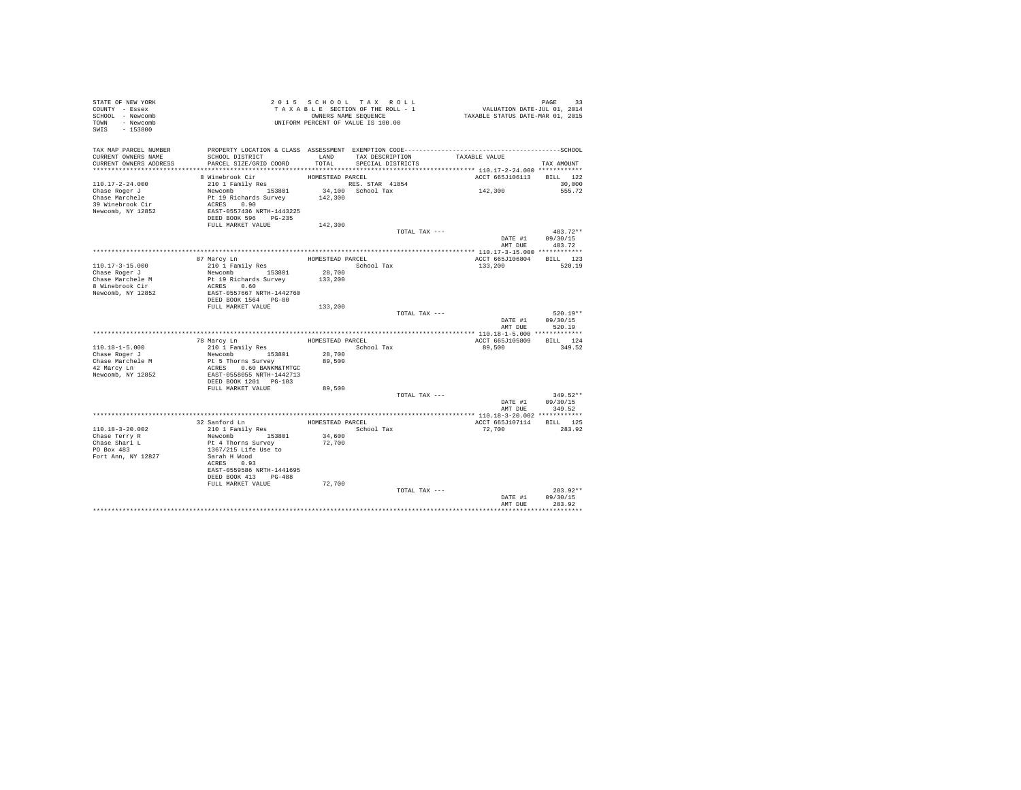| STATE OF NEW YORK<br>COUNTY - Essex<br>SCHOOL - Newcomb |                                                                                              |                  | 2015 SCHOOL TAX ROLL<br>TAXABLE SECTION OF THE ROLL - 1<br>OWNERS NAME SEQUENCE |               | PAGE 33<br>VALUATION DATE-JUL 01, 2014<br>TAXABLE STATUS DATE-MAR 01, 2015 |                    |  |
|---------------------------------------------------------|----------------------------------------------------------------------------------------------|------------------|---------------------------------------------------------------------------------|---------------|----------------------------------------------------------------------------|--------------------|--|
| TOWN - Newcomb<br>SWIS - 153800                         |                                                                                              |                  | UNIFORM PERCENT OF VALUE IS 100.00                                              |               |                                                                            |                    |  |
| TAX MAP PARCEL NUMBER                                   | PROPERTY LOCATION & CLASS ASSESSMENT EXEMPTION CODE-----------------------------------SCHOOL |                  |                                                                                 |               |                                                                            |                    |  |
| CURRENT OWNERS NAME                                     | SCHOOL DISTRICT                                                                              | LAND             | TAX DESCRIPTION                                                                 |               | TAXABLE VALUE                                                              |                    |  |
| CURRENT OWNERS ADDRESS                                  | PARCEL SIZE/GRID COORD                                                                       | TOTAL.           | SPECIAL DISTRICTS                                                               |               |                                                                            | TAX AMOUNT         |  |
|                                                         | 8 Winebrook Cir                                                                              | HOMESTEAD PARCEL |                                                                                 |               | ACCT 665J106113 BILL 122                                                   |                    |  |
| $110.17 - 2 - 24.000$                                   | 210 1 Family Res                                                                             |                  | RES. STAR 41854                                                                 |               |                                                                            | 30,000             |  |
| Chase Roger J                                           | Newcomb 153801                                                                               |                  | 34,100 School Tax                                                               |               | 142,300                                                                    | 555.72             |  |
| Chase Marchele                                          | Pt 19 Richards Survey<br>ACRES 0.90                                                          | 142,300          |                                                                                 |               |                                                                            |                    |  |
| 39 Winebrook Cir                                        |                                                                                              |                  |                                                                                 |               |                                                                            |                    |  |
| Newcomb, NY 12852                                       | EAST-0557436 NRTH-1443225                                                                    |                  |                                                                                 |               |                                                                            |                    |  |
|                                                         | DEED BOOK 596 PG-235                                                                         |                  |                                                                                 |               |                                                                            |                    |  |
|                                                         | FULL MARKET VALUE                                                                            | 142,300          |                                                                                 | TOTAL TAX --- |                                                                            | $483.72**$         |  |
|                                                         |                                                                                              |                  |                                                                                 |               | DATE #1 09/30/15                                                           |                    |  |
|                                                         |                                                                                              |                  |                                                                                 |               |                                                                            | AMT DUE 483.72     |  |
|                                                         |                                                                                              |                  |                                                                                 |               |                                                                            |                    |  |
|                                                         | 87 Marcy Ln                                                                                  | HOMESTEAD PARCEL |                                                                                 |               | ACCT 665J106804 BILL 123                                                   |                    |  |
| 110.17-3-15.000                                         | 210 1 Family Res                                                                             |                  | School Tax                                                                      |               | 133,200                                                                    | 520.19             |  |
| Chase Roger J                                           | Newcomb 153801                                                                               | 28,700           |                                                                                 |               |                                                                            |                    |  |
| Chase Marchele M                                        | Pt 19 Richards Survey                                                                        | 133,200          |                                                                                 |               |                                                                            |                    |  |
| 8 Winebrook Cir                                         | ACRES 0.60<br>EAST-0557667 NRTH-1442760                                                      |                  |                                                                                 |               |                                                                            |                    |  |
| Newcomb, NY 12852                                       | DEED BOOK 1564 PG-80                                                                         |                  |                                                                                 |               |                                                                            |                    |  |
|                                                         | FULL MARKET VALUE                                                                            | 133,200          |                                                                                 |               |                                                                            |                    |  |
|                                                         |                                                                                              |                  |                                                                                 | TOTAL TAX --- |                                                                            | $520.19**$         |  |
|                                                         |                                                                                              |                  |                                                                                 |               |                                                                            | DATE #1 09/30/15   |  |
|                                                         |                                                                                              |                  |                                                                                 |               | AMT DUE                                                                    | 520.19             |  |
|                                                         |                                                                                              |                  |                                                                                 |               |                                                                            |                    |  |
| $110.18 - 1 - 5.000$                                    | 78 Marcy Ln                                                                                  |                  | HOMESTEAD PARCEL<br>School Tax                                                  |               | ACCT 665J105809<br>89,500                                                  | BILL 124<br>349.52 |  |
| Chase Roger J                                           | 210 1 Family Res<br>Newcomb 153801                                                           | 28,700           |                                                                                 |               |                                                                            |                    |  |
| Chase Marchele M                                        |                                                                                              | 89,500           |                                                                                 |               |                                                                            |                    |  |
| 42 Marcy Ln                                             | Pt 5 Thorns Survey<br>ACRES 0.60 BANKM&TMTGC                                                 |                  |                                                                                 |               |                                                                            |                    |  |
| Newcomb, NY 12852                                       | EAST-0558055 NRTH-1442713                                                                    |                  |                                                                                 |               |                                                                            |                    |  |
|                                                         | DEED BOOK 1201 PG-103                                                                        |                  |                                                                                 |               |                                                                            |                    |  |
|                                                         | FULL MARKET VALUE                                                                            | 89,500           |                                                                                 |               |                                                                            |                    |  |
|                                                         |                                                                                              |                  |                                                                                 | TOTAL TAX --- |                                                                            | $349.52**$         |  |
|                                                         |                                                                                              |                  |                                                                                 |               | DATE #1 09/30/15<br>AMT DUE                                                | 349.52             |  |
|                                                         |                                                                                              |                  |                                                                                 |               |                                                                            |                    |  |
|                                                         | 32 Sanford Ln                                                                                | HOMESTEAD PARCEL |                                                                                 |               | ACCT 665J107114 BILL 125                                                   |                    |  |
| 110.18-3-20.002                                         | 210 1 Family Res                                                                             |                  | School Tax                                                                      |               | 72,700                                                                     | 283.92             |  |
| Chase Terry R                                           | Newcomb 153801                                                                               | 34,600           |                                                                                 |               |                                                                            |                    |  |
| Chase Shari L<br>PO Box 483                             | Pt 4 Thorns Survey                                                                           | 72,700           |                                                                                 |               |                                                                            |                    |  |
|                                                         | 1367/215 Life Use to                                                                         |                  |                                                                                 |               |                                                                            |                    |  |
| Fort Ann, NY 12827                                      | Sarah H Wood                                                                                 |                  |                                                                                 |               |                                                                            |                    |  |
|                                                         | ACRES 0.93                                                                                   |                  |                                                                                 |               |                                                                            |                    |  |
|                                                         | EAST-0559586 NRTH-1441695<br>DEED BOOK 413 PG-488                                            |                  |                                                                                 |               |                                                                            |                    |  |
|                                                         | FULL MARKET VALUE                                                                            | 72,700           |                                                                                 |               |                                                                            |                    |  |
|                                                         |                                                                                              |                  |                                                                                 | TOTAL TAX --- |                                                                            | $283.92**$         |  |
|                                                         |                                                                                              |                  |                                                                                 |               | DATE #1                                                                    | 09/30/15           |  |
|                                                         |                                                                                              |                  |                                                                                 |               | AMT DUE                                                                    | 283.92             |  |
|                                                         |                                                                                              |                  |                                                                                 |               |                                                                            |                    |  |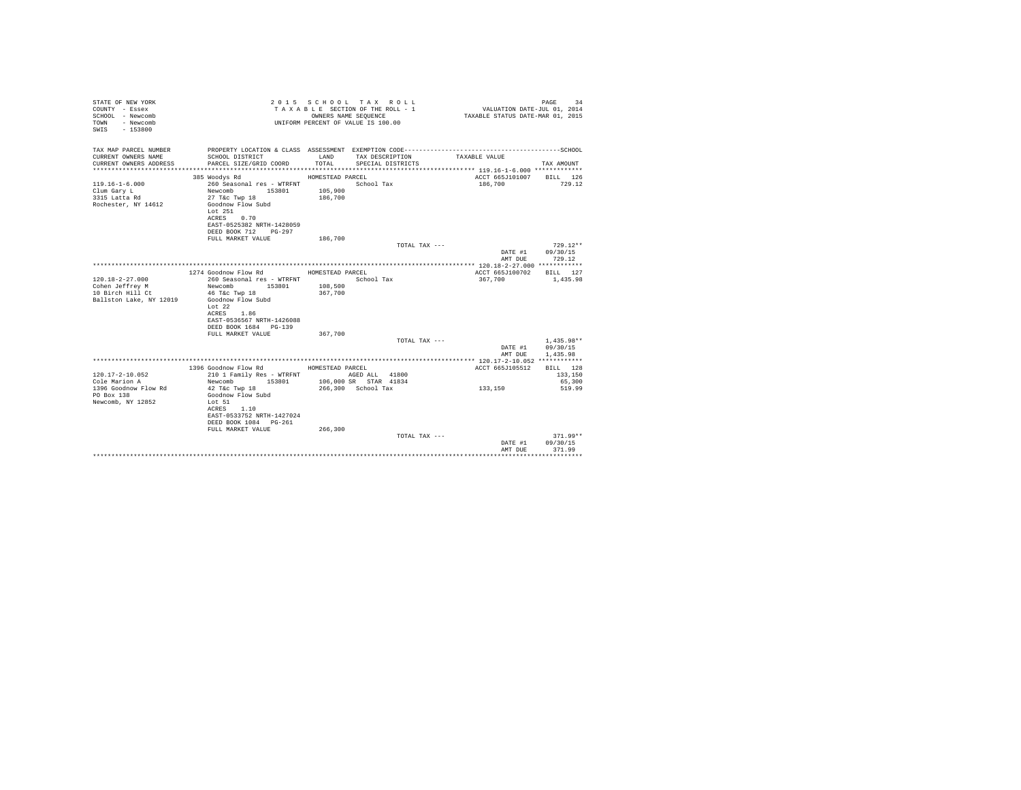| STATE OF NEW YORK<br>COUNTY - Essex<br>SCHOOL - Newcomb<br>- Newcomb<br>TOWN<br>SWIS - 153800 |                                                    |                    | 2015 SCHOOL TAX ROLL<br>TAXABLE SECTION OF THE ROLL - 1<br>OWNERS NAME SEQUENCE<br>UNIFORM PERCENT OF VALUE IS 100.00 | VALUATION DATE-JUL 01, 2014<br>TAXABLE STATUS DATE-MAR 01, 2015 | PAGE<br>34   |
|-----------------------------------------------------------------------------------------------|----------------------------------------------------|--------------------|-----------------------------------------------------------------------------------------------------------------------|-----------------------------------------------------------------|--------------|
| TAX MAP PARCEL NUMBER                                                                         |                                                    |                    |                                                                                                                       |                                                                 |              |
| CURRENT OWNERS NAME<br>CURRENT OWNERS ADDRESS                                                 | SCHOOL DISTRICT<br>PARCEL SIZE/GRID COORD          | LAND<br>TOTAL.     | TAX DESCRIPTION<br>SPECIAL DISTRICTS                                                                                  | TAXABLE VALUE                                                   | TAX AMOUNT   |
|                                                                                               |                                                    |                    |                                                                                                                       |                                                                 |              |
|                                                                                               | 385 Woodys Rd                                      | HOMESTEAD PARCEL   |                                                                                                                       | ACCT 665J101007 BILL 126                                        |              |
| $119.16 - 1 - 6.000$                                                                          | 260 Seasonal res - WTRFNT                          |                    | School Tax                                                                                                            | 186,700                                                         | 729.12       |
| Clum Gary L                                                                                   | Newcomb<br>153801                                  | 105,900            |                                                                                                                       |                                                                 |              |
| 3315 Latta Rd                                                                                 | 27 T&c Twp 18                                      | 186,700            |                                                                                                                       |                                                                 |              |
| Rochester, NY 14612                                                                           | Goodnow Flow Subd                                  |                    |                                                                                                                       |                                                                 |              |
|                                                                                               | Lot $251$                                          |                    |                                                                                                                       |                                                                 |              |
|                                                                                               | ACRES 0.70                                         |                    |                                                                                                                       |                                                                 |              |
|                                                                                               | EAST-0525382 NRTH-1428059<br>DEED BOOK 712 PG-297  |                    |                                                                                                                       |                                                                 |              |
|                                                                                               | FULL MARKET VALUE                                  | 186,700            |                                                                                                                       |                                                                 |              |
|                                                                                               |                                                    |                    | TOTAL TAX ---                                                                                                         |                                                                 | $729.12**$   |
|                                                                                               |                                                    |                    |                                                                                                                       | DATE #1                                                         | 09/30/15     |
|                                                                                               |                                                    |                    |                                                                                                                       | AMT DUE                                                         | 729.12       |
|                                                                                               |                                                    |                    |                                                                                                                       |                                                                 |              |
|                                                                                               | 1274 Goodnow Flow Rd                               | HOMESTEAD PARCEL   |                                                                                                                       | ACCT 665J100702                                                 | BILL 127     |
| $120.18 - 2 - 27.000$                                                                         | 260 Seasonal res - WTRFNT                          |                    | School Tax                                                                                                            | 367,700                                                         | 1,435.98     |
| Cohen Jeffrey M<br>10 Birch Hill Ct                                                           | Newcomb<br>153801<br>46 T&c Twp 18                 | 108,500<br>367,700 |                                                                                                                       |                                                                 |              |
| Ballston Lake, NY 12019                                                                       | Goodnow Flow Subd                                  |                    |                                                                                                                       |                                                                 |              |
|                                                                                               | Lot $22$                                           |                    |                                                                                                                       |                                                                 |              |
|                                                                                               | ACRES 1.86                                         |                    |                                                                                                                       |                                                                 |              |
|                                                                                               | EAST-0536567 NRTH-1426088                          |                    |                                                                                                                       |                                                                 |              |
|                                                                                               | DEED BOOK 1684 PG-139                              |                    |                                                                                                                       |                                                                 |              |
|                                                                                               | FULL MARKET VALUE                                  | 367,700            |                                                                                                                       |                                                                 |              |
|                                                                                               |                                                    |                    | TOTAL TAX ---                                                                                                         |                                                                 | $1.435.98**$ |
|                                                                                               |                                                    |                    |                                                                                                                       | DATE #1                                                         | 09/30/15     |
|                                                                                               |                                                    |                    |                                                                                                                       | AMT DUE                                                         | 1,435.98     |
|                                                                                               | 1396 Goodnow Flow Rd                               | HOMESTEAD PARCEL   |                                                                                                                       | ACCT 665J105512 BILL 128                                        |              |
| $120.17 - 2 - 10.052$                                                                         | 210 1 Family Res - WTRFNT                          |                    | AGED ALL 41800                                                                                                        |                                                                 | 133,150      |
| Cole Marion A                                                                                 | Newcomb<br>153801                                  |                    | 106,000 SR STAR 41834                                                                                                 |                                                                 | 65,300       |
| 1396 Goodnow Flow Rd                                                                          | 42 T&c Twp 18                                      |                    | 266,300 School Tax                                                                                                    | 133,150                                                         | 519.99       |
| PO Box 138                                                                                    | Goodnow Flow Subd                                  |                    |                                                                                                                       |                                                                 |              |
| Newcomb, NY 12852                                                                             | Lot 51                                             |                    |                                                                                                                       |                                                                 |              |
|                                                                                               | ACRES 1.10                                         |                    |                                                                                                                       |                                                                 |              |
|                                                                                               | EAST-0533752 NRTH-1427024<br>DEED BOOK 1084 PG-261 |                    |                                                                                                                       |                                                                 |              |
|                                                                                               | FULL MARKET VALUE                                  | 266,300            |                                                                                                                       |                                                                 |              |
|                                                                                               |                                                    |                    | TOTAL TAX ---                                                                                                         |                                                                 | $371.99**$   |
|                                                                                               |                                                    |                    |                                                                                                                       | DATE #1                                                         | 09/30/15     |
|                                                                                               |                                                    |                    |                                                                                                                       | AMT DUE                                                         | 371.99       |
|                                                                                               |                                                    |                    |                                                                                                                       |                                                                 | .            |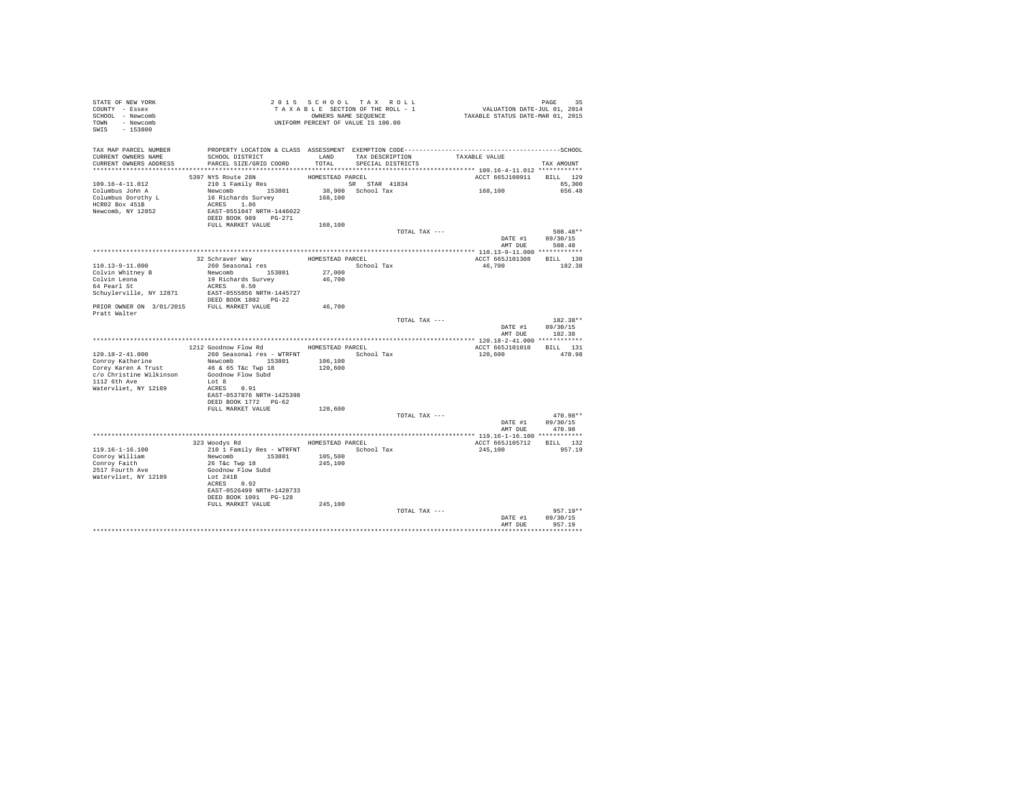| STATE OF NEW YORK<br>COUNTY - Essex<br>SCHOOL - Newcomb<br>TOWN - Newcomb<br>$-153800$<br>SWIS | T A X A B B B B B B SEQUENCE<br>UNIFORM PERCENT OF VALUE IS 100.00 |                    | 2015 SCHOOL TAX ROLL<br>TAXABLE SECTION OF THE ROLL - 1<br>OWNERS NAME SEQUENCE | PAGE 35<br>VALUATION DATE-JUL 01, 2014<br>TAXABLE STATUS DATE-MAR 01, 2015 |                        |
|------------------------------------------------------------------------------------------------|--------------------------------------------------------------------|--------------------|---------------------------------------------------------------------------------|----------------------------------------------------------------------------|------------------------|
| TAX MAP PARCEL NUMBER                                                                          |                                                                    |                    |                                                                                 |                                                                            |                        |
| CURRENT OWNERS NAME<br>CURRENT OWNERS ADDRESS                                                  | SCHOOL DISTRICT<br>PARCEL SIZE/GRID COORD                          | LAND<br>TOTAL      | TAX DESCRIPTION TAXABLE VALUE<br>SPECIAL DISTRICTS                              |                                                                            |                        |
|                                                                                                |                                                                    |                    |                                                                                 |                                                                            | TAX AMOUNT             |
|                                                                                                | 5397 NYS Route 28N                                                 | HOMESTEAD PARCEL   |                                                                                 | ACCT 665J100911                                                            | BILL 129               |
| 109.16-4-11.012                                                                                | $210$ 1 Family Res                                                 |                    | SR STAR 41834<br>38,900 School Tax                                              |                                                                            | 65,300                 |
| Columbus John A                                                                                | Newcomb 153801                                                     | 168,100            |                                                                                 | 168,100                                                                    | 656.48                 |
| Columbus Dorothy L<br>HCR02 Box 451B                                                           | 16 Richards Survey<br>ACRES 1.86                                   |                    |                                                                                 |                                                                            |                        |
| Newcomb, NY 12852                                                                              | EAST-0551047 NRTH-1446022<br>DEED BOOK 989 PG-271                  |                    |                                                                                 |                                                                            |                        |
|                                                                                                |                                                                    |                    |                                                                                 |                                                                            |                        |
|                                                                                                | FULL MARKET VALUE                                                  | 168,100            | TOTAL TAX ---                                                                   |                                                                            | 508.48**               |
|                                                                                                |                                                                    |                    |                                                                                 |                                                                            | DATE #1 09/30/15       |
|                                                                                                |                                                                    |                    |                                                                                 | AMT DUE                                                                    | 508.48                 |
|                                                                                                |                                                                    |                    | HOMESTEAD PARCEL                                                                | ACCT 665J101308                                                            | BILL 130               |
| 110.13-9-11.000                                                                                | 32 Schraver Way<br>260 Seasonal res                                |                    | School Tax                                                                      | 46,700                                                                     | 182.38                 |
| Colvin Whitney B                                                                               | Newcomb 153801                                                     | 27,000             |                                                                                 |                                                                            |                        |
| Colvin Leona<br>64 Pearl St                                                                    | 19 Richards Survey                                                 | 46,700             |                                                                                 |                                                                            |                        |
|                                                                                                | ACRES 0.50<br>Schuylerville, NY 12871 EAST-0555856 NRTH-1445727    |                    |                                                                                 |                                                                            |                        |
|                                                                                                | DEED BOOK 1802    PG-22                                            |                    |                                                                                 |                                                                            |                        |
| PRIOR OWNER ON 3/01/2015 FULL MARKET VALUE<br>Pratt Walter                                     |                                                                    | 46,700             |                                                                                 |                                                                            |                        |
|                                                                                                |                                                                    |                    | TOTAL TAX ---                                                                   |                                                                            | 182.38**               |
|                                                                                                |                                                                    |                    |                                                                                 | DATE #1                                                                    | 09/30/15               |
|                                                                                                |                                                                    |                    |                                                                                 |                                                                            | AMT DUE 182.38         |
|                                                                                                | 1212 Goodnow Flow Rd MOMESTEAD PARCEL                              |                    |                                                                                 | ACCT 665J101010 BILL 131                                                   |                        |
| $120.18 - 2 - 41.000$                                                                          | 260 Seasonal res - WTRFNT                                          |                    | School Tax                                                                      | 120,600                                                                    | 470.98                 |
| Conroy Katherine                                                                               | Newcomb 153801                                                     | 106,100            |                                                                                 |                                                                            |                        |
| Corey Karen A Trust<br>c/o Christine Wilkinson                                                 | 46 & 65 T&c Twp 18<br>Goodnow Flow Subd                            | 120,600            |                                                                                 |                                                                            |                        |
| 1112 6th Ave                                                                                   | Lot 8                                                              |                    |                                                                                 |                                                                            |                        |
| Watervliet, NY 12189                                                                           | ACRES 0.91                                                         |                    |                                                                                 |                                                                            |                        |
|                                                                                                | EAST-0537876 NRTH-1425398                                          |                    |                                                                                 |                                                                            |                        |
|                                                                                                | DEED BOOK 1772 PG-62<br>FULL MARKET VALUE                          | 120,600            |                                                                                 |                                                                            |                        |
|                                                                                                |                                                                    |                    | TOTAL TAX ---                                                                   |                                                                            | 470.98**               |
|                                                                                                |                                                                    |                    |                                                                                 | DATE #1                                                                    | 09/30/15               |
|                                                                                                |                                                                    |                    |                                                                                 | AMT DUE                                                                    | 470.98                 |
|                                                                                                | 323 Woodys Rd MOMESTEAD PARCEL                                     |                    |                                                                                 | ACCT 665J105712                                                            | BILL 132               |
| 119.16-1-16.100                                                                                | 210 1 Family Res - WTRFNT                                          |                    | School Tax                                                                      | 245,100                                                                    | 957.19                 |
| Conroy William<br>Conroy Faith                                                                 | Newcomb 153801<br>26 T&C Twp 18                                    | 105,500<br>245,100 |                                                                                 |                                                                            |                        |
| 2517 Fourth Ave                                                                                | Goodnow Flow Subd                                                  |                    |                                                                                 |                                                                            |                        |
| Watervliet, NY 12189                                                                           | Lot 241B                                                           |                    |                                                                                 |                                                                            |                        |
|                                                                                                | ACRES 0.92<br>EAST-0526499 NRTH-1428733                            |                    |                                                                                 |                                                                            |                        |
|                                                                                                | DEED BOOK 1091 PG-128                                              |                    |                                                                                 |                                                                            |                        |
|                                                                                                | FULL MARKET VALUE                                                  | 245,100            |                                                                                 |                                                                            |                        |
|                                                                                                |                                                                    |                    | TOTAL TAX ---                                                                   | DATE #1                                                                    | $957.19**$<br>09/30/15 |
|                                                                                                |                                                                    |                    |                                                                                 | AMT DUE                                                                    | 957.19                 |
|                                                                                                |                                                                    |                    |                                                                                 |                                                                            | **********             |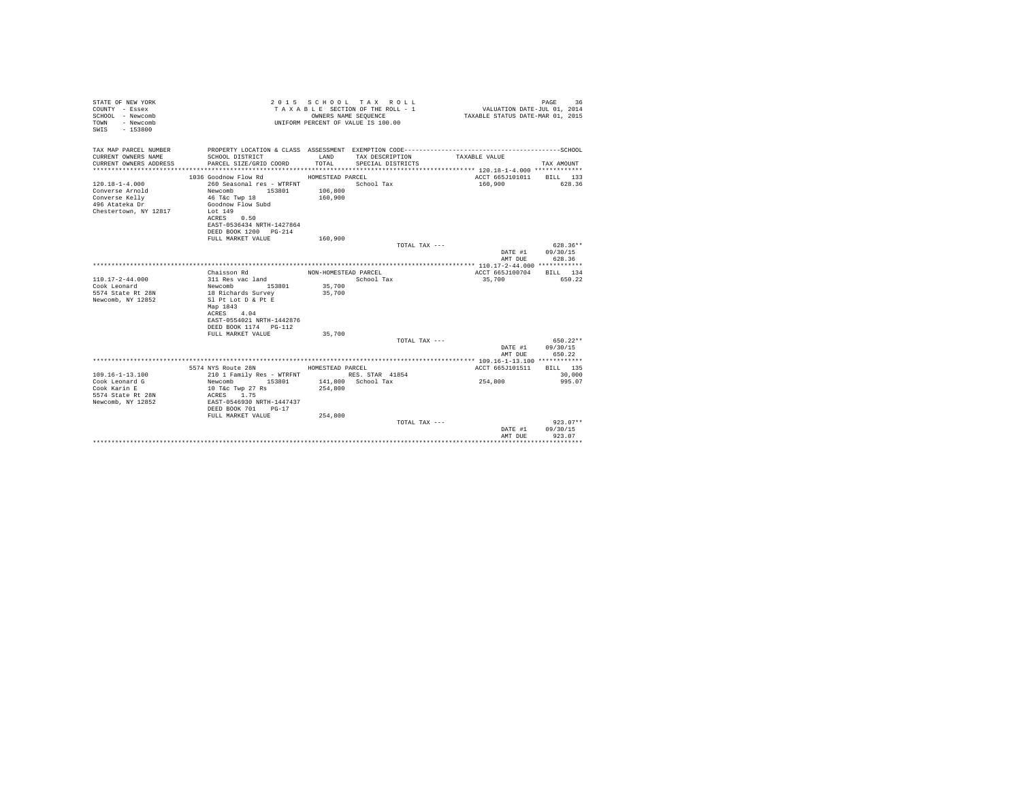| STATE OF NEW YORK<br>COUNTY - Essex<br>SCHOOL - Newcomb<br>- Newcomb<br><b>TOWN</b><br>SWIS - 153800 |                                                                                                                                                                                          | OWNERS NAME SEOUENCE          | 2015 SCHOOL TAX ROLL<br>TAXABLE SECTION OF THE ROLL - 1<br>UNIFORM PERCENT OF VALUE IS 100.00 | VALUATION DATE-JUL 01, 2014<br>TAXABLE STATUS DATE-MAR 01, 2015 | PAGE<br>36         |
|------------------------------------------------------------------------------------------------------|------------------------------------------------------------------------------------------------------------------------------------------------------------------------------------------|-------------------------------|-----------------------------------------------------------------------------------------------|-----------------------------------------------------------------|--------------------|
| TAX MAP PARCEL NUMBER<br>CURRENT OWNERS NAME<br>CURRENT OWNERS ADDRESS                               | PROPERTY LOCATION & CLASS ASSESSMENT EXEMPTION CODE-----------------------------------SCHOOL<br>SCHOOL DISTRICT<br>PARCEL SIZE/GRID COORD                                                | LAND<br>TOTAL                 | TAX DESCRIPTION<br>SPECIAL DISTRICTS                                                          | TAXABLE VALUE                                                   | TAX AMOUNT         |
|                                                                                                      | 1036 Goodnow Flow Rd                                                                                                                                                                     | HOMESTEAD PARCEL              |                                                                                               | ACCT 665J101011 BILL 133                                        |                    |
| $120.18 - 1 - 4.000$<br>Converse Arnold<br>Converse Kelly<br>496 Atateka Dr<br>Chestertown, NY 12817 | 260 Seasonal res - WTRFNT<br>153801<br>Newcomb<br>46 T&c Twp 18<br>Goodnow Flow Subd<br>Lot 149<br>ACRES 0.50<br>EAST-0536434 NRTH-1427864<br>DEED BOOK 1200 PG-214<br>FULL MARKET VALUE | 106,800<br>160,900<br>160,900 | School Tax                                                                                    | 160,900                                                         | 628.36             |
|                                                                                                      |                                                                                                                                                                                          |                               | TOTAL TAX ---                                                                                 |                                                                 | $628.36**$         |
|                                                                                                      |                                                                                                                                                                                          |                               |                                                                                               | DATE #1                                                         | 09/30/15           |
|                                                                                                      |                                                                                                                                                                                          |                               |                                                                                               | AMT DUE                                                         | 628.36             |
|                                                                                                      | Chaisson Rd                                                                                                                                                                              | NON-HOMESTEAD PARCEL          |                                                                                               | ACCT 665J100704 BILL 134                                        |                    |
| $110.17 - 2 - 44.000$                                                                                | 311 Res vac land                                                                                                                                                                         |                               | School Tax                                                                                    | 35,700                                                          | 650.22             |
| Cook Leonard                                                                                         | Newcomb 153801                                                                                                                                                                           | 35,700                        |                                                                                               |                                                                 |                    |
| 5574 State Rt 28N<br>Newcomb, NY 12852                                                               | 18 Richards Survey<br>Sl Pt Lot D & Pt E<br>Map 1843<br>ACRES 4.04<br>EAST-0554021 NRTH-1442876<br>DEED BOOK 1174   PG-112<br>FULL MARKET VALUE                                          | 35,700<br>35,700              |                                                                                               |                                                                 |                    |
|                                                                                                      |                                                                                                                                                                                          |                               | TOTAL TAX ---                                                                                 |                                                                 | 650.22**           |
|                                                                                                      |                                                                                                                                                                                          |                               |                                                                                               | DATE #1<br>AMT DUE                                              | 09/30/15<br>650.22 |
|                                                                                                      | 5574 NYS Route 28N                                                                                                                                                                       | HOMESTEAD PARCEL              |                                                                                               | ACCT 665.7101511                                                | BTLL 135           |
| $109.16 - 1 - 13.100$                                                                                | 210 1 Family Res - WTRFNT                                                                                                                                                                |                               | RES. STAR 41854                                                                               |                                                                 | 30,000             |
| Cook Leonard G<br>Cook Karin E<br>5574 State Rt 28N<br>Newcomb, NY 12852                             | Newcomb<br>153801<br>10 T&c Twp 27 Rs<br>ACRES 1.75<br>EAST-0546930 NRTH-1447437<br>DEED BOOK 701 PG-17<br>FULL MARKET VALUE                                                             | 254,800<br>254,800            | 141.800 School Tax                                                                            | 254,800                                                         | 995.07             |
|                                                                                                      |                                                                                                                                                                                          |                               | TOTAL TAX ---                                                                                 |                                                                 | $923.07**$         |
|                                                                                                      |                                                                                                                                                                                          |                               |                                                                                               | DATE #1<br>AMT DUE                                              | 09/30/15<br>923.07 |
|                                                                                                      |                                                                                                                                                                                          |                               |                                                                                               |                                                                 | **********         |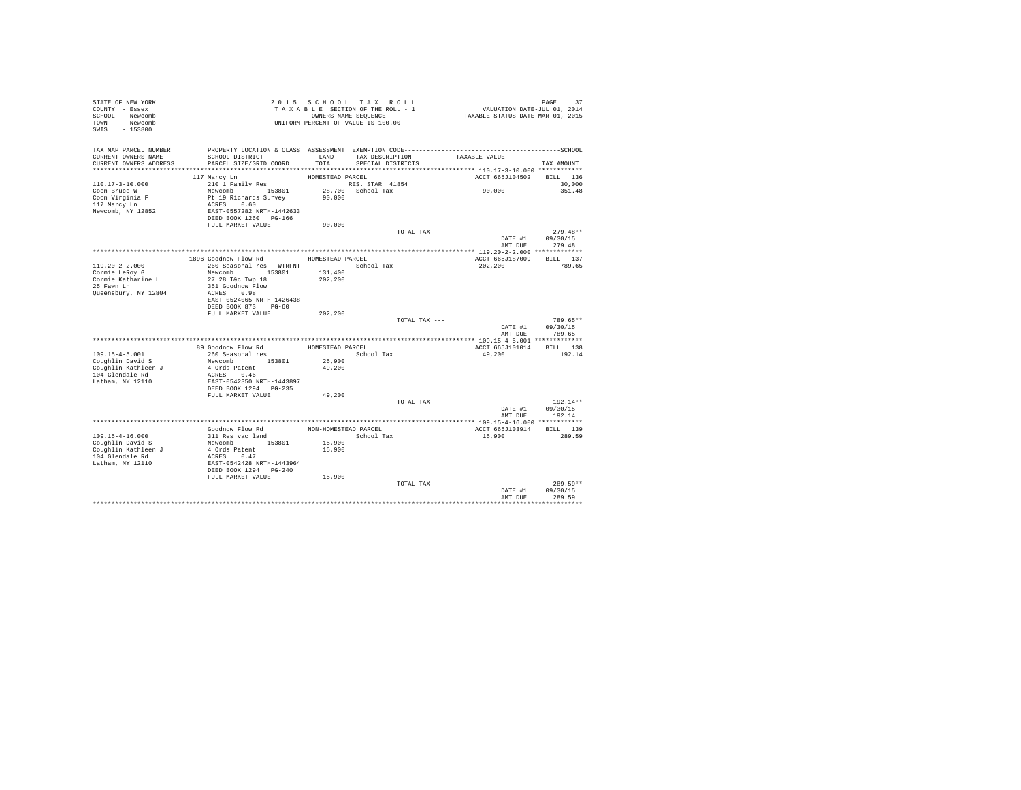| STATE OF NEW YORK<br>COUNTY - Essex<br>SCHOOL - Newcomb<br>TOWN - Newcomb |                                                    |                      | 2015 SCHOOL TAX ROLL<br>TAXABLE SECTION OF THE ROLL - 1<br>OWNERS NAME SEQUENCE<br>UNIFORM PERCENT OF VALUE IS 100.00 | PAGE 37<br>VALUATION DATE-JUL 01, 2014<br>TAXABLE STATUS DATE-MAR 01, 2015 |            |
|---------------------------------------------------------------------------|----------------------------------------------------|----------------------|-----------------------------------------------------------------------------------------------------------------------|----------------------------------------------------------------------------|------------|
| SWIS<br>$-153800$                                                         |                                                    |                      |                                                                                                                       |                                                                            |            |
| TAX MAP PARCEL NUMBER                                                     |                                                    |                      |                                                                                                                       |                                                                            |            |
| CURRENT OWNERS NAME<br>CURRENT OWNERS ADDRESS                             | SCHOOL DISTRICT<br>PARCEL SIZE/GRID COORD          | LAND<br>TOTAL        | TAX DESCRIPTION<br>SPECIAL DISTRICTS                                                                                  | TAXABLE VALUE                                                              | TAX AMOUNT |
|                                                                           |                                                    |                      |                                                                                                                       |                                                                            |            |
|                                                                           | 117 Marcy Ln                                       | HOMESTEAD PARCEL     |                                                                                                                       | ACCT 665J104502                                                            | BILL 136   |
| $110.17 - 3 - 10.000$                                                     | 210 1 Family Res                                   |                      | RES. STAR 41854                                                                                                       |                                                                            | 30,000     |
| Coon Bruce W                                                              | Newcomb 153801                                     |                      | 28,700 School Tax                                                                                                     | 90,000                                                                     | 351.48     |
| Coon Virginia F                                                           | Pt 19 Richards Survey                              | 90,000               |                                                                                                                       |                                                                            |            |
| 117 Marcy Ln<br>Newcomb, NY 12852                                         | ACRES 0.60<br>EAST-0557282 NRTH-1442633            |                      |                                                                                                                       |                                                                            |            |
|                                                                           | DEED BOOK 1260 PG-166                              |                      |                                                                                                                       |                                                                            |            |
|                                                                           | FULL MARKET VALUE                                  | 90,000               |                                                                                                                       |                                                                            |            |
|                                                                           |                                                    |                      | TOTAL TAX ---                                                                                                         |                                                                            | $279.48**$ |
|                                                                           |                                                    |                      |                                                                                                                       | DATE #1                                                                    | 09/30/15   |
|                                                                           |                                                    |                      |                                                                                                                       | AMT DUE                                                                    | 279.48     |
|                                                                           | 1896 Goodnow Flow Rd MOMESTEAD PARCEL              |                      |                                                                                                                       | ACCT 665J187009                                                            | BILL 137   |
| $119.20 - 2 - 2.000$                                                      | 260 Seasonal res - WTRFNT                          |                      | School Tax                                                                                                            | 202,200                                                                    | 789.65     |
| Cormie LeRoy G                                                            | Newcomb 153801                                     | 131,400              |                                                                                                                       |                                                                            |            |
| Cormie Katharine L                                                        | 27 28 T&c Twp 18                                   | 202,200              |                                                                                                                       |                                                                            |            |
| 25 Fawn Ln                                                                | 351 Goodnow Flow                                   |                      |                                                                                                                       |                                                                            |            |
| Queensbury, NY 12804                                                      | ACRES 0.98<br>EAST-0524065 NRTH-1426438            |                      |                                                                                                                       |                                                                            |            |
|                                                                           | DEED BOOK 873 PG-60                                |                      |                                                                                                                       |                                                                            |            |
|                                                                           | FULL MARKET VALUE                                  | 202,200              |                                                                                                                       |                                                                            |            |
|                                                                           |                                                    |                      | TOTAL TAX ---                                                                                                         |                                                                            | 789.65**   |
|                                                                           |                                                    |                      |                                                                                                                       | DATE #1                                                                    | 09/30/15   |
|                                                                           |                                                    |                      |                                                                                                                       | AMT DUE                                                                    | 789.65     |
|                                                                           | 89 Goodnow Flow Rd                                 | HOMESTEAD PARCEL     |                                                                                                                       | ACCT 665J101014                                                            | BILL 138   |
| $109.15 - 4 - 5.001$                                                      | 260 Seasonal res                                   |                      | School Tax                                                                                                            | 49,200                                                                     | 192.14     |
| Coughlin David S                                                          | Newcomb 153801                                     | 25,900               |                                                                                                                       |                                                                            |            |
| Coughlin Kathleen J                                                       | 4 Ords Patent                                      | 49,200               |                                                                                                                       |                                                                            |            |
| 104 Glendale Rd<br>Latham, NY 12110                                       | ACRES 0.46<br>EAST-0542350 NRTH-1443897            |                      |                                                                                                                       |                                                                            |            |
|                                                                           | DEED BOOK 1294    PG-235                           |                      |                                                                                                                       |                                                                            |            |
|                                                                           | FULL MARKET VALUE                                  | 49,200               |                                                                                                                       |                                                                            |            |
|                                                                           |                                                    |                      | TOTAL TAX ---                                                                                                         |                                                                            | 192.14**   |
|                                                                           |                                                    |                      |                                                                                                                       | DATE #1                                                                    | 09/30/15   |
| ********************                                                      | ************************************               |                      |                                                                                                                       | AMT DUE<br>**************** 109.15-4-16.000 ************                   | 192.14     |
|                                                                           | Goodnow Flow Rd                                    | NON-HOMESTEAD PARCEL |                                                                                                                       | ACCT 665J103914                                                            | BILL 139   |
| 109.15-4-16.000                                                           | 311 Res vac land                                   |                      | School Tax                                                                                                            | 15,900                                                                     | 289.59     |
| Coughlin David S                                                          | Newcomb 153801                                     | 15,900               |                                                                                                                       |                                                                            |            |
| Coughlin Kathleen J                                                       | 4 Ords Patent                                      | 15,900               |                                                                                                                       |                                                                            |            |
| 104 Glendale Rd                                                           | ACRES 0.47                                         |                      |                                                                                                                       |                                                                            |            |
| Latham, NY 12110                                                          | EAST-0542428 NRTH-1443964<br>DEED BOOK 1294 PG-240 |                      |                                                                                                                       |                                                                            |            |
|                                                                           | FULL MARKET VALUE                                  | 15,900               |                                                                                                                       |                                                                            |            |
|                                                                           |                                                    |                      | TOTAL TAX ---                                                                                                         |                                                                            | 289.59**   |
|                                                                           |                                                    |                      |                                                                                                                       | DATE #1                                                                    | 09/30/15   |
|                                                                           |                                                    |                      |                                                                                                                       | AMT DUE                                                                    | 289.59     |
|                                                                           |                                                    |                      |                                                                                                                       |                                                                            |            |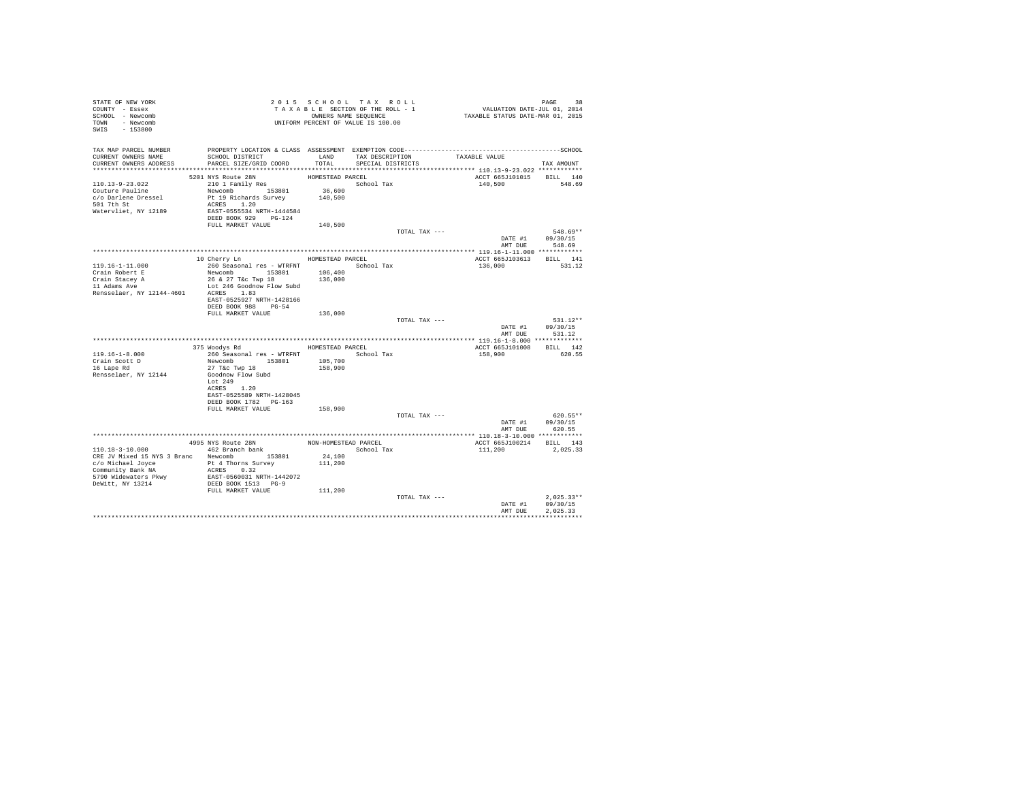| STATE OF NEW YORK<br>COUNTY - Essex<br>SCHOOL - Newcomb<br>TOWN - Newcomb<br>SWIS<br>$-153800$ |                                                         |                  | 2015 SCHOOL TAX ROLL<br>TAXABLE SECTION OF THE ROLL - 1<br>OWNERS NAME SEQUENCE<br>UNIFORM PERCENT OF VALUE IS 100.00 |               | PAGE 38<br>VALUATION DATE-JUL 01, 2014<br>TAXABLE STATUS DATE-MAR 01, 2015 |                    |
|------------------------------------------------------------------------------------------------|---------------------------------------------------------|------------------|-----------------------------------------------------------------------------------------------------------------------|---------------|----------------------------------------------------------------------------|--------------------|
| TAX MAP PARCEL NUMBER<br>CURRENT OWNERS NAME                                                   | SCHOOL DISTRICT                                         |                  | LAND TAX DESCRIPTION                                                                                                  |               | TAXABLE VALUE                                                              |                    |
| CURRENT OWNERS ADDRESS                                                                         | PARCEL SIZE/GRID COORD                                  | TOTAL            | SPECIAL DISTRICTS                                                                                                     |               |                                                                            | TAX AMOUNT         |
|                                                                                                | 5201 NYS Route 28N                                      | HOMESTEAD PARCEL |                                                                                                                       |               | ACCT 665J101015 BILL 140                                                   |                    |
| $110.13 - 9 - 23.022$                                                                          | 210 1 Family Res                                        |                  | School Tax                                                                                                            |               | 140,500                                                                    | 548.69             |
| Couture Pauline                                                                                | Newcomb 153801                                          | 36,600           |                                                                                                                       |               |                                                                            |                    |
| c/o Darlene Dressel                                                                            | Pt 19 Richards Survey 140,500                           |                  |                                                                                                                       |               |                                                                            |                    |
| 501 7th St                                                                                     | ACRES 1.20                                              |                  |                                                                                                                       |               |                                                                            |                    |
| Watervliet, NY 12189                                                                           | EAST-0555534 NRTH-1444584<br>DEED BOOK 929 PG-124       |                  |                                                                                                                       |               |                                                                            |                    |
|                                                                                                | FULL MARKET VALUE                                       | 140,500          |                                                                                                                       |               |                                                                            |                    |
|                                                                                                |                                                         |                  |                                                                                                                       | TOTAL TAX --- |                                                                            | 548.69**           |
|                                                                                                |                                                         |                  |                                                                                                                       |               |                                                                            | DATE #1 09/30/15   |
|                                                                                                |                                                         |                  |                                                                                                                       |               | AMT DUE                                                                    | 548.69             |
|                                                                                                | 10 Cherry Ln                                            | HOMESTEAD PARCEL |                                                                                                                       |               | ACCT 665J103613                                                            | BILL 141           |
| $119.16 - 1 - 11.000$                                                                          | 260 Seasonal res - WTRFNT                               |                  | School Tax                                                                                                            |               | 136,000                                                                    | 531.12             |
| Crain Robert E                                                                                 | Newcomb 153801                                          | 106,400          |                                                                                                                       |               |                                                                            |                    |
| Crain Stacey A<br>11 Adams Ave                                                                 | 26 & 27 T&c Twp 18                                      | 136,000          |                                                                                                                       |               |                                                                            |                    |
|                                                                                                | Lot 246 Goodnow Flow Subd                               |                  |                                                                                                                       |               |                                                                            |                    |
| Rensselaer, NY 12144-4601                                                                      | ACRES 1.83<br>EAST-0525927 NRTH-1428166                 |                  |                                                                                                                       |               |                                                                            |                    |
|                                                                                                | DEED BOOK 988 PG-54                                     |                  |                                                                                                                       |               |                                                                            |                    |
|                                                                                                | FULL MARKET VALUE                                       | 136,000          |                                                                                                                       |               |                                                                            |                    |
|                                                                                                |                                                         |                  |                                                                                                                       | TOTAL TAX --- |                                                                            | 531.12**           |
|                                                                                                |                                                         |                  |                                                                                                                       |               | DATE #1<br>AMT DUE                                                         | 09/30/15<br>531.12 |
|                                                                                                |                                                         |                  |                                                                                                                       |               |                                                                            |                    |
|                                                                                                | 375 Woodys Rd                                           | HOMESTEAD PARCEL |                                                                                                                       |               | ACCT 665J101008                                                            | BILL 142           |
| $119.16 - 1 - 8.000$                                                                           | 260 Seasonal res - WTRFNT                               |                  | School Tax                                                                                                            |               | 158,900                                                                    | 620.55             |
| Crain Scott D                                                                                  | Newcomb 153801                                          | 105,700          |                                                                                                                       |               |                                                                            |                    |
| 16 Lape Rd<br>Rensselaer, NY 12144                                                             | 27 T&c Twp 18<br>Goodnow Flow Subd                      | 158,900          |                                                                                                                       |               |                                                                            |                    |
|                                                                                                | Lot 249                                                 |                  |                                                                                                                       |               |                                                                            |                    |
|                                                                                                | ACRES 1.20                                              |                  |                                                                                                                       |               |                                                                            |                    |
|                                                                                                | EAST-0525589 NRTH-1428045                               |                  |                                                                                                                       |               |                                                                            |                    |
|                                                                                                | DEED BOOK 1782 PG-163<br>FULL MARKET VALUE              | 158,900          |                                                                                                                       |               |                                                                            |                    |
|                                                                                                |                                                         |                  |                                                                                                                       | TOTAL TAX --- |                                                                            | $620.55**$         |
|                                                                                                |                                                         |                  |                                                                                                                       |               | DATE #1                                                                    | 09/30/15           |
|                                                                                                |                                                         |                  |                                                                                                                       |               | AMT DUE                                                                    | 620.55             |
|                                                                                                |                                                         |                  |                                                                                                                       |               |                                                                            |                    |
| $110.18 - 3 - 10.000$                                                                          | 4995 NYS Route 28N<br>Also Koute 28N<br>462 Branch bank |                  | NON-HOMESTEAD PARCEL<br>School Tax                                                                                    |               | ACCT 665J100214 BILL 143<br>111,200                                        | 2.025.33           |
| CRE JV Mixed 15 NYS 3 Branc Newcomb 153801                                                     |                                                         | 24,100           |                                                                                                                       |               |                                                                            |                    |
| c/o Michael Joyce 5 Pt 4 Thorns Survey                                                         |                                                         | 111,200          |                                                                                                                       |               |                                                                            |                    |
| Community Bank NA                                                                              | ACRES 0.32                                              |                  |                                                                                                                       |               |                                                                            |                    |
| 5790 Widewaters Pkwy                                                                           | EAST-0560031 NRTH-1442072<br>DEED BOOK 1513 PG-9        |                  |                                                                                                                       |               |                                                                            |                    |
| DeWitt, NY 13214                                                                               | FULL MARKET VALUE                                       | 111,200          |                                                                                                                       |               |                                                                            |                    |
|                                                                                                |                                                         |                  |                                                                                                                       | TOTAL TAX --- |                                                                            | $2.025.33**$       |
|                                                                                                |                                                         |                  |                                                                                                                       |               | DATE #1                                                                    | 09/30/15           |
|                                                                                                |                                                         |                  |                                                                                                                       |               | AMT DUE                                                                    | 2.025.33           |
|                                                                                                |                                                         |                  |                                                                                                                       |               |                                                                            |                    |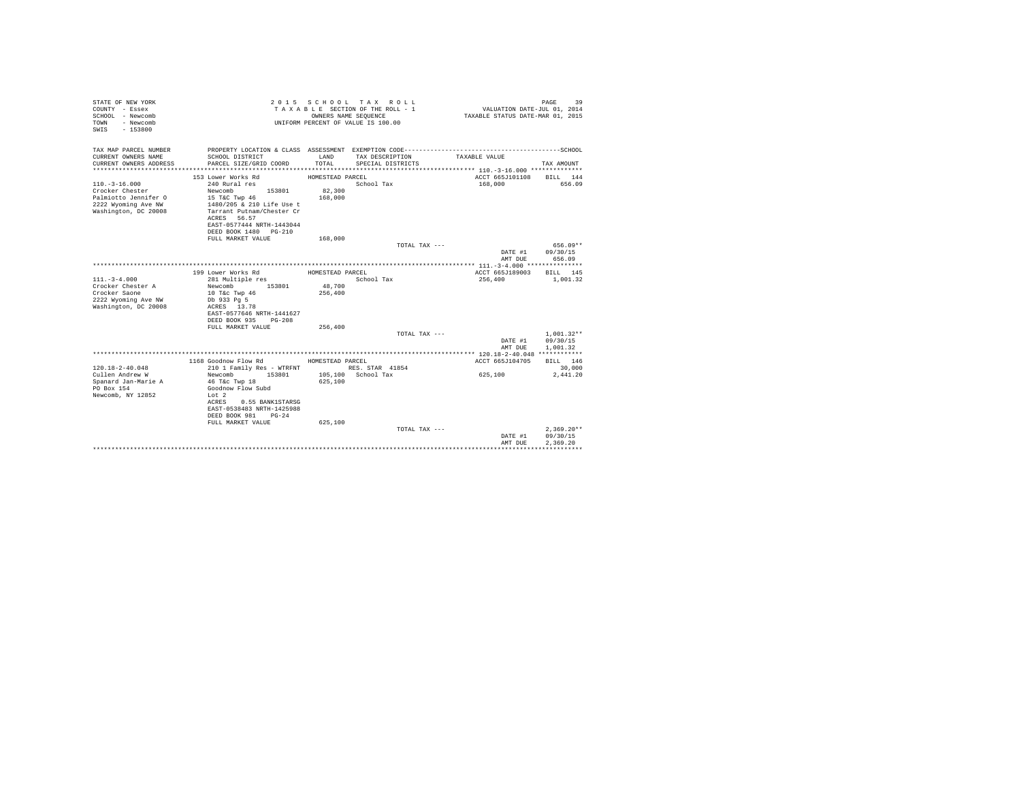| STATE OF NEW YORK<br>COUNTY - Essex<br>SCHOOL - Newcomb<br>- Newcomb<br>TOWN<br>$-153800$<br>SWIS |                                                        | OWNERS NAME SEOUENCE | 2015 SCHOOL TAX ROLL<br>TAXABLE SECTION OF THE ROLL - 1<br>UNIFORM PERCENT OF VALUE IS 100.00 | VALUATION DATE-JUL 01, 2014<br>TAXABLE STATUS DATE-MAR 01, 2015 | 39<br>PAGE               |
|---------------------------------------------------------------------------------------------------|--------------------------------------------------------|----------------------|-----------------------------------------------------------------------------------------------|-----------------------------------------------------------------|--------------------------|
| TAX MAP PARCEL NUMBER                                                                             |                                                        |                      |                                                                                               |                                                                 |                          |
| CURRENT OWNERS NAME<br>CURRENT OWNERS ADDRESS                                                     | SCHOOL DISTRICT<br>PARCEL SIZE/GRID COORD              | LAND<br>TOTAL        | TAX DESCRIPTION<br>SPECIAL DISTRICTS                                                          | TAXABLE VALUE                                                   | TAX AMOUNT               |
|                                                                                                   |                                                        |                      |                                                                                               |                                                                 |                          |
|                                                                                                   | 153 Lower Works Rd                                     | HOMESTEAD PARCEL     |                                                                                               | ACCT 665J101108                                                 | BILL 144                 |
| $110. - 3 - 16.000$                                                                               | 240 Rural res                                          |                      | School Tax                                                                                    | 168,000                                                         | 656.09                   |
| Crocker Chester                                                                                   | Newcomb<br>153801                                      | 82,300               |                                                                                               |                                                                 |                          |
| Palmiotto Jennifer O                                                                              | 15 T&C Twp 46                                          | 168,000              |                                                                                               |                                                                 |                          |
| 2222 Wyoming Ave NW<br>Washington, DC 20008                                                       | 1480/205 & 210 Life Use t<br>Tarrant Putnam/Chester Cr |                      |                                                                                               |                                                                 |                          |
|                                                                                                   | ACRES 56.57                                            |                      |                                                                                               |                                                                 |                          |
|                                                                                                   | EAST-0577444 NRTH-1443044                              |                      |                                                                                               |                                                                 |                          |
|                                                                                                   | DEED BOOK 1480 PG-210                                  |                      |                                                                                               |                                                                 |                          |
|                                                                                                   | FULL MARKET VALUE                                      | 168,000              |                                                                                               |                                                                 |                          |
|                                                                                                   |                                                        |                      | TOTAL TAX ---                                                                                 | DATE #1                                                         | 656.09**<br>09/30/15     |
|                                                                                                   |                                                        |                      |                                                                                               | AMT DUE                                                         | 656.09                   |
|                                                                                                   |                                                        |                      |                                                                                               |                                                                 |                          |
|                                                                                                   | 199 Lower Works Rd                                     | HOMESTEAD PARCEL     |                                                                                               | ACCT 665J189003                                                 | BILL 145                 |
| $111. - 3 - 4.000$                                                                                | 281 Multiple res                                       |                      | School Tax                                                                                    | 256,400                                                         | 1,001.32                 |
| Crocker Chester A                                                                                 | Newcomb<br>153801                                      | 48,700               |                                                                                               |                                                                 |                          |
| Crocker Saone<br>2222 Wyoming Ave NW                                                              | 10 T&c Twp 46<br>Db 933 Pg 5                           | 256,400              |                                                                                               |                                                                 |                          |
| Washington, DC 20008                                                                              | ACRES 13.78                                            |                      |                                                                                               |                                                                 |                          |
|                                                                                                   | EAST-0577646 NRTH-1441627                              |                      |                                                                                               |                                                                 |                          |
|                                                                                                   | DEED BOOK 935 PG-208                                   |                      |                                                                                               |                                                                 |                          |
|                                                                                                   | FULL MARKET VALUE                                      | 256,400              |                                                                                               |                                                                 |                          |
|                                                                                                   |                                                        |                      | TOTAL TAX ---                                                                                 | DATE #1                                                         | $1,001.32**$<br>09/30/15 |
|                                                                                                   |                                                        |                      |                                                                                               | AMT DUE                                                         | 1,001.32                 |
|                                                                                                   |                                                        |                      |                                                                                               |                                                                 |                          |
|                                                                                                   | 1168 Goodnow Flow Rd                                   | HOMESTEAD PARCEL     |                                                                                               | ACCT 665J104705                                                 | BILL 146                 |
| $120.18 - 2 - 40.048$                                                                             | 210 1 Family Res - WTRFNT                              |                      | RES. STAR 41854                                                                               |                                                                 | 30,000                   |
| Cullen Andrew W                                                                                   | Newcomb<br>153801                                      |                      | 105,100 School Tax                                                                            | 625,100                                                         | 2,441.20                 |
| Spanard Jan-Marie A<br>PO Box 154                                                                 | 46 T&c Twp 18<br>Goodnow Flow Subd                     | 625,100              |                                                                                               |                                                                 |                          |
| Newcomb, NY 12852                                                                                 | Lot 2                                                  |                      |                                                                                               |                                                                 |                          |
|                                                                                                   | ACRES<br>0.55 BANK1STARSG                              |                      |                                                                                               |                                                                 |                          |
|                                                                                                   | EAST-0538483 NRTH-1425988                              |                      |                                                                                               |                                                                 |                          |
|                                                                                                   | DEED BOOK 981<br>$PG-24$                               |                      |                                                                                               |                                                                 |                          |
|                                                                                                   | FULL MARKET VALUE                                      | 625,100              |                                                                                               |                                                                 | $2.369.20**$             |
|                                                                                                   |                                                        |                      | TOTAL TAX ---                                                                                 | DATE #1                                                         | 09/30/15                 |
|                                                                                                   |                                                        |                      |                                                                                               | AMT DUE                                                         | 2.369.20                 |
|                                                                                                   |                                                        |                      |                                                                                               |                                                                 |                          |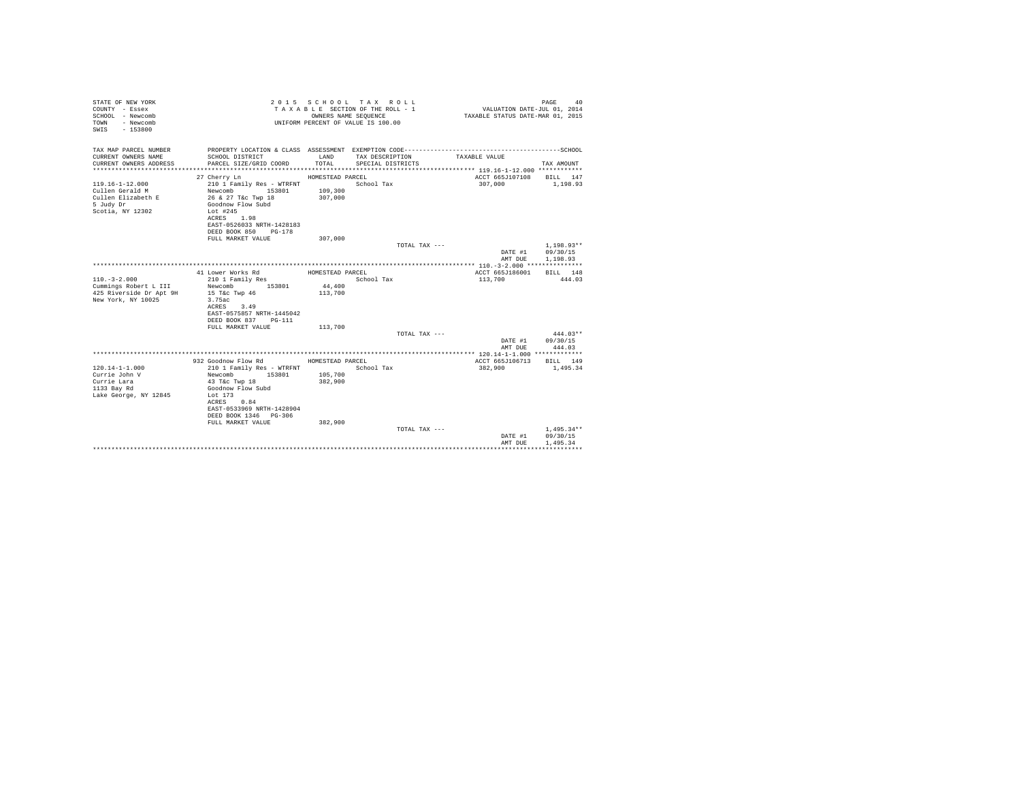| TAX MAP PARCEL NUMBER<br>CURRENT OWNERS NAME<br>SCHOOL DISTRICT<br>LAND<br>TAXABLE VALUE<br>TAX DESCRIPTION<br>CURRENT OWNERS ADDRESS<br>PARCEL SIZE/GRID COORD<br>TOTAL<br>SPECIAL DISTRICTS<br>TAX AMOUNT<br>ACCT 665J107108 BILL 147<br>27 Cherry Ln<br>HOMESTEAD PARCEL<br>$119.16 - 1 - 12.000$<br>School Tax<br>210 1 Family Res - WTRFNT<br>307,000<br>1,198.93<br>Newcomb 153801 109,300<br>Cullen Gerald M<br>26 & 27 T&c Twp 18<br>Cullen Elizabeth E<br>307,000<br>5 Judy Dr<br>Goodnow Flow Subd<br>Scotia, NY 12302<br>Lot #245<br>ACRES 1.98<br>EAST-0526033 NRTH-1428183<br>DEED BOOK 850 PG-178<br>FULL MARKET VALUE<br>307,000<br>TOTAL TAX ---<br>$1.198.93**$<br>DATE #1 09/30/15<br>AMT DUE<br>1,198.93<br>41 Lower Works Rd<br>HOMESTEAD PARCEL<br>ACCT 665J186001<br>BILL 148<br>$110. - 3 - 2.000$<br>School Tax<br>113,700<br>210 1 Family Res<br>444.03<br>44,400<br>Cummings Robert L III<br>Newcomb 153801<br>425 Riverside Dr Apt 9H<br>15 T&c Twp 46<br>113,700<br>New York, NY 10025<br>3.75ac<br>ACRES 3.49<br>EAST-0575857 NRTH-1445042<br>DEED BOOK 837 PG-111<br>FULL MARKET VALUE<br>113,700<br>$444.03**$<br>TOTAL TAX ---<br>DATE #1 09/30/15<br>AMT DUE<br>444.03<br>932 Goodnow Flow Rd MOMESTEAD PARCEL<br>ACCT 665J106713 BILL 149<br>$120.14 - 1 - 1.000$<br>210 1 Family Res - WTRFNT School Tax<br>382,900<br>1,495.34<br>Currie John V<br>105,700<br>Newcomb<br>153801<br>Currie Lara<br>43 T&C Twp 18<br>382,900<br>1133 Bay Rd<br>Goodnow Flow Subd<br>Lake George, NY 12845<br>Lot 173<br>ACRES 0.84<br>EAST-0533969 NRTH-1428904<br>DEED BOOK 1346 PG-306<br>FULL MARKET VALUE<br>382,900<br>$1,495.34**$<br>TOTAL TAX ---<br>09/30/15<br>DATE #1<br>AMT DUE<br>1,495.34 | STATE OF NEW YORK<br>COUNTY - Essex<br>SCHOOL - Newcomb<br>- Newcomb<br>TOWN<br>$-153800$<br>SWIS |  | 2015 SCHOOL TAX ROLL<br>TAXABLE SECTION OF THE ROLL - 1<br>OWNERS NAME SEOUENCE<br>UNIFORM PERCENT OF VALUE IS 100.00 | VALUATION DATE-JUL 01, 2014<br>TAXABLE STATUS DATE-MAR 01, 2015 | PAGE<br>40 |
|---------------------------------------------------------------------------------------------------------------------------------------------------------------------------------------------------------------------------------------------------------------------------------------------------------------------------------------------------------------------------------------------------------------------------------------------------------------------------------------------------------------------------------------------------------------------------------------------------------------------------------------------------------------------------------------------------------------------------------------------------------------------------------------------------------------------------------------------------------------------------------------------------------------------------------------------------------------------------------------------------------------------------------------------------------------------------------------------------------------------------------------------------------------------------------------------------------------------------------------------------------------------------------------------------------------------------------------------------------------------------------------------------------------------------------------------------------------------------------------------------------------------------------------------------------------------------------------------------------------------------------------------------------------------------------------------------------------------------|---------------------------------------------------------------------------------------------------|--|-----------------------------------------------------------------------------------------------------------------------|-----------------------------------------------------------------|------------|
|                                                                                                                                                                                                                                                                                                                                                                                                                                                                                                                                                                                                                                                                                                                                                                                                                                                                                                                                                                                                                                                                                                                                                                                                                                                                                                                                                                                                                                                                                                                                                                                                                                                                                                                           |                                                                                                   |  |                                                                                                                       |                                                                 |            |
|                                                                                                                                                                                                                                                                                                                                                                                                                                                                                                                                                                                                                                                                                                                                                                                                                                                                                                                                                                                                                                                                                                                                                                                                                                                                                                                                                                                                                                                                                                                                                                                                                                                                                                                           |                                                                                                   |  |                                                                                                                       |                                                                 |            |
|                                                                                                                                                                                                                                                                                                                                                                                                                                                                                                                                                                                                                                                                                                                                                                                                                                                                                                                                                                                                                                                                                                                                                                                                                                                                                                                                                                                                                                                                                                                                                                                                                                                                                                                           |                                                                                                   |  |                                                                                                                       |                                                                 |            |
|                                                                                                                                                                                                                                                                                                                                                                                                                                                                                                                                                                                                                                                                                                                                                                                                                                                                                                                                                                                                                                                                                                                                                                                                                                                                                                                                                                                                                                                                                                                                                                                                                                                                                                                           |                                                                                                   |  |                                                                                                                       |                                                                 |            |
|                                                                                                                                                                                                                                                                                                                                                                                                                                                                                                                                                                                                                                                                                                                                                                                                                                                                                                                                                                                                                                                                                                                                                                                                                                                                                                                                                                                                                                                                                                                                                                                                                                                                                                                           |                                                                                                   |  |                                                                                                                       |                                                                 |            |
|                                                                                                                                                                                                                                                                                                                                                                                                                                                                                                                                                                                                                                                                                                                                                                                                                                                                                                                                                                                                                                                                                                                                                                                                                                                                                                                                                                                                                                                                                                                                                                                                                                                                                                                           |                                                                                                   |  |                                                                                                                       |                                                                 |            |
|                                                                                                                                                                                                                                                                                                                                                                                                                                                                                                                                                                                                                                                                                                                                                                                                                                                                                                                                                                                                                                                                                                                                                                                                                                                                                                                                                                                                                                                                                                                                                                                                                                                                                                                           |                                                                                                   |  |                                                                                                                       |                                                                 |            |
|                                                                                                                                                                                                                                                                                                                                                                                                                                                                                                                                                                                                                                                                                                                                                                                                                                                                                                                                                                                                                                                                                                                                                                                                                                                                                                                                                                                                                                                                                                                                                                                                                                                                                                                           |                                                                                                   |  |                                                                                                                       |                                                                 |            |
|                                                                                                                                                                                                                                                                                                                                                                                                                                                                                                                                                                                                                                                                                                                                                                                                                                                                                                                                                                                                                                                                                                                                                                                                                                                                                                                                                                                                                                                                                                                                                                                                                                                                                                                           |                                                                                                   |  |                                                                                                                       |                                                                 |            |
|                                                                                                                                                                                                                                                                                                                                                                                                                                                                                                                                                                                                                                                                                                                                                                                                                                                                                                                                                                                                                                                                                                                                                                                                                                                                                                                                                                                                                                                                                                                                                                                                                                                                                                                           |                                                                                                   |  |                                                                                                                       |                                                                 |            |
|                                                                                                                                                                                                                                                                                                                                                                                                                                                                                                                                                                                                                                                                                                                                                                                                                                                                                                                                                                                                                                                                                                                                                                                                                                                                                                                                                                                                                                                                                                                                                                                                                                                                                                                           |                                                                                                   |  |                                                                                                                       |                                                                 |            |
|                                                                                                                                                                                                                                                                                                                                                                                                                                                                                                                                                                                                                                                                                                                                                                                                                                                                                                                                                                                                                                                                                                                                                                                                                                                                                                                                                                                                                                                                                                                                                                                                                                                                                                                           |                                                                                                   |  |                                                                                                                       |                                                                 |            |
|                                                                                                                                                                                                                                                                                                                                                                                                                                                                                                                                                                                                                                                                                                                                                                                                                                                                                                                                                                                                                                                                                                                                                                                                                                                                                                                                                                                                                                                                                                                                                                                                                                                                                                                           |                                                                                                   |  |                                                                                                                       |                                                                 |            |
|                                                                                                                                                                                                                                                                                                                                                                                                                                                                                                                                                                                                                                                                                                                                                                                                                                                                                                                                                                                                                                                                                                                                                                                                                                                                                                                                                                                                                                                                                                                                                                                                                                                                                                                           |                                                                                                   |  |                                                                                                                       |                                                                 |            |
|                                                                                                                                                                                                                                                                                                                                                                                                                                                                                                                                                                                                                                                                                                                                                                                                                                                                                                                                                                                                                                                                                                                                                                                                                                                                                                                                                                                                                                                                                                                                                                                                                                                                                                                           |                                                                                                   |  |                                                                                                                       |                                                                 |            |
|                                                                                                                                                                                                                                                                                                                                                                                                                                                                                                                                                                                                                                                                                                                                                                                                                                                                                                                                                                                                                                                                                                                                                                                                                                                                                                                                                                                                                                                                                                                                                                                                                                                                                                                           |                                                                                                   |  |                                                                                                                       |                                                                 |            |
|                                                                                                                                                                                                                                                                                                                                                                                                                                                                                                                                                                                                                                                                                                                                                                                                                                                                                                                                                                                                                                                                                                                                                                                                                                                                                                                                                                                                                                                                                                                                                                                                                                                                                                                           |                                                                                                   |  |                                                                                                                       |                                                                 |            |
|                                                                                                                                                                                                                                                                                                                                                                                                                                                                                                                                                                                                                                                                                                                                                                                                                                                                                                                                                                                                                                                                                                                                                                                                                                                                                                                                                                                                                                                                                                                                                                                                                                                                                                                           |                                                                                                   |  |                                                                                                                       |                                                                 |            |
|                                                                                                                                                                                                                                                                                                                                                                                                                                                                                                                                                                                                                                                                                                                                                                                                                                                                                                                                                                                                                                                                                                                                                                                                                                                                                                                                                                                                                                                                                                                                                                                                                                                                                                                           |                                                                                                   |  |                                                                                                                       |                                                                 |            |
|                                                                                                                                                                                                                                                                                                                                                                                                                                                                                                                                                                                                                                                                                                                                                                                                                                                                                                                                                                                                                                                                                                                                                                                                                                                                                                                                                                                                                                                                                                                                                                                                                                                                                                                           |                                                                                                   |  |                                                                                                                       |                                                                 |            |
|                                                                                                                                                                                                                                                                                                                                                                                                                                                                                                                                                                                                                                                                                                                                                                                                                                                                                                                                                                                                                                                                                                                                                                                                                                                                                                                                                                                                                                                                                                                                                                                                                                                                                                                           |                                                                                                   |  |                                                                                                                       |                                                                 |            |
|                                                                                                                                                                                                                                                                                                                                                                                                                                                                                                                                                                                                                                                                                                                                                                                                                                                                                                                                                                                                                                                                                                                                                                                                                                                                                                                                                                                                                                                                                                                                                                                                                                                                                                                           |                                                                                                   |  |                                                                                                                       |                                                                 |            |
|                                                                                                                                                                                                                                                                                                                                                                                                                                                                                                                                                                                                                                                                                                                                                                                                                                                                                                                                                                                                                                                                                                                                                                                                                                                                                                                                                                                                                                                                                                                                                                                                                                                                                                                           |                                                                                                   |  |                                                                                                                       |                                                                 |            |
|                                                                                                                                                                                                                                                                                                                                                                                                                                                                                                                                                                                                                                                                                                                                                                                                                                                                                                                                                                                                                                                                                                                                                                                                                                                                                                                                                                                                                                                                                                                                                                                                                                                                                                                           |                                                                                                   |  |                                                                                                                       |                                                                 |            |
|                                                                                                                                                                                                                                                                                                                                                                                                                                                                                                                                                                                                                                                                                                                                                                                                                                                                                                                                                                                                                                                                                                                                                                                                                                                                                                                                                                                                                                                                                                                                                                                                                                                                                                                           |                                                                                                   |  |                                                                                                                       |                                                                 |            |
|                                                                                                                                                                                                                                                                                                                                                                                                                                                                                                                                                                                                                                                                                                                                                                                                                                                                                                                                                                                                                                                                                                                                                                                                                                                                                                                                                                                                                                                                                                                                                                                                                                                                                                                           |                                                                                                   |  |                                                                                                                       |                                                                 |            |
|                                                                                                                                                                                                                                                                                                                                                                                                                                                                                                                                                                                                                                                                                                                                                                                                                                                                                                                                                                                                                                                                                                                                                                                                                                                                                                                                                                                                                                                                                                                                                                                                                                                                                                                           |                                                                                                   |  |                                                                                                                       |                                                                 |            |
|                                                                                                                                                                                                                                                                                                                                                                                                                                                                                                                                                                                                                                                                                                                                                                                                                                                                                                                                                                                                                                                                                                                                                                                                                                                                                                                                                                                                                                                                                                                                                                                                                                                                                                                           |                                                                                                   |  |                                                                                                                       |                                                                 |            |
|                                                                                                                                                                                                                                                                                                                                                                                                                                                                                                                                                                                                                                                                                                                                                                                                                                                                                                                                                                                                                                                                                                                                                                                                                                                                                                                                                                                                                                                                                                                                                                                                                                                                                                                           |                                                                                                   |  |                                                                                                                       |                                                                 |            |
|                                                                                                                                                                                                                                                                                                                                                                                                                                                                                                                                                                                                                                                                                                                                                                                                                                                                                                                                                                                                                                                                                                                                                                                                                                                                                                                                                                                                                                                                                                                                                                                                                                                                                                                           |                                                                                                   |  |                                                                                                                       |                                                                 |            |
|                                                                                                                                                                                                                                                                                                                                                                                                                                                                                                                                                                                                                                                                                                                                                                                                                                                                                                                                                                                                                                                                                                                                                                                                                                                                                                                                                                                                                                                                                                                                                                                                                                                                                                                           |                                                                                                   |  |                                                                                                                       |                                                                 |            |
|                                                                                                                                                                                                                                                                                                                                                                                                                                                                                                                                                                                                                                                                                                                                                                                                                                                                                                                                                                                                                                                                                                                                                                                                                                                                                                                                                                                                                                                                                                                                                                                                                                                                                                                           |                                                                                                   |  |                                                                                                                       |                                                                 |            |
|                                                                                                                                                                                                                                                                                                                                                                                                                                                                                                                                                                                                                                                                                                                                                                                                                                                                                                                                                                                                                                                                                                                                                                                                                                                                                                                                                                                                                                                                                                                                                                                                                                                                                                                           |                                                                                                   |  |                                                                                                                       |                                                                 |            |
|                                                                                                                                                                                                                                                                                                                                                                                                                                                                                                                                                                                                                                                                                                                                                                                                                                                                                                                                                                                                                                                                                                                                                                                                                                                                                                                                                                                                                                                                                                                                                                                                                                                                                                                           |                                                                                                   |  |                                                                                                                       |                                                                 |            |
|                                                                                                                                                                                                                                                                                                                                                                                                                                                                                                                                                                                                                                                                                                                                                                                                                                                                                                                                                                                                                                                                                                                                                                                                                                                                                                                                                                                                                                                                                                                                                                                                                                                                                                                           |                                                                                                   |  |                                                                                                                       |                                                                 |            |
|                                                                                                                                                                                                                                                                                                                                                                                                                                                                                                                                                                                                                                                                                                                                                                                                                                                                                                                                                                                                                                                                                                                                                                                                                                                                                                                                                                                                                                                                                                                                                                                                                                                                                                                           |                                                                                                   |  |                                                                                                                       |                                                                 |            |
|                                                                                                                                                                                                                                                                                                                                                                                                                                                                                                                                                                                                                                                                                                                                                                                                                                                                                                                                                                                                                                                                                                                                                                                                                                                                                                                                                                                                                                                                                                                                                                                                                                                                                                                           |                                                                                                   |  |                                                                                                                       |                                                                 |            |
|                                                                                                                                                                                                                                                                                                                                                                                                                                                                                                                                                                                                                                                                                                                                                                                                                                                                                                                                                                                                                                                                                                                                                                                                                                                                                                                                                                                                                                                                                                                                                                                                                                                                                                                           |                                                                                                   |  |                                                                                                                       |                                                                 |            |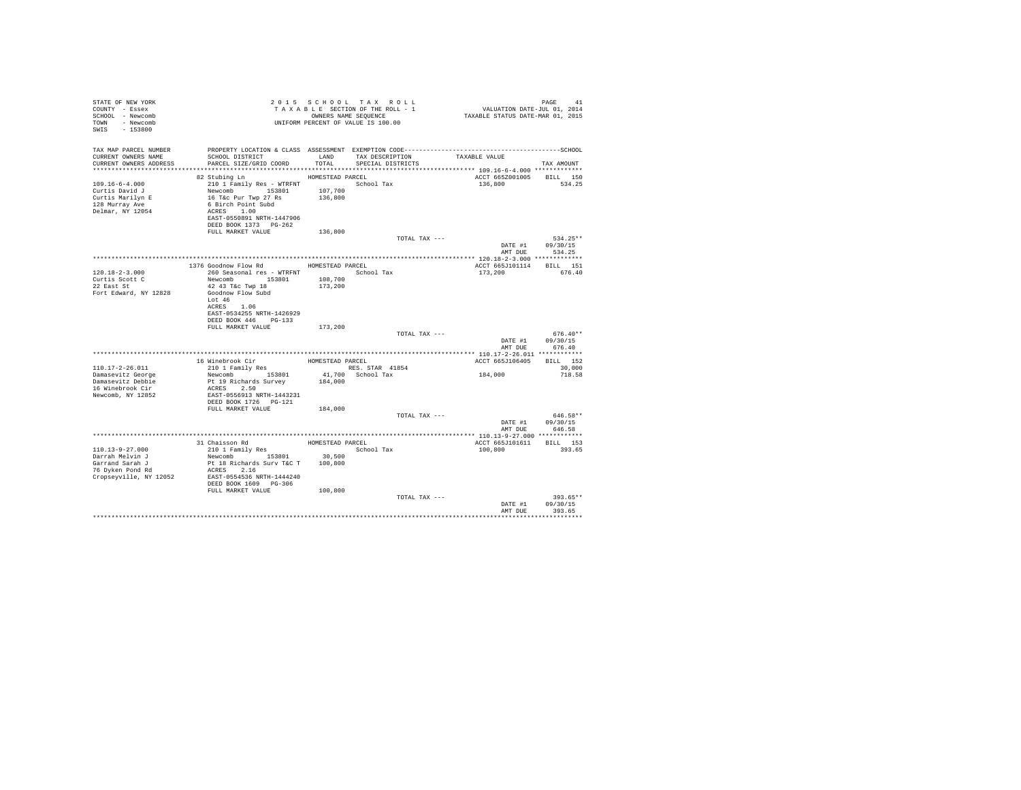| STATE OF NEW YORK<br>COUNTY - Essex<br>SCHOOL - Newcomb<br>TOWN - Newcomb<br>SWIS - 153800                                                             |                                                                                                                                                                                                                    |         | UNIFORM PERCENT OF VALUE IS 100.00   |               |                                            |                                                  |  |
|--------------------------------------------------------------------------------------------------------------------------------------------------------|--------------------------------------------------------------------------------------------------------------------------------------------------------------------------------------------------------------------|---------|--------------------------------------|---------------|--------------------------------------------|--------------------------------------------------|--|
| TAX MAP PARCEL NUMBER<br>CURRENT OWNERS NAME<br>CURRENT OWNERS ADDRESS                                                                                 |                                                                                                                                                                                                                    |         | TAX DESCRIPTION<br>SPECIAL DISTRICTS |               | TAXABLE VALUE                              | TAX AMOUNT                                       |  |
|                                                                                                                                                        |                                                                                                                                                                                                                    |         |                                      |               |                                            |                                                  |  |
| $109.16 - 6 - 4.000$<br>Curtis David J<br>Curtis Marilyn E<br>128 Murray Ave<br>Delmar, NY 12054                                                       | HOMESTEAD PARCEL<br>82 Stubing Ln<br>210 1 Family Res - WTRFNT<br>Newcomb 153801 107,700<br>16 T&c Pur Twp 27 Rs 136,800<br>6 Birch Point Subd<br>ACRES 1.00<br>EAST-0550891 NRTH-1447906<br>DEED BOOK 1373 PG-262 |         | School Tax                           |               | ACCT 665Z001005 BILL 150<br>136,800 534.25 |                                                  |  |
|                                                                                                                                                        | FULL MARKET VALUE                                                                                                                                                                                                  | 136,800 |                                      |               |                                            |                                                  |  |
|                                                                                                                                                        |                                                                                                                                                                                                                    |         |                                      | TOTAL TAX --- |                                            | $534.25**$<br>DATE #1 09/30/15<br>AMT DUE 534.25 |  |
|                                                                                                                                                        |                                                                                                                                                                                                                    |         |                                      |               |                                            |                                                  |  |
| $120.18 - 2 - 3.000$<br>Curtis Scott C                                                                                                                 | 1376 Goodnow Flow Rd HOMESTEAD PARCEL<br>260 Seasonal res - WTRFNT                                                                                                                                                 |         | School Tax                           |               | ACCT 665J101114 BILL 151<br>173,200        | 676.40                                           |  |
| 22 East St<br>Fort Edward, NY 12828                                                                                                                    | Newcomb 153801 108,700<br>42 43 T&c Twp 18 173,200<br>Goodnow Flow Subd<br>Lot 46<br>ACRES 1.06<br>EAST-0534255 NRTH-1426929                                                                                       |         |                                      |               |                                            |                                                  |  |
|                                                                                                                                                        | DEED BOOK 446 PG-133                                                                                                                                                                                               |         |                                      |               |                                            |                                                  |  |
|                                                                                                                                                        | FULL MARKET VALUE                                                                                                                                                                                                  | 173,200 |                                      | TOTAL TAX --- | AMT DUR                                    | $676.40**$<br>DATE #1 09/30/15<br>676.40         |  |
|                                                                                                                                                        |                                                                                                                                                                                                                    |         |                                      |               |                                            |                                                  |  |
|                                                                                                                                                        |                                                                                                                                                                                                                    |         |                                      |               | ACCT 665J106405 BILL 152                   |                                                  |  |
| 110.17-2-26.011                                                                                                                                        |                                                                                                                                                                                                                    |         |                                      |               |                                            | 30,000                                           |  |
| Damasevitz George<br>Damasevitz Debbie<br>16 Winebrook Cir<br>Newcomb, NY 12852                                                                        | ACRES 2.50<br>EAST-0556913 NRTH-1443231                                                                                                                                                                            |         |                                      |               | $184\,,\,000$                              | 718.58                                           |  |
|                                                                                                                                                        | FULL MARKET VALUE 184,000                                                                                                                                                                                          |         |                                      | TOTAL TAX --- |                                            | 646.58**<br>DATE #1 09/30/15                     |  |
|                                                                                                                                                        |                                                                                                                                                                                                                    |         |                                      |               | AMT DUR                                    | 646.58                                           |  |
|                                                                                                                                                        |                                                                                                                                                                                                                    |         |                                      |               |                                            |                                                  |  |
| $110.13 - 9 - 27.000$<br>Darrah Melvin J<br>Garrand Sarah J<br>Garrand Saran J<br>76 Dvken Pond Rd<br>Cropseyville, NY 12052 EAST-0554536 NRTH-1444240 | 31 Chaisson Rd<br>210 1 Family Res<br>210 1 Family Res<br>Newcomb 153801 30,500<br>Pt 18 Richards Surv T&C T 100,800<br>ACRES 2.16                                                                                 |         | HOMESTEAD PARCEL<br>School Tax       |               | ACCT 665J101611 BILL 153<br>100,800        | 393.65                                           |  |
|                                                                                                                                                        | DEED BOOK 1609 PG-306<br>FULL MARKET VALUE                                                                                                                                                                         | 100,800 |                                      | TOTAL TAX --- |                                            | $393.65**$                                       |  |
|                                                                                                                                                        |                                                                                                                                                                                                                    |         |                                      |               | AMT DUE                                    | DATE #1 09/30/15<br>393.65                       |  |
|                                                                                                                                                        |                                                                                                                                                                                                                    |         |                                      |               |                                            |                                                  |  |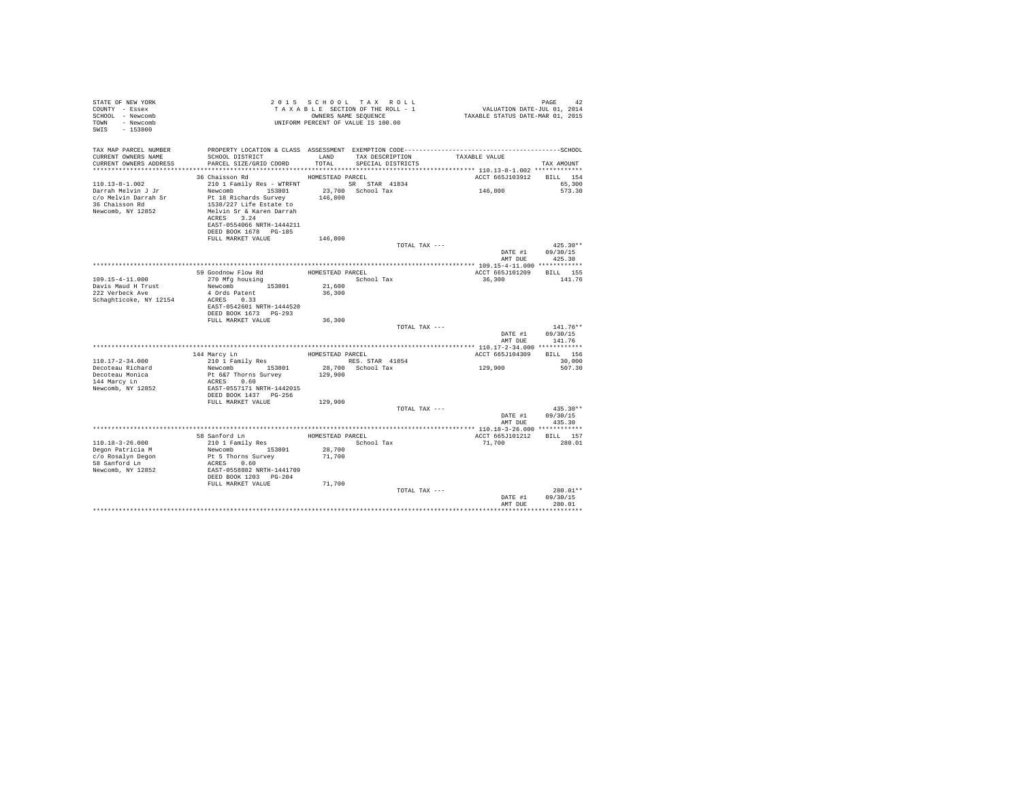| STATE OF NEW YORK<br>COUNTY - Essex<br>SCHOOL - Newcomb<br>- Newcomb<br>TOWN<br>SWIS<br>$-153800$         |                                                                                                                                                                                                 |                                      | 2015 SCHOOL TAX ROLL<br>TAXABLE SECTION OF THE ROLL - 1<br>OWNERS NAME SEOUENCE<br>UNIFORM PERCENT OF VALUE IS 100.00 | VALUATION DATE-JUL 01, 2014<br>TAXABLE STATUS DATE-MAR 01, 2015 | PAGE<br>42                       |
|-----------------------------------------------------------------------------------------------------------|-------------------------------------------------------------------------------------------------------------------------------------------------------------------------------------------------|--------------------------------------|-----------------------------------------------------------------------------------------------------------------------|-----------------------------------------------------------------|----------------------------------|
| TAX MAP PARCEL NUMBER<br>CURRENT OWNERS NAME<br>CURRENT OWNERS ADDRESS                                    | SCHOOL DISTRICT<br>PARCEL SIZE/GRID COORD                                                                                                                                                       | <b>T.AND</b><br>TOTAL                | TAX DESCRIPTION<br>SPECIAL DISTRICTS                                                                                  | TAXABLE VALUE                                                   | TAX AMOUNT                       |
|                                                                                                           | 36 Chaisson Rd                                                                                                                                                                                  | HOMESTEAD PARCEL                     |                                                                                                                       | ACCT 665J103912                                                 | BILL 154                         |
| $110.13 - 8 - 1.002$<br>Darrah Melvin J Jr<br>c/o Melvin Darrah Sr<br>36 Chaisson Rd<br>Newcomb, NY 12852 | 210 1 Family Res - WTRFNT<br>Newcomb 153801<br>Pt 18 Richards Survey<br>1538/227 Life Estate to<br>Melvin Sr & Karen Darrah<br>ACRES 3.24<br>EAST-0554066 NRTH-1444211<br>DEED BOOK 1678 PG-185 | 146,800                              | SR STAR 41834<br>23.700 School Tax                                                                                    | 146,800                                                         | 65,300<br>573.30                 |
|                                                                                                           | FULL MARKET VALUE                                                                                                                                                                               | 146,800                              |                                                                                                                       |                                                                 |                                  |
|                                                                                                           |                                                                                                                                                                                                 |                                      | TOTAL TAX ---                                                                                                         | DATE #1<br>AMT DUE                                              | $425.30**$<br>09/30/15<br>425.30 |
|                                                                                                           |                                                                                                                                                                                                 |                                      |                                                                                                                       |                                                                 |                                  |
| $109.15 - 4 - 11.000$                                                                                     | 59 Goodnow Flow Rd<br>270 Mfg housing                                                                                                                                                           | HOMESTEAD PARCEL                     | School Tax                                                                                                            | ACCT 665J101209<br>36,300                                       | <b>BILL</b> 155<br>141.76        |
| Davis Maud H Trust<br>222 Verbeck Ave<br>Schaghticoke, NY 12154                                           | Newcomb 153801<br>4 Ords Patent<br>ACRES 0.33<br>EAST-0542601 NRTH-1444520<br>DEED BOOK 1673 PG-293                                                                                             | 21,600<br>36,300                     |                                                                                                                       |                                                                 |                                  |
|                                                                                                           | FULL MARKET VALUE                                                                                                                                                                               | 36,300                               |                                                                                                                       |                                                                 |                                  |
|                                                                                                           |                                                                                                                                                                                                 |                                      | TOTAL TAX ---                                                                                                         | DATE #1<br>AMT DUE                                              | $141.76**$<br>09/30/15<br>141.76 |
|                                                                                                           |                                                                                                                                                                                                 |                                      |                                                                                                                       | ************** 110.17-2-34.000 ************                     |                                  |
|                                                                                                           | 144 Marcy Ln                                                                                                                                                                                    | HOMESTEAD PARCEL                     |                                                                                                                       | ACCT 665J104309                                                 | BILL 156                         |
| $110.17 - 2 - 34.000$                                                                                     | 210 1 Family Res                                                                                                                                                                                |                                      | RES. STAR 41854                                                                                                       |                                                                 | 30,000                           |
| Decoteau Richard<br>Decoteau Monica<br>144 Marcy Ln<br>Newcomb, NY 12852                                  | Newcomb 153801<br>Pt 6&7 Thorns Survey<br>ACRES 0.60<br>EAST-0557171 NRTH-1442015<br>DEED BOOK 1437 PG-256                                                                                      | 129,900                              | 28,700 School Tax                                                                                                     | 129,900                                                         | 507.30                           |
|                                                                                                           | FULL MARKET VALUE                                                                                                                                                                               | 129,900                              |                                                                                                                       |                                                                 |                                  |
|                                                                                                           |                                                                                                                                                                                                 |                                      | TOTAL TAX ---                                                                                                         | DATE #1<br>AMT DUR                                              | $435.30**$<br>09/30/15<br>435.30 |
|                                                                                                           |                                                                                                                                                                                                 |                                      |                                                                                                                       |                                                                 |                                  |
| $110.18 - 3 - 26.000$<br>Degon Patricia M<br>c/o Rosalyn Degon<br>58 Sanford Ln<br>Newcomb, NY 12852      | 58 Sanford Ln<br>210 1 Family Res<br>Newcomb 153801<br>Pt 5 Thorns Survey<br>ACRES 0.60<br>EAST-0558882 NRTH-1441709                                                                            | HOMESTEAD PARCEL<br>28,700<br>71,700 | School Tax                                                                                                            | ACCT 665J101212<br>71,700                                       | BILL 157<br>280.01               |
|                                                                                                           | DEED BOOK 1203 PG-204                                                                                                                                                                           |                                      |                                                                                                                       |                                                                 |                                  |
|                                                                                                           | FULL MARKET VALUE                                                                                                                                                                               | 71,700                               | TOTAL TAX ---                                                                                                         | DATE #1<br>AMT DUE                                              | $280.01**$<br>09/30/15<br>280.01 |
|                                                                                                           |                                                                                                                                                                                                 |                                      |                                                                                                                       |                                                                 |                                  |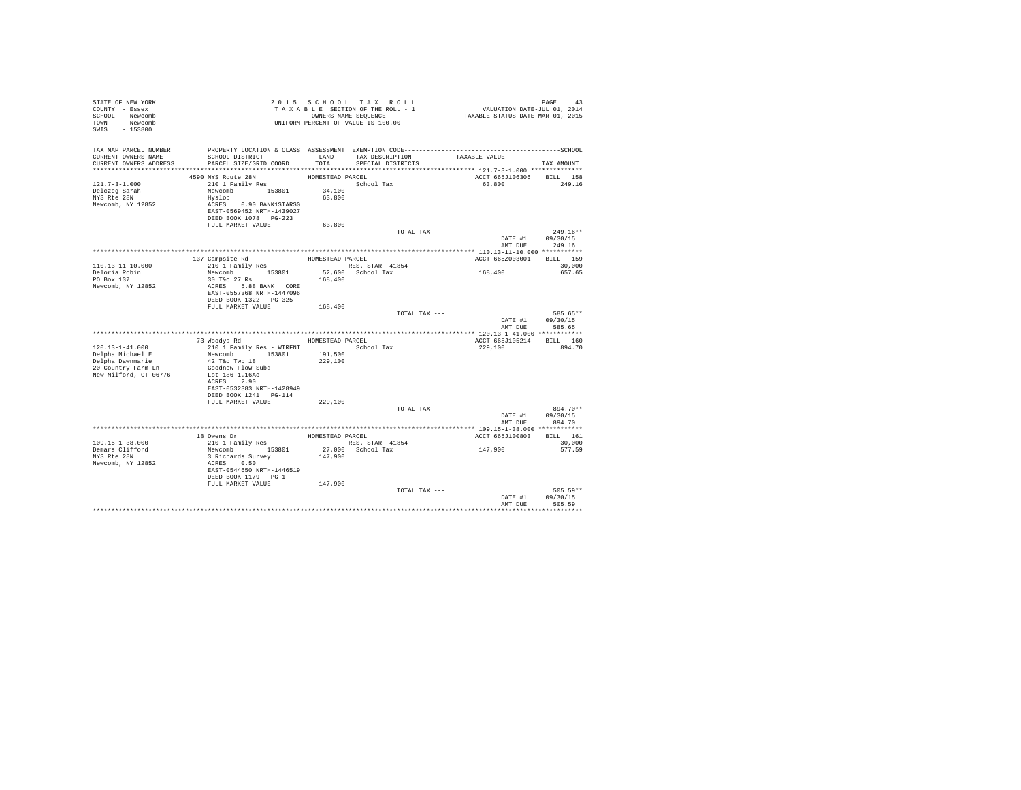| STATE OF NEW YORK<br>COUNTY - Essex<br>SCHOOL - Newcomb<br>TOWN - Newcomb<br>SWIS - 153800 | TAXABLE SECTION OF THE NUMBER OWNERS NAME SEQUENCE<br>UNIFORM PERCENT OF VALUE IS 100.00     |                  | TAXABLE SECTION OF THE ROLL - 1<br>OWNERS NAME SEQUENCE | PAGE 43<br>VALUATION DATE-JUL 01, 2014<br>TAXABLE STATUS DATE-MAR 01, 2015 |                            |
|--------------------------------------------------------------------------------------------|----------------------------------------------------------------------------------------------|------------------|---------------------------------------------------------|----------------------------------------------------------------------------|----------------------------|
| TAX MAP PARCEL NUMBER                                                                      | PROPERTY LOCATION & CLASS ASSESSMENT EXEMPTION CODE-----------------------------------SCHOOL |                  | LAND TAX DESCRIPTION TAXABLE VALUE                      |                                                                            |                            |
| CURRENT OWNERS NAME<br>CURRENT OWNERS ADDRESS                                              | SCHOOL DISTRICT<br>PARCEL SIZE/GRID COORD                                                    | TOTAL            | SPECIAL DISTRICTS                                       |                                                                            | TAX AMOUNT                 |
|                                                                                            |                                                                                              |                  |                                                         |                                                                            |                            |
|                                                                                            | 4590 NYS Route 28N                                                                           | HOMESTEAD PARCEL |                                                         | ACCT 665J106306 BILL 158                                                   |                            |
| $121.7 - 3 - 1.000$                                                                        | 210 1 Family Res                                                                             |                  | School Tax                                              | 63,800                                                                     | 249.16                     |
| Delczeg Sarah                                                                              | Newcomb 153801 34,100                                                                        |                  |                                                         |                                                                            |                            |
| NYS Rte 28N                                                                                | Hyslop                                                                                       | 63,800           |                                                         |                                                                            |                            |
| Newcomb, NY 12852                                                                          | ACRES 0.90 BANK1STARSG                                                                       |                  |                                                         |                                                                            |                            |
|                                                                                            | EAST-0569452 NRTH-1439027<br>DEED BOOK 1078 PG-223                                           |                  |                                                         |                                                                            |                            |
|                                                                                            | FULL MARKET VALUE                                                                            | 63,800           |                                                         |                                                                            |                            |
|                                                                                            |                                                                                              |                  | TOTAL TAX ---                                           |                                                                            | 249.16**                   |
|                                                                                            |                                                                                              |                  |                                                         |                                                                            | DATE #1 09/30/15           |
|                                                                                            |                                                                                              |                  |                                                         |                                                                            | AMT DUE 249.16             |
|                                                                                            |                                                                                              |                  |                                                         |                                                                            |                            |
|                                                                                            | 137 Campsite Rd<br>210 1 Family Res                                                          |                  | HOMESTEAD PARCEL                                        | ACCT 665Z003001 BILL 159                                                   |                            |
| 110.13-11-10.000<br>Deloria Robin                                                          | Newcomb 153801                                                                               |                  | RES. STAR 41854<br>52,600 School Tax                    | 168,400                                                                    | 30,000<br>657.65           |
| PO Box 137                                                                                 | 30 T&c 27 Rs                                                                                 | 168,400          |                                                         |                                                                            |                            |
| Newcomb, NY 12852                                                                          | ACRES 5.88 BANK CORE                                                                         |                  |                                                         |                                                                            |                            |
|                                                                                            | EAST-0557368 NRTH-1447096                                                                    |                  |                                                         |                                                                            |                            |
|                                                                                            |                                                                                              |                  |                                                         |                                                                            |                            |
|                                                                                            | FULL MARKET VALUE 168,400                                                                    |                  |                                                         |                                                                            |                            |
|                                                                                            |                                                                                              |                  | TOTAL TAX ---                                           |                                                                            | 585.65**                   |
|                                                                                            |                                                                                              |                  |                                                         | AMT DUE                                                                    | DATE #1 09/30/15<br>585.65 |
|                                                                                            |                                                                                              |                  |                                                         |                                                                            |                            |
|                                                                                            | 73 Woodys Rd                                                                                 |                  | HOMESTEAD PARCEL                                        | ACCT 665J105214 BILL 160                                                   |                            |
| $120.13 - 1 - 41.000$                                                                      | 210 1 Family Res - WTRFNT                                                                    |                  | School Tax                                              | 229,100                                                                    | 894.70                     |
| Delpha Michael E                                                                           | Newcomb 153801                                                                               | 191,500          |                                                         |                                                                            |                            |
| Delpha Dawnmarie                                                                           | 42 T&c Twp 18                                                                                | 229,100          |                                                         |                                                                            |                            |
| 20 Country Farm Ln                                                                         | Goodnow Flow Subd                                                                            |                  |                                                         |                                                                            |                            |
| New Milford, CT 06776                                                                      | Lot 186 1.16Ac                                                                               |                  |                                                         |                                                                            |                            |
|                                                                                            | ACRES 2.90<br>EAST-0532383 NRTH-1428949                                                      |                  |                                                         |                                                                            |                            |
|                                                                                            | DEED BOOK 1241   PG-114                                                                      |                  |                                                         |                                                                            |                            |
|                                                                                            | FULL MARKET VALUE                                                                            | 229,100          |                                                         |                                                                            |                            |
|                                                                                            |                                                                                              |                  | TOTAL TAX ---                                           |                                                                            | 894.70**                   |
|                                                                                            |                                                                                              |                  |                                                         |                                                                            | DATE #1 09/30/15           |
|                                                                                            |                                                                                              |                  |                                                         |                                                                            | AMT DUE 894.70             |
|                                                                                            |                                                                                              |                  |                                                         |                                                                            |                            |
|                                                                                            | 18 Owens Dr<br>210 1 Family Res<br>Newcomb 153801                                            | HOMESTEAD PARCEL |                                                         | ACCT 665J100803 BILL 161                                                   |                            |
| $109.15 - 1 - 38.000$                                                                      |                                                                                              |                  | RES. STAR 41854                                         | 147,900                                                                    | 30,000                     |
| Demars Clifford<br>NYS Rte 28N                                                             | 3 Richards Survey                                                                            |                  | 27,000 School Tax<br>147,900                            |                                                                            | 577.59                     |
| Newcomb, NY 12852                                                                          | ACRES 0.50                                                                                   |                  |                                                         |                                                                            |                            |
|                                                                                            | EAST-0544650 NRTH-1446519                                                                    |                  |                                                         |                                                                            |                            |
|                                                                                            | DEED BOOK 1179 PG-1                                                                          |                  |                                                         |                                                                            |                            |
|                                                                                            | FULL MARKET VALUE                                                                            | 147,900          |                                                         |                                                                            |                            |
|                                                                                            |                                                                                              |                  | TOTAL TAX ---                                           |                                                                            | $505.59**$                 |
|                                                                                            |                                                                                              |                  |                                                         | DATE #1                                                                    | 09/30/15<br>505.59         |
|                                                                                            |                                                                                              |                  |                                                         | AMT DUE                                                                    |                            |
|                                                                                            |                                                                                              |                  |                                                         |                                                                            |                            |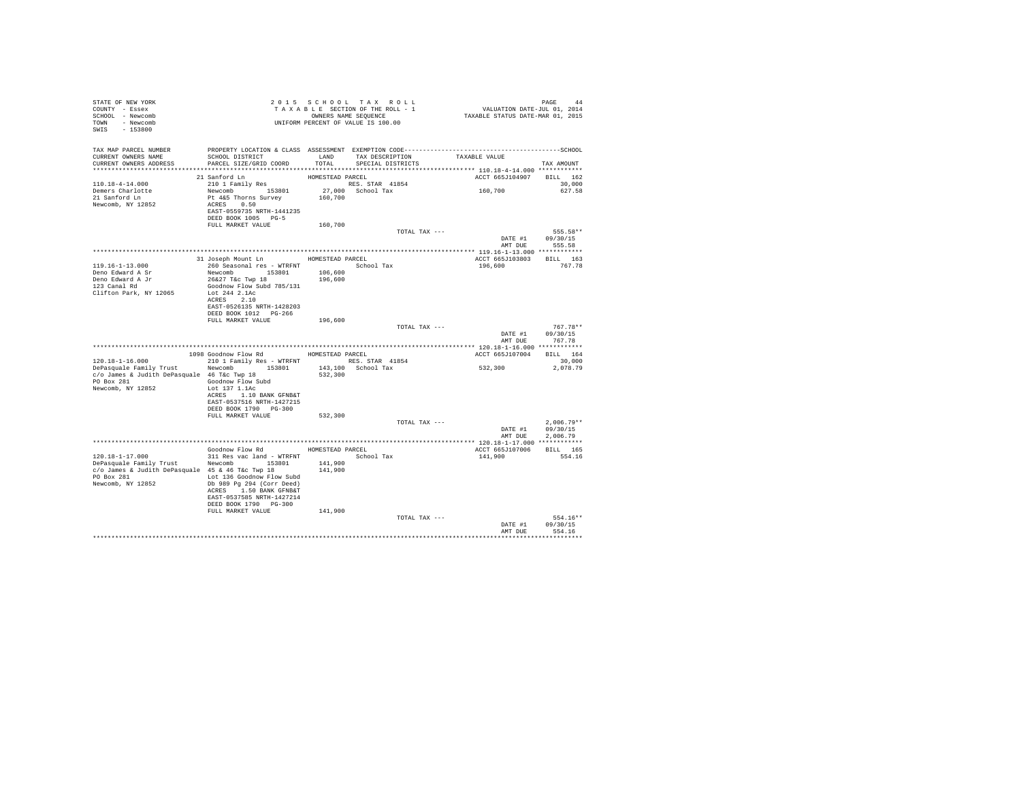| STATE OF NEW YORK                                                                                                                                                                       |                                                     |                  | 2015 SCHOOL TAX ROLL-1 VALUATION DATE-JUL 01, 2014<br>TAX BLE SECTION OF THE ROLL - 1 VALUATION DATE-JUL 01, 2014<br>UNIFORM PERCENT OF VALUE IS 100.00 TAXABLE STATUS DATE-MAR 01, 2015 |                                    |                  |
|-----------------------------------------------------------------------------------------------------------------------------------------------------------------------------------------|-----------------------------------------------------|------------------|------------------------------------------------------------------------------------------------------------------------------------------------------------------------------------------|------------------------------------|------------------|
| COUNTY - Essex                                                                                                                                                                          |                                                     |                  |                                                                                                                                                                                          |                                    |                  |
| SCHOOL - Newcomb                                                                                                                                                                        |                                                     |                  |                                                                                                                                                                                          |                                    |                  |
| TOWN - Newcomb                                                                                                                                                                          |                                                     |                  |                                                                                                                                                                                          |                                    |                  |
| SWIS - 153800                                                                                                                                                                           |                                                     |                  |                                                                                                                                                                                          |                                    |                  |
|                                                                                                                                                                                         |                                                     |                  |                                                                                                                                                                                          |                                    |                  |
|                                                                                                                                                                                         |                                                     |                  |                                                                                                                                                                                          |                                    |                  |
| TAX MAP PARCEL NUMBER<br>TAX MAP PARCEL NUMBER<br>CULTURE PRODUCT IN THE COULD TO THE CONFERENCE ASSESSMENT EXEMPTION COORNALISM CONFERENCE INTERNATIONAL SCHOOL<br>CURRENT OWNERS NAME | SCHOOL DISTRICT<br>LAND TAX DESCRIPTION             |                  |                                                                                                                                                                                          | TAXABLE VALUE                      |                  |
| CURRENT OWNERS ADDRESS                                                                                                                                                                  | PARCEL SIZE/GRID COORD                              | TOTAL            | SPECIAL DISTRICTS                                                                                                                                                                        |                                    | TAX AMOUNT       |
|                                                                                                                                                                                         |                                                     |                  |                                                                                                                                                                                          |                                    |                  |
|                                                                                                                                                                                         | 21 Sanford Ln                                       | HOMESTEAD PARCEL |                                                                                                                                                                                          | ACCT 665J104907 BILL 162           |                  |
| 110.18-4-14.000                                                                                                                                                                         |                                                     |                  | RES. STAR 41854                                                                                                                                                                          |                                    | 30,000           |
| Demers Charlotte                                                                                                                                                                        |                                                     |                  | 27,000 School Tax                                                                                                                                                                        | 160,700                            | 627.58           |
| 21 Sanford Ln                                                                                                                                                                           |                                                     | 160,700          |                                                                                                                                                                                          |                                    |                  |
| Newcomb, NY 12852                                                                                                                                                                       |                                                     |                  |                                                                                                                                                                                          |                                    |                  |
|                                                                                                                                                                                         | EAST-0559735 NRTH-1441235                           |                  |                                                                                                                                                                                          |                                    |                  |
|                                                                                                                                                                                         | DEED BOOK 1005 PG-5                                 |                  |                                                                                                                                                                                          |                                    |                  |
|                                                                                                                                                                                         | FULL MARKET VALUE                                   | 160,700          |                                                                                                                                                                                          |                                    |                  |
|                                                                                                                                                                                         |                                                     |                  | TOTAL TAX ---                                                                                                                                                                            |                                    | 555.58**         |
|                                                                                                                                                                                         |                                                     |                  |                                                                                                                                                                                          | DATE #1 09/30/15<br>AMT DUE 555.58 |                  |
|                                                                                                                                                                                         |                                                     |                  |                                                                                                                                                                                          |                                    |                  |
|                                                                                                                                                                                         |                                                     |                  |                                                                                                                                                                                          |                                    |                  |
|                                                                                                                                                                                         | 31 Joseph Mount Ln HOMESTEAD PARCEL                 |                  |                                                                                                                                                                                          | ACCT 665J103803 BILL 163           |                  |
| $119.16 - 1 - 13.000$                                                                                                                                                                   |                                                     |                  |                                                                                                                                                                                          | 196,600                            | 767.78           |
| Deno Edward A Sr                                                                                                                                                                        |                                                     |                  |                                                                                                                                                                                          |                                    |                  |
| Deno Edward A Jr<br>123 Canal Rd                                                                                                                                                        |                                                     |                  |                                                                                                                                                                                          |                                    |                  |
|                                                                                                                                                                                         | Goodnow Flow Subd 785/131                           |                  |                                                                                                                                                                                          |                                    |                  |
| Clifton Park, NY 12065                                                                                                                                                                  | Lot 244 2.1Ac                                       |                  |                                                                                                                                                                                          |                                    |                  |
|                                                                                                                                                                                         | ACRES 2.10                                          |                  |                                                                                                                                                                                          |                                    |                  |
|                                                                                                                                                                                         | EAST-0526135 NRTH-1428203                           |                  |                                                                                                                                                                                          |                                    |                  |
|                                                                                                                                                                                         | DEED BOOK 1012 PG-266                               |                  |                                                                                                                                                                                          |                                    |                  |
|                                                                                                                                                                                         | FULL MARKET VALUE                                   | 196,600          | TOTAL TAX ---                                                                                                                                                                            |                                    | $767.78**$       |
|                                                                                                                                                                                         |                                                     |                  |                                                                                                                                                                                          |                                    | DATE #1 09/30/15 |
|                                                                                                                                                                                         |                                                     |                  |                                                                                                                                                                                          | AMT DUE                            | 767.78           |
|                                                                                                                                                                                         |                                                     |                  |                                                                                                                                                                                          |                                    |                  |
|                                                                                                                                                                                         | 1098 Goodnow Flow Rd HOMESTEAD PARCEL               |                  |                                                                                                                                                                                          | ACCT 665J107004 BILL 164           |                  |
| 120.18-1-16.000                                                                                                                                                                         | 210 1 Family Res - WTRFNT RES. STAR 41854           |                  |                                                                                                                                                                                          |                                    | 30,000           |
| $Depasquale Family Trust$ $Newcomb$ $153801$ $143,100$ School Tax                                                                                                                       |                                                     |                  |                                                                                                                                                                                          | 532,300 2,078.79                   |                  |
| c/o James & Judith DePasquale 46 T&c Twp 18                                                                                                                                             |                                                     | 532,300          |                                                                                                                                                                                          |                                    |                  |
| PO Box 281 Goodnow Flow Subd                                                                                                                                                            |                                                     |                  |                                                                                                                                                                                          |                                    |                  |
| Newcomb, NY 12852                                                                                                                                                                       | Lot 137 1.1Ac                                       |                  |                                                                                                                                                                                          |                                    |                  |
|                                                                                                                                                                                         | ACRES 1.10 BANK GFNB&T                              |                  |                                                                                                                                                                                          |                                    |                  |
|                                                                                                                                                                                         | EAST-0537516 NRTH-1427215                           |                  |                                                                                                                                                                                          |                                    |                  |
|                                                                                                                                                                                         | DEED BOOK 1790 PG-300                               |                  |                                                                                                                                                                                          |                                    |                  |
|                                                                                                                                                                                         | FULL MARKET VALUE                                   | 532,300          |                                                                                                                                                                                          |                                    |                  |
|                                                                                                                                                                                         |                                                     |                  | TOTAL TAX ---                                                                                                                                                                            |                                    | $2.006.79**$     |
|                                                                                                                                                                                         |                                                     |                  |                                                                                                                                                                                          |                                    | DATE #1 09/30/15 |
|                                                                                                                                                                                         |                                                     |                  |                                                                                                                                                                                          | AMT DUE                            | 2.006.79         |
|                                                                                                                                                                                         |                                                     |                  |                                                                                                                                                                                          |                                    |                  |
|                                                                                                                                                                                         | Goodnow Flow Rd MOMESTEAD PARCEL                    |                  |                                                                                                                                                                                          | ACCT 665J107006 BILL 165           |                  |
|                                                                                                                                                                                         |                                                     |                  |                                                                                                                                                                                          | 141,900                            | 554.16           |
| $120.18-1-17.000$ 311 Res vac land - WTRFNT $\overline{\smash{\big)}\xspace}$ School Tax<br>DePasquale Family Trust Newtomb 153801 141,900                                              |                                                     |                  |                                                                                                                                                                                          |                                    |                  |
| c/o James & Judith DePasquale 45 & 46 T&c Twp 18                                                                                                                                        |                                                     | 141,900          |                                                                                                                                                                                          |                                    |                  |
| PO Box 281 Lot 136 Goodnow Flow Subd<br>Newcomb, NY 12852                                                                                                                               |                                                     |                  |                                                                                                                                                                                          |                                    |                  |
|                                                                                                                                                                                         | Db 989 Pg 294 (Corr Deed)<br>ACRES 1.50 BANK GFNB&T |                  |                                                                                                                                                                                          |                                    |                  |
|                                                                                                                                                                                         | EAST-0537585 NRTH-1427214                           |                  |                                                                                                                                                                                          |                                    |                  |
|                                                                                                                                                                                         | DEED BOOK 1790 PG-300                               |                  |                                                                                                                                                                                          |                                    |                  |
|                                                                                                                                                                                         | FULL MARKET VALUE                                   | 141,900          |                                                                                                                                                                                          |                                    |                  |
|                                                                                                                                                                                         |                                                     |                  | TOTAL TAX ---                                                                                                                                                                            |                                    | 554.16**         |
|                                                                                                                                                                                         |                                                     |                  |                                                                                                                                                                                          | DATE #1                            | 09/30/15         |
|                                                                                                                                                                                         |                                                     |                  |                                                                                                                                                                                          | AMT DUE                            | 554.16           |
|                                                                                                                                                                                         |                                                     |                  |                                                                                                                                                                                          |                                    |                  |
|                                                                                                                                                                                         |                                                     |                  |                                                                                                                                                                                          |                                    |                  |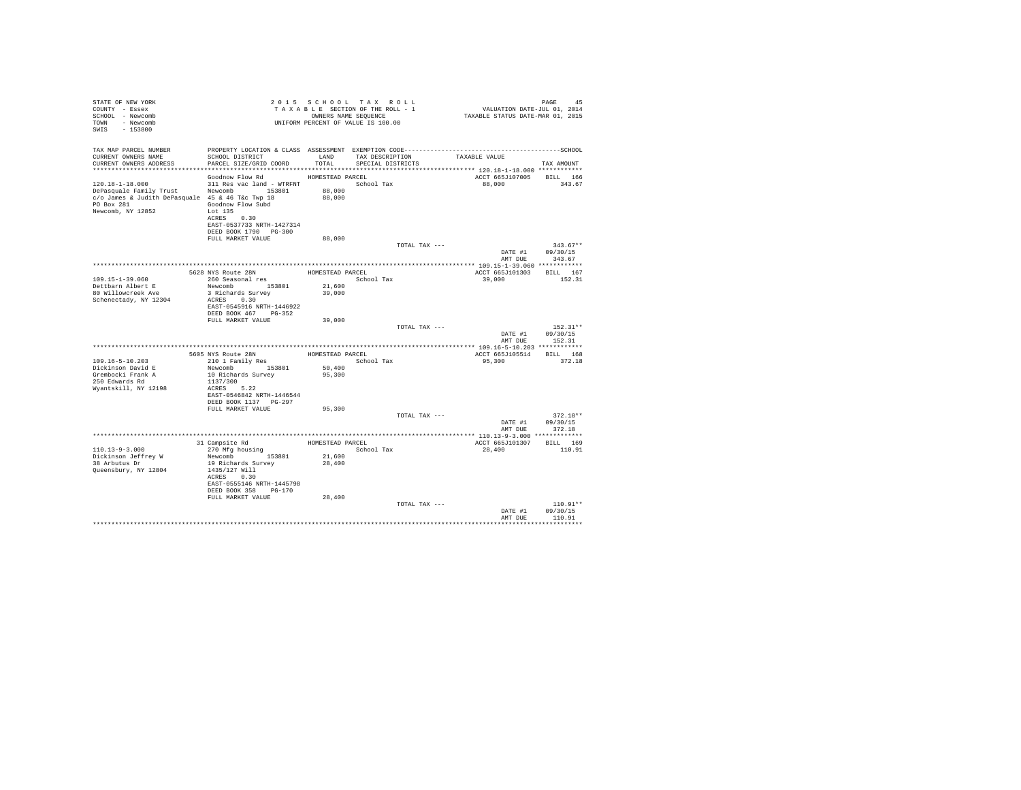| STATE OF NEW YORK<br>COUNTY - Essex<br>SCHOOL - Newcomb<br>TOWN - Newcomb<br>SWIS - 153800                                                             | T A X A B B B B ANE SEQUENCE<br>UNIFORM PERCENT OF VALUE IS 100.00                                                                                               | 2015 SCHOOL TAX ROLL<br>TAXABLE SECTION OF THE ROLL - 1<br>OWNERS NAME SEQUENCE |                                      |               | PAGE 45<br>VALUATION DATE-JUL 01, 2014<br>TAXABLE STATUS DATE-MAR 01, 2015 |                                          |
|--------------------------------------------------------------------------------------------------------------------------------------------------------|------------------------------------------------------------------------------------------------------------------------------------------------------------------|---------------------------------------------------------------------------------|--------------------------------------|---------------|----------------------------------------------------------------------------|------------------------------------------|
| TAX MAP PARCEL NUMBER<br>CURRENT OWNERS NAME<br>CURRENT OWNERS ADDRESS                                                                                 | SCHOOL DISTRICT<br>PARCEL SIZE/GRID COORD                                                                                                                        | LAND<br>TOTAL                                                                   | TAX DESCRIPTION<br>SPECIAL DISTRICTS |               | TAXABLE VALUE                                                              | TAX AMOUNT                               |
|                                                                                                                                                        |                                                                                                                                                                  |                                                                                 |                                      |               |                                                                            |                                          |
| $120.18 - 1 - 18.000$<br>DePasquale Family Trust Newcomb 153801<br>c/o James & Judith DePasquale 45 & 46 T&c Twp 18<br>PO Box 281<br>Newcomb, NY 12852 | Goodnow Flow Rd<br>311 Res vac land - WTRFNT School Tax<br>Goodnow Flow Subd<br>Lot 135<br>ACRES 0.30<br>EAST-0537733 NRTH-1427314<br>DEED BOOK 1790 PG-300      | HOMESTEAD PARCEL<br>88,000<br>88,000                                            |                                      |               | ACCT 665J107005<br>88,000                                                  | <b>BILL</b> 166<br>343.67                |
|                                                                                                                                                        | FULL MARKET VALUE                                                                                                                                                | 88,000                                                                          |                                      |               |                                                                            |                                          |
|                                                                                                                                                        |                                                                                                                                                                  |                                                                                 |                                      | TOTAL TAX --- | AMT DUE                                                                    | $343.67**$<br>DATE #1 09/30/15<br>343.67 |
|                                                                                                                                                        | 5628 NYS Route 28N                                                                                                                                               |                                                                                 |                                      |               |                                                                            |                                          |
| 109.15-1-39.060<br>Dettbarn Albert E<br>80 Willowcreek Ave<br>Schenectady, NY 12304                                                                    | 260 Seasonal res<br>Newcomb 153801<br>3 Richards Survey<br>ACRES 0.30<br>EAST-0545916 NRTH-1446922<br>DEED BOOK 467 PG-352                                       | HOMESTEAD PARCEL<br>21,600<br>39,000                                            | School Tax                           |               | ACCT 665J101303<br>39,000                                                  | BILL 167<br>152.31                       |
|                                                                                                                                                        | FULL MARKET VALUE                                                                                                                                                | 39,000                                                                          |                                      | TOTAL TAX --- | DATE #1<br>AMT DUE                                                         | $152.31**$<br>09/30/15<br>152.31         |
|                                                                                                                                                        |                                                                                                                                                                  |                                                                                 |                                      |               |                                                                            |                                          |
| 109.16-5-10.203<br>Dickinson David E<br>Grembocki Frank A<br>250 Edwards Rd<br>Wyantskill, NY 12198                                                    | 5605 NYS Route 28N<br>210 1 Family Res<br>Newcomb 153801<br>10 Richards Survey<br>1137/300<br>ACRES 5.22<br>EAST-0546842 NRTH-1446544<br>DEED BOOK 1137 PG-297   | HOMESTEAD PARCEL<br>50,400<br>95,300                                            | School Tax                           |               | ACCT 665J105514<br>95,300                                                  | BILL 168<br>372.18                       |
|                                                                                                                                                        | FULL MARKET VALUE                                                                                                                                                | 95,300                                                                          |                                      | TOTAL TAX --- |                                                                            | $372.18**$                               |
|                                                                                                                                                        |                                                                                                                                                                  |                                                                                 |                                      |               | DATE #1<br>AMT DUE                                                         | 09/30/15<br>372.18                       |
|                                                                                                                                                        | 31 Campsite Rd                                                                                                                                                   | HOMESTEAD PARCEL                                                                |                                      |               | ACCT 665J101307                                                            | BILL 169                                 |
| $110.13 - 9 - 3.000$<br>Dickinson Jeffrey W<br>38 Arbutus Dr<br>Queensbury, NY 12804                                                                   | 270 Mfg housing<br>Newcomb 153801<br>19 Richards Survey<br>1435/127 Will<br>ACRES 0.30<br>EAST-0555146 NRTH-1445798<br>DEED BOOK 358 PG-170<br>FULL MARKET VALUE | 21,600<br>28,400<br>28,400                                                      | School Tax                           |               | 28,400                                                                     | 110.91                                   |
|                                                                                                                                                        |                                                                                                                                                                  |                                                                                 |                                      | TOTAL TAX --- | DATE #1<br>AMT DUE                                                         | $110.91**$<br>09/30/15<br>110.91         |
|                                                                                                                                                        |                                                                                                                                                                  |                                                                                 |                                      |               |                                                                            |                                          |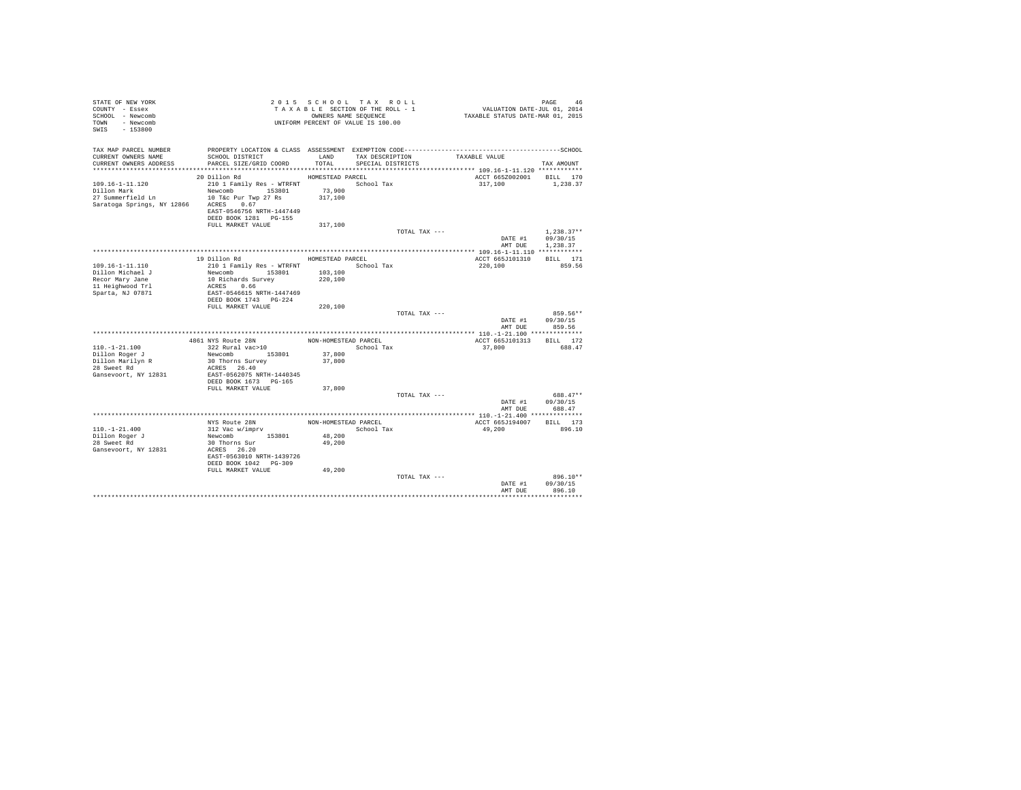| STATE OF NEW YORK<br>COUNTY - Essex<br>SCHOOL - Newcomb<br>TOWN - Newcomb<br>$-153800$<br>SWIS |                                             |                      | 2015 SCHOOL TAX ROLL<br>TAXABLE SECTION OF THE ROLL - 1<br>OWNERS NAME SEQUENCE<br>UNIFORM PERCENT OF VALUE IS 100.00 |               | VALUATION DATE-JUL 01, 2014<br>TAXABLE STATUS DATE-MAR 01, 2015 | PAGE                 | 46 |
|------------------------------------------------------------------------------------------------|---------------------------------------------|----------------------|-----------------------------------------------------------------------------------------------------------------------|---------------|-----------------------------------------------------------------|----------------------|----|
| TAX MAP PARCEL NUMBER<br>CURRENT OWNERS NAME                                                   | SCHOOL DISTRICT                             | LAND                 | TAX DESCRIPTION                                                                                                       | TAXABLE VALUE |                                                                 |                      |    |
| CURRENT OWNERS ADDRESS                                                                         | PARCEL SIZE/GRID COORD                      | TOTAL                | SPECIAL DISTRICTS                                                                                                     |               |                                                                 | TAX AMOUNT           |    |
|                                                                                                |                                             |                      |                                                                                                                       |               |                                                                 |                      |    |
|                                                                                                | 20 Dillon Rd                                | HOMESTEAD PARCEL     |                                                                                                                       |               | ACCT 665Z002001 BILL 170                                        |                      |    |
| $109.16 - 1 - 11.120$                                                                          | 210 1 Family Res - WTRFNT<br>Newcomb 153801 |                      | School Tax                                                                                                            |               | 317,100                                                         | 1,238.37             |    |
| Dillon Mark<br>27 Summerfield Ln 10 T&c Pur Twp 27 Rs                                          |                                             | 73,900<br>317,100    |                                                                                                                       |               |                                                                 |                      |    |
| Saratoga Springs, NY 12866                                                                     | ACRES 0.67                                  |                      |                                                                                                                       |               |                                                                 |                      |    |
|                                                                                                | EAST-0546756 NRTH-1447449                   |                      |                                                                                                                       |               |                                                                 |                      |    |
|                                                                                                | DEED BOOK 1281 PG-155                       |                      |                                                                                                                       |               |                                                                 |                      |    |
|                                                                                                | FULL MARKET VALUE                           | 317,100              |                                                                                                                       |               |                                                                 |                      |    |
|                                                                                                |                                             |                      |                                                                                                                       | TOTAL TAX --- |                                                                 | $1.238.37**$         |    |
|                                                                                                |                                             |                      |                                                                                                                       |               | DATE #1                                                         | 09/30/15             |    |
|                                                                                                |                                             |                      |                                                                                                                       |               | AMT DUE                                                         | 1,238.37             |    |
|                                                                                                | 19 Dillon Rd                                | HOMESTEAD PARCEL     |                                                                                                                       |               | ACCT 665J101310                                                 | BILL 171             |    |
| $109.16 - 1 - 11.110$                                                                          | 210 1 Family Res - WTRFNT                   | School Tax           |                                                                                                                       |               | 220,100                                                         | 859.56               |    |
| Dillon Michael J                                                                               | Newcomb 153801                              | 103,100              |                                                                                                                       |               |                                                                 |                      |    |
| Recor Mary Jane                                                                                | 10 Richards Survey                          | 220,100              |                                                                                                                       |               |                                                                 |                      |    |
| 11 Heighwood Trl                                                                               | ACRES 0.66                                  |                      |                                                                                                                       |               |                                                                 |                      |    |
| Sparta, NJ 07871                                                                               | EAST-0546615 NRTH-1447469                   |                      |                                                                                                                       |               |                                                                 |                      |    |
|                                                                                                | DEED BOOK 1743 PG-224                       |                      |                                                                                                                       |               |                                                                 |                      |    |
|                                                                                                | FULL MARKET VALUE                           | 220,100              |                                                                                                                       |               |                                                                 |                      |    |
|                                                                                                |                                             |                      |                                                                                                                       | TOTAL TAX --- | DATE #1                                                         | 859.56**<br>09/30/15 |    |
|                                                                                                |                                             |                      |                                                                                                                       |               | AMT DUR                                                         | 859.56               |    |
|                                                                                                |                                             |                      |                                                                                                                       |               |                                                                 |                      |    |
|                                                                                                | 4861 NYS Route 28N                          | NON-HOMESTEAD PARCEL |                                                                                                                       |               | ACCT 665J101313                                                 | BILL 172             |    |
| $110. - 1 - 21.100$                                                                            | 322 Rural vac>10                            |                      | School Tax                                                                                                            |               | 37,800                                                          | 688.47               |    |
| Dillon Roger J                                                                                 | Newcomb 153801                              | 37,800               |                                                                                                                       |               |                                                                 |                      |    |
| Dillon Marilyn R                                                                               | 30 Thorns Survey                            | 37,800               |                                                                                                                       |               |                                                                 |                      |    |
| 28 Sweet Rd<br>Gansevoort, NY 12831                                                            | ACRES 26.40<br>EAST-0562075 NRTH-1440345    |                      |                                                                                                                       |               |                                                                 |                      |    |
|                                                                                                | DEED BOOK 1673 PG-165                       |                      |                                                                                                                       |               |                                                                 |                      |    |
|                                                                                                | FULL MARKET VALUE                           | 37,800               |                                                                                                                       |               |                                                                 |                      |    |
|                                                                                                |                                             |                      |                                                                                                                       | TOTAL TAX --- |                                                                 | 688.47**             |    |
|                                                                                                |                                             |                      |                                                                                                                       |               | DATE #1                                                         | 09/30/15             |    |
|                                                                                                |                                             |                      |                                                                                                                       |               | AMT DUE                                                         | 688.47               |    |
|                                                                                                |                                             |                      |                                                                                                                       |               |                                                                 |                      |    |
|                                                                                                | NYS Route 28N                               | NON-HOMESTEAD PARCEL |                                                                                                                       |               | ACCT 665J194007                                                 | BILL 173             |    |
| $110. - 1 - 21.400$<br>Dillon Roger J                                                          | 312 Vac w/imprv<br>Newcomb 153801           | 48,200               | School Tax                                                                                                            |               | 49,200                                                          | 896.10               |    |
| 28 Sweet Rd                                                                                    | 30 Thorns Sur                               | 49,200               |                                                                                                                       |               |                                                                 |                      |    |
| Gansevoort, NY 12831                                                                           | ACRES 26.20                                 |                      |                                                                                                                       |               |                                                                 |                      |    |
|                                                                                                | EAST-0563010 NRTH-1439726                   |                      |                                                                                                                       |               |                                                                 |                      |    |
|                                                                                                | DEED BOOK 1042 PG-309                       |                      |                                                                                                                       |               |                                                                 |                      |    |
|                                                                                                | FULL MARKET VALUE                           | 49,200               |                                                                                                                       |               |                                                                 |                      |    |
|                                                                                                |                                             |                      |                                                                                                                       | TOTAL TAX --- |                                                                 | 896.10**             |    |
|                                                                                                |                                             |                      |                                                                                                                       |               | DATE #1<br>AMT DUE                                              | 09/30/15<br>896.10   |    |
|                                                                                                |                                             |                      |                                                                                                                       |               |                                                                 |                      |    |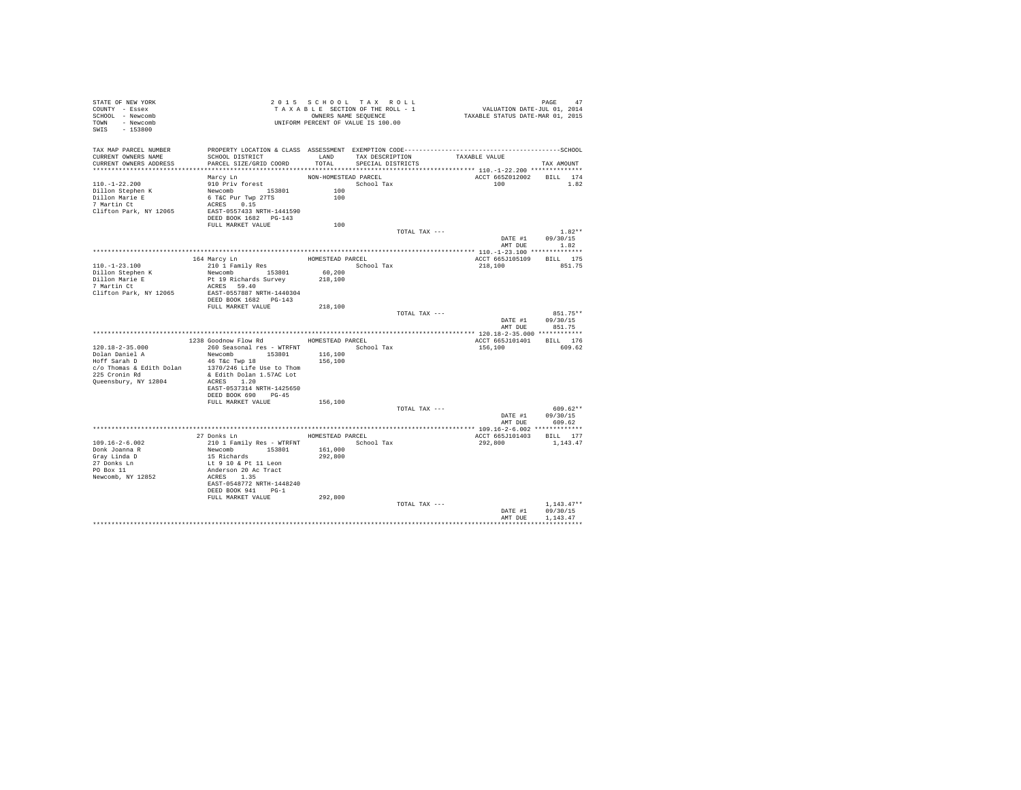| STATE OF NEW YORK<br>COUNTY - Essex<br>SCHOOL - Newcomb<br>TOWN - Newcomb<br>SWIS<br>$-153800$     |                                                                                                                                                |                                    | 2015 SCHOOL TAX ROLL<br>TAXABLE SECTION OF THE ROLL - 1<br>OWNERS NAME SEQUENCE<br>UNIFORM PERCENT OF VALUE IS 100.00 | PAGE 47<br>VALUATION DATE-JUL 01, 2014<br>TAXABLE STATUS DATE-MAR 01, 2015 |                                      |
|----------------------------------------------------------------------------------------------------|------------------------------------------------------------------------------------------------------------------------------------------------|------------------------------------|-----------------------------------------------------------------------------------------------------------------------|----------------------------------------------------------------------------|--------------------------------------|
| TAX MAP PARCEL NUMBER<br>CURRENT OWNERS NAME<br>CURRENT OWNERS ADDRESS                             | SCHOOL DISTRICT<br>PARCEL SIZE/GRID COORD                                                                                                      | LAND<br>TOTAL                      | TAX DESCRIPTION<br>SPECIAL DISTRICTS                                                                                  | TAXABLE VALUE                                                              | TAX AMOUNT                           |
| $110. - 1 - 22.200$<br>Dillon Stephen K<br>Dillon Marie E<br>7 Martin Ct<br>Clifton Park, NY 12065 | Marcy Ln<br>910 Priv forest<br>Newcomb 153801<br>6 T&C Pur Twp 27TS<br>ACRES 0.15<br>EAST-0557433 NRTH-1441590<br>DEED BOOK 1682 PG-143        | NON-HOMESTEAD PARCEL<br>100<br>100 | School Tax                                                                                                            | ACCT 665Z012002<br>100                                                     | BILL 174<br>1.82                     |
|                                                                                                    | FULL MARKET VALUE                                                                                                                              | 100                                |                                                                                                                       |                                                                            |                                      |
|                                                                                                    |                                                                                                                                                |                                    | TOTAL TAX ---                                                                                                         | DATE #1                                                                    | $1.82**$<br>09/30/15<br>AMT DUE 1.82 |
|                                                                                                    |                                                                                                                                                |                                    |                                                                                                                       |                                                                            |                                      |
|                                                                                                    | 164 Marcy Ln                                                                                                                                   | HOMESTEAD PARCEL                   |                                                                                                                       | ACCT 665J105109                                                            | BILL 175                             |
| $110. -1 - 23.100$<br>Dillon Stephen K<br>Dillon Marie E                                           | 210 1 Family Res<br>Newcomb 153801<br>Pt 19 Richards Survey                                                                                    | 60,200<br>218,100                  | School Tax                                                                                                            | 218,100                                                                    | 851.75                               |
| 7 Martin Ct<br>Clifton Park, NY 12065                                                              | ACRES 59.40<br>EAST-0557887 NRTH-1440304<br>DEED BOOK 1682 PG-143                                                                              |                                    |                                                                                                                       |                                                                            |                                      |
|                                                                                                    | FULL MARKET VALUE                                                                                                                              | 218,100                            |                                                                                                                       |                                                                            |                                      |
|                                                                                                    |                                                                                                                                                |                                    | TOTAL TAX ---                                                                                                         | DATE #1<br>AMT DUE                                                         | 851.75**<br>09/30/15<br>851.75       |
|                                                                                                    |                                                                                                                                                |                                    |                                                                                                                       |                                                                            |                                      |
|                                                                                                    | 1238 Goodnow Flow Rd MOMESTEAD PARCEL                                                                                                          |                                    |                                                                                                                       | ACCT 665J101401 BILL 176                                                   |                                      |
| $120.18 - 2 - 35.000$                                                                              | 260 Seasonal res - WTRFNT                                                                                                                      |                                    | School Tax                                                                                                            | 156,100                                                                    | 609.62                               |
| Dolan Daniel A                                                                                     | Newcomb 153801                                                                                                                                 | 116,100                            |                                                                                                                       |                                                                            |                                      |
| Hoff Sarah D<br>c/o Thomas & Edith Dolan                                                           | 46 T&c Twp 18<br>1370/246 Life Use to Thom                                                                                                     | 156,100                            |                                                                                                                       |                                                                            |                                      |
| 225 Cronin Rd                                                                                      | & Edith Dolan 1.57AC Lot                                                                                                                       |                                    |                                                                                                                       |                                                                            |                                      |
| Queensbury, NY 12804                                                                               | ACRES 1.20                                                                                                                                     |                                    |                                                                                                                       |                                                                            |                                      |
|                                                                                                    | EAST-0537314 NRTH-1425650                                                                                                                      |                                    |                                                                                                                       |                                                                            |                                      |
|                                                                                                    | DEED BOOK 690 PG-45                                                                                                                            |                                    |                                                                                                                       |                                                                            |                                      |
|                                                                                                    | FULL MARKET VALUE                                                                                                                              | 156,100                            |                                                                                                                       |                                                                            |                                      |
|                                                                                                    |                                                                                                                                                |                                    | TOTAL TAX ---                                                                                                         | DATE #1<br>AMT DUE                                                         | $609.62**$<br>09/30/15<br>609.62     |
|                                                                                                    |                                                                                                                                                |                                    |                                                                                                                       |                                                                            |                                      |
|                                                                                                    | 27 Donks Ln                                                                                                                                    |                                    | HOMESTEAD PARCEL                                                                                                      | ACCT 665J101403 BILL 177                                                   |                                      |
| $109.16 - 2 - 6.002$                                                                               | 210 1 Family Res - WTRFNT                                                                                                                      |                                    | School Tax                                                                                                            | 292,800                                                                    | 1,143.47                             |
| Donk Joanna R<br>Gray Linda D<br>27 Donks Ln<br>PO Box 11<br>Newcomb, NY 12852                     | Newcomb 153801<br>15 Richards<br>Lt 9 10 & Pt 11 Leon<br>Anderson 20 Ac Tract<br>ACRES 1.35<br>EAST-0548772 NRTH-1448240<br>DEED BOOK 941 PG-1 | 161,000<br>292,800                 |                                                                                                                       |                                                                            |                                      |
|                                                                                                    | FULL MARKET VALUE                                                                                                                              | 292,800                            |                                                                                                                       |                                                                            |                                      |
|                                                                                                    |                                                                                                                                                |                                    | TOTAL TAX ---                                                                                                         | DATE #1                                                                    | $1.143.47**$<br>09/30/15             |
|                                                                                                    |                                                                                                                                                |                                    |                                                                                                                       | AMT DUE                                                                    | 1.143.47                             |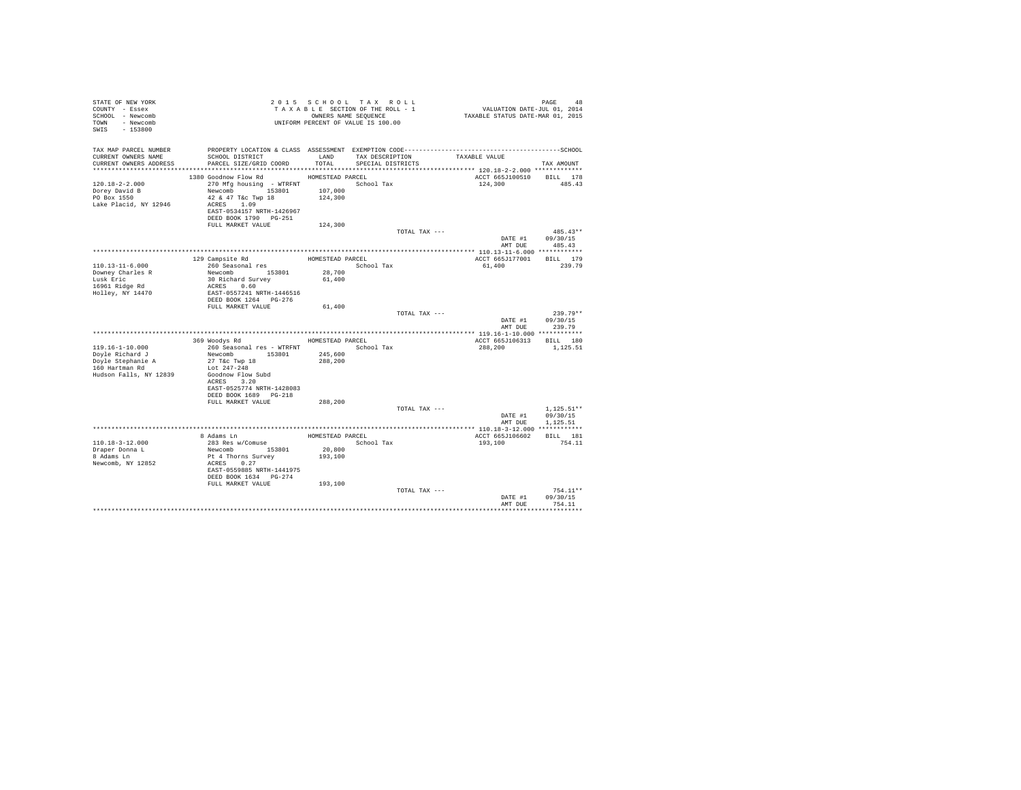| STATE OF NEW YORK<br>COUNTY - Essex<br>SCHOOL - Newcomb<br>TOWN - Newcomb<br>SWIS - 153800 |                                            |                   | 2015 SCHOOL TAX ROLL<br>TAXABLE SECTION OF THE ROLL - 1<br>OWNERS NAME SEQUENCE<br>UNIFORM PERCENT OF VALUE IS 100.00 | PAGE 48<br>VALUATION DATE-JUL 01, 2014<br>TAXABLE STATUS DATE-MAR 01, 2015                   |                  |
|--------------------------------------------------------------------------------------------|--------------------------------------------|-------------------|-----------------------------------------------------------------------------------------------------------------------|----------------------------------------------------------------------------------------------|------------------|
| TAX MAP PARCEL NUMBER                                                                      |                                            |                   |                                                                                                                       | PROPERTY LOCATION & CLASS ASSESSMENT EXEMPTION CODE-----------------------------------SCHOOL |                  |
| CURRENT OWNERS NAME<br>CURRENT OWNERS ADDRESS                                              | SCHOOL DISTRICT<br>PARCEL SIZE/GRID COORD  | LAND<br>TOTAL.    | TAX DESCRIPTION<br>SPECIAL DISTRICTS                                                                                  | TAXABLE VALUE                                                                                | TAX AMOUNT       |
|                                                                                            |                                            |                   |                                                                                                                       |                                                                                              |                  |
|                                                                                            | 1380 Goodnow Flow Rd                       | HOMESTEAD PARCEL  |                                                                                                                       | ACCT 665J100510 BILL 178                                                                     |                  |
| $120.18 - 2 - 2.000$                                                                       | 270 Mfg housing - WTRFNT                   |                   | School Tax                                                                                                            | 124,300                                                                                      | 485.43           |
| Dorey David B<br>PO Box 1550                                                               | Newcomb 153801                             | 107,000           |                                                                                                                       |                                                                                              |                  |
|                                                                                            | 42 & 47 T&c Twp 18                         | 124,300           |                                                                                                                       |                                                                                              |                  |
| Lake Placid, NY 12946                                                                      | ACRES 1.09                                 |                   |                                                                                                                       |                                                                                              |                  |
|                                                                                            | EAST-0534157 NRTH-1426967                  |                   |                                                                                                                       |                                                                                              |                  |
|                                                                                            | DEED BOOK 1790 PG-251<br>FULL MARKET VALUE | 124,300           |                                                                                                                       |                                                                                              |                  |
|                                                                                            |                                            |                   | TOTAL TAX ---                                                                                                         |                                                                                              | $485.43**$       |
|                                                                                            |                                            |                   |                                                                                                                       |                                                                                              | DATE #1 09/30/15 |
|                                                                                            |                                            |                   |                                                                                                                       |                                                                                              | AMT DUE 485.43   |
|                                                                                            |                                            |                   |                                                                                                                       |                                                                                              |                  |
|                                                                                            | 129 Campsite Rd                            | HOMESTEAD PARCEL  |                                                                                                                       | ACCT 665J177001 BILL 179                                                                     |                  |
| 110.13-11-6.000                                                                            | 260 Seasonal res                           |                   | School Tax                                                                                                            | 61,400                                                                                       | 239.79           |
| Downey Charles R                                                                           | Newcomb 153801                             | 28,700            |                                                                                                                       |                                                                                              |                  |
| Lusk Eric                                                                                  | 30 Richard Survey                          | 61,400            |                                                                                                                       |                                                                                              |                  |
| 16961 Ridge Rd                                                                             | ACRES 0.60                                 |                   |                                                                                                                       |                                                                                              |                  |
| Holley, NY 14470                                                                           | EAST-0557241 NRTH-1446516                  |                   |                                                                                                                       |                                                                                              |                  |
|                                                                                            | DEED BOOK 1264 PG-276<br>FULL MARKET VALUE | 61,400            |                                                                                                                       |                                                                                              |                  |
|                                                                                            |                                            |                   | TOTAL TAX ---                                                                                                         |                                                                                              | $239.79**$       |
|                                                                                            |                                            |                   |                                                                                                                       |                                                                                              | DATE #1 09/30/15 |
|                                                                                            |                                            |                   |                                                                                                                       | AMT DUE                                                                                      | 239.79           |
|                                                                                            |                                            |                   |                                                                                                                       |                                                                                              |                  |
|                                                                                            | 369 Woodys Rd                              |                   | HOMESTEAD PARCEL                                                                                                      | ACCT 665J106313 BILL 180                                                                     |                  |
| 119.16-1-10.000                                                                            | 260 Seasonal res - WTRFNT                  |                   | School Tax                                                                                                            | 288,200                                                                                      | 1,125.51         |
| Doyle Richard J                                                                            | Newcomb 153801                             | 245,600           |                                                                                                                       |                                                                                              |                  |
| Doyle Stephanie A<br>160 Hartman Rd                                                        | 27 T&c Twp 18                              | 288,200           |                                                                                                                       |                                                                                              |                  |
|                                                                                            | Lot 247-248                                |                   |                                                                                                                       |                                                                                              |                  |
| Hudson Falls, NY 12839                                                                     | Goodnow Flow Subd<br>ACRES 3.20            |                   |                                                                                                                       |                                                                                              |                  |
|                                                                                            | EAST-0525774 NRTH-1428083                  |                   |                                                                                                                       |                                                                                              |                  |
|                                                                                            | DEED BOOK 1689 PG-218                      |                   |                                                                                                                       |                                                                                              |                  |
|                                                                                            | FULL MARKET VALUE                          | 288,200           |                                                                                                                       |                                                                                              |                  |
|                                                                                            |                                            |                   | TOTAL TAX ---                                                                                                         |                                                                                              | $1.125.51**$     |
|                                                                                            |                                            |                   |                                                                                                                       | DATE #1                                                                                      | 09/30/15         |
|                                                                                            |                                            |                   |                                                                                                                       | AMT DUE                                                                                      | 1,125.51         |
|                                                                                            |                                            |                   |                                                                                                                       |                                                                                              |                  |
|                                                                                            | 8 Adams Ln                                 |                   | HOMESTEAD PARCEL                                                                                                      | ACCT 665J106602 BILL 181                                                                     |                  |
| 110.18-3-12.000                                                                            | 283 Res w/Comuse<br>Newcomb 153801         |                   | School Tax                                                                                                            | 193,100                                                                                      | 754.11           |
| Draper Donna L                                                                             |                                            | 20,800<br>193,100 |                                                                                                                       |                                                                                              |                  |
| 8 Adams Ln<br>Newcomb, NY 12852                                                            | Pt 4 Thorns Survey<br>ACRES 0.27           |                   |                                                                                                                       |                                                                                              |                  |
|                                                                                            | EAST-0559885 NRTH-1441975                  |                   |                                                                                                                       |                                                                                              |                  |
|                                                                                            | DEED BOOK 1634 PG-274                      |                   |                                                                                                                       |                                                                                              |                  |
|                                                                                            | FULL MARKET VALUE 193,100                  |                   |                                                                                                                       |                                                                                              |                  |
|                                                                                            |                                            |                   | TOTAL TAX ---                                                                                                         |                                                                                              | 754.11**         |
|                                                                                            |                                            |                   |                                                                                                                       | DATE #1                                                                                      | 09/30/15         |
|                                                                                            |                                            |                   |                                                                                                                       | AMT DUE                                                                                      | 754.11           |
|                                                                                            |                                            |                   |                                                                                                                       |                                                                                              |                  |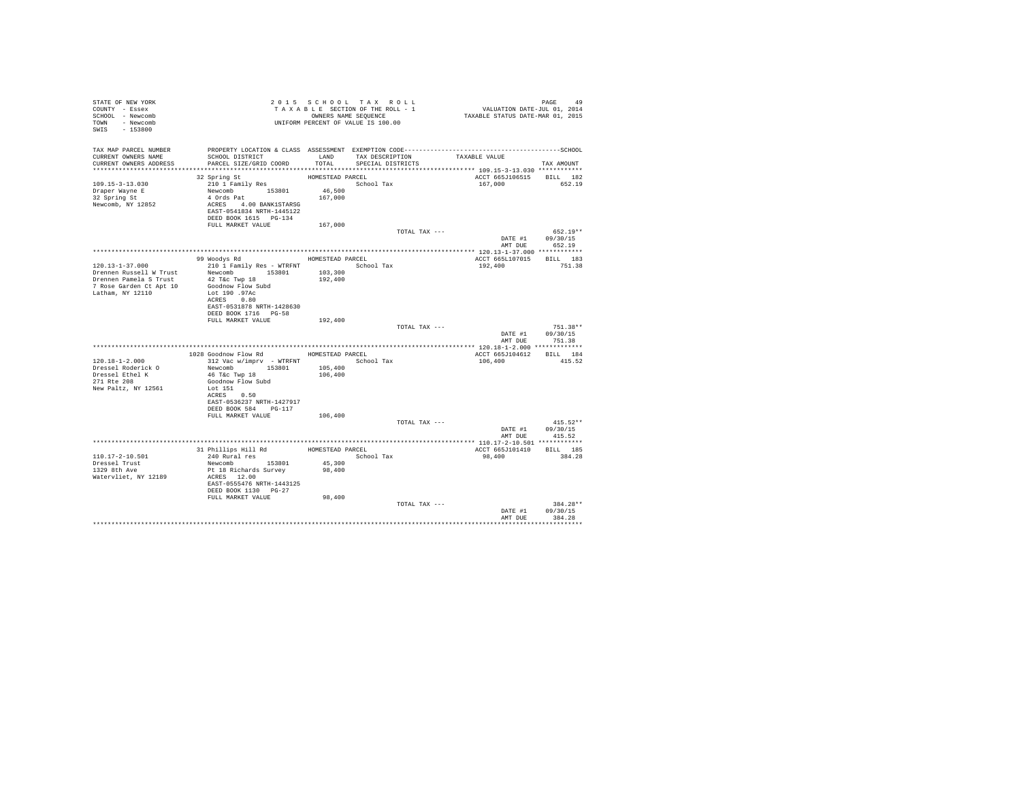| STATE OF NEW YORK<br>COUNTY - Essex<br>SCHOOL - Newcomb<br>TOWN - Newcomb<br>SWIS - 153800                                | TAXABLE SAME SEQUENCE<br>ONNERS NAME SEQUENCE<br>UNIFORM PERCENT OF VALUE IS 100.00                                                                                                    |                                        | 2015 SCHOOL TAX ROLL<br>TAXABLE SECTION OF THE ROLL - 1<br>OWNERS NAME SEQUENCE |               | PAGE 49<br>VALUATION DATE-JUL 01, 2014<br>TAXABLE STATUS DATE-MAR 01, 2015 |                                          |
|---------------------------------------------------------------------------------------------------------------------------|----------------------------------------------------------------------------------------------------------------------------------------------------------------------------------------|----------------------------------------|---------------------------------------------------------------------------------|---------------|----------------------------------------------------------------------------|------------------------------------------|
| TAX MAP PARCEL NUMBER<br>CURRENT OWNERS NAME<br>CURRENT OWNERS ADDRESS PARCEL SIZE/GRID COORD                             | PROPERTY LOCATION & CLASS ASSESSMENT EXEMPTION CODE-----------------------------------SCHOOL<br>SCHOOL DISTRICT                                                                        | TOTAL                                  | LAND TAX DESCRIPTION<br>SPECIAL DISTRICTS                                       |               | TAXABLE VALUE                                                              | TAX AMOUNT                               |
|                                                                                                                           |                                                                                                                                                                                        |                                        |                                                                                 |               |                                                                            |                                          |
| $109.15 - 3 - 13.030$<br>Draper Wayne E<br>32 Spring St<br>Newcomb, NY 12852                                              | 32 Spring St<br>210 1 Family Res<br>Newcomb 153801<br>4 Ords Pat<br>ACRES 4.00 BANK1STARSG<br>EAST-0541834 NRTH-1445122<br>DEED BOOK 1615 PG-134                                       | HOMESTEAD PARCEL<br>46,500<br>167,000  | School Tax                                                                      |               | ACCT 665J106515 BILL 182<br>167.000 652.19                                 |                                          |
|                                                                                                                           | FULL MARKET VALUE                                                                                                                                                                      | 167.000                                |                                                                                 |               |                                                                            |                                          |
|                                                                                                                           |                                                                                                                                                                                        |                                        |                                                                                 | TOTAL TAX --- | DATE #1 09/30/15                                                           | $652.19**$<br>AMT DUE 652.19             |
|                                                                                                                           |                                                                                                                                                                                        |                                        |                                                                                 |               |                                                                            |                                          |
| $120.13 - 1 - 37.000$<br>Drennen Russell W Trust<br>Drennen Pamela S Trust<br>7 Rose Garden Ct Apt 10<br>Latham, NY 12110 | 99 Woodys Rd<br>Newcomb 153801 103,300<br>42 T&c Twp 18 192,400<br>Goodnow Flow Subd<br>Lot 190 .97Ac<br>ACRES 0.80                                                                    | HOMESTEAD PARCEL                       |                                                                                 |               | ACCT 665L107015 BILL 183<br>192,400                                        | 751.38                                   |
|                                                                                                                           | EAST-0531878 NRTH-1428630<br>DEED BOOK 1716 PG-58<br>FULL MARKET VALUE                                                                                                                 | 192,400                                |                                                                                 | TOTAL TAX --- |                                                                            | $751.38**$                               |
|                                                                                                                           |                                                                                                                                                                                        |                                        |                                                                                 |               | DATE #1 09/30/15                                                           | AMT DUE 751.38                           |
|                                                                                                                           |                                                                                                                                                                                        |                                        |                                                                                 |               |                                                                            |                                          |
| $120.18 - 1 - 2.000$<br>Dressel Roderick O<br>Dressel Ethel K<br>271 Rte 208<br>New Paltz, NY 12561                       | 1028 Goodnow Flow Rd<br>312 Vac w/imprv - WTRFNT<br>Newcomb 153801<br>46 T&c Twp 18<br>Goodnow Flow Subd<br>Lot 151<br>ACRES 0.50<br>EAST-0536237 NRTH-1427917<br>DEED BOOK 584 PG-117 | HOMESTEAD PARCEL<br>105,400<br>106,400 | School Tax                                                                      |               | ACCT 665J104612 BILL 184<br>106,400                                        | 415.52                                   |
|                                                                                                                           | FULL MARKET VALUE 106,400                                                                                                                                                              |                                        |                                                                                 |               |                                                                            |                                          |
|                                                                                                                           |                                                                                                                                                                                        |                                        |                                                                                 | TOTAL TAX --- | AMT DUE                                                                    | $415.52**$<br>DATE #1 09/30/15<br>415.52 |
|                                                                                                                           |                                                                                                                                                                                        |                                        |                                                                                 |               |                                                                            |                                          |
| $110.17 - 2 - 10.501$<br>Dressel Trust<br>1329 8th Ave<br>Watervliet, NY 12189                                            | 31 Phillips Hill Rd MOMESTEAD PARCEL<br>$240$ Rural res<br>Newcomb 153801<br>Pt 18 Richards Survey<br>ACRES 12.00<br>EAST-0555476 NRTH-1443125<br>DEED BOOK 1130 PG-27                 | 45,300<br>98,400                       | School Tax                                                                      |               | ACCT 665J101410 BILL 185<br>98,400                                         | 384.28                                   |
|                                                                                                                           | FULL MARKET VALUE                                                                                                                                                                      | 98,400                                 |                                                                                 | TOTAL TAX --- | DATE #1 09/30/15<br>AMT DUE                                                | 384.28**<br>384.28<br>************       |
|                                                                                                                           |                                                                                                                                                                                        |                                        |                                                                                 |               |                                                                            |                                          |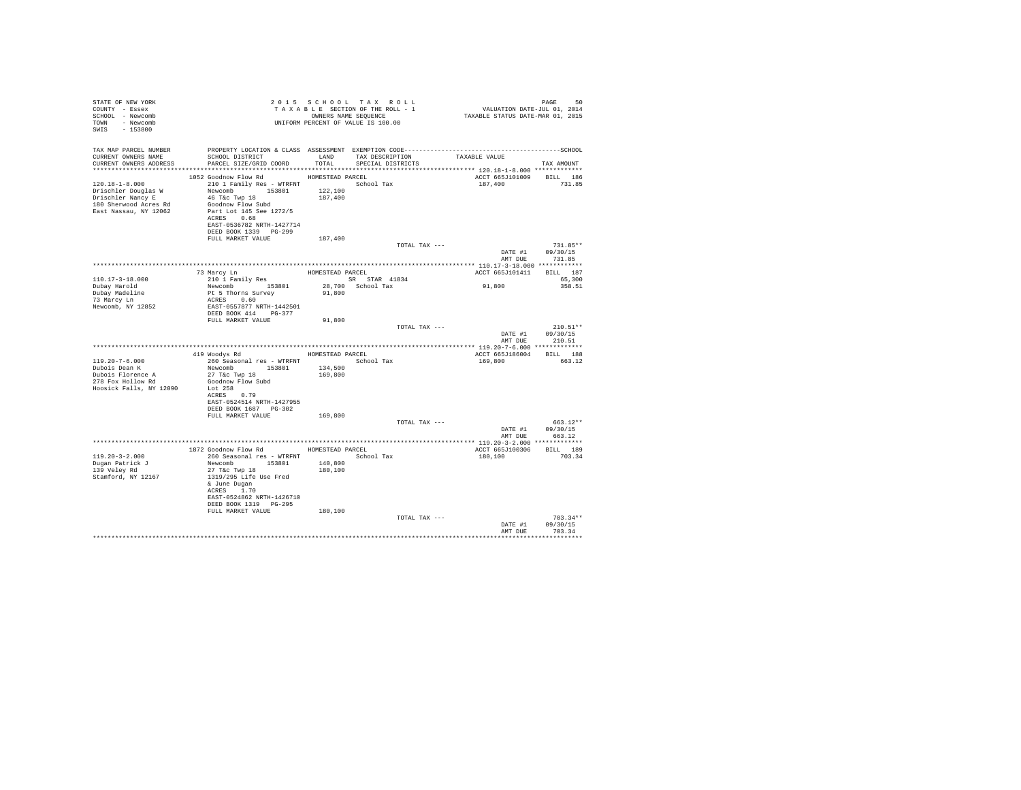| STATE OF NEW YORK<br>COUNTY - Essex<br>SCHOOL - Newcomb<br>TOWN - Newcomb<br>SWIS - 153800 |                                                                         |         | 2015 SCHOOL TAX ROLL<br>2015 SCHOOL TAX ROLL (2015 PAGE 50<br>TAXABLE SECTION OF THE ROLL - 1 VALUATION DATE-JUL 01, 2014<br>ONNERS NAME SEQUENCE (2014 TAXABLE STATUS DATE-MAR 01, 2015<br>OWNERS NAME SEQUENCE<br>UNIFORM PERCENT OF VALUE IS 100.00 |                          | PAGE<br>50         |  |
|--------------------------------------------------------------------------------------------|-------------------------------------------------------------------------|---------|--------------------------------------------------------------------------------------------------------------------------------------------------------------------------------------------------------------------------------------------------------|--------------------------|--------------------|--|
| TAX MAP PARCEL NUMBER                                                                      |                                                                         |         |                                                                                                                                                                                                                                                        |                          |                    |  |
| CURRENT OWNERS NAME<br>CURRENT OWNERS ADDRESS                                              | SCHOOL DISTRICT LAND TAX DESCRIPTION<br>PARCEL SIZE/GRID COORD          |         | TOTAL SPECIAL DISTRICTS                                                                                                                                                                                                                                | TAXABLE VALUE            | TAX AMOUNT         |  |
|                                                                                            |                                                                         |         |                                                                                                                                                                                                                                                        |                          |                    |  |
|                                                                                            | 1052 Goodnow Flow Rd MOMESTEAD PARCEL                                   |         |                                                                                                                                                                                                                                                        | ACCT 665J101009 BILL 186 |                    |  |
| $120.18 - 1 - 8.000$                                                                       | 210 1 Family Res - WTRFNT School Tax                                    |         |                                                                                                                                                                                                                                                        | 187,400                  | 731.85             |  |
| Drischler Douglas W                                                                        | Newcomb 153801                                                          | 122,100 |                                                                                                                                                                                                                                                        |                          |                    |  |
| Drischler Nancy E<br>180 Sherwood Acres Rd                                                 | 46 T&c Twp 18<br>Goodnow Flow Subd                                      | 187,400 |                                                                                                                                                                                                                                                        |                          |                    |  |
| East Nassau, NY 12062                                                                      | Part Lot 145 See 1272/5                                                 |         |                                                                                                                                                                                                                                                        |                          |                    |  |
|                                                                                            | ACRES 0.68                                                              |         |                                                                                                                                                                                                                                                        |                          |                    |  |
|                                                                                            | EAST-0536782 NRTH-1427714                                               |         |                                                                                                                                                                                                                                                        |                          |                    |  |
|                                                                                            | DEED BOOK 1339 PG-299                                                   |         |                                                                                                                                                                                                                                                        |                          |                    |  |
|                                                                                            | FULL MARKET VALUE                                                       | 187,400 | TOTAL TAX ---                                                                                                                                                                                                                                          |                          | $731.85**$         |  |
|                                                                                            |                                                                         |         |                                                                                                                                                                                                                                                        |                          | DATE #1 09/30/15   |  |
|                                                                                            |                                                                         |         |                                                                                                                                                                                                                                                        | AMT DUE                  | 731.85             |  |
|                                                                                            |                                                                         |         |                                                                                                                                                                                                                                                        |                          |                    |  |
|                                                                                            | 73 Marcy Ln<br>210 1 Family Res<br>310 1 Family Res<br>52 SR STAR 41834 |         |                                                                                                                                                                                                                                                        | ACCT 665J101411 BILL 187 |                    |  |
| $110.17 - 3 - 18.000$<br>Dubay Harold                                                      | Newcomb 153801                                                          |         | 28,700 School Tax                                                                                                                                                                                                                                      | 91,800                   | 65,300<br>358.51   |  |
| Dubay Madeline                                                                             | Pt 5 Thorns Survey                                                      | 91,800  |                                                                                                                                                                                                                                                        |                          |                    |  |
| 73 Marcy Ln                                                                                | ACRES 0.60                                                              |         |                                                                                                                                                                                                                                                        |                          |                    |  |
| Newcomb, NY 12852                                                                          | EAST-0557877 NRTH-1442501                                               |         |                                                                                                                                                                                                                                                        |                          |                    |  |
|                                                                                            | DEED BOOK 414 PG-377                                                    |         |                                                                                                                                                                                                                                                        |                          |                    |  |
|                                                                                            | FULL MARKET VALUE                                                       | 91,800  | TOTAL TAX ---                                                                                                                                                                                                                                          |                          | $210.51**$         |  |
|                                                                                            |                                                                         |         |                                                                                                                                                                                                                                                        | DATE #1                  | 09/30/15           |  |
|                                                                                            |                                                                         |         |                                                                                                                                                                                                                                                        |                          | AMT DUE 210.51     |  |
|                                                                                            |                                                                         |         |                                                                                                                                                                                                                                                        |                          |                    |  |
| $119.20 - 7 - 6.000$                                                                       | 419 Woodys Rd MOMESTEAD PARCEL                                          |         |                                                                                                                                                                                                                                                        | ACCT 665J186004 BILL 188 | 663.12             |  |
| Dubois Dean K                                                                              | 260 Seasonal res - WTRFNT<br>Newcomb 153801                             | 134,500 | School Tax                                                                                                                                                                                                                                             | 169,800                  |                    |  |
| Dubois Florence A                                                                          | 27 T&c Twp 18                                                           | 169,800 |                                                                                                                                                                                                                                                        |                          |                    |  |
| 278 Fox Hollow Rd                                                                          | Goodnow Flow Subd                                                       |         |                                                                                                                                                                                                                                                        |                          |                    |  |
| Hoosick Falls, NY 12090                                                                    | Lot 258                                                                 |         |                                                                                                                                                                                                                                                        |                          |                    |  |
|                                                                                            | ACRES 0.79<br>EAST-0524514 NRTH-1427955                                 |         |                                                                                                                                                                                                                                                        |                          |                    |  |
|                                                                                            | DEED BOOK 1687 PG-302                                                   |         |                                                                                                                                                                                                                                                        |                          |                    |  |
|                                                                                            | FULL MARKET VALUE                                                       | 169,800 |                                                                                                                                                                                                                                                        |                          |                    |  |
|                                                                                            |                                                                         |         | TOTAL TAX ---                                                                                                                                                                                                                                          |                          | 663.12**           |  |
|                                                                                            |                                                                         |         |                                                                                                                                                                                                                                                        |                          | DATE #1 09/30/15   |  |
|                                                                                            |                                                                         |         |                                                                                                                                                                                                                                                        | AMT DUE                  | 663.12             |  |
|                                                                                            | 1872 Goodnow Flow Rd MOMESTEAD PARCEL                                   |         |                                                                                                                                                                                                                                                        | ACCT 665J100306 BILL 189 |                    |  |
| $119.20 - 3 - 2.000$                                                                       | 260 Seasonal res - WTRFNT                                               |         | School Tax                                                                                                                                                                                                                                             | 180,100                  | 703.34             |  |
| Dugan Patrick J                                                                            | Newcomb 153801                                                          | 140,800 |                                                                                                                                                                                                                                                        |                          |                    |  |
| 139 Velev Rd                                                                               | 27 T&C Twp 18                                                           | 180,100 |                                                                                                                                                                                                                                                        |                          |                    |  |
| Stamford, NY 12167                                                                         | 1319/295 Life Use Fred<br>& June Dugan                                  |         |                                                                                                                                                                                                                                                        |                          |                    |  |
|                                                                                            | ACRES 1.70                                                              |         |                                                                                                                                                                                                                                                        |                          |                    |  |
|                                                                                            | EAST-0524862 NRTH-1426710                                               |         |                                                                                                                                                                                                                                                        |                          |                    |  |
|                                                                                            | DEED BOOK 1319 PG-295                                                   |         |                                                                                                                                                                                                                                                        |                          |                    |  |
|                                                                                            | FULL MARKET VALUE                                                       | 180,100 |                                                                                                                                                                                                                                                        |                          |                    |  |
|                                                                                            |                                                                         |         | TOTAL TAX ---                                                                                                                                                                                                                                          |                          | $703.34**$         |  |
|                                                                                            |                                                                         |         |                                                                                                                                                                                                                                                        | DATE #1<br>AMT DUE       | 09/30/15<br>703.34 |  |
|                                                                                            |                                                                         |         |                                                                                                                                                                                                                                                        |                          |                    |  |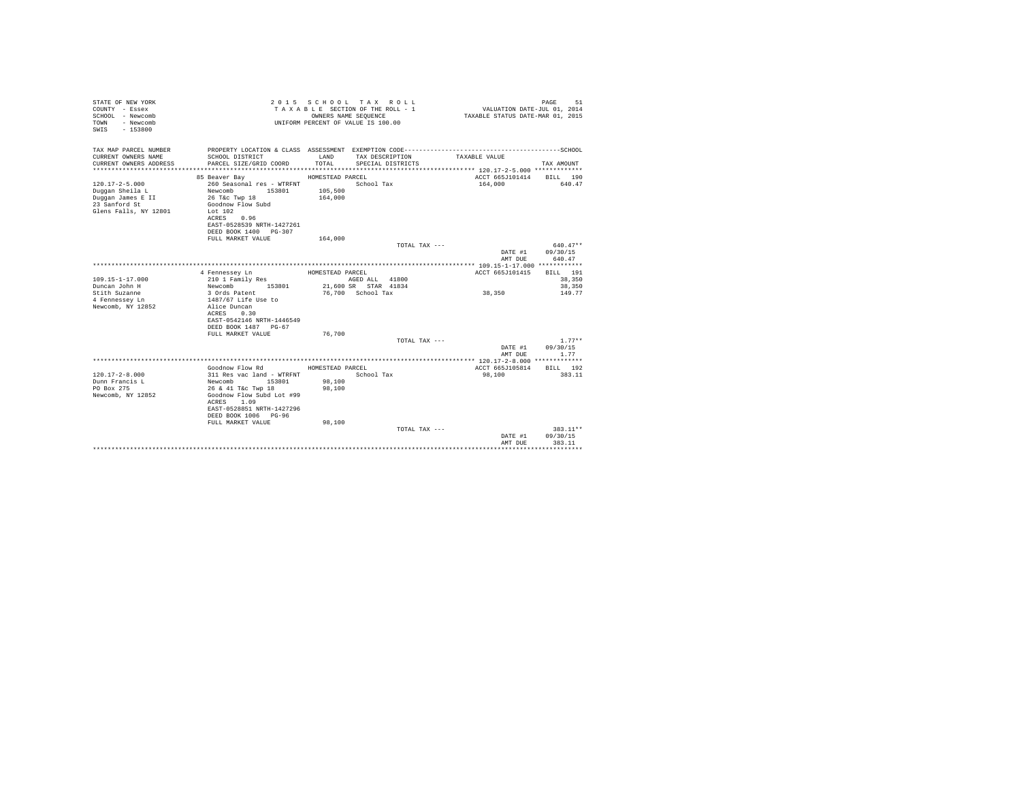| STATE OF NEW YORK<br>COUNTY - Essex<br>SCHOOL - Newcomb<br>TOWN<br>- Newcomb<br>$-153800$<br>SWIS      |                                                                                                                                                                                                             |                                                   | 2015 SCHOOL TAX ROLL<br>TAXABLE SECTION OF THE ROLL - 1<br>OWNERS NAME SEOUENCE<br>UNIFORM PERCENT OF VALUE IS 100.00 | VALUATION DATE-JUL 01, 2014<br>TAXABLE STATUS DATE-MAR 01, 2015 | PAGE<br>51                             |
|--------------------------------------------------------------------------------------------------------|-------------------------------------------------------------------------------------------------------------------------------------------------------------------------------------------------------------|---------------------------------------------------|-----------------------------------------------------------------------------------------------------------------------|-----------------------------------------------------------------|----------------------------------------|
| TAX MAP PARCEL NUMBER<br>CURRENT OWNERS NAME<br>CURRENT OWNERS ADDRESS<br>************************     | PROPERTY LOCATION & CLASS ASSESSMENT EXEMPTION CODE---------------<br>SCHOOL DISTRICT<br>PARCEL SIZE/GRID COORD                                                                                             | LAND<br>TOTAL.                                    | TAX DESCRIPTION<br>SPECIAL DISTRICTS                                                                                  | TAXABLE VALUE                                                   | -------------SCHOOL<br>TAX AMOUNT      |
|                                                                                                        |                                                                                                                                                                                                             |                                                   |                                                                                                                       |                                                                 |                                        |
| $120.17 - 2 - 5.000$<br>Duggan Sheila L<br>Duggan James E II<br>23 Sanford St<br>Glens Falls, NY 12801 | 85 Beaver Bay<br>260 Seasonal res - WTRFNT<br>Newcomb<br>153801<br>26 T&C Twp 18<br>Goodnow Flow Subd<br>Lot $102$<br>ACRES 0.96<br>EAST-0528539 NRTH-1427261<br>DEED BOOK 1400 PG-307<br>FULL MARKET VALUE | HOMESTEAD PARCEL<br>105,500<br>164,000<br>164,000 | School Tax                                                                                                            | ACCT 665J101414<br>164,000                                      | BILL 190<br>640.47                     |
|                                                                                                        |                                                                                                                                                                                                             |                                                   | TOTAL TAX ---                                                                                                         |                                                                 | $640.47**$                             |
|                                                                                                        |                                                                                                                                                                                                             |                                                   |                                                                                                                       | DATE #1<br>AMT DUE                                              | 09/30/15<br>640.47                     |
|                                                                                                        |                                                                                                                                                                                                             |                                                   |                                                                                                                       |                                                                 |                                        |
| $109.15 - 1 - 17.000$<br>Duncan John H<br>Stith Suzanne<br>4 Fennessev Ln<br>Newcomb, NY 12852         | 4 Fennessev Ln<br>210 1 Family Res<br>Newcomb<br>153801<br>3 Ords Patent<br>1487/67 Life Use to<br>Alice Duncan<br>ACRES<br>0.30                                                                            | HOMESTEAD PARCEL                                  | AGED ALL 41800<br>21,600 SR STAR 41834<br>76,700 School Tax                                                           | ACCT 665J101415<br>38,350                                       | BILL 191<br>38,350<br>38,350<br>149.77 |
|                                                                                                        | EAST-0542146 NRTH-1446549<br>DEED BOOK 1487 PG-67<br>FULL MARKET VALUE                                                                                                                                      | 76,700                                            | TOTAL TAX ---                                                                                                         |                                                                 | $1.77**$                               |
|                                                                                                        |                                                                                                                                                                                                             |                                                   |                                                                                                                       | DATE #1<br>AMT DUE                                              | 09/30/15<br>1.77                       |
|                                                                                                        |                                                                                                                                                                                                             |                                                   |                                                                                                                       |                                                                 |                                        |
| $120.17 - 2 - 8.000$<br>Dunn Francis L<br>PO Box 275<br>Newcomb, NY 12852                              | Goodnow Flow Rd<br>311 Res vac land - WTRFNT<br>153801<br>Newcomb<br>26 & 41 T&c Twp 18<br>Goodnow Flow Subd Lot #99<br>ACRES 1.09<br>EAST-0528851 NRTH-1427296<br>DEED BOOK 1006 PG-96                     | HOMESTEAD PARCEL<br>98,100<br>98,100              | School Tax                                                                                                            | ACCT 665J105814<br>98,100                                       | BILL 192<br>383.11                     |
|                                                                                                        | FULL MARKET VALUE                                                                                                                                                                                           | 98,100                                            | TOTAL TAX ---                                                                                                         | DATE #1<br>AMT DUE                                              | 383.11**<br>09/30/15<br>383.11         |
|                                                                                                        |                                                                                                                                                                                                             |                                                   |                                                                                                                       |                                                                 |                                        |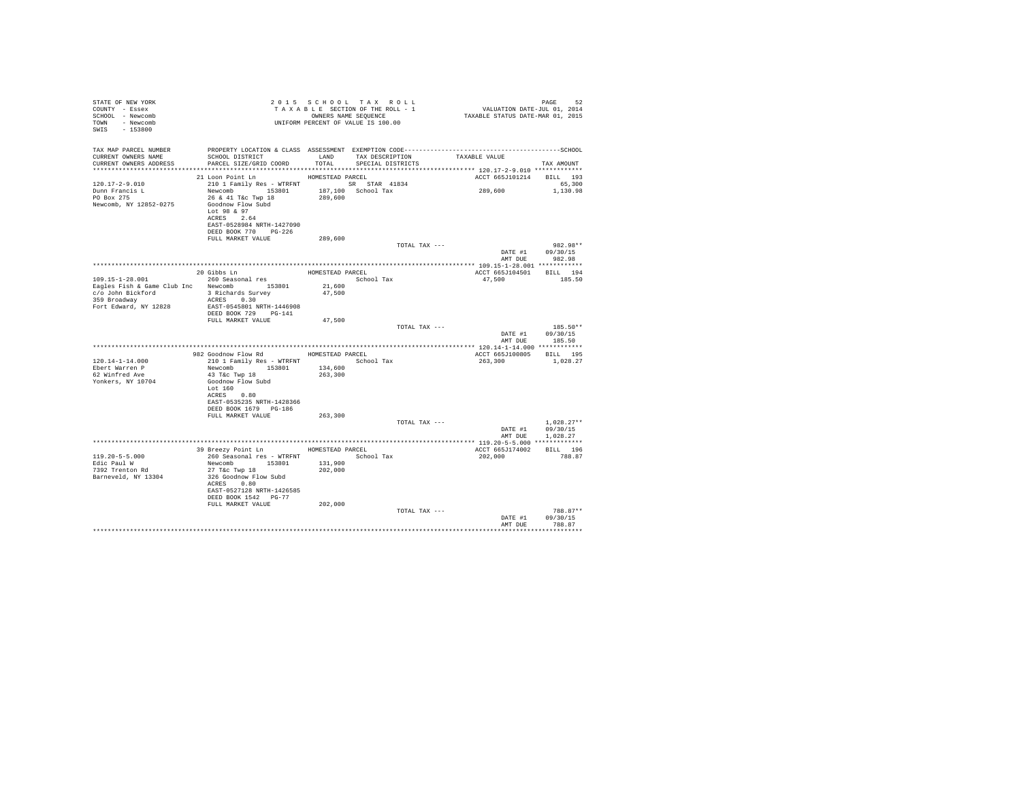| STATE OF NEW YORK<br>COUNTY - Essex<br>SCHOOL - Newcomb<br>TOWN - Newcomb<br>SWIS - 153800 |                                                                                      |                  | 2015 SCHOOL TAX ROLL<br>UNIFORM PERCENT OF VALUE IS 100.00 | 2015 SCHOOL TAX ROLL<br>TAXABLE SECTION OF THE ROLL - 1<br>TAXABLE STATIS ONNERS NAME SEQUENCE - 1<br>TAXABLE STATUS DATE-MAR 01, 2015 | PAGE<br>52                 |
|--------------------------------------------------------------------------------------------|--------------------------------------------------------------------------------------|------------------|------------------------------------------------------------|----------------------------------------------------------------------------------------------------------------------------------------|----------------------------|
| TAX MAP PARCEL NUMBER<br>CURRENT OWNERS NAME                                               | SCHOOL DISTRICT TAND TAX DESCRIPTION                                                 |                  |                                                            | TAXABLE VALUE                                                                                                                          |                            |
| CURRENT OWNERS ADDRESS                                                                     | PARCEL SIZE/GRID COORD TOTAL                                                         |                  | SPECIAL DISTRICTS                                          |                                                                                                                                        | TAX AMOUNT                 |
|                                                                                            | 21 Loon Point Ln MOMESTEAD PARCEL                                                    |                  |                                                            | ACCT 665J101214 BILL 193                                                                                                               |                            |
| 120.17-2-9.010                                                                             | 210 1 Family Res - WTRFNT SR STAR 41834                                              |                  |                                                            |                                                                                                                                        | 65,300                     |
| Dunn Francis L                                                                             |                                                                                      |                  |                                                            | 289,600                                                                                                                                | 1,130.98                   |
| PO Box 275<br>Newcomb, NY 12852-0275                                                       | Newcomb 153801 187,100 School Tax<br>26 & 41 T&c Twp 18 289,600<br>Goodnow Flow Subd |                  |                                                            |                                                                                                                                        |                            |
|                                                                                            | Lot 98 & 97<br>ACRES 2.64                                                            |                  |                                                            |                                                                                                                                        |                            |
|                                                                                            | EAST-0528984 NRTH-1427090<br>DEED BOOK 770 PG-226<br>FULL MARKET VALUE               | 289,600          |                                                            |                                                                                                                                        |                            |
|                                                                                            |                                                                                      |                  | TOTAL TAX ---                                              |                                                                                                                                        | 982.98**                   |
|                                                                                            |                                                                                      |                  |                                                            |                                                                                                                                        | DATE #1 09/30/15           |
|                                                                                            |                                                                                      |                  |                                                            |                                                                                                                                        | AMT DUE 982.98             |
|                                                                                            |                                                                                      |                  |                                                            |                                                                                                                                        |                            |
|                                                                                            |                                                                                      |                  |                                                            | ACCT 665J104501 BILL 194                                                                                                               |                            |
| 109.15-1-28.001                                                                            |                                                                                      |                  |                                                            | 47,500                                                                                                                                 | 185.50                     |
|                                                                                            | Eagles Fish & Game Club Inc Newcomb 153801<br>c/o John Bickford 3 Richards Survey    | 21,600<br>47,500 |                                                            |                                                                                                                                        |                            |
| 359 Broadway                                                                               | ACRES 0.30                                                                           |                  |                                                            |                                                                                                                                        |                            |
| Fort Edward, NY 12828                                                                      | EAST-0545801 NRTH-1446908                                                            |                  |                                                            |                                                                                                                                        |                            |
|                                                                                            | DEED BOOK 729 PG-141                                                                 |                  |                                                            |                                                                                                                                        |                            |
|                                                                                            | FULL MARKET VALUE                                                                    | 47,500           |                                                            |                                                                                                                                        |                            |
|                                                                                            |                                                                                      |                  | TOTAL TAX ---                                              |                                                                                                                                        | 185.50**                   |
|                                                                                            |                                                                                      |                  |                                                            | AMT DUE                                                                                                                                | DATE #1 09/30/15<br>185.50 |
|                                                                                            |                                                                                      |                  |                                                            |                                                                                                                                        |                            |
|                                                                                            | 982 Goodnow Flow Rd MOMESTEAD PARCEL                                                 |                  |                                                            | ACCT 665J100805 BILL 195                                                                                                               |                            |
| $120.14 - 1 - 14.000$                                                                      | 210 1 Family Res - WTRFNT School Tax                                                 |                  |                                                            | 263,300                                                                                                                                | 1,028.27                   |
| Ebert Warren P                                                                             | Newcomb 153801 134,600                                                               |                  |                                                            |                                                                                                                                        |                            |
| 62 Winfred Ave                                                                             | 43 T&C Twp 18                                                                        | 263,300          |                                                            |                                                                                                                                        |                            |
| Yonkers, NY 10704                                                                          | Goodnow Flow Subd                                                                    |                  |                                                            |                                                                                                                                        |                            |
|                                                                                            | Lot 160<br>ACRES 0.80                                                                |                  |                                                            |                                                                                                                                        |                            |
|                                                                                            | EAST-0535235 NRTH-1428366                                                            |                  |                                                            |                                                                                                                                        |                            |
|                                                                                            | DEED BOOK 1679 PG-186                                                                |                  |                                                            |                                                                                                                                        |                            |
|                                                                                            | FULL MARKET VALUE                                                                    | 263,300          |                                                            |                                                                                                                                        |                            |
|                                                                                            |                                                                                      |                  | TOTAL TAX ---                                              |                                                                                                                                        | $1.028.27**$               |
|                                                                                            |                                                                                      |                  |                                                            | DATE #1                                                                                                                                | 09/30/15                   |
|                                                                                            |                                                                                      |                  |                                                            | AMT DUE                                                                                                                                | 1.028.27                   |
|                                                                                            | 39 Breezy Point Ln HOMESTEAD PARCEL                                                  |                  |                                                            | ACCT 665J174002 BILL 196                                                                                                               |                            |
| $119.20 - 5 - 5.000$                                                                       | 260 Seasonal res - WTRFNT School Tax                                                 |                  |                                                            | 202,000                                                                                                                                | 788.87                     |
| Edic Paul W                                                                                | Newcomb 153801 131,900                                                               |                  |                                                            |                                                                                                                                        |                            |
| 7392 Trenton Rd                                                                            | 27 T&C Twp 18                                                                        | 202,000          |                                                            |                                                                                                                                        |                            |
| Barneveld, NY 13304                                                                        | 326 Goodnow Flow Subd                                                                |                  |                                                            |                                                                                                                                        |                            |
|                                                                                            | ACRES 0.80                                                                           |                  |                                                            |                                                                                                                                        |                            |
|                                                                                            | EAST-0527128 NRTH-1426585<br>DEED BOOK 1542 PG-77                                    |                  |                                                            |                                                                                                                                        |                            |
|                                                                                            | FULL MARKET VALUE                                                                    | 202,000          |                                                            |                                                                                                                                        |                            |
|                                                                                            |                                                                                      |                  | TOTAL TAX ---                                              |                                                                                                                                        | 788.87**                   |
|                                                                                            |                                                                                      |                  |                                                            | DATE #1                                                                                                                                | 09/30/15                   |
|                                                                                            |                                                                                      |                  |                                                            | AMT DUE                                                                                                                                | 788.87                     |
|                                                                                            |                                                                                      |                  |                                                            |                                                                                                                                        | .                          |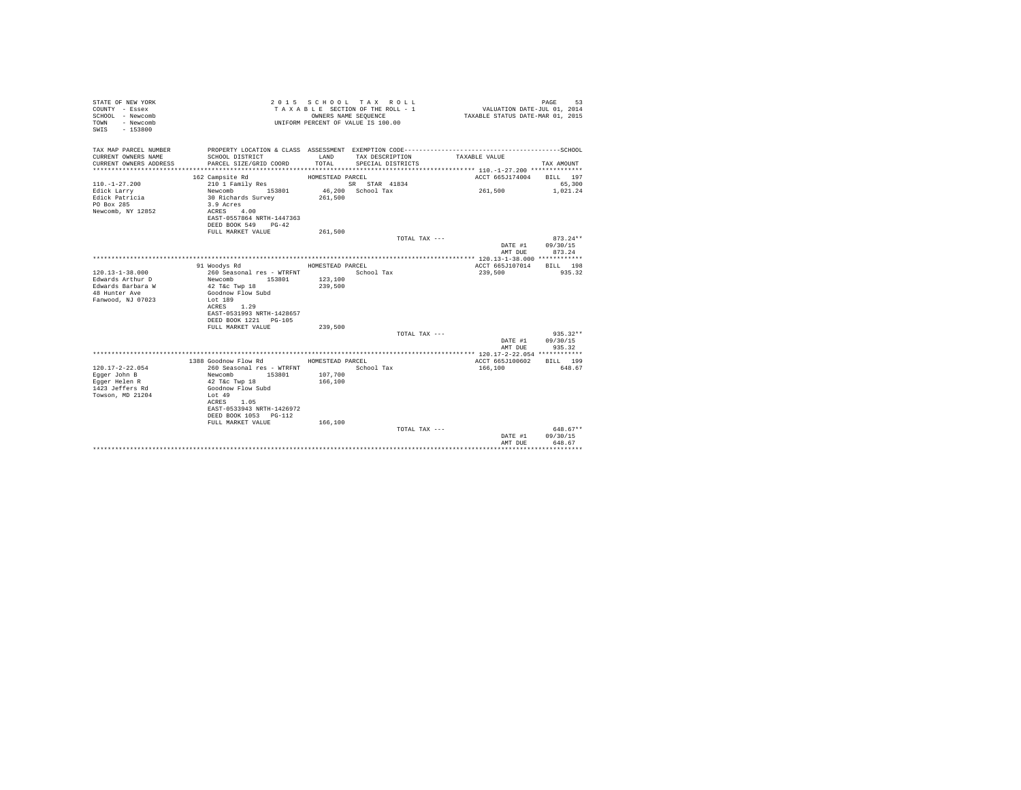| STATE OF NEW YORK<br>COUNTY - Essex<br>SCHOOL - Newcomb<br>- Newcomb<br>TOWN<br>$-153800$<br>SWIS |                                                                                              | OWNERS NAME SEOUENCE | 2015 SCHOOL TAX ROLL<br>TAXABLE SECTION OF THE ROLL - 1<br>UNIFORM PERCENT OF VALUE IS 100.00 | VALUATION DATE-JUL 01, 2014<br>TAXABLE STATUS DATE-MAR 01, 2015 | 53<br>PAGE                       |
|---------------------------------------------------------------------------------------------------|----------------------------------------------------------------------------------------------|----------------------|-----------------------------------------------------------------------------------------------|-----------------------------------------------------------------|----------------------------------|
| TAX MAP PARCEL NUMBER<br>CURRENT OWNERS NAME                                                      | SCHOOL DISTRICT                                                                              | LAND                 | TAX DESCRIPTION                                                                               | TAXABLE VALUE                                                   |                                  |
| CURRENT OWNERS ADDRESS                                                                            | PARCEL SIZE/GRID COORD                                                                       | TOTAL                | SPECIAL DISTRICTS                                                                             |                                                                 | TAX AMOUNT                       |
|                                                                                                   |                                                                                              |                      |                                                                                               |                                                                 |                                  |
|                                                                                                   | 162 Campsite Rd                                                                              | HOMESTEAD PARCEL     |                                                                                               | ACCT 665J174004                                                 | BILL 197                         |
| $110. - 1 - 27.200$                                                                               | 210 1 Family Res                                                                             |                      | SR STAR 41834                                                                                 |                                                                 | 65,300                           |
| Edick Larry<br>Edick Patricia<br>PO Box 285<br>Newcomb, NY 12852                                  | Newcomb 153801<br>30 Richards Survey<br>3.9 Acres<br>ACRES 4.00<br>EAST-0557864 NRTH-1447363 | 261,500              | 46.200 School Tax                                                                             | 261,500                                                         | 1.021.24                         |
|                                                                                                   | DEED BOOK 549 PG-42                                                                          |                      |                                                                                               |                                                                 |                                  |
|                                                                                                   | FULL MARKET VALUE                                                                            | 261,500              |                                                                                               |                                                                 |                                  |
|                                                                                                   |                                                                                              |                      | TOTAL TAX ---                                                                                 | DATE #1<br>AMT DUE                                              | $873.24**$<br>09/30/15<br>873.24 |
|                                                                                                   |                                                                                              |                      |                                                                                               |                                                                 |                                  |
|                                                                                                   | 91 Woodys Rd                                                                                 | HOMESTEAD PARCEL     |                                                                                               | ACCT 665J107014                                                 | BILL 198                         |
| $120.13 - 1 - 38.000$                                                                             | 260 Seasonal res - WTRFNT                                                                    |                      | School Tax                                                                                    | 239,500                                                         | 935.32                           |
| Edwards Arthur D                                                                                  | Newcomb<br>153801                                                                            | 123,100              |                                                                                               |                                                                 |                                  |
| Edwards Barbara W<br>48 Hunter Ave                                                                | 42 T&c Twp 18<br>Goodnow Flow Subd                                                           | 239,500              |                                                                                               |                                                                 |                                  |
| Fanwood, NJ 07023                                                                                 | Lot 189<br>1.29<br>ACRES                                                                     |                      |                                                                                               |                                                                 |                                  |
|                                                                                                   | EAST-0531993 NRTH-1428657                                                                    |                      |                                                                                               |                                                                 |                                  |
|                                                                                                   | DEED BOOK 1221 PG-105                                                                        |                      |                                                                                               |                                                                 |                                  |
|                                                                                                   | FULL MARKET VALUE                                                                            | 239,500              |                                                                                               |                                                                 |                                  |
|                                                                                                   |                                                                                              |                      | TOTAL TAX ---                                                                                 |                                                                 | $935.32**$                       |
|                                                                                                   |                                                                                              |                      |                                                                                               | DATE #1<br>AMT DUE                                              | 09/30/15<br>935.32               |
|                                                                                                   |                                                                                              |                      |                                                                                               |                                                                 |                                  |
|                                                                                                   | 1388 Goodnow Flow Rd                                                                         | HOMESTEAD PARCEL     |                                                                                               | ACCT 665J100602                                                 | BILL 199                         |
| $120.17 - 2 - 22.054$                                                                             | 260 Seasonal res - WTRFNT                                                                    |                      | School Tax                                                                                    | 166,100                                                         | 648.67                           |
| Egger John B                                                                                      | Newcomb<br>153801                                                                            | 107,700              |                                                                                               |                                                                 |                                  |
| Eqqer Helen R                                                                                     | 42 T&c Twp 18                                                                                | 166,100              |                                                                                               |                                                                 |                                  |
| 1423 Jeffers Rd                                                                                   | Goodnow Flow Subd                                                                            |                      |                                                                                               |                                                                 |                                  |
| Towson, MD 21204                                                                                  | Lot 49<br>ACRES 1.05                                                                         |                      |                                                                                               |                                                                 |                                  |
|                                                                                                   | EAST-0533943 NRTH-1426972                                                                    |                      |                                                                                               |                                                                 |                                  |
|                                                                                                   | DEED BOOK 1053 PG-112                                                                        |                      |                                                                                               |                                                                 |                                  |
|                                                                                                   | FULL MARKET VALUE                                                                            | 166,100              |                                                                                               |                                                                 |                                  |
|                                                                                                   |                                                                                              |                      | TOTAL TAX ---                                                                                 |                                                                 | $648.67**$                       |
|                                                                                                   |                                                                                              |                      |                                                                                               | DATE #1                                                         | 09/30/15                         |
|                                                                                                   |                                                                                              |                      |                                                                                               | AMT DUE                                                         | 648.67                           |
|                                                                                                   |                                                                                              |                      |                                                                                               |                                                                 | .                                |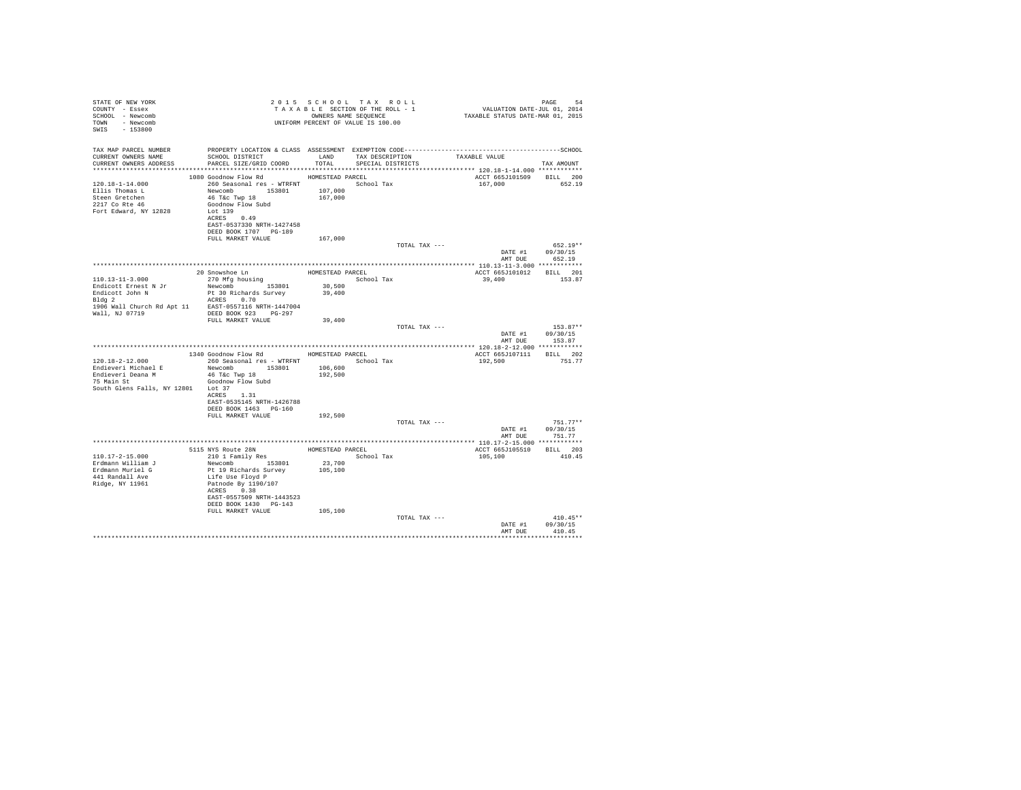| STATE OF NEW YORK<br>COUNTY - Essex<br>SCHOOL - Newcomb<br>TOWN - Newcomb<br>SWIS - 153800                            |                                                                                                                                                                                                                   |                    | 2015 SCHOOL TAX ROLL<br>UNIFORM PERCENT OF VALUE IS 100.00 |               |                                     | PAGE<br>-54                                      |
|-----------------------------------------------------------------------------------------------------------------------|-------------------------------------------------------------------------------------------------------------------------------------------------------------------------------------------------------------------|--------------------|------------------------------------------------------------|---------------|-------------------------------------|--------------------------------------------------|
| TAX MAP PARCEL NUMBER<br>CURRENT OWNERS NAME<br>CURRENT OWNERS ADDRESS                                                | SCHOOL DISTRICT<br>LAND TAX DESCRIPTION<br>PARCEL SIZE/GRID COORD TOTAL                                                                                                                                           |                    | SPECIAL DISTRICTS                                          |               | TAXABLE VALUE                       | TAX AMOUNT                                       |
| $120.18 - 1 - 14.000$<br>Ellis Thomas L<br>Steen Gretchen<br>2217 Co Rte 46<br>Fort Edward, NY 12828                  | 1080 Goodnow Flow Rd MOMESTEAD PARCEL<br>260 Seasonal res - WTRFNT<br>Newcomb 153801 107,000<br>46 T&C Twp 18<br>Goodnow Flow Subd<br>Lot 139<br>ACRES 0.49<br>EAST-0537330 NRTH-1427458<br>DEED BOOK 1707 PG-189 | 167,000            | School Tax                                                 |               | ACCT 665J101509 BILL 200<br>167,000 | 652.19                                           |
|                                                                                                                       | FULL MARKET VALUE                                                                                                                                                                                                 | 167,000            |                                                            | TOTAL TAX --- |                                     | $652.19**$                                       |
|                                                                                                                       |                                                                                                                                                                                                                   |                    |                                                            |               |                                     | DATE #1 09/30/15                                 |
|                                                                                                                       |                                                                                                                                                                                                                   |                    |                                                            |               | AMT DUE                             | 652.19                                           |
|                                                                                                                       | 20 Snowshoe Ln HOMESTEAD PARCEL                                                                                                                                                                                   |                    |                                                            |               | ACCT 665J101012 BILL 201            |                                                  |
| 110.13-11-3.000                                                                                                       | 270 Mfg housing                                                                                                                                                                                                   |                    | School Tax                                                 |               | 39,400                              | 153.87                                           |
| Endicott Ernest N Jr                                                                                                  | Newcomb 153801 30,500<br>Pt 30 Richards Survey 39,400                                                                                                                                                             |                    |                                                            |               |                                     |                                                  |
| Endicott John N<br>Bldg 2                                                                                             | ACRES 0.70                                                                                                                                                                                                        |                    |                                                            |               |                                     |                                                  |
|                                                                                                                       | FULL MARKET VALUE                                                                                                                                                                                                 | 39,400             |                                                            |               |                                     |                                                  |
|                                                                                                                       |                                                                                                                                                                                                                   |                    |                                                            | TOTAL TAX --- | DATE #1                             | $153.87**$<br>09/30/15<br>AMT DUE 153.87         |
|                                                                                                                       |                                                                                                                                                                                                                   |                    |                                                            |               |                                     |                                                  |
|                                                                                                                       | 1340 Goodnow Flow Rd MOMESTEAD PARCEL                                                                                                                                                                             |                    |                                                            |               | ACCT 665J107111 BILL 202            |                                                  |
| $120.18 - 2 - 12.000$<br>Endieveri Michael E<br>Endieveri Deana M<br>75 Main St<br>South Glens Falls, NY 12801 Lot 37 | 260 Seasonal res - WTRFNT<br>Newcomb 153801<br>46 T&C Twp 18<br>Goodnow Flow Subd<br>ACRES 1.31<br>EAST-0535145 NRTH-1426788                                                                                      | 106,600<br>192,500 | School Tax                                                 |               | 192,500                             | 751.77                                           |
|                                                                                                                       | DEED BOOK 1463 PG-160                                                                                                                                                                                             |                    |                                                            |               |                                     |                                                  |
|                                                                                                                       | FULL MARKET VALUE                                                                                                                                                                                                 | 192,500            |                                                            | TOTAL TAX --- |                                     | $751.77**$<br>DATE #1 09/30/15<br>AMT DUE 751.77 |
|                                                                                                                       |                                                                                                                                                                                                                   |                    |                                                            |               |                                     |                                                  |
| $110.17 - 2 - 15.000$<br>Erdmann William J                                                                            | 5115 NYS Route 28N<br>210 1 Family Res<br>Newcomb 153801                                                                                                                                                          | 23,700             | HOMESTEAD PARCEL<br>School Tax                             |               | ACCT 665J105510 BILL 203<br>105,100 | 410.45                                           |
| Erdmann Muriel G<br>441 Randall Ave<br>Ridge, NY 11961                                                                | Pt 19 Richards Survey<br>Life Use Floyd P<br>Patnode By 1190/107<br>ACRES 0.38<br>EAST-0557509 NRTH-1443523<br>DEED BOOK 1430 PG-143                                                                              | 105,100            |                                                            |               |                                     |                                                  |
|                                                                                                                       | FULL MARKET VALUE                                                                                                                                                                                                 | 105,100            |                                                            | TOTAL TAX --- |                                     | $410.45**$                                       |
|                                                                                                                       |                                                                                                                                                                                                                   |                    |                                                            |               | DATE #1<br>AMT DUE                  | 09/30/15<br>410.45                               |
|                                                                                                                       |                                                                                                                                                                                                                   |                    |                                                            |               |                                     |                                                  |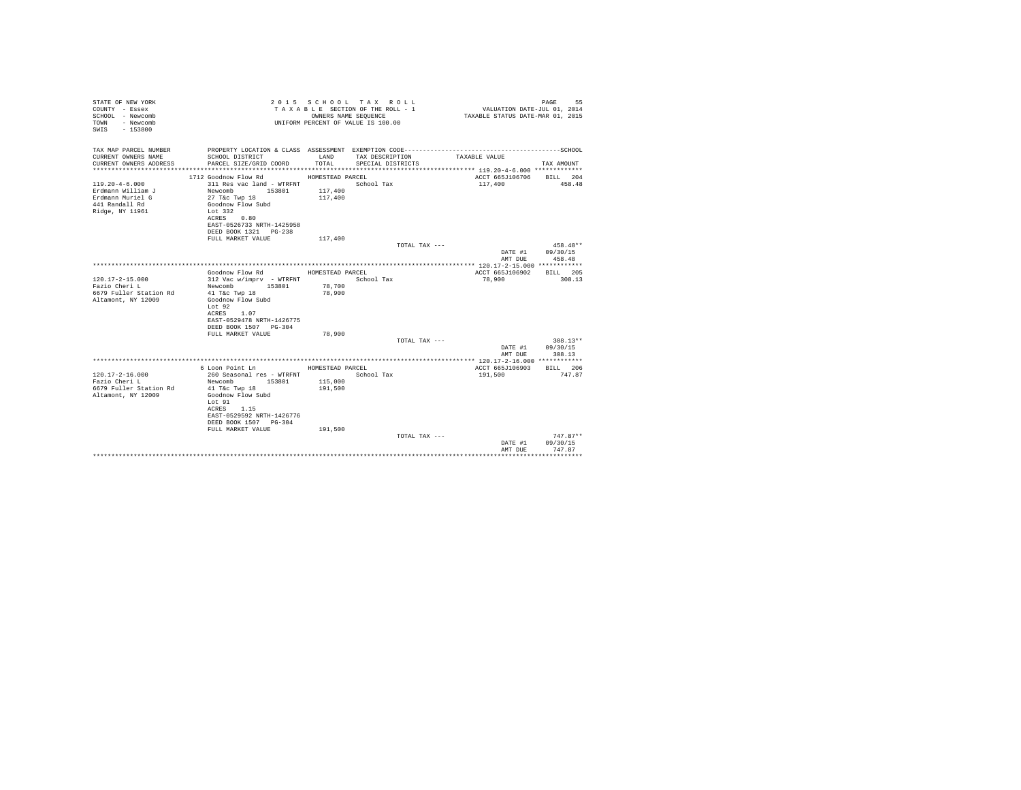| STATE OF NEW YORK<br>COUNTY - Essex<br>SCHOOL - Newcomb<br>- Newcomb<br>TOWN<br>$-153800$<br>SWIS  |                                                                                                                                                                                         | OWNERS NAME SEQUENCE          | 2015 SCHOOL TAX ROLL<br>TAXABLE SECTION OF THE ROLL - 1<br>UNIFORM PERCENT OF VALUE IS 100.00 | VALUATION DATE-JUL 01, 2014<br>TAXABLE STATUS DATE-MAR 01, 2015 | PAGE<br>55 |
|----------------------------------------------------------------------------------------------------|-----------------------------------------------------------------------------------------------------------------------------------------------------------------------------------------|-------------------------------|-----------------------------------------------------------------------------------------------|-----------------------------------------------------------------|------------|
| TAX MAP PARCEL NUMBER<br>CURRENT OWNERS NAME                                                       | SCHOOL DISTRICT                                                                                                                                                                         | LAND                          | TAX DESCRIPTION                                                                               | TAXABLE VALUE                                                   |            |
| CURRENT OWNERS ADDRESS                                                                             | PARCEL SIZE/GRID COORD                                                                                                                                                                  | TOTAL                         | SPECIAL DISTRICTS                                                                             |                                                                 | TAX AMOUNT |
|                                                                                                    | 1712 Goodnow Flow Rd                                                                                                                                                                    | HOMESTEAD PARCEL              |                                                                                               | ACCT 665J106706                                                 | BILL 204   |
| $119.20 - 4 - 6.000$<br>Erdmann William J<br>Erdmann Muriel G<br>441 Randall Rd<br>Ridge, NY 11961 | 311 Res vac land - WTRFNT<br>Newcomb<br>153801<br>27 T&c Twp 18<br>Goodnow Flow Subd<br>Lot 332<br>0.80<br>ACRES<br>EAST-0526733 NRTH-1425958                                           | 117,400<br>117,400            | School Tax                                                                                    | 117,400                                                         | 458.48     |
|                                                                                                    | DEED BOOK 1321 PG-238                                                                                                                                                                   |                               |                                                                                               |                                                                 |            |
|                                                                                                    | FULL MARKET VALUE                                                                                                                                                                       | 117,400                       |                                                                                               |                                                                 |            |
|                                                                                                    |                                                                                                                                                                                         |                               | $TOTAI. TAX - - -$                                                                            |                                                                 | $458.48**$ |
|                                                                                                    |                                                                                                                                                                                         |                               |                                                                                               | DATE #1                                                         | 09/30/15   |
|                                                                                                    |                                                                                                                                                                                         |                               |                                                                                               | AMT DUE                                                         | 458.48     |
|                                                                                                    |                                                                                                                                                                                         |                               |                                                                                               |                                                                 |            |
|                                                                                                    | Goodnow Flow Rd                                                                                                                                                                         | HOMESTEAD PARCEL              |                                                                                               | ACCT 665J106902                                                 | BILL 205   |
| $120.17 - 2 - 15.000$<br>Fazio Cheri L<br>6679 Fuller Station Rd<br>Altamont, NY 12009             | 312 Vac w/imprv - WTRFNT<br>153801<br>Newcomb<br>41 T&c Twp 18<br>Goodnow Flow Subd<br>Lot 92<br>ACRES<br>1.07<br>EAST-0529478 NRTH-1426775<br>DEED BOOK 1507 PG-304                    | 78,700<br>78,900              | School Tax                                                                                    | 78,900                                                          | 308.13     |
|                                                                                                    | FULL MARKET VALUE                                                                                                                                                                       | 78,900                        |                                                                                               |                                                                 |            |
|                                                                                                    |                                                                                                                                                                                         |                               | TOTAL TAX ---                                                                                 |                                                                 | $308.13**$ |
|                                                                                                    |                                                                                                                                                                                         |                               |                                                                                               | DATE #1                                                         | 09/30/15   |
|                                                                                                    |                                                                                                                                                                                         |                               |                                                                                               | AMT DUE                                                         | 308.13     |
|                                                                                                    | 6 Loon Point Ln                                                                                                                                                                         | HOMESTEAD PARCEL              |                                                                                               | ACCT 665J106903                                                 | BILL 206   |
| $120.17 - 2 - 16.000$<br>Fazio Cheri L<br>6679 Fuller Station Rd<br>Altamont, NY 12009             | 260 Seasonal res - WTRFNT<br>Newcomb<br>153801<br>41 T&c Twp 18<br>Goodnow Flow Subd<br>Lot 91<br>ACRES 1.15<br>EAST-0529592 NRTH-1426776<br>DEED BOOK 1507 PG-304<br>FULL MARKET VALUE | 115,000<br>191,500<br>191,500 | School Tax                                                                                    | 191,500                                                         | 747.87     |
|                                                                                                    |                                                                                                                                                                                         |                               | TOTAL TAX ---                                                                                 |                                                                 | $747.87**$ |
|                                                                                                    |                                                                                                                                                                                         |                               |                                                                                               | DATE #1                                                         | 09/30/15   |
|                                                                                                    |                                                                                                                                                                                         |                               |                                                                                               | AMT DUE                                                         | 747.87     |
|                                                                                                    |                                                                                                                                                                                         |                               |                                                                                               |                                                                 | *********  |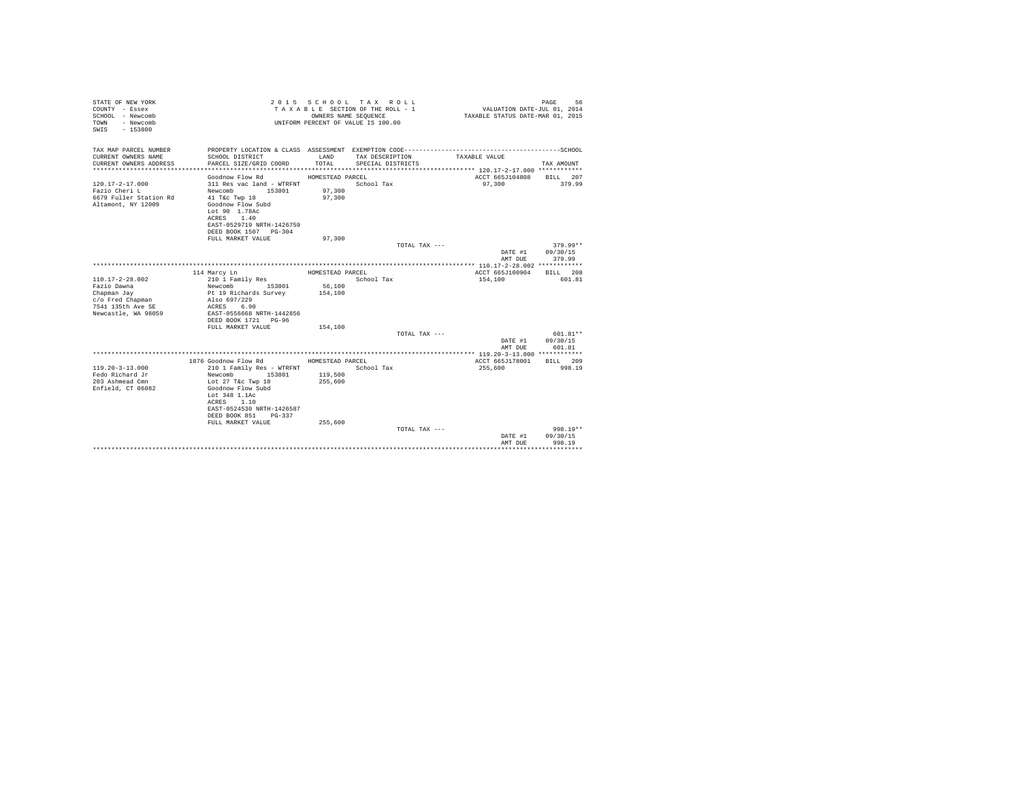| STATE OF NEW YORK<br>COUNTY - Essex<br>SCHOOL - Newcomb<br>- Newcomb<br>TOWN<br>$-153800$<br>SWIS |                                         | OWNERS NAME SEOUENCE | 2015 SCHOOL TAX ROLL<br>TAXABLE SECTION OF THE ROLL - 1<br>UNIFORM PERCENT OF VALUE IS 100.00 |               | VALUATION DATE-JUL 01, 2014<br>TAXABLE STATUS DATE-MAR 01, 2015 | 56<br>PAGE |
|---------------------------------------------------------------------------------------------------|-----------------------------------------|----------------------|-----------------------------------------------------------------------------------------------|---------------|-----------------------------------------------------------------|------------|
| TAX MAP PARCEL NUMBER<br>CURRENT OWNERS NAME                                                      | SCHOOL DISTRICT                         | LAND                 | TAX DESCRIPTION                                                                               |               | TAXABLE VALUE                                                   |            |
| CURRENT OWNERS ADDRESS                                                                            | PARCEL SIZE/GRID COORD                  | TOTAL                | SPECIAL DISTRICTS                                                                             |               |                                                                 | TAX AMOUNT |
|                                                                                                   |                                         |                      |                                                                                               |               |                                                                 |            |
|                                                                                                   | Goodnow Flow Rd                         | HOMESTEAD PARCEL     |                                                                                               |               | ACCT 665J104808 BILL 207                                        |            |
| $120.17 - 2 - 17.000$                                                                             | 311 Res vac land - WTRFNT               |                      | School Tax                                                                                    |               | 97,300                                                          | 379.99     |
| Fazio Cheri L                                                                                     | Newcomb 153801                          | 97,300               |                                                                                               |               |                                                                 |            |
| 6679 Fuller Station Rd                                                                            | 41 T&c Twp 18                           | 97,300               |                                                                                               |               |                                                                 |            |
| Altamont, NY 12009                                                                                | Goodnow Flow Subd<br>Lot 90 1.78Ac      |                      |                                                                                               |               |                                                                 |            |
|                                                                                                   | ACRES 1.40                              |                      |                                                                                               |               |                                                                 |            |
|                                                                                                   | EAST-0529719 NRTH-1426759               |                      |                                                                                               |               |                                                                 |            |
|                                                                                                   | DEED BOOK 1507 PG-304                   |                      |                                                                                               |               |                                                                 |            |
|                                                                                                   | FULL MARKET VALUE                       | 97,300               |                                                                                               |               |                                                                 |            |
|                                                                                                   |                                         |                      |                                                                                               | TOTAL TAX --- |                                                                 | $379.99**$ |
|                                                                                                   |                                         |                      |                                                                                               |               | DATE #1 09/30/15<br>AMT DUE                                     | 379.99     |
|                                                                                                   |                                         |                      |                                                                                               |               |                                                                 |            |
|                                                                                                   | 114 Marcy Ln                            | HOMESTEAD PARCEL     |                                                                                               |               | ACCT 665J100904                                                 | BILL 208   |
| $110.17 - 2 - 28.002$                                                                             | 210 1 Family Res                        |                      | School Tax                                                                                    |               | 154,100                                                         | 601.81     |
| Fazio Dawna                                                                                       | Newcomb 153801<br>Pt 19 Richards Survey | 56,100               |                                                                                               |               |                                                                 |            |
| Chapman Jay                                                                                       |                                         | 154,100              |                                                                                               |               |                                                                 |            |
| c/o Fred Chapman<br>7541 135th Ave SE                                                             | Also 697/229<br>ACRES 6.90              |                      |                                                                                               |               |                                                                 |            |
| Newcastle, WA 98059                                                                               | EAST-0556668 NRTH-1442856               |                      |                                                                                               |               |                                                                 |            |
|                                                                                                   |                                         |                      |                                                                                               |               |                                                                 |            |
|                                                                                                   | FULL MARKET VALUE                       | 154,100              |                                                                                               |               |                                                                 |            |
|                                                                                                   |                                         |                      |                                                                                               | TOTAL TAX --- |                                                                 | $601.81**$ |
|                                                                                                   |                                         |                      |                                                                                               |               | DATE #1                                                         | 09/30/15   |
|                                                                                                   |                                         |                      |                                                                                               |               | AMT DUE                                                         | 601.81     |
|                                                                                                   | 1876 Goodnow Flow Rd MOMESTEAD PARCEL   |                      |                                                                                               |               | ACCT 665J178001                                                 | BILL 209   |
| $119.20 - 3 - 13.000$                                                                             | 210 1 Family Res - WTRFNT               |                      | School Tax                                                                                    |               | 255,600                                                         | 998.19     |
| Fedo Richard Jr                                                                                   | Newcomb<br>153801                       | 119,500              |                                                                                               |               |                                                                 |            |
| 203 Ashmead Cmn                                                                                   | Lot 27 T&c Twp 18                       | 255,600              |                                                                                               |               |                                                                 |            |
| Enfield, CT 06082                                                                                 | Goodnow Flow Subd                       |                      |                                                                                               |               |                                                                 |            |
|                                                                                                   | Lot 348 1.1Ac<br>ACRES 1.10             |                      |                                                                                               |               |                                                                 |            |
|                                                                                                   | EAST-0524530 NRTH-1426587               |                      |                                                                                               |               |                                                                 |            |
|                                                                                                   | DEED BOOK 851 PG-337                    |                      |                                                                                               |               |                                                                 |            |
|                                                                                                   | FULL MARKET VALUE                       | 255,600              |                                                                                               |               |                                                                 |            |
|                                                                                                   |                                         |                      |                                                                                               | TOTAL TAX --- |                                                                 | $998.19**$ |
|                                                                                                   |                                         |                      |                                                                                               |               | DATE #1                                                         | 09/30/15   |
|                                                                                                   |                                         |                      |                                                                                               |               | AMT DUE                                                         | 998.19     |
|                                                                                                   |                                         |                      |                                                                                               |               |                                                                 |            |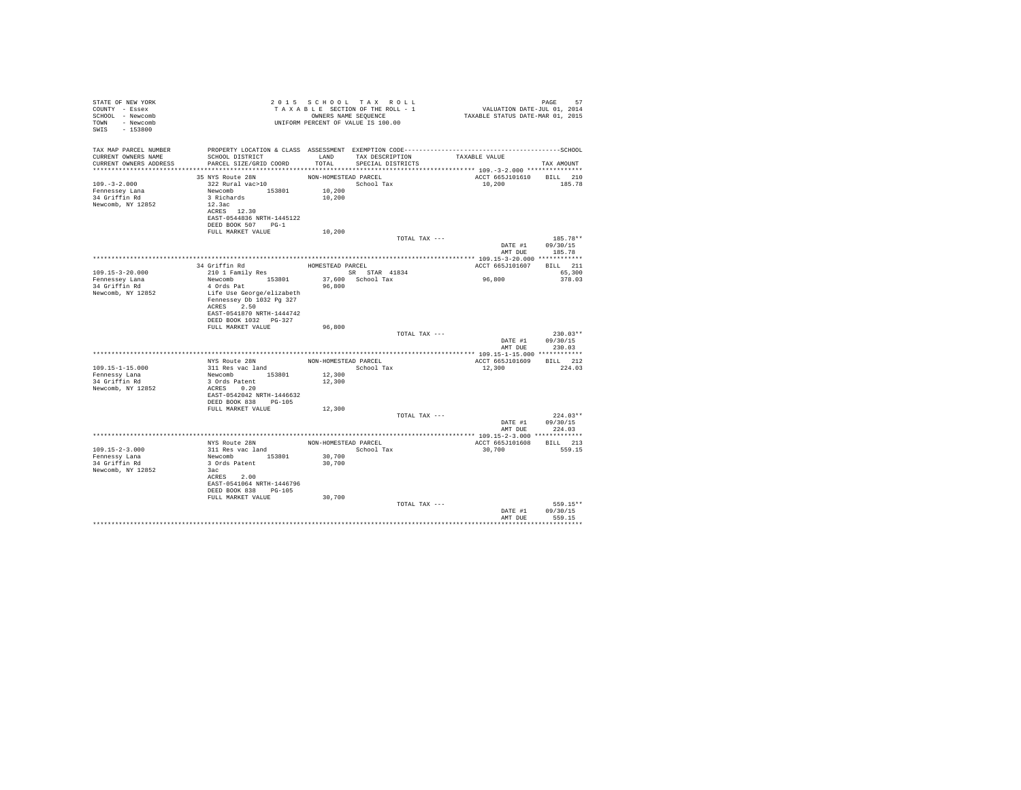| STATE OF NEW YORK<br>COUNTY - Essex<br>SCHOOL - Newcomb<br>TOWN - Newcomb<br>SWIS<br>$-153800$ |                                                                                                                                  |                      | 2015 SCHOOL TAX ROLL<br>TAXABLE SECTION OF THE ROLL - 1<br>OWNERS NAME SEOUENCE<br>UNIFORM PERCENT OF VALUE IS 100.00 |               |                          | PAGE<br>57<br>VALUATION DATE-JUL 01, 2014<br>TAXABLE STATUS DATE-MAR 01, 2015 |
|------------------------------------------------------------------------------------------------|----------------------------------------------------------------------------------------------------------------------------------|----------------------|-----------------------------------------------------------------------------------------------------------------------|---------------|--------------------------|-------------------------------------------------------------------------------|
| TAX MAP PARCEL NUMBER<br>CURRENT OWNERS NAME<br>CURRENT OWNERS ADDRESS                         | SCHOOL DISTRICT TAND TAX DESCRIPTION<br>PARCEL SIZE/GRID COORD TOTAL SPECIAL DISTRICTS                                           |                      |                                                                                                                       | TAXABLE VALUE |                          | TAX AMOUNT                                                                    |
|                                                                                                | 35 NYS Route 28N                                                                                                                 | NON-HOMESTEAD PARCEL |                                                                                                                       |               | ACCT 665J101610 BILL 210 |                                                                               |
| $109. -3 - 2.000$<br>Fennessey Lana<br>34 Griffin Rd<br>Newcomb, NY 12852                      | 322 Rural vac>10<br>Newcomb 153801<br>3 Richards<br>12.3ac<br>ACRES 12.30<br>EAST-0544836 NRTH-1445122<br>DEED BOOK 507 PG-1     | 10,200<br>10,200     | School Tax                                                                                                            |               | 10,200                   | 185.78                                                                        |
|                                                                                                | FULL MARKET VALUE                                                                                                                | 10,200               |                                                                                                                       |               |                          |                                                                               |
|                                                                                                |                                                                                                                                  |                      |                                                                                                                       | TOTAL TAX --- | DATE #1<br>AMT DUE       | $185.78**$<br>09/30/15<br>185.78                                              |
|                                                                                                |                                                                                                                                  |                      |                                                                                                                       |               |                          |                                                                               |
| $109.15 - 3 - 20.000$                                                                          | 34 Griffin Rd<br>210 1 Family Res                                                                                                | HOMESTEAD PARCEL     | SR STAR 41834                                                                                                         |               | ACCT 665J101607          | BILL 211<br>65,300                                                            |
| Fennessey Lana<br>34 Griffin Rd<br>Newcomb, NY 12852                                           | Newcomb 153801<br>4 Ords Pat<br>Life Use George/elizabeth<br>Fennessey Db 1032 Pg 327<br>ACRES 2.50<br>EAST-0541870 NRTH-1444742 | 96,800               | 37,600 School Tax                                                                                                     | 96,800        |                          | 378.03                                                                        |
|                                                                                                | DEED BOOK 1032 PG-327                                                                                                            |                      |                                                                                                                       |               |                          |                                                                               |
|                                                                                                | FULL MARKET VALUE                                                                                                                | 96,800               |                                                                                                                       | TOTAL TAX --- |                          | $230.03**$                                                                    |
|                                                                                                |                                                                                                                                  |                      |                                                                                                                       |               | DATE #1<br>AMT DUE       | 09/30/15<br>230.03                                                            |
|                                                                                                |                                                                                                                                  |                      |                                                                                                                       |               |                          |                                                                               |
|                                                                                                | NYS Route 28N                                                                                                                    | NON-HOMESTEAD PARCEL |                                                                                                                       |               | ACCT 665J101609          | <b>BILL</b> 212                                                               |
| $109.15 - 1 - 15.000$<br>Fennessy Lana<br>34 Griffin Rd<br>Newcomb, NY 12852                   | 311 Res vac land<br>Newcomb 153801<br>3 Ords Patent<br>ACRES 0.20<br>EAST-0542042 NRTH-1446632<br>DEED BOOK 838 PG-105           | 12,300<br>12,300     | School Tax                                                                                                            | 12,300        |                          | 224.03                                                                        |
|                                                                                                | FULL MARKET VALUE                                                                                                                | 12,300               |                                                                                                                       |               |                          |                                                                               |
|                                                                                                |                                                                                                                                  |                      |                                                                                                                       | TOTAL TAX --- |                          | $224.03**$<br>DATE #1 09/30/15                                                |
|                                                                                                |                                                                                                                                  |                      |                                                                                                                       |               | AMT DUE                  | 224.03                                                                        |
|                                                                                                | NYS Route 28N                                                                                                                    | NON-HOMESTEAD PARCEL |                                                                                                                       |               | ACCT 665J101608          | BILL 213                                                                      |
| $109.15 - 2 - 3.000$<br>Fennessy Lana<br>34 Griffin Rd<br>Newcomb, NY 12852                    | 311 Res vac land<br>Newcomb 153801<br>3 Ords Patent<br>3ac<br>ACRES 2.00<br>EAST-0541064 NRTH-1446796<br>DEED BOOK 838 PG-105    | 30,700<br>30,700     | School Tax                                                                                                            | 30,700        |                          | 559.15                                                                        |
|                                                                                                | FULL MARKET VALUE                                                                                                                | 30,700               |                                                                                                                       | TOTAL TAX --- | DATE #1<br>AMT DUE       | 559.15**<br>09/30/15<br>559.15                                                |
|                                                                                                |                                                                                                                                  |                      |                                                                                                                       |               |                          | .                                                                             |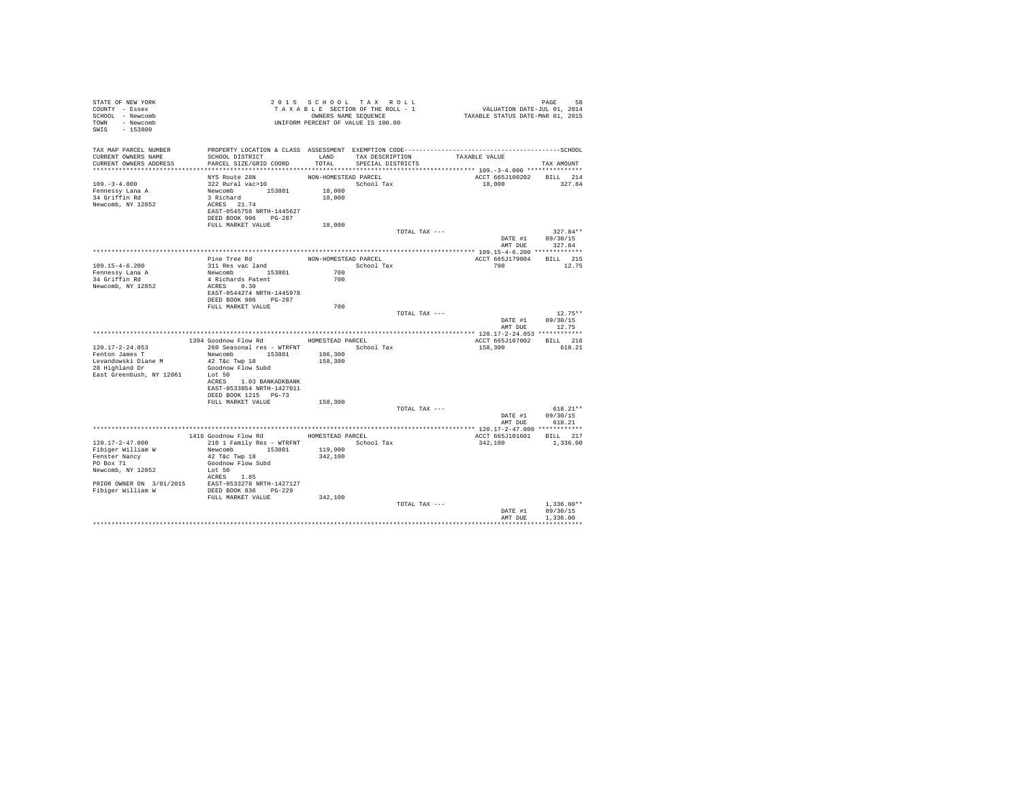| STATE OF NEW YORK<br>COUNTY - Essex<br>SCHOOL - Newcomb<br>TOWN - Newcomb<br>SWIS - 153800                                                                                              | T A X A B L B CONNERS NAME SEQUENCE<br>UNIFORM PERCENT OF VALUE IS 100.00                                                                          |                                          | 2015 SCHOOL TAX ROLL<br>TAXABLE SECTION OF THE ROLL - 1<br>OWNERS NAME SEQUENCE | PAGE 58<br>VALUATION DATE-JUL 01, 2014<br>TAXABLE STATUS DATE-MAR 01, 2015 |                                                  |
|-----------------------------------------------------------------------------------------------------------------------------------------------------------------------------------------|----------------------------------------------------------------------------------------------------------------------------------------------------|------------------------------------------|---------------------------------------------------------------------------------|----------------------------------------------------------------------------|--------------------------------------------------|
| TAX MAP PARCEL NUMBER<br>CURRENT OWNERS NAME<br>CURRENT OWNERS ADDRESS                                                                                                                  | SCHOOL DISTRICT<br>PARCEL SIZE/GRID COORD                                                                                                          | LAND<br>TOTAL                            | TAX DESCRIPTION<br>SPECIAL DISTRICTS                                            | TAXABLE VALUE                                                              | TAX AMOUNT                                       |
| $109. - 3 - 4.000$<br>Fennessy Lana A<br>34 Griffin Rd<br>Newcomb, NY 12852                                                                                                             | NYS Route 28N<br>322 Rural vac>10<br>Newcomb 153801<br>3 Richard<br>ACRES 21.74<br>EAST-0545758 NRTH-1445627<br>DEED BOOK 906 PG-287               | NON-HOMESTEAD PARCEL<br>18,000<br>18,000 | School Tax                                                                      | ACCT 665J100202<br>18,000                                                  | BILL 214<br>327.84                               |
|                                                                                                                                                                                         | FULL MARKET VALUE                                                                                                                                  | 18,000                                   |                                                                                 |                                                                            |                                                  |
|                                                                                                                                                                                         |                                                                                                                                                    |                                          | TOTAL TAX ---                                                                   |                                                                            | $327.84**$<br>DATE #1 09/30/15<br>AMT DUE 327.84 |
| $109.15 - 4 - 6.200$<br>Fennessy Lana A<br>34 Griffin Rd<br>Newcomb, NY 12852                                                                                                           | Pine Tree Rd<br>311 Res vac land<br>Newcomb 153801<br>4 Richards Patent<br>ACRES 0.30<br>EAST-0544274 NRTH-1445978<br>DEED BOOK 906 PG-287         | 700<br>700                               | NON-HOMESTEAD PARCEL<br>School Tax                                              | ACCT 665J179004 BILL 215<br>700                                            | 12.75                                            |
|                                                                                                                                                                                         | FULL MARKET VALUE                                                                                                                                  | 700                                      | TOTAL TAX ---                                                                   | DATE #1<br>AMT DUE                                                         | $12.75**$<br>09/30/15<br>12.75                   |
|                                                                                                                                                                                         |                                                                                                                                                    |                                          |                                                                                 |                                                                            |                                                  |
|                                                                                                                                                                                         | 1394 Goodnow Flow Rd MOMESTEAD PARCEL                                                                                                              |                                          |                                                                                 | ACCT 665J107002 BILL 216                                                   |                                                  |
| $120.17 - 2 - 24.053$<br>Fenton James T<br>Levandowski Diane M<br>28 Highland Dr<br>East Greenbush, NY 12061                                                                            | 260 Seasonal res - WTRFNT<br>Newcomb 153801<br>42 T&c Twp 18<br>Goodnow Flow Subd<br>Lot 50                                                        | 106,300<br>158,300                       | School Tax                                                                      | 158,300                                                                    | 618.21                                           |
|                                                                                                                                                                                         | ACRES 1.03 BANKADKBANK<br>EAST-0533854 NRTH-1427011<br>DEED BOOK 1215 PG-73<br>FULL MARKET VALUE                                                   | 158,300                                  | TOTAL TAX ---                                                                   |                                                                            | $618.21**$                                       |
|                                                                                                                                                                                         |                                                                                                                                                    |                                          |                                                                                 | DATE #1                                                                    | 09/30/15<br>AMT DUE 618.21                       |
|                                                                                                                                                                                         |                                                                                                                                                    |                                          |                                                                                 |                                                                            |                                                  |
| 120.17-2-47.000<br>Fibiger William W<br>Fenster Nancy<br>PO Box 71<br>Newcomb, NY 12852<br>PRIOR OWNER ON 3/01/2015 EAST-0533278 NRTH-1427127<br>Fibiger William W DEED BOOK 836 PG-229 | 1416 Goodnow Flow Rd HOMESTEAD PARCEL<br>210 1 Family Res - WTRFNT<br>Newcomb 153801<br>42 T&C Twp 18<br>Goodnow Flow Subd<br>Lot 56<br>ACRES 1.85 | 119,900<br>342,100                       | School Tax                                                                      | ACCT 665J101601 BILL 217<br>342,100                                        | 1,336.00                                         |
|                                                                                                                                                                                         | FULL MARKET VALUE                                                                                                                                  | 342,100                                  | TOTAL TAX ---                                                                   | DATE #1<br>AMT DUE                                                         | $1.336.00**$<br>09/30/15<br>1,336.00             |
|                                                                                                                                                                                         |                                                                                                                                                    |                                          |                                                                                 |                                                                            | ************                                     |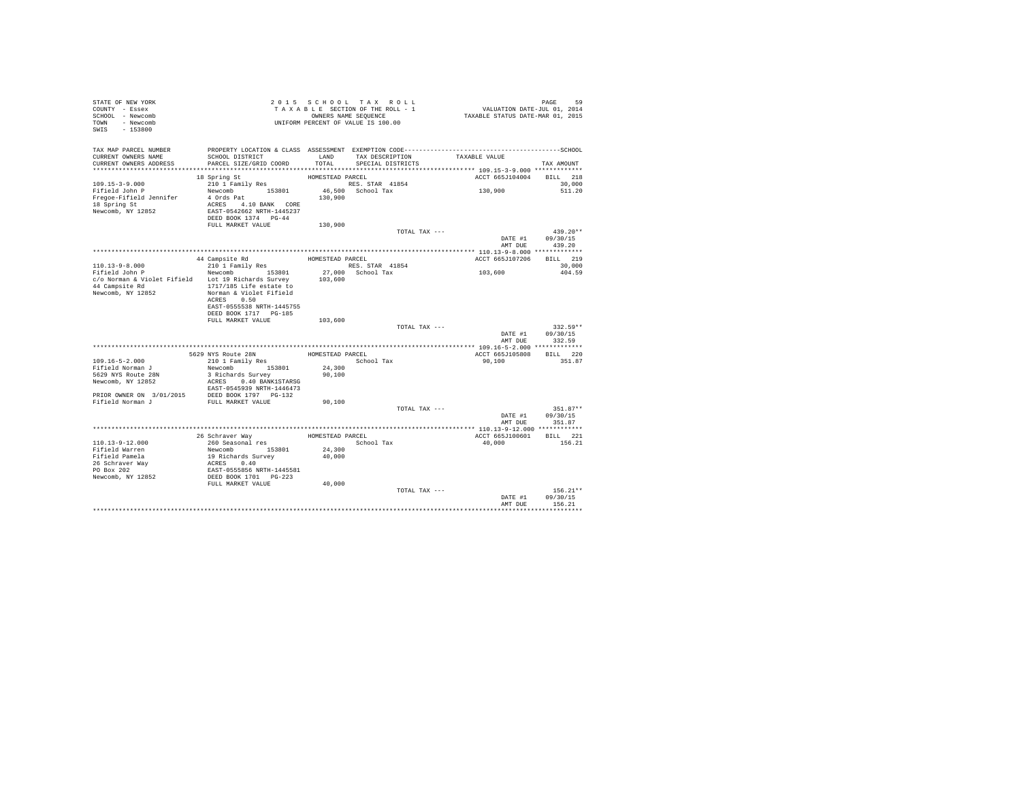| STATE OF NEW YORK<br>COUNTY - Essex<br>SCHOOL - Newcomb<br>TOWN - Newcomb<br>SWIS - 153800                                                                                                                                                                                                                                                                                  |                                                           |                  | 2015 SCHOOL TAX ROLL<br>OWNERS NAME SEQUENCE<br>UNIFORM PERCENT OF VALUE IS 100.00 | 2015 SCHOOL TAX ROLL (PAGE 59 PAGE 59 )<br>TAXABLE SECTION OF THE ROLL - 1 (VALUATION DATE-JUL 01, 2014)<br>ONNERS NAME SEQUENCE (TAXABLE STATUS DATE-MAR 01, 2015 | PAGE<br>59                                          |  |
|-----------------------------------------------------------------------------------------------------------------------------------------------------------------------------------------------------------------------------------------------------------------------------------------------------------------------------------------------------------------------------|-----------------------------------------------------------|------------------|------------------------------------------------------------------------------------|--------------------------------------------------------------------------------------------------------------------------------------------------------------------|-----------------------------------------------------|--|
| TAX MAP PARCEL NUMBER<br>CURRENT OWNERS NAME<br>CURRENT OWNERS ADDRESS                                                                                                                                                                                                                                                                                                      | SCHOOL DISTRICT<br>PARCEL SIZE/GRID COORD                 | LAND<br>TOTAL    | SPECIAL DISTRICTS                                                                  | TAX DESCRIPTION TAXABLE VALUE                                                                                                                                      | TAX AMOUNT                                          |  |
|                                                                                                                                                                                                                                                                                                                                                                             |                                                           |                  |                                                                                    |                                                                                                                                                                    |                                                     |  |
|                                                                                                                                                                                                                                                                                                                                                                             |                                                           |                  |                                                                                    |                                                                                                                                                                    | ACCT 665J104004 BILL 218                            |  |
| $\begin{tabular}{lllllllllll} \bf 109.15-3-9.000 & & 18 Spring St & & & \bf HOMESTEAD D RRCL & & \bf 210 1 Family Res & & \bf RES. STAR & 41854 \\ & & 210 1 Family Res & & \bf RES. STAR & 41854 \\ & & {\bf Nedge.} & & {\bf N} & & 153801 & 46,500 & School Tax \\ & & {\bf 4.791} & & 4 & 0 & 130,900 \\ & & & \bf 130,900 & & & \\ \end{tabular}$<br>Newcomb, NY 12852 | EAST-0542662 NRTH-1445237<br>DEED BOOK 1374 PG-44         |                  |                                                                                    | 130,900                                                                                                                                                            | 30,000<br>511.20                                    |  |
|                                                                                                                                                                                                                                                                                                                                                                             | FULL MARKET VALUE                                         | 130,900          |                                                                                    |                                                                                                                                                                    |                                                     |  |
|                                                                                                                                                                                                                                                                                                                                                                             |                                                           |                  | TOTAL TAX ---                                                                      |                                                                                                                                                                    | $439.20**$<br>DATE #1 09/30/15<br>AMT DUE<br>439.20 |  |
|                                                                                                                                                                                                                                                                                                                                                                             |                                                           |                  |                                                                                    |                                                                                                                                                                    |                                                     |  |
|                                                                                                                                                                                                                                                                                                                                                                             | 44 Campsite Rd<br>210 1 Family Res                        | HOMESTEAD PARCEL |                                                                                    |                                                                                                                                                                    | ACCT 665J107206 BILL 219                            |  |
| $110.13 - 9 - 8.000$                                                                                                                                                                                                                                                                                                                                                        |                                                           |                  | RES. STAR 41854                                                                    | 103,600                                                                                                                                                            | 30,000                                              |  |
| Fifield John P<br>c/o Norman & Violet Fifield Lot 19 Richards Survey 103,600                                                                                                                                                                                                                                                                                                | Newcomb 153801<br>ACRES 0.50<br>EAST-0555538 NRTH-1445755 |                  | 27,000 School Tax                                                                  |                                                                                                                                                                    | 404.59                                              |  |
|                                                                                                                                                                                                                                                                                                                                                                             | DEED BOOK 1717 PG-185                                     |                  |                                                                                    |                                                                                                                                                                    |                                                     |  |
|                                                                                                                                                                                                                                                                                                                                                                             | FULL MARKET VALUE                                         | 103,600          |                                                                                    |                                                                                                                                                                    |                                                     |  |
|                                                                                                                                                                                                                                                                                                                                                                             |                                                           |                  | TOTAL TAX ---                                                                      | DATE #1                                                                                                                                                            | $332.59**$<br>09/30/15                              |  |
|                                                                                                                                                                                                                                                                                                                                                                             |                                                           |                  |                                                                                    |                                                                                                                                                                    | AMT DUE<br>332.59                                   |  |
|                                                                                                                                                                                                                                                                                                                                                                             |                                                           |                  |                                                                                    |                                                                                                                                                                    |                                                     |  |
|                                                                                                                                                                                                                                                                                                                                                                             | 5629 NYS Route 28N                                        |                  | HOMESTEAD PARCEL                                                                   |                                                                                                                                                                    | ACCT 665J105808 BILL 220<br>351.87                  |  |
| 109.16-5-2.000<br>Fifield Norman J                                                                                                                                                                                                                                                                                                                                          | 210 1 Family Res<br>Newcomb 153801                        | 24,300           | School Tax                                                                         | 90,100                                                                                                                                                             |                                                     |  |
| 5629 NYS Route 28N<br>Newcomb, NY 12852<br>${\small \begin{tabular}{lcccc} \texttt{BRST}-0545939 NRTH-1446473 \\ \texttt{PRIOR} \texttt{ONR} & 3/01/2015 & \texttt{DEED BOK 1797} & \texttt{PG-132} \\ \texttt{Fifield Norman J} & \texttt{FULL MARKET VALUE} \end{tabular}}$                                                                                               | 3 Richards Survey<br>ACRES 0.40 BANK1STARSG               | 90,100           |                                                                                    |                                                                                                                                                                    |                                                     |  |
|                                                                                                                                                                                                                                                                                                                                                                             |                                                           |                  |                                                                                    |                                                                                                                                                                    |                                                     |  |
|                                                                                                                                                                                                                                                                                                                                                                             |                                                           | 90,100           |                                                                                    |                                                                                                                                                                    |                                                     |  |
|                                                                                                                                                                                                                                                                                                                                                                             |                                                           |                  | TOTAL TAX ---                                                                      | DATE #1                                                                                                                                                            | $351.87**$<br>09/30/15                              |  |
|                                                                                                                                                                                                                                                                                                                                                                             |                                                           |                  |                                                                                    |                                                                                                                                                                    | AMT DUE<br>351.87                                   |  |
|                                                                                                                                                                                                                                                                                                                                                                             |                                                           |                  |                                                                                    |                                                                                                                                                                    | ACCT 665J100601 BILL 221                            |  |
| $110.13 - 9 - 12.000$                                                                                                                                                                                                                                                                                                                                                       |                                                           |                  |                                                                                    | 40,000                                                                                                                                                             | 156.21                                              |  |
| Fifield Warren                                                                                                                                                                                                                                                                                                                                                              | Newcomb 153801 24,300                                     |                  |                                                                                    |                                                                                                                                                                    |                                                     |  |
| Fifield Pamela                                                                                                                                                                                                                                                                                                                                                              | 19 Richards Survey                                        | 40,000           |                                                                                    |                                                                                                                                                                    |                                                     |  |
|                                                                                                                                                                                                                                                                                                                                                                             | ACRES 0.40                                                |                  |                                                                                    |                                                                                                                                                                    |                                                     |  |
| 26 Schraver Way<br>PO Box 202                                                                                                                                                                                                                                                                                                                                               | EAST-0555856 NRTH-1445581                                 |                  |                                                                                    |                                                                                                                                                                    |                                                     |  |
| Newcomb, NY 12852                                                                                                                                                                                                                                                                                                                                                           | DEED BOOK 1701 PG-223                                     |                  |                                                                                    |                                                                                                                                                                    |                                                     |  |
|                                                                                                                                                                                                                                                                                                                                                                             | FULL MARKET VALUE                                         | 40,000           |                                                                                    |                                                                                                                                                                    |                                                     |  |
|                                                                                                                                                                                                                                                                                                                                                                             |                                                           |                  | TOTAL TAX ---                                                                      | DATE #1                                                                                                                                                            | $156.21**$<br>09/30/15                              |  |
|                                                                                                                                                                                                                                                                                                                                                                             |                                                           |                  |                                                                                    | AMT DUE                                                                                                                                                            | 156.21                                              |  |
|                                                                                                                                                                                                                                                                                                                                                                             |                                                           |                  |                                                                                    |                                                                                                                                                                    |                                                     |  |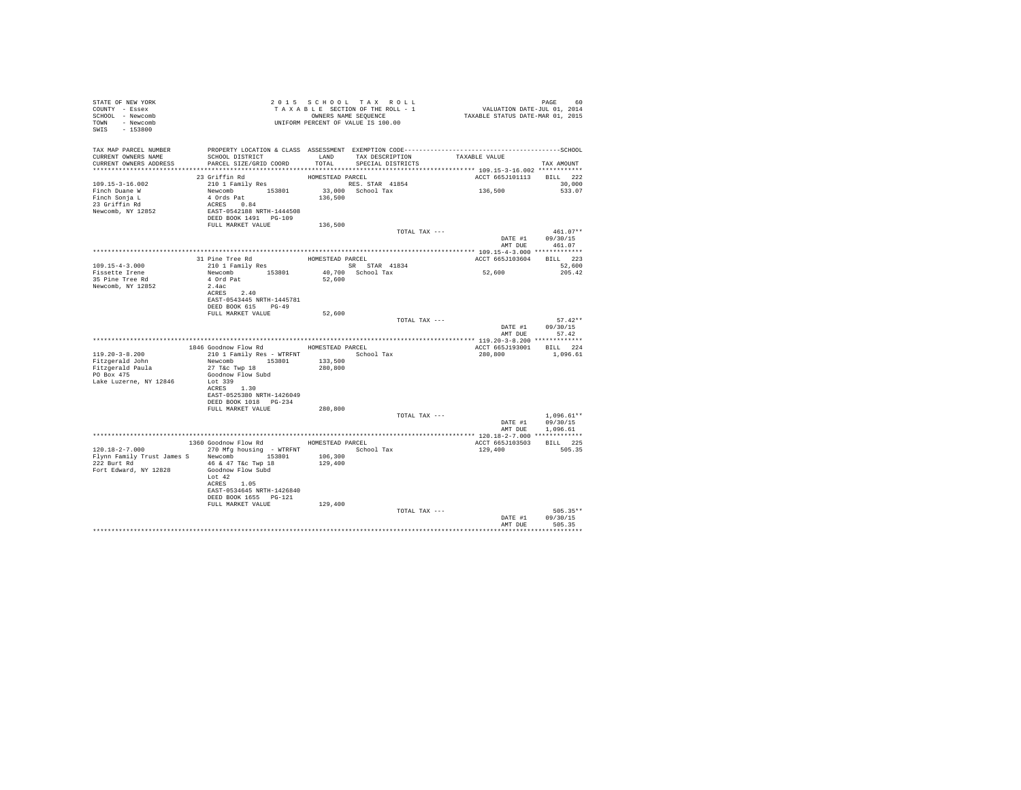| STATE OF NEW YORK<br>COUNTY - Essex<br>SCHOOL - Newcomb<br>TOWN - Newcomb<br>SWIS - 153800                                                                         |                                                                                                                                                                                                                 |                    | 2015 SCHOOL TAX ROLL<br>T A X A B L E SECTION OF THE ROLL - 1<br>OWNERS NAME SEQUENCE |                                    | PAGE 60<br>VALUATION DATE-JUL 01, 2014<br>TAXABLE STATUS DATE-MAR 01, 2015 |                                                         |
|--------------------------------------------------------------------------------------------------------------------------------------------------------------------|-----------------------------------------------------------------------------------------------------------------------------------------------------------------------------------------------------------------|--------------------|---------------------------------------------------------------------------------------|------------------------------------|----------------------------------------------------------------------------|---------------------------------------------------------|
| TAX MAP PARCEL NUMBER PROPERTY LOCATION & CLASS ASSESSMENT EXEMPTION CODE----------------------------------SCHOOL<br>CURRENT OWNERS NAME<br>CURRENT OWNERS ADDRESS | SCHOOL DISTRICT<br>PARCEL SIZE/GRID COORD                                                                                                                                                                       | TOTAL              | SPECIAL DISTRICTS                                                                     | LAND TAX DESCRIPTION TAXABLE VALUE |                                                                            | TAX AMOUNT                                              |
|                                                                                                                                                                    |                                                                                                                                                                                                                 |                    |                                                                                       |                                    |                                                                            |                                                         |
| 109.15-3-16.002<br>Finch Duane W<br>Finch Baume<br>Finch Sonja L<br>23 Griffin Rd<br>Newcomb, NY 12852                                                             | HOMESTEAD PARCEL<br>Newcomb 153801 33,000 School Tax<br>4 Ords Part 1654<br>4 Ords Part 136,500<br>EAST-0542188 NRTH-1444508<br>EAST-0542188 NRTH-1444508<br>DEED BOOK 1491 PG-109<br>PULL MARKET VALUE 136,500 |                    |                                                                                       |                                    | ACCT 665J101113 BILL 222<br>136,500                                        | 30,000<br>533.07                                        |
|                                                                                                                                                                    |                                                                                                                                                                                                                 |                    |                                                                                       |                                    |                                                                            |                                                         |
|                                                                                                                                                                    |                                                                                                                                                                                                                 |                    |                                                                                       | TOTAL TAX ---                      | AMT DUE                                                                    | $461.07**$<br>DATE #1 09/30/15<br>461.07                |
|                                                                                                                                                                    |                                                                                                                                                                                                                 |                    |                                                                                       |                                    |                                                                            |                                                         |
| $109.15 - 4 - 3.000$                                                                                                                                               | 31 Pine Tree Rd<br>210 1 Family Res                                                                                                                                                                             |                    | HOMESTEAD PARCEL                                                                      |                                    | ACCT 665J103604 BILL 223                                                   | 52,600                                                  |
| Fissette Irene                                                                                                                                                     |                                                                                                                                                                                                                 |                    | SR STAR 41834<br>40,700 School Tax                                                    |                                    | 52,600                                                                     | 205.42                                                  |
| 35 Pine Tree Rd<br>Newcomb, NY 12852                                                                                                                               | Newcomb 153801<br>4 Ord Pat<br>2.4ac<br>2.4ac<br>ACRES 2.40<br>EAST-0543445 NRTH-1445781<br>DEED BOOK 615 PG-49                                                                                                 | 52,600             |                                                                                       |                                    |                                                                            |                                                         |
|                                                                                                                                                                    | FULL MARKET VALUE                                                                                                                                                                                               | 52,600             |                                                                                       |                                    |                                                                            |                                                         |
|                                                                                                                                                                    |                                                                                                                                                                                                                 |                    |                                                                                       | TOTAL TAX ---                      |                                                                            | $57.42**$<br>DATE #1 09/30/15<br>AMT DUE 57.42          |
|                                                                                                                                                                    |                                                                                                                                                                                                                 |                    |                                                                                       |                                    |                                                                            |                                                         |
| 119.20-3-8.200<br>Fitzgerald John<br>Fitzgerald Paula<br>22.2: 475<br>PO Box 475<br>Lake Luzerne, NY 12846                                                         | 1846 Goodnow Flow Rd MOMESTEAD PARCEL<br>210 1 Family Res - WTRFNT School Tax<br>Newcomb 153801 133,500<br>27 T&c Twp 18 280,800<br>Goodnow Flow Subd<br>Lot 339<br>ACRES 1.30<br>EAST-0525380 NRTH-1426049     |                    |                                                                                       |                                    | ACCT 665J193001 BILL 224<br>280,800                                        | 1,096.61                                                |
|                                                                                                                                                                    | DEED BOOK 1018 PG-234                                                                                                                                                                                           |                    |                                                                                       |                                    |                                                                            |                                                         |
|                                                                                                                                                                    | FULL MARKET VALUE                                                                                                                                                                                               | 280,800            |                                                                                       | TOTAL TAX ---                      |                                                                            | $1.096.61**$<br>DATE #1 09/30/15                        |
|                                                                                                                                                                    |                                                                                                                                                                                                                 |                    |                                                                                       |                                    |                                                                            | AMT DUE 1,096.61                                        |
|                                                                                                                                                                    | 1360 Goodnow Flow Rd MOMESTEAD PARCEL                                                                                                                                                                           |                    |                                                                                       |                                    | ACCT 665J103503                                                            | BILL 225                                                |
| $120.18-2-7.000$ 270 Mfg housing - WTRFNT<br>Flynn Family Trust James S Newcomb 153801<br>222 Burt Rd 6 47 T&c Twp 18<br>Fort Edward, NY 12828                     | Goodnow Flow Subd<br>Lot $42$<br>ACRES 1.05<br>EAST-0534645 NRTH-1426840<br>DEED BOOK 1655 PG-121                                                                                                               | 106,300<br>129,400 | School Tax                                                                            |                                    | 129,400                                                                    | 505.35                                                  |
|                                                                                                                                                                    | FULL MARKET VALUE                                                                                                                                                                                               | 129,400            |                                                                                       |                                    |                                                                            |                                                         |
|                                                                                                                                                                    |                                                                                                                                                                                                                 |                    |                                                                                       | TOTAL TAX ---                      | AMT DUE                                                                    | $505.35**$<br>DATE #1 09/30/15<br>505.35<br>*********** |
|                                                                                                                                                                    |                                                                                                                                                                                                                 |                    |                                                                                       |                                    |                                                                            |                                                         |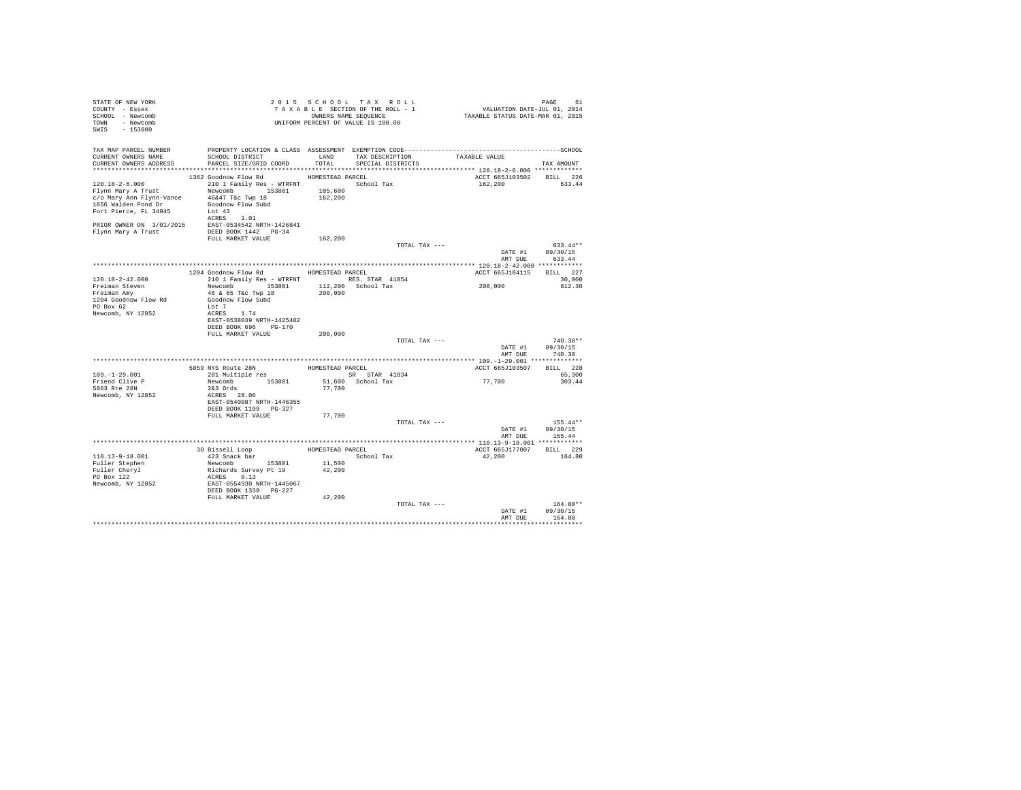| STATE OF NEW YORK<br>COUNTY - Essex<br>SCHOOL - Newcomb<br>TOWN - Newcomb<br>SWIS - 153800 | T A X A B L E SECTION OF THE RULL - A WEBEN NAME SEQUENCE<br>OWNERS NAME SEQUENCE<br>UNIFORM PERCENT OF VALUE IS 100.00                                                             |         | TAXABLE SECTION OF THE ROLL - 1 | PAGE 61<br>VALUATION DATE-JUL 01, 2014<br>TAXABLE STATUS DATE-MAR 01, 2015 |                            |
|--------------------------------------------------------------------------------------------|-------------------------------------------------------------------------------------------------------------------------------------------------------------------------------------|---------|---------------------------------|----------------------------------------------------------------------------|----------------------------|
| TAX MAP PARCEL NUMBER<br>CURRENT OWNERS NAME                                               | SCHOOL DISTRICT                                                                                                                                                                     |         | LAND TAX DESCRIPTION            | TAXABLE VALUE                                                              |                            |
|                                                                                            | CURRENT OWNERS ADDRESS PARCEL SIZE/GRID COORD                                                                                                                                       | TOTAL   | SPECIAL DISTRICTS               |                                                                            | TAX AMOUNT                 |
|                                                                                            | 1362 Goodnow Flow Rd MOMESTEAD PARCEL                                                                                                                                               |         |                                 | ACCT 665J103502                                                            | BILL 226                   |
| 120.18-2-6.000                                                                             | 210 1 Family Res - WTRFNT School Tax                                                                                                                                                |         |                                 | 162,200                                                                    | 633.44                     |
|                                                                                            |                                                                                                                                                                                     | 105,600 |                                 |                                                                            |                            |
|                                                                                            |                                                                                                                                                                                     | 162,200 |                                 |                                                                            |                            |
| 1656 Walden Pond Dr                                                                        | Goodnow Flow Subd                                                                                                                                                                   |         |                                 |                                                                            |                            |
| Fort Pierce, FL 34945                                                                      | Lot 43                                                                                                                                                                              |         |                                 |                                                                            |                            |
|                                                                                            | ACRES 1.01                                                                                                                                                                          |         |                                 |                                                                            |                            |
|                                                                                            | $\begin{tabular}{lllll} \bf PRIOR & \tt OWNER & \tt ON 3/01/2015 & \tt EAST-0534542 & \tt NRTH-1426841 \\ \bf Flynn Mary A Trust & \tt DEED BOOK 1442 & \tt PG-34 \\ \end{tabular}$ |         |                                 |                                                                            |                            |
|                                                                                            |                                                                                                                                                                                     |         |                                 |                                                                            |                            |
|                                                                                            | FULL MARKET VALUE                                                                                                                                                                   | 162,200 |                                 |                                                                            |                            |
|                                                                                            |                                                                                                                                                                                     |         | TOTAL TAX ---                   |                                                                            | $633.44**$                 |
|                                                                                            |                                                                                                                                                                                     |         |                                 |                                                                            | DATE #1 09/30/15<br>633.44 |
|                                                                                            |                                                                                                                                                                                     |         |                                 | AMT DUE                                                                    |                            |
|                                                                                            | 1204 Goodnow Flow Rd MOMESTEAD PARCEL                                                                                                                                               |         |                                 | ACCT 665J104115 BILL 227                                                   |                            |
| 120.18-2-42.000                                                                            | 210 1 Family Res - WTRFNT 8 RES. STAR 41854                                                                                                                                         |         |                                 |                                                                            | 30,000                     |
|                                                                                            | Newcomb 153801 112,200 School Tax                                                                                                                                                   |         |                                 | 208,000                                                                    | 812.30                     |
| Freiman Steven<br>Freiman Amy                                                              | 46 & 65 T&c Twp 18                                                                                                                                                                  | 208,000 |                                 |                                                                            |                            |
| 1204 Goodnow Flow Rd                                                                       | Goodnow Flow Subd                                                                                                                                                                   |         |                                 |                                                                            |                            |
| PO Box 62                                                                                  | Lot 7                                                                                                                                                                               |         |                                 |                                                                            |                            |
| Newcomb, NY 12852                                                                          | ACRES 1.74                                                                                                                                                                          |         |                                 |                                                                            |                            |
|                                                                                            | EAST-0538039 NRTH-1425402                                                                                                                                                           |         |                                 |                                                                            |                            |
|                                                                                            | DEED BOOK 696 PG-170                                                                                                                                                                |         |                                 |                                                                            |                            |
|                                                                                            | FULL MARKET VALUE                                                                                                                                                                   | 208,000 | TOTAL TAX ---                   |                                                                            | $740.30**$                 |
|                                                                                            |                                                                                                                                                                                     |         |                                 | DATE #1                                                                    | 09/30/15                   |
|                                                                                            |                                                                                                                                                                                     |         |                                 | AMT DUE                                                                    | 740.30                     |
|                                                                                            |                                                                                                                                                                                     |         |                                 |                                                                            |                            |
|                                                                                            | 5859 NYS Route 28N HOMESTEAD PARCEL<br>281 Multiple res 6 6 6 5R 5TAR 41834                                                                                                         |         |                                 | ACCT 665J103507                                                            | BILL 228                   |
| $109. - 1 - 29.001$                                                                        |                                                                                                                                                                                     |         | SR STAR 41834                   |                                                                            | 65,300                     |
| Friend Clive P                                                                             | Newcomb 153801                                                                                                                                                                      |         | 51,600 School Tax               | 77,700                                                                     | 303.44                     |
| 5863 Rte 28N                                                                               | $2&3$ Ords                                                                                                                                                                          | 77,700  |                                 |                                                                            |                            |
| Newcomb, NY 12852                                                                          | ACRES 28.06                                                                                                                                                                         |         |                                 |                                                                            |                            |
|                                                                                            | EAST-0540087 NRTH-1446355                                                                                                                                                           |         |                                 |                                                                            |                            |
|                                                                                            | DEED BOOK 1109 PG-327<br>FULL MARKET VALUE                                                                                                                                          | 77,700  |                                 |                                                                            |                            |
|                                                                                            |                                                                                                                                                                                     |         | TOTAL TAX ---                   |                                                                            | $155.44**$                 |
|                                                                                            |                                                                                                                                                                                     |         |                                 |                                                                            | DATE #1 09/30/15           |
|                                                                                            |                                                                                                                                                                                     |         |                                 | AMT DUE                                                                    | 155.44                     |
|                                                                                            |                                                                                                                                                                                     |         |                                 |                                                                            |                            |
|                                                                                            | 30 Bissell Loop                                                                                                                                                                     |         | HOMESTEAD PARCEL<br>School Tay  | ACCT 665J177007 BILL 229                                                   |                            |
| 110.13-9-18.001                                                                            | 423 Snack bar<br>Newcomb 153801 11,500                                                                                                                                              |         | School Tax                      | 42,200                                                                     | 164.80                     |
| Fuller Stephen                                                                             |                                                                                                                                                                                     |         |                                 |                                                                            |                            |
| Fuller Cheryl<br>PO Box 122                                                                | Richards Survey Pt 19<br>ACRES 0.13<br>EAST-0554930 NRTH-1445067<br>DEED BOOK 1338 PG-227                                                                                           | 42,200  |                                 |                                                                            |                            |
|                                                                                            |                                                                                                                                                                                     |         |                                 |                                                                            |                            |
| Newcomb, NY 12852                                                                          |                                                                                                                                                                                     |         |                                 |                                                                            |                            |
|                                                                                            | FULL MARKET VALUE                                                                                                                                                                   | 42,200  |                                 |                                                                            |                            |
|                                                                                            |                                                                                                                                                                                     |         | TOTAL TAX ---                   |                                                                            | $164.80**$                 |
|                                                                                            |                                                                                                                                                                                     |         |                                 | DATE #1                                                                    | 09/30/15                   |
|                                                                                            |                                                                                                                                                                                     |         |                                 | AMT DUE                                                                    | 164.80                     |
|                                                                                            |                                                                                                                                                                                     |         |                                 |                                                                            | **********                 |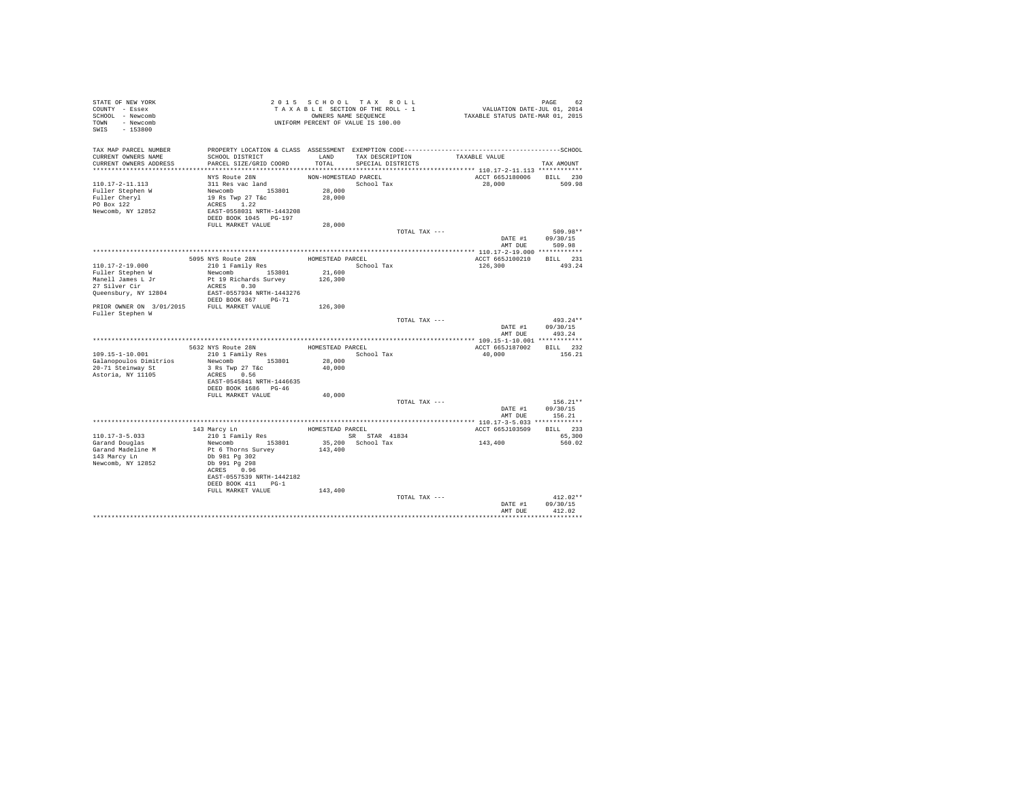| STATE OF NEW YORK<br>COUNTY - Essex<br>SCHOOL - Newcomb<br>TOWN - Newcomb<br>SWIS - 153800 |                                                                                                                                                           |                                          | 2015 SCHOOL TAX ROLL<br>TAXABLE SECTION OF THE ROLL - 1<br>OWNERS NAME SEQUENCE<br>UNIFORM PERCENT OF VALUE IS 100.00 | PAGE 62<br>VALUATION DATE-JUL 01, 2014<br>TAXABLE STATUS DATE-MAR 01, 2015 |                                          |
|--------------------------------------------------------------------------------------------|-----------------------------------------------------------------------------------------------------------------------------------------------------------|------------------------------------------|-----------------------------------------------------------------------------------------------------------------------|----------------------------------------------------------------------------|------------------------------------------|
| TAX MAP PARCEL NUMBER<br>CURRENT OWNERS NAME<br>CURRENT OWNERS ADDRESS                     | PROPERTY LOCATION & CLASS ASSESSMENT EXEMPTION CODE-----------------------------------SCHOOL<br>SCHOOL DISTRICT<br>PARCEL SIZE/GRID COORD                 | TOTAL                                    | LAND TAX DESCRIPTION<br>SPECIAL DISTRICTS                                                                             | TAXABLE VALUE                                                              | TAX AMOUNT                               |
|                                                                                            |                                                                                                                                                           |                                          |                                                                                                                       |                                                                            |                                          |
| 110.17-2-11.113<br>Fuller Stephen W<br>Fuller Cheryl<br>PO Box 122<br>Newcomb, NY 12852    | NYS Route 28N<br>311 Res vac land<br>Newcomb<br>19 Rs Twp 27 T&c<br>22 RAST-0558031 NRTH-1443208<br>22 RAST-0558031 NRTH-1443208<br>DEED BOOK 1045 PG-197 | NON-HOMESTEAD PARCEL<br>28,000<br>28,000 | School Tax                                                                                                            | ACCT 665J180006<br>28,000                                                  | BILL 230<br>509.98                       |
|                                                                                            | FULL MARKET VALUE                                                                                                                                         | 28,000                                   |                                                                                                                       |                                                                            |                                          |
|                                                                                            |                                                                                                                                                           |                                          | TOTAL TAX ---                                                                                                         | DATE #1<br>AMT DUE                                                         | 509.98**<br>09/30/15<br>509.98           |
|                                                                                            |                                                                                                                                                           |                                          |                                                                                                                       |                                                                            |                                          |
| 110.17-2-19.000                                                                            | 5095 NYS Route 28N<br>210 1 Family Res                                                                                                                    | HOMESTEAD PARCEL                         | School Tax                                                                                                            | ACCT 665J100210<br>126,300                                                 | BILL 231<br>493.24                       |
| Fuller Stephen W<br>Manell James L Jr                                                      | Newcomb 153801<br>Pt 19 Richards Survey                                                                                                                   | 21,600<br>126,300                        |                                                                                                                       |                                                                            |                                          |
| 27 Silver Cir                                                                              | ACRES 0.30                                                                                                                                                |                                          |                                                                                                                       |                                                                            |                                          |
| Queensbury, NY 12804                                                                       | EAST-0557934 NRTH-1443276<br>DEED BOOK 867 PG-71                                                                                                          |                                          |                                                                                                                       |                                                                            |                                          |
| PRIOR OWNER ON 3/01/2015 FULL MARKET VALUE<br>Fuller Stephen W                             |                                                                                                                                                           | 126,300                                  |                                                                                                                       |                                                                            |                                          |
|                                                                                            |                                                                                                                                                           |                                          | TOTAL TAX ---                                                                                                         | DATE #1<br>AMT DUE                                                         | $493.24**$<br>09/30/15<br>493.24         |
|                                                                                            |                                                                                                                                                           |                                          |                                                                                                                       |                                                                            |                                          |
|                                                                                            | 5632 NYS Route 28N                                                                                                                                        | HOMESTEAD PARCEL                         |                                                                                                                       | ACCT 665J187002                                                            | BILL 232                                 |
| 109.15-1-10.001                                                                            | 210 1 Family Res                                                                                                                                          |                                          | School Tax                                                                                                            | 40,000                                                                     | 156.21                                   |
| Galanopoulos Dimitrios                                                                     | Newcomb 153801                                                                                                                                            | 28,000                                   |                                                                                                                       |                                                                            |                                          |
| 20-71 Steinway St<br>Astoria, NY 11105                                                     | 3 Rs Twp 27 T&c<br>ACRES 0.56<br>EAST-0545841 NRTH-1446635                                                                                                | 40,000                                   |                                                                                                                       |                                                                            |                                          |
|                                                                                            | DEED BOOK 1686 PG-46                                                                                                                                      |                                          |                                                                                                                       |                                                                            |                                          |
|                                                                                            | FULL MARKET VALUE                                                                                                                                         | 40,000                                   |                                                                                                                       |                                                                            |                                          |
|                                                                                            |                                                                                                                                                           |                                          | TOTAL TAX ---                                                                                                         | DATE #1                                                                    | $156.21**$<br>09/30/15<br>AMT DUE 156.21 |
|                                                                                            |                                                                                                                                                           |                                          |                                                                                                                       |                                                                            |                                          |
|                                                                                            |                                                                                                                                                           |                                          | HOMESTEAD PARCEL                                                                                                      | ACCT 665J103509                                                            | BILL 233                                 |
| $110.17 - 3 - 5.033$                                                                       | 143 Marcy Ln<br>210 1 Family Res                                                                                                                          |                                          | SR STAR 41834                                                                                                         |                                                                            | 65,300                                   |
| Garand Douglas<br>Garand Madeline M<br>143 Marcy Ln<br>Newcomb, NY 12852                   | Newcomb 153801<br>Pt 6 Thorns Survey<br>Db 981 Pg 302<br>Db 991 Pg 298<br>ACRES 0.96<br>EAST-0557539 NRTH-1442182<br>DEED BOOK 411 PG-1                   | 143,400                                  | 35,200 School Tax                                                                                                     | 143,400                                                                    | 560.02                                   |
|                                                                                            | FULL MARKET VALUE                                                                                                                                         | 143,400                                  |                                                                                                                       |                                                                            |                                          |
|                                                                                            |                                                                                                                                                           |                                          | TOTAL TAX ---                                                                                                         | DATE #1<br>AMT DUE                                                         | $412.02**$<br>09/30/15<br>412.02         |
|                                                                                            |                                                                                                                                                           |                                          |                                                                                                                       |                                                                            |                                          |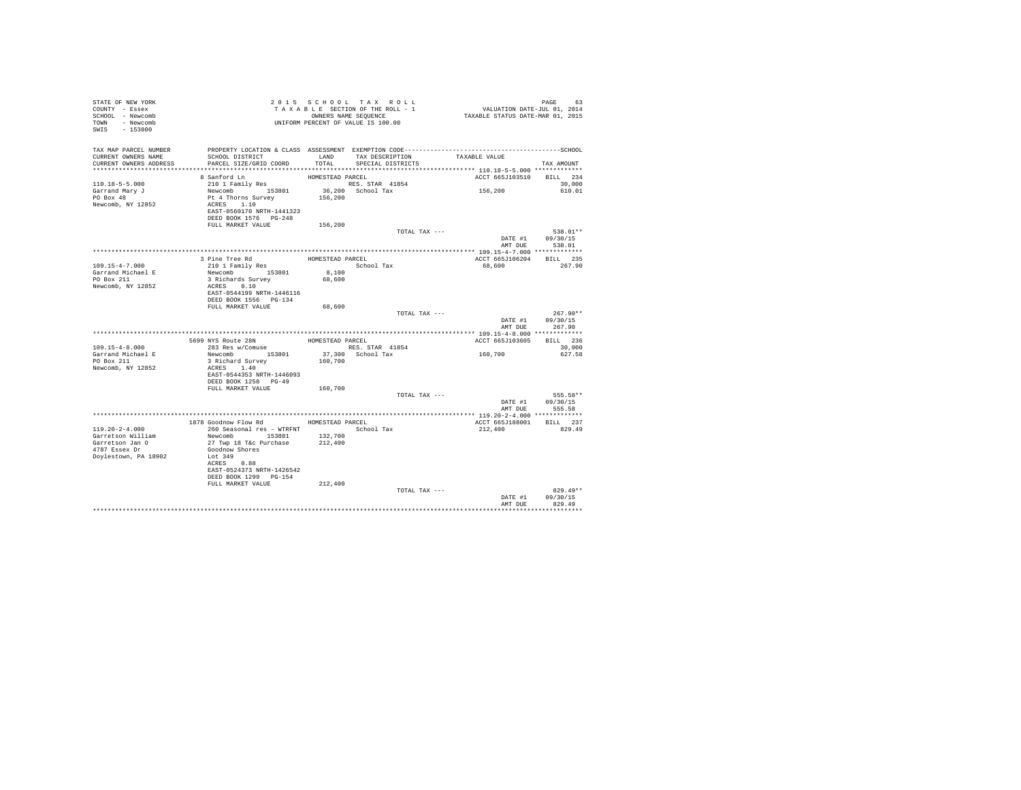| STATE OF NEW YORK<br>COUNTY - Essex<br>SCHOOL - Newcomb |                                                                                              |                  | 2015 SCHOOL TAX ROLL<br>TAXABLE SECTION OF THE ROLL - 1<br>OWNERS NAME SEQUENCE | PAGE 63<br>VALUATION DATE-JUL 01, 2014<br>TAXABLE STATUS DATE-MAR 01, 2015 |                            |
|---------------------------------------------------------|----------------------------------------------------------------------------------------------|------------------|---------------------------------------------------------------------------------|----------------------------------------------------------------------------|----------------------------|
| TOWN - Newcomb<br>SWIS - 153800                         | UNIFORM PERCENT OF VALUE IS 100.00                                                           |                  |                                                                                 |                                                                            |                            |
| TAX MAP PARCEL NUMBER                                   | PROPERTY LOCATION & CLASS ASSESSMENT EXEMPTION CODE-----------------------------------SCHOOL |                  |                                                                                 |                                                                            |                            |
| CURRENT OWNERS NAME<br>CURRENT OWNERS ADDRESS           | SCHOOL DISTRICT<br>PARCEL SIZE/GRID COORD                                                    | TOTAL.           | LAND TAX DESCRIPTION<br>SPECIAL DISTRICTS                                       | TAXABLE VALUE                                                              | TAX AMOUNT                 |
|                                                         |                                                                                              |                  |                                                                                 |                                                                            |                            |
|                                                         | 8 Sanford Ln                                                                                 | HOMESTEAD PARCEL |                                                                                 | ACCT 665J103510 BILL 234                                                   |                            |
| $110.18 - 5 - 5.000$                                    | 210 1 Family Res                                                                             |                  | RES. STAR 41854                                                                 |                                                                            | 30,000                     |
| Garrand Mary J                                          | Newcomb 153801                                                                               |                  | $36,200$ School Tax                                                             | 156,200                                                                    | 610.01                     |
| PO Box 48                                               | Pt 4 Thorns Survey                                                                           | 156,200          |                                                                                 |                                                                            |                            |
| Newcomb, NY 12852                                       | ACRES 1.10                                                                                   |                  |                                                                                 |                                                                            |                            |
|                                                         | EAST-0560170 NRTH-1441323                                                                    |                  |                                                                                 |                                                                            |                            |
|                                                         | DEED BOOK 1576   PG-248                                                                      |                  |                                                                                 |                                                                            |                            |
|                                                         | FULL MARKET VALUE                                                                            | 156,200          | TOTAL TAX ---                                                                   |                                                                            | 538.01**                   |
|                                                         |                                                                                              |                  |                                                                                 |                                                                            | DATE #1 09/30/15           |
|                                                         |                                                                                              |                  |                                                                                 |                                                                            | AMT DUE 538.01             |
|                                                         |                                                                                              |                  |                                                                                 |                                                                            |                            |
|                                                         | 3 Pine Tree Rd                                                                               | HOMESTEAD PARCEL |                                                                                 | ACCT 665J106204 BILL 235                                                   |                            |
| 109.15-4-7.000                                          | 210 1 Family Res                                                                             |                  | School Tax                                                                      | 68,600                                                                     | 267.90                     |
| Garrand Michael E                                       | Newcomb 153801                                                                               | 8,100            |                                                                                 |                                                                            |                            |
| PO Box 211                                              | 3 Richards Survey                                                                            | 68,600           |                                                                                 |                                                                            |                            |
| Newcomb, NY 12852                                       | ACRES 0.10                                                                                   |                  |                                                                                 |                                                                            |                            |
|                                                         | EAST-0544199 NRTH-1446116                                                                    |                  |                                                                                 |                                                                            |                            |
|                                                         | DEED BOOK 1556    PG-134                                                                     |                  |                                                                                 |                                                                            |                            |
|                                                         | FULL MARKET VALUE                                                                            | 68,600           |                                                                                 |                                                                            |                            |
|                                                         |                                                                                              |                  | TOTAL TAX ---                                                                   |                                                                            | $267.90**$                 |
|                                                         |                                                                                              |                  |                                                                                 |                                                                            |                            |
|                                                         |                                                                                              |                  |                                                                                 |                                                                            | DATE #1 09/30/15           |
|                                                         |                                                                                              |                  |                                                                                 | AMT DUE                                                                    | 267.90                     |
|                                                         |                                                                                              |                  |                                                                                 |                                                                            |                            |
|                                                         | 5699 NYS Route 28N                                                                           | HOMESTEAD PARCEL |                                                                                 | ACCT 665J103605                                                            | BILL 236                   |
| $109.15 - 4 - 8.000$                                    | 283 Res w/Comuse                                                                             |                  | RES. STAR 41854                                                                 |                                                                            | 30,000                     |
|                                                         | Newcomb 153801                                                                               |                  | 37,300 School Tax                                                               | 160,700                                                                    | 627.58                     |
| Garrand Michael E<br>PO Box 211                         | 3 Richard Survey                                                                             | 160,700          |                                                                                 |                                                                            |                            |
| Newcomb, NY 12852                                       | ACRES 1.40                                                                                   |                  |                                                                                 |                                                                            |                            |
|                                                         | EAST-0544353 NRTH-1446093                                                                    |                  |                                                                                 |                                                                            |                            |
|                                                         | DEED BOOK 1258 PG-49<br>FULL MARKET VALUE                                                    |                  |                                                                                 |                                                                            |                            |
|                                                         |                                                                                              | 160,700          | TOTAL TAX ---                                                                   |                                                                            | 555.58**                   |
|                                                         |                                                                                              |                  |                                                                                 |                                                                            | DATE #1 09/30/15           |
|                                                         |                                                                                              |                  |                                                                                 | AMT DUE                                                                    | 555.58                     |
|                                                         |                                                                                              |                  |                                                                                 |                                                                            |                            |
|                                                         | 1878 Goodnow Flow Rd MOMESTEAD PARCEL                                                        |                  |                                                                                 | ACCT 665J188001 BILL 237                                                   |                            |
| $119.20 - 2 - 4.000$                                    | 260 Seasonal res - WTRFNT                                                                    |                  | School Tax                                                                      | 212,400                                                                    | 829.49                     |
| Garretson William                                       | Newcomb 153801 132,700                                                                       |                  |                                                                                 |                                                                            |                            |
| Garretson Jan O                                         | 27 Twp 18 T&c Purchase                                                                       | 212,400          |                                                                                 |                                                                            |                            |
| 4787 Essex Dr                                           | Goodnow Shores                                                                               |                  |                                                                                 |                                                                            |                            |
| Doylestown, PA 18902                                    | Lot 349                                                                                      |                  |                                                                                 |                                                                            |                            |
|                                                         | ACRES 0.88                                                                                   |                  |                                                                                 |                                                                            |                            |
|                                                         | EAST-0524373 NRTH-1426542                                                                    |                  |                                                                                 |                                                                            |                            |
|                                                         | DEED BOOK 1299 PG-154                                                                        |                  |                                                                                 |                                                                            |                            |
|                                                         | FULL MARKET VALUE                                                                            | 212,400          |                                                                                 |                                                                            |                            |
|                                                         |                                                                                              |                  | TOTAL TAX ---                                                                   |                                                                            | $829.49**$                 |
|                                                         |                                                                                              |                  |                                                                                 | AMT DUE                                                                    | DATE #1 09/30/15<br>829.49 |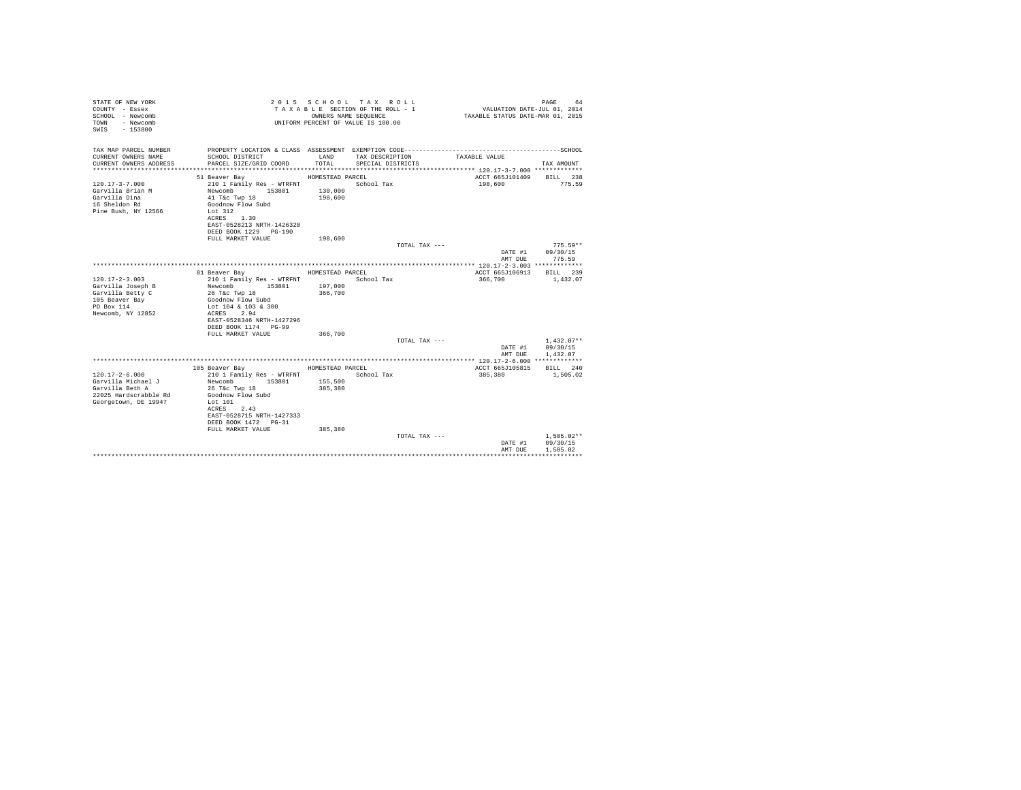| STATE OF NEW YORK<br>COUNTY - Essex<br>SCHOOL - Newcomb<br>- Newcomb<br>TOWN<br>SWIS - 153800                      |                                                                                                                                                                                                                      |                                                   | 2015 SCHOOL TAX ROLL<br>TAXABLE SECTION OF THE ROLL - 1<br>OWNERS NAME SEQUENCE<br>UNIFORM PERCENT OF VALUE IS 100.00 | VALUATION DATE-JUL $01, 2014$<br>TAXABLE STATUS DATE-MAR 01, 2015 | PAGE<br>64                                |
|--------------------------------------------------------------------------------------------------------------------|----------------------------------------------------------------------------------------------------------------------------------------------------------------------------------------------------------------------|---------------------------------------------------|-----------------------------------------------------------------------------------------------------------------------|-------------------------------------------------------------------|-------------------------------------------|
| TAX MAP PARCEL NUMBER<br>CURRENT OWNERS NAME<br>CURRENT OWNERS ADDRESS                                             | SCHOOL DISTRICT<br>PARCEL SIZE/GRID COORD                                                                                                                                                                            | LAND<br>TOTAL.                                    | PROPERTY LOCATION & CLASS ASSESSMENT EXEMPTION CODE------------------------<br>TAX DESCRIPTION<br>SPECIAL DISTRICTS   | TAXABLE VALUE                                                     | ------------------SCHOOL<br>TAX AMOUNT    |
| $120.17 - 3 - 7.000$<br>Garvilla Brian M<br>Garvilla Dina<br>16 Sheldon Rd<br>Pine Bush, NY 12566                  | 51 Beaver Bay<br>210 1 Family Res - WTRFNT<br>Newcomb<br>153801<br>41 T&c Twp 18<br>Goodnow Flow Subd<br>Lot 312<br>ACRES 1.30<br>EAST-0528213 NRTH-1426320<br>DEED BOOK 1229 PG-190<br>FULL MARKET VALUE            | HOMESTEAD PARCEL<br>130,000<br>198,600<br>198,600 | School Tax                                                                                                            | ACCT 665J101409<br>198,600                                        | <b>BILL</b> 238<br>775.59                 |
|                                                                                                                    |                                                                                                                                                                                                                      |                                                   | TOTAL TAX ---                                                                                                         | DATE #1<br>AMT DUE                                                | $775.59**$<br>09/30/15<br>775.59          |
| $120.17 - 2 - 3.003$<br>Garvilla Joseph B<br>Garvilla Betty C<br>105 Beaver Bay<br>PO Box 114<br>Newcomb, NY 12852 | 81 Beaver Bay<br>210 1 Family Res - WTRFNT<br>Newcomb<br>153801<br>26 T&c Twp 18<br>Goodnow Flow Subd<br>Lot 104 & 103 & 300<br>ACRES 2.94<br>EAST-0528346 NRTH-1427296<br>DEED BOOK 1174 PG-99<br>FULL MARKET VALUE | HOMESTEAD PARCEL<br>197,000<br>366,700<br>366,700 | School Tax                                                                                                            | ACCT 665J106913<br>366,700                                        | BILL 239<br>1,432.07                      |
|                                                                                                                    |                                                                                                                                                                                                                      |                                                   | TOTAL TAX ---                                                                                                         | DATE #1<br>AMT DUE                                                | $1.432.07**$<br>09/30/15<br>1,432.07      |
| $120.17 - 2 - 6.000$<br>Garvilla Michael J<br>Garvilla Beth A<br>22025 Hardscrabble Rd<br>Georgetown, DE 19947     | 105 Beaver Bay<br>210 1 Family Res - WTRFNT<br>Newcomb<br>153801<br>26 T&c Twp 18<br>Goodnow Flow Subd<br>Lot 101<br>ACRES 2.43<br>EAST-0528715 NRTH-1427333<br>DEED BOOK 1472 PG-31<br>FULL MARKET VALUE            | HOMESTEAD PARCEL<br>155,500<br>385,380<br>385,380 | School Tax                                                                                                            | ACCT 665J105815 BILL 240<br>385,380                               | 1,505.02                                  |
|                                                                                                                    |                                                                                                                                                                                                                      |                                                   | TOTAL TAX ---                                                                                                         | DATE #1<br>AMT DUE                                                | $1.505.02**$<br>09/30/15<br>1,505.02<br>. |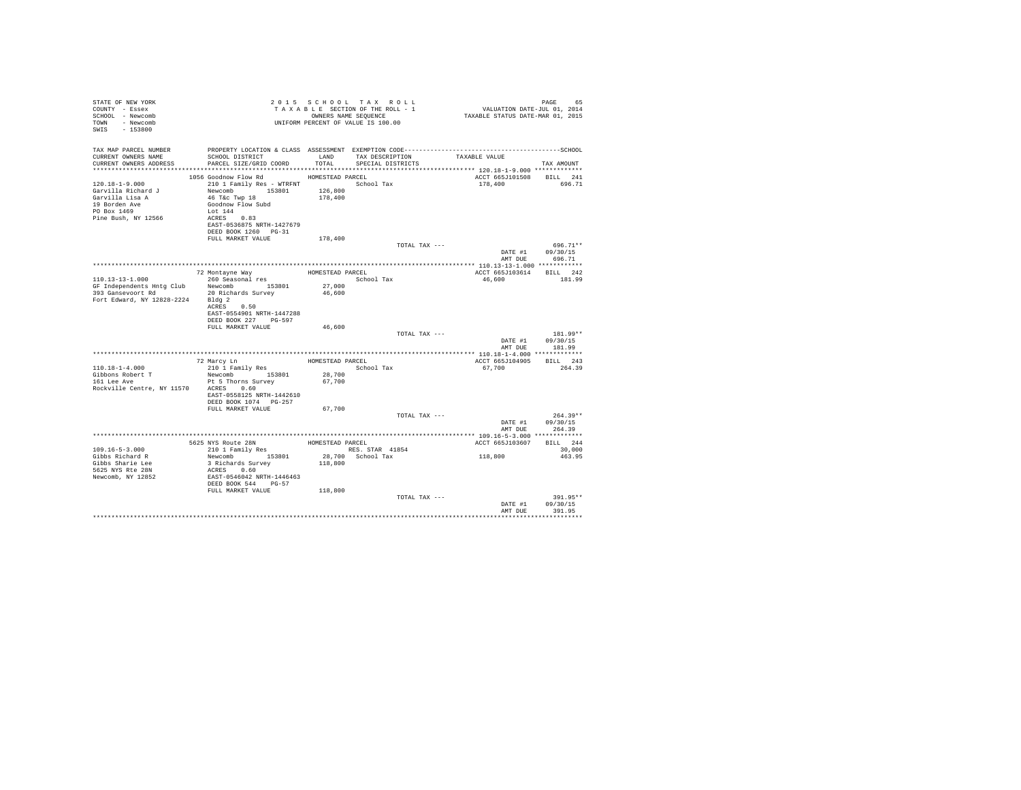| STATE OF NEW YORK<br>COUNTY - Essex<br>SCHOOL - Newcomb<br>TOWN - Newcomb<br>SWIS - 153800                           |                                                                                                                                            |                  | 2015 SCHOOL TAX ROLL<br>TAXABLE SECTION OF THE ROLL - 1<br>OWNERS NAME SEOUENCE<br>UNIFORM PERCENT OF VALUE IS 100.00 |               | 65 PAGE<br>2014 VALUATION DATE-JUL<br>2015 TAXABLE STATUS DATE-MAR | PAGE<br>65                               |
|----------------------------------------------------------------------------------------------------------------------|--------------------------------------------------------------------------------------------------------------------------------------------|------------------|-----------------------------------------------------------------------------------------------------------------------|---------------|--------------------------------------------------------------------|------------------------------------------|
| TAX MAP PARCEL NUMBER<br>CURRENT OWNERS NAME<br>CURRENT OWNERS ADDRESS                                               | SCHOOL DISTRICT<br>PARCEL SIZE/GRID COORD TOTAL                                                                                            | LAND             | TAX DESCRIPTION TAXABLE VALUE<br>SPECIAL DISTRICTS                                                                    |               |                                                                    | TAX AMOUNT                               |
|                                                                                                                      | 1056 Goodnow Flow Rd                                                                                                                       | HOMESTEAD PARCEL |                                                                                                                       |               | ACCT 665J101508 BILL 241                                           |                                          |
| $120.18 - 1 - 9.000$<br>Garvilla Richard J<br>Garvilla Lisa A<br>19 Borden Ave<br>PO Box 1469<br>Pine Bush, NY 12566 | Newcomb 153801 126,800<br>46 T&C Twp 18<br>Goodnow Flow Subd<br>Lot 144<br>ACRES 0.83<br>EAST-0536875 NRTH-1427679<br>DEED BOOK 1260 PG-31 | 178,400          |                                                                                                                       |               | 178,400                                                            | 696.71                                   |
|                                                                                                                      | FULL MARKET VALUE                                                                                                                          | 178,400          |                                                                                                                       |               |                                                                    |                                          |
|                                                                                                                      |                                                                                                                                            |                  |                                                                                                                       | TOTAL TAX --- | DATE #1                                                            | $696.71**$<br>09/30/15<br>AMT DUE 696.71 |
|                                                                                                                      |                                                                                                                                            |                  |                                                                                                                       |               |                                                                    |                                          |
|                                                                                                                      | 72 Montayne Way MomesTEAD PARCEL<br>260 Seasonal res and School Tax                                                                        |                  |                                                                                                                       |               | ACCT 665J103614 BILL 242                                           |                                          |
| $110.13 - 13 - 1.000$                                                                                                |                                                                                                                                            |                  | School Tax                                                                                                            |               | 46,600                                                             | 181.99                                   |
|                                                                                                                      | GF Independents Hntg Club Newcomb 153801<br>393 Gansevoort Rd 20 Richards Survey                                                           | 27,000<br>46,600 |                                                                                                                       |               |                                                                    |                                          |
| Fort Edward, NY 12828-2224 Bldg 2                                                                                    | ACRES 0.50<br>EAST-0554901 NRTH-1447288<br>DEED BOOK 227 PG-597                                                                            |                  |                                                                                                                       |               |                                                                    |                                          |
|                                                                                                                      | FULL MARKET VALUE                                                                                                                          | 46,600           |                                                                                                                       |               |                                                                    |                                          |
|                                                                                                                      |                                                                                                                                            |                  |                                                                                                                       | TOTAL TAX --- | DATE #1                                                            | $181.99**$<br>09/30/15<br>AMT DUE 181.99 |
|                                                                                                                      |                                                                                                                                            |                  |                                                                                                                       |               |                                                                    |                                          |
| $110.18 - 1 - 4.000$                                                                                                 |                                                                                                                                            |                  | School Tax                                                                                                            |               | ACCT 665J104905 BILL 243<br>67.700                                 | 264.39                                   |
| Gibbons Robert T<br>161 Lee Ave                                                                                      | Newcomb 153801 28,700<br>Pt 5 Thorns Survey                                                                                                | 67,700           |                                                                                                                       |               |                                                                    |                                          |
| Rockville Centre, NY 11570 ACRES 0.60                                                                                | EAST-0558125 NRTH-1442610<br>DEED BOOK 1074 PG-257                                                                                         |                  |                                                                                                                       |               |                                                                    |                                          |
|                                                                                                                      | FULL MARKET VALUE                                                                                                                          | 67,700           |                                                                                                                       |               |                                                                    |                                          |
|                                                                                                                      |                                                                                                                                            |                  |                                                                                                                       | TOTAL TAX --- | AMT DUE                                                            | $264.39**$<br>DATE #1 09/30/15<br>264.39 |
|                                                                                                                      |                                                                                                                                            |                  |                                                                                                                       |               |                                                                    |                                          |
|                                                                                                                      | 5625 NYS Route 28N HOMESTEAD PARCEL 210 1 Family Res RES. ST                                                                               |                  |                                                                                                                       |               | ACCT 665J103607                                                    | BILL 244                                 |
| $109.16 - 5 - 3.000$                                                                                                 |                                                                                                                                            |                  | RES. STAR 41854                                                                                                       |               |                                                                    | 30,000                                   |
| Gibbs Richard R                                                                                                      | Newcomb 153801                                                                                                                             |                  | 28,700 School Tax                                                                                                     |               | 118,800                                                            | 463.95                                   |
| Gibbs Sharie Lee<br>5625 NYS Rte 28N                                                                                 | 3 Richards Survey<br>ACRES 0.60                                                                                                            | 118,800          |                                                                                                                       |               |                                                                    |                                          |
| Newcomb, NY 12852                                                                                                    | EAST-0546042 NRTH-1446463<br>DEED BOOK 544 PG-57                                                                                           |                  |                                                                                                                       |               |                                                                    |                                          |
|                                                                                                                      | FULL MARKET VALUE                                                                                                                          | 118,800          |                                                                                                                       |               |                                                                    |                                          |
|                                                                                                                      |                                                                                                                                            |                  |                                                                                                                       | TOTAL TAX --- | DATE #1<br>AMT DUR                                                 | $391.95**$<br>09/30/15<br>391.95         |
|                                                                                                                      |                                                                                                                                            |                  |                                                                                                                       |               |                                                                    |                                          |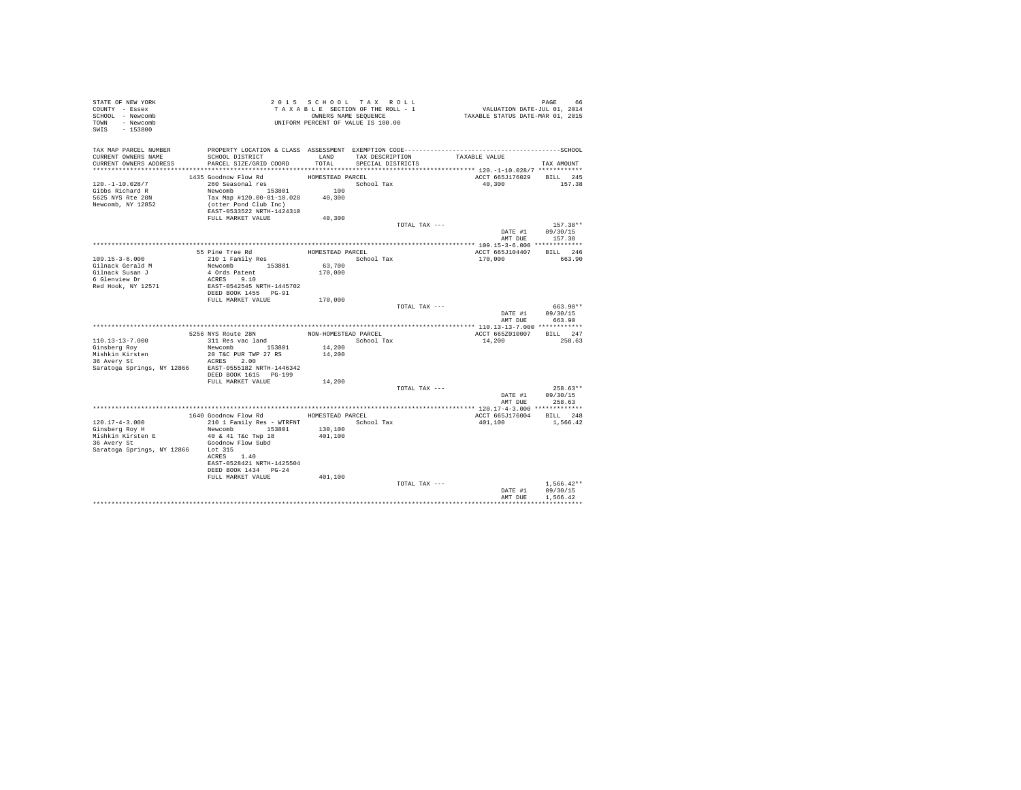| STATE OF NEW YORK                                    |                                          |                      | 2015 SCHOOL TAX ROLL               |                                    |                                                                            |                  |
|------------------------------------------------------|------------------------------------------|----------------------|------------------------------------|------------------------------------|----------------------------------------------------------------------------|------------------|
| COUNTY - Essex                                       |                                          |                      | TAXABLE SECTION OF THE ROLL - 1    |                                    | PAGE 66<br>VALUATION DATE-JUL 01, 2014<br>TAXABLE STATUS DATE-MAR 01, 2015 |                  |
| SCHOOL - Newcomb                                     |                                          |                      | OWNERS NAME SEQUENCE               |                                    |                                                                            |                  |
| TOWN - Newcomb                                       |                                          |                      | UNIFORM PERCENT OF VALUE IS 100.00 |                                    |                                                                            |                  |
| SWIS - 153800                                        |                                          |                      |                                    |                                    |                                                                            |                  |
|                                                      |                                          |                      |                                    |                                    |                                                                            |                  |
|                                                      |                                          |                      |                                    |                                    |                                                                            |                  |
| TAX MAP PARCEL NUMBER                                |                                          |                      |                                    |                                    |                                                                            |                  |
| CURRENT OWNERS NAME                                  | SCHOOL DISTRICT                          |                      |                                    | LAND TAX DESCRIPTION TAXABLE VALUE |                                                                            |                  |
| CURRENT OWNERS ADDRESS                               | PARCEL SIZE/GRID COORD                   | TOTAL                | SPECIAL DISTRICTS                  |                                    |                                                                            | TAX AMOUNT       |
|                                                      |                                          |                      |                                    |                                    |                                                                            |                  |
|                                                      | 1435 Goodnow Flow Rd<br>260 Seasonal res | HOMESTEAD PARCEL     |                                    |                                    | ACCT 665J176029 BILL 245                                                   |                  |
| $120. - 1 - 10.028/7$                                |                                          |                      | School Tax                         |                                    | 40,300                                                                     | 157.38           |
| Gibbs Richard R                                      | Newcomb $153801$                         | 100                  |                                    |                                    |                                                                            |                  |
| 5625 NYS Rte 28N                                     | Tax Map #120.00-01-10.028 40,300         |                      |                                    |                                    |                                                                            |                  |
| Newcomb, NY 12852                                    | (otter Pond Club Inc)                    |                      |                                    |                                    |                                                                            |                  |
|                                                      | EAST-0533522 NRTH-1424310                |                      |                                    |                                    |                                                                            |                  |
|                                                      | FULL MARKET VALUE                        | 40,300               |                                    |                                    |                                                                            |                  |
|                                                      |                                          |                      |                                    | TOTAL TAX ---                      |                                                                            | $157.38**$       |
|                                                      |                                          |                      |                                    |                                    |                                                                            | DATE #1 09/30/15 |
|                                                      |                                          |                      |                                    |                                    |                                                                            | AMT DUE 157.38   |
|                                                      |                                          |                      |                                    |                                    |                                                                            |                  |
|                                                      | 55 Pine Tree Rd                          | HOMESTEAD PARCEL     |                                    |                                    | ACCT 665J104407 BILL 246                                                   |                  |
| $109.15 - 3 - 6.000$                                 | 210 1 Family Res                         |                      | School Tax                         |                                    | 170,000                                                                    | 663.90           |
|                                                      | Newcomb 153801 63,700                    |                      |                                    |                                    |                                                                            |                  |
| Gilnack Gerald M                                     |                                          |                      |                                    |                                    |                                                                            |                  |
| Gilnack Susan J                                      | 4 Ords Patent<br>ACRES 9.10              | 170,000              |                                    |                                    |                                                                            |                  |
| 6 Glenview Dr                                        |                                          |                      |                                    |                                    |                                                                            |                  |
| Red Hook, NY 12571                                   | EAST-0542545 NRTH-1445702                |                      |                                    |                                    |                                                                            |                  |
|                                                      | DEED BOOK 1455 PG-91                     |                      |                                    |                                    |                                                                            |                  |
|                                                      | FULL MARKET VALUE                        | 170,000              |                                    |                                    |                                                                            |                  |
|                                                      |                                          |                      |                                    | TOTAL TAX ---                      |                                                                            | 663.90**         |
|                                                      |                                          |                      |                                    |                                    |                                                                            | DATE #1 09/30/15 |
|                                                      |                                          |                      |                                    |                                    |                                                                            | AMT DUE 663.90   |
|                                                      |                                          |                      |                                    |                                    |                                                                            |                  |
|                                                      | 5256 NYS Route 28N                       | NON-HOMESTEAD PARCEL |                                    |                                    | ACCT 665Z010007 BILL 247                                                   |                  |
| 110.13-13-7.000                                      | 311 Res vac land                         |                      | School Tax                         |                                    | 14,200                                                                     | 258.63           |
| Ginsberg Roy                                         | Newcomb 153801                           | 14,200               |                                    |                                    |                                                                            |                  |
| Mishkin Kirsten<br>36 Avery St                       | 20 T&C PUR TWP 27 RS<br>ACRES 2.00       | 14,200               |                                    |                                    |                                                                            |                  |
|                                                      |                                          |                      |                                    |                                    |                                                                            |                  |
| Saratoga Springs, NY 12866 EAST-0555182 NRTH-1446342 |                                          |                      |                                    |                                    |                                                                            |                  |
|                                                      | DEED BOOK 1615 PG-199                    |                      |                                    |                                    |                                                                            |                  |
|                                                      | FULL MARKET VALUE                        | 14,200               |                                    |                                    |                                                                            |                  |
|                                                      |                                          |                      |                                    | TOTAL TAX ---                      |                                                                            | $258.63**$       |
|                                                      |                                          |                      |                                    |                                    |                                                                            | DATE #1 09/30/15 |
|                                                      |                                          |                      |                                    |                                    | AMT DUE                                                                    | 258.63           |
|                                                      |                                          |                      |                                    |                                    |                                                                            |                  |
|                                                      | 1640 Goodnow Flow Rd HOMESTEAD PARCEL    |                      |                                    |                                    | ACCT 665J176004 BILL 248                                                   |                  |
| $120.17 - 4 - 3.000$                                 | 210 1 Family Res - WTRFNT School Tax     |                      |                                    |                                    | 401,100                                                                    | 1,566.42         |
| Ginsberg Roy H                                       | Newcomb 153801                           | 130,100              |                                    |                                    |                                                                            |                  |
|                                                      |                                          | 401,100              |                                    |                                    |                                                                            |                  |
|                                                      |                                          |                      |                                    |                                    |                                                                            |                  |
| Saratoga Springs, NY 12866 Lot 315                   |                                          |                      |                                    |                                    |                                                                            |                  |
|                                                      | ACRES 1.40                               |                      |                                    |                                    |                                                                            |                  |
|                                                      | EAST-0528421 NRTH-1425504                |                      |                                    |                                    |                                                                            |                  |
|                                                      | DEED BOOK 1434 PG-24                     |                      |                                    |                                    |                                                                            |                  |
|                                                      | FULL MARKET VALUE                        | 401,100              |                                    |                                    |                                                                            |                  |
|                                                      |                                          |                      |                                    | TOTAL TAX ---                      |                                                                            | $1.566.42**$     |
|                                                      |                                          |                      |                                    |                                    |                                                                            | DATE #1 09/30/15 |
|                                                      |                                          |                      |                                    |                                    | AMT DUE                                                                    | 1.566.42         |
|                                                      |                                          |                      |                                    |                                    |                                                                            |                  |
|                                                      |                                          |                      |                                    |                                    |                                                                            |                  |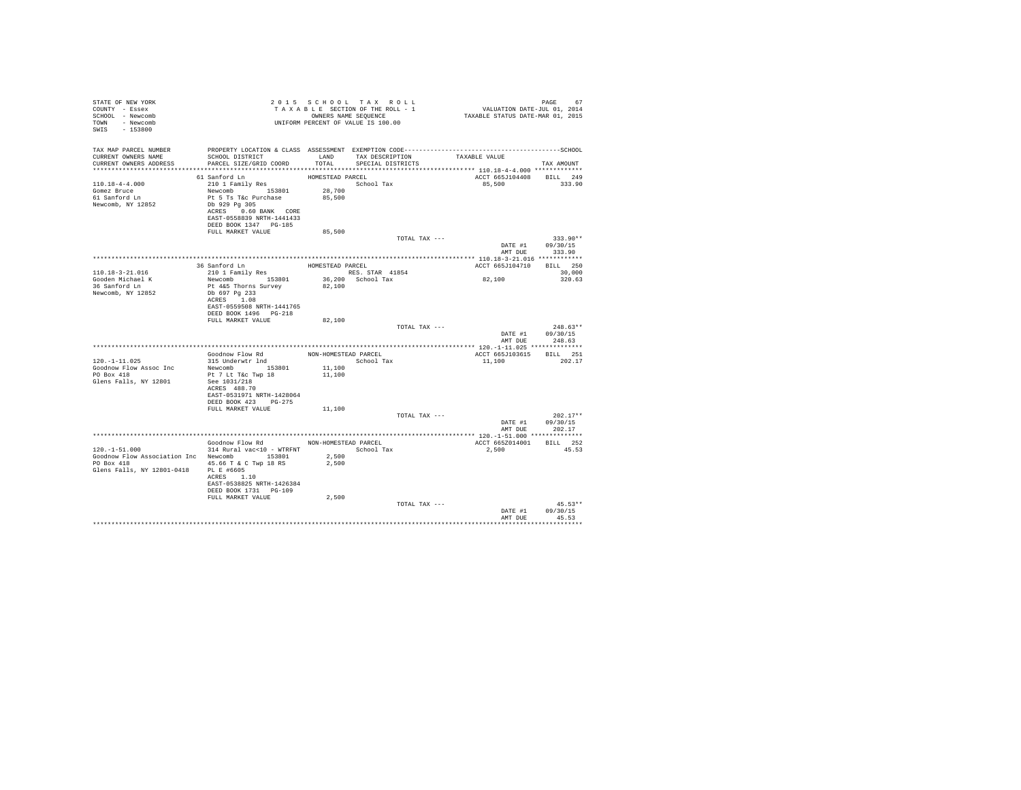| STATE OF NEW YORK<br>COUNTY - Essex<br>SCHOOL - Newcomb<br>TOWN - Newcomb<br>SWIS<br>$-153800$                          |                                                                                  |                  | 2015 SCHOOL TAX ROLL<br>TAXABLE SECTION OF THE ROLL - 1<br>OWNERS NAME SEQUENCE<br>UNIFORM PERCENT OF VALUE IS 100.00 |               | VALUATION DATE-JUL 01, 2014<br>TAXABLE STATUS DATE-MAR 01, 2015 | PAGE<br>67                       |
|-------------------------------------------------------------------------------------------------------------------------|----------------------------------------------------------------------------------|------------------|-----------------------------------------------------------------------------------------------------------------------|---------------|-----------------------------------------------------------------|----------------------------------|
| TAX MAP PARCEL NUMBER<br>CURRENT OWNERS NAME<br>CURRENT OWNERS ADDRESS . PARCEL SIZE/GRID COORD TOTAL SPECIAL DISTRICTS | SCHOOL DISTRICT TAND TAX DESCRIPTION                                             |                  |                                                                                                                       |               | TAXABLE VALUE                                                   | TAX AMOUNT                       |
|                                                                                                                         |                                                                                  |                  |                                                                                                                       |               |                                                                 |                                  |
|                                                                                                                         | 61 Sanford Ln<br>210 1 Family Res                                                | HOMESTEAD PARCEL | School Tax                                                                                                            |               | ACCT 665J104408 BILL 249                                        | 333.90                           |
| $110.18 - 4 - 4.000$<br>Gomez Bruce                                                                                     |                                                                                  |                  |                                                                                                                       |               | 85,500                                                          |                                  |
| 61 Sanford Ln                                                                                                           | Newcomb 153801 28,700<br>Pt 5 Ts T&c Purchase 85,500                             |                  |                                                                                                                       |               |                                                                 |                                  |
| Newcomb, NY 12852                                                                                                       | Db 929 Pg 305<br>ACRES 0.60 BANK CORE<br>EAST-0558839 NRTH-1441433               |                  |                                                                                                                       |               |                                                                 |                                  |
|                                                                                                                         | DEED BOOK 1347 PG-185                                                            |                  |                                                                                                                       |               |                                                                 |                                  |
|                                                                                                                         | FULL MARKET VALUE                                                                | 85,500           |                                                                                                                       |               |                                                                 |                                  |
|                                                                                                                         |                                                                                  |                  |                                                                                                                       | TOTAL TAX --- | DATE #1<br>AMT DUE                                              | $333.90**$<br>09/30/15<br>333.90 |
|                                                                                                                         |                                                                                  |                  |                                                                                                                       |               |                                                                 |                                  |
|                                                                                                                         | 36 Sanford Ln                                                                    | HOMESTEAD PARCEL |                                                                                                                       |               | ACCT 665J104710 BILL 250                                        |                                  |
| $110.18 - 3 - 21.016$                                                                                                   | 210 1 Family Res                                                                 |                  | RES. STAR 41854                                                                                                       |               |                                                                 | 30,000                           |
| Gooden Michael K                                                                                                        | Newcomb 153801                                                                   |                  | 36,200 School Tax                                                                                                     |               | 82,100                                                          | 320.63                           |
| 36 Sanford Ln<br>Newcomb, NY 12852                                                                                      | Pt 4&5 Thorns Survey<br>Db 697 Pg 233<br>ACRES 1.08<br>EAST-0559508 NRTH-1441765 | 82,100           |                                                                                                                       |               |                                                                 |                                  |
|                                                                                                                         | DEED BOOK 1496   PG-218<br>FULL MARKET VALUE                                     | 82,100           |                                                                                                                       |               |                                                                 |                                  |
|                                                                                                                         |                                                                                  |                  |                                                                                                                       | TOTAL TAX --- |                                                                 | $248.63**$                       |
|                                                                                                                         |                                                                                  |                  |                                                                                                                       |               | DATE #1<br>AMT DUE                                              | 09/30/15<br>248.63               |
|                                                                                                                         |                                                                                  |                  |                                                                                                                       |               |                                                                 |                                  |
|                                                                                                                         |                                                                                  |                  |                                                                                                                       |               | ACCT 665J103615 BILL 251                                        |                                  |
| $120. -1 - 11.025$<br>Goodnow Flow Assoc Inc                                                                            | Newcomb 153801                                                                   | 11,100           |                                                                                                                       |               | 11,100                                                          | 202.17                           |
| PO Box 418<br>Glens Falls, NY 12801                                                                                     | Pt 7 Lt T&c Twp 18<br>See 1031/218                                               | 11,100           |                                                                                                                       |               |                                                                 |                                  |
|                                                                                                                         | ACRES 488.70<br>EAST-0531971 NRTH-1428064                                        |                  |                                                                                                                       |               |                                                                 |                                  |
|                                                                                                                         | DEED BOOK 423 PG-275                                                             |                  |                                                                                                                       |               |                                                                 |                                  |
|                                                                                                                         | FULL MARKET VALUE                                                                | 11,100           |                                                                                                                       |               |                                                                 |                                  |
|                                                                                                                         |                                                                                  |                  |                                                                                                                       | TOTAL TAX --- |                                                                 | $202.17**$<br>DATE #1 09/30/15   |
|                                                                                                                         |                                                                                  |                  |                                                                                                                       |               | AMT DUE                                                         | 202.17                           |
|                                                                                                                         |                                                                                  |                  |                                                                                                                       |               |                                                                 |                                  |
|                                                                                                                         | Goodnow Flow Rd NON-HOMESTEAD PARCEL                                             |                  |                                                                                                                       |               | ACCT 665Z014001 BILL 252                                        |                                  |
| $120. - 1 - 51.000$                                                                                                     | 314 Rural vac<10 - WTRFNT                                                        |                  | School Tax                                                                                                            |               | 2,500                                                           | 45.53                            |
| Goodnow Flow Association Inc Newcomb 153801<br>PO Box 418<br>Glens Falls, NY 12801-0418 PL E #6605                      | 45.66 T & C Twp 18 RS<br>ACRES 1.10                                              | 2,500<br>2,500   |                                                                                                                       |               |                                                                 |                                  |
|                                                                                                                         | EAST-0538825 NRTH-1426384<br>DEED BOOK 1731 PG-109<br>FULL MARKET VALUE          | 2,500            |                                                                                                                       |               |                                                                 |                                  |
|                                                                                                                         |                                                                                  |                  |                                                                                                                       | TOTAL TAX --- | DATE #1                                                         | $45.53**$<br>09/30/15            |
|                                                                                                                         |                                                                                  |                  |                                                                                                                       |               | AMT DUE                                                         | 45.53                            |
|                                                                                                                         |                                                                                  |                  |                                                                                                                       |               |                                                                 |                                  |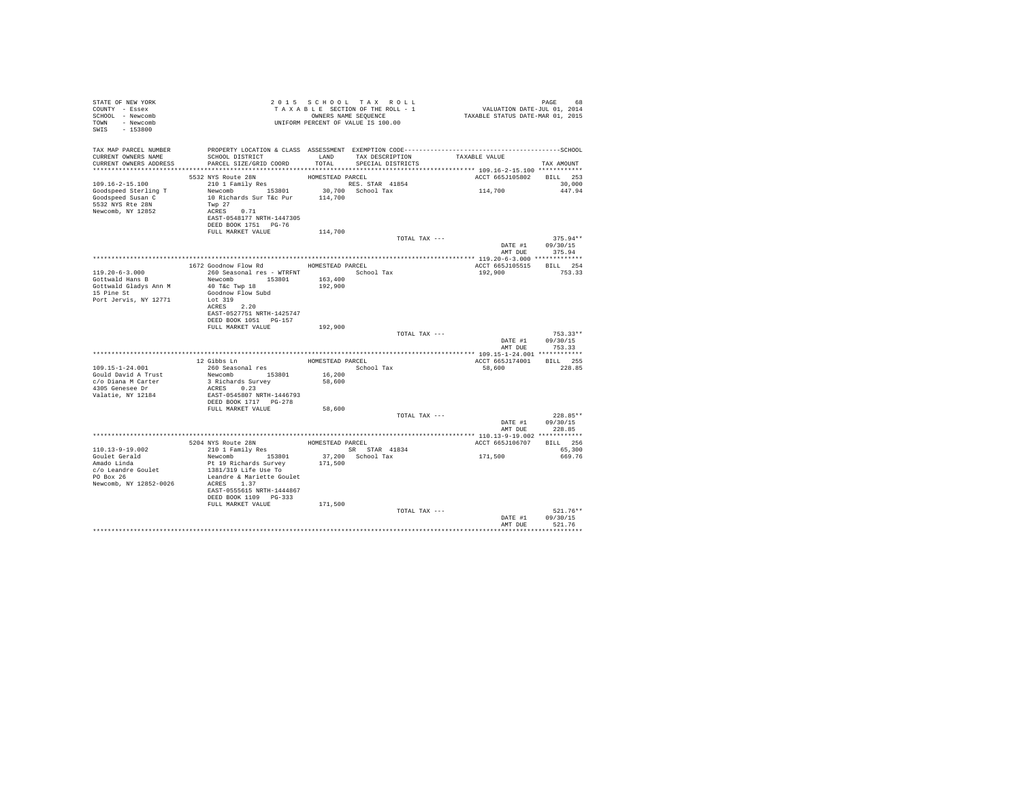| T A X A B L B SECTION OF THE ROLL - 1<br>T A X A B L B SECTION OF THE ROLL - 1<br>OWNERS NAME SEQUENCE<br>UNIFORM PERCENT OF VALUE IS 100.00<br>COUNTY - Essex<br>SCHOOL - Newcomb<br>TOWN - Newcomb<br>SWIS - 153800                                                                                         |                    | 2015 SCHOOL TAX ROLL               | PAGE 68<br>VALUATION DATE-JUL 01, 2014<br>TAXABLE STATUS DATE-MAR 01, 2015 |                                |
|---------------------------------------------------------------------------------------------------------------------------------------------------------------------------------------------------------------------------------------------------------------------------------------------------------------|--------------------|------------------------------------|----------------------------------------------------------------------------|--------------------------------|
| TAX MAP PARCEL NUMBER                                                                                                                                                                                                                                                                                         |                    |                                    |                                                                            |                                |
| CURRENT OWNERS NAME<br>SCHOOL DISTRICT                                                                                                                                                                                                                                                                        |                    | LAND TAX DESCRIPTION TAXABLE VALUE |                                                                            |                                |
| CURRENT OWNERS ADDRESS<br>PARCEL SIZE/GRID COORD                                                                                                                                                                                                                                                              | TOTAL              | SPECIAL DISTRICTS                  |                                                                            | TAX AMOUNT                     |
| 5532 NYS Route 28N                                                                                                                                                                                                                                                                                            | HOMESTEAD PARCEL   |                                    | ACCT 665J105802 BILL 253                                                   |                                |
|                                                                                                                                                                                                                                                                                                               |                    |                                    |                                                                            | 30,000                         |
|                                                                                                                                                                                                                                                                                                               |                    |                                    | 114,700                                                                    | 447.94                         |
| 109.16-2-15.100<br>$109.16-2-15.100$ $210 \text{ T}$<br>Goodspeed Sterling T<br>$109.16-2-15.100$ $10 \text{ T}$<br>$109.16-2-15.100$ $10 \text{ N}$<br>$109.16-2 \text{ N}$<br>$109.16-2 \text{ N}$<br>$109.16-2 \text{ N}$<br>$109.16-2 \text{ N}$<br>$109.16-2 \text{ N}$<br>$109.16-$<br>5532 NYS Rte 28N |                    |                                    |                                                                            |                                |
| Twp 27<br>ACRES 0.71<br>Newcomb, NY 12852                                                                                                                                                                                                                                                                     |                    |                                    |                                                                            |                                |
| EAST-0548177 NRTH-1447305                                                                                                                                                                                                                                                                                     |                    |                                    |                                                                            |                                |
| DEED BOOK 1751 PG-76                                                                                                                                                                                                                                                                                          |                    |                                    |                                                                            |                                |
| FULL MARKET VALUE                                                                                                                                                                                                                                                                                             | 114,700            | TOTAL TAX ---                      |                                                                            | $375.94**$                     |
|                                                                                                                                                                                                                                                                                                               |                    |                                    | 575.94*<br>DATE #1 09/30/15                                                | AMT DUE 375.94                 |
|                                                                                                                                                                                                                                                                                                               |                    |                                    |                                                                            |                                |
| 1672 Goodnow Flow Rd MOMESTEAD PARCEL                                                                                                                                                                                                                                                                         |                    |                                    | ACCT 665J105515 BILL 254                                                   |                                |
| 260 Seasonal res - WTRFNT <a>&gt;</a> School Tax<br>$119.20 - 6 - 3.000$                                                                                                                                                                                                                                      |                    |                                    | 192,900                                                                    | 753.33                         |
| Newcomb 153801<br>Gottwald Hans B<br>Gottwald Gladys Ann M<br>40 T&c Twp 18                                                                                                                                                                                                                                   | 163,400<br>192,900 |                                    |                                                                            |                                |
| 15 Pine St<br>Goodnow Flow Subd                                                                                                                                                                                                                                                                               |                    |                                    |                                                                            |                                |
| Port Jervis, NY 12771<br>Lot 319                                                                                                                                                                                                                                                                              |                    |                                    |                                                                            |                                |
| ACRES 2.20                                                                                                                                                                                                                                                                                                    |                    |                                    |                                                                            |                                |
| EAST-0527751 NRTH-1425747<br>DEED BOOK 1051 PG-157                                                                                                                                                                                                                                                            |                    |                                    |                                                                            |                                |
| FULL MARKET VALUE                                                                                                                                                                                                                                                                                             | 192,900            |                                    |                                                                            |                                |
|                                                                                                                                                                                                                                                                                                               |                    | TOTAL TAX ---                      |                                                                            | $753.33**$                     |
|                                                                                                                                                                                                                                                                                                               |                    |                                    |                                                                            | DATE #1 09/30/15               |
|                                                                                                                                                                                                                                                                                                               |                    |                                    |                                                                            | AMT DUE 753.33                 |
| 12 Gibbs Ln<br>260 Seasonal res                                                                                                                                                                                                                                                                               |                    | HOMESTEAD PARCEL                   | ACCT 665J174001 BILL 255                                                   |                                |
| 109.15-1-24.001                                                                                                                                                                                                                                                                                               |                    | School Tax                         | 58,600                                                                     | 228.85                         |
| Newcomb 153801<br>3 Richards Survey<br>Gould David A Trust                                                                                                                                                                                                                                                    | $16\,,200$         |                                    |                                                                            |                                |
| c/o Diana M Carter<br>4305 Genesee Dr<br>ACRES 0.23                                                                                                                                                                                                                                                           | 58,600             |                                    |                                                                            |                                |
| Valatie, NY 12184<br>EAST-0545807 NRTH-1446793                                                                                                                                                                                                                                                                |                    |                                    |                                                                            |                                |
| DEED BOOK 1717 PG-278                                                                                                                                                                                                                                                                                         |                    |                                    |                                                                            |                                |
| FULL MARKET VALUE                                                                                                                                                                                                                                                                                             | 58,600             |                                    |                                                                            |                                |
|                                                                                                                                                                                                                                                                                                               |                    | TOTAL TAX ---                      |                                                                            | $228.85**$<br>DATE #1 09/30/15 |
|                                                                                                                                                                                                                                                                                                               |                    |                                    | AMT DUE                                                                    | 228.85                         |
|                                                                                                                                                                                                                                                                                                               |                    |                                    |                                                                            |                                |
| 5204 NYS Route 28N HOMESTEAD PARCEL 210 1 Family Res 68 SR STAR 41834                                                                                                                                                                                                                                         |                    |                                    | ACCT 665J106707 BILL 256                                                   |                                |
| 110.13-9-19.002                                                                                                                                                                                                                                                                                               |                    | SR STAR 41834                      | 171,500                                                                    | 65,300                         |
| Goulet Gerald<br>Amado Linda<br>Newcomb 153801<br>Pt 19 Richards Survey                                                                                                                                                                                                                                       | 171,500            | 37,200 School Tax                  |                                                                            | 669.76                         |
| 1381/319 Life Use To                                                                                                                                                                                                                                                                                          |                    |                                    |                                                                            |                                |
| c/o Leandre Goulet<br>PO Box 26<br>Leandre & Mariette Goulet                                                                                                                                                                                                                                                  |                    |                                    |                                                                            |                                |
| Newcomb, NY 12852-0026<br>ACRES 1.37                                                                                                                                                                                                                                                                          |                    |                                    |                                                                            |                                |
| EAST-0555615 NRTH-1444867<br>DEED BOOK 1109 PG-333                                                                                                                                                                                                                                                            |                    |                                    |                                                                            |                                |
| FULL MARKET VALUE                                                                                                                                                                                                                                                                                             | 171,500            |                                    |                                                                            |                                |
|                                                                                                                                                                                                                                                                                                               |                    | TOTAL TAX ---                      |                                                                            | $521.76**$                     |
|                                                                                                                                                                                                                                                                                                               |                    |                                    | AMT DUE                                                                    | DATE #1 09/30/15<br>521.76     |
|                                                                                                                                                                                                                                                                                                               |                    |                                    |                                                                            | **********                     |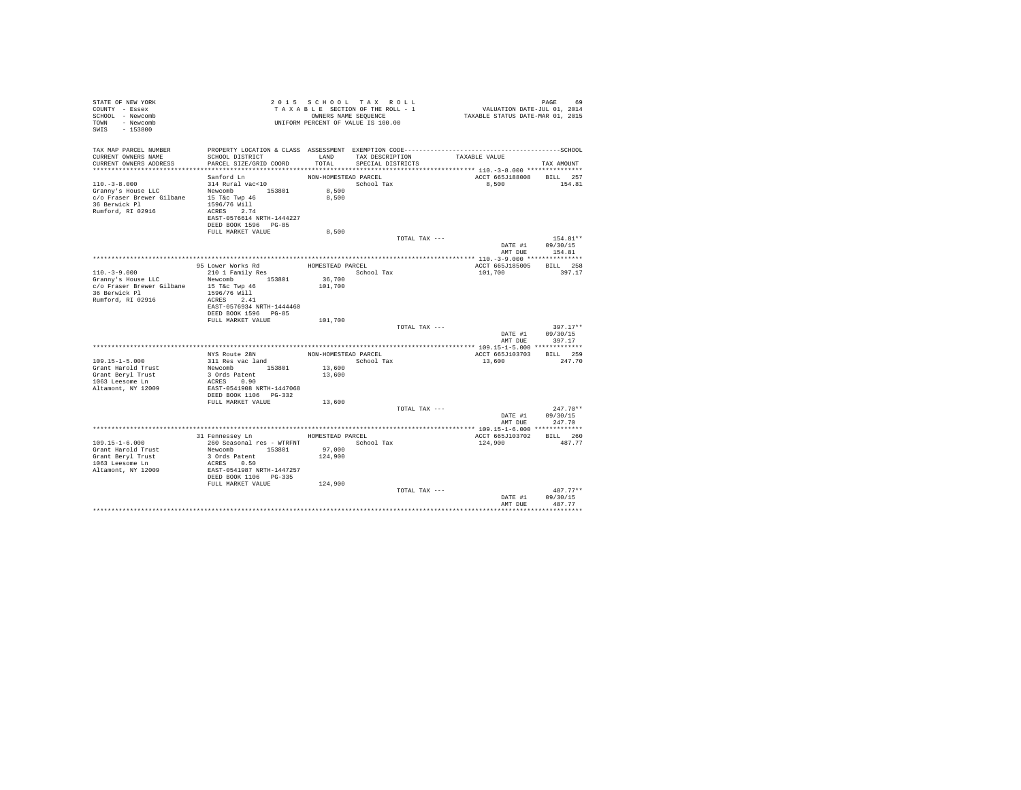| STATE OF NEW YORK<br>COUNTY - Essex<br>SCHOOL - Newcomb<br>TOWN - Newcomb<br>SWIS - 153800                        |                                                                                         |                      | 2015 SCHOOL TAX ROLL<br>TAXABLE SECTION OF THE ROLL - 1<br>OWNERS NAME SEQUENCE<br>UNIFORM PERCENT OF VALUE IS 100.00 | PAGE 69<br>VALUATION DATE-JUL 01, 2014<br>TAXABLE STATUS DATE-MAR 01, 2015 |                            |
|-------------------------------------------------------------------------------------------------------------------|-----------------------------------------------------------------------------------------|----------------------|-----------------------------------------------------------------------------------------------------------------------|----------------------------------------------------------------------------|----------------------------|
| TAX MAP PARCEL NUMBER<br>CURRENT OWNERS NAME                                                                      | SCHOOL DISTRICT                                                                         |                      | LAND TAX DESCRIPTION                                                                                                  | TAXABLE VALUE                                                              |                            |
| CURRENT OWNERS ADDRESS                                                                                            | PARCEL SIZE/GRID COORD                                                                  | TOTAL                | SPECIAL DISTRICTS                                                                                                     |                                                                            | TAX AMOUNT                 |
|                                                                                                                   |                                                                                         |                      |                                                                                                                       |                                                                            |                            |
|                                                                                                                   | Sanford Ln                                                                              | NON-HOMESTEAD PARCEL |                                                                                                                       | ACCT 665J188008 BILL 257                                                   |                            |
| $110, -3 - 8,000$                                                                                                 | 314 Rural vac<10                                                                        |                      | School Tax                                                                                                            | 8,500 154.81                                                               |                            |
| 110.-3-6.000<br>Granny's House LLC<br>C/O Fraser Brewer Gilbane<br>36 Berwick Pl<br>36 Berwick Pl<br>1596/76 Will |                                                                                         | 8,500<br>8,500       |                                                                                                                       |                                                                            |                            |
|                                                                                                                   |                                                                                         |                      |                                                                                                                       |                                                                            |                            |
| Rumford, RI 02916                                                                                                 | ACRES 2.74                                                                              |                      |                                                                                                                       |                                                                            |                            |
|                                                                                                                   | EAST-0576614 NRTH-1444227                                                               |                      |                                                                                                                       |                                                                            |                            |
|                                                                                                                   | DEED BOOK 1596 PG-85                                                                    |                      |                                                                                                                       |                                                                            |                            |
|                                                                                                                   | FULL MARKET VALUE                                                                       | 8,500                |                                                                                                                       |                                                                            |                            |
|                                                                                                                   |                                                                                         |                      | TOTAL TAX ---                                                                                                         |                                                                            | 154.81**                   |
|                                                                                                                   |                                                                                         |                      |                                                                                                                       | AMT DUE                                                                    | DATE #1 09/30/15<br>154.81 |
|                                                                                                                   |                                                                                         |                      |                                                                                                                       |                                                                            |                            |
|                                                                                                                   | 95 Lower Works Rd                                                                       | HOMESTEAD PARCEL     |                                                                                                                       | ACCT 665J185005 BILL 258                                                   |                            |
| $110, -3 - 9, 000$                                                                                                | 210 1 Family Res                                                                        |                      | School Tax                                                                                                            | 101,700                                                                    | 397.17                     |
| Granny's House LLC                                                                                                | Newcomb 153801                                                                          | 36,700               |                                                                                                                       |                                                                            |                            |
| c/o Fraser Brewer Gilbane 15 T&c Twp 46                                                                           |                                                                                         | 101,700              |                                                                                                                       |                                                                            |                            |
| 36 Berwick Pl                                                                                                     | 1596/76 Will                                                                            |                      |                                                                                                                       |                                                                            |                            |
| Rumford, RI 02916                                                                                                 | ACRES 2.41<br>EAST-0576934 NRTH-1444460                                                 |                      |                                                                                                                       |                                                                            |                            |
|                                                                                                                   | DEED BOOK 1596 PG-85                                                                    |                      |                                                                                                                       |                                                                            |                            |
|                                                                                                                   | FULL MARKET VALUE                                                                       | 101,700              |                                                                                                                       |                                                                            |                            |
|                                                                                                                   |                                                                                         |                      | TOTAL TAX ---                                                                                                         |                                                                            | $397.17**$                 |
|                                                                                                                   |                                                                                         |                      |                                                                                                                       |                                                                            | DATE #1 09/30/15           |
|                                                                                                                   |                                                                                         |                      |                                                                                                                       | AMT DUE                                                                    | 397.17                     |
|                                                                                                                   |                                                                                         |                      |                                                                                                                       |                                                                            |                            |
|                                                                                                                   | NYS Route 28N                                                                           | NON-HOMESTEAD PARCEL |                                                                                                                       | ACCT 665J103703 BILL 259                                                   |                            |
| $109.15 - 1 - 5.000$                                                                                              | 311 Res vac land                                                                        |                      | School Tax                                                                                                            | 13,600                                                                     | 247.70                     |
| Grant Harold Trust<br>Grant Beryl Trust                                                                           |                                                                                         |                      |                                                                                                                       |                                                                            |                            |
| 1063 Leesome Ln                                                                                                   | 3-1 Res vac 1 and<br>Newcomb 153801 13,600<br>3 Ords Patent 13,600<br>ACRES 0.90 13,600 |                      |                                                                                                                       |                                                                            |                            |
| Altamont, NY 12009                                                                                                |                                                                                         |                      |                                                                                                                       |                                                                            |                            |
|                                                                                                                   | EAST-0541908 NRTH-1447068<br>DEED BOOK 1106 PG-332                                      |                      |                                                                                                                       |                                                                            |                            |
|                                                                                                                   | FULL MARKET VALUE                                                                       | 13,600               |                                                                                                                       |                                                                            |                            |
|                                                                                                                   |                                                                                         |                      | TOTAL TAX ---                                                                                                         |                                                                            | $247.70**$                 |
|                                                                                                                   |                                                                                         |                      |                                                                                                                       |                                                                            | DATE #1 09/30/15           |
|                                                                                                                   |                                                                                         |                      |                                                                                                                       |                                                                            | AMT DUE 247.70             |
|                                                                                                                   | 31 Fennessey Ln MOMESTEAD PARCEL                                                        |                      |                                                                                                                       | ACCT 665J103702 BILL 260                                                   |                            |
| $109.15 - 1 - 6.000$                                                                                              | 260 Seasonal res - WTRFNT                                                               |                      | School Tax                                                                                                            | 124,900                                                                    | 487.77                     |
| Grant Harold Trust                                                                                                |                                                                                         |                      |                                                                                                                       |                                                                            |                            |
| Grant Beryl Trust                                                                                                 | 2008<br>Newcomb 153801 97,000<br>3 Ords Patent 124,900                                  |                      |                                                                                                                       |                                                                            |                            |
| 1063 Leesome Ln                                                                                                   | ACRES 0.50                                                                              |                      |                                                                                                                       |                                                                            |                            |
| Altamont, NY 12009                                                                                                | EAST-0541987 NRTH-1447257<br>DEED BOOK 1106 PG-335                                      |                      |                                                                                                                       |                                                                            |                            |
|                                                                                                                   |                                                                                         |                      |                                                                                                                       |                                                                            |                            |
|                                                                                                                   | FULL MARKET VALUE                                                                       | 124,900              |                                                                                                                       |                                                                            |                            |
|                                                                                                                   |                                                                                         |                      | TOTAL TAX ---                                                                                                         |                                                                            | $487.77**$                 |
|                                                                                                                   |                                                                                         |                      |                                                                                                                       | DATE #1<br>AMT DUE                                                         | 09/30/15<br>487.77         |
|                                                                                                                   |                                                                                         |                      |                                                                                                                       |                                                                            |                            |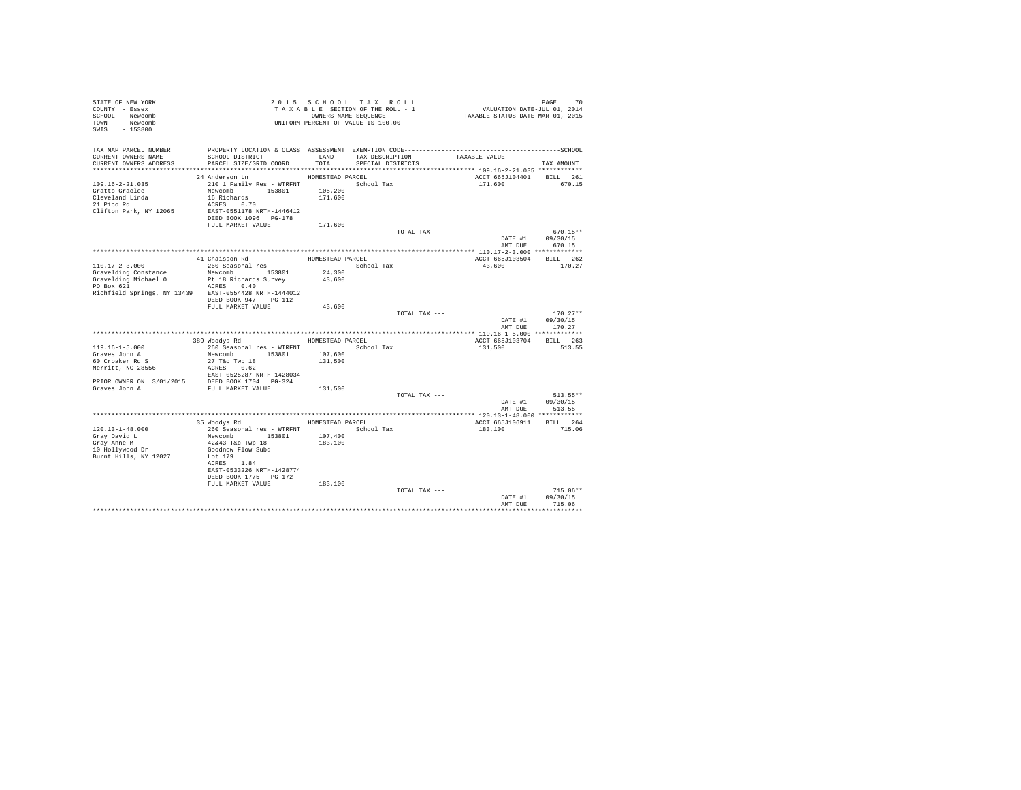| STATE OF NEW YORK                                     |                                             |                  | 2015 SCHOOL TAX ROLL               |                                                                                              |            |
|-------------------------------------------------------|---------------------------------------------|------------------|------------------------------------|----------------------------------------------------------------------------------------------|------------|
| COUNTY - Essex                                        |                                             |                  | TAXABLE SECTION OF THE ROLL - 1    |                                                                                              |            |
| SCHOOL - Newcomb                                      |                                             |                  | OWNERS NAME SEQUENCE               | PAGE 70<br>VALUATION DATE-JUL 01, 2014<br>TAXABLE STATUS DATE-MAR 01, 2015                   |            |
| TOWN - Newcomb                                        |                                             |                  | UNIFORM PERCENT OF VALUE IS 100.00 |                                                                                              |            |
| $-153800$<br>SWIS                                     |                                             |                  |                                    |                                                                                              |            |
|                                                       |                                             |                  |                                    |                                                                                              |            |
|                                                       |                                             |                  |                                    |                                                                                              |            |
| TAX MAP PARCEL NUMBER                                 |                                             |                  |                                    | PROPERTY LOCATION & CLASS ASSESSMENT EXEMPTION CODE-----------------------------------SCHOOL |            |
| CURRENT OWNERS NAME                                   | SCHOOL DISTRICT                             | LAND             | TAX DESCRIPTION                    | TAXABLE VALUE                                                                                |            |
| CURRENT OWNERS ADDRESS                                | PARCEL SIZE/GRID COORD                      | TOTAL.           | SPECIAL DISTRICTS                  |                                                                                              | TAX AMOUNT |
|                                                       |                                             |                  |                                    |                                                                                              |            |
|                                                       | 24 Anderson Ln                              | HOMESTEAD PARCEL |                                    | ACCT 665J104401 BILL 261                                                                     |            |
| $109.16 - 2 - 21.035$                                 |                                             |                  |                                    |                                                                                              |            |
|                                                       | 210 1 Family Res - WTRFNT                   |                  | School Tax                         | 171,600                                                                                      | 670.15     |
| Gratto Graclee                                        | Newcomb 153801                              | 105,200          |                                    |                                                                                              |            |
| Cleveland Linda                                       | 16 Richards                                 | 171,600          |                                    |                                                                                              |            |
| 21 Pico Rd                                            | ACRES 0.70                                  |                  |                                    |                                                                                              |            |
| Clifton Park, NY 12065                                | EAST-0551178 NRTH-1446412                   |                  |                                    |                                                                                              |            |
|                                                       | DEED BOOK 1096 PG-178                       |                  |                                    |                                                                                              |            |
|                                                       | FULL MARKET VALUE                           | 171,600          |                                    |                                                                                              |            |
|                                                       |                                             |                  | TOTAL TAX ---                      |                                                                                              | $670.15**$ |
|                                                       |                                             |                  |                                    | DATE #1                                                                                      | 09/30/15   |
|                                                       |                                             |                  |                                    | AMT DUE                                                                                      | 670.15     |
|                                                       |                                             |                  |                                    |                                                                                              |            |
|                                                       | 41 Chaisson Rd                              | HOMESTEAD PARCEL |                                    | ACCT 665J103504                                                                              | BILL 262   |
| 110.17-2-3.000                                        | 260 Seasonal res                            |                  | School Tax                         | 43,600                                                                                       | 170.27     |
| Gravelding Constance                                  | Newcomb 153801                              | 24,300           |                                    |                                                                                              |            |
| Gravelding Michael O                                  | Pt 18 Richards Survey                       | 43,600           |                                    |                                                                                              |            |
| PO Box 621                                            | ACRES 0.40                                  |                  |                                    |                                                                                              |            |
| Richfield Springs, NY 13439 EAST-0554428 NRTH-1444012 |                                             |                  |                                    |                                                                                              |            |
|                                                       | DEED BOOK 947 PG-112                        |                  |                                    |                                                                                              |            |
|                                                       | FULL MARKET VALUE                           |                  |                                    |                                                                                              |            |
|                                                       |                                             | 43,600           |                                    |                                                                                              |            |
|                                                       |                                             |                  | TOTAL TAX ---                      |                                                                                              | $170.27**$ |
|                                                       |                                             |                  |                                    |                                                                                              |            |
|                                                       |                                             |                  |                                    | DATE #1                                                                                      | 09/30/15   |
|                                                       |                                             |                  |                                    | AMT DUE                                                                                      | 170.27     |
|                                                       |                                             |                  |                                    |                                                                                              |            |
|                                                       | 389 Woodys Rd                               | HOMESTEAD PARCEL |                                    | ACCT 665J103704                                                                              | BILL 263   |
| $119.16 - 1 - 5.000$                                  | 260 Seasonal res - WTRFNT                   |                  | School Tax                         | 131,500                                                                                      | 513.55     |
| Graves John A                                         | Newcomb 153801                              | 107,600          |                                    |                                                                                              |            |
| 60 Croaker Rd S                                       | 27 T&c Twp 18                               | 131,500          |                                    |                                                                                              |            |
| Merritt, NC 28556                                     | $ACRES$ 0.62                                |                  |                                    |                                                                                              |            |
|                                                       | EAST-0525287 NRTH-1428034                   |                  |                                    |                                                                                              |            |
|                                                       |                                             |                  |                                    |                                                                                              |            |
| PRIOR OWNER ON 3/01/2015 DEED BOOK 1704 PG-324        |                                             |                  |                                    |                                                                                              |            |
| Graves John A                                         | FULL MARKET VALUE                           | 131,500          |                                    |                                                                                              |            |
|                                                       |                                             |                  | TOTAL TAX ---                      |                                                                                              | 513.55**   |
|                                                       |                                             |                  |                                    | DATE #1                                                                                      | 09/30/15   |
|                                                       |                                             |                  |                                    | AMT DUE                                                                                      | 513.55     |
|                                                       |                                             |                  |                                    |                                                                                              |            |
|                                                       | 35 Woodys Rd                                | HOMESTEAD PARCEL |                                    | ACCT 665J106911                                                                              | BILL 264   |
| $120.13 - 1 - 48.000$                                 |                                             |                  | School Tax                         | 183,100                                                                                      | 715.06     |
| Gray David L                                          | 260 Seasonal res - WTRFNT<br>Newcomb 153801 | 107,400          |                                    |                                                                                              |            |
| Gray Anne M                                           | 42&43 T&c Twp 18                            | 183,100          |                                    |                                                                                              |            |
| 10 Hollywood Dr                                       | Goodnow Flow Subd                           |                  |                                    |                                                                                              |            |
| Burnt Hills, NY 12027                                 | Lot 179                                     |                  |                                    |                                                                                              |            |
|                                                       | ACRES 1.84                                  |                  |                                    |                                                                                              |            |
|                                                       | EAST-0533226 NRTH-1428774                   |                  |                                    |                                                                                              |            |
|                                                       | DEED BOOK 1775   PG-172                     |                  |                                    |                                                                                              |            |
|                                                       | FULL MARKET VALUE                           | 183,100          |                                    |                                                                                              |            |
|                                                       |                                             |                  | TOTAL TAX ---                      |                                                                                              | $715.06**$ |
|                                                       |                                             |                  |                                    | DATE #1                                                                                      | 09/30/15   |
|                                                       |                                             |                  |                                    | AMT DUE                                                                                      | 715.06     |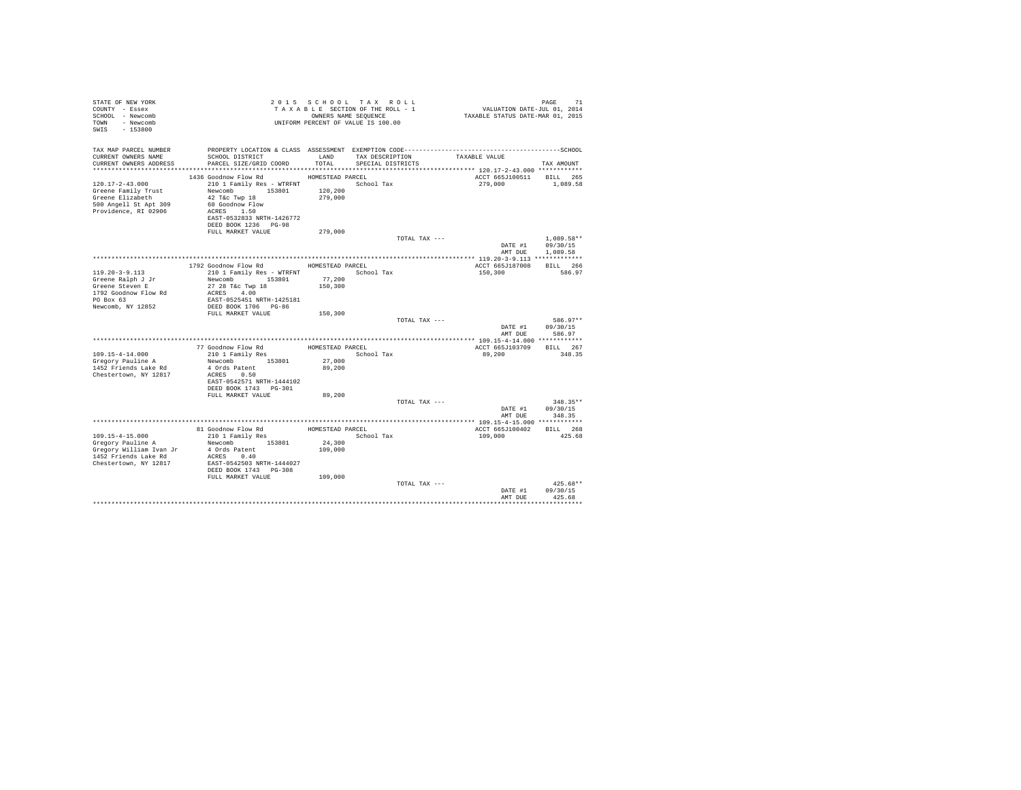| STATE OF NEW YORK<br>COUNTY - Essex<br>SCHOOL - Newcomb<br>TOWN - Newcomb<br>SWIS - 153800                                                                                                                                                                                          |                  | 2015 SCHOOL TAX ROLL<br>TAXABLE SECTION OF THE ROLL - 1<br>OWNERS NAME SEQUENCE<br>UNIFORM PERCENT OF VALUE IS 100.00 | PAGE 71<br>VALUATION DATE-JUL 01, 2014<br>TAXABLE STATUS DATE-MAR 01, 2015 |                                    |
|-------------------------------------------------------------------------------------------------------------------------------------------------------------------------------------------------------------------------------------------------------------------------------------|------------------|-----------------------------------------------------------------------------------------------------------------------|----------------------------------------------------------------------------|------------------------------------|
| TAX MAP PARCEL NUMBER                                                                                                                                                                                                                                                               |                  |                                                                                                                       |                                                                            |                                    |
| CURRENT OWNERS NAME<br>SCHOOL DISTRICT<br>CURRENT OWNERS ADDRESS<br>PARCEL SIZE/GRID COORD                                                                                                                                                                                          | LAND<br>TOTAL    | TAX DESCRIPTION<br>SPECIAL DISTRICTS                                                                                  | TAXABLE VALUE                                                              | TAX AMOUNT                         |
|                                                                                                                                                                                                                                                                                     |                  |                                                                                                                       |                                                                            |                                    |
| 1436 Goodnow Flow Rd                                                                                                                                                                                                                                                                | HOMESTEAD PARCEL |                                                                                                                       | ACCT 665J100511 BILL 265                                                   |                                    |
| $120.17 - 2 - 43.000$<br>210 1 Family Res - WTRFNT                                                                                                                                                                                                                                  |                  | School Tax                                                                                                            | 279,000                                                                    | 1,089.58                           |
| Newcomb 153801<br>Greene Family Trust                                                                                                                                                                                                                                               | 120,200          |                                                                                                                       |                                                                            |                                    |
| 42 T&c Twp 18<br>Greene Elizabeth                                                                                                                                                                                                                                                   | 279,000          |                                                                                                                       |                                                                            |                                    |
| 500 Angell St Apt 309<br>60 Goodnow Flow<br>ACRES 1.50<br>Providence, RI 02906                                                                                                                                                                                                      |                  |                                                                                                                       |                                                                            |                                    |
| EAST-0532833 NRTH-1426772                                                                                                                                                                                                                                                           |                  |                                                                                                                       |                                                                            |                                    |
| DEED BOOK 1236 PG-98                                                                                                                                                                                                                                                                |                  |                                                                                                                       |                                                                            |                                    |
| FULL MARKET VALUE                                                                                                                                                                                                                                                                   | 279,000          |                                                                                                                       |                                                                            |                                    |
|                                                                                                                                                                                                                                                                                     |                  | TOTAL TAX ---                                                                                                         |                                                                            | $1.089.58**$                       |
|                                                                                                                                                                                                                                                                                     |                  |                                                                                                                       | AMT DUE                                                                    | DATE #1 09/30/15<br>1,089.58       |
| *************************************                                                                                                                                                                                                                                               |                  |                                                                                                                       |                                                                            |                                    |
| 1792 Goodnow Flow Rd                                                                                                                                                                                                                                                                | HOMESTEAD PARCEL |                                                                                                                       | ACCT 665J187008                                                            | BILL 266                           |
| $119.20 - 3 - 9.113$<br>210 1 Family Res - WTRFNT                                                                                                                                                                                                                                   |                  | School Tax                                                                                                            | 150,300                                                                    | 586.97                             |
| Newcomb 153801<br>Greene Ralph J Jr                                                                                                                                                                                                                                                 | 77,200           |                                                                                                                       |                                                                            |                                    |
| Greene Steven E<br>27 28 T&c Twp 18<br>ACRES 4.00<br>1792 Goodnow Flow Rd                                                                                                                                                                                                           | 150,300          |                                                                                                                       |                                                                            |                                    |
| $PO$ Box $63$<br>EAST-0525451 NRTH-1425181                                                                                                                                                                                                                                          |                  |                                                                                                                       |                                                                            |                                    |
| Newcomb, NY 12852<br>DEED BOOK 1706 PG-86                                                                                                                                                                                                                                           |                  |                                                                                                                       |                                                                            |                                    |
| FULL MARKET VALUE                                                                                                                                                                                                                                                                   | 150,300          |                                                                                                                       |                                                                            |                                    |
|                                                                                                                                                                                                                                                                                     |                  | TOTAL TAX ---                                                                                                         |                                                                            | 586.97**                           |
|                                                                                                                                                                                                                                                                                     |                  |                                                                                                                       | AMT DUE                                                                    | DATE #1 09/30/15<br>586.97         |
|                                                                                                                                                                                                                                                                                     |                  |                                                                                                                       |                                                                            |                                    |
| 77 Goodnow Flow Rd                                                                                                                                                                                                                                                                  | HOMESTEAD PARCEL |                                                                                                                       | ACCT 665J103709                                                            | BILL 267                           |
| 109.15-4-14.000<br>210 1 Family Res                                                                                                                                                                                                                                                 |                  | School Tax                                                                                                            | 89,200                                                                     | 348.35                             |
| Newcomb 153801<br>Gregory Pauline A                                                                                                                                                                                                                                                 | 27,000           |                                                                                                                       |                                                                            |                                    |
| 1452 Friends Lake Rd<br>4 Ords Patent                                                                                                                                                                                                                                               | 89,200           |                                                                                                                       |                                                                            |                                    |
| Chestertown, NY 12817<br>ACRES 0.50<br>EAST-0542571 NRTH-1444102                                                                                                                                                                                                                    |                  |                                                                                                                       |                                                                            |                                    |
| DEED BOOK 1743 PG-301                                                                                                                                                                                                                                                               |                  |                                                                                                                       |                                                                            |                                    |
| FULL MARKET VALUE                                                                                                                                                                                                                                                                   | 89,200           |                                                                                                                       |                                                                            |                                    |
|                                                                                                                                                                                                                                                                                     |                  | TOTAL TAX ---                                                                                                         |                                                                            | $348.35**$                         |
|                                                                                                                                                                                                                                                                                     |                  |                                                                                                                       |                                                                            | DATE #1 09/30/15<br>AMT DUE 348.35 |
|                                                                                                                                                                                                                                                                                     |                  |                                                                                                                       |                                                                            |                                    |
| 81 Goodnow Flow Rd                                                                                                                                                                                                                                                                  | HOMESTEAD PARCEL |                                                                                                                       | ACCT 665J100402 BILL 268                                                   |                                    |
| 109.15-4-15.000<br>210 1 Family Res                                                                                                                                                                                                                                                 |                  | School Tax                                                                                                            | 109,000                                                                    | 425.68                             |
| Newcomb 153801                                                                                                                                                                                                                                                                      | 24,300           |                                                                                                                       |                                                                            |                                    |
|                                                                                                                                                                                                                                                                                     | 109,000          |                                                                                                                       |                                                                            |                                    |
| Correspondent and the Mewcomputer of Gregory William Ivan Jr and A Ords Patent and Correspondent and the Manuscule of the MCRES of the MCRES of the MCRES of the MCRES of the MCRES of the MCRES of the MCRES of the MCRES of<br>Chestertown, NY 12817<br>EAST-0542503 NRTH-1444027 |                  |                                                                                                                       |                                                                            |                                    |
| DEED BOOK 1743 PG-308                                                                                                                                                                                                                                                               |                  |                                                                                                                       |                                                                            |                                    |
| FULL MARKET VALUE                                                                                                                                                                                                                                                                   | 109,000          |                                                                                                                       |                                                                            |                                    |
|                                                                                                                                                                                                                                                                                     |                  | TOTAL TAX ---                                                                                                         |                                                                            | $425.68**$                         |
|                                                                                                                                                                                                                                                                                     |                  |                                                                                                                       | DATE #1                                                                    | 09/30/15                           |
|                                                                                                                                                                                                                                                                                     |                  |                                                                                                                       | AMT DUE                                                                    | 425.68                             |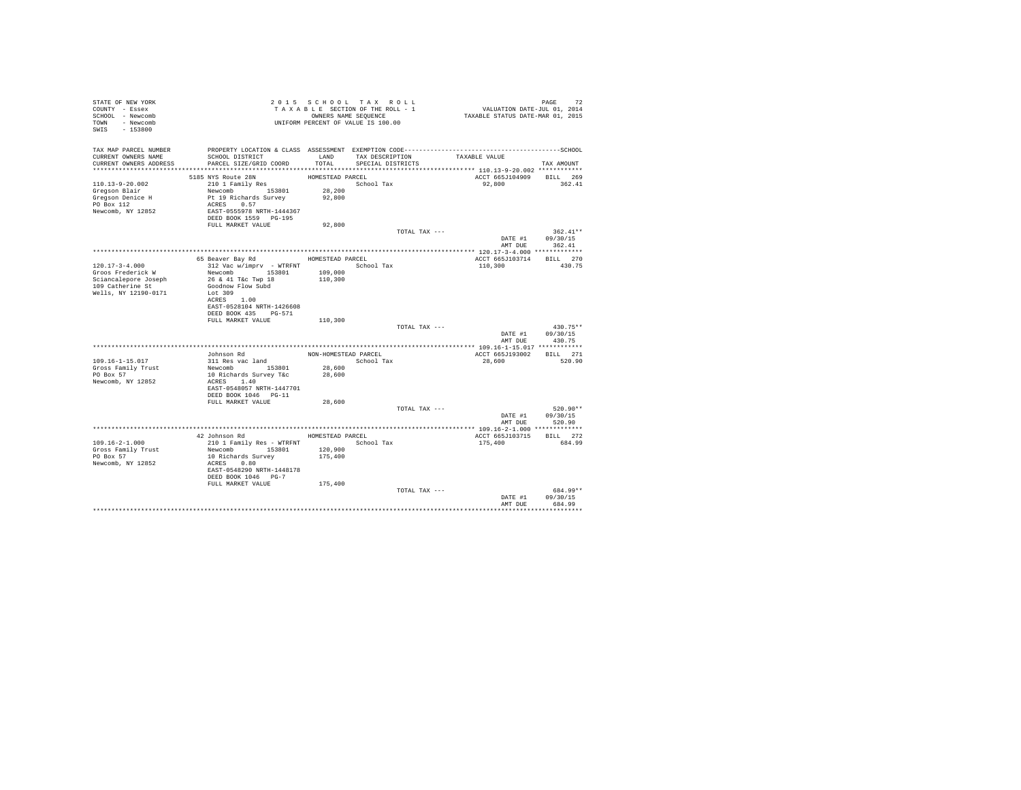| STATE OF NEW YORK<br>COUNTY - Essex<br>SCHOOL - Newcomb<br>TOWN - Newcomb<br>SWIS - 153800                    |                                                                                                                                                                                         |                                                | 2015 SCHOOL TAX ROLL<br>TAXABLE SECTION OF THE ROLL - 1<br>OWNERS NAME SEQUENCE<br>UNIFORM PERCENT OF VALUE IS 100.00 | PAGE 72<br>VALUATION DATE-JUL 01, 2014<br>TAXABLE STATUS DATE-MAR 01, 2015 |                                          |
|---------------------------------------------------------------------------------------------------------------|-----------------------------------------------------------------------------------------------------------------------------------------------------------------------------------------|------------------------------------------------|-----------------------------------------------------------------------------------------------------------------------|----------------------------------------------------------------------------|------------------------------------------|
| TAX MAP PARCEL NUMBER<br>CURRENT OWNERS NAME<br>CURRENT OWNERS ADDRESS                                        | SCHOOL DISTRICT<br>PARCEL SIZE/GRID COORD                                                                                                                                               | LAND<br>TOTAL.                                 | TAX DESCRIPTION<br>SPECIAL DISTRICTS                                                                                  | TAXABLE VALUE                                                              | TAX AMOUNT                               |
| $110.13 - 9 - 20.002$<br>Gregson Blair<br>Gregson Denice H<br>PO Box 112<br>Newcomb, NY 12852                 | 5185 NYS Route 28N<br>210 1 Family Res<br>Newcomb 153801<br>Pt 19 Richards Survey<br>ACRES 0.57<br>EAST-0555978 NRTH-1444367<br>DEED BOOK 1559 PG-195<br>FULL MARKET VALUE              | HOMESTEAD PARCEL<br>28,200<br>92,800<br>92,800 | School Tax                                                                                                            | ACCT 665J104909 BILL 269<br>92.800                                         | 362.41                                   |
|                                                                                                               |                                                                                                                                                                                         |                                                | TOTAL TAX ---                                                                                                         | DATE #1                                                                    | $362.41**$<br>09/30/15<br>AMT DUE 362.41 |
| $120.17 - 3 - 4.000$<br>Groos Frederick W<br>Sciancalepore Joseph<br>109 Catherine St<br>Wells, NY 12190-0171 | 65 Beaver Bay Rd<br>312 Vac w/imprv - WTRFNT<br>Newcomb 153801<br>26 & 41 T&c Twp 18<br>Goodnow Flow Subd<br>Lot 309<br>ACRES 1.00<br>EAST-0528104 NRTH-1426608<br>DEED BOOK 435 PG-571 | HOMESTEAD PARCEL<br>109,000<br>110,300         | School Tax                                                                                                            | ACCT 665J103714<br>110,300                                                 | BILL 270<br>430.75                       |
|                                                                                                               | FULL MARKET VALUE                                                                                                                                                                       | 110,300                                        | TOTAL TAX ---                                                                                                         | DATE #1<br>AMT DUE                                                         | 430.75**<br>09/30/15<br>430.75           |
| 109.16-1-15.017<br>Gross Family Trust<br>$PO$ $Rox$ 57<br>Newcomb, NY 12852                                   | Johnson Rd<br>311 Res vac land<br>Newcomb 153801<br>10 Richards Survey T&c<br>ACRES 1.40<br>EAST-0548057 NRTH-1447701<br>DEED BOOK 1046 PG-11                                           | NON-HOMESTEAD PARCEL<br>28,600<br>28,600       | School Tax                                                                                                            | ACCT 665J193002 BILL 271<br>28,600                                         | 520.90                                   |
|                                                                                                               | FULL MARKET VALUE                                                                                                                                                                       | 28,600                                         | TOTAL TAX ---                                                                                                         | DATE #1                                                                    | $520.90**$<br>09/30/15<br>AMT DUE 520.90 |
| $109.16 - 2 - 1.000$<br>Gross Family Trust<br>PO Box 57<br>Newcomb, NY 12852                                  | 42 Johnson Rd<br>210 1 Family Res - WTRFNT<br>Newcomb 153801<br>10 Richards Survey<br>ACRES 0.80<br>EAST-0548290 NRTH-1448178<br>DEED BOOK 1046 PG-7                                    | 120,900<br>175,400                             | HOMESTEAD PARCEL<br>School Tax                                                                                        | ACCT 665J103715<br>175,400                                                 | BILL 272<br>684.99                       |
|                                                                                                               | FULL MARKET VALUE                                                                                                                                                                       | 175,400                                        | TOTAL TAX ---                                                                                                         | DATE #1<br>AMT DUE                                                         | 684.99**<br>09/30/15<br>684.99           |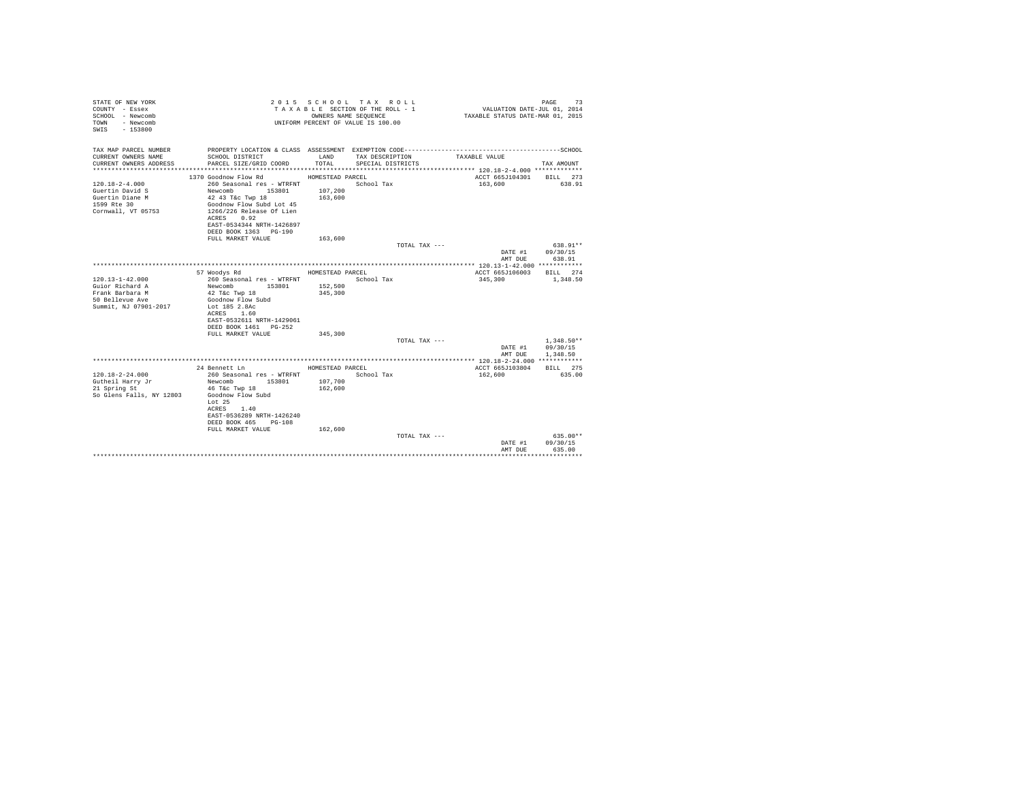| STATE OF NEW YORK<br>COUNTY - Essex<br>SCHOOL - Newcomb<br>- Newcomb<br>TOWN<br>$-153800$<br>SWTS |                                                                                                                                                                                             | OWNERS NAME SEQUENCE                   | 2015 SCHOOL TAX ROLL<br>TAXABLE SECTION OF THE ROLL - 1<br>UNIFORM PERCENT OF VALUE IS 100.00 | VALUATION DATE-JUL 01, 2014<br>TAXABLE STATUS DATE-MAR 01, 2015 | 73<br>PAGE               |
|---------------------------------------------------------------------------------------------------|---------------------------------------------------------------------------------------------------------------------------------------------------------------------------------------------|----------------------------------------|-----------------------------------------------------------------------------------------------|-----------------------------------------------------------------|--------------------------|
| TAX MAP PARCEL NUMBER                                                                             | PROPERTY LOCATION & CLASS ASSESSMENT EXEMPTION CODE------------------------                                                                                                                 |                                        |                                                                                               |                                                                 | ------------------SCHOOL |
| CURRENT OWNERS NAME<br>CURRENT OWNERS ADDRESS                                                     | SCHOOL DISTRICT<br>PARCEL SIZE/GRID COORD                                                                                                                                                   | LAND<br>TOTAL.                         | TAX DESCRIPTION<br>SPECIAL DISTRICTS                                                          | TAXABLE VALUE                                                   | TAX AMOUNT               |
|                                                                                                   | 1370 Goodnow Flow Rd                                                                                                                                                                        |                                        |                                                                                               | ACCT 665J104301                                                 |                          |
| $120.18 - 2 - 4.000$<br>Guertin David S<br>Guertin Diane M<br>1599 Rte 30<br>Cornwall, VT 05753   | 260 Seasonal res - WTRFNT<br>Newcomb 153801<br>42 43 T&c Twp 18<br>Goodnow Flow Subd Lot 45<br>1266/226 Release Of Lien<br>ACRES 0.92<br>EAST-0534344 NRTH-1426897<br>DEED BOOK 1363 PG-190 | HOMESTEAD PARCEL<br>107,200<br>163,600 | School Tax                                                                                    | 163,600                                                         | BILL 273<br>638.91       |
|                                                                                                   | FULL MARKET VALUE                                                                                                                                                                           | 163,600                                |                                                                                               |                                                                 |                          |
|                                                                                                   |                                                                                                                                                                                             |                                        | TOTAL TAX ---                                                                                 |                                                                 | $638.91**$               |
|                                                                                                   |                                                                                                                                                                                             |                                        |                                                                                               | DATE #1<br>AMT DUE                                              | 09/30/15<br>638.91       |
|                                                                                                   |                                                                                                                                                                                             |                                        |                                                                                               |                                                                 |                          |
|                                                                                                   | 57 Woodys Rd                                                                                                                                                                                | HOMESTEAD PARCEL                       |                                                                                               | ACCT 665J106003                                                 | BTT.T. 274               |
| $120.13 - 1 - 42.000$                                                                             | 260 Seasonal res - WTRFNT                                                                                                                                                                   |                                        | School Tax                                                                                    | 345,300                                                         | 1,348.50                 |
| Guior Richard A                                                                                   | Newcomb<br>153801                                                                                                                                                                           | 152,500                                |                                                                                               |                                                                 |                          |
| Frank Barbara M                                                                                   | $42$ T&c Twp $18$                                                                                                                                                                           | 345,300                                |                                                                                               |                                                                 |                          |
| 50 Bellevue Ave<br>Summit, NJ 07901-2017                                                          | Goodnow Flow Subd<br>Lot 185 2.8Ac<br>1.60<br>ACRES<br>EAST-0532611 NRTH-1429061<br>DEED BOOK 1461 PG-252<br>FULL MARKET VALUE                                                              | 345,300                                |                                                                                               |                                                                 |                          |
|                                                                                                   |                                                                                                                                                                                             |                                        | TOTAL TAX ---                                                                                 |                                                                 | $1.348.50**$             |
|                                                                                                   |                                                                                                                                                                                             |                                        |                                                                                               | DATE #1<br>AMT DUE                                              | 09/30/15<br>1,348.50     |
|                                                                                                   |                                                                                                                                                                                             |                                        |                                                                                               |                                                                 |                          |
|                                                                                                   | 24 Bennett Ln                                                                                                                                                                               | HOMESTEAD PARCEL                       |                                                                                               | ACCT 665J103804                                                 | BILL 275                 |
| $120.18 - 2 - 24.000$                                                                             | 260 Seasonal res - WTRFNT                                                                                                                                                                   |                                        | School Tax                                                                                    | 162,600                                                         | 635.00                   |
| Gutheil Harry Jr                                                                                  | Newcomb<br>153801                                                                                                                                                                           | 107,700                                |                                                                                               |                                                                 |                          |
| 21 Spring St<br>So Glens Falls, NY 12803                                                          | 46 T&c Twp 18<br>Goodnow Flow Subd<br>Lot 25<br>ACRES<br>1.40<br>EAST-0536289 NRTH-1426240<br>DEED BOOK 465<br>$PG-108$<br>FULL MARKET VALUE                                                | 162,600<br>162,600                     |                                                                                               |                                                                 |                          |
|                                                                                                   |                                                                                                                                                                                             |                                        | TOTAL TAX ---                                                                                 |                                                                 | $635.00**$               |
|                                                                                                   |                                                                                                                                                                                             |                                        |                                                                                               | DATE #1<br>AMT DUE                                              | 09/30/15<br>635.00       |
|                                                                                                   |                                                                                                                                                                                             |                                        |                                                                                               |                                                                 |                          |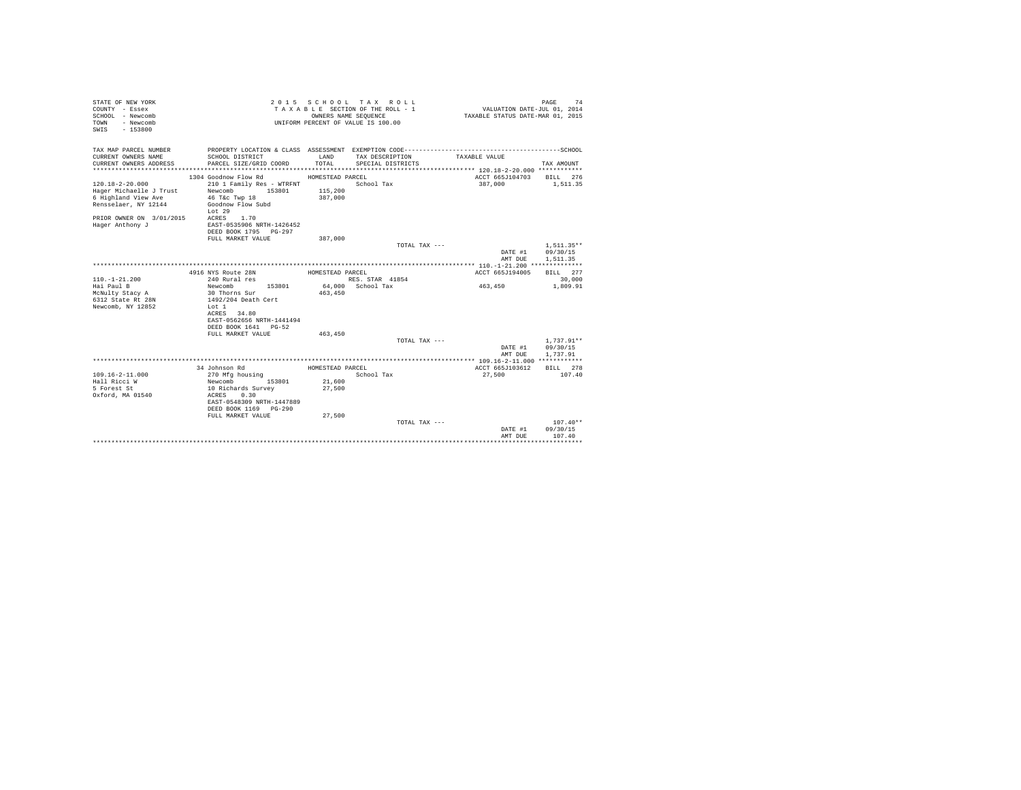| STATE OF NEW YORK<br>COUNTY - Essex<br>SCHOOL - Newcomb<br>- Newcomb<br><b>TOWN</b><br>$-153800$<br>SWIS                                             |                                                                                                                                                                                                     | OWNERS NAME SEQUENCE                           | 2015 SCHOOL TAX ROLL<br>TAXABLE SECTION OF THE ROLL - 1<br>UNIFORM PERCENT OF VALUE IS 100.00 | VALUATION DATE-JUL 01, 2014<br>TAXABLE STATUS DATE-MAR 01, 2015 | 74<br>PAGE                           |
|------------------------------------------------------------------------------------------------------------------------------------------------------|-----------------------------------------------------------------------------------------------------------------------------------------------------------------------------------------------------|------------------------------------------------|-----------------------------------------------------------------------------------------------|-----------------------------------------------------------------|--------------------------------------|
| TAX MAP PARCEL NUMBER<br>CURRENT OWNERS NAME<br>CURRENT OWNERS ADDRESS                                                                               | SCHOOL DISTRICT<br>PARCEL SIZE/GRID COORD                                                                                                                                                           | LAND<br>TOTAL                                  | TAX DESCRIPTION<br>SPECIAL DISTRICTS                                                          | TAXABLE VALUE                                                   | TAX AMOUNT                           |
| $120.18 - 2 - 20.000$<br>Hager Michaelle J Trust<br>6 Highland View Ave<br>Rensselaer, NY 12144<br>PRIOR OWNER ON 3/01/2015 ACRES<br>Hager Anthony J | 1304 Goodnow Flow Rd<br>210 1 Family Res - WTRFNT<br>153801<br>Newcomb<br>46 T&C Twp 18<br>Goodnow Flow Subd<br>Lot 29<br>1.70<br>EAST-0535906 NRTH-1426452<br>DEED BOOK 1795 PG-297                | HOMESTEAD PARCEL<br>115,200<br>387,000         | School Tax                                                                                    | ACCT 665J104703<br>387,000                                      | BILL 276<br>1,511.35                 |
|                                                                                                                                                      | FULL MARKET VALUE                                                                                                                                                                                   | 387,000                                        | TOTAL TAX ---                                                                                 | DATE #1<br>AMT DUE                                              | $1.511.35**$<br>09/30/15<br>1,511.35 |
| $110. - 1 - 21.200$<br>Hai Paul B<br>McNulty Stacy A<br>6312 State Rt 28N<br>Newcomb, NY 12852                                                       | 4916 NYS Route 28N<br>240 Rural res<br>Newcomb<br>153801<br>30 Thorns Sur<br>1492/204 Death Cert<br>T.of 1<br>ACRES 34.80<br>EAST-0562656 NRTH-1441494<br>DEED BOOK 1641 PG-52<br>FULL MARKET VALUE | HOMESTEAD PARCEL<br>463,450<br>463,450         | RES. STAR 41854<br>64.000 School Tax                                                          | ACCT 665J194005<br>463,450                                      | BILL 277<br>30,000<br>1,809.91       |
|                                                                                                                                                      |                                                                                                                                                                                                     |                                                | TOTAL TAX ---                                                                                 | DATE #1<br>AMT DUE                                              | $1,737.91**$<br>09/30/15<br>1,737.91 |
| 109.16-2-11.000<br>Hall Ricci W<br>5 Forest St<br>Oxford, MA 01540                                                                                   | 34 Johnson Rd<br>270 Mfg housing<br>153801<br>Newcomb<br>10 Richards Survey<br>0.30<br>ACRES<br>EAST-0548309 NRTH-1447889<br>DEED BOOK 1169 PG-290<br>FULL MARKET VALUE                             | HOMESTEAD PARCEL<br>21,600<br>27,500<br>27,500 | School Tax                                                                                    | ACCT 665J103612<br>27,500                                       | BILL 278<br>107.40                   |
|                                                                                                                                                      |                                                                                                                                                                                                     |                                                | TOTAL TAX $---$                                                                               | DATE #1<br>AMT DUE                                              | $107.40**$<br>09/30/15<br>107.40     |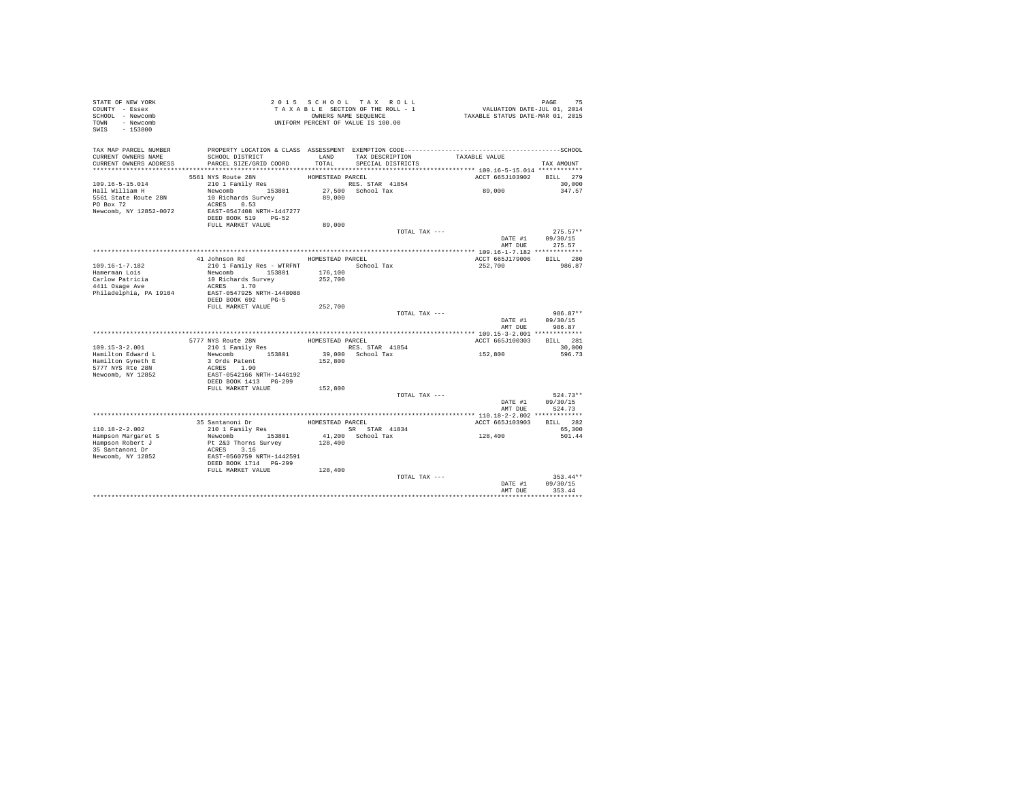| STATE OF NEW YORK<br>COUNTY - Essex<br>SCHOOL - Newcomb<br>TOWN - Newcomb<br>$-153800$<br>SWIS                                                                                                                          | PAGE 75<br>VALUATION DATE-JUL 01, 2014<br>TAXABLE STATUS DATE-MAR 01, 2015<br>2015 SCHOOL TAX ROLL<br>TAXABLE SECTION OF THE ROLL - 1<br>OWNERS NAME SEQUENCE<br>UNIFORM PERCENT OF VALUE IS 100.00 |
|-------------------------------------------------------------------------------------------------------------------------------------------------------------------------------------------------------------------------|-----------------------------------------------------------------------------------------------------------------------------------------------------------------------------------------------------|
| TAX MAP PARCEL NUMBER<br>SCHOOL DISTRICT<br>CURRENT OWNERS NAME<br>LAND<br>CURRENT OWNERS ADDRESS<br>PARCEL SIZE/GRID COORD<br>TOTAL                                                                                    | TAXABLE VALUE<br>TAX DESCRIPTION<br>SPECIAL DISTRICTS<br>TAX AMOUNT                                                                                                                                 |
| 5561 NYS Route 28N                                                                                                                                                                                                      | ACCT 665J103902<br>BILL 279<br>HOMESTEAD PARCEL                                                                                                                                                     |
| $109.16 - 5 - 15.014$<br>210 1 Family Res<br>Newcomb 153801<br>Hall William H<br>5561 State Route 28N<br>10 Richards Survey<br>89,000<br>PO Box 72<br>ACRES 0.53<br>Newcomb, NY 12852-0072<br>EAST-0547408 NRTH-1447277 | RES. STAR 41854<br>30,000<br>89,000<br>27,500 School Tax<br>347.57                                                                                                                                  |
| DEED BOOK 519 PG-52<br>FULL MARKET VALUE                                                                                                                                                                                | 89,000                                                                                                                                                                                              |
|                                                                                                                                                                                                                         | $275.57**$<br>TOTAL TAX ---                                                                                                                                                                         |
|                                                                                                                                                                                                                         | DATE #1 09/30/15<br>AMT DUE 275.57                                                                                                                                                                  |
| HOMESTEAD PARCEL<br>41 Johnson Rd                                                                                                                                                                                       | ACCT 665J179006<br>BILL 280                                                                                                                                                                         |
| $109.16 - 1 - 7.182$<br>Hamerman Lois<br>Newcomb 153801<br>176,100<br>Carlow Patricia<br>10 Richards Survey<br>252,700                                                                                                  | 252,700<br>986.87                                                                                                                                                                                   |
| $4411$ Osage Ave<br>ACRES 1.70<br>Philadelphia, PA 19104<br>EAST-0547925 NRTH-1448088<br>DEED BOOK 692 PG-5<br>252,700<br>FULL MARKET VALUE                                                                             |                                                                                                                                                                                                     |
|                                                                                                                                                                                                                         | TOTAL TAX ---<br>986.87**<br>DATE #1<br>09/30/15<br>AMT DUR<br>986.87                                                                                                                               |
|                                                                                                                                                                                                                         |                                                                                                                                                                                                     |
| 5777 NYS Route 28N                                                                                                                                                                                                      | BILL 281<br>HOMESTEAD PARCEL<br>ACCT 665J100303                                                                                                                                                     |
| 210 1 Family Res<br>$109.15 - 3 - 2.001$<br>Newcomb 153801<br>Hamilton Edward L                                                                                                                                         | 30,000<br>RES. STAR 41854<br>152,800<br>39,000 School Tax<br>596.73                                                                                                                                 |
| 3 Ords Patent<br>Hamilton Gyneth E<br>152,800<br>5777 NYS Rte 28N<br>ACRES 1.90<br>EAST-0542166 NRTH-1446192<br>Newcomb, NY 12852<br>DEED BOOK 1413 PG-299                                                              |                                                                                                                                                                                                     |
| FULL MARKET VALUE<br>152,800                                                                                                                                                                                            | TOTAL TAX ---<br>$524.73**$                                                                                                                                                                         |
|                                                                                                                                                                                                                         | DATE #1<br>09/30/15<br>AMT DUE<br>524.73                                                                                                                                                            |
|                                                                                                                                                                                                                         | BILL 282<br>HOMESTEAD PARCEL<br>ACCT 665J103903                                                                                                                                                     |
| 35 Santanoni Dr<br>210 1 Family Res<br>110.18-2-2.002                                                                                                                                                                   | SR STAR 41834<br>65,300                                                                                                                                                                             |
| Newcomb 153801<br>Hampson Margaret S<br>Hampson Robert J<br>Pt 2&3 Thorns Survey<br>ACRES 3.16<br>EAST-0560759 NRTH-1442591<br>128,400<br>35 Santanoni Dr<br>Newcomb, NY 12852<br>DEED BOOK 1714 PG-299                 | 128,400<br>41,200 School Tax<br>501.44                                                                                                                                                              |
| FULL MARKET VALUE<br>128,400                                                                                                                                                                                            | $353.44**$<br>TOTAL TAX ---                                                                                                                                                                         |
|                                                                                                                                                                                                                         | DATE #1<br>09/30/15<br>353.44<br>AMT DUE                                                                                                                                                            |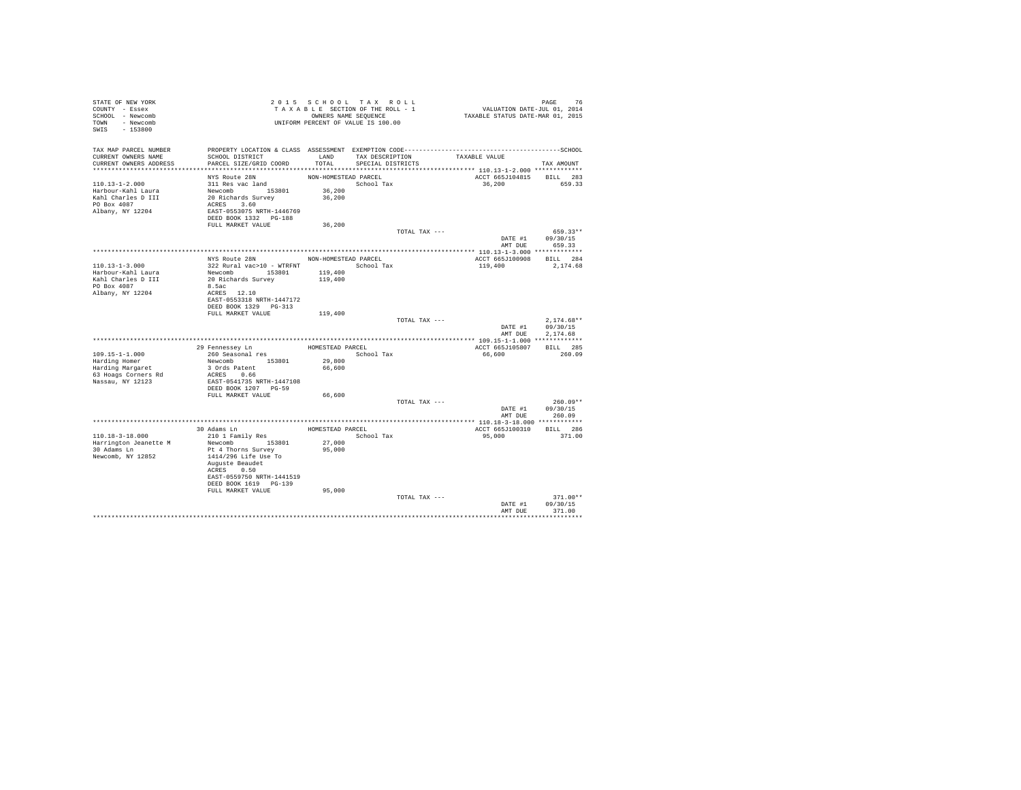| STATE OF NEW YORK<br>COUNTY - Essex<br>SCHOOL - Newcomb<br>TOWN - Newcomb<br>$-153800$<br>SWIS       |                                                                                                                                                                                        | 2015 SCHOOL TAX ROLL<br>TAXABLE SECTION OF THE ROLL - 1<br>OWNERS NAME SEQUENCE<br>UNIFORM PERCENT OF VALUE IS 100.00 |                                           |               | PAGE 76<br>VALUATION DATE-JUL 01, 2014<br>TAXABLE STATUS DATE-MAR 01, 2015 |                                          |
|------------------------------------------------------------------------------------------------------|----------------------------------------------------------------------------------------------------------------------------------------------------------------------------------------|-----------------------------------------------------------------------------------------------------------------------|-------------------------------------------|---------------|----------------------------------------------------------------------------|------------------------------------------|
| TAX MAP PARCEL NUMBER<br>CURRENT OWNERS NAME<br>CURRENT OWNERS ADDRESS                               | SCHOOL DISTRICT<br>PARCEL SIZE/GRID COORD                                                                                                                                              | TOTAL                                                                                                                 | LAND TAX DESCRIPTION<br>SPECIAL DISTRICTS |               | TAXABLE VALUE                                                              | TAX AMOUNT                               |
|                                                                                                      |                                                                                                                                                                                        |                                                                                                                       |                                           |               |                                                                            |                                          |
| $110.13 - 1 - 2.000$<br>Harbour-Kahl Laura<br>Kahl Charles D III<br>PO Box 4087<br>Albany, NY 12204  | NYS Route 28N<br>311 Res vac land<br>Newcomb 153801<br>20 Richards Survey<br>ACRES 3.60<br>EAST-0553075 NRTH-1446769<br>DEED BOOK 1332 PG-188                                          | NON-HOMESTEAD PARCEL<br>36,200<br>36,200                                                                              | School Tax                                |               | ACCT 665J104815<br>36,200                                                  | BILL 283<br>659.33                       |
|                                                                                                      | FULL MARKET VALUE                                                                                                                                                                      | 36,200                                                                                                                |                                           |               |                                                                            |                                          |
|                                                                                                      |                                                                                                                                                                                        |                                                                                                                       |                                           | TOTAL TAX --- | DATE #1<br>AMT DUE                                                         | 659.33**<br>09/30/15<br>659.33           |
|                                                                                                      |                                                                                                                                                                                        |                                                                                                                       |                                           |               |                                                                            |                                          |
| $110.13 - 1 - 3.000$<br>Harbour-Kahl Laura                                                           | NYS Route 28N NON-HOMESTEAD PARCEL<br>322 Rural vac>10 - WTRFNT<br>Newcomb 153801                                                                                                      | 119,400                                                                                                               | School Tax                                |               | ACCT 665J100908<br>119,400                                                 | BILL 284<br>2,174.68                     |
| Kahl Charles D III<br>PO Box 4087<br>Albany, NY 12204                                                | 20 Richards Survey<br>8.5ac<br>ACRES 12.10<br>EAST-0553318 NRTH-1447172<br>DEED BOOK 1329 PG-313                                                                                       | 119,400                                                                                                               |                                           |               |                                                                            |                                          |
|                                                                                                      | FULL MARKET VALUE                                                                                                                                                                      | 119,400                                                                                                               |                                           | TOTAL TAX --- | DATE #1<br>AMT DUE                                                         | $2.174.68**$<br>09/30/15<br>2.174.68     |
|                                                                                                      |                                                                                                                                                                                        |                                                                                                                       |                                           |               |                                                                            |                                          |
| $109.15 - 1 - 1.000$<br>Harding Homer<br>Harding Margaret<br>63 Hoags Corners Rd<br>Nassau, NY 12123 | 29 Fennessey Ln<br>260 Seasonal res<br>Newcomb 153801<br>3 Ords Patent<br>ACRES 0.66<br>EAST-0541735 NRTH-1447108<br>DEED BOOK 1207 PG-59                                              | HOMESTEAD PARCEL<br>29,800<br>66,600                                                                                  | School Tax                                |               | ACCT 665J105807<br>66,600                                                  | BILL 285<br>260.09                       |
|                                                                                                      | FULL MARKET VALUE                                                                                                                                                                      | 66,600                                                                                                                |                                           |               |                                                                            |                                          |
|                                                                                                      |                                                                                                                                                                                        |                                                                                                                       |                                           | TOTAL TAX --- | DATE #1                                                                    | $260.09**$<br>09/30/15<br>AMT DUE 260.09 |
|                                                                                                      |                                                                                                                                                                                        |                                                                                                                       |                                           |               |                                                                            |                                          |
| 110.18-3-18.000<br>Harrington Jeanette M<br>30 Adams Ln<br>Newcomb, NY 12852                         | 30 Adams Ln<br>210 1 Family Res<br>Newcomb 153801<br>Pt 4 Thorns Survey<br>1414/296 Life Use To<br>Auguste Beaudet<br>ACRES 0.50<br>EAST-0559750 NRTH-1441519<br>DEED BOOK 1619 PG-139 | HOMESTEAD PARCEL<br>27,000<br>95,000                                                                                  | School Tax                                |               | ACCT 665J100310<br>95,000                                                  | BILL 286<br>371.00                       |
|                                                                                                      | FULL MARKET VALUE                                                                                                                                                                      | 95,000                                                                                                                |                                           | TOTAL TAX --- | DATE #1<br>AMT DUE                                                         | $371.00**$<br>09/30/15<br>371.00         |
|                                                                                                      |                                                                                                                                                                                        |                                                                                                                       |                                           |               |                                                                            | ***********                              |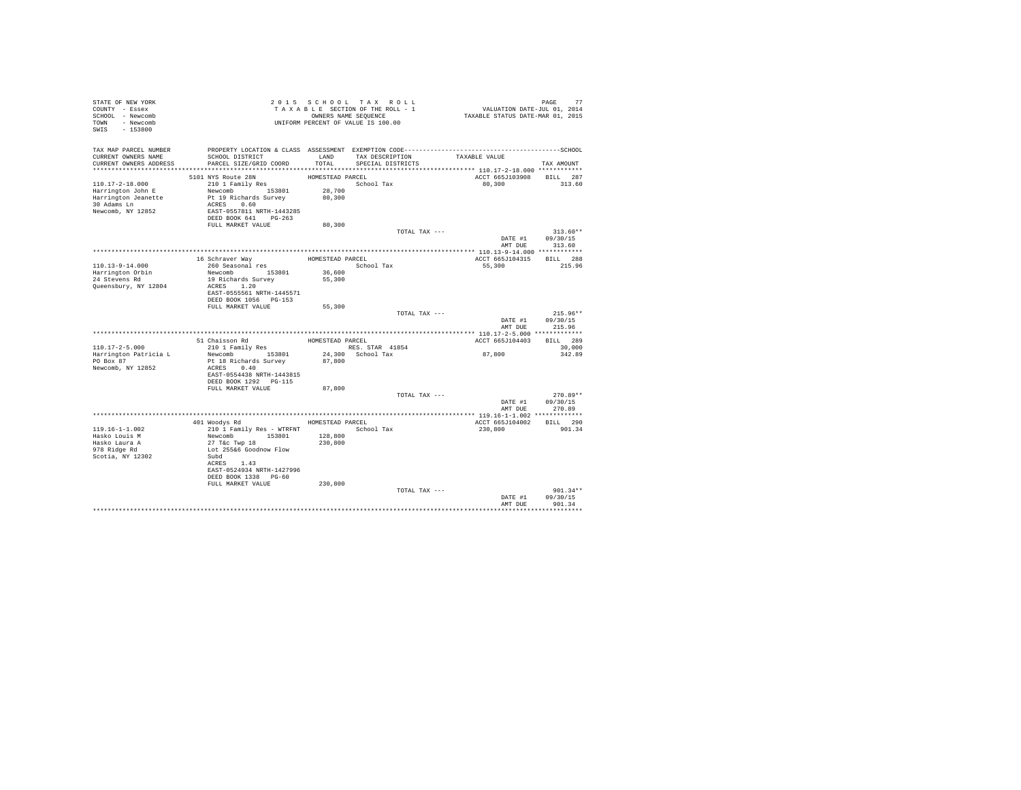| STATE OF NEW YORK<br>COUNTY - Essex |                                                                                              |                  | 2015 SCHOOL TAX ROLL<br>TAXABLE SECTION OF THE ROLL - 1 | PAGE 77<br>VALUATION DATE-JUL 01, 2014<br>TAXABLE STATUS DATE-MAR 01, 2015 |                                |
|-------------------------------------|----------------------------------------------------------------------------------------------|------------------|---------------------------------------------------------|----------------------------------------------------------------------------|--------------------------------|
| SCHOOL - Newcomb                    |                                                                                              |                  | OWNERS NAME SEQUENCE                                    |                                                                            |                                |
| TOWN - Newcomb                      |                                                                                              |                  | UNIFORM PERCENT OF VALUE IS 100.00                      |                                                                            |                                |
| SWIS - 153800                       |                                                                                              |                  |                                                         |                                                                            |                                |
|                                     |                                                                                              |                  |                                                         |                                                                            |                                |
| TAX MAP PARCEL NUMBER               | PROPERTY LOCATION & CLASS ASSESSMENT EXEMPTION CODE-----------------------------------SCHOOL |                  |                                                         |                                                                            |                                |
| CURRENT OWNERS NAME                 | SCHOOL DISTRICT                                                                              | LAND             | TAX DESCRIPTION                                         | TAXABLE VALUE                                                              |                                |
| CURRENT OWNERS ADDRESS              | PARCEL SIZE/GRID COORD                                                                       | TOTAL.           | SPECIAL DISTRICTS                                       |                                                                            | TAX AMOUNT                     |
|                                     |                                                                                              |                  |                                                         |                                                                            |                                |
| $110.17 - 2 - 18.000$               | 5101 NYS Route 28N<br>210 1 Family Res                                                       | HOMESTEAD PARCEL | School Tax                                              | ACCT 665J103908 BILL 287<br>80.300                                         | 313.60                         |
| Harrington John E                   | Newcomb 153801 28,700                                                                        |                  |                                                         |                                                                            |                                |
| Harrington Jeanette                 | Pt 19 Richards Survey                                                                        | 80,300           |                                                         |                                                                            |                                |
| 30 Adams Ln                         | ACRES 0.60                                                                                   |                  |                                                         |                                                                            |                                |
| Newcomb, NY 12852                   | EAST-0557811 NRTH-1443285                                                                    |                  |                                                         |                                                                            |                                |
|                                     | DEED BOOK 641 PG-263                                                                         |                  |                                                         |                                                                            |                                |
|                                     | FULL MARKET VALUE                                                                            | 80,300           |                                                         |                                                                            |                                |
|                                     |                                                                                              |                  | TOTAL TAX ---                                           | DATE #1                                                                    | $313.60**$<br>09/30/15         |
|                                     |                                                                                              |                  |                                                         |                                                                            | AMT DUE 313.60                 |
|                                     |                                                                                              |                  |                                                         |                                                                            |                                |
|                                     | 16 Schraver Way                                                                              | HOMESTEAD PARCEL |                                                         | ACCT 665J104315 BILL 288                                                   |                                |
| 110.13-9-14.000                     | 260 Seasonal res                                                                             |                  | School Tax                                              | 55,300                                                                     | 215.96                         |
| Harrington Orbin<br>24 Stevens Rd   | Newcomb 153801                                                                               | 36,600           |                                                         |                                                                            |                                |
|                                     | 19 Richards Survey                                                                           | 55,300           |                                                         |                                                                            |                                |
| Queensbury, NY 12804                | ACRES 1.20<br>EAST-0555561 NRTH-1445571                                                      |                  |                                                         |                                                                            |                                |
|                                     | DEED BOOK 1056 PG-153                                                                        |                  |                                                         |                                                                            |                                |
|                                     | FULL MARKET VALUE                                                                            | 55,300           |                                                         |                                                                            |                                |
|                                     |                                                                                              |                  | TOTAL TAX ---                                           |                                                                            | $215.96**$                     |
|                                     |                                                                                              |                  |                                                         | DATE #1                                                                    | 09/30/15                       |
|                                     |                                                                                              |                  |                                                         | AMT DUE                                                                    | 215.96                         |
|                                     |                                                                                              |                  |                                                         |                                                                            |                                |
| $110.17 - 2 - 5.000$                | 51 Chaisson Rd                                                                               | HOMESTEAD PARCEL | RES. STAR 41854                                         | ACCT 665J104403                                                            | BILL 289<br>30,000             |
| Harrington Patricia L               | 210 1 Family Res<br>Newcomb 153801                                                           |                  | 24,300 School Tax                                       | 87,800                                                                     | 342.89                         |
| PO Box 87                           | Pt 18 Richards Survey 87,800                                                                 |                  |                                                         |                                                                            |                                |
| Newcomb, NY 12852                   | ACRES 0.40                                                                                   |                  |                                                         |                                                                            |                                |
|                                     | EAST-0554438 NRTH-1443815                                                                    |                  |                                                         |                                                                            |                                |
|                                     | DEED BOOK 1292 PG-115                                                                        |                  |                                                         |                                                                            |                                |
|                                     | FULL MARKET VALUE                                                                            | 87,800           |                                                         |                                                                            |                                |
|                                     |                                                                                              |                  | TOTAL TAX ---                                           |                                                                            | $270.89**$<br>DATE #1 09/30/15 |
|                                     |                                                                                              |                  |                                                         | AMT DUE                                                                    | 270.89                         |
|                                     |                                                                                              |                  |                                                         |                                                                            |                                |
|                                     | 401 Woodys Rd                                                                                | HOMESTEAD PARCEL |                                                         | ACCT 665J104002 BILL 290                                                   |                                |
| $119.16 - 1 - 1.002$                | 210 1 Family Res - WTRFNT                                                                    |                  | School Tax                                              | 230,800                                                                    | 901.34                         |
| Hasko Louis M                       | Newcomb 153801                                                                               | 128,800          |                                                         |                                                                            |                                |
| Hasko Laura A                       | 27 T&c Twp 18                                                                                | 230,800          |                                                         |                                                                            |                                |
| 978 Ridge Rd                        | Lot 255&6 Goodnow Flow                                                                       |                  |                                                         |                                                                            |                                |
| Scotia, NY 12302                    | Subd<br>ACRES 1.43                                                                           |                  |                                                         |                                                                            |                                |
|                                     | EAST-0524934 NRTH-1427996                                                                    |                  |                                                         |                                                                            |                                |
|                                     | DEED BOOK 1338 PG-60                                                                         |                  |                                                         |                                                                            |                                |
|                                     | FULL MARKET VALUE                                                                            | 230,800          |                                                         |                                                                            |                                |
|                                     |                                                                                              |                  | TOTAL TAX ---                                           |                                                                            | $901.34**$                     |
|                                     |                                                                                              |                  |                                                         | DATE #1                                                                    | 09/30/15                       |
|                                     |                                                                                              |                  |                                                         | AMT DUE                                                                    | 901.34                         |
|                                     |                                                                                              |                  |                                                         |                                                                            |                                |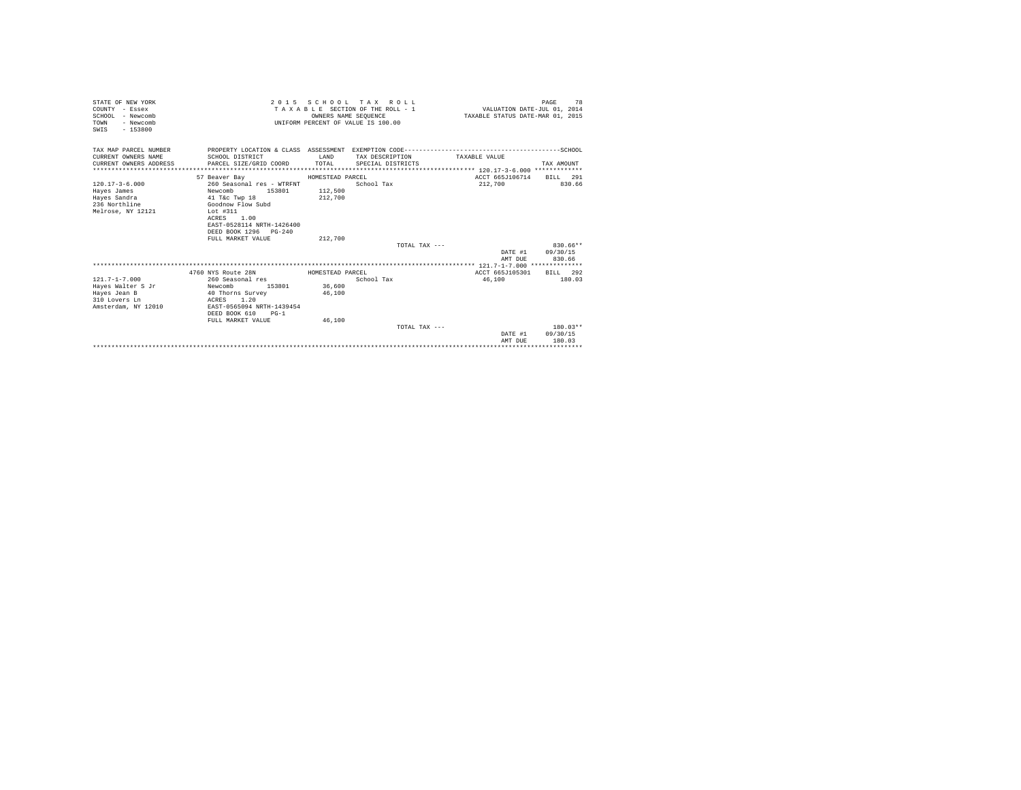| STATE OF NEW YORK<br>COUNTY - Essex<br>SCHOOL - Newcomb<br>- Newcomb<br>TOWN |                                                      | OWNERS NAME SEOUENCE | 2015 SCHOOL TAX ROLL<br>TAXABLE SECTION OF THE ROLL - 1<br>UNIFORM PERCENT OF VALUE IS 100.00 |                 | 78<br>PAGE<br>VALUATION DATE-JUL 01, 2014<br>TAXABLE STATUS DATE-MAR 01, 2015 |
|------------------------------------------------------------------------------|------------------------------------------------------|----------------------|-----------------------------------------------------------------------------------------------|-----------------|-------------------------------------------------------------------------------|
| $-153800$<br>SWIS                                                            |                                                      |                      |                                                                                               |                 |                                                                               |
| TAX MAP PARCEL NUMBER                                                        |                                                      |                      |                                                                                               |                 |                                                                               |
| CURRENT OWNERS NAME                                                          | SCHOOL DISTRICT                                      | <b>T.AND</b>         | TAX DESCRIPTION                                                                               | TAXARLE VALUE   |                                                                               |
| CURRENT OWNERS ADDRESS                                                       | PARCEL SIZE/GRID COORD                               | TOTAL                | SPECIAL DISTRICTS                                                                             |                 | TAX AMOUNT                                                                    |
|                                                                              | 57 Beaver Bay                                        | HOMESTEAD PARCEL     |                                                                                               | ACCT 665J106714 | BILL 291                                                                      |
| $120.17 - 3 - 6.000$                                                         | 260 Seasonal res - WTRFNT                            |                      | School Tax                                                                                    | 212,700         | 830.66                                                                        |
| Haves James                                                                  | Newcomb<br>153801                                    | 112,500              |                                                                                               |                 |                                                                               |
| Hayes Sandra                                                                 | 41 T&c Twp 18                                        | 212,700              |                                                                                               |                 |                                                                               |
| 236 Northline                                                                | Goodnow Flow Subd                                    |                      |                                                                                               |                 |                                                                               |
| Melrose, NY 12121                                                            | Lot #311<br>1.00<br>ACRES                            |                      |                                                                                               |                 |                                                                               |
|                                                                              | EAST-0528114 NRTH-1426400                            |                      |                                                                                               |                 |                                                                               |
|                                                                              | DEED BOOK 1296 PG-240                                |                      |                                                                                               |                 |                                                                               |
|                                                                              | FULL MARKET VALUE                                    | 212,700              |                                                                                               |                 |                                                                               |
|                                                                              |                                                      |                      | TOTAL TAX $---$                                                                               |                 | 830.66**                                                                      |
|                                                                              |                                                      |                      |                                                                                               |                 | DATE #1 09/30/15                                                              |
|                                                                              |                                                      |                      |                                                                                               | AMT DUR         | 830.66                                                                        |
|                                                                              | 4760 NYS Route 28N                                   | HOMESTEAD PARCEL     |                                                                                               | ACCT 665J105301 | BILL 292                                                                      |
| $121.7 - 1 - 7.000$                                                          | 260 Seasonal res                                     |                      | School Tax                                                                                    | 46,100          | 180.03                                                                        |
| Haves Walter S Jr                                                            | 153801 36,600<br>Newcomb                             |                      |                                                                                               |                 |                                                                               |
| Hayes Jean B                                                                 | 40 Thorns Survey                                     | 46,100               |                                                                                               |                 |                                                                               |
| 310 Lovers Ln                                                                | ACRES 1.20                                           |                      |                                                                                               |                 |                                                                               |
| Amsterdam, NY 12010                                                          | EAST-0565094 NRTH-1439454<br>DEED BOOK 610<br>$PG-1$ |                      |                                                                                               |                 |                                                                               |
|                                                                              | FULL MARKET VALUE                                    | 46,100               |                                                                                               |                 |                                                                               |
|                                                                              |                                                      |                      | TOTAL TAX ---                                                                                 |                 | $180.03**$                                                                    |
|                                                                              |                                                      |                      |                                                                                               |                 | DATE #1 09/30/15                                                              |
|                                                                              |                                                      |                      |                                                                                               | AMT DUE         | 180.03                                                                        |
|                                                                              |                                                      |                      |                                                                                               |                 |                                                                               |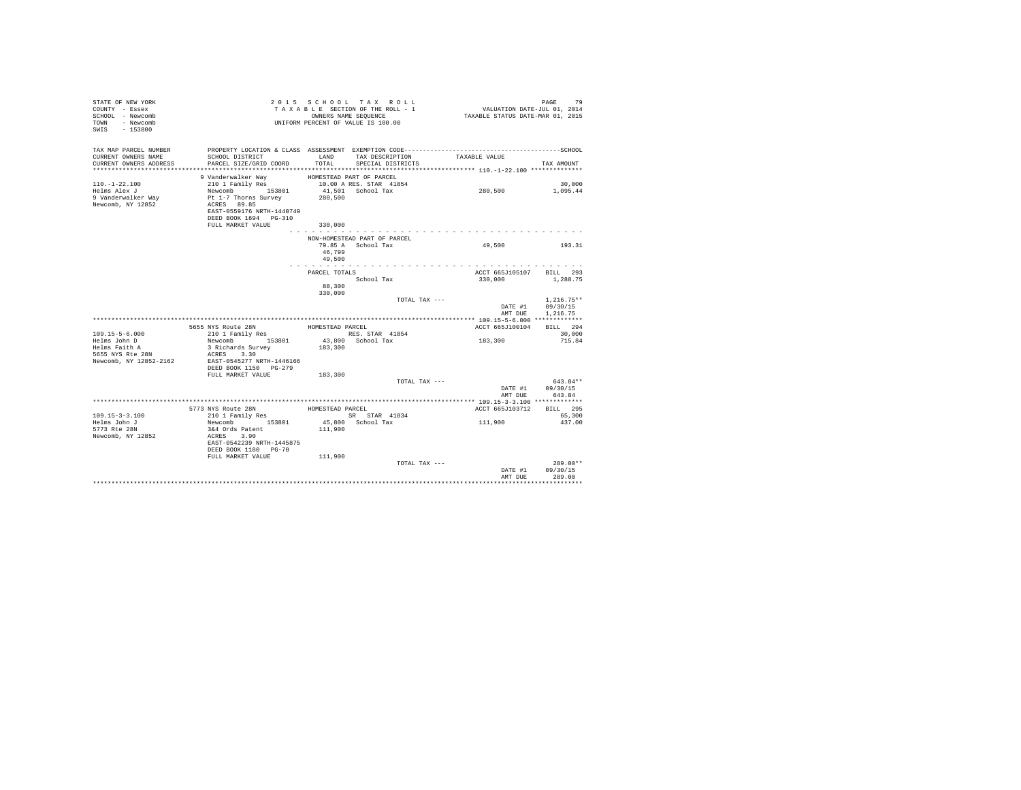| STATE OF NEW YORK<br>COUNTY - Essex<br>SCHOOL - Newcomb<br>TOWN - Newcomb<br>SWIS - 153800 |                                                                                                                                                                 |                         | 2015 SCHOOL TAX ROLL<br>TAXABLE SECTION OF THE ROLL - 1<br>OWNERS NAME SEQUENCE<br>UNIFORM PERCENT OF VALUE IS 100.00 | PAGE 79<br>VALUATION DATE-JUL 01, 2014<br>TAXABLE STATUS DATE-MAR 01, 2015 | PAGE<br>79                                   |  |
|--------------------------------------------------------------------------------------------|-----------------------------------------------------------------------------------------------------------------------------------------------------------------|-------------------------|-----------------------------------------------------------------------------------------------------------------------|----------------------------------------------------------------------------|----------------------------------------------|--|
| TAX MAP PARCEL NUMBER<br>CURRENT OWNERS NAME<br>CURRENT OWNERS ADDRESS                     | SCHOOL DISTRICT TAND TAX DESCRIPTION<br>PARCEL SIZE/GRID COORD                                                                                                  |                         | TOTAL SPECIAL DISTRICTS                                                                                               | TAXABLE VALUE                                                              | TAX AMOUNT                                   |  |
|                                                                                            |                                                                                                                                                                 |                         |                                                                                                                       |                                                                            |                                              |  |
| $110. - 1 - 22.100$                                                                        | 9 Vanderwalker Way<br>210 1 Family Res                                                                                                                          |                         | HOMESTEAD PART OF PARCEL                                                                                              |                                                                            | 30,000                                       |  |
| Helms Alex J<br>9 Vanderwalker Way<br>Newcomb, NY 12852                                    | Newcomb 153801<br>Pt 1-7 Thorns Survey<br>ACRES 89.85<br>EAST-0559176 NRTH-1440749<br>DEED BOOK 1694 PG-310<br>FULL MARKET VALUE                                | 280,500<br>330,000      | 10.00 A RES. STAR 41854<br>41.501 School Tax                                                                          | 280,500                                                                    | 1,095.44                                     |  |
|                                                                                            |                                                                                                                                                                 |                         | . <u>.</u>                                                                                                            |                                                                            |                                              |  |
|                                                                                            |                                                                                                                                                                 | 46,799                  | NON-HOMESTEAD PART OF PARCEL<br>79.85 A School Tax                                                                    | 49,500                                                                     | 193.31                                       |  |
|                                                                                            |                                                                                                                                                                 | 49,500<br>.             |                                                                                                                       |                                                                            |                                              |  |
|                                                                                            |                                                                                                                                                                 | PARCEL TOTALS<br>88,300 | School Tax                                                                                                            | ACCT 665J105107 BILL 293<br>330,000                                        | 1,288.75                                     |  |
|                                                                                            |                                                                                                                                                                 | 330,000                 | TOTAL TAX ---                                                                                                         | AMT DUE                                                                    | $1.216.75**$<br>DATE #1 09/30/15<br>1,216.75 |  |
|                                                                                            |                                                                                                                                                                 |                         |                                                                                                                       |                                                                            |                                              |  |
|                                                                                            | 5655 NYS Route 28N                                                                                                                                              | HOMESTEAD PARCEL        |                                                                                                                       | ACCT 665J100104 BILL 294                                                   |                                              |  |
| $109.15 - 5 - 6.000$<br>Helms John D                                                       | 210 1 Family Res<br>Newcomb 153801                                                                                                                              |                         | RES. STAR 41854<br>43,800 School Tax                                                                                  | 183,300                                                                    | 30,000<br>715.84                             |  |
| Helms Faith A<br>5655 NYS Rte 28N<br>Newcomb, NY 12852-2162                                | 3 Richards Survey<br>ACRES 3.30<br>EAST-0545277 NRTH-1446166<br>DEED BOOK 1150 PG-279                                                                           | 183,300                 |                                                                                                                       |                                                                            |                                              |  |
|                                                                                            | FULL MARKET VALUE                                                                                                                                               | 183,300                 |                                                                                                                       |                                                                            |                                              |  |
|                                                                                            |                                                                                                                                                                 |                         | TOTAL TAX ---                                                                                                         | AMT DUE                                                                    | $643.84**$<br>DATE #1 09/30/15<br>643.84     |  |
|                                                                                            |                                                                                                                                                                 |                         |                                                                                                                       |                                                                            |                                              |  |
| $109.15 - 3 - 3.100$<br>Helms John J<br>5773 Rte 28N<br>Newcomb, NY 12852                  | 5773 NYS Route 28N<br>210 1 Family Res BOMESTEAD PARCEL<br>Newcomb 153801<br>3&4 Ords Patent<br>ACRES 3.90<br>EAST-0542239 NRTH-1445875<br>DEED BOOK 1180 PG-70 | 111,900                 | SR STAR 41834<br>45,800 School Tax                                                                                    | ACCT 665J103712 BILL 295<br>111,900                                        | 65,300<br>437.00                             |  |
|                                                                                            | FULL MARKET VALUE                                                                                                                                               | 111,900                 |                                                                                                                       |                                                                            | $289.00**$                                   |  |
|                                                                                            |                                                                                                                                                                 |                         | TOTAL TAX ---                                                                                                         | AMT DUE                                                                    | DATE #1 09/30/15<br>289.00                   |  |
|                                                                                            |                                                                                                                                                                 |                         |                                                                                                                       |                                                                            |                                              |  |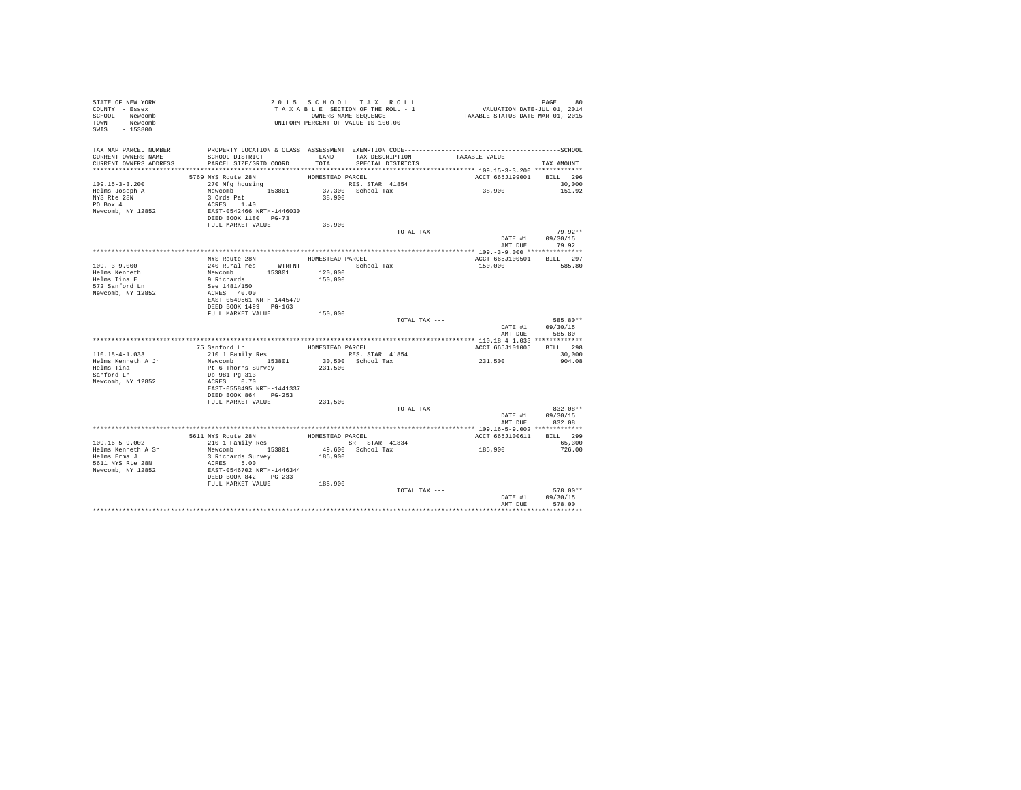| STATE OF NEW YORK<br>COUNTY - Essex<br>SCHOOL - Newcomb<br>TOWN - Newcomb<br>SWIS - 153800 | T A X A B L E SECTION OF 1 HB WOW .<br>ONNEES NAME SEQUENCE<br>UNIFORM PERCENT OF VALUE IS 100.00 |                  | TAXABLE SECTION OF THE ROLL - 1<br>OWNERS NAME SEQUENCE | PAGE 80<br>VALUATION DATE-JUL 01, 2014<br>TAXABLE STATUS DATE-MAR 01, 2015 |                  |
|--------------------------------------------------------------------------------------------|---------------------------------------------------------------------------------------------------|------------------|---------------------------------------------------------|----------------------------------------------------------------------------|------------------|
| TAX MAP PARCEL NUMBER                                                                      | PROPERTY LOCATION & CLASS ASSESSMENT EXEMPTION CODE-----------------------------------SCHOOL      |                  |                                                         |                                                                            |                  |
| CURRENT OWNERS NAME<br>CURRENT OWNERS ADDRESS                                              | SCHOOL DISTRICT<br>PARCEL SIZE/GRID COORD                                                         | LAND<br>TOTAL    | TAX DESCRIPTION<br>SPECIAL DISTRICTS                    | TAXABLE VALUE                                                              | TAX AMOUNT       |
|                                                                                            |                                                                                                   |                  |                                                         |                                                                            |                  |
|                                                                                            | 5769 NYS Route 28N                                                                                | HOMESTEAD PARCEL |                                                         | ACCT 665J199001 BILL 296                                                   |                  |
| $109.15 - 3 - 3.200$                                                                       | 270 Mfg housing                                                                                   |                  | RES. STAR 41854                                         |                                                                            | 30,000           |
| Helms Joseph A                                                                             | Newcomb 153801 37,300 School Tax                                                                  |                  |                                                         | 38,900                                                                     | 151.92           |
| NYS Rte 28N                                                                                | 3 Ords Pat<br>ACRES 1.40                                                                          | 38,900           |                                                         |                                                                            |                  |
| PO Box 4<br>Newcomb, NY 12852                                                              |                                                                                                   |                  |                                                         |                                                                            |                  |
|                                                                                            | EAST-0542466 NRTH-1446030<br>DEED BOOK 1180 PG-73                                                 |                  |                                                         |                                                                            |                  |
|                                                                                            | FULL MARKET VALUE                                                                                 | 38,900           |                                                         |                                                                            |                  |
|                                                                                            |                                                                                                   |                  | TOTAL TAX ---                                           |                                                                            | 79.92**          |
|                                                                                            |                                                                                                   |                  |                                                         |                                                                            | DATE #1 09/30/15 |
|                                                                                            |                                                                                                   |                  |                                                         |                                                                            | AMT DUE 79.92    |
|                                                                                            | NYS Route 28N                                                                                     | HOMESTEAD PARCEL |                                                         | ACCT 665J100501 BILL 297                                                   |                  |
| $109. - 3 - 9.000$                                                                         | 240 Rural res - WTRFNT                                                                            |                  | School Tax                                              | 150,000                                                                    | 585.80           |
|                                                                                            | Newcomb 153801 120,000                                                                            |                  |                                                         |                                                                            |                  |
| Helms Kenneth<br>Helms Tina E                                                              | 9 Richards                                                                                        | 150,000          |                                                         |                                                                            |                  |
| 572 Sanford Ln                                                                             | See 1481/150                                                                                      |                  |                                                         |                                                                            |                  |
| Newcomb, NY 12852                                                                          | ACRES 40.00<br>EAST-0549561 NRTH-1445479                                                          |                  |                                                         |                                                                            |                  |
|                                                                                            | DEED BOOK 1499 PG-163                                                                             |                  |                                                         |                                                                            |                  |
|                                                                                            | FULL MARKET VALUE                                                                                 | 150,000          |                                                         |                                                                            |                  |
|                                                                                            |                                                                                                   |                  | TOTAL TAX ---                                           |                                                                            | 585.80**         |
|                                                                                            |                                                                                                   |                  |                                                         |                                                                            | DATE #1 09/30/15 |
|                                                                                            |                                                                                                   |                  |                                                         |                                                                            | AMT DUE 585.80   |
|                                                                                            |                                                                                                   | HOMESTEAD PARCEL |                                                         | ACCT 665J101005                                                            | BILL 298         |
| 110.18-4-1.033                                                                             | 75 Sanford Ln<br>210 1 Family Res                                                                 |                  | RES. STAR 41854                                         |                                                                            | 30,000           |
| Helms Kenneth A Jr                                                                         | Newcomb 153801                                                                                    |                  | 30,500 School Tax                                       | 231,500                                                                    | 904.08           |
| Helms Tina<br>Sanford Ln                                                                   | Pt 6 Thorns Survey                                                                                | 231,500          |                                                         |                                                                            |                  |
|                                                                                            | Db 981 Pq 313                                                                                     |                  |                                                         |                                                                            |                  |
| Newcomb, NY 12852                                                                          | ACRES 0.70<br>EAST-0558495 NRTH-1441337                                                           |                  |                                                         |                                                                            |                  |
|                                                                                            | DEED BOOK 864 PG-253                                                                              |                  |                                                         |                                                                            |                  |
|                                                                                            | FULL MARKET VALUE                                                                                 | 231,500          |                                                         |                                                                            |                  |
|                                                                                            |                                                                                                   |                  | TOTAL TAX ---                                           |                                                                            | 832.08**         |
|                                                                                            |                                                                                                   |                  |                                                         |                                                                            | DATE #1 09/30/15 |
|                                                                                            |                                                                                                   |                  |                                                         |                                                                            | AMT DUE 832.08   |
|                                                                                            |                                                                                                   |                  | HOMESTEAD PARCEL                                        | ACCT 665J100611                                                            | BILL 299         |
| 109.16-5-9.002                                                                             | 5611 NYS Route 28N<br>210 1 Family Res                                                            |                  | SR STAR 41834                                           |                                                                            | 65,300           |
| Helms Kenneth A Sr                                                                         | Newcomb 153801                                                                                    |                  | 49,600 School Tax                                       | 185,900                                                                    | 726.00           |
| Helms Erma J                                                                               | 3 Richards Survey                                                                                 | 185,900          |                                                         |                                                                            |                  |
| 5611 NYS Rte 28N                                                                           | ACRES 5.00                                                                                        |                  |                                                         |                                                                            |                  |
| Newcomb, NY 12852                                                                          | EAST-0546702 NRTH-1446344<br>DEED BOOK 842 PG-233                                                 |                  |                                                         |                                                                            |                  |
|                                                                                            | FULL MARKET VALUE                                                                                 | 185,900          |                                                         |                                                                            |                  |
|                                                                                            |                                                                                                   |                  | TOTAL TAX ---                                           |                                                                            | 578.00**         |
|                                                                                            |                                                                                                   |                  |                                                         | DATE #1                                                                    | 09/30/15         |
|                                                                                            |                                                                                                   |                  |                                                         | AMT DUE                                                                    | 578.00           |
|                                                                                            |                                                                                                   |                  |                                                         |                                                                            |                  |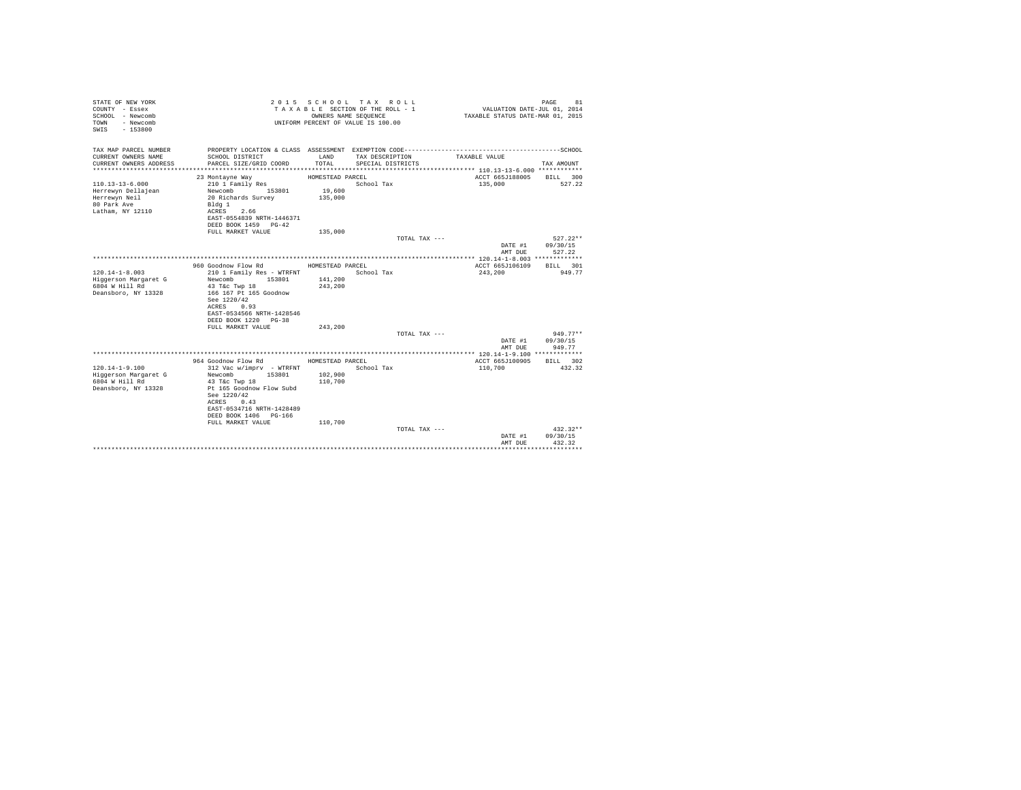| STATE OF NEW YORK<br>COUNTY - Essex<br>SCHOOL - Newcomb<br>- Newcomb<br>TOWN<br>$-153800$<br>SWIS |                                                                                                                                                                                                                            | OWNERS NAME SEOUENCE                              | 2015 SCHOOL TAX ROLL<br>TAXABLE SECTION OF THE ROLL - 1<br>UNIFORM PERCENT OF VALUE IS 100.00 |               | VALUATION DATE-JUL 01, 2014<br>TAXABLE STATUS DATE-MAR 01, 2015 | PAGE<br>81                           |
|---------------------------------------------------------------------------------------------------|----------------------------------------------------------------------------------------------------------------------------------------------------------------------------------------------------------------------------|---------------------------------------------------|-----------------------------------------------------------------------------------------------|---------------|-----------------------------------------------------------------|--------------------------------------|
| TAX MAP PARCEL NUMBER<br>CURRENT OWNERS NAME<br>CURRENT OWNERS ADDRESS                            | SCHOOL DISTRICT<br>PARCEL SIZE/GRID COORD                                                                                                                                                                                  | LAND<br>TOTAL                                     | TAX DESCRIPTION<br>SPECIAL DISTRICTS                                                          |               | TAXABLE VALUE                                                   | TAX AMOUNT                           |
|                                                                                                   |                                                                                                                                                                                                                            |                                                   |                                                                                               |               |                                                                 |                                      |
| $110.13 - 13 - 6.000$<br>Herrewyn Dellajean<br>Herrewyn Neil<br>80 Park Ave<br>Latham, NY 12110   | 23 Montayne Way<br>210 1 Family Res<br>Newcomb<br>153801<br>20 Richards Survey<br>Bldg 1<br>2.66<br>ACRES<br>EAST-0554839 NRTH-1446371<br>DEED BOOK 1459 PG-42                                                             | HOMESTEAD PARCEL<br>19,600<br>135,000             | School Tax                                                                                    |               | ACCT 665J188005<br>135,000                                      | BILL 300<br>527.22                   |
|                                                                                                   | FULL MARKET VALUE                                                                                                                                                                                                          | 135,000                                           |                                                                                               |               |                                                                 |                                      |
|                                                                                                   |                                                                                                                                                                                                                            |                                                   |                                                                                               | TOTAL TAX --- | DATE #1<br>AMT DUE                                              | $527.22**$<br>09/30/15<br>527.22     |
|                                                                                                   |                                                                                                                                                                                                                            |                                                   |                                                                                               |               |                                                                 |                                      |
| $120.14 - 1 - 8.003$<br>Higgerson Margaret G<br>6804 W Hill Rd<br>Deansboro, NY 13328             | 960 Goodnow Flow Rd<br>210 1 Family Res - WTRFNT<br>153801<br>Newcomb<br>43 T&c Twp 18<br>166 167 Pt 165 Goodnow<br>See 1220/42<br>0.93<br>ACRES<br>EAST-0534566 NRTH-1428546<br>DEED BOOK 1220 PG-38<br>FULL MARKET VALUE | HOMESTEAD PARCEL<br>141,200<br>243,200<br>243,200 | School Tax                                                                                    |               | ACCT 665J106109<br>243,200                                      | BILL 301<br>949.77                   |
|                                                                                                   |                                                                                                                                                                                                                            |                                                   |                                                                                               | TOTAL TAX --- |                                                                 | $949.77**$                           |
|                                                                                                   |                                                                                                                                                                                                                            |                                                   |                                                                                               |               | DATE #1<br>AMT DUE                                              | 09/30/15<br>949.77                   |
|                                                                                                   |                                                                                                                                                                                                                            |                                                   |                                                                                               |               |                                                                 |                                      |
| $120.14 - 1 - 9.100$<br>Higgerson Margaret G<br>6804 W Hill Rd<br>Deansboro, NY 13328             | 964 Goodnow Flow Rd<br>312 Vac w/imprv - WTRFNT<br>Newcomb<br>153801<br>43 T&c Twp 18<br>Pt 165 Goodnow Flow Subd<br>See 1220/42<br>ACRES 0.43<br>EAST-0534716 NRTH-1428489                                                | HOMESTEAD PARCEL<br>102,900<br>110,700            | School Tax                                                                                    |               | ACCT 665J100905<br>110,700                                      | BTLL 302<br>432.32                   |
|                                                                                                   | DEED BOOK 1406 PG-166                                                                                                                                                                                                      |                                                   |                                                                                               |               |                                                                 |                                      |
|                                                                                                   | FULL MARKET VALUE                                                                                                                                                                                                          | 110,700                                           |                                                                                               | TOTAL TAX --- | DATE #1<br>AMT DUE                                              | $432.32**$<br>09/30/15<br>432.32<br> |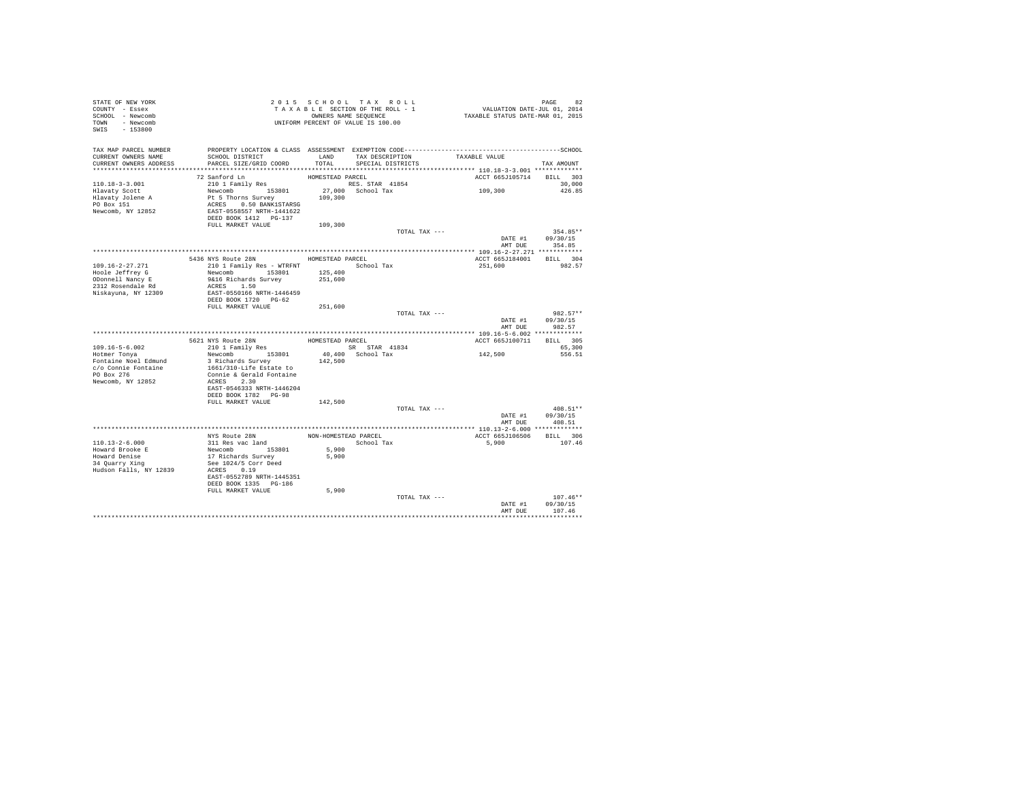| STATE OF NEW YORK<br>COUNTY - Essex<br>SCHOOL - Newcomb<br>TOWN - Newcomb<br>$-153800$<br>SWIS |                                            |                      | 2015 SCHOOL TAX ROLL<br>TAXABLE SECTION OF THE ROLL - 1<br>OWNERS NAME SEQUENCE<br>UNIFORM PERCENT OF VALUE IS 100.00 | 92 PAGE 92<br>VALUATION DATE-JUL 01, 2014<br>TAXABLE STATUS DATE-MAR 01, 2015 |                      |
|------------------------------------------------------------------------------------------------|--------------------------------------------|----------------------|-----------------------------------------------------------------------------------------------------------------------|-------------------------------------------------------------------------------|----------------------|
| TAX MAP PARCEL NUMBER<br>CURRENT OWNERS NAME<br>CURRENT OWNERS ADDRESS                         | SCHOOL DISTRICT<br>PARCEL SIZE/GRID COORD  | LAND<br>TOTAL        | TAX DESCRIPTION<br>SPECIAL DISTRICTS                                                                                  | TAXABLE VALUE                                                                 | TAX AMOUNT           |
|                                                                                                |                                            |                      |                                                                                                                       |                                                                               |                      |
|                                                                                                | 72 Sanford Ln                              | HOMESTEAD PARCEL     |                                                                                                                       | ACCT 665J105714                                                               | BILL 303             |
| $110.18 - 3 - 3.001$                                                                           | 210 1 Family Res                           |                      | RES. STAR 41854                                                                                                       |                                                                               | 30,000               |
| Hlavaty Scott                                                                                  | Newcomb 153801                             |                      | 27,000 School Tax                                                                                                     | 109,300                                                                       | 426.85               |
| Hlavaty Jolene A                                                                               | Pt 5 Thorns Survey                         | 109,300              |                                                                                                                       |                                                                               |                      |
| PO Box 151                                                                                     | ACRES 0.50 BANK1STARSG                     |                      |                                                                                                                       |                                                                               |                      |
| Newcomb, NY 12852                                                                              | EAST-0558557 NRTH-1441622                  |                      |                                                                                                                       |                                                                               |                      |
|                                                                                                | DEED BOOK 1412 PG-137<br>FULL MARKET VALUE | 109,300              |                                                                                                                       |                                                                               |                      |
|                                                                                                |                                            |                      |                                                                                                                       | TOTAL TAX ---                                                                 | 354.85**             |
|                                                                                                |                                            |                      |                                                                                                                       |                                                                               | DATE #1 09/30/15     |
|                                                                                                |                                            |                      |                                                                                                                       | AMT DUE                                                                       | 354.85               |
|                                                                                                |                                            |                      |                                                                                                                       |                                                                               |                      |
|                                                                                                | 5436 NYS Route 28N                         | HOMESTEAD PARCEL     |                                                                                                                       | ACCT 665J184001                                                               | BILL 304             |
| 109.16-2-27.271                                                                                | 210 1 Family Res - WTRFNT                  |                      | School Tax                                                                                                            | 251,600                                                                       | 982.57               |
| Hoole Jeffrey G                                                                                | Newcomb 153801                             | 125,400              |                                                                                                                       |                                                                               |                      |
| ODonnell Nancy E<br>2312 Rosendale Rd                                                          | 9&16 Richards Survey<br>ACRES 1.50         | 251,600              |                                                                                                                       |                                                                               |                      |
| Niskayuna, NY 12309                                                                            | EAST-0550166 NRTH-1446459                  |                      |                                                                                                                       |                                                                               |                      |
|                                                                                                | DEED BOOK 1720 PG-62                       |                      |                                                                                                                       |                                                                               |                      |
|                                                                                                | FULL MARKET VALUE                          | 251,600              |                                                                                                                       |                                                                               |                      |
|                                                                                                |                                            |                      |                                                                                                                       | TOTAL TAX ---                                                                 | 982.57**             |
|                                                                                                |                                            |                      |                                                                                                                       | DATE #1<br>AMT DUE                                                            | 09/30/15<br>982.57   |
|                                                                                                |                                            |                      |                                                                                                                       |                                                                               |                      |
|                                                                                                | 5621 NYS Route 28N<br>210 1 Family Res     | HOMESTEAD PARCEL     |                                                                                                                       | ACCT 665J100711                                                               | BILL 305             |
| 109.16-5-6.002<br>Hotmer Tonya                                                                 | Newcomb 153801                             |                      | SR STAR 41834<br>40,400 School Tax                                                                                    | 142,500                                                                       | 65,300<br>556.51     |
| Fontaine Noel Edmund                                                                           | 3 Richards Survey                          | 142,500              |                                                                                                                       |                                                                               |                      |
| c/o Connie Fontaine                                                                            | 1661/310-Life Estate to                    |                      |                                                                                                                       |                                                                               |                      |
| PO Box 276                                                                                     | Connie & Gerald Fontaine                   |                      |                                                                                                                       |                                                                               |                      |
| Newcomb, NY 12852                                                                              | ACRES 2.30                                 |                      |                                                                                                                       |                                                                               |                      |
|                                                                                                | EAST-0546333 NRTH-1446204                  |                      |                                                                                                                       |                                                                               |                      |
|                                                                                                | DEED BOOK 1782 PG-98                       |                      |                                                                                                                       |                                                                               |                      |
|                                                                                                | FULL MARKET VALUE                          | 142,500              |                                                                                                                       |                                                                               |                      |
|                                                                                                |                                            |                      |                                                                                                                       | TOTAL TAX ---<br>DATE #1                                                      | 408.51**<br>09/30/15 |
|                                                                                                |                                            |                      |                                                                                                                       | AMT DUE                                                                       | 408.51               |
|                                                                                                |                                            |                      |                                                                                                                       |                                                                               |                      |
|                                                                                                | NYS Route 28N                              | NON-HOMESTEAD PARCEL |                                                                                                                       | ACCT 665J106506                                                               | BILL 306             |
| $110.13 - 2 - 6.000$                                                                           | 311 Res vac land                           |                      | School Tax                                                                                                            | 5,900                                                                         | 107.46               |
|                                                                                                | Newcomb 153801                             | 5,900                |                                                                                                                       |                                                                               |                      |
| Howard Brooke E<br>Howard Denise<br>34 Quarry Xing                                             | 17 Richards Survey                         | 5,900                |                                                                                                                       |                                                                               |                      |
|                                                                                                | See 1024/5 Corr Deed                       |                      |                                                                                                                       |                                                                               |                      |
| Hudson Falls, NY 12839                                                                         | ACRES 0.19<br>EAST-0552789 NRTH-1445351    |                      |                                                                                                                       |                                                                               |                      |
|                                                                                                | DEED BOOK 1335 PG-186                      |                      |                                                                                                                       |                                                                               |                      |
|                                                                                                | FULL MARKET VALUE                          | 5,900                |                                                                                                                       |                                                                               |                      |
|                                                                                                |                                            |                      |                                                                                                                       | TOTAL TAX ---                                                                 | $107.46**$           |
|                                                                                                |                                            |                      |                                                                                                                       | DATE #1                                                                       | 09/30/15             |
|                                                                                                |                                            |                      |                                                                                                                       | AMT DUE                                                                       | 107.46               |
|                                                                                                |                                            |                      |                                                                                                                       |                                                                               | .                    |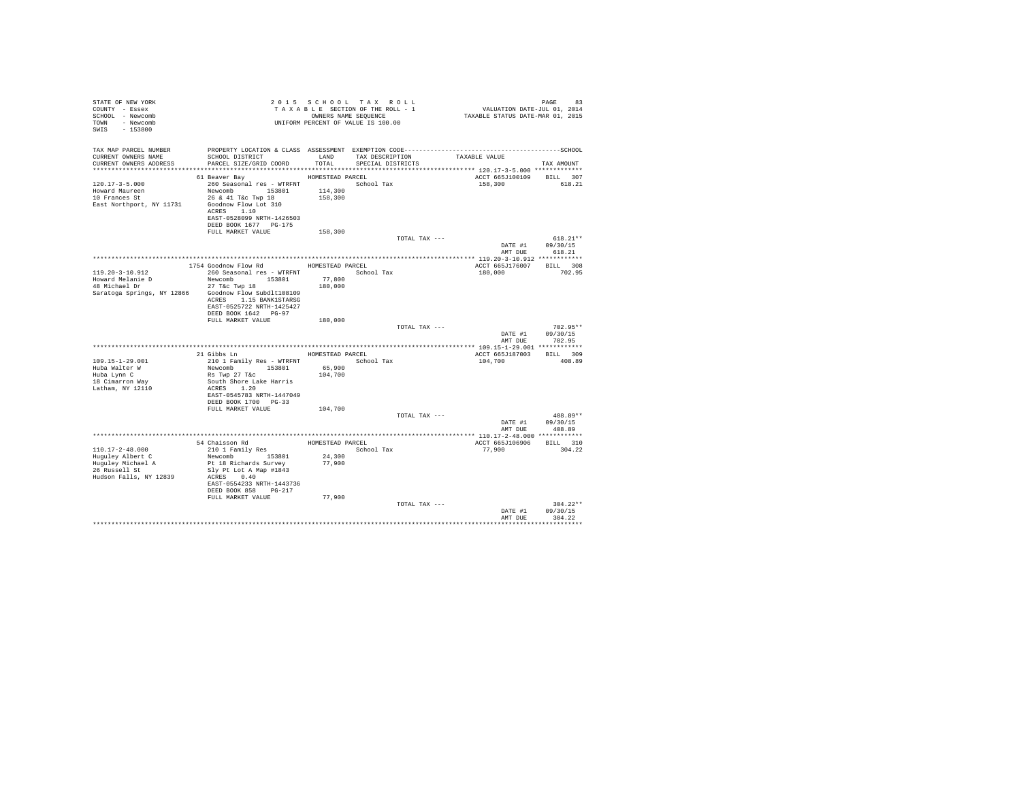| STATE OF NEW YORK<br>COUNTY - Essex<br>SCHOOL - Newcomb<br>- Newcomb<br><b>TOWN</b><br>SWIS<br>$-153800$           |                                                                                                                                                                                    |                               | 2015 SCHOOL TAX ROLL<br>TAXABLE SECTION OF THE ROLL - 1<br>OWNERS NAME SEQUENCE<br>UNIFORM PERCENT OF VALUE IS 100.00 |               | VALUATION DATE-JUL 01, 2014<br>TAXABLE STATUS DATE-MAR 01, 2015 | 83<br>PAGE                       |
|--------------------------------------------------------------------------------------------------------------------|------------------------------------------------------------------------------------------------------------------------------------------------------------------------------------|-------------------------------|-----------------------------------------------------------------------------------------------------------------------|---------------|-----------------------------------------------------------------|----------------------------------|
| TAX MAP PARCEL NUMBER<br>CURRENT OWNERS NAME<br>CURRENT OWNERS ADDRESS                                             | SCHOOL DISTRICT LAND<br>PARCEL SIZE/GRID COORD TOTAL                                                                                                                               |                               | TAX DESCRIPTION<br>SPECIAL DISTRICTS                                                                                  | TAXABLE VALUE |                                                                 | TAX AMOUNT                       |
|                                                                                                                    | 61 Beaver Bay                                                                                                                                                                      | HOMESTEAD PARCEL              |                                                                                                                       |               | ACCT 665J100109 BILL 307                                        |                                  |
| $120.17 - 3 - 5.000$<br>Howard Maureen<br>10 Frances St<br>East Northport, NY 11731                                | 260 Seasonal res - WTRFNT<br>Newcomb 153801<br>26 & 41 T&c Twp 18<br>Goodnow Flow Lot 310<br>ACRES 1.10<br>EAST-0528099 NRTH-1426503<br>DEED BOOK 1677 PG-175<br>FULL MARKET VALUE | 114,300<br>158,300<br>158,300 | School Tax                                                                                                            |               | 158,300                                                         | 618.21                           |
|                                                                                                                    |                                                                                                                                                                                    |                               |                                                                                                                       | TOTAL TAX --- |                                                                 | $618.21**$                       |
|                                                                                                                    |                                                                                                                                                                                    |                               |                                                                                                                       |               | DATE #1                                                         | 09/30/15                         |
|                                                                                                                    |                                                                                                                                                                                    |                               |                                                                                                                       |               | AMT DUE                                                         | 618.21                           |
|                                                                                                                    | 1754 Goodnow Flow Rd MOMESTEAD PARCEL                                                                                                                                              |                               |                                                                                                                       |               | ACCT 665J176007                                                 | BILL 308                         |
| $119.20 - 3 - 10.912$<br>Howard Melanie D<br>48 Michael Dr<br>Saratoga Springs, NY 12866 Goodnow Flow Subdlt108109 | 260 Seasonal res - WTRFNT<br>Newcomb 153801<br>27 T&c Twp 18<br>ACRES 1.15 BANK1STARSG<br>EAST-0525722 NRTH-1425427<br>DEED BOOK 1642 PG-97                                        | 77,800<br>180,000             | School Tax                                                                                                            |               | 180,000                                                         | 702.95                           |
|                                                                                                                    | FULL MARKET VALUE                                                                                                                                                                  | 180,000                       |                                                                                                                       |               |                                                                 |                                  |
|                                                                                                                    |                                                                                                                                                                                    |                               |                                                                                                                       | TOTAL TAX --- | DATE #1<br>AMT DUE                                              | $702.95**$<br>09/30/15<br>702.95 |
|                                                                                                                    |                                                                                                                                                                                    |                               |                                                                                                                       |               |                                                                 |                                  |
|                                                                                                                    | 21 Gibbs Ln MOMESTEAD PARCEL                                                                                                                                                       |                               |                                                                                                                       |               | ACCT 665J187003 BILL 309                                        |                                  |
| $109.15 - 1 - 29.001$<br>Huba Walter W<br>Huba Lynn C<br>18 Cimarron Way<br>Latham, NY 12110                       | 210 1 Family Res - WTRFNT<br>Newcomb 153801<br>Rs Twp 27 T&c<br>South Shore Lake Harris<br>ACRES 1.20<br>EAST-0545783 NRTH-1447049<br>DEED BOOK 1700 PG-33<br>FULL MARKET VALUE    | 65,900<br>104,700<br>104,700  | School Tax                                                                                                            |               | 104,700                                                         | 408.89                           |
|                                                                                                                    |                                                                                                                                                                                    |                               |                                                                                                                       | TOTAL TAX --- |                                                                 | 408.89**                         |
|                                                                                                                    |                                                                                                                                                                                    |                               |                                                                                                                       |               | DATE #1                                                         | 09/30/15                         |
|                                                                                                                    |                                                                                                                                                                                    |                               |                                                                                                                       |               | AMT DUE                                                         | 408.89                           |
|                                                                                                                    | 54 Chaisson Rd                                                                                                                                                                     | HOMESTEAD PARCEL              |                                                                                                                       |               | ACCT 665J106906                                                 | BILL 310                         |
| $110.17 - 2 - 48.000$<br>Huguley Albert C<br>Huguley Michael A<br>26 Russell St<br>Hudson Falls, NY 12839          | 210 1 Family Res<br>Newcomb 153801<br>Pt 18 Richards Survey<br>Slv Pt Lot A Map #1843<br>ACRES 0.40<br>EAST-0554233 NRTH-1443736<br>DEED BOOK 858 PG-217<br>FULL MARKET VALUE      | 24,300<br>77,900<br>77,900    | School Tax                                                                                                            |               | 77,900                                                          | 304.22                           |
|                                                                                                                    |                                                                                                                                                                                    |                               |                                                                                                                       | TOTAL TAX --- | DATE #1<br>AMT DUE                                              | $304.22**$<br>09/30/15<br>304.22 |
|                                                                                                                    |                                                                                                                                                                                    |                               |                                                                                                                       |               |                                                                 |                                  |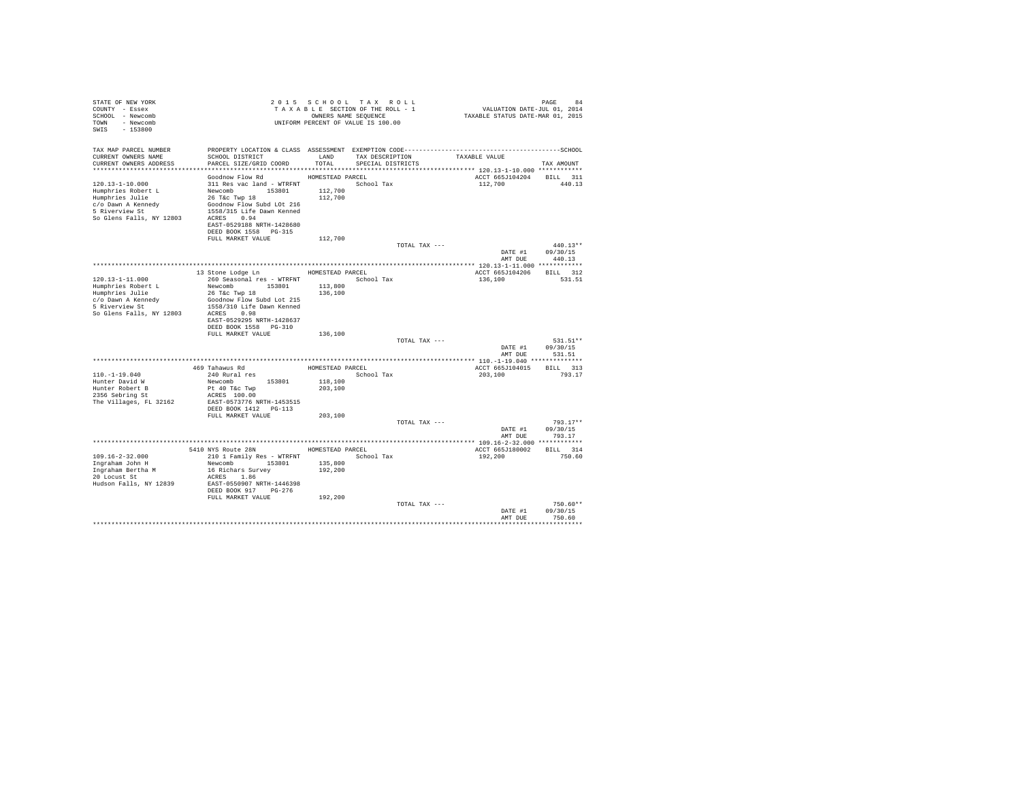| STATE OF NEW YORK<br>COUNTY - Essex<br>SCHOOL - Newcomb<br>TOWN - Newcomb<br>$-153800$<br>SWIS                                     | T A X A B B B B B B SEQUENCE<br>UNIFORM PERCENT OF VALUE IS 100.00                                                                                                                                            |                                                   | 2015 SCHOOL TAX ROLL<br>TAXABLE SECTION OF THE ROLL - 1<br>OWNERS NAME SEQUENCE |               | PAGE 84<br>VALUATION DATE-JUL 01, 2014<br>TAXABLE STATUS DATE-MAR 01, 2015 |                                  |
|------------------------------------------------------------------------------------------------------------------------------------|---------------------------------------------------------------------------------------------------------------------------------------------------------------------------------------------------------------|---------------------------------------------------|---------------------------------------------------------------------------------|---------------|----------------------------------------------------------------------------|----------------------------------|
| TAX MAP PARCEL NUMBER<br>CURRENT OWNERS NAME<br>CURRENT OWNERS ADDRESS                                                             | SCHOOL DISTRICT<br>PARCEL SIZE/GRID COORD                                                                                                                                                                     | LAND<br>TOTAL                                     | TAX DESCRIPTION<br>SPECIAL DISTRICTS                                            |               | TAXABLE VALUE                                                              | TAX AMOUNT                       |
| 120.13-1-10.000<br>Humphries Robert L<br>Humphries Julie<br>c/o Dawn A Kennedy<br>5 Riverview St<br>So Glens Falls, NY 12803       | Goodnow Flow Rd<br>311 Res vac land - WTRFNT<br>Newcomb 153801<br>26 T&C Twp 18<br>Goodnow Flow Subd LOt 216<br>1558/315 Life Dawn Kenned<br>ACRES 0.94<br>EAST-0529188 NRTH-1428680<br>DEED BOOK 1558 PG-315 | HOMESTEAD PARCEL<br>112,700<br>112,700            | School Tax                                                                      |               | ACCT 665J104204<br>112,700                                                 | BILL 311<br>440.13               |
|                                                                                                                                    | FULL MARKET VALUE                                                                                                                                                                                             | 112,700                                           |                                                                                 | TOTAL TAX --- | DATE #1                                                                    | $440.13**$<br>09/30/15<br>440.13 |
|                                                                                                                                    | 13 Stone Lodge Ln                                                                                                                                                                                             | HOMESTEAD PARCEL                                  |                                                                                 |               | AMT DUE<br>ACCT 665J104206                                                 | BILL 312                         |
| $120.13 - 1 - 11.000$<br>Humphries Robert L<br>Humphries Julie<br>c/o Dawn A Kennedy<br>5 Riverview St<br>So Glens Falls, NY 12803 | 260 Seasonal res - WTRFNT<br>Newcomb 153801<br>26 T&c Twp 18<br>Goodnow Flow Subd Lot 215<br>1558/310 Life Dawn Kenned<br>ACRES 0.98<br>EAST-0529295 NRTH-1428637<br>DEED BOOK 1558 PG-310                    | 113,800<br>136,100                                | School Tax                                                                      |               | 136,100                                                                    | 531.51                           |
|                                                                                                                                    | FULL MARKET VALUE                                                                                                                                                                                             | 136,100                                           |                                                                                 | TOTAL TAX --- | DATE #1                                                                    | 531.51**<br>09/30/15             |
|                                                                                                                                    |                                                                                                                                                                                                               |                                                   |                                                                                 |               | AMT DUE                                                                    | 531.51                           |
| $110.-1-19.040$<br>Hunter David W<br>Hunter Robert B<br>2356 Sebring St<br>The Villages, FL 32162                                  | 469 Tahawus Rd<br>240 Rural res<br>Newcomb<br>153801<br>Pt 40 T&c Twp<br>ACRES 100.00<br>EAST-0573776 NRTH-1453515<br>DEED BOOK 1412   PG-113                                                                 | HOMESTEAD PARCEL<br>118,100<br>203,100            | School Tax                                                                      |               | ACCT 665J104015<br>203,100                                                 | BILL 313<br>793.17               |
|                                                                                                                                    | FULL MARKET VALUE                                                                                                                                                                                             | 203,100                                           |                                                                                 | TOTAL TAX --- | DATE #1                                                                    | $793.17**$<br>09/30/15           |
|                                                                                                                                    |                                                                                                                                                                                                               |                                                   |                                                                                 |               | AMT DUE                                                                    | 793.17                           |
| $109.16 - 2 - 32.000$<br>Ingraham John H<br>Ingraham Bertha M<br>20 Locust St<br>Hudson Falls, NY 12839                            | 5410 NYS Route 28N<br>210 1 Family Res - WTRFNT<br>Newcomb 153801<br>16 Richars Survey<br>ACRES 1.86<br>EAST-0550907 NRTH-1446398<br>DEED BOOK 917 PG-276<br>FULL MARKET VALUE                                | HOMESTEAD PARCEL<br>135,800<br>192,200<br>192,200 | School Tax                                                                      |               | ACCT 665J180002<br>192,200                                                 | BILL 314<br>750.60               |
|                                                                                                                                    |                                                                                                                                                                                                               |                                                   |                                                                                 | TOTAL TAX --- | DATE #1<br>AMT DUE                                                         | $750.60**$<br>09/30/15<br>750.60 |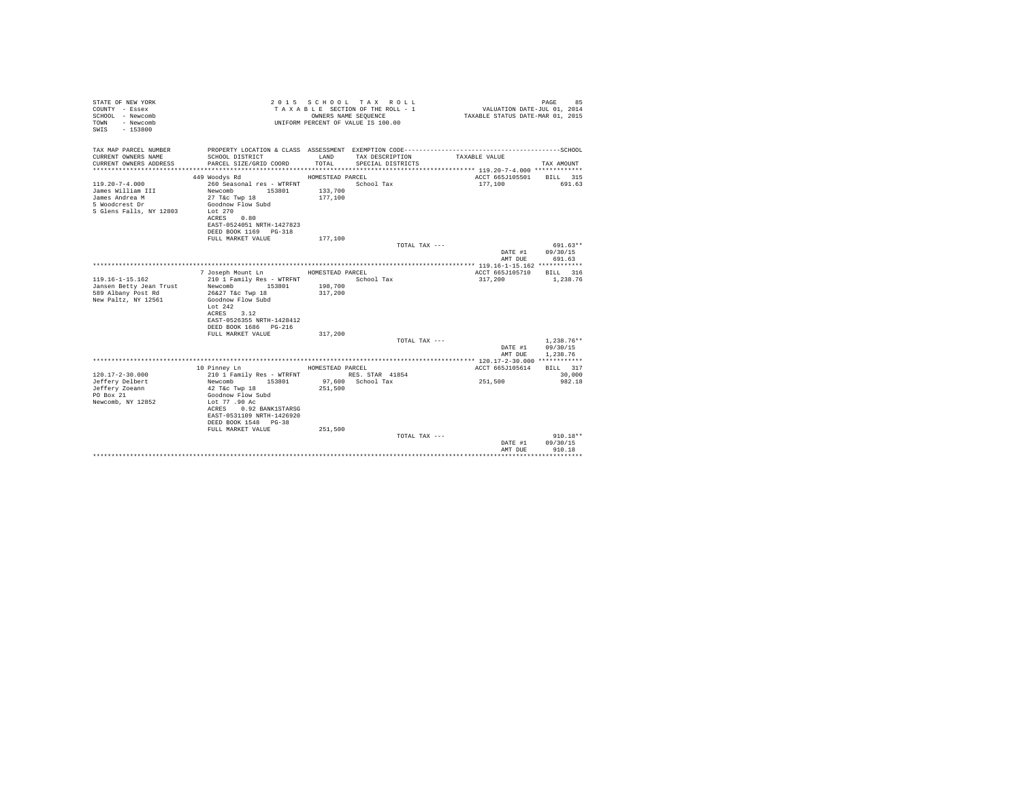| STATE OF NEW YORK<br>COUNTY - Essex<br>SCHOOL - Newcomb<br>- Newcomb<br>TOWN<br>SWIS - 153800            |                                                                                                                                                                                         |                    | 2015 SCHOOL TAX ROLL<br>TAXABLE SECTION OF THE ROLL - 1<br>OWNERS NAME SEQUENCE<br>UNIFORM PERCENT OF VALUE IS 100.00 | VALUATION DATE-JUL 01, 2014<br>TAXABLE STATUS DATE-MAR 01, 2015 | PAGE<br>85                       |
|----------------------------------------------------------------------------------------------------------|-----------------------------------------------------------------------------------------------------------------------------------------------------------------------------------------|--------------------|-----------------------------------------------------------------------------------------------------------------------|-----------------------------------------------------------------|----------------------------------|
| TAX MAP PARCEL NUMBER<br>CURRENT OWNERS NAME                                                             | PROPERTY LOCATION & CLASS ASSESSMENT EXEMPTION CODE-----------------------------------SCHOOL<br>SCHOOL DISTRICT                                                                         | LAND               | TAX DESCRIPTION                                                                                                       | TAXABLE VALUE                                                   |                                  |
| CURRENT OWNERS ADDRESS                                                                                   | PARCEL SIZE/GRID COORD                                                                                                                                                                  | TOTAL              | SPECIAL DISTRICTS                                                                                                     |                                                                 | TAX AMOUNT                       |
|                                                                                                          | 449 Woodys Rd                                                                                                                                                                           | HOMESTEAD PARCEL   |                                                                                                                       | ACCT 665J105501                                                 | BILL 315                         |
| $119.20 - 7 - 4.000$<br>James William III<br>James Andrea M<br>5 Woodcrest Dr<br>S Glens Falls, NY 12803 | 260 Seasonal res - WTRFNT<br>Newcomb<br>153801<br>27 T&c Twp 18<br>Goodnow Flow Subd<br>Lot 270<br>0.80<br>ACRES<br>EAST-0524051 NRTH-1427823                                           | 133,700<br>177,100 | School Tax                                                                                                            | 177,100                                                         | 691.63                           |
|                                                                                                          | DEED BOOK 1169 PG-318                                                                                                                                                                   |                    |                                                                                                                       |                                                                 |                                  |
|                                                                                                          | FULL MARKET VALUE                                                                                                                                                                       | 177,100            |                                                                                                                       |                                                                 |                                  |
|                                                                                                          |                                                                                                                                                                                         |                    | TOTAL TAX ---                                                                                                         | DATE #1<br>AMT DUE                                              | $691.63**$<br>09/30/15<br>691.63 |
|                                                                                                          |                                                                                                                                                                                         |                    |                                                                                                                       |                                                                 |                                  |
|                                                                                                          | 7 Joseph Mount Ln                                                                                                                                                                       | HOMESTEAD PARCEL   |                                                                                                                       | ACCT 665J105710                                                 | BILL 316                         |
| $119.16 - 1 - 15.162$<br>Jansen Betty Jean Trust<br>589 Albany Post Rd<br>New Paltz, NY 12561            | 210 1 Family Res - WTRFNT<br>Newcomb<br>153801<br>26&27 T&c Twp 18<br>Goodnow Flow Subd<br>Lot $242$<br>ACRES 3.12<br>EAST-0526355 NRTH-1428412<br>DEED BOOK 1686 PG-216                | 198,700<br>317,200 | School Tax                                                                                                            | 317,200                                                         | 1,238.76                         |
|                                                                                                          | FULL MARKET VALUE                                                                                                                                                                       | 317,200            | TOTAL TAX ---                                                                                                         |                                                                 | $1.238.76**$                     |
|                                                                                                          |                                                                                                                                                                                         |                    |                                                                                                                       | DATE #1                                                         | 09/30/15                         |
|                                                                                                          |                                                                                                                                                                                         |                    |                                                                                                                       | AMT DUE                                                         | 1,238.76                         |
|                                                                                                          | 10 Pinney Ln                                                                                                                                                                            | HOMESTEAD PARCEL   |                                                                                                                       | ACCT 665J105614                                                 | BILL 317                         |
| $120.17 - 2 - 30.000$<br>Jeffery Delbert<br>Jeffery Zoeann<br>PO Box 21<br>Newcomb, NY 12852             | 210 1 Family Res - WTRFNT<br>Newcomb<br>153801<br>42 T&c Twp 18<br>Goodnow Flow Subd<br>Lot 77 .90 Ac<br>0.92 BANK1STARSG<br>ACRES<br>EAST-0531109 NRTH-1426920<br>DEED BOOK 1548 PG-38 | 251,500            | RES. STAR 41854<br>97,600 School Tax                                                                                  | 251,500                                                         | 30,000<br>982.18                 |
|                                                                                                          | FULL MARKET VALUE                                                                                                                                                                       | 251,500            |                                                                                                                       |                                                                 |                                  |
|                                                                                                          |                                                                                                                                                                                         |                    | TOTAL TAX ---                                                                                                         | DATE #1<br>AMT DUE                                              | $910.18**$<br>09/30/15<br>910.18 |
|                                                                                                          |                                                                                                                                                                                         |                    |                                                                                                                       |                                                                 |                                  |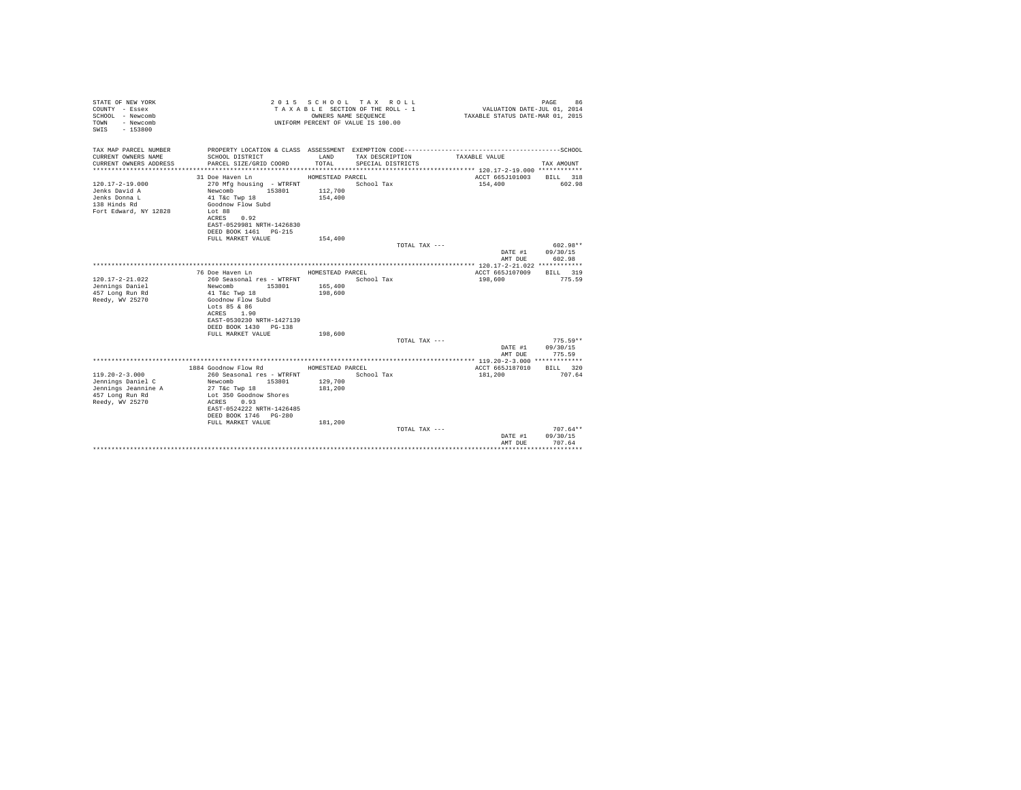| STATE OF NEW YORK<br>COUNTY - Essex<br>SCHOOL - Newcomb<br>- Newcomb<br>TOWN<br>$-153800$<br>SWIS |                  | 2015 SCHOOL TAX ROLL<br>TAXABLE SECTION OF THE ROLL - 1<br>OWNERS NAME SEOUENCE<br>UNIFORM PERCENT OF VALUE IS 100.00 | VALUATION DATE-JUL 01, 2014<br>TAXABLE STATUS DATE-MAR 01, 2015 | 86<br>PAGE                   |
|---------------------------------------------------------------------------------------------------|------------------|-----------------------------------------------------------------------------------------------------------------------|-----------------------------------------------------------------|------------------------------|
| TAX MAP PARCEL NUMBER<br>CURRENT OWNERS NAME<br>SCHOOL DISTRICT                                   | LAND             |                                                                                                                       | TAXABLE VALUE                                                   |                              |
| CURRENT OWNERS ADDRESS<br>PARCEL SIZE/GRID COORD                                                  | TOTAL            | TAX DESCRIPTION<br>SPECIAL DISTRICTS                                                                                  |                                                                 | TAX AMOUNT                   |
|                                                                                                   |                  |                                                                                                                       |                                                                 |                              |
| 31 Doe Haven Ln                                                                                   | HOMESTEAD PARCEL |                                                                                                                       | ACCT 665J101003 BILL 318                                        |                              |
| $120.17 - 2 - 19.000$<br>270 Mfg housing - WTRFNT                                                 |                  | School Tax                                                                                                            | 154,400                                                         | 602.98                       |
| Newcomb 153801 112,700<br>Jenks David A                                                           |                  |                                                                                                                       |                                                                 |                              |
| Jenks Donna L<br>41 T&c Twp 18<br>138 Hinds Rd<br>Goodnow Flow Subd                               | 154,400          |                                                                                                                       |                                                                 |                              |
| Fort Edward, NY 12828<br>Lot 88                                                                   |                  |                                                                                                                       |                                                                 |                              |
| ACRES 0.92                                                                                        |                  |                                                                                                                       |                                                                 |                              |
| EAST-0529981 NRTH-1426830                                                                         |                  |                                                                                                                       |                                                                 |                              |
| DEED BOOK 1461 PG-215                                                                             |                  |                                                                                                                       |                                                                 |                              |
| FULL MARKET VALUE                                                                                 | 154,400          |                                                                                                                       |                                                                 |                              |
|                                                                                                   |                  | TOTAL TAX ---                                                                                                         |                                                                 | 602.98**<br>DATE #1 09/30/15 |
|                                                                                                   |                  |                                                                                                                       | AMT DUE                                                         | 602.98                       |
|                                                                                                   |                  |                                                                                                                       |                                                                 |                              |
| 76 Doe Haven Ln                                                                                   | HOMESTEAD PARCEL |                                                                                                                       | ACCT 665J107009                                                 | BILL 319                     |
| $120.17 - 2 - 21.022$<br>260 Seasonal res - WTRFNT                                                |                  | School Tax                                                                                                            | 198,600                                                         | 775.59                       |
| Jennings Daniel<br>Newcomb<br>153801                                                              | 165,400          |                                                                                                                       |                                                                 |                              |
| 457 Long Run Rd<br>41 T&c Twp 18<br>Reedy, WV 25270<br>Goodnow Flow Subd                          | 198,600          |                                                                                                                       |                                                                 |                              |
| Lots 85 & 86                                                                                      |                  |                                                                                                                       |                                                                 |                              |
| ACRES 1.90                                                                                        |                  |                                                                                                                       |                                                                 |                              |
| EAST-0530230 NRTH-1427139                                                                         |                  |                                                                                                                       |                                                                 |                              |
| DEED BOOK 1430 PG-138                                                                             |                  |                                                                                                                       |                                                                 |                              |
| FULL MARKET VALUE                                                                                 | 198,600          |                                                                                                                       |                                                                 | $775.59**$                   |
|                                                                                                   |                  | TOTAL TAX ---                                                                                                         |                                                                 | DATE #1 09/30/15             |
|                                                                                                   |                  |                                                                                                                       | AMT DUE                                                         | 775.59                       |
|                                                                                                   |                  |                                                                                                                       |                                                                 |                              |
| 1884 Goodnow Flow Rd                                                                              | HOMESTEAD PARCEL |                                                                                                                       | ACCT 665J187010                                                 | BILL 320                     |
| $119.20 - 2 - 3.000$<br>260 Seasonal res - WTRFNT                                                 |                  | School Tax                                                                                                            | 181,200                                                         | 707.64                       |
| Jennings Daniel C<br>Newcomb<br>153801                                                            | 129,700          |                                                                                                                       |                                                                 |                              |
| Jennings Jeannine A<br>27 T&C Twp 18<br>457 Long Run Rd<br>Lot 350 Goodnow Shores                 | 181,200          |                                                                                                                       |                                                                 |                              |
| Reedy, WV 25270<br>ACRES 0.93                                                                     |                  |                                                                                                                       |                                                                 |                              |
| EAST-0524222 NRTH-1426485                                                                         |                  |                                                                                                                       |                                                                 |                              |
| DEED BOOK 1746 PG-280                                                                             |                  |                                                                                                                       |                                                                 |                              |
| FULL MARKET VALUE                                                                                 | 181,200          |                                                                                                                       |                                                                 |                              |
|                                                                                                   |                  | TOTAL TAX ---                                                                                                         |                                                                 | $707.64**$                   |
|                                                                                                   |                  |                                                                                                                       | DATE #1<br>AMT DUE                                              | 09/30/15<br>707.64           |
|                                                                                                   |                  |                                                                                                                       |                                                                 | ***********                  |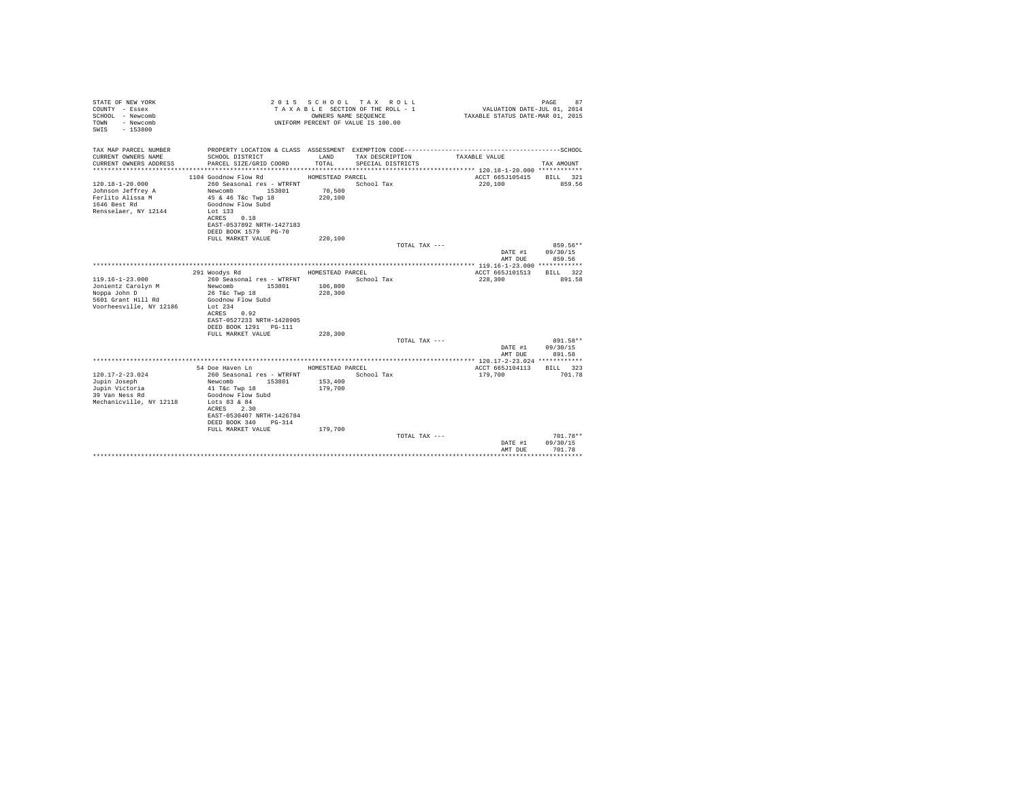| STATE OF NEW YORK<br>COUNTY - Essex<br>SCHOOL - Newcomb<br>- Newcomb<br>TOWN<br>$-153800$<br>SWTS |                                                                     | OWNERS NAME SEQUENCE | 2015 SCHOOL TAX ROLL<br>TAXABLE SECTION OF THE ROLL - 1<br>UNIFORM PERCENT OF VALUE IS 100.00 | VALUATION DATE-JUL 01, 2014<br>TAXABLE STATUS DATE-MAR 01, 2015 | 87<br>PAGE |
|---------------------------------------------------------------------------------------------------|---------------------------------------------------------------------|----------------------|-----------------------------------------------------------------------------------------------|-----------------------------------------------------------------|------------|
| TAX MAP PARCEL NUMBER                                                                             | PROPERTY LOCATION & CLASS ASSESSMENT EXEMPTION CODE---------------- |                      |                                                                                               | --------------------------SCHOOL                                |            |
| CURRENT OWNERS NAME<br>CURRENT OWNERS ADDRESS                                                     | SCHOOL DISTRICT<br>PARCEL SIZE/GRID COORD                           | LAND<br>TOTAL.       | TAX DESCRIPTION<br>SPECIAL DISTRICTS                                                          | TAXABLE VALUE                                                   | TAX AMOUNT |
|                                                                                                   |                                                                     |                      |                                                                                               |                                                                 |            |
|                                                                                                   | 1104 Goodnow Flow Rd                                                | HOMESTEAD PARCEL     |                                                                                               | ACCT 665J105415                                                 | BILL 321   |
| $120.18 - 1 - 20.000$                                                                             | 260 Seasonal res - WTRFNT                                           |                      | School Tax                                                                                    | 220,100                                                         | 859.56     |
| Johnson Jeffrey A                                                                                 | Newcomb<br>153801                                                   | 70,500               |                                                                                               |                                                                 |            |
| Ferlito Alissa M<br>1646 Best Rd                                                                  | 45 & 46 T&c Twp 18<br>Goodnow Flow Subd                             | 220,100              |                                                                                               |                                                                 |            |
| Rensselaer, NY 12144                                                                              | Lot 133                                                             |                      |                                                                                               |                                                                 |            |
|                                                                                                   | ACRES 0.18                                                          |                      |                                                                                               |                                                                 |            |
|                                                                                                   | EAST-0537892 NRTH-1427183                                           |                      |                                                                                               |                                                                 |            |
|                                                                                                   | DEED BOOK 1579 PG-70                                                |                      |                                                                                               |                                                                 |            |
|                                                                                                   | FULL MARKET VALUE                                                   | 220,100              |                                                                                               |                                                                 |            |
|                                                                                                   |                                                                     |                      | TOTAL TAX ---                                                                                 |                                                                 | $859.56**$ |
|                                                                                                   |                                                                     |                      |                                                                                               | DATE #1                                                         | 09/30/15   |
|                                                                                                   |                                                                     |                      |                                                                                               | AMT DUE                                                         | 859.56     |
|                                                                                                   | 291 Woodys Rd                                                       | HOMESTEAD PARCEL     |                                                                                               | ACCT 665J101513                                                 | BTLL 322   |
| $119.16 - 1 - 23.000$                                                                             | 260 Seasonal res - WTRFNT                                           |                      | School Tax                                                                                    | 228,300                                                         | 891.58     |
| Jonientz Carolyn M                                                                                | Newcomb<br>153801                                                   | 106,800              |                                                                                               |                                                                 |            |
| Noppa John D                                                                                      | 26 T&c Twp 18                                                       | 228,300              |                                                                                               |                                                                 |            |
| 5601 Grant Hill Rd                                                                                | Goodnow Flow Subd                                                   |                      |                                                                                               |                                                                 |            |
| Voorheesville, NY 12186                                                                           | Lot 234                                                             |                      |                                                                                               |                                                                 |            |
|                                                                                                   | ACRES<br>0.92                                                       |                      |                                                                                               |                                                                 |            |
|                                                                                                   | EAST-0527233 NRTH-1428905                                           |                      |                                                                                               |                                                                 |            |
|                                                                                                   | DEED BOOK 1291   PG-111                                             |                      |                                                                                               |                                                                 |            |
|                                                                                                   | FULL MARKET VALUE                                                   | 228,300              | TOTAL TAX ---                                                                                 |                                                                 | 891.58**   |
|                                                                                                   |                                                                     |                      |                                                                                               | DATE #1                                                         | 09/30/15   |
|                                                                                                   |                                                                     |                      |                                                                                               | AMT DUE                                                         | 891.58     |
|                                                                                                   |                                                                     |                      |                                                                                               |                                                                 |            |
|                                                                                                   | 54 Doe Haven Ln                                                     | HOMESTEAD PARCEL     |                                                                                               | ACCT 665J104113                                                 | BILL 323   |
| $120.17 - 2 - 23.024$                                                                             | 260 Seasonal res - WTRFNT                                           |                      | School Tax                                                                                    | 179,700                                                         | 701.78     |
| Jupin Joseph                                                                                      | 153801<br>Newcomb                                                   | 153,400              |                                                                                               |                                                                 |            |
| Jupin Victoria                                                                                    | 41 T&c Twp 18                                                       | 179,700              |                                                                                               |                                                                 |            |
| 39 Van Ness Rd                                                                                    | Goodnow Flow Subd                                                   |                      |                                                                                               |                                                                 |            |
| Mechanicville, NY 12118                                                                           | Lots 83 & 84<br>2.30                                                |                      |                                                                                               |                                                                 |            |
|                                                                                                   | ACRES<br>EAST-0530407 NRTH-1426784                                  |                      |                                                                                               |                                                                 |            |
|                                                                                                   | DEED BOOK 340<br>PG-314                                             |                      |                                                                                               |                                                                 |            |
|                                                                                                   | FULL MARKET VALUE                                                   | 179,700              |                                                                                               |                                                                 |            |
|                                                                                                   |                                                                     |                      | TOTAL TAX ---                                                                                 |                                                                 | 701.78**   |
|                                                                                                   |                                                                     |                      |                                                                                               | DATE #1                                                         | 09/30/15   |
|                                                                                                   |                                                                     |                      |                                                                                               | AMT DUE                                                         | 701.78     |
|                                                                                                   |                                                                     |                      |                                                                                               |                                                                 |            |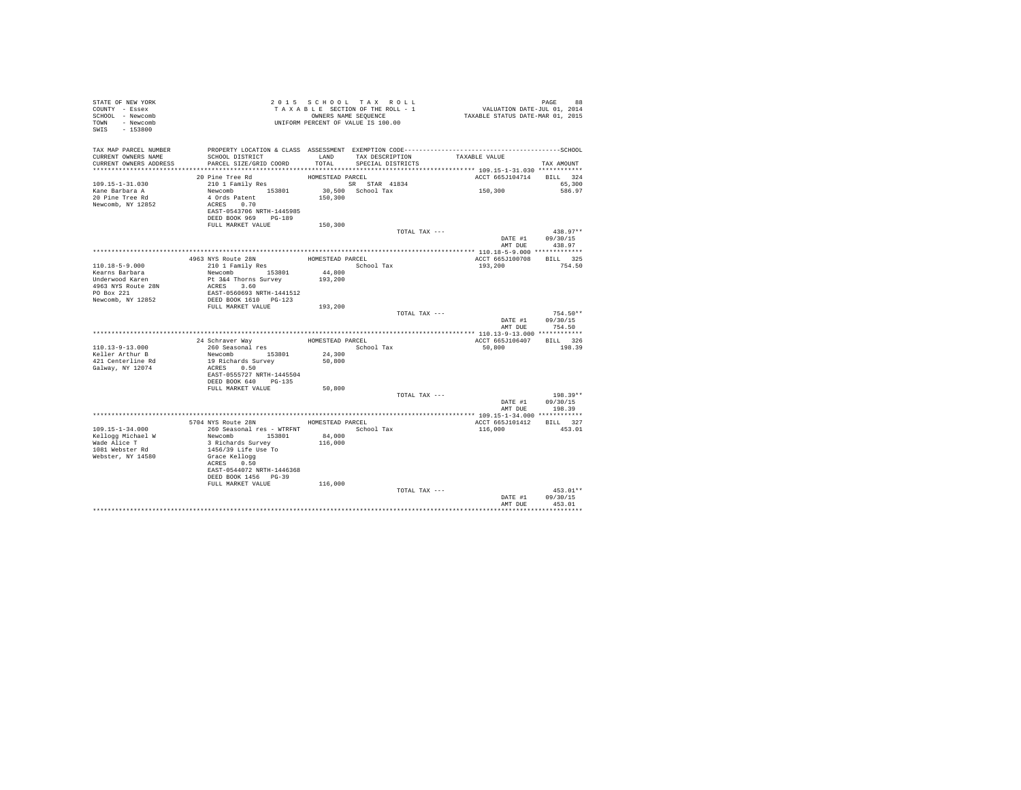| STATE OF NEW YORK<br>COUNTY - Essex<br>SCHOOL - Newcomb |                                                                                              |                  | 2015 SCHOOL TAX ROLL<br>TAXABLE SECTION OF THE ROLL - 1<br>OWNERS NAME SEQUENCE |               | PAGE 88<br>VALUATION DATE-JUL 01, 2014<br>TAXABLE STATUS DATE-MAR 01, 2015 |                    |
|---------------------------------------------------------|----------------------------------------------------------------------------------------------|------------------|---------------------------------------------------------------------------------|---------------|----------------------------------------------------------------------------|--------------------|
| TOWN - Newcomb<br>SWIS - 153800                         | UNIFORM PERCENT OF VALUE IS 100.00                                                           |                  |                                                                                 |               |                                                                            |                    |
| TAX MAP PARCEL NUMBER                                   | PROPERTY LOCATION & CLASS ASSESSMENT EXEMPTION CODE-----------------------------------SCHOOL |                  |                                                                                 |               |                                                                            |                    |
| CURRENT OWNERS NAME<br>CURRENT OWNERS ADDRESS           | SCHOOL DISTRICT<br>PARCEL SIZE/GRID COORD                                                    | LAND<br>TOTAL    | TAX DESCRIPTION<br>SPECIAL DISTRICTS                                            |               | TAXABLE VALUE                                                              | TAX AMOUNT         |
|                                                         |                                                                                              |                  |                                                                                 |               |                                                                            |                    |
|                                                         | 20 Pine Tree Rd                                                                              | HOMESTEAD PARCEL |                                                                                 |               | ACCT 665J104714 BILL 324                                                   |                    |
| $109.15 - 1 - 31.030$                                   | 210 1 Family Res                                                                             |                  | SR STAR 41834                                                                   |               |                                                                            | 65,300             |
| Kane Barbara A                                          | Newcomb 153801                                                                               |                  | 30,500 School Tax                                                               |               | 150,300                                                                    | 586.97             |
| 20 Pine Tree Rd                                         | 4 Ords Patent                                                                                | 150,300          |                                                                                 |               |                                                                            |                    |
| Newcomb, NY 12852                                       | ACRES 0.70<br>EAST-0543706 NRTH-1445985                                                      |                  |                                                                                 |               |                                                                            |                    |
|                                                         | DEED BOOK 969 PG-189                                                                         |                  |                                                                                 |               |                                                                            |                    |
|                                                         | FULL MARKET VALUE                                                                            | 150,300          |                                                                                 |               |                                                                            |                    |
|                                                         |                                                                                              |                  |                                                                                 | TOTAL TAX --- |                                                                            | $438.97**$         |
|                                                         |                                                                                              |                  |                                                                                 |               |                                                                            | DATE #1 09/30/15   |
|                                                         |                                                                                              |                  |                                                                                 |               |                                                                            | AMT DUE 438.97     |
|                                                         | 4963 NYS Route 28N                                                                           | HOMESTEAD PARCEL |                                                                                 |               | ACCT 665J100708 BILL 325                                                   |                    |
| 110.18-5-9.000                                          | 963 NYS ROUTE Z8N<br>210 1 Family Res                                                        |                  | School Tax                                                                      |               | 193,200                                                                    | 754.50             |
| Kearns Barbara                                          | Newcomb 153801                                                                               | 44,800           |                                                                                 |               |                                                                            |                    |
| Underwood Karen                                         | Pt 3&4 Thorns Survey                                                                         | 193,200          |                                                                                 |               |                                                                            |                    |
| 4963 NYS Route 28N<br>PO Box 221                        | ACRES 3.60<br>EAST-0560693 NRTH-1441512                                                      |                  |                                                                                 |               |                                                                            |                    |
| Newcomb, NY 12852                                       | DEED BOOK 1610 PG-123                                                                        |                  |                                                                                 |               |                                                                            |                    |
|                                                         | FULL MARKET VALUE 193,200                                                                    |                  |                                                                                 |               |                                                                            |                    |
|                                                         |                                                                                              |                  |                                                                                 | TOTAL TAX --- |                                                                            | $754.50**$         |
|                                                         |                                                                                              |                  |                                                                                 |               |                                                                            | DATE #1 09/30/15   |
|                                                         |                                                                                              |                  |                                                                                 |               |                                                                            | AMT DUE 754.50     |
|                                                         | 24 Schraver Way                                                                              |                  | HOMESTEAD PARCEL                                                                |               | ACCT 665J106407 BILL 326                                                   |                    |
| $110.13 - 9 - 13.000$                                   | 260 Seasonal res                                                                             |                  | School Tax                                                                      |               | 50,800                                                                     | 198.39             |
| Keller Arthur B                                         | Newcomb 153801                                                                               | 24,300           |                                                                                 |               |                                                                            |                    |
| 421 Centerline Rd                                       | 19 Richards Survey                                                                           | 50,800           |                                                                                 |               |                                                                            |                    |
| Galway, NY 12074                                        | ACRES 0.50<br>EAST-0555727 NRTH-1445504                                                      |                  |                                                                                 |               |                                                                            |                    |
|                                                         | DEED BOOK 640 PG-135                                                                         |                  |                                                                                 |               |                                                                            |                    |
|                                                         | FULL MARKET VALUE                                                                            | 50,800           |                                                                                 |               |                                                                            |                    |
|                                                         |                                                                                              |                  |                                                                                 | TOTAL TAX --- |                                                                            | $198.39**$         |
|                                                         |                                                                                              |                  |                                                                                 |               |                                                                            | DATE #1 09/30/15   |
|                                                         |                                                                                              |                  |                                                                                 |               | AMT DUE                                                                    | 198.39             |
|                                                         | 5704 NYS Route 28N HOMESTEAD PARCEL                                                          |                  |                                                                                 |               | ACCT 665J101412 BILL 327                                                   |                    |
| 109.15-1-34.000                                         | 260 Seasonal res - WTRFNT                                                                    |                  | School Tax                                                                      |               | 116,000                                                                    | 453.01             |
| Kellogg Michael W                                       | Newcomb 153801<br>3 Richards Survey                                                          | 84,000           |                                                                                 |               |                                                                            |                    |
| Wade Alice T                                            |                                                                                              | 116,000          |                                                                                 |               |                                                                            |                    |
| 1081 Webster Rd                                         | 1456/39 Life Use To                                                                          |                  |                                                                                 |               |                                                                            |                    |
| Webster, NY 14580                                       | Grace Kellogg<br>ACRES 0.50                                                                  |                  |                                                                                 |               |                                                                            |                    |
|                                                         | EAST-0544072 NRTH-1446368                                                                    |                  |                                                                                 |               |                                                                            |                    |
|                                                         | DEED BOOK 1456 PG-39                                                                         |                  |                                                                                 |               |                                                                            |                    |
|                                                         | FULL MARKET VALUE                                                                            | 116,000          |                                                                                 |               |                                                                            |                    |
|                                                         |                                                                                              |                  |                                                                                 | TOTAL TAX --- |                                                                            | $453.01**$         |
|                                                         |                                                                                              |                  |                                                                                 |               | DATE #1<br>AMT DUE                                                         | 09/30/15<br>453.01 |
|                                                         |                                                                                              |                  |                                                                                 |               |                                                                            |                    |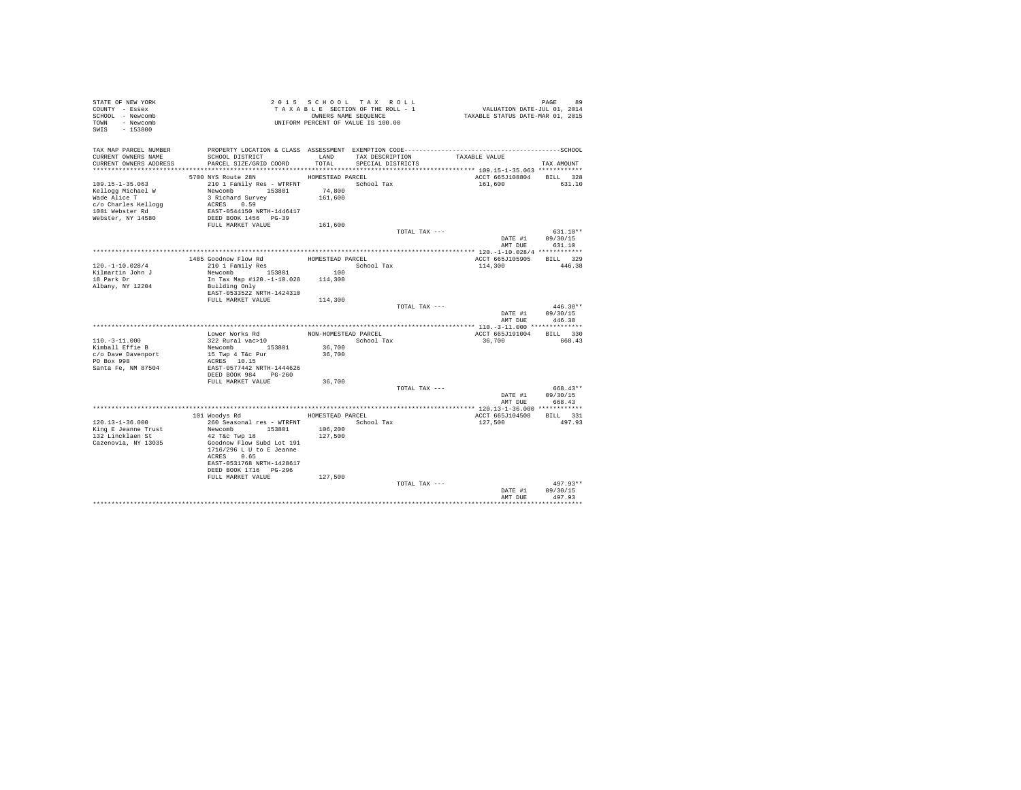| STATE OF NEW YORK<br>COUNTY - Essex<br>SCHOOL - Newcomb<br>TOWN - Newcomb<br>SWIS - 153800 |                                                    |                      | 2015 SCHOOL TAX ROLL<br>TAXABLE SECTION OF THE ROLL - 1<br>OWNERS NAME SEQUENCE<br>UNIFORM PERCENT OF VALUE IS 100.00 |               | 99 PAGE 99<br>VALUATION DATE-JUL 01, 2014<br>TAXABLE STATUS DATE-MAR 01, 2015 |                            |
|--------------------------------------------------------------------------------------------|----------------------------------------------------|----------------------|-----------------------------------------------------------------------------------------------------------------------|---------------|-------------------------------------------------------------------------------|----------------------------|
| TAX MAP PARCEL NUMBER                                                                      |                                                    |                      |                                                                                                                       |               |                                                                               |                            |
| CURRENT OWNERS NAME                                                                        | SCHOOL DISTRICT                                    | LAND                 | TAX DESCRIPTION                                                                                                       |               | TAXABLE VALUE                                                                 |                            |
| CURRENT OWNERS ADDRESS                                                                     | PARCEL SIZE/GRID COORD                             | TOTAL                | SPECIAL DISTRICTS                                                                                                     |               |                                                                               | TAX AMOUNT                 |
|                                                                                            | 5700 NYS Route 28N                                 | HOMESTEAD PARCEL     |                                                                                                                       |               | ACCT 665J108804 BILL 328                                                      |                            |
| $109.15 - 1 - 35.063$                                                                      | 210 1 Family Res - WTRFNT                          |                      | School Tax                                                                                                            |               | 161,600                                                                       | 631.10                     |
| Kellogg Michael W                                                                          | Newcomb 153801                                     | 74,800               |                                                                                                                       |               |                                                                               |                            |
| Wade Alice T                                                                               | 3 Richard Survey                                   | 161,600              |                                                                                                                       |               |                                                                               |                            |
| c/o Charles Kellogg                                                                        | ACRES 0.59                                         |                      |                                                                                                                       |               |                                                                               |                            |
| 1081 Webster Rd                                                                            | EAST-0544150 NRTH-1446417                          |                      |                                                                                                                       |               |                                                                               |                            |
| Webster, NY 14580                                                                          | DEED BOOK 1456 PG-39                               |                      |                                                                                                                       |               |                                                                               |                            |
|                                                                                            | FULL MARKET VALUE                                  | 161,600              |                                                                                                                       |               |                                                                               |                            |
|                                                                                            |                                                    |                      |                                                                                                                       | TOTAL TAX --- |                                                                               | $631.10**$                 |
|                                                                                            |                                                    |                      |                                                                                                                       |               | DATE #1                                                                       | 09/30/15                   |
|                                                                                            |                                                    |                      |                                                                                                                       |               | AMT DUE                                                                       | 631.10                     |
|                                                                                            |                                                    | HOMESTEAD PARCEL     |                                                                                                                       |               | ACCT 665J105905                                                               | BILL 329                   |
| $120. - 1 - 10.028/4$                                                                      | 1485 Goodnow Flow Rd<br>210 1 Family Res           |                      | School Tax                                                                                                            |               | 114,300                                                                       | 446.38                     |
| Kilmartin John J                                                                           | 210 1 Family Res<br>Newcomb 153801 100             |                      |                                                                                                                       |               |                                                                               |                            |
| 18 Park Dr                                                                                 | In Tax Map #120.-1-10.028 114,300                  |                      |                                                                                                                       |               |                                                                               |                            |
| Albany, NY 12204                                                                           | Building Only                                      |                      |                                                                                                                       |               |                                                                               |                            |
|                                                                                            | EAST-0533522 NRTH-1424310                          |                      |                                                                                                                       |               |                                                                               |                            |
|                                                                                            | FULL MARKET VALUE                                  | 114,300              |                                                                                                                       |               |                                                                               |                            |
|                                                                                            |                                                    |                      |                                                                                                                       | TOTAL TAX --- |                                                                               | $446.38**$                 |
|                                                                                            |                                                    |                      |                                                                                                                       |               | DATE #1                                                                       | 09/30/15<br>AMT DUE 446.38 |
|                                                                                            |                                                    |                      |                                                                                                                       |               |                                                                               |                            |
|                                                                                            | Lower Works Rd                                     | NON-HOMESTEAD PARCEL |                                                                                                                       |               | ACCT 665J191004                                                               | BILL 330                   |
| $110. - 3 - 11.000$                                                                        | 322 Rural vac>10                                   |                      | School Tax                                                                                                            |               | 36,700                                                                        | 668.43                     |
| Kimball Effie B                                                                            | Newcomb 153801                                     | 36,700               |                                                                                                                       |               |                                                                               |                            |
| c/o Dave Davenport                                                                         | 15 Twp 4 T&c Pur                                   | 36,700               |                                                                                                                       |               |                                                                               |                            |
| PO Box 998                                                                                 | ACRES 10.15                                        |                      |                                                                                                                       |               |                                                                               |                            |
| Santa Fe, NM 87504                                                                         | EAST-0577442 NRTH-1444626                          |                      |                                                                                                                       |               |                                                                               |                            |
|                                                                                            | DEED BOOK 984 PG-260                               |                      |                                                                                                                       |               |                                                                               |                            |
|                                                                                            | FULL MARKET VALUE                                  | 36,700               |                                                                                                                       |               |                                                                               |                            |
|                                                                                            |                                                    |                      |                                                                                                                       | TOTAL TAX --- | DATE #1                                                                       | 668.43**                   |
|                                                                                            |                                                    |                      |                                                                                                                       |               | AMT DUR                                                                       | 09/30/15<br>668.43         |
|                                                                                            |                                                    |                      |                                                                                                                       |               |                                                                               |                            |
|                                                                                            | 101 Woodys Rd                                      | HOMESTEAD PARCEL     |                                                                                                                       |               | ACCT 665J104508                                                               | <b>BILL</b> 331            |
| $120.13 - 1 - 36.000$                                                                      | 260 Seasonal res - WTRFNT                          |                      | School Tax                                                                                                            |               | 127,500                                                                       | 497.93                     |
| King E Jeanne Trust                                                                        | Newcomb 153801                                     | 106,200              |                                                                                                                       |               |                                                                               |                            |
| 132 Lincklaen St                                                                           | 42 T&c Twp 18                                      | 127,500              |                                                                                                                       |               |                                                                               |                            |
| Cazenovia, NY 13035                                                                        | Goodnow Flow Subd Lot 191                          |                      |                                                                                                                       |               |                                                                               |                            |
|                                                                                            | 1716/296 L U to E Jeanne                           |                      |                                                                                                                       |               |                                                                               |                            |
|                                                                                            | ACRES 0.65                                         |                      |                                                                                                                       |               |                                                                               |                            |
|                                                                                            | EAST-0531768 NRTH-1428617<br>DEED BOOK 1716 PG-296 |                      |                                                                                                                       |               |                                                                               |                            |
|                                                                                            | FULL MARKET VALUE                                  | 127,500              |                                                                                                                       |               |                                                                               |                            |
|                                                                                            |                                                    |                      |                                                                                                                       | TOTAL TAX --- |                                                                               | $497.93**$                 |
|                                                                                            |                                                    |                      |                                                                                                                       |               | DATE #1                                                                       | 09/30/15                   |
|                                                                                            |                                                    |                      |                                                                                                                       |               | AMT DUR                                                                       | 497.93                     |
|                                                                                            |                                                    |                      |                                                                                                                       |               |                                                                               | .                          |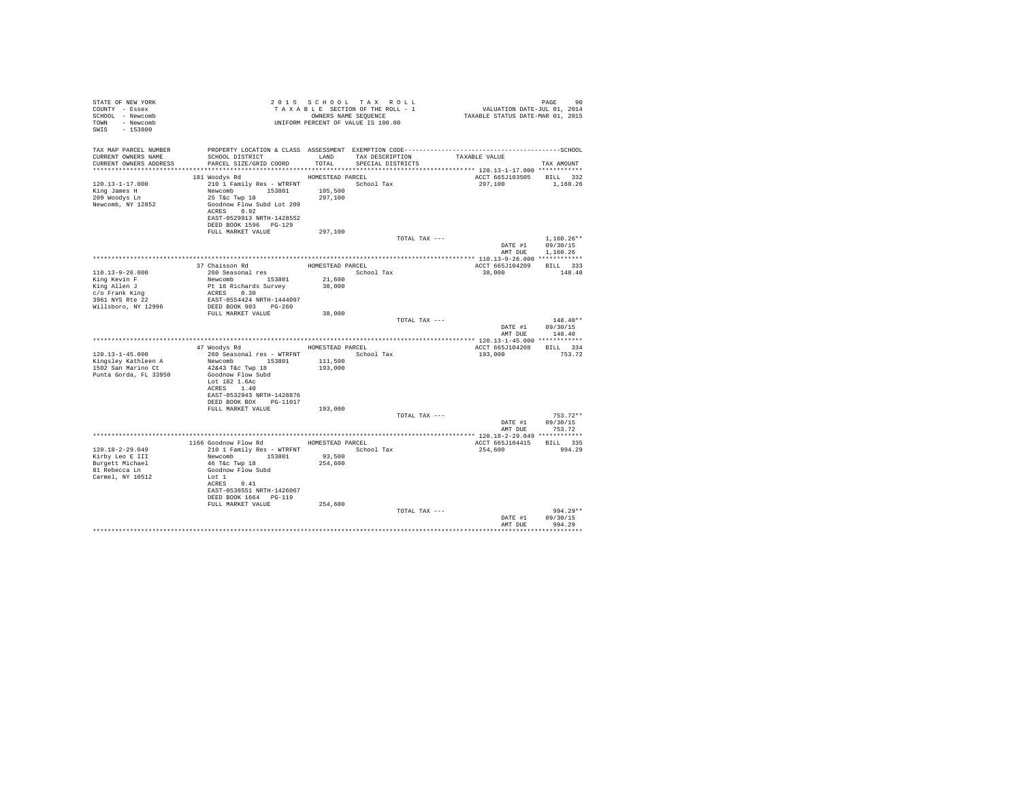| STATE OF NEW YORK<br>COUNTY - Essex<br>SCHOOL - Newcomb<br>TOWN - Newcomb<br>SWIS - 153800 |                                                                                                                                                                                                                                                                                                                                                                                                                                                                                              |                  | 2015 SCHOOL TAX ROLL<br>TAXABLE SECTION OF THE ROLL - 1<br>OWNERS NAME SEQUENCE | PAGE 90<br>VALUATION DATE-JUL 01, 2014<br>TAXABLE STATUS DATE-MAR 01, 2015 |                  |
|--------------------------------------------------------------------------------------------|----------------------------------------------------------------------------------------------------------------------------------------------------------------------------------------------------------------------------------------------------------------------------------------------------------------------------------------------------------------------------------------------------------------------------------------------------------------------------------------------|------------------|---------------------------------------------------------------------------------|----------------------------------------------------------------------------|------------------|
|                                                                                            | TAX MAP PARCEL NUMBER PROPERTY LOCATION & CLASS ASSESSMENT EXEMPTION CODE----------------------------------SCHOOL                                                                                                                                                                                                                                                                                                                                                                            |                  |                                                                                 |                                                                            |                  |
| CURRENT OWNERS NAME<br>CURRENT OWNERS ADDRESS                                              | SCHOOL DISTRICT<br>PARCEL SIZE/GRID COORD                                                                                                                                                                                                                                                                                                                                                                                                                                                    | TOTAL            | LAND TAX DESCRIPTION TAXABLE VALUE<br>SPECIAL DISTRICTS                         |                                                                            | TAX AMOUNT       |
|                                                                                            |                                                                                                                                                                                                                                                                                                                                                                                                                                                                                              |                  |                                                                                 |                                                                            |                  |
|                                                                                            | 181 Woodys Rd                                                                                                                                                                                                                                                                                                                                                                                                                                                                                | HOMESTEAD PARCEL |                                                                                 | ACCT 665J103505 BILL 332                                                   |                  |
| 120.13-1-17.000                                                                            | 210 1 Family Res - WTRFNT                                                                                                                                                                                                                                                                                                                                                                                                                                                                    |                  | School Tax                                                                      | 297,100                                                                    | 1,160.26         |
| King James H<br>209 Woodys Ln                                                              |                                                                                                                                                                                                                                                                                                                                                                                                                                                                                              |                  |                                                                                 |                                                                            |                  |
| Newcomb, NY 12852                                                                          |                                                                                                                                                                                                                                                                                                                                                                                                                                                                                              |                  |                                                                                 |                                                                            |                  |
|                                                                                            | ACRES 0.92                                                                                                                                                                                                                                                                                                                                                                                                                                                                                   |                  |                                                                                 |                                                                            |                  |
|                                                                                            | EAST-0529913 NRTH-1428552                                                                                                                                                                                                                                                                                                                                                                                                                                                                    |                  |                                                                                 |                                                                            |                  |
|                                                                                            | DEED BOOK 1596 PG-129<br>FULL MARKET VALUE                                                                                                                                                                                                                                                                                                                                                                                                                                                   | 297,100          |                                                                                 |                                                                            |                  |
|                                                                                            |                                                                                                                                                                                                                                                                                                                                                                                                                                                                                              |                  | TOTAL TAX ---                                                                   |                                                                            | $1.160.26**$     |
|                                                                                            |                                                                                                                                                                                                                                                                                                                                                                                                                                                                                              |                  |                                                                                 | DATE #1                                                                    | 09/30/15         |
|                                                                                            |                                                                                                                                                                                                                                                                                                                                                                                                                                                                                              |                  |                                                                                 |                                                                            | AMT DUE 1.160.26 |
|                                                                                            | $\begin{tabular}{c} $\cdot$ & $\cdot$ & $\cdot$ & $\cdot$ & $\cdot$ & $\cdot$ & $\cdot$ \\ \hline 37 \text{ Cia} $\text{50} \text{ s} \text{a} $\text{50} \text{ m}$ & $\cdot$ & $\cdot$ & $\cdot$ \\ 260 \text{ Sea} $\text{50} \text{m}$ & $\cdot$ & $\cdot$ & $\cdot$ \\ \textbf{N} \text{W} $\text{0} \text{m}$ & $\cdot$ & $\cdot$ & $\cdot$ & $\cdot$ \\ \textbf{P1} $\text{B} $\text{ E} \text{ic} \text{h} $\text{a} \text{r}$ & $\cdot$ & $\cdot$ & $\cdot$ \\ \textbf{R1} $\text{$ |                  | HOMESTEAD PARCEL                                                                | ACCT 665J104209 BILL 333                                                   |                  |
| 110.13-9-26.000                                                                            |                                                                                                                                                                                                                                                                                                                                                                                                                                                                                              |                  | School Tax                                                                      | 38,000                                                                     | 148.40           |
| King Kevin F                                                                               |                                                                                                                                                                                                                                                                                                                                                                                                                                                                                              | 21,600           |                                                                                 |                                                                            |                  |
|                                                                                            |                                                                                                                                                                                                                                                                                                                                                                                                                                                                                              | 38,000           |                                                                                 |                                                                            |                  |
| King Allen J<br>C/o Frank King<br>3961 NYS Rte 22<br>Willsboro, NY 12996                   | EAST-0554424 NRTH-1444097<br>DEED BOOK 903 PG-260                                                                                                                                                                                                                                                                                                                                                                                                                                            |                  |                                                                                 |                                                                            |                  |
|                                                                                            |                                                                                                                                                                                                                                                                                                                                                                                                                                                                                              |                  |                                                                                 |                                                                            |                  |
|                                                                                            | FULL MARKET VALUE                                                                                                                                                                                                                                                                                                                                                                                                                                                                            | 38,000           | TOTAL TAX ---                                                                   |                                                                            | $148.40**$       |
|                                                                                            |                                                                                                                                                                                                                                                                                                                                                                                                                                                                                              |                  |                                                                                 |                                                                            | DATE #1 09/30/15 |
|                                                                                            |                                                                                                                                                                                                                                                                                                                                                                                                                                                                                              |                  |                                                                                 |                                                                            | AMT DUE 148.40   |
|                                                                                            | 47 Woodys Rd MOMESTEAD PARCEL                                                                                                                                                                                                                                                                                                                                                                                                                                                                |                  |                                                                                 | ACCT 665J104208 BILL 334                                                   |                  |
| 120.13-1-45.000                                                                            |                                                                                                                                                                                                                                                                                                                                                                                                                                                                                              |                  |                                                                                 | 193,000                                                                    | 753.72           |
| Kingsley Kathleen A<br>1502 San Marino Ct                                                  | 260 Seasonal res - WTRFNT<br>Newcomb 153801 111,500                                                                                                                                                                                                                                                                                                                                                                                                                                          |                  |                                                                                 |                                                                            |                  |
|                                                                                            | 42&43 T&c Twp 18                                                                                                                                                                                                                                                                                                                                                                                                                                                                             | 193,000          |                                                                                 |                                                                            |                  |
| Punta Gorda, FL 33950                                                                      | Goodnow Flow Subd<br>Lot 182 1.6Ac                                                                                                                                                                                                                                                                                                                                                                                                                                                           |                  |                                                                                 |                                                                            |                  |
|                                                                                            | ACRES 1.40                                                                                                                                                                                                                                                                                                                                                                                                                                                                                   |                  |                                                                                 |                                                                            |                  |
|                                                                                            | EAST-0532943 NRTH-1428876                                                                                                                                                                                                                                                                                                                                                                                                                                                                    |                  |                                                                                 |                                                                            |                  |
|                                                                                            | DEED BOOK BOX PG-11017<br>FULL MARKET VALUE 193,000                                                                                                                                                                                                                                                                                                                                                                                                                                          |                  |                                                                                 |                                                                            |                  |
|                                                                                            |                                                                                                                                                                                                                                                                                                                                                                                                                                                                                              |                  | TOTAL TAX ---                                                                   |                                                                            | $753.72**$       |
|                                                                                            |                                                                                                                                                                                                                                                                                                                                                                                                                                                                                              |                  |                                                                                 |                                                                            | DATE #1 09/30/15 |
|                                                                                            |                                                                                                                                                                                                                                                                                                                                                                                                                                                                                              |                  |                                                                                 | AMT DUE                                                                    | 753.72           |
|                                                                                            | 1166 Goodnow Flow Rd MOMESTEAD PARCEL                                                                                                                                                                                                                                                                                                                                                                                                                                                        |                  |                                                                                 | ACCT 665J104415 BILL 335                                                   |                  |
| 120.18-2-29.049                                                                            | 210 1 Family Res - WTRFNT                                                                                                                                                                                                                                                                                                                                                                                                                                                                    |                  | School Tax                                                                      | 254,600                                                                    | 994.29           |
| Kirby Leo E III                                                                            | Newcomb 153801                                                                                                                                                                                                                                                                                                                                                                                                                                                                               | 93,500           |                                                                                 |                                                                            |                  |
| Burgett Michael<br>81 Rebecca Ln                                                           | 46 T&C Twp 18<br>Goodnow Flow Subd                                                                                                                                                                                                                                                                                                                                                                                                                                                           | 254,600          |                                                                                 |                                                                            |                  |
| Carmel, NY 10512                                                                           | Lot 1                                                                                                                                                                                                                                                                                                                                                                                                                                                                                        |                  |                                                                                 |                                                                            |                  |
|                                                                                            | ACRES 0.41                                                                                                                                                                                                                                                                                                                                                                                                                                                                                   |                  |                                                                                 |                                                                            |                  |
|                                                                                            | EAST-0538551 NRTH-1426067<br>DEED BOOK 1664 PG-119                                                                                                                                                                                                                                                                                                                                                                                                                                           |                  |                                                                                 |                                                                            |                  |
|                                                                                            | FULL MARKET VALUE                                                                                                                                                                                                                                                                                                                                                                                                                                                                            | 254,600          |                                                                                 |                                                                            |                  |
|                                                                                            |                                                                                                                                                                                                                                                                                                                                                                                                                                                                                              |                  | TOTAL TAX ---                                                                   |                                                                            | $994.29**$       |
|                                                                                            |                                                                                                                                                                                                                                                                                                                                                                                                                                                                                              |                  |                                                                                 |                                                                            | DATE #1 09/30/15 |
|                                                                                            |                                                                                                                                                                                                                                                                                                                                                                                                                                                                                              |                  |                                                                                 | AMT DUE                                                                    | 994.29           |
|                                                                                            |                                                                                                                                                                                                                                                                                                                                                                                                                                                                                              |                  |                                                                                 |                                                                            |                  |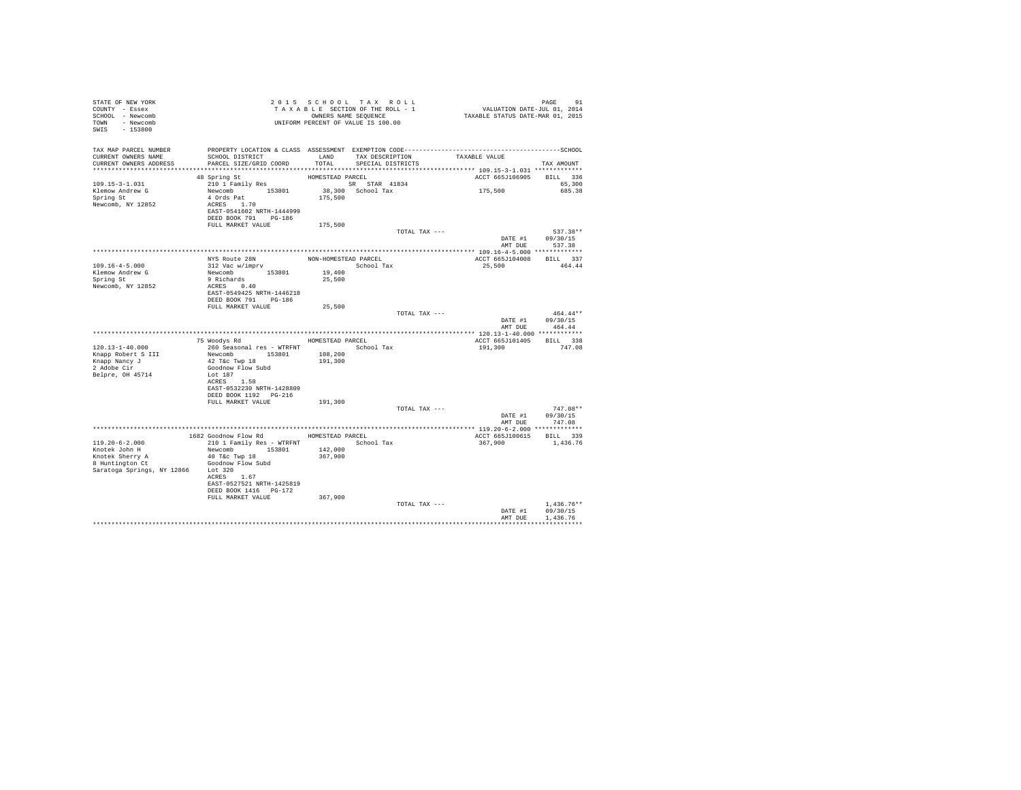| STATE OF NEW YORK<br>COUNTY - Essex<br>SCHOOL - Newcomb<br>TOWN - Newcomb<br>SWIS<br>$-153800$                    |                                                                                                                     |                    | 2015 SCHOOL TAX ROLL<br>TAXABLE SECTION OF THE ROLL - 1<br>OWNERS NAME SEQUENCE<br>UNIFORM PERCENT OF VALUE IS 100.00 | PAGE 91<br>VALUATION DATE-JUL 01, 2014<br>TAXABLE STATUS DATE-MAR 01, 2015 |                                      |
|-------------------------------------------------------------------------------------------------------------------|---------------------------------------------------------------------------------------------------------------------|--------------------|-----------------------------------------------------------------------------------------------------------------------|----------------------------------------------------------------------------|--------------------------------------|
| TAX MAP PARCEL NUMBER<br>CURRENT OWNERS NAME<br>CURRENT OWNERS ADDRESS                                            | SCHOOL DISTRICT<br>PARCEL SIZE/GRID COORD<br>********************************                                       | LAND<br>TOTAL      | TAX DESCRIPTION<br>SPECIAL DISTRICTS                                                                                  | TAXABLE VALUE                                                              | TAX AMOUNT                           |
|                                                                                                                   | 48 Spring St                                                                                                        | HOMESTEAD PARCEL   |                                                                                                                       | ACCT 665J106905                                                            | BILL 336                             |
| 109.15-3-1.031<br>Klemow Andrew G<br>Spring St<br>Newcomb, NY 12852                                               | 210 1 Family Res<br>Newcomb 153801<br>4 Ords Pat<br>ACRES 1.70<br>EAST-0541602 NRTH-1444999<br>DEED BOOK 791 PG-186 | 175,500            | SR STAR 41834<br>38,300 School Tax                                                                                    | 175,500                                                                    | 65,300<br>685.38                     |
|                                                                                                                   | FULL MARKET VALUE                                                                                                   | 175,500            |                                                                                                                       |                                                                            |                                      |
|                                                                                                                   |                                                                                                                     |                    | TOTAL TAX ---                                                                                                         | DATE #1<br>AMT DUE                                                         | 537.38**<br>09/30/15<br>537.38       |
|                                                                                                                   |                                                                                                                     |                    |                                                                                                                       |                                                                            |                                      |
| $109.16 - 4 - 5.000$<br>Klemow Andrew G<br>Spring St                                                              | NYS Route 28N<br>312 Vac w/imprv<br>Newcomb 153801<br>9 Richards                                                    | 19,400<br>25,500   | NON-HOMESTEAD PARCEL<br>School Tax                                                                                    | ACCT 665J104008 BILL 337<br>25,500                                         | 464.44                               |
| Newcomb, NY 12852                                                                                                 | ACRES 0.40<br>EAST-0549425 NRTH-1446218<br>DEED BOOK 791 PG-186<br>FULL MARKET VALUE                                | 25,500             |                                                                                                                       |                                                                            |                                      |
|                                                                                                                   |                                                                                                                     |                    | TOTAL TAX ---                                                                                                         | DATE #1                                                                    | $464.44**$<br>09/30/15               |
|                                                                                                                   |                                                                                                                     |                    |                                                                                                                       | AMT DUE                                                                    | 464.44                               |
|                                                                                                                   | 75 Woodys Rd                                                                                                        | HOMESTEAD PARCEL   |                                                                                                                       | ACCT 665J101405 BILL 338                                                   |                                      |
| $120.13 - 1 - 40.000$                                                                                             | 260 Seasonal res - WTRFNT                                                                                           |                    | School Tax                                                                                                            | 191,300                                                                    | 747.08                               |
| Knapp Robert S III<br>Knapp Nancy J<br>2 Adobe Cir                                                                | Newcomb 153801<br>42 T&c Twp 18<br>Goodnow Flow Subd                                                                | 108,200<br>191,300 |                                                                                                                       |                                                                            |                                      |
| Belpre, OH 45714                                                                                                  | Lot 187<br>ACRES 1.58<br>EAST-0532230 NRTH-1428809                                                                  |                    |                                                                                                                       |                                                                            |                                      |
|                                                                                                                   | DEED BOOK 1192 PG-216<br>FULL MARKET VALUE                                                                          | 191,300            |                                                                                                                       |                                                                            |                                      |
|                                                                                                                   |                                                                                                                     |                    | TOTAL TAX ---                                                                                                         | DATE #1                                                                    | $747.08**$<br>09/30/15               |
|                                                                                                                   |                                                                                                                     |                    |                                                                                                                       | AMT DUE                                                                    | 747.08                               |
|                                                                                                                   | 1682 Goodnow Flow Rd                                                                                                |                    | HOMESTEAD PARCEL                                                                                                      | ACCT 665J100615 BILL 339                                                   |                                      |
| $119.20 - 6 - 2.000$<br>Knotek John H<br>Knotek Sherry A<br>8 Huntington Ct<br>Saratoga Springs, NY 12866 Lot 320 | 210 1 Family Res - WTRFNT<br>Newcomb 153801<br>40 T&C Twp 18<br>Goodnow Flow Subd                                   | 142,000<br>367,900 | School Tax                                                                                                            | 367,900                                                                    | 1,436.76                             |
|                                                                                                                   | ACRES 1.67<br>EAST-0527521 NRTH-1425819<br>DEED BOOK 1416 PG-172<br>FULL MARKET VALUE                               | 367,900            |                                                                                                                       |                                                                            |                                      |
|                                                                                                                   |                                                                                                                     |                    | TOTAL TAX ---                                                                                                         | DATE #1<br>AMT DUE                                                         | $1.436.76**$<br>09/30/15<br>1,436.76 |
|                                                                                                                   |                                                                                                                     |                    |                                                                                                                       |                                                                            | ***********                          |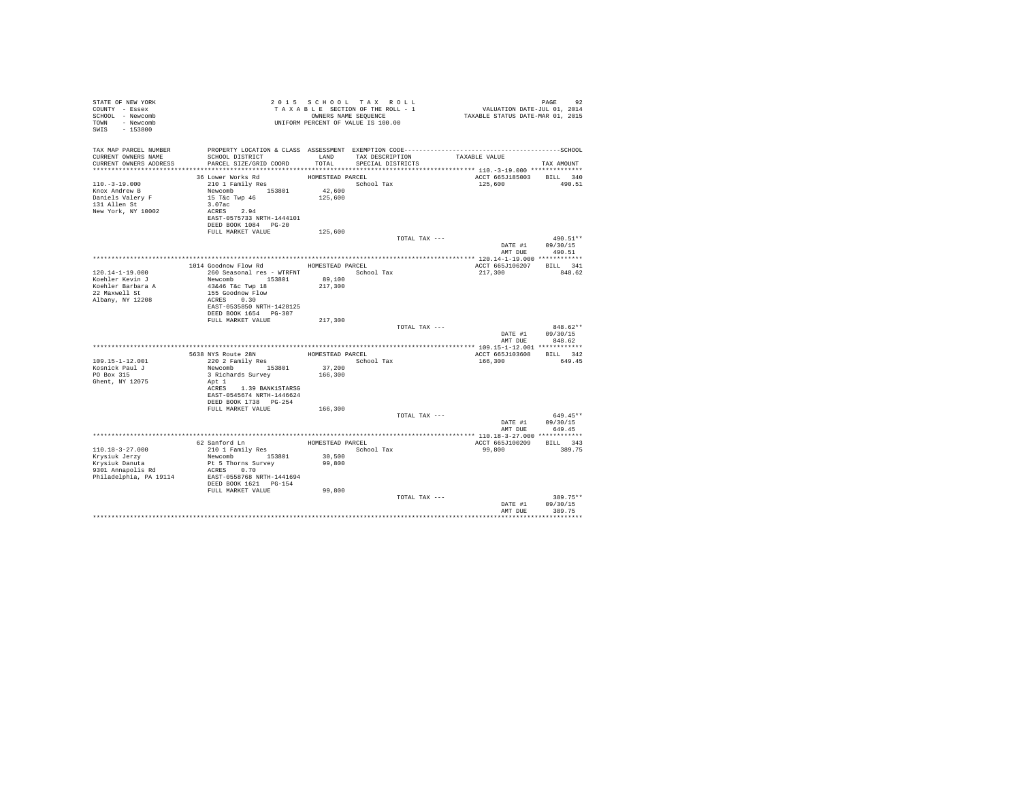| STATE OF NEW YORK<br>COUNTY - Essex<br>SCHOOL - Newcomb<br>TOWN - Newcomb<br>SWIS - 153800 | UNIFORM PERCENT OF VALUE IS 100.00                                                                                                           |                                | 2015 SCHOOL TAX ROLL<br>TAXABLE SECTION OF THE ROLL - 1<br>OWNERS NAME SEQUENCE | PAGE 92<br>VALUATION DATE-JUL 01, 2014<br>TAXABLE STATUS DATE-MAR 01, 2015 |                                    |
|--------------------------------------------------------------------------------------------|----------------------------------------------------------------------------------------------------------------------------------------------|--------------------------------|---------------------------------------------------------------------------------|----------------------------------------------------------------------------|------------------------------------|
| TAX MAP PARCEL NUMBER<br>CURRENT OWNERS NAME<br>CURRENT OWNERS ADDRESS                     | PROPERTY LOCATION & CLASS ASSESSMENT EXEMPTION CODE-----------------------------------SCHOOL<br>SCHOOL DISTRICT<br>PARCEL SIZE/GRID COORD    | TOTAL                          | LAND TAX DESCRIPTION<br>SPECIAL DISTRICTS                                       | TAXABLE VALUE                                                              | TAX AMOUNT                         |
|                                                                                            |                                                                                                                                              |                                |                                                                                 |                                                                            |                                    |
| $110.-3-19.000$<br>Knox Andrew B<br>Daniels Valery F<br>131 Allen St<br>New York, NY 10002 | 36 Lower Works Rd<br>210 1 Family Res<br>Newcomb 153801 42,600<br>15 T&c Twp 46 125,600<br>3.07ac<br>ACRES 2.94<br>EAST-0575733 NRTH-1444101 | HOMESTEAD PARCEL<br>School Tax |                                                                                 | 125,600                                                                    | ACCT 665J185003 BILL 340<br>490.51 |
|                                                                                            | DEED BOOK 1084 PG-20                                                                                                                         |                                |                                                                                 |                                                                            |                                    |
|                                                                                            | FULL MARKET VALUE                                                                                                                            | 125,600                        |                                                                                 |                                                                            |                                    |
|                                                                                            |                                                                                                                                              |                                | TOTAL TAX ---                                                                   |                                                                            | 490.51**                           |
|                                                                                            |                                                                                                                                              |                                |                                                                                 |                                                                            | DATE #1 09/30/15                   |
|                                                                                            |                                                                                                                                              |                                |                                                                                 | AMT DUE                                                                    | 490.51                             |
|                                                                                            | 1014 Goodnow Flow Rd MOMESTEAD PARCEL                                                                                                        |                                |                                                                                 | ACCT 665J106207                                                            | BILL 341                           |
| $120.14 - 1 - 19.000$                                                                      | 260 Seasonal res - WTRFNT                 School Tax                                                                                         |                                |                                                                                 | 217,300                                                                    | 848.62                             |
| Koehler Kevin J                                                                            | Newcomb 153801                                                                                                                               | 89,100                         |                                                                                 |                                                                            |                                    |
|                                                                                            | 43&46 T&c Twp 18                                                                                                                             | 217,300                        |                                                                                 |                                                                            |                                    |
| Koehler Barbara A<br>22 Maxwell St                                                         |                                                                                                                                              |                                |                                                                                 |                                                                            |                                    |
| Albany, NY 12208                                                                           | 155 Goodnow Flow<br>ACRES 0.30                                                                                                               |                                |                                                                                 |                                                                            |                                    |
|                                                                                            | EAST-0535850 NRTH-1428125<br>DEED BOOK 1654 PG-307                                                                                           |                                |                                                                                 |                                                                            |                                    |
|                                                                                            | FULL MARKET VALUE                                                                                                                            | 217,300                        |                                                                                 |                                                                            |                                    |
|                                                                                            |                                                                                                                                              |                                | TOTAL TAX ---                                                                   |                                                                            | 848.62**                           |
|                                                                                            |                                                                                                                                              |                                |                                                                                 | AMT DUE                                                                    | DATE #1 09/30/15<br>848.62         |
|                                                                                            |                                                                                                                                              |                                |                                                                                 |                                                                            |                                    |
|                                                                                            |                                                                                                                                              |                                | HOMESTEAD PARCEL                                                                | ACCT 665J103608                                                            | BILL 342                           |
| 109.15-1-12.001                                                                            | 200 AVIS ROUTE 28N<br>220 2 Family Res                                                                                                       |                                | School Tax                                                                      | 166,300                                                                    | 649.45                             |
| Kosnick Paul J                                                                             | Newcomb 153801                                                                                                                               | 37,200                         |                                                                                 |                                                                            |                                    |
| PO Box 315                                                                                 | 3 Richards Survey                                                                                                                            | 166,300                        |                                                                                 |                                                                            |                                    |
| Ghent, NY 12075                                                                            | Apt 1<br>ACRES 1.39 BANK1STARSG<br>EAST-0545674 NRTH-1446624<br>DEED BOOK 1738 PG-254                                                        |                                |                                                                                 |                                                                            |                                    |
|                                                                                            | FULL MARKET VALUE                                                                                                                            | 166,300                        |                                                                                 |                                                                            |                                    |
|                                                                                            |                                                                                                                                              |                                | TOTAL TAX ---                                                                   | DATE #1                                                                    | 649.45**<br>09/30/15               |
|                                                                                            |                                                                                                                                              |                                |                                                                                 | AMT DUE                                                                    | 649.45                             |
|                                                                                            |                                                                                                                                              |                                |                                                                                 |                                                                            |                                    |
| $110.18 - 3 - 27.000$                                                                      | 62 Sanford Ln<br>210 1 Family Res                                                                                                            | HOMESTEAD PARCEL               | School Tax                                                                      | ACCT 665J100209 BILL 343<br>99,800                                         | 389.75                             |
| Krysiuk Jerzy                                                                              | Newcomb 153801                                                                                                                               | 30,500                         |                                                                                 |                                                                            |                                    |
| Krysiuk Danuta                                                                             | Pt 5 Thorns Survey                                                                                                                           | 99,800                         |                                                                                 |                                                                            |                                    |
| $9301$ Annapolis Rd                                                                        | ACRES 0.70                                                                                                                                   |                                |                                                                                 |                                                                            |                                    |
| Philadelphia, PA 19114                                                                     | EAST-0558768 NRTH-1441694<br>DEED BOOK 1621 PG-154                                                                                           |                                |                                                                                 |                                                                            |                                    |
|                                                                                            | FULL MARKET VALUE                                                                                                                            | 99,800                         |                                                                                 |                                                                            |                                    |
|                                                                                            |                                                                                                                                              |                                | TOTAL TAX ---                                                                   | DATE #1<br>AMT DUE                                                         | 389.75**<br>09/30/15<br>389.75     |
|                                                                                            |                                                                                                                                              |                                |                                                                                 |                                                                            |                                    |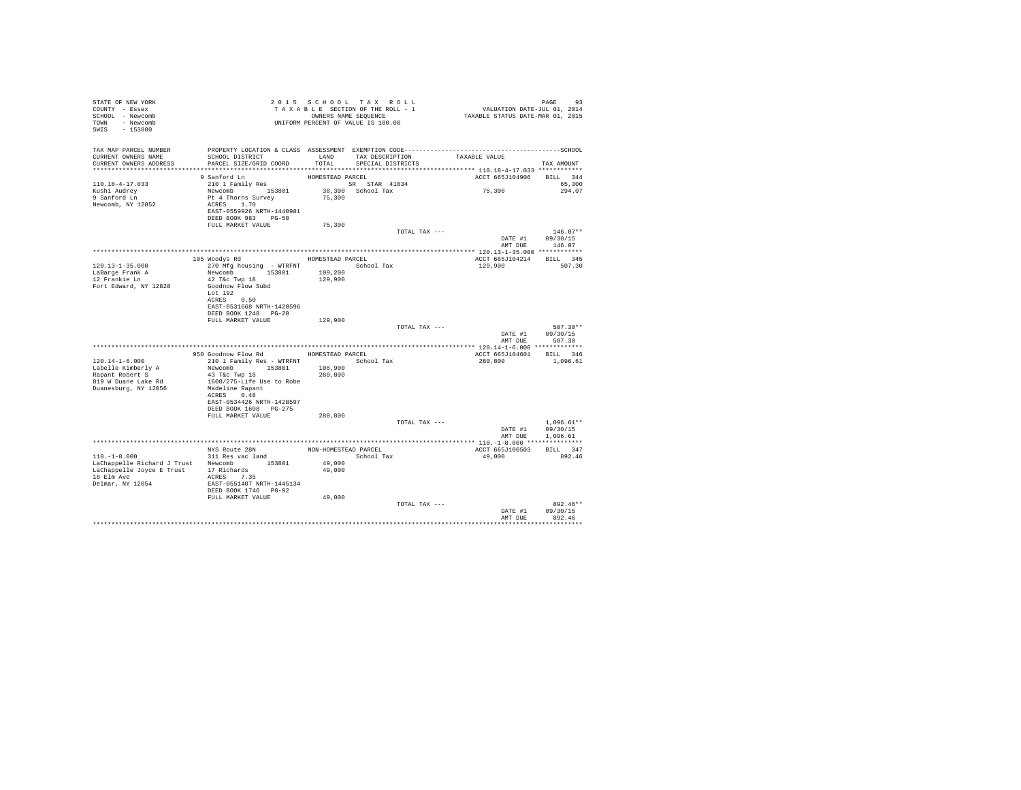| STATE OF NEW YORK<br>COUNTY - Essex<br>SCHOOL - Newcomb<br>TOWN - Newcomb<br>SWIS - 153800                                                 |                                                                                                                                                                                  | 2015 SCHOOL TAX ROLL<br>TAXABLE SECTION OF THE ROLL - 1<br>OWNERS NAME SEQUENCE |                                      |               | PAGE 93<br>VALUATION DATE-JUL 01, 2014<br>TAXABLE STATUS DATE-MAR 01, 2015 |                                                  |
|--------------------------------------------------------------------------------------------------------------------------------------------|----------------------------------------------------------------------------------------------------------------------------------------------------------------------------------|---------------------------------------------------------------------------------|--------------------------------------|---------------|----------------------------------------------------------------------------|--------------------------------------------------|
| TAX MAP PARCEL NUMBER<br>CURRENT OWNERS NAME<br>CURRENT OWNERS ADDRESS                                                                     | SCHOOL DISTRICT<br>PARCEL SIZE/GRID COORD                                                                                                                                        | LAND<br>TOTAL                                                                   | TAX DESCRIPTION<br>SPECIAL DISTRICTS |               | TAXABLE VALUE                                                              | TAX AMOUNT                                       |
|                                                                                                                                            | 9 Sanford Ln                                                                                                                                                                     | HOMESTEAD PARCEL                                                                |                                      |               | ACCT 665J104906                                                            | BILL 344                                         |
| 110.18-4-17.033<br>Kushi Audrey<br>9 Sanford Ln<br>Newcomb, NY 12852                                                                       | 210 1 Family Res<br>Newcomb 153801<br>Pt 4 Thorns Survey<br>ACRES 1.70<br>EAST-0559926 NRTH-1440981<br>DEED BOOK 983 PG-50                                                       | SR STAR 41834<br>75,300                                                         | 38,300 School Tax                    |               | 75,300                                                                     | 65,300<br>294.07                                 |
|                                                                                                                                            | FULL MARKET VALUE                                                                                                                                                                | 75,300                                                                          |                                      |               |                                                                            |                                                  |
|                                                                                                                                            |                                                                                                                                                                                  |                                                                                 |                                      | TOTAL TAX --- |                                                                            | $146.07**$<br>DATE #1 09/30/15<br>AMT DUE 146.07 |
|                                                                                                                                            |                                                                                                                                                                                  |                                                                                 |                                      |               |                                                                            |                                                  |
|                                                                                                                                            | 105 Woodys Rd                                                                                                                                                                    | HOMESTEAD PARCEL                                                                |                                      |               | ACCT 665J104214                                                            | BILL 345                                         |
| $120.13 - 1 - 35.000$<br>LaBarge Frank A<br>12 Frankie Ln<br>Fort Edward, NY 12828                                                         | 270 Mfg housing - WTRFNT School Tax<br>Newcomb 153801<br>42 T&c Twp 18<br>Goodnow Flow Subd<br>Lot $192$<br>ACRES 0.50                                                           | 109,200<br>129,900                                                              |                                      |               | 129,900                                                                    | 507.30                                           |
|                                                                                                                                            | EAST-0531668 NRTH-1428596                                                                                                                                                        |                                                                                 |                                      |               |                                                                            |                                                  |
|                                                                                                                                            | DEED BOOK 1248 PG-20<br>FULL MARKET VALUE                                                                                                                                        | 129,900                                                                         |                                      |               |                                                                            |                                                  |
|                                                                                                                                            |                                                                                                                                                                                  |                                                                                 |                                      | TOTAL TAX --- |                                                                            | $507.30**$<br>DATE #1 09/30/15<br>AMT DUE 507.30 |
|                                                                                                                                            |                                                                                                                                                                                  |                                                                                 |                                      |               |                                                                            |                                                  |
|                                                                                                                                            | 950 Goodnow Flow Rd                                                                                                                                                              |                                                                                 | HOMESTEAD PARCEL                     |               | ACCT 665J104601 BILL 346                                                   |                                                  |
| $120.14 - 1 - 6.000$<br>Labelle Kimberly A<br>Rapant Robert S<br>819 W Duane Lake Rd<br>Duanesburg, NY 12056                               | 210 1 Family Res - WTRFNT<br>Newcomb 153801<br>43 T&C Twp 18<br>1608/275-Life Use to Robe<br>Madeline Rapant<br>ACRES 0.48<br>EAST-0534426 NRTH-1428597<br>DEED BOOK 1608 PG-275 | 106,900<br>280,800                                                              | School Tax                           |               | 280,800                                                                    | 1,096.61                                         |
|                                                                                                                                            | FULL MARKET VALUE                                                                                                                                                                | 280,800                                                                         |                                      |               |                                                                            |                                                  |
|                                                                                                                                            |                                                                                                                                                                                  |                                                                                 |                                      | TOTAL TAX --- | AMT DUE                                                                    | $1.096.61**$<br>DATE #1 09/30/15<br>1,096.61     |
|                                                                                                                                            |                                                                                                                                                                                  |                                                                                 |                                      |               |                                                                            |                                                  |
| $110. -1 - 8.000$<br>LaChappelle Richard J Trust Newcomb 153801<br>LaChappelle Joyce E Trust 17 Richards<br>18 Elm Ave<br>Delmar, NY 12054 | NYS Route 28N<br>311 Res vac land<br>ACRES 7.35<br>EAST-0551407 NRTH-1445134<br>DEED BOOK 1746 PG-92                                                                             | 49,000<br>49,000                                                                | NON-HOMESTEAD PARCEL<br>School Tax   |               | ACCT 665J100503<br>49,000                                                  | BTT.T. 347<br>892.46                             |
|                                                                                                                                            | FULL MARKET VALUE                                                                                                                                                                | 49,000                                                                          |                                      | TOTAL TAX --- | DATE #1                                                                    | 892.46**<br>09/30/15                             |
|                                                                                                                                            |                                                                                                                                                                                  |                                                                                 |                                      |               | AMT DUE                                                                    | 892.46                                           |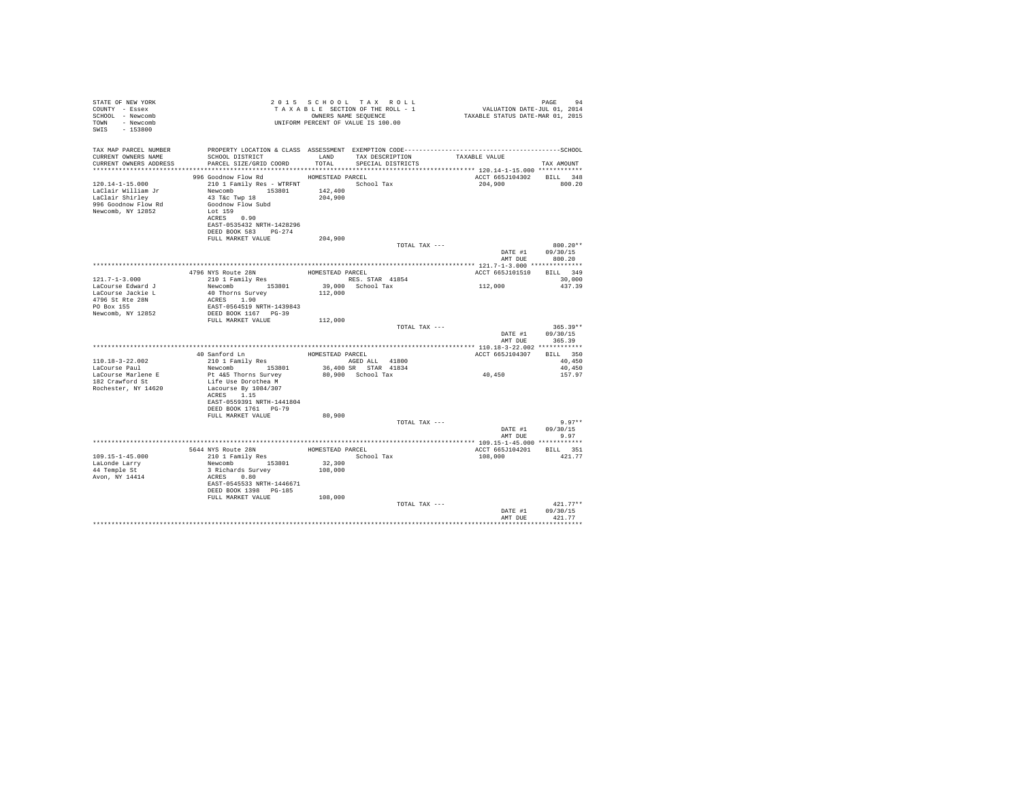| STATE OF NEW YORK<br>COUNTY - Essex<br>SCHOOL - Newcomb<br>TOWN - Newcomb<br>SWIS - 153800                 |                                                                                                                                                                                                                              |                    | 2015 SCHOOL TAX ROLL<br>TAXABLE SECTION OF THE ROLL - 1<br>OWNERS NAME SEOUENCE<br>UNIFORM PERCENT OF VALUE IS 100.00 | PAGE 94<br>VALUATION DATE-JUL 01, 2014<br>TAXABLE STATUS DATE-MAR 01, 2015 | PAGE<br>94                                       |
|------------------------------------------------------------------------------------------------------------|------------------------------------------------------------------------------------------------------------------------------------------------------------------------------------------------------------------------------|--------------------|-----------------------------------------------------------------------------------------------------------------------|----------------------------------------------------------------------------|--------------------------------------------------|
| TAX MAP PARCEL NUMBER<br>CURRENT OWNERS NAME<br>CURRENT OWNERS ADDRESS                                     | SCHOOL DISTRICT TAND TAX DESCRIPTION<br>PARCEL SIZE/GRID COORD                                                                                                                                                               | TOTAL              | PROPERTY LOCATION & CLASS ASSESSMENT EXEMPTION CODE-----------------------------------SCHOOL<br>SPECIAL DISTRICTS     | TAXABLE VALUE                                                              | TAX AMOUNT                                       |
|                                                                                                            |                                                                                                                                                                                                                              |                    |                                                                                                                       |                                                                            |                                                  |
| $120.14 - 1 - 15.000$<br>LaClair William Jr<br>LaClair Shirley<br>996 Goodnow Flow Rd<br>Newcomb, NY 12852 | 996 Goodnow Flow Rd MOMESTEAD PARCEL<br>210 1 Family Res - WTRFNT<br>Newcomb 153801 142,400<br>43 T&C Twp 18<br>Goodnow Flow Subd<br>$T_{\text{eff}}$ 159<br>ACRES 0.90<br>EAST-0535432 NRTH-1428296<br>DEED BOOK 583 PG-274 | 204,900            | School Tax                                                                                                            | ACCT 665J104302 BILL 348<br>204,900                                        | 800.20                                           |
|                                                                                                            | FULL MARKET VALUE                                                                                                                                                                                                            | 204,900            |                                                                                                                       |                                                                            |                                                  |
|                                                                                                            |                                                                                                                                                                                                                              |                    | TOTAL TAX ---                                                                                                         |                                                                            | $800.20**$<br>DATE #1 09/30/15<br>AMT DUE 800.20 |
|                                                                                                            |                                                                                                                                                                                                                              |                    |                                                                                                                       |                                                                            |                                                  |
|                                                                                                            |                                                                                                                                                                                                                              | HOMESTEAD PARCEL   |                                                                                                                       | ACCT 665J101510 BILL 349                                                   |                                                  |
| $121.7 - 1 - 3.000$                                                                                        | 4796 NYS Route 28N<br>210 1 Family Res                                                                                                                                                                                       |                    | RES. STAR 41854                                                                                                       |                                                                            | 30,000                                           |
| LaCourse Edward J<br>LaCourse Jackie L<br>4796 St Rte 28N<br>PO Box 155                                    | Newcomb 153801 39,000 School Tax<br>40 Thorns Survey 112,000<br>ACRES 1.90<br>EAST-0564519 NRTH-1439843                                                                                                                      |                    |                                                                                                                       | 112,000                                                                    | 437.39                                           |
| Newcomb, NY 12852                                                                                          | DEED BOOK 1167 PG-39                                                                                                                                                                                                         |                    |                                                                                                                       |                                                                            |                                                  |
|                                                                                                            | FULL MARKET VALUE                                                                                                                                                                                                            | 112,000            |                                                                                                                       |                                                                            |                                                  |
|                                                                                                            |                                                                                                                                                                                                                              |                    | TOTAL TAX ---                                                                                                         | DATE #1                                                                    | $365.39**$<br>09/30/15<br>AMT DUE 365.39         |
|                                                                                                            |                                                                                                                                                                                                                              |                    |                                                                                                                       |                                                                            |                                                  |
|                                                                                                            |                                                                                                                                                                                                                              | HOMESTEAD PARCEL   |                                                                                                                       | ACCT 665J104307 BILL 350                                                   |                                                  |
| 110.18-3-22.002                                                                                            | 40 Sanford Ln<br>210 1 Family Res                                                                                                                                                                                            |                    | AGED ALL 41800                                                                                                        |                                                                            | 40,450                                           |
| LaCourse Paul                                                                                              | Newcomb 153801                                                                                                                                                                                                               |                    | 36,400 SR STAR 41834                                                                                                  |                                                                            | 40,450                                           |
| LaCourse Marlene E<br>182 Crawford St<br>Rochester, NY 14620                                               | Pt 4&5 Thorns Survey<br>Life Use Dorothea M<br>Lacourse By 1084/307<br>ACRES 1.15<br>EAST-0559391 NRTH-1441804                                                                                                               |                    | 80.900 School Tax                                                                                                     | 40,450                                                                     | 157.97                                           |
|                                                                                                            | DEED BOOK 1761 PG-79                                                                                                                                                                                                         |                    |                                                                                                                       |                                                                            |                                                  |
|                                                                                                            | FULL MARKET VALUE                                                                                                                                                                                                            | 80,900             | TOTAL TAX ---                                                                                                         |                                                                            | $9.97**$<br>DATE #1 09/30/15                     |
|                                                                                                            |                                                                                                                                                                                                                              |                    |                                                                                                                       | AMT DUE                                                                    | 9.97                                             |
|                                                                                                            |                                                                                                                                                                                                                              |                    |                                                                                                                       |                                                                            |                                                  |
|                                                                                                            | 5644 NYS Route 28N<br>210 1 Family Res                                                                                                                                                                                       | HOMESTEAD PARCEL   |                                                                                                                       | ACCT 665J104201                                                            | BILL 351                                         |
| $109.15 - 1 - 45.000$                                                                                      |                                                                                                                                                                                                                              |                    | School Tax                                                                                                            | 108,000                                                                    | 421.77                                           |
| LaLonde Larry                                                                                              | Newcomb 153801                                                                                                                                                                                                               | 32,300             |                                                                                                                       |                                                                            |                                                  |
| 44 Temple St<br>Avon, NY 14414                                                                             | 3 Richards Survey<br>ACRES 0.80<br>EAST-0545533 NRTH-1446671<br>DEED BOOK 1398 PG-185<br>FULL MARKET VALUE                                                                                                                   | 108,000<br>108,000 |                                                                                                                       |                                                                            |                                                  |
|                                                                                                            |                                                                                                                                                                                                                              |                    | TOTAL TAX ---                                                                                                         |                                                                            | $421.77**$                                       |
|                                                                                                            |                                                                                                                                                                                                                              |                    |                                                                                                                       | DATE #1<br>AMT DUE                                                         | 09/30/15<br>421.77<br>***********                |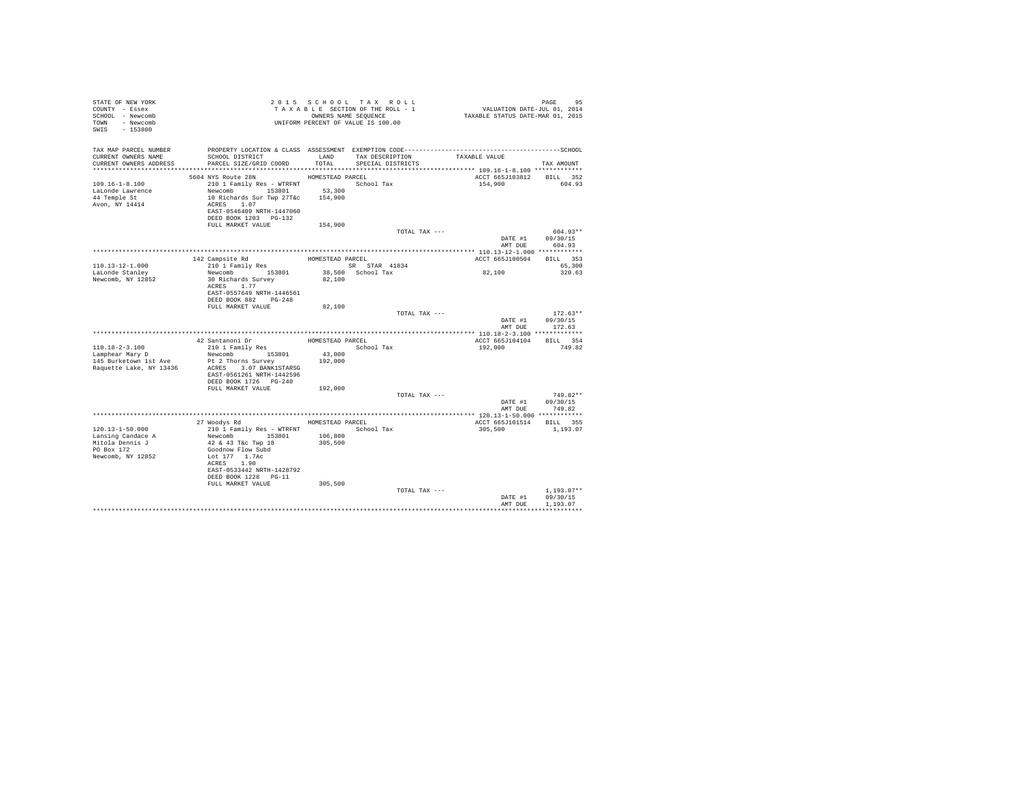| STATE OF NEW YORK<br>COUNTY - Essex<br>SCHOOL - Newcomb |                                                                                                                 |                  | TAXABLE SECTION OF THE ROLL - 1<br>OWNERS NAME SEQUENCE | PAGE 95<br>VALUATION DATE-JUL 01, 2014<br>TAXABLE STATUS DATE-MAR 01, 2015 |                            |
|---------------------------------------------------------|-----------------------------------------------------------------------------------------------------------------|------------------|---------------------------------------------------------|----------------------------------------------------------------------------|----------------------------|
| TOWN - Newcomb<br>SWIS - 153800                         | T A X A B L E SECTION OF THE AVIATION OWNERS NAME SEQUENCE<br>UNIFORM PERCENT OF VALUE IS 100.00                |                  |                                                         |                                                                            |                            |
| TAX MAP PARCEL NUMBER<br>CURRENT OWNERS NAME            | PROPERTY LOCATION & CLASS ASSESSMENT EXEMPTION CODE-----------------------------------SCHOOL<br>SCHOOL DISTRICT |                  | LAND TAX DESCRIPTION                                    | TAXABLE VALUE                                                              |                            |
| CURRENT OWNERS ADDRESS                                  | PARCEL SIZE/GRID COORD                                                                                          | TOTAL.           | SPECIAL DISTRICTS                                       |                                                                            | TAX AMOUNT                 |
|                                                         |                                                                                                                 |                  |                                                         |                                                                            |                            |
|                                                         | 5604 NYS Route 28N                                                                                              | HOMESTEAD PARCEL |                                                         | ACCT 665J103812 BILL 352                                                   |                            |
| $109.16 - 1 - 8.100$                                    | 210 1 Family Res - WTRFNT School Tax                                                                            |                  |                                                         | 154,900                                                                    | 604.93                     |
| LaLonde Lawrence                                        | Newcomb 153801 53,300                                                                                           |                  |                                                         |                                                                            |                            |
| 44 Temple St                                            | 10 Richards Sur Twp 27T&c 154,900                                                                               |                  |                                                         |                                                                            |                            |
| Avon, NY 14414                                          | ACRES 1.07<br>EAST-0546409 NRTH-1447060                                                                         |                  |                                                         |                                                                            |                            |
|                                                         | DEED BOOK 1203 PG-132                                                                                           |                  |                                                         |                                                                            |                            |
|                                                         | FULL MARKET VALUE                                                                                               | 154,900          |                                                         |                                                                            |                            |
|                                                         |                                                                                                                 |                  | TOTAL TAX ---                                           |                                                                            | 604.93**                   |
|                                                         |                                                                                                                 |                  |                                                         | DATE #1                                                                    | 09/30/15<br>AMT DUE 604.93 |
|                                                         |                                                                                                                 |                  |                                                         |                                                                            |                            |
|                                                         | 142 Campsite Rd                                                                                                 |                  | HOMESTEAD PARCEL                                        | ACCT 665J100504 BILL 353                                                   |                            |
| 110.13-12-1.000                                         | 142 Campsite Ru<br>210 1 Family Res                                                                             |                  | SR STAR 41834                                           |                                                                            | 65,300                     |
| LaLonde Stanley                                         | Newcomb 153801                                                                                                  |                  | 38,500 School Tax                                       | 82,100                                                                     | 320.63                     |
| Newcomb, NY 12852                                       | 30 Richards Survey                                                                                              | 82,100           |                                                         |                                                                            |                            |
|                                                         | ACRES 1.77                                                                                                      |                  |                                                         |                                                                            |                            |
|                                                         | EAST-0557649 NRTH-1446561                                                                                       |                  |                                                         |                                                                            |                            |
|                                                         | DEED BOOK 882 PG-248                                                                                            |                  |                                                         |                                                                            |                            |
|                                                         | FULL MARKET VALUE                                                                                               | 82,100           |                                                         |                                                                            |                            |
|                                                         |                                                                                                                 |                  | TOTAL TAX ---                                           |                                                                            | $172.63**$                 |
|                                                         |                                                                                                                 |                  |                                                         | DATE #1                                                                    | 09/30/15                   |
|                                                         |                                                                                                                 |                  |                                                         | AMT DUE                                                                    | 172.63                     |
|                                                         |                                                                                                                 |                  |                                                         |                                                                            |                            |
|                                                         | 42 Santanoni Dr                                                                                                 |                  | HOMESTEAD PARCEL                                        | ACCT 665J104104                                                            | BILL 354                   |
| $110.18 - 2 - 3.100$                                    | 210 1 Family Res                                                                                                |                  | School Tax                                              | 192,000                                                                    | 749.82                     |
| Lamphear Mary D                                         | Newcomb 153801<br>Pt 2 Thorns Survey                                                                            | 43,000           |                                                         |                                                                            |                            |
| 145 Burketown 1st Ave<br>Raquette Lake, NY 13436        | ACRES 3.07 BANK1STARSG                                                                                          | 192,000          |                                                         |                                                                            |                            |
|                                                         | EAST-0561261 NRTH-1442596                                                                                       |                  |                                                         |                                                                            |                            |
|                                                         | DEED BOOK 1726    PG-240                                                                                        |                  |                                                         |                                                                            |                            |
|                                                         | FULL MARKET VALUE                                                                                               | 192,000          |                                                         |                                                                            |                            |
|                                                         |                                                                                                                 |                  | TOTAL TAX ---                                           |                                                                            | $749.82**$                 |
|                                                         |                                                                                                                 |                  |                                                         |                                                                            | DATE #1 09/30/15           |
|                                                         |                                                                                                                 |                  |                                                         | AMT DUE                                                                    | 749.82                     |
|                                                         |                                                                                                                 |                  |                                                         |                                                                            |                            |
|                                                         | 27 Woodys Rd MOMESTEAD PARCEL                                                                                   |                  |                                                         | ACCT 665J101514 BILL 355                                                   |                            |
| 120.13-1-50.000                                         | 210 1 Family Res - WTRFNT                                                                                       |                  | School Tax                                              | 305,500                                                                    | 1,193.07                   |
| Lansing Candace A                                       | Newcomb 153801                                                                                                  | 106,800          |                                                         |                                                                            |                            |
| Mitola Dennis J                                         | 42 & 43 T&c Twp 18                                                                                              | 305,500          |                                                         |                                                                            |                            |
| PO Box 172                                              | Goodnow Flow Subd                                                                                               |                  |                                                         |                                                                            |                            |
| Newcomb, NY 12852                                       | Lot 177 1.7Ac                                                                                                   |                  |                                                         |                                                                            |                            |
|                                                         | ACRES 1.90                                                                                                      |                  |                                                         |                                                                            |                            |
|                                                         | EAST-0533442 NRTH-1428792<br>DEED BOOK 1228 PG-11                                                               |                  |                                                         |                                                                            |                            |
|                                                         | FULL MARKET VALUE                                                                                               | 305,500          |                                                         |                                                                            |                            |
|                                                         |                                                                                                                 |                  | TOTAL TAX ---                                           |                                                                            | $1.193.07**$               |
|                                                         |                                                                                                                 |                  |                                                         | DATE #1                                                                    | 09/30/15                   |
|                                                         |                                                                                                                 |                  |                                                         |                                                                            |                            |
|                                                         |                                                                                                                 |                  |                                                         | AMT DUE                                                                    | 1,193.07                   |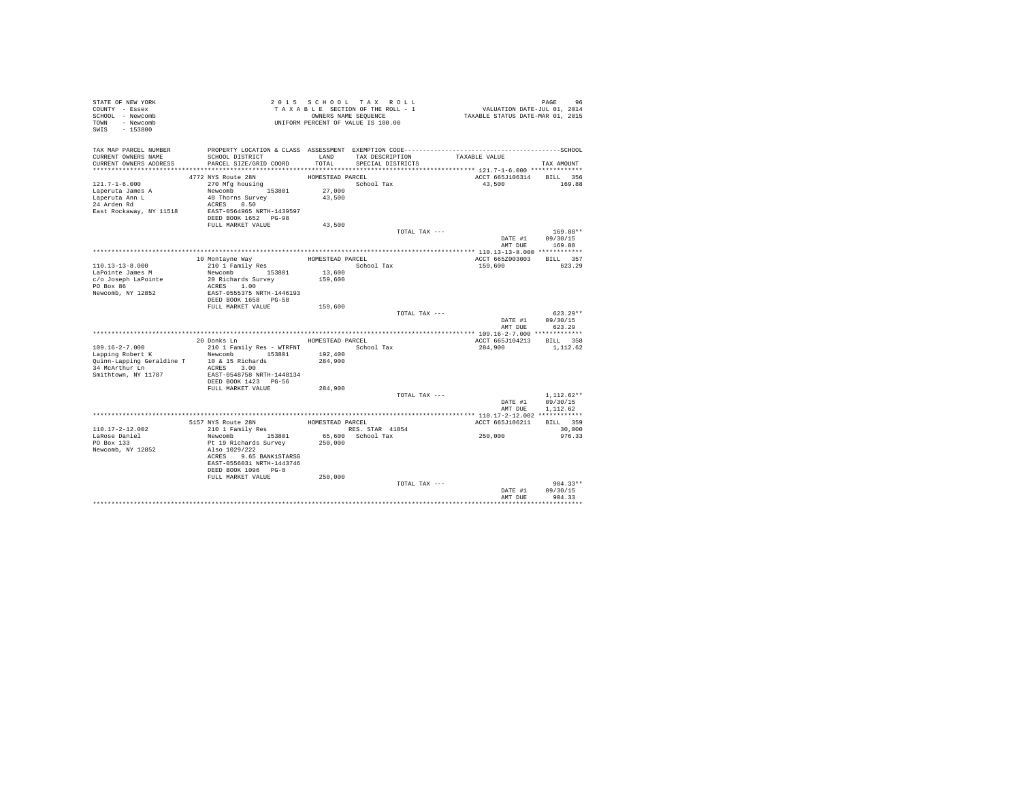| STATE OF NEW YORK<br>COUNTY - Essex                     |                                           |                  | 2015 SCHOOL TAX ROLL<br>TAXABLE SECTION OF THE ROLL - 1    | 96 PAGE 96<br>VALUATION DATE-JUL 01, 2014<br>TAXABLE STATUS DATE-MAR 01, 2015 |                        |
|---------------------------------------------------------|-------------------------------------------|------------------|------------------------------------------------------------|-------------------------------------------------------------------------------|------------------------|
| SCHOOL - Newcomb<br>TOWN - Newcomb<br>SWIS<br>$-153800$ |                                           |                  | OWNERS NAME SEQUENCE<br>UNIFORM PERCENT OF VALUE IS 100.00 |                                                                               |                        |
| TAX MAP PARCEL NUMBER                                   |                                           |                  |                                                            |                                                                               |                        |
| CURRENT OWNERS NAME                                     | SCHOOL DISTRICT                           | LAND             | TAX DESCRIPTION                                            | TAXABLE VALUE                                                                 |                        |
| CURRENT OWNERS ADDRESS                                  | PARCEL SIZE/GRID COORD                    | TOTAL            | SPECIAL DISTRICTS                                          |                                                                               | TAX AMOUNT             |
|                                                         | 4772 NYS Route 28N                        | HOMESTEAD PARCEL |                                                            | ACCT 665J106314 BILL 356                                                      |                        |
| $121.7 - 1 - 6.000$                                     | 270 Mfa housina                           |                  | School Tax                                                 | 43,500                                                                        | 169.88                 |
| Laperuta James A                                        | Newcomb 153801                            | 27,000           |                                                            |                                                                               |                        |
| Laperuta Ann L                                          | 40 Thorns Survey                          | 43.500           |                                                            |                                                                               |                        |
| 24 Arden Rd                                             | ACRES 0.50                                |                  |                                                            |                                                                               |                        |
| East Rockaway, NY 11518                                 | EAST-0564965 NRTH-1439597                 |                  |                                                            |                                                                               |                        |
|                                                         | DEED BOOK 1652 PG-98                      |                  |                                                            |                                                                               |                        |
|                                                         | FULL MARKET VALUE                         | 43,500           |                                                            |                                                                               |                        |
|                                                         |                                           |                  | TOTAL TAX ---                                              | DATE #1                                                                       | $169.88**$<br>09/30/15 |
|                                                         |                                           |                  |                                                            | AMT DUR                                                                       | 169.88                 |
|                                                         |                                           |                  |                                                            |                                                                               |                        |
|                                                         | 10 Montayne Way                           | HOMESTEAD PARCEL |                                                            | ACCT 665Z003003                                                               | BILL 357               |
| 110.13-13-8.000                                         | 210 1 Family Res                          |                  | School Tax                                                 | 159,600                                                                       | 623.29                 |
| LaPointe James M                                        | Newcomb 153801                            | 13,600           |                                                            |                                                                               |                        |
| c/o Joseph LaPointe                                     | 20 Richards Survey                        | 159,600          |                                                            |                                                                               |                        |
| PO Box 86                                               | ACRES 1.00                                |                  |                                                            |                                                                               |                        |
| Newcomb, NY 12852                                       | EAST-0555375 NRTH-1446193                 |                  |                                                            |                                                                               |                        |
|                                                         | DEED BOOK 1658 PG-58<br>FULL MARKET VALUE | 159,600          |                                                            |                                                                               |                        |
|                                                         |                                           |                  | TOTAL TAX ---                                              |                                                                               | $623.29**$             |
|                                                         |                                           |                  |                                                            | DATE #1                                                                       | 09/30/15               |
|                                                         |                                           |                  |                                                            | AMT DUE                                                                       | 623.29                 |
|                                                         |                                           |                  |                                                            |                                                                               |                        |
|                                                         | 20 Donks Ln                               | HOMESTEAD PARCEL |                                                            | ACCT 665J104213 BILL 358                                                      |                        |
| $109.16 - 2 - 7.000$                                    | 210 1 Family Res - WTRFNT                 |                  | School Tax                                                 | 284,900                                                                       | 1,112.62               |
| Lapping Robert K                                        | Newcomb 153801                            | 192,400          |                                                            |                                                                               |                        |
| Quinn-Lapping Geraldine T<br>34 McArthur Ln             | 10 & 15 Richards<br>ACRES 3.00            | 284,900          |                                                            |                                                                               |                        |
| Smithtown, NY 11787                                     | EAST-0548758 NRTH-1448134                 |                  |                                                            |                                                                               |                        |
|                                                         | DEED BOOK 1423 PG-56                      |                  |                                                            |                                                                               |                        |
|                                                         | FULL MARKET VALUE                         | 284,900          |                                                            |                                                                               |                        |
|                                                         |                                           |                  | TOTAL TAX ---                                              |                                                                               | $1,112.62**$           |
|                                                         |                                           |                  |                                                            |                                                                               | DATE #1 09/30/15       |
|                                                         |                                           |                  |                                                            | AMT DUE                                                                       | 1,112.62               |
|                                                         | 5157 NYS Route 28N                        | HOMESTEAD PARCEL |                                                            | ACCT 665J106211                                                               | BILL 359               |
| 110.17-2-12.002                                         | 210 1 Family Res                          |                  | RES. STAR 41854                                            |                                                                               | 30,000                 |
| LaRose Daniel                                           | Newcomb 153801                            |                  | 65,600 School Tax                                          | 250,000                                                                       | 976.33                 |
| PO Box 133                                              | Pt 19 Richards Survey                     | 250,000          |                                                            |                                                                               |                        |
| Newcomb, NY 12852                                       | Also 1029/222                             |                  |                                                            |                                                                               |                        |
|                                                         | ACRES 9.65 BANK1STARSG                    |                  |                                                            |                                                                               |                        |
|                                                         | EAST-0556031 NRTH-1443746                 |                  |                                                            |                                                                               |                        |
|                                                         | DEED BOOK 1096 PG-8                       |                  |                                                            |                                                                               |                        |
|                                                         | FULL MARKET VALUE                         | 250,000          |                                                            |                                                                               | $904.33**$             |
|                                                         |                                           |                  | TOTAL TAX ---                                              | DATE #1                                                                       | 09/30/15               |
|                                                         |                                           |                  |                                                            | AMT DUE                                                                       | 904.33                 |
|                                                         |                                           |                  |                                                            |                                                                               |                        |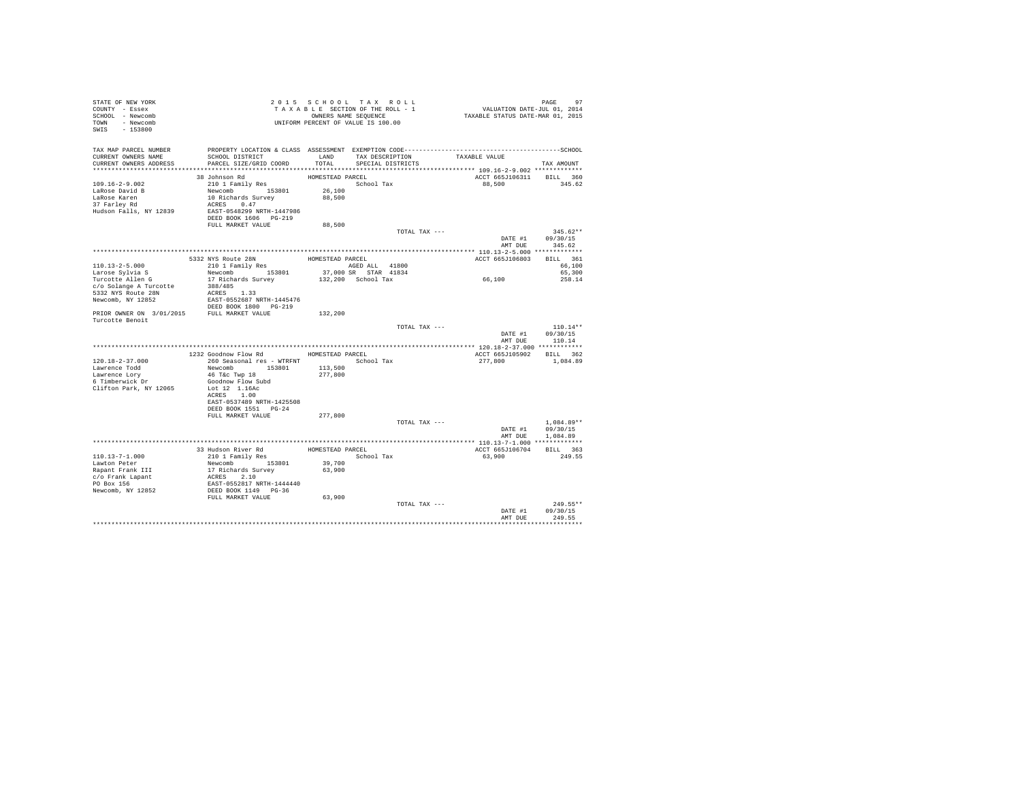| STATE OF NEW YORK<br>COUNTY - Essex<br>SCHOOL - Newcomb<br>TOWN - Newcomb<br>SWIS<br>$-153800$                        |                                                                                                                                                                                                                                                                                                                                                                                                                                           |         | 2015 SCHOOL TAX ROLL<br>TAXABLE SECTION OF THE ROLL - 1<br>OWNERS NAME SEQUENCE<br>UNIFORM PERCENT OF VALUE IS 100.00 | 97<br>101, VALUATION DATE-JUL 01, 2014<br>2015 ,TAXABLE STATUS DATE-MAR | 97<br>PAGE                     |
|-----------------------------------------------------------------------------------------------------------------------|-------------------------------------------------------------------------------------------------------------------------------------------------------------------------------------------------------------------------------------------------------------------------------------------------------------------------------------------------------------------------------------------------------------------------------------------|---------|-----------------------------------------------------------------------------------------------------------------------|-------------------------------------------------------------------------|--------------------------------|
| TAX MAP PARCEL NUMBER<br>CURRENT OWNERS NAME<br>CURRENT OWNERS ADDRESS PARCEL SIZE/GRID COORD TOTAL SPECIAL DISTRICTS | SCHOOL DISTRICT TAND TAX DESCRIPTION                                                                                                                                                                                                                                                                                                                                                                                                      |         |                                                                                                                       | TAXABLE VALUE                                                           | TAX AMOUNT                     |
|                                                                                                                       | $\begin{tabular}{lllllllll} \multicolumn{2}{c}{\textbf{38} \; \; \mathit{Johnson \; \; Rd}} & \multicolumn{2}{c}{\textbf{HOMSTARD \; \; PACE} } \\ \multicolumn{2}{c}{28 \; \; \mathit{Johnson \; \; Rd}} & \multicolumn{2}{c}{\textbf{HOMSTARD \; \; PACE} } & \multicolumn{2}{c}{\textbf{SROD \; \; \; Tax}} \\ \multicolumn{2}{c}{\textbf{Newcomb}} & \multicolumn{2}{c}{\textbf{19} \; \; \; 153801} & \multicolumn{2}{c}{\textbf{26$ |         |                                                                                                                       | ACCT 665J106311 BILL 360                                                |                                |
| $109.16 - 2 - 9.002$                                                                                                  |                                                                                                                                                                                                                                                                                                                                                                                                                                           |         |                                                                                                                       | 88,500                                                                  | 345.62                         |
| LaRose David B                                                                                                        |                                                                                                                                                                                                                                                                                                                                                                                                                                           |         |                                                                                                                       |                                                                         |                                |
| LaRose Karen                                                                                                          |                                                                                                                                                                                                                                                                                                                                                                                                                                           |         |                                                                                                                       |                                                                         |                                |
| 37 Farley Rd                                                                                                          |                                                                                                                                                                                                                                                                                                                                                                                                                                           |         |                                                                                                                       |                                                                         |                                |
| Hudson Falls, NY 12839                                                                                                |                                                                                                                                                                                                                                                                                                                                                                                                                                           |         |                                                                                                                       |                                                                         |                                |
|                                                                                                                       | DEED BOOK 1606 PG-219                                                                                                                                                                                                                                                                                                                                                                                                                     |         |                                                                                                                       |                                                                         |                                |
|                                                                                                                       | FULL MARKET VALUE                                                                                                                                                                                                                                                                                                                                                                                                                         | 88,500  |                                                                                                                       |                                                                         |                                |
|                                                                                                                       |                                                                                                                                                                                                                                                                                                                                                                                                                                           |         | TOTAL TAX ---                                                                                                         |                                                                         | $345.62**$                     |
|                                                                                                                       |                                                                                                                                                                                                                                                                                                                                                                                                                                           |         |                                                                                                                       | DATE #1                                                                 | 09/30/15<br>AMT DUE 345.62     |
|                                                                                                                       |                                                                                                                                                                                                                                                                                                                                                                                                                                           |         |                                                                                                                       |                                                                         |                                |
|                                                                                                                       |                                                                                                                                                                                                                                                                                                                                                                                                                                           |         |                                                                                                                       | ACCT 665J106803 BILL 361                                                |                                |
| $110.13 - 2 - 5.000$                                                                                                  |                                                                                                                                                                                                                                                                                                                                                                                                                                           |         |                                                                                                                       |                                                                         | 66,100                         |
| Larose Sylvia S                                                                                                       |                                                                                                                                                                                                                                                                                                                                                                                                                                           |         |                                                                                                                       |                                                                         | 65,300                         |
| Turcotte Allen G                                                                                                      |                                                                                                                                                                                                                                                                                                                                                                                                                                           |         |                                                                                                                       | 66,100                                                                  | 258.14                         |
| c/o Solange A Turcotte                                                                                                | 388/485                                                                                                                                                                                                                                                                                                                                                                                                                                   |         |                                                                                                                       |                                                                         |                                |
| 5332 NYS Route 28N                                                                                                    | ACRES 1.33                                                                                                                                                                                                                                                                                                                                                                                                                                |         |                                                                                                                       |                                                                         |                                |
| Newcomb, NY 12852                                                                                                     | EAST-0552687 NRTH-1445476                                                                                                                                                                                                                                                                                                                                                                                                                 |         |                                                                                                                       |                                                                         |                                |
|                                                                                                                       | DEED BOOK 1800 PG-219                                                                                                                                                                                                                                                                                                                                                                                                                     |         |                                                                                                                       |                                                                         |                                |
| PRIOR OWNER ON 3/01/2015 FULL MARKET VALUE                                                                            |                                                                                                                                                                                                                                                                                                                                                                                                                                           | 132,200 |                                                                                                                       |                                                                         |                                |
| Turcotte Benoit                                                                                                       |                                                                                                                                                                                                                                                                                                                                                                                                                                           |         |                                                                                                                       |                                                                         |                                |
|                                                                                                                       |                                                                                                                                                                                                                                                                                                                                                                                                                                           |         |                                                                                                                       | TOTAL TAX ---                                                           | $110.14**$<br>DATE #1 09/30/15 |
|                                                                                                                       |                                                                                                                                                                                                                                                                                                                                                                                                                                           |         |                                                                                                                       |                                                                         | AMT DUE 110.14                 |
|                                                                                                                       | 1232 Goodnow Flow Rd MOMESTEAD PARCEL                                                                                                                                                                                                                                                                                                                                                                                                     |         |                                                                                                                       |                                                                         |                                |
| $120.18 - 2 - 37.000$                                                                                                 | 260 Seasonal res - WTRFNT                                                                                                                                                                                                                                                                                                                                                                                                                 |         | School Tax                                                                                                            | ACCT 665J105902 BILL 362<br>277,800                                     | 1,084.89                       |
| Lawrence Todd                                                                                                         | Newcomb 153801                                                                                                                                                                                                                                                                                                                                                                                                                            | 113,500 |                                                                                                                       |                                                                         |                                |
| Lawrence Lory                                                                                                         | 46 T&c Twp 18                                                                                                                                                                                                                                                                                                                                                                                                                             | 277,800 |                                                                                                                       |                                                                         |                                |
| 6 Timberwick Dr                                                                                                       | Goodnow Flow Subd                                                                                                                                                                                                                                                                                                                                                                                                                         |         |                                                                                                                       |                                                                         |                                |
| Clifton Park, NY 12065                                                                                                | Lot 12 1.16Ac                                                                                                                                                                                                                                                                                                                                                                                                                             |         |                                                                                                                       |                                                                         |                                |
|                                                                                                                       | ACRES 1.00                                                                                                                                                                                                                                                                                                                                                                                                                                |         |                                                                                                                       |                                                                         |                                |
|                                                                                                                       | EAST-0537489 NRTH-1425508                                                                                                                                                                                                                                                                                                                                                                                                                 |         |                                                                                                                       |                                                                         |                                |
|                                                                                                                       | DEED BOOK 1551 PG-24                                                                                                                                                                                                                                                                                                                                                                                                                      |         |                                                                                                                       |                                                                         |                                |
|                                                                                                                       | FULL MARKET VALUE                                                                                                                                                                                                                                                                                                                                                                                                                         | 277,800 |                                                                                                                       |                                                                         |                                |
|                                                                                                                       |                                                                                                                                                                                                                                                                                                                                                                                                                                           |         |                                                                                                                       | TOTAL TAX ---                                                           | $1.084.89**$                   |
|                                                                                                                       |                                                                                                                                                                                                                                                                                                                                                                                                                                           |         |                                                                                                                       |                                                                         | DATE #1 09/30/15               |
|                                                                                                                       |                                                                                                                                                                                                                                                                                                                                                                                                                                           |         |                                                                                                                       | AMT DUE                                                                 | 1,084.89                       |
|                                                                                                                       |                                                                                                                                                                                                                                                                                                                                                                                                                                           |         |                                                                                                                       | ACCT 665J106704                                                         | BILL 363                       |
| 110.13-7-1.000                                                                                                        |                                                                                                                                                                                                                                                                                                                                                                                                                                           |         | School Tax                                                                                                            | 63,900                                                                  | 249.55                         |
| Lawton Peter                                                                                                          |                                                                                                                                                                                                                                                                                                                                                                                                                                           | 39,700  |                                                                                                                       |                                                                         |                                |
|                                                                                                                       | Newcomb<br>17 Richards Survey<br>ACRES<br>2.10<br>EAST-0552817 NRTH-1444440<br>DEED BOOK 1149<br>PG-36                                                                                                                                                                                                                                                                                                                                    | 63,900  |                                                                                                                       |                                                                         |                                |
|                                                                                                                       |                                                                                                                                                                                                                                                                                                                                                                                                                                           |         |                                                                                                                       |                                                                         |                                |
| Rapant Frank III<br>c/o Frank Lapant<br>PO Box 156                                                                    |                                                                                                                                                                                                                                                                                                                                                                                                                                           |         |                                                                                                                       |                                                                         |                                |
| Newcomb, NY 12852                                                                                                     |                                                                                                                                                                                                                                                                                                                                                                                                                                           |         |                                                                                                                       |                                                                         |                                |
|                                                                                                                       | FULL MARKET VALUE                                                                                                                                                                                                                                                                                                                                                                                                                         | 63,900  |                                                                                                                       |                                                                         |                                |
|                                                                                                                       |                                                                                                                                                                                                                                                                                                                                                                                                                                           |         |                                                                                                                       | TOTAL TAX ---                                                           | $249.55**$                     |
|                                                                                                                       |                                                                                                                                                                                                                                                                                                                                                                                                                                           |         |                                                                                                                       | DATE #1                                                                 | 09/30/15                       |
|                                                                                                                       |                                                                                                                                                                                                                                                                                                                                                                                                                                           |         |                                                                                                                       | AMT DHR                                                                 | 249.55                         |
|                                                                                                                       |                                                                                                                                                                                                                                                                                                                                                                                                                                           |         |                                                                                                                       |                                                                         |                                |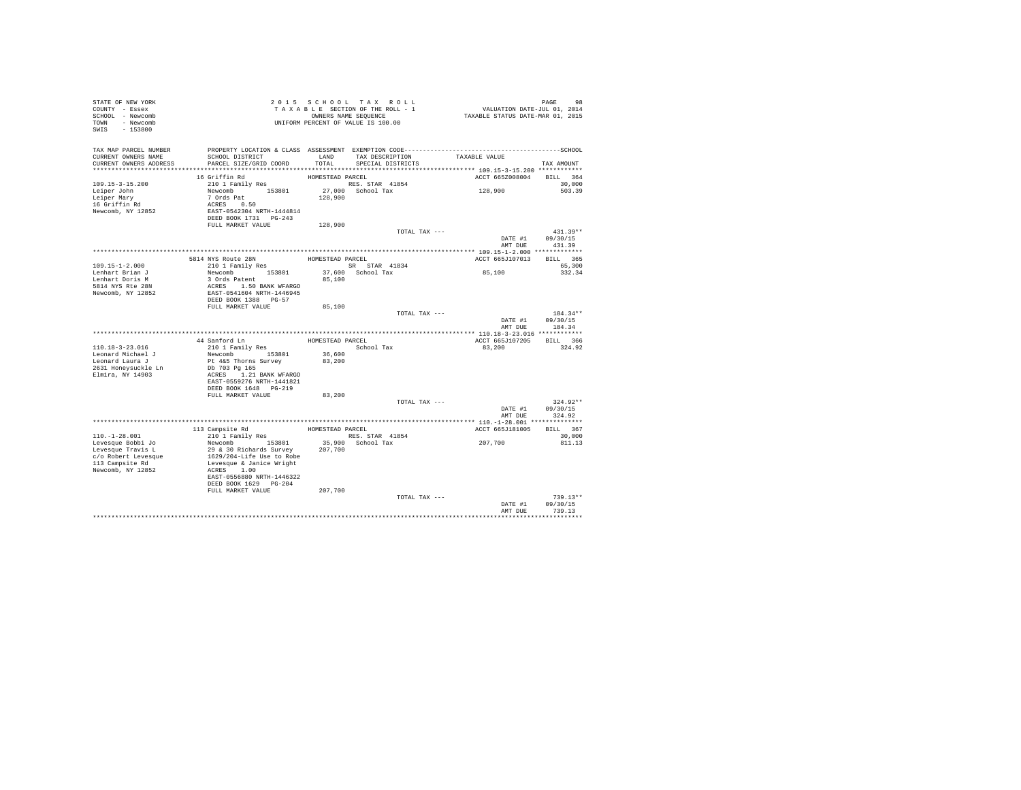| STATE OF NEW YORK<br>COUNTY - Essex<br>SCHOOL - Newcomb<br>TOWN - Newcomb<br>SWIS - 153800 |                                                    |                  | 2015 SCHOOL TAX ROLL<br>TAXABLE SECTION OF THE ROLL - 1<br>OWNERS NAME SEQUENCE<br>UNIFORM PERCENT OF VALUE IS 100.00 | 98 PAGE 98<br>VALUATION DATE-JUL 01, 2014<br>TAXABLE STATUS DATE-MAR 01, 2015                                 |                            |
|--------------------------------------------------------------------------------------------|----------------------------------------------------|------------------|-----------------------------------------------------------------------------------------------------------------------|---------------------------------------------------------------------------------------------------------------|----------------------------|
| TAX MAP PARCEL NUMBER<br>CURRENT OWNERS NAME<br>CURRENT OWNERS ADDRESS                     | SCHOOL DISTRICT<br>PARCEL SIZE/GRID COORD          | TOTAL            | LAND TAX DESCRIPTION<br>SPECIAL DISTRICTS                                                                             | PROPERTY LOCATION & CLASS ASSESSMENT EXEMPTION CODE-----------------------------------SCHOOL<br>TAXABLE VALUE | TAX AMOUNT                 |
|                                                                                            |                                                    |                  |                                                                                                                       |                                                                                                               |                            |
|                                                                                            | 16 Griffin Rd                                      | HOMESTEAD PARCEL |                                                                                                                       | ACCT 665Z008004                                                                                               | BILL 364                   |
| $109.15 - 3 - 15.200$                                                                      | 210 1 Family Res                                   |                  | RES. STAR 41854                                                                                                       |                                                                                                               | 30,000                     |
| Leiper John                                                                                | Newcomb 153801<br>7 Ords Pat                       |                  | 27,000 School Tax                                                                                                     | 128,900                                                                                                       | 503.39                     |
| Leiper Mary                                                                                |                                                    | 128,900          |                                                                                                                       |                                                                                                               |                            |
| 16 Griffin Rd                                                                              | ACRES 0.50                                         |                  |                                                                                                                       |                                                                                                               |                            |
| Newcomb, NY 12852                                                                          | EAST-0542304 NRTH-1444814<br>DEED BOOK 1731 PG-243 |                  |                                                                                                                       |                                                                                                               |                            |
|                                                                                            | FULL MARKET VALUE                                  | 128,900          |                                                                                                                       |                                                                                                               |                            |
|                                                                                            |                                                    |                  | TOTAL TAX ---                                                                                                         |                                                                                                               | $431.39**$                 |
|                                                                                            |                                                    |                  |                                                                                                                       | DATE #1                                                                                                       | 09/30/15                   |
|                                                                                            |                                                    |                  |                                                                                                                       | AMT DUE                                                                                                       | 431.39                     |
|                                                                                            |                                                    |                  |                                                                                                                       |                                                                                                               |                            |
|                                                                                            | 5814 NYS Route 28N                                 | HOMESTEAD PARCEL |                                                                                                                       | ACCT 665J107013                                                                                               | BILL 365                   |
| 109.15-1-2.000                                                                             | 210 1 Family Res                                   |                  | SR STAR 41834                                                                                                         |                                                                                                               | 65,300                     |
| Lenhart Brian J                                                                            | Newcomb 153801                                     |                  | 37,600 School Tax                                                                                                     | 85,100                                                                                                        | 332.34                     |
| Lenhart Doris M<br>5814 NYS Rte 28N                                                        | 3 Ords Patent<br>ACRES 1.50 BANK WFARGO            | 85,100           |                                                                                                                       |                                                                                                               |                            |
| Newcomb, NY 12852                                                                          | EAST-0541604 NRTH-1446945                          |                  |                                                                                                                       |                                                                                                               |                            |
|                                                                                            | DEED BOOK 1388 PG-57                               |                  |                                                                                                                       |                                                                                                               |                            |
|                                                                                            | FULL MARKET VALUE                                  | 85,100           |                                                                                                                       |                                                                                                               |                            |
|                                                                                            |                                                    |                  | TOTAL TAX ---                                                                                                         |                                                                                                               | 184.34**                   |
|                                                                                            |                                                    |                  |                                                                                                                       | DATE #1                                                                                                       | 09/30/15<br>AMT DUE 184.34 |
|                                                                                            |                                                    |                  |                                                                                                                       |                                                                                                               |                            |
|                                                                                            | 44 Sanford Ln                                      |                  | HOMESTEAD PARCEL                                                                                                      | ACCT 665J107205 BILL 366                                                                                      |                            |
| 110.18-3-23.016<br>Leonard Michael J                                                       | 210 1 Family Res<br>Newcomb 153801                 | 36,600           | School Tax                                                                                                            | 83,200                                                                                                        | 324.92                     |
| Leonard Laura J                                                                            | Pt 4&5 Thorns Survey                               | 83,200           |                                                                                                                       |                                                                                                               |                            |
| 2631 Honeysuckle Ln                                                                        | Db 703 Pg 165                                      |                  |                                                                                                                       |                                                                                                               |                            |
| Elmira, NY 14903                                                                           | ACRES 1.21 BANK WFARGO                             |                  |                                                                                                                       |                                                                                                               |                            |
|                                                                                            | EAST-0559276 NRTH-1441821                          |                  |                                                                                                                       |                                                                                                               |                            |
|                                                                                            | DEED BOOK 1648 PG-219                              |                  |                                                                                                                       |                                                                                                               |                            |
|                                                                                            | FULL MARKET VALUE                                  | 83,200           |                                                                                                                       |                                                                                                               |                            |
|                                                                                            |                                                    |                  | TOTAL TAX ---                                                                                                         | DATE #1                                                                                                       | $324.92**$<br>09/30/15     |
|                                                                                            |                                                    |                  |                                                                                                                       |                                                                                                               | AMT DUE 324.92             |
|                                                                                            |                                                    |                  |                                                                                                                       |                                                                                                               |                            |
|                                                                                            | 113 Campsite Rd                                    |                  | HOMESTEAD PARCEL                                                                                                      | ACCT 665J181005                                                                                               | BILL 367                   |
| $110.-1-28.001$                                                                            | 210 1 Family Res                                   |                  | RES. STAR 41854                                                                                                       |                                                                                                               | 30,000                     |
| Levesque Bobbi Jo                                                                          | Newcomb 153801                                     |                  | 35,900 School Tax                                                                                                     | 207,700                                                                                                       | 811.13                     |
| Levesque Travis L                                                                          | 29 & 30 Richards Survey                            | 207,700          |                                                                                                                       |                                                                                                               |                            |
| c/o Robert Levesque                                                                        | 1629/204-Life Use to Robe                          |                  |                                                                                                                       |                                                                                                               |                            |
| 113 Campsite Rd<br>Newcomb, NY 12852                                                       | Levesque & Janice Wright<br>ACRES 1.00             |                  |                                                                                                                       |                                                                                                               |                            |
|                                                                                            | EAST-0556880 NRTH-1446322                          |                  |                                                                                                                       |                                                                                                               |                            |
|                                                                                            | DEED BOOK 1629 PG-204                              |                  |                                                                                                                       |                                                                                                               |                            |
|                                                                                            | FULL MARKET VALUE                                  | 207,700          |                                                                                                                       |                                                                                                               |                            |
|                                                                                            |                                                    |                  | TOTAL TAX ---                                                                                                         |                                                                                                               | $739.13**$                 |
|                                                                                            |                                                    |                  |                                                                                                                       | DATE #1                                                                                                       | 09/30/15                   |
|                                                                                            |                                                    |                  |                                                                                                                       | AMT DUE                                                                                                       | 739.13                     |
|                                                                                            |                                                    |                  |                                                                                                                       |                                                                                                               | .                          |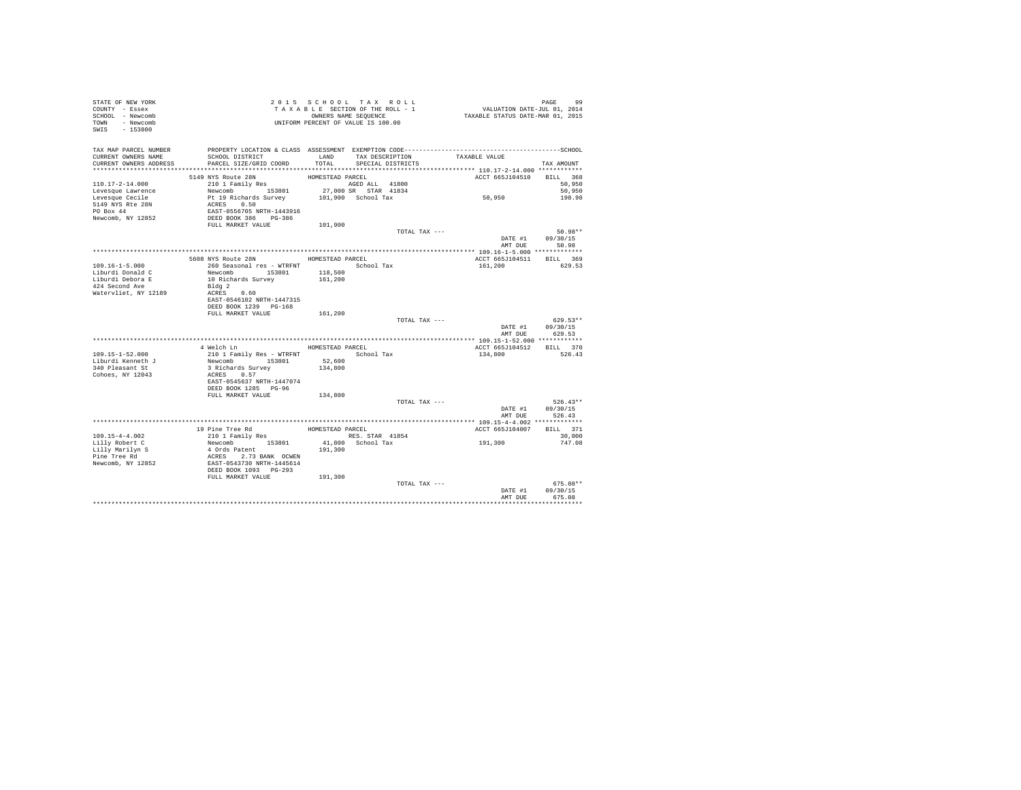| STATE OF NEW YORK<br>COUNTY - Essex<br>SCHOOL - Newcomb<br>TOWN - Newcomb<br>SWIS - 153800 |                                                                                                                 | 2015 SCHOOL TAX ROLL<br>UNIFORM PERCENT OF VALUE IS 100.00 |                   |                   |                                     | PAGE<br>99             |
|--------------------------------------------------------------------------------------------|-----------------------------------------------------------------------------------------------------------------|------------------------------------------------------------|-------------------|-------------------|-------------------------------------|------------------------|
| TAX MAP PARCEL NUMBER<br>CURRENT OWNERS NAME                                               | PROPERTY LOCATION & CLASS ASSESSMENT EXEMPTION CODE-----------------------------------SCHOOL<br>SCHOOL DISTRICT | LAND                                                       |                   | TAX DESCRIPTION   | TAXABLE VALUE                       |                        |
| CURRENT OWNERS ADDRESS                                                                     | PARCEL SIZE/GRID COORD                                                                                          | TOTAL                                                      |                   | SPECIAL DISTRICTS |                                     | TAX AMOUNT             |
|                                                                                            |                                                                                                                 |                                                            |                   |                   |                                     |                        |
|                                                                                            | 5149 NYS Route 28N<br>210 1 Family Res                                                                          | HOMESTEAD PARCEL<br>AGED ALL 41800                         |                   |                   | ACCT 665J104510                     | BILL 368               |
| $110.17 - 2 - 14.000$<br>Levesque Lawrence                                                 |                                                                                                                 | 27,000 SR STAR 41834                                       |                   |                   |                                     | 50,950<br>50,950       |
| Levesque Cecile                                                                            |                                                                                                                 |                                                            |                   |                   | 50,950                              | 198.98                 |
| 5149 NYS Rte 28N                                                                           | Newcomb 153801 27,000 SR STAR 41834<br>Pt 19 Richards Survey 101,900 School Tax<br>ACRES 0.50                   |                                                            |                   |                   |                                     |                        |
| PO Box 44                                                                                  | EAST-0556705 NRTH-1443916                                                                                       |                                                            |                   |                   |                                     |                        |
| Newcomb, NY 12852                                                                          | DEED BOOK 386 PG-386                                                                                            |                                                            |                   |                   |                                     |                        |
|                                                                                            | FULL MARKET VALUE                                                                                               | 101,900                                                    |                   |                   |                                     |                        |
|                                                                                            |                                                                                                                 |                                                            |                   | TOTAL TAX ---     |                                     | $50.98**$              |
|                                                                                            |                                                                                                                 |                                                            |                   |                   | DATE #1                             | 09/30/15               |
|                                                                                            |                                                                                                                 |                                                            |                   |                   | AMT DUE                             | 50.98                  |
|                                                                                            | 5608 NYS Route 28N HOMESTEAD PARCEL                                                                             |                                                            |                   |                   |                                     |                        |
| $109.16 - 1 - 5.000$                                                                       | 260 Seasonal res - WTRFNT                                                                                       |                                                            | School Tax        |                   | ACCT 665J104511 BILL 369<br>161,200 | 629.53                 |
| Liburdi Donald C                                                                           | Newcomb 153801                                                                                                  | 118,500                                                    |                   |                   |                                     |                        |
| Liburdi Debora E                                                                           | 10 Richards Survey                                                                                              | 161,200                                                    |                   |                   |                                     |                        |
| 424 Second Ave                                                                             | Bldg 2                                                                                                          |                                                            |                   |                   |                                     |                        |
| Watervliet, NY 12189                                                                       | ACRES 0.60                                                                                                      |                                                            |                   |                   |                                     |                        |
|                                                                                            | EAST-0546102 NRTH-1447315                                                                                       |                                                            |                   |                   |                                     |                        |
|                                                                                            | DEED BOOK 1239 PG-168                                                                                           |                                                            |                   |                   |                                     |                        |
|                                                                                            | FULL MARKET VALUE                                                                                               | 161,200                                                    |                   |                   |                                     |                        |
|                                                                                            |                                                                                                                 |                                                            |                   | TOTAL TAX ---     |                                     | $629.53**$             |
|                                                                                            |                                                                                                                 |                                                            |                   |                   | DATE #1                             | 09/30/15               |
|                                                                                            |                                                                                                                 |                                                            |                   |                   | AMT DUE                             | 629.53                 |
|                                                                                            | 4 Welch Ln MOMESTEAD PARCEL                                                                                     |                                                            |                   |                   | ACCT 665J104512 BILL 370            |                        |
| $109.15 - 1 - 52.000$                                                                      | 210 1 Family Res - WTRFNT                                                                                       |                                                            | School Tax        |                   | 134,800                             | 526.43                 |
| Liburdi Kenneth J                                                                          | Newcomb 153801                                                                                                  | 52,600                                                     |                   |                   |                                     |                        |
| 340 Pleasant St                                                                            | 3 Richards Survey                                                                                               | 134,800                                                    |                   |                   |                                     |                        |
| Cohoes, NY 12043                                                                           | ACRES 0.57                                                                                                      |                                                            |                   |                   |                                     |                        |
|                                                                                            | EAST-0545637 NRTH-1447074                                                                                       |                                                            |                   |                   |                                     |                        |
|                                                                                            | DEED BOOK 1285 PG-96                                                                                            |                                                            |                   |                   |                                     |                        |
|                                                                                            | FULL MARKET VALUE                                                                                               | 134,800                                                    |                   |                   |                                     |                        |
|                                                                                            |                                                                                                                 |                                                            |                   | TOTAL TAX ---     | DATE #1                             | $526.43**$<br>09/30/15 |
|                                                                                            |                                                                                                                 |                                                            |                   |                   | AMT DUE                             | 526.43                 |
|                                                                                            |                                                                                                                 |                                                            |                   |                   |                                     |                        |
|                                                                                            | 19 Pine Tree Rd                                                                                                 | HOMESTEAD PARCEL                                           |                   |                   | ACCT 665J104007                     | BILL 371               |
| $109.15 - 4 - 4.002$                                                                       | 210 1 Family Res                                                                                                | RES. STAR 41854                                            |                   |                   |                                     | 30,000                 |
| Lilly Robert C                                                                             | Newcomb 153801                                                                                                  |                                                            | 41.800 School Tax |                   | 191,300                             | 747.08                 |
| Lilly Marilyn S                                                                            | 4 Ords Patent                                                                                                   | 191,300                                                    |                   |                   |                                     |                        |
| Pine Tree Rd                                                                               | ACRES 2.73 BANK OCWEN                                                                                           |                                                            |                   |                   |                                     |                        |
| Newcomb, NY 12852                                                                          | EAST-0543730 NRTH-1445614                                                                                       |                                                            |                   |                   |                                     |                        |
|                                                                                            | DEED BOOK 1093 PG-293                                                                                           |                                                            |                   |                   |                                     |                        |
|                                                                                            | FULL MARKET VALUE                                                                                               | 191,300                                                    |                   |                   |                                     |                        |
|                                                                                            |                                                                                                                 |                                                            |                   | TOTAL TAX ---     |                                     | 675.08**<br>09/30/15   |
|                                                                                            |                                                                                                                 |                                                            |                   |                   | DATE #1<br>AMT DUE                  | 675.08                 |
|                                                                                            |                                                                                                                 |                                                            |                   |                   |                                     |                        |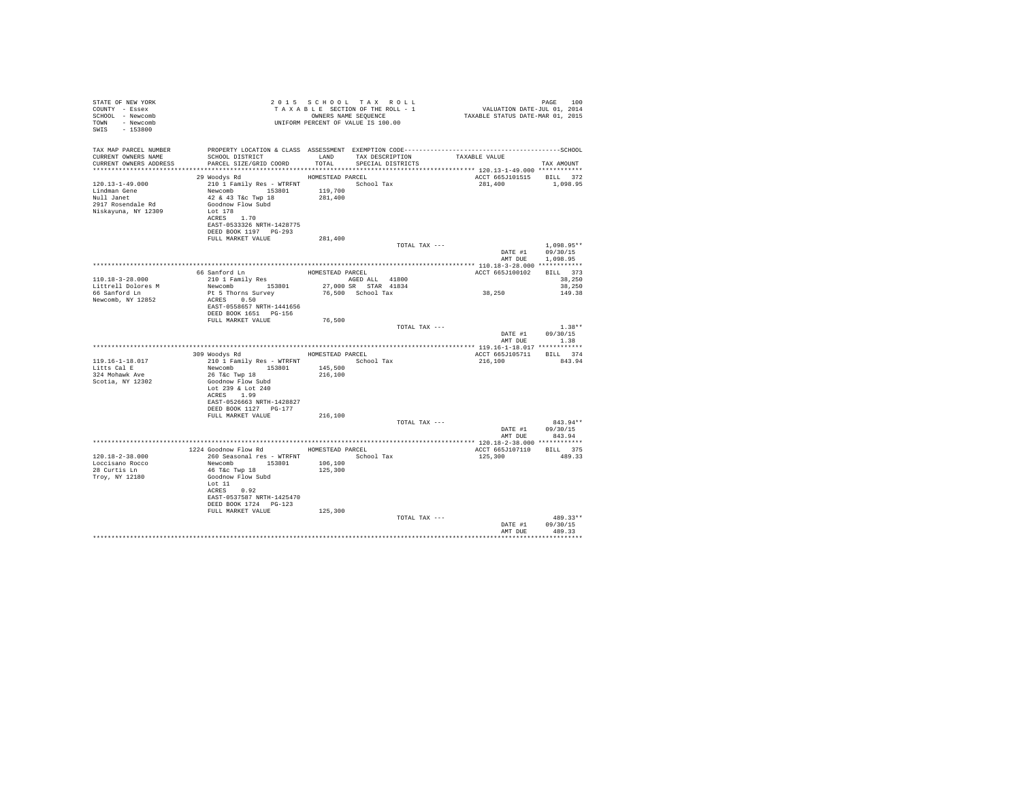| STATE OF NEW YORK<br>COUNTY - Essex<br>SCHOOL - Newcomb<br>TOWN - Newcomb<br>SWIS - 153800 |                                                                                                                                                                                                | 2015 SCHOOL TAX ROLL<br>UNIFORM PERCENT OF VALUE IS 100.00 |                         |                                     | PAGE 100         |
|--------------------------------------------------------------------------------------------|------------------------------------------------------------------------------------------------------------------------------------------------------------------------------------------------|------------------------------------------------------------|-------------------------|-------------------------------------|------------------|
| TAX MAP PARCEL NUMBER                                                                      | PROPERTY LOCATION & CLASS ASSESSMENT EXEMPTION CODE-----------------------------------SCHOOL                                                                                                   |                                                            |                         |                                     |                  |
| CURRENT OWNERS NAME                                                                        |                                                                                                                                                                                                |                                                            |                         |                                     |                  |
| CURRENT OWNERS ADDRESS                                                                     | PARCEL SIZE/GRID COORD                                                                                                                                                                         |                                                            | TOTAL SPECIAL DISTRICTS |                                     | TAX AMOUNT       |
|                                                                                            |                                                                                                                                                                                                |                                                            |                         |                                     |                  |
|                                                                                            | 29 Woodys Rd MOMESTEAD PARCEL                                                                                                                                                                  |                                                            |                         | ACCT 665J101515 BILL 372            |                  |
| $120.13 - 1 - 49.000$                                                                      | $210 \t1 \tFamily Res - WTRFNT \t1.53801 \t119,700 \t10001 \t111 \t119.700 \t119.700$ Newcomb<br>42 & 43 T&C Twp 18 $181,700$                                                                  |                                                            |                         | 281,400 1,098.95                    |                  |
| Lindman Gene<br>Null Janet                                                                 |                                                                                                                                                                                                |                                                            |                         |                                     |                  |
| 2917 Rosendale Rd                                                                          | Goodnow Flow Subd                                                                                                                                                                              |                                                            |                         |                                     |                  |
| Niskayuna, NY 12309                                                                        | Lot 178                                                                                                                                                                                        |                                                            |                         |                                     |                  |
|                                                                                            | ACRES 1.70                                                                                                                                                                                     |                                                            |                         |                                     |                  |
|                                                                                            | EAST-0533326 NRTH-1428775                                                                                                                                                                      |                                                            |                         |                                     |                  |
|                                                                                            | DEED BOOK 1197 PG-293                                                                                                                                                                          |                                                            |                         |                                     |                  |
|                                                                                            | FULL MARKET VALUE                                                                                                                                                                              | 281,400                                                    | TOTAL TAX ---           |                                     | $1.098.95**$     |
|                                                                                            |                                                                                                                                                                                                |                                                            |                         |                                     | DATE #1 09/30/15 |
|                                                                                            |                                                                                                                                                                                                |                                                            |                         |                                     | AMT DUE 1.098.95 |
|                                                                                            |                                                                                                                                                                                                |                                                            |                         |                                     |                  |
|                                                                                            | 66 Sanford Ln 2001 1 HOMESTEAD PARCEL 2001 1 ACT 665<br>30010 1 27,000 SR STAR 41800 27,000 SR STAR 4184<br>Newcomb 153801 27,000 SR STAR 41834<br>Pt 5 Thorns Survey 76,500 School Tax 38,250 |                                                            |                         | ACCT 665J100102 BILL 373            |                  |
| 110.18-3-28.000                                                                            |                                                                                                                                                                                                |                                                            |                         |                                     | 38,250           |
| Littrell Dolores M<br>66 Sanford Ln                                                        |                                                                                                                                                                                                |                                                            |                         |                                     | 38,250           |
| Newcomb, NY 12852                                                                          | ACRES 0.50                                                                                                                                                                                     |                                                            |                         |                                     | 149.38           |
|                                                                                            | EAST-0558657 NRTH-1441656                                                                                                                                                                      |                                                            |                         |                                     |                  |
|                                                                                            | DEED BOOK 1651 PG-156                                                                                                                                                                          |                                                            |                         |                                     |                  |
|                                                                                            | FULL MARKET VALUE                                                                                                                                                                              | 76,500                                                     |                         |                                     |                  |
|                                                                                            |                                                                                                                                                                                                |                                                            | TOTAL TAX ---           |                                     | $1.38**$         |
|                                                                                            |                                                                                                                                                                                                |                                                            |                         |                                     | DATE #1 09/30/15 |
|                                                                                            |                                                                                                                                                                                                |                                                            |                         |                                     | AMT DUE 1.38     |
|                                                                                            | 309 Woodys Rd MOMESTEAD PARCEL                                                                                                                                                                 |                                                            |                         | ACCT 665J105711 BILL 374            |                  |
| 119.16-1-18.017                                                                            | 210 1 Family Res - WTRFNT School Tax                                                                                                                                                           |                                                            |                         | 216,100 843.94                      |                  |
| Litts Cal E                                                                                |                                                                                                                                                                                                |                                                            |                         |                                     |                  |
| 324 Mohawk Ave                                                                             | Newcomb 153801 145,500<br>26 T&c Twp 18 216,100                                                                                                                                                |                                                            |                         |                                     |                  |
| Scotia, NY 12302                                                                           | Goodnow Flow Subd                                                                                                                                                                              |                                                            |                         |                                     |                  |
|                                                                                            | Lot 239 & Lot 240                                                                                                                                                                              |                                                            |                         |                                     |                  |
|                                                                                            | ACRES 1.99                                                                                                                                                                                     |                                                            |                         |                                     |                  |
|                                                                                            | EAST-0526663 NRTH-1428827<br>DEED BOOK 1127 PG-177                                                                                                                                             |                                                            |                         |                                     |                  |
|                                                                                            | FULL MARKET VALUE                                                                                                                                                                              | 216,100                                                    |                         |                                     |                  |
|                                                                                            |                                                                                                                                                                                                |                                                            | TOTAL TAX ---           |                                     | 843.94**         |
|                                                                                            |                                                                                                                                                                                                |                                                            |                         |                                     | DATE #1 09/30/15 |
|                                                                                            |                                                                                                                                                                                                |                                                            |                         |                                     | AMT DUE 843.94   |
|                                                                                            |                                                                                                                                                                                                |                                                            |                         |                                     |                  |
| $120.18 - 2 - 38.000$                                                                      | 1224 Goodnow Flow Rd MOMESTEAD PARCEL<br>260 Seasonal res - WTRFNT Month School Tax                                                                                                            |                                                            |                         | ACCT 665J107110 BILL 375<br>125,300 | 489.33           |
| Loccisano Rocco                                                                            | Newcomb 153801 106,100                                                                                                                                                                         |                                                            |                         |                                     |                  |
| 28 Curtis Ln                                                                               | 46 T&C Twp 18                                                                                                                                                                                  | 125,300                                                    |                         |                                     |                  |
| Troy, NY 12180                                                                             | Goodnow Flow Subd                                                                                                                                                                              |                                                            |                         |                                     |                  |
|                                                                                            | Lot 11                                                                                                                                                                                         |                                                            |                         |                                     |                  |
|                                                                                            | ACRES 0.92                                                                                                                                                                                     |                                                            |                         |                                     |                  |
|                                                                                            | EAST-0537587 NRTH-1425470<br>DEED BOOK 1724   PG-123                                                                                                                                           |                                                            |                         |                                     |                  |
|                                                                                            | FULL MARKET VALUE 125,300                                                                                                                                                                      |                                                            |                         |                                     |                  |
|                                                                                            |                                                                                                                                                                                                |                                                            | TOTAL TAX ---           |                                     | $489.33**$       |
|                                                                                            |                                                                                                                                                                                                |                                                            |                         |                                     | DATE #1 09/30/15 |
|                                                                                            |                                                                                                                                                                                                |                                                            |                         | AMT DUE                             | 489.33           |
|                                                                                            |                                                                                                                                                                                                |                                                            |                         |                                     |                  |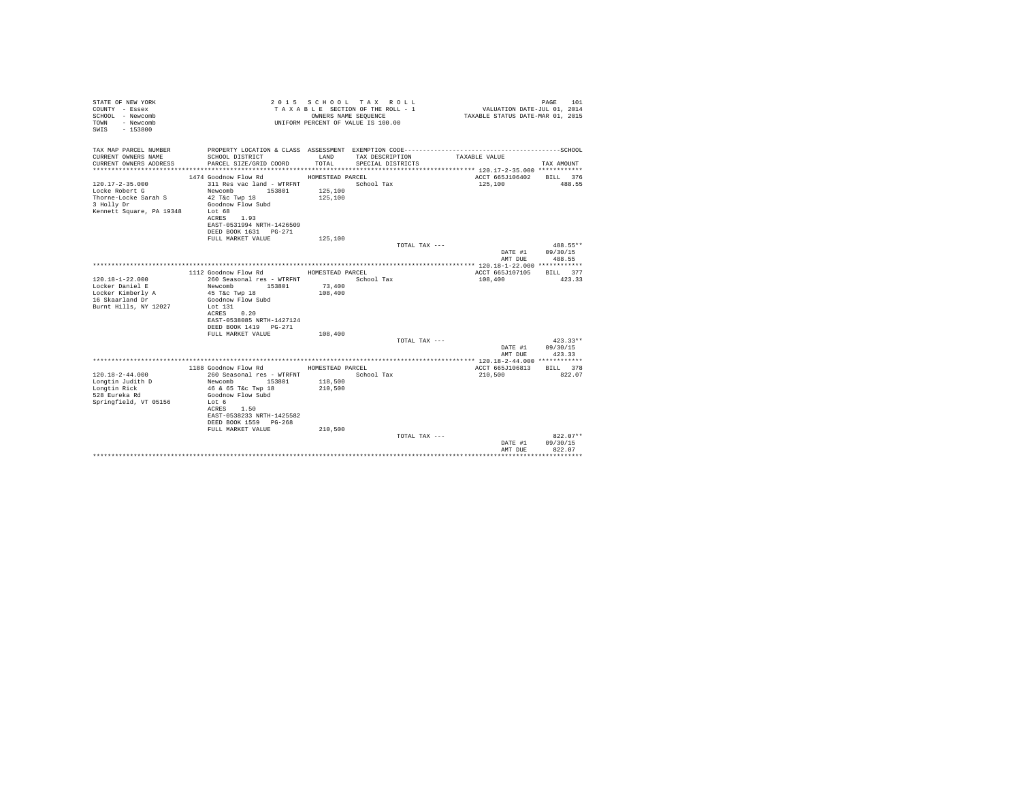| STATE OF NEW YORK<br>COUNTY - Essex<br>SCHOOL - Newcomb<br>- Newcomb<br>TOWN<br>$-153800$<br>SWTS |                                                    | OWNERS NAME SEQUENCE | 2015 SCHOOL TAX ROLL<br>TAXABLE SECTION OF THE ROLL - 1<br>UNIFORM PERCENT OF VALUE IS 100.00 | VALUATION DATE-JUL 01, 2014<br>TAXABLE STATUS DATE-MAR 01, 2015 | 101<br>PAGE            |
|---------------------------------------------------------------------------------------------------|----------------------------------------------------|----------------------|-----------------------------------------------------------------------------------------------|-----------------------------------------------------------------|------------------------|
| TAX MAP PARCEL NUMBER                                                                             |                                                    |                      |                                                                                               |                                                                 |                        |
| CURRENT OWNERS NAME<br>CURRENT OWNERS ADDRESS                                                     | SCHOOL DISTRICT<br>PARCEL SIZE/GRID COORD          | LAND<br>TOTAL.       | TAX DESCRIPTION<br>SPECIAL DISTRICTS                                                          | TAXABLE VALUE                                                   | TAX AMOUNT             |
|                                                                                                   |                                                    |                      |                                                                                               |                                                                 |                        |
|                                                                                                   | 1474 Goodnow Flow Rd                               | HOMESTEAD PARCEL     |                                                                                               | ACCT 665J106402                                                 | BILL 376               |
| $120.17 - 2 - 35.000$                                                                             | 311 Res vac land - WTRFNT                          |                      | School Tax                                                                                    | 125,100                                                         | 488.55                 |
| Locke Robert G                                                                                    | Newcomb 153801                                     | 125,100              |                                                                                               |                                                                 |                        |
| Thorne-Locke Sarah S                                                                              | 42 T&c Twp 18<br>Goodnow Flow Subd                 | 125,100              |                                                                                               |                                                                 |                        |
| 3 Holly Dr<br>Kennett Square, PA 19348                                                            | Lot 68                                             |                      |                                                                                               |                                                                 |                        |
|                                                                                                   | ACRES 1.93                                         |                      |                                                                                               |                                                                 |                        |
|                                                                                                   | EAST-0531994 NRTH-1426509                          |                      |                                                                                               |                                                                 |                        |
|                                                                                                   | DEED BOOK 1631 PG-271                              |                      |                                                                                               |                                                                 |                        |
|                                                                                                   | FULL MARKET VALUE                                  | 125,100              |                                                                                               |                                                                 |                        |
|                                                                                                   |                                                    |                      | TOTAL TAX ---                                                                                 |                                                                 | 488.55**               |
|                                                                                                   |                                                    |                      |                                                                                               | DATE #1                                                         | 09/30/15               |
|                                                                                                   |                                                    |                      |                                                                                               | AMT DUE                                                         | 488.55                 |
|                                                                                                   |                                                    |                      |                                                                                               |                                                                 | BTLL 377               |
| $120.18 - 1 - 22.000$                                                                             | 1112 Goodnow Flow Rd<br>260 Seasonal res - WTRFNT  | HOMESTEAD PARCEL     | School Tax                                                                                    | ACCT 665J107105<br>108,400                                      | 423.33                 |
| Locker Daniel E                                                                                   | Newcomb 153801                                     | 73,400               |                                                                                               |                                                                 |                        |
| Locker Kimberly A                                                                                 | 45 T&c Twp 18                                      | 108,400              |                                                                                               |                                                                 |                        |
| 16 Skaarland Dr                                                                                   | Goodnow Flow Subd                                  |                      |                                                                                               |                                                                 |                        |
| Burnt Hills, NY 12027                                                                             | Lot 131                                            |                      |                                                                                               |                                                                 |                        |
|                                                                                                   | 0.20<br>ACRES                                      |                      |                                                                                               |                                                                 |                        |
|                                                                                                   | EAST-0538085 NRTH-1427124                          |                      |                                                                                               |                                                                 |                        |
|                                                                                                   | DEED BOOK 1419 PG-271                              |                      |                                                                                               |                                                                 |                        |
|                                                                                                   | FULL MARKET VALUE                                  | 108,400              |                                                                                               |                                                                 |                        |
|                                                                                                   |                                                    |                      | TOTAL TAX ---                                                                                 |                                                                 | $423.33**$<br>09/30/15 |
|                                                                                                   |                                                    |                      |                                                                                               | DATE #1<br>AMT DUE                                              | 423.33                 |
|                                                                                                   |                                                    |                      |                                                                                               |                                                                 |                        |
|                                                                                                   | 1188 Goodnow Flow Rd                               | HOMESTEAD PARCEL     |                                                                                               | ACCT 665J106813                                                 | BILL 378               |
| $120.18 - 2 - 44.000$                                                                             | 260 Seasonal res - WTRFNT                          |                      | School Tax                                                                                    | 210,500                                                         | 822.07                 |
| Longtin Judith D                                                                                  | Newcomb<br>153801                                  | 118,500              |                                                                                               |                                                                 |                        |
| Longtin Rick                                                                                      | 46 & 65 T&c Twp 18                                 | 210,500              |                                                                                               |                                                                 |                        |
| 528 Eureka Rd                                                                                     | Goodnow Flow Subd                                  |                      |                                                                                               |                                                                 |                        |
| Springfield, VT 05156                                                                             | Lot 6                                              |                      |                                                                                               |                                                                 |                        |
|                                                                                                   | ACRES 1.50                                         |                      |                                                                                               |                                                                 |                        |
|                                                                                                   | EAST-0538233 NRTH-1425582<br>DEED BOOK 1559 PG-268 |                      |                                                                                               |                                                                 |                        |
|                                                                                                   | FULL MARKET VALUE                                  | 210,500              |                                                                                               |                                                                 |                        |
|                                                                                                   |                                                    |                      | TOTAL TAX ---                                                                                 |                                                                 | $822.07**$             |
|                                                                                                   |                                                    |                      |                                                                                               | DATE #1                                                         | 09/30/15               |
|                                                                                                   |                                                    |                      |                                                                                               | AMT DUE                                                         | 822.07                 |
|                                                                                                   |                                                    |                      |                                                                                               |                                                                 | .                      |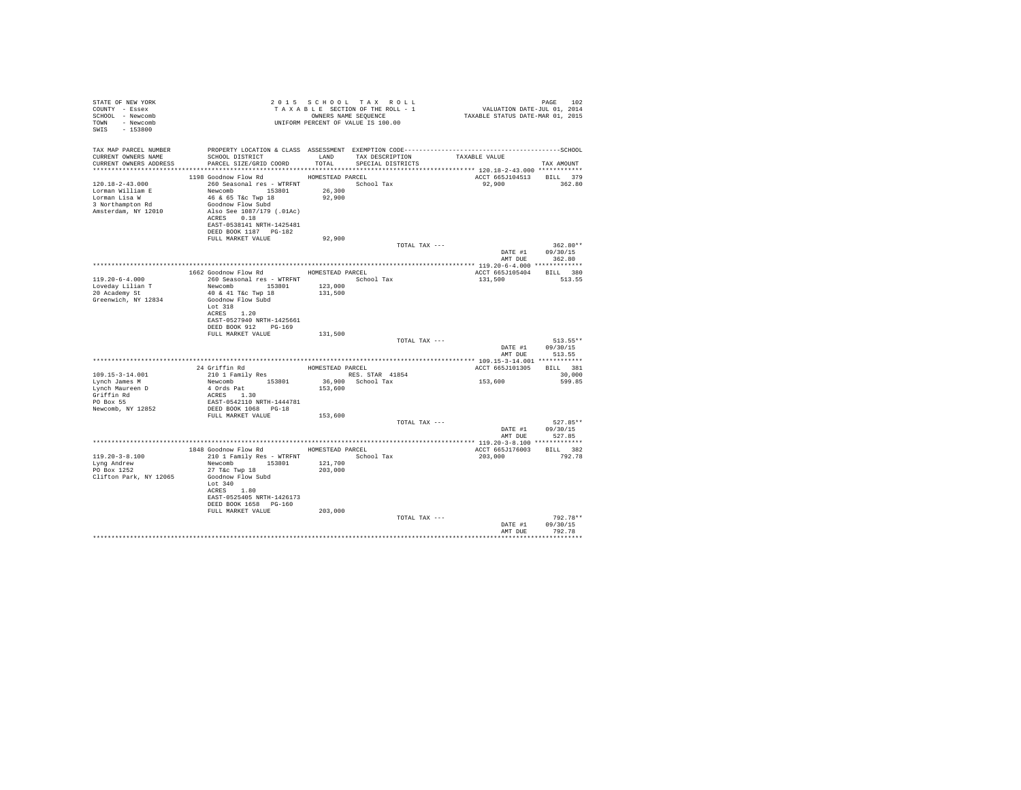| STATE OF NEW YORK          |                                                                                                                               |                  | 2015 SCHOOL TAX ROLL | PAGE 102<br>VALUATION DATE-JUL 01, 2014<br>TAXABLE STATUS DATE-MAR 01, 2015 |                  |
|----------------------------|-------------------------------------------------------------------------------------------------------------------------------|------------------|----------------------|-----------------------------------------------------------------------------|------------------|
| COUNTY - Essex             |                                                                                                                               |                  |                      |                                                                             |                  |
| SCHOOL - Newcomb           |                                                                                                                               |                  |                      |                                                                             |                  |
| TOWN - Newcomb             | 2015 SECTION OF THE ROLL - 1<br>TAXABLE SECTION OF THE ROLL - 1<br>OWNERS NAME SEQUENCE<br>UNIFORM PERCENT OF VALUE IS 100.00 |                  |                      |                                                                             |                  |
| SWIS - 153800              |                                                                                                                               |                  |                      |                                                                             |                  |
|                            |                                                                                                                               |                  |                      |                                                                             |                  |
|                            |                                                                                                                               |                  |                      |                                                                             |                  |
|                            | TAX MAP PARCEL NUMBER PROPERTY LOCATION & CLASS ASSESSMENT EXEMPTION CODE----------------------------------SCHOOL             |                  |                      |                                                                             |                  |
| CURRENT OWNERS NAME        | SCHOOL DISTRICT<br>LAND TAX DESCRIPTION                                                                                       |                  |                      | TAXABLE VALUE                                                               |                  |
| CURRENT OWNERS ADDRESS     | PARCEL SIZE/GRID COORD                                                                                                        | TOTAL            | SPECIAL DISTRICTS    |                                                                             | TAX AMOUNT       |
|                            |                                                                                                                               |                  |                      |                                                                             |                  |
|                            | 1198 Goodnow Flow Rd                                                                                                          | HOMESTEAD PARCEL |                      | ACCT 665J104513 BILL 379                                                    |                  |
| 120.18-2-43.000            | 260 Seasonal res - WTRFNT                                                                                                     |                  | School Tax           | 92,900 362.80                                                               |                  |
| Lorman William E           | Newcomb 153801 26,300                                                                                                         |                  |                      |                                                                             |                  |
| Lorman Lisa W              | 46 & 65 T&c Twp 18<br>Goodnow Flow Subd                                                                                       | 92,900           |                      |                                                                             |                  |
| 3 Northampton Rd           |                                                                                                                               |                  |                      |                                                                             |                  |
| Amsterdam, NY 12010        | Also See 1087/179 (.01Ac)                                                                                                     |                  |                      |                                                                             |                  |
|                            | ACRES 0.18                                                                                                                    |                  |                      |                                                                             |                  |
|                            | EAST-0538141 NRTH-1425481                                                                                                     |                  |                      |                                                                             |                  |
|                            | DEED BOOK 1187 PG-182                                                                                                         |                  |                      |                                                                             |                  |
|                            | FULL MARKET VALUE                                                                                                             | 92,900           |                      |                                                                             |                  |
|                            |                                                                                                                               |                  | TOTAL TAX ---        |                                                                             | $362.80**$       |
|                            |                                                                                                                               |                  |                      |                                                                             | DATE #1 09/30/15 |
|                            |                                                                                                                               |                  |                      | AMT DUE                                                                     | 362.80           |
|                            | 1662 Goodnow Flow Rd MOMESTEAD PARCEL                                                                                         |                  |                      | ACCT 665J105404 BILL 380                                                    |                  |
| $119.20 - 6 - 4.000$       | 260 Seasonal res - WTRFNT School Tax                                                                                          |                  |                      | 131,500                                                                     | 513.55           |
| Loveday Lilian T           | Newcomb 153801 123,000                                                                                                        |                  |                      |                                                                             |                  |
| 20 Academy St              | 40 & 41 T&c Twp 18                                                                                                            | 131,500          |                      |                                                                             |                  |
| Greenwich, NY 12834        | Goodnow Flow Subd                                                                                                             |                  |                      |                                                                             |                  |
|                            | Lot 318                                                                                                                       |                  |                      |                                                                             |                  |
|                            | ACRES 1.20                                                                                                                    |                  |                      |                                                                             |                  |
|                            | EAST-0527940 NRTH-1425661                                                                                                     |                  |                      |                                                                             |                  |
|                            | DEED BOOK 912 PG-169                                                                                                          |                  |                      |                                                                             |                  |
|                            | FULL MARKET VALUE                                                                                                             | 131,500          |                      |                                                                             |                  |
|                            |                                                                                                                               |                  | TOTAL TAX ---        |                                                                             | 513.55**         |
|                            |                                                                                                                               |                  |                      |                                                                             | DATE #1 09/30/15 |
|                            |                                                                                                                               |                  |                      |                                                                             | AMT DUE 513.55   |
|                            |                                                                                                                               |                  |                      |                                                                             |                  |
|                            | 24 Griffin Rd<br>210 1 Family Res HOMESTEAD PARCEL<br>RES. S                                                                  |                  |                      | ACCT 665J101305 BILL 381                                                    |                  |
| 109.15-3-14.001            | 210 1 Family Res<br>Newcomb 153801 36,900 School Tax                                                                          |                  |                      |                                                                             | 30,000           |
| Lynch James M              |                                                                                                                               |                  |                      | 153,600                                                                     | 599.85           |
| Lynch Maureen D            |                                                                                                                               | 153,600          |                      |                                                                             |                  |
| Griffin Rd                 |                                                                                                                               |                  |                      |                                                                             |                  |
| PO Box 55                  | 4 Ords Pat<br>ACRES 1.30<br>EAST-0542110 NRTH-1444781                                                                         |                  |                      |                                                                             |                  |
| Newcomb, NY 12852          | DEED BOOK 1068 PG-18                                                                                                          |                  |                      |                                                                             |                  |
|                            | FULL MARKET VALUE 153,600                                                                                                     |                  |                      |                                                                             |                  |
|                            |                                                                                                                               |                  | TOTAL TAX ---        |                                                                             | $527.85**$       |
|                            |                                                                                                                               |                  |                      |                                                                             | DATE #1 09/30/15 |
|                            |                                                                                                                               |                  |                      | AMT DUE                                                                     | 527.85           |
|                            |                                                                                                                               |                  |                      |                                                                             |                  |
|                            | 1848 Goodnow Flow Rd MOMESTEAD PARCEL                                                                                         |                  |                      | ACCT 665J176003 BILL 382                                                    |                  |
| $119.20 - 3 - 8.100$       | 210 1 Family Res - WTRFNT School Tax                                                                                          |                  |                      | 203,000                                                                     | 792.78           |
|                            | Newcomb 153801 121,700                                                                                                        |                  |                      |                                                                             |                  |
| Lyng Andrew<br>PO Box 1252 | $27$ T&c Twp $18$                                                                                                             | 203,000          |                      |                                                                             |                  |
| Clifton Park, NY 12065     | Goodnow Flow Subd                                                                                                             |                  |                      |                                                                             |                  |
|                            | Lot 340                                                                                                                       |                  |                      |                                                                             |                  |
|                            | ACRES 1.80                                                                                                                    |                  |                      |                                                                             |                  |
|                            | EAST-0525405 NRTH-1426173                                                                                                     |                  |                      |                                                                             |                  |
|                            | DEED BOOK 1658 PG-160                                                                                                         |                  |                      |                                                                             |                  |
|                            | FULL MARKET VALUE                                                                                                             | 203,000          |                      |                                                                             |                  |
|                            |                                                                                                                               |                  | TOTAL TAX ---        |                                                                             | 792.78**         |
|                            |                                                                                                                               |                  |                      | DATE #1                                                                     | 09/30/15         |
|                            |                                                                                                                               |                  |                      |                                                                             | AMT DUE 792.78   |
|                            |                                                                                                                               |                  |                      |                                                                             |                  |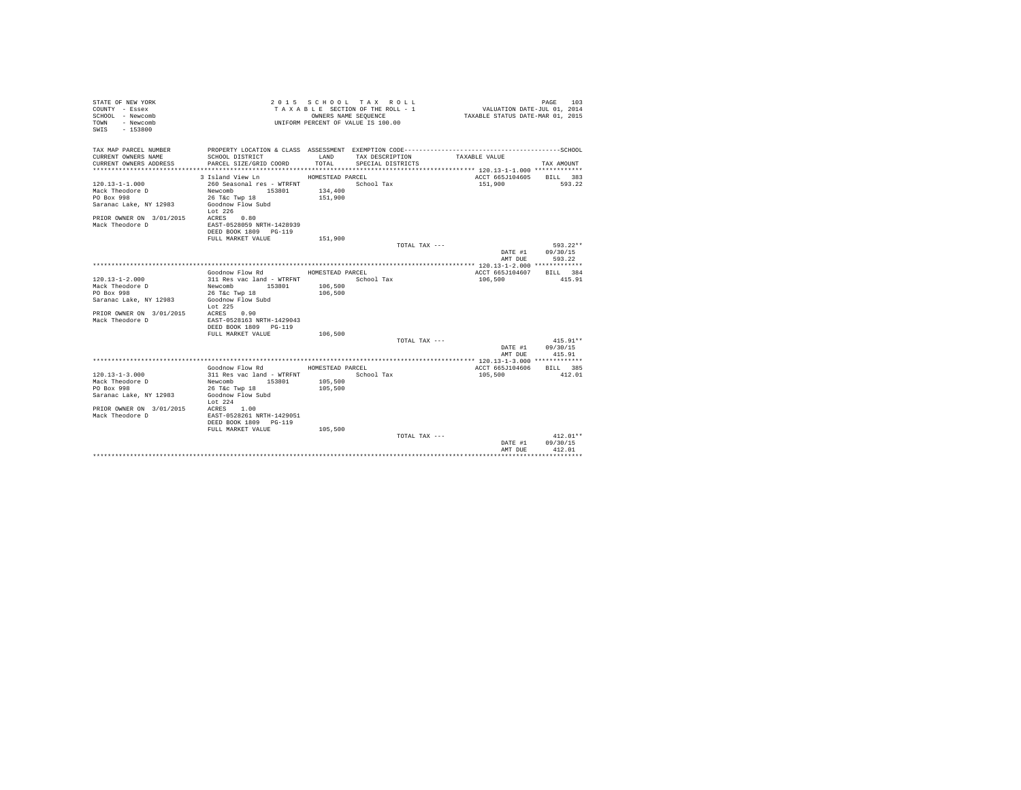| STATE OF NEW YORK<br>COUNTY - Essex<br>SCHOOL - Newcomb<br>- Newcomb<br>TOWN<br>$-153800$<br>SWTS |                                                    | OWNERS NAME SEQUENCE | 2015 SCHOOL TAX ROLL<br>TAXABLE SECTION OF THE ROLL - 1<br>UNIFORM PERCENT OF VALUE IS 100.00 | VALUATION DATE-JUL 01, 2014<br>TAXABLE STATUS DATE-MAR 01, 2015 | PAGE<br>103 |
|---------------------------------------------------------------------------------------------------|----------------------------------------------------|----------------------|-----------------------------------------------------------------------------------------------|-----------------------------------------------------------------|-------------|
| TAX MAP PARCEL NUMBER                                                                             |                                                    |                      |                                                                                               |                                                                 |             |
| CURRENT OWNERS NAME<br>CURRENT OWNERS ADDRESS                                                     | SCHOOL DISTRICT<br>PARCEL SIZE/GRID COORD          | LAND<br>TOTAL.       | TAX DESCRIPTION<br>SPECIAL DISTRICTS                                                          | TAXABLE VALUE                                                   | TAX AMOUNT  |
|                                                                                                   | 3 Island View Ln                                   | HOMESTEAD PARCEL     |                                                                                               | ACCT 665J104605                                                 | BILL 383    |
| $120.13 - 1 - 1.000$                                                                              | 260 Seasonal res - WTRFNT                          |                      | School Tax                                                                                    | 151,900                                                         | 593.22      |
| Mack Theodore D                                                                                   | Newcomb 153801                                     | 134,400              |                                                                                               |                                                                 |             |
| PO Box 998                                                                                        | 26 T&c Twp 18                                      | 151,900              |                                                                                               |                                                                 |             |
| Saranac Lake, NY 12983                                                                            | Goodnow Flow Subd<br>Lot 226                       |                      |                                                                                               |                                                                 |             |
| PRIOR OWNER ON 3/01/2015 ACRES 0.80                                                               |                                                    |                      |                                                                                               |                                                                 |             |
| Mack Theodore D                                                                                   | EAST-0528059 NRTH-1428939<br>DEED BOOK 1809 PG-119 |                      |                                                                                               |                                                                 |             |
|                                                                                                   | FULL MARKET VALUE                                  | 151,900              |                                                                                               |                                                                 |             |
|                                                                                                   |                                                    |                      | TOTAL TAX ---                                                                                 |                                                                 | $593.22**$  |
|                                                                                                   |                                                    |                      |                                                                                               | DATE #1                                                         | 09/30/15    |
|                                                                                                   |                                                    |                      |                                                                                               | AMT DUE                                                         | 593.22      |
|                                                                                                   |                                                    |                      |                                                                                               |                                                                 |             |
|                                                                                                   | Goodnow Flow Rd                                    | HOMESTEAD PARCEL     |                                                                                               | ACCT 665J104607                                                 | BILL 384    |
| $120.13 - 1 - 2.000$                                                                              | 311 Res vac land - WTRFNT                          |                      | School Tax                                                                                    | 106,500                                                         | 415.91      |
| Mack Theodore D                                                                                   | Newcomb 153801                                     | 106,500              |                                                                                               |                                                                 |             |
| PO Box 998                                                                                        | 26 T&c Twp 18                                      | 106,500              |                                                                                               |                                                                 |             |
| Saranac Lake, NY 12983                                                                            | Goodnow Flow Subd<br>Lot 225                       |                      |                                                                                               |                                                                 |             |
| PRIOR OWNER ON 3/01/2015                                                                          | ACRES 0.90                                         |                      |                                                                                               |                                                                 |             |
| Mack Theodore D                                                                                   | EAST-0528163 NRTH-1429043                          |                      |                                                                                               |                                                                 |             |
|                                                                                                   | DEED BOOK 1809 PG-119<br>FULL MARKET VALUE         |                      |                                                                                               |                                                                 |             |
|                                                                                                   |                                                    | 106,500              | TOTAL TAX ---                                                                                 |                                                                 | $415.91**$  |
|                                                                                                   |                                                    |                      |                                                                                               |                                                                 | 09/30/15    |
|                                                                                                   |                                                    |                      |                                                                                               | DATE #1<br>AMT DUE                                              | 415.91      |
|                                                                                                   |                                                    |                      |                                                                                               |                                                                 |             |
|                                                                                                   | Goodnow Flow Rd                                    | HOMESTEAD PARCEL     |                                                                                               | ACCT 665J104606                                                 | BILL 385    |
| $120.13 - 1 - 3.000$                                                                              | 311 Res vac land - WTRFNT                          |                      | School Tax                                                                                    | 105,500                                                         | 412.01      |
| Mack Theodore D                                                                                   | Newcomb 153801                                     | 105,500              |                                                                                               |                                                                 |             |
| PO Box 998                                                                                        | 26 T&c Twp 18                                      | 105,500              |                                                                                               |                                                                 |             |
| Saranac Lake, NY 12983                                                                            | Goodnow Flow Subd                                  |                      |                                                                                               |                                                                 |             |
|                                                                                                   | Lot $224$                                          |                      |                                                                                               |                                                                 |             |
| PRIOR OWNER ON 3/01/2015                                                                          | ACRES 1.00                                         |                      |                                                                                               |                                                                 |             |
| Mack Theodore D                                                                                   | EAST-0528261 NRTH-1429051<br>DEED BOOK 1809 PG-119 |                      |                                                                                               |                                                                 |             |
|                                                                                                   | FULL MARKET VALUE                                  | 105,500              |                                                                                               |                                                                 |             |
|                                                                                                   |                                                    |                      | TOTAL TAX ---                                                                                 |                                                                 | $412.01**$  |
|                                                                                                   |                                                    |                      |                                                                                               | DATE #1                                                         | 09/30/15    |
|                                                                                                   |                                                    |                      |                                                                                               | AMT DUE                                                         | 412.01      |
|                                                                                                   |                                                    |                      |                                                                                               |                                                                 | .           |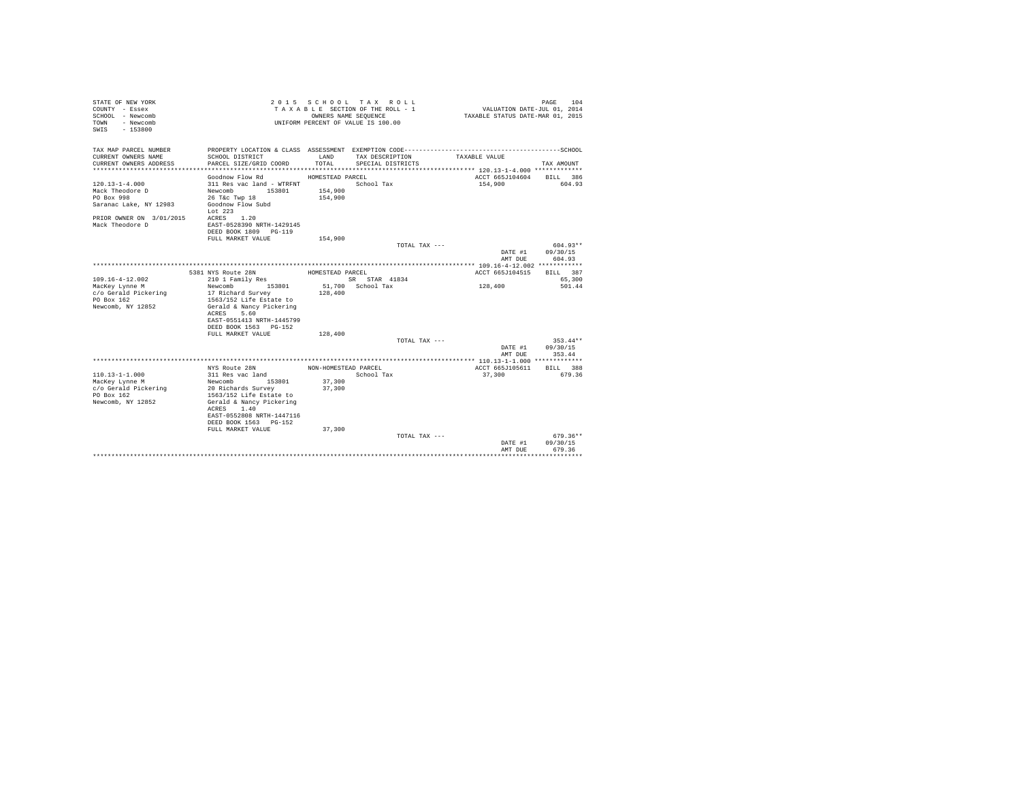| STATE OF NEW YORK<br>COUNTY - Essex<br>SCHOOL - Newcomb<br>- Newcomb<br>TOWN<br>$-153800$<br>SWTS |                                              |                      | 2015 SCHOOL TAX ROLL<br>TAXABLE SECTION OF THE ROLL - 1<br>OWNERS NAME SEQUENCE<br>UNIFORM PERCENT OF VALUE IS 100.00 | VALUATION DATE-JUL 01, 2014<br>TAXABLE STATUS DATE-MAR 01, 2015 | 104<br>PAGE        |
|---------------------------------------------------------------------------------------------------|----------------------------------------------|----------------------|-----------------------------------------------------------------------------------------------------------------------|-----------------------------------------------------------------|--------------------|
| TAX MAP PARCEL NUMBER                                                                             |                                              |                      |                                                                                                                       |                                                                 |                    |
| CURRENT OWNERS NAME<br>CURRENT OWNERS ADDRESS                                                     | SCHOOL DISTRICT<br>PARCEL SIZE/GRID COORD    | LAND<br>TOTAL.       | TAX DESCRIPTION<br>SPECIAL DISTRICTS                                                                                  | TAXABLE VALUE                                                   | TAX AMOUNT         |
|                                                                                                   |                                              |                      |                                                                                                                       | ACCT 665J104604                                                 |                    |
| $120.13 - 1 - 4.000$                                                                              | Goodnow Flow Rd<br>311 Res vac land - WTRFNT | HOMESTEAD PARCEL     | School Tax                                                                                                            | 154,900                                                         | BILL 386<br>604.93 |
| Mack Theodore D                                                                                   | Newcomb 153801                               | 154,900              |                                                                                                                       |                                                                 |                    |
| PO Box 998                                                                                        | 26 T&c Twp 18                                | 154,900              |                                                                                                                       |                                                                 |                    |
| Saranac Lake, NY 12983                                                                            | Goodnow Flow Subd                            |                      |                                                                                                                       |                                                                 |                    |
|                                                                                                   | Lot $223$                                    |                      |                                                                                                                       |                                                                 |                    |
| PRIOR OWNER ON 3/01/2015                                                                          | ACRES 1.20                                   |                      |                                                                                                                       |                                                                 |                    |
| Mack Theodore D                                                                                   | EAST-0528390 NRTH-1429145                    |                      |                                                                                                                       |                                                                 |                    |
|                                                                                                   | DEED BOOK 1809 PG-119                        |                      |                                                                                                                       |                                                                 |                    |
|                                                                                                   | FULL MARKET VALUE                            | 154,900              |                                                                                                                       |                                                                 |                    |
|                                                                                                   |                                              |                      | TOTAL TAX ---                                                                                                         |                                                                 | $604.93**$         |
|                                                                                                   |                                              |                      |                                                                                                                       | DATE #1                                                         | 09/30/15           |
|                                                                                                   |                                              |                      |                                                                                                                       | AMT DUE                                                         | 604.93             |
|                                                                                                   |                                              |                      |                                                                                                                       |                                                                 |                    |
|                                                                                                   | 5381 NYS Route 28N                           | HOMESTEAD PARCEL     |                                                                                                                       | ACCT 665J104515                                                 | BILL 387           |
| $109.16 - 4 - 12.002$                                                                             | 210 1 Family Res                             |                      | SR STAR 41834                                                                                                         |                                                                 | 65,300             |
| MacKey Lynne M                                                                                    | Newcomb<br>153801                            |                      | 51,700 School Tax                                                                                                     | 128,400                                                         | 501.44             |
| c/o Gerald Pickering                                                                              | 17 Richard Survey                            | 128,400              |                                                                                                                       |                                                                 |                    |
| PO Box 162                                                                                        | 1563/152 Life Estate to                      |                      |                                                                                                                       |                                                                 |                    |
| Newcomb, NY 12852                                                                                 | Gerald & Nancy Pickering                     |                      |                                                                                                                       |                                                                 |                    |
|                                                                                                   | ACRES<br>5.60                                |                      |                                                                                                                       |                                                                 |                    |
|                                                                                                   | EAST-0551413 NRTH-1445799                    |                      |                                                                                                                       |                                                                 |                    |
|                                                                                                   | DEED BOOK 1563 PG-152<br>FULL MARKET VALUE   |                      |                                                                                                                       |                                                                 |                    |
|                                                                                                   |                                              | 128,400              |                                                                                                                       |                                                                 | $353.44**$         |
|                                                                                                   |                                              |                      | TOTAL TAX ---                                                                                                         |                                                                 |                    |
|                                                                                                   |                                              |                      |                                                                                                                       | DATE #1<br>AMT DUE                                              | 09/30/15<br>353.44 |
|                                                                                                   |                                              |                      |                                                                                                                       |                                                                 |                    |
|                                                                                                   | NYS Route 28N                                | NON-HOMESTEAD PARCEL |                                                                                                                       | ACCT 665J105611                                                 | BILL 388           |
| $110.13 - 1 - 1.000$                                                                              | 311 Res vac land                             |                      | School Tax                                                                                                            | 37,300                                                          | 679.36             |
| MacKey Lynne M                                                                                    | 153801<br>Newcomb                            | 37,300               |                                                                                                                       |                                                                 |                    |
| c/o Gerald Pickering                                                                              | 20 Richards Survey                           | 37,300               |                                                                                                                       |                                                                 |                    |
| PO Box 162                                                                                        | 1563/152 Life Estate to                      |                      |                                                                                                                       |                                                                 |                    |
| Newcomb, NY 12852                                                                                 | Gerald & Nancy Pickering                     |                      |                                                                                                                       |                                                                 |                    |
|                                                                                                   | ACRES 1.40                                   |                      |                                                                                                                       |                                                                 |                    |
|                                                                                                   | EAST-0552808 NRTH-1447116                    |                      |                                                                                                                       |                                                                 |                    |
|                                                                                                   | DEED BOOK 1563 PG-152                        |                      |                                                                                                                       |                                                                 |                    |
|                                                                                                   | FULL MARKET VALUE                            | 37,300               |                                                                                                                       |                                                                 |                    |
|                                                                                                   |                                              |                      | TOTAL TAX ---                                                                                                         |                                                                 | $679.36**$         |
|                                                                                                   |                                              |                      |                                                                                                                       | DATE #1                                                         | 09/30/15           |
|                                                                                                   |                                              |                      |                                                                                                                       | AMT DUE                                                         | 679.36             |
|                                                                                                   |                                              |                      |                                                                                                                       |                                                                 |                    |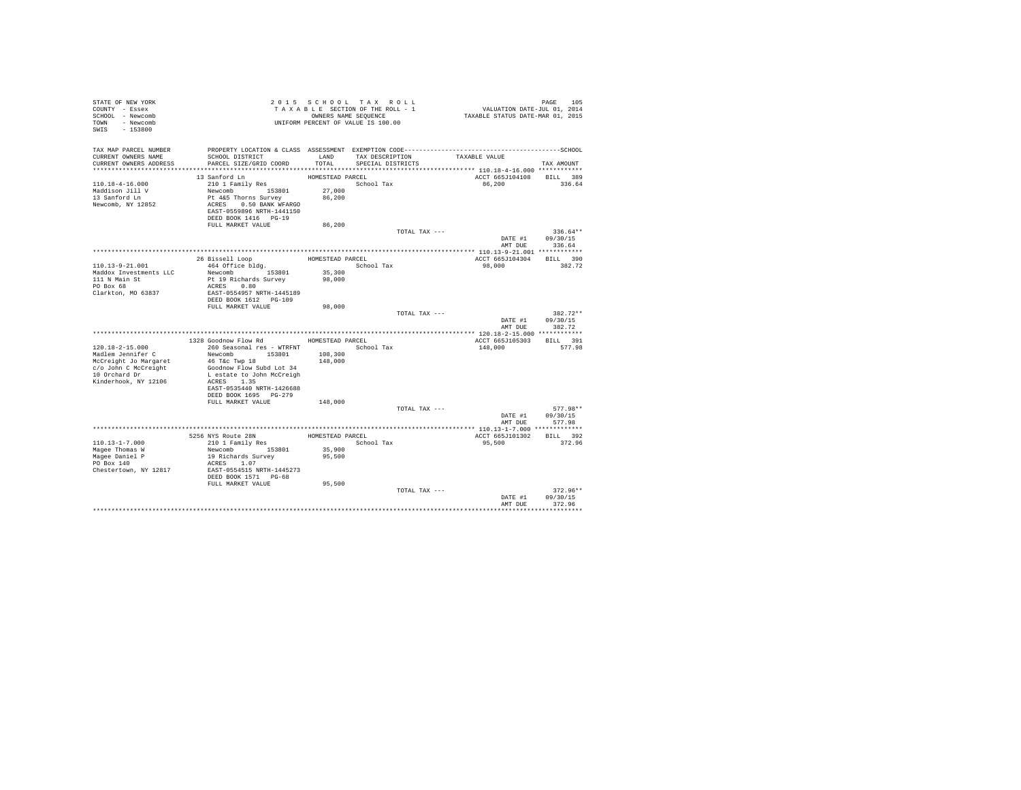| STATE OF NEW YORK<br>COUNTY - Essex<br>SCHOOL - Newcomb<br>TOWN - Newcomb<br>SWIS - 153800                  |                                                                                                                                                                                   |                                      | 2015 SCHOOL TAX ROLL<br>TAXABLE SECTION OF THE ROLL - 1<br>OWNERS NAME SEQUENCE<br>UNIFORM PERCENT OF VALUE IS 100.00 | PAGE 105<br>VALUATION DATE-JUL 01, 2014<br>TAXABLE STATUS DATE-MAR 01, 2015                                   |                                          |
|-------------------------------------------------------------------------------------------------------------|-----------------------------------------------------------------------------------------------------------------------------------------------------------------------------------|--------------------------------------|-----------------------------------------------------------------------------------------------------------------------|---------------------------------------------------------------------------------------------------------------|------------------------------------------|
| TAX MAP PARCEL NUMBER<br>CURRENT OWNERS NAME<br>CURRENT OWNERS ADDRESS                                      | SCHOOL DISTRICT<br>PARCEL SIZE/GRID COORD                                                                                                                                         | LAND<br>TOTAL.                       | TAX DESCRIPTION<br>SPECIAL DISTRICTS                                                                                  | PROPERTY LOCATION & CLASS ASSESSMENT EXEMPTION CODE-----------------------------------SCHOOL<br>TAXABLE VALUE | TAX AMOUNT                               |
|                                                                                                             |                                                                                                                                                                                   |                                      |                                                                                                                       |                                                                                                               |                                          |
| $110.18 - 4 - 16.000$<br>Maddison Jill V<br>13 Sanford Ln<br>Newcomb, NY 12852                              | 13 Sanford Ln<br>210 1 Family Res<br>Newcomb 153801<br>Pt 4&5 Thorns Survey<br>ACRES 0.50 BANK WFARGO<br>EAST-0559896 NRTH-1441150<br>DEED BOOK 1416 PG-19                        | HOMESTEAD PARCEL<br>27,000<br>86,200 | School Tax                                                                                                            | ACCT 665J104108 BILL 389<br>86.200                                                                            | 336.64                                   |
|                                                                                                             | FULL MARKET VALUE                                                                                                                                                                 | 86,200                               |                                                                                                                       |                                                                                                               |                                          |
|                                                                                                             |                                                                                                                                                                                   |                                      |                                                                                                                       | TOTAL TAX ---<br>DATE #1                                                                                      | $336.64**$<br>09/30/15<br>AMT DUE 336.64 |
|                                                                                                             |                                                                                                                                                                                   |                                      |                                                                                                                       |                                                                                                               |                                          |
| 110.13-9-21.001<br>Maddox Investments LLC<br>111 N Main St<br>PO Box 68<br>Clarkton, MO 63837               | 26 Bissell Loop<br>464 Office bldg.<br>Newcomb 153801<br>Pt 19 Richards Survey<br>ACRES 0.80<br>EAST-0554957 NRTH-1445189<br>DEED BOOK 1612 PG-109                                | HOMESTEAD PARCEL<br>35,300<br>98,000 | School Tax                                                                                                            | ACCT 665J104304 BILL 390<br>98,000                                                                            | 382.72                                   |
|                                                                                                             | FULL MARKET VALUE                                                                                                                                                                 | 98,000                               |                                                                                                                       |                                                                                                               |                                          |
|                                                                                                             |                                                                                                                                                                                   |                                      |                                                                                                                       | TOTAL TAX ---<br>DATE #1<br>AMT DUE                                                                           | $382.72**$<br>09/30/15<br>382.72         |
|                                                                                                             | 1328 Goodnow Flow Rd                                                                                                                                                              | HOMESTEAD PARCEL                     |                                                                                                                       | ACCT 665J105303                                                                                               | BILL 391                                 |
| $120.18 - 2 - 15.000$                                                                                       | 260 Seasonal res - WTRFNT                                                                                                                                                         |                                      | School Tax                                                                                                            | 148,000                                                                                                       | 577.98                                   |
| Madlem Jennifer C<br>McCreight Jo Margaret<br>c/o John C McCreight<br>10 Orchard Dr<br>Kinderhook, NY 12106 | Newcomb 153801<br>46 T&c Twp 18<br>Goodnow Flow Subd Lot 34<br>L estate to John McCreigh<br>ACRES 1.35<br>EAST-0535440 NRTH-1426688<br>DEED BOOK 1695 PG-279<br>FULL MARKET VALUE | 108,300<br>148,000<br>148,000        |                                                                                                                       |                                                                                                               |                                          |
|                                                                                                             |                                                                                                                                                                                   |                                      |                                                                                                                       | TOTAL TAX ---                                                                                                 | $577.98**$                               |
|                                                                                                             |                                                                                                                                                                                   |                                      |                                                                                                                       | DATE #1<br>AMT DUE                                                                                            | 09/30/15<br>577.98                       |
|                                                                                                             |                                                                                                                                                                                   |                                      |                                                                                                                       |                                                                                                               |                                          |
|                                                                                                             | 5256 NYS Route 28N<br>210 1 Family Res                                                                                                                                            |                                      | HOMESTEAD PARCEL                                                                                                      | ACCT 665J101302 BILL 392                                                                                      |                                          |
| $110.13 - 1 - 7.000$                                                                                        |                                                                                                                                                                                   |                                      | School Tax                                                                                                            | 95,500                                                                                                        | 372.96                                   |
| Magee Thomas W<br>Magee Daniel P<br>PO Box 140<br>Chestertown, NY 12817                                     | Newcomb 153801<br>19 Richards Survey<br>ACRES 1.07<br>EAST-0554515 NRTH-1445273<br>DEED BOOK 1571 PG-68<br>FULL MARKET VALUE                                                      | 35,900<br>95,500<br>95,500           |                                                                                                                       |                                                                                                               |                                          |
|                                                                                                             |                                                                                                                                                                                   |                                      |                                                                                                                       | TOTAL TAX ---<br>DATE #1                                                                                      | $372.96**$<br>09/30/15                   |
|                                                                                                             |                                                                                                                                                                                   |                                      |                                                                                                                       | AMT DUE                                                                                                       | 372.96                                   |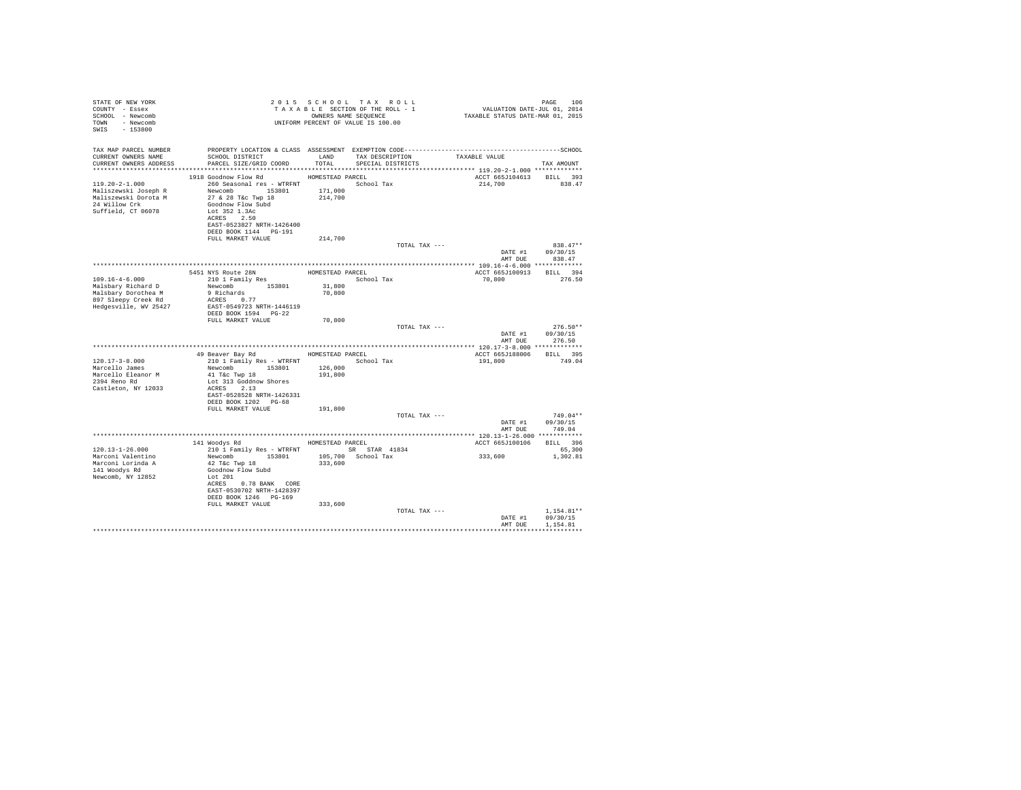| STATE OF NEW YORK<br>COUNTY - Essex<br>SCHOOL - Newcomb<br>TOWN - Newcomb<br>SWIS - 153800 |                                                                       |         | 2015 SCHOOL TAX ROLL<br>UNIFORM PERCENT OF VALUE IS 100.00 |               |                          | PAGE 106                       |
|--------------------------------------------------------------------------------------------|-----------------------------------------------------------------------|---------|------------------------------------------------------------|---------------|--------------------------|--------------------------------|
| TAX MAP PARCEL NUMBER                                                                      |                                                                       |         |                                                            |               |                          |                                |
| CURRENT OWNERS NAME                                                                        | SCHOOL DISTRICT<br>LAND TAX DESCRIPTION                               |         |                                                            |               | TAXABLE VALUE            |                                |
|                                                                                            | CURRENT OWNERS ADDRESS PARCEL SIZE/GRID COORD TOTAL SPECIAL DISTRICTS |         |                                                            |               |                          | TAX AMOUNT                     |
|                                                                                            | 1918 Goodnow Flow Rd MOMESTEAD PARCEL                                 |         |                                                            |               | ACCT 665J104613 BILL 393 |                                |
|                                                                                            |                                                                       |         |                                                            |               | 214,700 838.47           |                                |
|                                                                                            |                                                                       |         |                                                            |               |                          |                                |
|                                                                                            |                                                                       |         |                                                            |               |                          |                                |
|                                                                                            |                                                                       |         |                                                            |               |                          |                                |
| Suffield, CT 06078                                                                         | Lot 352 1.3Ac                                                         |         |                                                            |               |                          |                                |
|                                                                                            | ACRES 2.50                                                            |         |                                                            |               |                          |                                |
|                                                                                            | EAST-0523827 NRTH-1426400                                             |         |                                                            |               |                          |                                |
|                                                                                            | DEED BOOK 1144 PG-191<br>FULL MARKET VALUE                            | 214,700 |                                                            |               |                          |                                |
|                                                                                            |                                                                       |         |                                                            | TOTAL TAX --- |                          | $838.47**$                     |
|                                                                                            |                                                                       |         |                                                            |               |                          | DATE #1 09/30/15               |
|                                                                                            |                                                                       |         |                                                            |               |                          | AMT DUE 838.47                 |
|                                                                                            |                                                                       |         |                                                            |               |                          |                                |
|                                                                                            |                                                                       |         |                                                            |               |                          |                                |
|                                                                                            |                                                                       |         |                                                            |               |                          |                                |
|                                                                                            |                                                                       |         |                                                            |               |                          |                                |
|                                                                                            |                                                                       |         |                                                            |               |                          |                                |
|                                                                                            |                                                                       |         |                                                            |               |                          |                                |
|                                                                                            | DEED BOOK 1594 PG-22                                                  |         |                                                            |               |                          |                                |
|                                                                                            | FULL MARKET VALUE                                                     | 70,800  |                                                            |               |                          |                                |
|                                                                                            |                                                                       |         |                                                            | TOTAL TAX --- |                          | $276.50**$                     |
|                                                                                            |                                                                       |         |                                                            |               |                          | DATE #1 09/30/15               |
|                                                                                            |                                                                       |         |                                                            |               |                          | AMT DUE 276.50                 |
|                                                                                            |                                                                       |         |                                                            |               |                          |                                |
|                                                                                            |                                                                       |         |                                                            |               |                          |                                |
| $120.17 - 3 - 8.000$<br>Marcello James                                                     | 210 1 Family Res - WTRFNT School Tax<br>Newcomb 153801 126,000        |         |                                                            |               |                          |                                |
| Marcello Eleanor M                                                                         | 41 T&C Twp 18                                                         | 191,800 |                                                            |               |                          |                                |
| 2394 Reno Rd                                                                               | Lot 313 Goddnow Shores                                                |         |                                                            |               |                          |                                |
| Castleton, NY 12033                                                                        | ACRES 2.13                                                            |         |                                                            |               |                          |                                |
|                                                                                            | EAST-0528528 NRTH-1426331                                             |         |                                                            |               |                          |                                |
|                                                                                            | DEED BOOK 1202 PG-68                                                  |         |                                                            |               |                          |                                |
|                                                                                            | FULL MARKET VALUE                                                     | 191,800 |                                                            |               |                          |                                |
|                                                                                            |                                                                       |         |                                                            | TOTAL TAX --- |                          | $749.04**$<br>DATE #1 09/30/15 |
|                                                                                            |                                                                       |         |                                                            |               |                          | AMT DUE 749.04                 |
|                                                                                            |                                                                       |         |                                                            |               |                          |                                |
|                                                                                            | 141 Woodys Rd MOMESTEAD PARCEL                                        |         |                                                            |               | ACCT 665J100106 BILL 396 |                                |
| $120.13 - 1 - 26.000$                                                                      | 210 1 Family Res - WTRFNT SR STAR 41834                               |         |                                                            |               |                          | 65,300                         |
| Marconi Valentino                                                                          |                                                                       |         |                                                            |               | 333,600                  | 1,302.81                       |
| Marconi Lorinda A                                                                          |                                                                       |         |                                                            |               |                          |                                |
| 141 Woodys Rd                                                                              |                                                                       |         |                                                            |               |                          |                                |
| Newcomb, NY 12852                                                                          | Lot 201                                                               |         |                                                            |               |                          |                                |
|                                                                                            | ACRES 0.78 BANK CORE<br>EAST-0530702 NRTH-1428397                     |         |                                                            |               |                          |                                |
|                                                                                            | DEED BOOK 1246 PG-169                                                 |         |                                                            |               |                          |                                |
|                                                                                            | FULL MARKET VALUE                                                     | 333,600 |                                                            |               |                          |                                |
|                                                                                            |                                                                       |         |                                                            | TOTAL TAX --- |                          | $1.154.81**$                   |
|                                                                                            |                                                                       |         |                                                            |               |                          | DATE #1 09/30/15               |
|                                                                                            |                                                                       |         |                                                            |               | AMT DUE                  | 1,154.81                       |
|                                                                                            |                                                                       |         |                                                            |               |                          |                                |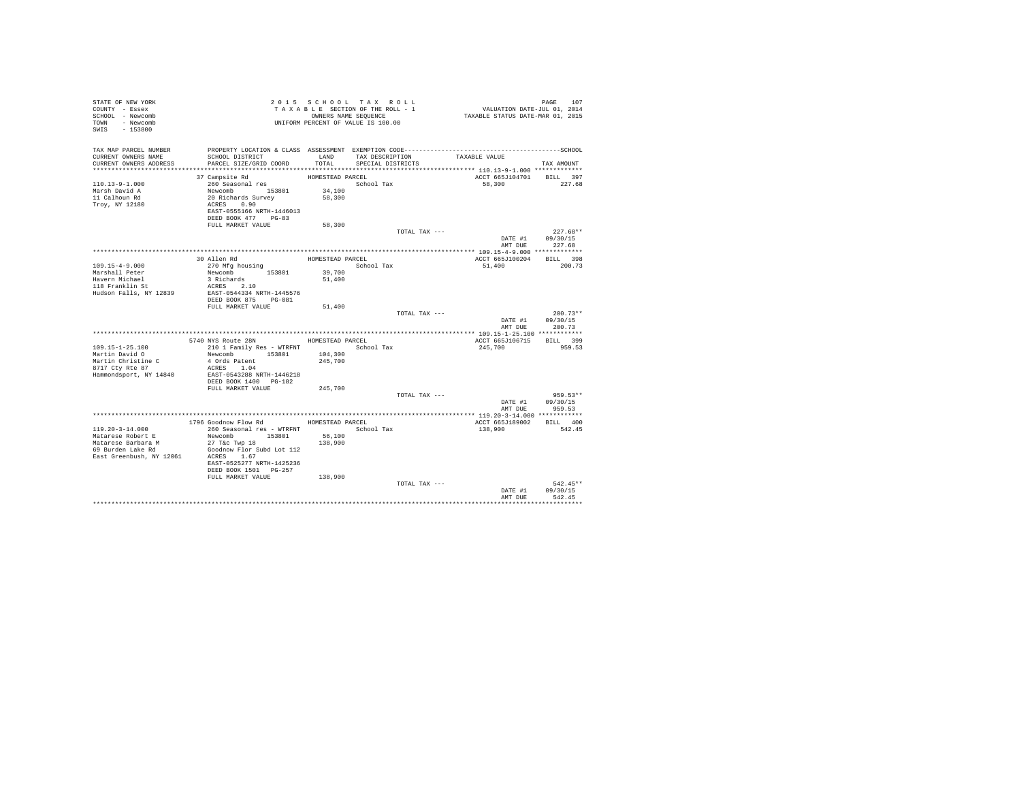| STATE OF NEW YORK<br>COUNTY - Essex<br>SCHOOL - Newcomb<br>TOWN<br>- Newcomb<br>SWIS<br>$-153800$                                                                                         |                                      | 2015 SCHOOL TAX ROLL<br>TAXABLE SECTION OF THE ROLL - 1<br>OWNERS NAME SEQUENCE<br>UNIFORM PERCENT OF VALUE IS 100.00 |                 | VALUATION DATE-JUL 01, 2014<br>TAXABLE STATUS DATE-MAR 01, 2015 | PAGE<br>107                      |
|-------------------------------------------------------------------------------------------------------------------------------------------------------------------------------------------|--------------------------------------|-----------------------------------------------------------------------------------------------------------------------|-----------------|-----------------------------------------------------------------|----------------------------------|
| TAX MAP PARCEL NUMBER<br>CURRENT OWNERS NAME<br>SCHOOL DISTRICT<br>CURRENT OWNERS ADDRESS<br>PARCEL SIZE/GRID COORD                                                                       | LAND<br>TOTAL                        | SPECIAL DISTRICTS                                                                                                     | TAX DESCRIPTION | TAXABLE VALUE                                                   | TAX AMOUNT                       |
|                                                                                                                                                                                           |                                      |                                                                                                                       |                 |                                                                 |                                  |
| 37 Campsite Rd<br>260 Seasonal res<br>$110.13 - 9 - 1.000$<br>Marsh David A<br>Newcomb 153801<br>20 Richards Survey<br>11 Calhoun Rd<br>Troy, NY 12180<br>ACRES 0.90                      | HOMESTEAD PARCEL<br>34,100<br>58,300 | School Tax                                                                                                            |                 | ACCT 665J104701<br>58,300                                       | BILL 397<br>227.68               |
| EAST-0555166 NRTH-1446013<br>DEED BOOK 477 PG-83                                                                                                                                          |                                      |                                                                                                                       |                 |                                                                 |                                  |
| FULL MARKET VALUE                                                                                                                                                                         | 58,300                               |                                                                                                                       |                 |                                                                 |                                  |
|                                                                                                                                                                                           |                                      |                                                                                                                       | TOTAL TAX ---   | DATE #1<br>AMT DUE                                              | $227.68**$<br>09/30/15<br>227.68 |
|                                                                                                                                                                                           |                                      |                                                                                                                       |                 |                                                                 |                                  |
| 30 Allen Rd<br>$109.15 - 4 - 9.000$<br>270 Mfg housing                                                                                                                                    | HOMESTEAD PARCEL                     | School Tax                                                                                                            |                 | ACCT 665J100204<br>51,400                                       | BILL 398<br>200.73               |
| Newcomb 153801<br>Marshall Peter                                                                                                                                                          | 39,700                               |                                                                                                                       |                 |                                                                 |                                  |
| Havern Michael<br>3 Richards<br>118 Franklin St<br>ACRES 2.10                                                                                                                             | 51,400                               |                                                                                                                       |                 |                                                                 |                                  |
| EAST-0544334 NRTH-1445576<br>Hudson Falls, NY 12839                                                                                                                                       |                                      |                                                                                                                       |                 |                                                                 |                                  |
| DEED BOOK 875 PG-081                                                                                                                                                                      |                                      |                                                                                                                       |                 |                                                                 |                                  |
| FULL MARKET VALUE                                                                                                                                                                         | 51,400                               |                                                                                                                       | TOTAL TAX ---   |                                                                 | $200.73**$                       |
|                                                                                                                                                                                           |                                      |                                                                                                                       |                 | DATE #1<br>AMT DUE                                              | 09/30/15<br>200.73               |
|                                                                                                                                                                                           |                                      |                                                                                                                       |                 |                                                                 |                                  |
| 5740 NYS Route 28N                                                                                                                                                                        | HOMESTEAD PARCEL                     |                                                                                                                       |                 | ACCT 665J106715 BILL 399                                        |                                  |
| $109.15 - 1 - 25.100$<br>210 1 Family Res - WTRFNT                                                                                                                                        |                                      | School Tax                                                                                                            |                 | 245,700                                                         | 959.53                           |
| Newcomb 153801<br>Martin David O<br>Martin Christine C<br>4 Ords Patent<br>8717 Cty Rte 87<br>ACRES 1.04                                                                                  | 104,300<br>245,700                   |                                                                                                                       |                 |                                                                 |                                  |
| EAST-0543288 NRTH-1446218<br>Hammondsport, NY 14840<br>DEED BOOK 1400 PG-182                                                                                                              |                                      |                                                                                                                       |                 |                                                                 |                                  |
| FULL MARKET VALUE                                                                                                                                                                         | 245,700                              |                                                                                                                       |                 |                                                                 |                                  |
|                                                                                                                                                                                           |                                      |                                                                                                                       | TOTAL TAX ---   |                                                                 | $959.53**$<br>DATE #1 09/30/15   |
|                                                                                                                                                                                           |                                      |                                                                                                                       |                 | AMT DUE                                                         | 959.53                           |
| 1796 Goodnow Flow Rd                                                                                                                                                                      | HOMESTEAD PARCEL                     |                                                                                                                       |                 | ACCT 665J189002 BILL 400                                        |                                  |
| $119.20 - 3 - 14.000$<br>260 Seasonal res - WTRFNT                                                                                                                                        |                                      | School Tax                                                                                                            |                 | 138,900                                                         | 542.45                           |
| Newcomb 153801<br>Matarese Robert E                                                                                                                                                       | 56,100                               |                                                                                                                       |                 |                                                                 |                                  |
| Matarese Barbara M<br>$27$ T&c Twp $18$<br>Goodnow Flor Subd Lot 112<br>69 Burden Lake Rd<br>East Greenbush, NY 12061<br>ACRES 1.67<br>EAST-0525277 NRTH-1425236<br>DEED BOOK 1501 PG-257 | 138,900                              |                                                                                                                       |                 |                                                                 |                                  |
| FULL MARKET VALUE                                                                                                                                                                         | 138,900                              |                                                                                                                       |                 |                                                                 |                                  |
|                                                                                                                                                                                           |                                      |                                                                                                                       | TOTAL TAX ---   | DATE #1                                                         | $542.45**$<br>09/30/15           |
|                                                                                                                                                                                           |                                      |                                                                                                                       |                 | AMT DUE                                                         | 542.45                           |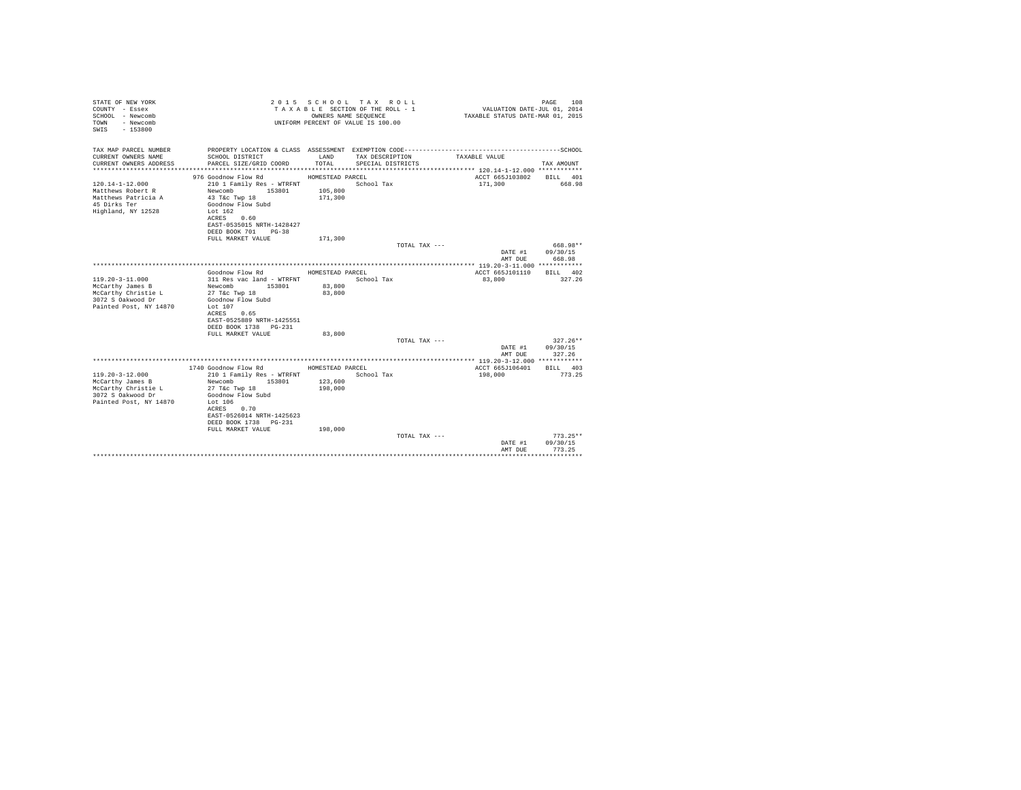| STATE OF NEW YORK<br>COUNTY - Essex<br>SCHOOL - Newcomb<br>- Newcomb<br>TOWN<br>$-153800$<br>SWTS       |                                                                                                                        | OWNERS NAME SEQUENCE                   | 2015 SCHOOL TAX ROLL<br>TAXABLE SECTION OF THE ROLL - 1<br>UNIFORM PERCENT OF VALUE IS 100.00 | VALUATION DATE-JUL 01, 2014<br>TAXABLE STATUS DATE-MAR 01, 2015 | PAGE<br>108            |
|---------------------------------------------------------------------------------------------------------|------------------------------------------------------------------------------------------------------------------------|----------------------------------------|-----------------------------------------------------------------------------------------------|-----------------------------------------------------------------|------------------------|
| TAX MAP PARCEL NUMBER                                                                                   |                                                                                                                        |                                        |                                                                                               |                                                                 |                        |
| CURRENT OWNERS NAME<br>CURRENT OWNERS ADDRESS                                                           | SCHOOL DISTRICT<br>PARCEL SIZE/GRID COORD                                                                              | LAND<br>TOTAL.                         | TAX DESCRIPTION<br>SPECIAL DISTRICTS                                                          | TAXABLE VALUE                                                   | TAX AMOUNT             |
|                                                                                                         |                                                                                                                        |                                        |                                                                                               |                                                                 |                        |
| $120.14 - 1 - 12.000$<br>Matthews Robert R<br>Matthews Patricia A<br>45 Dirks Ter<br>Highland, NY 12528 | 976 Goodnow Flow Rd<br>210 1 Family Res - WTRFNT<br>Newcomb<br>153801<br>43 T&c Twp 18<br>Goodnow Flow Subd<br>Lot 162 | HOMESTEAD PARCEL<br>105,800<br>171,300 | School Tax                                                                                    | ACCT 665J103802<br>171,300                                      | BILL 401<br>668.98     |
|                                                                                                         | ACRES 0.60<br>EAST-0535015 NRTH-1428427<br>DEED BOOK 701 PG-38                                                         |                                        |                                                                                               |                                                                 |                        |
|                                                                                                         | FULL MARKET VALUE                                                                                                      | 171,300                                |                                                                                               |                                                                 |                        |
|                                                                                                         |                                                                                                                        |                                        | TOTAL TAX ---                                                                                 |                                                                 | 668.98**               |
|                                                                                                         |                                                                                                                        |                                        |                                                                                               | DATE #1                                                         | 09/30/15               |
|                                                                                                         |                                                                                                                        |                                        |                                                                                               | AMT DUE                                                         | 668.98                 |
|                                                                                                         | Goodnow Flow Rd                                                                                                        | HOMESTEAD PARCEL                       |                                                                                               | ACCT 665J101110                                                 | RTLL 402               |
| $119.20 - 3 - 11.000$                                                                                   | 311 Res vac land - WTRFNT                                                                                              |                                        | School Tax                                                                                    | 83,800                                                          | 327.26                 |
| McCarthy James B                                                                                        | Newcomb 153801                                                                                                         | 83,800                                 |                                                                                               |                                                                 |                        |
| McCarthy Christie L                                                                                     | 27 T&c Twp 18                                                                                                          | 83,800                                 |                                                                                               |                                                                 |                        |
| 3072 S Oakwood Dr                                                                                       | Goodnow Flow Subd                                                                                                      |                                        |                                                                                               |                                                                 |                        |
| Painted Post, NY 14870                                                                                  | Lot 107<br>ACRES 0.65                                                                                                  |                                        |                                                                                               |                                                                 |                        |
|                                                                                                         | EAST-0525889 NRTH-1425551                                                                                              |                                        |                                                                                               |                                                                 |                        |
|                                                                                                         | DEED BOOK 1738 PG-231                                                                                                  |                                        |                                                                                               |                                                                 |                        |
|                                                                                                         | FULL MARKET VALUE                                                                                                      | 83,800                                 |                                                                                               |                                                                 |                        |
|                                                                                                         |                                                                                                                        |                                        | TOTAL TAX ---                                                                                 |                                                                 | $327.26**$             |
|                                                                                                         |                                                                                                                        |                                        |                                                                                               | DATE #1                                                         | 09/30/15               |
|                                                                                                         |                                                                                                                        |                                        |                                                                                               | AMT DUE                                                         | 327.26                 |
|                                                                                                         | 1740 Goodnow Flow Rd                                                                                                   | HOMESTEAD PARCEL                       |                                                                                               | ACCT 665J106401                                                 | BILL 403               |
| $119.20 - 3 - 12.000$                                                                                   | 210 1 Family Res - WTRFNT                                                                                              |                                        | School Tax                                                                                    | 198,000                                                         | 773.25                 |
| McCarthy James B                                                                                        | 153801<br>Newcomb                                                                                                      | 123,600                                |                                                                                               |                                                                 |                        |
| McCarthy Christie L                                                                                     | 27 T&c Twp 18                                                                                                          | 198,000                                |                                                                                               |                                                                 |                        |
| 3072 S Oakwood Dr                                                                                       | Goodnow Flow Subd                                                                                                      |                                        |                                                                                               |                                                                 |                        |
| Painted Post, NY 14870                                                                                  | Lot 106<br>ACRES 0.70                                                                                                  |                                        |                                                                                               |                                                                 |                        |
|                                                                                                         | EAST-0526014 NRTH-1425623                                                                                              |                                        |                                                                                               |                                                                 |                        |
|                                                                                                         | DEED BOOK 1738 PG-231                                                                                                  |                                        |                                                                                               |                                                                 |                        |
|                                                                                                         | FULL MARKET VALUE                                                                                                      | 198,000                                |                                                                                               |                                                                 |                        |
|                                                                                                         |                                                                                                                        |                                        | TOTAL TAX ---                                                                                 |                                                                 | $773.25**$<br>09/30/15 |
|                                                                                                         |                                                                                                                        |                                        |                                                                                               | DATE #1<br>AMT DUE                                              | 773.25                 |
|                                                                                                         |                                                                                                                        |                                        |                                                                                               |                                                                 |                        |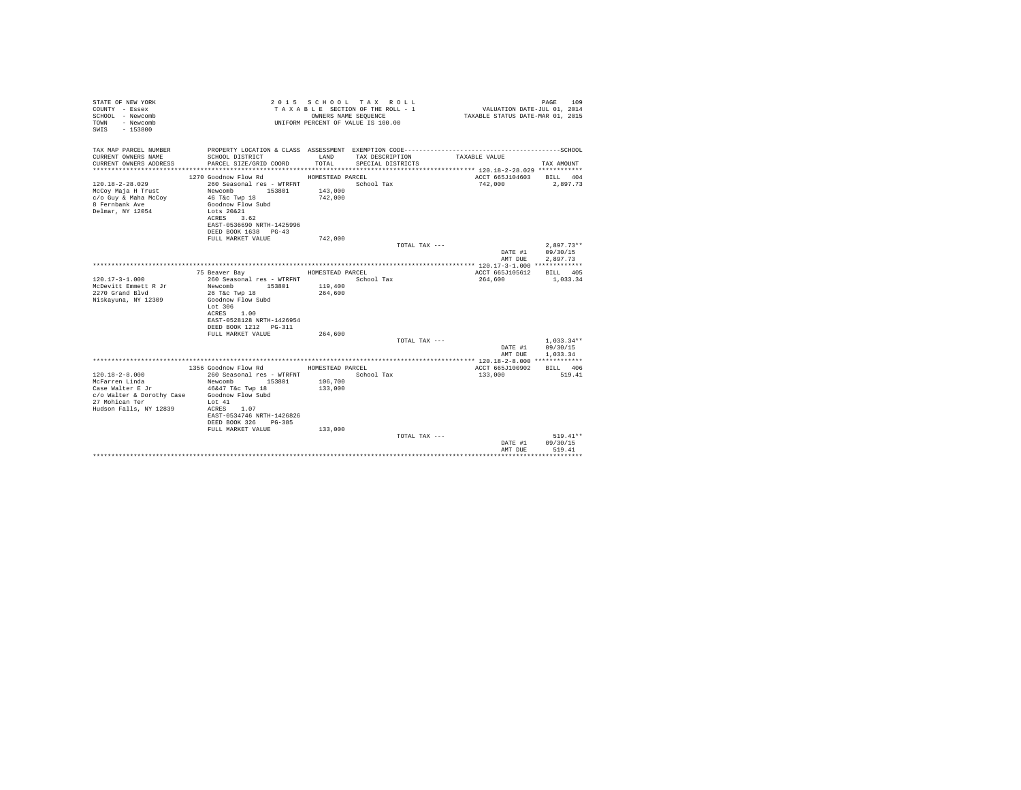| STATE OF NEW YORK<br>COUNTY - Essex<br>SCHOOL - Newcomb<br>- Newcomb<br>TOWN<br>$-153800$<br>SWIS |                                                   |                  | 2015 SCHOOL TAX ROLL<br>TAXABLE SECTION OF THE ROLL - 1<br>OWNERS NAME SEQUENCE<br>UNIFORM PERCENT OF VALUE IS 100.00 | VALUATION DATE-JUL 01, $2014$<br>TAXABLE STATUS DATE-MAR 01, 2015 | PAGE<br>109              |
|---------------------------------------------------------------------------------------------------|---------------------------------------------------|------------------|-----------------------------------------------------------------------------------------------------------------------|-------------------------------------------------------------------|--------------------------|
| TAX MAP PARCEL NUMBER<br>CURRENT OWNERS NAME                                                      | SCHOOL DISTRICT                                   | LAND             | PROPERTY LOCATION & CLASS ASSESSMENT EXEMPTION CODE-----------------------------------SCHOOL<br>TAX DESCRIPTION       | TAXABLE VALUE                                                     |                          |
| CURRENT OWNERS ADDRESS                                                                            | PARCEL SIZE/GRID COORD                            | TOTAL            | SPECIAL DISTRICTS                                                                                                     |                                                                   | TAX AMOUNT               |
|                                                                                                   | 1270 Goodnow Flow Rd                              | HOMESTEAD PARCEL |                                                                                                                       | ACCT 665J104603                                                   | BILL 404                 |
| $120.18 - 2 - 28.029$                                                                             | 260 Seasonal res - WTRFNT                         |                  | School Tax                                                                                                            | 742,000                                                           | 2.897.73                 |
| McCov Maja H Trust                                                                                | Newcomb<br>153801                                 | 143,000          |                                                                                                                       |                                                                   |                          |
| c/o Guy & Maha McCoy                                                                              | 46 T&C Twp 18                                     | 742,000          |                                                                                                                       |                                                                   |                          |
| 8 Fernbank Ave                                                                                    | Goodnow Flow Subd                                 |                  |                                                                                                                       |                                                                   |                          |
| Delmar, NY 12054                                                                                  | Lots 20&21                                        |                  |                                                                                                                       |                                                                   |                          |
|                                                                                                   | ACRES<br>3.62                                     |                  |                                                                                                                       |                                                                   |                          |
|                                                                                                   | EAST-0536690 NRTH-1425996<br>DEED BOOK 1638 PG-43 |                  |                                                                                                                       |                                                                   |                          |
|                                                                                                   | FULL MARKET VALUE                                 | 742,000          |                                                                                                                       |                                                                   |                          |
|                                                                                                   |                                                   |                  | TOTAL TAX ---                                                                                                         |                                                                   | $2.897.73**$             |
|                                                                                                   |                                                   |                  |                                                                                                                       | DATE #1                                                           | 09/30/15                 |
|                                                                                                   |                                                   |                  |                                                                                                                       | AMT DUE                                                           | 2.897.73                 |
|                                                                                                   |                                                   |                  |                                                                                                                       |                                                                   |                          |
|                                                                                                   | 75 Beaver Bay                                     | HOMESTEAD PARCEL |                                                                                                                       | ACCT 665J105612                                                   | BILL 405                 |
| $120.17 - 3 - 1.000$<br>McDevitt Emmett R Jr                                                      | 260 Seasonal res - WTRFNT<br>Newcomb<br>153801    | 119,400          | School Tax                                                                                                            | 264,600                                                           | 1,033.34                 |
| 2270 Grand Blvd                                                                                   | 26 T&c Twp 18                                     | 264,600          |                                                                                                                       |                                                                   |                          |
| Niskayuna, NY 12309                                                                               | Goodnow Flow Subd                                 |                  |                                                                                                                       |                                                                   |                          |
|                                                                                                   | Lot 306                                           |                  |                                                                                                                       |                                                                   |                          |
|                                                                                                   | ACRES<br>1.00                                     |                  |                                                                                                                       |                                                                   |                          |
|                                                                                                   | EAST-0528128 NRTH-1426954                         |                  |                                                                                                                       |                                                                   |                          |
|                                                                                                   | DEED BOOK 1212 PG-311                             |                  |                                                                                                                       |                                                                   |                          |
|                                                                                                   | FULL MARKET VALUE                                 | 264,600          |                                                                                                                       |                                                                   |                          |
|                                                                                                   |                                                   |                  | TOTAL TAX ---                                                                                                         |                                                                   | $1.033.34**$<br>09/30/15 |
|                                                                                                   |                                                   |                  |                                                                                                                       | DATE #1<br>AMT DUE                                                | 1,033.34                 |
|                                                                                                   |                                                   |                  |                                                                                                                       |                                                                   |                          |
|                                                                                                   | 1356 Goodnow Flow Rd                              | HOMESTEAD PARCEL |                                                                                                                       | ACCT 665J100902                                                   | BILL 406                 |
| $120.18 - 2 - 8.000$                                                                              | 260 Seasonal res - WTRFNT                         |                  | School Tax                                                                                                            | 133,000                                                           | 519.41                   |
| McFarren Linda                                                                                    | Newcomb<br>153801                                 | 106,700          |                                                                                                                       |                                                                   |                          |
| Case Walter E Jr                                                                                  | 46&47 T&c Twp 18                                  | 133,000          |                                                                                                                       |                                                                   |                          |
| c/o Walter & Dorothy Case                                                                         | Goodnow Flow Subd                                 |                  |                                                                                                                       |                                                                   |                          |
| 27 Mohican Ter<br>Hudson Falls, NY 12839                                                          | Lot 41<br>ACRES<br>1.07                           |                  |                                                                                                                       |                                                                   |                          |
|                                                                                                   | EAST-0534746 NRTH-1426826                         |                  |                                                                                                                       |                                                                   |                          |
|                                                                                                   | DEED BOOK 326 PG-385                              |                  |                                                                                                                       |                                                                   |                          |
|                                                                                                   | FULL MARKET VALUE                                 | 133,000          |                                                                                                                       |                                                                   |                          |
|                                                                                                   |                                                   |                  | TOTAL TAX ---                                                                                                         |                                                                   | $519.41**$               |
|                                                                                                   |                                                   |                  |                                                                                                                       | DATE #1                                                           | 09/30/15                 |
|                                                                                                   |                                                   |                  |                                                                                                                       | AMT DUE                                                           | 519.41<br>               |
|                                                                                                   |                                                   |                  |                                                                                                                       |                                                                   |                          |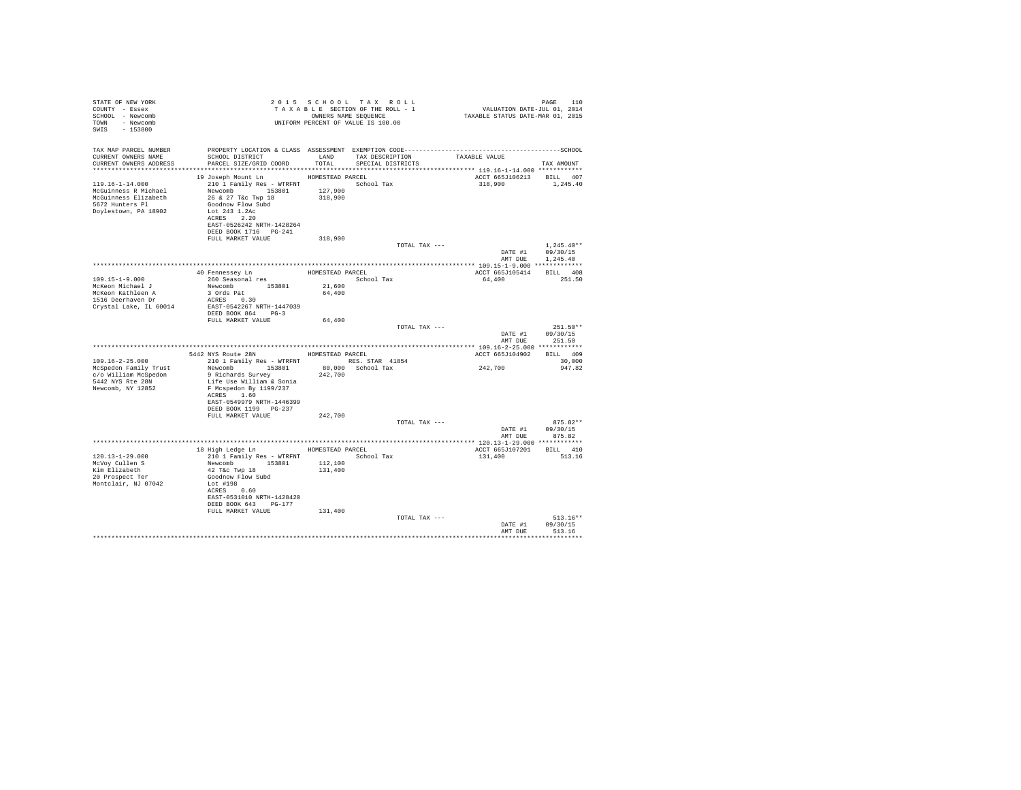| STATE OF NEW YORK<br>COUNTY - Essex<br>SCHOOL - Newcomb<br>TOWN - Newcomb<br>SWIS - 153800                       |                                                                                                                                                                                                                                                       |                               | 2015 SCHOOL TAX ROLL<br>TAXABLE SECTION OF THE ROLL - 1<br>OWNERS NAME SEOUENCE<br>UNIFORM PERCENT OF VALUE IS 100.00 | PAGE 110<br>VALUATION DATE-JUL 01, 2014<br>TAXABLE STATUS DATE-MAR 01, 2015                                   | PAGE 110                                     |
|------------------------------------------------------------------------------------------------------------------|-------------------------------------------------------------------------------------------------------------------------------------------------------------------------------------------------------------------------------------------------------|-------------------------------|-----------------------------------------------------------------------------------------------------------------------|---------------------------------------------------------------------------------------------------------------|----------------------------------------------|
| TAX MAP PARCEL NUMBER<br>CURRENT OWNERS NAME<br>CURRENT OWNERS ADDRESS                                           | SCHOOL DISTRICT LAND TAX DESCRIPTION<br>PARCEL SIZE/GRID COORD                                                                                                                                                                                        | TOTAL                         | SPECIAL DISTRICTS                                                                                                     | PROPERTY LOCATION & CLASS ASSESSMENT EXEMPTION CODE-----------------------------------SCHOOL<br>TAXABLE VALUE | TAX AMOUNT                                   |
| $119.16 - 1 - 14.000$<br>McGuinness R Michael<br>McGuinness Elizabeth<br>5672 Hunters Pl<br>Doylestown, PA 18902 | 19 Joseph Mount Ln HOMESTEAD PARCEL<br>210 1 Family Res - WTRFNT School Tax<br>Newcomb 153801<br>26 & 27 T&C Twp 18<br>Goodnow Flow Subd<br>Lot 243 1.2Ac<br>ACRES 2.20<br>EAST-0526242 NRTH-1428264<br>DEED BOOK 1716    PG-241<br>FULL MARKET VALUE | 127,900<br>318,900<br>318,900 |                                                                                                                       | ACCT 665J106213 BILL 407<br>318,900                                                                           | 1,245.40                                     |
|                                                                                                                  |                                                                                                                                                                                                                                                       |                               | TOTAL TAX ---                                                                                                         | AMT DUE                                                                                                       | $1.245.40**$<br>DATE #1 09/30/15<br>1,245.40 |
|                                                                                                                  |                                                                                                                                                                                                                                                       |                               |                                                                                                                       |                                                                                                               |                                              |
|                                                                                                                  | 40 Fennessey Ln MOMESTEAD PARCEL                                                                                                                                                                                                                      |                               |                                                                                                                       | ACCT 665J105414 BILL 408                                                                                      |                                              |
| $109.15 - 1 - 9.000$                                                                                             | 260 Seasonal res                                                                                                                                                                                                                                      |                               | School Tax                                                                                                            | 64.400 251.50                                                                                                 |                                              |
| McKeon Michael J                                                                                                 | Newcomb 153801                                                                                                                                                                                                                                        | 21,600<br>64,400              |                                                                                                                       |                                                                                                               |                                              |
| McKeon Kathleen A<br>1516 Deerhaven Dr                                                                           |                                                                                                                                                                                                                                                       |                               |                                                                                                                       |                                                                                                               |                                              |
| Crystal Lake, IL 60014                                                                                           | EAST-0542267 NRTH-1447039                                                                                                                                                                                                                             |                               |                                                                                                                       |                                                                                                               |                                              |
|                                                                                                                  | DEED BOOK 864 PG-3                                                                                                                                                                                                                                    |                               |                                                                                                                       |                                                                                                               |                                              |
|                                                                                                                  | FULL MARKET VALUE                                                                                                                                                                                                                                     | 64,400                        |                                                                                                                       |                                                                                                               |                                              |
|                                                                                                                  |                                                                                                                                                                                                                                                       |                               | TOTAL TAX ---                                                                                                         |                                                                                                               | $251.50**$                                   |
|                                                                                                                  |                                                                                                                                                                                                                                                       |                               |                                                                                                                       | DATE #1<br>AMT DUE                                                                                            | 09/30/15<br>251.50                           |
|                                                                                                                  |                                                                                                                                                                                                                                                       |                               |                                                                                                                       |                                                                                                               |                                              |
|                                                                                                                  | 5442 NYS Route 28N                                                                                                                                                                                                                                    | HOMESTEAD PARCEL              |                                                                                                                       | ACCT 665J104902 BILL 409                                                                                      |                                              |
| $109.16 - 2 - 25.000$                                                                                            | 210 1 Family Res - WTRFNT NES. STAR 41854                                                                                                                                                                                                             |                               |                                                                                                                       |                                                                                                               | 30,000                                       |
| McSpedon Family Trust                                                                                            | Newcomb 153801                                                                                                                                                                                                                                        |                               | 80,000 School Tax                                                                                                     | 242,700                                                                                                       | 947.82                                       |
| c/o William McSpedon<br>5442 NYS Rte 28N                                                                         | 9 Richards Survey<br>Life Use William & Sonia                                                                                                                                                                                                         | 242,700                       |                                                                                                                       |                                                                                                               |                                              |
| Newcomb, NY 12852                                                                                                | F Mcspedon By 1199/237                                                                                                                                                                                                                                |                               |                                                                                                                       |                                                                                                               |                                              |
|                                                                                                                  | ACRES 1.60                                                                                                                                                                                                                                            |                               |                                                                                                                       |                                                                                                               |                                              |
|                                                                                                                  | EAST-0549979 NRTH-1446399                                                                                                                                                                                                                             |                               |                                                                                                                       |                                                                                                               |                                              |
|                                                                                                                  | DEED BOOK 1199 PG-237                                                                                                                                                                                                                                 |                               |                                                                                                                       |                                                                                                               |                                              |
|                                                                                                                  | FULL MARKET VALUE                                                                                                                                                                                                                                     | 242,700                       | TOTAL TAX ---                                                                                                         |                                                                                                               | $875.82**$                                   |
|                                                                                                                  |                                                                                                                                                                                                                                                       |                               |                                                                                                                       | DATE #1                                                                                                       | 09/30/15                                     |
|                                                                                                                  |                                                                                                                                                                                                                                                       |                               |                                                                                                                       |                                                                                                               | AMT DUE 875.82                               |
|                                                                                                                  |                                                                                                                                                                                                                                                       |                               |                                                                                                                       |                                                                                                               |                                              |
|                                                                                                                  | 18 High Ledge Ln MOMESTEAD PARCEL                                                                                                                                                                                                                     |                               |                                                                                                                       | ACCT 665J107201 BILL 410                                                                                      |                                              |
| $120.13 - 1 - 29.000$<br>McVov Cullen S                                                                          | 210 1 Family Res - WTRFNT<br>Newcomb 153801                                                                                                                                                                                                           | 112,100                       | School Tax                                                                                                            | 131,400                                                                                                       | 513.16                                       |
| Kim Elizabeth                                                                                                    | 42 T&C Twp 18                                                                                                                                                                                                                                         | 131,400                       |                                                                                                                       |                                                                                                               |                                              |
| 20 Prospect Ter                                                                                                  | Goodnow Flow Subd                                                                                                                                                                                                                                     |                               |                                                                                                                       |                                                                                                               |                                              |
| Montclair, NJ 07042                                                                                              | Lot #198                                                                                                                                                                                                                                              |                               |                                                                                                                       |                                                                                                               |                                              |
|                                                                                                                  | ACRES 0.60                                                                                                                                                                                                                                            |                               |                                                                                                                       |                                                                                                               |                                              |
|                                                                                                                  | EAST-0531010 NRTH-1428420<br>DEED BOOK 643 PG-177                                                                                                                                                                                                     |                               |                                                                                                                       |                                                                                                               |                                              |
|                                                                                                                  | FULL MARKET VALUE                                                                                                                                                                                                                                     | 131,400                       |                                                                                                                       |                                                                                                               |                                              |
|                                                                                                                  |                                                                                                                                                                                                                                                       |                               | TOTAL TAX ---                                                                                                         |                                                                                                               | $513.16**$                                   |
|                                                                                                                  |                                                                                                                                                                                                                                                       |                               |                                                                                                                       | DATE #1                                                                                                       | 09/30/15                                     |
|                                                                                                                  |                                                                                                                                                                                                                                                       |                               |                                                                                                                       | AMT DUE                                                                                                       | 513.16                                       |
|                                                                                                                  |                                                                                                                                                                                                                                                       |                               |                                                                                                                       |                                                                                                               |                                              |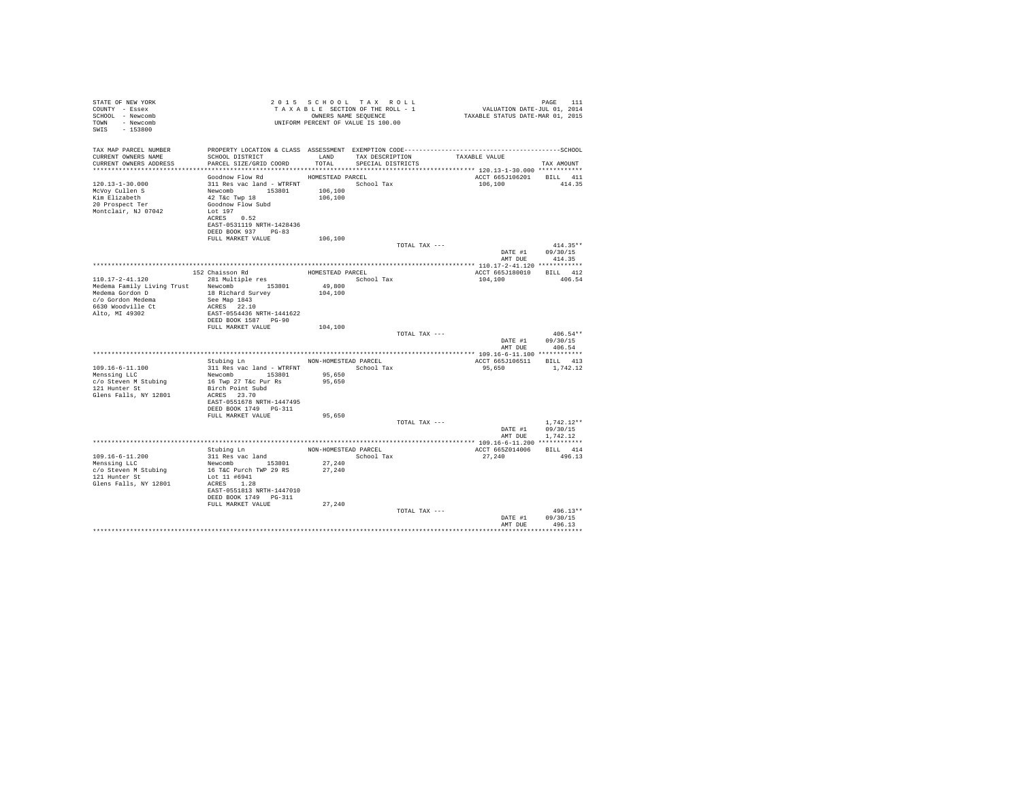| TAX MAP PARCEL NUMBER<br>SCHOOL DISTRICT TAND TAX DESCRIPTION<br>CURRENT OWNERS NAME<br>TAXABLE VALUE<br>PARCEL SIZE/GRID COORD TOTAL SPECIAL DISTRICTS<br>CURRENT OWNERS ADDRESS<br>TAX AMOUNT<br>Goodnow Flow Rd MOMESTEAD PARCEL<br>ACCT 665J106201 BILL 411<br>120.13-1-30.000<br>311 Res vac land - WTRFNT<br>Newcomb 153801 106,100<br>42 Tác Twp 18 106,100<br>Goodnow Flow Subd 106,100<br>106,100 414.35<br>McVoy Cullen S<br>Kim Elizabeth<br>20 Prospect Ter<br>Montclair. NJ 07042<br>Lot 197<br>ACRES 0.52<br>EAST-0531119 NRTH-1428436<br>DEED BOOK 937 PG-83<br>FULL MARKET VALUE<br>106,100<br>TOTAL TAX ---<br>$414.35**$<br>DATE #1 09/30/15<br>AMT DUE<br>414.35<br>ACCT 665J180010 BILL 412<br>School Tax<br>110.17-2-41.120<br>104,100<br>406.54<br>Medema Family Living Trust Newcomb 153801<br>Medema Gordon D 18 Richard Survey<br>49,800<br>104,100<br>DEED BOOK 1587 PG-90<br>FULL MARKET VALUE<br>104,100<br>$406.54**$<br>TOTAL TAX ---<br>DATE #1 09/30/15<br>AMT DUE 406.54<br>Stubing Ln NON-HOMESTEAD PARCEL<br>ACCT 665J106511 BILL 413<br>311 Res vac land - WTRFNT School Tax<br>109.16-6-11.100<br>95.650 1.742.12<br>Newcomb<br>153801<br>16 Twp 27 T&c Pur Rs<br>Birch Point Subd<br>Menssing LLC<br>95,650<br>c/o Steven M Stubing<br>95,650<br>121 Hunter St<br>Glens Falls, NY 12801<br>ACRES 23.70<br>EAST-0551678 NRTH-1447495<br>DEED BOOK 1749 PG-311<br>FULL MARKET VALUE<br>95,650<br>TOTAL TAX ---<br>$1.742.12**$<br>DATE #1 09/30/15<br>AMT DUE 1.742.12<br>ACCT 665Z014006 BILL 414<br>$109.16 - 6 - 11.200$<br>27,240<br>496.13<br>Newcomb 153801<br>27,240<br>Menssing LLC<br>27,240<br>c/o Steven M Stubing<br>16 T&C Purch TWP 29 RS<br>Lot 11 #6941<br>121 Hunter St<br>Glens Falls, NY 12801<br>ACRES 1.28<br>EAST-0551813 NRTH-1447010<br>DEED BOOK 1749    PG-311<br>27,240<br>FULL MARKET VALUE<br>TOTAL TAX ---<br>$496.13**$<br>DATE #1<br>09/30/15<br>AMT DUE<br>496 13 | STATE OF NEW YORK<br>COUNTY - Essex<br>SCHOOL - Newcomb<br>TOWN - Newcomb<br>SWIS - 153800 |  | 2015 SCHOOL TAX ROLL<br>2015 SCHOOL TAX ROLL 2015 PAGE 111<br>TAXABLE SECTION OF THE ROLL - 1 VALUATION DATE-JUL 01, 2014<br>TAXABLE STATUS DATE-MAR 01, 2015<br>UNIFORM PERCENT OF VALUE IS 100.00 |  | PAGE<br>111 |
|----------------------------------------------------------------------------------------------------------------------------------------------------------------------------------------------------------------------------------------------------------------------------------------------------------------------------------------------------------------------------------------------------------------------------------------------------------------------------------------------------------------------------------------------------------------------------------------------------------------------------------------------------------------------------------------------------------------------------------------------------------------------------------------------------------------------------------------------------------------------------------------------------------------------------------------------------------------------------------------------------------------------------------------------------------------------------------------------------------------------------------------------------------------------------------------------------------------------------------------------------------------------------------------------------------------------------------------------------------------------------------------------------------------------------------------------------------------------------------------------------------------------------------------------------------------------------------------------------------------------------------------------------------------------------------------------------------------------------------------------------------------------------------------------------------------------------------------------------------------------------------------------------------------------------------------|--------------------------------------------------------------------------------------------|--|-----------------------------------------------------------------------------------------------------------------------------------------------------------------------------------------------------|--|-------------|
|                                                                                                                                                                                                                                                                                                                                                                                                                                                                                                                                                                                                                                                                                                                                                                                                                                                                                                                                                                                                                                                                                                                                                                                                                                                                                                                                                                                                                                                                                                                                                                                                                                                                                                                                                                                                                                                                                                                                        |                                                                                            |  |                                                                                                                                                                                                     |  |             |
|                                                                                                                                                                                                                                                                                                                                                                                                                                                                                                                                                                                                                                                                                                                                                                                                                                                                                                                                                                                                                                                                                                                                                                                                                                                                                                                                                                                                                                                                                                                                                                                                                                                                                                                                                                                                                                                                                                                                        |                                                                                            |  |                                                                                                                                                                                                     |  |             |
|                                                                                                                                                                                                                                                                                                                                                                                                                                                                                                                                                                                                                                                                                                                                                                                                                                                                                                                                                                                                                                                                                                                                                                                                                                                                                                                                                                                                                                                                                                                                                                                                                                                                                                                                                                                                                                                                                                                                        |                                                                                            |  |                                                                                                                                                                                                     |  |             |
|                                                                                                                                                                                                                                                                                                                                                                                                                                                                                                                                                                                                                                                                                                                                                                                                                                                                                                                                                                                                                                                                                                                                                                                                                                                                                                                                                                                                                                                                                                                                                                                                                                                                                                                                                                                                                                                                                                                                        |                                                                                            |  |                                                                                                                                                                                                     |  |             |
|                                                                                                                                                                                                                                                                                                                                                                                                                                                                                                                                                                                                                                                                                                                                                                                                                                                                                                                                                                                                                                                                                                                                                                                                                                                                                                                                                                                                                                                                                                                                                                                                                                                                                                                                                                                                                                                                                                                                        |                                                                                            |  |                                                                                                                                                                                                     |  |             |
|                                                                                                                                                                                                                                                                                                                                                                                                                                                                                                                                                                                                                                                                                                                                                                                                                                                                                                                                                                                                                                                                                                                                                                                                                                                                                                                                                                                                                                                                                                                                                                                                                                                                                                                                                                                                                                                                                                                                        |                                                                                            |  |                                                                                                                                                                                                     |  |             |
|                                                                                                                                                                                                                                                                                                                                                                                                                                                                                                                                                                                                                                                                                                                                                                                                                                                                                                                                                                                                                                                                                                                                                                                                                                                                                                                                                                                                                                                                                                                                                                                                                                                                                                                                                                                                                                                                                                                                        |                                                                                            |  |                                                                                                                                                                                                     |  |             |
|                                                                                                                                                                                                                                                                                                                                                                                                                                                                                                                                                                                                                                                                                                                                                                                                                                                                                                                                                                                                                                                                                                                                                                                                                                                                                                                                                                                                                                                                                                                                                                                                                                                                                                                                                                                                                                                                                                                                        |                                                                                            |  |                                                                                                                                                                                                     |  |             |
|                                                                                                                                                                                                                                                                                                                                                                                                                                                                                                                                                                                                                                                                                                                                                                                                                                                                                                                                                                                                                                                                                                                                                                                                                                                                                                                                                                                                                                                                                                                                                                                                                                                                                                                                                                                                                                                                                                                                        |                                                                                            |  |                                                                                                                                                                                                     |  |             |
|                                                                                                                                                                                                                                                                                                                                                                                                                                                                                                                                                                                                                                                                                                                                                                                                                                                                                                                                                                                                                                                                                                                                                                                                                                                                                                                                                                                                                                                                                                                                                                                                                                                                                                                                                                                                                                                                                                                                        |                                                                                            |  |                                                                                                                                                                                                     |  |             |
|                                                                                                                                                                                                                                                                                                                                                                                                                                                                                                                                                                                                                                                                                                                                                                                                                                                                                                                                                                                                                                                                                                                                                                                                                                                                                                                                                                                                                                                                                                                                                                                                                                                                                                                                                                                                                                                                                                                                        |                                                                                            |  |                                                                                                                                                                                                     |  |             |
|                                                                                                                                                                                                                                                                                                                                                                                                                                                                                                                                                                                                                                                                                                                                                                                                                                                                                                                                                                                                                                                                                                                                                                                                                                                                                                                                                                                                                                                                                                                                                                                                                                                                                                                                                                                                                                                                                                                                        |                                                                                            |  |                                                                                                                                                                                                     |  |             |
|                                                                                                                                                                                                                                                                                                                                                                                                                                                                                                                                                                                                                                                                                                                                                                                                                                                                                                                                                                                                                                                                                                                                                                                                                                                                                                                                                                                                                                                                                                                                                                                                                                                                                                                                                                                                                                                                                                                                        |                                                                                            |  |                                                                                                                                                                                                     |  |             |
|                                                                                                                                                                                                                                                                                                                                                                                                                                                                                                                                                                                                                                                                                                                                                                                                                                                                                                                                                                                                                                                                                                                                                                                                                                                                                                                                                                                                                                                                                                                                                                                                                                                                                                                                                                                                                                                                                                                                        |                                                                                            |  |                                                                                                                                                                                                     |  |             |
|                                                                                                                                                                                                                                                                                                                                                                                                                                                                                                                                                                                                                                                                                                                                                                                                                                                                                                                                                                                                                                                                                                                                                                                                                                                                                                                                                                                                                                                                                                                                                                                                                                                                                                                                                                                                                                                                                                                                        |                                                                                            |  |                                                                                                                                                                                                     |  |             |
|                                                                                                                                                                                                                                                                                                                                                                                                                                                                                                                                                                                                                                                                                                                                                                                                                                                                                                                                                                                                                                                                                                                                                                                                                                                                                                                                                                                                                                                                                                                                                                                                                                                                                                                                                                                                                                                                                                                                        |                                                                                            |  |                                                                                                                                                                                                     |  |             |
|                                                                                                                                                                                                                                                                                                                                                                                                                                                                                                                                                                                                                                                                                                                                                                                                                                                                                                                                                                                                                                                                                                                                                                                                                                                                                                                                                                                                                                                                                                                                                                                                                                                                                                                                                                                                                                                                                                                                        |                                                                                            |  |                                                                                                                                                                                                     |  |             |
|                                                                                                                                                                                                                                                                                                                                                                                                                                                                                                                                                                                                                                                                                                                                                                                                                                                                                                                                                                                                                                                                                                                                                                                                                                                                                                                                                                                                                                                                                                                                                                                                                                                                                                                                                                                                                                                                                                                                        |                                                                                            |  |                                                                                                                                                                                                     |  |             |
|                                                                                                                                                                                                                                                                                                                                                                                                                                                                                                                                                                                                                                                                                                                                                                                                                                                                                                                                                                                                                                                                                                                                                                                                                                                                                                                                                                                                                                                                                                                                                                                                                                                                                                                                                                                                                                                                                                                                        |                                                                                            |  |                                                                                                                                                                                                     |  |             |
|                                                                                                                                                                                                                                                                                                                                                                                                                                                                                                                                                                                                                                                                                                                                                                                                                                                                                                                                                                                                                                                                                                                                                                                                                                                                                                                                                                                                                                                                                                                                                                                                                                                                                                                                                                                                                                                                                                                                        |                                                                                            |  |                                                                                                                                                                                                     |  |             |
|                                                                                                                                                                                                                                                                                                                                                                                                                                                                                                                                                                                                                                                                                                                                                                                                                                                                                                                                                                                                                                                                                                                                                                                                                                                                                                                                                                                                                                                                                                                                                                                                                                                                                                                                                                                                                                                                                                                                        |                                                                                            |  |                                                                                                                                                                                                     |  |             |
|                                                                                                                                                                                                                                                                                                                                                                                                                                                                                                                                                                                                                                                                                                                                                                                                                                                                                                                                                                                                                                                                                                                                                                                                                                                                                                                                                                                                                                                                                                                                                                                                                                                                                                                                                                                                                                                                                                                                        |                                                                                            |  |                                                                                                                                                                                                     |  |             |
|                                                                                                                                                                                                                                                                                                                                                                                                                                                                                                                                                                                                                                                                                                                                                                                                                                                                                                                                                                                                                                                                                                                                                                                                                                                                                                                                                                                                                                                                                                                                                                                                                                                                                                                                                                                                                                                                                                                                        |                                                                                            |  |                                                                                                                                                                                                     |  |             |
|                                                                                                                                                                                                                                                                                                                                                                                                                                                                                                                                                                                                                                                                                                                                                                                                                                                                                                                                                                                                                                                                                                                                                                                                                                                                                                                                                                                                                                                                                                                                                                                                                                                                                                                                                                                                                                                                                                                                        |                                                                                            |  |                                                                                                                                                                                                     |  |             |
|                                                                                                                                                                                                                                                                                                                                                                                                                                                                                                                                                                                                                                                                                                                                                                                                                                                                                                                                                                                                                                                                                                                                                                                                                                                                                                                                                                                                                                                                                                                                                                                                                                                                                                                                                                                                                                                                                                                                        |                                                                                            |  |                                                                                                                                                                                                     |  |             |
|                                                                                                                                                                                                                                                                                                                                                                                                                                                                                                                                                                                                                                                                                                                                                                                                                                                                                                                                                                                                                                                                                                                                                                                                                                                                                                                                                                                                                                                                                                                                                                                                                                                                                                                                                                                                                                                                                                                                        |                                                                                            |  |                                                                                                                                                                                                     |  |             |
|                                                                                                                                                                                                                                                                                                                                                                                                                                                                                                                                                                                                                                                                                                                                                                                                                                                                                                                                                                                                                                                                                                                                                                                                                                                                                                                                                                                                                                                                                                                                                                                                                                                                                                                                                                                                                                                                                                                                        |                                                                                            |  |                                                                                                                                                                                                     |  |             |
|                                                                                                                                                                                                                                                                                                                                                                                                                                                                                                                                                                                                                                                                                                                                                                                                                                                                                                                                                                                                                                                                                                                                                                                                                                                                                                                                                                                                                                                                                                                                                                                                                                                                                                                                                                                                                                                                                                                                        |                                                                                            |  |                                                                                                                                                                                                     |  |             |
|                                                                                                                                                                                                                                                                                                                                                                                                                                                                                                                                                                                                                                                                                                                                                                                                                                                                                                                                                                                                                                                                                                                                                                                                                                                                                                                                                                                                                                                                                                                                                                                                                                                                                                                                                                                                                                                                                                                                        |                                                                                            |  |                                                                                                                                                                                                     |  |             |
|                                                                                                                                                                                                                                                                                                                                                                                                                                                                                                                                                                                                                                                                                                                                                                                                                                                                                                                                                                                                                                                                                                                                                                                                                                                                                                                                                                                                                                                                                                                                                                                                                                                                                                                                                                                                                                                                                                                                        |                                                                                            |  |                                                                                                                                                                                                     |  |             |
|                                                                                                                                                                                                                                                                                                                                                                                                                                                                                                                                                                                                                                                                                                                                                                                                                                                                                                                                                                                                                                                                                                                                                                                                                                                                                                                                                                                                                                                                                                                                                                                                                                                                                                                                                                                                                                                                                                                                        |                                                                                            |  |                                                                                                                                                                                                     |  |             |
|                                                                                                                                                                                                                                                                                                                                                                                                                                                                                                                                                                                                                                                                                                                                                                                                                                                                                                                                                                                                                                                                                                                                                                                                                                                                                                                                                                                                                                                                                                                                                                                                                                                                                                                                                                                                                                                                                                                                        |                                                                                            |  |                                                                                                                                                                                                     |  |             |
|                                                                                                                                                                                                                                                                                                                                                                                                                                                                                                                                                                                                                                                                                                                                                                                                                                                                                                                                                                                                                                                                                                                                                                                                                                                                                                                                                                                                                                                                                                                                                                                                                                                                                                                                                                                                                                                                                                                                        |                                                                                            |  |                                                                                                                                                                                                     |  |             |
|                                                                                                                                                                                                                                                                                                                                                                                                                                                                                                                                                                                                                                                                                                                                                                                                                                                                                                                                                                                                                                                                                                                                                                                                                                                                                                                                                                                                                                                                                                                                                                                                                                                                                                                                                                                                                                                                                                                                        |                                                                                            |  |                                                                                                                                                                                                     |  |             |
|                                                                                                                                                                                                                                                                                                                                                                                                                                                                                                                                                                                                                                                                                                                                                                                                                                                                                                                                                                                                                                                                                                                                                                                                                                                                                                                                                                                                                                                                                                                                                                                                                                                                                                                                                                                                                                                                                                                                        |                                                                                            |  |                                                                                                                                                                                                     |  |             |
|                                                                                                                                                                                                                                                                                                                                                                                                                                                                                                                                                                                                                                                                                                                                                                                                                                                                                                                                                                                                                                                                                                                                                                                                                                                                                                                                                                                                                                                                                                                                                                                                                                                                                                                                                                                                                                                                                                                                        |                                                                                            |  |                                                                                                                                                                                                     |  |             |
|                                                                                                                                                                                                                                                                                                                                                                                                                                                                                                                                                                                                                                                                                                                                                                                                                                                                                                                                                                                                                                                                                                                                                                                                                                                                                                                                                                                                                                                                                                                                                                                                                                                                                                                                                                                                                                                                                                                                        |                                                                                            |  |                                                                                                                                                                                                     |  |             |
|                                                                                                                                                                                                                                                                                                                                                                                                                                                                                                                                                                                                                                                                                                                                                                                                                                                                                                                                                                                                                                                                                                                                                                                                                                                                                                                                                                                                                                                                                                                                                                                                                                                                                                                                                                                                                                                                                                                                        |                                                                                            |  |                                                                                                                                                                                                     |  |             |
|                                                                                                                                                                                                                                                                                                                                                                                                                                                                                                                                                                                                                                                                                                                                                                                                                                                                                                                                                                                                                                                                                                                                                                                                                                                                                                                                                                                                                                                                                                                                                                                                                                                                                                                                                                                                                                                                                                                                        |                                                                                            |  |                                                                                                                                                                                                     |  |             |
|                                                                                                                                                                                                                                                                                                                                                                                                                                                                                                                                                                                                                                                                                                                                                                                                                                                                                                                                                                                                                                                                                                                                                                                                                                                                                                                                                                                                                                                                                                                                                                                                                                                                                                                                                                                                                                                                                                                                        |                                                                                            |  |                                                                                                                                                                                                     |  |             |
|                                                                                                                                                                                                                                                                                                                                                                                                                                                                                                                                                                                                                                                                                                                                                                                                                                                                                                                                                                                                                                                                                                                                                                                                                                                                                                                                                                                                                                                                                                                                                                                                                                                                                                                                                                                                                                                                                                                                        |                                                                                            |  |                                                                                                                                                                                                     |  |             |
|                                                                                                                                                                                                                                                                                                                                                                                                                                                                                                                                                                                                                                                                                                                                                                                                                                                                                                                                                                                                                                                                                                                                                                                                                                                                                                                                                                                                                                                                                                                                                                                                                                                                                                                                                                                                                                                                                                                                        |                                                                                            |  |                                                                                                                                                                                                     |  |             |
|                                                                                                                                                                                                                                                                                                                                                                                                                                                                                                                                                                                                                                                                                                                                                                                                                                                                                                                                                                                                                                                                                                                                                                                                                                                                                                                                                                                                                                                                                                                                                                                                                                                                                                                                                                                                                                                                                                                                        |                                                                                            |  |                                                                                                                                                                                                     |  |             |
|                                                                                                                                                                                                                                                                                                                                                                                                                                                                                                                                                                                                                                                                                                                                                                                                                                                                                                                                                                                                                                                                                                                                                                                                                                                                                                                                                                                                                                                                                                                                                                                                                                                                                                                                                                                                                                                                                                                                        |                                                                                            |  |                                                                                                                                                                                                     |  |             |
|                                                                                                                                                                                                                                                                                                                                                                                                                                                                                                                                                                                                                                                                                                                                                                                                                                                                                                                                                                                                                                                                                                                                                                                                                                                                                                                                                                                                                                                                                                                                                                                                                                                                                                                                                                                                                                                                                                                                        |                                                                                            |  |                                                                                                                                                                                                     |  |             |
|                                                                                                                                                                                                                                                                                                                                                                                                                                                                                                                                                                                                                                                                                                                                                                                                                                                                                                                                                                                                                                                                                                                                                                                                                                                                                                                                                                                                                                                                                                                                                                                                                                                                                                                                                                                                                                                                                                                                        |                                                                                            |  |                                                                                                                                                                                                     |  |             |
|                                                                                                                                                                                                                                                                                                                                                                                                                                                                                                                                                                                                                                                                                                                                                                                                                                                                                                                                                                                                                                                                                                                                                                                                                                                                                                                                                                                                                                                                                                                                                                                                                                                                                                                                                                                                                                                                                                                                        |                                                                                            |  |                                                                                                                                                                                                     |  |             |
|                                                                                                                                                                                                                                                                                                                                                                                                                                                                                                                                                                                                                                                                                                                                                                                                                                                                                                                                                                                                                                                                                                                                                                                                                                                                                                                                                                                                                                                                                                                                                                                                                                                                                                                                                                                                                                                                                                                                        |                                                                                            |  |                                                                                                                                                                                                     |  |             |
|                                                                                                                                                                                                                                                                                                                                                                                                                                                                                                                                                                                                                                                                                                                                                                                                                                                                                                                                                                                                                                                                                                                                                                                                                                                                                                                                                                                                                                                                                                                                                                                                                                                                                                                                                                                                                                                                                                                                        |                                                                                            |  |                                                                                                                                                                                                     |  |             |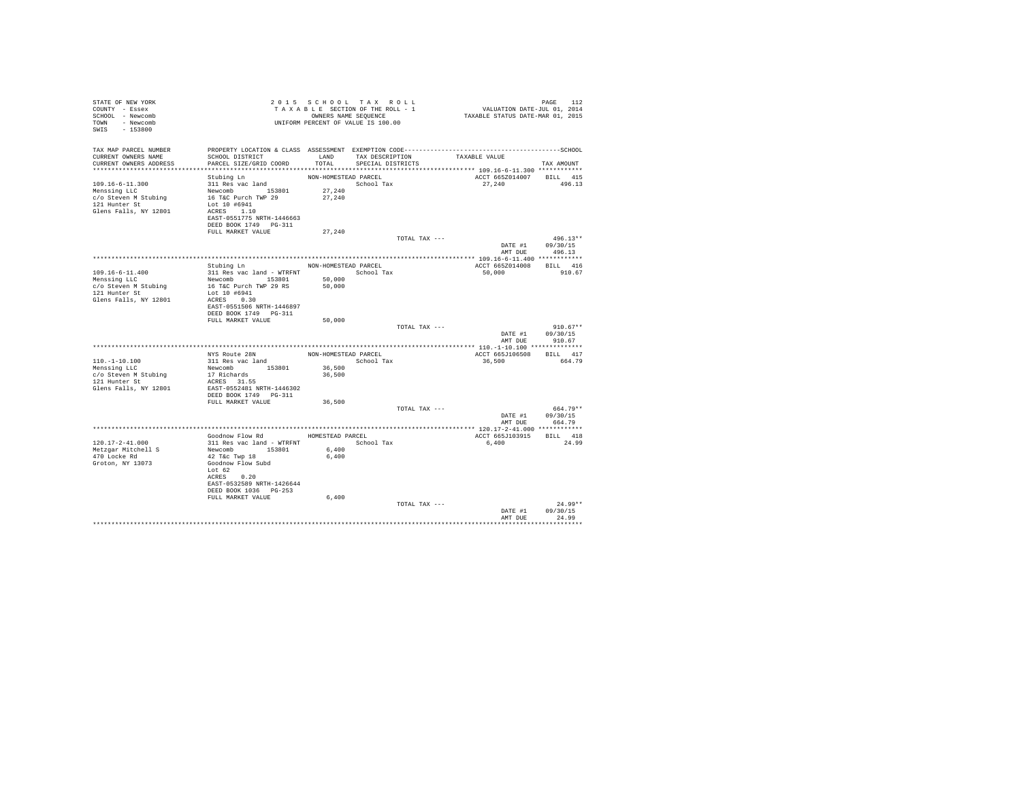| STATE OF NEW YORK<br>COUNTY - Essex<br>SCHOOL - Newcomb<br>TOWN - Newcomb<br>SWIS - 153800              |                                                                                                                                                                                                     | 2015 SCHOOL TAX ROLL<br>TAXABLE SECTION OF THE ROLL - 1<br>OWNERS NAME SEQUENCE<br>UNIFORM PERCENT OF VALUE IS 100.00 |                                           |               | PAGE 112<br>VALUATION DATE-JUL 01, 2014<br>TAXABLE STATUS DATE-MAR 01, 2015 |                                                  |
|---------------------------------------------------------------------------------------------------------|-----------------------------------------------------------------------------------------------------------------------------------------------------------------------------------------------------|-----------------------------------------------------------------------------------------------------------------------|-------------------------------------------|---------------|-----------------------------------------------------------------------------|--------------------------------------------------|
| TAX MAP PARCEL NUMBER<br>CURRENT OWNERS NAME<br>CURRENT OWNERS ADDRESS                                  | PROPERTY LOCATION & CLASS ASSESSMENT EXEMPTION CODE-----------------------------------SCHOOL<br>SCHOOL DISTRICT<br>PARCEL SIZE/GRID COORD                                                           | TOTAL                                                                                                                 | LAND TAX DESCRIPTION<br>SPECIAL DISTRICTS |               | TAXABLE VALUE<br>******************* 109.16-6-11.300 ************           | TAX AMOUNT                                       |
| 109.16-6-11.300<br>Menssing LLC<br>c/o Steven M Stubing<br>121 Hunter St<br>Glens Falls, NY 12801       | Stubing Ln<br>311 Res vac land<br>Newcomb<br>153801<br>16 T&C Purch TWP 29<br>Lot 10 #6941<br>ACRES 1.10<br>EAST-0551775 NRTH-1446663<br>DEED BOOK 1749    PG-311<br>FULL MARKET VALUE              | NON-HOMESTEAD PARCEL<br>School Tax<br>27,240<br>27,240<br>27,240                                                      |                                           |               | ACCT 665Z014007 BILL 415<br>27,240                                          | 496.13                                           |
|                                                                                                         |                                                                                                                                                                                                     |                                                                                                                       |                                           | TOTAL TAX --- | DATE #1 09/30/15<br>AMT DUE                                                 | $496.13**$<br>496.13                             |
| $109.16 - 6 - 11.400$<br>Menssing LLC<br>c/o Steven M Stubing<br>121 Hunter St<br>Glens Falls, NY 12801 | Stubing Ln<br>311 Res vac land - WTRFNT               School Tax<br>Newcomb 153801<br>16 T&C Purch TWP 29 RS<br>Lot 10 #6941<br>ACRES 0.30<br>EAST-0551506 NRTH-1446897                             | NON-HOMESTEAD PARCEL<br>50,000<br>50,000                                                                              |                                           |               | ACCT 665Z014008 BILL 416<br>50,000                                          | 910.67                                           |
|                                                                                                         | DEED BOOK 1749    PG-311<br>FULL MARKET VALUE                                                                                                                                                       | 50,000                                                                                                                |                                           | TOTAL TAX --- | DATE #1 09/30/15                                                            | $910.67**$<br>AMT DUE 910.67                     |
| $110. - 1 - 10.100$<br>Menssing LLC<br>c/o Steven M Stubing<br>121 Hunter St<br>Glens Falls, NY 12801   | NYS Route 28N<br>311 Res vac land<br>Newcomb 153801<br>17 Richards<br>ACRES 31.55<br>EAST-0552481 NRTH-1446302<br>DEED BOOK 1749 PG-311                                                             | NON-HOMESTEAD PARCEL<br>36,500<br>36,500                                                                              | School Tax                                |               | ACCT 665J106508 BILL 417<br>36,500                                          | 664.79                                           |
|                                                                                                         | FULL MARKET VALUE                                                                                                                                                                                   | 36,500                                                                                                                |                                           | TOTAL TAX --- |                                                                             | $664.79**$<br>DATE #1 09/30/15<br>AMT DUE 664.79 |
| 120.17-2-41.000<br>Metzgar Mitchell S<br>470 Locke Rd<br>Groton, NY 13073                               | Goodnow Flow Rd MOMESTEAD PARCEL<br>311 Res vac land - WTRFNT<br>Newcomb 153801<br>42 T&c Twp 18<br>Goodnow Flow Subd<br>Lot 62<br>ACRES 0.20<br>EAST-0532589 NRTH-1426644<br>DEED BOOK 1036 PG-253 | 6,400<br>6.400                                                                                                        | School Tax                                |               | ACCT 665J103915 BILL 418<br>6,400                                           | 24.99                                            |
|                                                                                                         | FULL MARKET VALUE                                                                                                                                                                                   | 6,400                                                                                                                 |                                           | TOTAL TAX --- | DATE #1<br>AMT DUE                                                          | $24.99**$<br>09/30/15<br>24.99                   |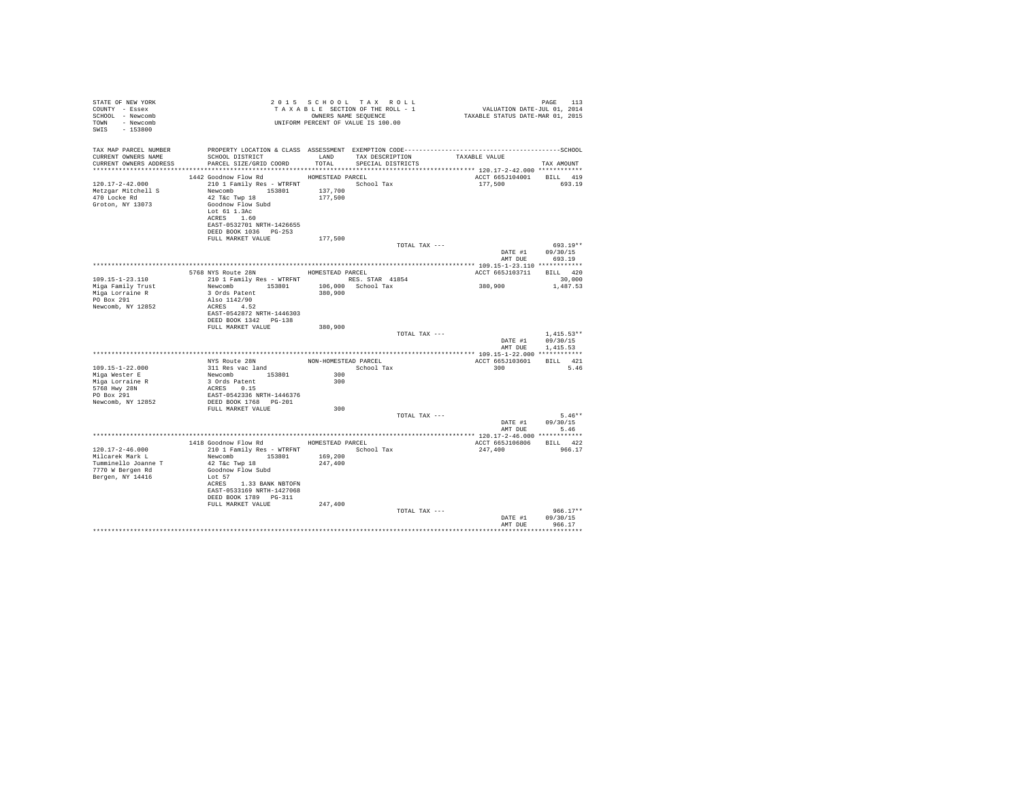| TAX MAP PARCEL NUMBER PROPERTY LOCATION & CLASS ASSESSMENT EXEMPTION CODE----------------------------------SCHOOL<br>CURRENT OWNERS NAME<br>CURRENT OWNERS ADDRESS<br>PARCEL SIZE/GRID COORD<br>TOTAL<br>SPECIAL DISTRICTS<br>TAX AMOUNT<br>HOMESTEAD PARCEL<br>ACCT 665J104001 BILL 419<br>1442 Goodnow Flow Rd<br>210 1 Family Res - WTRFNT School Tax<br>$120.17 - 2 - 42.000$<br>177.500 693.19<br>Metzgar Mitchell S<br>470 Locke Rd<br>137,700<br>Newcomb 153801<br>42 T&C Twp 18<br>177,500<br>Groton, NY 13073<br>Goodnow Flow Subd<br>Lot 61 1.3Ac<br>ACRES 1.60<br>EAST-0532701 NRTH-1426655<br>DEED BOOK 1036 PG-253<br>FULL MARKET VALUE<br>177,500<br>TOTAL TAX ---<br>$693.19**$<br>DATE #1 09/30/15<br>AMT DUE 693.19<br>5768 NYS Route 28N HOMESTEAD PARCEL<br>ACCT 665J103711 BILL 420<br>210 1 Family Res - WTRFNT<br>Newcomb 153801 106,000 School Tax<br>3 Ords Patent 153801 106,000 School Tax<br>$109.15 - 1 - 23.110$<br>30,000<br>380,900<br>1,487.53<br>Miga Family Trust<br>Miga Lorraine R<br>PO Box 291<br>Also 1142/90<br>Newcomb, NY 12852<br>ACRES 4.52<br>EAST-0542872 NRTH-1446303<br>DEED BOOK 1342    PG-138<br>FULL MARKET VALUE<br>380,900<br>TOTAL TAX ---<br>$1.415.53**$<br>DATE #1 09/30/15<br>AMT DUE<br>1,415.53<br>NYS Route 28N MON-HOMESTEAD PARCEL ACCT 665J103601<br>BILL 421<br>109.15-1-22.000<br>$\frac{300}{200}$<br>300<br>311 Res vac land<br>School Tax<br>5.46<br>Miga Wester E<br>Newcomb 153801<br>3 Ords Patent<br>ACRES 0.15<br>300<br>Miga Lorraine R<br>5768 Hwy 28N<br>PO Box 291<br>EAST-0542336 NRTH-1446376<br>Newcomb, NY 12852<br>DEED BOOK 1768 PG-201<br>300<br>FULL MARKET VALUE<br>$5.46**$<br>TOTAL TAX ---<br>DATE #1 09/30/15<br>AMT DUE 5.46<br>1418 Goodnow Flow Rd MOMESTEAD PARCEL<br>ACCT 665J106806 BILL 422<br>210 1 Family Res - WTRFNT School Tax<br>Newcomb 153801 169,200<br>120.17-2-46.000<br>247,400<br>966.17<br>Milcarek Mark L<br>42 T&c Twp 18<br>Tumminello Joanne T<br>247,400<br>7770 W Bergen Rd<br>Goodnow Flow Subd<br>Bergen, NY 14416<br>Lot 57<br>ACRES 1.33 BANK NBTOFN<br>EAST-0533169 NRTH-1427068<br>DEED BOOK 1789 PG-311<br>247,400<br>FULL MARKET VALUE<br>$966.17**$<br>TOTAL TAX ---<br>DATE #1 09/30/15<br>AMT DUE<br>966.17 | STATE OF NEW YORK<br>COUNTY - Essex<br>SCHOOL - Newcomb<br>TOWN - Newcomb<br>SWIS - 153800 |  | 2015 SCHOOL TAX ROLL<br>UNIFORM PERCENT OF VALUE IS 100.00 | ווער איז א מעונד איז א מעונד בא א בו של האיז א בי של האיז היא הא בי של האיז היא הא בי הי בי הי בי הי בי הי בי<br>TA XA B LE SECTION OF THE ROLL - 1 שנת הא ב-DINNERS NAME SEQUENCE TAXABLE STATUS DATE-MAR 01, 2015 | PAGE<br>113 |
|-----------------------------------------------------------------------------------------------------------------------------------------------------------------------------------------------------------------------------------------------------------------------------------------------------------------------------------------------------------------------------------------------------------------------------------------------------------------------------------------------------------------------------------------------------------------------------------------------------------------------------------------------------------------------------------------------------------------------------------------------------------------------------------------------------------------------------------------------------------------------------------------------------------------------------------------------------------------------------------------------------------------------------------------------------------------------------------------------------------------------------------------------------------------------------------------------------------------------------------------------------------------------------------------------------------------------------------------------------------------------------------------------------------------------------------------------------------------------------------------------------------------------------------------------------------------------------------------------------------------------------------------------------------------------------------------------------------------------------------------------------------------------------------------------------------------------------------------------------------------------------------------------------------------------------------------------------------------------------------------------------------------------------------------------------------------------------------------------------------------------------------------------------------------------------------------------------------------------------------------------|--------------------------------------------------------------------------------------------|--|------------------------------------------------------------|---------------------------------------------------------------------------------------------------------------------------------------------------------------------------------------------------------------------|-------------|
|                                                                                                                                                                                                                                                                                                                                                                                                                                                                                                                                                                                                                                                                                                                                                                                                                                                                                                                                                                                                                                                                                                                                                                                                                                                                                                                                                                                                                                                                                                                                                                                                                                                                                                                                                                                                                                                                                                                                                                                                                                                                                                                                                                                                                                               |                                                                                            |  |                                                            |                                                                                                                                                                                                                     |             |
|                                                                                                                                                                                                                                                                                                                                                                                                                                                                                                                                                                                                                                                                                                                                                                                                                                                                                                                                                                                                                                                                                                                                                                                                                                                                                                                                                                                                                                                                                                                                                                                                                                                                                                                                                                                                                                                                                                                                                                                                                                                                                                                                                                                                                                               |                                                                                            |  |                                                            |                                                                                                                                                                                                                     |             |
|                                                                                                                                                                                                                                                                                                                                                                                                                                                                                                                                                                                                                                                                                                                                                                                                                                                                                                                                                                                                                                                                                                                                                                                                                                                                                                                                                                                                                                                                                                                                                                                                                                                                                                                                                                                                                                                                                                                                                                                                                                                                                                                                                                                                                                               |                                                                                            |  |                                                            |                                                                                                                                                                                                                     |             |
|                                                                                                                                                                                                                                                                                                                                                                                                                                                                                                                                                                                                                                                                                                                                                                                                                                                                                                                                                                                                                                                                                                                                                                                                                                                                                                                                                                                                                                                                                                                                                                                                                                                                                                                                                                                                                                                                                                                                                                                                                                                                                                                                                                                                                                               |                                                                                            |  |                                                            |                                                                                                                                                                                                                     |             |
|                                                                                                                                                                                                                                                                                                                                                                                                                                                                                                                                                                                                                                                                                                                                                                                                                                                                                                                                                                                                                                                                                                                                                                                                                                                                                                                                                                                                                                                                                                                                                                                                                                                                                                                                                                                                                                                                                                                                                                                                                                                                                                                                                                                                                                               |                                                                                            |  |                                                            |                                                                                                                                                                                                                     |             |
|                                                                                                                                                                                                                                                                                                                                                                                                                                                                                                                                                                                                                                                                                                                                                                                                                                                                                                                                                                                                                                                                                                                                                                                                                                                                                                                                                                                                                                                                                                                                                                                                                                                                                                                                                                                                                                                                                                                                                                                                                                                                                                                                                                                                                                               |                                                                                            |  |                                                            |                                                                                                                                                                                                                     |             |
|                                                                                                                                                                                                                                                                                                                                                                                                                                                                                                                                                                                                                                                                                                                                                                                                                                                                                                                                                                                                                                                                                                                                                                                                                                                                                                                                                                                                                                                                                                                                                                                                                                                                                                                                                                                                                                                                                                                                                                                                                                                                                                                                                                                                                                               |                                                                                            |  |                                                            |                                                                                                                                                                                                                     |             |
|                                                                                                                                                                                                                                                                                                                                                                                                                                                                                                                                                                                                                                                                                                                                                                                                                                                                                                                                                                                                                                                                                                                                                                                                                                                                                                                                                                                                                                                                                                                                                                                                                                                                                                                                                                                                                                                                                                                                                                                                                                                                                                                                                                                                                                               |                                                                                            |  |                                                            |                                                                                                                                                                                                                     |             |
|                                                                                                                                                                                                                                                                                                                                                                                                                                                                                                                                                                                                                                                                                                                                                                                                                                                                                                                                                                                                                                                                                                                                                                                                                                                                                                                                                                                                                                                                                                                                                                                                                                                                                                                                                                                                                                                                                                                                                                                                                                                                                                                                                                                                                                               |                                                                                            |  |                                                            |                                                                                                                                                                                                                     |             |
|                                                                                                                                                                                                                                                                                                                                                                                                                                                                                                                                                                                                                                                                                                                                                                                                                                                                                                                                                                                                                                                                                                                                                                                                                                                                                                                                                                                                                                                                                                                                                                                                                                                                                                                                                                                                                                                                                                                                                                                                                                                                                                                                                                                                                                               |                                                                                            |  |                                                            |                                                                                                                                                                                                                     |             |
|                                                                                                                                                                                                                                                                                                                                                                                                                                                                                                                                                                                                                                                                                                                                                                                                                                                                                                                                                                                                                                                                                                                                                                                                                                                                                                                                                                                                                                                                                                                                                                                                                                                                                                                                                                                                                                                                                                                                                                                                                                                                                                                                                                                                                                               |                                                                                            |  |                                                            |                                                                                                                                                                                                                     |             |
|                                                                                                                                                                                                                                                                                                                                                                                                                                                                                                                                                                                                                                                                                                                                                                                                                                                                                                                                                                                                                                                                                                                                                                                                                                                                                                                                                                                                                                                                                                                                                                                                                                                                                                                                                                                                                                                                                                                                                                                                                                                                                                                                                                                                                                               |                                                                                            |  |                                                            |                                                                                                                                                                                                                     |             |
|                                                                                                                                                                                                                                                                                                                                                                                                                                                                                                                                                                                                                                                                                                                                                                                                                                                                                                                                                                                                                                                                                                                                                                                                                                                                                                                                                                                                                                                                                                                                                                                                                                                                                                                                                                                                                                                                                                                                                                                                                                                                                                                                                                                                                                               |                                                                                            |  |                                                            |                                                                                                                                                                                                                     |             |
|                                                                                                                                                                                                                                                                                                                                                                                                                                                                                                                                                                                                                                                                                                                                                                                                                                                                                                                                                                                                                                                                                                                                                                                                                                                                                                                                                                                                                                                                                                                                                                                                                                                                                                                                                                                                                                                                                                                                                                                                                                                                                                                                                                                                                                               |                                                                                            |  |                                                            |                                                                                                                                                                                                                     |             |
|                                                                                                                                                                                                                                                                                                                                                                                                                                                                                                                                                                                                                                                                                                                                                                                                                                                                                                                                                                                                                                                                                                                                                                                                                                                                                                                                                                                                                                                                                                                                                                                                                                                                                                                                                                                                                                                                                                                                                                                                                                                                                                                                                                                                                                               |                                                                                            |  |                                                            |                                                                                                                                                                                                                     |             |
|                                                                                                                                                                                                                                                                                                                                                                                                                                                                                                                                                                                                                                                                                                                                                                                                                                                                                                                                                                                                                                                                                                                                                                                                                                                                                                                                                                                                                                                                                                                                                                                                                                                                                                                                                                                                                                                                                                                                                                                                                                                                                                                                                                                                                                               |                                                                                            |  |                                                            |                                                                                                                                                                                                                     |             |
|                                                                                                                                                                                                                                                                                                                                                                                                                                                                                                                                                                                                                                                                                                                                                                                                                                                                                                                                                                                                                                                                                                                                                                                                                                                                                                                                                                                                                                                                                                                                                                                                                                                                                                                                                                                                                                                                                                                                                                                                                                                                                                                                                                                                                                               |                                                                                            |  |                                                            |                                                                                                                                                                                                                     |             |
|                                                                                                                                                                                                                                                                                                                                                                                                                                                                                                                                                                                                                                                                                                                                                                                                                                                                                                                                                                                                                                                                                                                                                                                                                                                                                                                                                                                                                                                                                                                                                                                                                                                                                                                                                                                                                                                                                                                                                                                                                                                                                                                                                                                                                                               |                                                                                            |  |                                                            |                                                                                                                                                                                                                     |             |
|                                                                                                                                                                                                                                                                                                                                                                                                                                                                                                                                                                                                                                                                                                                                                                                                                                                                                                                                                                                                                                                                                                                                                                                                                                                                                                                                                                                                                                                                                                                                                                                                                                                                                                                                                                                                                                                                                                                                                                                                                                                                                                                                                                                                                                               |                                                                                            |  |                                                            |                                                                                                                                                                                                                     |             |
|                                                                                                                                                                                                                                                                                                                                                                                                                                                                                                                                                                                                                                                                                                                                                                                                                                                                                                                                                                                                                                                                                                                                                                                                                                                                                                                                                                                                                                                                                                                                                                                                                                                                                                                                                                                                                                                                                                                                                                                                                                                                                                                                                                                                                                               |                                                                                            |  |                                                            |                                                                                                                                                                                                                     |             |
|                                                                                                                                                                                                                                                                                                                                                                                                                                                                                                                                                                                                                                                                                                                                                                                                                                                                                                                                                                                                                                                                                                                                                                                                                                                                                                                                                                                                                                                                                                                                                                                                                                                                                                                                                                                                                                                                                                                                                                                                                                                                                                                                                                                                                                               |                                                                                            |  |                                                            |                                                                                                                                                                                                                     |             |
|                                                                                                                                                                                                                                                                                                                                                                                                                                                                                                                                                                                                                                                                                                                                                                                                                                                                                                                                                                                                                                                                                                                                                                                                                                                                                                                                                                                                                                                                                                                                                                                                                                                                                                                                                                                                                                                                                                                                                                                                                                                                                                                                                                                                                                               |                                                                                            |  |                                                            |                                                                                                                                                                                                                     |             |
|                                                                                                                                                                                                                                                                                                                                                                                                                                                                                                                                                                                                                                                                                                                                                                                                                                                                                                                                                                                                                                                                                                                                                                                                                                                                                                                                                                                                                                                                                                                                                                                                                                                                                                                                                                                                                                                                                                                                                                                                                                                                                                                                                                                                                                               |                                                                                            |  |                                                            |                                                                                                                                                                                                                     |             |
|                                                                                                                                                                                                                                                                                                                                                                                                                                                                                                                                                                                                                                                                                                                                                                                                                                                                                                                                                                                                                                                                                                                                                                                                                                                                                                                                                                                                                                                                                                                                                                                                                                                                                                                                                                                                                                                                                                                                                                                                                                                                                                                                                                                                                                               |                                                                                            |  |                                                            |                                                                                                                                                                                                                     |             |
|                                                                                                                                                                                                                                                                                                                                                                                                                                                                                                                                                                                                                                                                                                                                                                                                                                                                                                                                                                                                                                                                                                                                                                                                                                                                                                                                                                                                                                                                                                                                                                                                                                                                                                                                                                                                                                                                                                                                                                                                                                                                                                                                                                                                                                               |                                                                                            |  |                                                            |                                                                                                                                                                                                                     | **********  |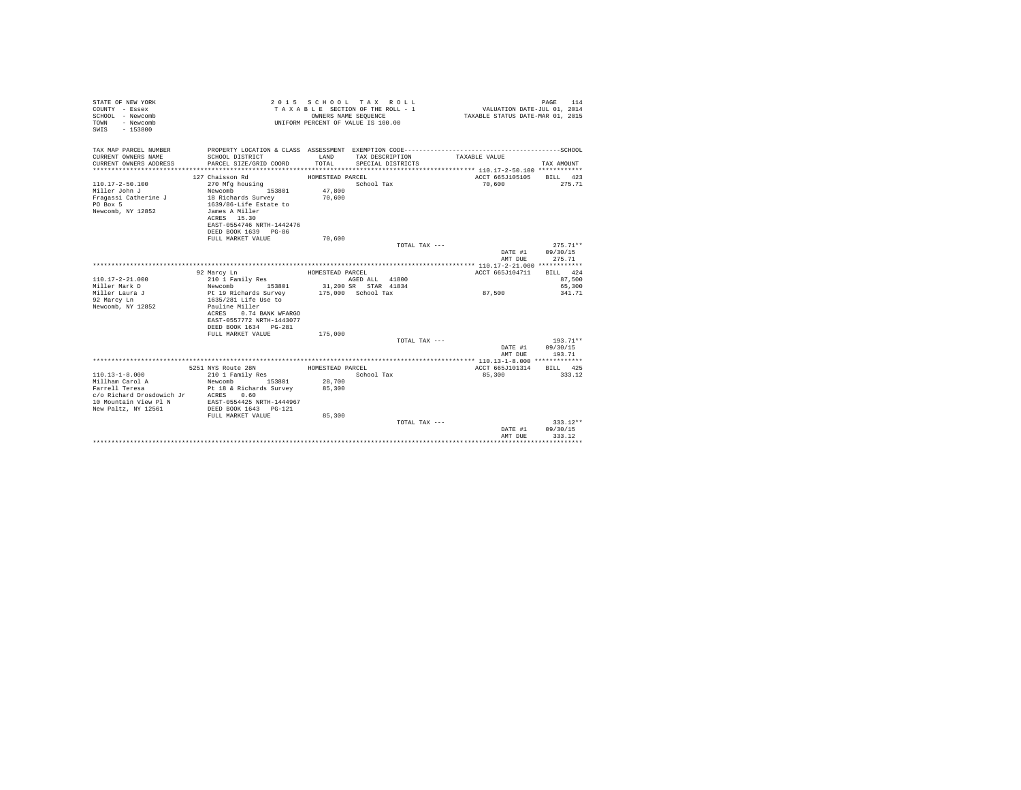| STATE OF NEW YORK<br>COUNTY - Essex<br>SCHOOL - Newcomb<br>TOWN<br>- Newcomb<br>$-153800$<br>SWIS |                                                    | OWNERS NAME SEQUENCE | 2015 SCHOOL TAX ROLL<br>TAXABLE SECTION OF THE ROLL - 1<br>UNIFORM PERCENT OF VALUE IS 100.00 | VALUATION DATE-JUL 01, 2014<br>TAXABLE STATUS DATE-MAR 01, 2015 | PAGE<br>114 |
|---------------------------------------------------------------------------------------------------|----------------------------------------------------|----------------------|-----------------------------------------------------------------------------------------------|-----------------------------------------------------------------|-------------|
| TAX MAP PARCEL NUMBER                                                                             |                                                    |                      |                                                                                               |                                                                 |             |
| CURRENT OWNERS NAME                                                                               | SCHOOL DISTRICT                                    | LAND                 | TAX DESCRIPTION                                                                               | TAXABLE VALUE                                                   |             |
| CURRENT OWNERS ADDRESS                                                                            | PARCEL SIZE/GRID COORD                             | TOTAL.               | SPECIAL DISTRICTS                                                                             |                                                                 | TAX AMOUNT  |
|                                                                                                   |                                                    |                      |                                                                                               |                                                                 |             |
|                                                                                                   | 127 Chaisson Rd                                    | HOMESTEAD PARCEL     |                                                                                               | ACCT 665J105105                                                 | BILL 423    |
| $110.17 - 2 - 50.100$                                                                             | 270 Mfg housing                                    |                      | School Tax                                                                                    | 70,600                                                          | 275.71      |
| Miller John J                                                                                     | 153801<br>Newcomb                                  | 47,800               |                                                                                               |                                                                 |             |
| Fragassi Catherine J                                                                              | 18 Richards Survey                                 | 70,600               |                                                                                               |                                                                 |             |
| PO Box 5                                                                                          | 1639/86-Life Estate to                             |                      |                                                                                               |                                                                 |             |
| Newcomb, NY 12852                                                                                 | James A Miller                                     |                      |                                                                                               |                                                                 |             |
|                                                                                                   | ACRES 15.30                                        |                      |                                                                                               |                                                                 |             |
|                                                                                                   | EAST-0554746 NRTH-1442476                          |                      |                                                                                               |                                                                 |             |
|                                                                                                   | DEED BOOK 1639 PG-86<br>FULL MARKET VALUE          | 70,600               |                                                                                               |                                                                 |             |
|                                                                                                   |                                                    |                      | TOTAL TAX ---                                                                                 |                                                                 | $275.71**$  |
|                                                                                                   |                                                    |                      |                                                                                               | DATE #1                                                         | 09/30/15    |
|                                                                                                   |                                                    |                      |                                                                                               | AMT DUE                                                         | 275.71      |
|                                                                                                   |                                                    |                      |                                                                                               |                                                                 |             |
|                                                                                                   | 92 Marcy Ln                                        | HOMESTEAD PARCEL     |                                                                                               | ACCT 665J104711                                                 | BILL 424    |
| $110.17 - 2 - 21.000$                                                                             | 210 1 Family Res                                   |                      | AGED ALL 41800                                                                                |                                                                 | 87,500      |
| Miller Mark D                                                                                     | Newcomb<br>153801                                  |                      | 31,200 SR STAR 41834                                                                          |                                                                 | 65,300      |
| Miller Laura J                                                                                    | Pt 19 Richards Survey                              |                      | 175,000 School Tax                                                                            | 87,500                                                          | 341.71      |
| 92 Marcy Ln                                                                                       | 1635/281 Life Use to                               |                      |                                                                                               |                                                                 |             |
| Newcomb, NY 12852                                                                                 | Pauline Miller                                     |                      |                                                                                               |                                                                 |             |
|                                                                                                   | 0.74 BANK WFARGO<br>ACRES                          |                      |                                                                                               |                                                                 |             |
|                                                                                                   | EAST-0557772 NRTH-1443077<br>DEED BOOK 1634 PG-281 |                      |                                                                                               |                                                                 |             |
|                                                                                                   | FULL MARKET VALUE                                  | 175,000              |                                                                                               |                                                                 |             |
|                                                                                                   |                                                    |                      | TOTAL TAX $---$                                                                               |                                                                 | $193.71**$  |
|                                                                                                   |                                                    |                      |                                                                                               | DATE #1                                                         | 09/30/15    |
|                                                                                                   |                                                    |                      |                                                                                               | AMT DUE                                                         | 193.71      |
|                                                                                                   |                                                    |                      |                                                                                               |                                                                 |             |
|                                                                                                   | 5251 NYS Route 28N                                 | HOMESTEAD PARCEL     |                                                                                               | ACCT 665J101314                                                 | BILL 425    |
| $110.13 - 1 - 8.000$                                                                              | 210 1 Family Res                                   |                      | School Tax                                                                                    | 85,300                                                          | 333.12      |
| Millham Carol A                                                                                   | Newcomb<br>153801                                  | 28,700               |                                                                                               |                                                                 |             |
| Farrell Teresa                                                                                    | Pt 18 & Richards Survey                            | 85,300               |                                                                                               |                                                                 |             |
| c/o Richard Drosdowich Jr ACRES 0.60                                                              |                                                    |                      |                                                                                               |                                                                 |             |
| 10 Mountain View Pl N                                                                             | EAST-0554425 NRTH-1444967                          |                      |                                                                                               |                                                                 |             |
| New Paltz, NY 12561                                                                               | DEED BOOK 1643 PG-121                              |                      |                                                                                               |                                                                 |             |
|                                                                                                   | FULL MARKET VALUE                                  | 85,300               | TOTAL TAX ---                                                                                 |                                                                 | $333.12**$  |
|                                                                                                   |                                                    |                      |                                                                                               | DATE #1                                                         | 09/30/15    |
|                                                                                                   |                                                    |                      |                                                                                               | AMT DUE                                                         | 333.12      |
|                                                                                                   |                                                    |                      |                                                                                               |                                                                 |             |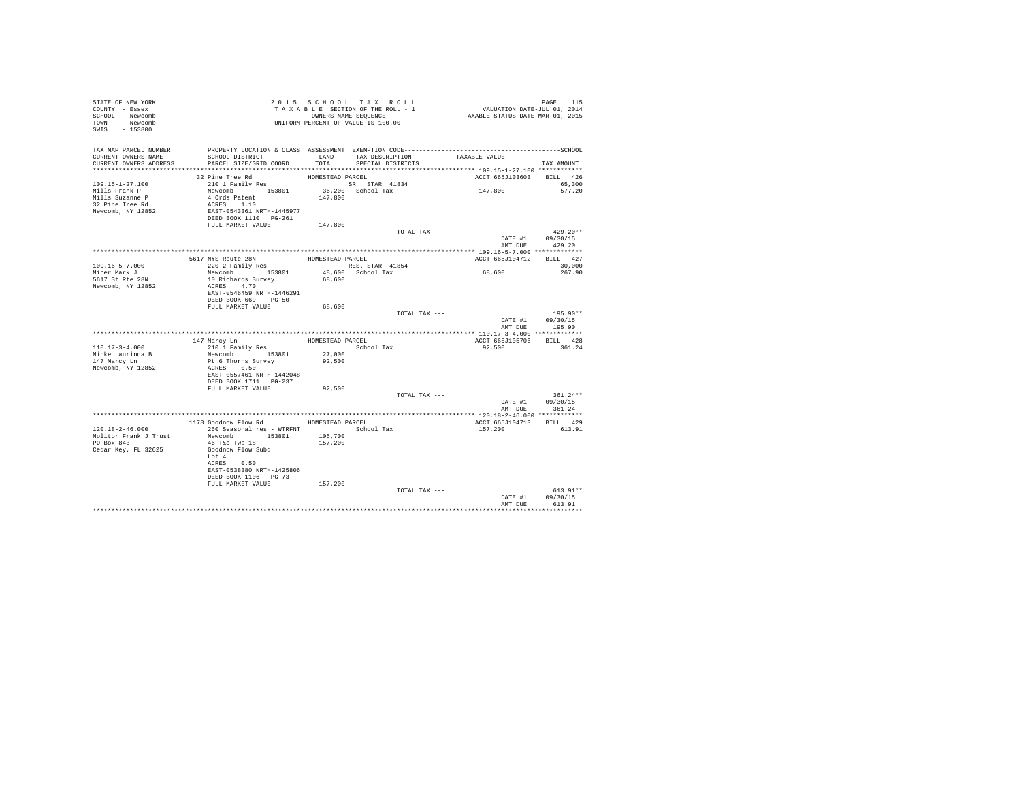| STATE OF NEW YORK<br>COUNTY - Essex<br>SCHOOL - Newcomb<br>TOWN - Newcomb<br>SWIS - 153800 | TAXABLE SECTION OF THE RULL - 1<br>TAXABLE SECTION OF THE RULL - 1<br>ONNERS NAME SEQUENCE<br>UNIFORM PERCENT OF VALUE IS 100.00 |                  | TAXABLE SECTION OF THE ROLL - 1<br>OWNERS NAME SEQUENCE | PAGE 115<br>VALUATION DATE-JUL 01, 2014<br>TAXABLE STATUS DATE-MAR 01, 2015 |                    |
|--------------------------------------------------------------------------------------------|----------------------------------------------------------------------------------------------------------------------------------|------------------|---------------------------------------------------------|-----------------------------------------------------------------------------|--------------------|
|                                                                                            |                                                                                                                                  |                  |                                                         |                                                                             |                    |
| CURRENT OWNERS NAME<br>CURRENT OWNERS ADDRESS                                              | SCHOOL DISTRICT<br>PARCEL SIZE/GRID COORD                                                                                        |                  | TOTAL SPECIAL DISTRICTS                                 | LAND TAX DESCRIPTION TAXABLE VALUE                                          | TAX AMOUNT         |
|                                                                                            |                                                                                                                                  |                  |                                                         |                                                                             |                    |
|                                                                                            | 32 Pine Tree Rd                                                                                                                  | HOMESTEAD PARCEL |                                                         | ACCT 665J103603 BILL 426                                                    |                    |
| $109.15 - 1 - 27.100$                                                                      | 210 1 Family Res                                                                                                                 |                  | SR STAR 41834                                           |                                                                             | 65,300             |
| Mills Frank P                                                                              | Newcomb 153801 36,200 School Tax                                                                                                 |                  |                                                         | 147,800                                                                     | 577.20             |
| Mills Suzanne P                                                                            | 4 Ords Patent<br>ACRES 1.10                                                                                                      | 147,800          |                                                         |                                                                             |                    |
| 32 Pine Tree Rd                                                                            |                                                                                                                                  |                  |                                                         |                                                                             |                    |
| Newcomb, NY 12852                                                                          | EAST-0543361 NRTH-1445977<br>DEED BOOK 1110 PG-261                                                                               |                  |                                                         |                                                                             |                    |
|                                                                                            | FULL MARKET VALUE                                                                                                                | 147,800          |                                                         |                                                                             |                    |
|                                                                                            |                                                                                                                                  |                  |                                                         | TOTAL TAX ---                                                               | $429.20**$         |
|                                                                                            |                                                                                                                                  |                  |                                                         |                                                                             | DATE #1 09/30/15   |
|                                                                                            |                                                                                                                                  |                  |                                                         |                                                                             | AMT DUE 429.20     |
|                                                                                            |                                                                                                                                  |                  |                                                         |                                                                             |                    |
|                                                                                            | 5617 NYS Route 28N<br>220 2 Family Res                                                                                           |                  | HOMESTEAD PARCEL                                        | ACCT 665J104712 BILL 427                                                    |                    |
| 109.16-5-7.000                                                                             |                                                                                                                                  |                  | RES. STAR 41854                                         |                                                                             | 30,000             |
| Miner Mark J                                                                               | Newcomb 153801                                                                                                                   |                  | 48,600 School Tax<br>68,600                             | 68,600                                                                      | 267.90             |
| 5617 St Rte 28N                                                                            | 10 Richards Survey                                                                                                               |                  |                                                         |                                                                             |                    |
| Newcomb, NY 12852                                                                          | ACRES 4.70<br>EAST-0546459 NRTH-1446291                                                                                          |                  |                                                         |                                                                             |                    |
|                                                                                            | DEED BOOK 669 PG-50                                                                                                              |                  |                                                         |                                                                             |                    |
|                                                                                            | FULL MARKET VALUE                                                                                                                | 68,600           |                                                         |                                                                             |                    |
|                                                                                            |                                                                                                                                  |                  |                                                         | TOTAL TAX ---                                                               | $195.90**$         |
|                                                                                            |                                                                                                                                  |                  |                                                         |                                                                             | DATE #1 09/30/15   |
|                                                                                            |                                                                                                                                  |                  |                                                         | AMT DUE                                                                     | 195.90             |
|                                                                                            |                                                                                                                                  |                  |                                                         |                                                                             |                    |
|                                                                                            | 147 Marcy Ln                                                                                                                     |                  | HOMESTEAD PARCEL                                        | ACCT 665J105706                                                             | BILL 428           |
| $110.17 - 3 - 4.000$                                                                       | 210 1 Family Res                                                                                                                 |                  | School Tax                                              | 92.500                                                                      | 361.24             |
| Minke Laurinda B<br>147 Marcy Ln                                                           | Newcomb 153801                                                                                                                   | 27,000           |                                                         |                                                                             |                    |
| Newcomb, NY 12852                                                                          | Pt 6 Thorns Survey<br>ACRES 0.50                                                                                                 | 92,500           |                                                         |                                                                             |                    |
|                                                                                            | EAST-0557461 NRTH-1442048                                                                                                        |                  |                                                         |                                                                             |                    |
|                                                                                            | DEED BOOK 1711 PG-237                                                                                                            |                  |                                                         |                                                                             |                    |
|                                                                                            | FULL MARKET VALUE                                                                                                                | 92,500           |                                                         |                                                                             |                    |
|                                                                                            |                                                                                                                                  |                  |                                                         | TOTAL TAX ---                                                               | $361.24**$         |
|                                                                                            |                                                                                                                                  |                  |                                                         |                                                                             | DATE #1 09/30/15   |
|                                                                                            |                                                                                                                                  |                  |                                                         | AMT DUE                                                                     | 361.24             |
|                                                                                            |                                                                                                                                  |                  |                                                         |                                                                             |                    |
|                                                                                            | 1178 Goodnow Flow Rd MOMESTEAD PARCEL                                                                                            |                  |                                                         | ACCT 665J104713 BILL 429                                                    |                    |
| $120.18 - 2 - 46.000$<br>Molitor Frank J Trust                                             | 260 Seasonal res - WTRFNT<br>Newcomb 153801                                                                                      | 105,700          | School Tax                                              | 157,200                                                                     | 613.91             |
| PO Box 843                                                                                 | 46 T&C Twp 18                                                                                                                    | 157.200          |                                                         |                                                                             |                    |
| Cedar Key, FL 32625                                                                        | Goodnow Flow Subd                                                                                                                |                  |                                                         |                                                                             |                    |
|                                                                                            | Lot 4                                                                                                                            |                  |                                                         |                                                                             |                    |
|                                                                                            | ACRES 0.50                                                                                                                       |                  |                                                         |                                                                             |                    |
|                                                                                            | EAST-0538380 NRTH-1425806                                                                                                        |                  |                                                         |                                                                             |                    |
|                                                                                            | DEED BOOK 1106 PG-73                                                                                                             |                  |                                                         |                                                                             |                    |
|                                                                                            | FULL MARKET VALUE                                                                                                                | 157,200          |                                                         |                                                                             |                    |
|                                                                                            |                                                                                                                                  |                  | TOTAL TAX ---                                           |                                                                             | $613.91**$         |
|                                                                                            |                                                                                                                                  |                  |                                                         | DATE #1<br>AMT DUE                                                          | 09/30/15<br>613.91 |
|                                                                                            |                                                                                                                                  |                  |                                                         |                                                                             |                    |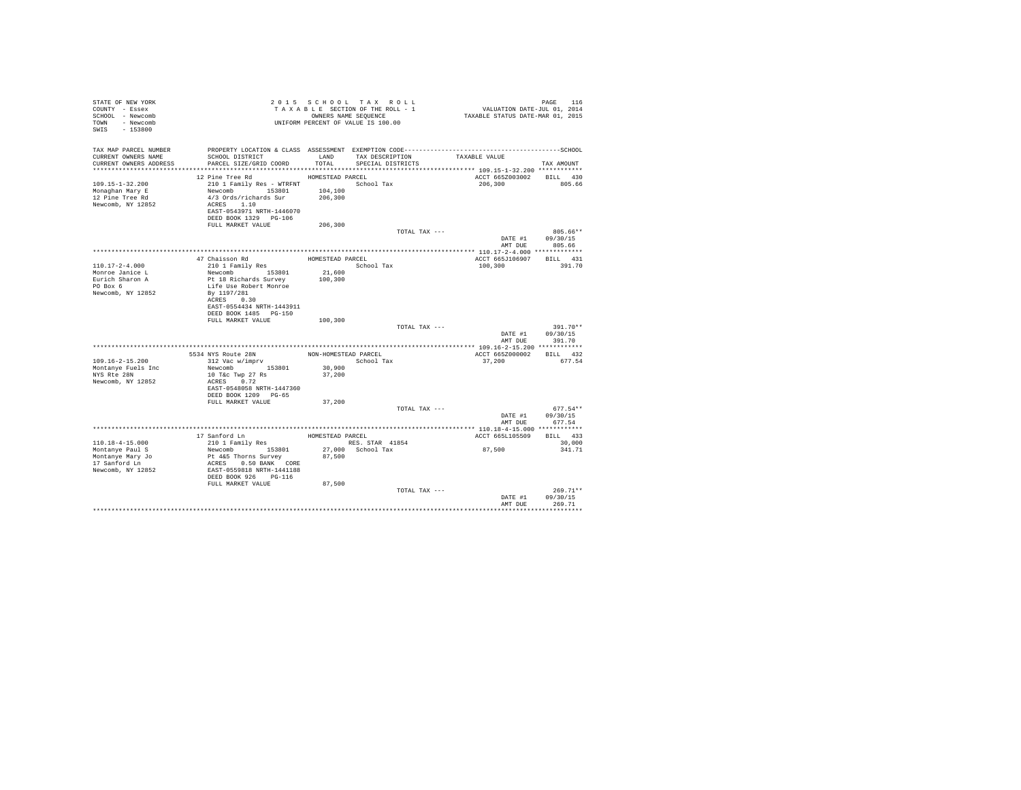| STATE OF NEW YORK<br>COUNTY - Essex<br>SCHOOL - Newcomb<br>TOWN - Newcomb<br>SWIS - 153800 |                                                   |                   | 2015 SCHOOL TAX ROLL<br>TAXABLE SECTION OF THE ROLL - 1<br>OWNERS NAME SEQUENCE<br>UNIFORM PERCENT OF VALUE IS 100.00 | PAGE 116<br>VALUATION DATE-JUL 01, 2014<br>TAXABLE STATUS DATE-MAR 01, 2015                                   |                  |
|--------------------------------------------------------------------------------------------|---------------------------------------------------|-------------------|-----------------------------------------------------------------------------------------------------------------------|---------------------------------------------------------------------------------------------------------------|------------------|
| TAX MAP PARCEL NUMBER<br>CURRENT OWNERS NAME                                               | SCHOOL DISTRICT                                   |                   | LAND TAX DESCRIPTION                                                                                                  | PROPERTY LOCATION & CLASS ASSESSMENT EXEMPTION CODE-----------------------------------SCHOOL<br>TAXABLE VALUE |                  |
| CURRENT OWNERS ADDRESS                                                                     | PARCEL SIZE/GRID COORD                            | TOTAL             | SPECIAL DISTRICTS                                                                                                     |                                                                                                               | TAX AMOUNT       |
|                                                                                            |                                                   |                   |                                                                                                                       |                                                                                                               |                  |
|                                                                                            | 12 Pine Tree Rd                                   | HOMESTEAD PARCEL  |                                                                                                                       | ACCT 665Z003002 BILL 430                                                                                      |                  |
| $109.15 - 1 - 32.200$                                                                      | 210 1 Family Res - WTRFNT                         | 104,100           | School Tax                                                                                                            | 206,300                                                                                                       | 805.66           |
| Monaghan Mary E<br>12 Pine Tree Rd                                                         | Newcomb 153801<br>4/3 Ords/richards Sur           | 206,300           |                                                                                                                       |                                                                                                               |                  |
| Newcomb, NY 12852                                                                          | ACRES 1.10                                        |                   |                                                                                                                       |                                                                                                               |                  |
|                                                                                            | EAST-0543971 NRTH-1446070                         |                   |                                                                                                                       |                                                                                                               |                  |
|                                                                                            | DEED BOOK 1329 PG-106                             |                   |                                                                                                                       |                                                                                                               |                  |
|                                                                                            | FULL MARKET VALUE                                 | 206,300           |                                                                                                                       |                                                                                                               |                  |
|                                                                                            |                                                   |                   | TOTAL TAX ---                                                                                                         |                                                                                                               | 805.66**         |
|                                                                                            |                                                   |                   |                                                                                                                       |                                                                                                               | DATE #1 09/30/15 |
|                                                                                            |                                                   |                   |                                                                                                                       |                                                                                                               | AMT DUE 805.66   |
|                                                                                            |                                                   |                   |                                                                                                                       |                                                                                                               |                  |
|                                                                                            | 47 Chaisson Rd                                    | HOMESTEAD PARCEL  |                                                                                                                       | ACCT 665J106907 BILL 431                                                                                      |                  |
| 110.17-2-4.000                                                                             | 210 1 Family Res                                  |                   | School Tax                                                                                                            | 100,300                                                                                                       | 391.70           |
| Monroe Janice L<br>Eurich Sharon A                                                         | Newcomb 153801<br>Pt 18 Richards Survey           | 21,600<br>100,300 |                                                                                                                       |                                                                                                               |                  |
|                                                                                            |                                                   |                   |                                                                                                                       |                                                                                                               |                  |
| PO Box 6<br>Newcomb, NY 12852                                                              | Life Use Robert Monroe<br>By 1197/281             |                   |                                                                                                                       |                                                                                                               |                  |
|                                                                                            | ACRES 0.30                                        |                   |                                                                                                                       |                                                                                                               |                  |
|                                                                                            | EAST-0554434 NRTH-1443911                         |                   |                                                                                                                       |                                                                                                               |                  |
|                                                                                            | DEED BOOK 1485 PG-150                             |                   |                                                                                                                       |                                                                                                               |                  |
|                                                                                            | FULL MARKET VALUE                                 | 100,300           |                                                                                                                       |                                                                                                               |                  |
|                                                                                            |                                                   |                   | TOTAL TAX ---                                                                                                         |                                                                                                               | 391.70**         |
|                                                                                            |                                                   |                   |                                                                                                                       |                                                                                                               | DATE #1 09/30/15 |
|                                                                                            |                                                   |                   |                                                                                                                       | AMT DUE                                                                                                       | 391.70           |
|                                                                                            |                                                   |                   |                                                                                                                       |                                                                                                               |                  |
|                                                                                            | 5534 NYS Route 28N NON-HOMESTEAD PARCEL           |                   |                                                                                                                       | ACCT 665Z000002 BILL 432                                                                                      |                  |
| $109.16 - 2 - 15.200$                                                                      | 312 Vac w/imprv                                   |                   | School Tax                                                                                                            | 37,200                                                                                                        | 677.54           |
| Montanve Fuels Inc<br>NYS Rte 28N                                                          | Newcomb 153801<br>10 T&c Twp 27 Rs                | 30,900<br>37,200  |                                                                                                                       |                                                                                                               |                  |
| Newcomb, NY 12852                                                                          | ACRES 0.72                                        |                   |                                                                                                                       |                                                                                                               |                  |
|                                                                                            | EAST-0548058 NRTH-1447360                         |                   |                                                                                                                       |                                                                                                               |                  |
|                                                                                            | DEED BOOK 1209 PG-65                              |                   |                                                                                                                       |                                                                                                               |                  |
|                                                                                            | FULL MARKET VALUE                                 | 37,200            |                                                                                                                       |                                                                                                               |                  |
|                                                                                            |                                                   |                   | TOTAL TAX ---                                                                                                         |                                                                                                               | $677.54**$       |
|                                                                                            |                                                   |                   |                                                                                                                       |                                                                                                               | DATE #1 09/30/15 |
|                                                                                            |                                                   |                   |                                                                                                                       | AMT DUE                                                                                                       | 677.54           |
|                                                                                            |                                                   |                   |                                                                                                                       |                                                                                                               |                  |
|                                                                                            | 17 Sanford Ln<br>210 1 Family Res                 | HOMESTEAD PARCEL  |                                                                                                                       | ACCT 665L105509 BILL 433                                                                                      |                  |
| $110.18 - 4 - 15.000$                                                                      |                                                   |                   | RES. STAR 41854                                                                                                       |                                                                                                               | 30,000           |
| Montanye Paul S<br>Montanye Mary Jo                                                        | Newcomb 153801<br>Pt 4&5 Thorns Survey            |                   | 27,000 School Tax<br>87,500                                                                                           | 87,500                                                                                                        | 341.71           |
| 17 Sanford Ln                                                                              |                                                   |                   |                                                                                                                       |                                                                                                               |                  |
| Newcomb, NY 12852                                                                          | ACRES 0.50 BANK CORE<br>EAST-0559818 NRTH-1441188 |                   |                                                                                                                       |                                                                                                               |                  |
|                                                                                            | DEED BOOK 926 PG-116                              |                   |                                                                                                                       |                                                                                                               |                  |
|                                                                                            | FULL MARKET VALUE                                 | 87,500            |                                                                                                                       |                                                                                                               |                  |
|                                                                                            |                                                   |                   | TOTAL TAX ---                                                                                                         |                                                                                                               | $269.71**$       |
|                                                                                            |                                                   |                   |                                                                                                                       | DATE #1                                                                                                       | 09/30/15         |
|                                                                                            |                                                   |                   |                                                                                                                       | AMT DUE                                                                                                       | 269.71           |
|                                                                                            |                                                   |                   |                                                                                                                       |                                                                                                               |                  |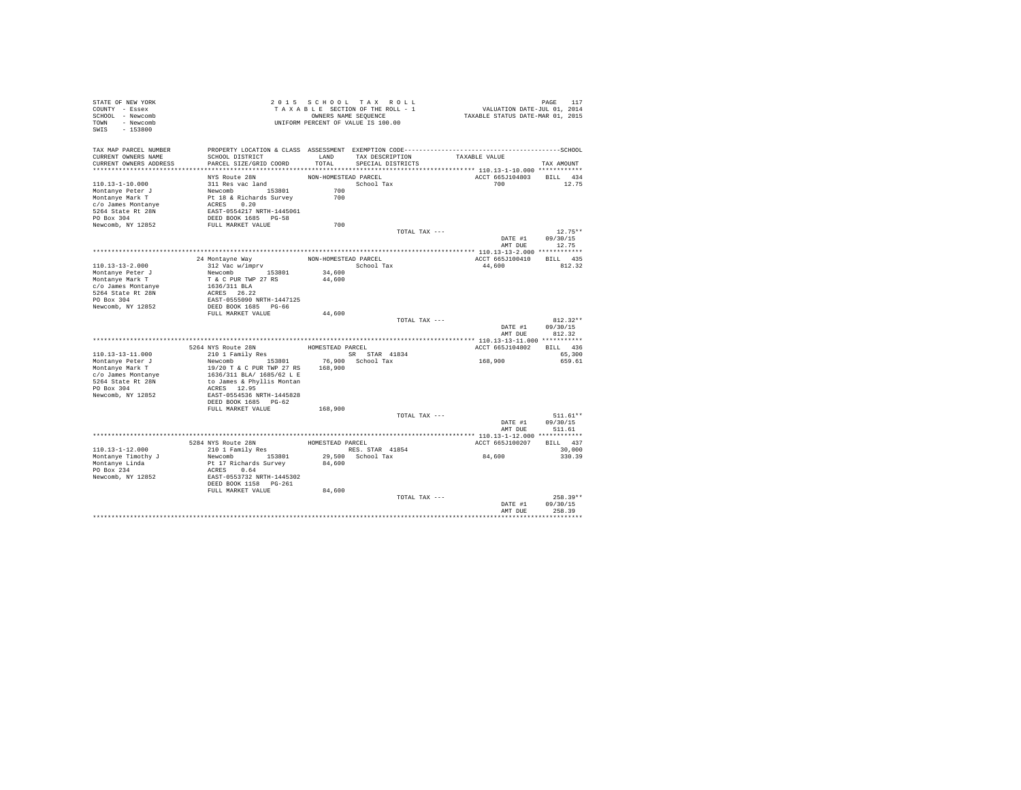| STATE OF NEW YORK<br>COUNTY - Essex<br>SCHOOL - Newcomb<br>TOWN - Newcomb<br>SWIS - 153800 |                                                                                                                                                                |                      | 2015 SCHOOL TAX ROLL<br>TAXABLE SECTION OF THE ROLL - 1<br>OWNERS NAME SEQUENCE<br>UNIFORM PERCENT OF VALUE IS 100.00 | PAGE 117<br>VALUATION DATE-JUL 01, 2014<br>TAXABLE STATUS DATE-MAR 01, 2015 |            |
|--------------------------------------------------------------------------------------------|----------------------------------------------------------------------------------------------------------------------------------------------------------------|----------------------|-----------------------------------------------------------------------------------------------------------------------|-----------------------------------------------------------------------------|------------|
| TAX MAP PARCEL NUMBER<br>CURRENT OWNERS NAME<br>CURRENT OWNERS ADDRESS                     | SCHOOL DISTRICT<br>PARCEL SIZE/GRID COORD                                                                                                                      | TOTAL                | LAND TAX DESCRIPTION<br>SPECIAL DISTRICTS                                                                             | TAXABLE VALUE                                                               | TAX AMOUNT |
|                                                                                            |                                                                                                                                                                |                      |                                                                                                                       |                                                                             |            |
|                                                                                            | NYS Route 28N                                                                                                                                                  | NON-HOMESTEAD PARCEL |                                                                                                                       | ACCT 665J104803 BILL 434                                                    |            |
| 110.13-1-10.000                                                                            | 311 Res vac land                                                                                                                                               |                      | School Tax                                                                                                            |                                                                             | 12.75      |
| Montanye Peter J                                                                           |                                                                                                                                                                | 700                  |                                                                                                                       |                                                                             |            |
| Montanye Mark T                                                                            |                                                                                                                                                                | 700                  |                                                                                                                       |                                                                             |            |
| c/o James Montanye                                                                         |                                                                                                                                                                |                      |                                                                                                                       |                                                                             |            |
| 5264 State Rt 28N                                                                          |                                                                                                                                                                |                      |                                                                                                                       |                                                                             |            |
| PO Box 304                                                                                 | Newcomb<br>Pt 18 & Richards Survey<br>ACRES<br>EAST-0554217 NRTH-1445061<br>DEED BOOK 1685 PG-58                                                               |                      |                                                                                                                       |                                                                             |            |
| Newcomb, NY 12852                                                                          | FULL MARKET VALUE                                                                                                                                              | 700                  |                                                                                                                       |                                                                             |            |
|                                                                                            |                                                                                                                                                                |                      | TOTAL TAX ---                                                                                                         |                                                                             | $12.75**$  |
|                                                                                            |                                                                                                                                                                |                      |                                                                                                                       | DATE #1                                                                     | 09/30/15   |
|                                                                                            |                                                                                                                                                                |                      |                                                                                                                       | AMT DUE                                                                     | 12.75      |
|                                                                                            |                                                                                                                                                                |                      |                                                                                                                       |                                                                             |            |
|                                                                                            | 24 Montayne Way<br>$312$ Vac w/imprv                                                                                                                           | NON-HOMESTEAD PARCEL |                                                                                                                       | ACCT 665J100410 BILL 435                                                    |            |
| $110.13 - 13 - 2.000$<br>Montanye Peter J                                                  | Newcomb 153801                                                                                                                                                 | 34,600               | School Tax                                                                                                            | 44,600                                                                      | 812.32     |
| Montanye Mark T                                                                            | T & C PUR TWP 27 RS                                                                                                                                            | 44,600               |                                                                                                                       |                                                                             |            |
| c/o James Montanye                                                                         | 1636/311 BLA                                                                                                                                                   |                      |                                                                                                                       |                                                                             |            |
| 5264 State Rt 28N                                                                          | ACRES 26.22                                                                                                                                                    |                      |                                                                                                                       |                                                                             |            |
| PO Box 304                                                                                 | EAST-0555090 NRTH-1447125                                                                                                                                      |                      |                                                                                                                       |                                                                             |            |
| Newcomb, NY 12852                                                                          | DEED BOOK 1685 PG-66                                                                                                                                           |                      |                                                                                                                       |                                                                             |            |
|                                                                                            | FULL MARKET VALUE                                                                                                                                              | 44,600               |                                                                                                                       |                                                                             |            |
|                                                                                            |                                                                                                                                                                |                      | TOTAL TAX ---                                                                                                         |                                                                             | $812.32**$ |
|                                                                                            |                                                                                                                                                                |                      |                                                                                                                       | DATE #1                                                                     | 09/30/15   |
|                                                                                            |                                                                                                                                                                |                      |                                                                                                                       | AMT DUE                                                                     | 812.32     |
|                                                                                            |                                                                                                                                                                |                      |                                                                                                                       |                                                                             |            |
|                                                                                            | 5264 NYS Route 28N                                                                                                                                             | HOMESTEAD PARCEL     |                                                                                                                       | ACCT 665J104802                                                             | BILL 436   |
| 110.13-13-11.000                                                                           | 210 1 Family Res                                                                                                                                               |                      | SR STAR 41834                                                                                                         |                                                                             | 65,300     |
| Montanye Peter J                                                                           | Newcomb 153801 76,900 School Tax                                                                                                                               |                      |                                                                                                                       | 168,900                                                                     | 659.61     |
| Montanye Mark T                                                                            | 19/20 T & C PUR TWP 27 RS                                                                                                                                      | 168,900              |                                                                                                                       |                                                                             |            |
| c/o James Montanye                                                                         | 1636/311 BLA/ 1685/62 L E                                                                                                                                      |                      |                                                                                                                       |                                                                             |            |
| 5264 State Rt 28N                                                                          | to James & Phyllis Montan                                                                                                                                      |                      |                                                                                                                       |                                                                             |            |
| PO Box 304                                                                                 | ACRES 12.95                                                                                                                                                    |                      |                                                                                                                       |                                                                             |            |
| Newcomb, NY 12852                                                                          | EAST-0554536 NRTH-1445828<br>DEED BOOK 1685 PG-62                                                                                                              |                      |                                                                                                                       |                                                                             |            |
|                                                                                            | FULL MARKET VALUE                                                                                                                                              | 168,900              |                                                                                                                       |                                                                             |            |
|                                                                                            |                                                                                                                                                                |                      | TOTAL TAX ---                                                                                                         |                                                                             | $511.61**$ |
|                                                                                            |                                                                                                                                                                |                      |                                                                                                                       | DATE #1                                                                     | 09/30/15   |
|                                                                                            |                                                                                                                                                                |                      |                                                                                                                       | AMT DUE                                                                     | 511.61     |
|                                                                                            |                                                                                                                                                                |                      |                                                                                                                       |                                                                             |            |
|                                                                                            | ${\small\begin{tabular}{lclclcl}5284 $NTS$ Route 28N$ & & & & \text{HOMESTEAD PARCH} \\ & 210 1 Family Res & & & & \text{RES. STAR} & 41854 \\ \end{tabular}}$ |                      |                                                                                                                       | ACCT 665J100207                                                             | BILL 437   |
| 110.13-1-12.000                                                                            |                                                                                                                                                                |                      | RES. STAR 41854                                                                                                       |                                                                             | 30,000     |
| Montanye Timothy J                                                                         | Newcomb 153801                                                                                                                                                 |                      | 29,500 School Tax                                                                                                     | 84,600                                                                      | 330.39     |
| Montanye Linda                                                                             | Pt 17 Richards Survey                                                                                                                                          | 84,600               |                                                                                                                       |                                                                             |            |
| PO Box 234                                                                                 | ACRES 0.64                                                                                                                                                     |                      |                                                                                                                       |                                                                             |            |
| Newcomb, NY 12852                                                                          | EAST-0553732 NRTH-1445302<br>DEED BOOK 1158 PG-261                                                                                                             |                      |                                                                                                                       |                                                                             |            |
|                                                                                            |                                                                                                                                                                |                      |                                                                                                                       |                                                                             |            |
|                                                                                            | FULL MARKET VALUE                                                                                                                                              | 84,600               |                                                                                                                       |                                                                             |            |
|                                                                                            |                                                                                                                                                                |                      | TOTAL TAX ---                                                                                                         |                                                                             | $258.39**$ |
|                                                                                            |                                                                                                                                                                |                      |                                                                                                                       | DATE #1                                                                     | 09/30/15   |
|                                                                                            |                                                                                                                                                                |                      |                                                                                                                       | AMT DUE                                                                     | 258.39     |
|                                                                                            |                                                                                                                                                                |                      |                                                                                                                       |                                                                             |            |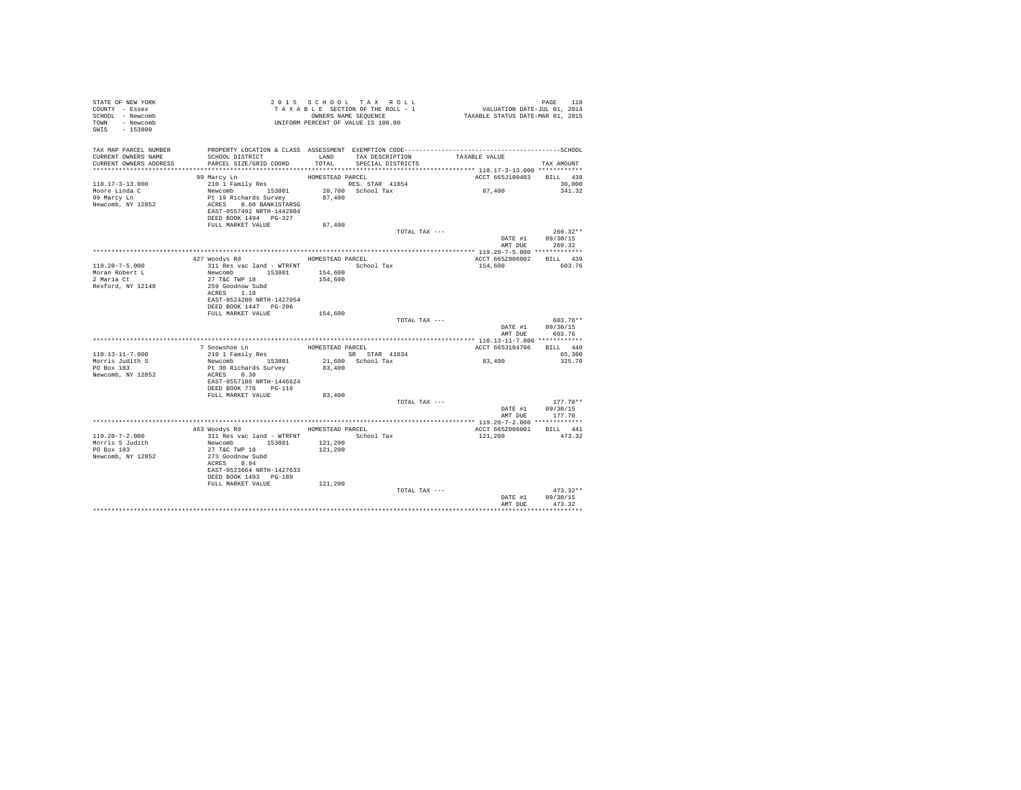| STATE OF NEW YORK<br>COUNTY - Essex<br>SCHOOL - Newcomb<br>TOWN - Newcomb<br>SWIS - 153800 | TAXABLES NAME SEQUENCE<br>ONNERS NAME SEQUENCE<br>UNIFORM PERCENT OF VALUE IS 100.00         |                  | TAXABLE SECTION OF THE ROLL - 1<br>OWNERS NAME SEQUENCE | PAGE 118<br>VALUATION DATE-JUL 01, 2014<br>TAXABLE STATUS DATE-MAR 01, 2015 |                                                  |
|--------------------------------------------------------------------------------------------|----------------------------------------------------------------------------------------------|------------------|---------------------------------------------------------|-----------------------------------------------------------------------------|--------------------------------------------------|
| TAX MAP PARCEL NUMBER                                                                      | PROPERTY LOCATION & CLASS ASSESSMENT EXEMPTION CODE-----------------------------------SCHOOL |                  |                                                         |                                                                             |                                                  |
| CURRENT OWNERS NAME<br>CURRENT OWNERS ADDRESS                                              | SCHOOL DISTRICT<br>PARCEL SIZE/GRID COORD                                                    | LAND<br>TOTAL    | SPECIAL DISTRICTS                                       | TAX DESCRIPTION TAXABLE VALUE                                               | TAX AMOUNT                                       |
|                                                                                            |                                                                                              |                  |                                                         |                                                                             |                                                  |
|                                                                                            | 99 Marcy Ln                                                                                  | HOMESTEAD PARCEL |                                                         |                                                                             | ACCT 665J100403 BILL 438                         |
| $110.17 - 3 - 13.000$                                                                      |                                                                                              |                  |                                                         |                                                                             | 30,000                                           |
| Moore Linda C                                                                              |                                                                                              |                  |                                                         | 87,400                                                                      | 341.32                                           |
| 99 Marcy Ln<br>Newcomb, NY 12852                                                           | EAST-0557492 NRTH-1442804<br>DEED BOOK 1494 PG-327                                           |                  |                                                         |                                                                             |                                                  |
|                                                                                            | FULL MARKET VALUE                                                                            | 87,400           |                                                         |                                                                             |                                                  |
|                                                                                            |                                                                                              |                  |                                                         | TOTAL TAX ---                                                               | $269.32**$<br>DATE #1 09/30/15<br>AMT DUE 269.32 |
|                                                                                            |                                                                                              |                  |                                                         |                                                                             |                                                  |
|                                                                                            | 427 Woodys Rd                                                                                | HOMESTEAD PARCEL |                                                         |                                                                             | ACCT 665Z006002 BILL 439                         |
| 119.20-7-5.000                                                                             | 311 Res vac land - WTRFNT                                                                    |                  | School Tax                                              | 154,600                                                                     | 603.76                                           |
| Moran Robert L<br>2 Maria Ct                                                               |                                                                                              |                  |                                                         |                                                                             |                                                  |
| Rexford, NY 12148                                                                          | Newcomb 153801 154,600<br>27 T&C TWP 18 154,600<br>259 Goodnow Subd 154,600                  |                  |                                                         |                                                                             |                                                  |
|                                                                                            | ACRES 1.18                                                                                   |                  |                                                         |                                                                             |                                                  |
|                                                                                            | EAST-0524200 NRTH-1427954                                                                    |                  |                                                         |                                                                             |                                                  |
|                                                                                            | DEED BOOK 1447    PG-206                                                                     |                  |                                                         |                                                                             |                                                  |
|                                                                                            | FULL MARKET VALUE                                                                            | 154,600          |                                                         | TOTAL TAX ---                                                               | 603.76**                                         |
|                                                                                            |                                                                                              |                  |                                                         |                                                                             | DATE #1 09/30/15<br>AMT DUE 603.76               |
|                                                                                            |                                                                                              |                  |                                                         |                                                                             |                                                  |
|                                                                                            |                                                                                              |                  | HOMESTEAD PARCEL                                        |                                                                             | ACCT 665J104706 BILL 440                         |
| 110.13-11-7.000                                                                            |                                                                                              |                  | SR STAR 41834                                           |                                                                             | 65,300                                           |
| Morris Judith S<br>PO Box 183                                                              |                                                                                              |                  | 21,600 School Tax<br>83,400                             | 83,400                                                                      | 325.70                                           |
| Newcomb, NY 12852                                                                          |                                                                                              |                  |                                                         |                                                                             |                                                  |
|                                                                                            | EAST-0557186 NRTH-1446624                                                                    |                  |                                                         |                                                                             |                                                  |
|                                                                                            | DEED BOOK 776 PG-119                                                                         |                  |                                                         |                                                                             |                                                  |
|                                                                                            | FULL MARKET VALUE                                                                            | 83,400           |                                                         |                                                                             |                                                  |
|                                                                                            |                                                                                              |                  | TOTAL TAX ---                                           |                                                                             | $177.70**$<br>DATE #1 09/30/15                   |
|                                                                                            |                                                                                              |                  |                                                         |                                                                             | 177.70<br>AMT DUE                                |
|                                                                                            |                                                                                              |                  |                                                         |                                                                             |                                                  |
|                                                                                            | 463 Woodys Rd                                                                                |                  | HOMESTEAD PARCEL                                        | ACCT 665Z006001                                                             | BILL 441                                         |
| $119.20 - 7 - 2.000$                                                                       |                                                                                              |                  |                                                         | 121,200                                                                     | 473.32                                           |
| Morris S Judith                                                                            |                                                                                              |                  |                                                         |                                                                             |                                                  |
| PO Box 183<br>Newcomb, NY 12852                                                            | 273 Goodnow Subd                                                                             |                  |                                                         |                                                                             |                                                  |
|                                                                                            | ACRES 0.94                                                                                   |                  |                                                         |                                                                             |                                                  |
|                                                                                            | EAST-0523664 NRTH-1427633                                                                    |                  |                                                         |                                                                             |                                                  |
|                                                                                            | DEED BOOK 1493 PG-189                                                                        |                  |                                                         |                                                                             |                                                  |
|                                                                                            | FULL MARKET VALUE                                                                            | 121,200          |                                                         |                                                                             | $473.32**$                                       |
|                                                                                            |                                                                                              |                  |                                                         | TOTAL TAX ---<br>DATE #1                                                    | 09/30/15                                         |
|                                                                                            |                                                                                              |                  |                                                         | AMT DUE                                                                     | 473.32                                           |
|                                                                                            |                                                                                              |                  |                                                         |                                                                             |                                                  |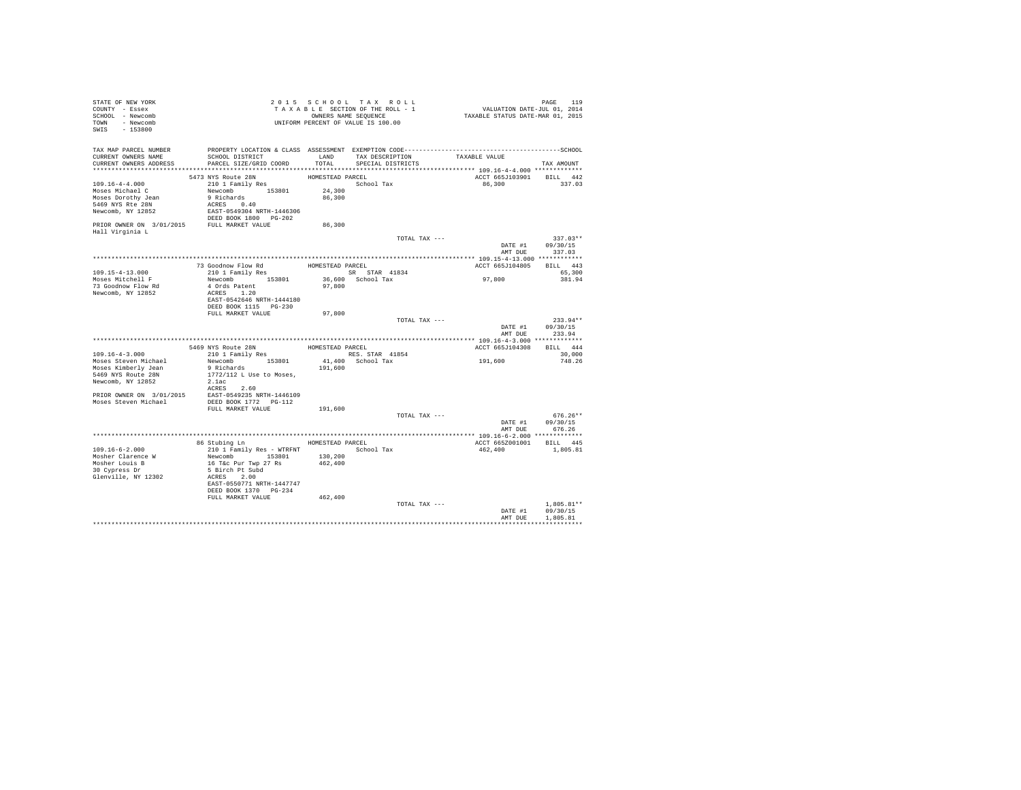| STATE OF NEW YORK<br>COUNTY - Essex<br>SCHOOL - Newcomb<br>TOWN - Newcomb<br>SWIS - 153800                                                     |                                                                                                                                                                       |                                                | 2015 SCHOOL TAX ROLL<br>TAXABLE SECTION OF THE ROLL - 1<br>OWNERS NAME SEQUENCE<br>UNIFORM PERCENT OF VALUE IS 100.00 | PAGE 119<br>VALUATION DATE-JUL 01, 2014<br>TAXABLE STATUS DATE-MAR 01, 2015 |                                          |
|------------------------------------------------------------------------------------------------------------------------------------------------|-----------------------------------------------------------------------------------------------------------------------------------------------------------------------|------------------------------------------------|-----------------------------------------------------------------------------------------------------------------------|-----------------------------------------------------------------------------|------------------------------------------|
| TAX MAP PARCEL NUMBER<br>CURRENT OWNERS NAME<br>CURRENT OWNERS ADDRESS                                                                         | SCHOOL DISTRICT<br>PARCEL SIZE/GRID COORD                                                                                                                             | TOTAL                                          | LAND TAX DESCRIPTION<br>SPECIAL DISTRICTS                                                                             | TAXABLE VALUE                                                               | TAX AMOUNT                               |
|                                                                                                                                                |                                                                                                                                                                       |                                                |                                                                                                                       |                                                                             |                                          |
| 109.16-4-4.000<br>Moses Michael C<br>Moses Dorothy Jean<br>5469 NYS Rte 28N<br>Newcomb, NY 12852<br>PRIOR OWNER ON 3/01/2015 FULL MARKET VALUE | 5473 NYS Route 28N<br>210 1 Family Res<br>Newcomb 153801<br>9 Richards<br>ACRES 0.40<br>EAST-0549304 NRTH-1446306<br>DEED BOOK 1800 PG-202                            | HOMESTEAD PARCEL<br>24,300<br>86,300<br>86,300 | School Tax                                                                                                            | ACCT 665J103901 BILL 442<br>86,300                                          | 337.03                                   |
| Hall Virginia L                                                                                                                                |                                                                                                                                                                       |                                                |                                                                                                                       |                                                                             |                                          |
|                                                                                                                                                |                                                                                                                                                                       |                                                | TOTAL TAX ---                                                                                                         | AMT DUE                                                                     | $337.03**$<br>DATE #1 09/30/15<br>337.03 |
|                                                                                                                                                |                                                                                                                                                                       |                                                |                                                                                                                       |                                                                             |                                          |
|                                                                                                                                                | 73 Goodnow Flow Rd<br>210 1 Family Res<br>8R STAR 41834                                                                                                               |                                                |                                                                                                                       | ACCT 665J104805 BILL 443                                                    |                                          |
| 109.15-4-13.000<br>Moses Mitchell F<br>73 Goodnow Flow Rd<br>Newcomb, NY 12852                                                                 | Newcomb 153801<br>4 Ords Patent<br>ACRES 1.20<br>EAST-0542646 NRTH-1444180                                                                                            | 97,800                                         | SR STAR 41834<br>36,600 School Tax                                                                                    | 97,800                                                                      | 65,300<br>381.94                         |
|                                                                                                                                                | FULL MARKET VALUE                                                                                                                                                     | 97,800                                         |                                                                                                                       |                                                                             |                                          |
|                                                                                                                                                |                                                                                                                                                                       |                                                | TOTAL TAX ---                                                                                                         |                                                                             | $233.94**$<br>DATE #1 09/30/15           |
|                                                                                                                                                |                                                                                                                                                                       |                                                |                                                                                                                       | AMT DUE                                                                     | 233.94                                   |
|                                                                                                                                                |                                                                                                                                                                       | HOMESTEAD PARCEL                               |                                                                                                                       | ACCT 665J104308                                                             | BILL 444                                 |
| $109.16 - 4 - 3.000$                                                                                                                           | 5469 NYS Route 28N<br>210 1 Family Res                                                                                                                                |                                                | RES. STAR 41854                                                                                                       |                                                                             | 30,000                                   |
| Moses Steven Michael<br>Moses Kimberly Jean<br>5469 NYS Route 28N<br>Newcomb, NY 12852                                                         | Newcomb 153801<br>9 Richards<br>1772/112 L Use to Moses,<br>2.1ac<br>ACRES 2.60                                                                                       | 191,600                                        | 41,400 School Tax                                                                                                     | 191,600                                                                     | 748.26                                   |
| PRIOR OWNER ON 3/01/2015 EAST-0549235 NRTH-1446109<br>Moses Steven Michael                                                                     | DEED BOOK 1772    PG-112                                                                                                                                              |                                                |                                                                                                                       |                                                                             |                                          |
|                                                                                                                                                | FULL MARKET VALUE                                                                                                                                                     | 191,600                                        | TOTAL TAX ---                                                                                                         |                                                                             | $676.26**$                               |
|                                                                                                                                                |                                                                                                                                                                       |                                                |                                                                                                                       | AMT DUE                                                                     | DATE #1 09/30/15<br>676.26               |
|                                                                                                                                                | 86 Stubing Ln HOMESTEAD PARCEL                                                                                                                                        |                                                |                                                                                                                       | ACCT 665Z001001 BILL 445                                                    |                                          |
| $109.16 - 6 - 2.000$<br>Mosher Clarence W<br>Mosher Louis B<br>30 Cypress Dr<br>Glenville, NY 12302                                            | 210 1 Family Res - WTRFNT School Tax<br>Newcomb 153801<br>16 T&c Pur Twp 27 Rs<br>5 Birch Pt Subd<br>ACRES 2.00<br>EAST-0550771 NRTH-1447747<br>DEED BOOK 1370 PG-234 | 130,200<br>462,400                             |                                                                                                                       | 462,400                                                                     | 1,805.81                                 |
|                                                                                                                                                | FULL MARKET VALUE                                                                                                                                                     | 462,400                                        |                                                                                                                       |                                                                             |                                          |
|                                                                                                                                                |                                                                                                                                                                       |                                                | TOTAL TAX ---                                                                                                         | DATE #1<br>AMT DUE                                                          | $1.805.81**$<br>09/30/15<br>1,805.81     |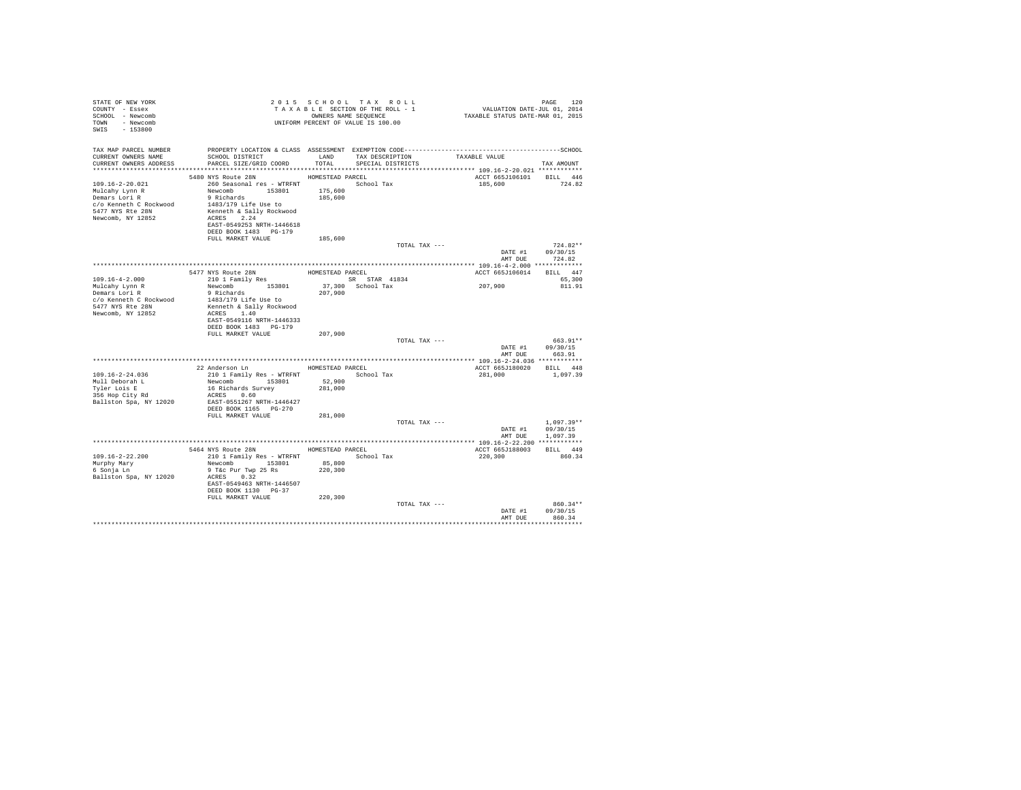| STATE OF NEW YORK<br>COUNTY - Essex<br>SCHOOL - Newcomb<br>TOWN - Newcomb<br>SWIS - 153800  | T A X A B L B JULION SEQUENCE<br>UNIFORM PERCENT OF VALUE IS 100.00                                                                                                                                                                                                                                                                                                                                                                                        |                    | 2015 SCHOOL TAX ROLL<br>TAXABLE SECTION OF THE ROLL - 1<br>OWNERS NAME SEQUENCE | PAGE 120<br>VALUATION DATE-JUL 01, 2014<br>TAXABLE STATUS DATE-MAR 01, 2015 |                                              |
|---------------------------------------------------------------------------------------------|------------------------------------------------------------------------------------------------------------------------------------------------------------------------------------------------------------------------------------------------------------------------------------------------------------------------------------------------------------------------------------------------------------------------------------------------------------|--------------------|---------------------------------------------------------------------------------|-----------------------------------------------------------------------------|----------------------------------------------|
| TAX MAP PARCEL NUMBER                                                                       | PROPERTY LOCATION & CLASS ASSESSMENT EXEMPTION CODE-----------------------------------SCHOOL                                                                                                                                                                                                                                                                                                                                                               |                    |                                                                                 |                                                                             |                                              |
| CURRENT OWNERS NAME                                                                         | SCHOOL DISTRICT<br>CURRENT OWNERS ADDRESS PARCEL SIZE/GRID COORD                                                                                                                                                                                                                                                                                                                                                                                           | TOTAL              | LAND TAX DESCRIPTION<br>SPECIAL DISTRICTS                                       | TAXABLE VALUE                                                               | TAX AMOUNT                                   |
|                                                                                             | 5480 NYS Route 28N HOMESTEAD PARCEL                                                                                                                                                                                                                                                                                                                                                                                                                        |                    |                                                                                 | ACCT 665J106101 BILL 446                                                    |                                              |
| 109.16-2-20.021<br>Mulcahy Lynn R<br>Demars Lori R<br>5477 NYS Rte 28N<br>Newcomb, NY 12852 | 260 Seasonal res - WTRFNT <a>&gt; School Tax<br/>Newcomb 153801<br/>9 Richards<br/><math>c/o</math> Kenneth C Rockwood <math>1483/179</math> Life Use to<br/>Kenneth &amp; Sally Rockwood<br/>ACRES 2.24<br/>EAST-0549253 NRTH-1446618<br/>DEED BOOK 1483 PG-179</a>                                                                                                                                                                                       | 175,600<br>185,600 |                                                                                 | 185,600 724.82                                                              |                                              |
|                                                                                             | FULL MARKET VALUE                                                                                                                                                                                                                                                                                                                                                                                                                                          | 185,600            |                                                                                 |                                                                             |                                              |
|                                                                                             |                                                                                                                                                                                                                                                                                                                                                                                                                                                            |                    | TOTAL TAX ---                                                                   |                                                                             | $724.82**$                                   |
|                                                                                             |                                                                                                                                                                                                                                                                                                                                                                                                                                                            |                    |                                                                                 | AMT DUE                                                                     | DATE #1 09/30/15<br>724.82                   |
|                                                                                             |                                                                                                                                                                                                                                                                                                                                                                                                                                                            |                    |                                                                                 |                                                                             |                                              |
| $109.16 - 4 - 2.000$                                                                        | 5477 NYS Route 28N<br>210 1 Family Res                                                                                                                                                                                                                                                                                                                                                                                                                     | HOMESTEAD PARCEL   |                                                                                 | ACCT 665J106014 BILL 447                                                    | 65,300                                       |
| Mulcahy Lynn R<br>Demars Lori R                                                             | $\begin{tabular}{lllllllllllll} $\text{$\kappa$-uv $1$ } $\text{{\tt Sam11Y} }$\text{Res}$ & $\cdots$ & $\cdots$ & $\text{{\tt emx}}$ & $\text{{\tt SR} }$ $\text{{\tt SR} }$ $\text{{\tt SR} }$ & $\text{{\tt SR} }$ & $\text{{\tt SR} }$ & $\text{{\tt SR} }$ & $\text{{\tt 41834}}$ \\ $ {\tt Newcomb}$ & $153801 & $37,300 & $\text{{\tt School} }$ & $\text{{\tt Tax}}$ \\ $9$ $\text{ Richards}$ & $207,900$ & $\text{{\tt School} }$ & $\text{{\tt$ |                    |                                                                                 | 207,900                                                                     | 811.91                                       |
| c/o Kenneth C Rockwood<br>5477 NYS Rte 28N<br>Newcomb, NY 12852                             | 1483/179 Life Use to<br>Kenneth & Sally Rockwood<br>ACRES 1.40<br>EAST-0549116 NRTH-1446333<br>DEED BOOK 1483 PG-179                                                                                                                                                                                                                                                                                                                                       |                    |                                                                                 |                                                                             |                                              |
|                                                                                             | FULL MARKET VALUE                                                                                                                                                                                                                                                                                                                                                                                                                                          | 207,900            |                                                                                 |                                                                             |                                              |
|                                                                                             |                                                                                                                                                                                                                                                                                                                                                                                                                                                            |                    | TOTAL TAX ---                                                                   |                                                                             | 663.91**                                     |
|                                                                                             |                                                                                                                                                                                                                                                                                                                                                                                                                                                            |                    |                                                                                 |                                                                             | DATE #1 09/30/15<br>AMT DUE 663.91           |
|                                                                                             |                                                                                                                                                                                                                                                                                                                                                                                                                                                            |                    |                                                                                 |                                                                             |                                              |
|                                                                                             | 22 Anderson Ln HOMESTEAD PARCEL                                                                                                                                                                                                                                                                                                                                                                                                                            |                    |                                                                                 | ACCT 665J180020 BILL 448                                                    |                                              |
| $109.16 - 2 - 24.036$                                                                       |                                                                                                                                                                                                                                                                                                                                                                                                                                                            |                    | School Tax                                                                      | 281,000                                                                     | 1,097.39                                     |
| Mull Deborah L                                                                              | 210 1 Family Res - WTRFNT<br>Newcomb 153801 52,900<br>16 Richards Survey 281,000                                                                                                                                                                                                                                                                                                                                                                           |                    |                                                                                 |                                                                             |                                              |
| Tyler Lois E<br>iyier Lois E<br>356 Hop City Rd<br>Ballston Spa, NY 12020                   | 16 Richards Survey<br>ACRES 0.60<br>EAST-0551267 NRTH-1446427                                                                                                                                                                                                                                                                                                                                                                                              |                    |                                                                                 |                                                                             |                                              |
|                                                                                             | DEED BOOK 1165 PG-270                                                                                                                                                                                                                                                                                                                                                                                                                                      |                    |                                                                                 |                                                                             |                                              |
|                                                                                             | FULL MARKET VALUE                                                                                                                                                                                                                                                                                                                                                                                                                                          | 281,000            | TOTAL TAX ---                                                                   | AMT DUE                                                                     | $1.097.39**$<br>DATE #1 09/30/15<br>1,097.39 |
|                                                                                             |                                                                                                                                                                                                                                                                                                                                                                                                                                                            |                    |                                                                                 |                                                                             |                                              |
|                                                                                             | 5464 NYS Route 28N HOMESTEAD PARCEL                                                                                                                                                                                                                                                                                                                                                                                                                        |                    |                                                                                 | ACCT 665J188003 BILL 449                                                    |                                              |
| $109.16 - 2 - 22.200$                                                                       | 210 1 Family Res - WTRFNT<br>Newcomb 153801 85,800                                                                                                                                                                                                                                                                                                                                                                                                         |                    | School Tax                                                                      | 220,300                                                                     | 860.34                                       |
| Murphy Mary<br>6 Sonja Ln                                                                   | 9 T&c Pur Twp 25 Rs                                                                                                                                                                                                                                                                                                                                                                                                                                        | 220,300            |                                                                                 |                                                                             |                                              |
| Ballston Spa, NY 12020                                                                      | ACRES 0.32<br>EAST-0549463 NRTH-1446507<br>DEED BOOK 1130 PG-37                                                                                                                                                                                                                                                                                                                                                                                            |                    |                                                                                 |                                                                             |                                              |
|                                                                                             | FULL MARKET VALUE                                                                                                                                                                                                                                                                                                                                                                                                                                          | 220,300            |                                                                                 |                                                                             |                                              |
|                                                                                             |                                                                                                                                                                                                                                                                                                                                                                                                                                                            |                    | TOTAL TAX ---                                                                   | AMT DUE                                                                     | 860.34**<br>DATE #1 09/30/15<br>860.34       |
|                                                                                             |                                                                                                                                                                                                                                                                                                                                                                                                                                                            |                    |                                                                                 |                                                                             |                                              |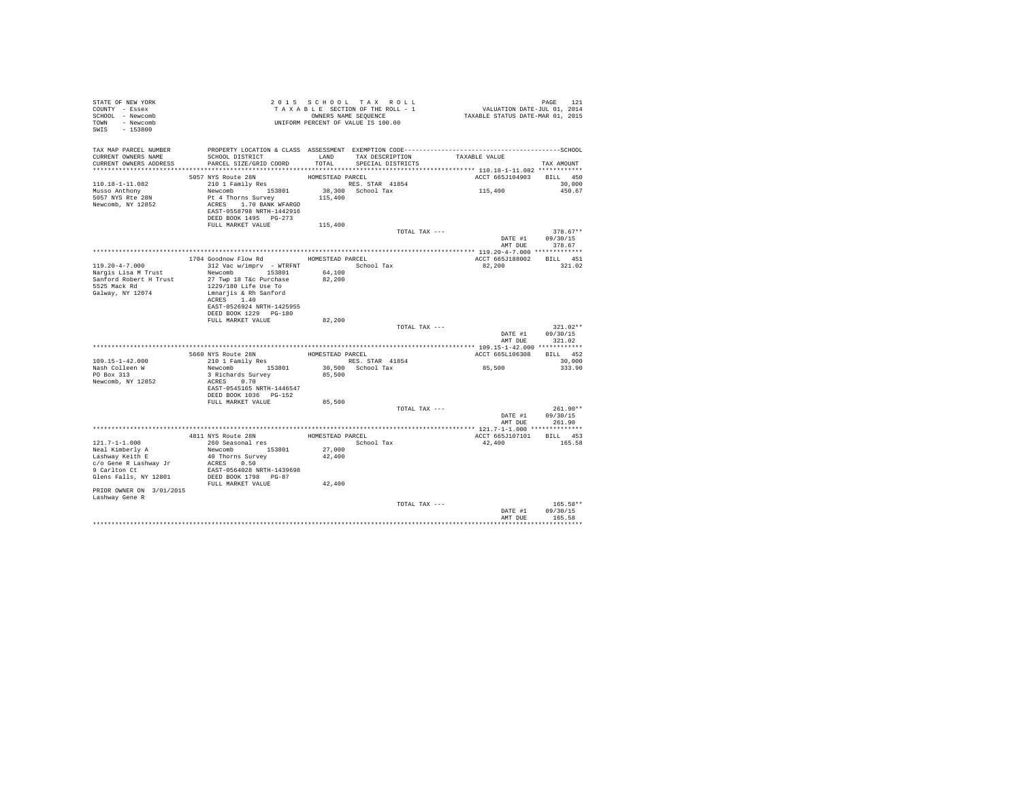| STATE OF NEW YORK<br>COUNTY - Essex<br>SCHOOL - Newcomb<br>TOWN - Newcomb<br>SWIS - 153800 | T A X A B L L _ _ _ _ _ _ _ _ OWNERS NAME SEQUENCE<br>UNIFORM PERCENT OF VALUE IS 100.00                                                 |                  | 2015 SCHOOL TAX ROLL<br>TAXABLE SECTION OF THE ROLL - 1<br>OWNERS NAME SEQUENCE | PAGE 121<br>VALUATION DATE-JUL 01, 2014<br>TAXABLE STATUS DATE-MAR 01, 2015 |                        |
|--------------------------------------------------------------------------------------------|------------------------------------------------------------------------------------------------------------------------------------------|------------------|---------------------------------------------------------------------------------|-----------------------------------------------------------------------------|------------------------|
| TAX MAP PARCEL NUMBER<br>CURRENT OWNERS NAME<br>CURRENT OWNERS ADDRESS                     | SCHOOL DISTRICT<br>PARCEL SIZE/GRID COORD                                                                                                | LAND<br>TOTAL    | TAX DESCRIPTION<br>SPECIAL DISTRICTS                                            | TAXABLE VALUE                                                               | TAX AMOUNT             |
|                                                                                            |                                                                                                                                          |                  |                                                                                 |                                                                             |                        |
|                                                                                            | 5057 NYS Route 28N                                                                                                                       | HOMESTEAD PARCEL |                                                                                 | ACCT 665J104903 BILL 450                                                    | 30,000                 |
| 110.18-1-11.082<br>Musso Anthony<br>5057 NYS Rte 28N<br>Newcomb, NY 12852                  | 210 1 Family Res<br>Newcomb 153801<br>Pt 4 Thorns Survey<br>ACRES 1.70 BANK WFARGO<br>EAST-0558798 NRTH-1442916<br>DEED BOOK 1495 PG-273 | 115,400          | RES. STAR 41854<br>38,300 School Tax                                            | 115,400                                                                     | 450.67                 |
|                                                                                            | FULL MARKET VALUE                                                                                                                        | 115,400          |                                                                                 |                                                                             |                        |
|                                                                                            |                                                                                                                                          |                  | TOTAL TAX ---                                                                   | DATE #1                                                                     | $378.67**$<br>09/30/15 |
|                                                                                            |                                                                                                                                          |                  |                                                                                 |                                                                             | AMT DUE 378.67         |
|                                                                                            |                                                                                                                                          |                  |                                                                                 |                                                                             |                        |
| 119.20-4-7.000                                                                             | 1704 Goodnow Flow Rd HOMESTEAD PARCEL<br>312 Vac w/imprv - WTRFNT School Tax                                                             |                  |                                                                                 | ACCT 665J188002 BILL 451<br>82,200                                          | 321.02                 |
| Nargis Lisa M Trust                                                                        | Newcomb 153801                                                                                                                           | 64,100           |                                                                                 |                                                                             |                        |
| Sanford Robert H Trust                                                                     | 27 Twp 18 T&c Purchase                                                                                                                   | 82,200           |                                                                                 |                                                                             |                        |
| 5525 Mack Rd                                                                               | 1229/180 Life Use To                                                                                                                     |                  |                                                                                 |                                                                             |                        |
| Galway, NY 12074                                                                           | Lmnarjis & Rh Sanford                                                                                                                    |                  |                                                                                 |                                                                             |                        |
|                                                                                            | ACRES 1.40<br>EAST-0526924 NRTH-1425955                                                                                                  |                  |                                                                                 |                                                                             |                        |
|                                                                                            | DEED BOOK 1229 PG-180                                                                                                                    |                  |                                                                                 |                                                                             |                        |
|                                                                                            | FULL MARKET VALUE                                                                                                                        | 82,200           |                                                                                 |                                                                             |                        |
|                                                                                            |                                                                                                                                          |                  | TOTAL TAX ---                                                                   |                                                                             | $321.02**$             |
|                                                                                            |                                                                                                                                          |                  |                                                                                 | DATE #1<br>AMT DUE                                                          | 09/30/15<br>321.02     |
|                                                                                            |                                                                                                                                          |                  |                                                                                 |                                                                             |                        |
|                                                                                            | 5660 NYS Route 28N<br>210 1 Family Res                                                                                                   | HOMESTEAD PARCEL |                                                                                 | ACCT 665L106308                                                             | BILL 452               |
| $109.15 - 1 - 42.000$                                                                      |                                                                                                                                          |                  | RES. STAR 41854                                                                 |                                                                             | 30,000                 |
| Nash Colleen W<br>PO Box 313                                                               | Newcomb 153801<br>3 Richards Survey                                                                                                      | 85,500           | 30,500 School Tax                                                               | 85,500                                                                      | 333.90                 |
| Newcomb, NY 12852                                                                          | ACRES 0.70                                                                                                                               |                  |                                                                                 |                                                                             |                        |
|                                                                                            | EAST-0545165 NRTH-1446547                                                                                                                |                  |                                                                                 |                                                                             |                        |
|                                                                                            | DEED BOOK 1036 PG-152                                                                                                                    |                  |                                                                                 |                                                                             |                        |
|                                                                                            | FULL MARKET VALUE                                                                                                                        | 85,500           | TOTAL TAX ---                                                                   |                                                                             | $261.90**$             |
|                                                                                            |                                                                                                                                          |                  |                                                                                 | DATE #1                                                                     | 09/30/15               |
|                                                                                            |                                                                                                                                          |                  |                                                                                 |                                                                             | AMT DUE 261.90         |
|                                                                                            |                                                                                                                                          |                  |                                                                                 |                                                                             |                        |
|                                                                                            | 4811 NYS Route 28N HOMESTEAD PARCEL<br>260 Seasonal res Montes School Tax                                                                |                  |                                                                                 | ACCT 665J107101 BILL 453                                                    |                        |
| 121.7-1-1.000<br>Neal Kimberly A                                                           | Newcomb 153801                                                                                                                           | 27,000           |                                                                                 | 42,400                                                                      | 165.58                 |
| Lashway Keith E                                                                            | 40 Thorns Survey                                                                                                                         | 42,400           |                                                                                 |                                                                             |                        |
| c/o Gene R Lashway Jr                                                                      | ACRES 0.50                                                                                                                               |                  |                                                                                 |                                                                             |                        |
| 9 Carlton Ct                                                                               | EAST-0564028 NRTH-1439698                                                                                                                |                  |                                                                                 |                                                                             |                        |
| Glens Falls, NY 12801                                                                      | DEED BOOK 1798 PG-87                                                                                                                     |                  |                                                                                 |                                                                             |                        |
| PRIOR OWNER ON 3/01/2015                                                                   | FULL MARKET VALUE                                                                                                                        | 42,400           |                                                                                 |                                                                             |                        |
| Lashway Gene R                                                                             |                                                                                                                                          |                  | TOTAL TAX ---                                                                   |                                                                             | 165.58**               |
|                                                                                            |                                                                                                                                          |                  |                                                                                 | DATE #1                                                                     | 09/30/15               |
|                                                                                            |                                                                                                                                          |                  |                                                                                 | AMT DUE                                                                     | 165.58                 |
|                                                                                            |                                                                                                                                          |                  |                                                                                 |                                                                             |                        |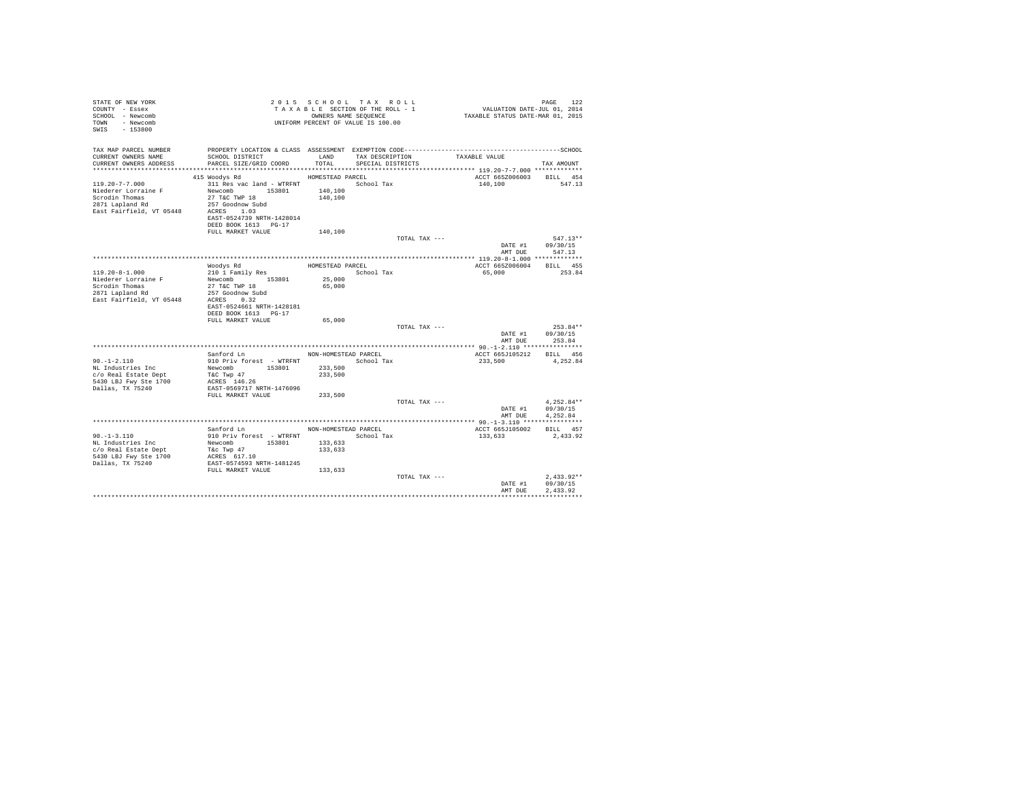| STATE OF NEW YORK<br>COUNTY - Essex<br>SCHOOL - Newcomb<br>- Newcomb<br>TOWN<br>$-153800$<br>SWIS            |                                                                                                                                                     |                                                       | 2015 SCHOOL TAX ROLL<br>TAXABLE SECTION OF THE ROLL - 1<br>OWNERS NAME SEOUENCE<br>UNIFORM PERCENT OF VALUE IS 100.00                | VALUATION DATE-JUL 01, 2014<br>TAXABLE STATUS DATE-MAR 01, 2015 | PAGE<br>122                          |
|--------------------------------------------------------------------------------------------------------------|-----------------------------------------------------------------------------------------------------------------------------------------------------|-------------------------------------------------------|--------------------------------------------------------------------------------------------------------------------------------------|-----------------------------------------------------------------|--------------------------------------|
| TAX MAP PARCEL NUMBER<br>CURRENT OWNERS NAME<br>CURRENT OWNERS ADDRESS                                       | SCHOOL DISTRICT<br>PARCEL SIZE/GRID COORD                                                                                                           | LAND<br>TOTAL                                         | PROPERTY LOCATION & CLASS ASSESSMENT EXEMPTION CODE-----------------------------------SCHOOL<br>TAX DESCRIPTION<br>SPECIAL DISTRICTS | TAXABLE VALUE                                                   | TAX AMOUNT                           |
|                                                                                                              | 415 Woodys Rd                                                                                                                                       | HOMESTEAD PARCEL                                      |                                                                                                                                      | ACCT 665Z006003                                                 | BILL 454                             |
| $119.20 - 7 - 7.000$<br>Niederer Lorraine F<br>Scrodin Thomas<br>2871 Lapland Rd<br>East Fairfield, VT 05448 | 311 Res vac land - WTRFNT<br>Newcomb 153801<br>27 T&C TWP 18<br>257 Goodnow Subd<br>ACRES 1.03<br>EAST-0524739 NRTH-1428014<br>DEED BOOK 1613 PG-17 | 140,100<br>140,100                                    | School Tax                                                                                                                           | 140,100                                                         | 547.13                               |
|                                                                                                              | FULL MARKET VALUE                                                                                                                                   | 140,100                                               | TOTAL TAX ---                                                                                                                        | DATE #1<br>AMT DUE                                              | $547.13**$<br>09/30/15<br>547.13     |
|                                                                                                              |                                                                                                                                                     |                                                       |                                                                                                                                      |                                                                 |                                      |
|                                                                                                              | Woodys Rd                                                                                                                                           | HOMESTEAD PARCEL                                      |                                                                                                                                      | ACCT 665Z006004                                                 | BILL 455                             |
| $119.20 - 8 - 1.000$<br>Niederer Lorraine F<br>Scrodin Thomas<br>2871 Lapland Rd<br>East Fairfield, VT 05448 | 210 1 Family Res<br>Newcomb<br>153801<br>27 T&C TWP 18<br>257 Goodnow Subd<br>ACRES 0.32<br>EAST-0524661 NRTH-1428181<br>DEED BOOK 1613 PG-17       | 25,000<br>65,000                                      | School Tax                                                                                                                           | 65,000                                                          | 253.84                               |
|                                                                                                              | FULL MARKET VALUE                                                                                                                                   | 65,000                                                |                                                                                                                                      |                                                                 |                                      |
|                                                                                                              |                                                                                                                                                     |                                                       | TOTAL TAX ---                                                                                                                        | DATE #1<br>AMT DUE                                              | $253.84**$<br>09/30/15<br>253.84     |
|                                                                                                              |                                                                                                                                                     |                                                       |                                                                                                                                      |                                                                 |                                      |
| $90. -1 - 2.110$<br>NL Industries Inc<br>c/o Real Estate Dept<br>5430 LBJ Fwy Ste 1700                       | Sanford Ln<br>910 Priv forest - WTRFNT<br>Newcomb<br>153801<br>T&C Twp 47<br>ACRES 146.26                                                           | NON-HOMESTEAD PARCEL<br>233,500<br>233,500            | School Tax                                                                                                                           | ACCT 665J105212<br>233,500                                      | BILL 456<br>4,252.84                 |
| Dallas, TX 75240                                                                                             | EAST-0569717 NRTH-1476096<br>FULL MARKET VALUE                                                                                                      | 233,500                                               |                                                                                                                                      |                                                                 |                                      |
|                                                                                                              |                                                                                                                                                     |                                                       | TOTAL TAX ---                                                                                                                        | DATE #1<br>AMT DUE                                              | $4.252.84**$<br>09/30/15<br>4,252.84 |
|                                                                                                              |                                                                                                                                                     |                                                       |                                                                                                                                      |                                                                 |                                      |
| $90. -1 - 3.110$<br>NL Industries Inc<br>c/o Real Estate Dept<br>5430 LBJ Fwy Ste 1700<br>Dallas, TX 75240   | Sanford Ln<br>910 Priv forest - WTRFNT<br>Newcomb<br>153801<br>T&c Twp 47<br>ACRES 617.10<br>EAST-0574593 NRTH-1481245<br>FULL MARKET VALUE         | NON-HOMESTEAD PARCEL<br>133,633<br>133,633<br>133,633 | School Tax                                                                                                                           | ACCT 665J105002<br>133,633                                      | BILL 457<br>2.433.92                 |
|                                                                                                              |                                                                                                                                                     |                                                       | TOTAL TAX ---                                                                                                                        | DATE #1<br>AMT DUE                                              | $2.433.92**$<br>09/30/15<br>2.433.92 |
|                                                                                                              |                                                                                                                                                     |                                                       |                                                                                                                                      |                                                                 |                                      |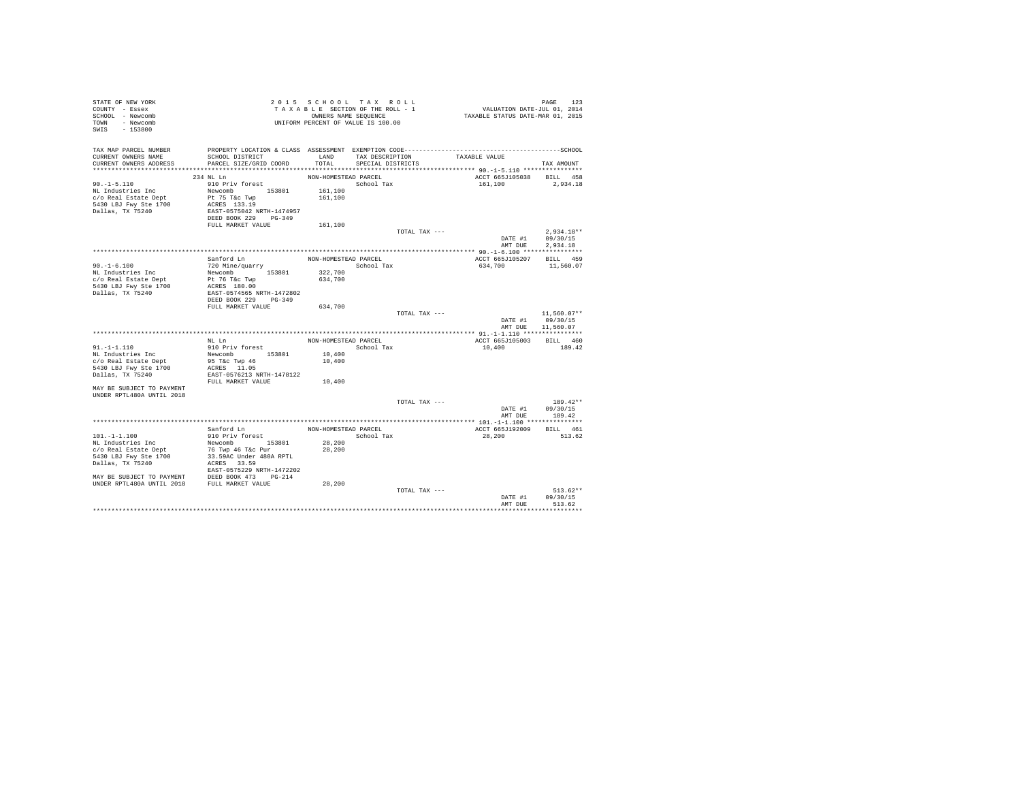| STATE OF NEW YORK<br>COUNTY - Essex<br>SCHOOL - Newcomb<br>TOWN - Newcomb<br>SWIS - 153800                                                                                                                                                         | TAXABLE SERIES SEQUENCE<br>ONNERS NAME SEQUENCE<br>UNIFORM PERCENT OF VALUE IS 100.00                                                                                                                                                                   | TAXABLE SECTION OF THE ROLL - 1<br>OWNERS NAME SEQUENCE |                   |                                    | PAGE 123<br>VALUATION DATE-JUL 01, 2014<br>TAXABLE STATUS DATE-MAR 01, 2015 |                  |
|----------------------------------------------------------------------------------------------------------------------------------------------------------------------------------------------------------------------------------------------------|---------------------------------------------------------------------------------------------------------------------------------------------------------------------------------------------------------------------------------------------------------|---------------------------------------------------------|-------------------|------------------------------------|-----------------------------------------------------------------------------|------------------|
| TAX MAP PARCEL NUMBER PROPERTY LOCATION & CLASS ASSESSMENT EXEMPTION CODE----------------------------------SCHOOL                                                                                                                                  |                                                                                                                                                                                                                                                         |                                                         |                   |                                    |                                                                             |                  |
| CURRENT OWNERS NAME<br>CURRENT OWNERS ADDRESS                                                                                                                                                                                                      | SCHOOL DISTRICT<br>PARCEL SIZE/GRID COORD                                                                                                                                                                                                               | TOTAL                                                   | SPECIAL DISTRICTS | LAND TAX DESCRIPTION TAXABLE VALUE |                                                                             | TAX AMOUNT       |
|                                                                                                                                                                                                                                                    |                                                                                                                                                                                                                                                         |                                                         |                   |                                    |                                                                             |                  |
|                                                                                                                                                                                                                                                    | 234 NL Ln                                                                                                                                                                                                                                               | NON-HOMESTEAD PARCEL                                    |                   |                                    | ACCT 665J105038 BILL 458                                                    |                  |
| $90. -1 - 5.110$                                                                                                                                                                                                                                   | 910 Priv forest                                                                                                                                                                                                                                         |                                                         | School Tax        |                                    | 161,100 2,934.18                                                            |                  |
| NL Industries Inc                                                                                                                                                                                                                                  |                                                                                                                                                                                                                                                         |                                                         |                   |                                    |                                                                             |                  |
| c/o Real Estate Dept                                                                                                                                                                                                                               | Newcomb 153801 161,100<br>Pt 75 Tac Twp 153801 161,100<br>ACRES 133.19<br>EAST-0575042 NRTH-1474957<br>DEED BOOK 229 PG-349                                                                                                                             |                                                         |                   |                                    |                                                                             |                  |
| 5430 LBJ Fwy Ste 1700<br>Dallas, TX 75240                                                                                                                                                                                                          |                                                                                                                                                                                                                                                         |                                                         |                   |                                    |                                                                             |                  |
|                                                                                                                                                                                                                                                    |                                                                                                                                                                                                                                                         |                                                         |                   |                                    |                                                                             |                  |
|                                                                                                                                                                                                                                                    |                                                                                                                                                                                                                                                         |                                                         |                   |                                    |                                                                             |                  |
|                                                                                                                                                                                                                                                    | FULL MARKET VALUE                                                                                                                                                                                                                                       | 161,100                                                 |                   |                                    |                                                                             |                  |
|                                                                                                                                                                                                                                                    |                                                                                                                                                                                                                                                         |                                                         |                   | TOTAL TAX ---                      | DATE #1 $09/30/15$                                                          | $2.934.18**$     |
|                                                                                                                                                                                                                                                    |                                                                                                                                                                                                                                                         |                                                         |                   |                                    |                                                                             | AMT DUE 2.934.18 |
|                                                                                                                                                                                                                                                    |                                                                                                                                                                                                                                                         |                                                         |                   |                                    |                                                                             |                  |
|                                                                                                                                                                                                                                                    | Sanford Ln                                                                                                                                                                                                                                              | NON-HOMESTEAD PARCEL                                    |                   |                                    | ACCT 665J105207 BILL 459                                                    |                  |
| $90. -1 - 6.100$                                                                                                                                                                                                                                   |                                                                                                                                                                                                                                                         | School Tax                                              |                   |                                    | 634,700                                                                     | 11,560.07        |
| NL Industries Inc                                                                                                                                                                                                                                  |                                                                                                                                                                                                                                                         |                                                         |                   |                                    |                                                                             |                  |
| c/o Real Estate Dept                                                                                                                                                                                                                               |                                                                                                                                                                                                                                                         |                                                         |                   |                                    |                                                                             |                  |
| 5430 LBJ Fwy Ste 1700<br>Dallas, TX 75240                                                                                                                                                                                                          |                                                                                                                                                                                                                                                         |                                                         |                   |                                    |                                                                             |                  |
|                                                                                                                                                                                                                                                    |                                                                                                                                                                                                                                                         |                                                         |                   |                                    |                                                                             |                  |
|                                                                                                                                                                                                                                                    | Sanford L<br>m $720 \mbox{ Min} \epsilon / \mbox{quarrow} \mbox{HOM-BOMESTE}$ Newcomb 153801 322,700 pt 76 T<br>c Twp 153801 634,700 634,700 EAST-0574565 NRTH-1472802 pt 29 PULL MARKET VALUE 634,700 PULL MARKET VALUE 634,700<br>634,700 PULL MARKET |                                                         |                   |                                    |                                                                             |                  |
|                                                                                                                                                                                                                                                    |                                                                                                                                                                                                                                                         |                                                         |                   |                                    |                                                                             |                  |
|                                                                                                                                                                                                                                                    |                                                                                                                                                                                                                                                         |                                                         |                   | TOTAL TAX ---                      |                                                                             | $11,560.07**$    |
|                                                                                                                                                                                                                                                    |                                                                                                                                                                                                                                                         |                                                         |                   |                                    | DATE #1 09/30/15                                                            |                  |
|                                                                                                                                                                                                                                                    |                                                                                                                                                                                                                                                         |                                                         |                   |                                    | AMT DUE 11,560.07                                                           |                  |
|                                                                                                                                                                                                                                                    | NL Ln                                                                                                                                                                                                                                                   | NON-HOMESTEAD PARCEL                                    |                   |                                    | ACCT 665J105003 BILL 460                                                    |                  |
| $91. -1 - 1.110$                                                                                                                                                                                                                                   |                                                                                                                                                                                                                                                         | School Tax                                              |                   |                                    | 10,400                                                                      | 189.42           |
| NL Industries Inc                                                                                                                                                                                                                                  |                                                                                                                                                                                                                                                         | 10,400                                                  |                   |                                    |                                                                             |                  |
|                                                                                                                                                                                                                                                    |                                                                                                                                                                                                                                                         | 10,400                                                  |                   |                                    |                                                                             |                  |
| c/o Real Estate Dept<br>5430 LBJ Fwy Ste 1700                                                                                                                                                                                                      | 910 Priv forest<br>Newcomb 153801<br>95 T&c Twp 46<br>ACRES 11.05                                                                                                                                                                                       |                                                         |                   |                                    |                                                                             |                  |
| Dallas, TX 75240                                                                                                                                                                                                                                   | EAST-0576213 NRTH-1478122                                                                                                                                                                                                                               |                                                         |                   |                                    |                                                                             |                  |
|                                                                                                                                                                                                                                                    | FULL MARKET VALUE                                                                                                                                                                                                                                       | 10,400                                                  |                   |                                    |                                                                             |                  |
| MAY BE SUBJECT TO PAYMENT                                                                                                                                                                                                                          |                                                                                                                                                                                                                                                         |                                                         |                   |                                    |                                                                             |                  |
| UNDER RPTL480A UNTIL 2018                                                                                                                                                                                                                          |                                                                                                                                                                                                                                                         |                                                         |                   |                                    |                                                                             |                  |
|                                                                                                                                                                                                                                                    |                                                                                                                                                                                                                                                         |                                                         |                   | TOTAL TAX ---                      |                                                                             | $189.42**$       |
|                                                                                                                                                                                                                                                    |                                                                                                                                                                                                                                                         |                                                         |                   |                                    | DATE #1 09/30/15                                                            |                  |
|                                                                                                                                                                                                                                                    |                                                                                                                                                                                                                                                         |                                                         |                   |                                    |                                                                             | AMT DUE 189.42   |
|                                                                                                                                                                                                                                                    | Sanford Ln                                                                                                                                                                                                                                              | NON-HOMESTEAD PARCEL                                    |                   |                                    | ACCT 665J192009 BILL 461                                                    |                  |
|                                                                                                                                                                                                                                                    |                                                                                                                                                                                                                                                         |                                                         | School Tax        |                                    | 28,200                                                                      | 513.62           |
|                                                                                                                                                                                                                                                    |                                                                                                                                                                                                                                                         | 28,200                                                  |                   |                                    |                                                                             |                  |
|                                                                                                                                                                                                                                                    |                                                                                                                                                                                                                                                         | 28,200                                                  |                   |                                    |                                                                             |                  |
|                                                                                                                                                                                                                                                    |                                                                                                                                                                                                                                                         |                                                         |                   |                                    |                                                                             |                  |
|                                                                                                                                                                                                                                                    |                                                                                                                                                                                                                                                         |                                                         |                   |                                    |                                                                             |                  |
|                                                                                                                                                                                                                                                    |                                                                                                                                                                                                                                                         |                                                         |                   |                                    |                                                                             |                  |
|                                                                                                                                                                                                                                                    |                                                                                                                                                                                                                                                         |                                                         |                   |                                    |                                                                             |                  |
| 101.-1-1.100<br>NL Industries Inc Mevecomb Morris 153801<br>NL Industries Inc Newcomb 153801<br>16400<br>16400<br>16400<br>16400<br>16400<br>16400<br>16400<br>16400<br>16400<br>16400<br>16400<br>16400<br>16400<br>16400<br>16400<br>16400<br>16 |                                                                                                                                                                                                                                                         | 28,200                                                  |                   |                                    |                                                                             |                  |
|                                                                                                                                                                                                                                                    |                                                                                                                                                                                                                                                         |                                                         |                   | TOTAL TAX ---                      |                                                                             | $513.62**$       |
|                                                                                                                                                                                                                                                    |                                                                                                                                                                                                                                                         |                                                         |                   |                                    |                                                                             | DATE #1 09/30/15 |
|                                                                                                                                                                                                                                                    |                                                                                                                                                                                                                                                         |                                                         |                   |                                    | AMT DUE                                                                     | 513.62           |
|                                                                                                                                                                                                                                                    |                                                                                                                                                                                                                                                         |                                                         |                   |                                    |                                                                             |                  |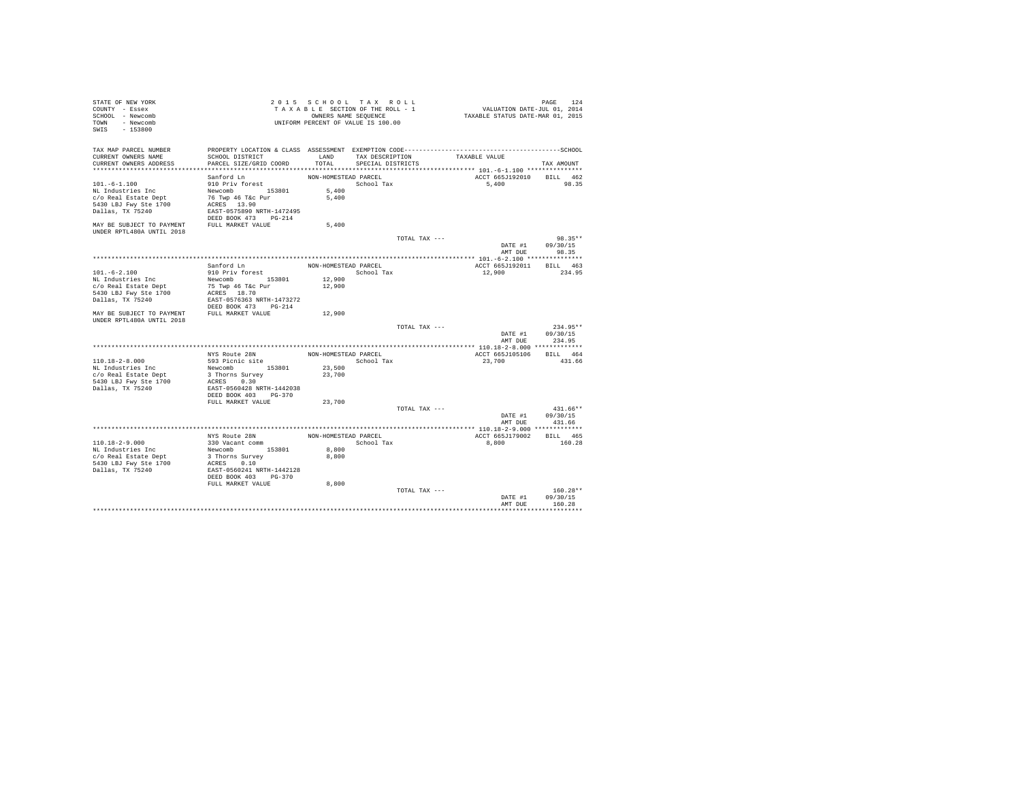| STATE OF NEW YORK<br>COUNTY - Essex<br>SCHOOL - Newcomb<br>TOWN - Newcomb<br>SWIS - 153800 |                                                                                               |                      | 2015 SCHOOL TAX ROLL<br>TAXABLE SECTION OF THE ROLL - 1<br>OWNERS NAME SEQUENCE<br>UNIFORM PERCENT OF VALUE IS 100.00 |               | PAGE 124<br>VALUATION DATE-JUL 01, 2014<br>TAXABLE STATUS DATE-MAR 01, 2015 |                            |
|--------------------------------------------------------------------------------------------|-----------------------------------------------------------------------------------------------|----------------------|-----------------------------------------------------------------------------------------------------------------------|---------------|-----------------------------------------------------------------------------|----------------------------|
| TAX MAP PARCEL NUMBER<br>CURRENT OWNERS NAME                                               | PROPERTY LOCATION & CLASS ASSESSMENT EXEMPTION CODE-----------------------------------SCHOOL  |                      | LAND TAX DESCRIPTION TAXABLE VALUE                                                                                    |               |                                                                             |                            |
| CURRENT OWNERS ADDRESS                                                                     | SCHOOL DISTRICT<br>PARCEL SIZE/GRID COORD                                                     | TOTAL                | SPECIAL DISTRICTS                                                                                                     |               |                                                                             | TAX AMOUNT                 |
|                                                                                            |                                                                                               |                      |                                                                                                                       |               |                                                                             |                            |
|                                                                                            | Sanford Ln                                                                                    | NON-HOMESTEAD PARCEL |                                                                                                                       |               | ACCT 665J192010 BILL 462                                                    |                            |
| $101. - 6 - 1.100$                                                                         | 910 Priv forest                                                                               |                      | School Tax                                                                                                            |               | 5,400 98.35                                                                 |                            |
| NL Industries Inc<br>c/o Real Estate Dept                                                  | Newcomb 153801 5,400<br>76 Twp 46 T&C Pur 5,400                                               |                      |                                                                                                                       |               |                                                                             |                            |
| 5430 LBJ Fwy Ste 1700                                                                      | ACRES 13.90                                                                                   |                      |                                                                                                                       |               |                                                                             |                            |
| Dallas, TX 75240                                                                           | EAST-0575890 NRTH-1472495                                                                     |                      |                                                                                                                       |               |                                                                             |                            |
|                                                                                            | DEED BOOK 473 PG-214                                                                          |                      |                                                                                                                       |               |                                                                             |                            |
| MAY BE SUBJECT TO PAYMENT FULL MARKET VALUE<br>UNDER RPTL480A UNTIL 2018                   |                                                                                               | 5,400                |                                                                                                                       |               |                                                                             |                            |
|                                                                                            |                                                                                               |                      |                                                                                                                       | TOTAL TAX --- |                                                                             | 98.35**                    |
|                                                                                            |                                                                                               |                      |                                                                                                                       |               | DATE #1<br>AMT DUE                                                          | 09/30/15<br>98.35          |
|                                                                                            |                                                                                               |                      |                                                                                                                       |               |                                                                             |                            |
| $101. -6 - 2.100$                                                                          | Sanford Ln<br>910 Priv forest                                                                 | NON-HOMESTEAD PARCEL | School Tax                                                                                                            |               | ACCT 665J192011 BILL 463<br>12,900                                          | 234.95                     |
| NL Industries Inc                                                                          |                                                                                               |                      |                                                                                                                       |               |                                                                             |                            |
| c/o Real Estate Dept                                                                       | Newcomb 153801 12,900<br>75 Twp 46 T&c Pur 12,900                                             |                      |                                                                                                                       |               |                                                                             |                            |
| 5430 LBJ Fwy Ste 1700                                                                      | ACRES 18.70                                                                                   |                      |                                                                                                                       |               |                                                                             |                            |
| Dallas, TX 75240                                                                           | EAST-0576363 NRTH-1473272<br>DEED BOOK 473 PG-214                                             |                      |                                                                                                                       |               |                                                                             |                            |
| MAY BE SUBJECT TO PAYMENT FULL MARKET VALUE<br>UNDER RPTL480A UNTIL 2018                   |                                                                                               | 12,900               |                                                                                                                       |               |                                                                             |                            |
|                                                                                            |                                                                                               |                      |                                                                                                                       | TOTAL TAX --- |                                                                             | 234.95**                   |
|                                                                                            |                                                                                               |                      |                                                                                                                       |               | AMT DUE                                                                     | DATE #1 09/30/15<br>234.95 |
|                                                                                            |                                                                                               |                      |                                                                                                                       |               |                                                                             |                            |
| 110.18-2-8.000                                                                             | NYS Route 28N<br>593 Picnic site                                                              | NON-HOMESTEAD PARCEL | School Tax                                                                                                            |               | ACCT 665J105106 BILL 464                                                    | 431.66                     |
| NL Industries Inc                                                                          | Newcomb 153801 23,500                                                                         |                      |                                                                                                                       |               | 23,700                                                                      |                            |
| c/o Real Estate Dept                                                                       | 3 Thorns Survey                                                                               | 23,700               |                                                                                                                       |               |                                                                             |                            |
| 5430 LBJ Fwy Ste 1700                                                                      | ACRES 0.30                                                                                    |                      |                                                                                                                       |               |                                                                             |                            |
| Dallas, TX 75240                                                                           | EAST-0560428 NRTH-1442038                                                                     |                      |                                                                                                                       |               |                                                                             |                            |
|                                                                                            | DEED BOOK 403 PG-370                                                                          |                      |                                                                                                                       |               |                                                                             |                            |
|                                                                                            | FULL MARKET VALUE                                                                             | 23,700               |                                                                                                                       |               |                                                                             |                            |
|                                                                                            |                                                                                               |                      |                                                                                                                       | TOTAL TAX --- |                                                                             | $431.66**$                 |
|                                                                                            |                                                                                               |                      |                                                                                                                       |               | DATE #1 09/30/15                                                            | AMT DUE 431.66             |
|                                                                                            |                                                                                               |                      |                                                                                                                       |               |                                                                             |                            |
|                                                                                            | NYS Route 28N                                                                                 |                      | NON-HOMESTEAD PARCEL                                                                                                  |               | ACCT 665J179002 BILL 465                                                    |                            |
| $110.18 - 2 - 9.000$                                                                       | 330 Vacant comm                                                                               |                      | School Tax                                                                                                            |               | 8,800                                                                       | 160.28                     |
| NL Industries Inc                                                                          |                                                                                               | 8,800                |                                                                                                                       |               |                                                                             |                            |
| c/o Real Estate Dept                                                                       |                                                                                               | 8,800                |                                                                                                                       |               |                                                                             |                            |
| 5430 LBJ Fwy Ste 1700<br>Dallas, TX 75240                                                  |                                                                                               |                      |                                                                                                                       |               |                                                                             |                            |
|                                                                                            | Newcomb<br>3 Thorns Survey<br>ACRES 0.10<br>EAST-0560241 NRTH-1442128<br>DEED BOOK 403 PG-370 |                      |                                                                                                                       |               |                                                                             |                            |
|                                                                                            | FULL MARKET VALUE                                                                             | 8,800                |                                                                                                                       |               |                                                                             |                            |
|                                                                                            |                                                                                               |                      |                                                                                                                       | TOTAL TAX --- |                                                                             | $160.28**$                 |
|                                                                                            |                                                                                               |                      |                                                                                                                       |               |                                                                             | DATE #1 09/30/15           |
|                                                                                            |                                                                                               |                      |                                                                                                                       |               | AMT DUE                                                                     | 160.28                     |
|                                                                                            |                                                                                               |                      |                                                                                                                       |               |                                                                             |                            |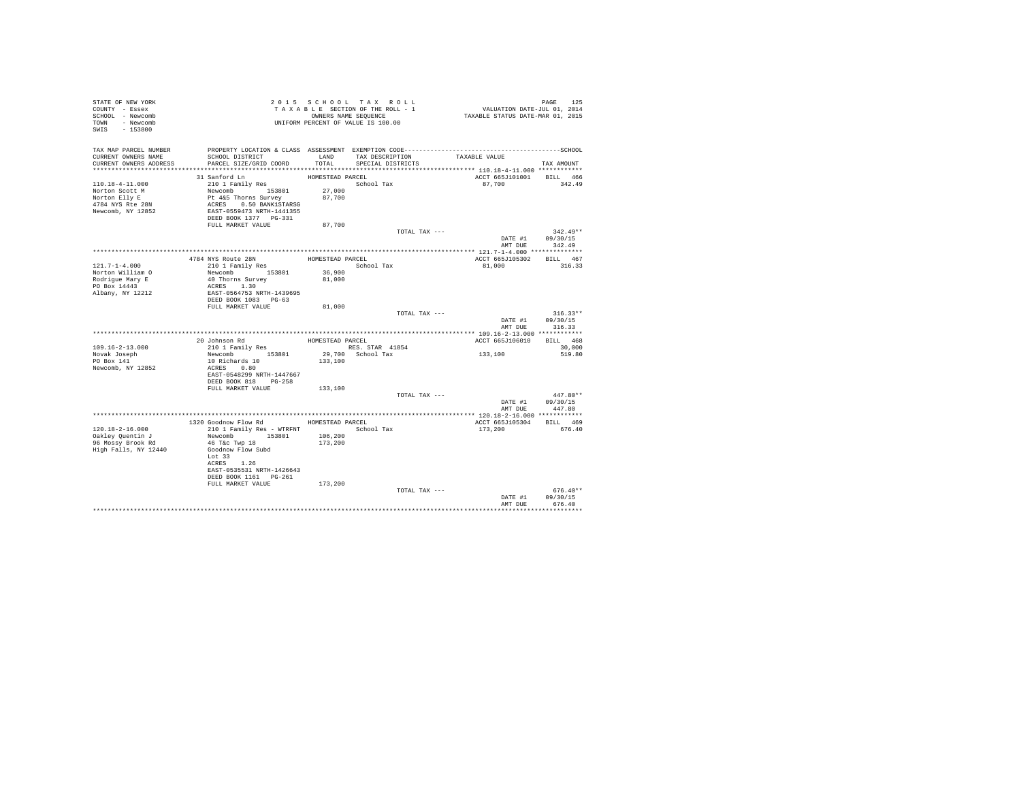| STATE OF NEW YORK<br>COUNTY - Essex<br>SCHOOL - Newcomb<br>TOWN - Newcomb | UNIFORM PERCENT OF VALUE IS 100.00                                          |                  | 2015 SCHOOL TAX ROLL<br>TAXABLE SECTION OF THE ROLL - 1<br>OWNERS NAME SEQUENCE | PAGE 125<br>VALUATION DATE-JUL 01, 2014<br>TAXABLE STATUS DATE-MAR 01, 2015                  |                                    |
|---------------------------------------------------------------------------|-----------------------------------------------------------------------------|------------------|---------------------------------------------------------------------------------|----------------------------------------------------------------------------------------------|------------------------------------|
| SWIS - 153800                                                             |                                                                             |                  |                                                                                 |                                                                                              |                                    |
| TAX MAP PARCEL NUMBER                                                     |                                                                             |                  |                                                                                 | PROPERTY LOCATION & CLASS ASSESSMENT EXEMPTION CODE-----------------------------------SCHOOL |                                    |
| CURRENT OWNERS NAME                                                       | SCHOOL DISTRICT                                                             |                  | LAND TAX DESCRIPTION TAXABLE VALUE                                              |                                                                                              |                                    |
| CURRENT OWNERS ADDRESS                                                    | PARCEL SIZE/GRID COORD                                                      | TOTAL            | SPECIAL DISTRICTS                                                               |                                                                                              | TAX AMOUNT                         |
|                                                                           | 31 Sanford Ln                                                               | HOMESTEAD PARCEL |                                                                                 | ACCT 665J101001 BILL 466                                                                     |                                    |
| 110.18-4-11.000                                                           | 210 1 Family Res                                                            |                  | School Tax                                                                      | 87.700 342.49                                                                                |                                    |
| Norton Scott M                                                            | Newcomb 153801 27,000                                                       |                  |                                                                                 |                                                                                              |                                    |
| Norton Elly E                                                             |                                                                             | 87,700           |                                                                                 |                                                                                              |                                    |
| 4784 NYS Rte 28N<br>Newcomb, NY 12852                                     | Pt 4&5 Thorns Survey<br>ACRES 0.50 BANK1STARSG<br>EAST-0559473 NRTH-1441355 |                  |                                                                                 |                                                                                              |                                    |
|                                                                           | DEED BOOK 1377 PG-331                                                       |                  |                                                                                 |                                                                                              |                                    |
|                                                                           | FULL MARKET VALUE                                                           | 87,700           |                                                                                 |                                                                                              |                                    |
|                                                                           |                                                                             |                  | TOTAL TAX ---                                                                   |                                                                                              | $342.49**$                         |
|                                                                           |                                                                             |                  |                                                                                 |                                                                                              | DATE #1 09/30/15<br>AMT DUE 342.49 |
|                                                                           |                                                                             |                  |                                                                                 |                                                                                              |                                    |
|                                                                           |                                                                             | HOMESTEAD PARCEL |                                                                                 | ACCT 665J105302 BILL 467                                                                     |                                    |
| $121.7 - 1 - 4.000$                                                       | 4784 NYS Route 28N<br>210 1 Family Res                                      |                  | School Tax                                                                      | 81,000                                                                                       | 316.33                             |
|                                                                           | Newcomb 153801                                                              | 36,900           |                                                                                 |                                                                                              |                                    |
| Norton William O<br>Rodrigue Mary E<br>PO Box 14443                       | 40 Thorns Survey<br>ACRES 1.30                                              | 81,000           |                                                                                 |                                                                                              |                                    |
| Albany, NY 12212                                                          | EAST-0564753 NRTH-1439695                                                   |                  |                                                                                 |                                                                                              |                                    |
|                                                                           | DEED BOOK 1083 PG-63                                                        |                  |                                                                                 |                                                                                              |                                    |
|                                                                           | FULL MARKET VALUE                                                           | 81,000           |                                                                                 |                                                                                              |                                    |
|                                                                           |                                                                             |                  | TOTAL TAX ---                                                                   |                                                                                              | $316.33**$                         |
|                                                                           |                                                                             |                  |                                                                                 | AMT DUE                                                                                      | DATE #1 09/30/15<br>316.33         |
|                                                                           |                                                                             |                  |                                                                                 |                                                                                              |                                    |
|                                                                           | 20 Johnson Rd                                                               | HOMESTEAD PARCEL |                                                                                 | ACCT 665J106010 BILL 468                                                                     |                                    |
| $109.16 - 2 - 13.000$                                                     | 210 1 Family Res                                                            |                  | RES. STAR 41854                                                                 | 133,100                                                                                      | 30,000                             |
| Novak Joseph<br>PO Box 141                                                | Newcomb 153801<br>10 Richards 10                                            | 133,100          | 29,700 School Tax                                                               |                                                                                              | 519.80                             |
| Newcomb, NY 12852                                                         | ACRES 0.80                                                                  |                  |                                                                                 |                                                                                              |                                    |
|                                                                           | EAST-0548299 NRTH-1447667                                                   |                  |                                                                                 |                                                                                              |                                    |
|                                                                           | DEED BOOK 818 PG-258                                                        |                  |                                                                                 |                                                                                              |                                    |
|                                                                           | FULL MARKET VALUE                                                           | 133,100          | TOTAL TAX ---                                                                   |                                                                                              | $447.80**$                         |
|                                                                           |                                                                             |                  |                                                                                 |                                                                                              | DATE #1 09/30/15                   |
|                                                                           |                                                                             |                  |                                                                                 | AMT DUE                                                                                      | 447.80                             |
|                                                                           |                                                                             |                  |                                                                                 |                                                                                              |                                    |
|                                                                           | 1320 Goodnow Flow Rd MOMESTEAD PARCEL                                       |                  |                                                                                 | ACCT 665J105304 BILL 469                                                                     |                                    |
| 120.18-2-16.000<br>Oakley Quentin J                                       | 210 1 Family Res - WTRFNT<br>Newcomb 153801                                 | 106,200          | School Tax                                                                      | 173,200                                                                                      | 676.40                             |
| 96 Mossy Brook Rd                                                         | 46 T&C Twp 18                                                               | 173,200          |                                                                                 |                                                                                              |                                    |
| High Falls, NY 12440                                                      | Goodnow Flow Subd                                                           |                  |                                                                                 |                                                                                              |                                    |
|                                                                           | Lot 33                                                                      |                  |                                                                                 |                                                                                              |                                    |
|                                                                           | ACRES 1.26<br>EAST-0535531 NRTH-1426643                                     |                  |                                                                                 |                                                                                              |                                    |
|                                                                           | DEED BOOK 1161    PG-261                                                    |                  |                                                                                 |                                                                                              |                                    |
|                                                                           |                                                                             |                  |                                                                                 |                                                                                              |                                    |
|                                                                           | FULL MARKET VALUE                                                           | 173,200          |                                                                                 |                                                                                              |                                    |
|                                                                           |                                                                             |                  | TOTAL TAX ---                                                                   |                                                                                              | $676.40**$                         |
|                                                                           |                                                                             |                  |                                                                                 | AMT DUE                                                                                      | DATE #1 09/30/15<br>676.40         |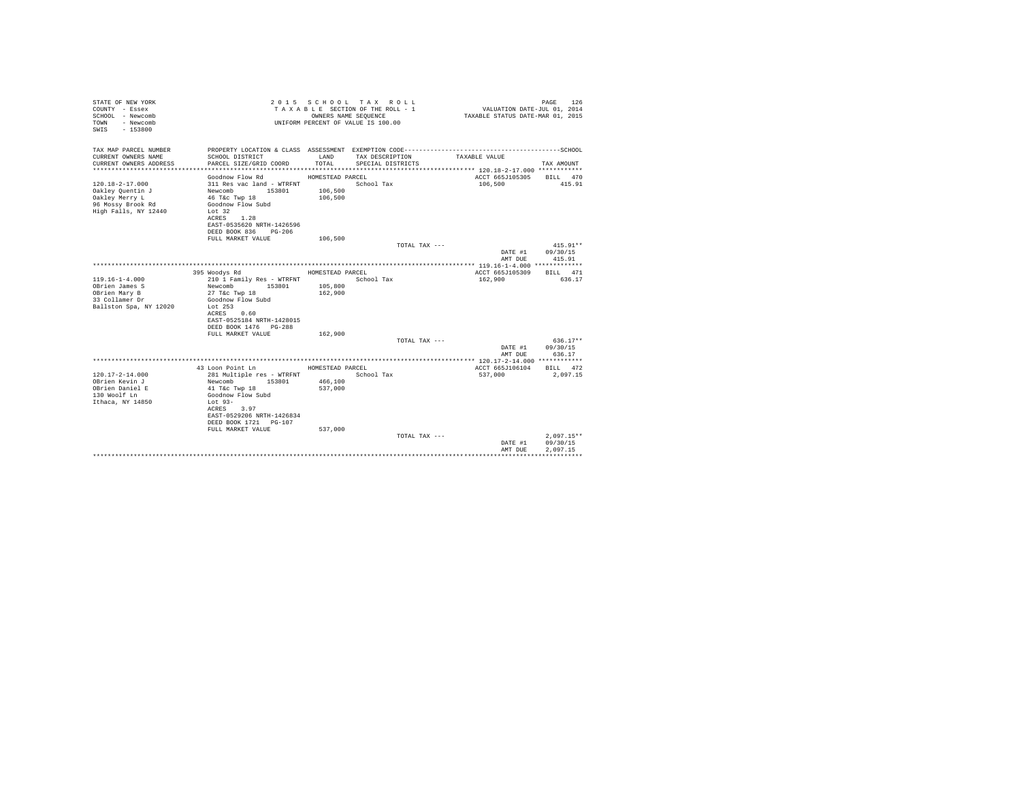| STATE OF NEW YORK<br>COUNTY - Essex<br>SCHOOL - Newcomb<br>- Newcomb<br>TOWN<br>$-153800$<br>SWTS |                                           | OWNERS NAME SEQUENCE | 2015 SCHOOL TAX ROLL<br>TAXABLE SECTION OF THE ROLL - 1<br>UNIFORM PERCENT OF VALUE IS 100.00 | VALUATION DATE-JUL 01, 2014<br>TAXABLE STATUS DATE-MAR 01, 2015 | PAGE<br>126            |
|---------------------------------------------------------------------------------------------------|-------------------------------------------|----------------------|-----------------------------------------------------------------------------------------------|-----------------------------------------------------------------|------------------------|
| TAX MAP PARCEL NUMBER                                                                             |                                           |                      |                                                                                               |                                                                 |                        |
| CURRENT OWNERS NAME<br>CURRENT OWNERS ADDRESS                                                     | SCHOOL DISTRICT<br>PARCEL SIZE/GRID COORD | LAND<br>TOTAL.       | TAX DESCRIPTION<br>SPECIAL DISTRICTS                                                          | TAXABLE VALUE                                                   | TAX AMOUNT             |
|                                                                                                   |                                           |                      |                                                                                               |                                                                 |                        |
|                                                                                                   | Goodnow Flow Rd                           | HOMESTEAD PARCEL     |                                                                                               | ACCT 665J105305                                                 | BILL 470               |
| $120.18 - 2 - 17.000$                                                                             | 311 Res vac land - WTRFNT                 |                      | School Tax                                                                                    | 106,500                                                         | 415.91                 |
| Oakley Quentin J                                                                                  | Newcomb 153801                            | 106,500              |                                                                                               |                                                                 |                        |
| Oakley Merry L                                                                                    | 46 T&c Twp 18                             | 106,500              |                                                                                               |                                                                 |                        |
| 96 Mossy Brook Rd<br>High Falls, NY 12440                                                         | Goodnow Flow Subd<br>Lot 32               |                      |                                                                                               |                                                                 |                        |
|                                                                                                   | ACRES 1.28                                |                      |                                                                                               |                                                                 |                        |
|                                                                                                   | EAST-0535620 NRTH-1426596                 |                      |                                                                                               |                                                                 |                        |
|                                                                                                   | DEED BOOK 836 PG-206                      |                      |                                                                                               |                                                                 |                        |
|                                                                                                   | FULL MARKET VALUE                         | 106,500              |                                                                                               |                                                                 |                        |
|                                                                                                   |                                           |                      | TOTAL TAX ---                                                                                 | DATE #1                                                         | $415.91**$<br>09/30/15 |
|                                                                                                   |                                           |                      |                                                                                               | AMT DUE                                                         | 415.91                 |
|                                                                                                   |                                           |                      |                                                                                               |                                                                 |                        |
|                                                                                                   | 395 Woodys Rd                             | HOMESTEAD PARCEL     |                                                                                               | ACCT 665J105309                                                 | RTT.T. 471             |
| $119.16 - 1 - 4.000$                                                                              | 210 1 Family Res - WTRFNT                 |                      | School Tax                                                                                    | 162,900                                                         | 636.17                 |
| OBrien James S                                                                                    | Newcomb<br>153801                         | 105,800              |                                                                                               |                                                                 |                        |
| OBrien Mary B<br>33 Collamer Dr                                                                   | 27 T&c Twp 18<br>Goodnow Flow Subd        | 162,900              |                                                                                               |                                                                 |                        |
| Ballston Spa, NY 12020                                                                            | Lot $253$                                 |                      |                                                                                               |                                                                 |                        |
|                                                                                                   | ACRES<br>0.60                             |                      |                                                                                               |                                                                 |                        |
|                                                                                                   | EAST-0525184 NRTH-1428015                 |                      |                                                                                               |                                                                 |                        |
|                                                                                                   | DEED BOOK 1476   PG-288                   |                      |                                                                                               |                                                                 |                        |
|                                                                                                   | FULL MARKET VALUE                         | 162,900              | TOTAL TAX ---                                                                                 |                                                                 | $636.17**$             |
|                                                                                                   |                                           |                      |                                                                                               | DATE #1                                                         | 09/30/15               |
|                                                                                                   |                                           |                      |                                                                                               | AMT DUE                                                         | 636.17                 |
|                                                                                                   |                                           |                      |                                                                                               |                                                                 |                        |
|                                                                                                   | 43 Loon Point Ln                          | HOMESTEAD PARCEL     |                                                                                               | ACCT 665J106104                                                 | BILL 472               |
| $120.17 - 2 - 14.000$                                                                             | 281 Multiple res - WTRFNT                 |                      | School Tax                                                                                    | 537,000                                                         | 2.097.15               |
| OBrien Kevin J<br>OBrien Daniel E                                                                 | Newcomb<br>153801<br>41 T&c Twp 18        | 466,100<br>537,000   |                                                                                               |                                                                 |                        |
| 130 Woolf Ln                                                                                      | Goodnow Flow Subd                         |                      |                                                                                               |                                                                 |                        |
| Ithaca, NY 14850                                                                                  | Lot $93-$                                 |                      |                                                                                               |                                                                 |                        |
|                                                                                                   | ACRES 3.97                                |                      |                                                                                               |                                                                 |                        |
|                                                                                                   | EAST-0529206 NRTH-1426834                 |                      |                                                                                               |                                                                 |                        |
|                                                                                                   | DEED BOOK 1721 PG-107                     |                      |                                                                                               |                                                                 |                        |
|                                                                                                   | FULL MARKET VALUE                         | 537,000              | TOTAL TAX ---                                                                                 |                                                                 | $2.097.15**$           |
|                                                                                                   |                                           |                      |                                                                                               | DATE #1                                                         | 09/30/15               |
|                                                                                                   |                                           |                      |                                                                                               | AMT DUE                                                         | 2.097.15               |
|                                                                                                   |                                           |                      |                                                                                               |                                                                 |                        |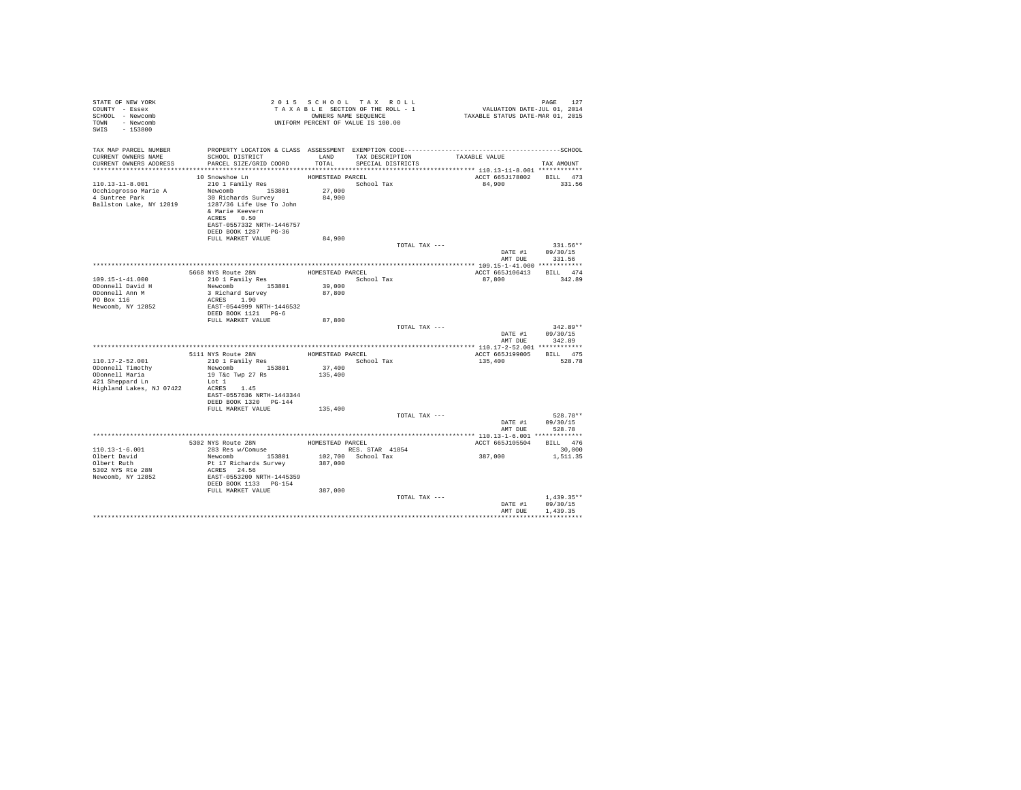| STATE OF NEW YORK<br>COUNTY - Essex<br>SCHOOL - Newcomb<br>TOWN - Newcomb<br>$SWTS = 153800$               |                                                                                                                                                                                                                        |                                                | 2015 SCHOOL TAX ROLL<br>TAXABLE SECTION OF THE ROLL - 1<br>OWNERS NAME SEQUENCE<br>UNIFORM PERCENT OF VALUE IS 100.00 | PAGE 127<br>VALUATION DATE-JUL 01, 2014<br>TAXABLE STATUS DATE-MAR 01, 2015 | PAGE<br>127                              |
|------------------------------------------------------------------------------------------------------------|------------------------------------------------------------------------------------------------------------------------------------------------------------------------------------------------------------------------|------------------------------------------------|-----------------------------------------------------------------------------------------------------------------------|-----------------------------------------------------------------------------|------------------------------------------|
| TAX MAP PARCEL NUMBER<br>CURRENT OWNERS NAME<br>CURRENT OWNERS ADDRESS                                     | SCHOOL DISTRICT LAND<br>PARCEL SIZE/GRID COORD TOTAL SPECIAL DISTRICTS                                                                                                                                                 |                                                | TAX DESCRIPTION                                                                                                       | TAXABLE VALUE                                                               | TAX AMOUNT                               |
| 110.13-11-8.001<br>Occhiogrosso Marie A<br>4 Suntree Park<br>Ballston Lake, NY 12019                       | 10 Snowshoe Ln<br>210 1 Family Res<br>Newcomb 153801<br>30 Richards Survey<br>1287/36 Life Use To John<br>& Marie Keevern<br>ACRES 0.50<br>EAST-0557332 NRTH-1446757<br>DEED BOOK 1287 PG-36<br>FULL MARKET VALUE      | HOMESTEAD PARCEL<br>27,000<br>84,900<br>84,900 | School Tax                                                                                                            | ACCT 665J178002 BILL 473<br>84,900                                          | 331.56                                   |
|                                                                                                            |                                                                                                                                                                                                                        |                                                | TOTAL TAX ---                                                                                                         |                                                                             | 331.56**<br>DATE #1 09/30/15             |
|                                                                                                            |                                                                                                                                                                                                                        |                                                | HOMESTEAD PARCEL                                                                                                      | AMT DUE<br>ACCT 665J106413                                                  | 331.56<br>BILL 474                       |
| $109.15 - 1 - 41.000$<br>ODonnell David H<br>ODonnell Ann M<br>PO Box 116<br>Newcomb, NY 12852             | 5668 NYS Route 28N<br>210 1 Family Res<br>Newcomb 153801<br>3 Richard Survey<br>ACRES 1.90<br>EAST-0544999 NRTH-1446532<br>DEED BOOK 1121 PG-6                                                                         | 39,000<br>87,800                               | School Tax                                                                                                            | 87,800                                                                      | 342.89                                   |
|                                                                                                            | FULL MARKET VALUE                                                                                                                                                                                                      | 87,800                                         | TOTAL TAX ---                                                                                                         | AMT DUE                                                                     | $342.89**$<br>DATE #1 09/30/15<br>342.89 |
|                                                                                                            |                                                                                                                                                                                                                        |                                                |                                                                                                                       |                                                                             |                                          |
| $110.17 - 2 - 52.001$<br>ODonnell Timothy<br>ODonnell Maria<br>All Sheppard Ln<br>Highland Lakes, NJ 07422 | 5111 NYS Route 28N HOMESTEAD PARCEL<br>210 1 Family Res School Tax<br>Newcomb 153801 37,400<br>19 T&c Twp 27 Rs 135,400<br>Newcomb 153801<br>Lot 1<br>ACRES 1.45<br>EAST-0557636 NRTH-1443344<br>DEED BOOK 1320 PG-144 |                                                |                                                                                                                       | ACCT 665J199005 BILL 475<br>135,400                                         | 528.78                                   |
|                                                                                                            | FULL MARKET VALUE                                                                                                                                                                                                      | 135,400                                        | TOTAL TAX ---                                                                                                         |                                                                             | 528.78**<br>DATE #1 09/30/15             |
|                                                                                                            |                                                                                                                                                                                                                        |                                                |                                                                                                                       | AMT DUE                                                                     | 528.78                                   |
|                                                                                                            |                                                                                                                                                                                                                        |                                                |                                                                                                                       | ACCT 665J105504                                                             | BILL 476                                 |
| $110.13 - 1 - 6.001$<br>Olbert David<br>Olbert Ruth<br>5302 NYS Rte 28N<br>Newcomb, NY 12852               | 5302 NYS Route 28N<br>283 Res w/Comuse HOMESTEAD PARCEL<br>RES. STAR<br>Newcomb 153801<br>Pt 17 Richards Survey<br>ACRES 24.56<br>EAST-0553200 NRTH-1445359<br>DEED BOOK 1133    PG-154                                | 387,000                                        | RES. STAR 41854<br>102,700 School Tax                                                                                 | 387.000                                                                     | 30,000<br>1,511.35                       |
|                                                                                                            | FULL MARKET VALUE                                                                                                                                                                                                      | 387,000                                        | TOTAL TAX ---                                                                                                         | DATE #1<br>AMT DUE                                                          | $1.439.35**$<br>09/30/15<br>1,439.35     |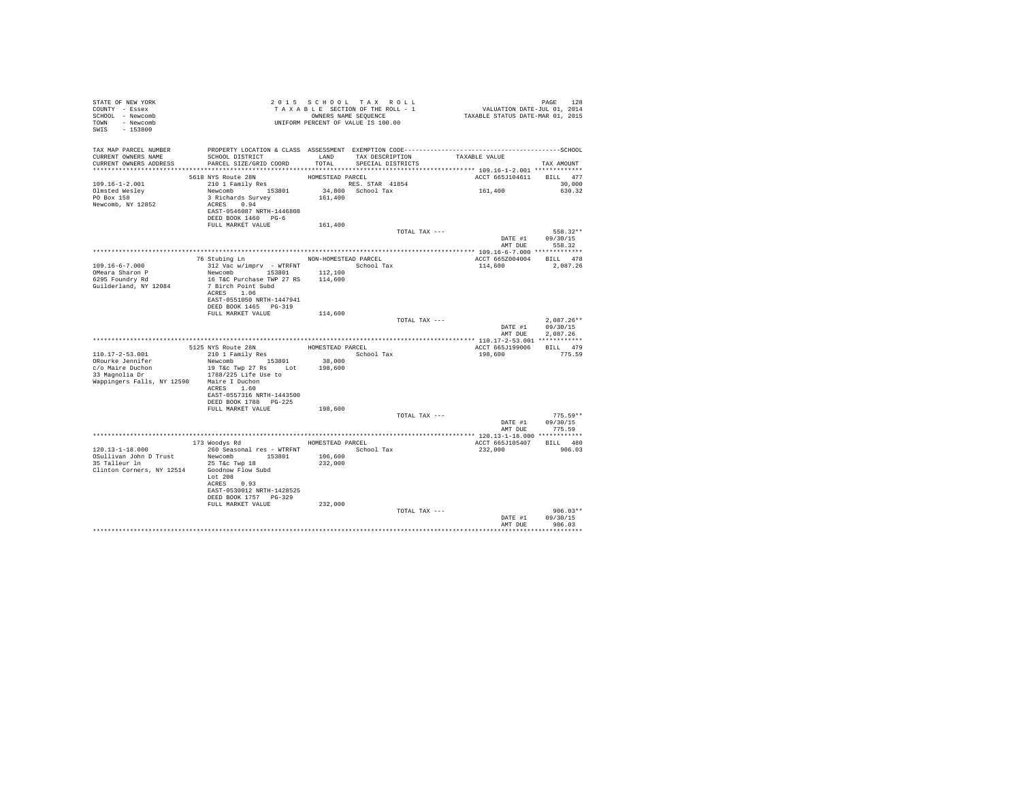| STATE OF NEW YORK<br>COUNTY - Essex<br>SCHOOL - Newcomb<br>TOWN - Newcomb<br>$-153800$<br>SWIS | T A X A B B B B B B SEQUENCE<br>UNIFORM PERCENT OF VALUE IS 100.00                           |                  | 2015 SCHOOL TAX ROLL<br>TAXABLE SECTION OF THE ROLL - 1<br>OWNERS NAME SEQUENCE |               | PAGE 128<br>VALUATION DATE-JUL 01, 2014<br>TAXABLE STATUS DATE-MAR 01, 2015 |                            |
|------------------------------------------------------------------------------------------------|----------------------------------------------------------------------------------------------|------------------|---------------------------------------------------------------------------------|---------------|-----------------------------------------------------------------------------|----------------------------|
| TAX MAP PARCEL NUMBER                                                                          | PROPERTY LOCATION & CLASS ASSESSMENT EXEMPTION CODE-----------------------------------SCHOOL |                  |                                                                                 |               |                                                                             |                            |
| CURRENT OWNERS NAME<br>CURRENT OWNERS ADDRESS                                                  | SCHOOL DISTRICT<br>PARCEL SIZE/GRID COORD                                                    | LAND<br>TOTAL    | TAX DESCRIPTION TAXABLE VALUE<br>SPECIAL DISTRICTS                              |               |                                                                             |                            |
|                                                                                                |                                                                                              |                  |                                                                                 |               |                                                                             | TAX AMOUNT                 |
|                                                                                                | 5618 NYS Route 28N                                                                           | HOMESTEAD PARCEL |                                                                                 |               | ACCT 665J104611                                                             | BILL 477                   |
| 109.16-1-2.001                                                                                 | $210$ 1 Family Res                                                                           |                  | RES. STAR 41854                                                                 |               |                                                                             | 30,000                     |
| Olmsted Wesley                                                                                 | Newcomb 153801                                                                               |                  | 34,800 School Tax                                                               |               | 161,400                                                                     | 630.32                     |
| PO Box 158<br>Newcomb, NY 12852                                                                | 3 Richards Survey<br>ACRES 0.94<br>EAST-0546087 NRTH-1446808<br>DEED BOOK 1460 PG-6          | 161,400          |                                                                                 |               |                                                                             |                            |
|                                                                                                | FULL MARKET VALUE                                                                            | 161,400          |                                                                                 |               |                                                                             |                            |
|                                                                                                |                                                                                              |                  |                                                                                 | TOTAL TAX --- |                                                                             | 558.32**                   |
|                                                                                                |                                                                                              |                  |                                                                                 |               | AMT DUE                                                                     | DATE #1 09/30/15<br>558.32 |
|                                                                                                | 76 Stubing Ln MON-HOMESTEAD PARCEL                                                           |                  |                                                                                 |               |                                                                             |                            |
| $109.16 - 6 - 7.000$                                                                           | 312 Vac w/imprv - WTRFNT School Tax                                                          |                  |                                                                                 |               | ACCT 665Z004004<br>114,600                                                  | BILL 478<br>2.087.26       |
| OMeara Sharon P                                                                                | Newcomb 153801                                                                               | 112,100          |                                                                                 |               |                                                                             |                            |
| 6295 Foundry Rd                                                                                | 16 T&C Purchase TWP 27 RS                                                                    | 114,600          |                                                                                 |               |                                                                             |                            |
| Guilderland, NY 12084                                                                          | 7 Birch Point Subd<br>ACRES 1.06                                                             |                  |                                                                                 |               |                                                                             |                            |
|                                                                                                | EAST-0551050 NRTH-1447941                                                                    |                  |                                                                                 |               |                                                                             |                            |
|                                                                                                | DEED BOOK 1465 PG-319                                                                        |                  |                                                                                 |               |                                                                             |                            |
|                                                                                                | FULL MARKET VALUE                                                                            | 114,600          |                                                                                 |               |                                                                             |                            |
|                                                                                                |                                                                                              |                  |                                                                                 | TOTAL TAX --- | DATE #1                                                                     | $2.087.26**$<br>09/30/15   |
|                                                                                                |                                                                                              |                  |                                                                                 |               | AMT DUE                                                                     | 2,087.26                   |
|                                                                                                |                                                                                              | HOMESTEAD PARCEL |                                                                                 |               | ACCT 665J199006                                                             | BILL 479                   |
| 110.17-2-53.001                                                                                | 5125 NYS Route 28N<br>210 1 Family Res                                                       |                  | School Tax                                                                      |               | 198,600                                                                     | 775.59                     |
| ORourke Jennifer                                                                               | Newcomb 153801                                                                               | 38,000           |                                                                                 |               |                                                                             |                            |
| c/o Maire Duchon<br>33 Magnolia Dr                                                             | 19 T&c Twp 27 Rs Lot                                                                         | 198,600          |                                                                                 |               |                                                                             |                            |
| Wappingers Falls, NY 12590 Maire I Duchon                                                      | 1788/225 Life Use to                                                                         |                  |                                                                                 |               |                                                                             |                            |
|                                                                                                | ACRES 1.60                                                                                   |                  |                                                                                 |               |                                                                             |                            |
|                                                                                                | EAST-0557316 NRTH-1443500                                                                    |                  |                                                                                 |               |                                                                             |                            |
|                                                                                                | DEED BOOK 1788 PG-225                                                                        |                  |                                                                                 |               |                                                                             |                            |
|                                                                                                | FULL MARKET VALUE                                                                            | 198,600          |                                                                                 | TOTAL TAX --- |                                                                             | $775.59**$                 |
|                                                                                                |                                                                                              |                  |                                                                                 |               | DATE #1                                                                     | 09/30/15                   |
|                                                                                                |                                                                                              |                  |                                                                                 |               | AMT DUE                                                                     | 775.59                     |
|                                                                                                | 173 Woodys Rd MOMESTEAD PARCEL                                                               |                  |                                                                                 |               |                                                                             |                            |
| 120.13-1-18.000                                                                                | 260 Seasonal res - WTRFNT                                                                    |                  | School Tax                                                                      |               | ACCT 665J105407<br>232,000                                                  | BILL 480<br>906.03         |
| OSullivan John D Trust                                                                         | Newcomb 153801                                                                               | 106,600          |                                                                                 |               |                                                                             |                            |
| 35 Talleur ln                                                                                  | 25 T&C Twp 18                                                                                | 232,000          |                                                                                 |               |                                                                             |                            |
| Clinton Corners, NY 12514                                                                      | Goodnow Flow Subd<br>Lot 208                                                                 |                  |                                                                                 |               |                                                                             |                            |
|                                                                                                | ACRES 0.93                                                                                   |                  |                                                                                 |               |                                                                             |                            |
|                                                                                                | EAST-0530012 NRTH-1428525                                                                    |                  |                                                                                 |               |                                                                             |                            |
|                                                                                                | DEED BOOK 1757 PG-329<br>FULL MARKET VALUE                                                   |                  |                                                                                 |               |                                                                             |                            |
|                                                                                                |                                                                                              | 232,000          |                                                                                 | TOTAL TAX --- |                                                                             | $906.03**$                 |
|                                                                                                |                                                                                              |                  |                                                                                 |               | DATE #1                                                                     | 09/30/15                   |
|                                                                                                |                                                                                              |                  |                                                                                 |               | AMT DUE                                                                     | 906.03                     |
|                                                                                                |                                                                                              |                  |                                                                                 |               |                                                                             |                            |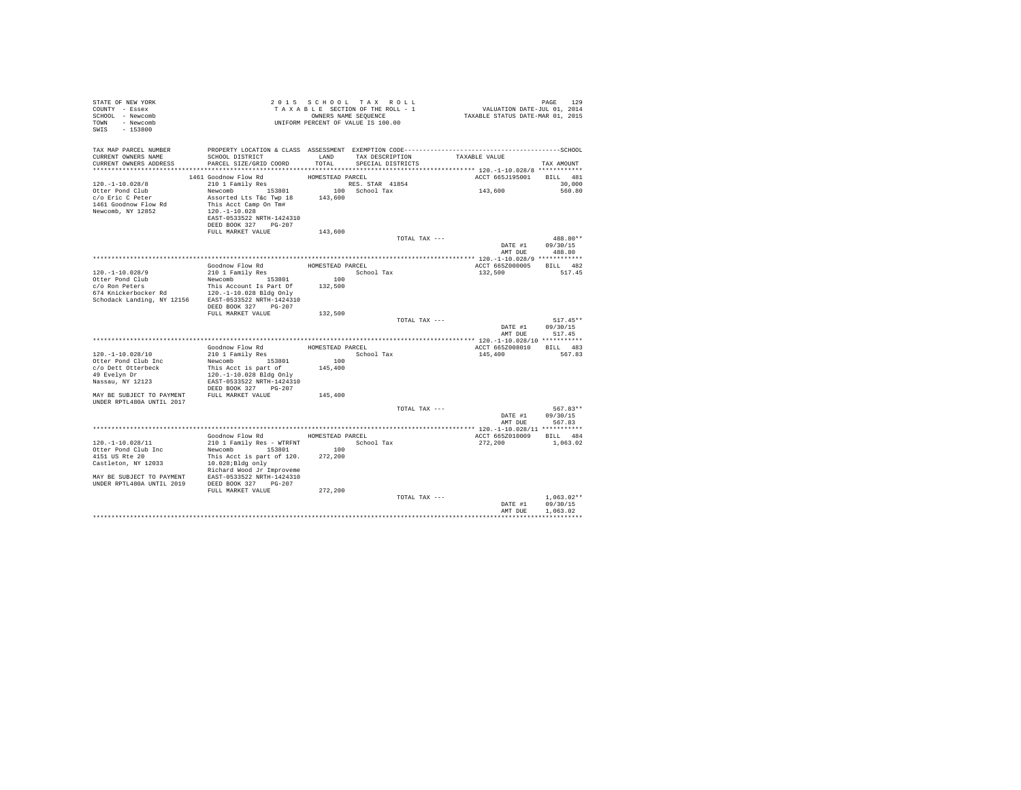| STATE OF NEW YORK<br>COUNTY - Essex<br>SCHOOL - Newcomb<br>TOWN - Newcomb<br>SWIS - 153800                                                             |                                               | 2015 SCHOOL TAX ROLL<br>TAXABLE SECTION OF THE ROLL - 1<br>OWNERS NAME SEQUENCE<br>UNIFORM PERCENT OF VALUE IS 100.00 |                      |               | PAGE 129<br>VALUATION DATE-JUL 01, 2014<br>TAXABLE STATUS DATE-MAR 01, 2015 |                          |
|--------------------------------------------------------------------------------------------------------------------------------------------------------|-----------------------------------------------|-----------------------------------------------------------------------------------------------------------------------|----------------------|---------------|-----------------------------------------------------------------------------|--------------------------|
| TAX MAP PARCEL NUMBER<br>CURRENT OWNERS NAME                                                                                                           | SCHOOL DISTRICT                               |                                                                                                                       | LAND TAX DESCRIPTION |               | TAXABLE VALUE                                                               |                          |
| CURRENT OWNERS ADDRESS                                                                                                                                 | PARCEL SIZE/GRID COORD                        | TOTAL                                                                                                                 | SPECIAL DISTRICTS    |               |                                                                             | TAX AMOUNT               |
|                                                                                                                                                        |                                               |                                                                                                                       |                      |               |                                                                             |                          |
|                                                                                                                                                        | 1461 Goodnow Flow Rd                          | HOMESTEAD PARCEL                                                                                                      |                      |               | ACCT 665J195001                                                             | BILL 481                 |
| $120. - 1 - 10.028/8$                                                                                                                                  | 210 1 Family Res                              |                                                                                                                       | RES. STAR 41854      |               |                                                                             | 30,000                   |
| Otter Pond Club                                                                                                                                        | Newcomb 153801                                |                                                                                                                       | 100 School Tax       |               | 143,600                                                                     | 560.80                   |
| c/o Eric C Peter                                                                                                                                       | Assorted Lts T&c Twp 18                       | 143,600                                                                                                               |                      |               |                                                                             |                          |
| 1461 Goodnow Flow Rd<br>Newcomb, NY 12852                                                                                                              | This Acct Camp On Tm#<br>120.-1-10.028        |                                                                                                                       |                      |               |                                                                             |                          |
|                                                                                                                                                        | EAST-0533522 NRTH-1424310                     |                                                                                                                       |                      |               |                                                                             |                          |
|                                                                                                                                                        | DEED BOOK 327 PG-207                          |                                                                                                                       |                      |               |                                                                             |                          |
|                                                                                                                                                        | FULL MARKET VALUE                             | 143,600                                                                                                               |                      |               |                                                                             |                          |
|                                                                                                                                                        |                                               |                                                                                                                       |                      | TOTAL TAX --- |                                                                             | 488.80**                 |
|                                                                                                                                                        |                                               |                                                                                                                       |                      |               | DATE #1                                                                     | 09/30/15                 |
|                                                                                                                                                        |                                               |                                                                                                                       |                      |               | AMT DUE                                                                     | 488.80                   |
|                                                                                                                                                        | Goodnow Flow Rd                               | HOMESTEAD PARCEL                                                                                                      |                      |               | ACCT 665Z000005                                                             | BILL 482                 |
| 120. -1-10.028/9                                                                                                                                       | 210 1 Family Res                              |                                                                                                                       | School Tax           |               | 132,500                                                                     | 517.45                   |
| Otter Pond Club                                                                                                                                        | Newcomb 153801                                | 100                                                                                                                   |                      |               |                                                                             |                          |
|                                                                                                                                                        |                                               | 132,500                                                                                                               |                      |               |                                                                             |                          |
| $c/o$ Ron Peters $$\tt This$ Account Is Part Of Kanickerbocker Rd $120,-1-10.028$ Bldg Only Schodack Landing, NY 12156 $$\tt EST-0533522$ NRTH-1424310 |                                               |                                                                                                                       |                      |               |                                                                             |                          |
|                                                                                                                                                        |                                               |                                                                                                                       |                      |               |                                                                             |                          |
|                                                                                                                                                        | DEED BOOK 327 PG-207<br>FULL MARKET VALUE     | 132,500                                                                                                               |                      |               |                                                                             |                          |
|                                                                                                                                                        |                                               |                                                                                                                       |                      | TOTAL TAX --- |                                                                             | $517.45**$               |
|                                                                                                                                                        |                                               |                                                                                                                       |                      |               | DATE #1                                                                     | 09/30/15                 |
|                                                                                                                                                        |                                               |                                                                                                                       |                      |               | AMT DUE                                                                     | 517.45                   |
|                                                                                                                                                        |                                               |                                                                                                                       |                      |               |                                                                             |                          |
|                                                                                                                                                        | Goodnow Flow Rd                               | HOMESTEAD PARCEL                                                                                                      |                      |               | ACCT 665Z008010                                                             | BILL 483                 |
| 120. -1-10.028/10<br>Otter Pond Club Inc                                                                                                               | 210 1 Family Res<br>Newcomb 153801            | 100                                                                                                                   | School Tax           |               | 145,400                                                                     | 567.83                   |
| c/o Dett Otterbeck                                                                                                                                     | This Acct is part of                          | 145,400                                                                                                               |                      |               |                                                                             |                          |
| 49 Evelyn Dr                                                                                                                                           | 120.-1-10.028 Bldg Only                       |                                                                                                                       |                      |               |                                                                             |                          |
| Nassau, NY 12123                                                                                                                                       | EAST-0533522 NRTH-1424310                     |                                                                                                                       |                      |               |                                                                             |                          |
|                                                                                                                                                        | DEED BOOK 327 PG-207                          |                                                                                                                       |                      |               |                                                                             |                          |
| MAY BE SUBJECT TO PAYMENT FULL MARKET VALUE                                                                                                            |                                               | 145,400                                                                                                               |                      |               |                                                                             |                          |
| UNDER RPTL480A UNTIL 2017                                                                                                                              |                                               |                                                                                                                       |                      | TOTAL TAX --- |                                                                             | 567.83**                 |
|                                                                                                                                                        |                                               |                                                                                                                       |                      |               | DATE #1                                                                     | 09/30/15                 |
|                                                                                                                                                        |                                               |                                                                                                                       |                      |               | AMT DUE                                                                     | 567.83                   |
|                                                                                                                                                        |                                               |                                                                                                                       |                      |               |                                                                             |                          |
|                                                                                                                                                        | Goodnow Flow Rd MOMESTEAD PARCEL              |                                                                                                                       |                      |               | ACCT 665Z010009                                                             | BILL 484                 |
| 120. -1-10.028/11                                                                                                                                      |                                               |                                                                                                                       |                      |               | 272,200                                                                     | 1,063.02                 |
| Otter Pond Club Inc<br>4151 US Rte 20                                                                                                                  | Newcomb 153801                                | 100<br>272,200                                                                                                        |                      |               |                                                                             |                          |
| Castleton, NY 12033                                                                                                                                    | This Acct is part of 120.<br>10.028;Bldg only |                                                                                                                       |                      |               |                                                                             |                          |
|                                                                                                                                                        | Richard Wood Jr Improveme                     |                                                                                                                       |                      |               |                                                                             |                          |
| MAY BE SUBJECT TO PAYMENT                                                                                                                              | EAST-0533522 NRTH-1424310                     |                                                                                                                       |                      |               |                                                                             |                          |
| UNDER RPTL480A UNTIL 2019 DEED BOOK 327 PG-207                                                                                                         |                                               |                                                                                                                       |                      |               |                                                                             |                          |
|                                                                                                                                                        | FULL MARKET VALUE                             | 272,200                                                                                                               |                      |               |                                                                             |                          |
|                                                                                                                                                        |                                               |                                                                                                                       |                      | TOTAL TAX --- | DATE #1                                                                     | $1.063.02**$<br>09/30/15 |
|                                                                                                                                                        |                                               |                                                                                                                       |                      |               | AMT DUE                                                                     | 1,063.02                 |
|                                                                                                                                                        |                                               |                                                                                                                       |                      |               |                                                                             |                          |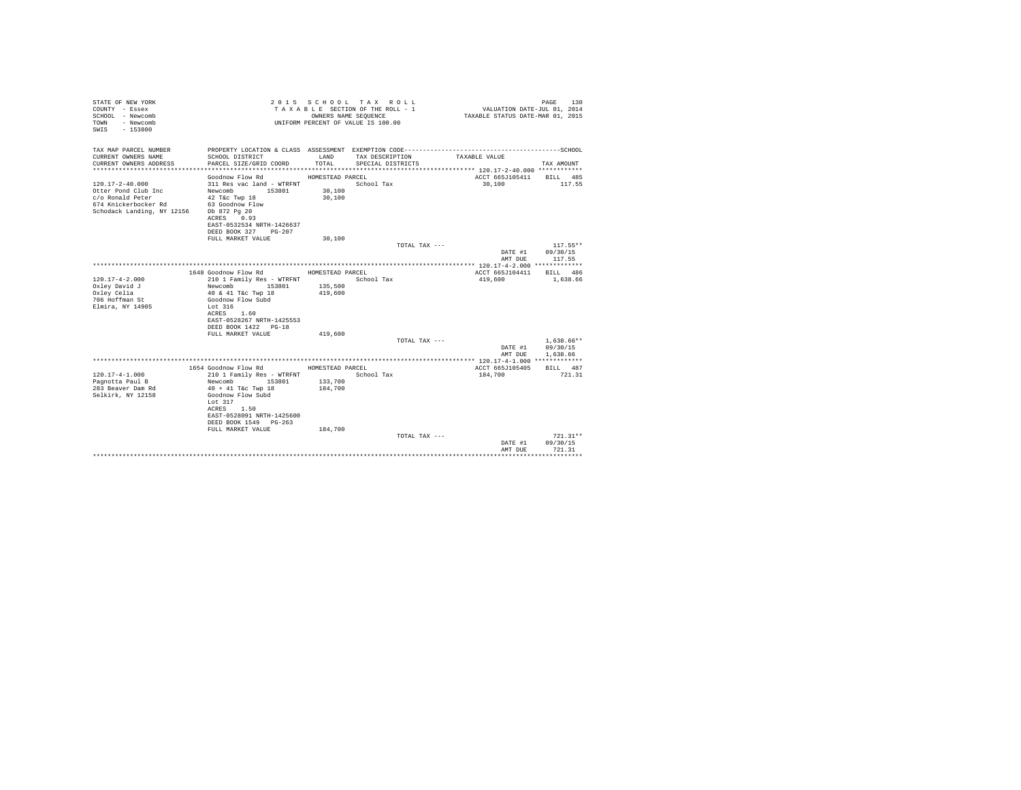| STATE OF NEW YORK<br>COUNTY - Essex<br>SCHOOL - Newcomb<br>- Newcomb<br>TOWN<br>$-153800$<br>SWTS                                   |                                                                                      | OWNERS NAME SEQUENCE | 2015 SCHOOL TAX ROLL<br>TAXABLE SECTION OF THE ROLL - 1<br>UNIFORM PERCENT OF VALUE IS 100.00 | VALUATION DATE-JUL 01, 2014<br>TAXABLE STATUS DATE-MAR 01, 2015 | 130<br>PAGE                      |
|-------------------------------------------------------------------------------------------------------------------------------------|--------------------------------------------------------------------------------------|----------------------|-----------------------------------------------------------------------------------------------|-----------------------------------------------------------------|----------------------------------|
| TAX MAP PARCEL NUMBER<br>CURRENT OWNERS NAME                                                                                        | SCHOOL DISTRICT                                                                      | LAND                 | TAX DESCRIPTION                                                                               | TAXABLE VALUE                                                   |                                  |
| CURRENT OWNERS ADDRESS                                                                                                              | PARCEL SIZE/GRID COORD                                                               | TOTAL                | SPECIAL DISTRICTS                                                                             |                                                                 | TAX AMOUNT                       |
|                                                                                                                                     | Goodnow Flow Rd                                                                      | HOMESTEAD PARCEL     |                                                                                               | ACCT 665J105411                                                 | BILL 485                         |
| $120.17 - 2 - 40.000$<br>Otter Pond Club Inc<br>c/o Ronald Peter<br>674 Knickerbocker Rd<br>Schodack Landing, NY 12156 Db 872 Pg 20 | 311 Res vac land - WTRFNT<br>Newcomb 153801<br>42 T&c Twp 18<br>63 Goodnow Flow      | 30,100<br>30,100     | School Tax                                                                                    | 30,100                                                          | 117.55                           |
|                                                                                                                                     | ACRES 0.93<br>EAST-0532534 NRTH-1426637<br>DEED BOOK 327 PG-207<br>FULL MARKET VALUE | 30,100               |                                                                                               |                                                                 |                                  |
|                                                                                                                                     |                                                                                      |                      | TOTAL TAX ---                                                                                 |                                                                 | $117.55**$                       |
|                                                                                                                                     |                                                                                      |                      |                                                                                               | DATE #1                                                         | 09/30/15                         |
|                                                                                                                                     |                                                                                      |                      |                                                                                               | AMT DUE                                                         | 117.55                           |
|                                                                                                                                     |                                                                                      |                      |                                                                                               |                                                                 |                                  |
|                                                                                                                                     | 1648 Goodnow Flow Rd                                                                 | HOMESTEAD PARCEL     |                                                                                               | ACCT 665J104411                                                 | BTT.T. 486                       |
| $120.17 - 4 - 2.000$                                                                                                                | 210 1 Family Res - WTRFNT                                                            |                      | School Tax                                                                                    | 419,600                                                         | 1,638.66                         |
| Oxley David J                                                                                                                       | Newcomb<br>153801                                                                    | 135,500<br>419,600   |                                                                                               |                                                                 |                                  |
| Oxley Celia<br>706 Hoffman St                                                                                                       | 40 & 41 T&c Twp 18<br>Goodnow Flow Subd                                              |                      |                                                                                               |                                                                 |                                  |
| Elmira, NY 14905                                                                                                                    | Lot 316                                                                              |                      |                                                                                               |                                                                 |                                  |
|                                                                                                                                     | ACRES 1.60                                                                           |                      |                                                                                               |                                                                 |                                  |
|                                                                                                                                     | EAST-0528267 NRTH-1425553                                                            |                      |                                                                                               |                                                                 |                                  |
|                                                                                                                                     | DEED BOOK 1422 PG-18                                                                 |                      |                                                                                               |                                                                 |                                  |
|                                                                                                                                     | FULL MARKET VALUE                                                                    | 419,600              |                                                                                               |                                                                 |                                  |
|                                                                                                                                     |                                                                                      |                      | TOTAL TAX ---                                                                                 |                                                                 | $1.638.66**$                     |
|                                                                                                                                     |                                                                                      |                      |                                                                                               | DATE #1                                                         | 09/30/15                         |
|                                                                                                                                     |                                                                                      |                      |                                                                                               | AMT DUE                                                         | 1,638.66                         |
|                                                                                                                                     | 1654 Goodnow Flow Rd                                                                 | HOMESTEAD PARCEL     |                                                                                               | ACCT 665J105405                                                 | BILL 487                         |
| $120.17 - 4 - 1.000$                                                                                                                | 210 1 Family Res - WTRFNT                                                            |                      | School Tax                                                                                    | 184,700                                                         | 721.31                           |
| Pagnotta Paul B                                                                                                                     | 153801<br>Newcomb                                                                    | 133,700              |                                                                                               |                                                                 |                                  |
| 283 Beaver Dam Rd                                                                                                                   | $40 + 41$ T&c Twp 18                                                                 | 184,700              |                                                                                               |                                                                 |                                  |
| Selkirk, NY 12158                                                                                                                   | Goodnow Flow Subd<br>Lot $317$                                                       |                      |                                                                                               |                                                                 |                                  |
|                                                                                                                                     | ACRES 1.50<br>EAST-0528091 NRTH-1425600<br>DEED BOOK 1549 PG-263                     |                      |                                                                                               |                                                                 |                                  |
|                                                                                                                                     | FULL MARKET VALUE                                                                    | 184,700              |                                                                                               |                                                                 |                                  |
|                                                                                                                                     |                                                                                      |                      | TOTAL TAX ---                                                                                 | DATE #1<br>AMT DUE                                              | $721.31**$<br>09/30/15<br>721.31 |
|                                                                                                                                     |                                                                                      |                      |                                                                                               |                                                                 |                                  |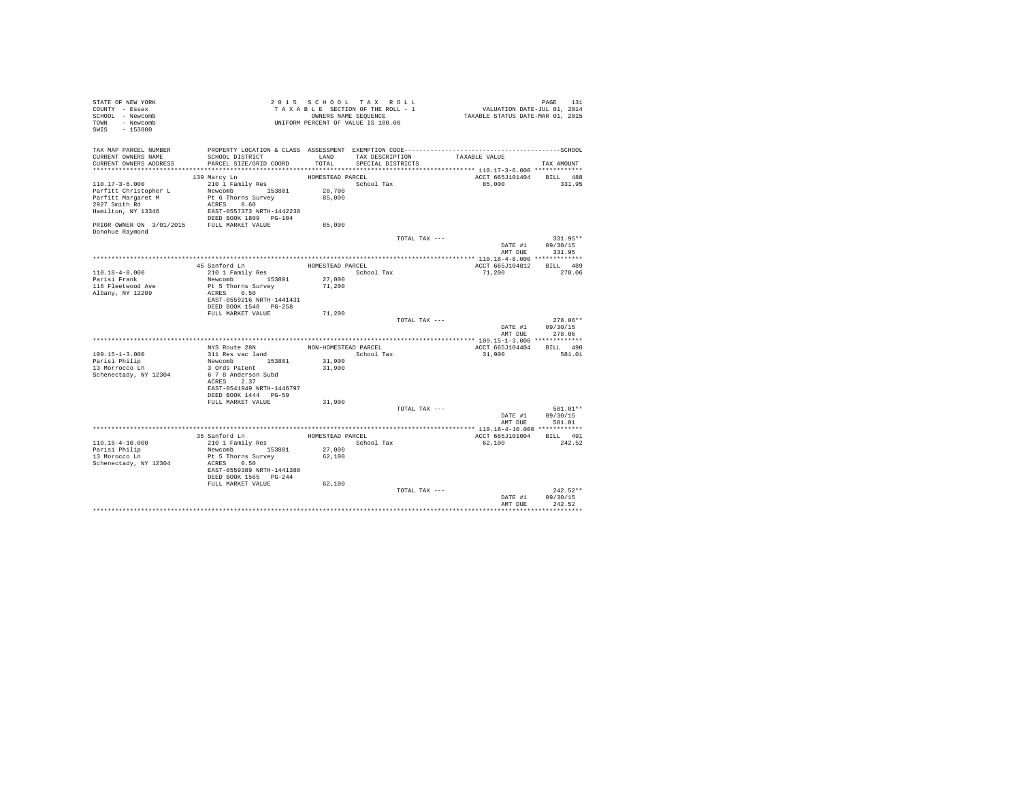| STATE OF NEW YORK<br>COUNTY - Essex<br>SCHOOL - Newcomb<br>TOWN - Newcomb<br>SWIS - 153800              |                                                                                                                                                                                     |                                                    | 2015 SCHOOL TAX ROLL<br>TAXABLE SECTION OF THE ROLL - 1<br>OWNERS NAME SEQUENCE<br>UNIFORM PERCENT OF VALUE IS 100.00 | PAGE 131<br>VALUATION DATE-JUL 01, 2014<br>TAXABLE STATUS DATE-MAR 01, 2015                                                        |                                                |
|---------------------------------------------------------------------------------------------------------|-------------------------------------------------------------------------------------------------------------------------------------------------------------------------------------|----------------------------------------------------|-----------------------------------------------------------------------------------------------------------------------|------------------------------------------------------------------------------------------------------------------------------------|------------------------------------------------|
| TAX MAP PARCEL NUMBER<br>CURRENT OWNERS NAME<br>CURRENT OWNERS ADDRESS                                  | SCHOOL DISTRICT<br>PARCEL SIZE/GRID COORD                                                                                                                                           | TOTAL.                                             | SPECIAL DISTRICTS                                                                                                     | PROPERTY LOCATION & CLASS ASSESSMENT EXEMPTION CODE-----------------------------------SCHOOL<br>LAND TAX DESCRIPTION TAXABLE VALUE | TAX AMOUNT                                     |
| $110.17 - 3 - 6.000$<br>Parfitt Christopher L<br>Parfitt Margaret M<br>2927 Smith Rd<br>Donohue Raymond | 139 Marcy Ln<br>210 1 Family Res<br>Newcomb 153801 28,700<br>Pt 6 Thorns Survey<br>ACRES 0.60                                                                                       | HOMESTEAD PARCEL<br>85,000<br>85,000               | School Tax                                                                                                            | ACCT 665J101404 BILL 488<br>85,000                                                                                                 | 331.95                                         |
|                                                                                                         |                                                                                                                                                                                     |                                                    | TOTAL TAX ---                                                                                                         | AMT DUE                                                                                                                            | 331.95**<br>DATE #1 09/30/15<br>331.95         |
| $110.18 - 4 - 8.000$<br>Parisi Frank<br>116 Fleetwood Ave<br>Albany, NY 12209                           | 45 Sanford Ln<br>210 1 Family Res<br>Newcomb 153801 27,000<br>Pt 5 Thorns Survey<br>ACRES 0.50<br>EAST-0559216 NRTH-1441431<br>DEED BOOK 1548 PG-258                                | HOMESTEAD PARCEL<br>School Tax<br>71,200           |                                                                                                                       | ACCT 665J104812 BILL 489<br>71,200                                                                                                 | 278.06                                         |
|                                                                                                         | FULL MARKET VALUE                                                                                                                                                                   | 71,200                                             |                                                                                                                       | TOTAL TAX ---                                                                                                                      | 278.06**<br>DATE #1 09/30/15<br>AMT DUE 278.06 |
| 109.15-1-3.000<br>Parisi Philip<br>13 Morrocco Ln<br>Schenectady, NY 12304                              | NYS Route 28N<br>311 Res vac land<br>Newcomb 153801<br>3 Ords Patent<br>6 7 8 Anderson Subd<br>ACRES 2.37<br>EAST-0541949 NRTH-1446797<br>DEED BOOK 1444 PG-59<br>FULL MARKET VALUE | NON-HOMESTEAD PARCEL<br>31,900<br>31,900<br>31,900 | School Tax                                                                                                            | ACCT 665J104404 BILL 490<br>31,900                                                                                                 | 581.01                                         |
|                                                                                                         |                                                                                                                                                                                     |                                                    |                                                                                                                       | TOTAL TAX ---                                                                                                                      | 581.01**<br>DATE #1 09/30/15<br>AMT DUE 581.01 |
| 110.18-4-10.000<br>Parisi Philip<br>13 Morocco Ln<br>Schenectady, NY 12304                              | 35 Sanford Ln<br>210 1 Family Res<br>Newcomb 153801<br>Pt 5 Thorns Survey<br>ACRES 0.50<br>EAST-0559389 NRTH-1441388<br>DEED BOOK 1565 PG-244                                       | 27,000<br>62,100                                   | HOMESTEAD PARCEL<br>School Tax                                                                                        | ACCT 665J101004 BILL 491<br>62,100                                                                                                 | 242.52                                         |
|                                                                                                         | FULL MARKET VALUE                                                                                                                                                                   | 62,100                                             | TOTAL TAX ---                                                                                                         | AMT DUE                                                                                                                            | $242.52**$<br>DATE #1 09/30/15<br>242.52       |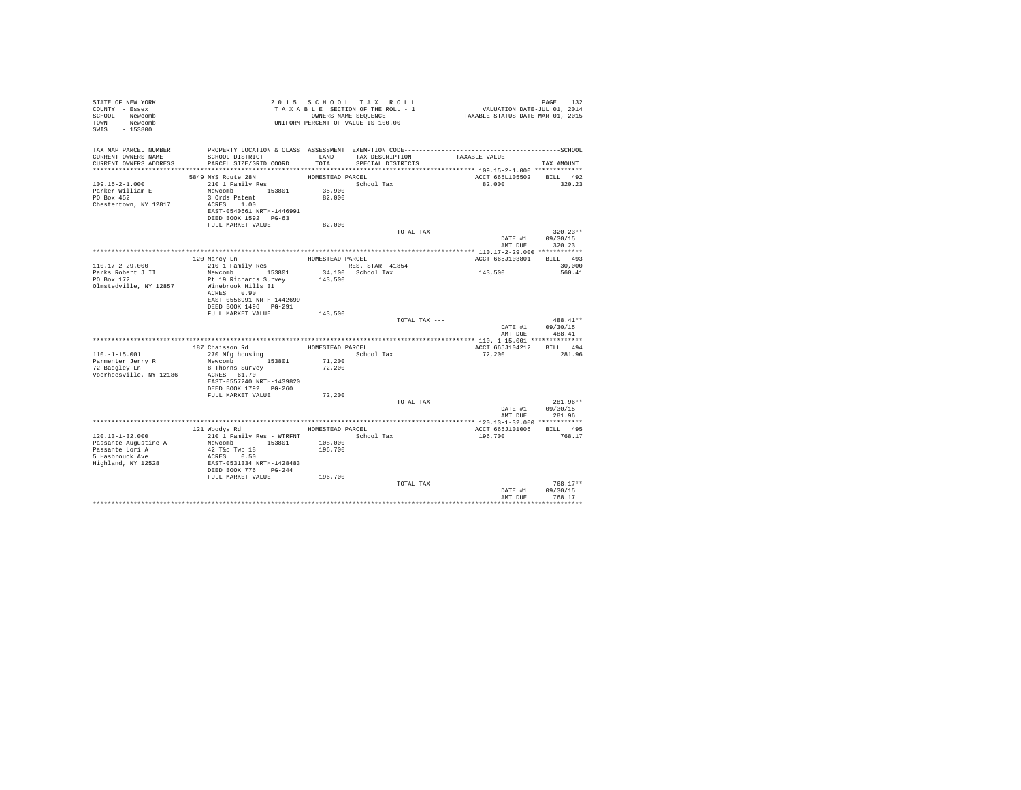| STATE OF NEW YORK<br>COUNTY - Essex<br>SCHOOL - Newcomb<br>TOWN - Newcomb<br>SWIS - 153800 |                                                                                                                                              |                                      | 2015 SCHOOL TAX ROLL<br>PAGE 132 2015 SCHOOL TAX ROLL<br>TAXABLE SECTION OF THE ROLL - 1 VALUATION DATE-JUL 01, 2014<br>OWNERS NAME SEQUENCE 1 TAXABLE STATUS DATE-MAR 01, 2015<br>OWNERS NAME SEQUENCE<br>UNIFORM PERCENT OF VALUE IS 100.00 |                                    | PAGE<br>132                      |
|--------------------------------------------------------------------------------------------|----------------------------------------------------------------------------------------------------------------------------------------------|--------------------------------------|-----------------------------------------------------------------------------------------------------------------------------------------------------------------------------------------------------------------------------------------------|------------------------------------|----------------------------------|
| TAX MAP PARCEL NUMBER<br>CURRENT OWNERS NAME<br>CURRENT OWNERS ADDRESS                     | SCHOOL DISTRICT<br>PARCEL SIZE/GRID COORD                                                                                                    | LAND<br>TOTAL                        | TAX DESCRIPTION TAXABLE VALUE<br>SPECIAL DISTRICTS                                                                                                                                                                                            |                                    | TAX AMOUNT                       |
|                                                                                            |                                                                                                                                              |                                      |                                                                                                                                                                                                                                               |                                    |                                  |
| $109.15 - 2 - 1.000$<br>Parker William E<br>PO Box 452<br>Chestertown, NY 12817            | 5849 NYS Route 28N<br>210 1 Family Res<br>Newcomb 153801<br>3 Ords Patent<br>ACRES 1.00<br>EAST-0540661 NRTH-1446991<br>DEED BOOK 1592 PG-63 | HOMESTEAD PARCEL<br>35,900<br>82,000 | School Tax                                                                                                                                                                                                                                    | ACCT 665L105502 BILL 492<br>82,000 | 320.23                           |
|                                                                                            | FULL MARKET VALUE                                                                                                                            | 82,000                               |                                                                                                                                                                                                                                               |                                    |                                  |
|                                                                                            |                                                                                                                                              |                                      | TOTAL TAX ---                                                                                                                                                                                                                                 | DATE #1<br>AMT DUE                 | $320.23**$<br>09/30/15<br>320.23 |
|                                                                                            |                                                                                                                                              |                                      |                                                                                                                                                                                                                                               |                                    |                                  |
|                                                                                            | 120 Marcy Ln                                                                                                                                 | HOMESTEAD PARCEL                     |                                                                                                                                                                                                                                               | ACCT 665J103801 BILL 493           |                                  |
| $110.17 - 2 - 29.000$<br>Parks Robert J II<br>PO Box 172                                   | 210 1 Family Res                                                                                                                             | 143,500                              |                                                                                                                                                                                                                                               | 143,500                            | 30,000<br>560.41                 |
| Olmstedville, NY 12857                                                                     | Pt 19 Richards Survey<br>Winebrook Hills 31<br>ACRES 0.90<br>EAST-0556991 NRTH-1442699<br>DEED BOOK 1496    PG-291                           |                                      |                                                                                                                                                                                                                                               |                                    |                                  |
|                                                                                            | FULL MARKET VALUE                                                                                                                            | 143,500                              |                                                                                                                                                                                                                                               |                                    |                                  |
|                                                                                            |                                                                                                                                              |                                      | TOTAL TAX ---                                                                                                                                                                                                                                 | DATE #1                            | 488.41**<br>09/30/15             |
|                                                                                            |                                                                                                                                              |                                      |                                                                                                                                                                                                                                               | AMT DUE                            | 488.41                           |
|                                                                                            | 187 Chaisson Rd                                                                                                                              | HOMESTEAD PARCEL                     |                                                                                                                                                                                                                                               | ACCT 665J104212 BILL 494           |                                  |
| $110. -1 - 15.001$                                                                         | 270 Mfg housing                                                                                                                              |                                      | School Tax                                                                                                                                                                                                                                    | 72,200                             | 281.96                           |
| Parmenter Jerry R<br>72 Badgley Ln<br>Voorheesville, NY 12186                              | Newcomb 153801<br>8 Thorns Survey<br>ACRES 61.70<br>EAST-0557240 NRTH-1439820                                                                | 71,200<br>72,200                     |                                                                                                                                                                                                                                               |                                    |                                  |
|                                                                                            | DEED BOOK 1792 PG-260<br>FULL MARKET VALUE                                                                                                   | 72,200                               |                                                                                                                                                                                                                                               |                                    |                                  |
|                                                                                            |                                                                                                                                              |                                      | TOTAL TAX ---                                                                                                                                                                                                                                 |                                    | 281.96**                         |
|                                                                                            |                                                                                                                                              |                                      |                                                                                                                                                                                                                                               | DATE #1<br>AMT DUE                 | 09/30/15<br>281.96               |
|                                                                                            |                                                                                                                                              |                                      |                                                                                                                                                                                                                                               |                                    |                                  |
|                                                                                            | 121 Woodys Rd                                                                                                                                | HOMESTEAD PARCEL                     |                                                                                                                                                                                                                                               | ACCT 665J101006 BILL 495           |                                  |
| $120.13 - 1 - 32.000$<br>Passante Augustine A                                              | 210 1 Family Res - WTRFNT<br>Newcomb 153801                                                                                                  | 108,000                              | School Tax                                                                                                                                                                                                                                    | 196,700                            | 768.17                           |
| Passante Lori A<br>5 Hasbrouck Ave<br>Highland, NY 12528                                   | 42 T&c Twp 18<br>ACRES 0.50<br>EAST-0531334 NRTH-1428483<br>DEED BOOK 776 PG-244                                                             | 196,700                              |                                                                                                                                                                                                                                               |                                    |                                  |
|                                                                                            | FULL MARKET VALUE 196,700                                                                                                                    |                                      |                                                                                                                                                                                                                                               |                                    |                                  |
|                                                                                            |                                                                                                                                              |                                      | TOTAL TAX ---                                                                                                                                                                                                                                 | DATE #1<br>AMT DUE                 | $768.17**$<br>09/30/15<br>768.17 |
|                                                                                            |                                                                                                                                              |                                      |                                                                                                                                                                                                                                               |                                    |                                  |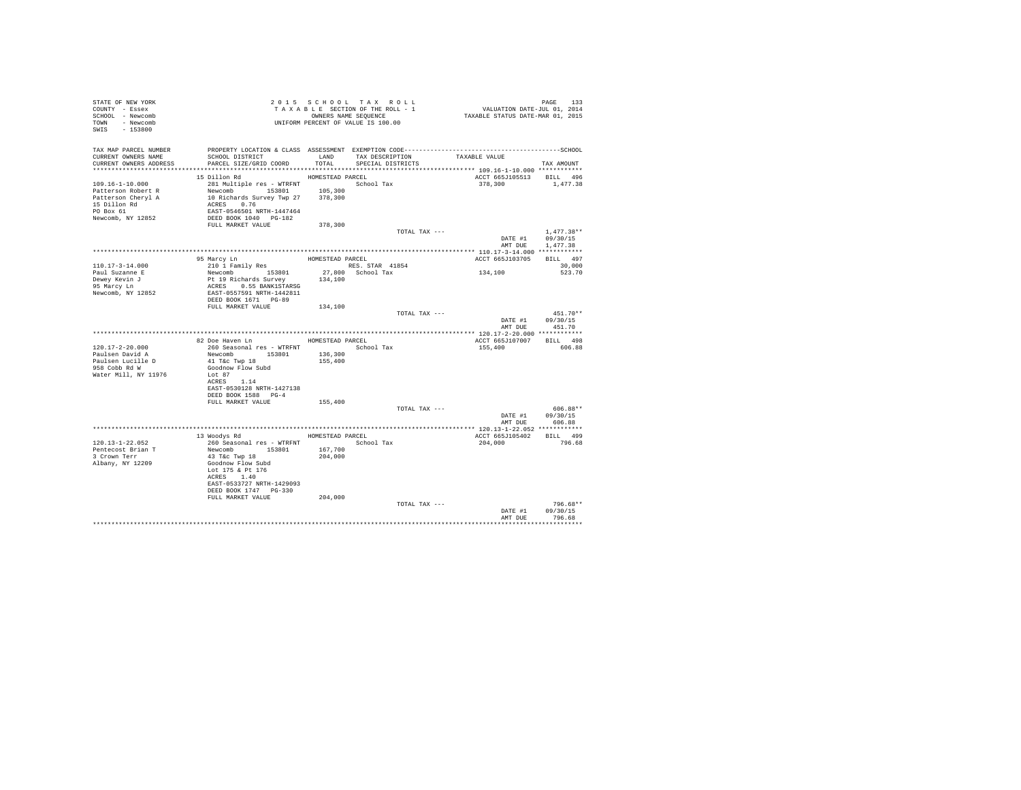| STATE OF NEW YORK<br>COUNTY - Essex<br>SCHOOL - Newcomb<br>TOWN - Newcomb<br>SWIS - 153800                    | UNIFORM PERCENT OF VALUE IS 100.00                                                                                                                                                        |                             | 2015 SCHOOL TAX ROLL<br>TAXABLE SECTION OF THE ROLL - 1<br>OWNERS NAME SEQUENCE | PAGE 133<br>VALUATION DATE-JUL 01, 2014<br>TAXABLE STATUS DATE-MAR 01, 2015 |                                      |
|---------------------------------------------------------------------------------------------------------------|-------------------------------------------------------------------------------------------------------------------------------------------------------------------------------------------|-----------------------------|---------------------------------------------------------------------------------|-----------------------------------------------------------------------------|--------------------------------------|
| TAX MAP PARCEL NUMBER<br>CURRENT OWNERS NAME<br>CURRENT OWNERS ADDRESS                                        | SCHOOL DISTRICT<br>PARCEL SIZE/GRID COORD                                                                                                                                                 | LAND<br>TOTAL               | TAX DESCRIPTION<br>SPECIAL DISTRICTS                                            | TAXABLE VALUE                                                               | TAX AMOUNT                           |
| 109.16-1-10.000<br>Patterson Robert R<br>Patterson Cheryl A<br>15 Dillon Rd<br>PO Box 61<br>Newcomb, NY 12852 | 15 Dillon Rd<br>281 Multiple res - WTRFNT School Tax<br>Newcomb 153801<br>10 Richards Survey Twp 27 378,300<br>ACRES 0.76<br>EAST-0546501 NRTH-1447464<br>DEED BOOK 1040 PG-182           | HOMESTEAD PARCEL<br>105,300 |                                                                                 | ACCT 665J105513 BILL 496<br>378,300                                         | 1,477.38                             |
|                                                                                                               | FULL MARKET VALUE                                                                                                                                                                         | 378,300                     | TOTAL TAX ---                                                                   | DATE #1<br>AMT DUE                                                          | $1.477.38**$<br>09/30/15<br>1,477.38 |
| 110.17-3-14.000<br>Paul Suzanne E<br>Dewey Kevin J<br>95 Marcy Ln<br>Newcomb, NY 12852                        | 95 Marcy Ln<br>210 1 Family Res<br>Newcomb 153801<br>Pt 19 Richards Survey 134,100<br>ACRES 0.55 BANK1STARSG<br>EAST-0557591 NRTH-1442811<br>DEED BOOK 1671 PG-89                         | HOMESTEAD PARCEL            | RES. STAR 41854<br>27,800 School Tax                                            | ACCT 665J103705<br>134,100                                                  | BILL 497<br>30,000<br>523.70         |
|                                                                                                               | FULL MARKET VALUE                                                                                                                                                                         | 134,100                     | TOTAL TAX ---                                                                   | DATE #1 09/30/15<br>AMT DUE                                                 | $451.70**$<br>451.70                 |
|                                                                                                               |                                                                                                                                                                                           |                             |                                                                                 |                                                                             |                                      |
|                                                                                                               | 82 Doe Haven Ln MOMESTEAD PARCEL                                                                                                                                                          |                             |                                                                                 | ACCT 665J107007 BILL 498                                                    |                                      |
| $120.17 - 2 - 20.000$<br>Paulsen David A<br>Paulsen Lucille D<br>958 Cobb Rd W<br>Water Mill, NY 11976        | 260 Seasonal res - WTRFNT<br>Newcomb 153801<br>41 T&c Twp 18<br>Goodnow Flow Subd<br>Lot 87<br>ACRES 1.14                                                                                 | 136,300<br>155,400          | School Tax                                                                      | 155,400                                                                     | 606.88                               |
|                                                                                                               | EAST-0530128 NRTH-1427138<br>DEED BOOK 1588 PG-4<br>FULL MARKET VALUE                                                                                                                     | 155,400                     |                                                                                 |                                                                             |                                      |
|                                                                                                               |                                                                                                                                                                                           |                             | TOTAL TAX ---                                                                   | DATE #1 09/30/15                                                            | 606.88**<br>AMT DUE 606.88           |
|                                                                                                               |                                                                                                                                                                                           |                             |                                                                                 |                                                                             |                                      |
| 120.13-1-22.052<br>Pentecost Brian T<br>3 Crown Terr<br>Albany, NY 12209                                      | 13 Woodys Rd<br>260 Seasonal res - WTRFNT<br>Newcomb 153801<br>43 T&c Twp 18<br>Goodnow Flow Subd<br>Lot 175 & Pt 176<br>ACRES 1.40<br>EAST-0533727 NRTH-1429093<br>DEED BOOK 1747 PG-330 | 167,700<br>204,000          | HOMESTEAD PARCEL<br>School Tax                                                  | ACCT 665J105402 BILL 499<br>204,000                                         | 796.68                               |
|                                                                                                               | FULL MARKET VALUE                                                                                                                                                                         | 204,000                     | TOTAL TAX ---                                                                   | DATE #1<br>AMT DUE                                                          | 796.68**<br>09/30/15<br>796.68       |
|                                                                                                               |                                                                                                                                                                                           |                             |                                                                                 |                                                                             | **********                           |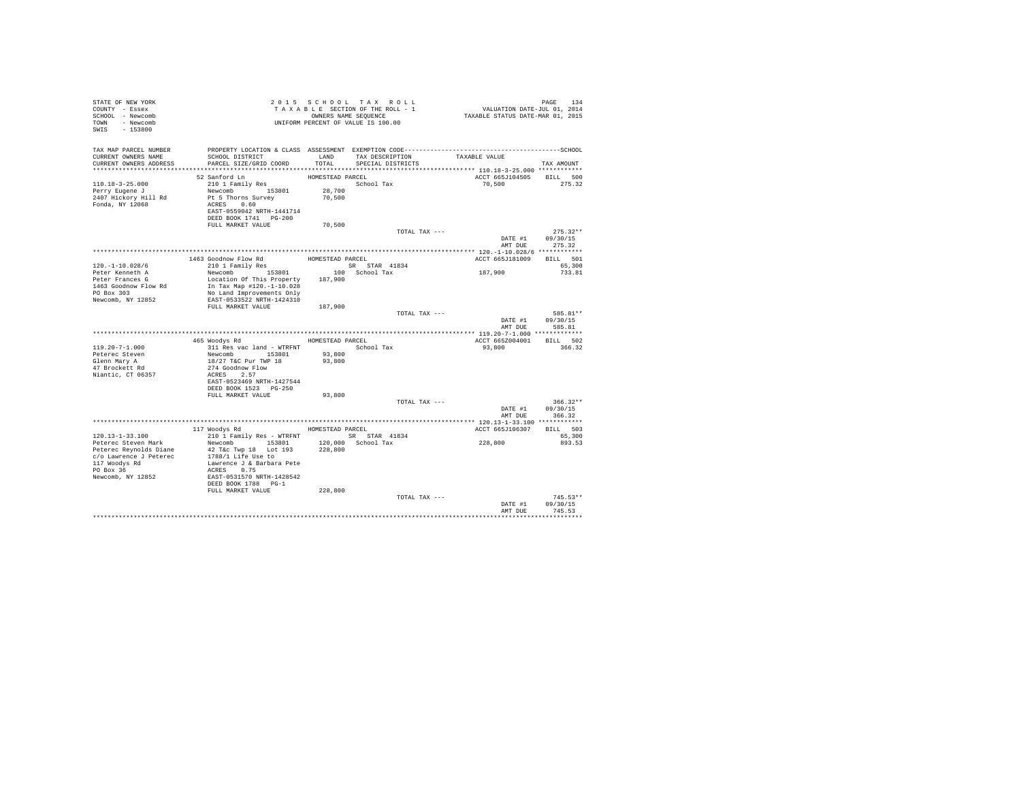| STATE OF NEW YORK<br>COUNTY - Essex<br>SCHOOL - Newcomb<br>TOWN - Newcomb<br>SWIS - 153800                                 |                                                                                                                                                              |                                      | 2015 SCHOOL TAX ROLL<br>TAXABLE SECTION OF THE ROLL - 1<br>OWNERS NAME SEQUENCE<br>UNIFORM PERCENT OF VALUE IS 100.00 | PAGE 134<br>VALUATION DATE-JUL 01, 2014<br>TAXABLE STATUS DATE-MAR 01, 2015 |                                    |
|----------------------------------------------------------------------------------------------------------------------------|--------------------------------------------------------------------------------------------------------------------------------------------------------------|--------------------------------------|-----------------------------------------------------------------------------------------------------------------------|-----------------------------------------------------------------------------|------------------------------------|
| TAX MAP PARCEL NUMBER<br>CURRENT OWNERS NAME<br>CURRENT OWNERS ADDRESS                                                     | SCHOOL DISTRICT<br>PARCEL SIZE/GRID COORD                                                                                                                    | TOTAL                                | LAND TAX DESCRIPTION<br>SPECIAL DISTRICTS                                                                             | TAXABLE VALUE                                                               | TAX AMOUNT                         |
|                                                                                                                            |                                                                                                                                                              |                                      |                                                                                                                       |                                                                             |                                    |
| $110.18 - 3 - 25.000$<br>Perry Eugene J<br>2407 Hickory Hill Rd<br>Fonda, NY 12068                                         | 52 Sanford Ln<br>210 1 Family Res<br>Newcomb 153801<br>Pt 5 Thorns Survey<br>ACRES 0.60<br>EAST-0559042 NRTH-1441714<br>DEED BOOK 1741 PG-200                | HOMESTEAD PARCEL<br>28,700<br>70,500 | School Tax                                                                                                            | ACCT 665J104505<br>70,500                                                   | BILL 500<br>275.32                 |
|                                                                                                                            | FULL MARKET VALUE                                                                                                                                            | 70,500                               |                                                                                                                       |                                                                             |                                    |
|                                                                                                                            |                                                                                                                                                              |                                      | TOTAL TAX ---                                                                                                         | DATE #1 09/30/15<br>AMT DUE                                                 | $275.32**$<br>275.32               |
|                                                                                                                            |                                                                                                                                                              |                                      |                                                                                                                       |                                                                             |                                    |
| $120. -1 - 10.028/6$                                                                                                       | 1463 Goodnow Flow Rd<br>210 1 Family Res<br>Newcomb                                                                                                          | HOMESTEAD PARCEL                     |                                                                                                                       | ACCT 665J181009                                                             | BILL 501<br>65,300                 |
| Peter Kenneth A                                                                                                            |                                                                                                                                                              |                                      | 100 School Tax                                                                                                        | 187,900                                                                     | 733.81                             |
| Peter Frances G<br>1463 Goodnow Flow Rd<br>PO Box 303<br>Newcomb, NY 12852                                                 | Location Of This Property 187,900<br>In Tax Map #120.-1-10.028<br>No Land Improvements Only<br>EAST-0533522 NRTH-1424310                                     |                                      |                                                                                                                       |                                                                             |                                    |
|                                                                                                                            | FULL MARKET VALUE                                                                                                                                            | 187,900                              |                                                                                                                       |                                                                             |                                    |
|                                                                                                                            |                                                                                                                                                              |                                      | TOTAL TAX ---                                                                                                         | DATE #1<br>AMT DUE                                                          | 585.81**<br>09/30/15<br>585.81     |
|                                                                                                                            |                                                                                                                                                              |                                      |                                                                                                                       |                                                                             |                                    |
|                                                                                                                            | 465 Woodys Rd                                                                                                                                                |                                      | HOMESTEAD PARCEL                                                                                                      | ACCT 665Z004001                                                             | BILL 502                           |
| $119.20 - 7 - 1.000$<br>Peterec Steven<br>Glenn Mary A<br>47 Brockett Rd<br>Niantic, CT 06357                              | 311 Res vac land - WTRFNT<br>Newcomb 153801<br>18/27 T&C Pur TWP 18<br>274 Goodnow Flow<br>ACRES 2.57<br>EAST-0523469 NRTH-1427544                           | 93,800<br>93,800                     | School Tax                                                                                                            | 93,800                                                                      | 366.32                             |
|                                                                                                                            | DEED BOOK 1523 PG-250                                                                                                                                        |                                      |                                                                                                                       |                                                                             |                                    |
|                                                                                                                            | FULL MARKET VALUE                                                                                                                                            | 93,800                               | TOTAL TAX ---                                                                                                         |                                                                             | $366.32**$                         |
|                                                                                                                            |                                                                                                                                                              |                                      |                                                                                                                       | DATE #1                                                                     | 09/30/15<br>AMT DUE 366.32         |
|                                                                                                                            |                                                                                                                                                              |                                      |                                                                                                                       |                                                                             |                                    |
| $120.13 - 1 - 33.100$                                                                                                      | 117 Woodys Rd<br>210 1 Family Res - WTRFNT                                                                                                                   |                                      | HOMESTEAD PARCEL<br>SR STAR 41834                                                                                     | ACCT 665J106307                                                             | BILL 503<br>65,300                 |
| Peterec Steven Mark<br>Peterec Reynolds Diane<br>c/o Lawrence J Peterec<br>117 Woodys Rd<br>PO Box 36<br>Newcomb, NY 12852 | Newcomb 153801<br>42 T&c Twp 18 Lot 193<br>1788/1 Life Use to<br>Lawrence J & Barbara Pete<br>ACRES 0.75<br>EAST-0531570 NRTH-1428542<br>DEED BOOK 1788 PG-1 | 228,800                              | 120.000 School Tax                                                                                                    | 228,800                                                                     | 893.53                             |
|                                                                                                                            | FULL MARKET VALUE                                                                                                                                            | 228,800                              |                                                                                                                       |                                                                             | $745.53**$                         |
|                                                                                                                            |                                                                                                                                                              |                                      | TOTAL TAX ---                                                                                                         | DATE #1<br>AMT DUE                                                          | 09/30/15<br>745.53<br>************ |
|                                                                                                                            |                                                                                                                                                              |                                      |                                                                                                                       |                                                                             |                                    |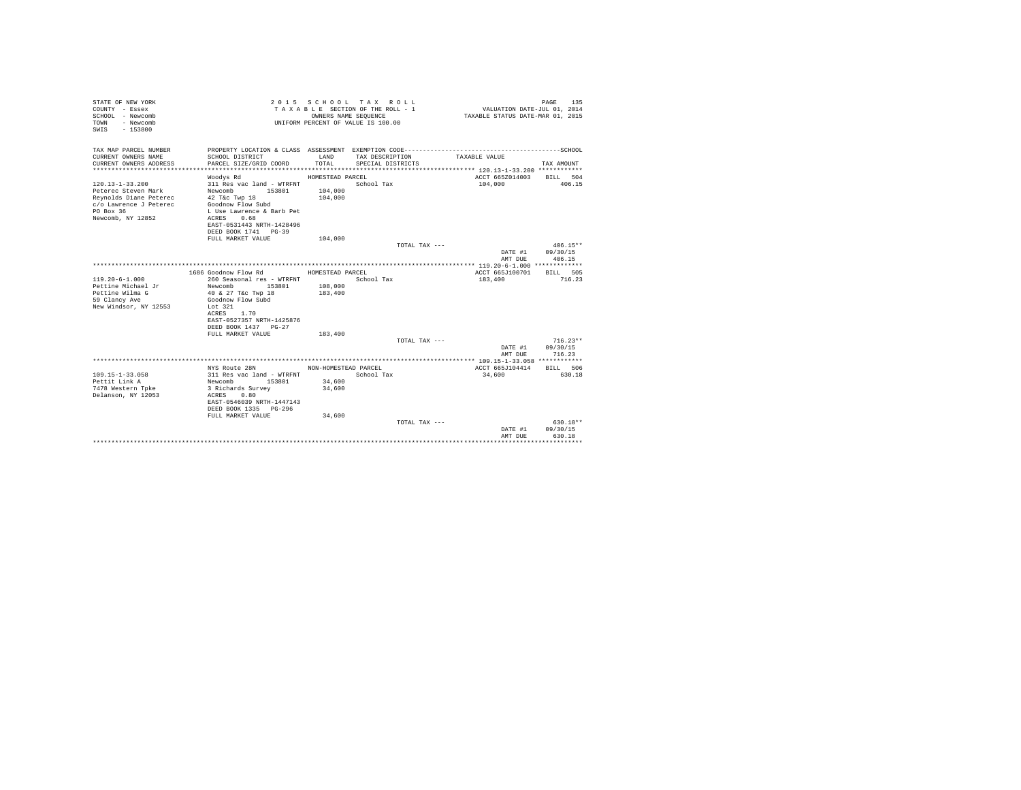| STATE OF NEW YORK<br>COUNTY - Essex<br>SCHOOL - Newcomb<br>- Newcomb<br>TOWN<br>$-153800$<br>SWIS |                                                                                                 | OWNERS NAME SEQUENCE | 2015 SCHOOL TAX ROLL<br>TAXABLE SECTION OF THE ROLL - 1<br>UNIFORM PERCENT OF VALUE IS 100.00 | VALUATION DATE-JUL 01, 2014<br>TAXABLE STATUS DATE-MAR 01, 2015 | 135<br>PAGE              |
|---------------------------------------------------------------------------------------------------|-------------------------------------------------------------------------------------------------|----------------------|-----------------------------------------------------------------------------------------------|-----------------------------------------------------------------|--------------------------|
| TAX MAP PARCEL NUMBER<br>CURRENT OWNERS NAME<br>CURRENT OWNERS ADDRESS                            | SCHOOL DISTRICT<br>PARCEL SIZE/GRID COORD                                                       | LAND<br>TOTAL        | TAX DESCRIPTION<br>SPECIAL DISTRICTS                                                          | TAXABLE VALUE                                                   | TAX AMOUNT               |
| *************************                                                                         |                                                                                                 |                      |                                                                                               |                                                                 |                          |
| $120.13 - 1 - 33.200$                                                                             | Woodys Rd<br>311 Res vac land - WTRFNT                                                          | HOMESTEAD PARCEL     | School Tax                                                                                    | ACCT 665Z014003<br>104,000                                      | BILL 504<br>406.15       |
| Peterec Steven Mark<br>Reynolds Diane Peterec<br>c/o Lawrence J Peterec                           | Newcomb<br>153801<br>42 T&c Twp 18<br>Goodnow Flow Subd                                         | 104,000<br>104,000   |                                                                                               |                                                                 |                          |
| PO Box 36<br>Newcomb, NY 12852                                                                    | L Use Lawrence & Barb Pet<br>0.68<br>ACRES<br>EAST-0531443 NRTH-1428496<br>DEED BOOK 1741 PG-39 |                      |                                                                                               |                                                                 |                          |
|                                                                                                   | FULL MARKET VALUE                                                                               | 104,000              |                                                                                               |                                                                 |                          |
|                                                                                                   |                                                                                                 |                      | TOTAL TAX ---                                                                                 |                                                                 | $406.15**$               |
|                                                                                                   |                                                                                                 |                      |                                                                                               | DATE #1                                                         | 09/30/15                 |
|                                                                                                   |                                                                                                 |                      |                                                                                               | AMT DUE                                                         | 406.15                   |
|                                                                                                   |                                                                                                 |                      |                                                                                               |                                                                 |                          |
|                                                                                                   | 1686 Goodnow Flow Rd                                                                            | HOMESTEAD PARCEL     |                                                                                               | ACCT 665J100701                                                 | BILL 505                 |
| $119.20 - 6 - 1.000$                                                                              | 260 Seasonal res - WTRFNT                                                                       |                      | School Tax                                                                                    | 183,400                                                         | 716.23                   |
| Pettine Michael Jr                                                                                | Newcomb<br>153801                                                                               | 108,000              |                                                                                               |                                                                 |                          |
| Pettine Wilma G                                                                                   | 40 & 27 T&c Twp 18                                                                              | 183,400              |                                                                                               |                                                                 |                          |
| 59 Clancy Ave                                                                                     | Goodnow Flow Subd                                                                               |                      |                                                                                               |                                                                 |                          |
| New Windsor, NY 12553                                                                             | Lot 321                                                                                         |                      |                                                                                               |                                                                 |                          |
|                                                                                                   | ACRES<br>1.70<br>EAST-0527357 NRTH-1425876                                                      |                      |                                                                                               |                                                                 |                          |
|                                                                                                   | DEED BOOK 1437 PG-27                                                                            |                      |                                                                                               |                                                                 |                          |
|                                                                                                   | FULL MARKET VALUE                                                                               | 183,400              |                                                                                               |                                                                 |                          |
|                                                                                                   |                                                                                                 |                      | TOTAL TAX ---                                                                                 |                                                                 | $716.23**$               |
|                                                                                                   |                                                                                                 |                      |                                                                                               | DATE #1                                                         | 09/30/15                 |
|                                                                                                   |                                                                                                 |                      |                                                                                               | AMT DUE                                                         | 716.23                   |
|                                                                                                   |                                                                                                 |                      |                                                                                               |                                                                 |                          |
|                                                                                                   | NYS Route 28N                                                                                   | NON-HOMESTEAD PARCEL |                                                                                               | ACCT 665J104414                                                 | BILL 506                 |
| $109.15 - 1 - 33.058$                                                                             | 311 Res vac land - WTRFNT                                                                       |                      | School Tax                                                                                    | 34,600                                                          | 630.18                   |
| Pettit Link A                                                                                     | Newcomb<br>153801                                                                               | 34,600               |                                                                                               |                                                                 |                          |
| 7478 Western Tpke                                                                                 | 3 Richards Survey                                                                               | 34,600               |                                                                                               |                                                                 |                          |
| Delanson, NY 12053                                                                                | ACRES<br>0.80                                                                                   |                      |                                                                                               |                                                                 |                          |
|                                                                                                   | EAST-0546039 NRTH-1447143                                                                       |                      |                                                                                               |                                                                 |                          |
|                                                                                                   | DEED BOOK 1335 PG-296                                                                           |                      |                                                                                               |                                                                 |                          |
|                                                                                                   | FULL MARKET VALUE                                                                               | 34,600               |                                                                                               |                                                                 |                          |
|                                                                                                   |                                                                                                 |                      | TOTAL TAX $---$                                                                               |                                                                 | 630.18**                 |
|                                                                                                   |                                                                                                 |                      |                                                                                               | DATE #1                                                         | 09/30/15                 |
|                                                                                                   |                                                                                                 |                      |                                                                                               | AMT DUE                                                         | 630.18<br>************** |
|                                                                                                   |                                                                                                 |                      |                                                                                               |                                                                 |                          |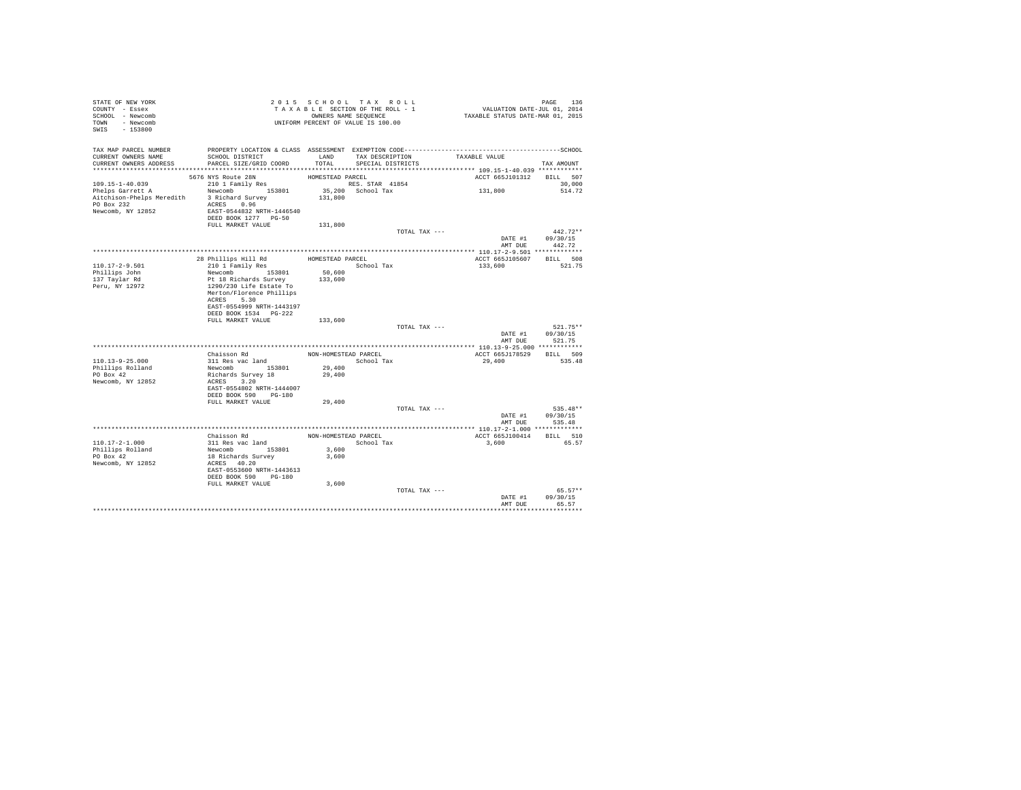| STATE OF NEW YORK<br>COUNTY - Essex<br>SCHOOL - Newcomb<br>TOWN - Newcomb<br>SWIS - 153800 |                                           |                      | 2015 SCHOOL TAX ROLL<br>TAXABLE SECTION OF THE ROLL - 1<br>OWNERS NAME SEQUENCE<br>UNIFORM PERCENT OF VALUE IS 100.00 |               | PAGE 136<br>VALUATION DATE-JUL 01, 2014<br>TAXABLE STATUS DATE-MAR 01, 2015 |                            |
|--------------------------------------------------------------------------------------------|-------------------------------------------|----------------------|-----------------------------------------------------------------------------------------------------------------------|---------------|-----------------------------------------------------------------------------|----------------------------|
| TAX MAP PARCEL NUMBER                                                                      |                                           |                      |                                                                                                                       |               |                                                                             |                            |
| CURRENT OWNERS NAME<br>CURRENT OWNERS ADDRESS                                              | SCHOOL DISTRICT<br>PARCEL SIZE/GRID COORD | LAND<br>TOTAL.       | TAX DESCRIPTION<br>SPECIAL DISTRICTS                                                                                  |               | TAXABLE VALUE                                                               | TAX AMOUNT                 |
|                                                                                            |                                           |                      |                                                                                                                       |               |                                                                             |                            |
|                                                                                            | 5676 NYS Route 28N                        | HOMESTEAD PARCEL     |                                                                                                                       |               | ACCT 665J101312 BILL 507                                                    |                            |
| $109.15 - 1 - 40.039$                                                                      | 210 1 Family Res                          |                      | RES. STAR 41854                                                                                                       |               |                                                                             | 30,000                     |
| Phelps Garrett A                                                                           | Newcomb 153801                            |                      | 35,200 School Tax                                                                                                     |               | 131,800                                                                     | 514.72                     |
| Aitchison-Phelps Meredith 3 Richard Survey<br>PO Box 232                                   | ACRES 0.96                                | 131,800              |                                                                                                                       |               |                                                                             |                            |
| Newcomb, NY 12852                                                                          | EAST-0544832 NRTH-1446540                 |                      |                                                                                                                       |               |                                                                             |                            |
|                                                                                            | DEED BOOK 1277 PG-50                      |                      |                                                                                                                       |               |                                                                             |                            |
|                                                                                            | FULL MARKET VALUE                         | 131,800              |                                                                                                                       |               |                                                                             |                            |
|                                                                                            |                                           |                      |                                                                                                                       | TOTAL TAX --- |                                                                             | $442.72**$                 |
|                                                                                            |                                           |                      |                                                                                                                       |               | DATE #1 09/30/15                                                            | AMT DUE 442.72             |
|                                                                                            |                                           |                      |                                                                                                                       |               |                                                                             |                            |
|                                                                                            | 28 Phillips Hill Rd                       | HOMESTEAD PARCEL     |                                                                                                                       |               | ACCT 665J105607 BILL 508                                                    |                            |
| 110.17-2-9.501                                                                             | 210 1 Family Res                          |                      | School Tax                                                                                                            |               | 133,600                                                                     | 521.75                     |
| Phillips John                                                                              | Newcomb 153801                            | 50,600               |                                                                                                                       |               |                                                                             |                            |
| 137 Taylar Rd                                                                              | Pt 18 Richards Survey                     | 133,600              |                                                                                                                       |               |                                                                             |                            |
| Peru, NY 12972                                                                             | 1290/230 Life Estate To                   |                      |                                                                                                                       |               |                                                                             |                            |
|                                                                                            | Merton/Florence Phillips<br>ACRES 5.30    |                      |                                                                                                                       |               |                                                                             |                            |
|                                                                                            | EAST-0554999 NRTH-1443197                 |                      |                                                                                                                       |               |                                                                             |                            |
|                                                                                            | DEED BOOK 1534 PG-222                     |                      |                                                                                                                       |               |                                                                             |                            |
|                                                                                            | FULL MARKET VALUE                         | 133,600              |                                                                                                                       |               |                                                                             |                            |
|                                                                                            |                                           |                      |                                                                                                                       | TOTAL TAX --- |                                                                             | $521.75**$                 |
|                                                                                            |                                           |                      |                                                                                                                       |               | DATE #1 09/30/15                                                            |                            |
|                                                                                            |                                           |                      |                                                                                                                       |               | AMT DUE                                                                     | 521.75                     |
|                                                                                            |                                           | NON-HOMESTEAD PARCEL |                                                                                                                       |               | ACCT 665J178529 BILL 509                                                    |                            |
| 110.13-9-25.000                                                                            | Chaisson Rd                               |                      | School Tax                                                                                                            |               | 29,400                                                                      | 535.48                     |
| Phillips Rolland                                                                           | 311 Res vac land<br>Newcomb 153801        | 29,400               |                                                                                                                       |               |                                                                             |                            |
| PO Box 42                                                                                  | Richards Survey 18                        | 29,400               |                                                                                                                       |               |                                                                             |                            |
| Newcomb, NY 12852                                                                          | ACRES 3.20                                |                      |                                                                                                                       |               |                                                                             |                            |
|                                                                                            | EAST-0554802 NRTH-1444007                 |                      |                                                                                                                       |               |                                                                             |                            |
|                                                                                            | DEED BOOK 590 PG-180                      |                      |                                                                                                                       |               |                                                                             |                            |
|                                                                                            | FULL MARKET VALUE                         | 29,400               |                                                                                                                       |               |                                                                             |                            |
|                                                                                            |                                           |                      |                                                                                                                       | TOTAL TAX --- | DATE #1                                                                     | 535.48**                   |
|                                                                                            |                                           |                      |                                                                                                                       |               |                                                                             | 09/30/15<br>AMT DUE 535.48 |
|                                                                                            |                                           |                      |                                                                                                                       |               |                                                                             |                            |
|                                                                                            | Chaisson Rd                               |                      | NON-HOMESTEAD PARCEL                                                                                                  |               | ACCT 665J100414                                                             | BILL 510                   |
| $110.17 - 2 - 1.000$                                                                       | 311 Res vac land                          |                      | School Tax                                                                                                            |               | 3,600                                                                       | 65.57                      |
| Phillips Rolland                                                                           | Newcomb 153801                            | 3,600                |                                                                                                                       |               |                                                                             |                            |
| PO Box 42                                                                                  | 18 Richards Survey                        | 3,600                |                                                                                                                       |               |                                                                             |                            |
| Newcomb, NY 12852                                                                          | ACRES 40.20                               |                      |                                                                                                                       |               |                                                                             |                            |
|                                                                                            | EAST-0553600 NRTH-1443613                 |                      |                                                                                                                       |               |                                                                             |                            |
|                                                                                            | DEED BOOK 590 PG-180<br>FULL MARKET VALUE |                      |                                                                                                                       |               |                                                                             |                            |
|                                                                                            |                                           | 3,600                |                                                                                                                       | TOTAL TAX --- |                                                                             | $65.57**$                  |
|                                                                                            |                                           |                      |                                                                                                                       |               | DATE #1                                                                     | 09/30/15                   |
|                                                                                            |                                           |                      |                                                                                                                       |               | AMT DUE                                                                     | 65.57                      |
|                                                                                            |                                           |                      |                                                                                                                       |               |                                                                             |                            |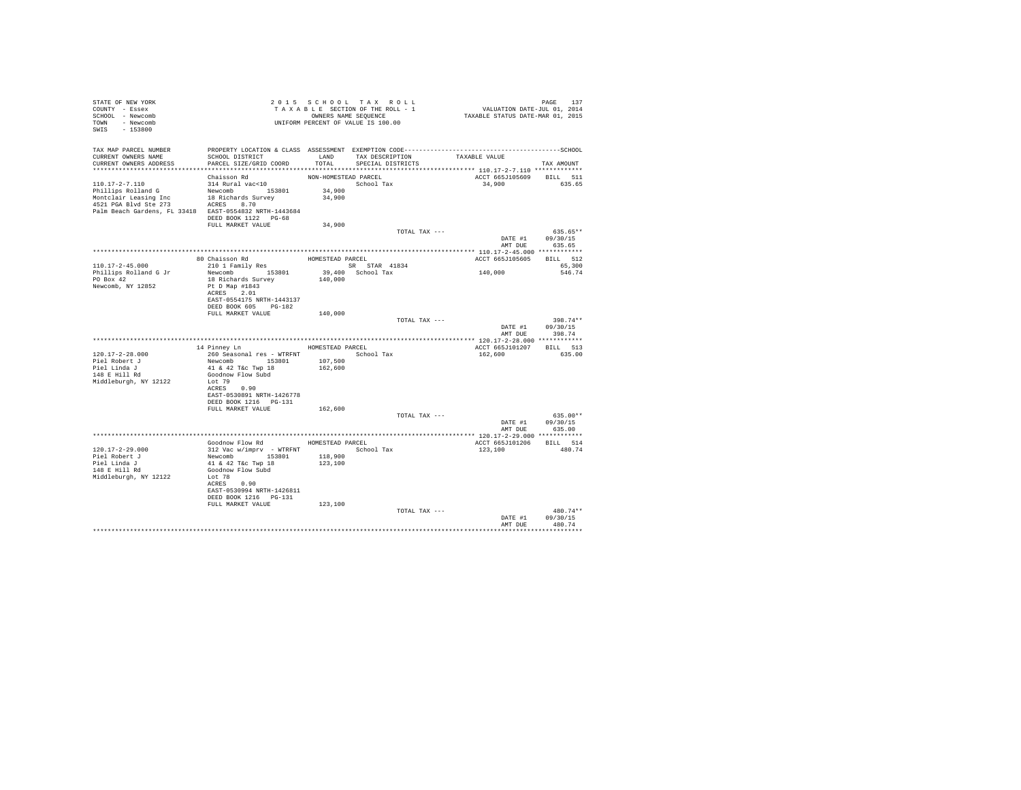| STATE OF NEW YORK<br>COUNTY - Essex<br>SCHOOL - Newcomb<br>TOWN - Newcomb<br>SWIS - 153800 | 2015 SECTION OF THE ROLL - 1<br>TAXABLE SECTION OF THE ROLL - 1<br>OWNERS NAME SEQUENCE<br>UNIFORM PERCENT OF VALUE IS 100.00 |                      |                                    | PAGE 137<br>VALUATION DATE-JUL 01, 2014<br>TAXABLE STATUS DATE-MAR 01, 2015 |                                    |
|--------------------------------------------------------------------------------------------|-------------------------------------------------------------------------------------------------------------------------------|----------------------|------------------------------------|-----------------------------------------------------------------------------|------------------------------------|
|                                                                                            |                                                                                                                               |                      |                                    |                                                                             |                                    |
| CURRENT OWNERS NAME                                                                        | SCHOOL DISTRICT                                                                                                               |                      | LAND TAX DESCRIPTION TAXABLE VALUE |                                                                             |                                    |
| CURRENT OWNERS ADDRESS                                                                     | PARCEL SIZE/GRID COORD                                                                                                        | TOTAL                | SPECIAL DISTRICTS                  |                                                                             | TAX AMOUNT                         |
|                                                                                            |                                                                                                                               | NON-HOMESTEAD PARCEL |                                    | ACCT 665J105609 BILL 511                                                    |                                    |
| 110.17-2-7.110                                                                             | Chaisson Rd<br>314 Rural vac<10                                                                                               |                      |                                    | 34,900 635.65                                                               |                                    |
| Phillips Rolland G                                                                         | 314 Rural vac<10 5chool Tax<br>Newcomb 153801 34,900                                                                          |                      |                                    |                                                                             |                                    |
| Montclair Leasing Inc 18 Richards Survey<br>4521 PGA Blvd Ste 273 ACRES 8.70               |                                                                                                                               | 34,900               |                                    |                                                                             |                                    |
| Palm Beach Gardens, FL 33418 EAST-0554832 NRTH-1443684                                     |                                                                                                                               |                      |                                    |                                                                             |                                    |
|                                                                                            | DEED BOOK 1122 PG-68                                                                                                          |                      |                                    |                                                                             |                                    |
|                                                                                            | FULL MARKET VALUE                                                                                                             | 34,900               |                                    |                                                                             |                                    |
|                                                                                            |                                                                                                                               |                      | TOTAL TAX ---                      | DATE #1 09/30/15                                                            | 635.65**                           |
|                                                                                            |                                                                                                                               |                      |                                    | AMT DUE                                                                     | 635.65                             |
|                                                                                            |                                                                                                                               |                      |                                    |                                                                             |                                    |
|                                                                                            |                                                                                                                               |                      |                                    | ACCT 665J105605 BILL 512                                                    |                                    |
| $110.17 - 2 - 45.000$                                                                      |                                                                                                                               |                      |                                    | 140,000                                                                     | 65,300<br>546.74                   |
| Phillips Rolland G Jr<br>PO Box 42                                                         |                                                                                                                               |                      |                                    |                                                                             |                                    |
| Newcomb, NY 12852                                                                          | Pt D Map #1843                                                                                                                |                      |                                    |                                                                             |                                    |
|                                                                                            | ACRES 2.01                                                                                                                    |                      |                                    |                                                                             |                                    |
|                                                                                            | EAST-0554175 NRTH-1443137<br>DEED BOOK 605 PG-182                                                                             |                      |                                    |                                                                             |                                    |
|                                                                                            | FULL MARKET VALUE                                                                                                             | 140,000              |                                    |                                                                             |                                    |
|                                                                                            |                                                                                                                               |                      | TOTAL TAX ---                      |                                                                             | 398.74**                           |
|                                                                                            |                                                                                                                               |                      |                                    | DATE #1 $09/30/15$                                                          | AMT DUE 398.74                     |
|                                                                                            |                                                                                                                               |                      |                                    |                                                                             |                                    |
|                                                                                            | 14 Pinney Ln HOMESTEAD PARCEL                                                                                                 |                      |                                    | ACCT 665J101207 BILL 513                                                    |                                    |
| 120.17-2-28.000                                                                            | 260 Seasonal res - WTRFNT<br>260 Seasonal res - WTRFNT<br>107,500<br>41 & 42 T&C Twp 18<br>162,600                            |                      |                                    | 162,600                                                                     | 635.00                             |
| Piel Robert J                                                                              |                                                                                                                               |                      |                                    |                                                                             |                                    |
| Piel Linda J<br>148 E Hill Rd                                                              | Goodnow Flow Subd                                                                                                             |                      |                                    |                                                                             |                                    |
| Middleburgh, NY 12122                                                                      | Lot 79                                                                                                                        |                      |                                    |                                                                             |                                    |
|                                                                                            | ACRES 0.90<br>EAST-0530891 NRTH-1426778                                                                                       |                      |                                    |                                                                             |                                    |
|                                                                                            | DEED BOOK 1216 PG-131                                                                                                         |                      |                                    |                                                                             |                                    |
|                                                                                            | FULL MARKET VALUE 162,600                                                                                                     |                      |                                    |                                                                             |                                    |
|                                                                                            |                                                                                                                               |                      | TOTAL TAX ---                      |                                                                             | $635.00**$                         |
|                                                                                            |                                                                                                                               |                      |                                    | AMT DUE                                                                     | DATE #1 09/30/15<br>635.00         |
|                                                                                            |                                                                                                                               |                      |                                    |                                                                             |                                    |
|                                                                                            | Goodnow Flow Rd MOMESTEAD PARCEL                                                                                              |                      |                                    | ACCT 665J101206 BILL 514                                                    |                                    |
| 120.17-2-29.000                                                                            |                                                                                                                               |                      |                                    | 123,100                                                                     | 480.74                             |
| Piel Robert J<br>Piel Linda J                                                              |                                                                                                                               |                      |                                    |                                                                             |                                    |
| $148$ E Hill Rd                                                                            | Goodnow Flow Subd                                                                                                             |                      |                                    |                                                                             |                                    |
| Middleburgh, NY 12122                                                                      | Lot 78                                                                                                                        |                      |                                    |                                                                             |                                    |
|                                                                                            | ACRES 0.90<br>EAST-0530994 NRTH-1426811                                                                                       |                      |                                    |                                                                             |                                    |
|                                                                                            | DEED BOOK 1216    PG-131                                                                                                      |                      |                                    |                                                                             |                                    |
|                                                                                            | FULL MARKET VALUE                                                                                                             | 123,100              |                                    |                                                                             |                                    |
|                                                                                            |                                                                                                                               |                      | TOTAL TAX ---                      |                                                                             | 480.74**                           |
|                                                                                            |                                                                                                                               |                      |                                    |                                                                             | DATE #1 09/30/15<br>AMT DUE 480.74 |
|                                                                                            |                                                                                                                               |                      |                                    |                                                                             |                                    |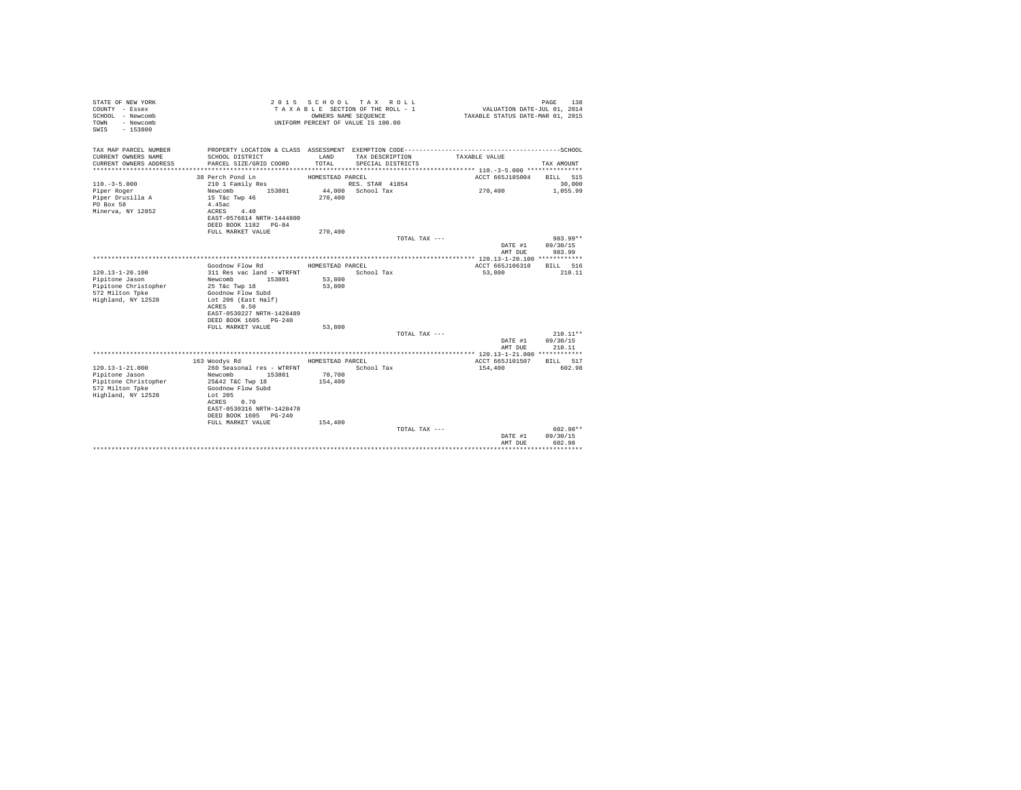| STATE OF NEW YORK<br>COUNTY - Essex<br>SCHOOL - Newcomb<br>- Newcomb<br>TOWN<br>$-153800$<br>SWIS |                                                                                 | OWNERS NAME SEOUENCE | 2015 SCHOOL TAX ROLL<br>TAXABLE SECTION OF THE ROLL - 1<br>UNIFORM PERCENT OF VALUE IS 100.00 | VALUATION DATE-JUL 01, 2014<br>TAXABLE STATUS DATE-MAR 01, 2015 | 138<br>PAGE        |
|---------------------------------------------------------------------------------------------------|---------------------------------------------------------------------------------|----------------------|-----------------------------------------------------------------------------------------------|-----------------------------------------------------------------|--------------------|
| TAX MAP PARCEL NUMBER<br>CURRENT OWNERS NAME                                                      | SCHOOL DISTRICT                                                                 | LAND                 | TAX DESCRIPTION                                                                               | TAXABLE VALUE                                                   |                    |
| CURRENT OWNERS ADDRESS                                                                            | PARCEL SIZE/GRID COORD                                                          | TOTAL                | SPECIAL DISTRICTS                                                                             |                                                                 | TAX AMOUNT         |
|                                                                                                   |                                                                                 |                      |                                                                                               |                                                                 |                    |
|                                                                                                   | 38 Perch Pond Ln                                                                | HOMESTEAD PARCEL     |                                                                                               | ACCT 665J185004                                                 | BILL 515           |
| $110. -3 - 5.000$                                                                                 | 210 1 Family Res                                                                |                      | RES. STAR 41854                                                                               |                                                                 | 30,000             |
| Piper Roger<br>Piper Drusilla A<br>PO Box 58<br>Minerva, NY 12852                                 | 153801<br>Newcomb<br>15 T&c Twp 46<br>4.45ac<br>4.40                            | 270,400              | 44.000 School Tax                                                                             | 270,400                                                         | 1,055.99           |
|                                                                                                   | ACRES<br>EAST-0576614 NRTH-1444800<br>DEED BOOK 1182 PG-84<br>FULL MARKET VALUE | 270,400              |                                                                                               |                                                                 |                    |
|                                                                                                   |                                                                                 |                      | TOTAL TAX ---                                                                                 |                                                                 | 983.99**           |
|                                                                                                   |                                                                                 |                      |                                                                                               | DATE #1<br>AMT DUE                                              | 09/30/15<br>983.99 |
|                                                                                                   |                                                                                 |                      |                                                                                               |                                                                 |                    |
|                                                                                                   | Goodnow Flow Rd                                                                 | HOMESTEAD PARCEL     |                                                                                               | ACCT 665J106310                                                 | BILL 516           |
| $120.13 - 1 - 20.100$                                                                             | 311 Res vac land - WTRFNT<br>Newcomb<br>153801                                  |                      | School Tax                                                                                    | 53,800                                                          | 210.11             |
| Pipitone Jason<br>Pipitone Christopher                                                            | 25 T&c Twp 18                                                                   | 53,800<br>53,800     |                                                                                               |                                                                 |                    |
| 572 Milton Tpke<br>Highland, NY 12528                                                             | Goodnow Flow Subd<br>Lot 206 (East Half)<br>0.50<br>ACRES                       |                      |                                                                                               |                                                                 |                    |
|                                                                                                   | EAST-0530227 NRTH-1428489<br>DEED BOOK 1605 PG-240                              |                      |                                                                                               |                                                                 |                    |
|                                                                                                   | FULL MARKET VALUE                                                               | 53,800               |                                                                                               |                                                                 |                    |
|                                                                                                   |                                                                                 |                      | TOTAL TAX ---                                                                                 |                                                                 | $210.11**$         |
|                                                                                                   |                                                                                 |                      |                                                                                               | DATE #1<br>AMT DUE                                              | 09/30/15<br>210.11 |
|                                                                                                   |                                                                                 |                      |                                                                                               |                                                                 |                    |
| $120.13 - 1 - 21.000$                                                                             | 163 Woodys Rd<br>260 Seasonal res - WTRFNT                                      | HOMESTEAD PARCEL     | School Tax                                                                                    | ACCT 665J101507<br>154,400                                      | BILL 517<br>602.98 |
| Pipitone Jason                                                                                    | Newcomb<br>153801                                                               | 70,700               |                                                                                               |                                                                 |                    |
| Pipitone Christopher                                                                              | 25&42 T&C Twp 18                                                                | 154,400              |                                                                                               |                                                                 |                    |
| 572 Milton Tpke                                                                                   | Goodnow Flow Subd                                                               |                      |                                                                                               |                                                                 |                    |
| Highland, NY 12528                                                                                | Lot 205                                                                         |                      |                                                                                               |                                                                 |                    |
|                                                                                                   | ACRES<br>0.70<br>EAST-0530316 NRTH-1428478                                      |                      |                                                                                               |                                                                 |                    |
|                                                                                                   | DEED BOOK 1605 PG-240                                                           |                      |                                                                                               |                                                                 |                    |
|                                                                                                   | FULL MARKET VALUE                                                               | 154,400              |                                                                                               |                                                                 | $602.98**$         |
|                                                                                                   |                                                                                 |                      | TOTAL TAX ---                                                                                 | DATE #1<br>AMT DUE                                              | 09/30/15<br>602.98 |
|                                                                                                   |                                                                                 |                      |                                                                                               |                                                                 |                    |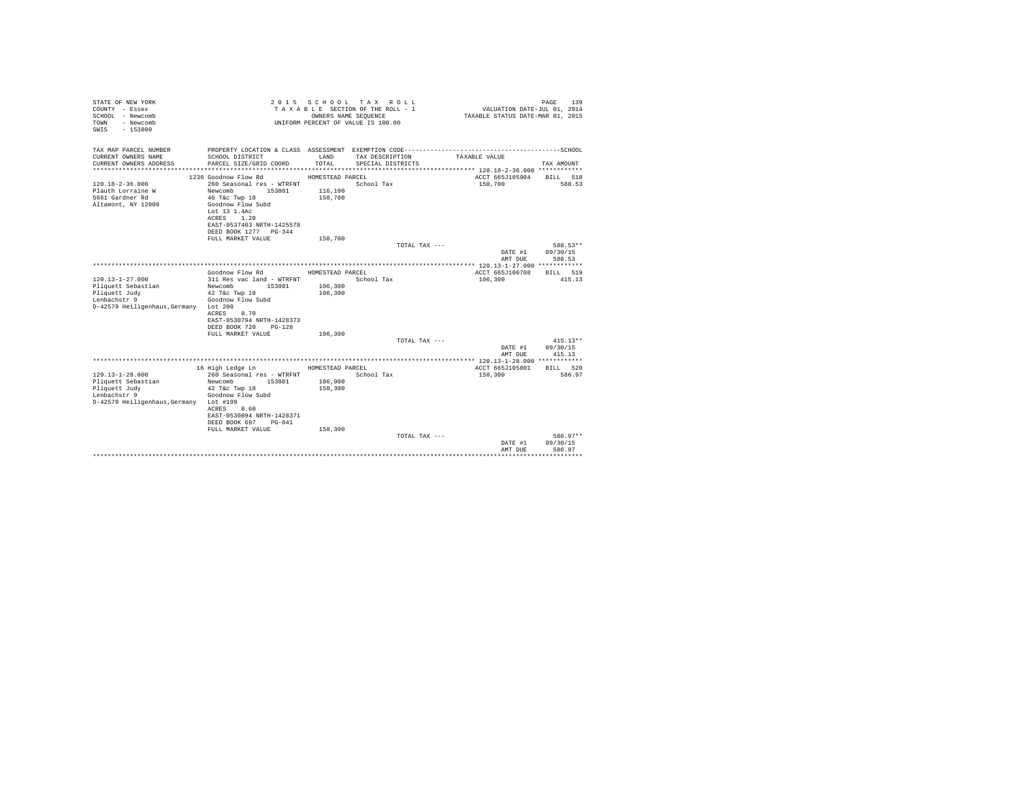| STATE OF NEW YORK<br>COUNTY - Essex<br>SCHOOL - Newcomb<br>- Newcomb<br>TOWN<br>$-153800$<br>SWIS |                                                |                  | 2015 SCHOOL TAX ROLL<br>TAXABLE SECTION OF THE ROLL - 1<br>OWNERS NAME SEQUENCE<br>UNIFORM PERCENT OF VALUE IS 100.00 | VALUATION DATE-JUL 01, 2014<br>TAXABLE STATUS DATE-MAR 01, 2015 | PAGE<br>139        |
|---------------------------------------------------------------------------------------------------|------------------------------------------------|------------------|-----------------------------------------------------------------------------------------------------------------------|-----------------------------------------------------------------|--------------------|
| TAX MAP PARCEL NUMBER<br>CURRENT OWNERS NAME                                                      | SCHOOL DISTRICT                                | LAND             | PROPERTY LOCATION & CLASS ASSESSMENT EXEMPTION CODE-----------------------------------SCHOOL<br>TAX DESCRIPTION       | TAXABLE VALUE                                                   |                    |
| CURRENT OWNERS ADDRESS                                                                            | PARCEL SIZE/GRID COORD                         | TOTAL            | SPECIAL DISTRICTS                                                                                                     |                                                                 | TAX AMOUNT         |
|                                                                                                   | 1236 Goodnow Flow Rd                           |                  |                                                                                                                       | ACCT 665J105904                                                 |                    |
| $120.18 - 2 - 36.000$                                                                             | 260 Seasonal res - WTRFNT                      | HOMESTEAD PARCEL | School Tax                                                                                                            | 150,700                                                         | BILL 518<br>588.53 |
| Plauth Lorraine W                                                                                 | Newcomb<br>153801                              | 116,100          |                                                                                                                       |                                                                 |                    |
| 5661 Gardner Rd                                                                                   | 46 T&C Twp 18                                  | 150,700          |                                                                                                                       |                                                                 |                    |
| Altamont, NY 12009                                                                                | Goodnow Flow Subd                              |                  |                                                                                                                       |                                                                 |                    |
|                                                                                                   | Lot 13 1.4Ac                                   |                  |                                                                                                                       |                                                                 |                    |
|                                                                                                   | ACRES<br>1.20                                  |                  |                                                                                                                       |                                                                 |                    |
|                                                                                                   | EAST-0537403 NRTH-1425578                      |                  |                                                                                                                       |                                                                 |                    |
|                                                                                                   | DEED BOOK 1277 PG-344                          |                  |                                                                                                                       |                                                                 |                    |
|                                                                                                   | FULL MARKET VALUE                              | 150,700          |                                                                                                                       |                                                                 |                    |
|                                                                                                   |                                                |                  | TOTAL TAX ---                                                                                                         |                                                                 | 588.53**           |
|                                                                                                   |                                                |                  |                                                                                                                       | DATE #1                                                         | 09/30/15           |
|                                                                                                   |                                                |                  |                                                                                                                       | AMT DUE                                                         | 588.53             |
|                                                                                                   |                                                |                  |                                                                                                                       |                                                                 |                    |
| $120.13 - 1 - 27.000$                                                                             | Goodnow Flow Rd                                | HOMESTEAD PARCEL |                                                                                                                       | ACCT 665J106708                                                 | BILL 519<br>415.13 |
| Pliquett Sebastian                                                                                | 311 Res vac land - WTRFNT<br>Newcomb<br>153801 | 106,300          | School Tax                                                                                                            | 106,300                                                         |                    |
| Pliquett Judy                                                                                     | 42 T&c Twp 18                                  | 106,300          |                                                                                                                       |                                                                 |                    |
| Lenbachstr 9                                                                                      | Goodnow Flow Subd                              |                  |                                                                                                                       |                                                                 |                    |
| D-42579 Heiligenhaus. Germany Lot 200                                                             |                                                |                  |                                                                                                                       |                                                                 |                    |
|                                                                                                   | ACRES<br>0.70                                  |                  |                                                                                                                       |                                                                 |                    |
|                                                                                                   | EAST-0530794 NRTH-1428373                      |                  |                                                                                                                       |                                                                 |                    |
|                                                                                                   | DEED BOOK 720 PG-128                           |                  |                                                                                                                       |                                                                 |                    |
|                                                                                                   | FULL MARKET VALUE                              | 106,300          |                                                                                                                       |                                                                 |                    |
|                                                                                                   |                                                |                  | TOTAL TAX ---                                                                                                         |                                                                 | $415.13**$         |
|                                                                                                   |                                                |                  |                                                                                                                       | DATE #1                                                         | 09/30/15           |
|                                                                                                   |                                                |                  |                                                                                                                       | AMT DUE                                                         | 415.13             |
|                                                                                                   |                                                |                  |                                                                                                                       |                                                                 |                    |
| $120.13 - 1 - 28.000$                                                                             | 16 High Ledge Ln<br>260 Seasonal res - WTRFNT  | HOMESTEAD PARCEL | School Tax                                                                                                            | ACCT 665J105801<br>150,300                                      | BILL 520<br>586.97 |
| Pliquett Sebastian                                                                                | Newcomb<br>153801                              | 106,900          |                                                                                                                       |                                                                 |                    |
| Pliquett Judy                                                                                     | 42 T&c Twp 18                                  | 150,300          |                                                                                                                       |                                                                 |                    |
| Lenbachstr 9                                                                                      | Goodnow Flow Subd                              |                  |                                                                                                                       |                                                                 |                    |
| D-42579 Heiligenhaus, Germany Lot #199                                                            |                                                |                  |                                                                                                                       |                                                                 |                    |
|                                                                                                   | 0.60<br>ACRES                                  |                  |                                                                                                                       |                                                                 |                    |
|                                                                                                   | EAST-0530894 NRTH-1428371                      |                  |                                                                                                                       |                                                                 |                    |
|                                                                                                   | DEED BOOK 697 PG-041                           |                  |                                                                                                                       |                                                                 |                    |
|                                                                                                   | FULL MARKET VALUE                              | 150,300          |                                                                                                                       |                                                                 |                    |
|                                                                                                   |                                                |                  | TOTAL TAX ---                                                                                                         |                                                                 | 586.97**           |
|                                                                                                   |                                                |                  |                                                                                                                       | DATE #1                                                         | 09/30/15           |
|                                                                                                   |                                                |                  |                                                                                                                       | AMT DUE                                                         | 586.97             |
|                                                                                                   |                                                |                  |                                                                                                                       |                                                                 | .                  |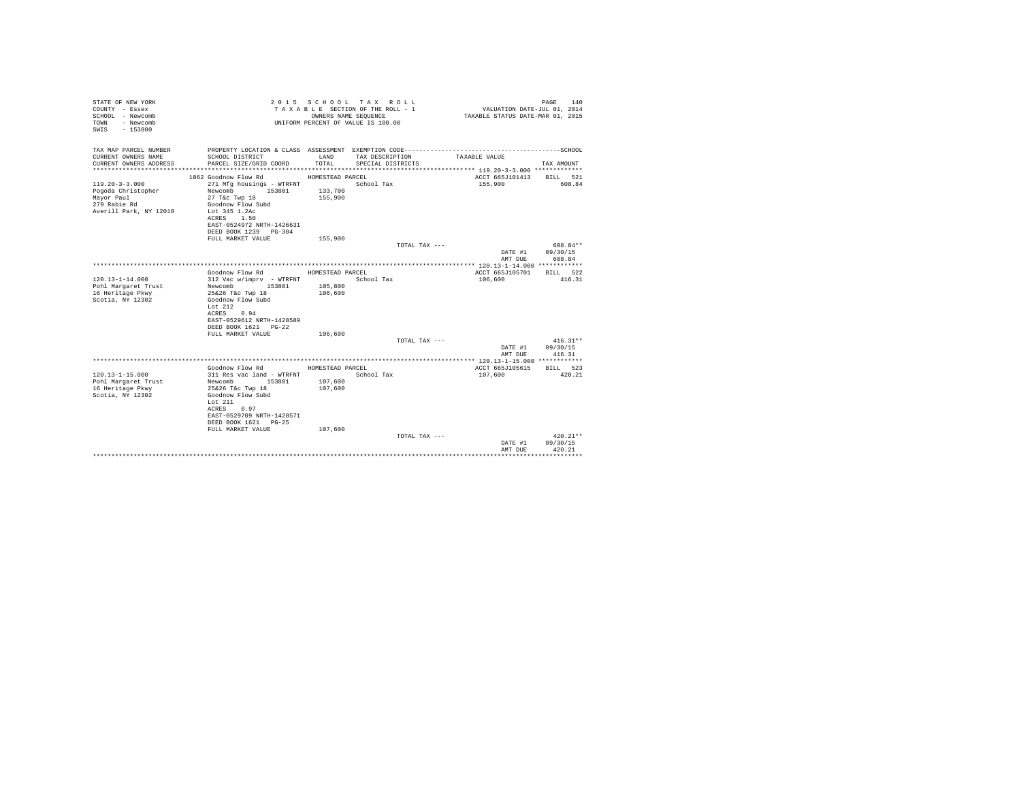| STATE OF NEW YORK<br>COUNTY - Essex<br>SCHOOL - Newcomb<br>- Newcomb<br>TOWN<br>$-153800$<br>SWTS |                                                   | OWNERS NAME SEQUENCE | 2015 SCHOOL TAX ROLL<br>TAXABLE SECTION OF THE ROLL - 1<br>UNIFORM PERCENT OF VALUE IS 100.00 | VALUATION DATE-JUL 01, 2014<br>TAXABLE STATUS DATE-MAR 01, 2015 | PAGE<br>140            |
|---------------------------------------------------------------------------------------------------|---------------------------------------------------|----------------------|-----------------------------------------------------------------------------------------------|-----------------------------------------------------------------|------------------------|
| TAX MAP PARCEL NUMBER                                                                             |                                                   |                      |                                                                                               |                                                                 |                        |
| CURRENT OWNERS NAME<br>CURRENT OWNERS ADDRESS                                                     | SCHOOL DISTRICT<br>PARCEL SIZE/GRID COORD         | LAND<br>TOTAL.       | TAX DESCRIPTION<br>SPECIAL DISTRICTS                                                          | TAXABLE VALUE                                                   | TAX AMOUNT             |
|                                                                                                   |                                                   |                      |                                                                                               |                                                                 |                        |
|                                                                                                   | 1862 Goodnow Flow Rd                              | HOMESTEAD PARCEL     |                                                                                               | ACCT 665J101413                                                 | BILL 521               |
| $119.20 - 3 - 3.000$                                                                              | 271 Mfg housings - WTRFNT                         |                      | School Tax                                                                                    | 155,900                                                         | 608.84                 |
| Pogoda Christopher<br>Mayor Paul                                                                  | 153801<br>Newcomb<br>27 T&c Twp 18                | 133,700<br>155,900   |                                                                                               |                                                                 |                        |
| 279 Rabie Rd                                                                                      | Goodnow Flow Subd                                 |                      |                                                                                               |                                                                 |                        |
| Averill Park, NY 12018                                                                            | Lot 345 1.2Ac                                     |                      |                                                                                               |                                                                 |                        |
|                                                                                                   | ACRES 1.50                                        |                      |                                                                                               |                                                                 |                        |
|                                                                                                   | EAST-0524972 NRTH-1426631                         |                      |                                                                                               |                                                                 |                        |
|                                                                                                   | DEED BOOK 1239 PG-304                             |                      |                                                                                               |                                                                 |                        |
|                                                                                                   | FULL MARKET VALUE                                 | 155,900              |                                                                                               |                                                                 |                        |
|                                                                                                   |                                                   |                      | TOTAL TAX ---                                                                                 | DATE #1                                                         | $608.84**$<br>09/30/15 |
|                                                                                                   |                                                   |                      |                                                                                               | AMT DUE                                                         | 608.84                 |
|                                                                                                   |                                                   |                      |                                                                                               |                                                                 |                        |
|                                                                                                   | Goodnow Flow Rd                                   | HOMESTEAD PARCEL     |                                                                                               | ACCT 665J105701                                                 | RTLL 522               |
| $120.13 - 1 - 14.000$                                                                             | 312 Vac w/imprv - WTRFNT                          |                      | School Tax                                                                                    | 106,600                                                         | 416.31                 |
| Pohl Margaret Trust                                                                               | Newcomb 153801                                    | 105,800              |                                                                                               |                                                                 |                        |
| 16 Heritage Pkwy                                                                                  | 25&26 T&c Twp 18                                  | 106,600              |                                                                                               |                                                                 |                        |
| Scotia, NY 12302                                                                                  | Goodnow Flow Subd                                 |                      |                                                                                               |                                                                 |                        |
|                                                                                                   | Lot $212$<br>ACRES 0.94                           |                      |                                                                                               |                                                                 |                        |
|                                                                                                   | EAST-0529612 NRTH-1428589                         |                      |                                                                                               |                                                                 |                        |
|                                                                                                   | DEED BOOK 1621 PG-22                              |                      |                                                                                               |                                                                 |                        |
|                                                                                                   | FULL MARKET VALUE                                 | 106,600              |                                                                                               |                                                                 |                        |
|                                                                                                   |                                                   |                      | TOTAL TAX ---                                                                                 |                                                                 | $416.31**$             |
|                                                                                                   |                                                   |                      |                                                                                               | DATE #1                                                         | 09/30/15               |
|                                                                                                   |                                                   |                      |                                                                                               | AMT DUE                                                         | 416.31                 |
|                                                                                                   | Goodnow Flow Rd                                   | HOMESTEAD PARCEL     |                                                                                               | ACCT 665J105615                                                 | BILL 523               |
| $120.13 - 1 - 15.000$                                                                             | 311 Res vac land - WTRFNT                         |                      | School Tax                                                                                    | 107,600                                                         | 420.21                 |
| Pohl Margaret Trust                                                                               | 153801<br>Newcomb                                 | 107,600              |                                                                                               |                                                                 |                        |
| 16 Heritage Pkwy                                                                                  | 25&26 T&c Twp 18                                  | 107,600              |                                                                                               |                                                                 |                        |
| Scotia, NY 12302                                                                                  | Goodnow Flow Subd                                 |                      |                                                                                               |                                                                 |                        |
|                                                                                                   | Lot $211$                                         |                      |                                                                                               |                                                                 |                        |
|                                                                                                   | ACRES<br>0.97                                     |                      |                                                                                               |                                                                 |                        |
|                                                                                                   | EAST-0529709 NRTH-1428571<br>DEED BOOK 1621 PG-25 |                      |                                                                                               |                                                                 |                        |
|                                                                                                   | FULL MARKET VALUE                                 | 107,600              |                                                                                               |                                                                 |                        |
|                                                                                                   |                                                   |                      | TOTAL TAX ---                                                                                 |                                                                 | $420.21**$             |
|                                                                                                   |                                                   |                      |                                                                                               | DATE #1                                                         | 09/30/15               |
|                                                                                                   |                                                   |                      |                                                                                               | AMT DUE                                                         | 420.21                 |
|                                                                                                   |                                                   |                      |                                                                                               |                                                                 |                        |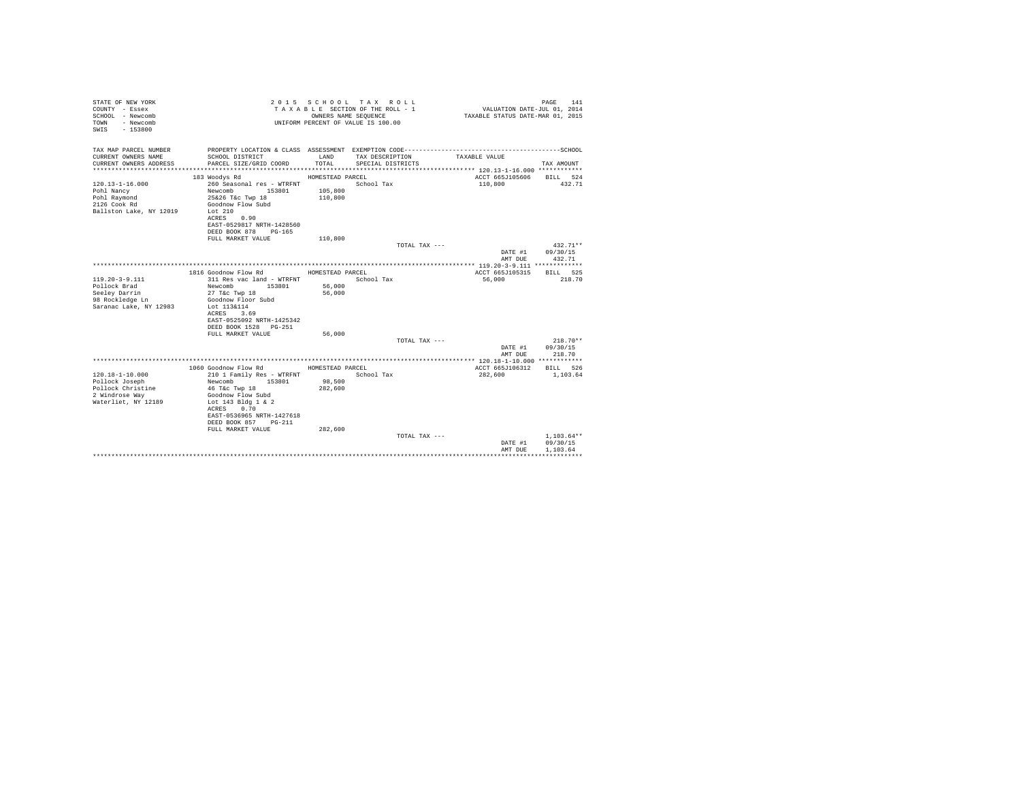| TAX MAP PARCEL NUMBER<br>CURRENT OWNERS NAME<br>SCHOOL DISTRICT<br>LAND<br>TAX DESCRIPTION<br>TAXABLE VALUE<br>CURRENT OWNERS ADDRESS<br>PARCEL SIZE/GRID COORD<br>TOTAL.<br>SPECIAL DISTRICTS<br>TAX AMOUNT<br>ACCT 665J105606<br>183 Woodys Rd<br>HOMESTEAD PARCEL<br>BILL 524<br>260 Seasonal res - WTRFNT<br>$120.13 - 1 - 16.000$<br>School Tax<br>110,800<br>432.71<br>Newcomb<br>105,800<br>Pohl Nancy<br>153801<br>25&26 T&c Twp 18<br>110,800<br>Pohl Raymond<br>2126 Cook Rd<br>Goodnow Flow Subd<br>Ballston Lake, NY 12019<br>Lot $210$<br>ACRES 0.90<br>EAST-0529817 NRTH-1428560<br>DEED BOOK 878 PG-165<br>FULL MARKET VALUE<br>110,800<br>TOTAL TAX ---<br>$432.71**$<br>DATE #1<br>09/30/15<br>432.71<br>AMT DUE<br>1816 Goodnow Flow Rd<br>ACCT 665J105315<br>HOMESTEAD PARCEL<br>RTLL 525<br>$119.20 - 3 - 9.111$<br>311 Res vac land - WTRFNT<br>218.70<br>School Tax<br>56,000<br>Pollock Brad<br>56,000<br>Newcomb 153801<br>Seeley Darrin<br>27 T&c Twp 18<br>56,000<br>Goodnow Floor Subd<br>98 Rockledge Ln<br>Saranac Lake, NY 12983<br>Lot 113&114<br>3.69<br>ACRES<br>EAST-0525092 NRTH-1425342<br>DEED BOOK 1528 PG-251<br>FULL MARKET VALUE<br>56,000<br>$218.70**$<br>TOTAL TAX ---<br>09/30/15<br>DATE #1<br>AMT DUE<br>218.70<br>1060 Goodnow Flow Rd<br>HOMESTEAD PARCEL<br>ACCT 665J106312<br>BILL 526<br>$120.18 - 1 - 10.000$<br>210 1 Family Res - WTRFNT<br>School Tax<br>282,600<br>1,103.64<br>98,500<br>Pollock Joseph<br>Newcomb<br>153801<br>Pollock Christine<br>282,600<br>46 T&c Twp 18<br>2 Windrose Wav<br>Goodnow Flow Subd<br>Waterliet, NY 12189<br>Lot 143 Bldg 1 & 2<br>ACRES<br>0.70<br>EAST-0536965 NRTH-1427618<br>DEED BOOK 857<br>$PG-211$<br>FULL MARKET VALUE<br>282,600<br>$1.103.64**$<br>TOTAL TAX ---<br>09/30/15<br>DATE #1<br>1,103.64<br>AMT DUE | STATE OF NEW YORK<br>COUNTY - Essex<br>SCHOOL - Newcomb<br>- Newcomb<br>TOWN<br>$-153800$<br>SWTS | OWNERS NAME SEQUENCE | 2015 SCHOOL TAX ROLL<br>TAXABLE SECTION OF THE ROLL - 1<br>UNIFORM PERCENT OF VALUE IS 100.00 | VALUATION DATE-JUL 01, 2014<br>TAXABLE STATUS DATE-MAR 01, 2015 | 141<br>PAGE |
|----------------------------------------------------------------------------------------------------------------------------------------------------------------------------------------------------------------------------------------------------------------------------------------------------------------------------------------------------------------------------------------------------------------------------------------------------------------------------------------------------------------------------------------------------------------------------------------------------------------------------------------------------------------------------------------------------------------------------------------------------------------------------------------------------------------------------------------------------------------------------------------------------------------------------------------------------------------------------------------------------------------------------------------------------------------------------------------------------------------------------------------------------------------------------------------------------------------------------------------------------------------------------------------------------------------------------------------------------------------------------------------------------------------------------------------------------------------------------------------------------------------------------------------------------------------------------------------------------------------------------------------------------------------------------------------------------------------------------------------------------------------------------------------------------------------------|---------------------------------------------------------------------------------------------------|----------------------|-----------------------------------------------------------------------------------------------|-----------------------------------------------------------------|-------------|
|                                                                                                                                                                                                                                                                                                                                                                                                                                                                                                                                                                                                                                                                                                                                                                                                                                                                                                                                                                                                                                                                                                                                                                                                                                                                                                                                                                                                                                                                                                                                                                                                                                                                                                                                                                                                                      |                                                                                                   |                      |                                                                                               |                                                                 |             |
|                                                                                                                                                                                                                                                                                                                                                                                                                                                                                                                                                                                                                                                                                                                                                                                                                                                                                                                                                                                                                                                                                                                                                                                                                                                                                                                                                                                                                                                                                                                                                                                                                                                                                                                                                                                                                      |                                                                                                   |                      |                                                                                               |                                                                 |             |
|                                                                                                                                                                                                                                                                                                                                                                                                                                                                                                                                                                                                                                                                                                                                                                                                                                                                                                                                                                                                                                                                                                                                                                                                                                                                                                                                                                                                                                                                                                                                                                                                                                                                                                                                                                                                                      |                                                                                                   |                      |                                                                                               |                                                                 |             |
|                                                                                                                                                                                                                                                                                                                                                                                                                                                                                                                                                                                                                                                                                                                                                                                                                                                                                                                                                                                                                                                                                                                                                                                                                                                                                                                                                                                                                                                                                                                                                                                                                                                                                                                                                                                                                      |                                                                                                   |                      |                                                                                               |                                                                 |             |
|                                                                                                                                                                                                                                                                                                                                                                                                                                                                                                                                                                                                                                                                                                                                                                                                                                                                                                                                                                                                                                                                                                                                                                                                                                                                                                                                                                                                                                                                                                                                                                                                                                                                                                                                                                                                                      |                                                                                                   |                      |                                                                                               |                                                                 |             |
|                                                                                                                                                                                                                                                                                                                                                                                                                                                                                                                                                                                                                                                                                                                                                                                                                                                                                                                                                                                                                                                                                                                                                                                                                                                                                                                                                                                                                                                                                                                                                                                                                                                                                                                                                                                                                      |                                                                                                   |                      |                                                                                               |                                                                 |             |
|                                                                                                                                                                                                                                                                                                                                                                                                                                                                                                                                                                                                                                                                                                                                                                                                                                                                                                                                                                                                                                                                                                                                                                                                                                                                                                                                                                                                                                                                                                                                                                                                                                                                                                                                                                                                                      |                                                                                                   |                      |                                                                                               |                                                                 |             |
|                                                                                                                                                                                                                                                                                                                                                                                                                                                                                                                                                                                                                                                                                                                                                                                                                                                                                                                                                                                                                                                                                                                                                                                                                                                                                                                                                                                                                                                                                                                                                                                                                                                                                                                                                                                                                      |                                                                                                   |                      |                                                                                               |                                                                 |             |
|                                                                                                                                                                                                                                                                                                                                                                                                                                                                                                                                                                                                                                                                                                                                                                                                                                                                                                                                                                                                                                                                                                                                                                                                                                                                                                                                                                                                                                                                                                                                                                                                                                                                                                                                                                                                                      |                                                                                                   |                      |                                                                                               |                                                                 |             |
|                                                                                                                                                                                                                                                                                                                                                                                                                                                                                                                                                                                                                                                                                                                                                                                                                                                                                                                                                                                                                                                                                                                                                                                                                                                                                                                                                                                                                                                                                                                                                                                                                                                                                                                                                                                                                      |                                                                                                   |                      |                                                                                               |                                                                 |             |
|                                                                                                                                                                                                                                                                                                                                                                                                                                                                                                                                                                                                                                                                                                                                                                                                                                                                                                                                                                                                                                                                                                                                                                                                                                                                                                                                                                                                                                                                                                                                                                                                                                                                                                                                                                                                                      |                                                                                                   |                      |                                                                                               |                                                                 |             |
|                                                                                                                                                                                                                                                                                                                                                                                                                                                                                                                                                                                                                                                                                                                                                                                                                                                                                                                                                                                                                                                                                                                                                                                                                                                                                                                                                                                                                                                                                                                                                                                                                                                                                                                                                                                                                      |                                                                                                   |                      |                                                                                               |                                                                 |             |
|                                                                                                                                                                                                                                                                                                                                                                                                                                                                                                                                                                                                                                                                                                                                                                                                                                                                                                                                                                                                                                                                                                                                                                                                                                                                                                                                                                                                                                                                                                                                                                                                                                                                                                                                                                                                                      |                                                                                                   |                      |                                                                                               |                                                                 |             |
|                                                                                                                                                                                                                                                                                                                                                                                                                                                                                                                                                                                                                                                                                                                                                                                                                                                                                                                                                                                                                                                                                                                                                                                                                                                                                                                                                                                                                                                                                                                                                                                                                                                                                                                                                                                                                      |                                                                                                   |                      |                                                                                               |                                                                 |             |
|                                                                                                                                                                                                                                                                                                                                                                                                                                                                                                                                                                                                                                                                                                                                                                                                                                                                                                                                                                                                                                                                                                                                                                                                                                                                                                                                                                                                                                                                                                                                                                                                                                                                                                                                                                                                                      |                                                                                                   |                      |                                                                                               |                                                                 |             |
|                                                                                                                                                                                                                                                                                                                                                                                                                                                                                                                                                                                                                                                                                                                                                                                                                                                                                                                                                                                                                                                                                                                                                                                                                                                                                                                                                                                                                                                                                                                                                                                                                                                                                                                                                                                                                      |                                                                                                   |                      |                                                                                               |                                                                 |             |
|                                                                                                                                                                                                                                                                                                                                                                                                                                                                                                                                                                                                                                                                                                                                                                                                                                                                                                                                                                                                                                                                                                                                                                                                                                                                                                                                                                                                                                                                                                                                                                                                                                                                                                                                                                                                                      |                                                                                                   |                      |                                                                                               |                                                                 |             |
|                                                                                                                                                                                                                                                                                                                                                                                                                                                                                                                                                                                                                                                                                                                                                                                                                                                                                                                                                                                                                                                                                                                                                                                                                                                                                                                                                                                                                                                                                                                                                                                                                                                                                                                                                                                                                      |                                                                                                   |                      |                                                                                               |                                                                 |             |
|                                                                                                                                                                                                                                                                                                                                                                                                                                                                                                                                                                                                                                                                                                                                                                                                                                                                                                                                                                                                                                                                                                                                                                                                                                                                                                                                                                                                                                                                                                                                                                                                                                                                                                                                                                                                                      |                                                                                                   |                      |                                                                                               |                                                                 |             |
|                                                                                                                                                                                                                                                                                                                                                                                                                                                                                                                                                                                                                                                                                                                                                                                                                                                                                                                                                                                                                                                                                                                                                                                                                                                                                                                                                                                                                                                                                                                                                                                                                                                                                                                                                                                                                      |                                                                                                   |                      |                                                                                               |                                                                 |             |
|                                                                                                                                                                                                                                                                                                                                                                                                                                                                                                                                                                                                                                                                                                                                                                                                                                                                                                                                                                                                                                                                                                                                                                                                                                                                                                                                                                                                                                                                                                                                                                                                                                                                                                                                                                                                                      |                                                                                                   |                      |                                                                                               |                                                                 |             |
|                                                                                                                                                                                                                                                                                                                                                                                                                                                                                                                                                                                                                                                                                                                                                                                                                                                                                                                                                                                                                                                                                                                                                                                                                                                                                                                                                                                                                                                                                                                                                                                                                                                                                                                                                                                                                      |                                                                                                   |                      |                                                                                               |                                                                 |             |
|                                                                                                                                                                                                                                                                                                                                                                                                                                                                                                                                                                                                                                                                                                                                                                                                                                                                                                                                                                                                                                                                                                                                                                                                                                                                                                                                                                                                                                                                                                                                                                                                                                                                                                                                                                                                                      |                                                                                                   |                      |                                                                                               |                                                                 |             |
|                                                                                                                                                                                                                                                                                                                                                                                                                                                                                                                                                                                                                                                                                                                                                                                                                                                                                                                                                                                                                                                                                                                                                                                                                                                                                                                                                                                                                                                                                                                                                                                                                                                                                                                                                                                                                      |                                                                                                   |                      |                                                                                               |                                                                 |             |
|                                                                                                                                                                                                                                                                                                                                                                                                                                                                                                                                                                                                                                                                                                                                                                                                                                                                                                                                                                                                                                                                                                                                                                                                                                                                                                                                                                                                                                                                                                                                                                                                                                                                                                                                                                                                                      |                                                                                                   |                      |                                                                                               |                                                                 |             |
|                                                                                                                                                                                                                                                                                                                                                                                                                                                                                                                                                                                                                                                                                                                                                                                                                                                                                                                                                                                                                                                                                                                                                                                                                                                                                                                                                                                                                                                                                                                                                                                                                                                                                                                                                                                                                      |                                                                                                   |                      |                                                                                               |                                                                 |             |
|                                                                                                                                                                                                                                                                                                                                                                                                                                                                                                                                                                                                                                                                                                                                                                                                                                                                                                                                                                                                                                                                                                                                                                                                                                                                                                                                                                                                                                                                                                                                                                                                                                                                                                                                                                                                                      |                                                                                                   |                      |                                                                                               |                                                                 |             |
|                                                                                                                                                                                                                                                                                                                                                                                                                                                                                                                                                                                                                                                                                                                                                                                                                                                                                                                                                                                                                                                                                                                                                                                                                                                                                                                                                                                                                                                                                                                                                                                                                                                                                                                                                                                                                      |                                                                                                   |                      |                                                                                               |                                                                 |             |
|                                                                                                                                                                                                                                                                                                                                                                                                                                                                                                                                                                                                                                                                                                                                                                                                                                                                                                                                                                                                                                                                                                                                                                                                                                                                                                                                                                                                                                                                                                                                                                                                                                                                                                                                                                                                                      |                                                                                                   |                      |                                                                                               |                                                                 |             |
|                                                                                                                                                                                                                                                                                                                                                                                                                                                                                                                                                                                                                                                                                                                                                                                                                                                                                                                                                                                                                                                                                                                                                                                                                                                                                                                                                                                                                                                                                                                                                                                                                                                                                                                                                                                                                      |                                                                                                   |                      |                                                                                               |                                                                 |             |
|                                                                                                                                                                                                                                                                                                                                                                                                                                                                                                                                                                                                                                                                                                                                                                                                                                                                                                                                                                                                                                                                                                                                                                                                                                                                                                                                                                                                                                                                                                                                                                                                                                                                                                                                                                                                                      |                                                                                                   |                      |                                                                                               |                                                                 |             |
|                                                                                                                                                                                                                                                                                                                                                                                                                                                                                                                                                                                                                                                                                                                                                                                                                                                                                                                                                                                                                                                                                                                                                                                                                                                                                                                                                                                                                                                                                                                                                                                                                                                                                                                                                                                                                      |                                                                                                   |                      |                                                                                               |                                                                 |             |
|                                                                                                                                                                                                                                                                                                                                                                                                                                                                                                                                                                                                                                                                                                                                                                                                                                                                                                                                                                                                                                                                                                                                                                                                                                                                                                                                                                                                                                                                                                                                                                                                                                                                                                                                                                                                                      |                                                                                                   |                      |                                                                                               |                                                                 |             |
|                                                                                                                                                                                                                                                                                                                                                                                                                                                                                                                                                                                                                                                                                                                                                                                                                                                                                                                                                                                                                                                                                                                                                                                                                                                                                                                                                                                                                                                                                                                                                                                                                                                                                                                                                                                                                      |                                                                                                   |                      |                                                                                               |                                                                 |             |
|                                                                                                                                                                                                                                                                                                                                                                                                                                                                                                                                                                                                                                                                                                                                                                                                                                                                                                                                                                                                                                                                                                                                                                                                                                                                                                                                                                                                                                                                                                                                                                                                                                                                                                                                                                                                                      |                                                                                                   |                      |                                                                                               |                                                                 |             |
|                                                                                                                                                                                                                                                                                                                                                                                                                                                                                                                                                                                                                                                                                                                                                                                                                                                                                                                                                                                                                                                                                                                                                                                                                                                                                                                                                                                                                                                                                                                                                                                                                                                                                                                                                                                                                      |                                                                                                   |                      |                                                                                               |                                                                 |             |
|                                                                                                                                                                                                                                                                                                                                                                                                                                                                                                                                                                                                                                                                                                                                                                                                                                                                                                                                                                                                                                                                                                                                                                                                                                                                                                                                                                                                                                                                                                                                                                                                                                                                                                                                                                                                                      |                                                                                                   |                      |                                                                                               |                                                                 |             |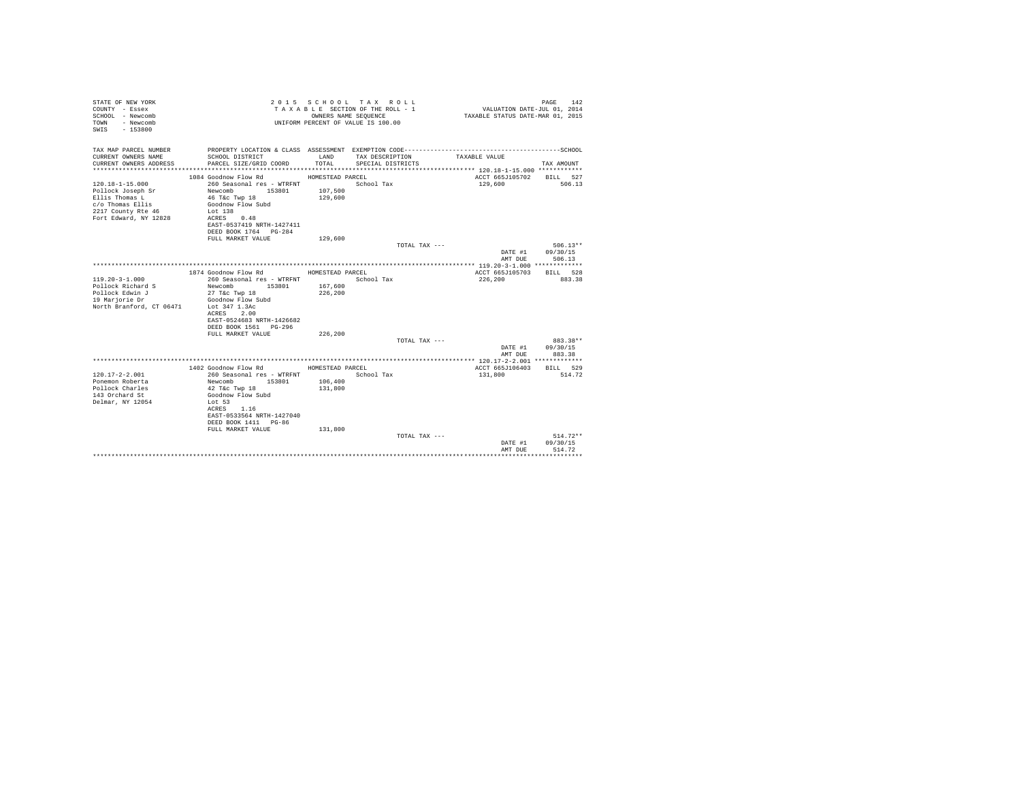| STATE OF NEW YORK<br>COUNTY - Essex<br>SCHOOL - Newcomb<br>- Newcomb<br>TOWN<br>$-153800$<br>SWTS |                                                                    | OWNERS NAME SEQUENCE | 2015 SCHOOL TAX ROLL<br>TAXABLE SECTION OF THE ROLL - 1<br>UNIFORM PERCENT OF VALUE IS 100.00 | VALUATION DATE-JUL 01, 2014<br>TAXABLE STATUS DATE-MAR 01, 2015 | 142<br>PAGE            |
|---------------------------------------------------------------------------------------------------|--------------------------------------------------------------------|----------------------|-----------------------------------------------------------------------------------------------|-----------------------------------------------------------------|------------------------|
| TAX MAP PARCEL NUMBER                                                                             | PROPERTY LOCATION & CLASS ASSESSMENT EXEMPTION CODE--------------- |                      |                                                                                               | ---------------------------SCHOOL                               |                        |
| CURRENT OWNERS NAME<br>CURRENT OWNERS ADDRESS                                                     | SCHOOL DISTRICT<br>PARCEL SIZE/GRID COORD                          | LAND<br>TOTAL.       | TAX DESCRIPTION<br>SPECIAL DISTRICTS                                                          | TAXABLE VALUE                                                   | TAX AMOUNT             |
|                                                                                                   |                                                                    |                      |                                                                                               | ACCT 665J105702                                                 |                        |
| $120.18 - 1 - 15.000$                                                                             | 1084 Goodnow Flow Rd<br>260 Seasonal res - WTRFNT                  | HOMESTEAD PARCEL     | School Tax                                                                                    | 129,600                                                         | BILL 527<br>506.13     |
| Pollock Joseph Sr                                                                                 | Newcomb<br>153801                                                  | 107,500              |                                                                                               |                                                                 |                        |
| Ellis Thomas L                                                                                    | 46 T&c Twp 18                                                      | 129,600              |                                                                                               |                                                                 |                        |
| c/o Thomas Ellis                                                                                  | Goodnow Flow Subd                                                  |                      |                                                                                               |                                                                 |                        |
| 2217 County Rte 46                                                                                | Lot 138                                                            |                      |                                                                                               |                                                                 |                        |
| Fort Edward, NY 12828                                                                             | ACRES 0.48                                                         |                      |                                                                                               |                                                                 |                        |
|                                                                                                   | EAST-0537419 NRTH-1427411                                          |                      |                                                                                               |                                                                 |                        |
|                                                                                                   | DEED BOOK 1764 PG-284                                              |                      |                                                                                               |                                                                 |                        |
|                                                                                                   | FULL MARKET VALUE                                                  | 129,600              |                                                                                               |                                                                 |                        |
|                                                                                                   |                                                                    |                      | TOTAL TAX ---                                                                                 |                                                                 | $506.13**$             |
|                                                                                                   |                                                                    |                      |                                                                                               | DATE #1                                                         | 09/30/15               |
|                                                                                                   |                                                                    |                      |                                                                                               | AMT DUE                                                         | 506.13                 |
|                                                                                                   | 1874 Goodnow Flow Rd                                               | HOMESTEAD PARCEL     |                                                                                               | ACCT 665J105703                                                 | <b>BTLL</b> 528        |
| $119.20 - 3 - 1.000$                                                                              | 260 Seasonal res - WTRFNT                                          |                      | School Tax                                                                                    | 226,200                                                         | 883.38                 |
| Pollock Richard S                                                                                 | Newcomb 153801                                                     | 167,600              |                                                                                               |                                                                 |                        |
| Pollock Edwin J                                                                                   | 27 T&c Twp 18                                                      | 226,200              |                                                                                               |                                                                 |                        |
| 19 Marjorie Dr                                                                                    | Goodnow Flow Subd                                                  |                      |                                                                                               |                                                                 |                        |
| North Branford, CT 06471                                                                          | Lot 347 1.3Ac                                                      |                      |                                                                                               |                                                                 |                        |
|                                                                                                   | 2.00<br>ACRES                                                      |                      |                                                                                               |                                                                 |                        |
|                                                                                                   | EAST-0524683 NRTH-1426682                                          |                      |                                                                                               |                                                                 |                        |
|                                                                                                   | DEED BOOK 1561 PG-296                                              |                      |                                                                                               |                                                                 |                        |
|                                                                                                   | FULL MARKET VALUE                                                  | 226,200              |                                                                                               |                                                                 |                        |
|                                                                                                   |                                                                    |                      | TOTAL TAX ---                                                                                 |                                                                 | 883.38**               |
|                                                                                                   |                                                                    |                      |                                                                                               | DATE #1                                                         | 09/30/15               |
|                                                                                                   |                                                                    |                      |                                                                                               | AMT DUE                                                         | 883.38                 |
|                                                                                                   | 1402 Goodnow Flow Rd                                               | HOMESTEAD PARCEL     |                                                                                               | ACCT 665J106403                                                 | BILL 529               |
| $120.17 - 2 - 2.001$                                                                              | 260 Seasonal res - WTRFNT                                          |                      | School Tax                                                                                    | 131,800                                                         | 514.72                 |
| Ponemon Roberta                                                                                   | Newcomb<br>153801                                                  | 106,400              |                                                                                               |                                                                 |                        |
| Pollock Charles                                                                                   | 42 T&c Twp 18                                                      | 131,800              |                                                                                               |                                                                 |                        |
| 143 Orchard St                                                                                    | Goodnow Flow Subd                                                  |                      |                                                                                               |                                                                 |                        |
| Delmar, NY 12054                                                                                  | Lot 53                                                             |                      |                                                                                               |                                                                 |                        |
|                                                                                                   | ACRES 1.16                                                         |                      |                                                                                               |                                                                 |                        |
|                                                                                                   | EAST-0533564 NRTH-1427040                                          |                      |                                                                                               |                                                                 |                        |
|                                                                                                   | DEED BOOK 1411 PG-86                                               |                      |                                                                                               |                                                                 |                        |
|                                                                                                   | FULL MARKET VALUE                                                  | 131,800              |                                                                                               |                                                                 |                        |
|                                                                                                   |                                                                    |                      | TOTAL TAX ---                                                                                 |                                                                 | $514.72**$<br>09/30/15 |
|                                                                                                   |                                                                    |                      |                                                                                               | DATE #1<br>AMT DUE                                              | 514.72                 |
|                                                                                                   |                                                                    |                      |                                                                                               |                                                                 |                        |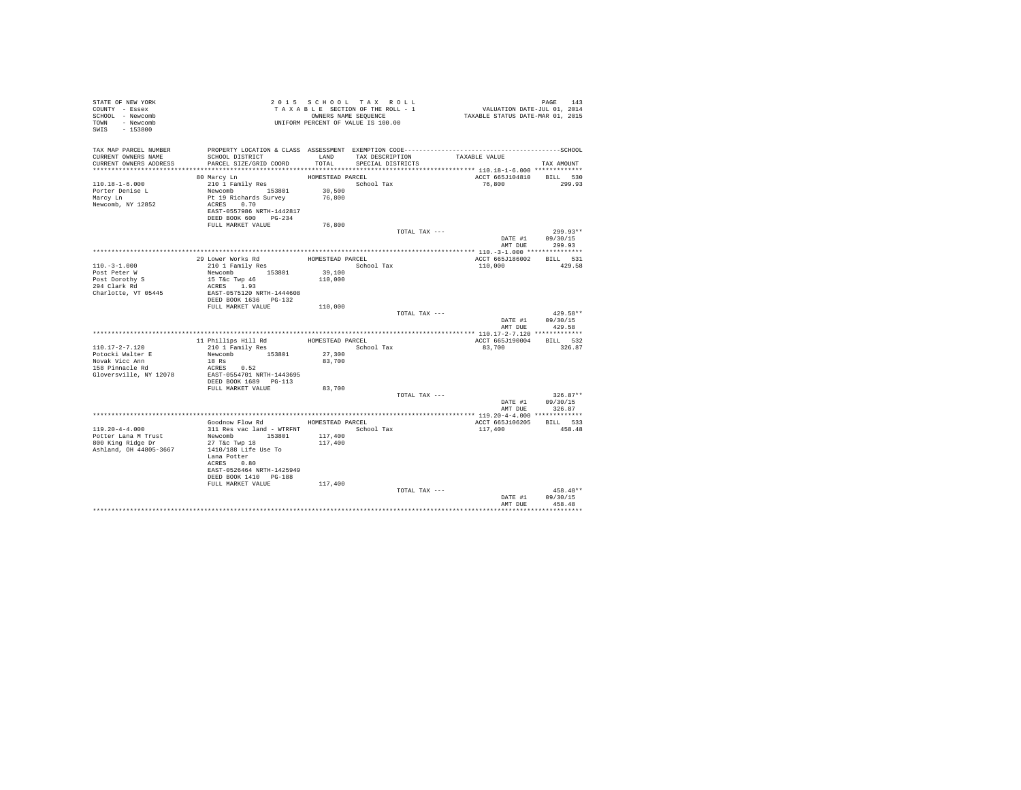| STATE OF NEW YORK<br>COUNTY - Essex         |                                                                                              |                   | 2015 SCHOOL TAX ROLL<br>TAXABLE SECTION OF THE ROLL - 1 | PAGE 143<br>VALUATION DATE-JUL 01, 2014<br>TAXABLE STATUS DATE-MAR 01, 2015 |                           |                    |  |
|---------------------------------------------|----------------------------------------------------------------------------------------------|-------------------|---------------------------------------------------------|-----------------------------------------------------------------------------|---------------------------|--------------------|--|
| SCHOOL - Newcomb<br>TOWN - Newcomb          | OWNERS NAME SEQUENCE<br>UNIFORM PERCENT OF VALUE IS 100.00                                   |                   | OWNERS NAME SEQUENCE                                    |                                                                             |                           |                    |  |
| SWIS - 153800                               |                                                                                              |                   |                                                         |                                                                             |                           |                    |  |
| TAX MAP PARCEL NUMBER                       | PROPERTY LOCATION & CLASS ASSESSMENT EXEMPTION CODE-----------------------------------SCHOOL |                   |                                                         |                                                                             |                           |                    |  |
| CURRENT OWNERS NAME                         | SCHOOL DISTRICT                                                                              |                   | LAND TAX DESCRIPTION                                    | TAXABLE VALUE                                                               |                           |                    |  |
| CURRENT OWNERS ADDRESS                      | PARCEL SIZE/GRID COORD                                                                       | TOTAL             | SPECIAL DISTRICTS                                       |                                                                             |                           | TAX AMOUNT         |  |
|                                             | 80 Marcy Ln                                                                                  | HOMESTEAD PARCEL  |                                                         |                                                                             | ACCT 665J104810 BILL 530  |                    |  |
| $110.18 - 1 - 6.000$                        | 210 1 Family Res                                                                             |                   | School Tax                                              |                                                                             | 76.800 299.93             |                    |  |
| Porter Denise L                             | Newcomb 153801 30,500                                                                        |                   |                                                         |                                                                             |                           |                    |  |
| Marcy Ln                                    | Pt 19 Richards Survey                                                                        | 76,800            |                                                         |                                                                             |                           |                    |  |
| Newcomb, NY 12852                           | ACRES 0.70<br>EAST-0557986 NRTH-1442817                                                      |                   |                                                         |                                                                             |                           |                    |  |
|                                             | DEED BOOK 600 PG-234                                                                         |                   |                                                         |                                                                             |                           |                    |  |
|                                             | FULL MARKET VALUE                                                                            | 76,800            |                                                         |                                                                             |                           |                    |  |
|                                             |                                                                                              |                   |                                                         | TOTAL TAX ---                                                               | DATE #1 09/30/15          | $299.93**$         |  |
|                                             |                                                                                              |                   |                                                         |                                                                             | AMT DUE 299.93            |                    |  |
|                                             |                                                                                              |                   |                                                         |                                                                             |                           |                    |  |
|                                             | 29 Lower Works Rd                                                                            | HOMESTEAD PARCEL  |                                                         |                                                                             | ACCT 665J186002 BILL 531  |                    |  |
| $110. - 3 - 1.000$                          | 29 Lower Works Rd<br>210 1 Family Res                                                        |                   | School Tax                                              |                                                                             | 110,000                   | 429.58             |  |
| Post Peter W                                | Newcomb 153801<br>15 T&c Twp 46                                                              | 39,100<br>110,000 |                                                         |                                                                             |                           |                    |  |
| Post Dorothy S<br>294 Clark Rd              | ACRES 1.93                                                                                   |                   |                                                         |                                                                             |                           |                    |  |
| Charlotte, VT 05445                         | EAST-0575120 NRTH-1444608                                                                    |                   |                                                         |                                                                             |                           |                    |  |
|                                             | DEED BOOK 1636    PG-132                                                                     |                   |                                                         |                                                                             |                           |                    |  |
|                                             | FULL MARKET VALUE 110,000                                                                    |                   |                                                         | TOTAL TAX ---                                                               |                           | $429.58**$         |  |
|                                             |                                                                                              |                   |                                                         |                                                                             | DATE #1 09/30/15          |                    |  |
|                                             |                                                                                              |                   |                                                         |                                                                             | AMT DUE                   | 429.58             |  |
|                                             |                                                                                              |                   |                                                         |                                                                             |                           |                    |  |
| $110.17 - 2 - 7.120$                        | 11 Phillips Hill Rd<br>210 1 Family Res                                                      |                   | HOMESTEAD PARCEL<br>School Tax                          |                                                                             | ACCT 665J190004<br>83,700 | BILL 532<br>326.87 |  |
| Potocki Walter E                            | Newcomb 153801                                                                               | 27,300            |                                                         |                                                                             |                           |                    |  |
| Novak Vicc Ann                              | 18 Rs                                                                                        | 83,700            |                                                         |                                                                             |                           |                    |  |
| $158$ Pinnacle Rd                           | ACRES 0.52                                                                                   |                   |                                                         |                                                                             |                           |                    |  |
| Gloversville, NY 12078                      | EAST-0554701 NRTH-1443695<br>DEED BOOK 1689 PG-113                                           |                   |                                                         |                                                                             |                           |                    |  |
|                                             | FULL MARKET VALUE                                                                            | 83,700            |                                                         |                                                                             |                           |                    |  |
|                                             |                                                                                              |                   |                                                         | TOTAL TAX ---                                                               |                           | $326.87**$         |  |
|                                             |                                                                                              |                   |                                                         |                                                                             | DATE #1 09/30/15          |                    |  |
|                                             |                                                                                              |                   |                                                         |                                                                             | AMT DUE                   | 326.87             |  |
|                                             | Goodnow Flow Rd MOMESTEAD PARCEL                                                             |                   |                                                         |                                                                             | ACCT 665J106205 BILL 533  |                    |  |
| $119.20 - 4 - 4.000$                        | 311 Res vac land - WTRFNT                                                                    |                   | School Tax                                              | 117,400                                                                     |                           | 458.48             |  |
| Potter Lana M Trust                         | Newcomb 153801                                                                               | 117,400           |                                                         |                                                                             |                           |                    |  |
| 800 King Ridge Dr<br>Ashland, OH 44805-3667 | 27 T&c Twp 18<br>1410/188 Life Use To                                                        | 117,400           |                                                         |                                                                             |                           |                    |  |
|                                             | Lana Potter                                                                                  |                   |                                                         |                                                                             |                           |                    |  |
|                                             | ACRES 0.80                                                                                   |                   |                                                         |                                                                             |                           |                    |  |
|                                             | EAST-0526464 NRTH-1425949                                                                    |                   |                                                         |                                                                             |                           |                    |  |
|                                             | DEED BOOK 1410 PG-188<br>FULL MARKET VALUE                                                   | 117,400           |                                                         |                                                                             |                           |                    |  |
|                                             |                                                                                              |                   |                                                         | TOTAL TAX ---                                                               |                           | $458.48**$         |  |
|                                             |                                                                                              |                   |                                                         |                                                                             | DATE #1 09/30/15          |                    |  |
|                                             |                                                                                              |                   |                                                         |                                                                             | AMT DUE                   | 458.48             |  |
|                                             |                                                                                              |                   |                                                         |                                                                             |                           |                    |  |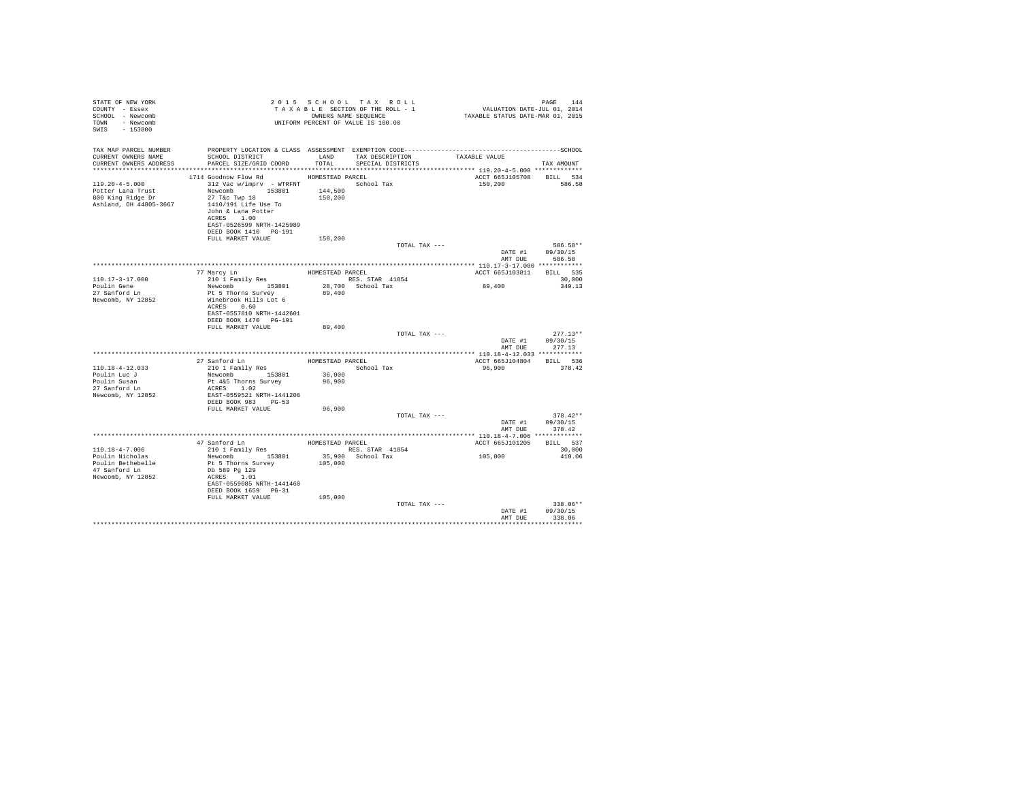| STATE OF NEW YORK<br>COUNTY - Essex<br>SCHOOL - Newcomb<br>TOWN - Newcomb<br>SWIS - 153800   |                                                                                                                                                                                                                                                     |                            | 2015 SCHOOL TAX ROLL<br>UNIFORM PERCENT OF VALUE IS 100.00                |                                                                           | PAGE<br>144                                                                    |
|----------------------------------------------------------------------------------------------|-----------------------------------------------------------------------------------------------------------------------------------------------------------------------------------------------------------------------------------------------------|----------------------------|---------------------------------------------------------------------------|---------------------------------------------------------------------------|--------------------------------------------------------------------------------|
| TAX MAP PARCEL NUMBER<br>CURRENT OWNERS NAME<br>CURRENT OWNERS ADDRESS                       | SCHOOL DISTRICT TAND TAX DESCRIPTION<br>PARCEL SIZE/GRID COORD                                                                                                                                                                                      | TOTAL                      | SPECIAL DISTRICTS                                                         | TAXABLE VALUE                                                             | TAX AMOUNT                                                                     |
| $119.20 - 4 - 5.000$<br>Potter Lana Trust<br>800 King Ridge Dr<br>Ashland, OH 44805-3667     | 1714 Goodnow Flow Rd HOMESTEAD PARCEL<br>312 Vac w/imprv - WTRFNT<br>Newcomb 153801 144,500<br>27 T&C Twp 18<br>1410/191 Life Use To<br>John & Lana Potter<br>ACRES 1.00<br>EAST-0526599 NRTH-1425989<br>DEED BOOK 1410 PG-191<br>FULL MARKET VALUE | 150,200<br>150,200         | School Tax                                                                | ACCT 665J105708 BILL 534<br>150,200                                       | 586.58                                                                         |
|                                                                                              |                                                                                                                                                                                                                                                     |                            | TOTAL TAX ---                                                             |                                                                           | 586.58**<br>DATE #1 09/30/15                                                   |
| 110.17-3-17.000<br>Poulin Gene<br>27 Sanford Ln<br>Newcomb, NY 12852                         | 77 Marcy Ln<br>210 1 Family Res<br>Newcomb<br>Pt 5 Thorns Survey<br>Winebrook Hills Lot 6<br>ACRES 0.60<br>EAST-0557810 NRTH-1442601<br>DEED BOOK 1470 PG-191<br>FULL MARKET VALUE<br>27 Sanford Ln HOMESTEAD PARCEL                                | 89,400<br>89,400           | HOMESTEAD PARCEL<br>RES. STAR 41854<br>28,700 School Tax<br>TOTAL TAX --- | ACCT 665J103811 BILL 535<br>89,400<br>AMT DUE<br>ACCT 665J104804 BILL 536 | AMT DUR 586.58<br>30,000<br>349.13<br>$277.13**$<br>DATE #1 09/30/15<br>277.13 |
| 110.18-4-12.033<br>Poulin Luc J<br>Poulin Susan<br>27 Sanford Ln<br>Newcomb, NY 12852        | 210 1 Family Res<br>Newcomb 153801<br>Pt 4&5 Thorns Survey<br>ACRES 1.02<br>EAST-0559521 NRTH-1441206<br>DEED BOOK 983 PG-53<br>FULL MARKET VALUE                                                                                                   | 36,000<br>96,900<br>96,900 | School Tax<br>TOTAL TAX ---                                               | 96,900<br>AMT DUE                                                         | 378.42<br>$378.42**$<br>DATE #1 09/30/15<br>378.42                             |
| 110.18-4-7.006<br>Poulin Nicholas<br>Poulin Bethebelle<br>47 Sanford Ln<br>Newcomb, NY 12852 | 210 1 Family Res RES. STAR 41854<br>Newcomb 153801 35,900 School Tax<br>Pt 5 Thorns Survey<br>Db 589 Pg 129<br>ACRES 1.01<br>EAST-0559085 NRTH-1441460<br>DEED BOOK 1659 PG-31<br>FULL MARKET VALUE                                                 | 105,000<br>105,000         |                                                                           | ACCT 665J101205 BILL 537<br>105,000                                       | 30,000<br>410.06                                                               |
|                                                                                              |                                                                                                                                                                                                                                                     |                            | TOTAL TAX ---                                                             | DATE #1<br>AMT DUR                                                        | 338.06**<br>09/30/15<br>338.06<br>**********                                   |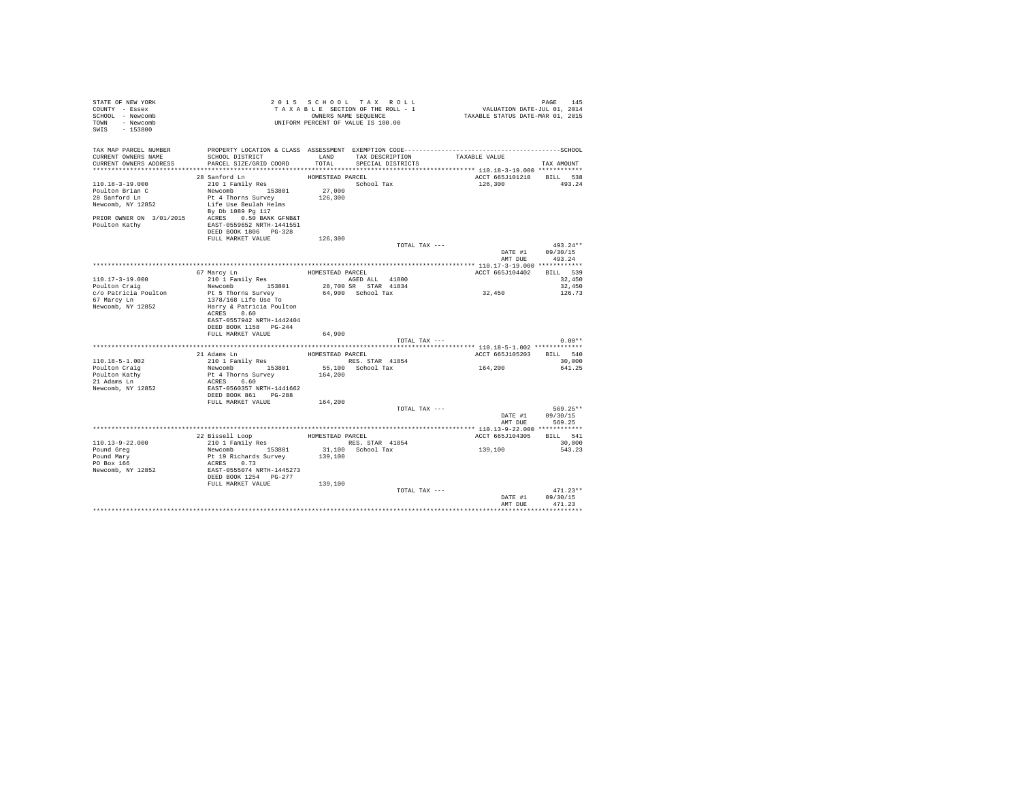| STATE OF NEW YORK<br>COUNTY - Essex<br>SCHOOL - Newcomb<br>TOWN - Newcomb<br>SWIS - 153800 | UNIFORM PERCENT OF VALUE IS 100.00                                                                                                                                                                                                                                                                                                                                                                                                                                                 |                  |                   |                                    |                                        |
|--------------------------------------------------------------------------------------------|------------------------------------------------------------------------------------------------------------------------------------------------------------------------------------------------------------------------------------------------------------------------------------------------------------------------------------------------------------------------------------------------------------------------------------------------------------------------------------|------------------|-------------------|------------------------------------|----------------------------------------|
| TAX MAP PARCEL NUMBER<br>CURRENT OWNERS NAME<br>CURRENT OWNERS ADDRESS                     | SCHOOL DISTRICT<br>PARCEL SIZE/GRID COORD                                                                                                                                                                                                                                                                                                                                                                                                                                          |                  |                   |                                    | TAX AMOUNT                             |
|                                                                                            | 28 Sanford Ln                                                                                                                                                                                                                                                                                                                                                                                                                                                                      | HOMESTEAD PARCEL |                   | ACCT 665J101210 BILL 538           |                                        |
| 110.18-3-19.000<br>Poulton Brian C<br>28 Sanford Ln<br>Poulton Kathy                       | 28 Santord Ln<br>210 1 Family Res<br>Newcomb 153801 27,000<br>Pt 4 Thorns Survey<br>Newcomb, NY 12852<br>Life Use Beulah Helms<br>By Db 1089 Pa 117<br>PRIOR OWNER ON 3/01/2015 ACRES 0.50 BANK GFNB&T<br>EAST-0559652 NRTH-1441551<br>DEED BOOK 1806 PG-328                                                                                                                                                                                                                       | 126,300          | School Tax        | 126,300                            | 493.24                                 |
|                                                                                            | FULL MARKET VALUE                                                                                                                                                                                                                                                                                                                                                                                                                                                                  | 126,300          |                   |                                    |                                        |
|                                                                                            |                                                                                                                                                                                                                                                                                                                                                                                                                                                                                    |                  | TOTAL TAX ---     | DATE #1<br>AMT DUE                 | $493.24**$<br>09/30/15<br>493.24       |
|                                                                                            |                                                                                                                                                                                                                                                                                                                                                                                                                                                                                    |                  |                   |                                    |                                        |
| $110.17 - 3 - 19.000$<br>Poulton Craig                                                     | $\begin{tabular}{lllllllllllll} \textbf{67} & \textbf{Marcy In} & \textbf{HOMESTEAD PARCEL} \\ \textbf{210} & \textbf{Family Res} & \textbf{153801} & \textbf{1600} \\ \textbf{Newcomb} & \textbf{153801} & \textbf{28,700 SR} & \textbf{STAR} & \textbf{41834} \end{tabular}$                                                                                                                                                                                                     |                  |                   | ACCT 665J104402 BILL 539<br>32,450 | 32,450<br>32,450                       |
| c/o Patricia Poulton<br>67 Marcy Ln<br>Newcomb, NY 12852                                   | Pt 5 Thorns Survey<br>1378/168 Life Use To<br>Harry & Patricia Poulton<br>ACRES 0.60<br>EAST-0557942 NRTH-1442404<br>DEED BOOK 1158 PG-244                                                                                                                                                                                                                                                                                                                                         |                  | 64,900 School Tax |                                    | 126.73                                 |
|                                                                                            | FULL MARKET VALUE                                                                                                                                                                                                                                                                                                                                                                                                                                                                  | 64,900           |                   |                                    |                                        |
|                                                                                            |                                                                                                                                                                                                                                                                                                                                                                                                                                                                                    |                  | TOTAL TAX ---     |                                    | $0.00**$                               |
|                                                                                            |                                                                                                                                                                                                                                                                                                                                                                                                                                                                                    |                  |                   | ACCT 665J105203 BILL 540           |                                        |
| $110.18 - 5 - 1.002$                                                                       |                                                                                                                                                                                                                                                                                                                                                                                                                                                                                    |                  |                   |                                    | 30,000                                 |
| Poulton Craig                                                                              |                                                                                                                                                                                                                                                                                                                                                                                                                                                                                    |                  |                   | 164,200                            | 641.25                                 |
| Poulton Kathy<br>21 Adams Ln                                                               | $\begin{tabular}{lllllllll} \multicolumn{2}{c}{\textbf{21 Adams}} & \multicolumn{2}{c}{\textbf{EONESTEAD PARCEL}} \\ \multicolumn{2}{c}{\textbf{21 Aams}} & \multicolumn{2}{c}{\textbf{E.}} \\ \multicolumn{2}{c}{\textbf{21 Aams}} & \multicolumn{2}{c}{\textbf{E.}} \\ \multicolumn{2}{c}{\textbf{21 A ms}} & \multicolumn{2}{c}{\textbf{E.}} \\ \multicolumn{2}{c}{\textbf{21 A ms}} & \multicolumn{2}{c}{\textbf{E.}} \\ \multicolumn{2}{c}{\textbf{21 A ms}} & \multicolumn{$ |                  |                   |                                    |                                        |
| Newcomb, NY 12852                                                                          | ACRES 6.60<br>EAST-0560357 NRTH-1441662<br>DEED BOOK 861 PG-288                                                                                                                                                                                                                                                                                                                                                                                                                    |                  |                   |                                    |                                        |
|                                                                                            | FULL MARKET VALUE                                                                                                                                                                                                                                                                                                                                                                                                                                                                  | 164,200          |                   |                                    |                                        |
|                                                                                            |                                                                                                                                                                                                                                                                                                                                                                                                                                                                                    |                  | TOTAL TAX ---     | AMT DUE                            | 569.25**<br>DATE #1 09/30/15<br>569.25 |
|                                                                                            |                                                                                                                                                                                                                                                                                                                                                                                                                                                                                    |                  |                   |                                    |                                        |
| $110.13 - 9 - 22.000$                                                                      |                                                                                                                                                                                                                                                                                                                                                                                                                                                                                    |                  |                   | ACCT 665J104305 BILL 541           | 30,000                                 |
| Pound Greg<br>Pound Mary<br>$PO$ Box $166$                                                 | Pt 19 Richards Survey<br>ACRES 0.73                                                                                                                                                                                                                                                                                                                                                                                                                                                | 139,100          |                   | 139,100                            | 543.23                                 |
| Newcomb, NY 12852                                                                          | EAST-0555074 NRTH-1445273<br>DEED BOOK 1254 PG-277                                                                                                                                                                                                                                                                                                                                                                                                                                 |                  |                   |                                    |                                        |
|                                                                                            | FULL MARKET VALUE 139,100                                                                                                                                                                                                                                                                                                                                                                                                                                                          |                  | TOTAL TAX ---     |                                    | $471.23**$                             |
|                                                                                            |                                                                                                                                                                                                                                                                                                                                                                                                                                                                                    |                  |                   | AMT DUE                            | DATE #1 09/30/15<br>471.23             |
|                                                                                            |                                                                                                                                                                                                                                                                                                                                                                                                                                                                                    |                  |                   |                                    |                                        |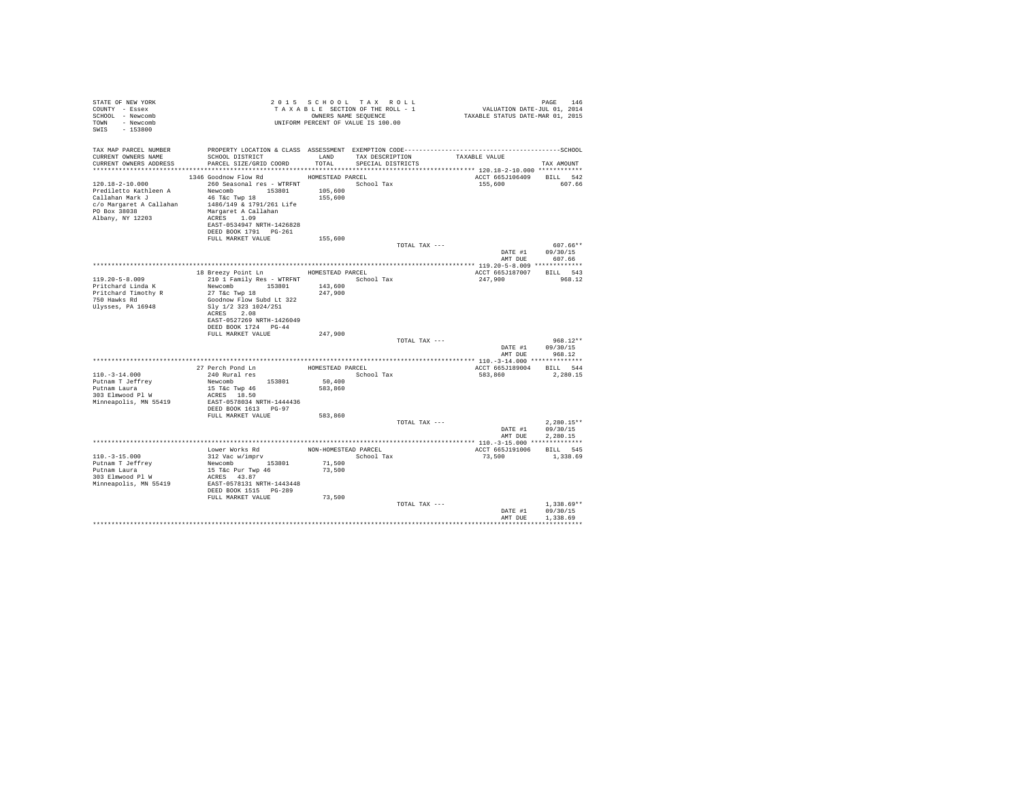| STATE OF NEW YORK<br>COUNTY - Essex<br>SCHOOL - Newcomb<br>TOWN - Newcomb<br>SWIS - 153800                                                                                                                                                                                                                                                                                                                                                                        |                                                                                                                                                |         | 2015 SCHOOL TAX ROLL<br>UNIFORM PERCENT OF VALUE IS 100.00 |               | $\begin{array}{lllllllllllllllllll} \texttt{PAGE} & \texttt{146} & \texttt{147} & \texttt{148} & \texttt{148} \\ \texttt{T AX AB LE SECTION OF THE ROLL-1} & & & & & & \texttt{VALUATION DATE-JUL 011} & \texttt{2014} \\ \texttt{T AX AB LE SECTION OF THE ROLL-1} & & & & & & \texttt{VALUATION DATE-NNR 01, 2015} \end{array}$ | PAGE 146                                         |
|-------------------------------------------------------------------------------------------------------------------------------------------------------------------------------------------------------------------------------------------------------------------------------------------------------------------------------------------------------------------------------------------------------------------------------------------------------------------|------------------------------------------------------------------------------------------------------------------------------------------------|---------|------------------------------------------------------------|---------------|-----------------------------------------------------------------------------------------------------------------------------------------------------------------------------------------------------------------------------------------------------------------------------------------------------------------------------------|--------------------------------------------------|
| TAX MAP PARCEL NUMBER<br>CURRENT OWNERS NAME<br>CURRENT OWNERS ADDRESS PARCEL SIZE/GRID COORD TOTAL SPECIAL DISTRICTS                                                                                                                                                                                                                                                                                                                                             | PROPERTY LOCATION & CLASS ASSESSMENT EXEMPTION CODE-----------------------------------SCHOOL<br>SCHOOL DISTRICT TAND TAX DESCRIPTION           |         |                                                            |               | TAXABLE VALUE                                                                                                                                                                                                                                                                                                                     | TAX AMOUNT                                       |
|                                                                                                                                                                                                                                                                                                                                                                                                                                                                   | 1346 Goodnow Flow Rd MOMESTEAD PARCEL                                                                                                          |         |                                                            |               |                                                                                                                                                                                                                                                                                                                                   |                                                  |
| 120.18-2-10.000<br>$\begin{tabular}{l c c c c c} \multicolumn{1}{c}{\textbf{Preconbin}} & \multicolumn{1}{c}{\textbf{Preconbin}} & \multicolumn{1}{c}{\textbf{15.801}} & \multicolumn{1}{c}{\textbf{15.801}} & \multicolumn{1}{c}{\textbf{15.801}} & \multicolumn{1}{c}{\textbf{15.801}} & \multicolumn{1}{c}{\textbf{15.800}} & \multicolumn{1}{c}{\textbf{15.800}} & \multicolumn{1}{c}{\textbf{15.801}} & \multicolumn{1}{c}{\textbf{15.800$                   | 260 Seasonal res - WTRFNT The School Tax<br>EAST-0534947 NRTH-1426828<br>FULL MARKET VALUE                                                     | 155,600 |                                                            |               | ACCT 665J106409 BILL 542<br>155,600                                                                                                                                                                                                                                                                                               | 607.66                                           |
|                                                                                                                                                                                                                                                                                                                                                                                                                                                                   |                                                                                                                                                |         |                                                            | TOTAL TAX --- |                                                                                                                                                                                                                                                                                                                                   | 607.66**                                         |
|                                                                                                                                                                                                                                                                                                                                                                                                                                                                   |                                                                                                                                                |         |                                                            |               |                                                                                                                                                                                                                                                                                                                                   | DATE #1 09/30/15                                 |
|                                                                                                                                                                                                                                                                                                                                                                                                                                                                   |                                                                                                                                                |         |                                                            |               |                                                                                                                                                                                                                                                                                                                                   | AMT DUE 607.66                                   |
|                                                                                                                                                                                                                                                                                                                                                                                                                                                                   | 18 Breezy Point Ln MOMESTEAD PARCEL                                                                                                            |         |                                                            |               | ACCT 665J187007 BILL 543                                                                                                                                                                                                                                                                                                          |                                                  |
| $119.20 - 5 - 8.009$                                                                                                                                                                                                                                                                                                                                                                                                                                              | 210 1 Family Res - WTRFNT School Tax                                                                                                           |         |                                                            |               | 247,900                                                                                                                                                                                                                                                                                                                           | 968.12                                           |
| Pritchard Linda K<br>Pritchard Timothy R<br>750 Hawks Rd<br>Ulysses, PA 16948                                                                                                                                                                                                                                                                                                                                                                                     | Newcomb 153801 143,600<br>27 T&c Twp 18 247,900<br>Goodnow Flow Subd Lt 322<br>Sly 1/2 323 1024/251<br>ACRES 2.08<br>EAST-0527269 NRTH-1426049 |         |                                                            |               |                                                                                                                                                                                                                                                                                                                                   |                                                  |
|                                                                                                                                                                                                                                                                                                                                                                                                                                                                   | DEED BOOK 1724 PG-44<br>FULL MARKET VALUE                                                                                                      | 247,900 |                                                            |               |                                                                                                                                                                                                                                                                                                                                   |                                                  |
|                                                                                                                                                                                                                                                                                                                                                                                                                                                                   |                                                                                                                                                |         |                                                            | TOTAL TAX --- |                                                                                                                                                                                                                                                                                                                                   | $968.12**$<br>DATE #1 09/30/15<br>AMT DUE 968.12 |
|                                                                                                                                                                                                                                                                                                                                                                                                                                                                   |                                                                                                                                                |         |                                                            |               |                                                                                                                                                                                                                                                                                                                                   |                                                  |
| $110.-3-14.000$<br>Putnam T Jeffrey<br>Putnam Laura<br>303 Elmwood Pl W<br>Minneapolis, MN 55419                                                                                                                                                                                                                                                                                                                                                                  | And RETE DESCRIPTION CONTROL NEWSTER<br>Newsomb 153801 50,400<br>15 T&C Twp 46<br>ACRES 18.50<br>REAGE 18.50<br>EAST-0578034 NRTH-1444436      |         |                                                            |               | ACCT 665J189004 BILL 544<br>583,860 2,280.15                                                                                                                                                                                                                                                                                      |                                                  |
|                                                                                                                                                                                                                                                                                                                                                                                                                                                                   | DEED BOOK 1613 PG-97                                                                                                                           |         |                                                            |               |                                                                                                                                                                                                                                                                                                                                   |                                                  |
|                                                                                                                                                                                                                                                                                                                                                                                                                                                                   | FULL MARKET VALUE                                                                                                                              | 583,860 |                                                            | TOTAL TAX --- | DATE #1                                                                                                                                                                                                                                                                                                                           | $2.280.15**$<br>09/30/15                         |
|                                                                                                                                                                                                                                                                                                                                                                                                                                                                   |                                                                                                                                                |         |                                                            |               | AMT DUE                                                                                                                                                                                                                                                                                                                           | 2.280.15                                         |
|                                                                                                                                                                                                                                                                                                                                                                                                                                                                   |                                                                                                                                                |         |                                                            |               | ACCT 665J191006 BILL 545                                                                                                                                                                                                                                                                                                          |                                                  |
| $\begin{tabular}{l c c c c c} \multicolumn{1}{c}{110.-3-15.000} & \multicolumn{1}{c}{\textbf{Lower Work Red}} & \multicolumn{1}{c}{\textbf{NON-HOHESTED PARCH}} & \multicolumn{1}{c}{\textbf{PARCH}} & \multicolumn{1}{c}{\textbf{RON-HOMESTED PARCH}} & \multicolumn{1}{c}{\textbf{PARCH}} & \multicolumn{1}{c}{\textbf{RON-HOMESTED PARCH}} & \multicolumn{1}{c}{\textbf{PACHC}} & \multicolumn{1}{c}{\textbf{S2N}} & \multicolumn{1}{c}{\textbf{S2N}} & \mult$ | DEED BOOK 1515 PG-289<br>FULL MARKET VALUE                                                                                                     | 73,500  | School Tax<br>71,500<br>73,500                             |               | 73.500 1.338.69                                                                                                                                                                                                                                                                                                                   |                                                  |
|                                                                                                                                                                                                                                                                                                                                                                                                                                                                   |                                                                                                                                                |         |                                                            | TOTAL TAX --- | DATE #1<br>AMT DUE                                                                                                                                                                                                                                                                                                                | $1.338.69**$<br>09/30/15<br>1,338.69             |
|                                                                                                                                                                                                                                                                                                                                                                                                                                                                   |                                                                                                                                                |         |                                                            |               |                                                                                                                                                                                                                                                                                                                                   |                                                  |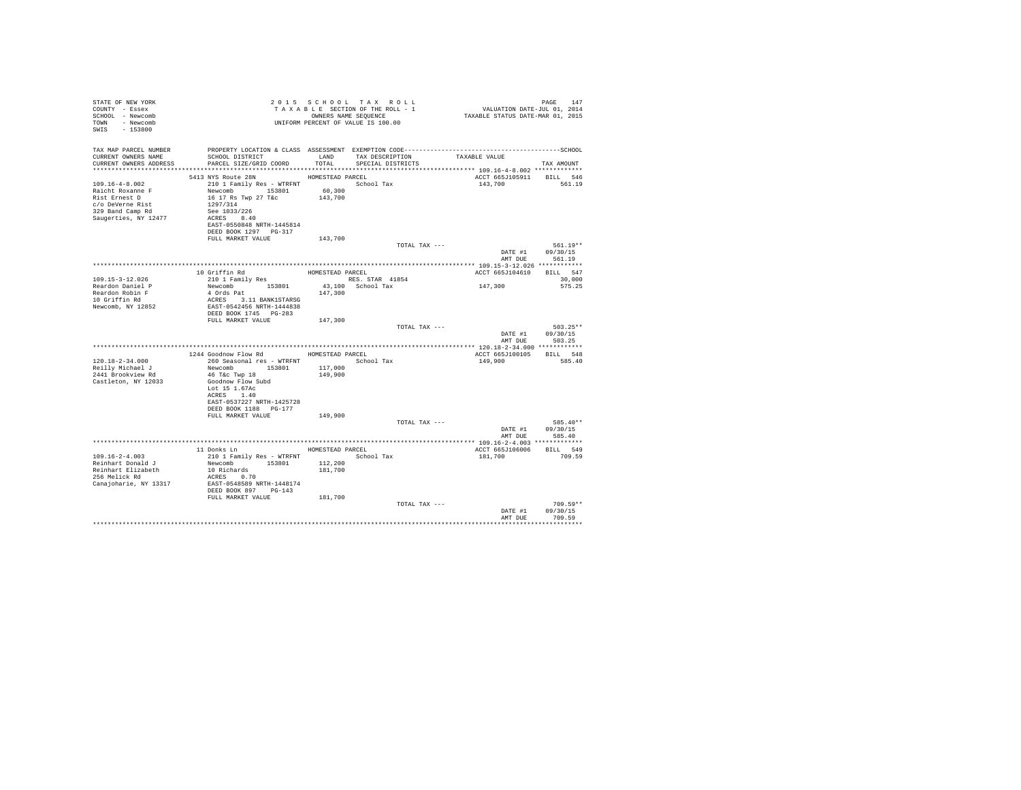| STATE OF NEW YORK<br>COUNTY - Essex<br>SCHOOL - Newcomb<br>TOWN - Newcomb<br>SWIS<br>$-153800$                            |                                                                                                                                                                                                                                             |                    | 2015 SCHOOL TAX ROLL<br>TAXABLE SECTION OF THE ROLL - 1<br>OWNERS NAME SEOUENCE<br>UNIFORM PERCENT OF VALUE IS 100.00 | /41<br>VALUATION DATE-JUL 01, 2014<br>TAXABLE STATUS DATE-MAR 01, 2015 | PAGE<br>147                                    |
|---------------------------------------------------------------------------------------------------------------------------|---------------------------------------------------------------------------------------------------------------------------------------------------------------------------------------------------------------------------------------------|--------------------|-----------------------------------------------------------------------------------------------------------------------|------------------------------------------------------------------------|------------------------------------------------|
| TAX MAP PARCEL NUMBER<br>CURRENT OWNERS NAME<br>CURRENT OWNERS ADDRESS . PARCEL SIZE/GRID COORD . TOTAL SPECIAL DISTRICTS | SCHOOL DISTRICT TAND TAX DESCRIPTION                                                                                                                                                                                                        |                    |                                                                                                                       | TAXABLE VALUE                                                          | TAX AMOUNT                                     |
| 109.16-4-8.002<br>Raicht Roxanne F<br>Rist Ernest D<br>c/o DeVerne Rist<br>329 Band Camp Rd<br>Saugerties, NY 12477       | 5413 NYS Route 28N HOMESTEAD PARCEL<br>210 1 Family Res - WTRFNT School Tax<br>210 1 Family Response 153801 60,300<br>Newcomb 153801 60,300<br>1297/314<br>See 1033/226<br>ACRES 8.40<br>EAST-0550848 NRTH-1445814<br>DEED BOOK 1297 PG-317 |                    |                                                                                                                       | ACCT 665J105911 BILL 546<br>143,700                                    | 561.19                                         |
|                                                                                                                           | FULL MARKET VALUE                                                                                                                                                                                                                           | 143,700            | TOTAL TAX ---                                                                                                         |                                                                        | 561.19**<br>DATE #1 09/30/15                   |
|                                                                                                                           | 10 Griffin Rd<br>210 1 Family Res                                                                                                                                                                                                           | HOMESTEAD PARCEL   |                                                                                                                       | AMT DUE<br>ACCT 665J104610 BILL 547                                    | 561.19                                         |
| 109.15-3-12.026<br>Reardon Daniel P<br>Reardon Robin F<br>10 Griffin Rd<br>Newcomb, NY 12852                              | $\begin{tabular}{c} {\bf Newcomb} \\ 153801 \end{tabular}$<br>4 Ords Pat<br>ACRES 3.11 BANK1STARSG<br>EAST-0542456 NRTH-1444838<br>DEED BOOK 1745 PG-283                                                                                    | 147,300            | RES. STAR 41854<br>43,100 School Tax                                                                                  | 147,300                                                                | 30,000<br>575.25                               |
|                                                                                                                           | FULL MARKET VALUE                                                                                                                                                                                                                           | 147,300            | TOTAL TAX ---                                                                                                         |                                                                        | $503.25**$<br>DATE #1 09/30/15                 |
|                                                                                                                           |                                                                                                                                                                                                                                             |                    |                                                                                                                       | AMT DUE                                                                | 503.25                                         |
| $120.18 - 2 - 34.000$<br>Reilly Michael J<br>2441 Brookview Rd<br>Castleton, NY 12033                                     | 1244 Goodnow Flow Rd MESTEAD PARCEL<br>260 Seasonal res - WTRFNT<br>Newcomb 153801<br>46 T&c Twp 18<br>Goodnow Flow Subd<br>Lot 15 1.67Ac<br>ACRES 1.40<br>EAST-0537227 NRTH-1425728<br>DEED BOOK 1188 PG-177                               | 117,000<br>149,900 | School Tax                                                                                                            | ACCT 665J100105 BILL 548<br>149,900                                    | 585.40                                         |
|                                                                                                                           | FULL MARKET VALUE                                                                                                                                                                                                                           | 149,900            | TOTAL TAX ---                                                                                                         |                                                                        | 585.40**<br>DATE #1 09/30/15<br>AMT DUE 585.40 |
|                                                                                                                           |                                                                                                                                                                                                                                             |                    |                                                                                                                       |                                                                        |                                                |
| 109.16-2-4.003<br>Reinhart Donald J<br>Reinhart Elizabeth<br>256 Melick Rd<br>Canajoharie, NY 13317                       | 11 Donks Ln MOMESTEAD PARCEL<br>210 1 Family Res - WTRFNT<br>Newcomb 153801 112,200<br>10 Richards 181,700<br>ACRES 0.70<br>EAST-0548589 NRTH-1448174<br>DEED BOOK 897 PG-143                                                               |                    | School Tax                                                                                                            | ACCT 665J106006<br>181,700                                             | BILL 549<br>709.59                             |
|                                                                                                                           | FULL MARKET VALUE                                                                                                                                                                                                                           | 181,700            | TOTAL TAX ---                                                                                                         | DATE #1<br>AMT DHR                                                     | $709.59**$<br>09/30/15<br>709.59               |
|                                                                                                                           |                                                                                                                                                                                                                                             |                    |                                                                                                                       |                                                                        |                                                |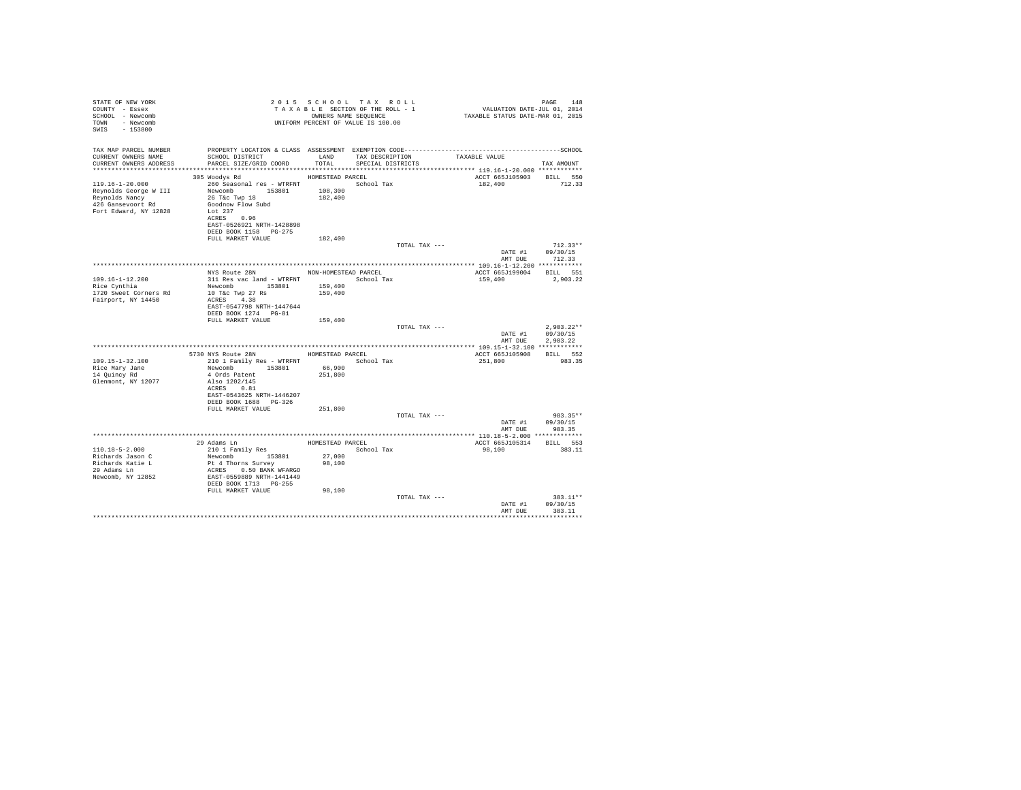| STATE OF NEW YORK<br>COUNTY - Essex<br>SCHOOL - Newcomb<br>TOWN - Newcomb<br>SWIS<br>$-153800$           |                                                                                                                                                                  |                      | 2015 SCHOOL TAX ROLL<br>TAXABLE SECTION OF THE ROLL - 1<br>OWNERS NAME SEOUENCE<br>UNIFORM PERCENT OF VALUE IS 100.00 |               | PAGE 148<br>2014 VALUATION DATE-JUL<br>2015 TAXABLE STATUS DATE-MAR | PAGE<br>148                                      |
|----------------------------------------------------------------------------------------------------------|------------------------------------------------------------------------------------------------------------------------------------------------------------------|----------------------|-----------------------------------------------------------------------------------------------------------------------|---------------|---------------------------------------------------------------------|--------------------------------------------------|
| TAX MAP PARCEL NUMBER<br>CURRENT OWNERS NAME<br>CURRENT OWNERS ADDRESS                                   | SCHOOL DISTRICT<br>PARCEL SIZE/GRID COORD TOTAL                                                                                                                  | LAND                 | TAX DESCRIPTION<br>SPECIAL DISTRICTS                                                                                  |               | TAXABLE VALUE                                                       | TAX AMOUNT                                       |
|                                                                                                          | 305 Woodys Rd                                                                                                                                                    | HOMESTEAD PARCEL     |                                                                                                                       |               | ACCT 665J105903 BILL 550                                            |                                                  |
| 119.16-1-20.000<br>Reynolds George W III<br>Reynolds Nancy<br>426 Gansevoort Rd<br>Fort Edward, NY 12828 | 260 Seasonal res - WTRFNT<br>Newcomb 153801<br>26 T&c Twp 18<br>Goodnow Flow Subd<br>Let 237<br>ACRES 0.96<br>EAST-0526921 NRTH-1428898<br>DEED BOOK 1158 PG-275 | 108,300<br>182,400   | School Tax                                                                                                            |               | 182,400                                                             | 712.33                                           |
|                                                                                                          | FULL MARKET VALUE                                                                                                                                                | 182,400              |                                                                                                                       |               |                                                                     |                                                  |
|                                                                                                          |                                                                                                                                                                  |                      |                                                                                                                       | TOTAL TAX --- |                                                                     | $712.33**$<br>DATE #1 09/30/15<br>AMT DUE 712.33 |
|                                                                                                          |                                                                                                                                                                  |                      |                                                                                                                       |               |                                                                     |                                                  |
|                                                                                                          | NYS Route 28N                                                                                                                                                    | NON-HOMESTEAD PARCEL |                                                                                                                       |               | ACCT 665J199004 BILL 551                                            |                                                  |
| $109.16 - 1 - 12.200$<br>Rice Cynthia                                                                    | 311 Res vac land - WTRFNT School Tax<br>Newcomb 153801                                                                                                           | 159,400              |                                                                                                                       |               | 159,400                                                             | 2.903.22                                         |
| 1720 Sweet Corners Rd                                                                                    | 10 T&c Twp 27 Rs                                                                                                                                                 | 159,400              |                                                                                                                       |               |                                                                     |                                                  |
| Fairport, NY 14450                                                                                       | ACRES 4.38<br>EAST-0547798 NRTH-1447644<br>DEED BOOK 1274 PG-81                                                                                                  |                      |                                                                                                                       |               |                                                                     |                                                  |
|                                                                                                          | FULL MARKET VALUE                                                                                                                                                | 159,400              |                                                                                                                       |               |                                                                     |                                                  |
|                                                                                                          |                                                                                                                                                                  |                      |                                                                                                                       | TOTAL TAX --- | DATE #1<br>AMT DUE                                                  | $2.903.22**$<br>09/30/15<br>2.903.22             |
|                                                                                                          |                                                                                                                                                                  |                      |                                                                                                                       |               |                                                                     |                                                  |
|                                                                                                          | 5730 NYS Route 28N HOMESTEAD PARCEL                                                                                                                              |                      |                                                                                                                       |               | ACCT 665J105908                                                     | BILL 552                                         |
| $109.15 - 1 - 32.100$<br>Rice Mary Jane                                                                  | 210 1 Family Res - WTRFNT School Tax<br>Newcomb 153801                                                                                                           | 66,900               |                                                                                                                       |               | 251,800                                                             | 983.35                                           |
| 14 Quincy Rd                                                                                             | 4 Ords Patent                                                                                                                                                    | 251,800              |                                                                                                                       |               |                                                                     |                                                  |
| Glenmont, NY 12077                                                                                       | Also 1202/145<br>ACRES 0.81<br>EAST-0543625 NRTH-1446207<br>DEED BOOK 1688 PG-326                                                                                |                      |                                                                                                                       |               |                                                                     |                                                  |
|                                                                                                          | FULL MARKET VALUE                                                                                                                                                | 251,800              |                                                                                                                       |               |                                                                     |                                                  |
|                                                                                                          |                                                                                                                                                                  |                      |                                                                                                                       | TOTAL TAX --- | AMT DUE                                                             | 983.35**<br>DATE #1 09/30/15<br>983.35           |
|                                                                                                          |                                                                                                                                                                  |                      |                                                                                                                       |               |                                                                     |                                                  |
|                                                                                                          | 29 Adams Ln                                                                                                                                                      |                      | HOMESTEAD PARCEL                                                                                                      |               | ACCT 665J105314                                                     | BILL 553                                         |
| $110.18 - 5 - 2.000$                                                                                     | 210 1 Family Res                                                                                                                                                 |                      | School Tax                                                                                                            |               | 98,100                                                              | 383.11                                           |
| Richards Jason C<br>Richards Katie L                                                                     | Newcomb 153801<br>Pt 4 Thorns Survey                                                                                                                             | 27,000<br>98,100     |                                                                                                                       |               |                                                                     |                                                  |
| 29 Adams Ln                                                                                              | ACRES 0.50 BANK WFARGO                                                                                                                                           |                      |                                                                                                                       |               |                                                                     |                                                  |
| Newcomb, NY 12852                                                                                        | EAST-0559889 NRTH-1441449<br>DEED BOOK 1713 PG-255                                                                                                               |                      |                                                                                                                       |               |                                                                     |                                                  |
|                                                                                                          | FULL MARKET VALUE                                                                                                                                                | 98,100               |                                                                                                                       | TOTAL TAX --- |                                                                     | 383.11**                                         |
|                                                                                                          |                                                                                                                                                                  |                      |                                                                                                                       |               | DATE #1<br>AMT DUR                                                  | 09/30/15<br>383.11                               |
|                                                                                                          |                                                                                                                                                                  |                      |                                                                                                                       |               |                                                                     |                                                  |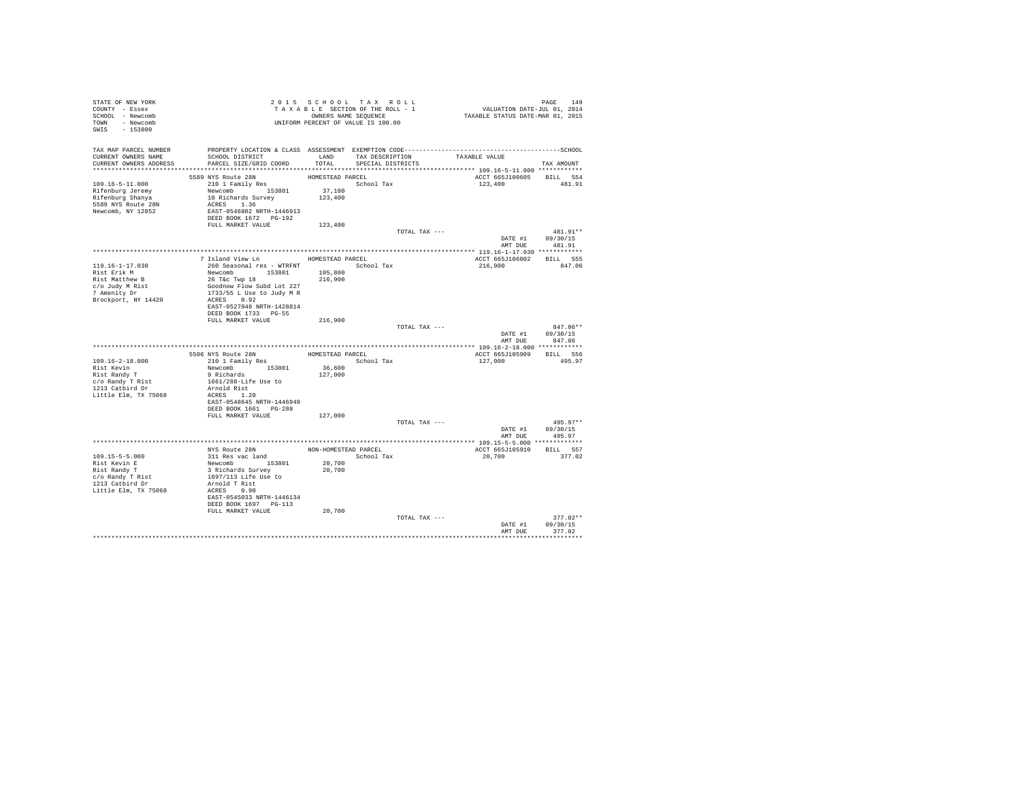| STATE OF NEW YORK                   | 2015 SCHOOL TAXE ROLL<br>TAXABLE SECTION OF THE ROLL - 1<br>OWNERS NAME SEQUENCE<br>UNIFORM PERCENT OF VALUE IS 100.00                                                                                                            |                  |                                                                                        |                          |                                    |
|-------------------------------------|-----------------------------------------------------------------------------------------------------------------------------------------------------------------------------------------------------------------------------------|------------------|----------------------------------------------------------------------------------------|--------------------------|------------------------------------|
| COUNTY - Essex                      |                                                                                                                                                                                                                                   |                  |                                                                                        |                          |                                    |
| SCHOOL - Newcomb                    |                                                                                                                                                                                                                                   |                  |                                                                                        |                          |                                    |
| TOWN - Newcomb                      |                                                                                                                                                                                                                                   |                  |                                                                                        |                          |                                    |
| SWIS - 153800                       |                                                                                                                                                                                                                                   |                  |                                                                                        |                          |                                    |
|                                     |                                                                                                                                                                                                                                   |                  |                                                                                        |                          |                                    |
|                                     |                                                                                                                                                                                                                                   |                  |                                                                                        |                          |                                    |
| CURRENT OWNERS NAME                 | TAX MAP PARCEL NUMBER PROPERTY LOCATION & CLASS ASSESSMENT EXEMPTION CODE-----------------------------------SCHOOL<br>SCHOOL DISTRICT                       LAND        TAX DESCRIPTION                 TAXABLE VALUE             |                  |                                                                                        |                          |                                    |
| CURRENT OWNERS ADDRESS              | PARCEL SIZE/GRID COORD                                                                                                                                                                                                            | TOTAL            | SPECIAL DISTRICTS                                                                      |                          | TAX AMOUNT                         |
|                                     |                                                                                                                                                                                                                                   |                  |                                                                                        |                          |                                    |
|                                     | 5589 NYS Route 28N                                                                                                                                                                                                                | HOMESTEAD PARCEL |                                                                                        | ACCT 665J100605 BILL 554 |                                    |
|                                     |                                                                                                                                                                                                                                   |                  | School Tax                                                                             | 123,400 481.91           |                                    |
|                                     |                                                                                                                                                                                                                                   |                  |                                                                                        |                          |                                    |
|                                     |                                                                                                                                                                                                                                   |                  |                                                                                        |                          |                                    |
| 5589 NYS Route 28N                  |                                                                                                                                                                                                                                   |                  |                                                                                        |                          |                                    |
| Newcomb, NY 12852                   | ACRES 1.36<br>EAST-0546802 NRTH-1446913                                                                                                                                                                                           |                  |                                                                                        |                          |                                    |
|                                     | DEED BOOK 1672 PG-192                                                                                                                                                                                                             |                  |                                                                                        |                          |                                    |
|                                     | FULL MARKET VALUE 123,400                                                                                                                                                                                                         |                  |                                                                                        |                          |                                    |
|                                     |                                                                                                                                                                                                                                   |                  | TOTAL TAX ---                                                                          |                          | 481.91**                           |
|                                     |                                                                                                                                                                                                                                   |                  |                                                                                        | DATE #1 09/30/15         |                                    |
|                                     |                                                                                                                                                                                                                                   |                  |                                                                                        | AMT DUE 481.91           |                                    |
|                                     |                                                                                                                                                                                                                                   |                  |                                                                                        |                          |                                    |
|                                     | 7 Island View Ln MOMESTEAD PARCEL                                                                                                                                                                                                 |                  |                                                                                        | ACCT 665J106002 BILL 555 |                                    |
| 119.16-1-17.030                     | 260 Seasonal res - WTRFNT<br>Newcomb 195801 105,800<br>266 Seasonal res - WTRFNT<br>26 Tác Twp 18<br>266 Tác Twp 18<br>1937/55 L Use to Judy M R<br>ACRES - 0.02 - 1930 M R<br>ACRES - 0.02 - 1930 M R<br>ACRES - 0.02 - 1930 M R |                  | School Tax                                                                             | 216,900 847.06           |                                    |
| Rist Erik M<br>Rist Matthew B       |                                                                                                                                                                                                                                   |                  |                                                                                        |                          |                                    |
|                                     |                                                                                                                                                                                                                                   |                  |                                                                                        |                          |                                    |
| c/o Judy M Rist<br>7 Amenity Dr     |                                                                                                                                                                                                                                   |                  |                                                                                        |                          |                                    |
|                                     |                                                                                                                                                                                                                                   |                  |                                                                                        |                          |                                    |
| Brockport, NY 14420                 |                                                                                                                                                                                                                                   |                  |                                                                                        |                          |                                    |
|                                     | EAST-0527948 NRTH-1428814                                                                                                                                                                                                         |                  |                                                                                        |                          |                                    |
|                                     | DEED BOOK 1733 PG-55                                                                                                                                                                                                              |                  |                                                                                        |                          |                                    |
|                                     | FULL MARKET VALUE                                                                                                                                                                                                                 | 216,900          |                                                                                        |                          | $847.06**$                         |
|                                     |                                                                                                                                                                                                                                   |                  | TOTAL TAX ---                                                                          | DATE #1 09/30/15         |                                    |
|                                     |                                                                                                                                                                                                                                   |                  |                                                                                        |                          | AMT DUE 847.06                     |
|                                     |                                                                                                                                                                                                                                   |                  |                                                                                        |                          |                                    |
|                                     |                                                                                                                                                                                                                                   |                  | HOMESTEAD PARCEL                                                                       | ACCT 665J105909 BILL 556 |                                    |
| 109.16-2-18.000                     | 5506 NYS Route 28N HOMESTEAD P<br>210 1 Family Res<br>Newcomb 153801 36,600<br>9 Richards<br>9 Richards                                                                                                                           |                  | School Tax                                                                             | 127,000 495.97           |                                    |
|                                     |                                                                                                                                                                                                                                   |                  |                                                                                        |                          |                                    |
| Rist Kevin<br>Rist Randy T          |                                                                                                                                                                                                                                   |                  |                                                                                        |                          |                                    |
|                                     | 1661/288-Life Use to                                                                                                                                                                                                              |                  |                                                                                        |                          |                                    |
| c/o Randy T Rist<br>1213 Catbird Dr | Arnold Rist                                                                                                                                                                                                                       |                  |                                                                                        |                          |                                    |
| Little Elm, TX 75068                | ACRES 1.20                                                                                                                                                                                                                        |                  |                                                                                        |                          |                                    |
|                                     | EAST-0548645 NRTH-1446949                                                                                                                                                                                                         |                  |                                                                                        |                          |                                    |
|                                     | DEED BOOK 1661 PG-288                                                                                                                                                                                                             |                  |                                                                                        |                          |                                    |
|                                     | FULL MARKET VALUE                                                                                                                                                                                                                 | 127,000          |                                                                                        |                          |                                    |
|                                     |                                                                                                                                                                                                                                   |                  | TOTAL TAX ---                                                                          |                          | $495.97**$                         |
|                                     |                                                                                                                                                                                                                                   |                  |                                                                                        | DATE #1 09/30/15         |                                    |
|                                     |                                                                                                                                                                                                                                   |                  |                                                                                        | AMT DUE                  | 495.97                             |
|                                     |                                                                                                                                                                                                                                   |                  |                                                                                        |                          |                                    |
|                                     |                                                                                                                                                                                                                                   |                  |                                                                                        |                          |                                    |
| 109.15-5-5.000                      |                                                                                                                                                                                                                                   |                  | $\begin{minipage}{.4\linewidth} \textbf{School Tax} \\ \textbf{20,700} \end{minipage}$ | 20,700 377.02            |                                    |
| Rist Kevin E                        |                                                                                                                                                                                                                                   |                  |                                                                                        |                          |                                    |
| Rist Randy T                        |                                                                                                                                                                                                                                   | 20,700           |                                                                                        |                          |                                    |
| Rist Randy<br>c/o Randy T Rist      |                                                                                                                                                                                                                                   |                  |                                                                                        |                          |                                    |
| 1213 Catbird Dr                     |                                                                                                                                                                                                                                   |                  |                                                                                        |                          |                                    |
| Little Elm, TX 75068                | ACRES 0.90                                                                                                                                                                                                                        |                  |                                                                                        |                          |                                    |
|                                     | EAST-0545033 NRTH-1446134                                                                                                                                                                                                         |                  |                                                                                        |                          |                                    |
|                                     | DEED BOOK 1697 PG-113                                                                                                                                                                                                             |                  |                                                                                        |                          |                                    |
|                                     | FULL MARKET VALUE                                                                                                                                                                                                                 | 20,700           |                                                                                        |                          |                                    |
|                                     |                                                                                                                                                                                                                                   |                  | TOTAL TAX ---                                                                          |                          | $377.02**$                         |
|                                     |                                                                                                                                                                                                                                   |                  |                                                                                        |                          | DATE #1 09/30/15<br>AMT DUE 377.02 |
|                                     |                                                                                                                                                                                                                                   |                  |                                                                                        |                          |                                    |
|                                     |                                                                                                                                                                                                                                   |                  |                                                                                        |                          |                                    |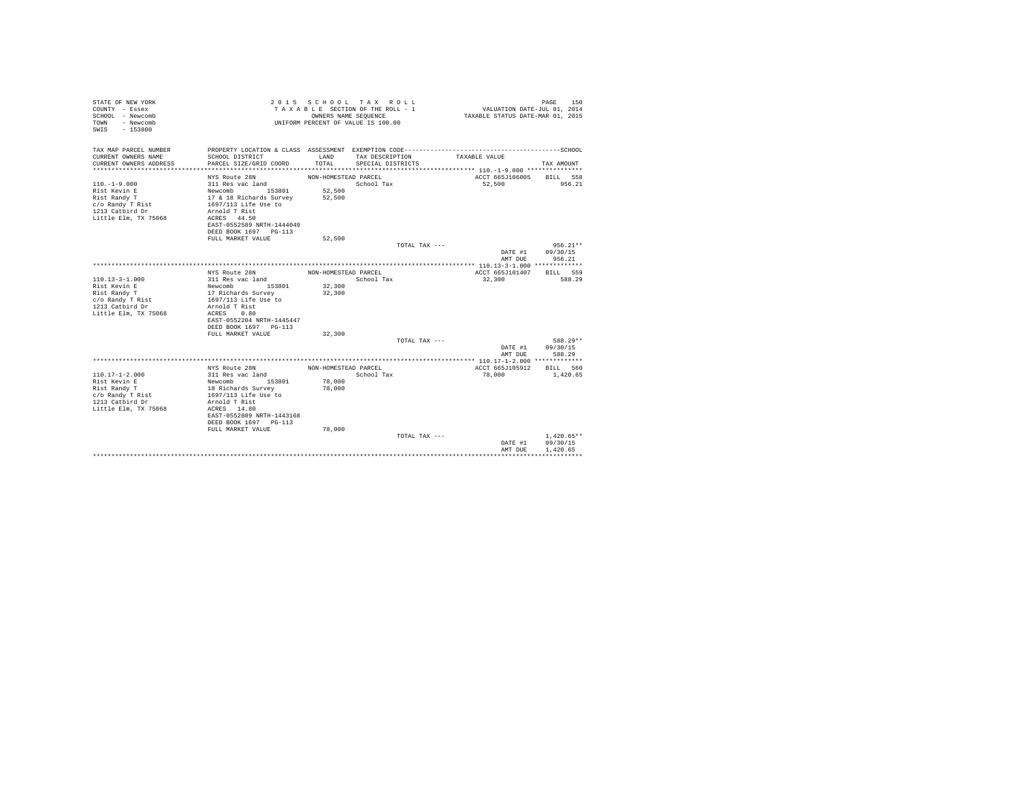| STATE OF NEW YORK<br>COUNTY - Essex<br>SCHOOL - Newcomb<br>- Newcomb<br>TOWN<br>$-153800$<br>SWTS |                                            | OWNERS NAME SEQUENCE | 2015 SCHOOL TAX ROLL<br>TAXABLE SECTION OF THE ROLL - 1<br>UNIFORM PERCENT OF VALUE IS 100.00 |               | VALUATION DATE-JUL 01, 2014<br>TAXABLE STATUS DATE-MAR 01, 2015 | 150<br>PAGE          |
|---------------------------------------------------------------------------------------------------|--------------------------------------------|----------------------|-----------------------------------------------------------------------------------------------|---------------|-----------------------------------------------------------------|----------------------|
| TAX MAP PARCEL NUMBER<br>CURRENT OWNERS NAME                                                      | SCHOOL DISTRICT                            | LAND                 | TAX DESCRIPTION                                                                               |               | TAXABLE VALUE                                                   |                      |
| CURRENT OWNERS ADDRESS                                                                            | PARCEL SIZE/GRID COORD                     | TOTAL.               | SPECIAL DISTRICTS                                                                             |               |                                                                 | TAX AMOUNT           |
|                                                                                                   | NYS Route 28N                              | NON-HOMESTEAD PARCEL |                                                                                               |               | ACCT 665J106005                                                 | BILL 558             |
| $110. -1 - 9.000$                                                                                 | 311 Res vac land                           |                      | School Tax                                                                                    |               | 52,500                                                          | 956.21               |
| Rist Kevin E                                                                                      | Newcomb 153801                             | 52,500               |                                                                                               |               |                                                                 |                      |
| Rist Randy T                                                                                      | 17 & 18 Richards Survey                    | 52,500               |                                                                                               |               |                                                                 |                      |
| c/o Randy T Rist                                                                                  | 1697/113 Life Use to                       |                      |                                                                                               |               |                                                                 |                      |
| 1213 Catbird Dr                                                                                   | Arnold T Rist                              |                      |                                                                                               |               |                                                                 |                      |
| Little Elm, TX 75068                                                                              | ACRES 44.50                                |                      |                                                                                               |               |                                                                 |                      |
|                                                                                                   | EAST-0552589 NRTH-1444049                  |                      |                                                                                               |               |                                                                 |                      |
|                                                                                                   | DEED BOOK 1697 PG-113<br>FULL MARKET VALUE | 52,500               |                                                                                               |               |                                                                 |                      |
|                                                                                                   |                                            |                      |                                                                                               | TOTAL TAX --- |                                                                 | $956.21**$           |
|                                                                                                   |                                            |                      |                                                                                               |               | DATE #1                                                         | 09/30/15             |
|                                                                                                   |                                            |                      |                                                                                               |               | AMT DUE                                                         | 956.21               |
|                                                                                                   |                                            |                      |                                                                                               |               |                                                                 |                      |
|                                                                                                   | NYS Route 28N                              | NON-HOMESTEAD PARCEL |                                                                                               |               | ACCT 665J101407                                                 | RTLL 559             |
| $110.13 - 3 - 1.000$                                                                              | 311 Res vac land                           |                      | School Tax                                                                                    |               | 32,300                                                          | 588.29               |
| Rist Kevin E                                                                                      | Newcomb 153801                             | 32,300               |                                                                                               |               |                                                                 |                      |
| Rist Randy T                                                                                      | 17 Richards Survey                         | 32,300               |                                                                                               |               |                                                                 |                      |
| c/o Randy T Rist                                                                                  | 1697/113 Life Use to                       |                      |                                                                                               |               |                                                                 |                      |
| 1213 Catbird Dr                                                                                   | Arnold T Rist                              |                      |                                                                                               |               |                                                                 |                      |
| Little Elm, TX 75068                                                                              | ACRES<br>0.80                              |                      |                                                                                               |               |                                                                 |                      |
|                                                                                                   | EAST-0552204 NRTH-1445447                  |                      |                                                                                               |               |                                                                 |                      |
|                                                                                                   | DEED BOOK 1697 PG-113                      |                      |                                                                                               |               |                                                                 |                      |
|                                                                                                   | FULL MARKET VALUE                          | 32,300               |                                                                                               |               |                                                                 | 588.29**             |
|                                                                                                   |                                            |                      |                                                                                               | TOTAL TAX --- |                                                                 |                      |
|                                                                                                   |                                            |                      |                                                                                               |               | DATE #1<br>AMT DUE                                              | 09/30/15<br>588.29   |
|                                                                                                   |                                            |                      |                                                                                               |               |                                                                 |                      |
|                                                                                                   | NYS Route 28N                              | NON-HOMESTEAD PARCEL |                                                                                               |               | ACCT 665J105912                                                 | BILL 560             |
| $110.17 - 1 - 2.000$                                                                              | 311 Res vac land                           |                      | School Tax                                                                                    |               | 78,000                                                          | 1,420.65             |
| Rist Kevin E                                                                                      | 153801<br>Newcomb                          | 78,000               |                                                                                               |               |                                                                 |                      |
| Rist Randy T                                                                                      | 18 Richards Survey                         | 78,000               |                                                                                               |               |                                                                 |                      |
| c/o Randy T Rist                                                                                  | 1697/113 Life Use to                       |                      |                                                                                               |               |                                                                 |                      |
| 1213 Catbird Dr                                                                                   | Arnold T Rist                              |                      |                                                                                               |               |                                                                 |                      |
| Little Elm, TX 75068                                                                              | ACRES 14.80                                |                      |                                                                                               |               |                                                                 |                      |
|                                                                                                   | EAST-0552889 NRTH-1443168                  |                      |                                                                                               |               |                                                                 |                      |
|                                                                                                   | DEED BOOK 1697 PG-113                      |                      |                                                                                               |               |                                                                 |                      |
|                                                                                                   | FULL MARKET VALUE                          | 78,000               |                                                                                               |               |                                                                 |                      |
|                                                                                                   |                                            |                      |                                                                                               | TOTAL TAX --- |                                                                 | $1.420.65**$         |
|                                                                                                   |                                            |                      |                                                                                               |               | DATE #1<br>AMT DUE                                              | 09/30/15<br>1,420.65 |
|                                                                                                   |                                            |                      |                                                                                               |               |                                                                 |                      |
|                                                                                                   |                                            |                      |                                                                                               |               |                                                                 |                      |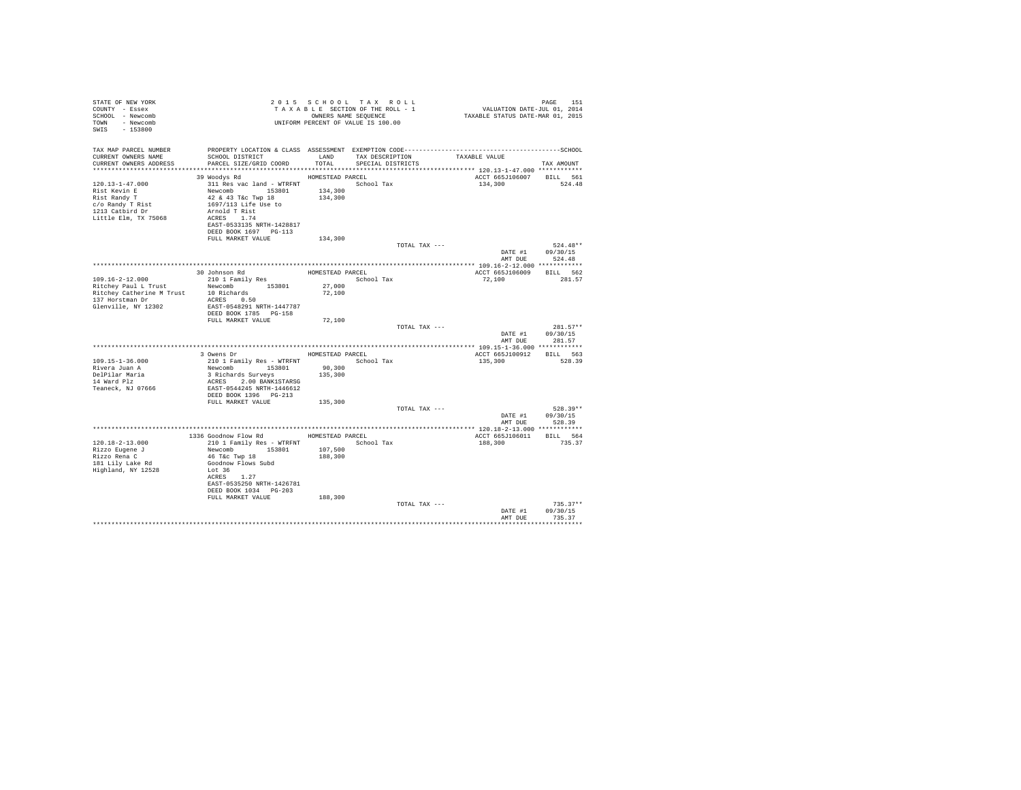| STATE OF NEW YORK<br>COUNTY - Essex<br>SCHOOL - Newcomb<br>TOWN - Newcomb<br>SWIS - 153800                           | OWNERS NAME SEQUENCE<br>UNIFORM PERCENT OF VALUE IS 100.00                                                                                                                                                                     |                                                   | 2015 SCHOOL TAX ROLL<br>TAXABLE SECTION OF THE ROLL - 1<br>OWNERS NAME SEQUENCE |               | PAGE 151<br>VALUATION DATE-JUL 01, 2014<br>TAXABLE STATUS DATE-MAR 01, 2015 |                                                  |
|----------------------------------------------------------------------------------------------------------------------|--------------------------------------------------------------------------------------------------------------------------------------------------------------------------------------------------------------------------------|---------------------------------------------------|---------------------------------------------------------------------------------|---------------|-----------------------------------------------------------------------------|--------------------------------------------------|
| TAX MAP PARCEL NUMBER<br>CURRENT OWNERS NAME<br>CURRENT OWNERS ADDRESS                                               | SCHOOL DISTRICT<br>PARCEL SIZE/GRID COORD                                                                                                                                                                                      | LAND<br>TOTAL                                     | TAX DESCRIPTION<br>SPECIAL DISTRICTS                                            |               | TAXABLE VALUE                                                               | TAX AMOUNT                                       |
| 120.13-1-47.000<br>Rist Kevin E<br>Rist Randy T<br>c/o Randy T Rist<br>1213 Catbird Dr<br>Little Elm, TX 75068       | 39 Woodys Rd<br>311 Res vac land - WTRFNT School Tax<br>Newcomb 153801<br>42 & 43 T&c Twp 18<br>1697/113 Life Use to<br>Arnold T Rist<br>ACRES 1.74<br>EAST-0533135 NRTH-1428817<br>DEED BOOK 1697 PG-113<br>FULL MARKET VALUE | HOMESTEAD PARCEL<br>134,300<br>134,300<br>134,300 |                                                                                 |               | ACCT 665J106007 BILL 561<br>134,300                                         | 524.48                                           |
|                                                                                                                      |                                                                                                                                                                                                                                |                                                   |                                                                                 | TOTAL TAX --- | AMT DUE                                                                     | $524.48**$<br>DATE #1 09/30/15<br>524.48         |
|                                                                                                                      |                                                                                                                                                                                                                                |                                                   |                                                                                 |               |                                                                             |                                                  |
| $109.16 - 2 - 12.000$<br>Ritchey Paul L Trust<br>Ritchey Catherine M Trust<br>137 Horstman Dr<br>Glenville, NY 12302 | 30 Johnson Rd<br>210 1 Family Res<br>Newcomb 153801<br>10 Richards<br>ACRES 0.50<br>EAST-0548291 NRTH-1447787<br>DEED BOOK 1785 PG-158<br>FULL MARKET VALUE                                                                    | HOMESTEAD PARCEL<br>27,000<br>72,100              | School Tax                                                                      |               | ACCT 665J106009 BILL 562<br>72,100                                          | 281.57                                           |
|                                                                                                                      |                                                                                                                                                                                                                                | 72,100                                            |                                                                                 | TOTAL TAX --- | DATE #1                                                                     | $281.57**$<br>09/30/15<br>AMT DUE 281.57         |
|                                                                                                                      |                                                                                                                                                                                                                                |                                                   |                                                                                 |               |                                                                             |                                                  |
| 109.15-1-36.000<br>Rivera Juan A<br>DelPilar Maria<br>14 Ward Plz<br>Teaneck, NJ 07666                               | 3 Owens Dr<br>210 1 Family Res - WTRFNT<br>Newcomb 153801<br>3 Richards Surveys<br>ACRES 2.00 BANK1STARSG<br>EAST-0544245 NRTH-1446612<br>DEED BOOK 1396 PG-213                                                                | HOMESTEAD PARCEL<br>90,300<br>135,300             | School Tax                                                                      |               | ACCT 665J100912 BILL 563<br>135,300                                         | 528.39                                           |
|                                                                                                                      | FULL MARKET VALUE                                                                                                                                                                                                              | 135,300                                           |                                                                                 |               |                                                                             |                                                  |
|                                                                                                                      |                                                                                                                                                                                                                                |                                                   |                                                                                 | TOTAL TAX --- |                                                                             | $528.39**$<br>DATE #1 09/30/15<br>AMT DUE 528.39 |
|                                                                                                                      |                                                                                                                                                                                                                                |                                                   |                                                                                 |               |                                                                             |                                                  |
| 120.18-2-13.000<br>Rizzo Eugene J<br>Rizzo Rena C<br>181 Lily Lake Rd<br>Highland, NY 12528                          | 1336 Goodnow Flow Rd HOMESTEAD PARCEL<br>210 1 Family Res - WTRFNT<br>Newcomb 153801<br>46 T&C Twp 18<br>Goodnow Flows Subd<br>Lot 36<br>ACRES 1.27<br>EAST-0535250 NRTH-1426781<br>DEED BOOK 1034 PG-203                      | 107,500<br>188,300                                | School Tax                                                                      |               | ACCT 665J106011 BILL 564<br>188,300                                         | 735.37                                           |
|                                                                                                                      | FULL MARKET VALUE                                                                                                                                                                                                              | 188,300                                           |                                                                                 | TOTAL TAX --- | DATE #1<br>AMT DUE                                                          | $735.37**$<br>09/30/15<br>735.37                 |
|                                                                                                                      |                                                                                                                                                                                                                                |                                                   |                                                                                 |               |                                                                             |                                                  |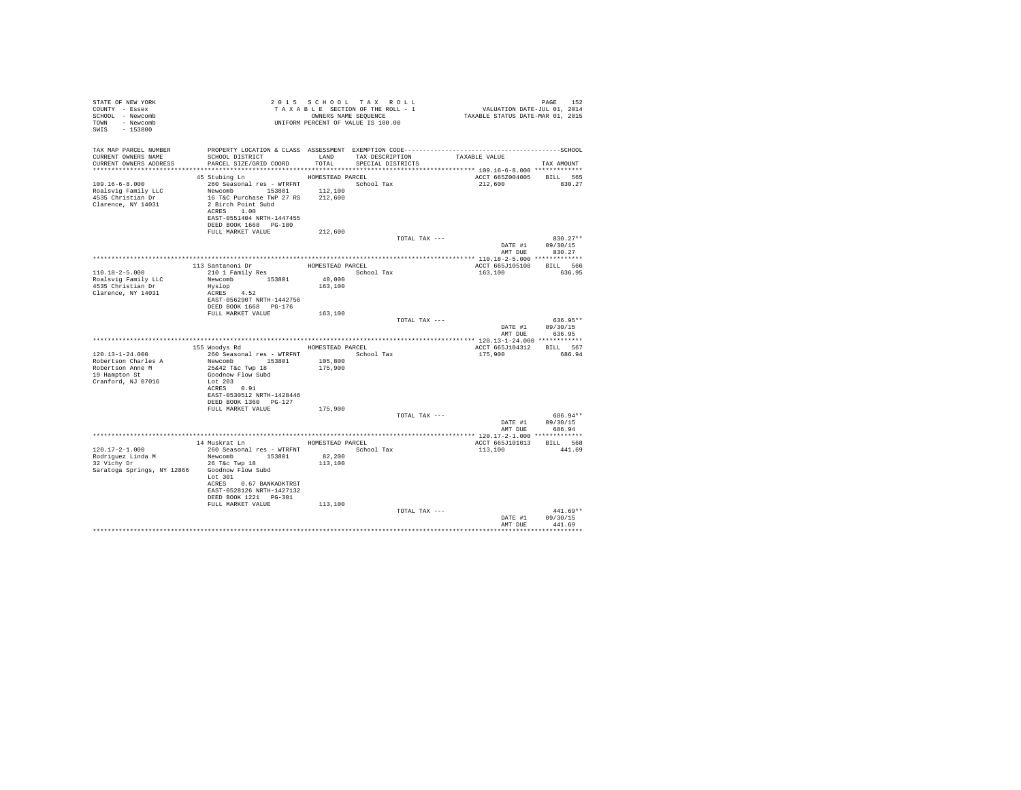| STATE OF NEW YORK<br>COUNTY - Essex<br>SCHOOL - Newcomb<br>TOWN - Newcomb<br>SWIS - 153800         | 2013 Star Uni 1. The SECTION OF THE ROLL - 1<br>TAXABLE SECTION OF THE ROLL - 1<br>UNIFORM PERCENT OF VALUE IS 100.00                                                                               |                                       |                   |                                    | PAGE 152<br>VALUATION DATE-JUL 01, 2014<br>TAXABLE STATUS DATE-MAR 01, 2015 |                                        |
|----------------------------------------------------------------------------------------------------|-----------------------------------------------------------------------------------------------------------------------------------------------------------------------------------------------------|---------------------------------------|-------------------|------------------------------------|-----------------------------------------------------------------------------|----------------------------------------|
| TAX MAP PARCEL NUMBER<br>CURRENT OWNERS NAME<br>CURRENT OWNERS ADDRESS                             | SCHOOL DISTRICT<br>PARCEL SIZE/GRID COORD                                                                                                                                                           | TOTAL                                 | SPECIAL DISTRICTS | LAND TAX DESCRIPTION TAXABLE VALUE |                                                                             | TAX AMOUNT                             |
|                                                                                                    |                                                                                                                                                                                                     |                                       |                   |                                    |                                                                             |                                        |
| $109.16 - 6 - 8.000$<br>Roalsvig Family LLC<br>4535 Christian Dr<br>Clarence, NY 14031             | 45 Stubing Ln<br>260 Seasonal res - WTRFNT<br>Newcomb 153801 112,100<br>16 T&C Purchase TWP 27 RS 212,600<br>2 Birch Point Subd<br>ACRES 1.00<br>EAST-0551404 NRTH-1447455<br>DEED BOOK 1668 PG-180 | HOMESTEAD PARCEL                      | School Tax        |                                    | ACCT 665Z004005 BILL 565<br>212,600                                         | 830.27                                 |
|                                                                                                    | FULL MARKET VALUE                                                                                                                                                                                   | 212,600                               |                   |                                    |                                                                             |                                        |
|                                                                                                    |                                                                                                                                                                                                     |                                       |                   | TOTAL TAX ---                      | DATE #1 09/30/15                                                            | $830.27**$<br>AMT DUE 830.27           |
|                                                                                                    |                                                                                                                                                                                                     |                                       |                   |                                    |                                                                             |                                        |
| $110.18 - 2 - 5.000$<br>Roalsvig Family LLC<br>4535 Christian Dr<br>Clarence, NY 14031             | 113 Santanoni Dr<br>210 1 Family Res<br>Newcomb 153801<br>Hyslop<br>ACRES 4.52                                                                                                                      | HOMESTEAD PARCEL<br>48,000<br>163,100 | School Tax        |                                    | ACCT 665J105108 BILL 566<br>163,100                                         | 636.95                                 |
|                                                                                                    | EAST-0562907 NRTH-1442756<br>DEED BOOK 1668 PG-176<br>FULL MARKET VALUE                                                                                                                             | 163,100                               |                   |                                    |                                                                             |                                        |
|                                                                                                    |                                                                                                                                                                                                     |                                       |                   | TOTAL TAX ---                      | DATE #1 $09/30/15$                                                          | 636.95**<br>AMT DUE 636.95             |
|                                                                                                    |                                                                                                                                                                                                     |                                       |                   |                                    |                                                                             |                                        |
|                                                                                                    | 155 Woodys Rd MOMESTEAD PARCEL                                                                                                                                                                      |                                       |                   |                                    | ACCT 665J104312 BILL 567                                                    |                                        |
| 120.13-1-24.000<br>Robertson Charles A<br>Robertson Anne M<br>19 Hampton St<br>Cranford, NJ 07016  | 260 Seasonal res - WTRFNT               School Tax<br>Newcomb<br>153801 105,800<br>25&42 T&c Twp 18 175,900<br>Goodnow Flow Subd<br>Lot 203<br>ACRES 0.91                                           |                                       |                   |                                    | 175,900                                                                     | 686.94                                 |
|                                                                                                    | EAST-0530512 NRTH-1428446<br>DEED BOOK 1360 PG-127                                                                                                                                                  |                                       |                   |                                    |                                                                             |                                        |
|                                                                                                    | FULL MARKET VALUE 175,900                                                                                                                                                                           |                                       |                   |                                    |                                                                             |                                        |
|                                                                                                    |                                                                                                                                                                                                     |                                       |                   | TOTAL TAX ---                      | AMT DUE                                                                     | 686.94**<br>DATE #1 09/30/15<br>686.94 |
|                                                                                                    |                                                                                                                                                                                                     |                                       |                   |                                    |                                                                             |                                        |
|                                                                                                    | 14 Muskrat Ln MOMESTEAD PARCEL                                                                                                                                                                      |                                       |                   |                                    | ACCT 665J101013 BILL 568                                                    |                                        |
| 120.17-2-1.000<br>Rodriguez Linda M<br>32 Vichy Dr<br>Saratoga Springs, NY 12866 Goodnow Flow Subd | 260 Seasonal res - WTRFNT<br>Newcomb 153801<br>26 T&C Twp 18<br>Lot 301<br>ACRES 0.67 BANKADKTRST<br>EAST-0528126 NRTH-1427132<br>DEED BOOK 1221   PG-301                                           | 82,200<br>113,100                     | School Tax        |                                    | 113,100                                                                     | 441.69                                 |
|                                                                                                    | FULL MARKET VALUE                                                                                                                                                                                   | 113,100                               |                   | TOTAL TAX ---                      |                                                                             | $441.69**$<br>DATE #1 09/30/15         |
|                                                                                                    |                                                                                                                                                                                                     |                                       |                   |                                    | AMT DUE                                                                     | 441.69<br>.                            |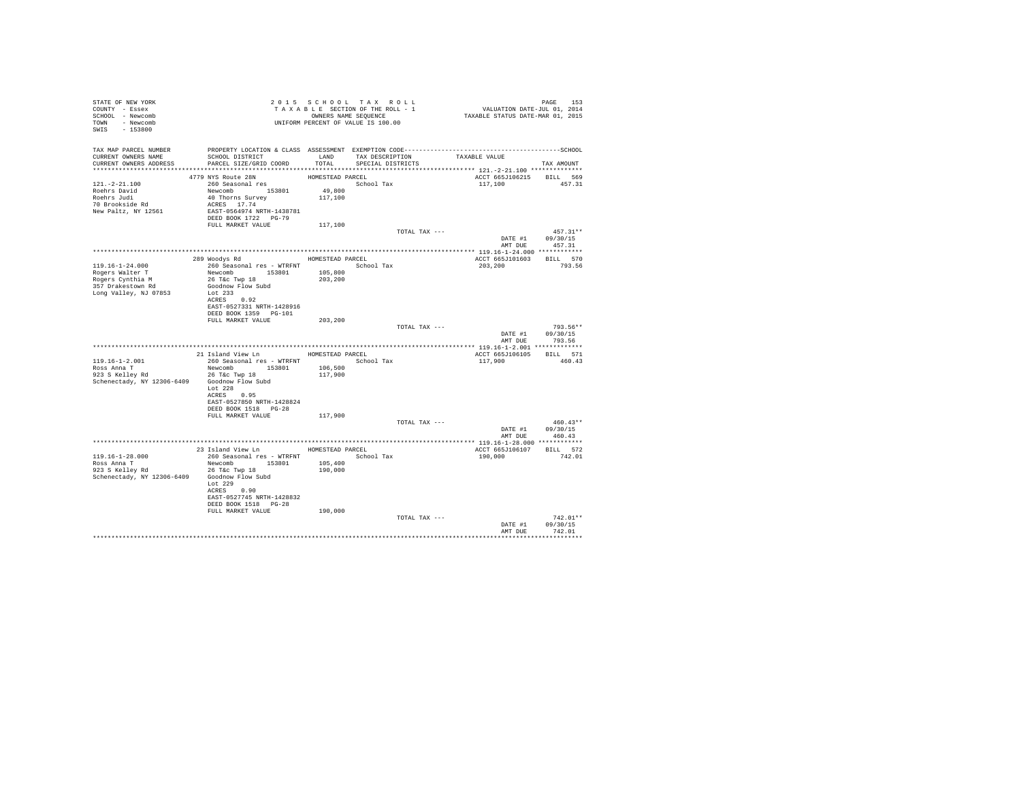| STATE OF NEW YORK                              | 2015 SCHOOL TAX ROLL 1 VALUATION DATE-JUL 01, 2014<br>TAX BLE SECTION OF THE ROLL - 1 VALUATION DATE-JUL 01, 2014<br>UNIFORM PERCENT OF VALUE IS 100.00 TAXABLE STATUS DATE-MAR 01, 2015 |                  |                   |                                      |                |
|------------------------------------------------|------------------------------------------------------------------------------------------------------------------------------------------------------------------------------------------|------------------|-------------------|--------------------------------------|----------------|
| COUNTY - Essex                                 |                                                                                                                                                                                          |                  |                   |                                      |                |
| SCHOOL - Newcomb                               |                                                                                                                                                                                          |                  |                   |                                      |                |
| TOWN - Newcomb                                 |                                                                                                                                                                                          |                  |                   |                                      |                |
| SWIS - 153800                                  |                                                                                                                                                                                          |                  |                   |                                      |                |
|                                                |                                                                                                                                                                                          |                  |                   |                                      |                |
|                                                |                                                                                                                                                                                          |                  |                   |                                      |                |
| CURRENT OWNERS NAME                            | TAX MAP PARCEL NUMBER PROPERTY LOCATION & CLASS ASSESSMENT EXEMPTION CODE----------------------------------SCHOOL<br>SCHOOL DISTRICT TAND TAX DESCRIPTION TAXABLE VALUE                  |                  |                   |                                      |                |
| CURRENT OWNERS ADDRESS                         | PARCEL SIZE/GRID COORD                                                                                                                                                                   | TOTAL            | SPECIAL DISTRICTS |                                      | TAX AMOUNT     |
|                                                |                                                                                                                                                                                          |                  |                   |                                      |                |
|                                                | 4779 NYS Route 28N                                                                                                                                                                       | HOMESTEAD PARCEL |                   | ACCT 665J106215 BILL 569             |                |
| $121. - 2 - 21.100$                            |                                                                                                                                                                                          |                  | School Tax        | 117,100 457.31                       |                |
|                                                |                                                                                                                                                                                          |                  |                   |                                      |                |
|                                                |                                                                                                                                                                                          |                  |                   |                                      |                |
| roehrs David<br>Roehrs Judi<br>70 Brookside Rd | 260 Seasonal res MOMESTEAD P<br>260 Seasonal res 153801 49,800<br>40 Thorns Survey 117,100<br>20 RCRES 17.74                                                                             |                  |                   |                                      |                |
| New Paltz, NY 12561                            | EAST-0564974 NRTH-1438781                                                                                                                                                                |                  |                   |                                      |                |
|                                                | DEED BOOK 1722 PG-79                                                                                                                                                                     |                  |                   |                                      |                |
|                                                | FULL MARKET VALUE 117,100                                                                                                                                                                |                  |                   |                                      |                |
|                                                |                                                                                                                                                                                          |                  | TOTAL TAX ---     |                                      | $457.31**$     |
|                                                |                                                                                                                                                                                          |                  |                   | DATE #1 $09/30/15$<br>AMT DUE 457.31 |                |
|                                                |                                                                                                                                                                                          |                  |                   |                                      |                |
|                                                |                                                                                                                                                                                          |                  |                   |                                      |                |
|                                                |                                                                                                                                                                                          |                  |                   | ACCT 665J101603 BILL 570             |                |
|                                                |                                                                                                                                                                                          |                  |                   | 203,200                              | 793.56         |
|                                                |                                                                                                                                                                                          |                  |                   |                                      |                |
|                                                |                                                                                                                                                                                          |                  |                   |                                      |                |
|                                                |                                                                                                                                                                                          |                  |                   |                                      |                |
| Long Valley, NJ 07853                          | Lot 233                                                                                                                                                                                  |                  |                   |                                      |                |
|                                                | ACRES 0.92<br>EAST-0527331 NRTH-1428916                                                                                                                                                  |                  |                   |                                      |                |
|                                                | DEED BOOK 1359 PG-101                                                                                                                                                                    |                  |                   |                                      |                |
|                                                | FULL MARKET VALUE 203,200                                                                                                                                                                |                  |                   |                                      |                |
|                                                |                                                                                                                                                                                          |                  | TOTAL TAX ---     |                                      | $793.56**$     |
|                                                |                                                                                                                                                                                          |                  |                   | DATE #1 09/30/15                     |                |
|                                                |                                                                                                                                                                                          |                  |                   | AMT DUE 793.56                       |                |
|                                                |                                                                                                                                                                                          |                  |                   |                                      |                |
|                                                | 21 Island View Ln MOMESTEAD PARCEL                                                                                                                                                       |                  |                   | ACCT 665J106105 BILL 571             |                |
|                                                |                                                                                                                                                                                          |                  |                   | 117,900                              | 460.43         |
|                                                |                                                                                                                                                                                          |                  |                   |                                      |                |
|                                                |                                                                                                                                                                                          |                  |                   |                                      |                |
| Schenectady, NY 12306-6409 Goodnow Flow Subd   |                                                                                                                                                                                          |                  |                   |                                      |                |
|                                                | Lot $228$                                                                                                                                                                                |                  |                   |                                      |                |
|                                                | ACRES 0.95                                                                                                                                                                               |                  |                   |                                      |                |
|                                                | EAST-0527850 NRTH-1428824                                                                                                                                                                |                  |                   |                                      |                |
|                                                | DEED BOOK 1518 PG-28                                                                                                                                                                     |                  |                   |                                      |                |
|                                                | FULL MARKET VALUE                                                                                                                                                                        | 117,900          |                   |                                      |                |
|                                                |                                                                                                                                                                                          |                  | TOTAL TAX ---     |                                      | $460.43**$     |
|                                                |                                                                                                                                                                                          |                  |                   | DATE #1 09/30/15                     |                |
|                                                |                                                                                                                                                                                          |                  |                   | AMT DUE                              | 460.43         |
|                                                |                                                                                                                                                                                          |                  |                   |                                      |                |
| 119.16-1-28.000                                | 260 Seasonal res - WTRFNT School Tax                                                                                                                                                     |                  |                   | ACCT 665J106107 BILL 572<br>190,000  | 742.01         |
|                                                |                                                                                                                                                                                          |                  |                   |                                      |                |
|                                                |                                                                                                                                                                                          |                  |                   |                                      |                |
| Schenectady, NY 12306-6409 Goodnow Flow Subd   |                                                                                                                                                                                          |                  |                   |                                      |                |
|                                                | Lot $229$                                                                                                                                                                                |                  |                   |                                      |                |
|                                                | ACRES 0.90                                                                                                                                                                               |                  |                   |                                      |                |
|                                                | EAST-0527745 NRTH-1428832                                                                                                                                                                |                  |                   |                                      |                |
|                                                | DEED BOOK 1518 PG-28                                                                                                                                                                     |                  |                   |                                      |                |
|                                                | FULL MARKET VALUE                                                                                                                                                                        | 190,000          |                   |                                      |                |
|                                                |                                                                                                                                                                                          |                  | TOTAL TAX ---     |                                      | $742.01**$     |
|                                                |                                                                                                                                                                                          |                  |                   | DATE #1                              | 09/30/15       |
|                                                |                                                                                                                                                                                          |                  |                   |                                      | AMT DUE 742.01 |
|                                                |                                                                                                                                                                                          |                  |                   |                                      |                |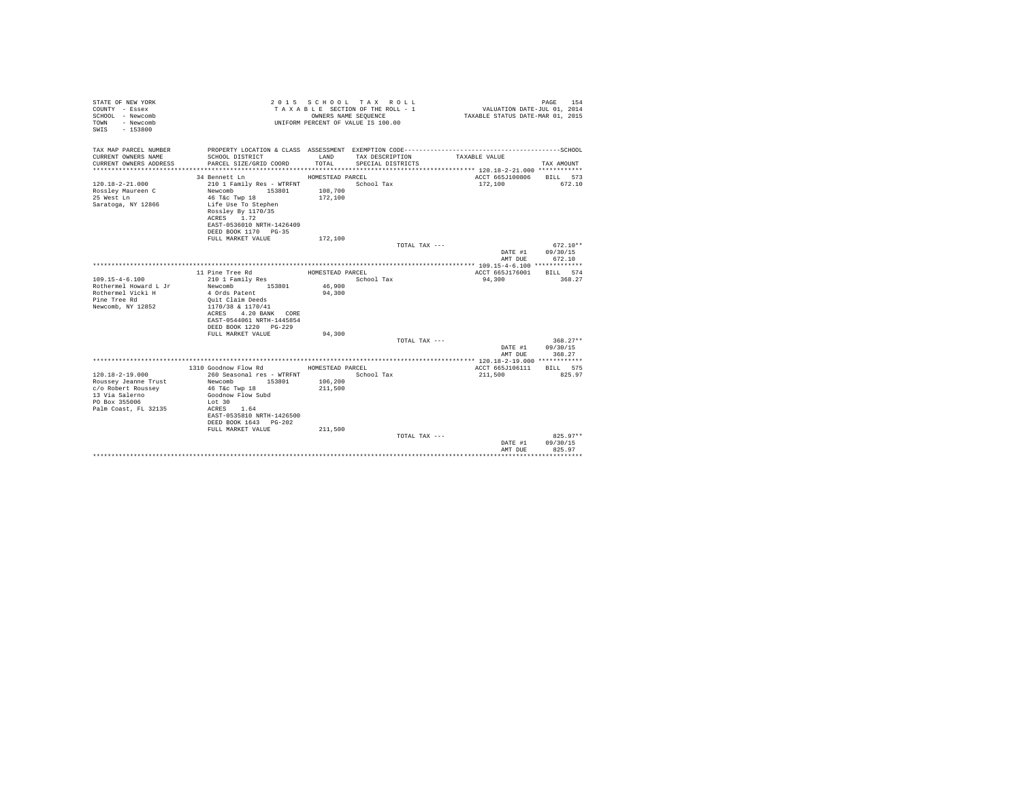| STATE OF NEW YORK<br>COUNTY - Essex<br>SCHOOL - Newcomb<br>- Newcomb<br>TOWN<br>$-153800$<br>SWIS       |                                                                                                                                                                                  | OWNERS NAME SEQUENCE                   | 2015 SCHOOL TAX ROLL<br>TAXABLE SECTION OF THE ROLL - 1<br>UNIFORM PERCENT OF VALUE IS 100.00 | VALUATION DATE-JUL 01, 2014<br>TAXABLE STATUS DATE-MAR 01, 2015 | 154<br>PAGE                      |
|---------------------------------------------------------------------------------------------------------|----------------------------------------------------------------------------------------------------------------------------------------------------------------------------------|----------------------------------------|-----------------------------------------------------------------------------------------------|-----------------------------------------------------------------|----------------------------------|
| TAX MAP PARCEL NUMBER<br>CURRENT OWNERS NAME                                                            | PROPERTY LOCATION & CLASS ASSESSMENT EXEMPTION CODE-----------------------------------SCHOOL<br>SCHOOL DISTRICT                                                                  | LAND                                   | TAX DESCRIPTION                                                                               | TAXABLE VALUE                                                   |                                  |
| CURRENT OWNERS ADDRESS                                                                                  | PARCEL SIZE/GRID COORD                                                                                                                                                           | TOTAL                                  | SPECIAL DISTRICTS                                                                             |                                                                 | TAX AMOUNT                       |
|                                                                                                         |                                                                                                                                                                                  |                                        |                                                                                               | ACCT 665J100806                                                 |                                  |
| $120.18 - 2 - 21.000$<br>Rosslev Maureen C<br>25 West Ln<br>Saratoga, NY 12866                          | 34 Bennett Ln<br>210 1 Family Res - WTRFNT<br>Newcomb<br>153801<br>46 T&C Twp 18<br>Life Use To Stephen<br>Rossley By 1170/35                                                    | HOMESTEAD PARCEL<br>108,700<br>172,100 | School Tax                                                                                    | 172,100                                                         | BILL 573<br>672.10               |
|                                                                                                         | ACRES 1.72<br>EAST-0536010 NRTH-1426409<br>DEED BOOK 1170 PG-35                                                                                                                  |                                        |                                                                                               |                                                                 |                                  |
|                                                                                                         | FULL MARKET VALUE                                                                                                                                                                | 172,100                                |                                                                                               |                                                                 |                                  |
|                                                                                                         |                                                                                                                                                                                  |                                        | TOTAL TAX ---                                                                                 | DATE #1<br>AMT DUE                                              | $672.10**$<br>09/30/15<br>672.10 |
|                                                                                                         |                                                                                                                                                                                  |                                        |                                                                                               |                                                                 |                                  |
|                                                                                                         | 11 Pine Tree Rd                                                                                                                                                                  | HOMESTEAD PARCEL                       |                                                                                               | ACCT 665J176001                                                 | BILL 574                         |
| $109.15 - 4 - 6.100$<br>Rothermel Howard L Jr<br>Rothermel Vicki H<br>Pine Tree Rd<br>Newcomb, NY 12852 | 210 1 Family Res<br>Newcomb<br>153801<br>4 Ords Patent<br>Quit Claim Deeds<br>1170/38 & 1170/41<br>4.20 BANK CORE<br>ACRES<br>EAST-0544061 NRTH-1445854<br>DEED BOOK 1220 PG-229 | 46,900<br>94,300                       | School Tax                                                                                    | 94.300                                                          | 368.27                           |
|                                                                                                         | FULL MARKET VALUE                                                                                                                                                                | 94,300                                 |                                                                                               |                                                                 | $368.27**$                       |
|                                                                                                         |                                                                                                                                                                                  |                                        | TOTAL TAX ---                                                                                 | DATE #1<br>AMT DUE                                              | 09/30/15<br>368.27               |
|                                                                                                         |                                                                                                                                                                                  |                                        |                                                                                               |                                                                 |                                  |
| $120.18 - 2 - 19.000$                                                                                   | 1310 Goodnow Flow Rd<br>260 Seasonal res - WTRFNT                                                                                                                                | HOMESTEAD PARCEL                       | School Tax                                                                                    | ACCT 665J106111<br>211,500                                      | BILL 575<br>825.97               |
| Roussey Jeanne Trust<br>c/o Robert Roussev<br>13 Via Salerno<br>PO Box 355006<br>Palm Coast, FL 32135   | Newcomb<br>153801<br>46 T&C Twp 18<br>Goodnow Flow Subd<br>Lot 30<br>1.64<br>ACRES<br>EAST-0535810 NRTH-1426500<br>DEED BOOK 1643 PG-202<br>FULL MARKET VALUE                    | 106,200<br>211,500<br>211,500          |                                                                                               |                                                                 |                                  |
|                                                                                                         |                                                                                                                                                                                  |                                        | TOTAL TAX ---                                                                                 | DATE #1<br>AMT DUE                                              | $825.97**$<br>09/30/15<br>825.97 |
|                                                                                                         |                                                                                                                                                                                  |                                        |                                                                                               |                                                                 |                                  |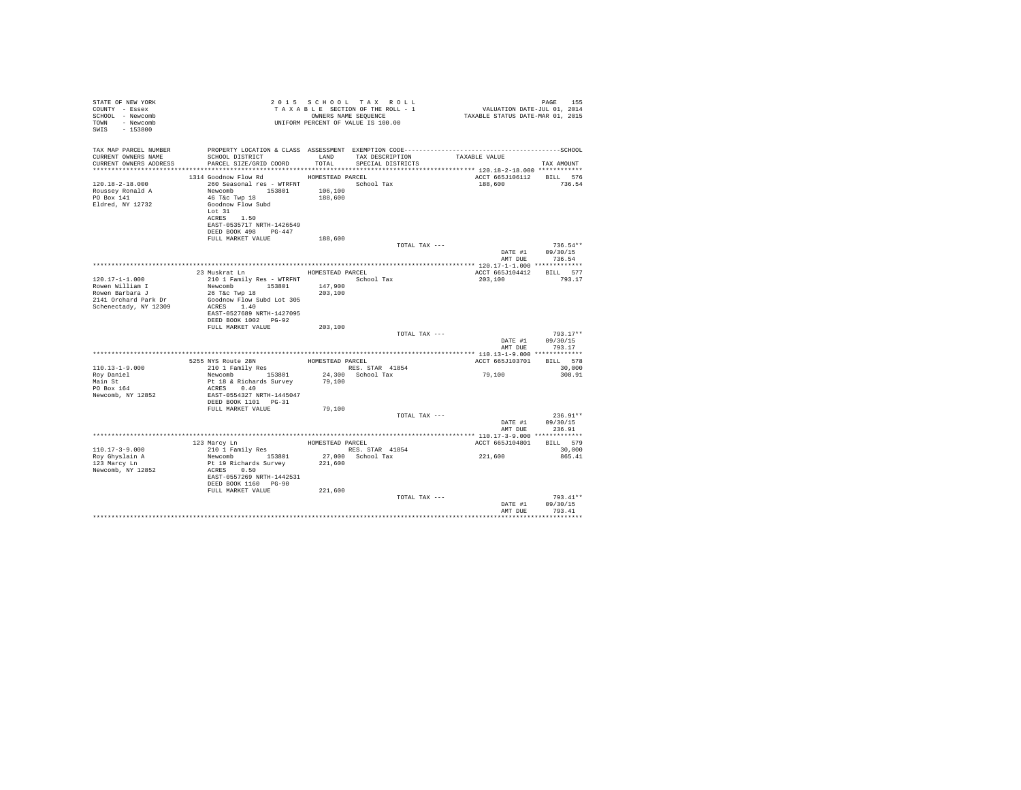| 2015 SCHOOL TAX ROLL<br>STATE OF NEW YORK<br>PAGE 155<br>VALUATION DATE-JUL 01, 2014<br>TAXABLE STATUS DATE-MAR 01, 2015<br>TAXABLE SECTION OF THE ROLL - 1<br>COUNTY - Essex<br>SCHOOL - Newcomb<br>OWNERS NAME SEOUENCE<br>TOWN - Newcomb<br>UNIFORM PERCENT OF VALUE IS 100.00<br>SWIS - 153800                                                                                                                            | PAGE<br>155                    |
|-------------------------------------------------------------------------------------------------------------------------------------------------------------------------------------------------------------------------------------------------------------------------------------------------------------------------------------------------------------------------------------------------------------------------------|--------------------------------|
| TAX MAP PARCEL NUMBER<br>SCHOOL DISTRICT LAND TAX DESCRIPTION<br>CURRENT OWNERS NAME<br>TAXABLE VALUE<br>PARCEL SIZE/GRID COORD TOTAL SPECIAL DISTRICTS<br>CURRENT OWNERS ADDRESS                                                                                                                                                                                                                                             | TAX AMOUNT                     |
| 1314 Goodnow Flow Rd MOMESTEAD PARCEL<br>ACCT 665J106112 BILL 576<br>120.18-2-18.000<br>260 Seasonal res - WTRFNT Market School Tax<br>188,600<br>200 Jeasonna --- 153801 106,100<br>Newcomb 153801 106,100<br>46 TAc Twry 18 188,600<br>Roussey Ronald A<br>PO Box 141<br>Goodnow Flow Subd<br>Eldred, NY 12732<br>Lot 31<br>ACRES 1.50<br>EAST-0535717 NRTH-1426549<br>DEED BOOK 498 PG-447<br>FULL MARKET VALUE<br>188,600 | 736.54                         |
| TOTAL TAX ---<br>DATE #1 09/30/15                                                                                                                                                                                                                                                                                                                                                                                             | $736.54**$                     |
| AMT DUE                                                                                                                                                                                                                                                                                                                                                                                                                       | 736.54                         |
| 23 Muskrat Ln<br>HOMESTEAD PARCEL<br>ACCT 665J104412<br>$120.17 - 1 - 1.000$<br>210 1 Family Res - WTRFNT School Tax<br>203,100<br>Newcomb 153801 147,900<br>Rowen William I<br>Rowen Barbara J<br>26 T&C Twp 18<br>203,100<br>2141 Orchard Park Dr<br>Goodnow Flow Subd Lot 305<br>Schenectady, NY 12309<br>ACRES 1.40<br>EAST-0527689 NRTH-1427095                                                                          | BILL 577<br>793.17             |
| DEED BOOK 1002 PG-92<br>FULL MARKET VALUE<br>203,100<br>TOTAL TAX ---                                                                                                                                                                                                                                                                                                                                                         | $793.17**$                     |
| DATE #1<br>AMT DUR                                                                                                                                                                                                                                                                                                                                                                                                            | 09/30/15<br>793.17             |
|                                                                                                                                                                                                                                                                                                                                                                                                                               |                                |
| 5255 NYS Route 28N MOMESTEAD PARCEL<br>210 1 Family Res RES. STAR 41854<br>ACCT 665J103701                                                                                                                                                                                                                                                                                                                                    | BILL 578                       |
| 110.13-1-9.000<br>RES. STAR 41854<br>Newcomb 153801<br>79,100<br>Roy Daniel<br>Newcomb 153801 24,300 School Tax<br>Pt 18 & Richards Survey 79,100<br>Main St<br>PO Box 164<br>ACRES 0.40<br>Newcomb, NY 12852<br>EAST-0554327 NRTH-1445047<br>DEED BOOK 1101 PG-31                                                                                                                                                            | 30,000<br>308.91               |
| FULL MARKET VALUE<br>79,100<br>TOTAL TAX ---<br>DATE #1 09/30/15                                                                                                                                                                                                                                                                                                                                                              | $236.91**$                     |
| AMT DUE                                                                                                                                                                                                                                                                                                                                                                                                                       | 236.91                         |
|                                                                                                                                                                                                                                                                                                                                                                                                                               |                                |
| 123 Marcy Ln<br>210 1 Family Res<br>Newcomb 153801<br>HOMESTEAD PARCEL<br>ACCT 665J104801<br>110.17-3-9.000                                                                                                                                                                                                                                                                                                                   | BILL 579<br>30,000             |
| RES. STAR 41854<br>27,000 School Tax<br>221,600<br>Roy Ghyslain A<br>123 Marcy Ln<br>221,600<br>Pt 19 Richards Survey<br>ACRES 0.50<br>Newcomb, NY 12852<br>EAST-0557269 NRTH-1442531<br>DEED BOOK 1160 PG-90                                                                                                                                                                                                                 | 865.41                         |
| FULL MARKET VALUE<br>221,600                                                                                                                                                                                                                                                                                                                                                                                                  |                                |
| TOTAL TAX ---<br>DATE #1<br>AMT DUE                                                                                                                                                                                                                                                                                                                                                                                           | 793.41**<br>09/30/15<br>793.41 |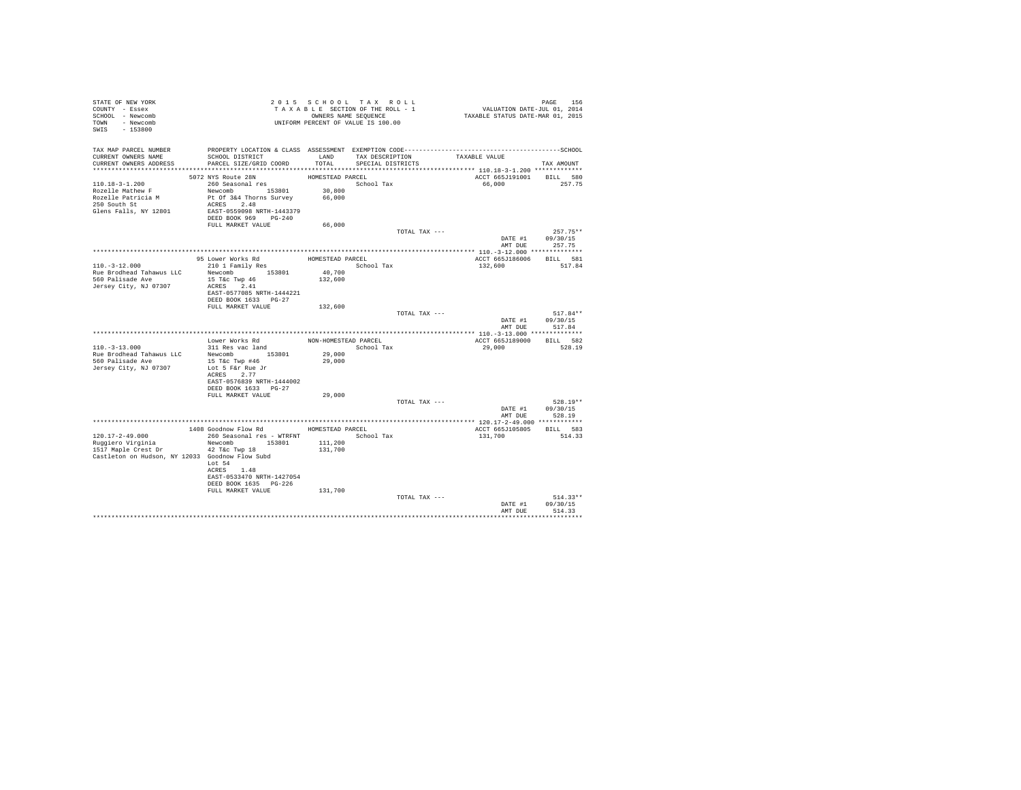| STATE OF NEW YORK<br>COUNTY - Essex<br>SCHOOL - Newcomb<br>TOWN - Newcomb<br>SWIS - 153800        | UNIFORM PERCENT OF VALUE IS 100.00                                                                                                                            | 2015 SCHOOL TAX ROLL<br>TAXABLE SECTION OF THE ROLL - 1<br>OWNERS NAME SEQUENCE |                                           |               | PAGE 156<br>VALUATION DATE-JUL 01, 2014<br>TAXABLE STATUS DATE-MAR 01, 2015 |                                                 |
|---------------------------------------------------------------------------------------------------|---------------------------------------------------------------------------------------------------------------------------------------------------------------|---------------------------------------------------------------------------------|-------------------------------------------|---------------|-----------------------------------------------------------------------------|-------------------------------------------------|
| TAX MAP PARCEL NUMBER<br>CURRENT OWNERS NAME<br>CURRENT OWNERS ADDRESS                            | SCHOOL DISTRICT<br>PARCEL SIZE/GRID COORD                                                                                                                     | TOTAL                                                                           | LAND TAX DESCRIPTION<br>SPECIAL DISTRICTS |               | TAXABLE VALUE                                                               | TAX AMOUNT                                      |
|                                                                                                   |                                                                                                                                                               |                                                                                 |                                           |               |                                                                             |                                                 |
| 110.18-3-1.200<br>Rozelle Mathew F<br>Rozelle Patricia M<br>250 South St<br>Glens Falls, NY 12801 | 5072 NYS Route 28N<br>260 Seasonal res<br>Newcomb 153801<br>Pt Of 3&4 Thorns Survey 66,000<br>ACRES 2.48<br>EAST-0559098 NRTH-1443379<br>DEED BOOK 969 PG-240 | HOMESTEAD PARCEL<br>30,800                                                      | School Tax                                |               | ACCT 665J191001 BILL 580<br>66,000                                          | 257.75                                          |
|                                                                                                   | FULL MARKET VALUE                                                                                                                                             | 66,000                                                                          |                                           |               |                                                                             |                                                 |
|                                                                                                   |                                                                                                                                                               |                                                                                 |                                           | TOTAL TAX --- | AMT DUE                                                                     | $257.75**$<br>DATE #1 09/30/15<br>257.75        |
|                                                                                                   |                                                                                                                                                               |                                                                                 |                                           |               |                                                                             |                                                 |
| $110. - 3 - 12.000$                                                                               | 95 Lower Works Rd<br>210 1 Family Res<br>Newcomb 153801                                                                                                       | HOMESTEAD PARCEL<br>40,700                                                      | School Tax                                |               | ACCT 665J186006<br>132,600                                                  | BILL 581<br>517.84                              |
| Rue Brodhead Tahawus LLC<br>560 Palisade Ave                                                      | 15 T&c Twp 46                                                                                                                                                 | 132,600                                                                         |                                           |               |                                                                             |                                                 |
| Jersey City, NJ 07307                                                                             | ACRES 2.41<br>EAST-0577085 NRTH-1444221<br>DEED BOOK 1633 PG-27                                                                                               |                                                                                 |                                           |               |                                                                             |                                                 |
|                                                                                                   | FULL MARKET VALUE                                                                                                                                             | 132,600                                                                         |                                           |               |                                                                             |                                                 |
|                                                                                                   |                                                                                                                                                               |                                                                                 |                                           | TOTAL TAX --- | DATE #1                                                                     | $517.84**$<br>09/30/15<br>AMT DUE 517.84        |
|                                                                                                   |                                                                                                                                                               |                                                                                 |                                           |               |                                                                             |                                                 |
|                                                                                                   | Lower Works Rd                                                                                                                                                | NON-HOMESTEAD PARCEL                                                            |                                           |               | ACCT 665J189000                                                             | BILL 582                                        |
| $110. - 3 - 13.000$                                                                               | 311 Res vac land                                                                                                                                              |                                                                                 | School Tax                                |               | 29,000                                                                      | 528.19                                          |
| Rue Brodhead Tahawus LLC<br>560 Palisade Ave<br>Jersey City, NJ 07307                             | Newcomb 153801<br>15 T&c Twp #46<br>Lot 5 F&r Rue Jr<br>ACRES 2.77<br>EAST-0576839 NRTH-1444002<br>DEED BOOK 1633 PG-27                                       | 29,000<br>29,000                                                                |                                           |               |                                                                             |                                                 |
|                                                                                                   | FULL MARKET VALUE                                                                                                                                             | 29,000                                                                          |                                           |               |                                                                             |                                                 |
|                                                                                                   |                                                                                                                                                               |                                                                                 |                                           | TOTAL TAX --- | DATE #1                                                                     | $528.19**$<br>09/30/15<br>AMT DUE 528.19        |
|                                                                                                   |                                                                                                                                                               |                                                                                 |                                           |               |                                                                             |                                                 |
|                                                                                                   | 1408 Goodnow Flow Rd                                                                                                                                          | HOMESTEAD PARCEL                                                                |                                           |               | ACCT 665J105805                                                             | BILL 583                                        |
| 120.17-2-49.000<br>Ruggiero Virginia<br>Castleton on Hudson, NY 12033 Goodnow Flow Subd           | 260 Seasonal res - WTRFNT<br>Newcomb 153801<br>Lot 54<br>ACRES 1.48<br>EAST-0533470 NRTH-1427054<br>DEED BOOK 1635 PG-226                                     | 111,200<br>131,700                                                              | School Tax                                |               | 131,700                                                                     | 514.33                                          |
|                                                                                                   | FULL MARKET VALUE                                                                                                                                             | 131,700                                                                         |                                           |               |                                                                             |                                                 |
|                                                                                                   |                                                                                                                                                               |                                                                                 |                                           | TOTAL TAX --- | DATE #1<br>AMT DUE                                                          | $514.33**$<br>09/30/15<br>514.33<br>*********** |
|                                                                                                   |                                                                                                                                                               |                                                                                 |                                           |               |                                                                             |                                                 |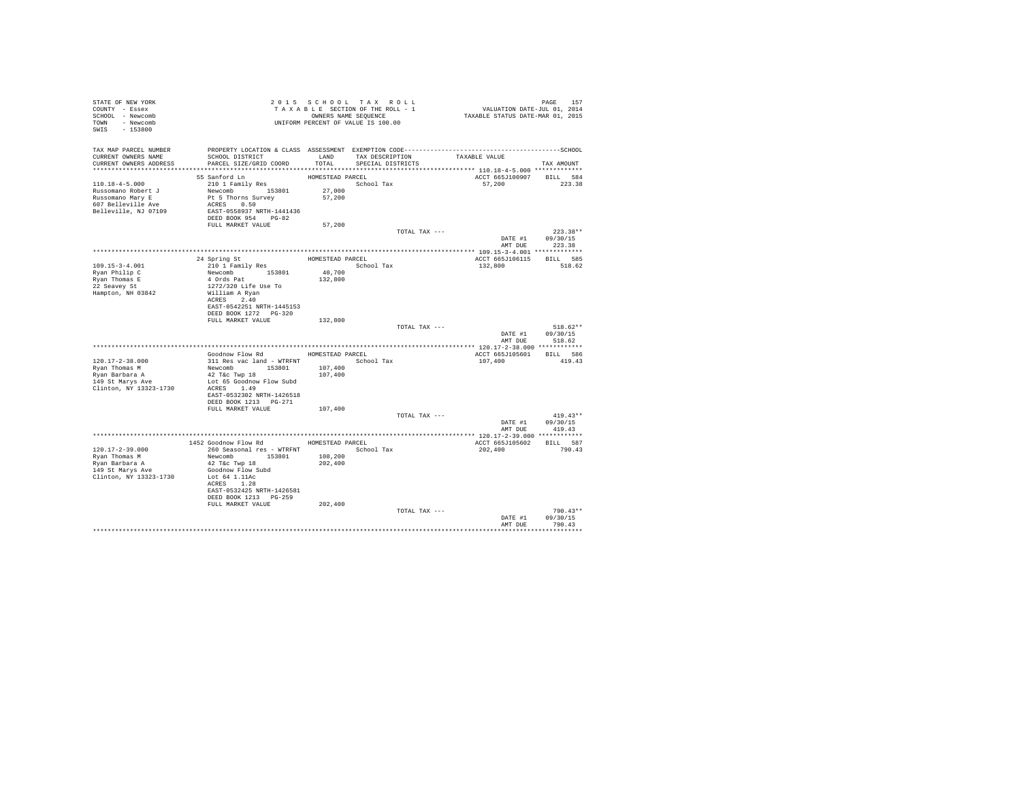| STATE OF NEW YORK<br>COUNTY - Essex<br>SCHOOL - Newcomb<br>TOWN - Newcomb<br>$-153800$<br>SWIS | UWNERS NAME JERULAL DE 100.00                                 |                    | 2015 SCHOOL TAX ROLL<br>TAXABLE SECTION OF THE ROLL - 1<br>OWNERS NAME SEQUENCE | PAGE 157<br>VALUATION DATE-JUL 01, 2014<br>TAXABLE STATUS DATE-MAR 01, 2015                                                                        |                  |
|------------------------------------------------------------------------------------------------|---------------------------------------------------------------|--------------------|---------------------------------------------------------------------------------|----------------------------------------------------------------------------------------------------------------------------------------------------|------------------|
| CURRENT OWNERS NAME                                                                            | SCHOOL DISTRICT                                               | LAND               |                                                                                 | TAX MAP PARCEL NUMBER PROPERTY LOCATION & CLASS ASSESSMENT EXEMPTION CODE----------------------------------SCHOOL<br>TAX DESCRIPTION TAXABLE VALUE |                  |
| CURRENT OWNERS ADDRESS                                                                         | PARCEL SIZE/GRID COORD                                        | TOTAL              | SPECIAL DISTRICTS                                                               |                                                                                                                                                    | TAX AMOUNT       |
|                                                                                                | 55 Sanford Ln                                                 | HOMESTEAD PARCEL   |                                                                                 | ACCT 665J100907 BILL 584                                                                                                                           |                  |
| 110.18-4-5.000                                                                                 | 210 1 Family Res<br>210 1 Family Res<br>Newcomb 153801 27,000 |                    | School Tax                                                                      | 57,200                                                                                                                                             | 223.38           |
| Russomano Robert J                                                                             |                                                               |                    |                                                                                 |                                                                                                                                                    |                  |
|                                                                                                | Pt 5 Thorns Survey<br>ACRES 0.50                              | 57,200             |                                                                                 |                                                                                                                                                    |                  |
| Russomano Mary E<br>607 Belleville Ave<br>Belleville, NJ 07109                                 | EAST-0558937 NRTH-1441436                                     |                    |                                                                                 |                                                                                                                                                    |                  |
|                                                                                                | DEED BOOK 954 PG-82<br>FULL MARKET VALUE                      | 57,200             |                                                                                 |                                                                                                                                                    |                  |
|                                                                                                |                                                               |                    | TOTAL TAX ---                                                                   |                                                                                                                                                    | $223.38**$       |
|                                                                                                |                                                               |                    |                                                                                 |                                                                                                                                                    | DATE #1 09/30/15 |
|                                                                                                |                                                               |                    |                                                                                 | AMT DUE                                                                                                                                            | 223.38           |
|                                                                                                |                                                               |                    | HOMESTEAD PARCEL                                                                | ACCT 665J106115                                                                                                                                    | BILL 585         |
| $109.15 - 3 - 4.001$                                                                           | 24 Spring St<br>210 1 Family Res                              |                    | School Tax                                                                      | 132,800                                                                                                                                            | 518.62           |
| Ryan Philip C                                                                                  | Newcomb 153801<br>4 Ords Pat                                  | 40,700<br>132,800  |                                                                                 |                                                                                                                                                    |                  |
| Ryan Thomas E<br>22 Seavey St                                                                  | 1272/320 Life Use To                                          |                    |                                                                                 |                                                                                                                                                    |                  |
| Hampton, NH 03842                                                                              | William A Ryan                                                |                    |                                                                                 |                                                                                                                                                    |                  |
|                                                                                                | ACRES 2.40<br>EAST-0542251 NRTH-1445153                       |                    |                                                                                 |                                                                                                                                                    |                  |
|                                                                                                | DEED BOOK 1272 PG-320                                         |                    |                                                                                 |                                                                                                                                                    |                  |
|                                                                                                | FULL MARKET VALUE                                             | 132,800            |                                                                                 |                                                                                                                                                    | $518.62**$       |
|                                                                                                |                                                               |                    | TOTAL TAX ---                                                                   | DATE #1                                                                                                                                            | 09/30/15         |
|                                                                                                |                                                               |                    |                                                                                 | AMT DUE                                                                                                                                            | 518.62           |
|                                                                                                | Goodnow Flow Rd MOMESTEAD PARCEL                              |                    |                                                                                 | ACCT 665J105601 BILL 586                                                                                                                           |                  |
| 120.17-2-38.000                                                                                |                                                               |                    | School Tax                                                                      | 107,400                                                                                                                                            | 419.43           |
| Ryan Thomas M                                                                                  | 311 Res vac land - WTRFNT<br>Newcomb 153801 107,400           |                    |                                                                                 |                                                                                                                                                    |                  |
| Ryan Barbara A<br>$149$ St Marys Ave                                                           | 42 T&C Twp 18<br>Lot 65 Goodnow Flow Subd                     | 107,400            |                                                                                 |                                                                                                                                                    |                  |
| Clinton, NY 13323-1730                                                                         | ACRES 1.49                                                    |                    |                                                                                 |                                                                                                                                                    |                  |
|                                                                                                | EAST-0532302 NRTH-1426518                                     |                    |                                                                                 |                                                                                                                                                    |                  |
|                                                                                                | DEED BOOK 1213 PG-271<br>FULL MARKET VALUE                    | 107,400            |                                                                                 |                                                                                                                                                    |                  |
|                                                                                                |                                                               |                    | TOTAL TAX ---                                                                   |                                                                                                                                                    | $419.43**$       |
|                                                                                                |                                                               |                    |                                                                                 |                                                                                                                                                    | DATE #1 09/30/15 |
|                                                                                                |                                                               |                    |                                                                                 | AMT DUE                                                                                                                                            | 419.43           |
|                                                                                                | 1452 Goodnow Flow Rd MOMESTEAD PARCEL                         |                    |                                                                                 | ACCT 665J105602 BILL 587                                                                                                                           |                  |
| 120.17-2-39.000                                                                                | 260 Seasonal res - WTRFNT                                     |                    | School Tax                                                                      | 202,400                                                                                                                                            | 790.43           |
| Rvan Thomas M<br>Ryan Barbara A                                                                | Newcomb 153801<br>42 T&C Twp 18                               | 108,200<br>202,400 |                                                                                 |                                                                                                                                                    |                  |
| 149 St Marys Ave                                                                               | Goodnow Flow Subd                                             |                    |                                                                                 |                                                                                                                                                    |                  |
| Clinton, NY 13323-1730                                                                         | Lot 64 1.11Ac                                                 |                    |                                                                                 |                                                                                                                                                    |                  |
|                                                                                                | ACRES 1.28<br>EAST-0532425 NRTH-1426581                       |                    |                                                                                 |                                                                                                                                                    |                  |
|                                                                                                | DEED BOOK 1213 PG-259                                         |                    |                                                                                 |                                                                                                                                                    |                  |
|                                                                                                | FULL MARKET VALUE                                             | 202,400            |                                                                                 |                                                                                                                                                    | $790.43**$       |
|                                                                                                |                                                               |                    | TOTAL TAX ---                                                                   | DATE #1                                                                                                                                            | 09/30/15         |
|                                                                                                |                                                               |                    |                                                                                 | AMT DUE                                                                                                                                            | 790.43           |
|                                                                                                |                                                               |                    |                                                                                 |                                                                                                                                                    |                  |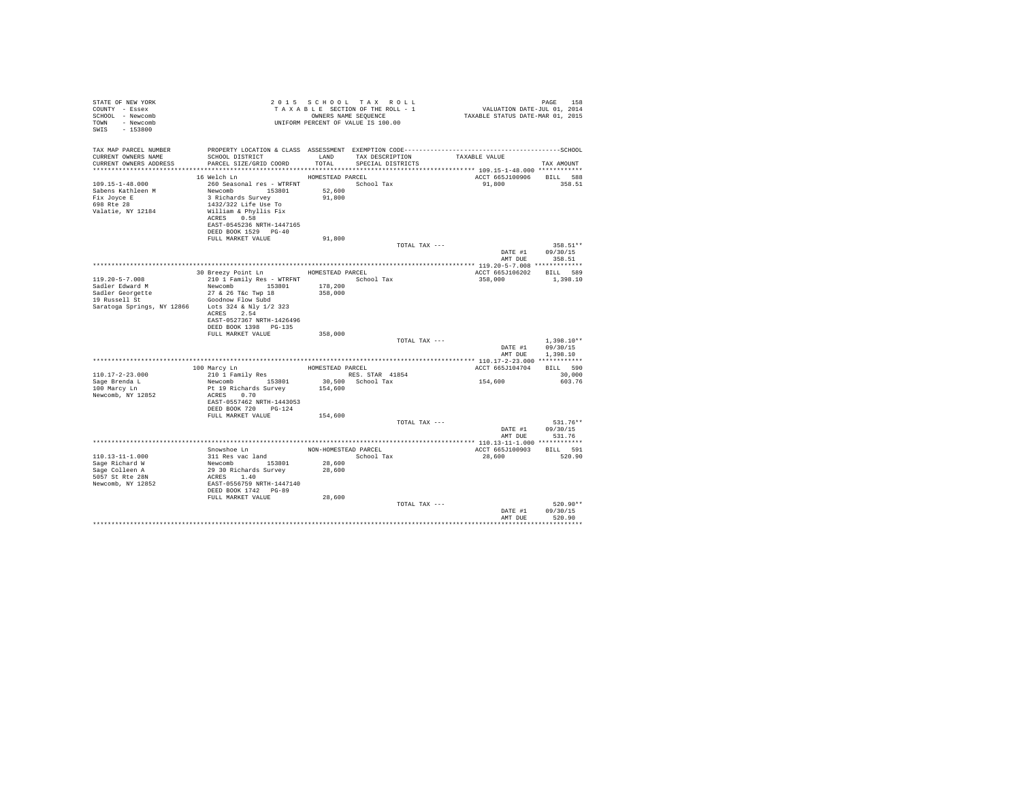| STATE OF NEW YORK<br>COUNTY - Essex<br>SCHOOL - Newcomb<br>TOWN - Newcomb<br>SWIS<br>$-153800$ |                                                                                                                                                                                                                          |                            | 2015 SCHOOL TAX ROLL<br>TAXABLE SECTION OF THE ROLL - 1<br>OWNERS NAME SEOUENCE<br>UNIFORM PERCENT OF VALUE IS 100.00 |               | PAGE 158<br>VALUATION DATE-JUL 01, 2014<br>TAXABLE STATUS DATE-MAR 01, 2015 | PAGE<br>158                  |
|------------------------------------------------------------------------------------------------|--------------------------------------------------------------------------------------------------------------------------------------------------------------------------------------------------------------------------|----------------------------|-----------------------------------------------------------------------------------------------------------------------|---------------|-----------------------------------------------------------------------------|------------------------------|
| TAX MAP PARCEL NUMBER<br>CURRENT OWNERS NAME                                                   | SCHOOL DISTRICT TAND TAX DESCRIPTION<br>CURRENT OWNERS ADDRESS . PARCEL SIZE/GRID COORD TOTAL SPECIAL DISTRICTS                                                                                                          |                            |                                                                                                                       |               | TAXABLE VALUE                                                               | TAX AMOUNT                   |
|                                                                                                | HOMESTEAD PARCEL                                                                                                                                                                                                         |                            |                                                                                                                       |               |                                                                             |                              |
| 109.15-1-48.000<br>Sabens Kathleen M<br>Fix Joyce E<br>698 Rte 28<br>Valatie, NY 12184         | 16 Welch Ln<br>260 Seasonal res - WTRFNT<br>Newcomb 153801<br>3 Richards Survey<br>1432/322 Life Use To<br>William & Phyllis Fix<br>ACRES 0.58<br>EAST-0545236 NRTH-1447165<br>DEED BOOK 1529 PG-40<br>FULL MARKET VALUE | 52,600<br>91,800<br>91,800 | School Tax                                                                                                            |               | ACCT 665J100906 BILL 588<br>91,800                                          | 358.51                       |
|                                                                                                |                                                                                                                                                                                                                          |                            |                                                                                                                       | TOTAL TAX --- |                                                                             | 358.51**                     |
|                                                                                                |                                                                                                                                                                                                                          |                            |                                                                                                                       |               |                                                                             | DATE #1 09/30/15             |
|                                                                                                |                                                                                                                                                                                                                          |                            |                                                                                                                       |               | AMT DUE                                                                     | 358.51                       |
|                                                                                                |                                                                                                                                                                                                                          |                            |                                                                                                                       |               |                                                                             |                              |
| $119.20 - 5 - 7.008$                                                                           | 30 Breezy Point Ln HOMESTEAD PARCEL<br>210 1 Family Res - WTRFNT                                                                                                                                                         |                            | School Tax                                                                                                            |               | ACCT 665J106202 BILL 589<br>358,000                                         | 1,398.10                     |
| Sadler Edward M                                                                                | Newcomb 153801 178,200                                                                                                                                                                                                   |                            |                                                                                                                       |               |                                                                             |                              |
|                                                                                                | 27 & 26 T&c Twp 18                                                                                                                                                                                                       | 358,000                    |                                                                                                                       |               |                                                                             |                              |
| Sadler Georgette<br>19 Russell St                                                              | Goodnow Flow Subd                                                                                                                                                                                                        |                            |                                                                                                                       |               |                                                                             |                              |
| Saratoga Springs, NY 12866                                                                     | Lots 324 & Nly 1/2 323<br>ACRES 2.54<br>EAST-0527367 NRTH-1426496<br>DEED BOOK 1398 PG-135<br>FULL MARKET VALUE                                                                                                          | 358,000                    |                                                                                                                       |               |                                                                             |                              |
|                                                                                                |                                                                                                                                                                                                                          |                            |                                                                                                                       | TOTAL TAX --- |                                                                             | $1.398.10**$                 |
|                                                                                                |                                                                                                                                                                                                                          |                            |                                                                                                                       |               | AMT DUE                                                                     | DATE #1 09/30/15<br>1,398.10 |
|                                                                                                |                                                                                                                                                                                                                          |                            |                                                                                                                       |               |                                                                             |                              |
| $110.17 - 2 - 23.000$                                                                          | 100 Marcy Ln<br>210 1 Family Res                                                                                                                                                                                         | HOMESTEAD PARCEL           |                                                                                                                       |               | ACCT 665J104704                                                             | BILL 590<br>30,000           |
| Sage Brenda L                                                                                  | Newcomb 153801                                                                                                                                                                                                           |                            | RES. STAR 41854<br>30,500 School Tax                                                                                  |               | 154,600                                                                     | 603.76                       |
| 100 Marcy Ln<br>Newcomb, NY 12852                                                              | Pt 19 Richards Survey<br>ACRES 0.70<br>EAST-0557462 NRTH-1443053<br>DEED BOOK 720 PG-124                                                                                                                                 | 154,600                    |                                                                                                                       |               |                                                                             |                              |
|                                                                                                | FULL MARKET VALUE                                                                                                                                                                                                        | 154,600                    |                                                                                                                       |               |                                                                             |                              |
|                                                                                                |                                                                                                                                                                                                                          |                            |                                                                                                                       | TOTAL TAX --- |                                                                             | 531.76**                     |
|                                                                                                |                                                                                                                                                                                                                          |                            |                                                                                                                       |               |                                                                             | DATE #1 09/30/15             |
|                                                                                                |                                                                                                                                                                                                                          |                            |                                                                                                                       |               | AMT DUE                                                                     | 531.76                       |
|                                                                                                |                                                                                                                                                                                                                          |                            |                                                                                                                       |               |                                                                             |                              |
| $110.13 - 11 - 1.000$                                                                          | Snowshoe Ln                                                                                                                                                                                                              | NON-HOMESTEAD PARCEL       |                                                                                                                       |               | ACCT 665J100903                                                             | BILL 591<br>520.90           |
| Sage Richard W                                                                                 | 311 Res vac land                                                                                                                                                                                                         | 28,600                     | School Tax                                                                                                            |               | 28,600                                                                      |                              |
| Sage Colleen A                                                                                 |                                                                                                                                                                                                                          | 28,600                     |                                                                                                                       |               |                                                                             |                              |
| $5057$ St Rte $28N$                                                                            | Newcomb 153801<br>29 30 Richards Survey<br>ACRES 1.40                                                                                                                                                                    |                            |                                                                                                                       |               |                                                                             |                              |
| Newcomb, NY 12852                                                                              | EAST-0556759 NRTH-1447140<br>DEED BOOK 1742 PG-89                                                                                                                                                                        |                            |                                                                                                                       |               |                                                                             |                              |
|                                                                                                | FULL MARKET VALUE                                                                                                                                                                                                        | 28,600                     |                                                                                                                       |               |                                                                             |                              |
|                                                                                                |                                                                                                                                                                                                                          |                            |                                                                                                                       | TOTAL TAX --- |                                                                             | $520.90**$                   |
|                                                                                                |                                                                                                                                                                                                                          |                            |                                                                                                                       |               | DATE #1                                                                     | 09/30/15                     |
|                                                                                                |                                                                                                                                                                                                                          |                            |                                                                                                                       |               | AMT DUR                                                                     | 520.90                       |
|                                                                                                |                                                                                                                                                                                                                          |                            |                                                                                                                       |               |                                                                             |                              |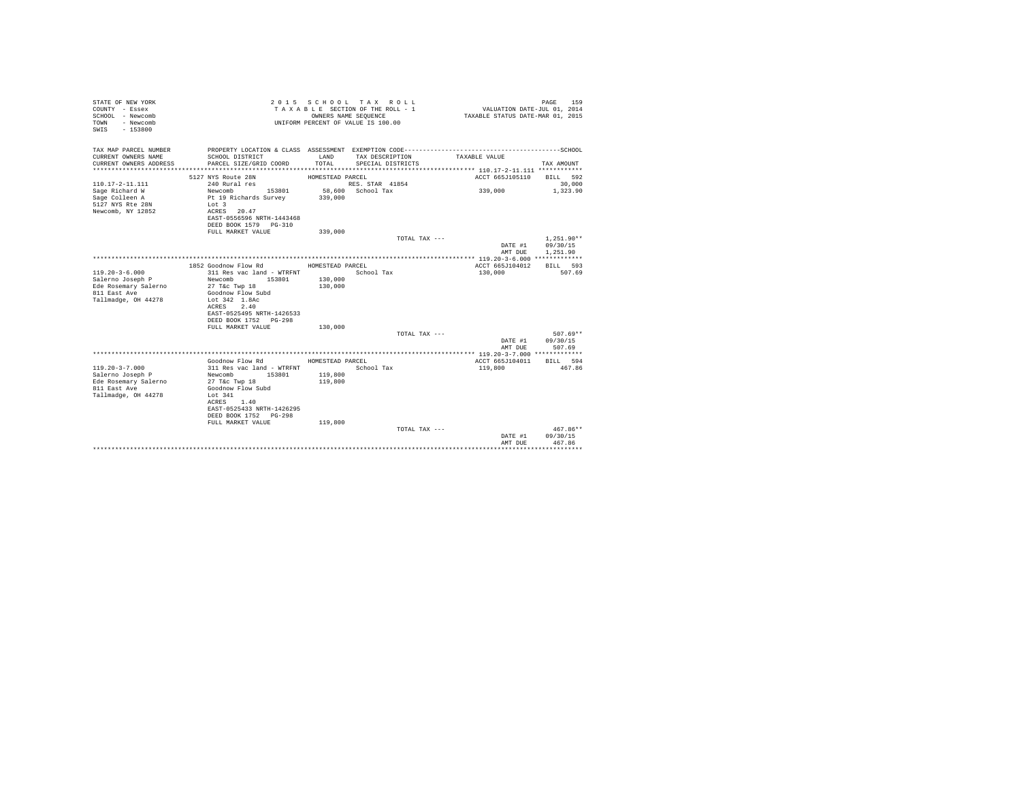| STATE OF NEW YORK<br>COUNTY - Essex<br>SCHOOL - Newcomb<br>- Newcomb<br>TOWN<br>$-153800$<br>SWIS | 2015 SCHOOL TAX ROLL<br>TAXABLE SECTION OF THE ROLL - 1<br>OWNERS NAME SEOUENCE<br>UNIFORM PERCENT OF VALUE IS 100.00 |                    |                                      | PAGE<br>159<br>VALUATION DATE-JUL 01, 2014<br>TAXABLE STATUS DATE-MAR 01, 2015 |                                      |  |
|---------------------------------------------------------------------------------------------------|-----------------------------------------------------------------------------------------------------------------------|--------------------|--------------------------------------|--------------------------------------------------------------------------------|--------------------------------------|--|
| TAX MAP PARCEL NUMBER                                                                             |                                                                                                                       |                    |                                      |                                                                                |                                      |  |
| CURRENT OWNERS NAME<br>CURRENT OWNERS ADDRESS                                                     | SCHOOL DISTRICT<br>PARCEL SIZE/GRID COORD                                                                             | LAND<br>TOTAL      | TAX DESCRIPTION<br>SPECIAL DISTRICTS | TAXABLE VALUE                                                                  | TAX AMOUNT                           |  |
|                                                                                                   |                                                                                                                       |                    |                                      |                                                                                |                                      |  |
|                                                                                                   | 5127 NYS Route 28N                                                                                                    | HOMESTEAD PARCEL   |                                      | ACCT 665J105110                                                                | BILL 592                             |  |
| 110.17-2-11.111                                                                                   | 240 Rural res                                                                                                         |                    | RES. STAR 41854                      |                                                                                | 30,000                               |  |
| Sage Richard W                                                                                    | Newcomb<br>153801                                                                                                     |                    | 58,600 School Tax                    | 339,000                                                                        | 1,323.90                             |  |
| Sage Colleen A                                                                                    | Pt 19 Richards Survey                                                                                                 | 339,000            |                                      |                                                                                |                                      |  |
| 5127 NYS Rte 28N<br>Newcomb, NY 12852                                                             | Lot 3<br>ACRES 20.47                                                                                                  |                    |                                      |                                                                                |                                      |  |
|                                                                                                   | EAST-0556596 NRTH-1443468                                                                                             |                    |                                      |                                                                                |                                      |  |
|                                                                                                   | DEED BOOK 1579    PG-310                                                                                              |                    |                                      |                                                                                |                                      |  |
|                                                                                                   | FULL MARKET VALUE                                                                                                     | 339,000            |                                      |                                                                                |                                      |  |
|                                                                                                   |                                                                                                                       |                    | TOTAL TAX ---                        | DATE #1<br>AMT DUE                                                             | $1.251.90**$<br>09/30/15<br>1,251.90 |  |
|                                                                                                   |                                                                                                                       |                    |                                      |                                                                                |                                      |  |
|                                                                                                   | 1852 Goodnow Flow Rd                                                                                                  | HOMESTEAD PARCEL   |                                      | ACCT 665J104012                                                                | BILL 593                             |  |
| $119.20 - 3 - 6.000$                                                                              | 311 Res vac land - WTRFNT                                                                                             |                    | School Tax                           | 130,000                                                                        | 507.69                               |  |
| Salerno Joseph P                                                                                  | Newcomb<br>153801                                                                                                     | 130,000            |                                      |                                                                                |                                      |  |
| Ede Rosemary Salerno<br>811 East Ave                                                              | 27 T&c Twp 18<br>Goodnow Flow Subd                                                                                    | 130,000            |                                      |                                                                                |                                      |  |
| Tallmadge, OH 44278                                                                               | Lot 342 1.8Ac                                                                                                         |                    |                                      |                                                                                |                                      |  |
|                                                                                                   | 2.40<br>ACRES                                                                                                         |                    |                                      |                                                                                |                                      |  |
|                                                                                                   | EAST-0525495 NRTH-1426533                                                                                             |                    |                                      |                                                                                |                                      |  |
|                                                                                                   | DEED BOOK 1752 PG-298                                                                                                 |                    |                                      |                                                                                |                                      |  |
|                                                                                                   | FULL MARKET VALUE                                                                                                     | 130,000            | TOTAL TAX ---                        |                                                                                | $507.69**$                           |  |
|                                                                                                   |                                                                                                                       |                    |                                      | DATE #1                                                                        | 09/30/15                             |  |
|                                                                                                   |                                                                                                                       |                    |                                      | AMT DUE                                                                        | 507.69                               |  |
|                                                                                                   |                                                                                                                       |                    |                                      |                                                                                |                                      |  |
|                                                                                                   | Goodnow Flow Rd                                                                                                       | HOMESTEAD PARCEL   |                                      | ACCT 665J104011                                                                | BILL 594                             |  |
| $119.20 - 3 - 7.000$                                                                              | 311 Res vac land - WTRFNT                                                                                             |                    | School Tax                           | 119,800                                                                        | 467.86                               |  |
| Salerno Joseph P                                                                                  | Newcomb<br>153801<br>27 T&C Twp 18                                                                                    | 119,800<br>119,800 |                                      |                                                                                |                                      |  |
| Ede Rosemary Salerno<br>811 East Ave                                                              | Goodnow Flow Subd                                                                                                     |                    |                                      |                                                                                |                                      |  |
| Tallmadge, OH 44278                                                                               | Lot $341$                                                                                                             |                    |                                      |                                                                                |                                      |  |
|                                                                                                   | ACRES 1.40                                                                                                            |                    |                                      |                                                                                |                                      |  |
|                                                                                                   | EAST-0525433 NRTH-1426295                                                                                             |                    |                                      |                                                                                |                                      |  |
|                                                                                                   | DEED BOOK 1752 PG-298                                                                                                 |                    |                                      |                                                                                |                                      |  |
|                                                                                                   | FULL MARKET VALUE                                                                                                     | 119,800            |                                      |                                                                                |                                      |  |
|                                                                                                   |                                                                                                                       |                    | TOTAL TAX ---                        | DATE #1                                                                        | $467.86**$<br>09/30/15               |  |
|                                                                                                   |                                                                                                                       |                    |                                      | AMT DUE                                                                        | 467.86                               |  |
|                                                                                                   |                                                                                                                       |                    |                                      |                                                                                | *********                            |  |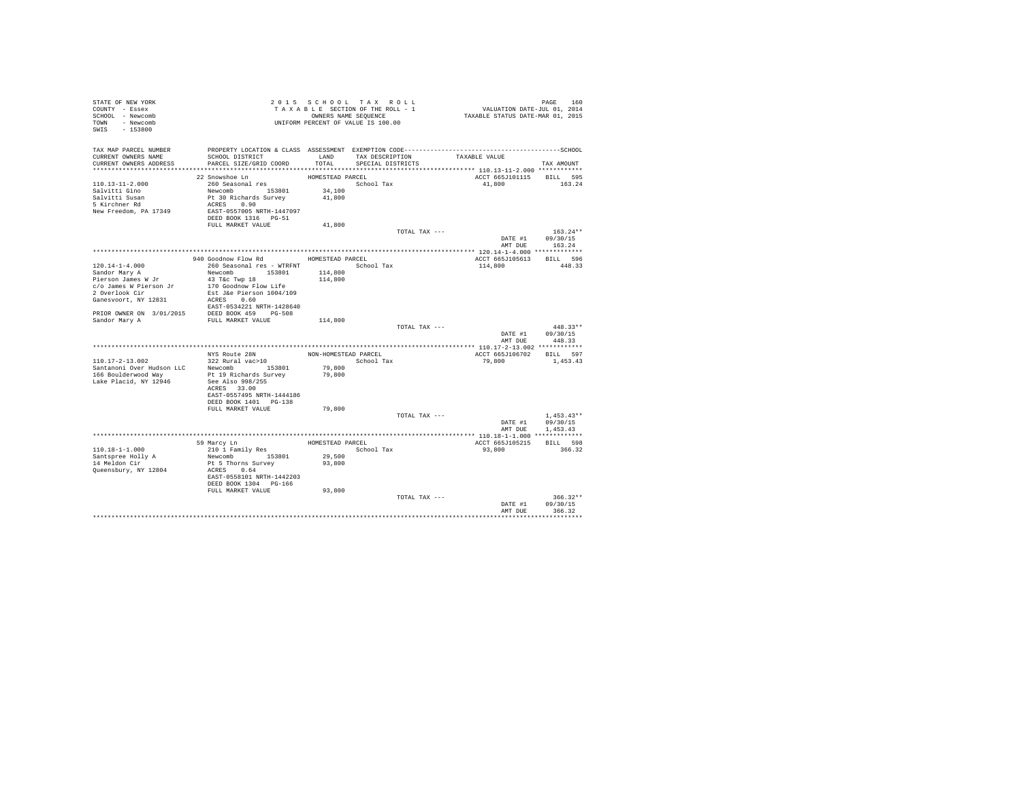| STATE OF NEW YORK<br>COUNTY - Essex<br>SCHOOL - Newcomb<br>TOWN - Newcomb<br>$-153800$<br>SWIS |                                                   |                  | 2015 SCHOOL TAX ROLL<br>TAXABLE SECTION OF THE ROLL - 1<br>OWNERS NAME SEQUENCE<br>UNIFORM PERCENT OF VALUE IS 100.00 |               | raus rou<br>VALUATION DATE-JUL 01, 2014<br>TAXABLE STATUS DATE-MAR 01, 2015 | PAGE<br>160  |
|------------------------------------------------------------------------------------------------|---------------------------------------------------|------------------|-----------------------------------------------------------------------------------------------------------------------|---------------|-----------------------------------------------------------------------------|--------------|
| TAX MAP PARCEL NUMBER<br>CURRENT OWNERS NAME<br>CURRENT OWNERS ADDRESS                         | SCHOOL DISTRICT<br>PARCEL SIZE/GRID COORD         | TOTAL            | LAND TAX DESCRIPTION<br>SPECIAL DISTRICTS                                                                             |               | TAXABLE VALUE                                                               | TAX AMOUNT   |
|                                                                                                |                                                   |                  |                                                                                                                       |               |                                                                             |              |
|                                                                                                | 22 Snowshoe Ln                                    | HOMESTEAD PARCEL |                                                                                                                       |               | ACCT 665J101115                                                             | BILL 595     |
| $110.13 - 11 - 2.000$                                                                          | 260 Seasonal res                                  |                  | School Tax                                                                                                            |               | 41,800                                                                      | 163.24       |
| Salvitti Gino                                                                                  | Newcomb 153801                                    | 34,100           |                                                                                                                       |               |                                                                             |              |
|                                                                                                | Pt 30 Richards Survey                             | 41,800           |                                                                                                                       |               |                                                                             |              |
| Salvitti Susan<br>5 Kirchner Rd                                                                | ACRES 0.90                                        |                  |                                                                                                                       |               |                                                                             |              |
| New Freedom, PA 17349                                                                          | EAST-0557005 NRTH-1447097<br>DEED BOOK 1316 PG-51 |                  |                                                                                                                       |               |                                                                             |              |
|                                                                                                | FULL MARKET VALUE                                 | 41,800           |                                                                                                                       |               |                                                                             |              |
|                                                                                                |                                                   |                  |                                                                                                                       | TOTAL TAX --- |                                                                             | $163.24**$   |
|                                                                                                |                                                   |                  |                                                                                                                       |               | DATE #1                                                                     | 09/30/15     |
|                                                                                                |                                                   |                  |                                                                                                                       |               | AMT DUE                                                                     | 163.24       |
|                                                                                                |                                                   |                  |                                                                                                                       |               |                                                                             |              |
|                                                                                                | 940 Goodnow Flow Rd MOMESTEAD PARCEL              |                  |                                                                                                                       |               | ACCT 665J105613                                                             | BILL 596     |
| $120.14 - 1 - 4.000$                                                                           | 260 Seasonal res - WTRFNT                         |                  | School Tax                                                                                                            |               | 114,800                                                                     | 448.33       |
| Sandor Mary A                                                                                  | Newcomb 153801                                    | 114,800          |                                                                                                                       |               |                                                                             |              |
| Pierson James W Jr                                                                             | 43 T&C Twp 18                                     | 114,800          |                                                                                                                       |               |                                                                             |              |
| c/o James W Pierson Jr<br>2 Overlook Cir                                                       | 170 Goodnow Flow Life                             |                  |                                                                                                                       |               |                                                                             |              |
| Ganesvoort, NY 12831                                                                           | Est J&e Pierson 1004/109<br>ACRES 0.60            |                  |                                                                                                                       |               |                                                                             |              |
|                                                                                                | EAST-0534221 NRTH-1428640                         |                  |                                                                                                                       |               |                                                                             |              |
| PRIOR OWNER ON 3/01/2015 DEED BOOK 459 PG-508                                                  |                                                   |                  |                                                                                                                       |               |                                                                             |              |
| Sandor Mary A                                                                                  | FULL MARKET VALUE                                 | 114,800          |                                                                                                                       |               |                                                                             |              |
|                                                                                                |                                                   |                  |                                                                                                                       | TOTAL TAX --- |                                                                             | $448.33**$   |
|                                                                                                |                                                   |                  |                                                                                                                       |               | DATE #1                                                                     | 09/30/15     |
|                                                                                                |                                                   |                  |                                                                                                                       |               | AMT DUE                                                                     | 448.33       |
|                                                                                                |                                                   |                  |                                                                                                                       |               |                                                                             |              |
|                                                                                                | NYS Route 28N                                     |                  | NON-HOMESTEAD PARCEL                                                                                                  |               | ACCT 665J106702                                                             | BILL 597     |
| 110.17-2-13.002                                                                                | 322 Rural vac>10                                  |                  | School Tax                                                                                                            |               | 79,800                                                                      | 1,453.43     |
| Santanoni Over Hudson LLC                                                                      | Newcomb 153801                                    | 79,800           |                                                                                                                       |               |                                                                             |              |
| 166 Boulderwood Way                                                                            | Pt 19 Richards Survey                             | 79,800           |                                                                                                                       |               |                                                                             |              |
| Lake Placid, NY 12946                                                                          | See Also 998/255<br>ACRES 33.00                   |                  |                                                                                                                       |               |                                                                             |              |
|                                                                                                | EAST-0557495 NRTH-1444186                         |                  |                                                                                                                       |               |                                                                             |              |
|                                                                                                | DEED BOOK 1401 PG-138                             |                  |                                                                                                                       |               |                                                                             |              |
|                                                                                                | FULL MARKET VALUE                                 | 79,800           |                                                                                                                       |               |                                                                             |              |
|                                                                                                |                                                   |                  |                                                                                                                       | TOTAL TAX --- |                                                                             | $1.453.43**$ |
|                                                                                                |                                                   |                  |                                                                                                                       |               | DATE #1                                                                     | 09/30/15     |
|                                                                                                |                                                   |                  |                                                                                                                       |               | AMT DUE                                                                     | 1,453.43     |
|                                                                                                |                                                   |                  |                                                                                                                       |               |                                                                             |              |
|                                                                                                | 59 Marcy Ln                                       | HOMESTEAD PARCEL |                                                                                                                       |               | ACCT 665J105215                                                             | BILL 598     |
| $110.18 - 1 - 1.000$                                                                           | 210 1 Family Res                                  |                  | School Tax                                                                                                            |               | 93,800                                                                      | 366.32       |
| Santspree Holly A                                                                              | Newcomb 153801                                    | 29,500           |                                                                                                                       |               |                                                                             |              |
| 14 Meldon Cir                                                                                  | Pt 5 Thorns Survey                                | 93,800           |                                                                                                                       |               |                                                                             |              |
| Oueensbury, NY 12804                                                                           | ACRES 0.64                                        |                  |                                                                                                                       |               |                                                                             |              |
|                                                                                                | EAST-0558101 NRTH-1442203                         |                  |                                                                                                                       |               |                                                                             |              |
|                                                                                                | DEED BOOK 1304 PG-166<br>FULL MARKET VALUE        | 93,800           |                                                                                                                       |               |                                                                             |              |
|                                                                                                |                                                   |                  |                                                                                                                       | TOTAL TAX --- |                                                                             | $366.32**$   |
|                                                                                                |                                                   |                  |                                                                                                                       |               | DATE #1                                                                     | 09/30/15     |
|                                                                                                |                                                   |                  |                                                                                                                       |               | AMT DUE                                                                     | 366.32       |
|                                                                                                |                                                   |                  |                                                                                                                       |               |                                                                             | ***********  |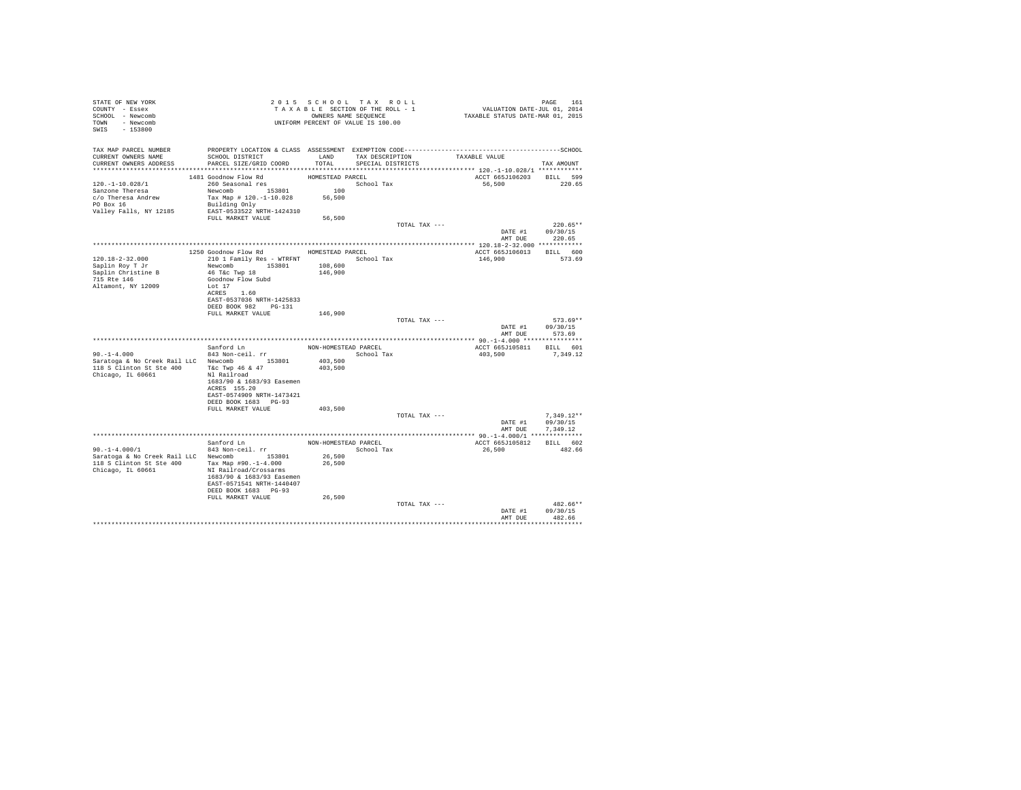| TAX MAP PARCEL NUMBER<br>TAX DESCRIPTION<br>CURRENT OWNERS NAME<br>SCHOOL DISTRICT<br>LAND<br>TAXABLE VALUE<br>CURRENT OWNERS ADDRESS PARCEL SIZE/GRID COORD<br>TOTAL<br>SPECIAL DISTRICTS<br>TAX AMOUNT<br>ACCT 665J106203 BILL 599<br>1481 Goodnow Flow Rd<br>HOMESTEAD PARCEL<br>260 Seasonal res<br>School Tax<br>120. -1-10.028/1<br>56,500<br>100<br>Sanzone Theresa<br>Newcomb 153801<br>Tax Map # 120.-1-10.028 56,500<br>c/o Theresa Andrew<br>PO Box 16<br>Building Only<br>EAST-0533522 NRTH-1424310<br>Valley Falls, NY 12185<br>56,500<br>FULL MARKET VALUE<br>TOTAL TAX ---<br>DATE #1 09/30/15<br>AMT DUE 220.65<br>1250 Goodnow Flow Rd MOMESTEAD PARCEL<br>ACCT 665J106013 BILL 600<br>210 1 Family Res - WTRFNT<br>120.18-2-32.000<br>146,900<br>School Tax<br>Newcomb 153801<br>Saplin Roy T Jr<br>108,600<br>46 T&C Twp 18<br>Saplin Christine B<br>146,900<br>715 Rte 146<br>Goodnow Flow Subd<br>Altamont, NY 12009<br>Lot 17<br>ACRES 1.60<br>EAST-0537036 NRTH-1425833<br>DEED BOOK 982 PG-131<br>FULL MARKET VALUE<br>146,900<br>TOTAL TAX ---<br>DATE #1 09/30/15<br>AMT DUE<br>573.69<br>Sanford Ln<br>NON-HOMESTEAD PARCEL<br>ACCT 665J105811 BILL 601<br>$843$ Non-ceil. $rr$<br>$90. -1 - 4.000$<br>School Tax<br>403,500 7,349.12<br>Saratoga & No Creek Rail LLC Newcomb 153801<br>403,500<br>118 S Clinton St Ste 400 T&c Twp 46 & 47<br>403,500<br>Chicago, IL 60661<br>Nl Railroad<br>1683/90 & 1683/93 Easemen<br>ACRES 155.20<br>EAST-0574909 NRTH-1473421<br>DEED BOOK 1683 PG-93<br>403,500<br>FULL MARKET VALUE<br>TOTAL TAX ---<br>DATE #1 09/30/15<br>AMT DUE<br>7.349.12<br>Sanford Ln<br>NON-HOMESTEAD PARCEL<br>ACCT 665J105812 BILL 602<br>$90. -1 - 4.000/1$<br>843 Non-ceil. rr<br>School Tax<br>26,500<br>482.66<br>Saratoga & No Creek Rail LLC Newcomb 153801<br>26,500<br>118 S Clinton St Ste 400 Tax Map #90.-1-4.000<br>26,500<br>Chicago, IL 60661<br>NI Railroad/Crossarms<br>1683/90 & 1683/93 Easemen<br>EAST-0571541 NRTH-1440407<br>DEED BOOK 1683 PG-93<br>FULL MARKET VALUE<br>26,500<br>TOTAL TAX --- | STATE OF NEW YORK<br>COUNTY - Essex<br>SCHOOL - Newcomb<br>TOWN - Newcomb<br>SWIS - 153800 | T A X A B L L _ _ _ _ _ _ _ _ OWNERS NAME SEQUENCE<br>UNIFORM PERCENT OF VALUE IS 100.00 | 2015 SCHOOL TAX ROLL<br>TAXABLE SECTION OF THE ROLL - 1<br>OWNERS NAME SEQUENCE | PAGE 161<br>VALUATION DATE-JUL 01, 2014<br>TAXABLE STATUS DATE-MAR 01, 2015 |                          |
|-----------------------------------------------------------------------------------------------------------------------------------------------------------------------------------------------------------------------------------------------------------------------------------------------------------------------------------------------------------------------------------------------------------------------------------------------------------------------------------------------------------------------------------------------------------------------------------------------------------------------------------------------------------------------------------------------------------------------------------------------------------------------------------------------------------------------------------------------------------------------------------------------------------------------------------------------------------------------------------------------------------------------------------------------------------------------------------------------------------------------------------------------------------------------------------------------------------------------------------------------------------------------------------------------------------------------------------------------------------------------------------------------------------------------------------------------------------------------------------------------------------------------------------------------------------------------------------------------------------------------------------------------------------------------------------------------------------------------------------------------------------------------------------------------------------------------------------------------------------------------------------------------------------------------------------------------------------------------------------------------------------------------------------------------------------------------|--------------------------------------------------------------------------------------------|------------------------------------------------------------------------------------------|---------------------------------------------------------------------------------|-----------------------------------------------------------------------------|--------------------------|
|                                                                                                                                                                                                                                                                                                                                                                                                                                                                                                                                                                                                                                                                                                                                                                                                                                                                                                                                                                                                                                                                                                                                                                                                                                                                                                                                                                                                                                                                                                                                                                                                                                                                                                                                                                                                                                                                                                                                                                                                                                                                       |                                                                                            |                                                                                          |                                                                                 |                                                                             |                          |
|                                                                                                                                                                                                                                                                                                                                                                                                                                                                                                                                                                                                                                                                                                                                                                                                                                                                                                                                                                                                                                                                                                                                                                                                                                                                                                                                                                                                                                                                                                                                                                                                                                                                                                                                                                                                                                                                                                                                                                                                                                                                       |                                                                                            |                                                                                          |                                                                                 |                                                                             | 220.65                   |
|                                                                                                                                                                                                                                                                                                                                                                                                                                                                                                                                                                                                                                                                                                                                                                                                                                                                                                                                                                                                                                                                                                                                                                                                                                                                                                                                                                                                                                                                                                                                                                                                                                                                                                                                                                                                                                                                                                                                                                                                                                                                       |                                                                                            |                                                                                          |                                                                                 |                                                                             | $220.65**$               |
|                                                                                                                                                                                                                                                                                                                                                                                                                                                                                                                                                                                                                                                                                                                                                                                                                                                                                                                                                                                                                                                                                                                                                                                                                                                                                                                                                                                                                                                                                                                                                                                                                                                                                                                                                                                                                                                                                                                                                                                                                                                                       |                                                                                            |                                                                                          |                                                                                 |                                                                             | 573.69                   |
|                                                                                                                                                                                                                                                                                                                                                                                                                                                                                                                                                                                                                                                                                                                                                                                                                                                                                                                                                                                                                                                                                                                                                                                                                                                                                                                                                                                                                                                                                                                                                                                                                                                                                                                                                                                                                                                                                                                                                                                                                                                                       |                                                                                            |                                                                                          |                                                                                 |                                                                             | 573.69**                 |
|                                                                                                                                                                                                                                                                                                                                                                                                                                                                                                                                                                                                                                                                                                                                                                                                                                                                                                                                                                                                                                                                                                                                                                                                                                                                                                                                                                                                                                                                                                                                                                                                                                                                                                                                                                                                                                                                                                                                                                                                                                                                       |                                                                                            |                                                                                          |                                                                                 |                                                                             |                          |
|                                                                                                                                                                                                                                                                                                                                                                                                                                                                                                                                                                                                                                                                                                                                                                                                                                                                                                                                                                                                                                                                                                                                                                                                                                                                                                                                                                                                                                                                                                                                                                                                                                                                                                                                                                                                                                                                                                                                                                                                                                                                       |                                                                                            |                                                                                          |                                                                                 |                                                                             | $7.349.12**$             |
|                                                                                                                                                                                                                                                                                                                                                                                                                                                                                                                                                                                                                                                                                                                                                                                                                                                                                                                                                                                                                                                                                                                                                                                                                                                                                                                                                                                                                                                                                                                                                                                                                                                                                                                                                                                                                                                                                                                                                                                                                                                                       |                                                                                            |                                                                                          |                                                                                 |                                                                             |                          |
|                                                                                                                                                                                                                                                                                                                                                                                                                                                                                                                                                                                                                                                                                                                                                                                                                                                                                                                                                                                                                                                                                                                                                                                                                                                                                                                                                                                                                                                                                                                                                                                                                                                                                                                                                                                                                                                                                                                                                                                                                                                                       |                                                                                            |                                                                                          |                                                                                 |                                                                             |                          |
| DATE #1<br>09/30/15<br>AMT DUE<br>482.66                                                                                                                                                                                                                                                                                                                                                                                                                                                                                                                                                                                                                                                                                                                                                                                                                                                                                                                                                                                                                                                                                                                                                                                                                                                                                                                                                                                                                                                                                                                                                                                                                                                                                                                                                                                                                                                                                                                                                                                                                              |                                                                                            |                                                                                          |                                                                                 |                                                                             | $482.66**$<br>********** |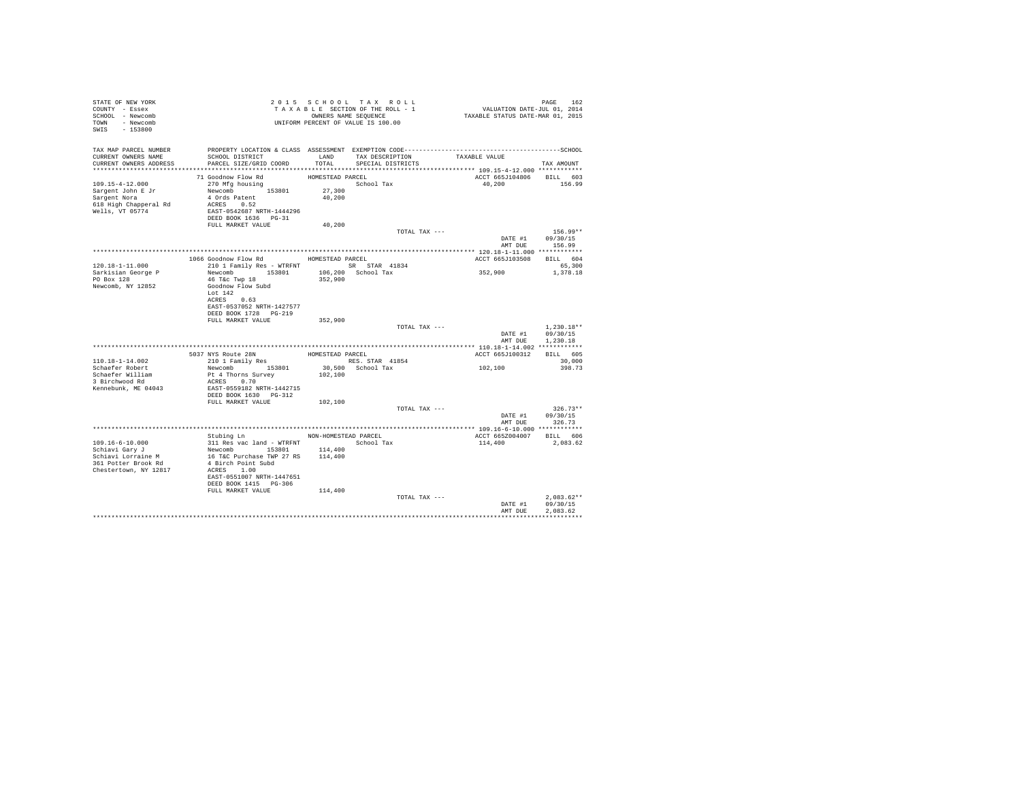| STATE OF NEW YORK<br>COUNTY - Essex<br>SCHOOL - Newcomb<br>TOWN - Newcomb<br>SWIS - 153800 |                                                                                                                                                                                   |                  | 2015 SCHOOL TAX ROLL<br>TAXABLE SECTION OF THE ROLL - 1<br>OWNERS NAME SEQUENCE<br>UNIFORM PERCENT OF VALUE IS 100.00 | PAGE 162<br>VALUATION DATE-JUL 01, 2014<br>TAXABLE STATUS DATE-MAR 01, 2015 |                          |
|--------------------------------------------------------------------------------------------|-----------------------------------------------------------------------------------------------------------------------------------------------------------------------------------|------------------|-----------------------------------------------------------------------------------------------------------------------|-----------------------------------------------------------------------------|--------------------------|
| TAX MAP PARCEL NUMBER<br>CURRENT OWNERS NAME                                               | SCHOOL DISTRICT                                                                                                                                                                   |                  | LAND TAX DESCRIPTION                                                                                                  | TAXABLE VALUE                                                               |                          |
| CURRENT OWNERS ADDRESS                                                                     | PARCEL SIZE/GRID COORD                                                                                                                                                            | TOTAL            | SPECIAL DISTRICTS                                                                                                     |                                                                             | TAX AMOUNT               |
|                                                                                            |                                                                                                                                                                                   |                  |                                                                                                                       |                                                                             |                          |
|                                                                                            | 71 Goodnow Flow Rd                                                                                                                                                                | HOMESTEAD PARCEL |                                                                                                                       | ACCT 665J104806                                                             | BILL 603                 |
| 109.15-4-12.000                                                                            | 270 Mfg housing                                                                                                                                                                   |                  | School Tax                                                                                                            | 40.200                                                                      | 156.99                   |
| Sargent John E Jr<br>Sargent Nora                                                          | Newcomb 153801<br>4 Ords Patent                                                                                                                                                   | 27,300           |                                                                                                                       |                                                                             |                          |
| 618 High Chapperal Rd                                                                      | ACRES 0.52                                                                                                                                                                        | 40,200           |                                                                                                                       |                                                                             |                          |
| Wells, VT 05774                                                                            | EAST-0542687 NRTH-1444296                                                                                                                                                         |                  |                                                                                                                       |                                                                             |                          |
|                                                                                            | DEED BOOK 1636 PG-31                                                                                                                                                              |                  |                                                                                                                       |                                                                             |                          |
|                                                                                            | FULL MARKET VALUE                                                                                                                                                                 | 40,200           |                                                                                                                       |                                                                             |                          |
|                                                                                            |                                                                                                                                                                                   |                  | TOTAL TAX ---                                                                                                         |                                                                             | $156.99**$               |
|                                                                                            |                                                                                                                                                                                   |                  |                                                                                                                       | DATE #1 09/30/15                                                            |                          |
|                                                                                            |                                                                                                                                                                                   |                  |                                                                                                                       | AMT DUE                                                                     | 156.99                   |
|                                                                                            | 1066 Goodnow Flow Rd HOMESTEAD PARCEL                                                                                                                                             |                  |                                                                                                                       |                                                                             |                          |
| 120.18-1-11.000                                                                            | 210 1 Family Res - WTRFNT SR STAR 41834                                                                                                                                           |                  |                                                                                                                       | ACCT 665J103508                                                             | BILL 604<br>65,300       |
| Sarkisian George P                                                                         | Newcomb 153801                                                                                                                                                                    |                  | 106,200 School Tax                                                                                                    | 352,900                                                                     | 1,378.18                 |
| PO Box 128                                                                                 | 46 T&c Twp 18                                                                                                                                                                     | 352,900          |                                                                                                                       |                                                                             |                          |
| Newcomb, NY 12852                                                                          | Goodnow Flow Subd                                                                                                                                                                 |                  |                                                                                                                       |                                                                             |                          |
|                                                                                            | Lot $142$                                                                                                                                                                         |                  |                                                                                                                       |                                                                             |                          |
|                                                                                            | ACRES 0.63                                                                                                                                                                        |                  |                                                                                                                       |                                                                             |                          |
|                                                                                            | EAST-0537052 NRTH-1427577                                                                                                                                                         |                  |                                                                                                                       |                                                                             |                          |
|                                                                                            | DEED BOOK 1728 PG-219<br>FULL MARKET VALUE                                                                                                                                        | 352,900          |                                                                                                                       |                                                                             |                          |
|                                                                                            |                                                                                                                                                                                   |                  | TOTAL TAX ---                                                                                                         |                                                                             | $1.230.18**$             |
|                                                                                            |                                                                                                                                                                                   |                  |                                                                                                                       | DATE #1                                                                     | 09/30/15                 |
|                                                                                            |                                                                                                                                                                                   |                  |                                                                                                                       | AMT DUE                                                                     | 1,230.18                 |
|                                                                                            |                                                                                                                                                                                   |                  |                                                                                                                       |                                                                             |                          |
|                                                                                            | 5037 NYS Route 28N<br>210 1 Family Res                                                                                                                                            |                  | HOMESTEAD PARCEL                                                                                                      | ACCT 665J100312                                                             | BILL 605                 |
| 110.18-1-14.002                                                                            |                                                                                                                                                                                   |                  | RES. STAR 41854                                                                                                       |                                                                             | 30,000                   |
| Schaefer Robert                                                                            | Newcomb 153801                                                                                                                                                                    |                  | 30,500 School Tax                                                                                                     | 102,100                                                                     | 398.73                   |
| Schaefer William<br>3 Birchwood Rd                                                         | Pt 4 Thorns Survey<br>ACRES 0.70                                                                                                                                                  | 102,100          |                                                                                                                       |                                                                             |                          |
| Kennebunk, ME 04043                                                                        | EAST-0559182 NRTH-1442715                                                                                                                                                         |                  |                                                                                                                       |                                                                             |                          |
|                                                                                            | DEED BOOK 1630 PG-312                                                                                                                                                             |                  |                                                                                                                       |                                                                             |                          |
|                                                                                            | FULL MARKET VALUE                                                                                                                                                                 | 102,100          |                                                                                                                       |                                                                             |                          |
|                                                                                            |                                                                                                                                                                                   |                  | TOTAL TAX ---                                                                                                         |                                                                             | $326.73**$               |
|                                                                                            |                                                                                                                                                                                   |                  |                                                                                                                       | DATE #1                                                                     | 09/30/15                 |
|                                                                                            |                                                                                                                                                                                   |                  |                                                                                                                       | AMT DUE                                                                     | 326.73                   |
|                                                                                            |                                                                                                                                                                                   |                  |                                                                                                                       |                                                                             |                          |
| 109.16-6-10.000                                                                            | Stubing Ln NON-HOMESTEAD PARCEL                                                                                                                                                   |                  |                                                                                                                       | ACCT 665Z004007<br>114,400                                                  | BILL 606<br>2,083.62     |
| Schiavi Gary J                                                                             | 311 Res vac land - WTRFNT $\begin{array}{ccc} \text{Stool} & \text{Stool} \\ \text{Newton} & \text{Stool} \end{array}$ Tax Newcomb $\begin{array}{ccc} 114,400 \\ 16 \end{array}$ |                  |                                                                                                                       |                                                                             |                          |
| Schiavi Lorraine M                                                                         |                                                                                                                                                                                   |                  |                                                                                                                       |                                                                             |                          |
| 361 Potter Brook Rd                                                                        | 4 Birch Point Subd                                                                                                                                                                |                  |                                                                                                                       |                                                                             |                          |
| Chestertown, NY 12817                                                                      | ACRES 1.00                                                                                                                                                                        |                  |                                                                                                                       |                                                                             |                          |
|                                                                                            | EAST-0551007 NRTH-1447651                                                                                                                                                         |                  |                                                                                                                       |                                                                             |                          |
|                                                                                            | DEED BOOK 1415 PG-306                                                                                                                                                             |                  |                                                                                                                       |                                                                             |                          |
|                                                                                            | FULL MARKET VALUE                                                                                                                                                                 | 114,400          |                                                                                                                       |                                                                             |                          |
|                                                                                            |                                                                                                                                                                                   |                  | TOTAL TAX ---                                                                                                         | DATE #1                                                                     | $2.083.62**$<br>09/30/15 |
|                                                                                            |                                                                                                                                                                                   |                  |                                                                                                                       | AMT DUE                                                                     | 2.083.62                 |
|                                                                                            |                                                                                                                                                                                   |                  |                                                                                                                       |                                                                             |                          |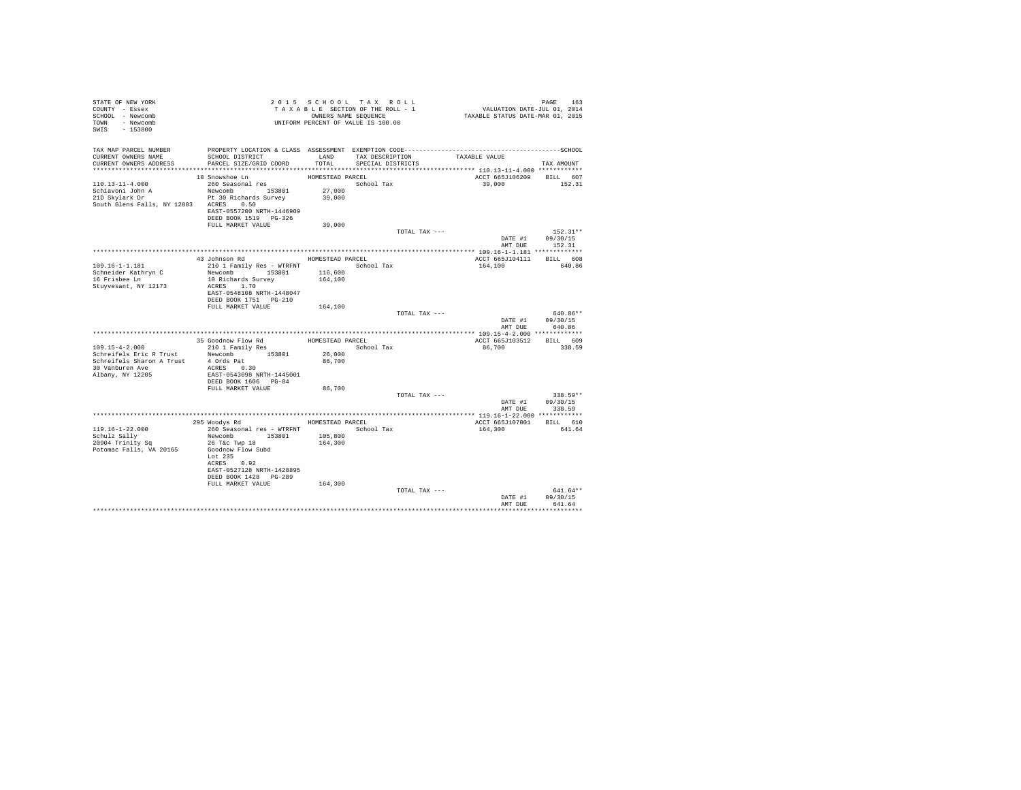| STATE OF NEW YORK<br>COUNTY - Essex<br>SCHOOL - Newcomb                        | TAXABLE SECTION OF THE ROLL - CONNERS NAME SEQUENCE<br>OWNERS NAME SEQUENCE<br>UNIFORM PERCENT OF VALUE IS 100.00 |                    | TAXABLE SECTION OF THE ROLL - 1      | PAGE 163<br>VALUATION DATE-JUL 01, 2014<br>TAXABLE STATUS DATE-MAR 01, 2015                  |                                    |
|--------------------------------------------------------------------------------|-------------------------------------------------------------------------------------------------------------------|--------------------|--------------------------------------|----------------------------------------------------------------------------------------------|------------------------------------|
| TOWN - Newcomb<br>SWIS - 153800                                                |                                                                                                                   |                    |                                      |                                                                                              |                                    |
| TAX MAP PARCEL NUMBER                                                          |                                                                                                                   |                    |                                      | PROPERTY LOCATION & CLASS ASSESSMENT EXEMPTION CODE-----------------------------------SCHOOL |                                    |
| CURRENT OWNERS NAME<br>CURRENT OWNERS ADDRESS                                  | SCHOOL DISTRICT<br>PARCEL SIZE/GRID COORD                                                                         | LAND<br>TOTAL.     | TAX DESCRIPTION<br>SPECIAL DISTRICTS | TAXABLE VALUE                                                                                | TAX AMOUNT                         |
|                                                                                |                                                                                                                   |                    |                                      |                                                                                              |                                    |
|                                                                                | 18 Snowshoe Ln                                                                                                    | HOMESTEAD PARCEL   |                                      |                                                                                              | ACCT 665J106209 BILL 607           |
| $110.13 - 11 - 4.000$                                                          | 260 Seasonal res                                                                                                  |                    | School Tax                           | 39,000                                                                                       | 152.31                             |
| Schiavoni John A<br>21D Skylark Dr                                             | Newcomb 153801 27,000<br>Pt 30 Richards Survey 39,000                                                             |                    |                                      |                                                                                              |                                    |
| South Glens Falls, NY 12803 ACRES 0.50                                         |                                                                                                                   |                    |                                      |                                                                                              |                                    |
|                                                                                | EAST-0557200 NRTH-1446909                                                                                         |                    |                                      |                                                                                              |                                    |
|                                                                                | DEED BOOK 1519 PG-326                                                                                             |                    |                                      |                                                                                              |                                    |
|                                                                                | FULL MARKET VALUE                                                                                                 | 39,000             |                                      |                                                                                              |                                    |
|                                                                                |                                                                                                                   |                    |                                      | TOTAL TAX ---                                                                                | $152.31**$                         |
|                                                                                |                                                                                                                   |                    |                                      |                                                                                              | DATE #1 09/30/15<br>AMT DUE 152.31 |
|                                                                                |                                                                                                                   |                    |                                      |                                                                                              |                                    |
|                                                                                | 43 Johnson Rd                                                                                                     | HOMESTEAD PARCEL   |                                      |                                                                                              | ACCT 665J104111 BILL 608           |
| 109.16-1-1.181                                                                 | 210 1 Family Res - WTRFNT                                                                                         |                    | School Tax                           | 164,100                                                                                      | 640.86                             |
| Schneider Kathryn C                                                            | Newcomb 153801 116,600<br>10 Richards Survey 164,100                                                              |                    |                                      |                                                                                              |                                    |
| 16 Frisbee Ln<br>Stuyvesant, NY 12173                                          | 10 Richards Survey<br>ACRES 1.70                                                                                  |                    |                                      |                                                                                              |                                    |
|                                                                                | EAST-0548108 NRTH-1448047                                                                                         |                    |                                      |                                                                                              |                                    |
|                                                                                | DEED BOOK 1751    PG-210                                                                                          |                    |                                      |                                                                                              |                                    |
|                                                                                | FULL MARKET VALUE                                                                                                 | 164,100            |                                      |                                                                                              |                                    |
|                                                                                |                                                                                                                   |                    |                                      | TOTAL TAX ---                                                                                | 640.86**<br>DATE #1 09/30/15       |
|                                                                                |                                                                                                                   |                    |                                      | AMT DUE                                                                                      | 640.86                             |
|                                                                                |                                                                                                                   |                    |                                      |                                                                                              |                                    |
|                                                                                | 35 Goodnow Flow Rd                                                                                                |                    | HOMESTEAD PARCEL                     | ACCT 665J103512                                                                              | BILL 609                           |
| $109.15 - 4 - 2.000$                                                           | 210 1 Family Res                                                                                                  |                    | School Tax                           | 86,700                                                                                       | 338.59                             |
| Schreifels Eric R Trust Mewcomb 153801<br>Schreifels Sharon A Trust 4 Ords Pat |                                                                                                                   | 26,000<br>86,700   |                                      |                                                                                              |                                    |
| 30 Vanburen Ave                                                                | ACRES 0.30                                                                                                        |                    |                                      |                                                                                              |                                    |
| Albany, NY 12205                                                               | EAST-0543098 NRTH-1445001                                                                                         |                    |                                      |                                                                                              |                                    |
|                                                                                | DEED BOOK 1606 PG-84                                                                                              |                    |                                      |                                                                                              |                                    |
|                                                                                | FULL MARKET VALUE                                                                                                 | 86,700             |                                      |                                                                                              | $338.59**$                         |
|                                                                                |                                                                                                                   |                    |                                      | TOTAL TAX ---                                                                                | DATE #1 09/30/15                   |
|                                                                                |                                                                                                                   |                    |                                      | AMT DUE                                                                                      | 338.59                             |
|                                                                                |                                                                                                                   |                    |                                      |                                                                                              |                                    |
|                                                                                | 295 Woodys Rd                                                                                                     | HOMESTEAD PARCEL   |                                      |                                                                                              | ACCT 665J107001 BILL 610           |
| 119.16-1-22.000                                                                | 260 Seasonal res - WTRFNT<br>Newcomb 153801                                                                       |                    | School Tax                           | 164,300                                                                                      | 641.64                             |
| Schulz Sally<br>20904 Trinity Sq                                               | 26 T&c Twp 18                                                                                                     | 105,800<br>164,300 |                                      |                                                                                              |                                    |
| Potomac Falls, VA 20165                                                        | Goodnow Flow Subd                                                                                                 |                    |                                      |                                                                                              |                                    |
|                                                                                | Lot 235                                                                                                           |                    |                                      |                                                                                              |                                    |
|                                                                                | ACRES 0.92                                                                                                        |                    |                                      |                                                                                              |                                    |
|                                                                                | EAST-0527128 NRTH-1428895<br>DEED BOOK 1428 PG-289                                                                |                    |                                      |                                                                                              |                                    |
|                                                                                | FULL MARKET VALUE                                                                                                 | 164,300            |                                      |                                                                                              |                                    |
|                                                                                |                                                                                                                   |                    |                                      | TOTAL TAX ---                                                                                | 641.64**                           |
|                                                                                |                                                                                                                   |                    |                                      | DATE #1                                                                                      | 09/30/15                           |
|                                                                                |                                                                                                                   |                    |                                      | AMT DUE                                                                                      | 641.64                             |
|                                                                                |                                                                                                                   |                    |                                      |                                                                                              |                                    |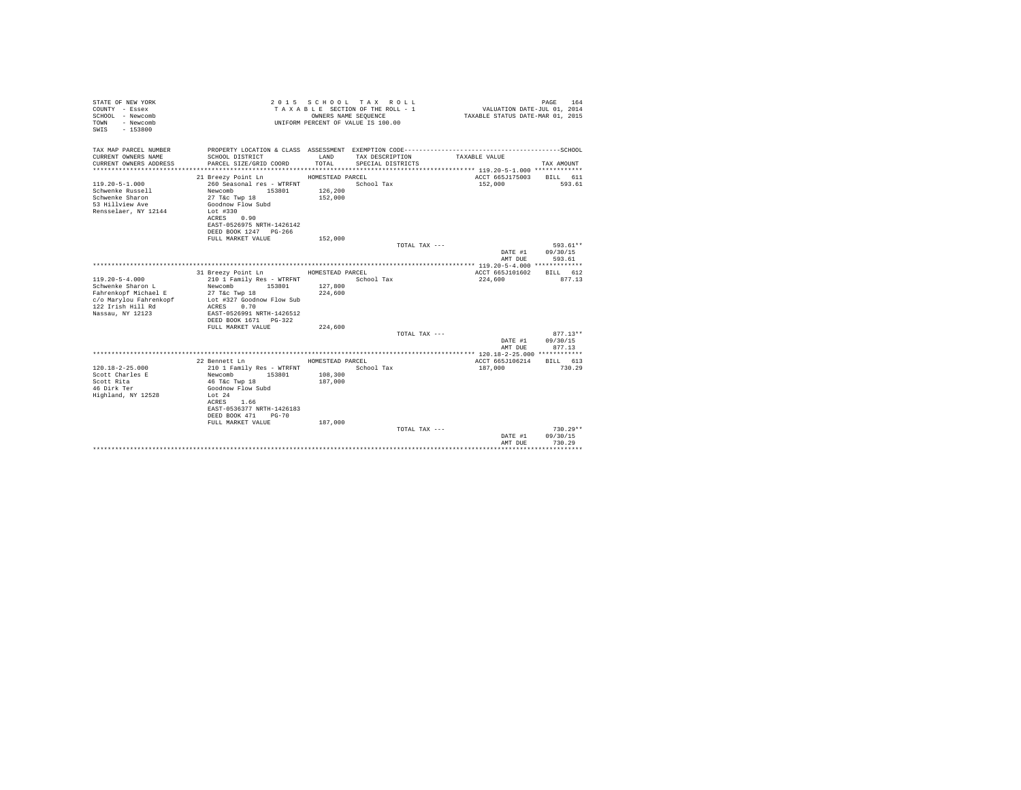| STATE OF NEW YORK<br>COUNTY - Essex<br>SCHOOL - Newcomb<br>- Newcomb<br>TOWN<br>$-153800$<br>SWIS |                                            |                  | 2015 SCHOOL TAX ROLL<br>TAXABLE SECTION OF THE ROLL - 1<br>OWNERS NAME SEOUENCE<br>UNIFORM PERCENT OF VALUE IS 100.00 | VALUATION DATE-JUL 01, 2014<br>TAXABLE STATUS DATE-MAR 01, 2015 | PAGE<br>164          |
|---------------------------------------------------------------------------------------------------|--------------------------------------------|------------------|-----------------------------------------------------------------------------------------------------------------------|-----------------------------------------------------------------|----------------------|
| TAX MAP PARCEL NUMBER<br>CURRENT OWNERS NAME                                                      | SCHOOL DISTRICT                            | LAND             | TAX DESCRIPTION                                                                                                       | TAXABLE VALUE                                                   |                      |
| CURRENT OWNERS ADDRESS                                                                            | PARCEL SIZE/GRID COORD                     | TOTAL.           | SPECIAL DISTRICTS                                                                                                     |                                                                 | TAX AMOUNT           |
|                                                                                                   |                                            |                  |                                                                                                                       |                                                                 |                      |
|                                                                                                   | 21 Breezy Point Ln                         | HOMESTEAD PARCEL |                                                                                                                       | ACCT 665J175003                                                 | BILL 611             |
| $119.20 - 5 - 1.000$                                                                              | 260 Seasonal res - WTRFNT                  |                  | School Tax                                                                                                            | 152,000                                                         | 593.61               |
| Schwenke Russell                                                                                  | Newcomb<br>153801                          | 126,200          |                                                                                                                       |                                                                 |                      |
| Schwenke Sharon                                                                                   | 27 T&c Twp 18                              | 152,000          |                                                                                                                       |                                                                 |                      |
| 53 Hillview Ave<br>Rensselaer, NY 12144                                                           | Goodnow Flow Subd<br>Lot #330              |                  |                                                                                                                       |                                                                 |                      |
|                                                                                                   | ACRES 0.90                                 |                  |                                                                                                                       |                                                                 |                      |
|                                                                                                   | EAST-0526975 NRTH-1426142                  |                  |                                                                                                                       |                                                                 |                      |
|                                                                                                   | DEED BOOK 1247 PG-266                      |                  |                                                                                                                       |                                                                 |                      |
|                                                                                                   | FULL MARKET VALUE                          | 152,000          |                                                                                                                       |                                                                 |                      |
|                                                                                                   |                                            |                  | TOTAL TAX ---                                                                                                         | DATE #1                                                         | 593.61**<br>09/30/15 |
|                                                                                                   |                                            |                  |                                                                                                                       | AMT DUE                                                         | 593.61               |
|                                                                                                   |                                            |                  |                                                                                                                       |                                                                 |                      |
|                                                                                                   | 31 Breezy Point Ln                         | HOMESTEAD PARCEL |                                                                                                                       | ACCT 665J101602                                                 | BILL 612             |
| $119.20 - 5 - 4.000$                                                                              | 210 1 Family Res - WTRFNT                  |                  | School Tax                                                                                                            | 224,600                                                         | 877.13               |
| Schwenke Sharon L                                                                                 | 153801<br>Newcomb                          | 127,800          |                                                                                                                       |                                                                 |                      |
| Fahrenkopf Michael E                                                                              | 27 T&c Twp 18<br>Lot #327 Goodnow Flow Sub | 224,600          |                                                                                                                       |                                                                 |                      |
| c/o Marylou Fahrenkopf<br>122 Irish Hill Rd                                                       | ACRES 0.70                                 |                  |                                                                                                                       |                                                                 |                      |
| Nassau, NY 12123                                                                                  | EAST-0526991 NRTH-1426512                  |                  |                                                                                                                       |                                                                 |                      |
|                                                                                                   | DEED BOOK 1671 PG-322                      |                  |                                                                                                                       |                                                                 |                      |
|                                                                                                   | FULL MARKET VALUE                          | 224,600          |                                                                                                                       |                                                                 |                      |
|                                                                                                   |                                            |                  | TOTAL TAX ---                                                                                                         |                                                                 | $877.13**$           |
|                                                                                                   |                                            |                  |                                                                                                                       | DATE #1                                                         | 09/30/15             |
|                                                                                                   |                                            |                  |                                                                                                                       | AMT DUE                                                         | 877.13               |
|                                                                                                   | 22 Bennett Ln                              | HOMESTEAD PARCEL |                                                                                                                       | ACCT 665J106214                                                 | BILL 613             |
| $120.18 - 2 - 25.000$                                                                             | 210 1 Family Res - WTRFNT                  |                  | School Tax                                                                                                            | 187,000                                                         | 730.29               |
| Scott Charles E                                                                                   | Newcomb<br>153801                          | 108,300          |                                                                                                                       |                                                                 |                      |
| Scott Rita                                                                                        | 46 T&c Twp 18                              | 187,000          |                                                                                                                       |                                                                 |                      |
| 46 Dirk Ter                                                                                       | Goodnow Flow Subd                          |                  |                                                                                                                       |                                                                 |                      |
| Highland, NY 12528                                                                                | Lot 24<br>ACRES 1.66                       |                  |                                                                                                                       |                                                                 |                      |
|                                                                                                   | EAST-0536377 NRTH-1426183                  |                  |                                                                                                                       |                                                                 |                      |
|                                                                                                   | DEED BOOK 471 PG-70                        |                  |                                                                                                                       |                                                                 |                      |
|                                                                                                   | FULL MARKET VALUE                          | 187,000          |                                                                                                                       |                                                                 |                      |
|                                                                                                   |                                            |                  | TOTAL TAX ---                                                                                                         |                                                                 | $730.29**$           |
|                                                                                                   |                                            |                  |                                                                                                                       | DATE #1                                                         | 09/30/15             |
|                                                                                                   |                                            |                  |                                                                                                                       | AMT DUE                                                         | 730.29               |
|                                                                                                   |                                            |                  |                                                                                                                       |                                                                 |                      |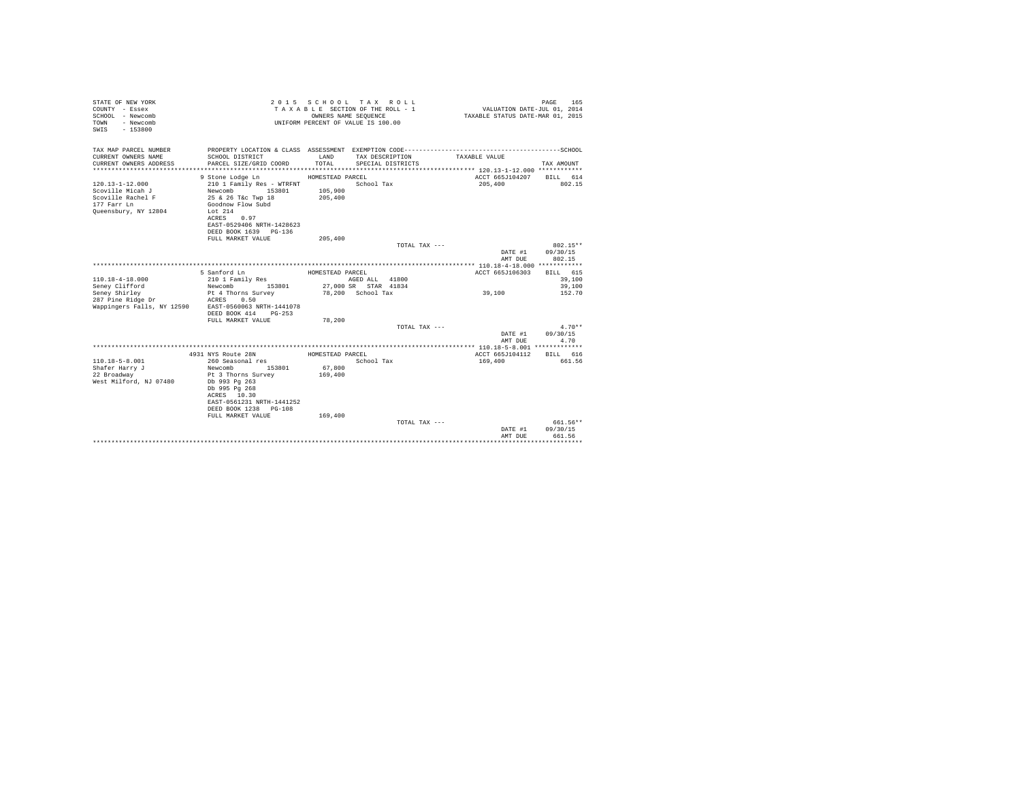| STATE OF NEW YORK<br>COUNTY - Essex<br>SCHOOL - Newcomb<br>- Newcomb<br>TOWN<br>$-153800$<br>SWIS |                                                | OWNERS NAME SEQUENCE | 2015 SCHOOL TAX ROLL<br>TAXABLE SECTION OF THE ROLL - 1<br>UNIFORM PERCENT OF VALUE IS 100.00 | VALUATION DATE-JUL 01, 2014<br>TAXABLE STATUS DATE-MAR 01, 2015 | PAGE<br>165        |
|---------------------------------------------------------------------------------------------------|------------------------------------------------|----------------------|-----------------------------------------------------------------------------------------------|-----------------------------------------------------------------|--------------------|
| TAX MAP PARCEL NUMBER                                                                             |                                                |                      |                                                                                               |                                                                 |                    |
| CURRENT OWNERS NAME                                                                               | SCHOOL DISTRICT                                | LAND                 | TAX DESCRIPTION                                                                               | TAXABLE VALUE                                                   |                    |
| CURRENT OWNERS ADDRESS                                                                            | PARCEL SIZE/GRID COORD                         | TOTAL                | SPECIAL DISTRICTS                                                                             |                                                                 | TAX AMOUNT         |
|                                                                                                   |                                                |                      |                                                                                               |                                                                 |                    |
|                                                                                                   | 9 Stone Lodge Ln                               | HOMESTEAD PARCEL     |                                                                                               | ACCT 665J104207 BILL 614                                        |                    |
| $120.13 - 1 - 12.000$<br>Scoville Micah J                                                         | 210 1 Family Res - WTRFNT<br>Newcomb<br>153801 | 105,900              | School Tax                                                                                    | 205,400                                                         | 802.15             |
| Scoville Rachel F                                                                                 | 25 & 26 T&c Twp 18                             | 205,400              |                                                                                               |                                                                 |                    |
| 177 Farr Ln                                                                                       | Goodnow Flow Subd                              |                      |                                                                                               |                                                                 |                    |
| Queensbury, NY 12804                                                                              | Lot $214$                                      |                      |                                                                                               |                                                                 |                    |
|                                                                                                   | ACRES 0.97                                     |                      |                                                                                               |                                                                 |                    |
|                                                                                                   | EAST-0529406 NRTH-1428623                      |                      |                                                                                               |                                                                 |                    |
|                                                                                                   | DEED BOOK 1639 PG-136                          |                      |                                                                                               |                                                                 |                    |
|                                                                                                   | FULL MARKET VALUE                              | 205,400              |                                                                                               |                                                                 |                    |
|                                                                                                   |                                                |                      | TOTAL TAX ---                                                                                 |                                                                 | $802.15**$         |
|                                                                                                   |                                                |                      |                                                                                               | DATE #1                                                         | 09/30/15           |
|                                                                                                   |                                                |                      |                                                                                               | AMT DUE                                                         | 802.15             |
|                                                                                                   | 5 Sanford Ln                                   | HOMESTEAD PARCEL     |                                                                                               | ACCT 665J106303                                                 | BILL 615           |
| $110.18 - 4 - 18.000$                                                                             | 210 1 Family Res                               |                      | AGED ALL 41800                                                                                |                                                                 | 39,100             |
| Senev Clifford                                                                                    | Newcomb 153801                                 |                      | 27,000 SR STAR 41834                                                                          |                                                                 | 39,100             |
| Seney Shirley                                                                                     | Pt 4 Thorns Survey                             |                      | 78.200 School Tax                                                                             | 39,100                                                          | 152.70             |
| 287 Pine Ridge Dr                                                                                 | ACRES 0.50                                     |                      |                                                                                               |                                                                 |                    |
| Wappingers Falls, NY 12590 EAST-0560063 NRTH-1441078                                              |                                                |                      |                                                                                               |                                                                 |                    |
|                                                                                                   | DEED BOOK 414 PG-253                           |                      |                                                                                               |                                                                 |                    |
|                                                                                                   | FULL MARKET VALUE                              | 78,200               |                                                                                               |                                                                 |                    |
|                                                                                                   |                                                |                      | TOTAL TAX ---                                                                                 |                                                                 | $4.70**$           |
|                                                                                                   |                                                |                      |                                                                                               | DATE #1                                                         | 09/30/15           |
|                                                                                                   |                                                |                      |                                                                                               | AMT DUR                                                         | 4.70               |
|                                                                                                   | 4931 NYS Route 28N                             | HOMESTEAD PARCEL     |                                                                                               | ACCT 665J104112                                                 | BILL 616           |
| $110.18 - 5 - 8.001$                                                                              | 260 Seasonal res                               |                      | School Tax                                                                                    | 169,400                                                         | 661.56             |
| Shafer Harry J                                                                                    | Newcomb<br>153801                              | 67.800               |                                                                                               |                                                                 |                    |
| 22 Broadway                                                                                       | Pt 3 Thorns Survey                             | 169,400              |                                                                                               |                                                                 |                    |
| West Milford, NJ 07480                                                                            | Db 993 Pg 263                                  |                      |                                                                                               |                                                                 |                    |
|                                                                                                   | Db 995 Pq 268                                  |                      |                                                                                               |                                                                 |                    |
|                                                                                                   | ACRES 10.30                                    |                      |                                                                                               |                                                                 |                    |
|                                                                                                   | EAST-0561231 NRTH-1441252                      |                      |                                                                                               |                                                                 |                    |
|                                                                                                   | DEED BOOK 1238 PG-108                          |                      |                                                                                               |                                                                 |                    |
|                                                                                                   | FULL MARKET VALUE                              | 169,400              |                                                                                               |                                                                 |                    |
|                                                                                                   |                                                |                      | TOTAL TAX ---                                                                                 |                                                                 | 661.56**           |
|                                                                                                   |                                                |                      |                                                                                               | DATE #1<br>AMT DUE                                              | 09/30/15<br>661.56 |
|                                                                                                   |                                                |                      |                                                                                               |                                                                 | .                  |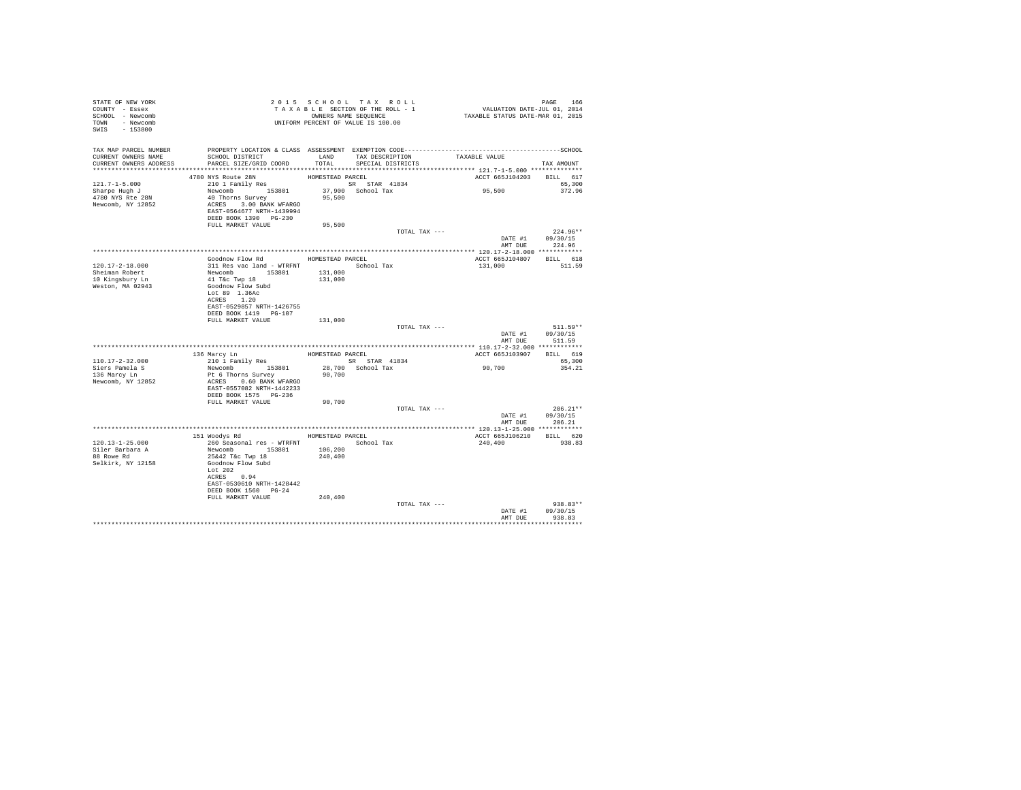| STATE OF NEW YORK<br>COUNTY - Essex<br>SCHOOL - Newcomb<br>TOWN - Newcomb<br>SWIS - 153800    | T A X A B B B B B B SEQUENCE<br>UNIFORM PERCENT OF VALUE IS 100.00                                                                                                 |                    | 2015 SCHOOL TAX ROLL<br>TAXABLE SECTION OF THE ROLL - 1<br>OWNERS NAME SEQUENCE | PAGE 166<br>VALUATION DATE-JUL 01, 2014<br>TAXABLE STATUS DATE-MAR 01, 2015 |                                                  |
|-----------------------------------------------------------------------------------------------|--------------------------------------------------------------------------------------------------------------------------------------------------------------------|--------------------|---------------------------------------------------------------------------------|-----------------------------------------------------------------------------|--------------------------------------------------|
| TAX MAP PARCEL NUMBER<br>CURRENT OWNERS NAME<br>CURRENT OWNERS ADDRESS PARCEL SIZE/GRID COORD | SCHOOL DISTRICT                                                                                                                                                    | LAND<br>TOTAL      | TAX DESCRIPTION<br>SPECIAL DISTRICTS                                            | TAXABLE VALUE                                                               | TAX AMOUNT                                       |
|                                                                                               | 4780 NYS Route 28N                                                                                                                                                 | HOMESTEAD PARCEL   |                                                                                 | ACCT 665J104203 BILL 617                                                    |                                                  |
| 121.7-1-5.000<br>Sharpe Hugh J<br>4780 NYS Rte 28N<br>Newcomb, NY 12852                       | 210 1 Family Res<br>Newcomb 153801<br>40 Thorns Survey<br>ACRES 3.00 BANK WFARGO<br>EAST-0564677 NRTH-1439994<br>DEED BOOK 1390 PG-230                             | 95,500             | SR STAR 41834<br>37,900 School Tax                                              | 95,500                                                                      | 65,300<br>372.96                                 |
|                                                                                               | FULL MARKET VALUE                                                                                                                                                  | 95,500             |                                                                                 |                                                                             |                                                  |
|                                                                                               |                                                                                                                                                                    |                    | TOTAL TAX ---                                                                   |                                                                             | $224.96**$<br>DATE #1 09/30/15<br>AMT DUE 224.96 |
|                                                                                               |                                                                                                                                                                    |                    |                                                                                 |                                                                             |                                                  |
| 120.17-2-18.000<br>Sheiman Robert<br>10 Kingsbury Ln<br>Weston, MA 02943                      | Goodnow Flow Rd HOMESTEAD PARCEL<br>311 Res vac land - WTRFNT School Tax<br>Newcomb<br>41 T&c Twp 18<br>Goodnow Flow Subd                                          | 131,000<br>131,000 |                                                                                 | ACCT 665J104807 BILL 618<br>131,000                                         | 511.59                                           |
|                                                                                               | Lot 89 1.36Ac<br>ACRES 1.20<br>EAST-0529857 NRTH-1426755<br>DEED BOOK 1419 PG-107<br>FULL MARKET VALUE                                                             | 131,000            |                                                                                 |                                                                             |                                                  |
|                                                                                               |                                                                                                                                                                    |                    | TOTAL TAX ---                                                                   | DATE #1<br>AMT DUE                                                          | $511.59**$<br>09/30/15<br>511.59                 |
|                                                                                               |                                                                                                                                                                    |                    |                                                                                 |                                                                             |                                                  |
|                                                                                               | 136 Marcy Ln<br>210 1 Family Res                                                                                                                                   | HOMESTEAD PARCEL   |                                                                                 | ACCT 665J103907 BILL 619                                                    |                                                  |
| $110.17 - 2 - 32.000$<br>Siers Pamela S<br>136 Marcy Ln<br>Newcomb, NY 12852                  | Newcomb 153801<br>Pt 6 Thorns Survey<br>ACRES 0.60 BANK WFARGO<br>EAST-0557082 NRTH-1442233                                                                        | 90,700             | SR STAR 41834<br>28,700 School Tax                                              | 90,700                                                                      | 65,300<br>354.21                                 |
|                                                                                               | DEED BOOK 1575 PG-236                                                                                                                                              |                    |                                                                                 |                                                                             |                                                  |
|                                                                                               | FULL MARKET VALUE                                                                                                                                                  | 90,700             | TOTAL TAX ---                                                                   | DATE #1                                                                     | $206.21**$<br>09/30/15                           |
|                                                                                               |                                                                                                                                                                    |                    |                                                                                 |                                                                             | AMT DUE 206.21                                   |
|                                                                                               |                                                                                                                                                                    |                    |                                                                                 |                                                                             |                                                  |
|                                                                                               | 151 Woodys Rd MOMESTEAD PARCEL                                                                                                                                     |                    |                                                                                 | ACCT 665J106210 BILL 620                                                    |                                                  |
| $120.13 - 1 - 25.000$<br>Siler Barbara A<br>88 Rowe Rd<br>Selkirk, NY 12158                   | 260 Seasonal res - WTRFNT<br>Newcomb 153801<br>25&42 T&c Twp 18<br>Goodnow Flow Subd<br>Lot 202<br>ACRES 0.94<br>EAST-0530610 NRTH-1428442<br>DEED BOOK 1560 PG-24 | 106,200<br>240,400 | School Tax                                                                      | 240,400                                                                     | 938.83                                           |
|                                                                                               | FULL MARKET VALUE                                                                                                                                                  | 240,400            | TOTAL TAX ---                                                                   |                                                                             | $938.83**$                                       |
|                                                                                               |                                                                                                                                                                    |                    |                                                                                 | DATE #1<br>AMT DUE                                                          | 09/30/15<br>938.83                               |
|                                                                                               |                                                                                                                                                                    |                    |                                                                                 |                                                                             |                                                  |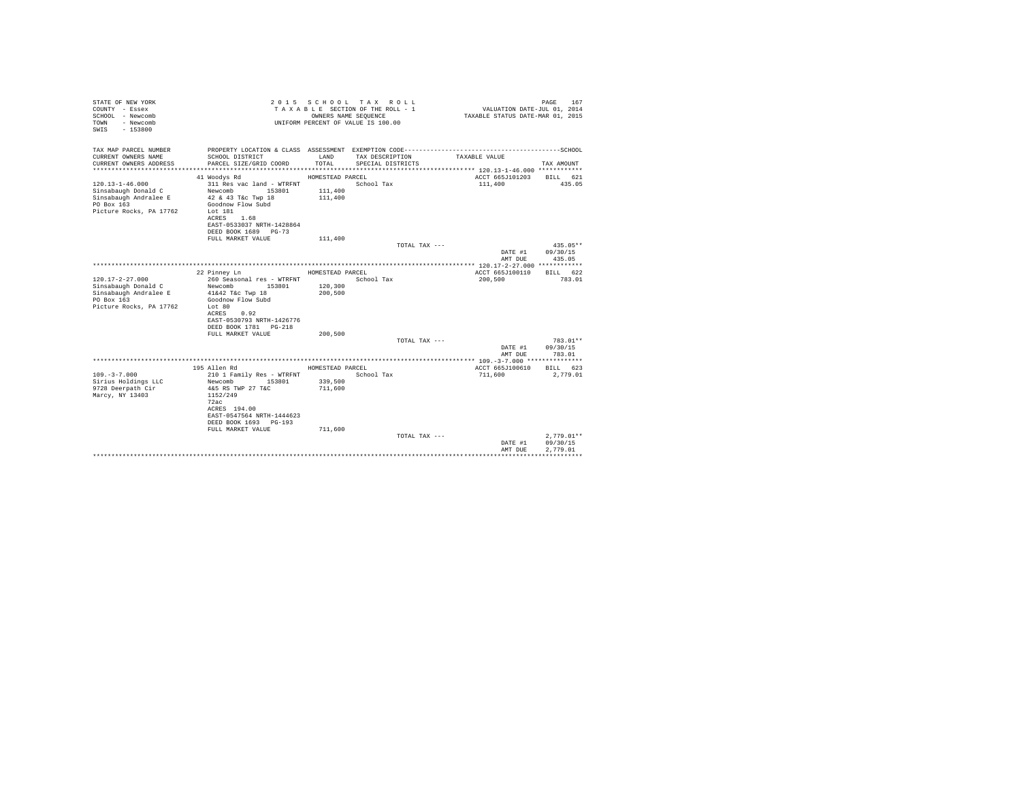| STATE OF NEW YORK<br>COUNTY - Essex<br>SCHOOL - Newcomb<br>- Newcomb<br>TOWN<br>$-153800$<br>SWTS |                                                                      | OWNERS NAME SEQUENCE | 2015 SCHOOL TAX ROLL<br>TAXABLE SECTION OF THE ROLL - 1<br>UNIFORM PERCENT OF VALUE IS 100.00 | VALUATION DATE-JUL 01, 2014<br>TAXABLE STATUS DATE-MAR 01, 2015 | 167<br>PAGE  |
|---------------------------------------------------------------------------------------------------|----------------------------------------------------------------------|----------------------|-----------------------------------------------------------------------------------------------|-----------------------------------------------------------------|--------------|
| TAX MAP PARCEL NUMBER                                                                             |                                                                      |                      |                                                                                               |                                                                 |              |
| CURRENT OWNERS NAME<br>CURRENT OWNERS ADDRESS                                                     | SCHOOL DISTRICT<br>PARCEL SIZE/GRID COORD                            | LAND<br>TOTAL.       | TAX DESCRIPTION<br>SPECIAL DISTRICTS                                                          | TAXABLE VALUE                                                   | TAX AMOUNT   |
|                                                                                                   |                                                                      |                      |                                                                                               |                                                                 |              |
|                                                                                                   | 41 Woodys Rd                                                         | HOMESTEAD PARCEL     |                                                                                               | ACCT 665J101203                                                 | BILL 621     |
| $120.13 - 1 - 46.000$<br>Sinsabaugh Donald C<br>Sinsabaugh Andralee E                             | 311 Res vac land - WTRFNT<br>Newcomb<br>153801<br>42 & 43 T&c Twp 18 | 111,400<br>111,400   | School Tax                                                                                    | 111,400                                                         | 435.05       |
| PO Box 163<br>Picture Rocks, PA 17762                                                             | Goodnow Flow Subd<br>Lot 181                                         |                      |                                                                                               |                                                                 |              |
|                                                                                                   | 1.68<br>ACRES<br>EAST-0533037 NRTH-1428864                           |                      |                                                                                               |                                                                 |              |
|                                                                                                   | DEED BOOK 1689 PG-73                                                 |                      |                                                                                               |                                                                 |              |
|                                                                                                   | FULL MARKET VALUE                                                    | 111,400              |                                                                                               |                                                                 | $435.05**$   |
|                                                                                                   |                                                                      |                      | TOTAL TAX ---                                                                                 | DATE #1                                                         | 09/30/15     |
|                                                                                                   |                                                                      |                      |                                                                                               | AMT DUE                                                         | 435.05       |
|                                                                                                   |                                                                      |                      |                                                                                               |                                                                 |              |
|                                                                                                   | 22 Pinney Ln                                                         | HOMESTEAD PARCEL     |                                                                                               | ACCT 665J100110                                                 | RTLL 622     |
| $120.17 - 2 - 27.000$                                                                             | 260 Seasonal res - WTRFNT                                            |                      | School Tax                                                                                    | 200,500                                                         | 783.01       |
| Sinsabaugh Donald C                                                                               | Newcomb<br>153801                                                    | 120,300              |                                                                                               |                                                                 |              |
| Sinsabaugh Andralee E                                                                             | 41&42 T&c Twp 18                                                     | 200,500              |                                                                                               |                                                                 |              |
| PO Box 163                                                                                        | Goodnow Flow Subd                                                    |                      |                                                                                               |                                                                 |              |
| Picture Rocks, PA 17762                                                                           | Lot 80                                                               |                      |                                                                                               |                                                                 |              |
|                                                                                                   | 0.92<br>ACRES                                                        |                      |                                                                                               |                                                                 |              |
|                                                                                                   | EAST-0530793 NRTH-1426776                                            |                      |                                                                                               |                                                                 |              |
|                                                                                                   | DEED BOOK 1781   PG-218<br>FULL MARKET VALUE                         | 200.500              |                                                                                               |                                                                 |              |
|                                                                                                   |                                                                      |                      | TOTAL TAX ---                                                                                 |                                                                 | 783.01**     |
|                                                                                                   |                                                                      |                      |                                                                                               | DATE #1                                                         | 09/30/15     |
|                                                                                                   |                                                                      |                      |                                                                                               | AMT DUE                                                         | 783.01       |
|                                                                                                   |                                                                      |                      |                                                                                               |                                                                 |              |
|                                                                                                   | 195 Allen Rd                                                         | HOMESTEAD PARCEL     |                                                                                               | ACCT 665J100610                                                 | BILL 623     |
| $109. - 3 - 7.000$                                                                                | 210 1 Family Res - WTRFNT                                            |                      | School Tax                                                                                    | 711,600                                                         | 2.779.01     |
| Sirius Holdings LLC                                                                               | Newcomb<br>153801                                                    | 339,500              |                                                                                               |                                                                 |              |
| 9728 Deerpath Cir                                                                                 | 4&5 RS TWP 27 T&C                                                    | 711,600              |                                                                                               |                                                                 |              |
| Marcy, NY 13403                                                                                   | 1152/249                                                             |                      |                                                                                               |                                                                 |              |
|                                                                                                   | 72ac                                                                 |                      |                                                                                               |                                                                 |              |
|                                                                                                   | ACRES 194.00<br>EAST-0547564 NRTH-1444623                            |                      |                                                                                               |                                                                 |              |
|                                                                                                   | DEED BOOK 1693 PG-193                                                |                      |                                                                                               |                                                                 |              |
|                                                                                                   | FULL MARKET VALUE                                                    | 711,600              |                                                                                               |                                                                 |              |
|                                                                                                   |                                                                      |                      | TOTAL TAX ---                                                                                 |                                                                 | $2.779.01**$ |
|                                                                                                   |                                                                      |                      |                                                                                               | DATE #1                                                         | 09/30/15     |
|                                                                                                   |                                                                      |                      |                                                                                               | AMT DUE                                                         | 2.779.01     |
|                                                                                                   |                                                                      |                      |                                                                                               |                                                                 |              |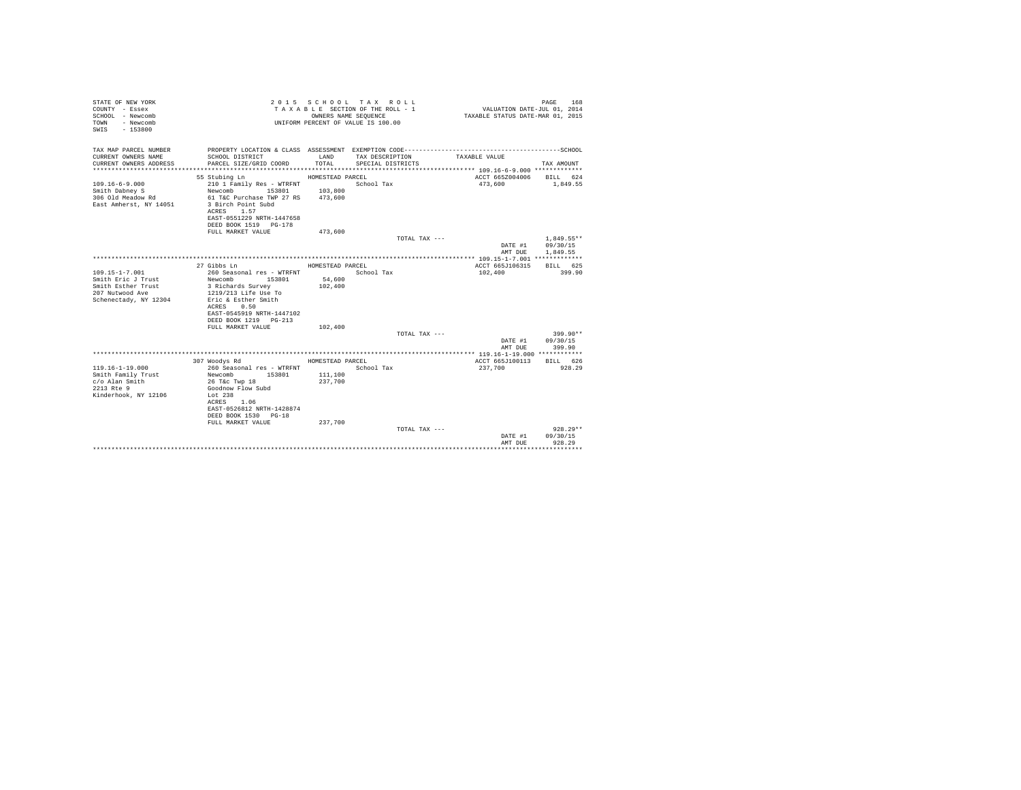| STATE OF NEW YORK<br>COUNTY - Essex<br>SCHOOL - Newcomb<br>- Newcomb<br>TOWN<br>$-153800$<br>SWIS |                                                                                                                                                           | OWNERS NAME SEOUENCE | 2015 SCHOOL TAX ROLL<br>TAXABLE SECTION OF THE ROLL - 1<br>UNIFORM PERCENT OF VALUE IS 100.00 | VALUATION DATE-JUL 01, 2014<br>TAXABLE STATUS DATE-MAR 01, 2015 | PAGE<br>168              |
|---------------------------------------------------------------------------------------------------|-----------------------------------------------------------------------------------------------------------------------------------------------------------|----------------------|-----------------------------------------------------------------------------------------------|-----------------------------------------------------------------|--------------------------|
| TAX MAP PARCEL NUMBER<br>CURRENT OWNERS NAME                                                      | SCHOOL DISTRICT                                                                                                                                           | LAND                 | TAX DESCRIPTION                                                                               | TAXABLE VALUE                                                   |                          |
| CURRENT OWNERS ADDRESS                                                                            | PARCEL SIZE/GRID COORD                                                                                                                                    | TOTAL                | SPECIAL DISTRICTS                                                                             |                                                                 | TAX AMOUNT               |
|                                                                                                   |                                                                                                                                                           |                      |                                                                                               |                                                                 |                          |
|                                                                                                   | 55 Stubing Ln                                                                                                                                             | HOMESTEAD PARCEL     |                                                                                               | ACCT 665Z004006 BILL 624                                        |                          |
| $109.16 - 6 - 9.000$                                                                              | 210 1 Family Res - WTRFNT                                                                                                                                 |                      | School Tax                                                                                    | 473.600                                                         | 1,849.55                 |
| Smith Dabney S                                                                                    | Newcomb 153801                                                                                                                                            | 103,800              |                                                                                               |                                                                 |                          |
| 306 Old Meadow Rd<br>East Amherst, NY 14051                                                       | 61 T&C Purchase TWP 27 RS<br>3 Birch Point Subd<br>ACRES 1.57<br>EAST-0551229 NRTH-1447658<br>DEED BOOK 1519 PG-178                                       | 473,600              |                                                                                               |                                                                 |                          |
|                                                                                                   | FULL MARKET VALUE                                                                                                                                         | 473,600              |                                                                                               |                                                                 |                          |
|                                                                                                   |                                                                                                                                                           |                      | TOTAL TAX ---                                                                                 | DATE #1                                                         | $1.849.55**$<br>09/30/15 |
|                                                                                                   |                                                                                                                                                           |                      |                                                                                               | AMT DUE                                                         | 1,849.55                 |
|                                                                                                   | 27 Gibbs Ln                                                                                                                                               | HOMESTEAD PARCEL     |                                                                                               | ACCT 665J106315                                                 | BILL 625                 |
| 109.15-1-7.001                                                                                    | 260 Seasonal res - WTRFNT                                                                                                                                 |                      | School Tax                                                                                    | 102,400                                                         | 399.90                   |
| Smith Eric J Trust                                                                                | Newcomb 153801                                                                                                                                            | 54,600               |                                                                                               |                                                                 |                          |
| Smith Esther Trust<br>207 Nutwood Ave<br>Schenectady, NY 12304                                    | 3 Richards Survey<br>1219/213 Life Use To<br>Eric & Esther Smith<br>ACRES 0.50<br>EAST-0545919 NRTH-1447102<br>DEED BOOK 1219 PG-213<br>FULL MARKET VALUE | 102,400<br>102,400   |                                                                                               |                                                                 |                          |
|                                                                                                   |                                                                                                                                                           |                      | TOTAL TAX ---                                                                                 |                                                                 | $399.90**$               |
|                                                                                                   |                                                                                                                                                           |                      |                                                                                               | DATE #1<br>AMT DUE                                              | 09/30/15<br>399.90       |
|                                                                                                   |                                                                                                                                                           |                      |                                                                                               |                                                                 |                          |
| $119.16 - 1 - 19.000$                                                                             | 307 Woodys Rd<br>260 Seasonal res - WTRFNT                                                                                                                | HOMESTEAD PARCEL     | School Tax                                                                                    | ACCT 665J100113<br>237,700                                      | BILL 626<br>928.29       |
| Smith Family Trust                                                                                | Newcomb 153801                                                                                                                                            | 111,100              |                                                                                               |                                                                 |                          |
| c/o Alan Smith<br>2213 Rte 9                                                                      | 26 T&c Twp 18<br>Goodnow Flow Subd                                                                                                                        | 237,700              |                                                                                               |                                                                 |                          |
| Kinderhook, NY 12106                                                                              | Lot 238<br>ACRES 1.06<br>EAST-0526812 NRTH-1428874<br>DEED BOOK 1530 PG-18<br>FULL MARKET VALUE                                                           | 237.700              |                                                                                               |                                                                 |                          |
|                                                                                                   |                                                                                                                                                           |                      | TOTAL TAX ---                                                                                 |                                                                 | $928.29**$               |
|                                                                                                   |                                                                                                                                                           |                      |                                                                                               | DATE #1<br>AMT DUE                                              | 09/30/15<br>928.29       |
|                                                                                                   |                                                                                                                                                           |                      |                                                                                               |                                                                 |                          |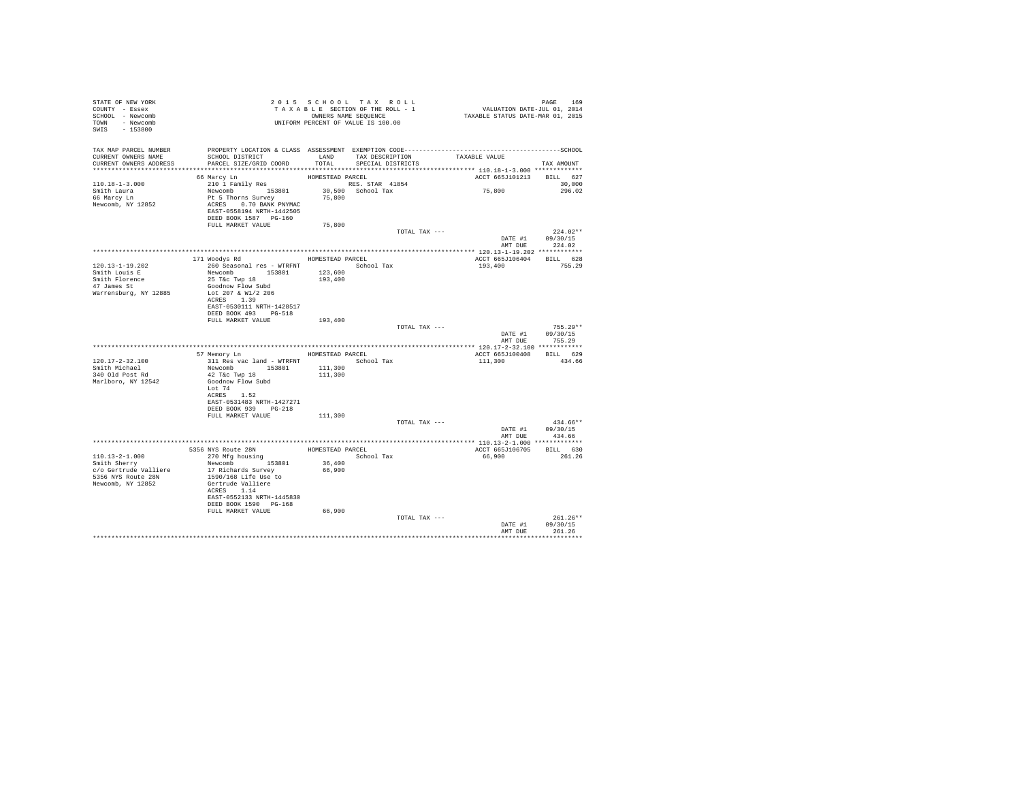| STATE OF NEW YORK             | 2015 SCHOT SERVER SECTION OF THE ROLL - 1<br>TAXABLE SECTION OF THE ROLL - 1<br>OWNERS NAME SEQUENCE<br>UNIFORM PERCENT OF VALUE IS 100.00                                                                                                                                                                                               |        |                   |                          |                  |
|-------------------------------|------------------------------------------------------------------------------------------------------------------------------------------------------------------------------------------------------------------------------------------------------------------------------------------------------------------------------------------|--------|-------------------|--------------------------|------------------|
| COUNTY - Essex                |                                                                                                                                                                                                                                                                                                                                          |        |                   |                          |                  |
| SCHOOL - Newcomb              |                                                                                                                                                                                                                                                                                                                                          |        |                   |                          |                  |
| TOWN - Newcomb                |                                                                                                                                                                                                                                                                                                                                          |        |                   |                          |                  |
| SWIS - 153800                 |                                                                                                                                                                                                                                                                                                                                          |        |                   |                          |                  |
|                               |                                                                                                                                                                                                                                                                                                                                          |        |                   |                          |                  |
|                               |                                                                                                                                                                                                                                                                                                                                          |        |                   |                          |                  |
|                               | SCHOOL DISTRICT                       LAND         TAX DESCRIPTION                   TAXABLE VALUE                                                                                                                                                                                                                                       |        |                   |                          |                  |
| CURRENT OWNERS ADDRESS        | PARCEL SIZE/GRID COORD                                                                                                                                                                                                                                                                                                                   | TOTAL  | SPECIAL DISTRICTS |                          | TAX AMOUNT       |
|                               |                                                                                                                                                                                                                                                                                                                                          |        |                   |                          |                  |
|                               |                                                                                                                                                                                                                                                                                                                                          |        |                   | ACCT 665J101213 BILL 627 |                  |
| 110.18-1-3.000                |                                                                                                                                                                                                                                                                                                                                          |        |                   |                          | 30,000           |
|                               |                                                                                                                                                                                                                                                                                                                                          |        |                   | 75,800                   | 296.02           |
| Smith Laura<br>66 Marcy Ln    |                                                                                                                                                                                                                                                                                                                                          |        |                   |                          |                  |
| Newcomb, NY 12852             | % MACY LD THE RESTRAD PARCEL ON RESTRIP AND RESTRIP AND RESTRIP TO RESTRIP TO RESTRIP TO RESTRIP TO RESTRIP TO RESTRIP TO RESTRIP TO RESTRIP TO RESTRIP TO RESTRIP TO A THE RESTRIP OF THE RESTRIP OF THE RESTRIP OF THE RESTR                                                                                                           |        |                   |                          |                  |
|                               | EAST-0558194 NRTH-1442505                                                                                                                                                                                                                                                                                                                |        |                   |                          |                  |
|                               | DEED BOOK 1587 PG-160                                                                                                                                                                                                                                                                                                                    |        |                   |                          |                  |
|                               | FULL MARKET VALUE 75,800                                                                                                                                                                                                                                                                                                                 |        |                   |                          |                  |
|                               |                                                                                                                                                                                                                                                                                                                                          |        | TOTAL TAX ---     |                          | $224.02**$       |
|                               |                                                                                                                                                                                                                                                                                                                                          |        |                   |                          | DATE #1 09/30/15 |
|                               |                                                                                                                                                                                                                                                                                                                                          |        |                   |                          | AMT DUE 224.02   |
|                               |                                                                                                                                                                                                                                                                                                                                          |        |                   |                          |                  |
|                               | 171 Woodys Rd MOMESTEAD PARCEL                                                                                                                                                                                                                                                                                                           |        |                   | ACCT 665J106404 BILL 628 |                  |
| 120.13-1-19.202               | 260 Seasonal res - WTRFNT School Tax                                                                                                                                                                                                                                                                                                     |        |                   | 193,400                  | 755.29           |
| Smith Louis E                 | Newcomb 153801 123,600<br>25 T&c Twp 18 193,400                                                                                                                                                                                                                                                                                          |        |                   |                          |                  |
| Smith Florence<br>47 James St | Goodnow Flow Subd                                                                                                                                                                                                                                                                                                                        |        |                   |                          |                  |
| Warrensburg, NY 12885         | Lot 207 & W1/2 206                                                                                                                                                                                                                                                                                                                       |        |                   |                          |                  |
|                               | ACRES 1.39                                                                                                                                                                                                                                                                                                                               |        |                   |                          |                  |
|                               | EAST-0530111 NRTH-1428517                                                                                                                                                                                                                                                                                                                |        |                   |                          |                  |
|                               | DEED BOOK 493 PG-518                                                                                                                                                                                                                                                                                                                     |        |                   |                          |                  |
|                               | FULL MARKET VALUE 193,400                                                                                                                                                                                                                                                                                                                |        |                   |                          |                  |
|                               |                                                                                                                                                                                                                                                                                                                                          |        | TOTAL TAX ---     |                          | $755.29**$       |
|                               |                                                                                                                                                                                                                                                                                                                                          |        |                   |                          | DATE #1 09/30/15 |
|                               |                                                                                                                                                                                                                                                                                                                                          |        |                   | AMT DUE                  | 755.29           |
|                               |                                                                                                                                                                                                                                                                                                                                          |        |                   |                          |                  |
|                               | 57 Memory Ln MOMESTEAD PARCEL                                                                                                                                                                                                                                                                                                            |        |                   | ACCT 665J100408 BILL 629 |                  |
| 120.17-2-32.100               |                                                                                                                                                                                                                                                                                                                                          |        |                   | 111,300                  | 434.66           |
| Smith Michael                 |                                                                                                                                                                                                                                                                                                                                          |        |                   |                          |                  |
| 340 Old Post Rd               | 311 Res vac land - WTRFNT<br>Newcomb 3chool Tax<br>Newcomb 153801 11,300<br>42 Tkc Twp 18 111,300                                                                                                                                                                                                                                        |        |                   |                          |                  |
| Marlboro, NY 12542            | Goodnow Flow Subd                                                                                                                                                                                                                                                                                                                        |        |                   |                          |                  |
|                               | Lot 74                                                                                                                                                                                                                                                                                                                                   |        |                   |                          |                  |
|                               | ACRES 1.52                                                                                                                                                                                                                                                                                                                               |        |                   |                          |                  |
|                               | EAST-0531483 NRTH-1427271<br>DEED BOOK 939 PG-218                                                                                                                                                                                                                                                                                        |        |                   |                          |                  |
|                               | FULL MARKET VALUE 111,300                                                                                                                                                                                                                                                                                                                |        |                   |                          |                  |
|                               |                                                                                                                                                                                                                                                                                                                                          |        | TOTAL TAX ---     |                          | 434.66**         |
|                               |                                                                                                                                                                                                                                                                                                                                          |        |                   |                          | DATE #1 09/30/15 |
|                               |                                                                                                                                                                                                                                                                                                                                          |        |                   | AMT DUE                  | 434.66           |
|                               | $\begin{tabular}{lllllllllll} \multicolumn{2}{c}{110.13-2-1.000} & 5356 NYS \;{\rm Rute\;20N} & 500053752D \;{\rm PARCEL} & 500053752D \;{\rm PARCEL} & 500053752D \;{\rm PARCEL} & 500053752D \;{\rm R second\;} & 5000053752D \;{\rm R second\;} & 5000053752D \;{\rm R second\;} & 5000053752D \;{\rm R second\;} & 5000053752D \;{\$ |        |                   |                          |                  |
|                               |                                                                                                                                                                                                                                                                                                                                          |        |                   | ACCT 665J106705 BILL 630 |                  |
|                               |                                                                                                                                                                                                                                                                                                                                          |        |                   | 66,900                   | 261.26           |
|                               | Nowcomb<br>Newcomb<br>17 Richards Survey<br>1590/168 Life Use to<br>Gertrude Valliere<br>2011                                                                                                                                                                                                                                            |        |                   |                          |                  |
|                               |                                                                                                                                                                                                                                                                                                                                          |        |                   |                          |                  |
|                               |                                                                                                                                                                                                                                                                                                                                          |        |                   |                          |                  |
| Newcomb, NY 12852             |                                                                                                                                                                                                                                                                                                                                          |        |                   |                          |                  |
|                               | ACRES 1.14                                                                                                                                                                                                                                                                                                                               |        |                   |                          |                  |
|                               | EAST-0552133 NRTH-1445830                                                                                                                                                                                                                                                                                                                |        |                   |                          |                  |
|                               | DEED BOOK 1590 PG-168                                                                                                                                                                                                                                                                                                                    |        |                   |                          |                  |
|                               | FULL MARKET VALUE                                                                                                                                                                                                                                                                                                                        | 66,900 |                   |                          |                  |
|                               |                                                                                                                                                                                                                                                                                                                                          |        | TOTAL TAX ---     |                          | $261.26**$       |
|                               |                                                                                                                                                                                                                                                                                                                                          |        |                   | DATE #1                  | 09/30/15         |
|                               |                                                                                                                                                                                                                                                                                                                                          |        |                   |                          | AMT DUE 261.26   |
|                               |                                                                                                                                                                                                                                                                                                                                          |        |                   |                          |                  |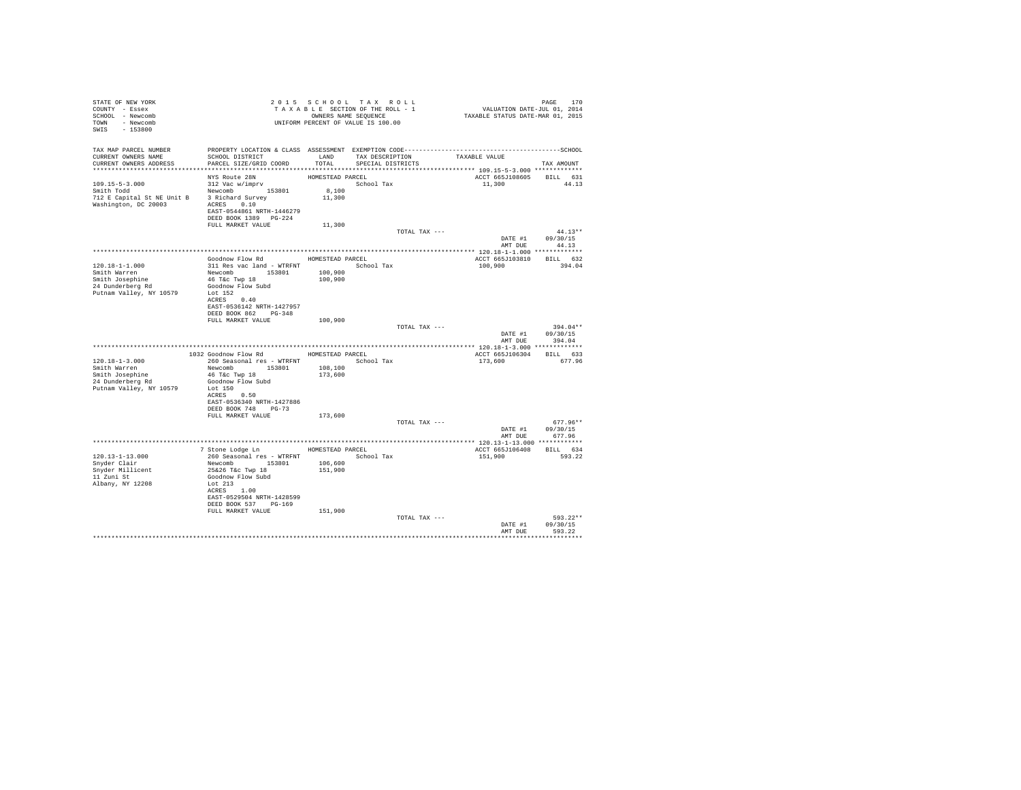| STATE OF NEW YORK                                                                                                                                                                                                                                                                                                                                                                                                                                                                      |                                                                                                      |                   | 2015 SCHOOL TAX ROLL            | PAGE 170<br>VALUATION DATE-JUL 01, 2014<br>TAXABLE STATUS DATE-MAR 01, 2015 |                  |
|----------------------------------------------------------------------------------------------------------------------------------------------------------------------------------------------------------------------------------------------------------------------------------------------------------------------------------------------------------------------------------------------------------------------------------------------------------------------------------------|------------------------------------------------------------------------------------------------------|-------------------|---------------------------------|-----------------------------------------------------------------------------|------------------|
| COUNTY - Essex                                                                                                                                                                                                                                                                                                                                                                                                                                                                         |                                                                                                      |                   | TAXABLE SECTION OF THE ROLL - 1 |                                                                             |                  |
| SCHOOL - Newcomb                                                                                                                                                                                                                                                                                                                                                                                                                                                                       |                                                                                                      |                   | OWNERS NAME SEQUENCE            |                                                                             |                  |
| TOWN - Newcomb                                                                                                                                                                                                                                                                                                                                                                                                                                                                         |                                                                                                      |                   |                                 |                                                                             |                  |
| SWIS - 153800                                                                                                                                                                                                                                                                                                                                                                                                                                                                          | OWNERS NAME SERVINGED ON THE SERVINGED ON PERCENT OF VALUE IS 100.00                                 |                   |                                 |                                                                             |                  |
|                                                                                                                                                                                                                                                                                                                                                                                                                                                                                        |                                                                                                      |                   |                                 |                                                                             |                  |
|                                                                                                                                                                                                                                                                                                                                                                                                                                                                                        |                                                                                                      |                   |                                 |                                                                             |                  |
| CURRENT OWNERS NAME                                                                                                                                                                                                                                                                                                                                                                                                                                                                    | SCHOOL DISTRICT TAND TAX DESCRIPTION                                                                 |                   |                                 | TAXABLE VALUE                                                               |                  |
| CURRENT OWNERS ADDRESS                                                                                                                                                                                                                                                                                                                                                                                                                                                                 | PARCEL SIZE/GRID COORD                                                                               | TOTAL             | SPECIAL DISTRICTS               |                                                                             | TAX AMOUNT       |
|                                                                                                                                                                                                                                                                                                                                                                                                                                                                                        |                                                                                                      |                   |                                 |                                                                             |                  |
|                                                                                                                                                                                                                                                                                                                                                                                                                                                                                        | NYS Route 28N                                                                                        | HOMESTEAD PARCEL  |                                 | ACCT 665J108605 BILL 631                                                    |                  |
|                                                                                                                                                                                                                                                                                                                                                                                                                                                                                        |                                                                                                      |                   | School Tax                      | 11,300 44.13                                                                |                  |
| $312 \text{ Vac } \text{w}/\text{imprv} \label{eq:312}$ Smith Todd $$\text{Newton}b$$ 153801                                                                                                                                                                                                                                                                                                                                                                                           |                                                                                                      | $8,100$<br>11,300 |                                 |                                                                             |                  |
| 712 E Capital St NE Unit B 3 Richard Survey                                                                                                                                                                                                                                                                                                                                                                                                                                            |                                                                                                      |                   |                                 |                                                                             |                  |
| $\begin{tabular}{lllll} Washington, DC & 20003 & \multicolumn{2}{l}{} \multicolumn{2}{l}{} \multicolumn{2}{l}{} & \multicolumn{2}{l}{} \multicolumn{2}{l}{} & \multicolumn{2}{l}{} & \multicolumn{2}{l}{} & \multicolumn{2}{l}{} & \multicolumn{2}{l}{} & \multicolumn{2}{l}{} & \multicolumn{2}{l}{} & \multicolumn{2}{l}{} & \multicolumn{2}{l}{} & \multicolumn{2}{l}{} & \multicolumn{2}{l}{} & \multicolumn{2}{l}{} & \multicolumn{2}{l}{} & \multicolumn{2}{l}{} & \multicolumn$ |                                                                                                      |                   |                                 |                                                                             |                  |
|                                                                                                                                                                                                                                                                                                                                                                                                                                                                                        |                                                                                                      |                   |                                 |                                                                             |                  |
|                                                                                                                                                                                                                                                                                                                                                                                                                                                                                        | DEED BOOK 1389 PG-224                                                                                |                   |                                 |                                                                             |                  |
|                                                                                                                                                                                                                                                                                                                                                                                                                                                                                        | FULL MARKET VALUE                                                                                    | 11,300            |                                 |                                                                             |                  |
|                                                                                                                                                                                                                                                                                                                                                                                                                                                                                        |                                                                                                      |                   | TOTAL TAX ---                   |                                                                             | $44.13**$        |
|                                                                                                                                                                                                                                                                                                                                                                                                                                                                                        |                                                                                                      |                   |                                 |                                                                             | DATE #1 09/30/15 |
|                                                                                                                                                                                                                                                                                                                                                                                                                                                                                        |                                                                                                      |                   |                                 | AMT DUE                                                                     | 44.13            |
|                                                                                                                                                                                                                                                                                                                                                                                                                                                                                        | Goodnow Flow Rd MOMESTEAD PARCEL                                                                     |                   |                                 |                                                                             |                  |
| 120.18-1-1.000                                                                                                                                                                                                                                                                                                                                                                                                                                                                         | 311 Res vac land - WTRFNT                                                                            |                   |                                 | ACCT 665J103810 BILL 632                                                    | 394.04           |
| Smith Warren                                                                                                                                                                                                                                                                                                                                                                                                                                                                           |                                                                                                      |                   | School Tax                      | 100,900                                                                     |                  |
| Smith Josephine                                                                                                                                                                                                                                                                                                                                                                                                                                                                        | Newcomb 153801 100,900<br>46 T&c Twp 18 100,900<br>46 T&C Twp 18                                     |                   |                                 |                                                                             |                  |
| 24 Dunderberg Rd                                                                                                                                                                                                                                                                                                                                                                                                                                                                       | Goodnow Flow Subd                                                                                    |                   |                                 |                                                                             |                  |
| Putnam Valley, NY 10579                                                                                                                                                                                                                                                                                                                                                                                                                                                                | Lot 152                                                                                              |                   |                                 |                                                                             |                  |
|                                                                                                                                                                                                                                                                                                                                                                                                                                                                                        | ACRES 0.40                                                                                           |                   |                                 |                                                                             |                  |
|                                                                                                                                                                                                                                                                                                                                                                                                                                                                                        | EAST-0536142 NRTH-1427957                                                                            |                   |                                 |                                                                             |                  |
|                                                                                                                                                                                                                                                                                                                                                                                                                                                                                        | DEED BOOK 862 PG-348                                                                                 |                   |                                 |                                                                             |                  |
|                                                                                                                                                                                                                                                                                                                                                                                                                                                                                        | FULL MARKET VALUE 100,900                                                                            |                   |                                 |                                                                             |                  |
|                                                                                                                                                                                                                                                                                                                                                                                                                                                                                        |                                                                                                      |                   | TOTAL TAX ---                   |                                                                             | $394.04**$       |
|                                                                                                                                                                                                                                                                                                                                                                                                                                                                                        |                                                                                                      |                   |                                 |                                                                             | DATE #1 09/30/15 |
|                                                                                                                                                                                                                                                                                                                                                                                                                                                                                        |                                                                                                      |                   |                                 | AMT DUE                                                                     | 394.04           |
|                                                                                                                                                                                                                                                                                                                                                                                                                                                                                        |                                                                                                      |                   |                                 |                                                                             |                  |
|                                                                                                                                                                                                                                                                                                                                                                                                                                                                                        | 1032 Goodnow Flow Rd HOMESTEAD PARCEL                                                                |                   |                                 | ACCT 665J106304 BILL 633                                                    |                  |
| $120.18 - 1 - 3.000$                                                                                                                                                                                                                                                                                                                                                                                                                                                                   | 260 Seasonal res - WTRFNT             School Tax                                                     |                   |                                 | 173,600                                                                     | 677.96           |
| Smith Warren                                                                                                                                                                                                                                                                                                                                                                                                                                                                           | Newcomb 153801                                                                                       | 108,100           |                                 |                                                                             |                  |
| Smith Josephine<br>24 Dunderberg Rd                                                                                                                                                                                                                                                                                                                                                                                                                                                    | 46 T&c Twp 18<br>Goodnow Flow Subd                                                                   | 173,600           |                                 |                                                                             |                  |
| Putnam Valley, NY 10579                                                                                                                                                                                                                                                                                                                                                                                                                                                                | Lot 150                                                                                              |                   |                                 |                                                                             |                  |
|                                                                                                                                                                                                                                                                                                                                                                                                                                                                                        | ACRES 0.50                                                                                           |                   |                                 |                                                                             |                  |
|                                                                                                                                                                                                                                                                                                                                                                                                                                                                                        | EAST-0536340 NRTH-1427886                                                                            |                   |                                 |                                                                             |                  |
|                                                                                                                                                                                                                                                                                                                                                                                                                                                                                        | DEED BOOK 748 PG-73                                                                                  |                   |                                 |                                                                             |                  |
|                                                                                                                                                                                                                                                                                                                                                                                                                                                                                        | FULL MARKET VALUE                                                                                    | 173,600           |                                 |                                                                             |                  |
|                                                                                                                                                                                                                                                                                                                                                                                                                                                                                        |                                                                                                      |                   | TOTAL TAX ---                   |                                                                             | $677.96**$       |
|                                                                                                                                                                                                                                                                                                                                                                                                                                                                                        |                                                                                                      |                   |                                 |                                                                             | DATE #1 09/30/15 |
|                                                                                                                                                                                                                                                                                                                                                                                                                                                                                        |                                                                                                      |                   |                                 | AMT DUE                                                                     | 677.96           |
|                                                                                                                                                                                                                                                                                                                                                                                                                                                                                        |                                                                                                      |                   |                                 |                                                                             |                  |
|                                                                                                                                                                                                                                                                                                                                                                                                                                                                                        | 7 Stone Lodge Ln MOMESTEAD PARCEL                                                                    |                   |                                 | ACCT 665J106408 BILL 634                                                    |                  |
| $120.13 - 1 - 13.000$                                                                                                                                                                                                                                                                                                                                                                                                                                                                  | 260 Seasonal res - WTRFNT<br>Newcomb 153801 106,600<br>25262 Tác Twp 18 151,900<br>Goodnow Flow Subd |                   | School Tax                      | 151,900                                                                     | 593.22           |
| Snyder Clair                                                                                                                                                                                                                                                                                                                                                                                                                                                                           |                                                                                                      |                   |                                 |                                                                             |                  |
| Snyder Millicent<br>11 Zuni St                                                                                                                                                                                                                                                                                                                                                                                                                                                         |                                                                                                      |                   |                                 |                                                                             |                  |
|                                                                                                                                                                                                                                                                                                                                                                                                                                                                                        |                                                                                                      |                   |                                 |                                                                             |                  |
| Albany, NY 12208                                                                                                                                                                                                                                                                                                                                                                                                                                                                       | Lot 213                                                                                              |                   |                                 |                                                                             |                  |
|                                                                                                                                                                                                                                                                                                                                                                                                                                                                                        | ACRES 1.00                                                                                           |                   |                                 |                                                                             |                  |
|                                                                                                                                                                                                                                                                                                                                                                                                                                                                                        | EAST-0529504 NRTH-1428599<br>DEED BOOK 537 PG-169                                                    |                   |                                 |                                                                             |                  |
|                                                                                                                                                                                                                                                                                                                                                                                                                                                                                        | FULL MARKET VALUE                                                                                    | 151,900           |                                 |                                                                             |                  |
|                                                                                                                                                                                                                                                                                                                                                                                                                                                                                        |                                                                                                      |                   | TOTAL TAX ---                   |                                                                             | 593.22**         |
|                                                                                                                                                                                                                                                                                                                                                                                                                                                                                        |                                                                                                      |                   |                                 |                                                                             | DATE #1 09/30/15 |
|                                                                                                                                                                                                                                                                                                                                                                                                                                                                                        |                                                                                                      |                   |                                 |                                                                             | AMT DUE 593.22   |
|                                                                                                                                                                                                                                                                                                                                                                                                                                                                                        |                                                                                                      |                   |                                 |                                                                             |                  |
|                                                                                                                                                                                                                                                                                                                                                                                                                                                                                        |                                                                                                      |                   |                                 |                                                                             |                  |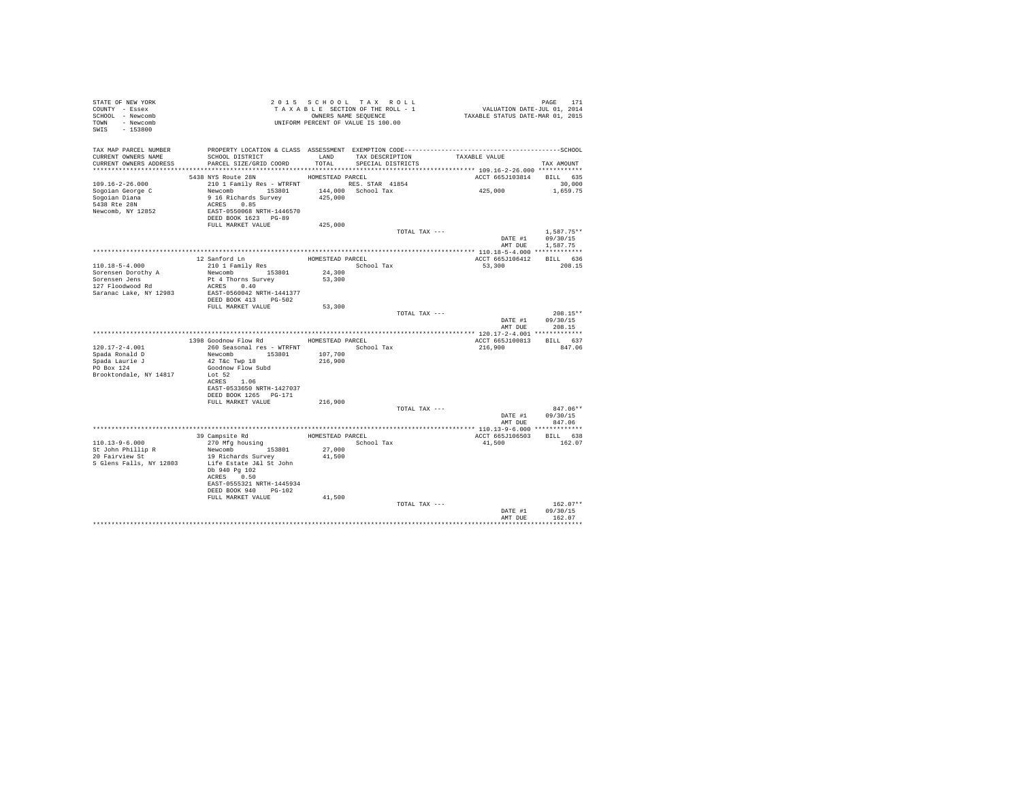| STATE OF NEW YORK<br>COUNTY - Essex<br>SCHOOL - Newcomb<br>TOWN - Newcomb<br>$-153800$<br>SWIS      | UNIFORM PERCENT OF VALUE IS 100.00                                                                                                                     |                                      | 2015 SCHOOL TAX ROLL<br>TAXABLE SECTION OF THE ROLL - 1<br>OWNERS NAME SEQUENCE | PAGE 171<br>VALUATION DATE-JUL 01, 2014<br>TAXABLE STATUS DATE-MAR 01, 2015 |                                      |
|-----------------------------------------------------------------------------------------------------|--------------------------------------------------------------------------------------------------------------------------------------------------------|--------------------------------------|---------------------------------------------------------------------------------|-----------------------------------------------------------------------------|--------------------------------------|
| TAX MAP PARCEL NUMBER<br>CURRENT OWNERS NAME<br>CURRENT OWNERS ADDRESS                              | SCHOOL DISTRICT<br>PARCEL SIZE/GRID COORD                                                                                                              | LAND<br>TOTAL                        | TAX DESCRIPTION<br>SPECIAL DISTRICTS                                            | TAXABLE VALUE<br>******************* 109.16-2-26.000 ************           | TAX AMOUNT                           |
|                                                                                                     | 5438 NYS Route 28N                                                                                                                                     | HOMESTEAD PARCEL                     |                                                                                 | ACCT 665J103814                                                             | BILL 635                             |
| 109.16-2-26.000<br>Sogoian George C<br>Soqoian Diana<br>5438 Rte 28N<br>Newcomb, NY 12852           | 210 1 Family Res - WTRFNT RES. STAR 41854<br>Newcomb 153801<br>9 16 Richards Survey<br>ACRES 0.85<br>EAST-0550068 NRTH-1446570<br>DEED BOOK 1623 PG-89 | 425,000                              | 144,000 School Tax                                                              | 425,000                                                                     | 30,000<br>1,659.75                   |
|                                                                                                     | FULL MARKET VALUE                                                                                                                                      | 425,000                              |                                                                                 |                                                                             |                                      |
|                                                                                                     |                                                                                                                                                        |                                      | TOTAL TAX ---                                                                   | DATE #1<br>AMT DUE                                                          | $1.587.75**$<br>09/30/15<br>1.587.75 |
|                                                                                                     |                                                                                                                                                        |                                      |                                                                                 |                                                                             |                                      |
| 110.18-5-4.000<br>Sorensen Dorothy A<br>Sorensen Jens<br>127 Floodwood Rd<br>Saranac Lake, NY 12983 | 12 Sanford Ln<br>210 1 Family Res<br>Newcomb 153801<br>Pt 4 Thorns Survey<br>ACRES 0.40<br>EAST-0560042 NRTH-1441377<br>DEED BOOK 413 PG-502           | HOMESTEAD PARCEL<br>24,300<br>53,300 | School Tax                                                                      | ACCT 665J106412<br>53,300                                                   | BILL 636<br>208.15                   |
|                                                                                                     | FULL MARKET VALUE                                                                                                                                      | 53,300                               |                                                                                 |                                                                             |                                      |
|                                                                                                     |                                                                                                                                                        |                                      | TOTAL TAX ---                                                                   | DATE #1<br>AMT DUE                                                          | $208.15**$<br>09/30/15<br>208.15     |
|                                                                                                     | 1398 Goodnow Flow Rd MOMESTEAD PARCEL                                                                                                                  |                                      |                                                                                 |                                                                             |                                      |
| $120.17 - 2 - 4.001$<br>Spada Ronald D<br>Spada Laurie J<br>PO Box 124                              | 260 Seasonal res - WTRFNT<br>Newcomb 153801<br>42 T&c Twp 18<br>Goodnow Flow Subd                                                                      | 107,700<br>216,900                   | School Tax                                                                      | ACCT 665J100813 BILL 637<br>216,900                                         | 847.06                               |
| Brooktondale, NY 14817                                                                              | Lot 52<br>ACRES 1.06<br>EAST-0533650 NRTH-1427037<br>DEED BOOK 1265 PG-171                                                                             |                                      |                                                                                 |                                                                             |                                      |
|                                                                                                     | FULL MARKET VALUE                                                                                                                                      | 216,900                              | TOTAL TAX ---                                                                   |                                                                             | 847.06**                             |
|                                                                                                     |                                                                                                                                                        |                                      |                                                                                 | DATE #1<br>AMT DUE                                                          | 09/30/15<br>847.06                   |
|                                                                                                     |                                                                                                                                                        |                                      |                                                                                 |                                                                             |                                      |
| 110.13-9-6.000                                                                                      | 39 Campsite Rd<br>270 Mfg housing<br>Newcomb 153801                                                                                                    |                                      | HOMESTEAD PARCEL<br>School Tax                                                  | ACCT 665J106503<br>41,500                                                   | BILL 638<br>162.07                   |
| St John Phillip R<br>20 Fairview St<br>S Glens Falls, NY 12803                                      | 19 Richards Survey<br>Life Estate J&l St John<br>Db 940 Pg 102<br>ACRES 0.50<br>EAST-0555321 NRTH-1445934<br>DEED BOOK 940 PG-102<br>FULL MARKET VALUE | 27,000<br>41,500<br>41,500           |                                                                                 |                                                                             |                                      |
|                                                                                                     |                                                                                                                                                        |                                      | TOTAL TAX ---                                                                   |                                                                             | $162.07**$                           |
|                                                                                                     |                                                                                                                                                        |                                      |                                                                                 | DATE #1<br>AMT DUE                                                          | 09/30/15<br>162.07                   |
|                                                                                                     |                                                                                                                                                        |                                      |                                                                                 |                                                                             |                                      |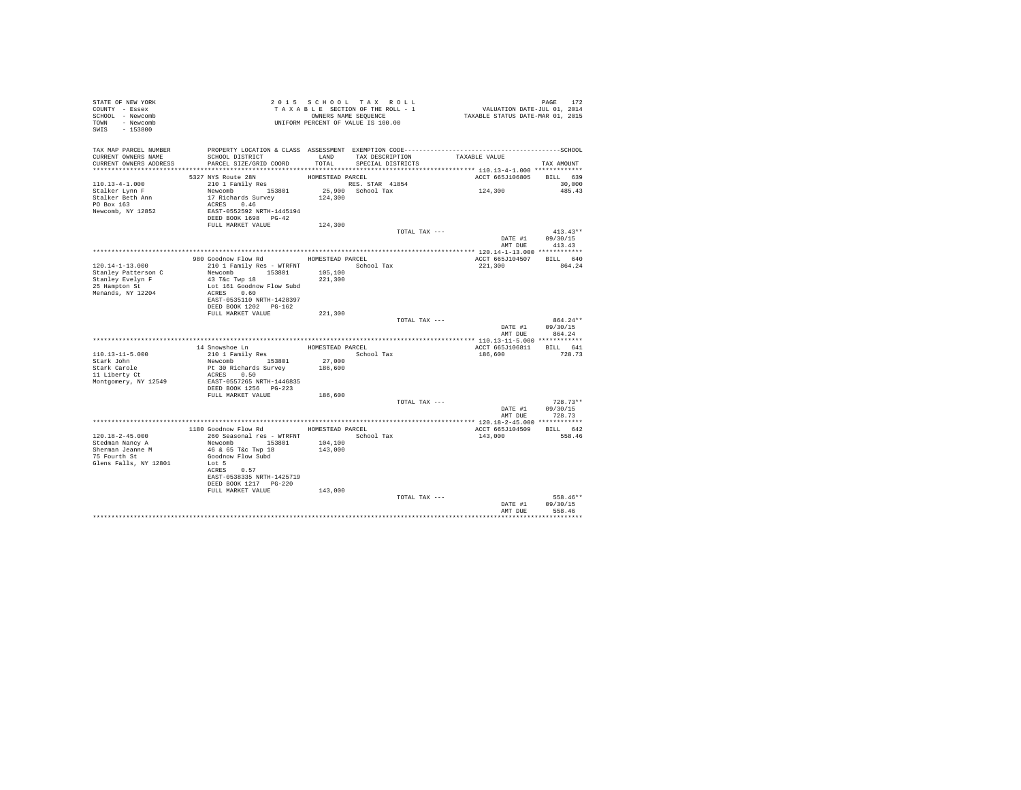| STATE OF NEW YORK<br>COUNTY - Essex<br>SCHOOL - Newcomb<br>TOWN - Newcomb<br>SWIS - 153800 |                                                    |                  | 2015 SCHOOL TAX ROLL<br>TAXABLE SECTION OF THE ROLL - 1<br>OWNERS NAME SEQUENCE<br>UNIFORM PERCENT OF VALUE IS 100.00 | PAGE 172<br>VALUATION DATE-JUL 01, 2014<br>TAXABLE STATUS DATE-MAR 01, 2015 |                    |
|--------------------------------------------------------------------------------------------|----------------------------------------------------|------------------|-----------------------------------------------------------------------------------------------------------------------|-----------------------------------------------------------------------------|--------------------|
| TAX MAP PARCEL NUMBER<br>CURRENT OWNERS NAME<br>CURRENT OWNERS ADDRESS                     | SCHOOL DISTRICT<br>PARCEL SIZE/GRID COORD          | TOTAL            | LAND TAX DESCRIPTION<br>SPECIAL DISTRICTS                                                                             | TAXABLE VALUE                                                               | TAX AMOUNT         |
|                                                                                            |                                                    |                  |                                                                                                                       |                                                                             |                    |
| $110.13 - 4 - 1.000$                                                                       | 5327 NYS Route 28N                                 | HOMESTEAD PARCEL | RES. STAR 41854                                                                                                       | ACCT 665J106805 BILL 639                                                    |                    |
| Stalker Lynn F                                                                             | 210 1 Family Res<br>Newcomb 153801                 |                  | 25,900 School Tax                                                                                                     | 124,300                                                                     | 30,000<br>485.43   |
| Stalker Beth Ann                                                                           | 17 Richards Survey                                 | 124,300          |                                                                                                                       |                                                                             |                    |
| PO Box 163                                                                                 | ACRES 0.46                                         |                  |                                                                                                                       |                                                                             |                    |
| Newcomb, NY 12852                                                                          | EAST-0552592 NRTH-1445194                          |                  |                                                                                                                       |                                                                             |                    |
|                                                                                            | DEED BOOK 1698 PG-42                               |                  |                                                                                                                       |                                                                             |                    |
|                                                                                            | FULL MARKET VALUE                                  | 124,300          |                                                                                                                       |                                                                             |                    |
|                                                                                            |                                                    |                  | TOTAL TAX ---                                                                                                         |                                                                             | $413.43**$         |
|                                                                                            |                                                    |                  |                                                                                                                       | DATE #1<br>AMT DUE                                                          | 09/30/15<br>413.43 |
|                                                                                            |                                                    |                  |                                                                                                                       |                                                                             |                    |
|                                                                                            | 980 Goodnow Flow Rd MOMESTEAD PARCEL               |                  |                                                                                                                       | ACCT 665J104507 BILL 640                                                    |                    |
| $120.14 - 1 - 13.000$                                                                      | 210 1 Family Res - WTRFNT                          |                  | School Tax                                                                                                            | 221,300                                                                     | 864.24             |
| Stanley Patterson C                                                                        | Newcomb 153801                                     | 105,100          |                                                                                                                       |                                                                             |                    |
| Stanley Evelyn F                                                                           | 43 T&c Twp 18                                      | 221,300          |                                                                                                                       |                                                                             |                    |
| 25 Hampton St                                                                              | Lot 161 Goodnow Flow Subd                          |                  |                                                                                                                       |                                                                             |                    |
| Menands, NY 12204                                                                          | ACRES 0.60                                         |                  |                                                                                                                       |                                                                             |                    |
|                                                                                            | EAST-0535110 NRTH-1428397<br>DEED BOOK 1202 PG-162 |                  |                                                                                                                       |                                                                             |                    |
|                                                                                            | FULL MARKET VALUE                                  | 221,300          |                                                                                                                       |                                                                             |                    |
|                                                                                            |                                                    |                  | TOTAL TAX ---                                                                                                         |                                                                             | $864.24**$         |
|                                                                                            |                                                    |                  |                                                                                                                       | DATE #1                                                                     | 09/30/15           |
|                                                                                            |                                                    |                  |                                                                                                                       | AMT DUE                                                                     | 864.24             |
|                                                                                            |                                                    |                  |                                                                                                                       |                                                                             |                    |
|                                                                                            | 14 Snowshoe Ln                                     | HOMESTEAD PARCEL |                                                                                                                       | ACCT 665J106811 BILL 641                                                    |                    |
| 110.13-11-5.000                                                                            | 210 1 Family Res                                   |                  | School Tax                                                                                                            | 186,600                                                                     | 728.73             |
| Stark John<br>Stark Carole                                                                 | Newcomb 153801                                     | 27,000           |                                                                                                                       |                                                                             |                    |
| 11 Liberty Ct                                                                              | Pt 30 Richards Survey<br>ACRES 0.50                | 186,600          |                                                                                                                       |                                                                             |                    |
| Montgomery, NY 12549                                                                       | EAST-0557265 NRTH-1446835                          |                  |                                                                                                                       |                                                                             |                    |
|                                                                                            | DEED BOOK 1256 PG-223                              |                  |                                                                                                                       |                                                                             |                    |
|                                                                                            | FULL MARKET VALUE                                  | 186,600          |                                                                                                                       |                                                                             |                    |
|                                                                                            |                                                    |                  | TOTAL TAX ---                                                                                                         |                                                                             | $728.73**$         |
|                                                                                            |                                                    |                  |                                                                                                                       |                                                                             | DATE #1 09/30/15   |
|                                                                                            |                                                    |                  |                                                                                                                       |                                                                             | AMT DUE 728.73     |
|                                                                                            | 1180 Goodnow Flow Rd                               | HOMESTEAD PARCEL |                                                                                                                       | ACCT 665J104509 BILL 642                                                    |                    |
| $120.18 - 2 - 45.000$                                                                      | 260 Seasonal res - WTRFNT                          |                  | School Tax                                                                                                            | 143,000                                                                     | 558.46             |
| Stedman Nancy A                                                                            | Newcomb 153801                                     | 104,100          |                                                                                                                       |                                                                             |                    |
| Sherman Jeanne M                                                                           | 46 & 65 T&c Twp 18                                 | 143,000          |                                                                                                                       |                                                                             |                    |
| 75 Fourth St                                                                               | Goodnow Flow Subd                                  |                  |                                                                                                                       |                                                                             |                    |
| Glens Falls, NY 12801                                                                      | Lot 5                                              |                  |                                                                                                                       |                                                                             |                    |
|                                                                                            | ACRES 0.57                                         |                  |                                                                                                                       |                                                                             |                    |
|                                                                                            | EAST-0538335 NRTH-1425719<br>DEED BOOK 1217 PG-220 |                  |                                                                                                                       |                                                                             |                    |
|                                                                                            | FULL MARKET VALUE                                  | 143,000          |                                                                                                                       |                                                                             |                    |
|                                                                                            |                                                    |                  | TOTAL TAX ---                                                                                                         |                                                                             | 558.46**           |
|                                                                                            |                                                    |                  |                                                                                                                       | DATE #1                                                                     | 09/30/15           |
|                                                                                            |                                                    |                  |                                                                                                                       | AMT DUE                                                                     | 558.46             |
|                                                                                            |                                                    |                  |                                                                                                                       |                                                                             | ************       |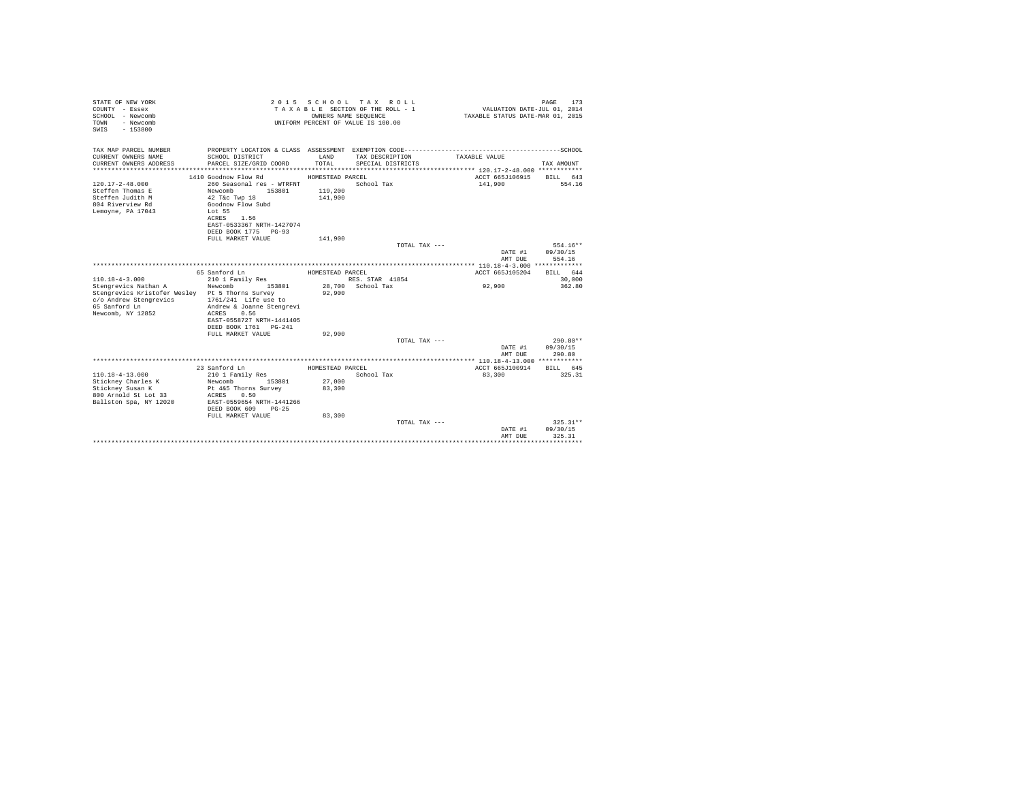| STATE OF NEW YORK<br>COUNTY - Essex<br>SCHOOL - Newcomb<br>- Newcomb<br><b>TOWN</b><br>$-153800$<br>SWIS |                                                |                  | 2015 SCHOOL TAX ROLL<br>TAXABLE SECTION OF THE ROLL - 1<br>OWNERS NAME SEQUENCE<br>UNIFORM PERCENT OF VALUE IS 100.00 | VALUATION DATE-JUL 01, 2014<br>TAXABLE STATUS DATE-MAR 01, 2015 | PAGE<br>173 |
|----------------------------------------------------------------------------------------------------------|------------------------------------------------|------------------|-----------------------------------------------------------------------------------------------------------------------|-----------------------------------------------------------------|-------------|
| TAX MAP PARCEL NUMBER                                                                                    |                                                |                  |                                                                                                                       |                                                                 |             |
| CURRENT OWNERS NAME                                                                                      | SCHOOL DISTRICT                                | LAND             | TAX DESCRIPTION                                                                                                       | TAXABLE VALUE                                                   |             |
| CURRENT OWNERS ADDRESS                                                                                   | PARCEL SIZE/GRID COORD                         | TOTAL.           | SPECIAL DISTRICTS                                                                                                     |                                                                 | TAX AMOUNT  |
| ***********************                                                                                  |                                                |                  |                                                                                                                       |                                                                 |             |
|                                                                                                          | 1410 Goodnow Flow Rd                           | HOMESTEAD PARCEL |                                                                                                                       | ACCT 665J106915                                                 | RTLL 643    |
| $120.17 - 2 - 48.000$<br>Steffen Thomas E                                                                | 260 Seasonal res - WTRFNT<br>Newcomb<br>153801 | 119,200          | School Tax                                                                                                            | 141,900                                                         | 554.16      |
| Steffen Judith M                                                                                         | 42 T&c Twp 18                                  | 141,900          |                                                                                                                       |                                                                 |             |
| 804 Riverview Rd                                                                                         | Goodnow Flow Subd                              |                  |                                                                                                                       |                                                                 |             |
| Lemovne, PA 17043                                                                                        | Lot 55                                         |                  |                                                                                                                       |                                                                 |             |
|                                                                                                          | ACRES<br>1.56                                  |                  |                                                                                                                       |                                                                 |             |
|                                                                                                          | EAST-0533367 NRTH-1427074                      |                  |                                                                                                                       |                                                                 |             |
|                                                                                                          | DEED BOOK 1775 PG-93                           |                  |                                                                                                                       |                                                                 |             |
|                                                                                                          | FULL MARKET VALUE                              | 141,900          |                                                                                                                       |                                                                 |             |
|                                                                                                          |                                                |                  | TOTAL TAX ---                                                                                                         |                                                                 | 554.16**    |
|                                                                                                          |                                                |                  |                                                                                                                       | DATE #1                                                         | 09/30/15    |
|                                                                                                          |                                                |                  |                                                                                                                       | AMT DUE                                                         | 554.16      |
|                                                                                                          | 65 Sanford Ln                                  | HOMESTEAD PARCEL |                                                                                                                       | ACCT 665J105204                                                 | BILL 644    |
| $110.18 - 4 - 3.000$                                                                                     | 210 1 Family Res                               |                  | RES. STAR 41854                                                                                                       |                                                                 | 30,000      |
| Stengrevics Nathan A                                                                                     | Newcomb<br>153801                              |                  | 28.700 School Tax                                                                                                     | 92,900                                                          | 362.80      |
| Stengrevics Kristofer Wesley Pt 5 Thorns Survey                                                          |                                                | 92,900           |                                                                                                                       |                                                                 |             |
| c/o Andrew Stengrevics                                                                                   | 1761/241 Life use to                           |                  |                                                                                                                       |                                                                 |             |
| 65 Sanford Ln                                                                                            | Andrew & Joanne Stengrevi                      |                  |                                                                                                                       |                                                                 |             |
| Newcomb, NY 12852                                                                                        | ACRES<br>0.56                                  |                  |                                                                                                                       |                                                                 |             |
|                                                                                                          | EAST-0558727 NRTH-1441405                      |                  |                                                                                                                       |                                                                 |             |
|                                                                                                          | DEED BOOK 1761 PG-241                          |                  |                                                                                                                       |                                                                 |             |
|                                                                                                          | FULL MARKET VALUE                              | 92,900           | TOTAL TAX $---$                                                                                                       |                                                                 | $290.80**$  |
|                                                                                                          |                                                |                  |                                                                                                                       | DATE #1                                                         | 09/30/15    |
|                                                                                                          |                                                |                  |                                                                                                                       | AMT DUE                                                         | 290.80      |
|                                                                                                          |                                                |                  |                                                                                                                       |                                                                 |             |
|                                                                                                          | 23 Sanford Ln                                  | HOMESTEAD PARCEL |                                                                                                                       | ACCT 665J100914                                                 | BILL 645    |
| $110.18 - 4 - 13.000$                                                                                    | 210 1 Family Res                               |                  | School Tax                                                                                                            | 83,300                                                          | 325.31      |
| Stickney Charles K                                                                                       | 153801<br>Newcomb                              | 27,000           |                                                                                                                       |                                                                 |             |
| Stickney Susan K                                                                                         | Pt 4&5 Thorns Survey                           | 83,300           |                                                                                                                       |                                                                 |             |
| 800 Arnold St Lot 33                                                                                     | ACRES 0.50                                     |                  |                                                                                                                       |                                                                 |             |
| Ballston Spa, NY 12020                                                                                   | EAST-0559654 NRTH-1441266<br>$PG-25$           |                  |                                                                                                                       |                                                                 |             |
|                                                                                                          | DEED BOOK 609<br>FULL MARKET VALUE             | 83,300           |                                                                                                                       |                                                                 |             |
|                                                                                                          |                                                |                  | TOTAL TAX ---                                                                                                         |                                                                 | $325.31**$  |
|                                                                                                          |                                                |                  |                                                                                                                       | DATE #1                                                         | 09/30/15    |
|                                                                                                          |                                                |                  |                                                                                                                       | AMT DUE                                                         | 325.31      |
|                                                                                                          |                                                |                  |                                                                                                                       |                                                                 |             |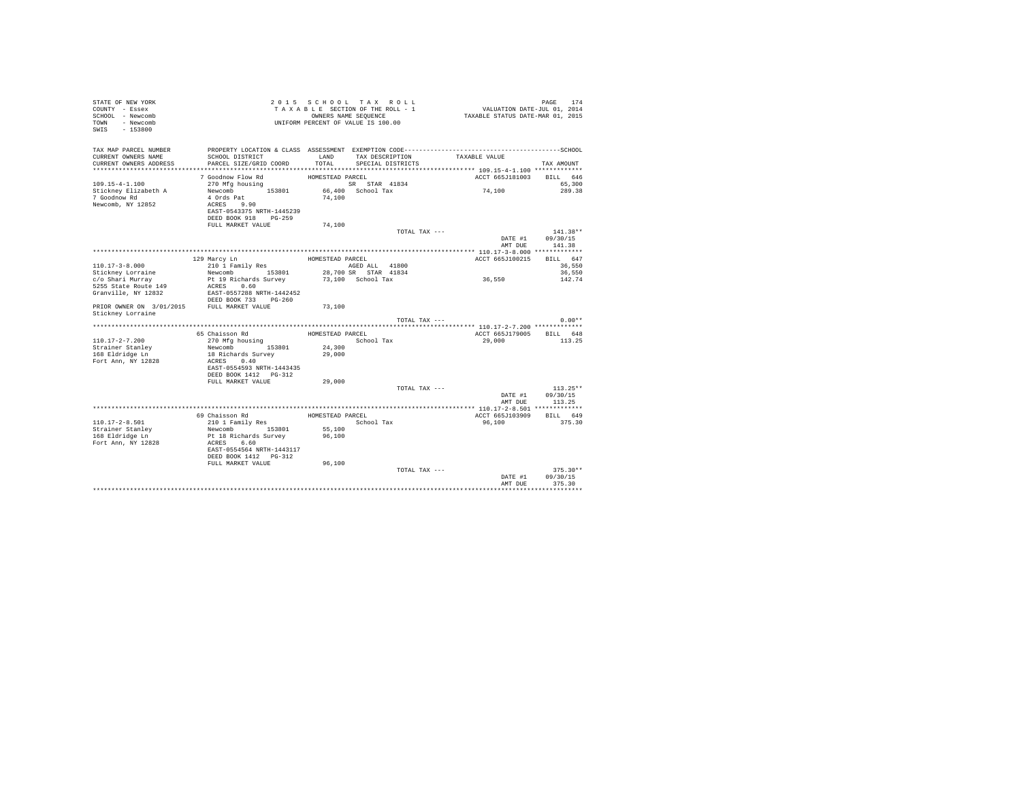| STATE OF NEW YORK<br>COUNTY - Essex<br>SCHOOL - Newcomb<br>- Newcomb<br>TOWN<br>SWIS<br>$-153800$ |                                                                 |                  | 2015 SCHOOL TAX ROLL<br>TAXABLE SECTION OF THE ROLL - 1<br>OWNERS NAME SEQUENCE<br>UNIFORM PERCENT OF VALUE IS 100.00 | PAGE 174<br>VALUATION DATE-JUL 01, 2014<br>TAXABLE STATUS DATE-MAR 01, 2015 |                    |
|---------------------------------------------------------------------------------------------------|-----------------------------------------------------------------|------------------|-----------------------------------------------------------------------------------------------------------------------|-----------------------------------------------------------------------------|--------------------|
| TAX MAP PARCEL NUMBER                                                                             |                                                                 |                  |                                                                                                                       |                                                                             |                    |
| CURRENT OWNERS NAME<br>CURRENT OWNERS ADDRESS                                                     | SCHOOL DISTRICT<br>PARCEL SIZE/GRID COORD                       | LAND<br>TOTAL    | TAX DESCRIPTION<br>SPECIAL DISTRICTS                                                                                  | TAXABLE VALUE                                                               | TAX AMOUNT         |
| *************************                                                                         |                                                                 |                  |                                                                                                                       |                                                                             |                    |
|                                                                                                   | 7 Goodnow Flow Rd                                               | HOMESTEAD PARCEL |                                                                                                                       | ACCT 665J181003                                                             | BILL 646           |
| 109.15-4-1.100                                                                                    | 270 Mfg housing                                                 |                  | SR STAR 41834                                                                                                         |                                                                             | 65,300             |
| Stickney Elizabeth A                                                                              | Newcomb 153801                                                  |                  | 66,400 School Tax                                                                                                     | 74,100                                                                      | 289.38             |
| 7 Goodnow Rd                                                                                      | 4 Ords Pat                                                      | 74,100           |                                                                                                                       |                                                                             |                    |
| Newcomb, NY 12852                                                                                 | ACRES 9.90<br>EAST-0543375 NRTH-1445239                         |                  |                                                                                                                       |                                                                             |                    |
|                                                                                                   | DEED BOOK 918 PG-259                                            |                  |                                                                                                                       |                                                                             |                    |
|                                                                                                   | FULL MARKET VALUE                                               | 74,100           |                                                                                                                       |                                                                             |                    |
|                                                                                                   |                                                                 |                  | TOTAL TAX ---                                                                                                         |                                                                             | 141.38**           |
|                                                                                                   |                                                                 |                  |                                                                                                                       | DATE #1                                                                     | 09/30/15           |
|                                                                                                   |                                                                 |                  |                                                                                                                       | AMT DUE                                                                     | 141.38             |
|                                                                                                   | 129 Marcy Ln                                                    | HOMESTEAD PARCEL |                                                                                                                       | ACCT 665J100215                                                             | BILL 647           |
| $110.17 - 3 - 8.000$                                                                              | 210 1 Family Res                                                |                  | AGED ALL 41800                                                                                                        |                                                                             | 36,550             |
| Stickney Lorraine                                                                                 | Newcomb 153801                                                  |                  | 28,700 SR STAR 41834                                                                                                  |                                                                             | 36,550             |
| c/o Shari Murray                                                                                  | Pt 19 Richards Survey                                           |                  | 73,100 School Tax                                                                                                     | 36,550                                                                      | 142.74             |
| 5255 State Route 149                                                                              |                                                                 |                  |                                                                                                                       |                                                                             |                    |
| Granville, NY 12832                                                                               | ACRES 0.60<br>EAST-0557288 NRTH-1442452<br>DEED BOOK 733 PG-260 |                  |                                                                                                                       |                                                                             |                    |
| PRIOR OWNER ON 3/01/2015 FULL MARKET VALUE                                                        |                                                                 | 73,100           |                                                                                                                       |                                                                             |                    |
| Stickney Lorraine                                                                                 |                                                                 |                  |                                                                                                                       |                                                                             |                    |
|                                                                                                   |                                                                 |                  | TOTAL TAX ---                                                                                                         |                                                                             | $0.00**$           |
|                                                                                                   |                                                                 |                  |                                                                                                                       |                                                                             |                    |
| $110.17 - 2 - 7.200$                                                                              | 65 Chaisson Rd<br>270 Mfg housing                               | HOMESTEAD PARCEL | School Tax                                                                                                            | ACCT 665J179005<br>29,000                                                   | BILL 648<br>113.25 |
| Strainer Stanley                                                                                  | Newcomb 153801                                                  | 24,300           |                                                                                                                       |                                                                             |                    |
| 168 Eldridge Ln                                                                                   | 18 Richards Survey                                              | 29,000           |                                                                                                                       |                                                                             |                    |
| Fort Ann, NY 12828                                                                                | ACRES 0.40                                                      |                  |                                                                                                                       |                                                                             |                    |
|                                                                                                   | EAST-0554593 NRTH-1443435                                       |                  |                                                                                                                       |                                                                             |                    |
|                                                                                                   | DEED BOOK 1412    PG-312<br>FULL MARKET VALUE                   | 29,000           |                                                                                                                       |                                                                             |                    |
|                                                                                                   |                                                                 |                  | TOTAL TAX ---                                                                                                         |                                                                             | $113.25**$         |
|                                                                                                   |                                                                 |                  |                                                                                                                       | DATE #1                                                                     | 09/30/15           |
|                                                                                                   |                                                                 |                  |                                                                                                                       | AMT DUE                                                                     | 113.25             |
|                                                                                                   |                                                                 |                  |                                                                                                                       |                                                                             |                    |
| $110.17 - 2 - 8.501$                                                                              | 69 Chaisson Rd<br>210 1 Family Res                              | HOMESTEAD PARCEL | School Tax                                                                                                            | ACCT 665J103909<br>96,100                                                   | BILL 649<br>375.30 |
| Strainer Stanley                                                                                  | 153801<br>Newcomb                                               | 55,100           |                                                                                                                       |                                                                             |                    |
| 168 Eldridge Ln                                                                                   | Pt 18 Richards Survey                                           | 96,100           |                                                                                                                       |                                                                             |                    |
| Fort Ann, NY 12828                                                                                | ACRES 6.60                                                      |                  |                                                                                                                       |                                                                             |                    |
|                                                                                                   | EAST-0554564 NRTH-1443117                                       |                  |                                                                                                                       |                                                                             |                    |
|                                                                                                   | DEED BOOK 1412   PG-312<br>FULL MARKET VALUE                    |                  |                                                                                                                       |                                                                             |                    |
|                                                                                                   |                                                                 | 96,100           | TOTAL TAX ---                                                                                                         |                                                                             | $375.30**$         |
|                                                                                                   |                                                                 |                  |                                                                                                                       | DATE #1                                                                     | 09/30/15           |
|                                                                                                   |                                                                 |                  |                                                                                                                       | AMT DUE                                                                     | 375.30             |
|                                                                                                   |                                                                 |                  |                                                                                                                       |                                                                             |                    |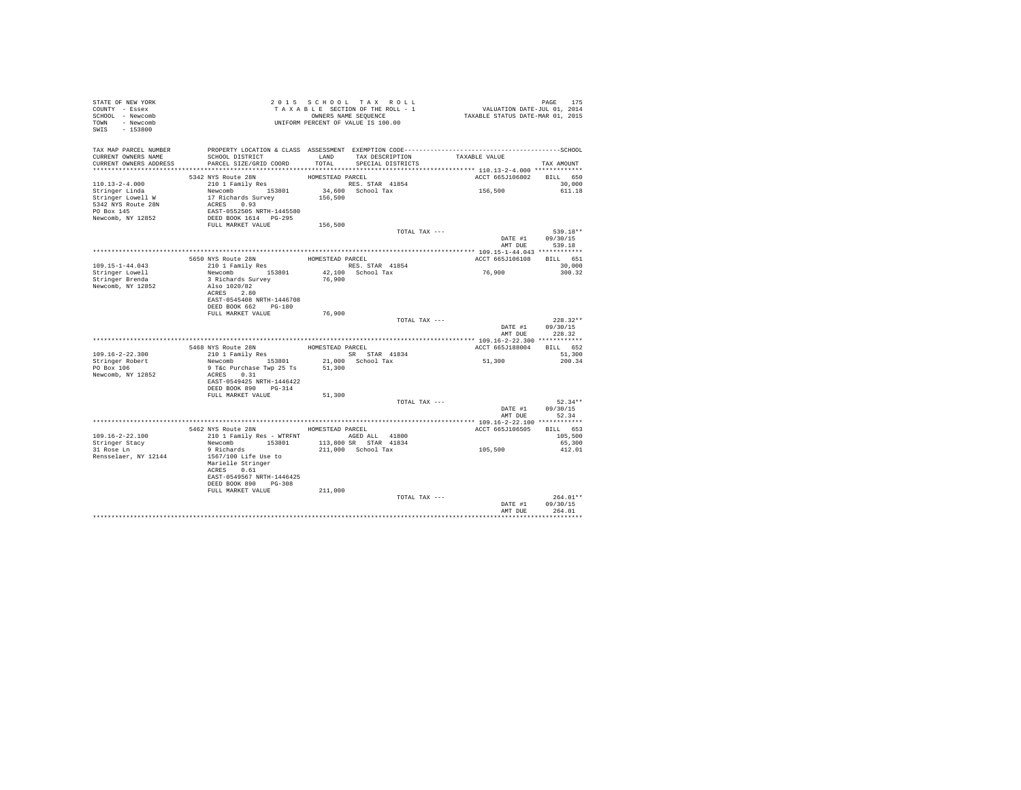| STATE OF NEW YORK<br>COUNTY - Essex<br>SCHOOL - Newcomb<br>TOWN - Newcomb<br>SWIS - 153800 | 2015 SECTION OF THE ROLL - 1<br>TAXABLE SECTION OF THE ROLL - 1<br>UNIFORM PERCENT OF VALUE IS 100.00                                                                        |                  |                                                 | PAGE 175<br>VALUATION DATE-JUL 01, 2014<br>TAXABLE STATUS DATE-MAR 01, 2015 |                                          |
|--------------------------------------------------------------------------------------------|------------------------------------------------------------------------------------------------------------------------------------------------------------------------------|------------------|-------------------------------------------------|-----------------------------------------------------------------------------|------------------------------------------|
| TAX MAP PARCEL NUMBER<br>CURRENT OWNERS NAME<br>CURRENT OWNERS ADDRESS                     | PROPERTY LOCATION & CLASS ASSESSMENT EXEMPTION CODE-----------------------------------SCHOOL<br>SCHOOL DISTRICT<br>PARCEL SIZE/GRID COORD                                    |                  | LAND TAX DESCRIPTION<br>TOTAL SPECIAL DISTRICTS | TAXABLE VALUE                                                               | TAX AMOUNT                               |
|                                                                                            |                                                                                                                                                                              |                  |                                                 |                                                                             |                                          |
| $110.13 - 2 - 4.000$<br>Stringer Linda<br>Stringer Linda<br>Stringer Lowell W              | 5342 NYS Route 28N<br>210 1 Family Res<br>Newcomb 153801<br>17 Richards Survey 156,500                                                                                       | HOMESTEAD PARCEL | RES. STAR 41854<br>34,600 School Tax            | ACCT 665J106802 BILL 650<br>156,500                                         | 30,000<br>611.18                         |
| 5342 NYS Route 28N<br>PO Box 145<br>Newcomb, NY 12852                                      | ACRES 0.93<br>EAST-0552505 NRTH-1445580<br>DEED BOOK 1614 PG-295<br>FULL MARKET VALUE                                                                                        |                  |                                                 |                                                                             |                                          |
|                                                                                            |                                                                                                                                                                              | 156,500          |                                                 |                                                                             |                                          |
|                                                                                            |                                                                                                                                                                              |                  | TOTAL TAX ---                                   | AMT DUE                                                                     | 539.18**<br>DATE #1 09/30/15<br>539.18   |
|                                                                                            |                                                                                                                                                                              |                  |                                                 |                                                                             |                                          |
| 109.15-1-44.043                                                                            | 5650 NYS Route 28N<br>210 1 Family Res                                                                                                                                       |                  | HOMESTEAD PARCEL<br>RES. STAR 41854             | ACCT 665J106108                                                             | BILL 651<br>30,000                       |
| Stringer Lowell                                                                            | Newcomb 153801                                                                                                                                                               |                  | 42.100 School Tax                               | 76,900                                                                      | 300.32                                   |
| Stringer Brenda<br>Newcomb, NY 12852                                                       | 3 Richards Survey<br>Also 1020/82<br>ACRES 2.80<br>EAST-0545408 NRTH-1446708                                                                                                 | 76,900           |                                                 |                                                                             |                                          |
|                                                                                            | DEED BOOK 662 PG-180<br>FULL MARKET VALUE                                                                                                                                    | 76,900           |                                                 |                                                                             |                                          |
|                                                                                            |                                                                                                                                                                              |                  | TOTAL TAX ---                                   | AMT DUE                                                                     | $228.32**$<br>DATE #1 09/30/15<br>228.32 |
|                                                                                            |                                                                                                                                                                              |                  |                                                 |                                                                             |                                          |
| 109.16-2-22.300                                                                            | $\begin{tabular}{lllllllll} 5468 & NYS & \textsc{roule} & 28N & & & \textsc{HOMESTEAD} & \textsc{PARCEL} \\ & 210 & 1 & Family \textsc{Res} & & & \textsc{SR} \end{tabular}$ |                  |                                                 | ACCT 665J188004 BILL 652                                                    | 51,300                                   |
| Stringer Robert<br>PO Box 106<br>Newcomb, NY 12852                                         | 9 T&c Purchase Twp 25 Ts<br>ACRES 0.31                                                                                                                                       | 51,300           |                                                 | 51,300                                                                      | 200.34                                   |
|                                                                                            | EAST-0549425 NRTH-1446422<br>DEED BOOK 890 PG-314<br>FULL MARKET VALUE                                                                                                       | 51,300           |                                                 |                                                                             |                                          |
|                                                                                            |                                                                                                                                                                              |                  | TOTAL TAX ---                                   |                                                                             | $52.34**$                                |
|                                                                                            |                                                                                                                                                                              |                  |                                                 |                                                                             | DATE #1 09/30/15<br>AMT DUE 52.34        |
|                                                                                            |                                                                                                                                                                              |                  |                                                 |                                                                             |                                          |
|                                                                                            | 5462 NYS Route 28N HOMESTEAD PARCEL                                                                                                                                          |                  |                                                 | ACCT 665J106505                                                             | BILL 653                                 |
| 109.16-2-22.100<br>Stringer Stacy                                                          | 210 1 Family Res - WTRFNT AGED ALL 41800                                                                                                                                     |                  | 113,800 SR STAR 41834                           |                                                                             | 105,500<br>65,300                        |
| 31 Rose Ln                                                                                 | Newcomb 153801<br>9 Richards                                                                                                                                                 |                  | 211,000 School Tax                              | 105,500                                                                     | 412.01                                   |
| Rensselaer, NY 12144                                                                       | 1567/100 Life Use to<br>Marielle Stringer<br>ACRES 0.61<br>EAST-0549567 NRTH-1446425                                                                                         |                  |                                                 |                                                                             |                                          |
|                                                                                            | DEED BOOK 890 PG-308                                                                                                                                                         |                  |                                                 |                                                                             |                                          |
|                                                                                            | FULL MARKET VALUE                                                                                                                                                            | 211,000          | TOTAL TAX ---                                   |                                                                             | $264.01**$                               |
|                                                                                            |                                                                                                                                                                              |                  |                                                 | DATE #1<br>AMT DUE                                                          | 09/30/15<br>264.01                       |
|                                                                                            |                                                                                                                                                                              |                  |                                                 |                                                                             |                                          |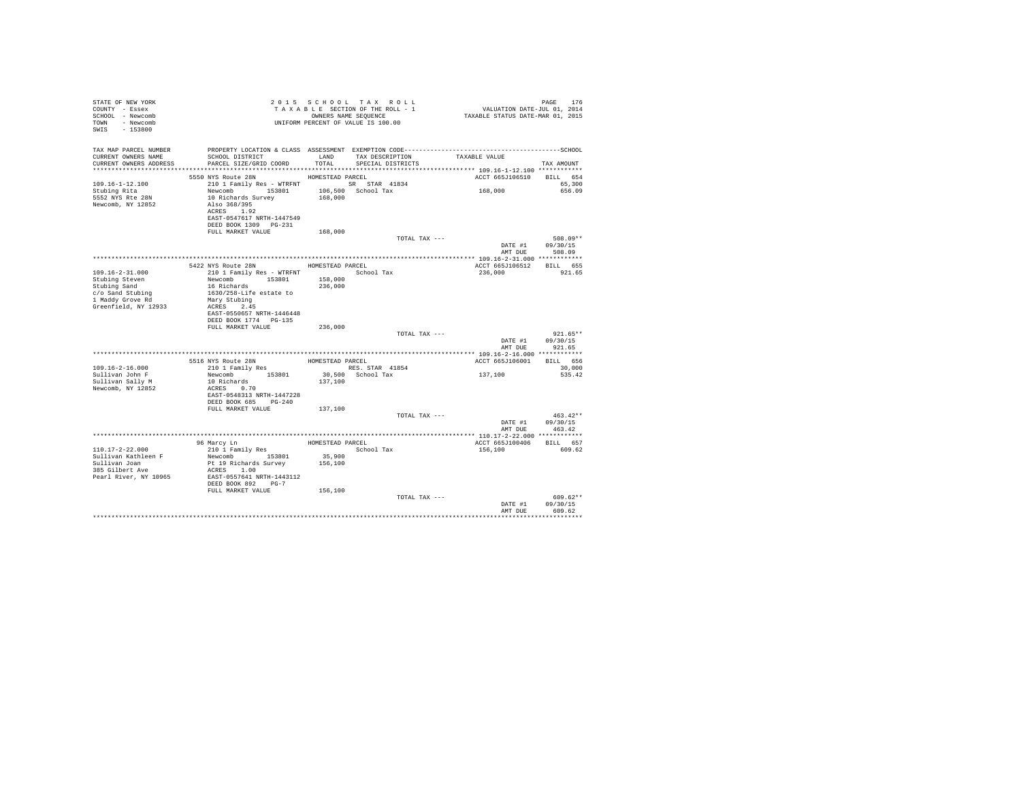| SCHOOL DISTRICT<br>TAX DESCRIPTION TAXABLE VALUE<br>LAND<br>SPECIAL DISTRICTS<br>PARCEL SIZE/GRID COORD<br>TOTAL<br>TAX AMOUNT<br>5550 NYS Route 28N<br>ACCT 665J106510 BILL 654<br>HOMESTEAD PARCEL<br>210 1 Family Res - WTRFNT SR STAR 41834<br>65,300<br>168,000<br>Newcomb 153801 106,500 School Tax<br>10 Richards Survey 168,000<br>656.09<br>5552 NYS Rte 28N<br>10 Richards Survey<br>Also 368/395<br>ACRES 1.92<br>EAST-0547617 NRTH-1447549<br>DEED BOOK 1309 PG-231<br>FULL MARKET VALUE<br>168,000<br>508.09**<br>TOTAL TAX ---<br>DATE #1 09/30/15<br>AMT DUE<br>508.09<br>5422 NYS Route 28N<br>ACCT 665J106512 BILL 655<br>HOMESTEAD PARCEL<br>210 1 Family Res - WTRFNT<br>$109.16 - 2 - 31.000$<br>School Tax<br>236,000<br>921.65<br>Newcomb 153801<br>16 Richards<br>158,000<br>236,000<br>1630/258-Life estate to<br>Mary Stubing<br>ACRES 2.45<br>EAST-0550657 NRTH-1446448<br>DEED BOOK 1774 PG-135<br>FULL MARKET VALUE<br>236,000<br>$921.65**$<br>TOTAL TAX ---<br>DATE #1<br>09/30/15<br>AMT DUE<br>921.65<br>5516 NYS Route 28N HOMESTEAD PARCEL<br>210 1 Family Res RES. ST<br>ACCT 665J106001<br>BILL 656<br>$109.16 - 2 - 16.000$<br>RES. STAR 41854<br>30,000<br>137,100<br>Newcomb 153801<br>30.500 School Tax<br>535.42<br>10 Richards<br>Sullivan Sally M<br>137,100<br>ACRES 0.70<br>EAST-0548313 NRTH-1447228<br>DEED BOOK 685 PG-240<br>FULL MARKET VALUE<br>137,100<br>TOTAL TAX ---<br>$463.42**$<br>DATE #1 09/30/15<br>AMT DUE<br>463.42<br>HOMESTEAD PARCEL<br>96 Marcy Ln<br>BILL 657<br>ACCT 665J100406<br>210 1 Family Res<br>School Tax<br>156,100<br>609.62<br>Newcomb 153801<br>Sullivan Kathleen F<br>35,900<br>Sullivan Joan<br>Pt 19 Richards Survey<br>156,100<br>ACRES 1.00<br>EAST-0557641 NRTH-1443112<br>DEED BOOK 892 PG-7<br>FULL MARKET VALUE<br>156,100<br>TOTAL TAX ---<br>$609.62**$<br>DATE #1<br>09/30/15<br>AMT DUE<br>609.62 | STATE OF NEW YORK<br>COUNTY - Essex<br>SCHOOL - Newcomb<br>TOWN - Newcomb<br>$-153800$<br>SWIS |  | 2015 SCHOOL TAX ROLL<br>7015 SCHOOL TAX ROLL<br>TAXABLE SECTION OF THE ROLL - 1<br>TAXABLE STATUS DATE-THE ROLL - 1<br>TAXABLE STATUS DATE-MAR 01, 2015<br>UNIFORM PERCENT OF VALUE IS 100.00 | PAGE<br>176 |
|-------------------------------------------------------------------------------------------------------------------------------------------------------------------------------------------------------------------------------------------------------------------------------------------------------------------------------------------------------------------------------------------------------------------------------------------------------------------------------------------------------------------------------------------------------------------------------------------------------------------------------------------------------------------------------------------------------------------------------------------------------------------------------------------------------------------------------------------------------------------------------------------------------------------------------------------------------------------------------------------------------------------------------------------------------------------------------------------------------------------------------------------------------------------------------------------------------------------------------------------------------------------------------------------------------------------------------------------------------------------------------------------------------------------------------------------------------------------------------------------------------------------------------------------------------------------------------------------------------------------------------------------------------------------------------------------------------------------------------------------------------------------------------------------------------------------------------------------------------------------------------------------------|------------------------------------------------------------------------------------------------|--|-----------------------------------------------------------------------------------------------------------------------------------------------------------------------------------------------|-------------|
|                                                                                                                                                                                                                                                                                                                                                                                                                                                                                                                                                                                                                                                                                                                                                                                                                                                                                                                                                                                                                                                                                                                                                                                                                                                                                                                                                                                                                                                                                                                                                                                                                                                                                                                                                                                                                                                                                                 | TAX MAP PARCEL NUMBER<br>CURRENT OWNERS NAME<br>CURRENT OWNERS ADDRESS                         |  |                                                                                                                                                                                               |             |
|                                                                                                                                                                                                                                                                                                                                                                                                                                                                                                                                                                                                                                                                                                                                                                                                                                                                                                                                                                                                                                                                                                                                                                                                                                                                                                                                                                                                                                                                                                                                                                                                                                                                                                                                                                                                                                                                                                 | $109.16 - 1 - 12.100$<br>Stubing Rita<br>Newcomb, NY 12852                                     |  |                                                                                                                                                                                               |             |
|                                                                                                                                                                                                                                                                                                                                                                                                                                                                                                                                                                                                                                                                                                                                                                                                                                                                                                                                                                                                                                                                                                                                                                                                                                                                                                                                                                                                                                                                                                                                                                                                                                                                                                                                                                                                                                                                                                 |                                                                                                |  |                                                                                                                                                                                               |             |
|                                                                                                                                                                                                                                                                                                                                                                                                                                                                                                                                                                                                                                                                                                                                                                                                                                                                                                                                                                                                                                                                                                                                                                                                                                                                                                                                                                                                                                                                                                                                                                                                                                                                                                                                                                                                                                                                                                 |                                                                                                |  |                                                                                                                                                                                               |             |
|                                                                                                                                                                                                                                                                                                                                                                                                                                                                                                                                                                                                                                                                                                                                                                                                                                                                                                                                                                                                                                                                                                                                                                                                                                                                                                                                                                                                                                                                                                                                                                                                                                                                                                                                                                                                                                                                                                 |                                                                                                |  |                                                                                                                                                                                               |             |
|                                                                                                                                                                                                                                                                                                                                                                                                                                                                                                                                                                                                                                                                                                                                                                                                                                                                                                                                                                                                                                                                                                                                                                                                                                                                                                                                                                                                                                                                                                                                                                                                                                                                                                                                                                                                                                                                                                 | Stubing Steven<br>Stubing Sand<br>c/o Sand Stubing<br>1 Maddy Grove Rd<br>Greenfield, NY 12933 |  |                                                                                                                                                                                               |             |
|                                                                                                                                                                                                                                                                                                                                                                                                                                                                                                                                                                                                                                                                                                                                                                                                                                                                                                                                                                                                                                                                                                                                                                                                                                                                                                                                                                                                                                                                                                                                                                                                                                                                                                                                                                                                                                                                                                 |                                                                                                |  |                                                                                                                                                                                               |             |
|                                                                                                                                                                                                                                                                                                                                                                                                                                                                                                                                                                                                                                                                                                                                                                                                                                                                                                                                                                                                                                                                                                                                                                                                                                                                                                                                                                                                                                                                                                                                                                                                                                                                                                                                                                                                                                                                                                 |                                                                                                |  |                                                                                                                                                                                               |             |
|                                                                                                                                                                                                                                                                                                                                                                                                                                                                                                                                                                                                                                                                                                                                                                                                                                                                                                                                                                                                                                                                                                                                                                                                                                                                                                                                                                                                                                                                                                                                                                                                                                                                                                                                                                                                                                                                                                 |                                                                                                |  |                                                                                                                                                                                               |             |
|                                                                                                                                                                                                                                                                                                                                                                                                                                                                                                                                                                                                                                                                                                                                                                                                                                                                                                                                                                                                                                                                                                                                                                                                                                                                                                                                                                                                                                                                                                                                                                                                                                                                                                                                                                                                                                                                                                 |                                                                                                |  |                                                                                                                                                                                               |             |
|                                                                                                                                                                                                                                                                                                                                                                                                                                                                                                                                                                                                                                                                                                                                                                                                                                                                                                                                                                                                                                                                                                                                                                                                                                                                                                                                                                                                                                                                                                                                                                                                                                                                                                                                                                                                                                                                                                 | Sullivan John F                                                                                |  |                                                                                                                                                                                               |             |
|                                                                                                                                                                                                                                                                                                                                                                                                                                                                                                                                                                                                                                                                                                                                                                                                                                                                                                                                                                                                                                                                                                                                                                                                                                                                                                                                                                                                                                                                                                                                                                                                                                                                                                                                                                                                                                                                                                 | Newcomb, NY 12852                                                                              |  |                                                                                                                                                                                               |             |
|                                                                                                                                                                                                                                                                                                                                                                                                                                                                                                                                                                                                                                                                                                                                                                                                                                                                                                                                                                                                                                                                                                                                                                                                                                                                                                                                                                                                                                                                                                                                                                                                                                                                                                                                                                                                                                                                                                 |                                                                                                |  |                                                                                                                                                                                               |             |
|                                                                                                                                                                                                                                                                                                                                                                                                                                                                                                                                                                                                                                                                                                                                                                                                                                                                                                                                                                                                                                                                                                                                                                                                                                                                                                                                                                                                                                                                                                                                                                                                                                                                                                                                                                                                                                                                                                 |                                                                                                |  |                                                                                                                                                                                               |             |
|                                                                                                                                                                                                                                                                                                                                                                                                                                                                                                                                                                                                                                                                                                                                                                                                                                                                                                                                                                                                                                                                                                                                                                                                                                                                                                                                                                                                                                                                                                                                                                                                                                                                                                                                                                                                                                                                                                 |                                                                                                |  |                                                                                                                                                                                               |             |
|                                                                                                                                                                                                                                                                                                                                                                                                                                                                                                                                                                                                                                                                                                                                                                                                                                                                                                                                                                                                                                                                                                                                                                                                                                                                                                                                                                                                                                                                                                                                                                                                                                                                                                                                                                                                                                                                                                 | $110.17 - 2 - 22.000$                                                                          |  |                                                                                                                                                                                               |             |
|                                                                                                                                                                                                                                                                                                                                                                                                                                                                                                                                                                                                                                                                                                                                                                                                                                                                                                                                                                                                                                                                                                                                                                                                                                                                                                                                                                                                                                                                                                                                                                                                                                                                                                                                                                                                                                                                                                 | 385 Gilbert Ave<br>Pearl River, NY 10965                                                       |  |                                                                                                                                                                                               |             |
|                                                                                                                                                                                                                                                                                                                                                                                                                                                                                                                                                                                                                                                                                                                                                                                                                                                                                                                                                                                                                                                                                                                                                                                                                                                                                                                                                                                                                                                                                                                                                                                                                                                                                                                                                                                                                                                                                                 |                                                                                                |  |                                                                                                                                                                                               |             |
|                                                                                                                                                                                                                                                                                                                                                                                                                                                                                                                                                                                                                                                                                                                                                                                                                                                                                                                                                                                                                                                                                                                                                                                                                                                                                                                                                                                                                                                                                                                                                                                                                                                                                                                                                                                                                                                                                                 |                                                                                                |  |                                                                                                                                                                                               |             |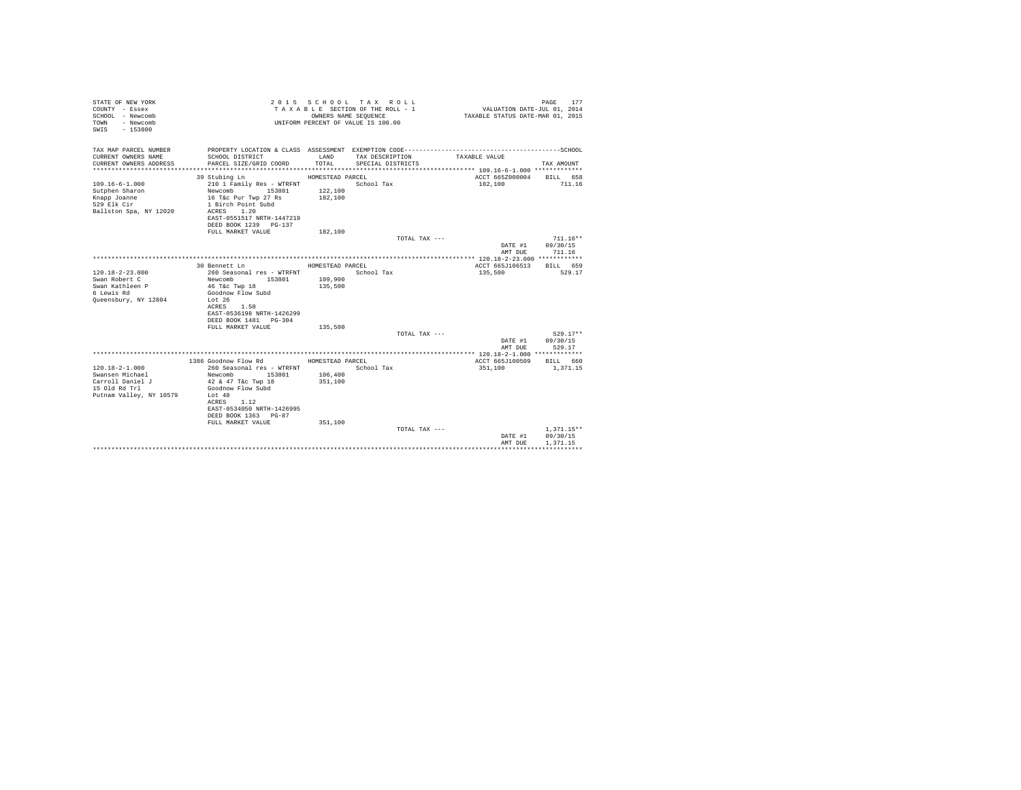| STATE OF NEW YORK<br>COUNTY - Essex<br>SCHOOL - Newcomb<br>- Newcomb<br>TOWN<br>$-153800$<br>SWIS |                                            | OWNERS NAME SEOUENCE | 2015 SCHOOL TAX ROLL<br>TAXABLE SECTION OF THE ROLL - 1<br>UNIFORM PERCENT OF VALUE IS 100.00 | VALUATION DATE-JUL 01, 2014<br>TAXABLE STATUS DATE-MAR 01, 2015 | PAGE<br>177  |
|---------------------------------------------------------------------------------------------------|--------------------------------------------|----------------------|-----------------------------------------------------------------------------------------------|-----------------------------------------------------------------|--------------|
| TAX MAP PARCEL NUMBER                                                                             |                                            | LAND                 |                                                                                               |                                                                 |              |
| CURRENT OWNERS NAME<br>CURRENT OWNERS ADDRESS                                                     | SCHOOL DISTRICT<br>PARCEL SIZE/GRID COORD  | TOTAL.               | TAX DESCRIPTION<br>SPECIAL DISTRICTS                                                          | TAXABLE VALUE                                                   | TAX AMOUNT   |
|                                                                                                   |                                            |                      |                                                                                               |                                                                 |              |
|                                                                                                   | 39 Stubing Ln                              | HOMESTEAD PARCEL     |                                                                                               | ACCT 665Z000004 BILL 658                                        |              |
| $109.16 - 6 - 1.000$                                                                              | 210 1 Family Res - WTRFNT                  |                      | School Tax                                                                                    | 182,100                                                         | 711.16       |
| Sutphen Sharon                                                                                    | Newcomb 153801                             | 122,100              |                                                                                               |                                                                 |              |
| Knapp Joanne                                                                                      | 16 T&c Pur Twp 27 Rs                       | 182,100              |                                                                                               |                                                                 |              |
| 529 Elk Cir<br>Ballston Spa, NY 12020                                                             | 1 Birch Point Subd<br>ACRES 1.20           |                      |                                                                                               |                                                                 |              |
|                                                                                                   | EAST-0551517 NRTH-1447219                  |                      |                                                                                               |                                                                 |              |
|                                                                                                   | DEED BOOK 1239 PG-137                      |                      |                                                                                               |                                                                 |              |
|                                                                                                   | FULL MARKET VALUE                          | 182,100              |                                                                                               |                                                                 |              |
|                                                                                                   |                                            |                      | TOTAL TAX ---                                                                                 |                                                                 | $711.16**$   |
|                                                                                                   |                                            |                      |                                                                                               | DATE #1                                                         | 09/30/15     |
|                                                                                                   |                                            |                      |                                                                                               | AMT DUE                                                         | 711.16       |
|                                                                                                   | 30 Bennett Ln                              | HOMESTEAD PARCEL     |                                                                                               | ACCT 665J106513                                                 | BILL 659     |
| $120.18 - 2 - 23.000$                                                                             | 260 Seasonal res - WTRFNT                  |                      | School Tax                                                                                    | 135,500                                                         | 529.17       |
| Swan Robert C                                                                                     | Newcomb<br>153801                          | 109,900              |                                                                                               |                                                                 |              |
| Swan Kathleen P                                                                                   | 46 T&c Twp 18                              | 135,500              |                                                                                               |                                                                 |              |
| 6 Lewis Rd                                                                                        | Goodnow Flow Subd                          |                      |                                                                                               |                                                                 |              |
| Queensbury, NY 12804                                                                              | $To + 26$                                  |                      |                                                                                               |                                                                 |              |
|                                                                                                   | ACRES<br>1.50<br>EAST-0536198 NRTH-1426299 |                      |                                                                                               |                                                                 |              |
|                                                                                                   | DEED BOOK 1481   PG-304                    |                      |                                                                                               |                                                                 |              |
|                                                                                                   | FULL MARKET VALUE                          | 135,500              |                                                                                               |                                                                 |              |
|                                                                                                   |                                            |                      | TOTAL TAX ---                                                                                 |                                                                 | $529.17**$   |
|                                                                                                   |                                            |                      |                                                                                               | DATE #1                                                         | 09/30/15     |
|                                                                                                   |                                            |                      |                                                                                               | AMT DUE                                                         | 529.17       |
|                                                                                                   | 1386 Goodnow Flow Rd                       | HOMESTEAD PARCEL     |                                                                                               | ACCT 665J100509                                                 | BILL 660     |
| $120.18 - 2 - 1.000$                                                                              | 260 Seasonal res - WTRFNT                  |                      | School Tax                                                                                    | 351,100                                                         | 1,371.15     |
| Swansen Michael                                                                                   | Newcomb 153801                             | 106,400              |                                                                                               |                                                                 |              |
| Carroll Daniel J                                                                                  | 42 & 47 T&c Twp 18                         | 351,100              |                                                                                               |                                                                 |              |
| 15 Old Rd Trl                                                                                     | Goodnow Flow Subd                          |                      |                                                                                               |                                                                 |              |
| Putnam Valley, NY 10579                                                                           | Lot 48                                     |                      |                                                                                               |                                                                 |              |
|                                                                                                   | ACRES 1.12<br>EAST-0534050 NRTH-1426995    |                      |                                                                                               |                                                                 |              |
|                                                                                                   | DEED BOOK 1363 PG-87                       |                      |                                                                                               |                                                                 |              |
|                                                                                                   | FULL MARKET VALUE                          | 351,100              |                                                                                               |                                                                 |              |
|                                                                                                   |                                            |                      | TOTAL TAX ---                                                                                 |                                                                 | $1,371.15**$ |
|                                                                                                   |                                            |                      |                                                                                               | DATE #1                                                         | 09/30/15     |
|                                                                                                   |                                            |                      |                                                                                               | AMT DUE                                                         | 1.371.15     |
|                                                                                                   |                                            |                      |                                                                                               |                                                                 |              |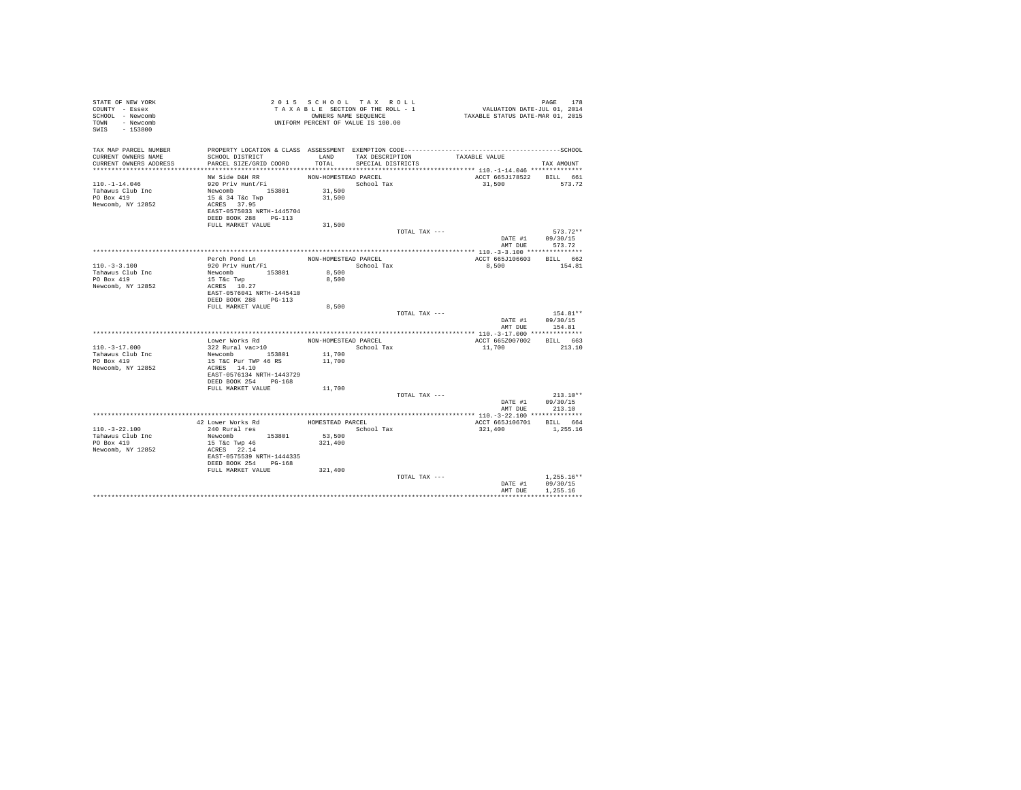| STATE OF NEW YORK<br>COUNTY - Essex<br>SCHOOL - Newcomb<br>TOWN - Newcomb<br>SWIS - 153800 |                                            |                      | 2015 SCHOOL TAX ROLL<br>TAXABLE SECTION OF THE ROLL - 1<br>OWNERS NAME SEQUENCE<br>UNIFORM PERCENT OF VALUE IS 100.00 |               | PAGE 178<br>VALUATION DATE-JUL 01, 2014<br>TAXABLE STATUS DATE-MAR 01, 2015 |                            |
|--------------------------------------------------------------------------------------------|--------------------------------------------|----------------------|-----------------------------------------------------------------------------------------------------------------------|---------------|-----------------------------------------------------------------------------|----------------------------|
| TAX MAP PARCEL NUMBER<br>CURRENT OWNERS NAME                                               | SCHOOL DISTRICT                            | LAND                 | TAX DESCRIPTION                                                                                                       |               | TAXABLE VALUE                                                               |                            |
| CURRENT OWNERS ADDRESS                                                                     | PARCEL SIZE/GRID COORD                     | TOTAL                | SPECIAL DISTRICTS                                                                                                     |               |                                                                             | TAX AMOUNT                 |
|                                                                                            |                                            |                      |                                                                                                                       |               |                                                                             |                            |
| $110. - 1 - 14.046$                                                                        | NW Side D&H RR<br>920 Priv Hunt/Fi         | NON-HOMESTEAD PARCEL | School Tax                                                                                                            |               | ACCT 665J178522 BILL 661<br>31,500                                          | 573.72                     |
| Tahawus Club Inc                                                                           | Newcomb 153801                             | 31,500               |                                                                                                                       |               |                                                                             |                            |
| PO Box 419                                                                                 | 15 & 34 T&c Twp                            | 31,500               |                                                                                                                       |               |                                                                             |                            |
| Newcomb, NY 12852                                                                          | $ACRES$ 37.95<br>EAST-0575033 NRTH-1445704 |                      |                                                                                                                       |               |                                                                             |                            |
|                                                                                            | DEED BOOK 288 PG-113<br>FULL MARKET VALUE  | 31,500               |                                                                                                                       |               |                                                                             |                            |
|                                                                                            |                                            |                      |                                                                                                                       | TOTAL TAX --- |                                                                             | $573.72**$                 |
|                                                                                            |                                            |                      |                                                                                                                       |               | DATE #1 09/30/15                                                            | AMT DUE 573.72             |
|                                                                                            |                                            |                      |                                                                                                                       |               |                                                                             |                            |
|                                                                                            | Perch Pond Ln                              | NON-HOMESTEAD PARCEL |                                                                                                                       |               | ACCT 665J106603 BILL 662                                                    |                            |
| $110. - 3 - 3.100$                                                                         | 920 Priv Hunt/Fi                           |                      | School Tax                                                                                                            |               | 8,500                                                                       | 154.81                     |
| Tahawus Club Inc                                                                           | Newcomb 153801                             | 8,500                |                                                                                                                       |               |                                                                             |                            |
| PO Box 419<br>Newcomb, NY 12852                                                            | 15 T&c Twp<br>ACRES 10.27                  | 8,500                |                                                                                                                       |               |                                                                             |                            |
|                                                                                            | EAST-0576041 NRTH-1445410                  |                      |                                                                                                                       |               |                                                                             |                            |
|                                                                                            | DEED BOOK 288 PG-113                       |                      |                                                                                                                       |               |                                                                             |                            |
|                                                                                            | FULL MARKET VALUE                          | 8,500                |                                                                                                                       |               |                                                                             |                            |
|                                                                                            |                                            |                      |                                                                                                                       | TOTAL TAX --- |                                                                             | 154.81**                   |
|                                                                                            |                                            |                      |                                                                                                                       |               | DATE #1                                                                     | 09/30/15<br>AMT DUR 154.81 |
|                                                                                            |                                            |                      |                                                                                                                       |               |                                                                             |                            |
|                                                                                            | Lower Works Rd                             | NON-HOMESTEAD PARCEL |                                                                                                                       |               | ACCT 665Z007002                                                             | BILL 663                   |
| $110. - 3 - 17.000$                                                                        | 322 Rural vac>10                           |                      | School Tax                                                                                                            |               | 11,700                                                                      | 213.10                     |
| Tahawus Club Inc                                                                           | Newcomb 153801                             | 11,700               |                                                                                                                       |               |                                                                             |                            |
| PO Box 419                                                                                 | 15 T&C Pur TWP 46 RS                       | 11,700               |                                                                                                                       |               |                                                                             |                            |
| Newcomb, NY 12852                                                                          | ACRES 14.10<br>EAST-0576134 NRTH-1443729   |                      |                                                                                                                       |               |                                                                             |                            |
|                                                                                            | DEED BOOK 254 PG-168                       |                      |                                                                                                                       |               |                                                                             |                            |
|                                                                                            | FULL MARKET VALUE                          | 11,700               |                                                                                                                       |               |                                                                             |                            |
|                                                                                            |                                            |                      |                                                                                                                       | TOTAL TAX --- |                                                                             | $213.10**$                 |
|                                                                                            |                                            |                      |                                                                                                                       |               | DATE #1                                                                     | 09/30/15                   |
|                                                                                            |                                            |                      |                                                                                                                       |               | AMT DUE                                                                     | 213.10                     |
|                                                                                            | 42 Lower Works Rd                          | HOMESTEAD PARCEL     |                                                                                                                       |               |                                                                             |                            |
| $110 - 3 - 22.100$                                                                         | 240 Rural res                              |                      | School Tax                                                                                                            |               | ACCT 665J106701 BILL 664<br>321,400                                         | 1,255.16                   |
| Tahawus Club Inc                                                                           | Newcomb 153801                             | 53,500               |                                                                                                                       |               |                                                                             |                            |
| PO Box 419                                                                                 | 15 T&c Twp 46                              | 321,400              |                                                                                                                       |               |                                                                             |                            |
| Newcomb, NY 12852                                                                          | ACRES 22.14                                |                      |                                                                                                                       |               |                                                                             |                            |
|                                                                                            | EAST-0575539 NRTH-1444335                  |                      |                                                                                                                       |               |                                                                             |                            |
|                                                                                            | DEED BOOK 254 PG-168<br>FULL MARKET VALUE  | 321,400              |                                                                                                                       |               |                                                                             |                            |
|                                                                                            |                                            |                      |                                                                                                                       | TOTAL TAX --- |                                                                             | $1.255.16**$               |
|                                                                                            |                                            |                      |                                                                                                                       |               | DATE #1                                                                     | 09/30/15                   |
|                                                                                            |                                            |                      |                                                                                                                       |               | AMT DUE                                                                     | 1.255.16                   |
|                                                                                            |                                            |                      |                                                                                                                       |               |                                                                             |                            |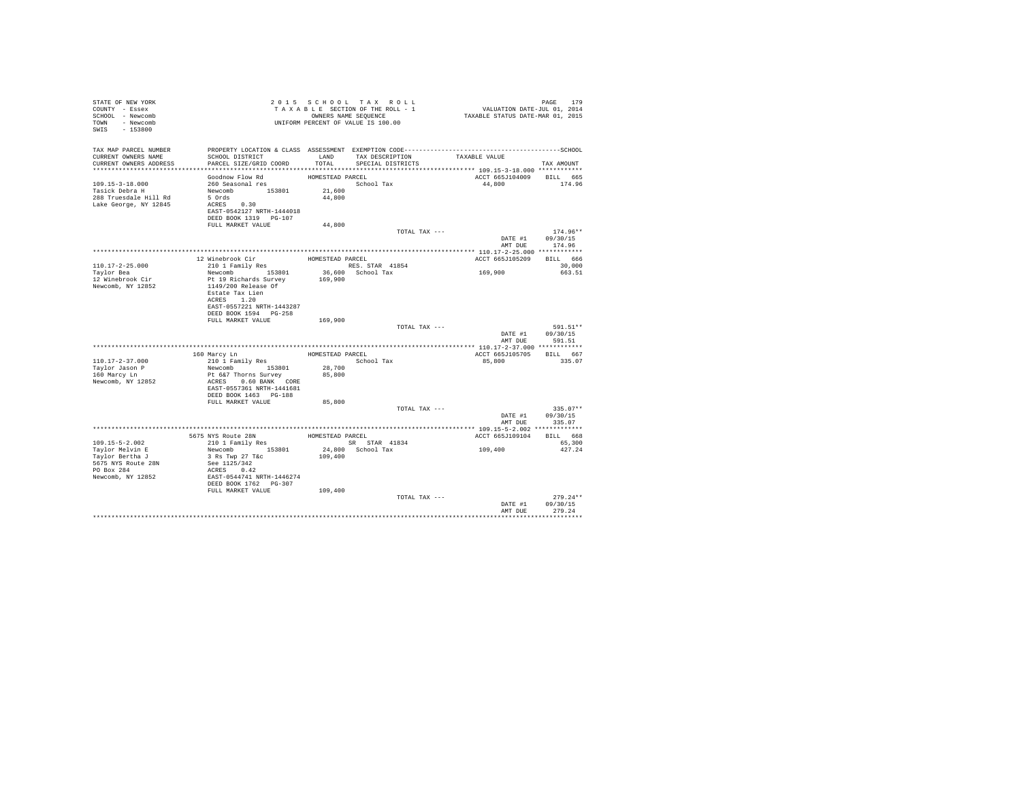| STATE OF NEW YORK<br>COUNTY - Essex<br>SCHOOL - Newcomb<br>TOWN - Newcomb<br>SWIS - 153800 |                                                    |                  | 2015 SCHOOL TAX ROLL<br>TAXABLE SECTION OF THE ROLL - 1<br>OWNERS NAME SEQUENCE<br>UNIFORM PERCENT OF VALUE IS 100.00 | PAGE 179<br>VALUATION DATE-JUL 01, 2014<br>TAXABLE STATUS DATE-MAR 01, 2015 |                  |
|--------------------------------------------------------------------------------------------|----------------------------------------------------|------------------|-----------------------------------------------------------------------------------------------------------------------|-----------------------------------------------------------------------------|------------------|
| TAX MAP PARCEL NUMBER<br>CURRENT OWNERS NAME<br>CURRENT OWNERS ADDRESS                     | SCHOOL DISTRICT<br>PARCEL SIZE/GRID COORD          | TOTAL            | LAND TAX DESCRIPTION<br>SPECIAL DISTRICTS                                                                             | TAXABLE VALUE                                                               | TAX AMOUNT       |
| *************************                                                                  |                                                    |                  |                                                                                                                       |                                                                             |                  |
|                                                                                            | Goodnow Flow Rd                                    | HOMESTEAD PARCEL |                                                                                                                       | ACCT 665J104009                                                             | BILL 665         |
| 109.15-3-18.000                                                                            | 260 Seasonal res                                   |                  | School Tax                                                                                                            | 44,800                                                                      | 174.96           |
| Tasick Debra H                                                                             | Newcomb 153801                                     | 21,600           |                                                                                                                       |                                                                             |                  |
| 288 Truesdale Hill Rd                                                                      | 5 Ords                                             | 44,800           |                                                                                                                       |                                                                             |                  |
| Lake George, NY 12845                                                                      | $ACRES$ 0.30                                       |                  |                                                                                                                       |                                                                             |                  |
|                                                                                            | EAST-0542127 NRTH-1444018                          |                  |                                                                                                                       |                                                                             |                  |
|                                                                                            | DEED BOOK 1319 PG-107                              |                  |                                                                                                                       |                                                                             |                  |
|                                                                                            | FULL MARKET VALUE                                  | 44,800           |                                                                                                                       |                                                                             |                  |
|                                                                                            |                                                    |                  | TOTAL TAX ---                                                                                                         |                                                                             | $174.96**$       |
|                                                                                            |                                                    |                  |                                                                                                                       | DATE #1 09/30/15<br>AMT DUE                                                 | 174.96           |
|                                                                                            |                                                    |                  |                                                                                                                       |                                                                             |                  |
|                                                                                            | 12 Winebrook Cir                                   | HOMESTEAD PARCEL |                                                                                                                       | ACCT 665J105209                                                             | BILL 666         |
| 110.17-2-25.000                                                                            | 210 1 Family Res                                   |                  | RES. STAR 41854                                                                                                       |                                                                             | 30,000           |
| Taylor Bea                                                                                 | Newcomb 153801                                     |                  | 36,600 School Tax                                                                                                     | 169,900                                                                     | 663.51           |
| 12 Winebrook Cir                                                                           | Pt 19 Richards Survey                              | 169,900          |                                                                                                                       |                                                                             |                  |
| Newcomb, NY 12852                                                                          | 1149/200 Release Of                                |                  |                                                                                                                       |                                                                             |                  |
|                                                                                            | Estate Tax Lien                                    |                  |                                                                                                                       |                                                                             |                  |
|                                                                                            | ACRES 1.20                                         |                  |                                                                                                                       |                                                                             |                  |
|                                                                                            | EAST-0557221 NRTH-1443287<br>DEED BOOK 1594 PG-258 |                  |                                                                                                                       |                                                                             |                  |
|                                                                                            | FULL MARKET VALUE                                  | 169,900          |                                                                                                                       |                                                                             |                  |
|                                                                                            |                                                    |                  | TOTAL TAX ---                                                                                                         |                                                                             | 591.51**         |
|                                                                                            |                                                    |                  |                                                                                                                       | DATE #1                                                                     | 09/30/15         |
|                                                                                            |                                                    |                  |                                                                                                                       | AMT DUE                                                                     | 591.51           |
|                                                                                            |                                                    |                  |                                                                                                                       |                                                                             |                  |
|                                                                                            | 160 Marcy Ln                                       |                  | HOMESTEAD PARCEL                                                                                                      | ACCT 665J105705                                                             | BILL 667         |
| $110.17 - 2 - 37.000$                                                                      | 210 1 Family Res                                   |                  | School Tax                                                                                                            | 85,800                                                                      | 335.07           |
| Taylor Jason P                                                                             | Newcomb 153801                                     | 28,700           |                                                                                                                       |                                                                             |                  |
| 160 Marcy Ln<br>Newcomb, NY 12852                                                          | Pt 6&7 Thorns Survey                               | 85,800           |                                                                                                                       |                                                                             |                  |
|                                                                                            | ACRES 0.60 BANK CORE<br>EAST-0557361 NRTH-1441681  |                  |                                                                                                                       |                                                                             |                  |
|                                                                                            | DEED BOOK 1463 PG-188                              |                  |                                                                                                                       |                                                                             |                  |
|                                                                                            | FULL MARKET VALUE                                  | 85,800           |                                                                                                                       |                                                                             |                  |
|                                                                                            |                                                    |                  | TOTAL TAX ---                                                                                                         |                                                                             | $335.07**$       |
|                                                                                            |                                                    |                  |                                                                                                                       |                                                                             | DATE #1 09/30/15 |
|                                                                                            |                                                    |                  |                                                                                                                       | AMT DUE                                                                     | 335.07           |
|                                                                                            |                                                    |                  |                                                                                                                       |                                                                             |                  |
|                                                                                            | 5675 NYS Route 28N                                 |                  | HOMESTEAD PARCEL                                                                                                      | ACCT 665J109104                                                             | BILL 668         |
| $109.15 - 5 - 2.002$                                                                       | 210 1 Family Res                                   |                  | SR STAR 41834                                                                                                         |                                                                             | 65,300           |
| Taylor Melvin E                                                                            | Newcomb 153801                                     |                  | 24,800 School Tax                                                                                                     | 109,400                                                                     | 427.24           |
| Taylor Bertha J<br>5675 NYS Route 28N                                                      | 3 Rs Twp 27 T&c<br>See 1125/342                    | 109,400          |                                                                                                                       |                                                                             |                  |
| PO Box 284                                                                                 | ACRES 0.42                                         |                  |                                                                                                                       |                                                                             |                  |
| Newcomb, NY 12852                                                                          |                                                    |                  |                                                                                                                       |                                                                             |                  |
|                                                                                            | EAST-0544741 NRTH-1446274<br>DEED BOOK 1762 PG-307 |                  |                                                                                                                       |                                                                             |                  |
|                                                                                            | FULL MARKET VALUE                                  | 109,400          |                                                                                                                       |                                                                             |                  |
|                                                                                            |                                                    |                  | TOTAL TAX ---                                                                                                         |                                                                             | $279.24**$       |
|                                                                                            |                                                    |                  |                                                                                                                       | DATE #1                                                                     | 09/30/15         |
|                                                                                            |                                                    |                  |                                                                                                                       | AMT DUE                                                                     | 279.24           |
|                                                                                            |                                                    |                  |                                                                                                                       |                                                                             | ************     |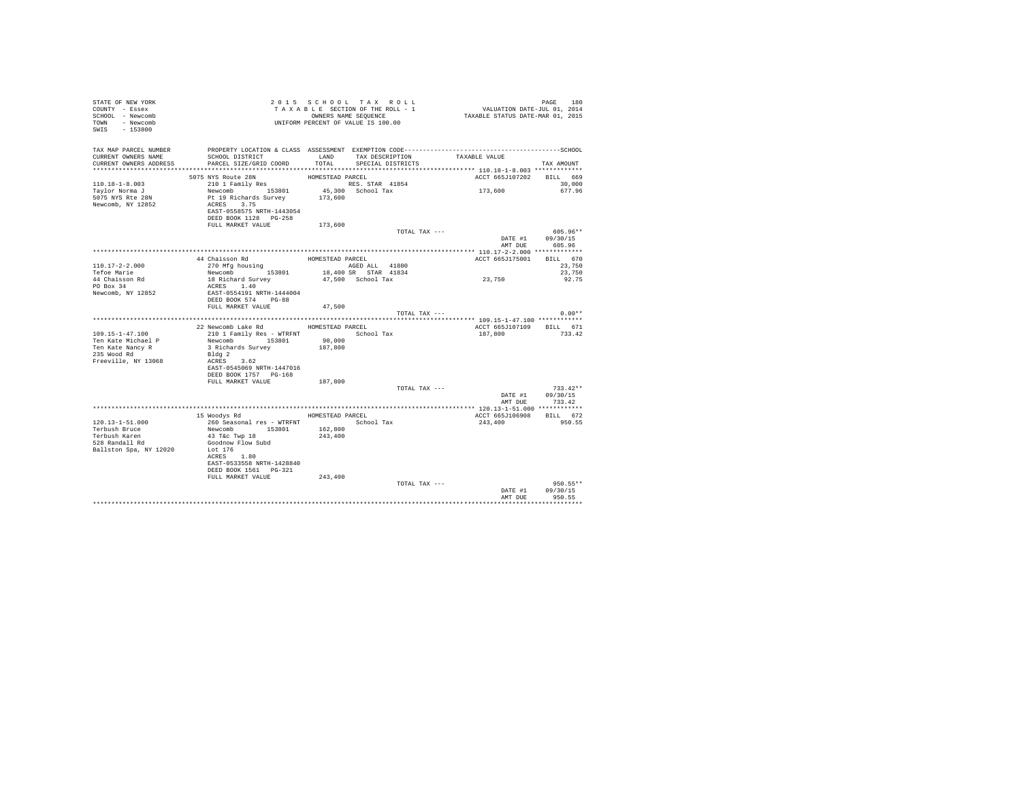| TAX MAP PARCEL NUMBER<br>SCHOOL DISTRICT                       LAND        TAX DESCRIPTION                  TAXABLE VALUE<br>CURRENT OWNERS NAME<br>PARCEL SIZE/GRID COORD<br>TOTAL<br>SPECIAL DISTRICTS<br>CURRENT OWNERS ADDRESS<br>TAX AMOUNT<br>5075 NYS Route 28N<br>210 1 Family Res HOMESTEAD PARCEL<br>210 1 Family Res (2001) RES, STAR 41854<br>ACCT 665J107202 BILL 669<br>$110.18 - 1 - 8.003$<br>30,000<br>173,600<br>Newcomb 153801 45,300 School Tax<br>Pt 19 Richards Survey 173,600<br>677.96<br>Taylor Norma J<br>5075 NYS Rte 28N<br>Newcomb, NY 12852<br>ACRES 3.75<br>EAST-0558575 NRTH-1443054<br>DEED BOOK 1128 PG-258<br>FULL MARKET VALUE<br>173,600<br>TOTAL TAX ---<br>605.96**<br>DATE #1<br>09/30/15<br>AMT DUE<br>605.96<br>44 Chaisson Rd<br>270 Mfg housing<br>HOMESTEAD PARCEL<br>ACCT 665J175001<br>BILL 670<br>44 Chaisson Rd<br>$110.17 - 2 - 2.000$<br>23,750<br>23,750<br>Tefoe Marie<br>23,750<br>18 Richard Survey<br>47,500 School Tax<br>44 Chaisson Rd<br>92.75<br>PO Box 34<br>ACRES 1.40<br>EAST-0554191 NRTH-1444004<br>Newcomb, NY 12852<br>DEED BOOK 574 PG-88<br>FULL MARKET VALUE<br>47.500<br>$0.00**$<br>TOTAL TAX ---<br>22 Newcomb Lake Rd MOMESTEAD PARCEL<br>ACCT 665J107109 BILL 671<br>210 1 Family Res - WTRFNT<br>School Tax<br>$109.15 - 1 - 47.100$<br>733.42<br>187,800<br>Newcomb 153801<br>90,000<br>Ten Kate Michael P<br>187,800<br>3 Richards Survey<br>Ten Kate Nancy R<br>235 Wood Rd<br>Bldg 2 |  |
|-----------------------------------------------------------------------------------------------------------------------------------------------------------------------------------------------------------------------------------------------------------------------------------------------------------------------------------------------------------------------------------------------------------------------------------------------------------------------------------------------------------------------------------------------------------------------------------------------------------------------------------------------------------------------------------------------------------------------------------------------------------------------------------------------------------------------------------------------------------------------------------------------------------------------------------------------------------------------------------------------------------------------------------------------------------------------------------------------------------------------------------------------------------------------------------------------------------------------------------------------------------------------------------------------------------------------------------------------------------------------------------------------------------------------------------------------------------------------|--|
|                                                                                                                                                                                                                                                                                                                                                                                                                                                                                                                                                                                                                                                                                                                                                                                                                                                                                                                                                                                                                                                                                                                                                                                                                                                                                                                                                                                                                                                                       |  |
|                                                                                                                                                                                                                                                                                                                                                                                                                                                                                                                                                                                                                                                                                                                                                                                                                                                                                                                                                                                                                                                                                                                                                                                                                                                                                                                                                                                                                                                                       |  |
|                                                                                                                                                                                                                                                                                                                                                                                                                                                                                                                                                                                                                                                                                                                                                                                                                                                                                                                                                                                                                                                                                                                                                                                                                                                                                                                                                                                                                                                                       |  |
|                                                                                                                                                                                                                                                                                                                                                                                                                                                                                                                                                                                                                                                                                                                                                                                                                                                                                                                                                                                                                                                                                                                                                                                                                                                                                                                                                                                                                                                                       |  |
|                                                                                                                                                                                                                                                                                                                                                                                                                                                                                                                                                                                                                                                                                                                                                                                                                                                                                                                                                                                                                                                                                                                                                                                                                                                                                                                                                                                                                                                                       |  |
|                                                                                                                                                                                                                                                                                                                                                                                                                                                                                                                                                                                                                                                                                                                                                                                                                                                                                                                                                                                                                                                                                                                                                                                                                                                                                                                                                                                                                                                                       |  |
|                                                                                                                                                                                                                                                                                                                                                                                                                                                                                                                                                                                                                                                                                                                                                                                                                                                                                                                                                                                                                                                                                                                                                                                                                                                                                                                                                                                                                                                                       |  |
|                                                                                                                                                                                                                                                                                                                                                                                                                                                                                                                                                                                                                                                                                                                                                                                                                                                                                                                                                                                                                                                                                                                                                                                                                                                                                                                                                                                                                                                                       |  |
|                                                                                                                                                                                                                                                                                                                                                                                                                                                                                                                                                                                                                                                                                                                                                                                                                                                                                                                                                                                                                                                                                                                                                                                                                                                                                                                                                                                                                                                                       |  |
|                                                                                                                                                                                                                                                                                                                                                                                                                                                                                                                                                                                                                                                                                                                                                                                                                                                                                                                                                                                                                                                                                                                                                                                                                                                                                                                                                                                                                                                                       |  |
|                                                                                                                                                                                                                                                                                                                                                                                                                                                                                                                                                                                                                                                                                                                                                                                                                                                                                                                                                                                                                                                                                                                                                                                                                                                                                                                                                                                                                                                                       |  |
|                                                                                                                                                                                                                                                                                                                                                                                                                                                                                                                                                                                                                                                                                                                                                                                                                                                                                                                                                                                                                                                                                                                                                                                                                                                                                                                                                                                                                                                                       |  |
|                                                                                                                                                                                                                                                                                                                                                                                                                                                                                                                                                                                                                                                                                                                                                                                                                                                                                                                                                                                                                                                                                                                                                                                                                                                                                                                                                                                                                                                                       |  |
|                                                                                                                                                                                                                                                                                                                                                                                                                                                                                                                                                                                                                                                                                                                                                                                                                                                                                                                                                                                                                                                                                                                                                                                                                                                                                                                                                                                                                                                                       |  |
|                                                                                                                                                                                                                                                                                                                                                                                                                                                                                                                                                                                                                                                                                                                                                                                                                                                                                                                                                                                                                                                                                                                                                                                                                                                                                                                                                                                                                                                                       |  |
|                                                                                                                                                                                                                                                                                                                                                                                                                                                                                                                                                                                                                                                                                                                                                                                                                                                                                                                                                                                                                                                                                                                                                                                                                                                                                                                                                                                                                                                                       |  |
|                                                                                                                                                                                                                                                                                                                                                                                                                                                                                                                                                                                                                                                                                                                                                                                                                                                                                                                                                                                                                                                                                                                                                                                                                                                                                                                                                                                                                                                                       |  |
|                                                                                                                                                                                                                                                                                                                                                                                                                                                                                                                                                                                                                                                                                                                                                                                                                                                                                                                                                                                                                                                                                                                                                                                                                                                                                                                                                                                                                                                                       |  |
|                                                                                                                                                                                                                                                                                                                                                                                                                                                                                                                                                                                                                                                                                                                                                                                                                                                                                                                                                                                                                                                                                                                                                                                                                                                                                                                                                                                                                                                                       |  |
|                                                                                                                                                                                                                                                                                                                                                                                                                                                                                                                                                                                                                                                                                                                                                                                                                                                                                                                                                                                                                                                                                                                                                                                                                                                                                                                                                                                                                                                                       |  |
|                                                                                                                                                                                                                                                                                                                                                                                                                                                                                                                                                                                                                                                                                                                                                                                                                                                                                                                                                                                                                                                                                                                                                                                                                                                                                                                                                                                                                                                                       |  |
|                                                                                                                                                                                                                                                                                                                                                                                                                                                                                                                                                                                                                                                                                                                                                                                                                                                                                                                                                                                                                                                                                                                                                                                                                                                                                                                                                                                                                                                                       |  |
|                                                                                                                                                                                                                                                                                                                                                                                                                                                                                                                                                                                                                                                                                                                                                                                                                                                                                                                                                                                                                                                                                                                                                                                                                                                                                                                                                                                                                                                                       |  |
|                                                                                                                                                                                                                                                                                                                                                                                                                                                                                                                                                                                                                                                                                                                                                                                                                                                                                                                                                                                                                                                                                                                                                                                                                                                                                                                                                                                                                                                                       |  |
|                                                                                                                                                                                                                                                                                                                                                                                                                                                                                                                                                                                                                                                                                                                                                                                                                                                                                                                                                                                                                                                                                                                                                                                                                                                                                                                                                                                                                                                                       |  |
| Freeville, NY 13068<br>ACRES 3.62                                                                                                                                                                                                                                                                                                                                                                                                                                                                                                                                                                                                                                                                                                                                                                                                                                                                                                                                                                                                                                                                                                                                                                                                                                                                                                                                                                                                                                     |  |
| EAST-0545069 NRTH-1447016                                                                                                                                                                                                                                                                                                                                                                                                                                                                                                                                                                                                                                                                                                                                                                                                                                                                                                                                                                                                                                                                                                                                                                                                                                                                                                                                                                                                                                             |  |
| DEED BOOK 1757 PG-168                                                                                                                                                                                                                                                                                                                                                                                                                                                                                                                                                                                                                                                                                                                                                                                                                                                                                                                                                                                                                                                                                                                                                                                                                                                                                                                                                                                                                                                 |  |
| FULL MARKET VALUE<br>187,800                                                                                                                                                                                                                                                                                                                                                                                                                                                                                                                                                                                                                                                                                                                                                                                                                                                                                                                                                                                                                                                                                                                                                                                                                                                                                                                                                                                                                                          |  |
| TOTAL TAX ---<br>$733.42**$                                                                                                                                                                                                                                                                                                                                                                                                                                                                                                                                                                                                                                                                                                                                                                                                                                                                                                                                                                                                                                                                                                                                                                                                                                                                                                                                                                                                                                           |  |
| DATE #1<br>09/30/15<br>AMT DUE<br>733.42                                                                                                                                                                                                                                                                                                                                                                                                                                                                                                                                                                                                                                                                                                                                                                                                                                                                                                                                                                                                                                                                                                                                                                                                                                                                                                                                                                                                                              |  |
|                                                                                                                                                                                                                                                                                                                                                                                                                                                                                                                                                                                                                                                                                                                                                                                                                                                                                                                                                                                                                                                                                                                                                                                                                                                                                                                                                                                                                                                                       |  |
| 15 Woodys Rd<br>ACCT 665J106908 BILL 672<br>HOMESTEAD PARCEL                                                                                                                                                                                                                                                                                                                                                                                                                                                                                                                                                                                                                                                                                                                                                                                                                                                                                                                                                                                                                                                                                                                                                                                                                                                                                                                                                                                                          |  |
| $120.13 - 1 - 51.000$<br>260 Seasonal res - WTRFNT<br>School Tax<br>243,400<br>950.55                                                                                                                                                                                                                                                                                                                                                                                                                                                                                                                                                                                                                                                                                                                                                                                                                                                                                                                                                                                                                                                                                                                                                                                                                                                                                                                                                                                 |  |
| Newcomb 153801<br>162,800<br>Terbush Bruce                                                                                                                                                                                                                                                                                                                                                                                                                                                                                                                                                                                                                                                                                                                                                                                                                                                                                                                                                                                                                                                                                                                                                                                                                                                                                                                                                                                                                            |  |
| 43 T&c Twp 18<br>243,400<br>Terbush Karen                                                                                                                                                                                                                                                                                                                                                                                                                                                                                                                                                                                                                                                                                                                                                                                                                                                                                                                                                                                                                                                                                                                                                                                                                                                                                                                                                                                                                             |  |
| Goodnow Flow Subd<br>528 Randall Rd                                                                                                                                                                                                                                                                                                                                                                                                                                                                                                                                                                                                                                                                                                                                                                                                                                                                                                                                                                                                                                                                                                                                                                                                                                                                                                                                                                                                                                   |  |
| Ballston Spa, NY 12020<br>Lot 176<br>ACRES 1.80                                                                                                                                                                                                                                                                                                                                                                                                                                                                                                                                                                                                                                                                                                                                                                                                                                                                                                                                                                                                                                                                                                                                                                                                                                                                                                                                                                                                                       |  |
| EAST-0533558 NRTH-1428840                                                                                                                                                                                                                                                                                                                                                                                                                                                                                                                                                                                                                                                                                                                                                                                                                                                                                                                                                                                                                                                                                                                                                                                                                                                                                                                                                                                                                                             |  |
| DEED BOOK 1561    PG-321                                                                                                                                                                                                                                                                                                                                                                                                                                                                                                                                                                                                                                                                                                                                                                                                                                                                                                                                                                                                                                                                                                                                                                                                                                                                                                                                                                                                                                              |  |
| FULL MARKET VALUE<br>243,400                                                                                                                                                                                                                                                                                                                                                                                                                                                                                                                                                                                                                                                                                                                                                                                                                                                                                                                                                                                                                                                                                                                                                                                                                                                                                                                                                                                                                                          |  |
| 950.55**<br>TOTAL TAX ---                                                                                                                                                                                                                                                                                                                                                                                                                                                                                                                                                                                                                                                                                                                                                                                                                                                                                                                                                                                                                                                                                                                                                                                                                                                                                                                                                                                                                                             |  |
| 09/30/15<br>DATE #1                                                                                                                                                                                                                                                                                                                                                                                                                                                                                                                                                                                                                                                                                                                                                                                                                                                                                                                                                                                                                                                                                                                                                                                                                                                                                                                                                                                                                                                   |  |
| AMT DUR<br>950.55                                                                                                                                                                                                                                                                                                                                                                                                                                                                                                                                                                                                                                                                                                                                                                                                                                                                                                                                                                                                                                                                                                                                                                                                                                                                                                                                                                                                                                                     |  |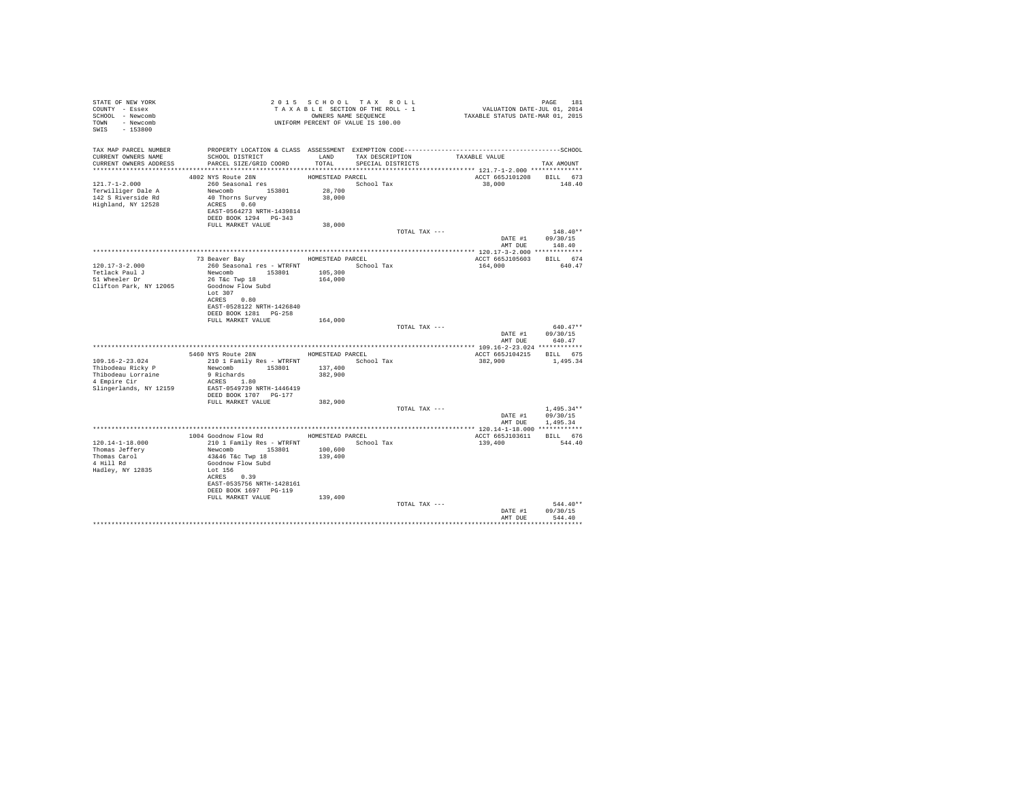|                                                                         |                                                                                                                                                                                                                                                                                                                                                                                                                                                                                                                                   |                                                                  | PAGE 181<br>VALUATION DATE-JUL 01, 2014<br>TAXABLE STATUS DATE-MAR 01, 2015                                                                                                                                                                                                                                                                                                         |                                                                                                                                                                                                                                                                                                                                                         |
|-------------------------------------------------------------------------|-----------------------------------------------------------------------------------------------------------------------------------------------------------------------------------------------------------------------------------------------------------------------------------------------------------------------------------------------------------------------------------------------------------------------------------------------------------------------------------------------------------------------------------|------------------------------------------------------------------|-------------------------------------------------------------------------------------------------------------------------------------------------------------------------------------------------------------------------------------------------------------------------------------------------------------------------------------------------------------------------------------|---------------------------------------------------------------------------------------------------------------------------------------------------------------------------------------------------------------------------------------------------------------------------------------------------------------------------------------------------------|
| SCHOOL DISTRICT                                                         | LAND                                                                                                                                                                                                                                                                                                                                                                                                                                                                                                                              | SPECIAL DISTRICTS                                                | TAXABLE VALUE                                                                                                                                                                                                                                                                                                                                                                       | TAX AMOUNT                                                                                                                                                                                                                                                                                                                                              |
|                                                                         | 28,700<br>38,000                                                                                                                                                                                                                                                                                                                                                                                                                                                                                                                  |                                                                  | 38,000                                                                                                                                                                                                                                                                                                                                                                              | 148.40                                                                                                                                                                                                                                                                                                                                                  |
|                                                                         |                                                                                                                                                                                                                                                                                                                                                                                                                                                                                                                                   |                                                                  |                                                                                                                                                                                                                                                                                                                                                                                     |                                                                                                                                                                                                                                                                                                                                                         |
|                                                                         |                                                                                                                                                                                                                                                                                                                                                                                                                                                                                                                                   |                                                                  |                                                                                                                                                                                                                                                                                                                                                                                     | $148.40**$                                                                                                                                                                                                                                                                                                                                              |
|                                                                         |                                                                                                                                                                                                                                                                                                                                                                                                                                                                                                                                   |                                                                  |                                                                                                                                                                                                                                                                                                                                                                                     |                                                                                                                                                                                                                                                                                                                                                         |
|                                                                         |                                                                                                                                                                                                                                                                                                                                                                                                                                                                                                                                   |                                                                  |                                                                                                                                                                                                                                                                                                                                                                                     |                                                                                                                                                                                                                                                                                                                                                         |
| 26 T&c Twp 18<br>Lot $307$                                              | 105,300<br>164,000                                                                                                                                                                                                                                                                                                                                                                                                                                                                                                                |                                                                  | 164,000                                                                                                                                                                                                                                                                                                                                                                             | 640.47                                                                                                                                                                                                                                                                                                                                                  |
| EAST-0528122 NRTH-1426840<br>DEED BOOK 1281 PG-258<br>FULL MARKET VALUE | 164,000                                                                                                                                                                                                                                                                                                                                                                                                                                                                                                                           |                                                                  |                                                                                                                                                                                                                                                                                                                                                                                     | $640.47**$                                                                                                                                                                                                                                                                                                                                              |
|                                                                         |                                                                                                                                                                                                                                                                                                                                                                                                                                                                                                                                   |                                                                  |                                                                                                                                                                                                                                                                                                                                                                                     | 640.47                                                                                                                                                                                                                                                                                                                                                  |
|                                                                         |                                                                                                                                                                                                                                                                                                                                                                                                                                                                                                                                   |                                                                  |                                                                                                                                                                                                                                                                                                                                                                                     |                                                                                                                                                                                                                                                                                                                                                         |
|                                                                         | 137,400<br>382,900                                                                                                                                                                                                                                                                                                                                                                                                                                                                                                                | School Tax                                                       | 382,900                                                                                                                                                                                                                                                                                                                                                                             | 1,495.34                                                                                                                                                                                                                                                                                                                                                |
| FULL MARKET VALUE                                                       | 382,900                                                                                                                                                                                                                                                                                                                                                                                                                                                                                                                           |                                                                  |                                                                                                                                                                                                                                                                                                                                                                                     |                                                                                                                                                                                                                                                                                                                                                         |
|                                                                         |                                                                                                                                                                                                                                                                                                                                                                                                                                                                                                                                   |                                                                  | DATE #1                                                                                                                                                                                                                                                                                                                                                                             | $1.495.34**$<br>09/30/15<br>1,495.34                                                                                                                                                                                                                                                                                                                    |
|                                                                         |                                                                                                                                                                                                                                                                                                                                                                                                                                                                                                                                   |                                                                  |                                                                                                                                                                                                                                                                                                                                                                                     |                                                                                                                                                                                                                                                                                                                                                         |
|                                                                         | 100,600<br>139,400                                                                                                                                                                                                                                                                                                                                                                                                                                                                                                                | School Tax                                                       | 139,400                                                                                                                                                                                                                                                                                                                                                                             | BILL 676<br>544.40                                                                                                                                                                                                                                                                                                                                      |
|                                                                         | 139,400                                                                                                                                                                                                                                                                                                                                                                                                                                                                                                                           |                                                                  |                                                                                                                                                                                                                                                                                                                                                                                     |                                                                                                                                                                                                                                                                                                                                                         |
|                                                                         |                                                                                                                                                                                                                                                                                                                                                                                                                                                                                                                                   |                                                                  | DATE #1<br>AMT DUE                                                                                                                                                                                                                                                                                                                                                                  | $544.40**$<br>09/30/15<br>544.40                                                                                                                                                                                                                                                                                                                        |
|                                                                         | PARCEL SIZE/GRID COORD<br>4802 NYS Route 28N<br>260 Seasonal res<br>Newcomb 153801<br>40 Thorns Survey<br>ACRES 0.60<br>DEED BOOK 1294 PG-343<br>FULL MARKET VALUE<br>73 Beaver Bay<br>Newcomb 153801<br>Goodnow Flow Subd<br>ACRES 0.80<br>5460 NYS Route 28N<br>Newcomb 153801<br>9 Richards<br>ACRES 1.80<br>EAST-0549739 NRTH-1446419<br>DEED BOOK 1707 PG-177<br>Newcomb 153801<br>43&46 T&c Twp 18<br>Goodnow Flow Subd<br>Lot 156<br>ACRES 0.39<br>EAST-0535756 NRTH-1428161<br>DEED BOOK 1697 PG-119<br>FULL MARKET VALUE | EAST-0564273 NRTH-1439814<br>38,000<br>210 1 Family Res - WTRFNT | T A X A B B B B B B B SEQUENCE<br>UNIFORM PERCENT OF VALUE IS 100.00<br>2015 SCHOOL TAX ROLL<br>TAXABLE SECTION OF THE ROLL - 1<br>OWNERS NAME SEQUENCE<br>TAX DESCRIPTION<br>TOTAL<br>HOMESTEAD PARCEL<br>School Tax<br>HOMESTEAD PARCEL<br>260 Seasonal res - WTRFNT <a></a> School Tax<br>HOMESTEAD PARCEL<br>210 1 Family Res - WTRFNT<br>1004 Goodnow Flow Rd HOMESTEAD PARCEL | PROPERTY LOCATION & CLASS ASSESSMENT EXEMPTION CODE-----------------------------------SCHOOL<br>ACCT 665J101208 BILL 673<br>TOTAL TAX ---<br>DATE #1 09/30/15<br>AMT DUE 148.40<br>ACCT 665J105603 BILL 674<br>TOTAL TAX ---<br>DATE #1 09/30/15<br>AMT DUE<br>ACCT 665J104215 BILL 675<br>TOTAL TAX ---<br>AMT DUE<br>ACCT 665J103611<br>TOTAL TAX --- |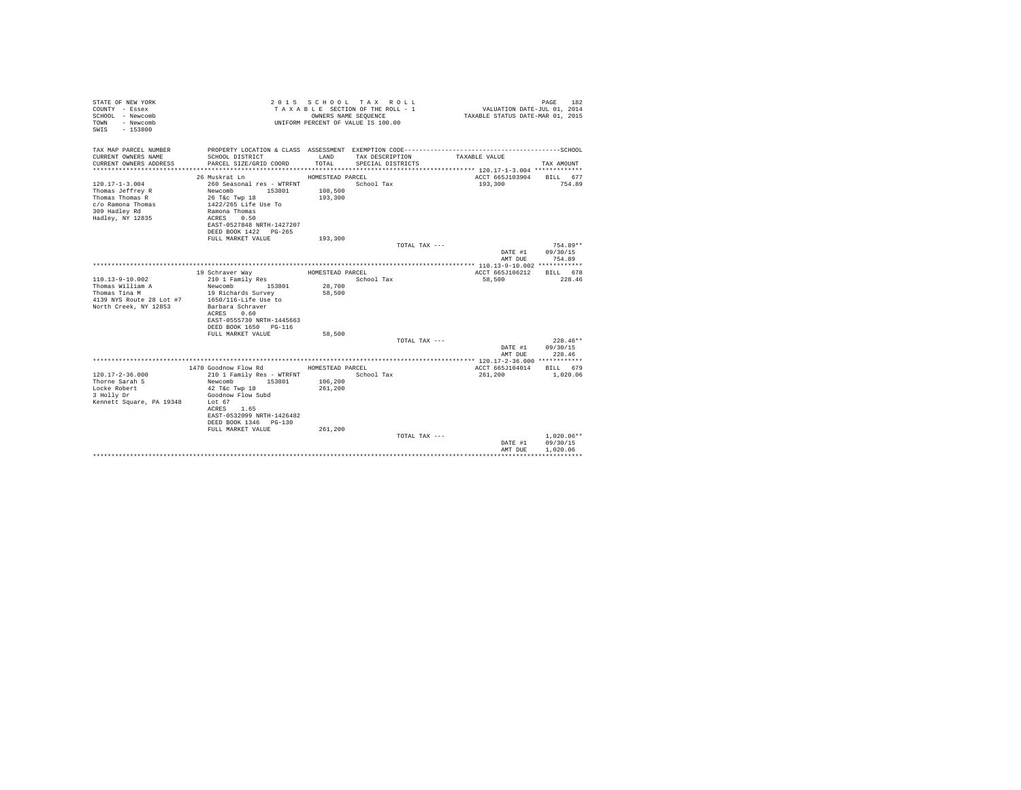| STATE OF NEW YORK<br>COUNTY - Essex<br>SCHOOL - Newcomb<br>- Newcomb<br>TOWN<br>$-153800$<br>SWTS                     |                                                                                                                                                                                                                  |                                                   | 2015 SCHOOL TAX ROLL<br>TAXABLE SECTION OF THE ROLL - 1<br>OWNERS NAME SEQUENCE<br>UNIFORM PERCENT OF VALUE IS 100.00 | VALUATION DATE-JUL 01, 2014<br>TAXABLE STATUS DATE-MAR 01, 2015 | PAGE<br>182                          |
|-----------------------------------------------------------------------------------------------------------------------|------------------------------------------------------------------------------------------------------------------------------------------------------------------------------------------------------------------|---------------------------------------------------|-----------------------------------------------------------------------------------------------------------------------|-----------------------------------------------------------------|--------------------------------------|
| TAX MAP PARCEL NUMBER<br>CURRENT OWNERS NAME                                                                          |                                                                                                                                                                                                                  | LAND                                              |                                                                                                                       |                                                                 |                                      |
| CURRENT OWNERS ADDRESS                                                                                                | SCHOOL DISTRICT<br>PARCEL SIZE/GRID COORD                                                                                                                                                                        | TOTAL.                                            | TAX DESCRIPTION<br>SPECIAL DISTRICTS                                                                                  | TAXABLE VALUE                                                   | TAX AMOUNT                           |
|                                                                                                                       | 26 Muskrat Ln                                                                                                                                                                                                    | HOMESTEAD PARCEL                                  |                                                                                                                       | ACCT 665J103904                                                 | BILL 677                             |
| $120.17 - 1 - 3.004$<br>Thomas Jeffrey R<br>Thomas Thomas R<br>c/o Ramona Thomas<br>309 Hadley Rd<br>Hadley, NY 12835 | 260 Seasonal res - WTRFNT<br>Newcomb 153801<br>26 T&C Twp 18<br>1422/265 Life Use To<br>Ramona Thomas<br>ACRES 0.50<br>EAST-0527848 NRTH-1427207<br>DEED BOOK 1422 PG-265                                        | 108,500<br>193,300                                | School Tax                                                                                                            | 193,300                                                         | 754.89                               |
|                                                                                                                       | FULL MARKET VALUE                                                                                                                                                                                                | 193,300                                           | TOTAL TAX ---                                                                                                         |                                                                 | $754.89**$                           |
|                                                                                                                       |                                                                                                                                                                                                                  |                                                   |                                                                                                                       | DATE #1<br>AMT DUE                                              | 09/30/15<br>754.89                   |
|                                                                                                                       |                                                                                                                                                                                                                  |                                                   |                                                                                                                       |                                                                 |                                      |
| $110.13 - 9 - 10.002$<br>Thomas William A<br>Thomas Tina M<br>4139 NYS Route 28 Lot #7<br>North Creek, NY 12853       | 19 Schraver Way<br>210 1 Family Res<br>Newcomb 153801<br>19 Richards Survey<br>1650/116-Life Use to<br>Barbara Schraver<br>ACRES 0.60<br>EAST-0555730 NRTH-1445663<br>DEED BOOK 1650 PG-116<br>FULL MARKET VALUE | HOMESTEAD PARCEL<br>28,700<br>58,500              | School Tax                                                                                                            | ACCT 665J106212<br>58,500                                       | BTLL 678<br>228.46                   |
|                                                                                                                       |                                                                                                                                                                                                                  | 58,500                                            |                                                                                                                       |                                                                 | $228.46**$                           |
|                                                                                                                       |                                                                                                                                                                                                                  |                                                   | TOTAL TAX ---                                                                                                         | DATE #1<br>AMT DUE                                              | 09/30/15<br>228.46                   |
|                                                                                                                       |                                                                                                                                                                                                                  |                                                   |                                                                                                                       |                                                                 |                                      |
| $120.17 - 2 - 36.000$<br>Thorne Sarah S<br>Locke Robert<br>3 Holly Dr<br>Kennett Square, PA 19348                     | 1470 Goodnow Flow Rd<br>210 1 Family Res - WTRFNT<br>153801<br>Newcomb<br>42 T&c Twp 18<br>Goodnow Flow Subd<br>Lot 67<br>ACRES 1.65<br>EAST-0532099 NRTH-1426482<br>DEED BOOK 1346 PG-130<br>FULL MARKET VALUE  | HOMESTEAD PARCEL<br>106,200<br>261,200<br>261,200 | School Tax                                                                                                            | ACCT 665J104014<br>261,200                                      | BILL 679<br>1,020.06                 |
|                                                                                                                       |                                                                                                                                                                                                                  |                                                   | TOTAL TAX ---                                                                                                         | DATE #1<br>AMT DUE                                              | $1.020.06**$<br>09/30/15<br>1,020.06 |
|                                                                                                                       |                                                                                                                                                                                                                  |                                                   |                                                                                                                       |                                                                 |                                      |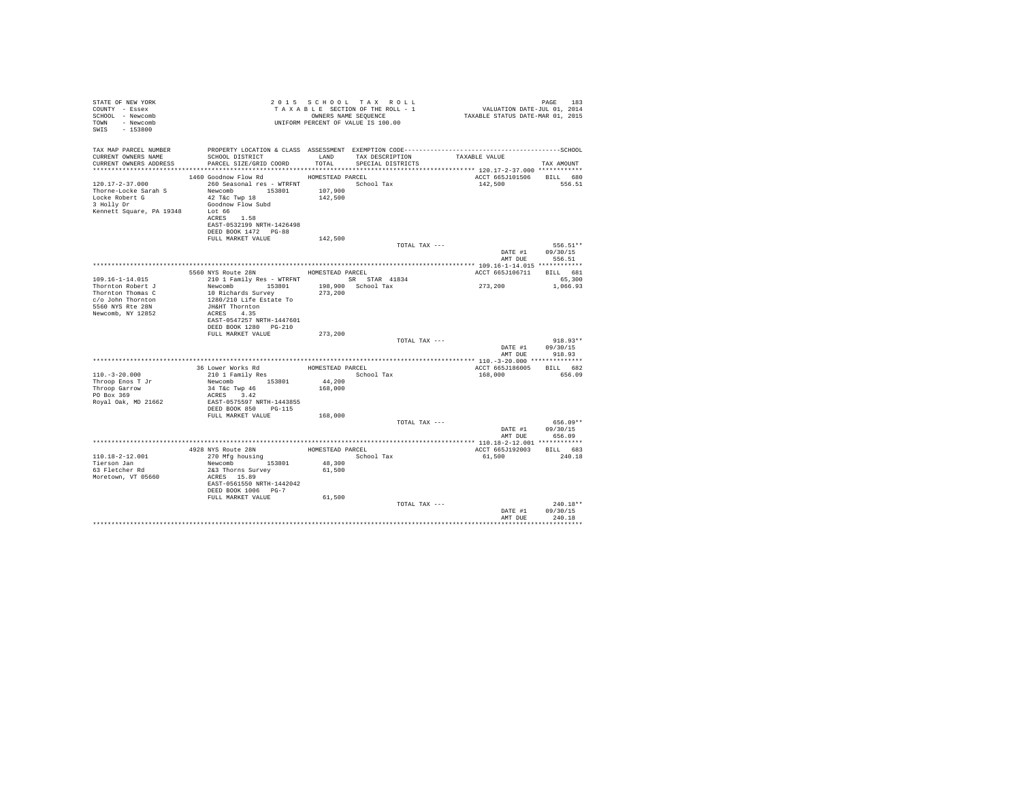| STATE OF NEW YORK<br>COUNTY - Essex<br>SCHOOL - Newcomb<br>TOWN - Newcomb<br>SWIS - 153800                                                                                                                                           |                                                                                                                                                                                              |                  | 2015 SCHOOL TAX ROLL<br>UNIFORM PERCENT OF VALUE IS 100.00 |               | PAGE 183 – 183 – 183 – 184 – 184 – 184 – 184 – 185 – 186 – 187 – 188 – 189 – 189 – 189 – 189 – 189 – 189 – 18<br>TAXABLE SECTION OF THE ROLL – 1<br>OWNERS NAME SEQUENCE – 1 – TAXABLE STATUS DATE–MAR 01, 2015 | PAGE 183                                         |
|--------------------------------------------------------------------------------------------------------------------------------------------------------------------------------------------------------------------------------------|----------------------------------------------------------------------------------------------------------------------------------------------------------------------------------------------|------------------|------------------------------------------------------------|---------------|-----------------------------------------------------------------------------------------------------------------------------------------------------------------------------------------------------------------|--------------------------------------------------|
| TAX MAP PARCEL NUMBER<br>CURRENT OWNERS NAME<br>CURRENT OWNERS ADDRESS PARCEL SIZE/GRID COORD TOTAL SPECIAL DISTRICTS                                                                                                                | PROPERTY LOCATION & CLASS ASSESSMENT EXEMPTION CODE-----------------------------------SCHOOL<br>SCHOOL DISTRICT                    LAND       TAX DESCRIPTION                  TAXABLE VALUE |                  |                                                            |               |                                                                                                                                                                                                                 | TAX AMOUNT                                       |
| 120.17-2-37.000<br>$\begin{tabular}{lcccccc} Thorne-Locke Sarah $S$ & & Newcomb & 153801 & 107,900 \\ LoXe Robert $G$ & & 42 Tsc Type 18 & & 142,500 \\ 3. HeJ1y Dr & & & 42000 \\ \end{tabular}$<br>Kennett Square, PA 19348 Lot 66 | 1460 Goodnow Flow Rd MOMESTEAD PARCEL<br>260 Seasonal res - WTRFNT March School Tax<br>ACRES 1.58<br>EAST-0532199 NRTH-1426498<br>DEED BOOK 1472 PG-88<br>FULL MARKET VALUE                  | 142,500          |                                                            |               | ACCT 665J101506 BILL 680<br>142,500                                                                                                                                                                             | 556.51                                           |
|                                                                                                                                                                                                                                      |                                                                                                                                                                                              |                  |                                                            | TOTAL TAX --- | AMT DUE                                                                                                                                                                                                         | 556.51**<br>DATE #1 09/30/15<br>556.51           |
|                                                                                                                                                                                                                                      |                                                                                                                                                                                              |                  |                                                            |               |                                                                                                                                                                                                                 |                                                  |
|                                                                                                                                                                                                                                      | 5560 NYS Route 28N HOMESTEAD PARCEL                                                                                                                                                          |                  |                                                            |               | ACCT 665J106711 BILL 681                                                                                                                                                                                        |                                                  |
| $109.16 - 1 - 14.015$                                                                                                                                                                                                                | 210 1 Family Res - WTRFNT SR STAR 41834                                                                                                                                                      |                  |                                                            |               |                                                                                                                                                                                                                 | 65,300                                           |
| Thornton Robert J<br>Thornton Thomas C<br>c/o John Thornton<br>5560 NYS Rte 28N<br>Newcomb, NY 12852                                                                                                                                 | EAST-0547257 NRTH-1447601                                                                                                                                                                    |                  |                                                            |               | 273, 200 1, 066.93                                                                                                                                                                                              |                                                  |
|                                                                                                                                                                                                                                      | DEED BOOK 1280 PG-210                                                                                                                                                                        |                  |                                                            |               |                                                                                                                                                                                                                 |                                                  |
|                                                                                                                                                                                                                                      | FULL MARKET VALUE                                                                                                                                                                            | 273,200          |                                                            | TOTAL TAX --- |                                                                                                                                                                                                                 | $918.93**$<br>DATE #1 09/30/15<br>AMT DUE 918.93 |
|                                                                                                                                                                                                                                      |                                                                                                                                                                                              |                  |                                                            |               |                                                                                                                                                                                                                 |                                                  |
| $110.-3-20.000$<br>Throop Enos T Jr<br>Throop Garrow<br>PO Box 369<br>Royal Oak, MD 21662                                                                                                                                            | Newcomb 153801<br>34 T&c Twp 46<br>ACRES 3.42<br>EAST-0575597 NRTH-1443855                                                                                                                   | 168,000          | School Tax<br>44,200                                       |               | ACCT 665J186005 BILL 682<br>168,000 656.09                                                                                                                                                                      |                                                  |
|                                                                                                                                                                                                                                      | DEED BOOK 850 PG-115<br>FULL MARKET VALUE 168,000                                                                                                                                            |                  |                                                            | TOTAL TAX --- |                                                                                                                                                                                                                 | $656.09**$<br>DATE #1 09/30/15<br>AMT DUE 656.09 |
|                                                                                                                                                                                                                                      |                                                                                                                                                                                              |                  |                                                            |               |                                                                                                                                                                                                                 |                                                  |
| 110.18-2-12.001<br>Tierson Jan<br>63 Fletcher Rd<br>Moretown, VT 05660                                                                                                                                                               | 4928 NYS Route 28N HOMESTEAD PARCEL<br>270 Mfg housing School Tax<br>Newcomb $153801$<br>2&3 Thorns Survey<br>ACRES 15.89<br>EAST-0561550 NRTH-1442042<br>DEED BOOK 1006 PG-7                | 48,300<br>61,500 |                                                            |               | ACCT 665J192003 BILL 683                                                                                                                                                                                        | 61,500 240.18                                    |
|                                                                                                                                                                                                                                      | FULL MARKET VALUE                                                                                                                                                                            | 61,500           |                                                            | TOTAL TAX --- |                                                                                                                                                                                                                 | $240.18**$<br>DATE #1 09/30/15<br>AMT DUE 240.18 |
|                                                                                                                                                                                                                                      |                                                                                                                                                                                              |                  |                                                            |               |                                                                                                                                                                                                                 |                                                  |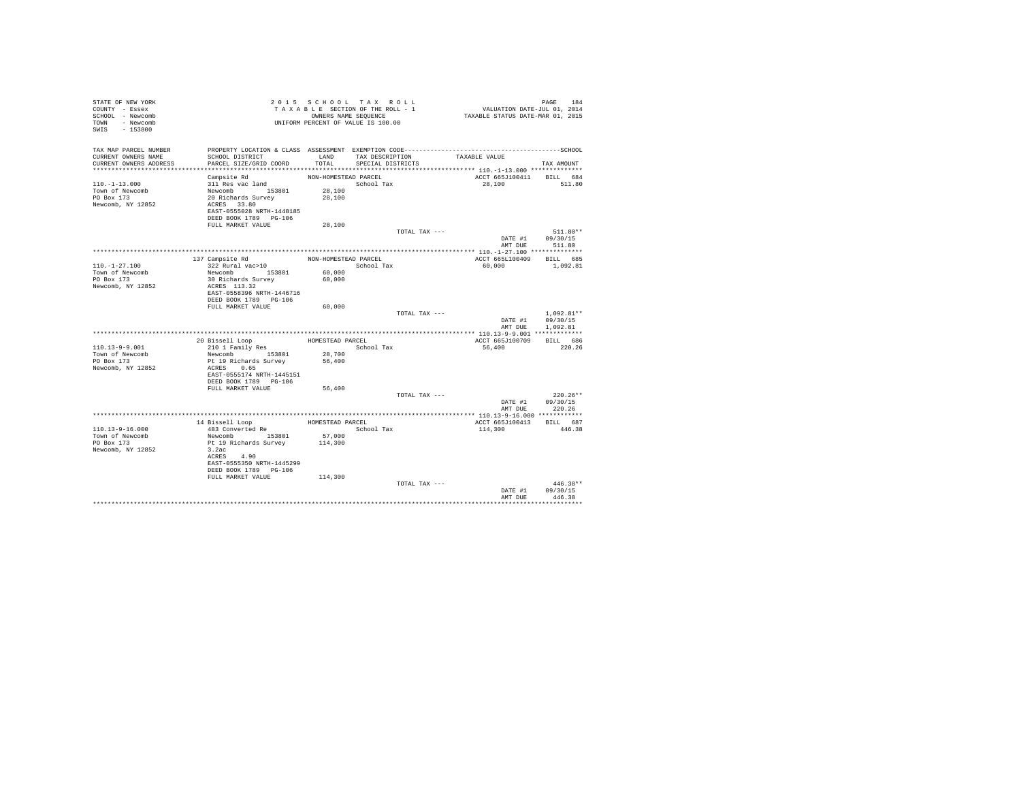| STATE OF NEW YORK<br>COUNTY - Essex<br>SCHOOL - Newcomb<br>TOWN - Newcomb<br>SWIS<br>$-153800$ |                                                    |                      | 2015 SCHOOL TAX ROLL<br>TAXABLE SECTION OF THE ROLL - 1<br>OWNERS NAME SEQUENCE<br>UNIFORM PERCENT OF VALUE IS 100.00 |               | VALUATION DATE-JUL 01, 2014<br>TAXABLE STATUS DATE-MAR 01, 2015 | PAGE                 | 184        |
|------------------------------------------------------------------------------------------------|----------------------------------------------------|----------------------|-----------------------------------------------------------------------------------------------------------------------|---------------|-----------------------------------------------------------------|----------------------|------------|
| TAX MAP PARCEL NUMBER                                                                          |                                                    |                      |                                                                                                                       |               |                                                                 |                      |            |
| CURRENT OWNERS NAME<br>CURRENT OWNERS ADDRESS                                                  | SCHOOL DISTRICT<br>PARCEL SIZE/GRID COORD          | LAND<br>TOTAL        | TAX DESCRIPTION<br>SPECIAL DISTRICTS                                                                                  |               | TAXABLE VALUE                                                   |                      |            |
|                                                                                                |                                                    |                      |                                                                                                                       |               |                                                                 | TAX AMOUNT           |            |
|                                                                                                | Campsite Rd                                        | NON-HOMESTEAD PARCEL |                                                                                                                       |               | ACCT 665J100411 BILL 684                                        |                      |            |
| $110. -1 - 13.000$                                                                             | 311 Res vac land                                   |                      | School Tax                                                                                                            |               | 28,100                                                          |                      | 511.80     |
| Town of Newcomb                                                                                | Newcomb 153801                                     | 28,100               |                                                                                                                       |               |                                                                 |                      |            |
| PO Box 173                                                                                     | 20 Richards Survey                                 | 28,100               |                                                                                                                       |               |                                                                 |                      |            |
| Newcomb, NY 12852                                                                              | ACRES 33.80                                        |                      |                                                                                                                       |               |                                                                 |                      |            |
|                                                                                                | EAST-0555028 NRTH-1448185                          |                      |                                                                                                                       |               |                                                                 |                      |            |
|                                                                                                | DEED BOOK 1789 PG-106<br>FULL MARKET VALUE         | 28,100               |                                                                                                                       |               |                                                                 |                      |            |
|                                                                                                |                                                    |                      |                                                                                                                       | TOTAL TAX --- |                                                                 | 511.80**             |            |
|                                                                                                |                                                    |                      |                                                                                                                       |               | DATE #1                                                         | 09/30/15             |            |
|                                                                                                |                                                    |                      |                                                                                                                       |               | AMT DUE                                                         | 511.80               |            |
|                                                                                                |                                                    |                      |                                                                                                                       |               |                                                                 |                      |            |
|                                                                                                | 137 Campsite Rd                                    | NON-HOMESTEAD PARCEL |                                                                                                                       |               | ACCT 665L100409                                                 | BILL 685             |            |
| $110.-1-27.100$                                                                                | 322 Rural vac>10                                   |                      | School Tax                                                                                                            |               | 60,000                                                          | 1,092.81             |            |
| Town of Newcomb<br>PO Box 173                                                                  | Newcomb 153801<br>30 Richards Survey               | 60,000<br>60,000     |                                                                                                                       |               |                                                                 |                      |            |
| Newcomb, NY 12852                                                                              | ACRES 113.32                                       |                      |                                                                                                                       |               |                                                                 |                      |            |
|                                                                                                | EAST-0558396 NRTH-1446716                          |                      |                                                                                                                       |               |                                                                 |                      |            |
|                                                                                                | DEED BOOK 1789 PG-106                              |                      |                                                                                                                       |               |                                                                 |                      |            |
|                                                                                                | FULL MARKET VALUE                                  | 60,000               |                                                                                                                       |               |                                                                 |                      |            |
|                                                                                                |                                                    |                      |                                                                                                                       | TOTAL TAX --- |                                                                 | $1.092.81**$         |            |
|                                                                                                |                                                    |                      |                                                                                                                       |               | DATE #1<br>AMT DUE                                              | 09/30/15<br>1,092.81 |            |
|                                                                                                |                                                    |                      |                                                                                                                       |               |                                                                 |                      |            |
|                                                                                                | 20 Bissell Loop                                    | HOMESTEAD PARCEL     |                                                                                                                       |               | ACCT 665J100709                                                 | BILL 686             |            |
| $110.13 - 9 - 9.001$                                                                           | 210 1 Family Res                                   |                      | School Tax                                                                                                            |               | 56,400                                                          |                      | 220.26     |
| Town of Newcomb                                                                                | Newcomb 153801                                     | 28,700               |                                                                                                                       |               |                                                                 |                      |            |
| PO Box 173                                                                                     | Pt 19 Richards Survey                              | 56,400               |                                                                                                                       |               |                                                                 |                      |            |
| Newcomb, NY 12852                                                                              | ACRES 0.65                                         |                      |                                                                                                                       |               |                                                                 |                      |            |
|                                                                                                | EAST-0555174 NRTH-1445151<br>DEED BOOK 1789 PG-106 |                      |                                                                                                                       |               |                                                                 |                      |            |
|                                                                                                | FULL MARKET VALUE                                  | 56,400               |                                                                                                                       |               |                                                                 |                      |            |
|                                                                                                |                                                    |                      |                                                                                                                       | TOTAL TAX --- |                                                                 | $220.26**$           |            |
|                                                                                                |                                                    |                      |                                                                                                                       |               | DATE #1                                                         | 09/30/15             |            |
|                                                                                                |                                                    |                      |                                                                                                                       |               | AMT DUE                                                         | 220.26               |            |
|                                                                                                |                                                    |                      |                                                                                                                       |               |                                                                 |                      |            |
|                                                                                                | 14 Bissell Loop                                    | HOMESTEAD PARCEL     |                                                                                                                       |               | ACCT 665J100413                                                 | BILL 687             |            |
| $110.13 - 9 - 16.000$<br>Town of Newcomb                                                       | 483 Converted Re<br>Newcomb 153801                 | 57,000               | School Tax                                                                                                            |               | 114,300                                                         | 446.38               |            |
| PO Box 173                                                                                     | Pt 19 Richards Survey                              | 114,300              |                                                                                                                       |               |                                                                 |                      |            |
| Newcomb, NY 12852                                                                              | 3.2ac                                              |                      |                                                                                                                       |               |                                                                 |                      |            |
|                                                                                                | ACRES 4.90                                         |                      |                                                                                                                       |               |                                                                 |                      |            |
|                                                                                                | EAST-0555350 NRTH-1445299                          |                      |                                                                                                                       |               |                                                                 |                      |            |
|                                                                                                | DEED BOOK 1789 PG-106                              |                      |                                                                                                                       |               |                                                                 |                      |            |
|                                                                                                | FULL MARKET VALUE                                  | 114,300              |                                                                                                                       | TOTAL TAX --- |                                                                 |                      | $446.38**$ |
|                                                                                                |                                                    |                      |                                                                                                                       |               | DATE #1                                                         | 09/30/15             |            |
|                                                                                                |                                                    |                      |                                                                                                                       |               | AMT DUE                                                         | 446.38               |            |
|                                                                                                |                                                    |                      |                                                                                                                       |               |                                                                 |                      |            |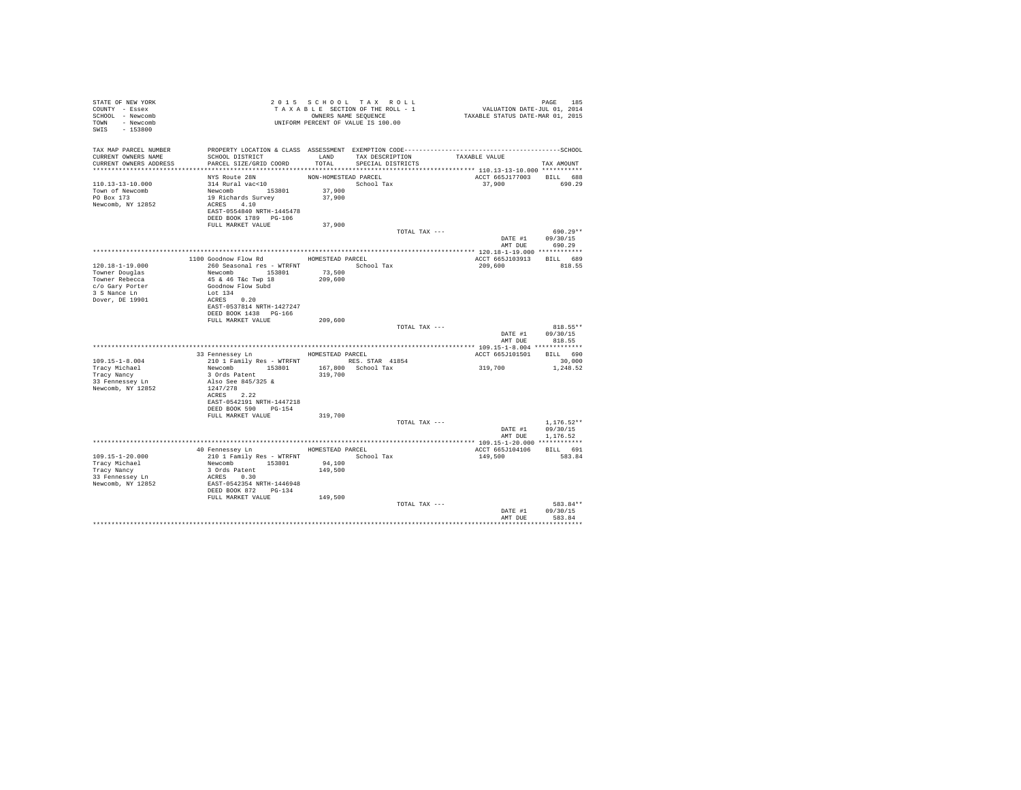| STATE OF NEW YORK<br>COUNTY - Essex<br>SCHOOL - Newcomb<br>TOWN - Newcomb<br>SWIS - 153800    | TAXABLE TRANSPORT OF VALUE IS 100.00                                                                                                                 |                      | 2015 SCHOOL TAX ROLL<br>TAXABLE SECTION OF THE ROLL - 1<br>OWNERS NAME SEQUENCE | PAGE 185<br>VALUATION DATE-JUL 01, 2014<br>TAXABLE STATUS DATE-MAR 01, 2015                                   |                                                  |
|-----------------------------------------------------------------------------------------------|------------------------------------------------------------------------------------------------------------------------------------------------------|----------------------|---------------------------------------------------------------------------------|---------------------------------------------------------------------------------------------------------------|--------------------------------------------------|
| TAX MAP PARCEL NUMBER<br>CURRENT OWNERS NAME<br>CURRENT OWNERS ADDRESS PARCEL SIZE/GRID COORD | SCHOOL DISTRICT                                                                                                                                      | TOTAL                | LAND TAX DESCRIPTION<br>SPECIAL DISTRICTS                                       | PROPERTY LOCATION & CLASS ASSESSMENT EXEMPTION CODE-----------------------------------SCHOOL<br>TAXABLE VALUE | TAX AMOUNT                                       |
|                                                                                               | NYS Route 28N                                                                                                                                        | NON-HOMESTEAD PARCEL |                                                                                 | ACCT 665J177003                                                                                               | BILL 688                                         |
| 110.13-13-10.000<br>Town of Newcomb<br>PO Box 173<br>Newcomb, NY 12852                        | 314 Rural vac<10<br>Newcomb<br>153801<br>19 Richards Survey<br>ACRES 4.10<br>EAST-0554840 NRTH-1445478<br>DEED BOOK 1789 PG-106                      | 37,900<br>37,900     | School Tax                                                                      | 37,900 690.29                                                                                                 |                                                  |
|                                                                                               | FULL MARKET VALUE                                                                                                                                    | 37,900               |                                                                                 |                                                                                                               |                                                  |
|                                                                                               |                                                                                                                                                      |                      | TOTAL TAX ---                                                                   |                                                                                                               | 690.29**<br>DATE #1 09/30/15                     |
|                                                                                               |                                                                                                                                                      |                      |                                                                                 |                                                                                                               | AMT DUE 690.29                                   |
|                                                                                               |                                                                                                                                                      |                      |                                                                                 |                                                                                                               |                                                  |
| $120.18 - 1 - 19.000$<br>Towner Douglas                                                       | 1100 Goodnow Flow Rd MOMESTEAD PARCEL<br>260 Seasonal res - WTRFNT             School Tax                                                            | 73,500               |                                                                                 | ACCT 665J103913 BILL 689<br>209,600                                                                           | 818.55                                           |
| Towner Rebecca<br>c/o Gary Porter<br>3 S Nance Ln<br>Dover, DE 19901                          | Newcomb<br>45 & 46 T&c Twp 18<br>Goodnow Flow Subd<br>$Lot 134$<br>$ACRES 0.20$                                                                      | 209,600              |                                                                                 |                                                                                                               |                                                  |
|                                                                                               | EAST-0537814 NRTH-1427247<br>DEED BOOK 1438 PG-166<br>FULL MARKET VALUE                                                                              | 209,600              |                                                                                 |                                                                                                               |                                                  |
|                                                                                               |                                                                                                                                                      |                      | TOTAL TAX ---                                                                   |                                                                                                               | $818.55**$<br>DATE #1 09/30/15<br>AMT DUE 818.55 |
|                                                                                               |                                                                                                                                                      |                      |                                                                                 |                                                                                                               |                                                  |
|                                                                                               | 33 Fennessey Ln MOMESTEAD PARCEL                                                                                                                     |                      |                                                                                 | ACCT 665J101501 BILL 690                                                                                      |                                                  |
| $109.15 - 1 - 8.004$<br>Tracy Michael<br>Tracy Nancy<br>33 Fennessey Ln<br>Newcomb, NY 12852  | 210 1 Family Res - WTRFNT<br>RES. STAR 41854<br>Newcomb 153801 167,800 School Tax<br>3 ords Patent 319,700<br>Also See 845/325 & 319,700<br>1247/278 |                      |                                                                                 | 319,700                                                                                                       | 30,000<br>1,248.52                               |
|                                                                                               | ACRES 2.22<br>EAST-0542191 NRTH-1447218<br>DEED BOOK 590 PG-154                                                                                      |                      |                                                                                 |                                                                                                               |                                                  |
|                                                                                               | FULL MARKET VALUE                                                                                                                                    | 319,700              | TOTAL TAX ---                                                                   | AMT DUE                                                                                                       | $1.176.52**$<br>DATE #1 09/30/15<br>1,176.52     |
|                                                                                               |                                                                                                                                                      |                      |                                                                                 |                                                                                                               |                                                  |
|                                                                                               | 40 Fennessey Ln MOMESTEAD PARCEL                                                                                                                     |                      |                                                                                 | ACCT 665J104106                                                                                               | BILL 691                                         |
| 109.15-1-20.000                                                                               | 210 1 Family Res - WTRFNT School Tax<br>Newcomb 153801 94,100                                                                                        |                      |                                                                                 | 149,500                                                                                                       | 583.84                                           |
| Tracy Michael<br>Tracy Nancy                                                                  | 3 Ords Patent                                                                                                                                        | 149,500              |                                                                                 |                                                                                                               |                                                  |
| 33 Fennessey Ln                                                                               | ACRES 0.30                                                                                                                                           |                      |                                                                                 |                                                                                                               |                                                  |
| Newcomb, NY 12852                                                                             | EAST-0542354 NRTH-1446948<br>DEED BOOK 872 PG-134                                                                                                    |                      |                                                                                 |                                                                                                               |                                                  |
|                                                                                               | FULL MARKET VALUE                                                                                                                                    | 149,500              | TOTAL TAX ---                                                                   |                                                                                                               | 583.84**                                         |
|                                                                                               |                                                                                                                                                      |                      |                                                                                 | DATE #1<br>AMT DUE                                                                                            | 09/30/15<br>583.84                               |
|                                                                                               |                                                                                                                                                      |                      |                                                                                 |                                                                                                               |                                                  |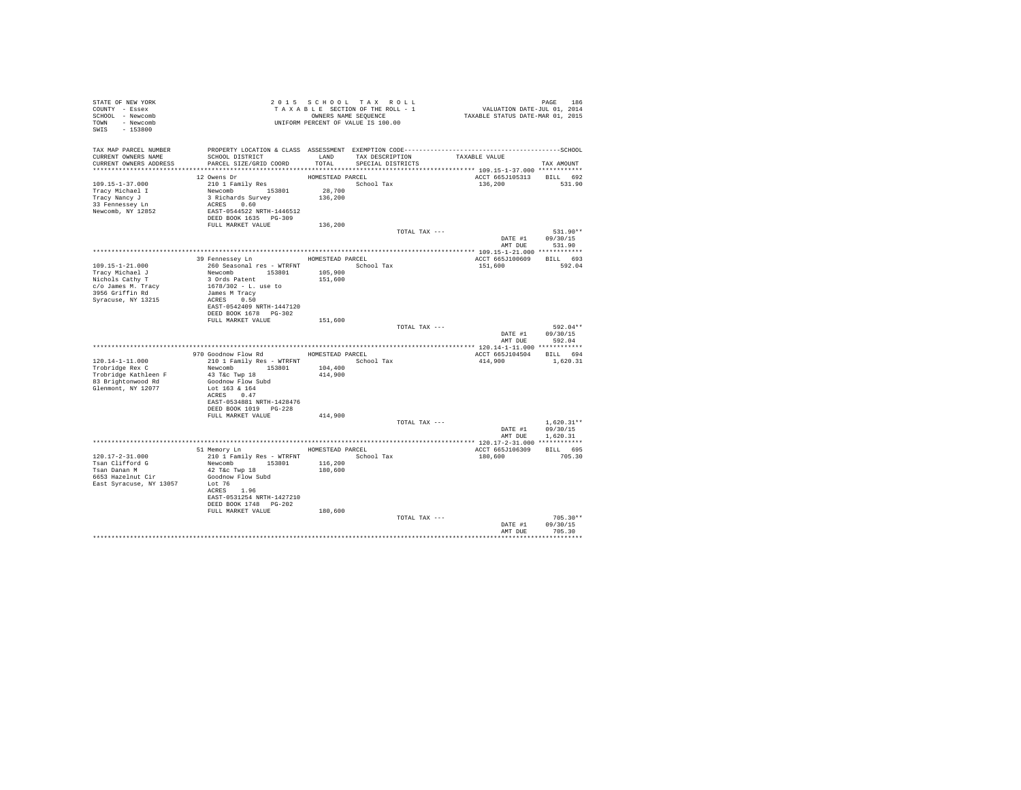| STATE OF NEW YORK                                                                            |                                                                                                                                                                                                                                                                                                                                                            |                  | 2015 SCHOOL TAX ROLL                                                                                      |                                                                             |                  |
|----------------------------------------------------------------------------------------------|------------------------------------------------------------------------------------------------------------------------------------------------------------------------------------------------------------------------------------------------------------------------------------------------------------------------------------------------------------|------------------|-----------------------------------------------------------------------------------------------------------|-----------------------------------------------------------------------------|------------------|
| COUNTY - Essex                                                                               |                                                                                                                                                                                                                                                                                                                                                            |                  | T A X A B L E SECTION OF THE ROLL - 1<br>OWNERS NAME SORVE SEQUENCE<br>UNIFORM PERCENT OF VALUE IS 100.00 | PAGE 186<br>VALUATION DATE-JUL 01, 2014<br>TAXABLE STATUS DATE-MAR 01, 2015 |                  |
| SCHOOL - Newcomb                                                                             |                                                                                                                                                                                                                                                                                                                                                            |                  |                                                                                                           |                                                                             |                  |
| TOWN - Newcomb                                                                               |                                                                                                                                                                                                                                                                                                                                                            |                  |                                                                                                           |                                                                             |                  |
| SWIS - 153800                                                                                |                                                                                                                                                                                                                                                                                                                                                            |                  |                                                                                                           |                                                                             |                  |
|                                                                                              |                                                                                                                                                                                                                                                                                                                                                            |                  |                                                                                                           |                                                                             |                  |
|                                                                                              |                                                                                                                                                                                                                                                                                                                                                            |                  |                                                                                                           |                                                                             |                  |
|                                                                                              | SCHOOL DISTRICT                     LAND        TAX DESCRIPTION                  TAXABLE VALUE                                                                                                                                                                                                                                                             |                  |                                                                                                           |                                                                             |                  |
| CURRENT OWNERS NAME<br>CURRENT OWNERS ADDRESS                                                | PARCEL SIZE/GRID COORD                                                                                                                                                                                                                                                                                                                                     | TOTAL            | SPECIAL DISTRICTS                                                                                         |                                                                             | TAX AMOUNT       |
|                                                                                              |                                                                                                                                                                                                                                                                                                                                                            |                  |                                                                                                           |                                                                             |                  |
|                                                                                              | 12 Owens Dr                                                                                                                                                                                                                                                                                                                                                |                  |                                                                                                           |                                                                             |                  |
| 109.15-1-37.000                                                                              | 12 Owens Dr<br>210 I Family Res<br>Newcomb 153801 28,700<br>2 Pichards Survey 136,200                                                                                                                                                                                                                                                                      | HOMESTEAD PARCEL | School Tax                                                                                                | ACCT 665J105313 BILL 692<br>136,200 531.90                                  |                  |
|                                                                                              |                                                                                                                                                                                                                                                                                                                                                            |                  |                                                                                                           |                                                                             |                  |
| Tracy Michael I<br>Tracy Nancy J                                                             |                                                                                                                                                                                                                                                                                                                                                            |                  |                                                                                                           |                                                                             |                  |
| 33 Fennessey Ln                                                                              | ACRES 0.60                                                                                                                                                                                                                                                                                                                                                 |                  |                                                                                                           |                                                                             |                  |
| Newcomb, NY 12852                                                                            | EAST-0544522 NRTH-1446512                                                                                                                                                                                                                                                                                                                                  |                  |                                                                                                           |                                                                             |                  |
|                                                                                              | DEED BOOK 1635 PG-309                                                                                                                                                                                                                                                                                                                                      |                  |                                                                                                           |                                                                             |                  |
|                                                                                              | FULL MARKET VALUE 136,200                                                                                                                                                                                                                                                                                                                                  |                  |                                                                                                           |                                                                             |                  |
|                                                                                              |                                                                                                                                                                                                                                                                                                                                                            |                  | TOTAL TAX ---                                                                                             |                                                                             | $531.90**$       |
|                                                                                              |                                                                                                                                                                                                                                                                                                                                                            |                  |                                                                                                           | DATE #1 09/30/15                                                            |                  |
|                                                                                              |                                                                                                                                                                                                                                                                                                                                                            |                  |                                                                                                           | AMT DUE 531.90                                                              |                  |
|                                                                                              |                                                                                                                                                                                                                                                                                                                                                            |                  |                                                                                                           |                                                                             |                  |
|                                                                                              | 39 Fennessey Ln HOMESTEAD PARCEL                                                                                                                                                                                                                                                                                                                           |                  |                                                                                                           | ACCT 665J100609 BILL 693                                                    |                  |
| $109.15 - 1 - 21.000$                                                                        |                                                                                                                                                                                                                                                                                                                                                            |                  | School Tax                                                                                                | 151,600 592.04                                                              |                  |
| Tracy Michael J                                                                              |                                                                                                                                                                                                                                                                                                                                                            |                  |                                                                                                           |                                                                             |                  |
| Nichols Cathy T                                                                              | 260 Seasonal res - WTRFNT<br>Newcomb 153801 105,900<br>3 Ords Patent 151,600                                                                                                                                                                                                                                                                               |                  |                                                                                                           |                                                                             |                  |
| c/o James M. Tracy                                                                           | 1678/302 - L. use to                                                                                                                                                                                                                                                                                                                                       |                  |                                                                                                           |                                                                             |                  |
| 3956 Griffin Rd                                                                              | James M Tracy                                                                                                                                                                                                                                                                                                                                              |                  |                                                                                                           |                                                                             |                  |
| Syracuse, NY 13215                                                                           | ACRES 0.50                                                                                                                                                                                                                                                                                                                                                 |                  |                                                                                                           |                                                                             |                  |
|                                                                                              | EAST-0542409 NRTH-1447120                                                                                                                                                                                                                                                                                                                                  |                  |                                                                                                           |                                                                             |                  |
|                                                                                              | DEED BOOK 1678    PG-302                                                                                                                                                                                                                                                                                                                                   |                  |                                                                                                           |                                                                             |                  |
|                                                                                              | FULL MARKET VALUE 151,600                                                                                                                                                                                                                                                                                                                                  |                  |                                                                                                           |                                                                             |                  |
|                                                                                              |                                                                                                                                                                                                                                                                                                                                                            |                  | TOTAL TAX ---                                                                                             |                                                                             | 592.04**         |
|                                                                                              |                                                                                                                                                                                                                                                                                                                                                            |                  |                                                                                                           | DATE #1 09/30/15                                                            |                  |
|                                                                                              |                                                                                                                                                                                                                                                                                                                                                            |                  |                                                                                                           | AMT DUE                                                                     | 592.04           |
|                                                                                              | $\begin{tabular}{lllllllllll} $\texttt{r.v.t.t.} $1000$ & $\texttt{r.v.t.} $1000$ & $1000$ & $1000$ & $1000$ & $1000$\\ \texttt{Trobridge Rex C} & 21011 Family Res - WTRENT & $100053TED PARCCL & $10001$ & $10001$\\ \texttt{Trobridge Kathlen F} & 43 Tkc Twr 10 & 153801 & 104,400\\ \texttt{R3 Brichtnnum} & 43 Tkc Twr 10 & 104,400\\ \end{tabular}$ |                  |                                                                                                           |                                                                             |                  |
|                                                                                              |                                                                                                                                                                                                                                                                                                                                                            |                  |                                                                                                           | ACCT 665J104504 BILL 694                                                    |                  |
|                                                                                              |                                                                                                                                                                                                                                                                                                                                                            |                  |                                                                                                           | 414,900 1,620.31                                                            |                  |
|                                                                                              |                                                                                                                                                                                                                                                                                                                                                            |                  |                                                                                                           |                                                                             |                  |
|                                                                                              |                                                                                                                                                                                                                                                                                                                                                            |                  |                                                                                                           |                                                                             |                  |
| 83 Brightonwood Rd                                                                           | Goodnow Flow Subd                                                                                                                                                                                                                                                                                                                                          |                  |                                                                                                           |                                                                             |                  |
| Glenmont, NY 12077                                                                           | Lot 163 & 164                                                                                                                                                                                                                                                                                                                                              |                  |                                                                                                           |                                                                             |                  |
|                                                                                              | ACRES 0.47                                                                                                                                                                                                                                                                                                                                                 |                  |                                                                                                           |                                                                             |                  |
|                                                                                              | EAST-0534881 NRTH-1428476                                                                                                                                                                                                                                                                                                                                  |                  |                                                                                                           |                                                                             |                  |
|                                                                                              | DEED BOOK 1019 PG-228                                                                                                                                                                                                                                                                                                                                      |                  |                                                                                                           |                                                                             |                  |
|                                                                                              | FULL MARKET VALUE                                                                                                                                                                                                                                                                                                                                          | 414,900          |                                                                                                           |                                                                             |                  |
|                                                                                              |                                                                                                                                                                                                                                                                                                                                                            |                  | TOTAL TAX ---                                                                                             |                                                                             | $1.620.31**$     |
|                                                                                              |                                                                                                                                                                                                                                                                                                                                                            |                  |                                                                                                           | DATE #1 09/30/15                                                            |                  |
|                                                                                              |                                                                                                                                                                                                                                                                                                                                                            |                  |                                                                                                           | AMT DUE                                                                     | 1,620.31         |
|                                                                                              | 51 Memory Ln MOMESTEAD PARCEL                                                                                                                                                                                                                                                                                                                              |                  |                                                                                                           |                                                                             |                  |
|                                                                                              |                                                                                                                                                                                                                                                                                                                                                            |                  |                                                                                                           | ACCT 665J106309                                                             | BILL 695         |
| 120.17-2-31.000                                                                              | COMPUTER THE MANUSCRIPT OF THE MANUSCRIPT (1999)<br>1999 - Take Twp 18<br>1999 - Take Twp 18<br>1999 - Take Twp 18<br>1999 - The Subdisland Coodnow Flow Subd                                                                                                                                                                                              |                  | School Tax                                                                                                | 180,600                                                                     | 705.30           |
| Tsan Clifford G                                                                              |                                                                                                                                                                                                                                                                                                                                                            |                  |                                                                                                           |                                                                             |                  |
|                                                                                              |                                                                                                                                                                                                                                                                                                                                                            |                  |                                                                                                           |                                                                             |                  |
| - --- - -- ----- -- --<br>6653 Hazelnut Cir<br>Rast Creece<br>East Syracuse, NY 13057 Lot 76 |                                                                                                                                                                                                                                                                                                                                                            |                  |                                                                                                           |                                                                             |                  |
|                                                                                              |                                                                                                                                                                                                                                                                                                                                                            |                  |                                                                                                           |                                                                             |                  |
|                                                                                              | ACRES 1.96                                                                                                                                                                                                                                                                                                                                                 |                  |                                                                                                           |                                                                             |                  |
|                                                                                              | EAST-0531254 NRTH-1427210<br>DEED BOOK 1748 PG-202                                                                                                                                                                                                                                                                                                         |                  |                                                                                                           |                                                                             |                  |
|                                                                                              | FULL MARKET VALUE                                                                                                                                                                                                                                                                                                                                          | 180,600          |                                                                                                           |                                                                             |                  |
|                                                                                              |                                                                                                                                                                                                                                                                                                                                                            |                  | TOTAL TAX ---                                                                                             |                                                                             | $705.30**$       |
|                                                                                              |                                                                                                                                                                                                                                                                                                                                                            |                  |                                                                                                           |                                                                             | DATE #1 09/30/15 |
|                                                                                              |                                                                                                                                                                                                                                                                                                                                                            |                  |                                                                                                           |                                                                             | AMT DUE 705.30   |
|                                                                                              |                                                                                                                                                                                                                                                                                                                                                            |                  |                                                                                                           |                                                                             | ***********      |
|                                                                                              |                                                                                                                                                                                                                                                                                                                                                            |                  |                                                                                                           |                                                                             |                  |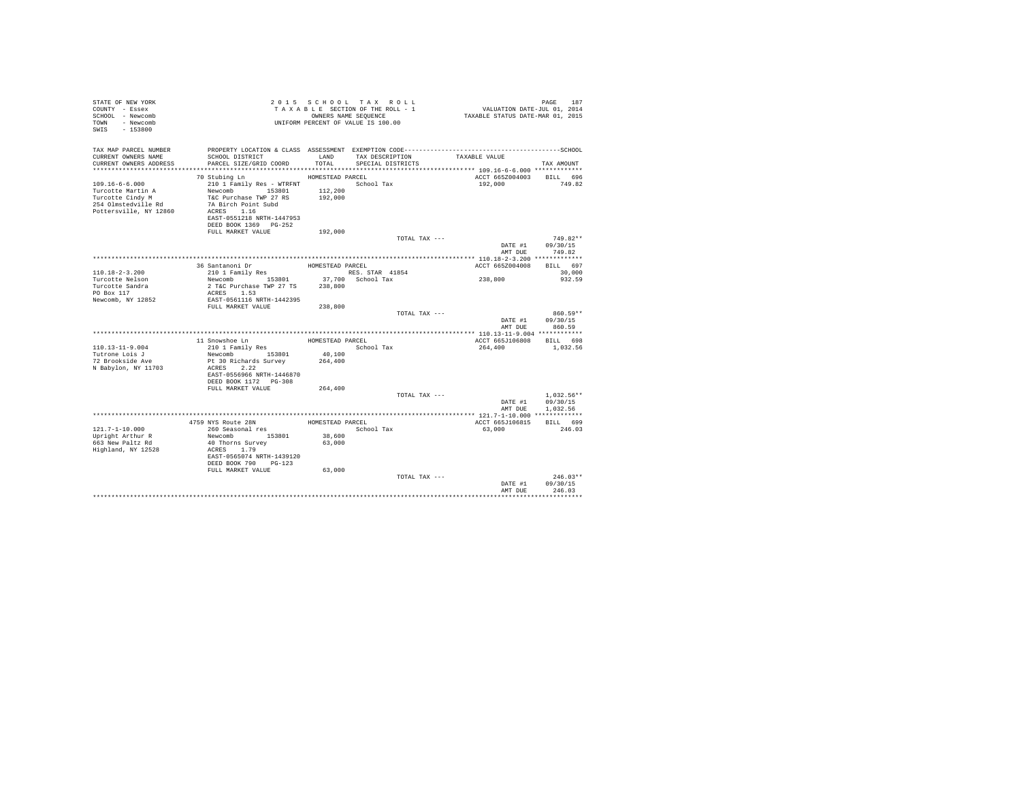| TAX MAP PARCEL NUMBER<br>CURRENT OWNERS NAME<br>SCHOOL DISTRICT<br>LAND<br>TAXABLE VALUE<br>TAX DESCRIPTION<br>TOTAL<br>CURRENT OWNERS ADDRESS<br>PARCEL SIZE/GRID COORD<br>SPECIAL DISTRICTS<br>TAX AMOUNT<br>HOMESTEAD PARCEL<br>ACCT 665Z004003<br>BILL 696<br>70 Stubing Ln<br>$109.16 - 6 - 6.000$<br>210 1 Family Res - WTRFNT<br>School Tax<br>192,000<br>749.82<br>Newcomb 153801<br>Turcotte Martin A<br>112,200<br>T&C Purchase TWP 27 RS 192.000<br>Turcotte Cindy M<br>7A Birch Point Subd<br>254 Olmstedville Rd<br>ACRES 1.16<br>Pottersville, NY 12860<br>EAST-0551218 NRTH-1447953<br>DEED BOOK 1369 PG-252<br>FULL MARKET VALUE<br>192,000<br>$749.82**$<br>TOTAL TAX ---<br>DATE #1<br>09/30/15<br>AMT DUE<br>749.82<br>BILL 697<br>36 Santanoni Dr<br>HOMESTEAD PARCEL<br>ACCT 665Z004008<br>210 1 Family Res<br>$110.18 - 2 - 3.200$<br>30,000<br>RES. STAR 41854<br>238,800<br>Newcomb 153801<br>37,700 School Tax<br>Turcotte Nelson<br>932.59<br>Turcotte Sandra<br>2 T&C Purchase TWP 27 TS<br>238,800<br>PO Box 117<br>ACRES 1.53<br>EAST-0561116 NRTH-1442395<br>Newcomb, NY 12852<br>FULL MARKET VALUE<br>238,800<br>860.59**<br>TOTAL TAX ---<br>DATE #1<br>09/30/15<br>AMT DUR<br>860.59<br>11 Snowshoe Ln<br>HOMESTEAD PARCEL<br>ACCT 665J106808<br>BILL 698<br>110.13-11-9.004<br>School Tax<br>210 1 Family Res<br>264,400<br>1,032.56<br>40,100<br>Tutrone Lois J<br>Newcomb 153801<br>72 Brookside Ave<br>Pt 30 Richards Survey<br>264,400<br>ACRES 2.22<br>N Babylon, NY 11703<br>EAST-0556966 NRTH-1446870<br>DEED BOOK 1172 PG-308<br>FULL MARKET VALUE<br>264,400<br>TOTAL TAX ---<br>$1.032.56**$<br>09/30/15<br>DATE #1<br>AMT DUE<br>1.032.56<br>4759 NYS Route 28N<br>HOMESTEAD PARCEL<br>ACCT 665J106815<br>BILL 699<br>121.7-1-10.000<br>260 Seasonal res<br>School Tax<br>63,000<br>246.03<br>Newcomb 153801<br>Upright Arthur R<br>38,600<br>663 New Paltz Rd<br>40 Thorns Survey<br>63,000<br>Highland, NY 12528<br>ACRES 1.79<br>EAST-0565074 NRTH-1439120<br>DEED BOOK 790 PG-123<br>FULL MARKET VALUE<br>63,000<br>$246.03**$<br>TOTAL TAX ---<br>DATE #1<br>09/30/15<br>246.03<br>AMT DUE | STATE OF NEW YORK<br>COUNTY - Essex<br>SCHOOL - Newcomb<br>TOWN - Newcomb<br>$-153800$<br>SWIS |  | 2015 SCHOOL TAX ROLL<br>TAXABLE SECTION OF THE ROLL - 1<br>OWNERS NAME SEQUENCE<br>UNIFORM PERCENT OF VALUE IS 100.00 | PAGE 187<br>VALUATION DATE-JUL 01, 2014<br>TAXABLE STATUS DATE-MAR 01, 2015 |  |
|----------------------------------------------------------------------------------------------------------------------------------------------------------------------------------------------------------------------------------------------------------------------------------------------------------------------------------------------------------------------------------------------------------------------------------------------------------------------------------------------------------------------------------------------------------------------------------------------------------------------------------------------------------------------------------------------------------------------------------------------------------------------------------------------------------------------------------------------------------------------------------------------------------------------------------------------------------------------------------------------------------------------------------------------------------------------------------------------------------------------------------------------------------------------------------------------------------------------------------------------------------------------------------------------------------------------------------------------------------------------------------------------------------------------------------------------------------------------------------------------------------------------------------------------------------------------------------------------------------------------------------------------------------------------------------------------------------------------------------------------------------------------------------------------------------------------------------------------------------------------------------------------------------------------------------------------------------------------------------------------------------------------------------------------------------------------------------------------------------------------------------------------|------------------------------------------------------------------------------------------------|--|-----------------------------------------------------------------------------------------------------------------------|-----------------------------------------------------------------------------|--|
|                                                                                                                                                                                                                                                                                                                                                                                                                                                                                                                                                                                                                                                                                                                                                                                                                                                                                                                                                                                                                                                                                                                                                                                                                                                                                                                                                                                                                                                                                                                                                                                                                                                                                                                                                                                                                                                                                                                                                                                                                                                                                                                                              |                                                                                                |  |                                                                                                                       |                                                                             |  |
|                                                                                                                                                                                                                                                                                                                                                                                                                                                                                                                                                                                                                                                                                                                                                                                                                                                                                                                                                                                                                                                                                                                                                                                                                                                                                                                                                                                                                                                                                                                                                                                                                                                                                                                                                                                                                                                                                                                                                                                                                                                                                                                                              |                                                                                                |  |                                                                                                                       |                                                                             |  |
|                                                                                                                                                                                                                                                                                                                                                                                                                                                                                                                                                                                                                                                                                                                                                                                                                                                                                                                                                                                                                                                                                                                                                                                                                                                                                                                                                                                                                                                                                                                                                                                                                                                                                                                                                                                                                                                                                                                                                                                                                                                                                                                                              |                                                                                                |  |                                                                                                                       |                                                                             |  |
|                                                                                                                                                                                                                                                                                                                                                                                                                                                                                                                                                                                                                                                                                                                                                                                                                                                                                                                                                                                                                                                                                                                                                                                                                                                                                                                                                                                                                                                                                                                                                                                                                                                                                                                                                                                                                                                                                                                                                                                                                                                                                                                                              |                                                                                                |  |                                                                                                                       |                                                                             |  |
|                                                                                                                                                                                                                                                                                                                                                                                                                                                                                                                                                                                                                                                                                                                                                                                                                                                                                                                                                                                                                                                                                                                                                                                                                                                                                                                                                                                                                                                                                                                                                                                                                                                                                                                                                                                                                                                                                                                                                                                                                                                                                                                                              |                                                                                                |  |                                                                                                                       |                                                                             |  |
|                                                                                                                                                                                                                                                                                                                                                                                                                                                                                                                                                                                                                                                                                                                                                                                                                                                                                                                                                                                                                                                                                                                                                                                                                                                                                                                                                                                                                                                                                                                                                                                                                                                                                                                                                                                                                                                                                                                                                                                                                                                                                                                                              |                                                                                                |  |                                                                                                                       |                                                                             |  |
|                                                                                                                                                                                                                                                                                                                                                                                                                                                                                                                                                                                                                                                                                                                                                                                                                                                                                                                                                                                                                                                                                                                                                                                                                                                                                                                                                                                                                                                                                                                                                                                                                                                                                                                                                                                                                                                                                                                                                                                                                                                                                                                                              |                                                                                                |  |                                                                                                                       |                                                                             |  |
|                                                                                                                                                                                                                                                                                                                                                                                                                                                                                                                                                                                                                                                                                                                                                                                                                                                                                                                                                                                                                                                                                                                                                                                                                                                                                                                                                                                                                                                                                                                                                                                                                                                                                                                                                                                                                                                                                                                                                                                                                                                                                                                                              |                                                                                                |  |                                                                                                                       |                                                                             |  |
|                                                                                                                                                                                                                                                                                                                                                                                                                                                                                                                                                                                                                                                                                                                                                                                                                                                                                                                                                                                                                                                                                                                                                                                                                                                                                                                                                                                                                                                                                                                                                                                                                                                                                                                                                                                                                                                                                                                                                                                                                                                                                                                                              |                                                                                                |  |                                                                                                                       |                                                                             |  |
|                                                                                                                                                                                                                                                                                                                                                                                                                                                                                                                                                                                                                                                                                                                                                                                                                                                                                                                                                                                                                                                                                                                                                                                                                                                                                                                                                                                                                                                                                                                                                                                                                                                                                                                                                                                                                                                                                                                                                                                                                                                                                                                                              |                                                                                                |  |                                                                                                                       |                                                                             |  |
|                                                                                                                                                                                                                                                                                                                                                                                                                                                                                                                                                                                                                                                                                                                                                                                                                                                                                                                                                                                                                                                                                                                                                                                                                                                                                                                                                                                                                                                                                                                                                                                                                                                                                                                                                                                                                                                                                                                                                                                                                                                                                                                                              |                                                                                                |  |                                                                                                                       |                                                                             |  |
|                                                                                                                                                                                                                                                                                                                                                                                                                                                                                                                                                                                                                                                                                                                                                                                                                                                                                                                                                                                                                                                                                                                                                                                                                                                                                                                                                                                                                                                                                                                                                                                                                                                                                                                                                                                                                                                                                                                                                                                                                                                                                                                                              |                                                                                                |  |                                                                                                                       |                                                                             |  |
|                                                                                                                                                                                                                                                                                                                                                                                                                                                                                                                                                                                                                                                                                                                                                                                                                                                                                                                                                                                                                                                                                                                                                                                                                                                                                                                                                                                                                                                                                                                                                                                                                                                                                                                                                                                                                                                                                                                                                                                                                                                                                                                                              |                                                                                                |  |                                                                                                                       |                                                                             |  |
|                                                                                                                                                                                                                                                                                                                                                                                                                                                                                                                                                                                                                                                                                                                                                                                                                                                                                                                                                                                                                                                                                                                                                                                                                                                                                                                                                                                                                                                                                                                                                                                                                                                                                                                                                                                                                                                                                                                                                                                                                                                                                                                                              |                                                                                                |  |                                                                                                                       |                                                                             |  |
|                                                                                                                                                                                                                                                                                                                                                                                                                                                                                                                                                                                                                                                                                                                                                                                                                                                                                                                                                                                                                                                                                                                                                                                                                                                                                                                                                                                                                                                                                                                                                                                                                                                                                                                                                                                                                                                                                                                                                                                                                                                                                                                                              |                                                                                                |  |                                                                                                                       |                                                                             |  |
|                                                                                                                                                                                                                                                                                                                                                                                                                                                                                                                                                                                                                                                                                                                                                                                                                                                                                                                                                                                                                                                                                                                                                                                                                                                                                                                                                                                                                                                                                                                                                                                                                                                                                                                                                                                                                                                                                                                                                                                                                                                                                                                                              |                                                                                                |  |                                                                                                                       |                                                                             |  |
|                                                                                                                                                                                                                                                                                                                                                                                                                                                                                                                                                                                                                                                                                                                                                                                                                                                                                                                                                                                                                                                                                                                                                                                                                                                                                                                                                                                                                                                                                                                                                                                                                                                                                                                                                                                                                                                                                                                                                                                                                                                                                                                                              |                                                                                                |  |                                                                                                                       |                                                                             |  |
|                                                                                                                                                                                                                                                                                                                                                                                                                                                                                                                                                                                                                                                                                                                                                                                                                                                                                                                                                                                                                                                                                                                                                                                                                                                                                                                                                                                                                                                                                                                                                                                                                                                                                                                                                                                                                                                                                                                                                                                                                                                                                                                                              |                                                                                                |  |                                                                                                                       |                                                                             |  |
|                                                                                                                                                                                                                                                                                                                                                                                                                                                                                                                                                                                                                                                                                                                                                                                                                                                                                                                                                                                                                                                                                                                                                                                                                                                                                                                                                                                                                                                                                                                                                                                                                                                                                                                                                                                                                                                                                                                                                                                                                                                                                                                                              |                                                                                                |  |                                                                                                                       |                                                                             |  |
|                                                                                                                                                                                                                                                                                                                                                                                                                                                                                                                                                                                                                                                                                                                                                                                                                                                                                                                                                                                                                                                                                                                                                                                                                                                                                                                                                                                                                                                                                                                                                                                                                                                                                                                                                                                                                                                                                                                                                                                                                                                                                                                                              |                                                                                                |  |                                                                                                                       |                                                                             |  |
|                                                                                                                                                                                                                                                                                                                                                                                                                                                                                                                                                                                                                                                                                                                                                                                                                                                                                                                                                                                                                                                                                                                                                                                                                                                                                                                                                                                                                                                                                                                                                                                                                                                                                                                                                                                                                                                                                                                                                                                                                                                                                                                                              |                                                                                                |  |                                                                                                                       |                                                                             |  |
|                                                                                                                                                                                                                                                                                                                                                                                                                                                                                                                                                                                                                                                                                                                                                                                                                                                                                                                                                                                                                                                                                                                                                                                                                                                                                                                                                                                                                                                                                                                                                                                                                                                                                                                                                                                                                                                                                                                                                                                                                                                                                                                                              |                                                                                                |  |                                                                                                                       |                                                                             |  |
|                                                                                                                                                                                                                                                                                                                                                                                                                                                                                                                                                                                                                                                                                                                                                                                                                                                                                                                                                                                                                                                                                                                                                                                                                                                                                                                                                                                                                                                                                                                                                                                                                                                                                                                                                                                                                                                                                                                                                                                                                                                                                                                                              |                                                                                                |  |                                                                                                                       |                                                                             |  |
|                                                                                                                                                                                                                                                                                                                                                                                                                                                                                                                                                                                                                                                                                                                                                                                                                                                                                                                                                                                                                                                                                                                                                                                                                                                                                                                                                                                                                                                                                                                                                                                                                                                                                                                                                                                                                                                                                                                                                                                                                                                                                                                                              |                                                                                                |  |                                                                                                                       |                                                                             |  |
|                                                                                                                                                                                                                                                                                                                                                                                                                                                                                                                                                                                                                                                                                                                                                                                                                                                                                                                                                                                                                                                                                                                                                                                                                                                                                                                                                                                                                                                                                                                                                                                                                                                                                                                                                                                                                                                                                                                                                                                                                                                                                                                                              |                                                                                                |  |                                                                                                                       |                                                                             |  |
|                                                                                                                                                                                                                                                                                                                                                                                                                                                                                                                                                                                                                                                                                                                                                                                                                                                                                                                                                                                                                                                                                                                                                                                                                                                                                                                                                                                                                                                                                                                                                                                                                                                                                                                                                                                                                                                                                                                                                                                                                                                                                                                                              |                                                                                                |  |                                                                                                                       |                                                                             |  |
|                                                                                                                                                                                                                                                                                                                                                                                                                                                                                                                                                                                                                                                                                                                                                                                                                                                                                                                                                                                                                                                                                                                                                                                                                                                                                                                                                                                                                                                                                                                                                                                                                                                                                                                                                                                                                                                                                                                                                                                                                                                                                                                                              |                                                                                                |  |                                                                                                                       |                                                                             |  |
|                                                                                                                                                                                                                                                                                                                                                                                                                                                                                                                                                                                                                                                                                                                                                                                                                                                                                                                                                                                                                                                                                                                                                                                                                                                                                                                                                                                                                                                                                                                                                                                                                                                                                                                                                                                                                                                                                                                                                                                                                                                                                                                                              |                                                                                                |  |                                                                                                                       |                                                                             |  |
|                                                                                                                                                                                                                                                                                                                                                                                                                                                                                                                                                                                                                                                                                                                                                                                                                                                                                                                                                                                                                                                                                                                                                                                                                                                                                                                                                                                                                                                                                                                                                                                                                                                                                                                                                                                                                                                                                                                                                                                                                                                                                                                                              |                                                                                                |  |                                                                                                                       |                                                                             |  |
|                                                                                                                                                                                                                                                                                                                                                                                                                                                                                                                                                                                                                                                                                                                                                                                                                                                                                                                                                                                                                                                                                                                                                                                                                                                                                                                                                                                                                                                                                                                                                                                                                                                                                                                                                                                                                                                                                                                                                                                                                                                                                                                                              |                                                                                                |  |                                                                                                                       |                                                                             |  |
|                                                                                                                                                                                                                                                                                                                                                                                                                                                                                                                                                                                                                                                                                                                                                                                                                                                                                                                                                                                                                                                                                                                                                                                                                                                                                                                                                                                                                                                                                                                                                                                                                                                                                                                                                                                                                                                                                                                                                                                                                                                                                                                                              |                                                                                                |  |                                                                                                                       |                                                                             |  |
|                                                                                                                                                                                                                                                                                                                                                                                                                                                                                                                                                                                                                                                                                                                                                                                                                                                                                                                                                                                                                                                                                                                                                                                                                                                                                                                                                                                                                                                                                                                                                                                                                                                                                                                                                                                                                                                                                                                                                                                                                                                                                                                                              |                                                                                                |  |                                                                                                                       |                                                                             |  |
|                                                                                                                                                                                                                                                                                                                                                                                                                                                                                                                                                                                                                                                                                                                                                                                                                                                                                                                                                                                                                                                                                                                                                                                                                                                                                                                                                                                                                                                                                                                                                                                                                                                                                                                                                                                                                                                                                                                                                                                                                                                                                                                                              |                                                                                                |  |                                                                                                                       |                                                                             |  |
|                                                                                                                                                                                                                                                                                                                                                                                                                                                                                                                                                                                                                                                                                                                                                                                                                                                                                                                                                                                                                                                                                                                                                                                                                                                                                                                                                                                                                                                                                                                                                                                                                                                                                                                                                                                                                                                                                                                                                                                                                                                                                                                                              |                                                                                                |  |                                                                                                                       |                                                                             |  |
|                                                                                                                                                                                                                                                                                                                                                                                                                                                                                                                                                                                                                                                                                                                                                                                                                                                                                                                                                                                                                                                                                                                                                                                                                                                                                                                                                                                                                                                                                                                                                                                                                                                                                                                                                                                                                                                                                                                                                                                                                                                                                                                                              |                                                                                                |  |                                                                                                                       |                                                                             |  |
|                                                                                                                                                                                                                                                                                                                                                                                                                                                                                                                                                                                                                                                                                                                                                                                                                                                                                                                                                                                                                                                                                                                                                                                                                                                                                                                                                                                                                                                                                                                                                                                                                                                                                                                                                                                                                                                                                                                                                                                                                                                                                                                                              |                                                                                                |  |                                                                                                                       |                                                                             |  |
|                                                                                                                                                                                                                                                                                                                                                                                                                                                                                                                                                                                                                                                                                                                                                                                                                                                                                                                                                                                                                                                                                                                                                                                                                                                                                                                                                                                                                                                                                                                                                                                                                                                                                                                                                                                                                                                                                                                                                                                                                                                                                                                                              |                                                                                                |  |                                                                                                                       |                                                                             |  |
|                                                                                                                                                                                                                                                                                                                                                                                                                                                                                                                                                                                                                                                                                                                                                                                                                                                                                                                                                                                                                                                                                                                                                                                                                                                                                                                                                                                                                                                                                                                                                                                                                                                                                                                                                                                                                                                                                                                                                                                                                                                                                                                                              |                                                                                                |  |                                                                                                                       |                                                                             |  |
|                                                                                                                                                                                                                                                                                                                                                                                                                                                                                                                                                                                                                                                                                                                                                                                                                                                                                                                                                                                                                                                                                                                                                                                                                                                                                                                                                                                                                                                                                                                                                                                                                                                                                                                                                                                                                                                                                                                                                                                                                                                                                                                                              |                                                                                                |  |                                                                                                                       |                                                                             |  |
|                                                                                                                                                                                                                                                                                                                                                                                                                                                                                                                                                                                                                                                                                                                                                                                                                                                                                                                                                                                                                                                                                                                                                                                                                                                                                                                                                                                                                                                                                                                                                                                                                                                                                                                                                                                                                                                                                                                                                                                                                                                                                                                                              |                                                                                                |  |                                                                                                                       |                                                                             |  |
|                                                                                                                                                                                                                                                                                                                                                                                                                                                                                                                                                                                                                                                                                                                                                                                                                                                                                                                                                                                                                                                                                                                                                                                                                                                                                                                                                                                                                                                                                                                                                                                                                                                                                                                                                                                                                                                                                                                                                                                                                                                                                                                                              |                                                                                                |  |                                                                                                                       |                                                                             |  |
|                                                                                                                                                                                                                                                                                                                                                                                                                                                                                                                                                                                                                                                                                                                                                                                                                                                                                                                                                                                                                                                                                                                                                                                                                                                                                                                                                                                                                                                                                                                                                                                                                                                                                                                                                                                                                                                                                                                                                                                                                                                                                                                                              |                                                                                                |  |                                                                                                                       |                                                                             |  |
|                                                                                                                                                                                                                                                                                                                                                                                                                                                                                                                                                                                                                                                                                                                                                                                                                                                                                                                                                                                                                                                                                                                                                                                                                                                                                                                                                                                                                                                                                                                                                                                                                                                                                                                                                                                                                                                                                                                                                                                                                                                                                                                                              |                                                                                                |  |                                                                                                                       |                                                                             |  |
|                                                                                                                                                                                                                                                                                                                                                                                                                                                                                                                                                                                                                                                                                                                                                                                                                                                                                                                                                                                                                                                                                                                                                                                                                                                                                                                                                                                                                                                                                                                                                                                                                                                                                                                                                                                                                                                                                                                                                                                                                                                                                                                                              |                                                                                                |  |                                                                                                                       |                                                                             |  |
|                                                                                                                                                                                                                                                                                                                                                                                                                                                                                                                                                                                                                                                                                                                                                                                                                                                                                                                                                                                                                                                                                                                                                                                                                                                                                                                                                                                                                                                                                                                                                                                                                                                                                                                                                                                                                                                                                                                                                                                                                                                                                                                                              |                                                                                                |  |                                                                                                                       |                                                                             |  |
|                                                                                                                                                                                                                                                                                                                                                                                                                                                                                                                                                                                                                                                                                                                                                                                                                                                                                                                                                                                                                                                                                                                                                                                                                                                                                                                                                                                                                                                                                                                                                                                                                                                                                                                                                                                                                                                                                                                                                                                                                                                                                                                                              |                                                                                                |  |                                                                                                                       |                                                                             |  |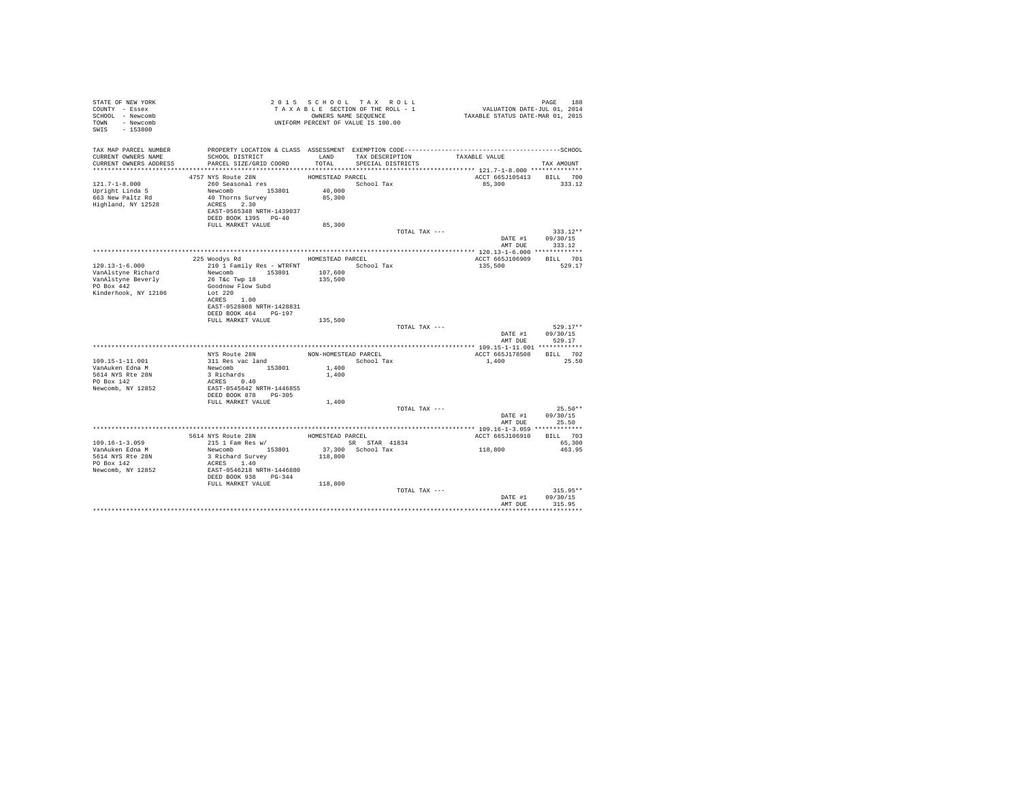| TAX MAP PARCEL NUMBER<br>PROPERTY LOCATION & CLASS ASSESSMENT EXEMPTION CODE-----------------------------------SCHOOL<br>TAX DESCRIPTION<br>SCHOOL DISTRICT<br>CURRENT OWNERS NAME<br>LAND<br>TAXABLE VALUE<br>CURRENT OWNERS ADDRESS<br>PARCEL SIZE/GRID COORD<br>TOTAL.<br>SPECIAL DISTRICTS<br>TAX AMOUNT<br>4757 NYS Route 28N<br>HOMESTEAD PARCEL<br>ACCT 665J105413 BILL 700<br>$121.7 - 1 - 8.000$<br>260 Seasonal res<br>School Tax<br>85,300<br>333.12<br>40,000<br>Newcomb 153801<br>Upright Linda S<br>663 New Paltz Rd<br>40 Thorns Survey<br>85,300<br>Highland, NY 12528<br>ACRES 2.30<br>EAST-0565348 NRTH-1439037<br>DEED BOOK 1395 PG-40<br>85,300<br>FULL MARKET VALUE<br>TOTAL TAX ---<br>$333.12**$<br>DATE #1 09/30/15<br>AMT DUE 333.12<br>225 Woodys Rd<br>BILL 701<br>HOMESTEAD PARCEL<br>ACCT 665J106909<br>120.13-1-6.000<br>210 1 Family Res - WTRFNT<br>School Tax<br>135,500<br>529.17<br>Newcomb 153801<br>VanAlstyne Richard<br>107,600<br>26 T&C Twp 18<br>135,500<br>VanAlstyne Beverly<br>PO Box 442<br>Goodnow Flow Subd<br>Kinderhook, NY 12106<br>Lot 220<br>ACRES 1.00<br>EAST-0528808 NRTH-1428831<br>DEED BOOK 464 PG-197<br>135,500<br>FULL MARKET VALUE<br>TOTAL TAX ---<br>$529.17**$<br>DATE #1 09/30/15<br>AMT DUE<br>529.17<br>ACCT 665J178508 BILL 702<br>NYS Route 28N<br>NON-HOMESTEAD PARCEL<br>311 Res vac land<br>109.15-1-11.001<br>School Tax<br>1,400<br>25.50<br>311 Kes vac Ianu<br>Newcomb 153801<br>3 Richards 0.40<br>ACRES 0.40<br>VanAuken Edna M<br>1,400<br>5614 NYS Rte 28N<br>1,400<br>PO Box 142<br>Newcomb, NY 12852<br>EAST-0545642 NRTH-1446855<br>DEED BOOK 878 PG-305<br>FULL MARKET VALUE<br>1,400<br>$25.50**$<br>TOTAL TAX ---<br>DATE #1<br>09/30/15<br>AMT DUE 25.50<br>BILL 703<br>ACCT 665J106910<br>$109.16 - 1 - 3.059$<br>SR STAR 41834<br>65,300<br>118,800<br>Newcomb 153801<br>3 Richard Survey<br>37,300 School Tax<br>VanAuken Edna M<br>463.95<br>118,800<br>5614 NYS Rte 28N<br>PO Box 142<br>ACRES 1.40<br>EAST-0546218 NRTH-1446880<br>DEED BOOK 938 PG-344<br>Newcomb, NY 12852<br>FULL MARKET VALUE<br>118,800<br>$315.95**$<br>TOTAL TAX ---<br>DATE #1<br>09/30/15<br>AMT DUE<br>315.95 | STATE OF NEW YORK<br>COUNTY - Essex<br>SCHOOL - Newcomb<br>TOWN - Newcomb<br>SWIS - 153800 | TAXABLE SOLUTIONS SEQUENCE<br>UNIFORM PERCENT OF VALUE IS 100.00 | TAXABLE SECTION OF THE ROLL - 1<br>OWNERS NAME SEQUENCE | PAGE 188<br>VALUATION DATE-JUL 01, 2014<br>TAXABLE STATUS DATE-MAR 01, 2015 |  |
|----------------------------------------------------------------------------------------------------------------------------------------------------------------------------------------------------------------------------------------------------------------------------------------------------------------------------------------------------------------------------------------------------------------------------------------------------------------------------------------------------------------------------------------------------------------------------------------------------------------------------------------------------------------------------------------------------------------------------------------------------------------------------------------------------------------------------------------------------------------------------------------------------------------------------------------------------------------------------------------------------------------------------------------------------------------------------------------------------------------------------------------------------------------------------------------------------------------------------------------------------------------------------------------------------------------------------------------------------------------------------------------------------------------------------------------------------------------------------------------------------------------------------------------------------------------------------------------------------------------------------------------------------------------------------------------------------------------------------------------------------------------------------------------------------------------------------------------------------------------------------------------------------------------------------------------------------------------------------------------------------------------------------------------------------------------------------------------------------------------------------------------------------------------------------------------|--------------------------------------------------------------------------------------------|------------------------------------------------------------------|---------------------------------------------------------|-----------------------------------------------------------------------------|--|
|                                                                                                                                                                                                                                                                                                                                                                                                                                                                                                                                                                                                                                                                                                                                                                                                                                                                                                                                                                                                                                                                                                                                                                                                                                                                                                                                                                                                                                                                                                                                                                                                                                                                                                                                                                                                                                                                                                                                                                                                                                                                                                                                                                                        |                                                                                            |                                                                  |                                                         |                                                                             |  |
|                                                                                                                                                                                                                                                                                                                                                                                                                                                                                                                                                                                                                                                                                                                                                                                                                                                                                                                                                                                                                                                                                                                                                                                                                                                                                                                                                                                                                                                                                                                                                                                                                                                                                                                                                                                                                                                                                                                                                                                                                                                                                                                                                                                        |                                                                                            |                                                                  |                                                         |                                                                             |  |
|                                                                                                                                                                                                                                                                                                                                                                                                                                                                                                                                                                                                                                                                                                                                                                                                                                                                                                                                                                                                                                                                                                                                                                                                                                                                                                                                                                                                                                                                                                                                                                                                                                                                                                                                                                                                                                                                                                                                                                                                                                                                                                                                                                                        |                                                                                            |                                                                  |                                                         |                                                                             |  |
|                                                                                                                                                                                                                                                                                                                                                                                                                                                                                                                                                                                                                                                                                                                                                                                                                                                                                                                                                                                                                                                                                                                                                                                                                                                                                                                                                                                                                                                                                                                                                                                                                                                                                                                                                                                                                                                                                                                                                                                                                                                                                                                                                                                        |                                                                                            |                                                                  |                                                         |                                                                             |  |
|                                                                                                                                                                                                                                                                                                                                                                                                                                                                                                                                                                                                                                                                                                                                                                                                                                                                                                                                                                                                                                                                                                                                                                                                                                                                                                                                                                                                                                                                                                                                                                                                                                                                                                                                                                                                                                                                                                                                                                                                                                                                                                                                                                                        |                                                                                            |                                                                  |                                                         |                                                                             |  |
|                                                                                                                                                                                                                                                                                                                                                                                                                                                                                                                                                                                                                                                                                                                                                                                                                                                                                                                                                                                                                                                                                                                                                                                                                                                                                                                                                                                                                                                                                                                                                                                                                                                                                                                                                                                                                                                                                                                                                                                                                                                                                                                                                                                        |                                                                                            |                                                                  |                                                         |                                                                             |  |
|                                                                                                                                                                                                                                                                                                                                                                                                                                                                                                                                                                                                                                                                                                                                                                                                                                                                                                                                                                                                                                                                                                                                                                                                                                                                                                                                                                                                                                                                                                                                                                                                                                                                                                                                                                                                                                                                                                                                                                                                                                                                                                                                                                                        |                                                                                            |                                                                  |                                                         |                                                                             |  |
|                                                                                                                                                                                                                                                                                                                                                                                                                                                                                                                                                                                                                                                                                                                                                                                                                                                                                                                                                                                                                                                                                                                                                                                                                                                                                                                                                                                                                                                                                                                                                                                                                                                                                                                                                                                                                                                                                                                                                                                                                                                                                                                                                                                        |                                                                                            |                                                                  |                                                         |                                                                             |  |
|                                                                                                                                                                                                                                                                                                                                                                                                                                                                                                                                                                                                                                                                                                                                                                                                                                                                                                                                                                                                                                                                                                                                                                                                                                                                                                                                                                                                                                                                                                                                                                                                                                                                                                                                                                                                                                                                                                                                                                                                                                                                                                                                                                                        |                                                                                            |                                                                  |                                                         |                                                                             |  |
|                                                                                                                                                                                                                                                                                                                                                                                                                                                                                                                                                                                                                                                                                                                                                                                                                                                                                                                                                                                                                                                                                                                                                                                                                                                                                                                                                                                                                                                                                                                                                                                                                                                                                                                                                                                                                                                                                                                                                                                                                                                                                                                                                                                        |                                                                                            |                                                                  |                                                         |                                                                             |  |
|                                                                                                                                                                                                                                                                                                                                                                                                                                                                                                                                                                                                                                                                                                                                                                                                                                                                                                                                                                                                                                                                                                                                                                                                                                                                                                                                                                                                                                                                                                                                                                                                                                                                                                                                                                                                                                                                                                                                                                                                                                                                                                                                                                                        |                                                                                            |                                                                  |                                                         |                                                                             |  |
|                                                                                                                                                                                                                                                                                                                                                                                                                                                                                                                                                                                                                                                                                                                                                                                                                                                                                                                                                                                                                                                                                                                                                                                                                                                                                                                                                                                                                                                                                                                                                                                                                                                                                                                                                                                                                                                                                                                                                                                                                                                                                                                                                                                        |                                                                                            |                                                                  |                                                         |                                                                             |  |
|                                                                                                                                                                                                                                                                                                                                                                                                                                                                                                                                                                                                                                                                                                                                                                                                                                                                                                                                                                                                                                                                                                                                                                                                                                                                                                                                                                                                                                                                                                                                                                                                                                                                                                                                                                                                                                                                                                                                                                                                                                                                                                                                                                                        |                                                                                            |                                                                  |                                                         |                                                                             |  |
|                                                                                                                                                                                                                                                                                                                                                                                                                                                                                                                                                                                                                                                                                                                                                                                                                                                                                                                                                                                                                                                                                                                                                                                                                                                                                                                                                                                                                                                                                                                                                                                                                                                                                                                                                                                                                                                                                                                                                                                                                                                                                                                                                                                        |                                                                                            |                                                                  |                                                         |                                                                             |  |
|                                                                                                                                                                                                                                                                                                                                                                                                                                                                                                                                                                                                                                                                                                                                                                                                                                                                                                                                                                                                                                                                                                                                                                                                                                                                                                                                                                                                                                                                                                                                                                                                                                                                                                                                                                                                                                                                                                                                                                                                                                                                                                                                                                                        |                                                                                            |                                                                  |                                                         |                                                                             |  |
|                                                                                                                                                                                                                                                                                                                                                                                                                                                                                                                                                                                                                                                                                                                                                                                                                                                                                                                                                                                                                                                                                                                                                                                                                                                                                                                                                                                                                                                                                                                                                                                                                                                                                                                                                                                                                                                                                                                                                                                                                                                                                                                                                                                        |                                                                                            |                                                                  |                                                         |                                                                             |  |
|                                                                                                                                                                                                                                                                                                                                                                                                                                                                                                                                                                                                                                                                                                                                                                                                                                                                                                                                                                                                                                                                                                                                                                                                                                                                                                                                                                                                                                                                                                                                                                                                                                                                                                                                                                                                                                                                                                                                                                                                                                                                                                                                                                                        |                                                                                            |                                                                  |                                                         |                                                                             |  |
|                                                                                                                                                                                                                                                                                                                                                                                                                                                                                                                                                                                                                                                                                                                                                                                                                                                                                                                                                                                                                                                                                                                                                                                                                                                                                                                                                                                                                                                                                                                                                                                                                                                                                                                                                                                                                                                                                                                                                                                                                                                                                                                                                                                        |                                                                                            |                                                                  |                                                         |                                                                             |  |
|                                                                                                                                                                                                                                                                                                                                                                                                                                                                                                                                                                                                                                                                                                                                                                                                                                                                                                                                                                                                                                                                                                                                                                                                                                                                                                                                                                                                                                                                                                                                                                                                                                                                                                                                                                                                                                                                                                                                                                                                                                                                                                                                                                                        |                                                                                            |                                                                  |                                                         |                                                                             |  |
|                                                                                                                                                                                                                                                                                                                                                                                                                                                                                                                                                                                                                                                                                                                                                                                                                                                                                                                                                                                                                                                                                                                                                                                                                                                                                                                                                                                                                                                                                                                                                                                                                                                                                                                                                                                                                                                                                                                                                                                                                                                                                                                                                                                        |                                                                                            |                                                                  |                                                         |                                                                             |  |
|                                                                                                                                                                                                                                                                                                                                                                                                                                                                                                                                                                                                                                                                                                                                                                                                                                                                                                                                                                                                                                                                                                                                                                                                                                                                                                                                                                                                                                                                                                                                                                                                                                                                                                                                                                                                                                                                                                                                                                                                                                                                                                                                                                                        |                                                                                            |                                                                  |                                                         |                                                                             |  |
|                                                                                                                                                                                                                                                                                                                                                                                                                                                                                                                                                                                                                                                                                                                                                                                                                                                                                                                                                                                                                                                                                                                                                                                                                                                                                                                                                                                                                                                                                                                                                                                                                                                                                                                                                                                                                                                                                                                                                                                                                                                                                                                                                                                        |                                                                                            |                                                                  |                                                         |                                                                             |  |
|                                                                                                                                                                                                                                                                                                                                                                                                                                                                                                                                                                                                                                                                                                                                                                                                                                                                                                                                                                                                                                                                                                                                                                                                                                                                                                                                                                                                                                                                                                                                                                                                                                                                                                                                                                                                                                                                                                                                                                                                                                                                                                                                                                                        |                                                                                            |                                                                  |                                                         |                                                                             |  |
|                                                                                                                                                                                                                                                                                                                                                                                                                                                                                                                                                                                                                                                                                                                                                                                                                                                                                                                                                                                                                                                                                                                                                                                                                                                                                                                                                                                                                                                                                                                                                                                                                                                                                                                                                                                                                                                                                                                                                                                                                                                                                                                                                                                        |                                                                                            |                                                                  |                                                         |                                                                             |  |
|                                                                                                                                                                                                                                                                                                                                                                                                                                                                                                                                                                                                                                                                                                                                                                                                                                                                                                                                                                                                                                                                                                                                                                                                                                                                                                                                                                                                                                                                                                                                                                                                                                                                                                                                                                                                                                                                                                                                                                                                                                                                                                                                                                                        |                                                                                            |                                                                  |                                                         |                                                                             |  |
|                                                                                                                                                                                                                                                                                                                                                                                                                                                                                                                                                                                                                                                                                                                                                                                                                                                                                                                                                                                                                                                                                                                                                                                                                                                                                                                                                                                                                                                                                                                                                                                                                                                                                                                                                                                                                                                                                                                                                                                                                                                                                                                                                                                        |                                                                                            |                                                                  |                                                         |                                                                             |  |
|                                                                                                                                                                                                                                                                                                                                                                                                                                                                                                                                                                                                                                                                                                                                                                                                                                                                                                                                                                                                                                                                                                                                                                                                                                                                                                                                                                                                                                                                                                                                                                                                                                                                                                                                                                                                                                                                                                                                                                                                                                                                                                                                                                                        |                                                                                            |                                                                  |                                                         |                                                                             |  |
|                                                                                                                                                                                                                                                                                                                                                                                                                                                                                                                                                                                                                                                                                                                                                                                                                                                                                                                                                                                                                                                                                                                                                                                                                                                                                                                                                                                                                                                                                                                                                                                                                                                                                                                                                                                                                                                                                                                                                                                                                                                                                                                                                                                        |                                                                                            |                                                                  |                                                         |                                                                             |  |
|                                                                                                                                                                                                                                                                                                                                                                                                                                                                                                                                                                                                                                                                                                                                                                                                                                                                                                                                                                                                                                                                                                                                                                                                                                                                                                                                                                                                                                                                                                                                                                                                                                                                                                                                                                                                                                                                                                                                                                                                                                                                                                                                                                                        |                                                                                            |                                                                  |                                                         |                                                                             |  |
|                                                                                                                                                                                                                                                                                                                                                                                                                                                                                                                                                                                                                                                                                                                                                                                                                                                                                                                                                                                                                                                                                                                                                                                                                                                                                                                                                                                                                                                                                                                                                                                                                                                                                                                                                                                                                                                                                                                                                                                                                                                                                                                                                                                        |                                                                                            |                                                                  |                                                         |                                                                             |  |
|                                                                                                                                                                                                                                                                                                                                                                                                                                                                                                                                                                                                                                                                                                                                                                                                                                                                                                                                                                                                                                                                                                                                                                                                                                                                                                                                                                                                                                                                                                                                                                                                                                                                                                                                                                                                                                                                                                                                                                                                                                                                                                                                                                                        |                                                                                            |                                                                  |                                                         |                                                                             |  |
|                                                                                                                                                                                                                                                                                                                                                                                                                                                                                                                                                                                                                                                                                                                                                                                                                                                                                                                                                                                                                                                                                                                                                                                                                                                                                                                                                                                                                                                                                                                                                                                                                                                                                                                                                                                                                                                                                                                                                                                                                                                                                                                                                                                        |                                                                                            |                                                                  |                                                         |                                                                             |  |
|                                                                                                                                                                                                                                                                                                                                                                                                                                                                                                                                                                                                                                                                                                                                                                                                                                                                                                                                                                                                                                                                                                                                                                                                                                                                                                                                                                                                                                                                                                                                                                                                                                                                                                                                                                                                                                                                                                                                                                                                                                                                                                                                                                                        |                                                                                            |                                                                  |                                                         |                                                                             |  |
|                                                                                                                                                                                                                                                                                                                                                                                                                                                                                                                                                                                                                                                                                                                                                                                                                                                                                                                                                                                                                                                                                                                                                                                                                                                                                                                                                                                                                                                                                                                                                                                                                                                                                                                                                                                                                                                                                                                                                                                                                                                                                                                                                                                        |                                                                                            |                                                                  |                                                         |                                                                             |  |
|                                                                                                                                                                                                                                                                                                                                                                                                                                                                                                                                                                                                                                                                                                                                                                                                                                                                                                                                                                                                                                                                                                                                                                                                                                                                                                                                                                                                                                                                                                                                                                                                                                                                                                                                                                                                                                                                                                                                                                                                                                                                                                                                                                                        |                                                                                            |                                                                  |                                                         |                                                                             |  |
|                                                                                                                                                                                                                                                                                                                                                                                                                                                                                                                                                                                                                                                                                                                                                                                                                                                                                                                                                                                                                                                                                                                                                                                                                                                                                                                                                                                                                                                                                                                                                                                                                                                                                                                                                                                                                                                                                                                                                                                                                                                                                                                                                                                        |                                                                                            |                                                                  |                                                         |                                                                             |  |
|                                                                                                                                                                                                                                                                                                                                                                                                                                                                                                                                                                                                                                                                                                                                                                                                                                                                                                                                                                                                                                                                                                                                                                                                                                                                                                                                                                                                                                                                                                                                                                                                                                                                                                                                                                                                                                                                                                                                                                                                                                                                                                                                                                                        |                                                                                            |                                                                  |                                                         |                                                                             |  |
|                                                                                                                                                                                                                                                                                                                                                                                                                                                                                                                                                                                                                                                                                                                                                                                                                                                                                                                                                                                                                                                                                                                                                                                                                                                                                                                                                                                                                                                                                                                                                                                                                                                                                                                                                                                                                                                                                                                                                                                                                                                                                                                                                                                        |                                                                                            |                                                                  |                                                         |                                                                             |  |
|                                                                                                                                                                                                                                                                                                                                                                                                                                                                                                                                                                                                                                                                                                                                                                                                                                                                                                                                                                                                                                                                                                                                                                                                                                                                                                                                                                                                                                                                                                                                                                                                                                                                                                                                                                                                                                                                                                                                                                                                                                                                                                                                                                                        |                                                                                            |                                                                  |                                                         |                                                                             |  |
|                                                                                                                                                                                                                                                                                                                                                                                                                                                                                                                                                                                                                                                                                                                                                                                                                                                                                                                                                                                                                                                                                                                                                                                                                                                                                                                                                                                                                                                                                                                                                                                                                                                                                                                                                                                                                                                                                                                                                                                                                                                                                                                                                                                        |                                                                                            |                                                                  |                                                         |                                                                             |  |
|                                                                                                                                                                                                                                                                                                                                                                                                                                                                                                                                                                                                                                                                                                                                                                                                                                                                                                                                                                                                                                                                                                                                                                                                                                                                                                                                                                                                                                                                                                                                                                                                                                                                                                                                                                                                                                                                                                                                                                                                                                                                                                                                                                                        |                                                                                            |                                                                  |                                                         |                                                                             |  |
|                                                                                                                                                                                                                                                                                                                                                                                                                                                                                                                                                                                                                                                                                                                                                                                                                                                                                                                                                                                                                                                                                                                                                                                                                                                                                                                                                                                                                                                                                                                                                                                                                                                                                                                                                                                                                                                                                                                                                                                                                                                                                                                                                                                        |                                                                                            |                                                                  |                                                         |                                                                             |  |
|                                                                                                                                                                                                                                                                                                                                                                                                                                                                                                                                                                                                                                                                                                                                                                                                                                                                                                                                                                                                                                                                                                                                                                                                                                                                                                                                                                                                                                                                                                                                                                                                                                                                                                                                                                                                                                                                                                                                                                                                                                                                                                                                                                                        |                                                                                            |                                                                  |                                                         |                                                                             |  |
|                                                                                                                                                                                                                                                                                                                                                                                                                                                                                                                                                                                                                                                                                                                                                                                                                                                                                                                                                                                                                                                                                                                                                                                                                                                                                                                                                                                                                                                                                                                                                                                                                                                                                                                                                                                                                                                                                                                                                                                                                                                                                                                                                                                        |                                                                                            |                                                                  |                                                         |                                                                             |  |
|                                                                                                                                                                                                                                                                                                                                                                                                                                                                                                                                                                                                                                                                                                                                                                                                                                                                                                                                                                                                                                                                                                                                                                                                                                                                                                                                                                                                                                                                                                                                                                                                                                                                                                                                                                                                                                                                                                                                                                                                                                                                                                                                                                                        |                                                                                            |                                                                  |                                                         |                                                                             |  |
|                                                                                                                                                                                                                                                                                                                                                                                                                                                                                                                                                                                                                                                                                                                                                                                                                                                                                                                                                                                                                                                                                                                                                                                                                                                                                                                                                                                                                                                                                                                                                                                                                                                                                                                                                                                                                                                                                                                                                                                                                                                                                                                                                                                        |                                                                                            |                                                                  |                                                         |                                                                             |  |
|                                                                                                                                                                                                                                                                                                                                                                                                                                                                                                                                                                                                                                                                                                                                                                                                                                                                                                                                                                                                                                                                                                                                                                                                                                                                                                                                                                                                                                                                                                                                                                                                                                                                                                                                                                                                                                                                                                                                                                                                                                                                                                                                                                                        |                                                                                            |                                                                  |                                                         |                                                                             |  |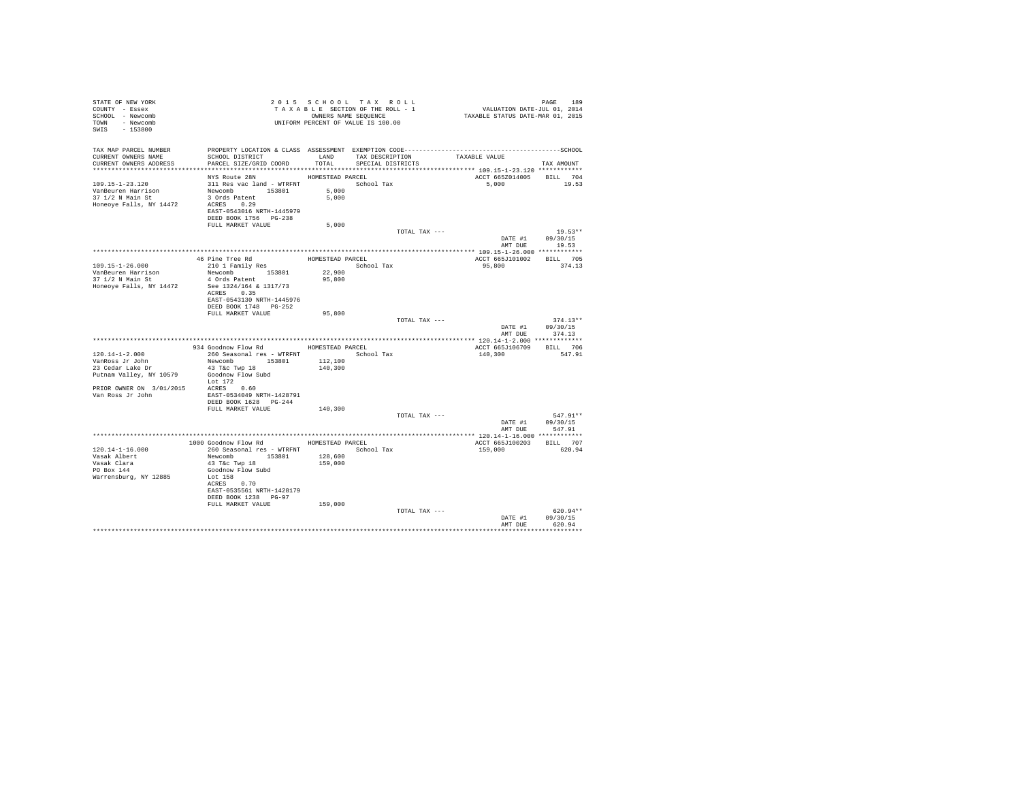| STATE OF NEW YORK<br>COUNTY - Essex<br>SCHOOL - Newcomb<br>TOWN - Newcomb<br>$-153800$<br>SWIS | T A X A B B B B B B SOUENCE<br>ONNERS NAME SEQUENCE<br>UNIFORM PERCENT OF VALUE IS 100.00 |                  | 2015 SCHOOL TAX ROLL<br>TAXABLE SECTION OF THE ROLL - 1<br>OWNERS NAME SEQUENCE | PAGE 189<br>VALUATION DATE-JUL 01, 2014<br>TAXABLE STATUS DATE-MAR 01, 2015 |                               |
|------------------------------------------------------------------------------------------------|-------------------------------------------------------------------------------------------|------------------|---------------------------------------------------------------------------------|-----------------------------------------------------------------------------|-------------------------------|
| TAX MAP PARCEL NUMBER                                                                          |                                                                                           |                  |                                                                                 |                                                                             |                               |
| CURRENT OWNERS NAME<br>CURRENT OWNERS ADDRESS                                                  | SCHOOL DISTRICT<br>PARCEL SIZE/GRID COORD                                                 | LAND<br>TOTAL    | TAX DESCRIPTION<br>SPECIAL DISTRICTS                                            | TAXABLE VALUE                                                               | TAX AMOUNT                    |
|                                                                                                |                                                                                           |                  |                                                                                 |                                                                             |                               |
|                                                                                                | NYS Route 28N                                                                             | HOMESTEAD PARCEL |                                                                                 | ACCT 665Z014005                                                             | BILL 704                      |
| 109.15-1-23.120                                                                                | 311 Res vac land - WTRFNT                                                                 |                  | School Tax                                                                      | 5,000                                                                       | 19.53                         |
| VanBeuren Harrison<br>37 1/2 N Main St                                                         | Newcomb 153801                                                                            | 5,000            |                                                                                 |                                                                             |                               |
| Honeoye Falls, NY 14472                                                                        | 3 Ords Patent<br>ACRES 0.29                                                               | 5,000            |                                                                                 |                                                                             |                               |
|                                                                                                | EAST-0543016 NRTH-1445979                                                                 |                  |                                                                                 |                                                                             |                               |
|                                                                                                | DEED BOOK 1756 PG-238                                                                     |                  |                                                                                 |                                                                             |                               |
|                                                                                                | FULL MARKET VALUE                                                                         | 5,000            |                                                                                 |                                                                             |                               |
|                                                                                                |                                                                                           |                  | TOTAL TAX ---                                                                   |                                                                             | $19.53**$<br>DATE #1 09/30/15 |
|                                                                                                |                                                                                           |                  |                                                                                 | AMT DUE                                                                     | 19.53                         |
|                                                                                                |                                                                                           |                  |                                                                                 |                                                                             |                               |
|                                                                                                | 46 Pine Tree Rd<br>210 1 Family Res                                                       |                  | HOMESTEAD PARCEL                                                                | ACCT 665J101002                                                             | BILL 705                      |
| 109.15-1-26.000<br>VanBeuren Harrison                                                          | Newcomb 153801                                                                            | 22,900           | School Tax                                                                      | 95,800                                                                      | 374.13                        |
| 37 1/2 N Main St                                                                               | 4 Ords Patent                                                                             | 95,800           |                                                                                 |                                                                             |                               |
| Honeoye Falls, NY 14472                                                                        | See 1324/164 & 1317/73                                                                    |                  |                                                                                 |                                                                             |                               |
|                                                                                                | ACRES 0.35                                                                                |                  |                                                                                 |                                                                             |                               |
|                                                                                                | EAST-0543130 NRTH-1445976<br>DEED BOOK 1748 PG-252                                        |                  |                                                                                 |                                                                             |                               |
|                                                                                                | FULL MARKET VALUE                                                                         | 95,800           |                                                                                 |                                                                             |                               |
|                                                                                                |                                                                                           |                  | TOTAL TAX ---                                                                   |                                                                             | $374.13**$                    |
|                                                                                                |                                                                                           |                  |                                                                                 | DATE #1                                                                     | 09/30/15<br>AMT DUE 374.13    |
|                                                                                                |                                                                                           |                  |                                                                                 |                                                                             |                               |
|                                                                                                | 934 Goodnow Flow Rd MOMESTEAD PARCEL                                                      |                  |                                                                                 | ACCT 665J106709 BILL 706                                                    |                               |
| $120.14 - 1 - 2.000$                                                                           | 260 Seasonal res - WTRFNT                                                                 |                  | School Tax                                                                      | 140,300                                                                     | 547.91                        |
| VanRoss Jr John<br>23 Cedar Lake Dr                                                            | Newcomb 153801                                                                            | 112,100          |                                                                                 |                                                                             |                               |
| Putnam Valley, NY 10579 Goodnow Flow Subd                                                      | 43 T&c Twp 18                                                                             | 140,300          |                                                                                 |                                                                             |                               |
|                                                                                                | Lot 172                                                                                   |                  |                                                                                 |                                                                             |                               |
| PRIOR OWNER ON 3/01/2015 ACRES 0.60                                                            |                                                                                           |                  |                                                                                 |                                                                             |                               |
| Van Ross Jr John                                                                               | EAST-0534049 NRTH-1428791<br>DEED BOOK 1628 PG-244                                        |                  |                                                                                 |                                                                             |                               |
|                                                                                                | FULL MARKET VALUE                                                                         | 140,300          |                                                                                 |                                                                             |                               |
|                                                                                                |                                                                                           |                  | TOTAL TAX ---                                                                   |                                                                             | 547.91**                      |
|                                                                                                |                                                                                           |                  |                                                                                 |                                                                             | DATE #1 09/30/15              |
|                                                                                                |                                                                                           |                  |                                                                                 | AMT DUE                                                                     | 547.91                        |
|                                                                                                | 1000 Goodnow Flow Rd MOMESTEAD PARCEL                                                     |                  |                                                                                 | ACCT 665J100203 BILL 707                                                    |                               |
| 120.14-1-16.000                                                                                | 260 Seasonal res - WTRFNT                                                                 |                  | School Tax                                                                      | 159,000                                                                     | 620.94                        |
| Vasak Albert                                                                                   | Newcomb 153801                                                                            | 128,600          |                                                                                 |                                                                             |                               |
| Vasan<br>Vasak Clara                                                                           | 43 T&C Twp 18<br>Goodnow Flow Subd                                                        | 159,000          |                                                                                 |                                                                             |                               |
| Warrensburg, NY 12885                                                                          | Lot 158                                                                                   |                  |                                                                                 |                                                                             |                               |
|                                                                                                | ACRES 0.70                                                                                |                  |                                                                                 |                                                                             |                               |
|                                                                                                | EAST-0535561 NRTH-1428179                                                                 |                  |                                                                                 |                                                                             |                               |
|                                                                                                | DEED BOOK 1238 PG-97<br>FULL MARKET VALUE                                                 | 159,000          |                                                                                 |                                                                             |                               |
|                                                                                                |                                                                                           |                  | TOTAL TAX ---                                                                   |                                                                             | $620.94**$                    |
|                                                                                                |                                                                                           |                  |                                                                                 | DATE #1                                                                     | 09/30/15                      |
|                                                                                                |                                                                                           |                  |                                                                                 | AMT DHR                                                                     | 620.94                        |
|                                                                                                |                                                                                           |                  |                                                                                 |                                                                             | **********                    |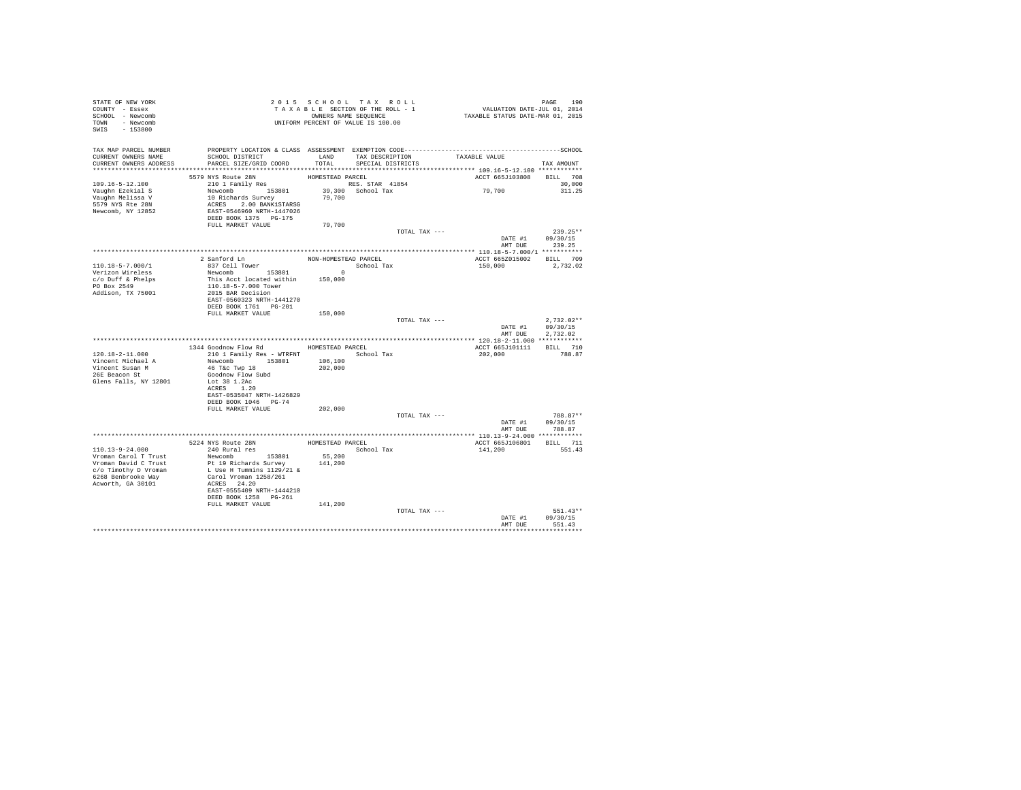| STATE OF NEW YORK<br>COUNTY - Essex<br>SCHOOL - Newcomb<br>TOWN - Newcomb<br>SWIS - 153800 | 2015 SECTION OF THE ROLL - 1<br>TAXABLE SECTION OF THE ROLL - 1<br>OWNERS NAME SEQUENCE<br>UNIFORM PERCENT OF VALUE IS 100.00                                                                                                                                                                                                                                                                                                                                                                                                                                        |         |                                                         |                             |                  |
|--------------------------------------------------------------------------------------------|----------------------------------------------------------------------------------------------------------------------------------------------------------------------------------------------------------------------------------------------------------------------------------------------------------------------------------------------------------------------------------------------------------------------------------------------------------------------------------------------------------------------------------------------------------------------|---------|---------------------------------------------------------|-----------------------------|------------------|
|                                                                                            | TAX MAP PARCEL NUMBER PROPERTY LOCATION & CLASS ASSESSMENT EXEMPTION CODE---------------------------------SCHOOL                                                                                                                                                                                                                                                                                                                                                                                                                                                     |         |                                                         |                             |                  |
| CURRENT OWNERS NAME<br>CURRENT OWNERS ADDRESS                                              | SCHOOL DISTRICT<br>PARCEL SIZE/GRID COORD                                                                                                                                                                                                                                                                                                                                                                                                                                                                                                                            | TOTAL   | LAND TAX DESCRIPTION TAXABLE VALUE<br>SPECIAL DISTRICTS |                             | TAX AMOUNT       |
|                                                                                            |                                                                                                                                                                                                                                                                                                                                                                                                                                                                                                                                                                      |         |                                                         |                             |                  |
|                                                                                            | 5579 NYS Route 28N                                                                                                                                                                                                                                                                                                                                                                                                                                                                                                                                                   |         |                                                         | ACCT 665J103808 BILL 708    |                  |
| 109.16-5-12.100<br>Vaughn Ezekial S                                                        | $210$ 1 Family Res                                                                                                                                                                                                                                                                                                                                                                                                                                                                                                                                                   |         |                                                         | 79,700                      | 30,000<br>311.25 |
|                                                                                            |                                                                                                                                                                                                                                                                                                                                                                                                                                                                                                                                                                      |         |                                                         |                             |                  |
| Vaughn Melissa V<br>5579 NYS Rte 28N<br>Newcomb, NY 12852                                  |                                                                                                                                                                                                                                                                                                                                                                                                                                                                                                                                                                      |         |                                                         |                             |                  |
|                                                                                            |                                                                                                                                                                                                                                                                                                                                                                                                                                                                                                                                                                      |         |                                                         |                             |                  |
|                                                                                            |                                                                                                                                                                                                                                                                                                                                                                                                                                                                                                                                                                      | 79,700  |                                                         |                             |                  |
|                                                                                            |                                                                                                                                                                                                                                                                                                                                                                                                                                                                                                                                                                      |         | TOTAL TAX ---                                           |                             | $239.25**$       |
|                                                                                            |                                                                                                                                                                                                                                                                                                                                                                                                                                                                                                                                                                      |         |                                                         | DATE #1 09/30/15            |                  |
|                                                                                            |                                                                                                                                                                                                                                                                                                                                                                                                                                                                                                                                                                      |         |                                                         | AMT DUE                     | 239.25           |
|                                                                                            | 2 Sanford Ln<br>837 Cell Tower                                                                                                                                                                                                                                                                                                                                                                                                                                                                                                                                       |         | NON-HOMESTEAD PARCEL                                    | ACCT 665Z015002 BILL 709    |                  |
| 110.18-5-7.000/1                                                                           |                                                                                                                                                                                                                                                                                                                                                                                                                                                                                                                                                                      |         |                                                         | 150,000                     | 2,732.02         |
| Verizon Wireless<br>c/o Duff & Phelps                                                      |                                                                                                                                                                                                                                                                                                                                                                                                                                                                                                                                                                      |         |                                                         |                             |                  |
| PO Box 2549                                                                                | $\begin{tabular}{lllllllllll} $\begin{array}{l} & $\begin{array}{l} & $\begin{array}{l} & $\begin{array}{l} & $\begin{array}{l} & $\begin{array}{l} & $\begin{array}{l} & $\begin{array}{l} & $\begin{array}{l} & $\begin{array}{l} & $\begin{array}{l} & $\begin{array}{l} & $\begin{array}{l} & $\begin{array}{l} & $\begin{array}{l} & $\begin{array}{l} & $\begin{array}{l} & $\begin{array}{l} & $\begin{array}{l} & $\begin{array}{l} & $\begin{array}{l} & $\begin{array}{l} & $\begin{array}{l} & $\begin{array}{l} & $\begin{array}{l} & $\begin{array}{l}$ |         |                                                         |                             |                  |
| Addison, TX 75001                                                                          | 2015 BAR Decision                                                                                                                                                                                                                                                                                                                                                                                                                                                                                                                                                    |         |                                                         |                             |                  |
|                                                                                            | EAST-0560323 NRTH-1441270                                                                                                                                                                                                                                                                                                                                                                                                                                                                                                                                            |         |                                                         |                             |                  |
|                                                                                            | FULL MARKET VALUE                                                                                                                                                                                                                                                                                                                                                                                                                                                                                                                                                    | 150,000 |                                                         |                             |                  |
|                                                                                            |                                                                                                                                                                                                                                                                                                                                                                                                                                                                                                                                                                      |         | TOTAL TAX ---                                           |                             | $2.732.02**$     |
|                                                                                            |                                                                                                                                                                                                                                                                                                                                                                                                                                                                                                                                                                      |         |                                                         | DATE #1 09/30/15<br>AMT DUE |                  |
|                                                                                            |                                                                                                                                                                                                                                                                                                                                                                                                                                                                                                                                                                      |         |                                                         |                             | 2,732.02         |
|                                                                                            | 1344 Goodnow Flow Rd MOMESTEAD PARCEL                                                                                                                                                                                                                                                                                                                                                                                                                                                                                                                                |         |                                                         | ACCT 665J101111 BILL 710    |                  |
| 120.18-2-11.000                                                                            | 210 1 Family Res - WTRFNT School Tax                                                                                                                                                                                                                                                                                                                                                                                                                                                                                                                                 |         |                                                         | 202,000                     | 788.87           |
| Vincent Michael A                                                                          | Newcomb 153801 106,100<br>46 T&c Twp 18 202,000                                                                                                                                                                                                                                                                                                                                                                                                                                                                                                                      |         |                                                         |                             |                  |
| Vincent Susan M<br>26E Beacon St                                                           | Goodnow Flow Subd                                                                                                                                                                                                                                                                                                                                                                                                                                                                                                                                                    |         |                                                         |                             |                  |
| Glens Falls, NY 12801                                                                      | Lot 38 1.2Ac                                                                                                                                                                                                                                                                                                                                                                                                                                                                                                                                                         |         |                                                         |                             |                  |
|                                                                                            | ACRES 1.20<br>EAST-0535047 NRTH-1426829                                                                                                                                                                                                                                                                                                                                                                                                                                                                                                                              |         |                                                         |                             |                  |
|                                                                                            | DEED BOOK 1046 PG-74                                                                                                                                                                                                                                                                                                                                                                                                                                                                                                                                                 |         |                                                         |                             |                  |
|                                                                                            | FULL MARKET VALUE                                                                                                                                                                                                                                                                                                                                                                                                                                                                                                                                                    | 202,000 |                                                         |                             |                  |
|                                                                                            |                                                                                                                                                                                                                                                                                                                                                                                                                                                                                                                                                                      |         | TOTAL TAX ---                                           | DATE #1 09/30/15            | 788.87**         |
|                                                                                            |                                                                                                                                                                                                                                                                                                                                                                                                                                                                                                                                                                      |         |                                                         | AMT DUE                     | 788.87           |
|                                                                                            |                                                                                                                                                                                                                                                                                                                                                                                                                                                                                                                                                                      |         |                                                         |                             |                  |
|                                                                                            |                                                                                                                                                                                                                                                                                                                                                                                                                                                                                                                                                                      |         |                                                         | ACCT 665J106801 BILL 711    |                  |
| 110.13-9-24.000<br>Vroman Carol T Trust                                                    | 240 Rural res<br>Newcomb 153801                                                                                                                                                                                                                                                                                                                                                                                                                                                                                                                                      | 55,200  | School Tax                                              | 141,200                     | 551.43           |
| Vroman David C Trust                                                                       | Pt 19 Richards Survey                                                                                                                                                                                                                                                                                                                                                                                                                                                                                                                                                | 141,200 |                                                         |                             |                  |
| c/o Timothy D Vroman                                                                       | L Use H Tummins 1129/21 &<br>Carol Vroman 1258/261                                                                                                                                                                                                                                                                                                                                                                                                                                                                                                                   |         |                                                         |                             |                  |
| 6268 Benbrooke Way<br>Acworth, GA 30101                                                    | ACRES 24.20                                                                                                                                                                                                                                                                                                                                                                                                                                                                                                                                                          |         |                                                         |                             |                  |
|                                                                                            | EAST-0555409 NRTH-1444210                                                                                                                                                                                                                                                                                                                                                                                                                                                                                                                                            |         |                                                         |                             |                  |
|                                                                                            | DEED BOOK 1258 PG-261                                                                                                                                                                                                                                                                                                                                                                                                                                                                                                                                                |         |                                                         |                             |                  |
|                                                                                            | FULL MARKET VALUE                                                                                                                                                                                                                                                                                                                                                                                                                                                                                                                                                    | 141,200 | TOTAL TAX ---                                           |                             | 551.43**         |
|                                                                                            |                                                                                                                                                                                                                                                                                                                                                                                                                                                                                                                                                                      |         |                                                         | DATE #1                     | 09/30/15         |
|                                                                                            |                                                                                                                                                                                                                                                                                                                                                                                                                                                                                                                                                                      |         |                                                         | AMT DHE                     | 551 43           |
|                                                                                            |                                                                                                                                                                                                                                                                                                                                                                                                                                                                                                                                                                      |         |                                                         |                             |                  |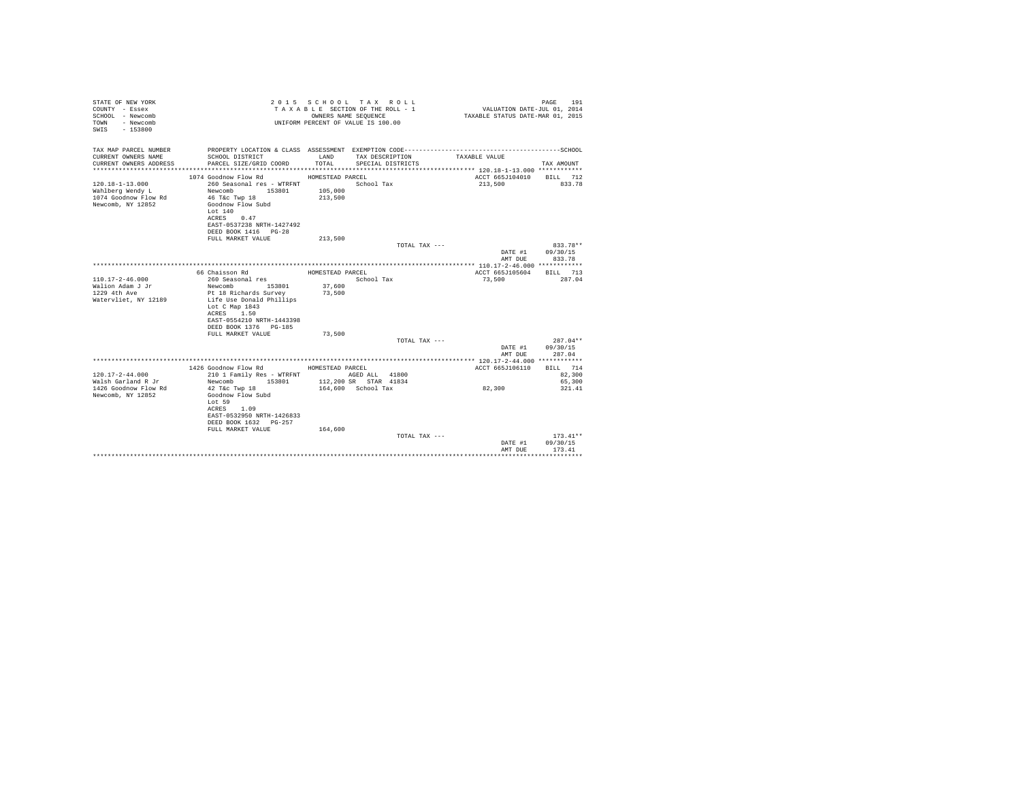| STATE OF NEW YORK<br>COUNTY - Essex<br>SCHOOL - Newcomb<br>- Newcomb<br>TOWN<br>SWIS - 153800 |                                                                                              |                  | 2015 SCHOOL TAX ROLL<br>TAXABLE SECTION OF THE ROLL - 1<br>OWNERS NAME SEQUENCE<br>UNIFORM PERCENT OF VALUE IS 100.00 |               | VALUATION DATE-JUL 01, $2014$<br>TAXABLE STATUS DATE-MAR 01, 2015 | 191<br>PAGE        |
|-----------------------------------------------------------------------------------------------|----------------------------------------------------------------------------------------------|------------------|-----------------------------------------------------------------------------------------------------------------------|---------------|-------------------------------------------------------------------|--------------------|
| TAX MAP PARCEL NUMBER                                                                         | PROPERTY LOCATION & CLASS ASSESSMENT EXEMPTION CODE-----------------------------------SCHOOL |                  |                                                                                                                       |               |                                                                   |                    |
| CURRENT OWNERS NAME<br>CURRENT OWNERS ADDRESS                                                 | SCHOOL DISTRICT<br>PARCEL SIZE/GRID COORD                                                    | LAND<br>TOTAL    | TAX DESCRIPTION<br>SPECIAL DISTRICTS                                                                                  |               | TAXABLE VALUE                                                     | TAX AMOUNT         |
|                                                                                               |                                                                                              |                  |                                                                                                                       |               |                                                                   |                    |
|                                                                                               | 1074 Goodnow Flow Rd                                                                         | HOMESTEAD PARCEL |                                                                                                                       |               | ACCT 665J104010                                                   | BILL 712           |
| $120.18 - 1 - 13.000$                                                                         | 260 Seasonal res - WTRFNT                                                                    |                  | School Tax                                                                                                            |               | 213,500                                                           | 833.78             |
| Wahlberg Wendy L                                                                              | Newcomb<br>153801                                                                            | 105,000          |                                                                                                                       |               |                                                                   |                    |
| 1074 Goodnow Flow Rd                                                                          | 46 T&C Twp 18                                                                                | 213,500          |                                                                                                                       |               |                                                                   |                    |
| Newcomb, NY 12852                                                                             | Goodnow Flow Subd                                                                            |                  |                                                                                                                       |               |                                                                   |                    |
|                                                                                               | Lot 140<br>ACRES<br>0.47                                                                     |                  |                                                                                                                       |               |                                                                   |                    |
|                                                                                               | EAST-0537238 NRTH-1427492                                                                    |                  |                                                                                                                       |               |                                                                   |                    |
|                                                                                               | DEED BOOK 1416 PG-28                                                                         |                  |                                                                                                                       |               |                                                                   |                    |
|                                                                                               | FULL MARKET VALUE                                                                            | 213,500          |                                                                                                                       |               |                                                                   |                    |
|                                                                                               |                                                                                              |                  |                                                                                                                       | TOTAL TAX --- |                                                                   | 833.78**           |
|                                                                                               |                                                                                              |                  |                                                                                                                       |               | DATE #1                                                           | 09/30/15           |
|                                                                                               |                                                                                              |                  |                                                                                                                       |               | AMT DUE                                                           | 833.78             |
|                                                                                               |                                                                                              |                  |                                                                                                                       |               |                                                                   |                    |
|                                                                                               | 66 Chaisson Rd                                                                               | HOMESTEAD PARCEL |                                                                                                                       |               | ACCT 665J105604                                                   | BILL 713           |
| $110.17 - 2 - 46.000$                                                                         | 260 Seasonal res                                                                             |                  | School Tax                                                                                                            |               | 73,500                                                            | 287.04             |
| Walion Adam J Jr<br>1229 4th Ave                                                              | 153801<br>Newcomb<br>Pt 18 Richards Survey                                                   | 37,600<br>73,500 |                                                                                                                       |               |                                                                   |                    |
| Watervliet, NY 12189                                                                          | Life Use Donald Phillips                                                                     |                  |                                                                                                                       |               |                                                                   |                    |
|                                                                                               | Lot C Map 1843                                                                               |                  |                                                                                                                       |               |                                                                   |                    |
|                                                                                               | ACRES 1.50                                                                                   |                  |                                                                                                                       |               |                                                                   |                    |
|                                                                                               | EAST-0554210 NRTH-1443398                                                                    |                  |                                                                                                                       |               |                                                                   |                    |
|                                                                                               | DEED BOOK 1376 PG-185                                                                        |                  |                                                                                                                       |               |                                                                   |                    |
|                                                                                               | FULL MARKET VALUE                                                                            | 73,500           |                                                                                                                       |               |                                                                   |                    |
|                                                                                               |                                                                                              |                  |                                                                                                                       | TOTAL TAX --- |                                                                   | $287.04**$         |
|                                                                                               |                                                                                              |                  |                                                                                                                       |               | DATE #1<br>AMT DUE                                                | 09/30/15<br>287.04 |
|                                                                                               |                                                                                              |                  |                                                                                                                       |               |                                                                   |                    |
|                                                                                               | 1426 Goodnow Flow Rd                                                                         | HOMESTEAD PARCEL |                                                                                                                       |               | ACCT 665J106110                                                   | BILL 714           |
| $120.17 - 2 - 44.000$                                                                         | 210 1 Family Res - WTRFNT                                                                    |                  | AGED ALL 41800                                                                                                        |               |                                                                   | 82,300             |
| Walsh Garland R Jr                                                                            | Newcomb<br>153801                                                                            |                  | 112,200 SR STAR 41834                                                                                                 |               |                                                                   | 65,300             |
| 1426 Goodnow Flow Rd                                                                          | 42 T&c Twp 18                                                                                |                  | 164.600 School Tax                                                                                                    |               | 82,300                                                            | 321.41             |
| Newcomb, NY 12852                                                                             | Goodnow Flow Subd                                                                            |                  |                                                                                                                       |               |                                                                   |                    |
|                                                                                               | Lot 59                                                                                       |                  |                                                                                                                       |               |                                                                   |                    |
|                                                                                               | ACRES 1.09<br>EAST-0532950 NRTH-1426833                                                      |                  |                                                                                                                       |               |                                                                   |                    |
|                                                                                               | DEED BOOK 1632 PG-257                                                                        |                  |                                                                                                                       |               |                                                                   |                    |
|                                                                                               | FULL MARKET VALUE                                                                            | 164,600          |                                                                                                                       |               |                                                                   |                    |
|                                                                                               |                                                                                              |                  |                                                                                                                       | TOTAL TAX --- |                                                                   | $173.41**$         |
|                                                                                               |                                                                                              |                  |                                                                                                                       |               | DATE #1                                                           | 09/30/15           |
|                                                                                               |                                                                                              |                  |                                                                                                                       |               | AMT DUE                                                           | 173.41             |
|                                                                                               |                                                                                              |                  |                                                                                                                       |               |                                                                   | **********         |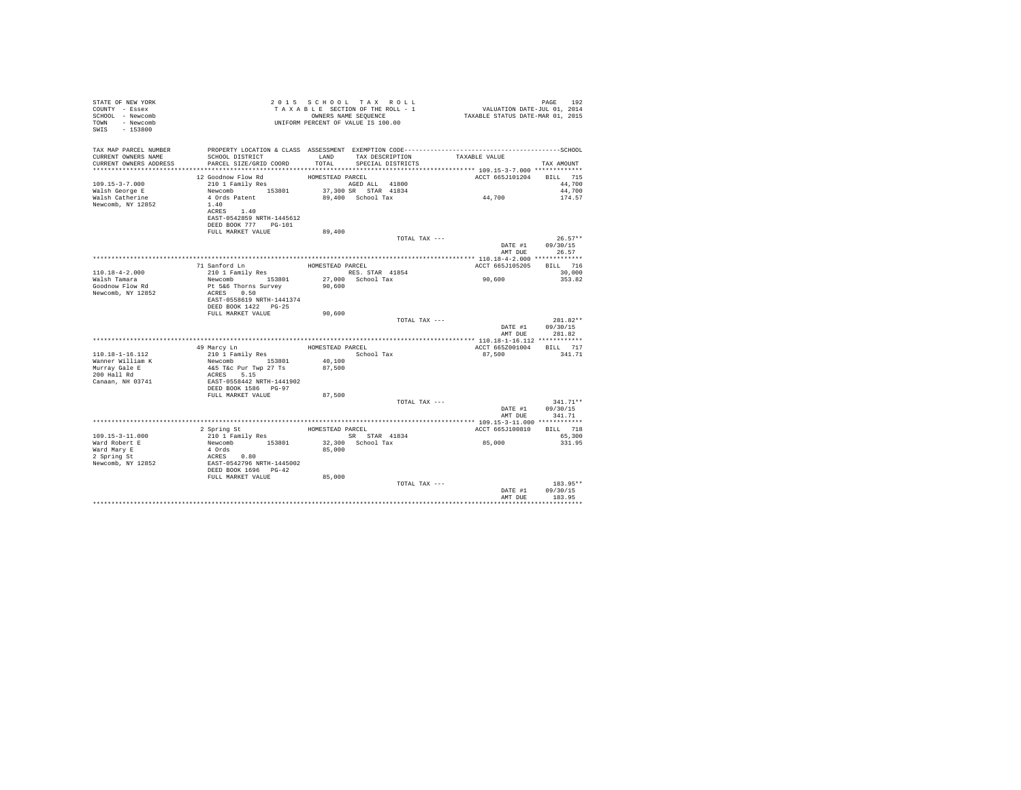| STATE OF NEW YORK<br>COUNTY - Essex<br>SCHOOL - Newcomb<br>TOWN - Newcomb<br>SWIS - 153800 | T A X A B L B LOC.<br>OWNERS NAME SEQUENCE<br>UNIFORM PERCENT OF VALUE IS 100.00                                                                                                                                                                                                                                                                                                                    |                  | TAXABLE SECTION OF THE ROLL - 1<br>OWNERS NAME SEQUENCE | PAGE 192<br>VALUATION DATE-JUL 01, 2014<br>TAXABLE STATUS DATE-MAR 01, 2015 |                           |
|--------------------------------------------------------------------------------------------|-----------------------------------------------------------------------------------------------------------------------------------------------------------------------------------------------------------------------------------------------------------------------------------------------------------------------------------------------------------------------------------------------------|------------------|---------------------------------------------------------|-----------------------------------------------------------------------------|---------------------------|
| TAX MAP PARCEL NUMBER                                                                      |                                                                                                                                                                                                                                                                                                                                                                                                     |                  |                                                         |                                                                             |                           |
| CURRENT OWNERS NAME<br>CURRENT OWNERS ADDRESS                                              | SCHOOL DISTRICT<br>PARCEL SIZE/GRID COORD                                                                                                                                                                                                                                                                                                                                                           | LAND<br>TOTAL    | TAX DESCRIPTION<br>SPECIAL DISTRICTS                    | TAXABLE VALUE                                                               | TAX AMOUNT                |
|                                                                                            |                                                                                                                                                                                                                                                                                                                                                                                                     |                  |                                                         |                                                                             |                           |
|                                                                                            | 12 Goodnow Flow Rd                                                                                                                                                                                                                                                                                                                                                                                  | HOMESTEAD PARCEL |                                                         | ACCT 665J101204 BILL 715                                                    |                           |
| $109.15 - 3 - 7.000$                                                                       | 210 1 Family Res                                                                                                                                                                                                                                                                                                                                                                                    |                  | AGED ALL 41800                                          |                                                                             | 44,700                    |
| Walsh George E                                                                             | Newcomb 153801<br>4 Ords Patent                                                                                                                                                                                                                                                                                                                                                                     |                  | 37,300 SR STAR 41834                                    | 44,700                                                                      | 44,700                    |
| Walsh Catherine                                                                            |                                                                                                                                                                                                                                                                                                                                                                                                     |                  | 89.400 School Tax                                       |                                                                             | 174.57                    |
| Newcomb, NY 12852                                                                          | 1.40<br>ACRES 1.40                                                                                                                                                                                                                                                                                                                                                                                  |                  |                                                         |                                                                             |                           |
|                                                                                            | EAST-0542859 NRTH-1445612                                                                                                                                                                                                                                                                                                                                                                           |                  |                                                         |                                                                             |                           |
|                                                                                            | DEED BOOK 777 PG-101                                                                                                                                                                                                                                                                                                                                                                                |                  |                                                         |                                                                             |                           |
|                                                                                            | FULL MARKET VALUE                                                                                                                                                                                                                                                                                                                                                                                   | 89,400           |                                                         |                                                                             |                           |
|                                                                                            |                                                                                                                                                                                                                                                                                                                                                                                                     |                  | TOTAL TAX ---                                           |                                                                             | $26.57**$                 |
|                                                                                            |                                                                                                                                                                                                                                                                                                                                                                                                     |                  |                                                         | AMT DUE                                                                     | DATE #1 09/30/15<br>26.57 |
|                                                                                            | 71 Sanford Ln                                                                                                                                                                                                                                                                                                                                                                                       | HOMESTEAD PARCEL |                                                         | ACCT 665J105205 BILL 716                                                    |                           |
| 110.18-4-2.000                                                                             | 210 1 Family Res                                                                                                                                                                                                                                                                                                                                                                                    |                  | RES. STAR 41854                                         |                                                                             | 30,000                    |
| Walsh Tamara                                                                               | Newcomb 153801                                                                                                                                                                                                                                                                                                                                                                                      |                  | 27,000 School Tax                                       | 90,600                                                                      | 353.82                    |
| Goodnow Flow Rd                                                                            | Pt 5&6 Thorns Survey 90,600<br>ACRES 0.50                                                                                                                                                                                                                                                                                                                                                           |                  |                                                         |                                                                             |                           |
| Newcomb, NY 12852                                                                          |                                                                                                                                                                                                                                                                                                                                                                                                     |                  |                                                         |                                                                             |                           |
|                                                                                            | EAST-0558619 NRTH-1441374<br>DEED BOOK 1422 PG-25                                                                                                                                                                                                                                                                                                                                                   |                  |                                                         |                                                                             |                           |
|                                                                                            | FULL MARKET VALUE                                                                                                                                                                                                                                                                                                                                                                                   | 90,600           |                                                         |                                                                             |                           |
|                                                                                            |                                                                                                                                                                                                                                                                                                                                                                                                     |                  | TOTAL TAX ---                                           |                                                                             | $281.82**$                |
|                                                                                            |                                                                                                                                                                                                                                                                                                                                                                                                     |                  |                                                         |                                                                             | DATE #1 09/30/15          |
|                                                                                            |                                                                                                                                                                                                                                                                                                                                                                                                     |                  |                                                         | AMT DUE                                                                     | 281.82                    |
|                                                                                            |                                                                                                                                                                                                                                                                                                                                                                                                     |                  |                                                         |                                                                             |                           |
| 110.18-1-16.112                                                                            | 49 Marcy Ln<br>210 1 Family Res                                                                                                                                                                                                                                                                                                                                                                     |                  | HOMESTEAD PARCEL<br>School Tax                          | ACCT 665Z001004 BILL 717<br>87.500                                          | 341.71                    |
|                                                                                            |                                                                                                                                                                                                                                                                                                                                                                                                     | 40,100           |                                                         |                                                                             |                           |
|                                                                                            |                                                                                                                                                                                                                                                                                                                                                                                                     |                  |                                                         |                                                                             |                           |
| Wanner William K<br>Murray Gale E<br>200 Hall Rd                                           | $\begin{tabular}{lllllllll} \multicolumn{2}{c}{\textbf{N-WWOMD}} & $\textbf{NS} & $\textbf{153801}$ & $\textbf{40,100}$ \\ 46.5 \text{ TeV PUT Wp 27 TS} & $\textbf{87,500}$ \\ 46.5 \text{ TEC PUT WTP 27 TS} & $\textbf{87,500}$ \\ \textbf{ACRES} & $\textbf{5.15}$ & $\textbf{5.15}$ \\ \textbf{RAPT - 0558442 NRTH - 1441902}$ & $\textbf{19.15} & $\textbf{19.15} & $\textbf{19.15} & $\text$ |                  |                                                         |                                                                             |                           |
| Canaan, NH 03741                                                                           |                                                                                                                                                                                                                                                                                                                                                                                                     |                  |                                                         |                                                                             |                           |
|                                                                                            | DEED BOOK 1586 PG-97                                                                                                                                                                                                                                                                                                                                                                                |                  |                                                         |                                                                             |                           |
|                                                                                            | FULL MARKET VALUE                                                                                                                                                                                                                                                                                                                                                                                   | 87,500           | TOTAL TAX ---                                           |                                                                             | $341.71**$                |
|                                                                                            |                                                                                                                                                                                                                                                                                                                                                                                                     |                  |                                                         |                                                                             | DATE #1 09/30/15          |
|                                                                                            |                                                                                                                                                                                                                                                                                                                                                                                                     |                  |                                                         |                                                                             | AMT DUE 341.71            |
|                                                                                            |                                                                                                                                                                                                                                                                                                                                                                                                     |                  |                                                         |                                                                             |                           |
|                                                                                            |                                                                                                                                                                                                                                                                                                                                                                                                     |                  |                                                         | ACCT 665J100810                                                             | BILL 718                  |
| 109.15-3-11.000                                                                            |                                                                                                                                                                                                                                                                                                                                                                                                     |                  |                                                         | 85,000                                                                      | 65,300<br>331.95          |
| Ward Robert E                                                                              |                                                                                                                                                                                                                                                                                                                                                                                                     |                  |                                                         |                                                                             |                           |
| Ward Mary E<br>2 Spring St                                                                 |                                                                                                                                                                                                                                                                                                                                                                                                     |                  |                                                         |                                                                             |                           |
| Newcomb, NY 12852                                                                          |                                                                                                                                                                                                                                                                                                                                                                                                     |                  |                                                         |                                                                             |                           |
|                                                                                            |                                                                                                                                                                                                                                                                                                                                                                                                     |                  |                                                         |                                                                             |                           |
|                                                                                            | FULL MARKET VALUE                                                                                                                                                                                                                                                                                                                                                                                   | 85,000           |                                                         |                                                                             | 183.95**                  |
|                                                                                            |                                                                                                                                                                                                                                                                                                                                                                                                     |                  | TOTAL TAX ---                                           |                                                                             | DATE #1 09/30/15          |
|                                                                                            |                                                                                                                                                                                                                                                                                                                                                                                                     |                  |                                                         | AMT DUE                                                                     | 183.95                    |
|                                                                                            |                                                                                                                                                                                                                                                                                                                                                                                                     |                  |                                                         |                                                                             |                           |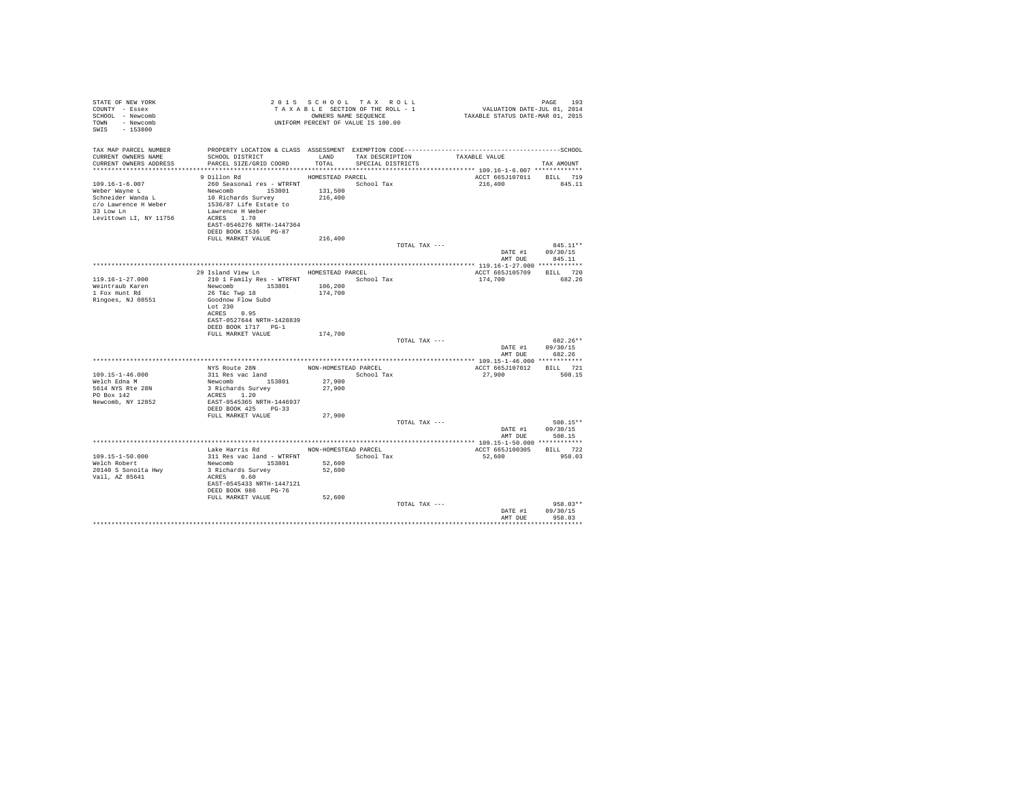| STATE OF NEW YORK<br>COUNTY - Essex<br>SCHOOL - Newcomb<br>TOWN - Newcomb<br>SWIS - 153800                                                                                                              |                                                                                                                                                                                                           |                            | 2015 SCHOOL TAX ROLL<br>TAXABLE SECTION OF THE ROLL - 1<br>OWNERS NAME SEOUENCE<br>UNIFORM PERCENT OF VALUE IS 100.00 |               | دو: PAGE<br>2014 VALUATION DATE-JUL<br>2015 TAXABLE STATUS DATE-MAR | PAGE<br>193                                    |
|---------------------------------------------------------------------------------------------------------------------------------------------------------------------------------------------------------|-----------------------------------------------------------------------------------------------------------------------------------------------------------------------------------------------------------|----------------------------|-----------------------------------------------------------------------------------------------------------------------|---------------|---------------------------------------------------------------------|------------------------------------------------|
| TAX MAP PARCEL NUMBER<br>CURRENT OWNERS NAME<br>CURRENT OWNERS ADDRESS PARCEL SIZE/GRID COORD TOTAL SPECIAL DISTRICTS                                                                                   | PROPERTY LOCATION & CLASS ASSESSMENT EXEMPTION CODE-----------------------------------SCHOOL<br>SCHOOL DISTRICT TAND TAX DESCRIPTION                                                                      |                            |                                                                                                                       |               | TAXABLE VALUE                                                       | TAX AMOUNT                                     |
|                                                                                                                                                                                                         | 9 Dillon Rd                                                                                                                                                                                               | HOMESTEAD PARCEL           |                                                                                                                       |               |                                                                     | ACCT 665J107011 BILL 719                       |
| 109.16-1-6.007<br>Weber Wayne L<br>wever wayne Land a Land Mexicom and the Schneider Wanda L<br>Schneider Wanda L<br>c/o Lawrence H Weber 1536/87 Life Estate to<br>33 Low Ln<br>Levittown LI, NY 11756 | 260 Seasonal res - WTRFNT 131,500 School Tax<br>Newcomb 153801 131,500<br>10 Richards Survey 216,400<br>Lawrence H Weber<br>ACRES 1.70<br>EAST-0546276 NRTH-1447364<br>DEED BOOK 1536 PG-87               |                            |                                                                                                                       |               | 216,400                                                             | 845.11                                         |
|                                                                                                                                                                                                         | FULL MARKET VALUE                                                                                                                                                                                         | 216,400                    |                                                                                                                       |               |                                                                     |                                                |
|                                                                                                                                                                                                         |                                                                                                                                                                                                           |                            |                                                                                                                       | TOTAL TAX --- | AMT DUE                                                             | 845.11**<br>DATE #1 09/30/15<br>845.11         |
|                                                                                                                                                                                                         |                                                                                                                                                                                                           |                            |                                                                                                                       |               |                                                                     |                                                |
|                                                                                                                                                                                                         | 29 Island View Ln HOMESTEAD PARCEL                                                                                                                                                                        |                            |                                                                                                                       |               |                                                                     | ACCT 665J105709 BILL 720                       |
| $119.16 - 1 - 27.000$<br>Weintraub Karen<br>1 Fox Hunt Rd<br>Ringoes, NJ 08551                                                                                                                          | 210 1 Family Res - WTRFNT<br>Newcomb 153801 106,200<br>26 T&c Twp 18 174,700<br>Goodnow Flow Subd<br>Lot 230<br>ACRES 0.95<br>EAST-0527644 NRTH-1428839<br>DEED BOOK 1717 PG-1<br>FULL MARKET VALUE       | 174,700                    | School Tax                                                                                                            |               |                                                                     | 174,700 682.26                                 |
|                                                                                                                                                                                                         |                                                                                                                                                                                                           |                            |                                                                                                                       | TOTAL TAX --- |                                                                     | 682.26**                                       |
|                                                                                                                                                                                                         |                                                                                                                                                                                                           |                            |                                                                                                                       |               |                                                                     | DATE #1 09/30/15<br>AMT DUE 682.26             |
|                                                                                                                                                                                                         |                                                                                                                                                                                                           |                            |                                                                                                                       |               |                                                                     | ACCT 665J107012 BILL 721                       |
| 109.15-1-46.000<br>Welch Edna M<br>5614 NYS Rte 28N<br>PO Box 142<br>Newcomb, NY 12852                                                                                                                  | Newcomb 153801<br>3 Richards Survey<br>ACRES 1.20<br>EAST-0545365 NRTH-1446937<br>DEED BOOK 425 PG-33                                                                                                     | 27,900<br>27,900           | School Tax                                                                                                            |               | 27,900                                                              | 508.15                                         |
|                                                                                                                                                                                                         | FULL MARKET VALUE                                                                                                                                                                                         | 27,900                     |                                                                                                                       |               |                                                                     |                                                |
|                                                                                                                                                                                                         |                                                                                                                                                                                                           |                            |                                                                                                                       | TOTAL TAX --- |                                                                     | 508.15**<br>DATE #1 09/30/15<br>AMT DUE 508.15 |
|                                                                                                                                                                                                         |                                                                                                                                                                                                           |                            |                                                                                                                       |               |                                                                     |                                                |
| 109.15-1-50.000<br>Welch Robert<br>20140 S Sonoita Hwy<br>Vail, AZ 85641                                                                                                                                | Lake Harris Rd MON-HOMESTEAD PARCEL<br>311 Res vac land - WTRFNT School Tax<br>Newcomb 153801<br>3 Richards Survey<br>ACRES 0.60<br>EAST-0545433 NRTH-1447121<br>DEED BOOK 986 PG-76<br>FULL MARKET VALUE | 52,600<br>52,600<br>52,600 |                                                                                                                       |               | 52,600                                                              | ACCT 665J100305 BILL 722<br>958.03             |
|                                                                                                                                                                                                         |                                                                                                                                                                                                           |                            |                                                                                                                       | TOTAL TAX --- | AMT DHR                                                             | $958.03**$<br>DATE #1<br>09/30/15<br>958.03    |
|                                                                                                                                                                                                         |                                                                                                                                                                                                           |                            |                                                                                                                       |               |                                                                     |                                                |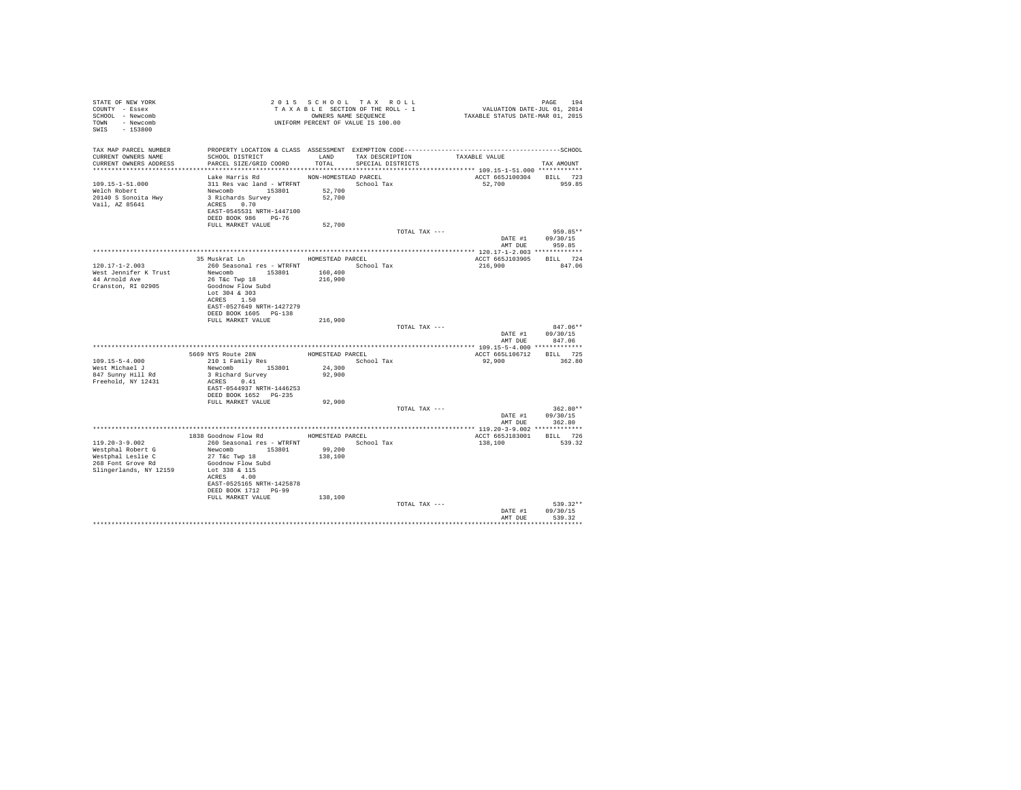| STATE OF NEW YORK<br>COUNTY - Essex<br>SCHOOL - Newcomb<br>TOWN - Newcomb<br>SWIS - 153800                    | T A X A B L L _ _ _ _ _ _ _ _ _ OWNERS NAME SEQUENCE<br>UNIFORM PERCENT OF VALUE IS 100.00                                                                                |                                          | 2015 SCHOOL TAX ROLL<br>TAXABLE SECTION OF THE ROLL - 1<br>OWNERS NAME SEQUENCE | PAGE 194<br>VALUATION DATE-JUL 01, 2014<br>TAXABLE STATUS DATE-MAR 01, 2015 |                                                  |
|---------------------------------------------------------------------------------------------------------------|---------------------------------------------------------------------------------------------------------------------------------------------------------------------------|------------------------------------------|---------------------------------------------------------------------------------|-----------------------------------------------------------------------------|--------------------------------------------------|
| TAX MAP PARCEL NUMBER<br>CURRENT OWNERS NAME<br>CURRENT OWNERS ADDRESS                                        | PROPERTY LOCATION & CLASS ASSESSMENT EXEMPTION CODE-----------------------------------SCHOOL<br>SCHOOL DISTRICT<br>PARCEL SIZE/GRID COORD                                 | LAND<br>TOTAL                            | TAX DESCRIPTION<br>SPECIAL DISTRICTS                                            | TAXABLE VALUE                                                               | TAX AMOUNT                                       |
| 109.15-1-51.000<br>Welch Robert<br>20140 S Sonoita Hwy<br>Vail, AZ 85641                                      | Lake Harris Rd<br>311 Res vac land - WTRFNT School Tax<br>Newcomb 153801<br>3 Richards Survey<br>ACRES 0.70<br>EAST-0545531 NRTH-1447100<br>DEED BOOK 986 PG-76           | NON-HOMESTEAD PARCEL<br>52,700<br>52,700 |                                                                                 | ACCT 665J100304<br>52,700                                                   | BILL 723<br>959.85                               |
|                                                                                                               | FULL MARKET VALUE                                                                                                                                                         | 52,700                                   |                                                                                 |                                                                             |                                                  |
|                                                                                                               |                                                                                                                                                                           |                                          | TOTAL TAX ---                                                                   | DATE #1 09/30/15                                                            | 959.85**<br>AMT DUE 959.85                       |
|                                                                                                               |                                                                                                                                                                           |                                          |                                                                                 |                                                                             |                                                  |
| $120.17 - 1 - 2.003$<br>West Jennifer K Trust                                                                 | 35 Muskrat Ln<br>260 Seasonal res - WTRFNT School Tax<br>Newcomb 153801                                                                                                   | HOMESTEAD PARCEL<br>160,400              |                                                                                 | ACCT 665J103905 BILL 724<br>216,900                                         | 847.06                                           |
| 44 Arnold Ave<br>Cranston, RI 02905                                                                           | 26 T&c Twp 18<br>Goodnow Flow Subd<br>Lot 304 & 303<br>ACRES 1.50<br>EAST-0527649 NRTH-1427279<br>DEED BOOK 1605 PG-138<br>FULL MARKET VALUE                              | 216,900<br>216,900                       |                                                                                 |                                                                             |                                                  |
|                                                                                                               |                                                                                                                                                                           |                                          | TOTAL TAX ---                                                                   |                                                                             | 847.06**<br>DATE #1 09/30/15<br>AMT DUE 847.06   |
|                                                                                                               |                                                                                                                                                                           |                                          |                                                                                 |                                                                             |                                                  |
| $109.15 - 5 - 4.000$<br>West Michael J<br>847 Sunny Hill Rd<br>Freehold, NY 12431                             | 5669 NYS Route 28N<br>210 1 Family Res<br>Newcomb 153801<br>3 Richard Survey<br>ACRES 0.41                                                                                | HOMESTEAD PARCEL<br>24,300<br>92,900     | School Tax                                                                      | ACCT 665L106712 BILL 725<br>92,900                                          | 362.80                                           |
|                                                                                                               | EAST-0544937 NRTH-1446253<br>DEED BOOK 1652    PG-235<br>FULL MARKET VALUE                                                                                                | 92,900                                   |                                                                                 |                                                                             |                                                  |
|                                                                                                               |                                                                                                                                                                           |                                          | TOTAL TAX ---                                                                   |                                                                             | $362.80**$<br>DATE #1 09/30/15<br>AMT DUE 362.80 |
|                                                                                                               |                                                                                                                                                                           |                                          |                                                                                 |                                                                             |                                                  |
|                                                                                                               | 1838 Goodnow Flow Rd MOMESTEAD PARCEL                                                                                                                                     |                                          |                                                                                 | ACCT 665J183001                                                             | BILL 726                                         |
| $119.20 - 3 - 9.002$<br>Westphal Robert G<br>Westphal Leslie C<br>268 Font Grove Rd<br>Slingerlands, NY 12159 | 260 Seasonal res - WTRFNT<br>Newcomb 153801<br>$27$ T&c Twp $18$<br>Goodnow Flow Subd<br>Lot 338 & 115<br>ACRES 4.00<br>EAST-0525165 NRTH-1425878<br>DEED BOOK 1712 PG-99 | 99,200<br>138,100                        | School Tax                                                                      | 138,100                                                                     | 539.32                                           |
|                                                                                                               | FULL MARKET VALUE                                                                                                                                                         | 138,100                                  |                                                                                 |                                                                             |                                                  |
|                                                                                                               |                                                                                                                                                                           |                                          | TOTAL TAX ---                                                                   | DATE #1<br>AMT DUE                                                          | 539.32**<br>09/30/15<br>539.32                   |
|                                                                                                               |                                                                                                                                                                           |                                          |                                                                                 |                                                                             |                                                  |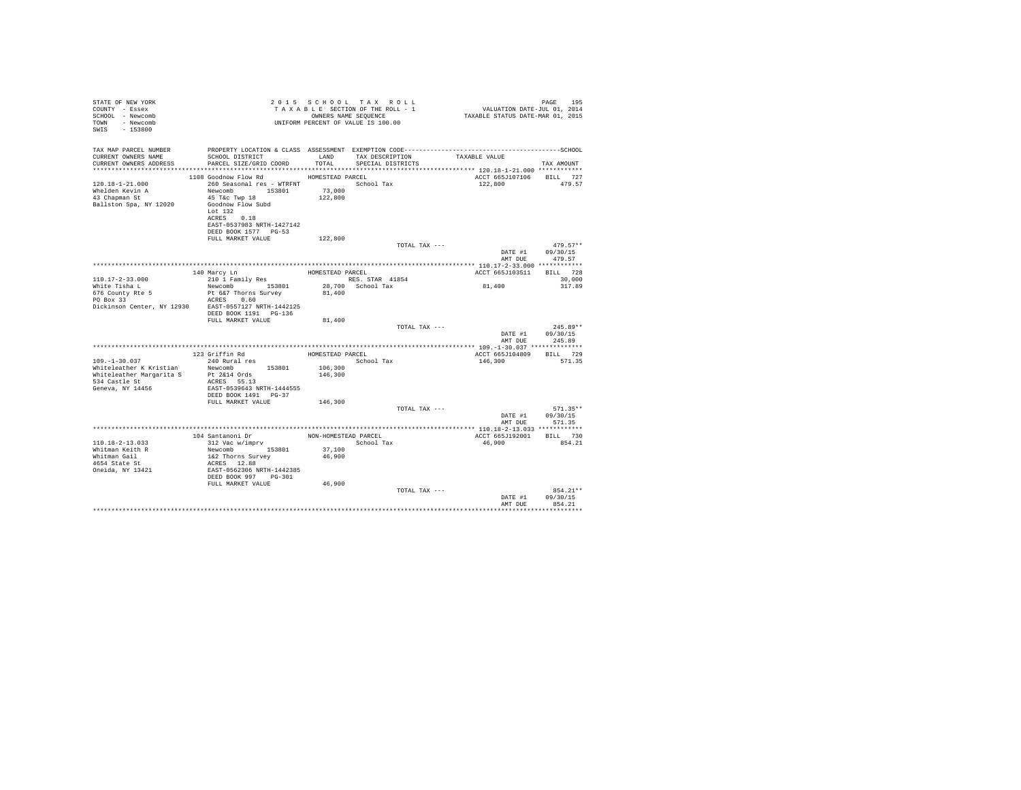| STATE OF NEW YORK<br>COUNTY - Essex<br>SCHOOL - Newcomb<br>TOWN - Newcomb<br>SWIS - 153800 |                                                                                                                                                                                                                        |                  | 2015 SCHOOL TAX ROLL<br>PAGE 195 2015 CHOOL TAX ROLL (2015 CHOOL 195 2015 2016 PAGE 195 2014 2016 2016 2016 2016 2016 2016 2016 2017 20<br>TAXABLE SECTION OF THE ROLL - 1 (2015 2016 2016 2016 2016 2016 2016 2017 2015 2017 2018 2017 2018 2017 2017 20<br>UNIFORM PERCENT OF VALUE IS 100.00 |                          | PAGE<br>195                              |
|--------------------------------------------------------------------------------------------|------------------------------------------------------------------------------------------------------------------------------------------------------------------------------------------------------------------------|------------------|-------------------------------------------------------------------------------------------------------------------------------------------------------------------------------------------------------------------------------------------------------------------------------------------------|--------------------------|------------------------------------------|
| TAX MAP PARCEL NUMBER<br>CURRENT OWNERS NAME<br>CURRENT OWNERS ADDRESS                     | SCHOOL DISTRICT<br>PARCEL SIZE/GRID COORD                                                                                                                                                                              | LAND<br>TOTAL    | TAX DESCRIPTION<br>SPECIAL DISTRICTS                                                                                                                                                                                                                                                            | TAXABLE VALUE            | TAX AMOUNT                               |
|                                                                                            | 1108 Goodnow Flow Rd                                                                                                                                                                                                   | HOMESTEAD PARCEL |                                                                                                                                                                                                                                                                                                 | ACCT 665J107106 BILL 727 |                                          |
| $120.18 - 1 - 21.000$<br>Whelden Kevin A<br>43 Chapman St<br>Ballston Spa. NY 12020        | 260 Seasonal res - WTRFNT<br>${\tt Newcomb} \qquad \qquad {\tt 153801} \qquad \qquad {\tt 73,000}$<br>45 T&C Twp 18<br>Goodnow Flow Subd<br>Lot 132<br>ACRES 0.18<br>EAST-0537983 NRTH-1427142<br>DEED BOOK 1577 PG-53 | 122,800          | School Tax                                                                                                                                                                                                                                                                                      | 122,800                  | 479.57                                   |
|                                                                                            | FULL MARKET VALUE                                                                                                                                                                                                      | 122,800          |                                                                                                                                                                                                                                                                                                 |                          |                                          |
|                                                                                            |                                                                                                                                                                                                                        |                  | TOTAL TAX ---                                                                                                                                                                                                                                                                                   | DATE #1<br>AMT DUE       | $479.57**$<br>09/30/15<br>479.57         |
|                                                                                            |                                                                                                                                                                                                                        |                  |                                                                                                                                                                                                                                                                                                 |                          |                                          |
|                                                                                            | 140 Marcy Ln                                                                                                                                                                                                           |                  | HOMESTEAD PARCEL                                                                                                                                                                                                                                                                                | ACCT 665J103511 BILL 728 |                                          |
| $110.17 - 2 - 33.000$<br>White Tisha L                                                     | 210 1 Family Res<br>Newcomb 153801 28,700 School Tax                                                                                                                                                                   |                  | RES. STAR 41854                                                                                                                                                                                                                                                                                 | 81,400                   | 30,000<br>317.89                         |
| 676 County Rte 5<br>PO Box 33                                                              | Pt 6&7 Thorns Survey<br>ACRES 0.60<br>Dickinson Center, NY 12930 EAST-0557127 NRTH-1442125                                                                                                                             | 81,400           |                                                                                                                                                                                                                                                                                                 |                          |                                          |
|                                                                                            | DEED BOOK 1191    PG-136<br>FULL MARKET VALUE                                                                                                                                                                          | 81,400           |                                                                                                                                                                                                                                                                                                 |                          |                                          |
|                                                                                            |                                                                                                                                                                                                                        |                  | TOTAL TAX ---                                                                                                                                                                                                                                                                                   |                          | $245.89**$                               |
|                                                                                            |                                                                                                                                                                                                                        |                  |                                                                                                                                                                                                                                                                                                 |                          | DATE #1 09/30/15<br>AMT DUE 245.89       |
|                                                                                            |                                                                                                                                                                                                                        |                  |                                                                                                                                                                                                                                                                                                 |                          |                                          |
|                                                                                            |                                                                                                                                                                                                                        |                  | HOMESTEAD PARCEL                                                                                                                                                                                                                                                                                | ACCT 665J104809 BILL 729 |                                          |
| $109. - 1 - 30.037$<br>Whiteleather K Kristian                                             | 240 Rural res<br>Newcomb 153801                                                                                                                                                                                        | 106,300          | School Tax                                                                                                                                                                                                                                                                                      | 146,300                  | 571.35                                   |
| 534 Castle St<br>Geneva, NY 14456                                                          | Whiteleather Margarita S Pt 2&14 Ords<br>ACRES 55.13<br>EAST-0539643 NRTH-1444555<br>DEED BOOK 1491 PG-37                                                                                                              | 146,300          |                                                                                                                                                                                                                                                                                                 |                          |                                          |
|                                                                                            | FULL MARKET VALUE                                                                                                                                                                                                      | 146,300          |                                                                                                                                                                                                                                                                                                 |                          |                                          |
|                                                                                            |                                                                                                                                                                                                                        |                  | TOTAL TAX ---                                                                                                                                                                                                                                                                                   | DATE #1                  | $571.35**$<br>09/30/15<br>AMT DUE 571.35 |
|                                                                                            |                                                                                                                                                                                                                        |                  |                                                                                                                                                                                                                                                                                                 |                          |                                          |
|                                                                                            | 104 Santanoni Dr MON-HOMESTEAD PARCEL                                                                                                                                                                                  |                  |                                                                                                                                                                                                                                                                                                 | ACCT 665J192001 BILL 730 |                                          |
| $110.18 - 2 - 13.033$<br>Whitman Keith R                                                   | 312 Vac w/imprv<br>Newcomb 153801                                                                                                                                                                                      | 37,100           | School Tax                                                                                                                                                                                                                                                                                      | 46,900                   | 854.21                                   |
| Whitman Gail                                                                               | 1&2 Thorns Survey                                                                                                                                                                                                      | 46,900           |                                                                                                                                                                                                                                                                                                 |                          |                                          |
| 4654 State St                                                                              | ACRES 12.88                                                                                                                                                                                                            |                  |                                                                                                                                                                                                                                                                                                 |                          |                                          |
| Oneida, NY 13421                                                                           | EAST-0562306 NRTH-1442385<br>DEED BOOK 997 PG-301                                                                                                                                                                      |                  |                                                                                                                                                                                                                                                                                                 |                          |                                          |
|                                                                                            | FULL MARKET VALUE                                                                                                                                                                                                      | 46,900           |                                                                                                                                                                                                                                                                                                 |                          |                                          |
|                                                                                            |                                                                                                                                                                                                                        |                  | TOTAL TAX ---                                                                                                                                                                                                                                                                                   | AMT DUE                  | 854.21**<br>DATE #1 09/30/15<br>854.21   |
|                                                                                            |                                                                                                                                                                                                                        |                  |                                                                                                                                                                                                                                                                                                 |                          |                                          |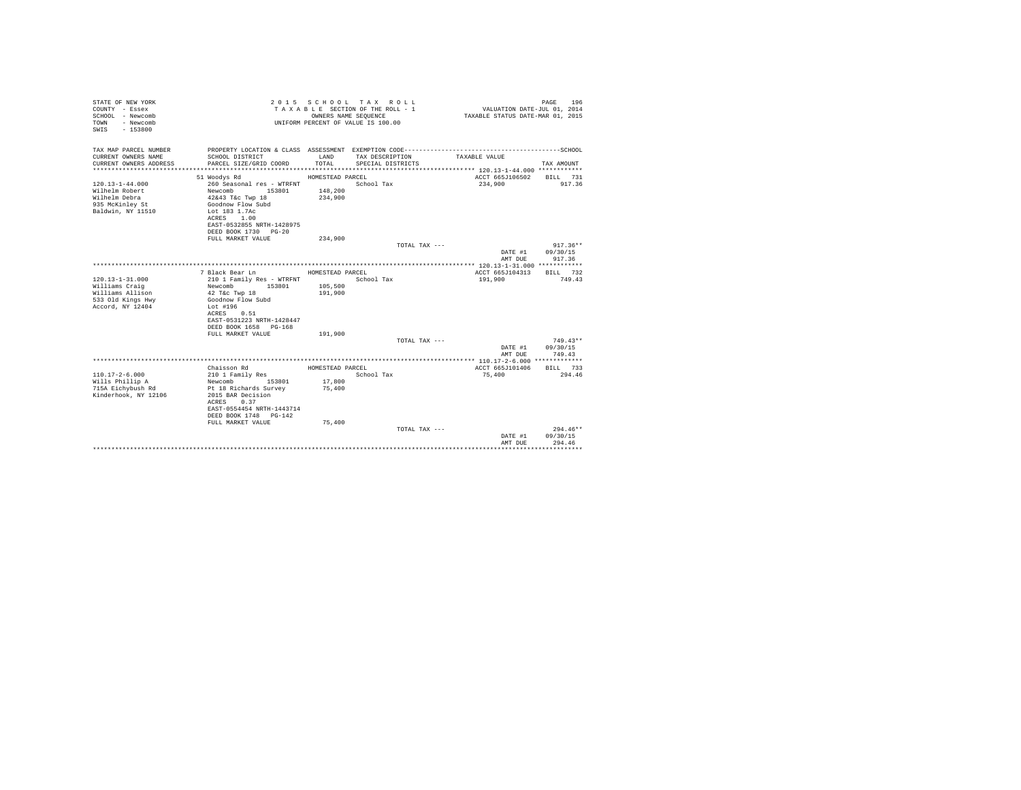| STATE OF NEW YORK<br>COUNTY - Essex<br>SCHOOL - Newcomb<br>- Newcomb<br>TOWN<br>$-153800$<br>SWIS |                                                    |                  | 2015 SCHOOL TAX ROLL<br>TAXABLE SECTION OF THE ROLL - 1<br>OWNERS NAME SEQUENCE<br>UNIFORM PERCENT OF VALUE IS 100.00 | VALUATION DATE-JUL 01, 2014<br>TAXABLE STATUS DATE-MAR 01, 2015 | PAGE<br>196            |
|---------------------------------------------------------------------------------------------------|----------------------------------------------------|------------------|-----------------------------------------------------------------------------------------------------------------------|-----------------------------------------------------------------|------------------------|
| TAX MAP PARCEL NUMBER<br>CURRENT OWNERS NAME                                                      |                                                    | LAND             | TAX DESCRIPTION                                                                                                       | TAXABLE VALUE                                                   |                        |
| CURRENT OWNERS ADDRESS                                                                            | SCHOOL DISTRICT<br>PARCEL SIZE/GRID COORD          | TOTAL.           | SPECIAL DISTRICTS                                                                                                     |                                                                 | TAX AMOUNT             |
|                                                                                                   |                                                    |                  |                                                                                                                       |                                                                 |                        |
|                                                                                                   | 51 Woodys Rd                                       | HOMESTEAD PARCEL |                                                                                                                       | ACCT 665J106502 BILL 731                                        |                        |
| $120.13 - 1 - 44.000$                                                                             | 260 Seasonal res - WTRFNT                          |                  | School Tax                                                                                                            | 234,900                                                         | 917.36                 |
| Wilhelm Robert                                                                                    | Newcomb 153801                                     | 148,200          |                                                                                                                       |                                                                 |                        |
| Wilhelm Debra                                                                                     | $42\&43$ T&c Twp $18$                              | 234,900          |                                                                                                                       |                                                                 |                        |
| 935 McKinley St                                                                                   | Goodnow Flow Subd                                  |                  |                                                                                                                       |                                                                 |                        |
| Baldwin, NY 11510                                                                                 | Lot 183 1.7Ac<br>ACRES 1.00                        |                  |                                                                                                                       |                                                                 |                        |
|                                                                                                   | EAST-0532855 NRTH-1428975                          |                  |                                                                                                                       |                                                                 |                        |
|                                                                                                   | DEED BOOK 1730 PG-20                               |                  |                                                                                                                       |                                                                 |                        |
|                                                                                                   | FULL MARKET VALUE                                  | 234,900          |                                                                                                                       |                                                                 |                        |
|                                                                                                   |                                                    |                  | TOTAL TAX ---                                                                                                         |                                                                 | $917.36**$             |
|                                                                                                   |                                                    |                  |                                                                                                                       | DATE #1                                                         | 09/30/15               |
|                                                                                                   |                                                    |                  |                                                                                                                       | AMT DUE                                                         | 917.36                 |
|                                                                                                   | 7 Black Bear Ln                                    | HOMESTEAD PARCEL |                                                                                                                       | ACCT 665J104313                                                 | BILL 732               |
| $120.13 - 1 - 31.000$                                                                             | 210 1 Family Res - WTRFNT                          |                  | School Tax                                                                                                            | 191,900                                                         | 749.43                 |
| Williams Craig                                                                                    | 153801<br>Newcomb                                  | 105,500          |                                                                                                                       |                                                                 |                        |
| Williams Allison                                                                                  | 42 T&c Twp 18                                      | 191,900          |                                                                                                                       |                                                                 |                        |
| 533 Old Kings Hwy                                                                                 | Goodnow Flow Subd                                  |                  |                                                                                                                       |                                                                 |                        |
| Accord, NY 12404                                                                                  | Lot #196                                           |                  |                                                                                                                       |                                                                 |                        |
|                                                                                                   | ACRES 0.51                                         |                  |                                                                                                                       |                                                                 |                        |
|                                                                                                   | EAST-0531223 NRTH-1428447<br>DEED BOOK 1658 PG-168 |                  |                                                                                                                       |                                                                 |                        |
|                                                                                                   | FULL MARKET VALUE                                  | 191,900          |                                                                                                                       |                                                                 |                        |
|                                                                                                   |                                                    |                  | TOTAL TAX ---                                                                                                         |                                                                 | $749.43**$             |
|                                                                                                   |                                                    |                  |                                                                                                                       |                                                                 | DATE #1 09/30/15       |
|                                                                                                   |                                                    |                  |                                                                                                                       | AMT DUE                                                         | 749.43                 |
|                                                                                                   |                                                    |                  |                                                                                                                       |                                                                 |                        |
|                                                                                                   | Chaisson Rd                                        | HOMESTEAD PARCEL |                                                                                                                       | ACCT 665J101406                                                 | BILL 733               |
| $110.17 - 2 - 6.000$<br>Wills Phillip A                                                           | 210 1 Family Res<br>Newcomb 153801                 | 17,800           | School Tax                                                                                                            | 75,400                                                          | 294.46                 |
| 715A Eichybush Rd                                                                                 | Pt 18 Richards Survey                              | 75,400           |                                                                                                                       |                                                                 |                        |
| Kinderhook, NY 12106                                                                              | 2015 BAR Decision                                  |                  |                                                                                                                       |                                                                 |                        |
|                                                                                                   | ACRES 0.37                                         |                  |                                                                                                                       |                                                                 |                        |
|                                                                                                   | EAST-0554454 NRTH-1443714                          |                  |                                                                                                                       |                                                                 |                        |
|                                                                                                   | DEED BOOK 1748 PG-142                              |                  |                                                                                                                       |                                                                 |                        |
|                                                                                                   | FULL MARKET VALUE                                  | 75,400           |                                                                                                                       |                                                                 |                        |
|                                                                                                   |                                                    |                  | TOTAL TAX $---$                                                                                                       |                                                                 | $294.46**$<br>09/30/15 |
|                                                                                                   |                                                    |                  |                                                                                                                       | DATE #1<br>AMT DUR                                              | 294.46                 |
|                                                                                                   |                                                    |                  |                                                                                                                       |                                                                 | ************           |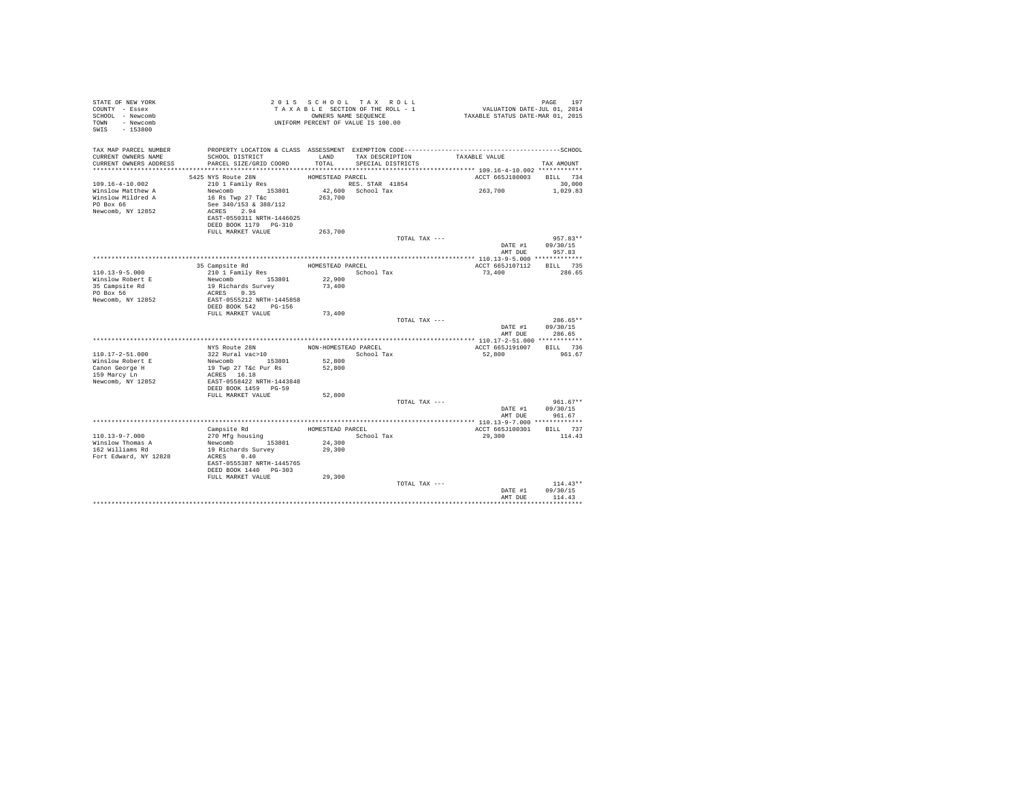| STATE OF NEW YORK<br>COUNTY - Essex<br>SCHOOL - Newcomb<br>TOWN<br>- Newcomb<br>SWIS<br>$-153800$ |                                           |                      | 2015 SCHOOL TAX ROLL<br>TAXABLE SECTION OF THE ROLL - 1<br>OWNERS NAME SEQUENCE<br>UNIFORM PERCENT OF VALUE IS 100.00 | VALUATION DATE-JUL 01, 2014<br>TAXABLE STATUS DATE-MAR 01, 2015 | PAGE<br>197            |
|---------------------------------------------------------------------------------------------------|-------------------------------------------|----------------------|-----------------------------------------------------------------------------------------------------------------------|-----------------------------------------------------------------|------------------------|
| TAX MAP PARCEL NUMBER<br>CURRENT OWNERS NAME<br>CURRENT OWNERS ADDRESS                            | SCHOOL DISTRICT<br>PARCEL SIZE/GRID COORD | LAND<br>TOTAL        | TAX DESCRIPTION<br>SPECIAL DISTRICTS                                                                                  | TAXABLE VALUE                                                   | TAX AMOUNT             |
|                                                                                                   |                                           |                      |                                                                                                                       |                                                                 |                        |
|                                                                                                   | 5425 NYS Route 28N                        | HOMESTEAD PARCEL     |                                                                                                                       | ACCT 665J180003                                                 | BILL 734               |
| $109.16 - 4 - 10.002$                                                                             | 210 1 Family Res                          |                      | RES. STAR 41854                                                                                                       |                                                                 | 30,000                 |
| Winslow Matthew A                                                                                 | Newcomb 153801                            |                      | 42,600 School Tax                                                                                                     | 263,700                                                         | 1,029.83               |
| Winslow Mildred A<br>PO Box 66                                                                    | 16 Rs Twp 27 T&c<br>See 340/153 & 388/112 | 263,700              |                                                                                                                       |                                                                 |                        |
| Newcomb, NY 12852                                                                                 | ACRES 2.94                                |                      |                                                                                                                       |                                                                 |                        |
|                                                                                                   | EAST-0550311 NRTH-1446025                 |                      |                                                                                                                       |                                                                 |                        |
|                                                                                                   | DEED BOOK 1179 PG-310                     |                      |                                                                                                                       |                                                                 |                        |
|                                                                                                   | FULL MARKET VALUE                         | 263,700              |                                                                                                                       |                                                                 |                        |
|                                                                                                   |                                           |                      | TOTAL TAX ---                                                                                                         |                                                                 | 957.83**               |
|                                                                                                   |                                           |                      |                                                                                                                       | DATE #1                                                         | 09/30/15               |
|                                                                                                   |                                           |                      |                                                                                                                       | AMT DUE                                                         | 957.83                 |
|                                                                                                   | 35 Campsite Rd                            | HOMESTEAD PARCEL     |                                                                                                                       | ACCT 665J107112                                                 | BILL 735               |
| $110.13 - 9 - 5.000$                                                                              | 210 1 Family Res                          |                      | School Tax                                                                                                            | 73,400                                                          | 286.65                 |
| Winslow Robert E                                                                                  | Newcomb 153801                            | 22,900               |                                                                                                                       |                                                                 |                        |
| 35 Campsite Rd                                                                                    | 19 Richards Survey                        | 73,400               |                                                                                                                       |                                                                 |                        |
| PO Box 56                                                                                         | ACRES 0.35                                |                      |                                                                                                                       |                                                                 |                        |
| Newcomb, NY 12852                                                                                 | EAST-0555212 NRTH-1445858                 |                      |                                                                                                                       |                                                                 |                        |
|                                                                                                   | DEED BOOK 542 PG-156<br>FULL MARKET VALUE | 73,400               |                                                                                                                       |                                                                 |                        |
|                                                                                                   |                                           |                      | TOTAL TAX ---                                                                                                         |                                                                 | 286.65**               |
|                                                                                                   |                                           |                      |                                                                                                                       | DATE #1                                                         | 09/30/15               |
|                                                                                                   |                                           |                      |                                                                                                                       | AMT DUE                                                         | 286.65                 |
|                                                                                                   |                                           |                      |                                                                                                                       |                                                                 |                        |
|                                                                                                   | NYS Route 28N                             | NON-HOMESTEAD PARCEL |                                                                                                                       | ACCT 665J191007                                                 | BILL 736               |
| $110.17 - 2 - 51.000$<br>Winslow Robert E                                                         | 322 Rural vac>10<br>Newcomb 153801        | 52,800               | School Tax                                                                                                            | 52,800                                                          | 961.67                 |
| Canon George H                                                                                    | 19 Twp 27 T&c Pur Rs                      | 52,800               |                                                                                                                       |                                                                 |                        |
| 159 Marcy Ln                                                                                      | ACRES 16.18                               |                      |                                                                                                                       |                                                                 |                        |
| Newcomb, NY 12852                                                                                 | EAST-0558422 NRTH-1443848                 |                      |                                                                                                                       |                                                                 |                        |
|                                                                                                   | DEED BOOK 1459 PG-59                      |                      |                                                                                                                       |                                                                 |                        |
|                                                                                                   | FULL MARKET VALUE                         | 52,800               |                                                                                                                       |                                                                 |                        |
|                                                                                                   |                                           |                      | TOTAL TAX ---                                                                                                         |                                                                 | $961.67**$             |
|                                                                                                   |                                           |                      |                                                                                                                       | DATE #1<br>AMT DUE                                              | 09/30/15<br>961.67     |
|                                                                                                   |                                           |                      |                                                                                                                       |                                                                 |                        |
|                                                                                                   | Campsite Rd                               | HOMESTEAD PARCEL     |                                                                                                                       | ACCT 665J100301                                                 | BILL 737               |
| 110.13-9-7.000                                                                                    | 270 Mfg housing                           |                      | School Tax                                                                                                            | 29,300                                                          | 114.43                 |
| Winslow Thomas A                                                                                  | Newcomb 153801                            | 24,300               |                                                                                                                       |                                                                 |                        |
| 162 Williams Rd                                                                                   | 19 Richards Survey                        | 29,300               |                                                                                                                       |                                                                 |                        |
| Fort Edward, NY 12828                                                                             | ACRES 0.40                                |                      |                                                                                                                       |                                                                 |                        |
|                                                                                                   | EAST-0555387 NRTH-1445765                 |                      |                                                                                                                       |                                                                 |                        |
|                                                                                                   | DEED BOOK 1440 PG-303                     |                      |                                                                                                                       |                                                                 |                        |
|                                                                                                   | FULL MARKET VALUE                         | 29,300               |                                                                                                                       |                                                                 |                        |
|                                                                                                   |                                           |                      | TOTAL TAX ---                                                                                                         | DATE #1                                                         | $114.43**$<br>09/30/15 |
|                                                                                                   |                                           |                      |                                                                                                                       | AMT DUE                                                         | 114.43                 |
|                                                                                                   |                                           |                      |                                                                                                                       |                                                                 |                        |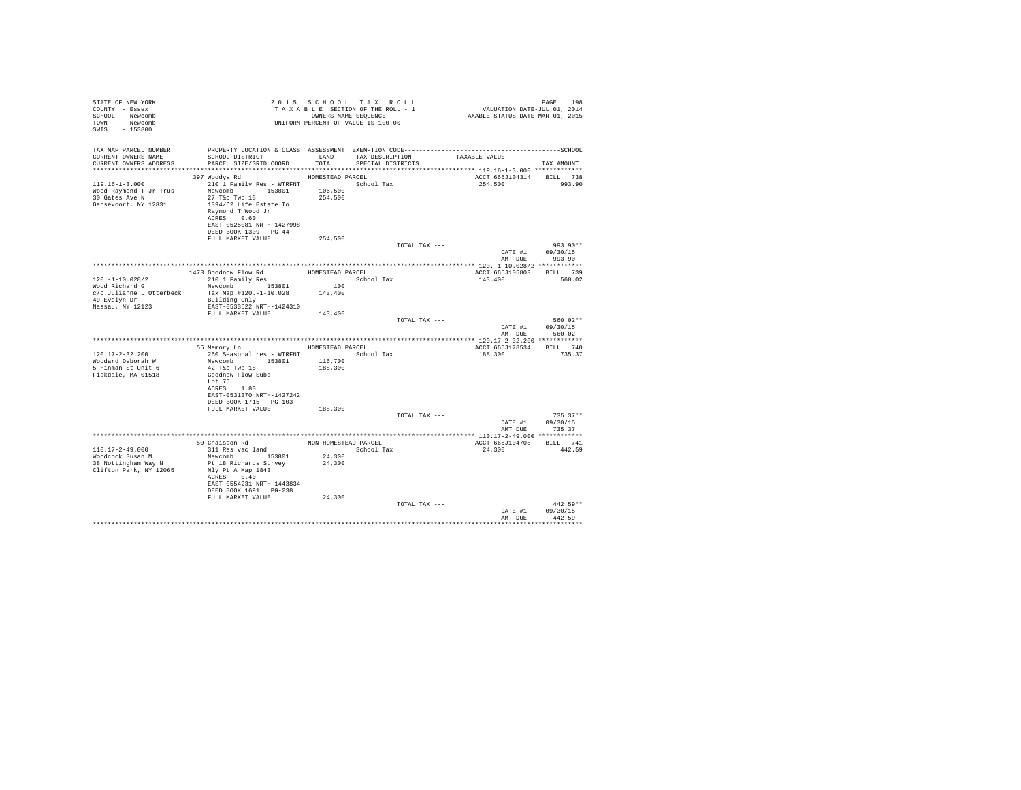| STATE OF NEW YORK<br>COUNTY - Essex<br>SCHOOL - Newcomb<br>- Newcomb<br><b>TOMN</b><br>SWIS<br>$-153800$ |                                                                                                                                                                                    |                                          | 2015 SCHOOL TAX ROLL<br>TAXABLE SECTION OF THE ROLL - 1<br>OWNERS NAME SEOUENCE<br>UNIFORM PERCENT OF VALUE IS 100.00 | PAGE 198<br>VALUATION DATE-JUL 01, 2014<br>TAXABLE STATUS DATE-MAR 01, 2015 |                                  |
|----------------------------------------------------------------------------------------------------------|------------------------------------------------------------------------------------------------------------------------------------------------------------------------------------|------------------------------------------|-----------------------------------------------------------------------------------------------------------------------|-----------------------------------------------------------------------------|----------------------------------|
| TAX MAP PARCEL NUMBER<br>CURRENT OWNERS NAME<br>CURRENT OWNERS ADDRESS                                   | SCHOOL DISTRICT LAND<br>PARCEL SIZE/GRID COORD TOTAL SPECIAL DISTRICTS                                                                                                             |                                          | TAX DESCRIPTION                                                                                                       | TAXABLE VALUE                                                               | TAX AMOUNT                       |
|                                                                                                          | 397 Woodys Rd                                                                                                                                                                      | HOMESTEAD PARCEL                         |                                                                                                                       | ACCT 665J104314 BILL 738                                                    |                                  |
| $119.16 - 1 - 3.000$<br>Wood Raymond T Jr Trus<br>30 Gates Ave N<br>Gansevoort, NY 12831                 | 210 1 Family Res - WTRFNT<br>Newcomb 153801<br>$27$ T&C Twp $18$<br>1394/62 Life Estate To<br>Raymond T Wood Jr<br>ACRES 0.60<br>EAST-0525081 NRTH-1427998<br>DEED BOOK 1309 PG-44 | 106,500<br>254,500                       | School Tax                                                                                                            | 254,500                                                                     | 993.90                           |
|                                                                                                          | FULL MARKET VALUE                                                                                                                                                                  | 254,500                                  |                                                                                                                       |                                                                             |                                  |
|                                                                                                          |                                                                                                                                                                                    |                                          | TOTAL TAX ---                                                                                                         | DATE #1<br>AMT DUE                                                          | 993.90**<br>09/30/15<br>993.90   |
|                                                                                                          |                                                                                                                                                                                    |                                          |                                                                                                                       |                                                                             |                                  |
| $120. - 1 - 10.028/2$                                                                                    | 1473 Goodnow Flow Rd<br>210 1 Family Res                                                                                                                                           | HOMESTEAD PARCEL                         | School Tax                                                                                                            | ACCT 665J105803 BILL 739<br>143,400                                         | 560.02                           |
| Wood Richard G                                                                                           | Newcomb 153801                                                                                                                                                                     | 100                                      |                                                                                                                       |                                                                             |                                  |
| c/o Julianne L Otterbeck<br>49 Evelyn Dr<br>Nassau, NY 12123                                             | Tax Map #120.-1-10.028<br>Building Only<br>EAST-0533522 NRTH-1424310                                                                                                               | 143,400                                  |                                                                                                                       |                                                                             |                                  |
|                                                                                                          | FULL MARKET VALUE                                                                                                                                                                  | 143,400                                  |                                                                                                                       |                                                                             |                                  |
|                                                                                                          |                                                                                                                                                                                    |                                          | TOTAL TAX ---                                                                                                         | DATE #1<br>AMT DUR                                                          | $560.02**$<br>09/30/15<br>560.02 |
|                                                                                                          |                                                                                                                                                                                    |                                          |                                                                                                                       |                                                                             |                                  |
| $120.17 - 2 - 32.200$<br>Woodard Deborah W<br>5 Hinman St Unit 6<br>Fiskdale, MA 01518                   | 55 Memory Ln<br>Newcomb 153801<br>$42$ T&c Twp $18$<br>Goodnow Flow Subd<br>Lot 75                                                                                                 | HOMESTEAD PARCEL<br>116,700<br>188,300   |                                                                                                                       | ACCT 665J178534 BILL 740<br>188,300                                         | 735.37                           |
|                                                                                                          | ACRES 1.80<br>EAST-0531370 NRTH-1427242<br>DEED BOOK 1715 PG-103                                                                                                                   |                                          |                                                                                                                       |                                                                             |                                  |
|                                                                                                          | FULL MARKET VALUE                                                                                                                                                                  | 188,300                                  | TOTAL TAX ---                                                                                                         |                                                                             | $735.37**$                       |
|                                                                                                          |                                                                                                                                                                                    |                                          |                                                                                                                       | DATE #1<br>AMT DUE                                                          | 09/30/15<br>735.37               |
|                                                                                                          |                                                                                                                                                                                    |                                          |                                                                                                                       |                                                                             |                                  |
| $110.17 - 2 - 49.000$<br>Woodcock Susan M<br>38 Nottingham Way N<br>Clifton Park, NY 12065               | 50 Chaisson Rd<br>311 Res vac land<br>Newcomb 153801<br>Pt 18 Richards Survey<br>Nly Pt A Map 1843<br>ACRES 0.40<br>EAST-0554231 NRTH-1443834<br>DEED BOOK 1691 PG-238             | NON-HOMESTEAD PARCEL<br>24,300<br>24,300 | School Tax                                                                                                            | ACCT 665J104708<br>24,300                                                   | BILL 741<br>442.59               |
|                                                                                                          | FULL MARKET VALUE                                                                                                                                                                  | 24,300                                   | TOTAL TAX ---                                                                                                         | DATE #1<br>AMT DHR                                                          | $442.59**$<br>09/30/15<br>442.59 |
|                                                                                                          |                                                                                                                                                                                    |                                          |                                                                                                                       |                                                                             |                                  |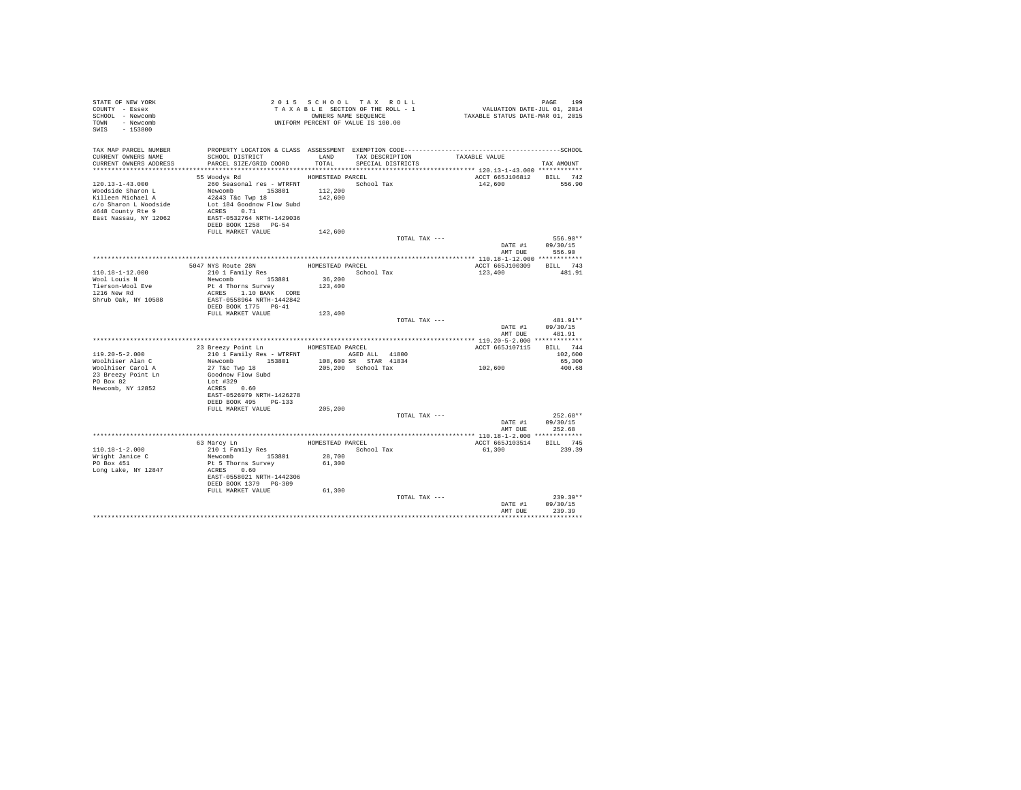| STATE OF NEW YORK<br>COUNTY - Essex<br>SCHOOL - Newcomb<br>TOWN - Newcomb<br>SWIS - 153800                                            | TAXABLE SAME SEQUENCE<br>ONNERS NAME SEQUENCE<br>UNIFORM PERCENT OF VALUE IS 100.00                                                                                                                 |                                        | 2015 SCHOOL TAX ROLL<br>TAXABLE SECTION OF THE ROLL - 1<br>OWNERS NAME SEQUENCE | PAGE 199<br>VALUATION DATE-JUL 01, 2014<br>TAXABLE STATUS DATE-MAR 01, 2015 |                      |
|---------------------------------------------------------------------------------------------------------------------------------------|-----------------------------------------------------------------------------------------------------------------------------------------------------------------------------------------------------|----------------------------------------|---------------------------------------------------------------------------------|-----------------------------------------------------------------------------|----------------------|
| CURRENT OWNERS NAME<br>CURRENT OWNERS ADDRESS PARCEL SIZE/GRID COORD                                                                  | SCHOOL DISTRICT                                                                                                                                                                                     |                                        | LAND TAX DESCRIPTION TAXABLE VALUE<br>TOTAL SPECIAL DISTRICTS                   |                                                                             | TAX AMOUNT           |
|                                                                                                                                       |                                                                                                                                                                                                     |                                        |                                                                                 |                                                                             |                      |
| $120.13 - 1 - 43.000$<br>Woodside Sharon L<br>Killeen Michael A<br>c/o Sharon I Michael<br>4648 County Rte 9<br>East Nassau, NY 12062 | 55 Woodys Rd<br>260 Seasonal res - WTRFNT                 School Tax<br>Newcomb<br>42&43 T&c Twp 18<br>Lot 184 Goodnow Flow Subd<br>ACRES 0.71<br>EAST-0532764 NRTH-1429036<br>DEED BOOK 1258 PG-54 | HOMESTEAD PARCEL<br>112,200<br>142,600 |                                                                                 | ACCT 665J106812 BILL 742<br>142,600                                         | 556.90               |
|                                                                                                                                       | FULL MARKET VALUE                                                                                                                                                                                   | 142,600                                | TOTAL TAX ---                                                                   |                                                                             | 556.90**             |
|                                                                                                                                       |                                                                                                                                                                                                     |                                        |                                                                                 | $\mathtt{DATE} \ \ \#1 \qquad \quad \mathtt{09/30/15}$<br>AMT DUE           | 556.90               |
|                                                                                                                                       |                                                                                                                                                                                                     |                                        |                                                                                 |                                                                             |                      |
| 110.18-1-12.000                                                                                                                       | 5047 NYS Route 28N<br>210 1 Family Res                                                                                                                                                              |                                        | HOMESTEAD PARCEL<br>School Tax                                                  | ACCT 665J100309<br>123,400                                                  | BILL 743<br>481.91   |
| Wool Louis N                                                                                                                          | Newcomb 153801                                                                                                                                                                                      | 36,200                                 |                                                                                 |                                                                             |                      |
| Tierson-Wool Eve<br>1216 New Rd<br>Shrub Oak, NY 10588                                                                                | Pt 4 Thorns Survey<br>ACRES 1.10 BANK CORE<br>EAST-0558964 NRTH-1442842                                                                                                                             | 123,400                                |                                                                                 |                                                                             |                      |
|                                                                                                                                       | DEED BOOK 1775 PG-41                                                                                                                                                                                |                                        |                                                                                 |                                                                             |                      |
|                                                                                                                                       | FULL MARKET VALUE                                                                                                                                                                                   | 123,400                                | TOTAL TAX ---                                                                   | DATE #1 09/30/15<br>AMT DUE                                                 | 481.91**<br>481.91   |
|                                                                                                                                       |                                                                                                                                                                                                     |                                        |                                                                                 |                                                                             |                      |
| $119.20 - 5 - 2.000$                                                                                                                  | 23 Breezy Point Ln MOMESTEAD PARCEL<br>210 1 Family Res - WTRFNT AGED ALL 41800                                                                                                                     |                                        |                                                                                 | ACCT 665J107115 BILL 744                                                    | 102,600              |
| Woolhiser Alan C                                                                                                                      | Newcomb 153801                                                                                                                                                                                      |                                        | 108,600 SR STAR 41834                                                           | 102,600                                                                     | 65,300               |
| Woolhiser Carol A<br>23 Breezy Point Ln<br>PO Box 82<br>Newcomb, NY 12852                                                             | 27 T&C Twp 18<br>Goodnow Flow Subd<br>Lot #329<br>ACRES 0.60<br>EAST-0526979 NRTH-1426278                                                                                                           |                                        | 205,200 School Tax                                                              |                                                                             | 400.68               |
|                                                                                                                                       | DEED BOOK 495 PG-133<br>FULL MARKET VALUE                                                                                                                                                           | 205,200                                |                                                                                 |                                                                             |                      |
|                                                                                                                                       |                                                                                                                                                                                                     |                                        | TOTAL TAX ---                                                                   |                                                                             | $252.68**$           |
|                                                                                                                                       |                                                                                                                                                                                                     |                                        |                                                                                 | DATE #1 09/30/15                                                            | AMT DUE 252.68       |
|                                                                                                                                       |                                                                                                                                                                                                     |                                        |                                                                                 |                                                                             |                      |
|                                                                                                                                       | 63 Marcy Ln<br>210 1 Family Res<br>Newcomb 153801                                                                                                                                                   |                                        | HOMESTEAD PARCEL                                                                | ACCT 665J103514 BILL 745                                                    |                      |
| 110.18-1-2.000                                                                                                                        |                                                                                                                                                                                                     | 28,700                                 | School Tax                                                                      | 61,300                                                                      | 239.39               |
| Wright Janice C<br>PO Box 451                                                                                                         | Pt 5 Thorns Survey                                                                                                                                                                                  | 61,300                                 |                                                                                 |                                                                             |                      |
| Long Lake, NY 12847                                                                                                                   | ACRES 0.60<br>EAST-0558021 NRTH-1442306<br>DEED BOOK 1379 PG-309                                                                                                                                    |                                        |                                                                                 |                                                                             |                      |
|                                                                                                                                       | FULL MARKET VALUE 61,300                                                                                                                                                                            |                                        |                                                                                 |                                                                             |                      |
|                                                                                                                                       |                                                                                                                                                                                                     |                                        | TOTAL TAX ---                                                                   | DATE #1 09/30/15<br>AMT DUE                                                 | $239.39**$<br>239.39 |
|                                                                                                                                       |                                                                                                                                                                                                     |                                        |                                                                                 |                                                                             | ************         |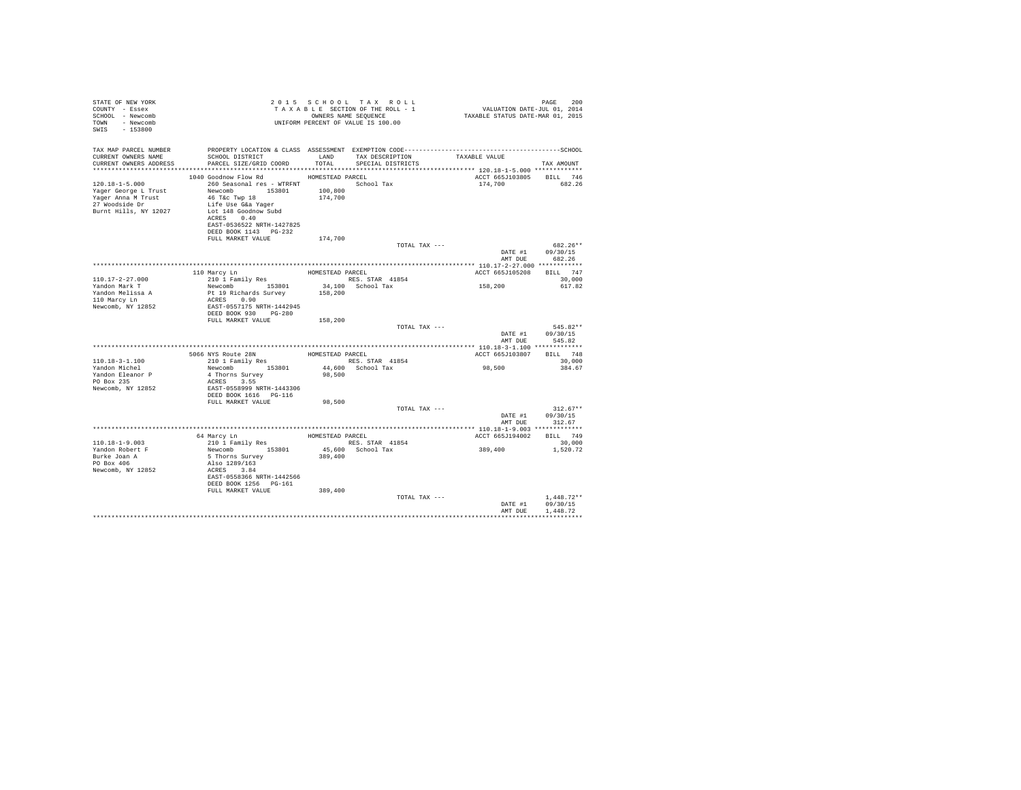| STATE OF NEW YORK<br>COUNTY - Essex<br>SCHOOL - Newcomb<br>TOWN - Newcomb<br>$SWTS = 153800$                                |                                                                                                                                                                                                                                                                                                                                    |                               | 2015 SCHOOL TAX ROLL<br>TAXABLE SECTION OF THE ROLL - 1<br>OWNERS NAME SEQUENCE<br>UNIFORM PERCENT OF VALUE IS 100.00 | PAGE 200<br>VALUATION DATE-JUL 01, 2014<br>TAXABLE STATUS DATE-MAR 01, 2015 | PAGE<br>200                                    |
|-----------------------------------------------------------------------------------------------------------------------------|------------------------------------------------------------------------------------------------------------------------------------------------------------------------------------------------------------------------------------------------------------------------------------------------------------------------------------|-------------------------------|-----------------------------------------------------------------------------------------------------------------------|-----------------------------------------------------------------------------|------------------------------------------------|
| TAX MAP PARCEL NUMBER<br>CURRENT OWNERS NAME<br>CURRENT OWNERS ADDRESS . PARCEL SIZE/GRID COORD . TOTAL . SPECIAL DISTRICTS |                                                                                                                                                                                                                                                                                                                                    |                               |                                                                                                                       |                                                                             | TAX AMOUNT                                     |
| $120.18 - 1 - 5.000$<br>Yager George L Trust<br>Yager Anna M Trust<br>27 Woodside Dr<br>Burnt Hills, NY 12027               | 1040 Goodnow Flow Rd MOMESTEAD PARCEL<br>260 Seasonal res - WTRFNT March School Tax<br>Newcomb 153801<br>46 T&c Twp 18<br>Life Use G&a Yager<br>Lot 148 Goodnow Subd<br>ACRES 0.40<br>EAST-0536522 NRTH-1427825<br>DEED BOOK 1143 PG-232<br>FULL MARKET VALUE                                                                      | 100,800<br>174,700<br>174,700 |                                                                                                                       | ACCT 665J103805 BILL 746<br>174,700                                         | 682.26                                         |
|                                                                                                                             |                                                                                                                                                                                                                                                                                                                                    |                               | TOTAL TAX ---                                                                                                         |                                                                             | 682.26**<br>DATE #1 09/30/15                   |
| 110.17-2-27.000<br>Yandon Mark T<br>Yandon Melissa A<br>110 Marcy Ln<br>Newcomb, NY 12852                                   | 110 Marcy Ln<br>210 1 Family Res<br>210 1 Family Res RES. STAR 41854<br>Newcomb 153801 34,100 School Tax<br>Pt 19 Richards Survey<br>ACRES 0.90<br>EAST-0557175 NRTH-1442945<br>DEED BOOK 930 PG-280<br>FULL MARKET VALUE                                                                                                          | 158,200<br>158,200            | HOMESTEAD PARCEL                                                                                                      | AMT DUE<br>ACCT 665J105208<br>158,200                                       | 682.26<br>BILL 747<br>30,000<br>617.82         |
|                                                                                                                             |                                                                                                                                                                                                                                                                                                                                    |                               | TOTAL TAX ---                                                                                                         |                                                                             | 545.82**<br>DATE #1 09/30/15<br>AMT DUE 545.82 |
| $110.18 - 3 - 1.100$<br>Yandon Michel<br>Yandon Eleanor P<br>PO Box 235<br>Newcomb, NY 12852                                | ${\tt 5066\; NYS\; Route\; 28N} \qquad {\tt HOMESTEAD\; PARCEL} \label{thm:106}$ ${\tt 210\;1\; Family\; Res} \qquad {\tt HOMESTEAD\; PARCS} \qquad {\tt RES\;} {\tt STRR\; \; 41854}$<br>Newcomb 153801<br>4 Thorns Survey<br>ACRES 3 55<br>ACRES 3.55<br>EAST-0558999 NRTH-1443306<br>DEED BOOK 1616 PG-116<br>FULL MARKET VALUE | 98,500                        | 44,600 School Tax<br>98,500<br>TOTAL TAX ---                                                                          | ACCT 665J103807 BILL 748<br>98,500<br>DATE #1                               | 30,000<br>384.67<br>$312.67**$<br>09/30/15     |
|                                                                                                                             |                                                                                                                                                                                                                                                                                                                                    |                               |                                                                                                                       | AMT DUE                                                                     | 312.67                                         |
| $110.18 - 1 - 9.003$<br>Yandon Robert F<br>Burke Joan A<br>PO Box 406<br>Newcomb, NY 12852                                  | 64 Marcy Ln HOMESTEAD PARCEL<br>210 1 Family Res<br>Newcomb 153801<br>103801<br>5 Thorns Survey<br>Also 1289/163<br>ACRES 3.84<br>EAST-0558366 NRTH-1442566<br>DEED BOOK 1256 PG-161<br>FULL MARKET VALUE                                                                                                                          | 389,400<br>389,400            | RES. STAR 41854<br>45,600 School Tax                                                                                  | ACCT 665J194002 BILL 749<br>389,400                                         | 30,000<br>1,520.72                             |
|                                                                                                                             |                                                                                                                                                                                                                                                                                                                                    |                               | TOTAL TAX ---                                                                                                         | DATE #1<br>AMT DUE                                                          | $1.448.72**$<br>09/30/15<br>1,448.72           |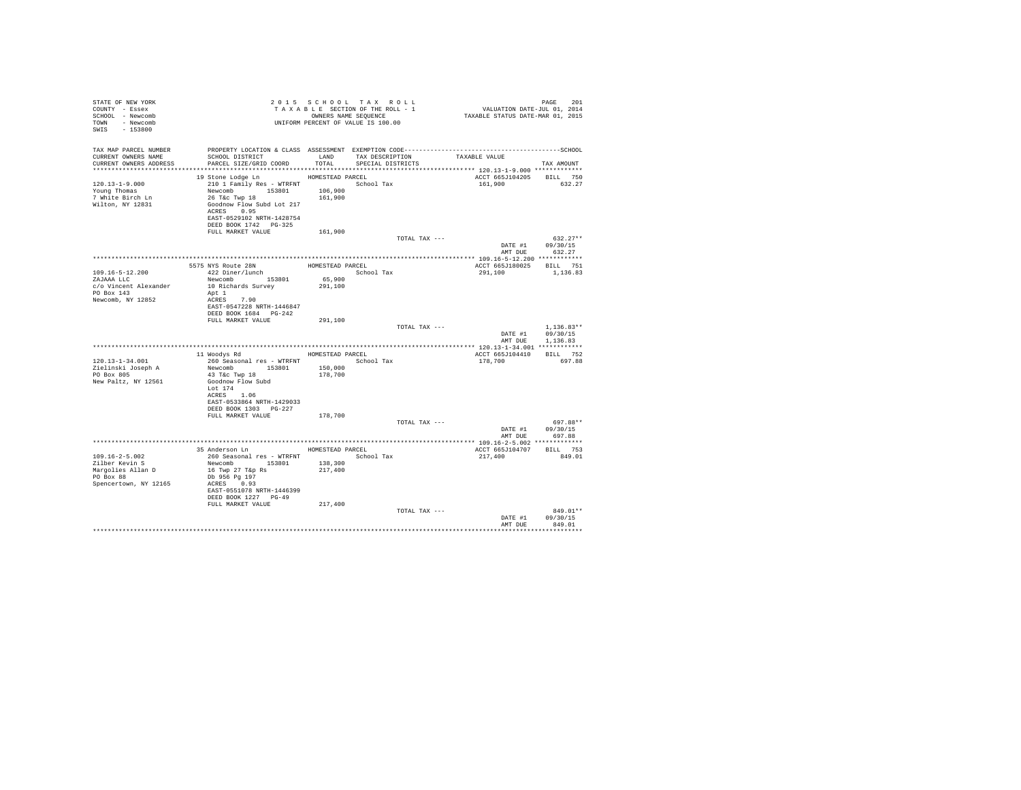| STATE OF NEW YORK<br>COUNTY - Essex<br>SCHOOL - Newcomb<br>TOWN - Newcomb<br>SWIS - 153800 |                                                                                                                         |         | 2015 SCHOOL TAX ROLL<br>UNIFORM PERCENT OF VALUE IS 100.00 |               |                                     | PAGE<br>201      |
|--------------------------------------------------------------------------------------------|-------------------------------------------------------------------------------------------------------------------------|---------|------------------------------------------------------------|---------------|-------------------------------------|------------------|
| TAX MAP PARCEL NUMBER<br>CURRENT OWNERS NAME                                               | SCHOOL DISTRICT TAND TAX DESCRIPTION                                                                                    |         |                                                            | TAXABLE VALUE |                                     |                  |
| CURRENT OWNERS ADDRESS                                                                     | PARCEL SIZE/GRID COORD TOTAL SPECIAL DISTRICTS                                                                          |         |                                                            |               |                                     | TAX AMOUNT       |
|                                                                                            | 19 Stone Lodge Ln MOMESTEAD PARCEL                                                                                      |         |                                                            |               | ACCT 665J104205 BILL 750            |                  |
| $120.13 - 1 - 9.000$                                                                       |                                                                                                                         |         |                                                            |               | 161,900 632.27                      |                  |
| Young Thomas                                                                               |                                                                                                                         |         |                                                            |               |                                     |                  |
| 7 White Birch Ln<br>Wilton, NY 12831                                                       | 210 1 Family Res - WTRFNT<br>Newcomb 153801 106,900<br>26 T&c Twp 18 161,900<br>Goodnow Flow Subd Lot 217<br>ACRES 0.95 |         |                                                            |               |                                     |                  |
|                                                                                            | EAST-0529102 NRTH-1428754<br>DEED BOOK 1742    PG-325                                                                   |         |                                                            |               |                                     |                  |
|                                                                                            | FULL MARKET VALUE                                                                                                       | 161,900 |                                                            |               |                                     |                  |
|                                                                                            |                                                                                                                         |         |                                                            | TOTAL TAX --- |                                     | $632.27**$       |
|                                                                                            |                                                                                                                         |         |                                                            |               |                                     | DATE #1 09/30/15 |
|                                                                                            |                                                                                                                         |         |                                                            |               | AMT DUE                             | 632.27           |
|                                                                                            |                                                                                                                         |         |                                                            |               |                                     |                  |
| 109.16-5-12.200                                                                            | 5575 NYS Route 28N<br>422 Diner/lunch HOMESTEAD PARCEL School Tay                                                       |         |                                                            |               | ACCT 665J180025 BILL 751<br>291,100 | 1,136.83         |
| ZAJAAA LLC                                                                                 | $\begin{tabular}{ll} 422 \; Diner/lunch & & School Tax \\ {\small Newcomb} & 153801 & 65,900 \end{tabular}$             |         |                                                            |               |                                     |                  |
| c/o Vincent Alexander                                                                      | 10 Richards Survey                                                                                                      | 291,100 |                                                            |               |                                     |                  |
| PO Box 143                                                                                 | Apt 1                                                                                                                   |         |                                                            |               |                                     |                  |
| Newcomb, NY 12852                                                                          | ACRES 7.90                                                                                                              |         |                                                            |               |                                     |                  |
|                                                                                            | EAST-0547228 NRTH-1446847<br>DEED BOOK 1684 PG-242                                                                      |         |                                                            |               |                                     |                  |
|                                                                                            | FULL MARKET VALUE                                                                                                       | 291,100 |                                                            |               |                                     |                  |
|                                                                                            |                                                                                                                         |         |                                                            | TOTAL TAX --- |                                     | $1.136.83**$     |
|                                                                                            |                                                                                                                         |         |                                                            |               |                                     | DATE #1 09/30/15 |
|                                                                                            |                                                                                                                         |         |                                                            |               | AMT DUE                             | 1,136.83         |
|                                                                                            |                                                                                                                         |         |                                                            |               |                                     |                  |
| 120.13-1-34.001                                                                            |                                                                                                                         |         |                                                            |               |                                     |                  |
| Zielinski Joseph A                                                                         | 260 Seasonal res - WTRFNT<br>Newcomb 153801 150,000                                                                     |         |                                                            |               |                                     |                  |
| PO Box 805                                                                                 | 43 T&C Twp 18                                                                                                           | 178,700 |                                                            |               |                                     |                  |
| New Paltz, NY 12561                                                                        | Goodnow Flow Subd                                                                                                       |         |                                                            |               |                                     |                  |
|                                                                                            | Lot 174                                                                                                                 |         |                                                            |               |                                     |                  |
|                                                                                            | ACRES 1.06                                                                                                              |         |                                                            |               |                                     |                  |
|                                                                                            | EAST-0533864 NRTH-1429033<br>DEED BOOK 1303 PG-227                                                                      |         |                                                            |               |                                     |                  |
|                                                                                            | FULL MARKET VALUE                                                                                                       | 178,700 |                                                            |               |                                     |                  |
|                                                                                            |                                                                                                                         |         |                                                            | TOTAL TAX --- |                                     | 697.88**         |
|                                                                                            |                                                                                                                         |         |                                                            |               |                                     | DATE #1 09/30/15 |
|                                                                                            |                                                                                                                         |         |                                                            |               |                                     | AMT DUE 697.88   |
|                                                                                            |                                                                                                                         |         |                                                            |               |                                     |                  |
|                                                                                            | 35 Anderson Ln MOMESTEAD PARCEL                                                                                         |         |                                                            |               | ACCT 665J104707 BILL 753            |                  |
| $109.16 - 2 - 5.002$<br>Zilber Kevin S                                                     | 260 Seasonal res - WTRFNT School Tax<br>Newcomb 153801 138,300                                                          |         |                                                            |               | 217,400                             | 849.01           |
| Margolies Allan D                                                                          | 16 Twp 27 T&p Rs                                                                                                        | 217,400 |                                                            |               |                                     |                  |
| PO Box 88                                                                                  | Db 956 Pg 197                                                                                                           |         |                                                            |               |                                     |                  |
| Spencertown, NY 12165                                                                      | ACRES 0.93                                                                                                              |         |                                                            |               |                                     |                  |
|                                                                                            | EAST-0551078 NRTH-1446399                                                                                               |         |                                                            |               |                                     |                  |
|                                                                                            | DEED BOOK 1227 PG-49                                                                                                    |         |                                                            |               |                                     |                  |
|                                                                                            | FULL MARKET VALUE                                                                                                       | 217,400 |                                                            | TOTAL TAX --- |                                     | 849.01**         |
|                                                                                            |                                                                                                                         |         |                                                            |               |                                     | DATE #1 09/30/15 |
|                                                                                            |                                                                                                                         |         |                                                            |               | AMT DUE                             | 849.01           |
|                                                                                            |                                                                                                                         |         |                                                            |               |                                     |                  |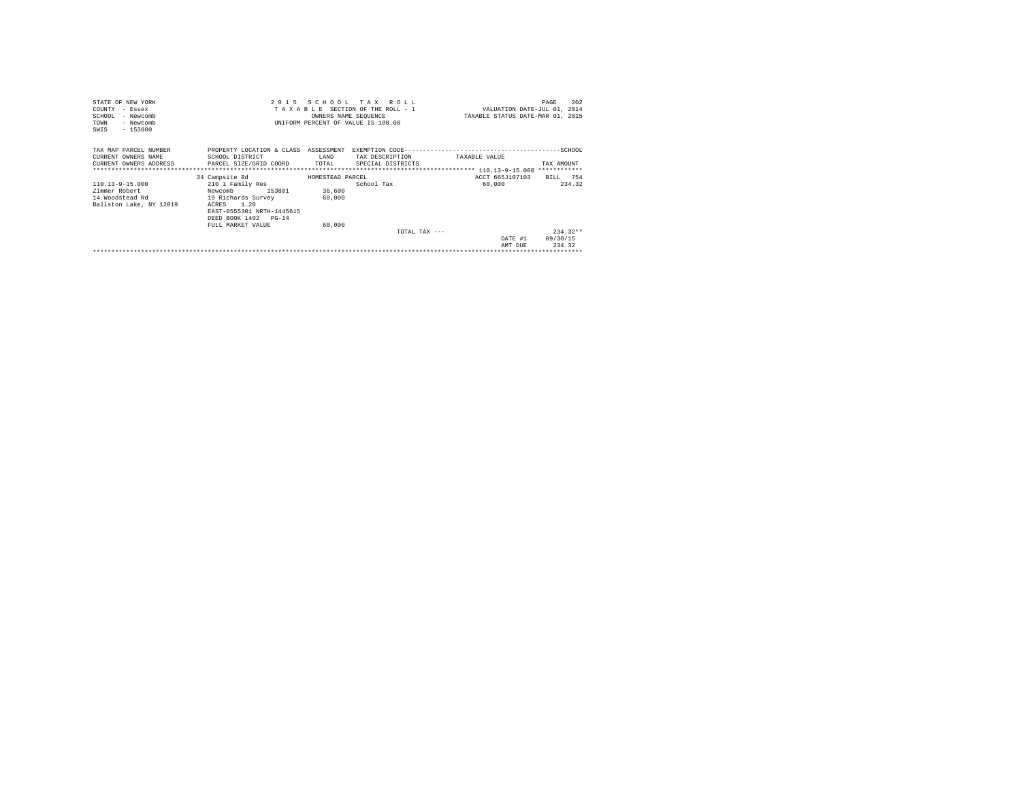| STATE OF NEW YORK       |                                                     |                  | 2015 SCHOOL TAX ROLL               |                                  | 202<br>PAGE |
|-------------------------|-----------------------------------------------------|------------------|------------------------------------|----------------------------------|-------------|
| COUNTY - Essex          |                                                     |                  | TAXABLE SECTION OF THE ROLL - 1    | VALUATION DATE-JUL 01, 2014      |             |
| SCHOOL<br>- Newcomb     |                                                     |                  | OWNERS NAME SEQUENCE               | TAXABLE STATUS DATE-MAR 01, 2015 |             |
| - Newcomb<br>TOWN       |                                                     |                  | UNIFORM PERCENT OF VALUE IS 100.00 |                                  |             |
| $-153800$<br>SWIS       |                                                     |                  |                                    |                                  |             |
|                         |                                                     |                  |                                    |                                  |             |
| TAX MAP PARCEL NUMBER   | PROPERTY LOCATION & CLASS ASSESSMENT                |                  |                                    |                                  |             |
| CURRENT OWNERS NAME     | SCHOOL DISTRICT                                     | LAND             | TAX DESCRIPTION                    | TAXABLE VALUE                    |             |
|                         | CURRENT OWNERS ADDRESS PARCEL SIZE/GRID COORD TOTAL |                  | SPECIAL DISTRICTS                  |                                  | TAX AMOUNT  |
|                         |                                                     |                  |                                    |                                  |             |
|                         | 34 Campsite Rd                                      | HOMESTEAD PARCEL |                                    | ACCT 665J107103                  | BILL 754    |
| 110.13-9-15.000         | 210 1 Family Res                                    |                  | School Tax                         | 60,000                           | 234.32      |
| Zimmer Robert           | Newcomb 153801                                      | 36,600           |                                    |                                  |             |
| 14 Woodstead Rd         | 19 Richards Survey                                  | 60,000           |                                    |                                  |             |
| Ballston Lake, NY 12019 | ACRES 1.20                                          |                  |                                    |                                  |             |
|                         | EAST-0555301 NRTH-1445615                           |                  |                                    |                                  |             |
|                         | DEED BOOK 1402 PG-14                                |                  |                                    |                                  |             |
|                         | FULL MARKET VALUE                                   | 60,000           |                                    |                                  |             |
|                         |                                                     |                  | TOTAL TAX $---$                    |                                  | $234.32**$  |
|                         |                                                     |                  |                                    | DATE #1                          | 09/30/15    |
|                         |                                                     |                  |                                    | AMT DUE                          | 234.32      |
|                         |                                                     |                  |                                    |                                  |             |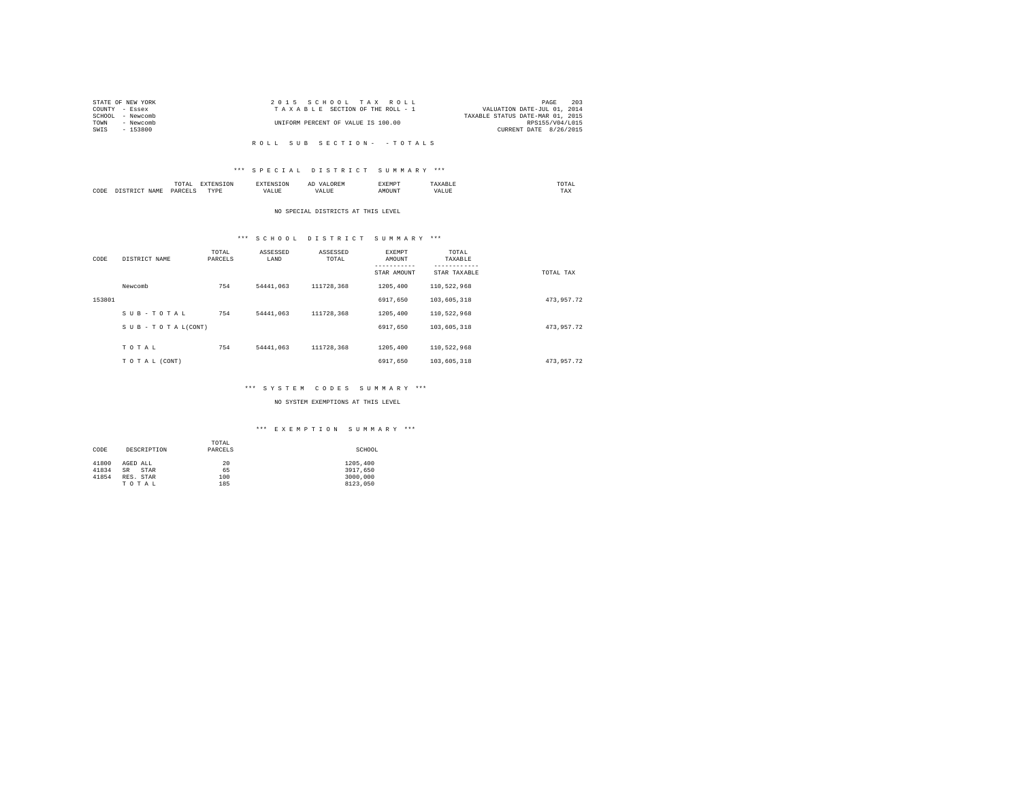| STATE OF NEW YORK   | 2015 SCHOOL TAX ROLL               | 203<br>PAGE                      |
|---------------------|------------------------------------|----------------------------------|
| COUNTY - Essex      | TAXABLE SECTION OF THE ROLL - 1    | VALUATION DATE-JUL 01, 2014      |
| SCHOOL<br>- Newcomb |                                    | TAXABLE STATUS DATE-MAR 01, 2015 |
| TOWN<br>- Newcomb   | UNIFORM PERCENT OF VALUE IS 100.00 | RPS155/V04/L015                  |
| SWIS<br>$-153800$   |                                    | CURRENT DATE 8/26/2015           |
|                     |                                    |                                  |

R O L L S U B S E C T I O N - - T O T A L S

## \*\*\* S P E C I A L D I S T R I C T S U M M A R Y \*\*\*

|      |   | ----<br>.'O'TAL<br>the contract of the contract of the contract of the contract of the contract of | ---              | <b>CAN INF</b> | ----- |      | moms:<br>the contract of the contract of the contract of |  |
|------|---|----------------------------------------------------------------------------------------------------|------------------|----------------|-------|------|----------------------------------------------------------|--|
| CODE | - | DARCEL.<br>$\sim$<br>________                                                                      | <b>TVDk</b><br>. | $\cdots$<br>.  | MOUN. | ∿JU⊾ | TAX                                                      |  |

#### NO SPECIAL DISTRICTS AT THIS LEVEL

# \*\*\* S C H O O L D I S T R I C T S U M M A R Y \*\*\*

| CODE   | DISTRICT NAME   | TOTAL<br>PARCELS | ASSESSED<br>LAND | ASSESSED<br>TOTAL | EXEMPT<br>AMOUNT | TOTAL<br>TAXABLE<br>--------- |            |
|--------|-----------------|------------------|------------------|-------------------|------------------|-------------------------------|------------|
|        |                 |                  |                  |                   | STAR AMOUNT      | STAR TAXABLE                  | TOTAL TAX  |
|        | Newcomb         | 754              | 54441.063        | 111728.368        | 1205,400         | 110.522.968                   |            |
| 153801 |                 |                  |                  |                   | 6917.650         | 103,605,318                   | 473,957.72 |
|        | SUB-TOTAL       | 754              | 54441.063        | 111728.368        | 1205,400         | 110.522.968                   |            |
|        | SUB-TOTAL(CONT) |                  |                  |                   | 6917.650         | 103,605,318                   | 473.957.72 |
|        |                 |                  |                  |                   |                  |                               |            |
|        | TOTAL           | 754              | 54441.063        | 111728.368        | 1205,400         | 110.522.968                   |            |
|        | TO TAL (CONT)   |                  |                  |                   | 6917.650         | 103,605,318                   | 473.957.72 |

## \*\*\* S Y S T E M C O D E S S U M M A R Y \*\*\*

## NO SYSTEM EXEMPTIONS AT THIS LEVEL

## \*\*\* E X E M P T I O N S U M M A R Y \*\*\*

|       |                   | TOTAL   |          |
|-------|-------------------|---------|----------|
| CODE  | DESCRIPTION       | PARCELS | SCHOOL   |
|       |                   |         |          |
| 41800 | AGED ALL          | 20      | 1205,400 |
| 41834 | <b>SR</b><br>STAR | 65      | 3917,650 |
| 41854 | RES. STAR         | 100     | 3000,000 |
|       | TOTAL             | 185     | 8123.050 |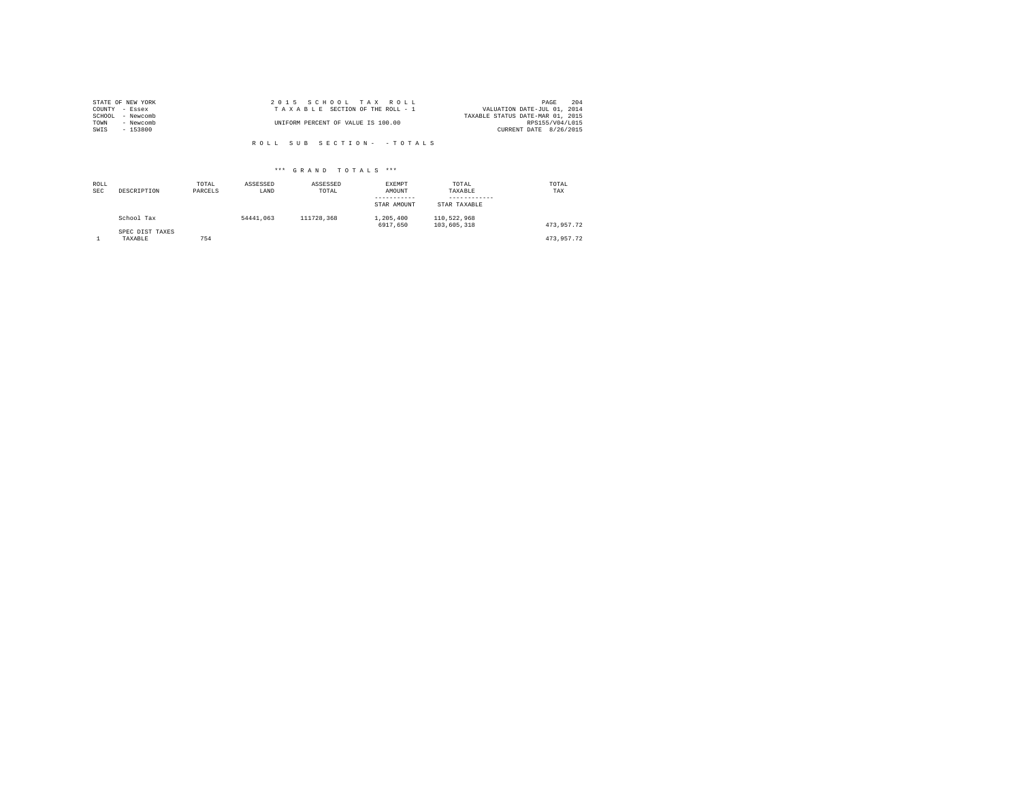|        | STATE OF NEW YORK | 2015 SCHOOL TAX ROLL               | 204<br>PAGE                      |
|--------|-------------------|------------------------------------|----------------------------------|
|        | COUNTY - Essex    | TAXABLE SECTION OF THE ROLL - 1    | VALUATION DATE-JUL 01, 2014      |
| SCHOOL | - Newcomb         |                                    | TAXABLE STATUS DATE-MAR 01, 2015 |
| TOWN   | - Newcomb         | UNIFORM PERCENT OF VALUE IS 100.00 | RPS155/V04/L015                  |
| SWIS   | $-153800$         |                                    | CURRENT DATE 8/26/2015           |
|        |                   |                                    |                                  |

R O L L S U B S E C T I O N - - T O T A L S

## \*\*\* G R A N D T O T A L S \*\*\*

| ROLL<br><b>SEC</b> | DESCRIPTION                | TOTAL<br>PARCELS | ASSESSED<br>LAND | ASSESSED<br>TOTAL | <b>EXEMPT</b><br>AMOUNT<br>-----------<br>STAR AMOUNT | TOTAL<br>TAXABLE<br>----------<br>STAR TAXABLE | TOTAL<br>TAX |
|--------------------|----------------------------|------------------|------------------|-------------------|-------------------------------------------------------|------------------------------------------------|--------------|
|                    | School Tax                 |                  | 54441.063        | 111728.368        | 1,205,400<br>6917.650                                 | 110.522.968<br>103,605,318                     | 473.957.72   |
|                    | SPEC DIST TAXES<br>TAXABLE | 754              |                  |                   |                                                       |                                                | 473.957.72   |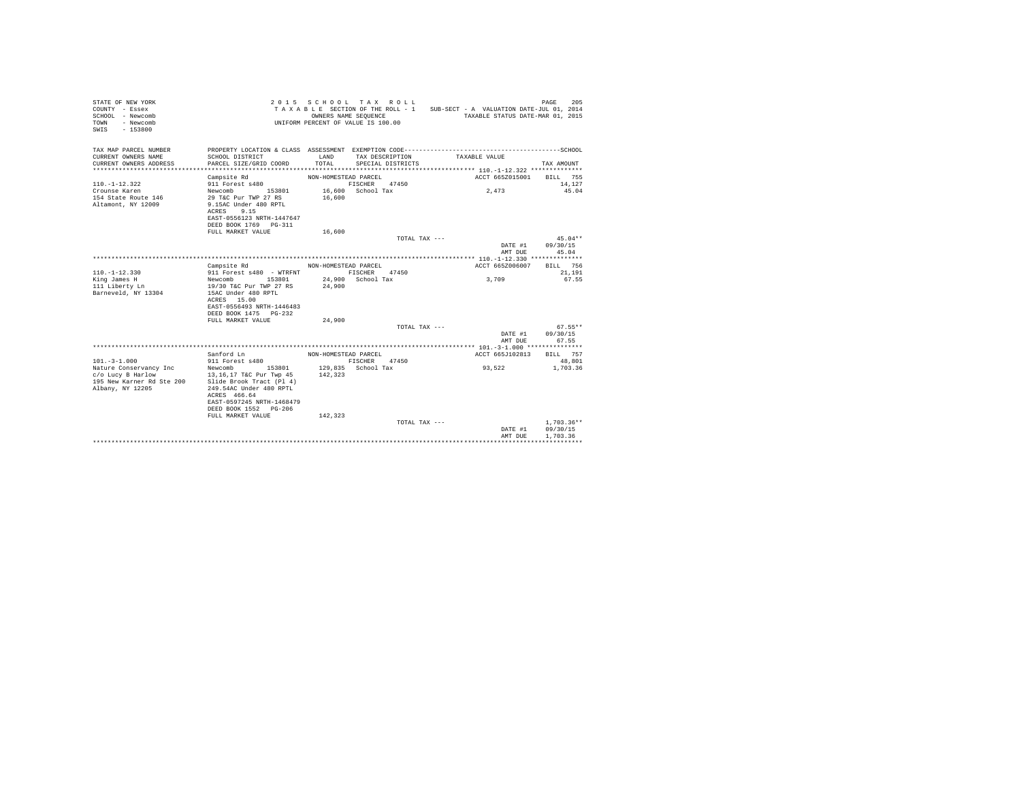| STATE OF NEW YORK<br>COUNTY - Essex<br>SCHOOL - Newcomb<br>- Newcomb<br>TOWN<br>$-153800$<br>SWTS |                                                                                                                                           | OWNERS NAME SEQUENCE | 2015 SCHOOL TAX ROLL<br>UNIFORM PERCENT OF VALUE IS 100.00 |               | TAXABLE SECTION OF THE ROLL - 1 SUB-SECT - A VALUATION DATE-JUL 01, 2014<br>TAXABLE STATUS DATE-MAR 01, 2015 | 205<br>PAGE          |
|---------------------------------------------------------------------------------------------------|-------------------------------------------------------------------------------------------------------------------------------------------|----------------------|------------------------------------------------------------|---------------|--------------------------------------------------------------------------------------------------------------|----------------------|
| TAX MAP PARCEL NUMBER<br>CURRENT OWNERS NAME<br>CURRENT OWNERS ADDRESS                            | SCHOOL DISTRICT<br>PARCEL SIZE/GRID COORD                                                                                                 | LAND<br>TOTAL        | TAX DESCRIPTION<br>SPECIAL DISTRICTS                       |               | TAXABLE VALUE                                                                                                | TAX AMOUNT           |
| ***********************                                                                           |                                                                                                                                           |                      |                                                            |               |                                                                                                              |                      |
|                                                                                                   | Campsite Rd                                                                                                                               | NON-HOMESTEAD PARCEL |                                                            |               | ACCT 665Z015001                                                                                              | BILL 755             |
| $110. -1 - 12.322$                                                                                | 911 Forest s480                                                                                                                           |                      | FISCHER<br>47450                                           |               |                                                                                                              | 14,127               |
| Crounse Karen<br>154 State Route 146<br>Altamont, NY 12009                                        | Newcomb<br>153801<br>29 T&C Pur TWP 27 RS<br>9.15AC Under 480 RPTL<br>9.15<br>ACRES<br>EAST-0556123 NRTH-1447647<br>DEED BOOK 1769 PG-311 | 16,600               | 16,600 School Tax                                          |               | 2,473                                                                                                        | 45.04                |
|                                                                                                   | FULL MARKET VALUE                                                                                                                         | 16,600               |                                                            |               |                                                                                                              |                      |
|                                                                                                   |                                                                                                                                           |                      |                                                            | TOTAL TAX --- |                                                                                                              | $45.04**$            |
|                                                                                                   |                                                                                                                                           |                      |                                                            |               | DATE #1<br>AMT DUE                                                                                           | 09/30/15<br>45.04    |
|                                                                                                   |                                                                                                                                           |                      |                                                            |               |                                                                                                              |                      |
|                                                                                                   | Campsite Rd                                                                                                                               | NON-HOMESTEAD PARCEL |                                                            |               | ACCT 665Z006007                                                                                              | BILL 756             |
| $110. -1 - 12.330$                                                                                | 911 Forest s480 - WTRFNT                                                                                                                  |                      | FISCHER<br>47450                                           |               |                                                                                                              | 21,191               |
| King James H                                                                                      | 153801<br>Newcomb                                                                                                                         |                      | 24.900 School Tax                                          |               | 3,709                                                                                                        | 67.55                |
| 111 Liberty Ln                                                                                    | 19/30 T&C Pur TWP 27 RS                                                                                                                   | 24,900               |                                                            |               |                                                                                                              |                      |
| Barneveld, NY 13304                                                                               | 15AC Under 480 RPTL                                                                                                                       |                      |                                                            |               |                                                                                                              |                      |
|                                                                                                   | ACRES 15.00<br>EAST-0556493 NRTH-1446483                                                                                                  |                      |                                                            |               |                                                                                                              |                      |
|                                                                                                   | DEED BOOK 1475 PG-232                                                                                                                     |                      |                                                            |               |                                                                                                              |                      |
|                                                                                                   | FULL MARKET VALUE                                                                                                                         | 24,900               |                                                            |               |                                                                                                              |                      |
|                                                                                                   |                                                                                                                                           |                      |                                                            | TOTAL TAX --- |                                                                                                              | $67.55**$            |
|                                                                                                   |                                                                                                                                           |                      |                                                            |               | DATE #1<br>AMT DUE                                                                                           | 09/30/15<br>67.55    |
|                                                                                                   |                                                                                                                                           |                      |                                                            |               |                                                                                                              |                      |
| $101. - 3 - 1.000$                                                                                | Sanford Ln<br>911 Forest s480                                                                                                             | NON-HOMESTEAD PARCEL | 47450<br>FISCHER                                           |               | ACCT 665J102813                                                                                              | BILL 757<br>48,801   |
| Nature Conservancy Inc                                                                            | Newcomb 153801                                                                                                                            |                      | 129,835 School Tax                                         |               | 93.522                                                                                                       | 1,703.36             |
| c/o Lucy B Harlow                                                                                 | 13,16,17 T&C Pur Twp 45                                                                                                                   | 142.323              |                                                            |               |                                                                                                              |                      |
| 195 New Karner Rd Ste 200<br>Albany, NY 12205                                                     | Slide Brook Tract (Pl 4)<br>249.54AC Under 480 RPTL                                                                                       |                      |                                                            |               |                                                                                                              |                      |
|                                                                                                   | ACRES 466.64<br>EAST-0597245 NRTH-1468479                                                                                                 |                      |                                                            |               |                                                                                                              |                      |
|                                                                                                   | DEED BOOK 1552 PG-206                                                                                                                     |                      |                                                            |               |                                                                                                              |                      |
|                                                                                                   | FULL MARKET VALUE                                                                                                                         | 142.323              |                                                            |               |                                                                                                              |                      |
|                                                                                                   |                                                                                                                                           |                      |                                                            | TOTAL TAX --- |                                                                                                              | $1,703.36**$         |
|                                                                                                   |                                                                                                                                           |                      |                                                            |               | DATE #1<br>AMT DUE                                                                                           | 09/30/15<br>1,703.36 |
|                                                                                                   |                                                                                                                                           |                      |                                                            |               |                                                                                                              |                      |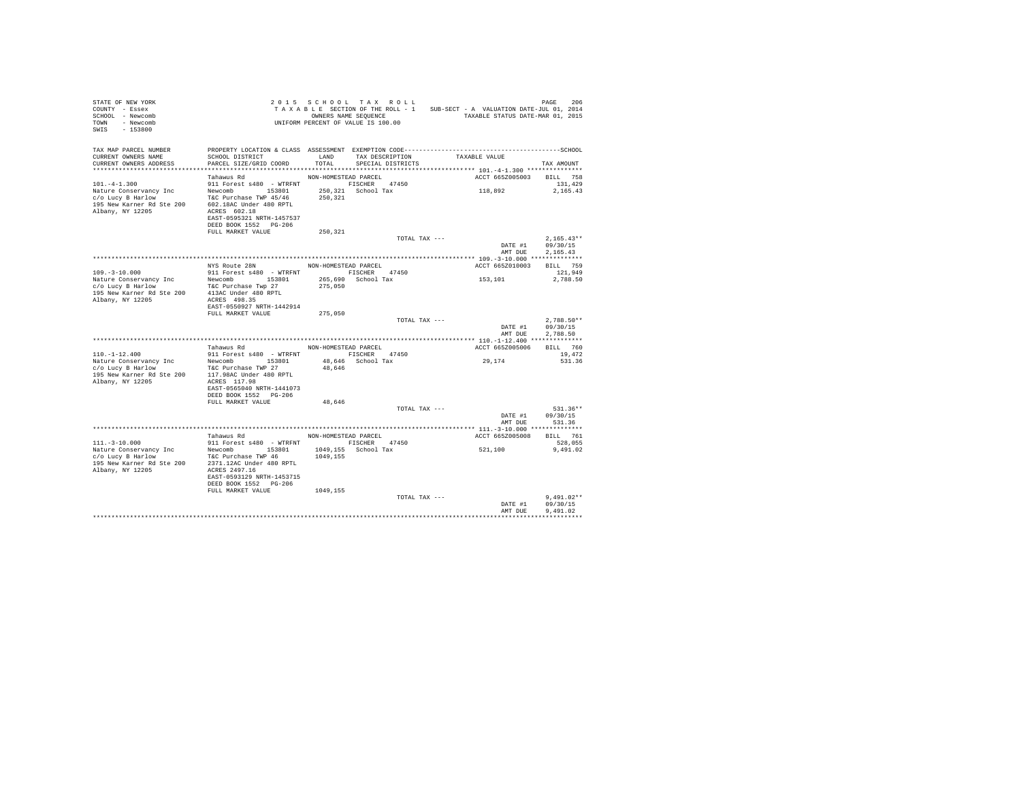| STATE OF NEW YORK<br>COUNTY - Essex<br>SCHOOL - Newcomb<br>TOWN - Newcomb<br>SWIS - 153800                                                                                                                                    |                                                    |                      |                         |                                    |                                                    |
|-------------------------------------------------------------------------------------------------------------------------------------------------------------------------------------------------------------------------------|----------------------------------------------------|----------------------|-------------------------|------------------------------------|----------------------------------------------------|
| TAX MAP PARCEL NUMBER PROPERTY LOCATION & CLASS ASSESSMENT EXEMPTION CODE----------------------------------SCHOOL<br>CURRENT OWNERS NAME<br>CURRENT OWNERS ADDRESS                                                            | SCHOOL DISTRICT<br>PARCEL SIZE/GRID COORD          |                      | TOTAL SPECIAL DISTRICTS | LAND TAX DESCRIPTION TAXABLE VALUE | TAX AMOUNT                                         |
|                                                                                                                                                                                                                               |                                                    |                      |                         |                                    |                                                    |
|                                                                                                                                                                                                                               | Tahawus Rd                                         | NON-HOMESTEAD PARCEL |                         |                                    | ACCT 665Z005003 BILL 758                           |
| $101. -4 - 1.300$                                                                                                                                                                                                             | 911 Forest s480 - WTRFNT FISCHER 47450             |                      |                         |                                    | 131,429                                            |
|                                                                                                                                                                                                                               | EAST-0595321 NRTH-1457537<br>DEED BOOK 1552 PG-206 |                      |                         | 118,892 2,165.43                   |                                                    |
|                                                                                                                                                                                                                               | FULL MARKET VALUE                                  | 250,321              |                         |                                    |                                                    |
|                                                                                                                                                                                                                               |                                                    |                      |                         | TOTAL TAX ---                      | $2,165.43*$<br>DATE #1 09/30/15<br>$2.165.43**$    |
|                                                                                                                                                                                                                               |                                                    |                      |                         |                                    |                                                    |
|                                                                                                                                                                                                                               |                                                    |                      |                         | AMT DUE                            | 2,165.43                                           |
|                                                                                                                                                                                                                               | NYS Route 28N NON-HOMESTEAD PARCEL                 |                      |                         |                                    | ACCT 665Z010003 BILL 759                           |
| $109. -3 - 10.000$                                                                                                                                                                                                            | 911 Forest s480 - WTRFNT FISCHER 47450             |                      |                         |                                    | 121,949                                            |
|                                                                                                                                                                                                                               |                                                    |                      | 265,690 School Tax      | 153,101                            | 2,788.50                                           |
| Nature Conservancy Inc Mewcomb 153801<br>1958 - Alexandr Tax Tax 1992<br>1958 New Karner Rd Ste 200 113AC Under 480 RPTL<br>1958 New Karner Rd Ste 200 113AC Under 480 RPTL<br>Albany, NY 12205 2002 2003                     | EAST-0550927 NRTH-1442914                          | 275,050              |                         |                                    |                                                    |
|                                                                                                                                                                                                                               | FULL MARKET VALUE                                  | 275,050              |                         |                                    |                                                    |
|                                                                                                                                                                                                                               |                                                    |                      |                         | TOTAL TAX ---                      | 2,788.50**<br>DATE #1 09/30/15<br>AMT DUE 2,788.50 |
|                                                                                                                                                                                                                               |                                                    |                      |                         |                                    |                                                    |
|                                                                                                                                                                                                                               | Tahawus Rd MON-HOMESTEAD PARCEL                    |                      |                         |                                    | ACCT 665Z005006 BILL 760                           |
| $110. -1 - 12.400$                                                                                                                                                                                                            | 911 Forest s480 - WTRFNT FISCHER 47450             | 48,646               | 48,646 School Tax       | 29,174                             | 19,472<br>531.36                                   |
|                                                                                                                                                                                                                               | EAST-0565040 NRTH-1441073<br>DEED BOOK 1552 PG-206 |                      |                         |                                    |                                                    |
|                                                                                                                                                                                                                               | FULL MARKET VALUE                                  | 48,646               | TOTAL TAX ---           |                                    | 531.36**                                           |
|                                                                                                                                                                                                                               |                                                    |                      |                         |                                    | DATE #1 09/30/15<br>AMT DUE 531.36                 |
|                                                                                                                                                                                                                               |                                                    |                      |                         |                                    |                                                    |
|                                                                                                                                                                                                                               | Tahawus Rd MON-HOMESTEAD PARCEL                    |                      |                         | ACCT 665Z005008 BILL 761           |                                                    |
|                                                                                                                                                                                                                               |                                                    |                      |                         | 521,100                            | 528,055<br>9,491.02                                |
|                                                                                                                                                                                                                               |                                                    |                      |                         |                                    |                                                    |
| $[111.-3-10.000]$ $[111.3-10.000]$ $[111.3-10.000]$ $[111.3-10.000]$ $[111.3-10.000]$ $[111.3-10.000]$ $[111.3-10.000]$ $[111.3-10.000]$ $[111.3-10.000]$ $[111.3-10.000]$ $[111.3-10.000]$ $[111.3-10.000]$ $[111.3-10.000]$ | EAST-0593129 NRTH-1453715<br>DEED BOOK 1552 PG-206 |                      |                         |                                    |                                                    |
|                                                                                                                                                                                                                               | FULL MARKET VALUE 1049,155                         |                      |                         |                                    |                                                    |
|                                                                                                                                                                                                                               |                                                    |                      | TOTAL TAX ---           | AMT DUE                            | $9.491.02**$<br>DATE #1 09/30/15<br>9,491.02       |
|                                                                                                                                                                                                                               |                                                    |                      |                         |                                    |                                                    |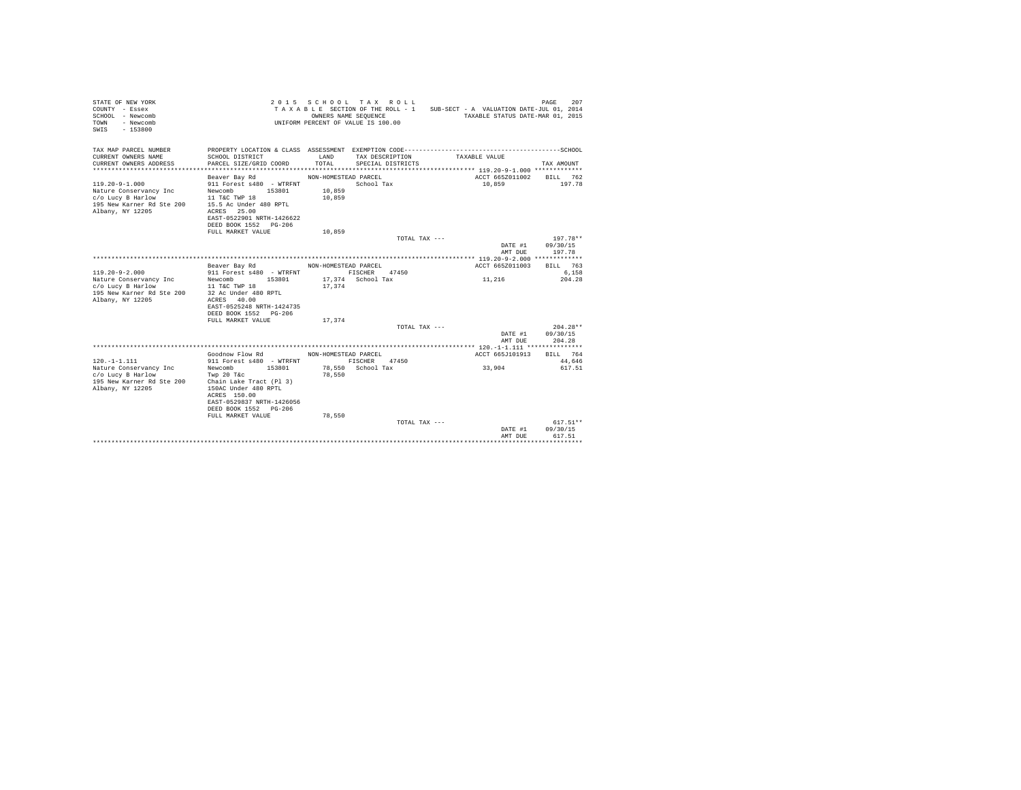| STATE OF NEW YORK<br>COUNTY - Essex<br>SCHOOL - Newcomb<br>- Newcomb<br>TOWN<br>SWIS<br>$-153800$ |                                             |                      | 2015 SCHOOL TAX ROLL<br>TAXABLE SECTION OF THE ROLL - 1<br>OWNERS NAME SEQUENCE<br>UNIFORM PERCENT OF VALUE IS 100.00 | SUB-SECT - A VALUATION DATE-JUL 01, 2014<br>TAXABLE STATUS DATE-MAR 01, 2015 | 207<br>PAGE        |
|---------------------------------------------------------------------------------------------------|---------------------------------------------|----------------------|-----------------------------------------------------------------------------------------------------------------------|------------------------------------------------------------------------------|--------------------|
| TAX MAP PARCEL NUMBER                                                                             |                                             |                      |                                                                                                                       |                                                                              |                    |
| CURRENT OWNERS NAME                                                                               | SCHOOL DISTRICT                             | LAND                 | TAX DESCRIPTION                                                                                                       | TAXABLE VALUE                                                                |                    |
| CURRENT OWNERS ADDRESS                                                                            | PARCEL SIZE/GRID COORD                      | TOTAL                | SPECIAL DISTRICTS                                                                                                     |                                                                              | TAX AMOUNT         |
|                                                                                                   |                                             |                      |                                                                                                                       |                                                                              |                    |
|                                                                                                   | Beaver Bay Rd                               | NON-HOMESTEAD PARCEL |                                                                                                                       | ACCT 665Z011002                                                              | BILL 762           |
| $119.20 - 9 - 1.000$                                                                              | 911 Forest s480 - WTRFNT                    |                      | School Tax                                                                                                            | 10,859                                                                       | 197.78             |
| Nature Conservancy Inc                                                                            | Newcomb<br>153801                           | 10,859               |                                                                                                                       |                                                                              |                    |
| c/o Lucy B Harlow                                                                                 | 11 T&C TWP 18                               | 10,859               |                                                                                                                       |                                                                              |                    |
| 195 New Karner Rd Ste 200<br>Albany, NY 12205                                                     | 15.5 Ac Under 480 RPTL<br>ACRES 25.00       |                      |                                                                                                                       |                                                                              |                    |
|                                                                                                   | EAST-0522901 NRTH-1426622                   |                      |                                                                                                                       |                                                                              |                    |
|                                                                                                   | DEED BOOK 1552 PG-206                       |                      |                                                                                                                       |                                                                              |                    |
|                                                                                                   | FULL MARKET VALUE                           | 10,859               |                                                                                                                       |                                                                              |                    |
|                                                                                                   |                                             |                      | TOTAL TAX ---                                                                                                         |                                                                              | 197.78**           |
|                                                                                                   |                                             |                      |                                                                                                                       | DATE #1                                                                      | 09/30/15           |
|                                                                                                   |                                             |                      |                                                                                                                       | AMT DUE                                                                      | 197.78             |
|                                                                                                   |                                             |                      |                                                                                                                       |                                                                              |                    |
|                                                                                                   | Beaver Bay Rd                               | NON-HOMESTEAD PARCEL |                                                                                                                       | ACCT 665Z011003                                                              | BILL 763           |
| $119.20 - 9 - 2.000$                                                                              | 911 Forest s480 - WTRFNT                    |                      | FISCHER 47450                                                                                                         |                                                                              | 6.158              |
| Nature Conservancy Inc<br>c/o Lucy B Harlow                                                       | Newcomb<br>153801<br>11 T&C TWP 18          | 17,374               | 17,374 School Tax                                                                                                     | 11,216                                                                       | 204.28             |
| 195 New Karner Rd Ste 200                                                                         | 32 Ac Under 480 RPTL                        |                      |                                                                                                                       |                                                                              |                    |
| Albany, NY 12205                                                                                  | ACRES 40.00                                 |                      |                                                                                                                       |                                                                              |                    |
|                                                                                                   | EAST-0525248 NRTH-1424735                   |                      |                                                                                                                       |                                                                              |                    |
|                                                                                                   | DEED BOOK 1552 PG-206                       |                      |                                                                                                                       |                                                                              |                    |
|                                                                                                   | FULL MARKET VALUE                           | 17,374               |                                                                                                                       |                                                                              |                    |
|                                                                                                   |                                             |                      | TOTAL TAX ---                                                                                                         |                                                                              | $204.28**$         |
|                                                                                                   |                                             |                      |                                                                                                                       | DATE #1                                                                      | 09/30/15           |
|                                                                                                   |                                             |                      |                                                                                                                       | AMT DUE                                                                      | 204.28             |
|                                                                                                   |                                             |                      |                                                                                                                       | ACCT 665J101913                                                              |                    |
| $120. -1 - 1.111$                                                                                 | Goodnow Flow Rd<br>911 Forest s480 - WTRFNT | NON-HOMESTEAD PARCEL | FISCHER 47450                                                                                                         |                                                                              | BILL 764<br>44,646 |
| Nature Conservancy Inc                                                                            | Newcomb<br>153801                           |                      | 78.550 School Tax                                                                                                     | 33,904                                                                       | 617.51             |
| c/o Lucy B Harlow                                                                                 | Twp 20 T&c                                  | 78,550               |                                                                                                                       |                                                                              |                    |
| 195 New Karner Rd Ste 200                                                                         | Chain Lake Tract (Pl 3)                     |                      |                                                                                                                       |                                                                              |                    |
| Albany, NY 12205                                                                                  | 150AC Under 480 RPTL                        |                      |                                                                                                                       |                                                                              |                    |
|                                                                                                   | ACRES 150.00                                |                      |                                                                                                                       |                                                                              |                    |
|                                                                                                   | EAST-0529837 NRTH-1426056                   |                      |                                                                                                                       |                                                                              |                    |
|                                                                                                   | DEED BOOK 1552 PG-206                       |                      |                                                                                                                       |                                                                              |                    |
|                                                                                                   | FULL MARKET VALUE                           | 78,550               | TOTAL TAX ---                                                                                                         |                                                                              | $617.51**$         |
|                                                                                                   |                                             |                      |                                                                                                                       | DATE #1                                                                      | 09/30/15           |
|                                                                                                   |                                             |                      |                                                                                                                       | AMT DUE                                                                      | 617.51             |
|                                                                                                   |                                             |                      |                                                                                                                       |                                                                              | .                  |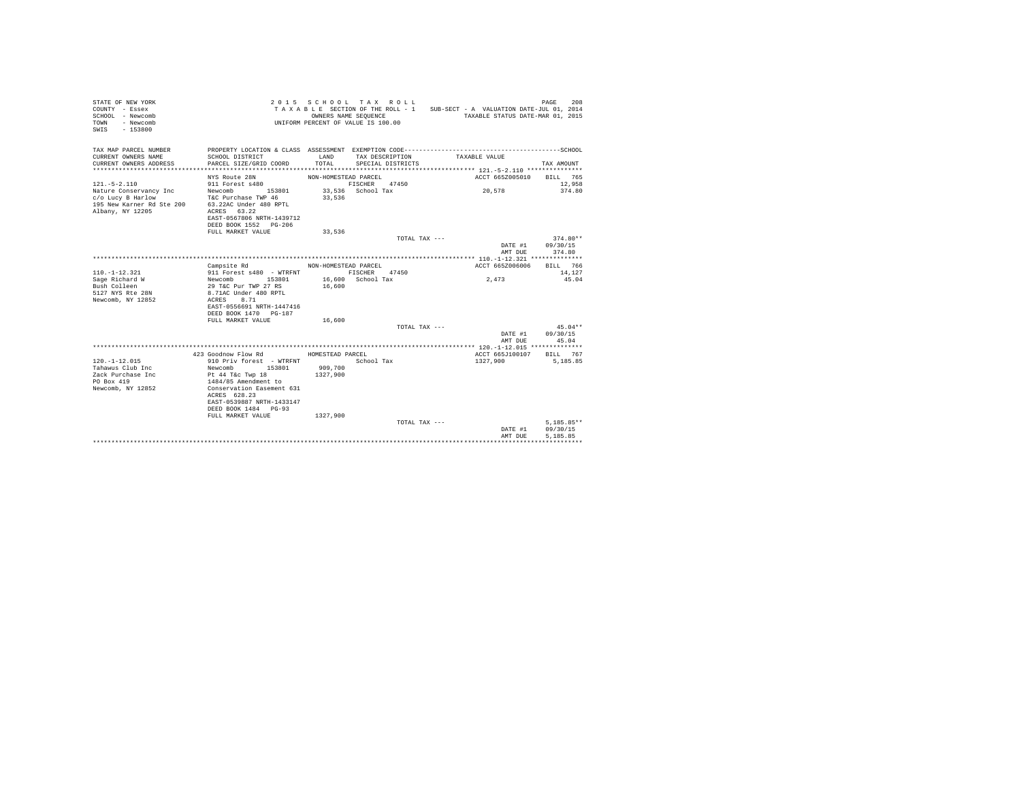| STATE OF NEW YORK<br>COUNTY - Essex<br>SCHOOL - Newcomb<br>- Newcomb<br>TOWN<br>$-153800$<br>SWTS                  |                                                                                                                                                                                                                    | 2015 SCHOOL TAX ROLL<br>OWNERS NAME SEQUENCE<br>UNIFORM PERCENT OF VALUE IS 100.00 |                                       |               | TAXABLE SECTION OF THE ROLL - 1 SUB-SECT - A VALUATION DATE-JUL 01, 2014<br>TAXABLE STATUS DATE-MAR 01, 2015 | 208<br>PAGE                    |
|--------------------------------------------------------------------------------------------------------------------|--------------------------------------------------------------------------------------------------------------------------------------------------------------------------------------------------------------------|------------------------------------------------------------------------------------|---------------------------------------|---------------|--------------------------------------------------------------------------------------------------------------|--------------------------------|
| TAX MAP PARCEL NUMBER<br>CURRENT OWNERS NAME<br>CURRENT OWNERS ADDRESS<br>************************                 | SCHOOL DISTRICT<br>PARCEL SIZE/GRID COORD                                                                                                                                                                          | LAND<br>TOTAL                                                                      | TAX DESCRIPTION<br>SPECIAL DISTRICTS  |               | TAXABLE VALUE                                                                                                | TAX AMOUNT                     |
|                                                                                                                    | NYS Route 28N                                                                                                                                                                                                      | NON-HOMESTEAD PARCEL                                                               |                                       |               | ACCT 665Z005010                                                                                              | BILL 765                       |
| $121. - 5 - 2.110$<br>Nature Conservancy Inc<br>c/o Lucy B Harlow<br>195 New Karner Rd Ste 200<br>Albany, NY 12205 | 911 Forest s480<br>Newcomb<br>153801<br>T&C Purchase TWP 46<br>63.22AC Under 480 RPTL<br>ACRES 63.22<br>EAST-0567806 NRTH-1439712<br>DEED BOOK 1552 PG-206<br>FULL MARKET VALUE                                    | 33,536<br>33,536                                                                   | FISCHER<br>47450<br>33,536 School Tax |               | 20,578                                                                                                       | 12,958<br>374.80               |
|                                                                                                                    |                                                                                                                                                                                                                    |                                                                                    |                                       | TOTAL TAX --- |                                                                                                              | $374.80**$                     |
|                                                                                                                    |                                                                                                                                                                                                                    |                                                                                    |                                       |               | DATE #1<br>AMT DUE                                                                                           | 09/30/15<br>374.80             |
|                                                                                                                    |                                                                                                                                                                                                                    |                                                                                    |                                       |               |                                                                                                              |                                |
| $110. -1 - 12.321$<br>Sage Richard W<br>Bush Colleen<br>5127 NYS Rte 28N<br>Newcomb, NY 12852                      | Campsite Rd<br>911 Forest s480 - WTRFNT<br>Newcomb<br>153801<br>29 T&C Pur TWP 27 RS<br>8.71AC Under 480 RPTL<br>ACRES<br>8.71<br>EAST-0556691 NRTH-1447416<br>DEED BOOK 1470 PG-187                               | NON-HOMESTEAD PARCEL<br>16,600                                                     | FISCHER<br>47450<br>16,600 School Tax |               | ACCT 665Z006006<br>2,473                                                                                     | BILL 766<br>14,127<br>45.04    |
|                                                                                                                    | FULL MARKET VALUE                                                                                                                                                                                                  | 16,600                                                                             |                                       |               |                                                                                                              |                                |
|                                                                                                                    |                                                                                                                                                                                                                    |                                                                                    |                                       | TOTAL TAX --- | DATE #1<br>AMT DUE                                                                                           | $45.04**$<br>09/30/15<br>45.04 |
|                                                                                                                    |                                                                                                                                                                                                                    |                                                                                    |                                       |               |                                                                                                              |                                |
| $120. -1 - 12.015$<br>Tahawus Club Inc<br>Zack Purchase Inc<br>PO Box 419<br>Newcomb, NY 12852                     | 423 Goodnow Flow Rd<br>910 Priv forest - WTRFNT<br>Newcomb<br>153801<br>Pt 44 T&c Twp 18<br>1484/85 Amendment to<br>Conservation Easement 631<br>ACRES 628.23<br>EAST-0539887 NRTH-1433147<br>DEED BOOK 1484 PG-93 | HOMESTEAD PARCEL<br>909,700<br>1327,900                                            | School Tax                            |               | ACCT 665J100107<br>1327,900                                                                                  | BILL 767<br>5,185.85           |
|                                                                                                                    | FULL MARKET VALUE                                                                                                                                                                                                  | 1327,900                                                                           |                                       | TOTAL TAX --- | DATE #1                                                                                                      | $5,185.85**$<br>09/30/15       |
|                                                                                                                    |                                                                                                                                                                                                                    |                                                                                    |                                       |               | AMT DUE                                                                                                      | 5.185.85                       |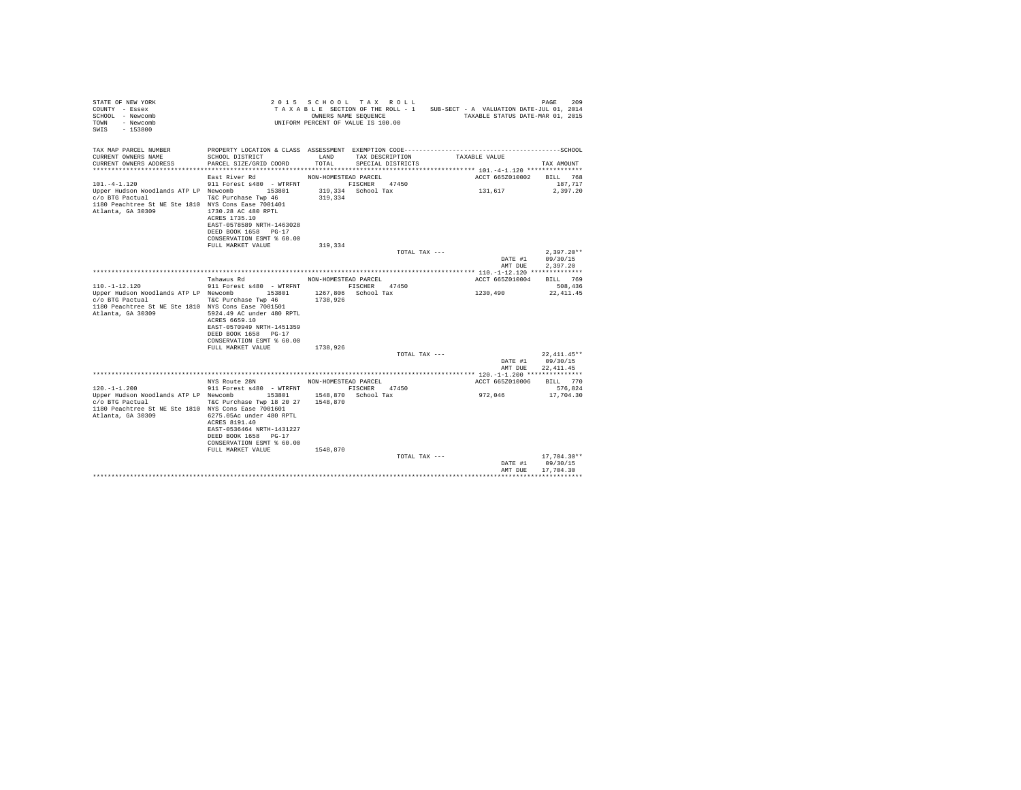| STATE OF NEW YORK<br>COUNTY - Essex<br>SCHOOL - Newcomb<br>- Newcomb<br>TOWN<br>SWIS - 153800                                                                                          |                                                                                                                                                                                                                                  | UNIFORM PERCENT OF VALUE IS 100.00         | 2015 SCHOOL TAX ROLL<br>OWNERS NAME SEQUENCE | TAXABLE SECTION OF THE ROLL - 1 SUB-SECT - A VALUATION DATE-JUL 01, 2014<br>TAXABLE STATUS DATE-MAR 01, 2015 | PAGE<br>209                                  |
|----------------------------------------------------------------------------------------------------------------------------------------------------------------------------------------|----------------------------------------------------------------------------------------------------------------------------------------------------------------------------------------------------------------------------------|--------------------------------------------|----------------------------------------------|--------------------------------------------------------------------------------------------------------------|----------------------------------------------|
| TAX MAP PARCEL NUMBER<br>CURRENT OWNERS NAME<br>CURRENT OWNERS ADDRESS                                                                                                                 | PROPERTY LOCATION & CLASS ASSESSMENT EXEMPTION CODE-------------<br>SCHOOL DISTRICT<br>PARCEL SIZE/GRID COORD                                                                                                                    | <b>T.AND</b><br>TOTAL.                     | TAX DESCRIPTION<br>SPECIAL DISTRICTS         | TAXABLE VALUE                                                                                                | ----------------SCHOOL<br>TAX AMOUNT         |
| $101. -4 - 1.120$<br>Upper Hudson Woodlands ATP LP Newcomb 153801<br>c/o BTG Pactual<br>1180 Peachtree St NE Ste 1810 NYS Cons Ease 7001401<br>Atlanta, GA 30309                       | East River Rd<br>911 Forest s480 - WTRFNT FISCHER 47450<br>T&C Purchase Twp 46<br>1730.28 AC 480 RPTL<br>ACRES 1735.10<br>EAST-0578589 NRTH-1463028<br>DEED BOOK 1658 PG-17<br>CONSERVATION ESMT % 60.00<br>FULL MARKET VALUE    | NON-HOMESTEAD PARCEL<br>319,334<br>319,334 | 319,334 School Tax                           | ACCT 665Z010002 BILL 768<br>131,617                                                                          | 187.717<br>2.397.20                          |
|                                                                                                                                                                                        |                                                                                                                                                                                                                                  |                                            | TOTAL TAX ---                                |                                                                                                              | $2.397.20**$                                 |
|                                                                                                                                                                                        |                                                                                                                                                                                                                                  |                                            |                                              | DATE #1<br>AMT DUE                                                                                           | 09/30/15<br>2.397.20                         |
|                                                                                                                                                                                        | Tahawus Rd                                                                                                                                                                                                                       | NON-HOMESTEAD PARCEL                       |                                              | ACCT 665Z010004                                                                                              | BILL 769                                     |
| $110. - 1 - 12.120$<br>Upper Hudson Woodlands ATP LP Newcomb<br>c/o BTG Pactual<br>1180 Peachtree St NE Ste 1810 NYS Cons Ease 7001501<br>Atlanta, GA 30309                            | 911 Forest s480 - WTRFNT<br>153801<br>T&C Purchase Twp 46<br>5924.49 AC under 480 RPTL<br>ACRES 6659.10<br>EAST-0570949 NRTH-1451359<br>DEED BOOK 1658 PG-17<br>CONSERVATION ESMT % 60.00                                        | 1267.806 School Tax<br>1738,926            | FISCHER 47450                                | 1230,490                                                                                                     | 508,436<br>22, 411, 45                       |
|                                                                                                                                                                                        | FULL MARKET VALUE                                                                                                                                                                                                                | 1738.926                                   |                                              |                                                                                                              |                                              |
|                                                                                                                                                                                        |                                                                                                                                                                                                                                  |                                            | TOTAL TAX ---                                | AMT DUE                                                                                                      | 22,411,45**<br>DATE #1 09/30/15<br>22.411.45 |
|                                                                                                                                                                                        |                                                                                                                                                                                                                                  |                                            |                                              |                                                                                                              |                                              |
|                                                                                                                                                                                        | NYS Route 28N NON-HOMESTEAD PARCEL                                                                                                                                                                                               |                                            |                                              | ACCT 665Z010006                                                                                              | BILL 770                                     |
| $120 - 1 - 1$ . 200<br>Upper Hudson Woodlands ATP LP Newcomb 153801 1548,870 School Tax<br>c/o BTG Pactual<br>1180 Peachtree St NE Ste 1810 NYS Cons Ease 7001601<br>Atlanta, GA 30309 | 911 Forest s480 - WTRFNT FISCHER 47450<br>T&C Purchase Twp 18 20 27 1548,870<br>6275.05Ac under 480 RPTL<br>ACRES 8191.40<br>EAST-0536464 NRTH-1431227<br>DEED BOOK 1658 PG-17<br>CONSERVATION ESMT % 60.00<br>FULL MARKET VALUE | 1548,870                                   |                                              | 972.046                                                                                                      | 576.824<br>17,704.30                         |
|                                                                                                                                                                                        |                                                                                                                                                                                                                                  |                                            | TOTAL TAX ---                                | DATE #1                                                                                                      | 17,704.30**<br>09/30/15                      |
|                                                                                                                                                                                        |                                                                                                                                                                                                                                  |                                            |                                              | AMT DUR                                                                                                      | 17,704.30                                    |
|                                                                                                                                                                                        |                                                                                                                                                                                                                                  |                                            |                                              |                                                                                                              |                                              |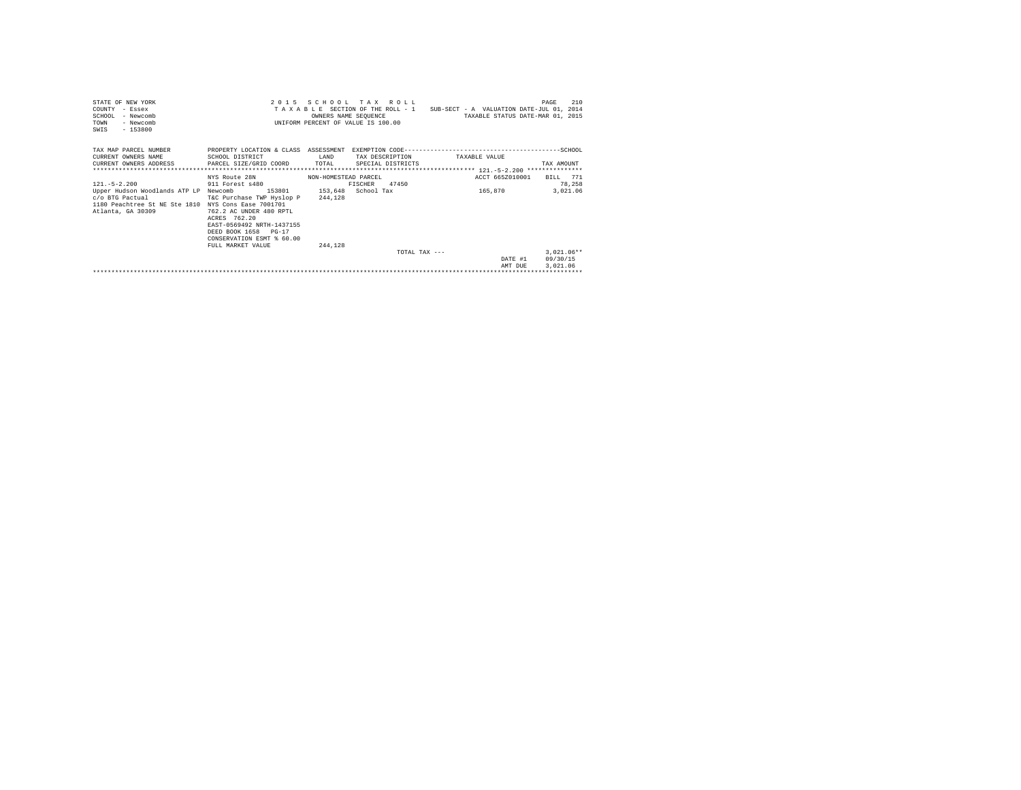| STATE OF NEW YORK<br>COUNTY - Essex<br>SCHOOL - Newcomb<br>- Newcomb<br>TOWN<br>$-153800$<br>SWIS |                                           |               | 2015 SCHOOL TAX ROLL<br>OWNERS NAME SEQUENCE<br>INIFORM PERCENT OF VALUE IS 100.00 | TAXABLE SECTION OF THE ROLL - 1 SUB-SECT - A VALUATION DATE-JUL 01, 2014<br>TAXABLE STATUS DATE-MAR 01, 2015 | 210<br>PAGE  |
|---------------------------------------------------------------------------------------------------|-------------------------------------------|---------------|------------------------------------------------------------------------------------|--------------------------------------------------------------------------------------------------------------|--------------|
| TAX MAP PARCEL NUMBER<br>CURRENT OWNERS NAME<br>CURRENT OWNERS ADDRESS                            | SCHOOL DISTRICT<br>PARCEL SIZE/GRID COORD | LAND<br>TOTAL | TAX DESCRIPTION<br>SPECIAL DISTRICTS                                               | TAXABLE VALUE                                                                                                | TAX AMOUNT   |
|                                                                                                   | NYS Route 28N MON-HOMESTEAD PARCEL        |               |                                                                                    | ACCT 665Z010001                                                                                              | BILL 771     |
| $121. -5 - 2.200$                                                                                 | 911 Forest s480                           |               | 47450<br>FISCHER                                                                   |                                                                                                              | 78,258       |
| Upper Hudson Woodlands ATP LP Newcomb                                                             | 153801 153,648 School Tax                 |               |                                                                                    | 165,870                                                                                                      | 3,021.06     |
| c/o BTG Pactual                                                                                   | T&C Purchase TWP Hyslop P                 | 244.128       |                                                                                    |                                                                                                              |              |
| 1180 Peachtree St NE Ste 1810 NYS Cons Ease 7001701<br>Atlanta, GA 30309                          | 762.2 AC UNDER 480 RPTL                   |               |                                                                                    |                                                                                                              |              |
|                                                                                                   | ACRES 762.20                              |               |                                                                                    |                                                                                                              |              |
|                                                                                                   | EAST-0569492 NRTH-1437155                 |               |                                                                                    |                                                                                                              |              |
|                                                                                                   | DEED BOOK 1658 PG-17                      |               |                                                                                    |                                                                                                              |              |
|                                                                                                   | CONSERVATION ESMT % 60.00                 |               |                                                                                    |                                                                                                              |              |
|                                                                                                   | FULL MARKET VALUE                         | 244.128       |                                                                                    |                                                                                                              |              |
|                                                                                                   |                                           |               | $TOTAI. TAX - - -$                                                                 |                                                                                                              | $3.021.06**$ |
|                                                                                                   |                                           |               |                                                                                    | DATE #1                                                                                                      | 09/30/15     |
|                                                                                                   |                                           |               |                                                                                    | AMT DUE                                                                                                      | 3.021.06     |
|                                                                                                   |                                           |               |                                                                                    |                                                                                                              |              |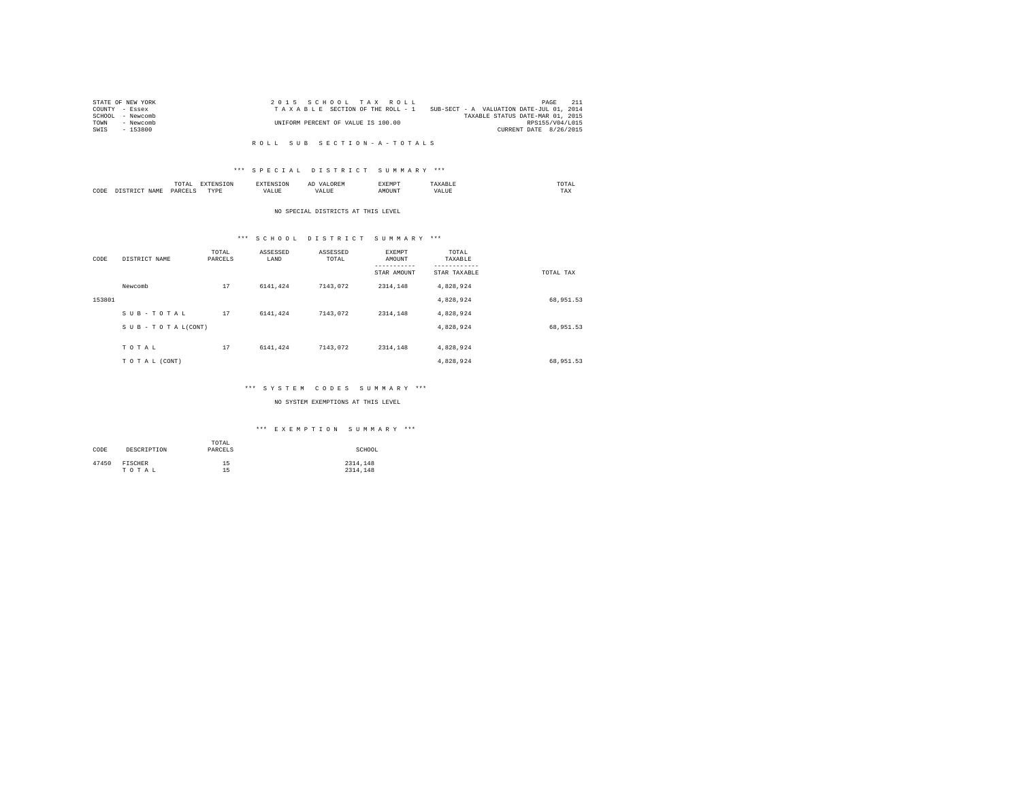|      | STATE OF NEW YORK | 2015 SCHOOL TAX ROLL                                                        | PAGE            |  |
|------|-------------------|-----------------------------------------------------------------------------|-----------------|--|
|      | COUNTY - Essex    | SUB-SECT - A VALUATION DATE-JUL 01, 2014<br>TAXABLE SECTION OF THE ROLL - 1 |                 |  |
|      | SCHOOL - Newcomb  | TAXABLE STATUS DATE-MAR 01, 2015                                            |                 |  |
| TOWN | - Newcomb         | UNIFORM PERCENT OF VALUE IS 100.00                                          | RPS155/V04/L015 |  |
| SWIS | - 153800          | CURRENT DATE 8/26/2015                                                      |                 |  |
|      |                   |                                                                             |                 |  |

#### R O L L S U B S E C T I O N - A - T O T A L S

## \*\*\* S P E C I A L D I S T R I C T S U M M A R Y \*\*\*

|      | ----<br>/ L A L<br>the contract of the contract of the contract of | ----       | $\cdots$ | .     | moms:<br>the contract of the contract of the contract of |
|------|--------------------------------------------------------------------|------------|----------|-------|----------------------------------------------------------|
| CODE | <b>DAR</b><br>$\sim$                                               | TVD's<br>. |          | MOUN. | 1'AX                                                     |

#### NO SPECIAL DISTRICTS AT THIS LEVEL

# \*\*\* S C H O O L D I S T R I C T S U M M A R Y \*\*\*

|        |                 | TOTAL   | ASSESSED | ASSESSED | <b>EXEMPT</b> | TOTAL        |           |
|--------|-----------------|---------|----------|----------|---------------|--------------|-----------|
| CODE   | DISTRICT NAME   | PARCELS | LAND     | TOTAL    | AMOUNT        | TAXABLE      |           |
|        |                 |         |          |          | ---------     | ---------    |           |
|        |                 |         |          |          | STAR AMOUNT   | STAR TAXABLE | TOTAL TAX |
|        | Newcomb         | 17      | 6141.424 | 7143.072 | 2314.148      | 4,828,924    |           |
| 153801 |                 |         |          |          |               | 4.828.924    | 68,951.53 |
|        | SUB-TOTAL       | 17      | 6141.424 | 7143.072 | 2314.148      | 4.828.924    |           |
|        | SUB-TOTAL(CONT) |         |          |          |               | 4,828,924    | 68,951.53 |
|        |                 |         |          |          |               |              |           |
|        | TOTAL           | 17      | 6141.424 | 7143.072 | 2314.148      | 4.828.924    |           |
|        | TO TAL (CONT)   |         |          |          |               | 4,828,924    | 68,951.53 |

## \*\*\* S Y S T E M C O D E S S U M M A R Y \*\*\*

## NO SYSTEM EXEMPTIONS AT THIS LEVEL

## \*\*\* E X E M P T I O N S U M M A R Y \*\*\*

| CODE  | DESCRIPTION | TOTAL<br>PARCELS | SCHOOL   |
|-------|-------------|------------------|----------|
| 47450 | FISCHER     | 15               | 2314,148 |
|       | TOTAL       | 15               | 2314.148 |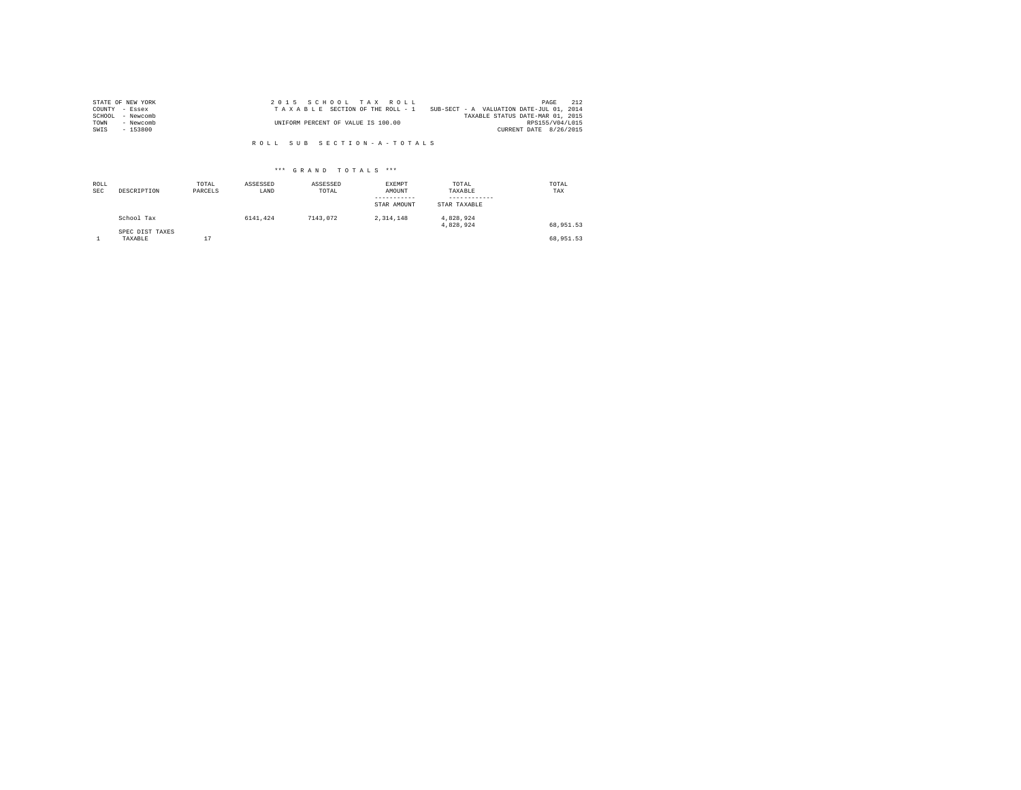| STATE OF NEW YORK   | 2015 SCHOOL TAX ROLL                                                        | PAGE            | 212 |
|---------------------|-----------------------------------------------------------------------------|-----------------|-----|
| COUNTY - Essex      | SUB-SECT - A VALUATION DATE-JUL 01, 2014<br>TAXABLE SECTION OF THE ROLL - 1 |                 |     |
| SCHOOL<br>- Newcomb | TAXABLE STATUS DATE-MAR 01, 2015                                            |                 |     |
| TOWN<br>- Newcomb   | UNIFORM PERCENT OF VALUE IS 100.00                                          | RPS155/V04/L015 |     |
| $-153800$<br>SWIS   | CURRENT DATE 8/26/2015                                                      |                 |     |

R O L L S U B S E C T I O N - A - T O T A L S

## \*\*\* G R A N D T O T A L S \*\*\*

| ROLL<br><b>SEC</b> | DESCRIPTION                | TOTAL<br>PARCELS | ASSESSED<br>LAND | ASSESSED<br>TOTAL | <b>EXEMPT</b><br>AMOUNT<br>-----------<br>STAR AMOUNT | TOTAL<br>TAXABLE<br>----------<br>STAR TAXABLE | TOTAL<br>TAX |
|--------------------|----------------------------|------------------|------------------|-------------------|-------------------------------------------------------|------------------------------------------------|--------------|
|                    | School Tax                 |                  | 6141.424         | 7143.072          | 2.314.148                                             | 4.828.924<br>4.828.924                         | 68.951.53    |
|                    | SPEC DIST TAXES<br>TAXABLE | 17               |                  |                   |                                                       |                                                | 68.951.53    |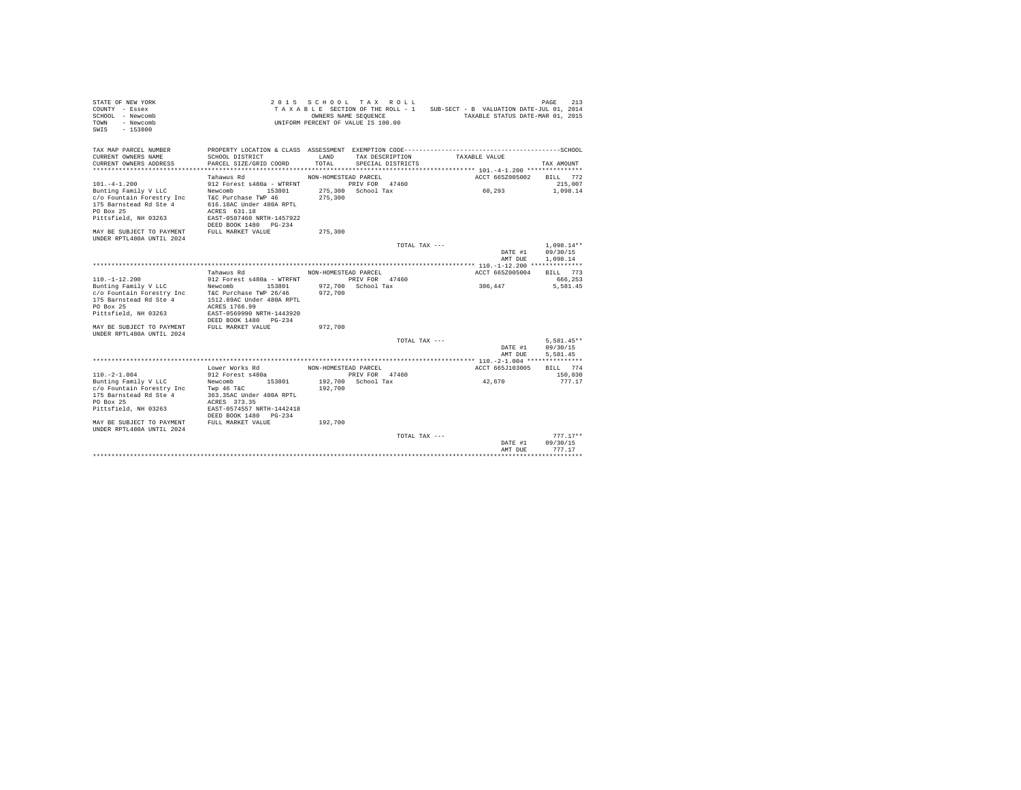| STATE OF NEW YORK<br>COUNTY - Essex<br>SCHOOL - Newcomb<br>- Newcomb<br>TOWN<br>$-153800$<br>SWIS                                                                  |                                                                                                                                                                                                                           |                                            | 2015 SCHOOL TAX ROLL<br>OWNERS NAME SEQUENCE<br>UNIFORM PERCENT OF VALUE IS 100.00 | TAXABLE SECTION OF THE ROLL - 1 SUB-SECT - B VALUATION DATE-JUL 01, 2014<br>TAXABLE STATUS DATE-MAR 01, 2015  | 213<br>PAGE                          |
|--------------------------------------------------------------------------------------------------------------------------------------------------------------------|---------------------------------------------------------------------------------------------------------------------------------------------------------------------------------------------------------------------------|--------------------------------------------|------------------------------------------------------------------------------------|---------------------------------------------------------------------------------------------------------------|--------------------------------------|
| TAX MAP PARCEL NUMBER<br>CURRENT OWNERS NAME<br>CURRENT OWNERS ADDRESS                                                                                             | SCHOOL DISTRICT<br>PARCEL SIZE/GRID COORD                                                                                                                                                                                 | LAND<br>TOTAL                              | TAX DESCRIPTION<br>SPECIAL DISTRICTS                                               | PROPERTY LOCATION & CLASS ASSESSMENT EXEMPTION CODE-----------------------------------SCHOOL<br>TAXABLE VALUE | TAX AMOUNT                           |
|                                                                                                                                                                    |                                                                                                                                                                                                                           |                                            |                                                                                    |                                                                                                               |                                      |
| $101. -4 - 1.200$<br>Bunting Family V LLC<br>c/o Fountain Forestry Inc<br>175 Barnstead Rd Ste 4<br>PO Box 25<br>Pittsfield, NH 03263<br>MAY BE SUBJECT TO PAYMENT | Tahawus Rd<br>912 Forest s480a - WTRFNT PRIV FOR 47460<br>Newcomb<br>153801<br>T&C Purchase TWP 46<br>616.18AC Under 480A RPTL<br>ACRES 631.18<br>EAST-0587460 NRTH-1457922<br>DEED BOOK 1480 PG-234<br>FULL MARKET VALUE | NON-HOMESTEAD PARCEL<br>275,300<br>275,300 | 275,300 School Tax                                                                 | ACCT 665Z005002<br>60.293                                                                                     | BILL 772<br>215,007<br>1,098.14      |
| UNDER RPTL480A UNTIL 2024                                                                                                                                          |                                                                                                                                                                                                                           |                                            |                                                                                    |                                                                                                               |                                      |
|                                                                                                                                                                    |                                                                                                                                                                                                                           |                                            | TOTAL TAX ---                                                                      | DATE #1<br>AMT DUE                                                                                            | $1.098.14**$<br>09/30/15<br>1,098.14 |
|                                                                                                                                                                    |                                                                                                                                                                                                                           |                                            |                                                                                    |                                                                                                               |                                      |
|                                                                                                                                                                    | Tahawus Rd                                                                                                                                                                                                                | NON-HOMESTEAD PARCEL                       |                                                                                    | ACCT 665Z005004                                                                                               | BILL 773                             |
| $110. - 1 - 12.200$                                                                                                                                                | 912 Forest s480a - WTRFNT                                                                                                                                                                                                 |                                            | PRIV FOR 47460                                                                     |                                                                                                               | 666,253                              |
| Bunting Family V LLC<br>c/o Fountain Forestry Inc<br>175 Barnstead Rd Ste 4<br>PO Box 25<br>Pittsfield, NH 03263                                                   | Newcomb<br>153801<br>T&C Purchase TWP 26/46<br>1512.89AC Under 480A RPTL<br>ACRES 1766.99<br>EAST-0569990 NRTH-1443920<br>DEED BOOK 1480 PG-234                                                                           | 972.700                                    | 972,700 School Tax                                                                 | 306,447                                                                                                       | 5,581.45                             |
| MAY BE SUBJECT TO PAYMENT<br>UNDER RPTL480A UNTIL 2024                                                                                                             | FULL MARKET VALUE                                                                                                                                                                                                         | 972,700                                    |                                                                                    |                                                                                                               |                                      |
|                                                                                                                                                                    |                                                                                                                                                                                                                           |                                            |                                                                                    | TOTAL TAX ---                                                                                                 | $5.581.45**$                         |
|                                                                                                                                                                    |                                                                                                                                                                                                                           |                                            |                                                                                    | DATE #1<br>AMT DUE                                                                                            | 09/30/15<br>5.581.45                 |
|                                                                                                                                                                    |                                                                                                                                                                                                                           |                                            |                                                                                    |                                                                                                               |                                      |
|                                                                                                                                                                    | Lower Works Rd                                                                                                                                                                                                            | NON-HOMESTEAD PARCEL                       |                                                                                    | ACCT 665J103005                                                                                               | BILL 774                             |
| $110. -2 - 1.004$<br>Bunting Family V LLC<br>c/o Fountain Forestry Inc<br>175 Barnstead Rd Ste 4<br>PO Box 25<br>Pittsfield, NH 03263<br>MAY BE SUBJECT TO PAYMENT | 912 Forest s480a<br>Newcomb 153801<br>Twp 46 T&C<br>363.35AC Under 480A RPTL<br>ACRES 373.35<br>EAST-0574557 NRTH-1442418<br>DEED BOOK 1480 PG-234<br>FULL MARKET VALUE                                                   | 192,700<br>192,700                         | PRIV FOR 47460<br>192,700 School Tax                                               | 42,670                                                                                                        | 150,030<br>777.17                    |
| UNDER RPTL480A UNTIL 2024                                                                                                                                          |                                                                                                                                                                                                                           |                                            |                                                                                    |                                                                                                               |                                      |
|                                                                                                                                                                    |                                                                                                                                                                                                                           |                                            | TOTAL TAX ---                                                                      | DATE #1<br>AMT DUE                                                                                            | $777.17**$<br>09/30/15<br>777.17     |
|                                                                                                                                                                    |                                                                                                                                                                                                                           |                                            |                                                                                    |                                                                                                               | *********                            |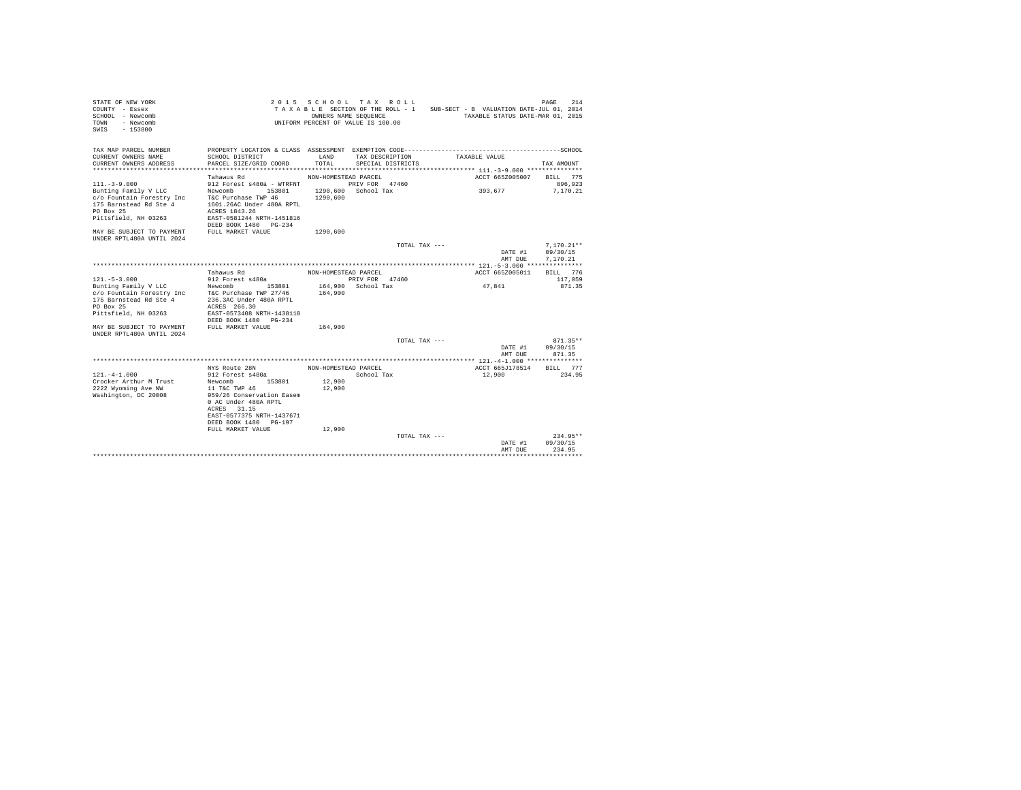| STATE OF NEW YORK<br>COUNTY - Essex<br>SCHOOL - Newcomb<br>- Newcomb<br>TOWN<br>SWTS<br>$-153800$ |                                           | 2015 SCHOOL TAX ROLL<br>TAXABLE SECTION OF THE ROLL - 1<br>OWNERS NAME SEQUENCE<br>UNIFORM PERCENT OF VALUE IS 100.00 |                     |                   |               | SUB-SECT - B VALUATION DATE-JUL 01, 2014<br>TAXABLE STATUS DATE-MAR 01, 2015 | 214<br>PAGE         |
|---------------------------------------------------------------------------------------------------|-------------------------------------------|-----------------------------------------------------------------------------------------------------------------------|---------------------|-------------------|---------------|------------------------------------------------------------------------------|---------------------|
| TAX MAP PARCEL NUMBER<br>CURRENT OWNERS NAME                                                      | SCHOOL DISTRICT                           | LAND                                                                                                                  | TAX DESCRIPTION     |                   | TAXABLE VALUE |                                                                              |                     |
| CURRENT OWNERS ADDRESS                                                                            | PARCEL SIZE/GRID COORD                    | TOTAL.                                                                                                                |                     | SPECIAL DISTRICTS |               |                                                                              | TAX AMOUNT          |
|                                                                                                   | Tahawus Rd                                |                                                                                                                       |                     |                   |               |                                                                              |                     |
| $111. - 3 - 9.000$                                                                                | 912 Forest s480a - WTRFNT                 | NON-HOMESTEAD PARCEL                                                                                                  | PRIV FOR 47460      |                   |               | ACCT 665Z005007                                                              | BILL 775<br>896.923 |
| Bunting Family V LLC                                                                              | Newcomb<br>153801                         |                                                                                                                       | 1290.600 School Tax |                   |               | 393,677                                                                      | 7.170.21            |
| c/o Fountain Forestry Inc                                                                         | T&C Purchase TWP 46                       | 1290,600                                                                                                              |                     |                   |               |                                                                              |                     |
| 175 Barnstead Rd Ste 4                                                                            | 1601.26AC Under 480A RPTL                 |                                                                                                                       |                     |                   |               |                                                                              |                     |
| PO Box 25                                                                                         | ACRES 1843.26                             |                                                                                                                       |                     |                   |               |                                                                              |                     |
| Pittsfield, NH 03263                                                                              | EAST-0581244 NRTH-1451816                 |                                                                                                                       |                     |                   |               |                                                                              |                     |
|                                                                                                   | DEED BOOK 1480 PG-234                     |                                                                                                                       |                     |                   |               |                                                                              |                     |
| MAY BE SUBJECT TO PAYMENT<br>UNDER RPTL480A UNTIL 2024                                            | FULL MARKET VALUE                         | 1290,600                                                                                                              |                     |                   |               |                                                                              |                     |
|                                                                                                   |                                           |                                                                                                                       |                     | TOTAL TAX ---     |               |                                                                              | $7.170.21**$        |
|                                                                                                   |                                           |                                                                                                                       |                     |                   |               | DATE #1                                                                      | 09/30/15            |
|                                                                                                   |                                           |                                                                                                                       |                     |                   |               | AMT DUE                                                                      | 7.170.21            |
|                                                                                                   |                                           |                                                                                                                       |                     |                   |               |                                                                              |                     |
|                                                                                                   | Tahawus Rd                                | NON-HOMESTEAD PARCEL                                                                                                  |                     |                   |               | ACCT 665Z005011                                                              | BILL 776            |
| $121. - 5 - 3.000$                                                                                | 912 Forest s480a                          |                                                                                                                       | PRIV FOR 47460      |                   |               |                                                                              | 117,059             |
| Bunting Family V LLC                                                                              | Newcomb<br>153801                         |                                                                                                                       | 164,900 School Tax  |                   |               | 47.841                                                                       | 871.35              |
| c/o Fountain Forestry Inc                                                                         | T&C Purchase TWP 27/46                    | 164,900                                                                                                               |                     |                   |               |                                                                              |                     |
| 175 Barnstead Rd Ste 4                                                                            | 236.3AC Under 480A RPTL                   |                                                                                                                       |                     |                   |               |                                                                              |                     |
| PO Box 25<br>Pittsfield, NH 03263                                                                 | ACRES 266.30<br>EAST-0573408 NRTH-1438118 |                                                                                                                       |                     |                   |               |                                                                              |                     |
|                                                                                                   | DEED BOOK 1480 PG-234                     |                                                                                                                       |                     |                   |               |                                                                              |                     |
| MAY BE SUBJECT TO PAYMENT                                                                         | FULL MARKET VALUE                         | 164,900                                                                                                               |                     |                   |               |                                                                              |                     |
| UNDER RPTL480A UNTIL 2024                                                                         |                                           |                                                                                                                       |                     |                   |               |                                                                              |                     |
|                                                                                                   |                                           |                                                                                                                       |                     | TOTAL TAX ---     |               |                                                                              | $871.35**$          |
|                                                                                                   |                                           |                                                                                                                       |                     |                   |               | DATE #1                                                                      | 09/30/15            |
|                                                                                                   |                                           |                                                                                                                       |                     |                   |               | AMT DUE                                                                      | 871.35              |
|                                                                                                   |                                           |                                                                                                                       |                     |                   |               | ************* 121.-4-1.000 ***************                                   |                     |
| $121 - 4 - 1.000$                                                                                 | NYS Route 28N<br>912 Forest s480a         | NON-HOMESTEAD PARCEL                                                                                                  |                     |                   |               | ACCT 665J178514                                                              | 777<br>BILL.        |
| Crocker Arthur M Trust                                                                            | 153801<br>Newcomb                         | 12,900                                                                                                                | School Tax          |                   |               | 12,900                                                                       | 234.95              |
| 2222 Wyoming Ave NW                                                                               | 11 T&C TWP 46                             | 12,900                                                                                                                |                     |                   |               |                                                                              |                     |
| Washington, DC 20008                                                                              | 959/26 Conservation Easem                 |                                                                                                                       |                     |                   |               |                                                                              |                     |
|                                                                                                   | 0 AC Under 480A RPTL                      |                                                                                                                       |                     |                   |               |                                                                              |                     |
|                                                                                                   | ACRES 31.15                               |                                                                                                                       |                     |                   |               |                                                                              |                     |
|                                                                                                   | EAST-0577375 NRTH-1437671                 |                                                                                                                       |                     |                   |               |                                                                              |                     |
|                                                                                                   | DEED BOOK 1480 PG-197                     |                                                                                                                       |                     |                   |               |                                                                              |                     |
|                                                                                                   | FULL MARKET VALUE                         | 12,900                                                                                                                |                     |                   |               |                                                                              |                     |
|                                                                                                   |                                           |                                                                                                                       |                     | TOTAL TAX ---     |               |                                                                              | $234.95**$          |
|                                                                                                   |                                           |                                                                                                                       |                     |                   |               | DATE #1<br>AMT DUE                                                           | 09/30/15<br>234.95  |
|                                                                                                   |                                           |                                                                                                                       |                     |                   |               |                                                                              |                     |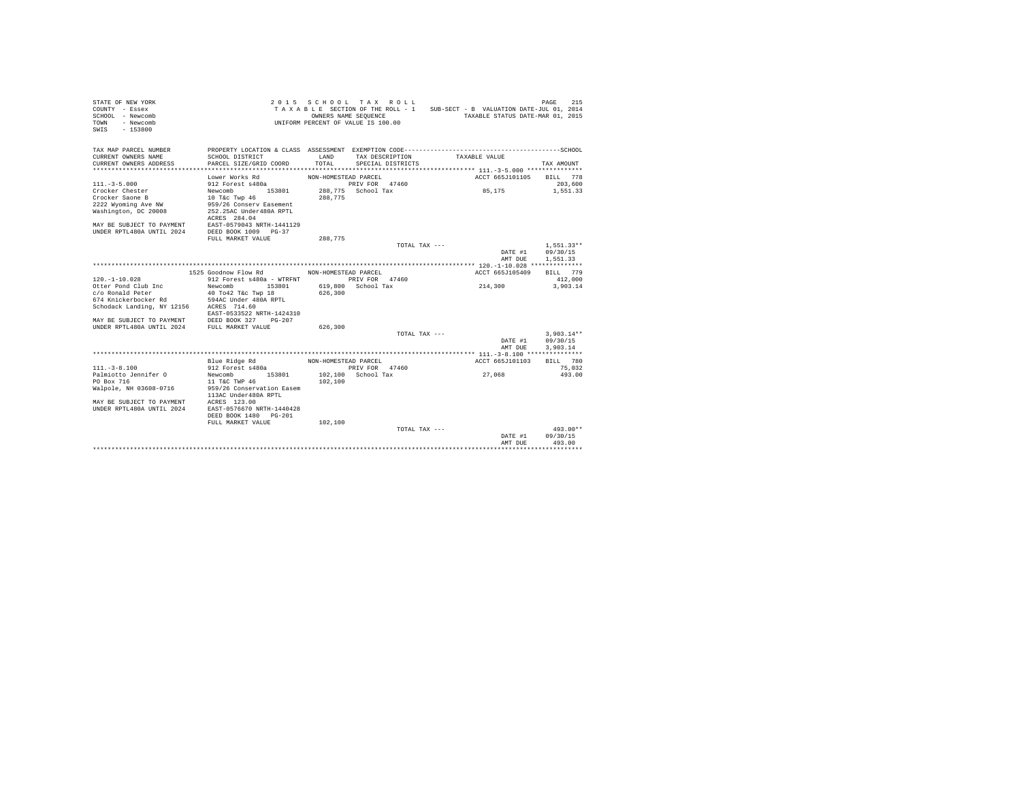| STATE OF NEW YORK<br>2015 SCHOOL TAX ROLL<br>215<br>PAGE<br>TAXABLE SECTION OF THE ROLL - 1 SUB-SECT - B VALUATION DATE-JUL 01, 2014<br>COUNTY - Essex<br>SCHOOL - Newcomb<br>OWNERS NAME SEQUENCE<br>TAXABLE STATUS DATE-MAR 01, 2015<br>UNIFORM PERCENT OF VALUE IS 100.00<br>- Newcomb<br>TOWN<br>$SWTS = 153800$ |                           |                      |                    |                                          |                        |  |  |  |  |  |
|----------------------------------------------------------------------------------------------------------------------------------------------------------------------------------------------------------------------------------------------------------------------------------------------------------------------|---------------------------|----------------------|--------------------|------------------------------------------|------------------------|--|--|--|--|--|
| TAX MAP PARCEL NUMBER                                                                                                                                                                                                                                                                                                |                           |                      |                    |                                          |                        |  |  |  |  |  |
| CURRENT OWNERS NAME                                                                                                                                                                                                                                                                                                  | SCHOOL DISTRICT           | LAND                 | TAX DESCRIPTION    | TAXABLE VALUE                            |                        |  |  |  |  |  |
| CURRENT OWNERS ADDRESS                                                                                                                                                                                                                                                                                               | PARCEL SIZE/GRID COORD    | TOTAL                | SPECIAL DISTRICTS  |                                          | TAX AMOUNT             |  |  |  |  |  |
|                                                                                                                                                                                                                                                                                                                      | ************************* |                      |                    |                                          |                        |  |  |  |  |  |
|                                                                                                                                                                                                                                                                                                                      | Lower Works Rd            | NON-HOMESTEAD PARCEL |                    | ACCT 665J101105                          | BILL 778               |  |  |  |  |  |
| $111 - 3 - 5.000$                                                                                                                                                                                                                                                                                                    | 912 Forest s480a          |                      | PRIV FOR 47460     |                                          | 203,600                |  |  |  |  |  |
| Crocker Chester                                                                                                                                                                                                                                                                                                      | Newcomb<br>153801         |                      | 288.775 School Tax | 85,175                                   | 1,551.33               |  |  |  |  |  |
| Crocker Saone B                                                                                                                                                                                                                                                                                                      | 10 T&c Twp 46             | 288,775              |                    |                                          |                        |  |  |  |  |  |
| 2222 Wyoming Ave NW                                                                                                                                                                                                                                                                                                  | 959/26 Conserv Easement   |                      |                    |                                          |                        |  |  |  |  |  |
| Washington, DC 20008                                                                                                                                                                                                                                                                                                 | 252.25AC Under480A RPTL   |                      |                    |                                          |                        |  |  |  |  |  |
|                                                                                                                                                                                                                                                                                                                      | ACRES 284.04              |                      |                    |                                          |                        |  |  |  |  |  |
| MAY BE SUBJECT TO PAYMENT EAST-0579043 NRTH-1441129<br>UNDER RPTL480A UNTIL 2024 DEED BOOK 1009 PG-37                                                                                                                                                                                                                |                           |                      |                    |                                          |                        |  |  |  |  |  |
|                                                                                                                                                                                                                                                                                                                      | FULL MARKET VALUE         | 288.775              |                    |                                          |                        |  |  |  |  |  |
|                                                                                                                                                                                                                                                                                                                      |                           |                      | TOTAL TAX $---$    |                                          | $1.551.33**$           |  |  |  |  |  |
|                                                                                                                                                                                                                                                                                                                      |                           |                      |                    | DATE #1                                  | 09/30/15               |  |  |  |  |  |
|                                                                                                                                                                                                                                                                                                                      |                           |                      |                    | AMT DUE                                  | 1,551,33               |  |  |  |  |  |
|                                                                                                                                                                                                                                                                                                                      |                           |                      |                    |                                          |                        |  |  |  |  |  |
|                                                                                                                                                                                                                                                                                                                      | 1525 Goodnow Flow Rd      | NON-HOMESTEAD PARCEL |                    | ACCT 665J105409                          | BILL 779               |  |  |  |  |  |
| $120. - 1 - 10.028$                                                                                                                                                                                                                                                                                                  | 912 Forest s480a - WTRFNT |                      | PRIV FOR 47460     |                                          | 412,000                |  |  |  |  |  |
| Otter Pond Club Inc                                                                                                                                                                                                                                                                                                  | Newcomb<br>153801         |                      | 619,800 School Tax | 214,300                                  | 3,903.14               |  |  |  |  |  |
| c/o Ronald Peter                                                                                                                                                                                                                                                                                                     | 40 To42 T&c Twp 18        | 626,300              |                    |                                          |                        |  |  |  |  |  |
| 674 Knickerbocker Rd                                                                                                                                                                                                                                                                                                 | 594AC Under 480A RPTL     |                      |                    |                                          |                        |  |  |  |  |  |
| Schodack Landing, NY 12156 ACRES 714.60                                                                                                                                                                                                                                                                              |                           |                      |                    |                                          |                        |  |  |  |  |  |
|                                                                                                                                                                                                                                                                                                                      | EAST-0533522 NRTH-1424310 |                      |                    |                                          |                        |  |  |  |  |  |
| MAY BE SUBJECT TO PAYMENT DEED BOOK 327 PG-207<br>UNDER RPTL480A UNTIL 2024 FULL MARKET VALUE                                                                                                                                                                                                                        |                           |                      |                    |                                          |                        |  |  |  |  |  |
|                                                                                                                                                                                                                                                                                                                      |                           | 626,300              | TOTAL TAX ---      |                                          | $3.903.14**$           |  |  |  |  |  |
|                                                                                                                                                                                                                                                                                                                      |                           |                      |                    | DATE #1                                  | 09/30/15               |  |  |  |  |  |
|                                                                                                                                                                                                                                                                                                                      |                           |                      |                    | AMT DUE                                  | 3.903.14               |  |  |  |  |  |
|                                                                                                                                                                                                                                                                                                                      |                           |                      |                    | *********** 111.-3-8.100 *************** |                        |  |  |  |  |  |
|                                                                                                                                                                                                                                                                                                                      | Blue Ridge Rd             | NON-HOMESTEAD PARCEL |                    | ACCT 665J101103                          | BTLL 780               |  |  |  |  |  |
| $111. - 3 - 8.100$                                                                                                                                                                                                                                                                                                   | 912 Forest s480a          |                      | PRIV FOR 47460     |                                          | 75,032                 |  |  |  |  |  |
| Palmiotto Jennifer O                                                                                                                                                                                                                                                                                                 | Newcomb 153801            |                      | 102.100 School Tax | 27,068                                   | 493.00                 |  |  |  |  |  |
| PO Box 716                                                                                                                                                                                                                                                                                                           | 11 T&C TWP 46             | 102,100              |                    |                                          |                        |  |  |  |  |  |
| Walpole, NH 03608-0716                                                                                                                                                                                                                                                                                               | 959/26 Conservation Easem |                      |                    |                                          |                        |  |  |  |  |  |
|                                                                                                                                                                                                                                                                                                                      | 113AC Under480A RPTL      |                      |                    |                                          |                        |  |  |  |  |  |
| MAY BE SUBJECT TO PAYMENT ACRES 123.00<br>UNDER RPTL480A UNTIL 2024 EAST-0576670 P                                                                                                                                                                                                                                   |                           |                      |                    |                                          |                        |  |  |  |  |  |
|                                                                                                                                                                                                                                                                                                                      | EAST-0576670 NRTH-1440428 |                      |                    |                                          |                        |  |  |  |  |  |
|                                                                                                                                                                                                                                                                                                                      | DEED BOOK 1480 PG-201     |                      |                    |                                          |                        |  |  |  |  |  |
|                                                                                                                                                                                                                                                                                                                      | FULL MARKET VALUE         | 102,100              |                    |                                          |                        |  |  |  |  |  |
|                                                                                                                                                                                                                                                                                                                      |                           |                      | TOTAL TAX ---      | DATE #1                                  | $493.00**$<br>09/30/15 |  |  |  |  |  |
|                                                                                                                                                                                                                                                                                                                      |                           |                      |                    | AMT DUE                                  | 493.00                 |  |  |  |  |  |
|                                                                                                                                                                                                                                                                                                                      |                           |                      |                    |                                          |                        |  |  |  |  |  |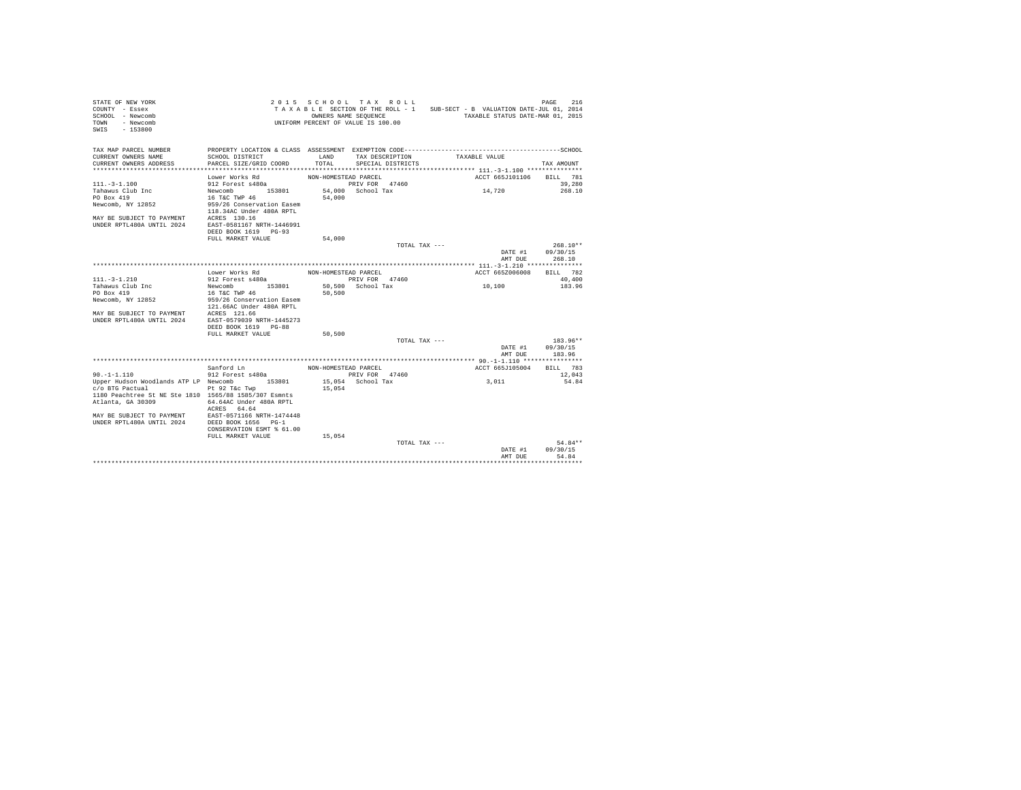| STATE OF NEW YORK<br>COUNTY - Essex<br>SCHOOL - Newcomb<br>TOWN - Newcomb<br>$-153800$<br>SWIS |                                                       |                      | 2015 SCHOOL TAX ROLL<br>UNIFORM PERCENT OF VALUE IS 100.00 | TAXABLE SECTION OF THE ROLL - 1 SUB-SECT - B VALUATION DATE-JUL 01, 2014<br>OWNERS NAME SEQUENCE TAXABLE STATUS DATE-MAR 01, 2015 | 216<br>PAGE      |
|------------------------------------------------------------------------------------------------|-------------------------------------------------------|----------------------|------------------------------------------------------------|-----------------------------------------------------------------------------------------------------------------------------------|------------------|
| TAX MAP PARCEL NUMBER<br>CURRENT OWNERS NAME                                                   | SCHOOL DISTRICT                                       | LAND                 | TAX DESCRIPTION                                            | TAXABLE VALUE                                                                                                                     |                  |
| CURRENT OWNERS ADDRESS                                                                         | PARCEL SIZE/GRID COORD                                | TOTAL.               | SPECIAL DISTRICTS                                          |                                                                                                                                   | TAX AMOUNT       |
|                                                                                                | Lower Works Rd                                        | NON-HOMESTEAD PARCEL |                                                            | ACCT 665J101106 BILL 781                                                                                                          |                  |
| $111 - 3 - 1.100$                                                                              | 912 Forest s480a                                      |                      | PRIV FOR 47460                                             |                                                                                                                                   | 39,280           |
| Tahawus Club Inc                                                                               | Newcomb 153801                                        |                      | 54,000 School Tax                                          | 14,720                                                                                                                            | 268.10           |
| PO Box 419                                                                                     | 16 T&C TWP 46                                         | 54,000               |                                                            |                                                                                                                                   |                  |
| Newcomb, NY 12852                                                                              | 959/26 Conservation Easem<br>118.34AC Under 480A RPTL |                      |                                                            |                                                                                                                                   |                  |
|                                                                                                |                                                       |                      |                                                            |                                                                                                                                   |                  |
| MAY BE SUBJECT TO PAYMENT ACRES 130.16<br>UNDER RPTL480A UNTIL 2024 EAST-0581167 NRTH-1446991  |                                                       |                      |                                                            |                                                                                                                                   |                  |
|                                                                                                | DEED BOOK 1619 PG-93                                  |                      |                                                            |                                                                                                                                   |                  |
|                                                                                                | FULL MARKET VALUE                                     | 54,000               |                                                            |                                                                                                                                   |                  |
|                                                                                                |                                                       |                      | TOTAL TAX ---                                              |                                                                                                                                   | $268.10**$       |
|                                                                                                |                                                       |                      |                                                            | DATE #1                                                                                                                           | 09/30/15         |
|                                                                                                |                                                       |                      |                                                            | AMT DUE                                                                                                                           | 268.10           |
|                                                                                                | Lower Works Rd MON-HOMESTEAD PARCEL                   |                      |                                                            | ACCT 665Z006008                                                                                                                   | BILL 782         |
| $111.-3-1.210$                                                                                 | 912 Forest s480a                                      |                      | PRIV FOR 47460                                             |                                                                                                                                   | 40,400           |
| Tahawus Club Inc                                                                               | Newcomb 153801                                        |                      | 50,500 School Tax                                          | 10,100                                                                                                                            | 183.96           |
| PO Box 419                                                                                     | 16 T&C TWP 46                                         | 50,500               |                                                            |                                                                                                                                   |                  |
| Newcomb, NY 12852                                                                              | 959/26 Conservation Easem                             |                      |                                                            |                                                                                                                                   |                  |
| MAY BE SUBJECT TO PAYMENT ACRES 121.66                                                         | 121.66AC Under 480A RPTL                              |                      |                                                            |                                                                                                                                   |                  |
| UNDER RPTL480A UNTIL 2024 EAST-0579039 NRTH-1445273                                            |                                                       |                      |                                                            |                                                                                                                                   |                  |
|                                                                                                | DEED BOOK 1619 PG-88                                  |                      |                                                            |                                                                                                                                   |                  |
|                                                                                                | FULL MARKET VALUE                                     | 50,500               |                                                            |                                                                                                                                   |                  |
|                                                                                                |                                                       |                      | TOTAL TAX ---                                              |                                                                                                                                   | 183.96**         |
|                                                                                                |                                                       |                      |                                                            | DATE #1 09/30/15                                                                                                                  |                  |
|                                                                                                |                                                       |                      |                                                            | AMT DUE                                                                                                                           | 183.96           |
|                                                                                                | Sanford Ln                                            | NON-HOMESTEAD PARCEL |                                                            | ACCT 665J105004                                                                                                                   | BILL 783         |
| $90. -1 - 1.110$                                                                               | 912 Forest s480a                                      |                      | PRIV FOR 47460                                             |                                                                                                                                   | 12,043           |
| Upper Hudson Woodlands ATP LP Newcomb 153801                                                   |                                                       |                      | 15,054 School Tax                                          | 3,011                                                                                                                             | 54.84            |
| c/o BTG Pactual                                                                                | Pt 92 T&c Twp                                         | 15,054               |                                                            |                                                                                                                                   |                  |
| 1180 Peachtree St NE Ste 1810 1565/88 1585/307 Esmnts                                          |                                                       |                      |                                                            |                                                                                                                                   |                  |
| Atlanta, GA 30309                                                                              | 64.64AC Under 480A RPTL                               |                      |                                                            |                                                                                                                                   |                  |
| MAY BE SUBJECT TO PAYMENT EAST-0571166 NRTH-1474448                                            | ACRES 64.64                                           |                      |                                                            |                                                                                                                                   |                  |
| UNDER RPTL480A UNTIL 2024 DEED BOOK 1656 PG-1                                                  |                                                       |                      |                                                            |                                                                                                                                   |                  |
|                                                                                                | CONSERVATION ESMT % 61.00                             |                      |                                                            |                                                                                                                                   |                  |
|                                                                                                | FULL MARKET VALUE                                     | 15,054               |                                                            |                                                                                                                                   |                  |
|                                                                                                |                                                       |                      | TOTAL TAX ---                                              |                                                                                                                                   | $54.84**$        |
|                                                                                                |                                                       |                      |                                                            | DATE #1                                                                                                                           | 09/30/15         |
|                                                                                                |                                                       |                      |                                                            | AMT DUE                                                                                                                           | 54.84<br>******* |
|                                                                                                |                                                       |                      |                                                            |                                                                                                                                   |                  |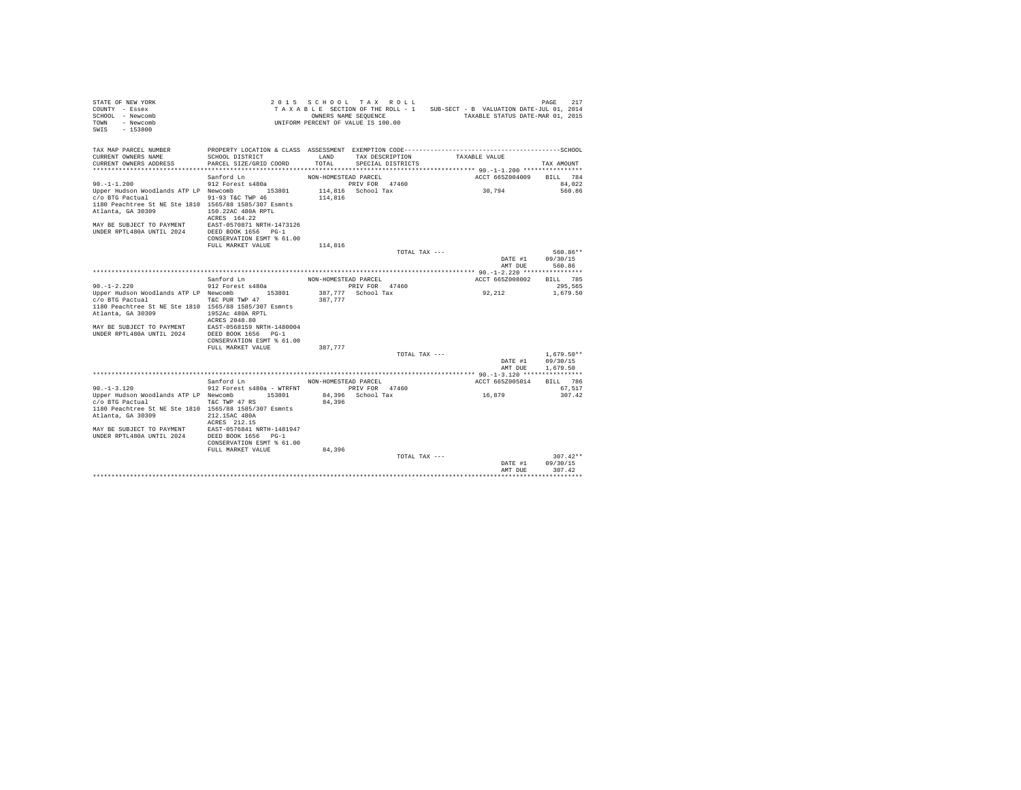| STATE OF NEW YORK<br>COUNTY - Essex<br>SCHOOL - Newcomb<br>- Newcomb<br>TOWN<br>$-153800$<br>SWIS |                                                                                                                 | OWNERS NAME SEQUENCE | 2015 SCHOOL TAX ROLL<br>UNIFORM PERCENT OF VALUE IS 100.00 |               | TAXABLE SECTION OF THE ROLL - 1 SUB-SECT - B VALUATION DATE-JUL 01, 2014<br>TAXABLE STATUS DATE-MAR 01, 2015 | 217<br>PAGE        |
|---------------------------------------------------------------------------------------------------|-----------------------------------------------------------------------------------------------------------------|----------------------|------------------------------------------------------------|---------------|--------------------------------------------------------------------------------------------------------------|--------------------|
| TAX MAP PARCEL NUMBER<br>CURRENT OWNERS NAME                                                      | PROPERTY LOCATION & CLASS ASSESSMENT EXEMPTION CODE-----------------------------------SCHOOL<br>SCHOOL DISTRICT | LAND                 | TAX DESCRIPTION                                            |               | TAXABLE VALUE                                                                                                |                    |
| CURRENT OWNERS ADDRESS                                                                            | PARCEL SIZE/GRID COORD                                                                                          | TOTAL                | SPECIAL DISTRICTS                                          |               |                                                                                                              | TAX AMOUNT         |
|                                                                                                   | Sanford Ln                                                                                                      | NON-HOMESTEAD PARCEL |                                                            |               | ACCT 665Z004009                                                                                              | BILL 784           |
| $90. -1 - 1.200$                                                                                  | 912 Forest s480a                                                                                                |                      | PRIV FOR 47460                                             |               |                                                                                                              | 84.022             |
| Upper Hudson Woodlands ATP LP Newcomb 153801                                                      |                                                                                                                 |                      | 114,816 School Tax                                         |               | 30,794                                                                                                       | 560.86             |
| c/o BTG Pactual<br>1180 Peachtree St NE Ste 1810 1565/88 1585/307 Esmnts                          | 91-93 T&C TWP 46                                                                                                | 114,816              |                                                            |               |                                                                                                              |                    |
| Atlanta, GA 30309                                                                                 | 150.22AC 480A RPTL                                                                                              |                      |                                                            |               |                                                                                                              |                    |
|                                                                                                   | ACRES 164.22                                                                                                    |                      |                                                            |               |                                                                                                              |                    |
| MAY BE SUBJECT TO PAYMENT<br>UNDER RPTL480A UNTIL 2024                                            | EAST-0570871 NRTH-1473126<br>DEED BOOK 1656 PG-1                                                                |                      |                                                            |               |                                                                                                              |                    |
|                                                                                                   | CONSERVATION ESMT % 61.00                                                                                       |                      |                                                            |               |                                                                                                              |                    |
|                                                                                                   | FULL MARKET VALUE                                                                                               | 114,816              |                                                            |               |                                                                                                              |                    |
|                                                                                                   |                                                                                                                 |                      |                                                            | TOTAL TAX --- |                                                                                                              | 560.86**           |
|                                                                                                   |                                                                                                                 |                      |                                                            |               | DATE #1                                                                                                      | 09/30/15           |
|                                                                                                   |                                                                                                                 |                      |                                                            |               | AMT DUE                                                                                                      | 560.86             |
|                                                                                                   | Sanford Ln                                                                                                      |                      |                                                            |               | ACCT 665Z008002                                                                                              | BILL 785           |
| $90. -1 - 2.220$                                                                                  | 912 Forest s480a                                                                                                | NON-HOMESTEAD PARCEL | PRIV FOR 47460                                             |               |                                                                                                              | 295,565            |
| Upper Hudson Woodlands ATP LP Newcomb 153801                                                      |                                                                                                                 |                      | 387,777 School Tax                                         |               | 92,212                                                                                                       | 1,679.50           |
| c/o BTG Pactual                                                                                   | T&C PUR TWP 47                                                                                                  | 387,777              |                                                            |               |                                                                                                              |                    |
| 1180 Peachtree St NE Ste 1810 1565/88 1585/307 Esmnts                                             |                                                                                                                 |                      |                                                            |               |                                                                                                              |                    |
| Atlanta, GA 30309                                                                                 | 1952Ac 480A RPTL                                                                                                |                      |                                                            |               |                                                                                                              |                    |
|                                                                                                   | ACRES 2048.80<br>EAST-0568159 NRTH-1480004                                                                      |                      |                                                            |               |                                                                                                              |                    |
| MAY BE SUBJECT TO PAYMENT<br>UNDER RPTL480A UNTIL 2024                                            | DEED BOOK 1656 PG-1                                                                                             |                      |                                                            |               |                                                                                                              |                    |
|                                                                                                   | CONSERVATION ESMT % 61.00                                                                                       |                      |                                                            |               |                                                                                                              |                    |
|                                                                                                   | FULL MARKET VALUE                                                                                               | 387,777              |                                                            |               |                                                                                                              |                    |
|                                                                                                   |                                                                                                                 |                      |                                                            | TOTAL TAX --- |                                                                                                              | $1.679.50**$       |
|                                                                                                   |                                                                                                                 |                      |                                                            |               | DATE #1                                                                                                      | 09/30/15           |
|                                                                                                   |                                                                                                                 |                      |                                                            |               | AMT DUE                                                                                                      | 1,679.50           |
|                                                                                                   | Sanford Ln                                                                                                      | NON-HOMESTEAD PARCEL |                                                            |               | ACCT 665Z005014                                                                                              | BILL 786           |
| $90. -1 - 3.120$                                                                                  | 912 Forest s480a - WTRFNT                                                                                       |                      | PRIV FOR 47460                                             |               |                                                                                                              | 67.517             |
| Upper Hudson Woodlands ATP LP Newcomb                                                             | 153801                                                                                                          |                      | 84.396 School Tax                                          |               | 16,879                                                                                                       | 307.42             |
| c/o BTG Pactual                                                                                   | T&C TWP 47 RS                                                                                                   | 84,396               |                                                            |               |                                                                                                              |                    |
| 1180 Peachtree St NE Ste 1810 1565/88 1585/307 Esmnts                                             |                                                                                                                 |                      |                                                            |               |                                                                                                              |                    |
| Atlanta, GA 30309                                                                                 | 212.15AC 480A<br>ACRES 212.15                                                                                   |                      |                                                            |               |                                                                                                              |                    |
| MAY BE SUBJECT TO PAYMENT                                                                         | EAST-0576841 NRTH-1481947                                                                                       |                      |                                                            |               |                                                                                                              |                    |
| UNDER RPTL480A UNTIL 2024                                                                         | DEED BOOK 1656 PG-1                                                                                             |                      |                                                            |               |                                                                                                              |                    |
|                                                                                                   | CONSERVATION ESMT % 61.00                                                                                       |                      |                                                            |               |                                                                                                              |                    |
|                                                                                                   | FULL MARKET VALUE                                                                                               | 84,396               |                                                            |               |                                                                                                              |                    |
|                                                                                                   |                                                                                                                 |                      |                                                            | TOTAL TAX --- |                                                                                                              | $307.42**$         |
|                                                                                                   |                                                                                                                 |                      |                                                            |               | DATE #1<br>AMT DUE                                                                                           | 09/30/15<br>307.42 |
|                                                                                                   |                                                                                                                 |                      |                                                            |               |                                                                                                              |                    |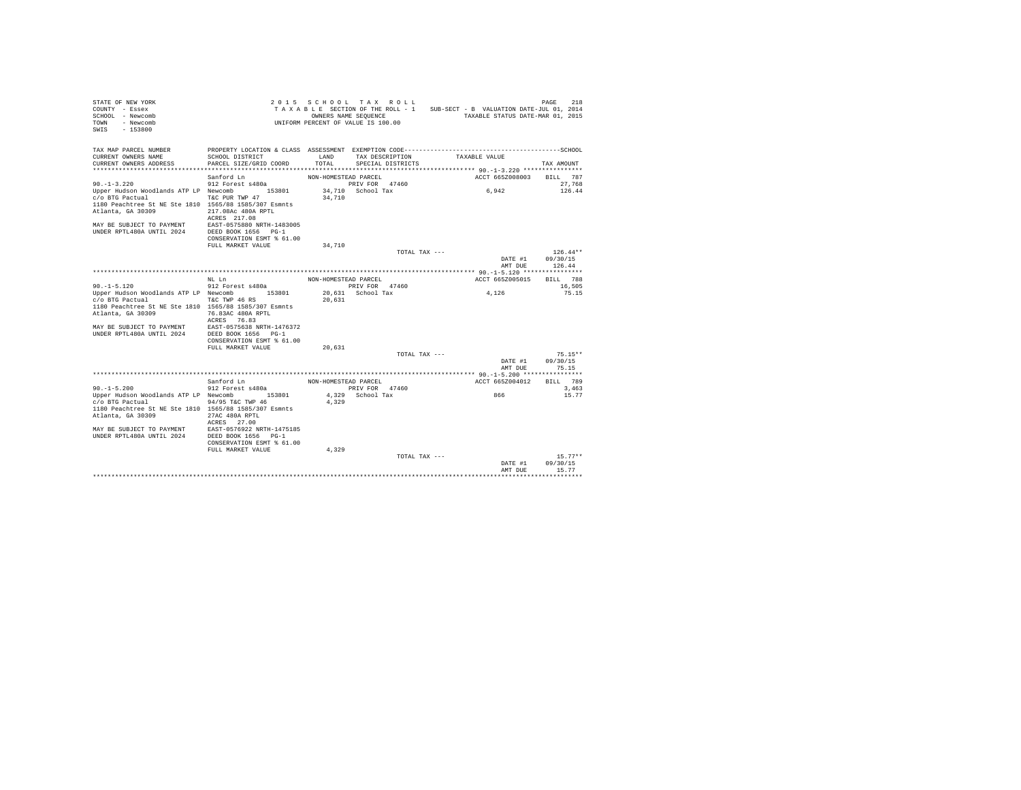| TAX MAP PARCEL NUMBER<br>PROPERTY LOCATION & CLASS ASSESSMENT EXEMPTION CODE-----------------------------------SCHOOL<br>CURRENT OWNERS NAME<br>SCHOOL DISTRICT<br>LAND<br>TAX DESCRIPTION<br>TAXABLE VALUE<br>CURRENT OWNERS ADDRESS<br>PARCEL SIZE/GRID COORD<br>TOTAL.<br>SPECIAL DISTRICTS<br>TAX AMOUNT<br>ACCT 665Z008003<br>Sanford Ln<br>NON-HOMESTEAD PARCEL<br>BILL 787<br>$90. -1 - 3.220$<br>912 Forest s480a<br>PRIV FOR 47460<br>27.768<br>Upper Hudson Woodlands ATP LP Newcomb 153801<br>34.710 School Tax<br>6,942<br>126.44<br>c/o BTG Pactual<br>T&C PUR TWP 47<br>34,710<br>1180 Peachtree St NE Ste 1810 1565/88 1585/307 Esmnts<br>Atlanta, GA 30309<br>217.08Ac 480A RPTL<br>ACRES 217.08<br>EAST-0575880 NRTH-1483005<br>MAY BE SUBJECT TO PAYMENT<br>UNDER RPTL480A UNTIL 2024<br>DEED BOOK 1656 PG-1<br>CONSERVATION ESMT % 61.00<br>34,710<br>FULL MARKET VALUE<br>$126.44**$<br>TOTAL TAX ---<br>DATE #1<br>09/30/15<br>126.44<br>AMT DUE<br>BILL 788<br>ACCT 665Z005015<br>NT. T.n<br>NON-HOMESTEAD PARCEL<br>$90. -1 - 5.120$<br>912 Forest s480a<br>PRIV FOR 47460<br>16,505<br>4,126<br>Upper Hudson Woodlands ATP LP Newcomb 153801<br>20.631 School Tax<br>75.15<br>c/o BTG Pactual<br>T&C TWP 46 RS<br>20,631<br>1180 Peachtree St NE Ste 1810 1565/88 1585/307 Esmnts<br>Atlanta, GA 30309<br>76.83AC 480A RPTL<br>ACRES 76.83<br>MAY BE SUBJECT TO PAYMENT EAST-0575638 NRTH-1476372<br>UNDER RPTL480A UNTIL 2024<br>DEED BOOK 1656 PG-1<br>CONSERVATION ESMT % 61.00<br>FULL MARKET VALUE<br>20,631<br>$75.15**$<br>TOTAL TAX ---<br>DATE #1<br>09/30/15<br>75.15<br>AMT DUE<br>BILL 789<br>Sanford Ln<br>NON-HOMESTEAD PARCEL<br>ACCT 665Z004012<br>$90. -1 - 5.200$<br>912 Forest s480a<br>PRIV FOR 47460<br>3,463<br>4,329 School Tax<br>15.77<br>Upper Hudson Woodlands ATP LP Newcomb 153801<br>866<br>c/o BTG Pactual<br>94/95 T&C TWP 46<br>4.329<br>1180 Peachtree St NE Ste 1810 1565/88 1585/307 Esmnts<br>Atlanta, GA 30309<br>27AC 480A RPTL<br>ACRES 27.00<br>EAST-0576922 NRTH-1475185<br>MAY BE SUBJECT TO PAYMENT<br>UNDER RPTL480A UNTIL 2024<br>DEED BOOK 1656 PG-1<br>CONSERVATION ESMT % 61.00<br>FULL MARKET VALUE<br>4,329<br>$15.77**$<br>TOTAL TAX ---<br>DATE #1<br>09/30/15<br>15.77<br>AMT DUE<br>******** | STATE OF NEW YORK<br>COUNTY - Essex<br>SCHOOL - Newcomb<br>TOWN - Newcomb<br>SWIS - 153800 |  | 2015 SCHOOL TAX ROLL<br>OWNERS NAME SEQUENCE<br>UNIFORM PERCENT OF VALUE IS 100.00 | TAXABLE SECTION OF THE ROLL - 1 SUB-SECT - B VALUATION DATE-JUL 01, 2014<br>TAXABLE STATUS DATE-MAR 01, 2015 | 218<br>PAGE |
|-----------------------------------------------------------------------------------------------------------------------------------------------------------------------------------------------------------------------------------------------------------------------------------------------------------------------------------------------------------------------------------------------------------------------------------------------------------------------------------------------------------------------------------------------------------------------------------------------------------------------------------------------------------------------------------------------------------------------------------------------------------------------------------------------------------------------------------------------------------------------------------------------------------------------------------------------------------------------------------------------------------------------------------------------------------------------------------------------------------------------------------------------------------------------------------------------------------------------------------------------------------------------------------------------------------------------------------------------------------------------------------------------------------------------------------------------------------------------------------------------------------------------------------------------------------------------------------------------------------------------------------------------------------------------------------------------------------------------------------------------------------------------------------------------------------------------------------------------------------------------------------------------------------------------------------------------------------------------------------------------------------------------------------------------------------------------------------------------------------------------------------------------------------------------------------------------------------------------------------------------------------------------------|--------------------------------------------------------------------------------------------|--|------------------------------------------------------------------------------------|--------------------------------------------------------------------------------------------------------------|-------------|
|                                                                                                                                                                                                                                                                                                                                                                                                                                                                                                                                                                                                                                                                                                                                                                                                                                                                                                                                                                                                                                                                                                                                                                                                                                                                                                                                                                                                                                                                                                                                                                                                                                                                                                                                                                                                                                                                                                                                                                                                                                                                                                                                                                                                                                                                             |                                                                                            |  |                                                                                    |                                                                                                              |             |
|                                                                                                                                                                                                                                                                                                                                                                                                                                                                                                                                                                                                                                                                                                                                                                                                                                                                                                                                                                                                                                                                                                                                                                                                                                                                                                                                                                                                                                                                                                                                                                                                                                                                                                                                                                                                                                                                                                                                                                                                                                                                                                                                                                                                                                                                             |                                                                                            |  |                                                                                    |                                                                                                              |             |
|                                                                                                                                                                                                                                                                                                                                                                                                                                                                                                                                                                                                                                                                                                                                                                                                                                                                                                                                                                                                                                                                                                                                                                                                                                                                                                                                                                                                                                                                                                                                                                                                                                                                                                                                                                                                                                                                                                                                                                                                                                                                                                                                                                                                                                                                             |                                                                                            |  |                                                                                    |                                                                                                              |             |
|                                                                                                                                                                                                                                                                                                                                                                                                                                                                                                                                                                                                                                                                                                                                                                                                                                                                                                                                                                                                                                                                                                                                                                                                                                                                                                                                                                                                                                                                                                                                                                                                                                                                                                                                                                                                                                                                                                                                                                                                                                                                                                                                                                                                                                                                             |                                                                                            |  |                                                                                    |                                                                                                              |             |
|                                                                                                                                                                                                                                                                                                                                                                                                                                                                                                                                                                                                                                                                                                                                                                                                                                                                                                                                                                                                                                                                                                                                                                                                                                                                                                                                                                                                                                                                                                                                                                                                                                                                                                                                                                                                                                                                                                                                                                                                                                                                                                                                                                                                                                                                             |                                                                                            |  |                                                                                    |                                                                                                              |             |
|                                                                                                                                                                                                                                                                                                                                                                                                                                                                                                                                                                                                                                                                                                                                                                                                                                                                                                                                                                                                                                                                                                                                                                                                                                                                                                                                                                                                                                                                                                                                                                                                                                                                                                                                                                                                                                                                                                                                                                                                                                                                                                                                                                                                                                                                             |                                                                                            |  |                                                                                    |                                                                                                              |             |
|                                                                                                                                                                                                                                                                                                                                                                                                                                                                                                                                                                                                                                                                                                                                                                                                                                                                                                                                                                                                                                                                                                                                                                                                                                                                                                                                                                                                                                                                                                                                                                                                                                                                                                                                                                                                                                                                                                                                                                                                                                                                                                                                                                                                                                                                             |                                                                                            |  |                                                                                    |                                                                                                              |             |
|                                                                                                                                                                                                                                                                                                                                                                                                                                                                                                                                                                                                                                                                                                                                                                                                                                                                                                                                                                                                                                                                                                                                                                                                                                                                                                                                                                                                                                                                                                                                                                                                                                                                                                                                                                                                                                                                                                                                                                                                                                                                                                                                                                                                                                                                             |                                                                                            |  |                                                                                    |                                                                                                              |             |
|                                                                                                                                                                                                                                                                                                                                                                                                                                                                                                                                                                                                                                                                                                                                                                                                                                                                                                                                                                                                                                                                                                                                                                                                                                                                                                                                                                                                                                                                                                                                                                                                                                                                                                                                                                                                                                                                                                                                                                                                                                                                                                                                                                                                                                                                             |                                                                                            |  |                                                                                    |                                                                                                              |             |
|                                                                                                                                                                                                                                                                                                                                                                                                                                                                                                                                                                                                                                                                                                                                                                                                                                                                                                                                                                                                                                                                                                                                                                                                                                                                                                                                                                                                                                                                                                                                                                                                                                                                                                                                                                                                                                                                                                                                                                                                                                                                                                                                                                                                                                                                             |                                                                                            |  |                                                                                    |                                                                                                              |             |
|                                                                                                                                                                                                                                                                                                                                                                                                                                                                                                                                                                                                                                                                                                                                                                                                                                                                                                                                                                                                                                                                                                                                                                                                                                                                                                                                                                                                                                                                                                                                                                                                                                                                                                                                                                                                                                                                                                                                                                                                                                                                                                                                                                                                                                                                             |                                                                                            |  |                                                                                    |                                                                                                              |             |
|                                                                                                                                                                                                                                                                                                                                                                                                                                                                                                                                                                                                                                                                                                                                                                                                                                                                                                                                                                                                                                                                                                                                                                                                                                                                                                                                                                                                                                                                                                                                                                                                                                                                                                                                                                                                                                                                                                                                                                                                                                                                                                                                                                                                                                                                             |                                                                                            |  |                                                                                    |                                                                                                              |             |
|                                                                                                                                                                                                                                                                                                                                                                                                                                                                                                                                                                                                                                                                                                                                                                                                                                                                                                                                                                                                                                                                                                                                                                                                                                                                                                                                                                                                                                                                                                                                                                                                                                                                                                                                                                                                                                                                                                                                                                                                                                                                                                                                                                                                                                                                             |                                                                                            |  |                                                                                    |                                                                                                              |             |
|                                                                                                                                                                                                                                                                                                                                                                                                                                                                                                                                                                                                                                                                                                                                                                                                                                                                                                                                                                                                                                                                                                                                                                                                                                                                                                                                                                                                                                                                                                                                                                                                                                                                                                                                                                                                                                                                                                                                                                                                                                                                                                                                                                                                                                                                             |                                                                                            |  |                                                                                    |                                                                                                              |             |
|                                                                                                                                                                                                                                                                                                                                                                                                                                                                                                                                                                                                                                                                                                                                                                                                                                                                                                                                                                                                                                                                                                                                                                                                                                                                                                                                                                                                                                                                                                                                                                                                                                                                                                                                                                                                                                                                                                                                                                                                                                                                                                                                                                                                                                                                             |                                                                                            |  |                                                                                    |                                                                                                              |             |
|                                                                                                                                                                                                                                                                                                                                                                                                                                                                                                                                                                                                                                                                                                                                                                                                                                                                                                                                                                                                                                                                                                                                                                                                                                                                                                                                                                                                                                                                                                                                                                                                                                                                                                                                                                                                                                                                                                                                                                                                                                                                                                                                                                                                                                                                             |                                                                                            |  |                                                                                    |                                                                                                              |             |
|                                                                                                                                                                                                                                                                                                                                                                                                                                                                                                                                                                                                                                                                                                                                                                                                                                                                                                                                                                                                                                                                                                                                                                                                                                                                                                                                                                                                                                                                                                                                                                                                                                                                                                                                                                                                                                                                                                                                                                                                                                                                                                                                                                                                                                                                             |                                                                                            |  |                                                                                    |                                                                                                              |             |
|                                                                                                                                                                                                                                                                                                                                                                                                                                                                                                                                                                                                                                                                                                                                                                                                                                                                                                                                                                                                                                                                                                                                                                                                                                                                                                                                                                                                                                                                                                                                                                                                                                                                                                                                                                                                                                                                                                                                                                                                                                                                                                                                                                                                                                                                             |                                                                                            |  |                                                                                    |                                                                                                              |             |
|                                                                                                                                                                                                                                                                                                                                                                                                                                                                                                                                                                                                                                                                                                                                                                                                                                                                                                                                                                                                                                                                                                                                                                                                                                                                                                                                                                                                                                                                                                                                                                                                                                                                                                                                                                                                                                                                                                                                                                                                                                                                                                                                                                                                                                                                             |                                                                                            |  |                                                                                    |                                                                                                              |             |
|                                                                                                                                                                                                                                                                                                                                                                                                                                                                                                                                                                                                                                                                                                                                                                                                                                                                                                                                                                                                                                                                                                                                                                                                                                                                                                                                                                                                                                                                                                                                                                                                                                                                                                                                                                                                                                                                                                                                                                                                                                                                                                                                                                                                                                                                             |                                                                                            |  |                                                                                    |                                                                                                              |             |
|                                                                                                                                                                                                                                                                                                                                                                                                                                                                                                                                                                                                                                                                                                                                                                                                                                                                                                                                                                                                                                                                                                                                                                                                                                                                                                                                                                                                                                                                                                                                                                                                                                                                                                                                                                                                                                                                                                                                                                                                                                                                                                                                                                                                                                                                             |                                                                                            |  |                                                                                    |                                                                                                              |             |
|                                                                                                                                                                                                                                                                                                                                                                                                                                                                                                                                                                                                                                                                                                                                                                                                                                                                                                                                                                                                                                                                                                                                                                                                                                                                                                                                                                                                                                                                                                                                                                                                                                                                                                                                                                                                                                                                                                                                                                                                                                                                                                                                                                                                                                                                             |                                                                                            |  |                                                                                    |                                                                                                              |             |
|                                                                                                                                                                                                                                                                                                                                                                                                                                                                                                                                                                                                                                                                                                                                                                                                                                                                                                                                                                                                                                                                                                                                                                                                                                                                                                                                                                                                                                                                                                                                                                                                                                                                                                                                                                                                                                                                                                                                                                                                                                                                                                                                                                                                                                                                             |                                                                                            |  |                                                                                    |                                                                                                              |             |
|                                                                                                                                                                                                                                                                                                                                                                                                                                                                                                                                                                                                                                                                                                                                                                                                                                                                                                                                                                                                                                                                                                                                                                                                                                                                                                                                                                                                                                                                                                                                                                                                                                                                                                                                                                                                                                                                                                                                                                                                                                                                                                                                                                                                                                                                             |                                                                                            |  |                                                                                    |                                                                                                              |             |
|                                                                                                                                                                                                                                                                                                                                                                                                                                                                                                                                                                                                                                                                                                                                                                                                                                                                                                                                                                                                                                                                                                                                                                                                                                                                                                                                                                                                                                                                                                                                                                                                                                                                                                                                                                                                                                                                                                                                                                                                                                                                                                                                                                                                                                                                             |                                                                                            |  |                                                                                    |                                                                                                              |             |
|                                                                                                                                                                                                                                                                                                                                                                                                                                                                                                                                                                                                                                                                                                                                                                                                                                                                                                                                                                                                                                                                                                                                                                                                                                                                                                                                                                                                                                                                                                                                                                                                                                                                                                                                                                                                                                                                                                                                                                                                                                                                                                                                                                                                                                                                             |                                                                                            |  |                                                                                    |                                                                                                              |             |
|                                                                                                                                                                                                                                                                                                                                                                                                                                                                                                                                                                                                                                                                                                                                                                                                                                                                                                                                                                                                                                                                                                                                                                                                                                                                                                                                                                                                                                                                                                                                                                                                                                                                                                                                                                                                                                                                                                                                                                                                                                                                                                                                                                                                                                                                             |                                                                                            |  |                                                                                    |                                                                                                              |             |
|                                                                                                                                                                                                                                                                                                                                                                                                                                                                                                                                                                                                                                                                                                                                                                                                                                                                                                                                                                                                                                                                                                                                                                                                                                                                                                                                                                                                                                                                                                                                                                                                                                                                                                                                                                                                                                                                                                                                                                                                                                                                                                                                                                                                                                                                             |                                                                                            |  |                                                                                    |                                                                                                              |             |
|                                                                                                                                                                                                                                                                                                                                                                                                                                                                                                                                                                                                                                                                                                                                                                                                                                                                                                                                                                                                                                                                                                                                                                                                                                                                                                                                                                                                                                                                                                                                                                                                                                                                                                                                                                                                                                                                                                                                                                                                                                                                                                                                                                                                                                                                             |                                                                                            |  |                                                                                    |                                                                                                              |             |
|                                                                                                                                                                                                                                                                                                                                                                                                                                                                                                                                                                                                                                                                                                                                                                                                                                                                                                                                                                                                                                                                                                                                                                                                                                                                                                                                                                                                                                                                                                                                                                                                                                                                                                                                                                                                                                                                                                                                                                                                                                                                                                                                                                                                                                                                             |                                                                                            |  |                                                                                    |                                                                                                              |             |
|                                                                                                                                                                                                                                                                                                                                                                                                                                                                                                                                                                                                                                                                                                                                                                                                                                                                                                                                                                                                                                                                                                                                                                                                                                                                                                                                                                                                                                                                                                                                                                                                                                                                                                                                                                                                                                                                                                                                                                                                                                                                                                                                                                                                                                                                             |                                                                                            |  |                                                                                    |                                                                                                              |             |
|                                                                                                                                                                                                                                                                                                                                                                                                                                                                                                                                                                                                                                                                                                                                                                                                                                                                                                                                                                                                                                                                                                                                                                                                                                                                                                                                                                                                                                                                                                                                                                                                                                                                                                                                                                                                                                                                                                                                                                                                                                                                                                                                                                                                                                                                             |                                                                                            |  |                                                                                    |                                                                                                              |             |
|                                                                                                                                                                                                                                                                                                                                                                                                                                                                                                                                                                                                                                                                                                                                                                                                                                                                                                                                                                                                                                                                                                                                                                                                                                                                                                                                                                                                                                                                                                                                                                                                                                                                                                                                                                                                                                                                                                                                                                                                                                                                                                                                                                                                                                                                             |                                                                                            |  |                                                                                    |                                                                                                              |             |
|                                                                                                                                                                                                                                                                                                                                                                                                                                                                                                                                                                                                                                                                                                                                                                                                                                                                                                                                                                                                                                                                                                                                                                                                                                                                                                                                                                                                                                                                                                                                                                                                                                                                                                                                                                                                                                                                                                                                                                                                                                                                                                                                                                                                                                                                             |                                                                                            |  |                                                                                    |                                                                                                              |             |
|                                                                                                                                                                                                                                                                                                                                                                                                                                                                                                                                                                                                                                                                                                                                                                                                                                                                                                                                                                                                                                                                                                                                                                                                                                                                                                                                                                                                                                                                                                                                                                                                                                                                                                                                                                                                                                                                                                                                                                                                                                                                                                                                                                                                                                                                             |                                                                                            |  |                                                                                    |                                                                                                              |             |
|                                                                                                                                                                                                                                                                                                                                                                                                                                                                                                                                                                                                                                                                                                                                                                                                                                                                                                                                                                                                                                                                                                                                                                                                                                                                                                                                                                                                                                                                                                                                                                                                                                                                                                                                                                                                                                                                                                                                                                                                                                                                                                                                                                                                                                                                             |                                                                                            |  |                                                                                    |                                                                                                              |             |
|                                                                                                                                                                                                                                                                                                                                                                                                                                                                                                                                                                                                                                                                                                                                                                                                                                                                                                                                                                                                                                                                                                                                                                                                                                                                                                                                                                                                                                                                                                                                                                                                                                                                                                                                                                                                                                                                                                                                                                                                                                                                                                                                                                                                                                                                             |                                                                                            |  |                                                                                    |                                                                                                              |             |
|                                                                                                                                                                                                                                                                                                                                                                                                                                                                                                                                                                                                                                                                                                                                                                                                                                                                                                                                                                                                                                                                                                                                                                                                                                                                                                                                                                                                                                                                                                                                                                                                                                                                                                                                                                                                                                                                                                                                                                                                                                                                                                                                                                                                                                                                             |                                                                                            |  |                                                                                    |                                                                                                              |             |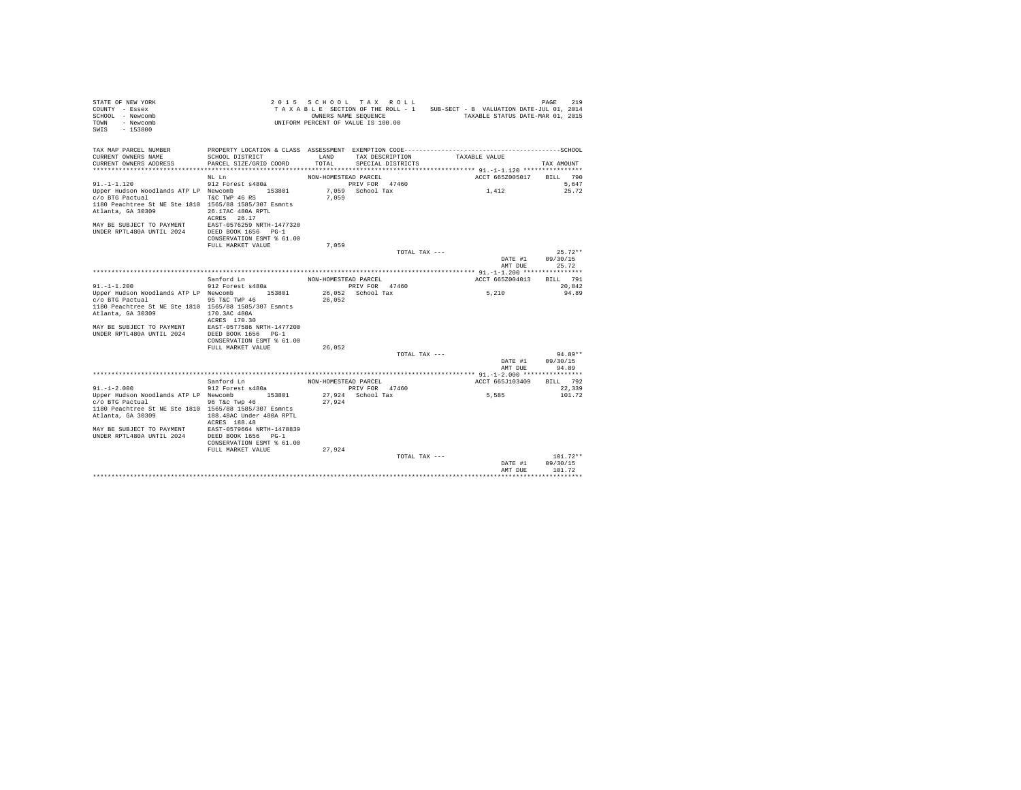| STATE OF NEW YORK<br>COUNTY - Essex<br>SCHOOL - Newcomb<br>TOWN - Newcomb<br>SWIS - 153800                                                    |                                                                                                                                                                            |                      | 2015 SCHOOL TAX ROLL<br>OWNERS NAME SEQUENCE<br>UNIFORM PERCENT OF VALUE IS 100.00 |               | TAXABLE SECTION OF THE ROLL - 1 SUB-SECT - B VALUATION DATE-JUL 01, 2014<br>TAXABLE STATUS DATE-MAR 01, 2015 | 219<br>PAGE       |
|-----------------------------------------------------------------------------------------------------------------------------------------------|----------------------------------------------------------------------------------------------------------------------------------------------------------------------------|----------------------|------------------------------------------------------------------------------------|---------------|--------------------------------------------------------------------------------------------------------------|-------------------|
| TAX MAP PARCEL NUMBER<br>CURRENT OWNERS NAME<br>CURRENT OWNERS ADDRESS                                                                        | PROPERTY LOCATION & CLASS ASSESSMENT EXEMPTION CODE-----------------------------------SCHOOL<br>SCHOOL DISTRICT<br>PARCEL SIZE/GRID COORD<br>***************************** | LAND<br>TOTAL.       | TAX DESCRIPTION<br>SPECIAL DISTRICTS                                               |               | TAXABLE VALUE                                                                                                | TAX AMOUNT        |
|                                                                                                                                               | NL Ln                                                                                                                                                                      | NON-HOMESTEAD PARCEL |                                                                                    |               | ACCT 665Z005017                                                                                              | BILL 790          |
| $91. - 1 - 1.120$                                                                                                                             | 912 Forest s480a                                                                                                                                                           |                      | PRIV FOR 47460                                                                     |               |                                                                                                              | 5.647             |
| Upper Hudson Woodlands ATP LP Newcomb 153801<br>c/o BTG Pactual<br>1180 Peachtree St NE Ste 1810 1565/88 1585/307 Esmnts<br>Atlanta, GA 30309 | T&C TWP 46 RS<br>26.17AC 480A RPTL                                                                                                                                         | 7.059                | 7,059 School Tax                                                                   |               | 1,412                                                                                                        | 25.72             |
| MAY BE SUBJECT TO PAYMENT EAST-0576259 NRTH-1477320<br>IINDER RPTL480A IINTIL 2024 DEED BOOK 1656 PG-1                                        | ACRES 26.17<br>CONSERVATION ESMT % 61.00                                                                                                                                   |                      |                                                                                    |               |                                                                                                              |                   |
|                                                                                                                                               | FULL MARKET VALUE                                                                                                                                                          | 7,059                |                                                                                    |               |                                                                                                              |                   |
|                                                                                                                                               |                                                                                                                                                                            |                      |                                                                                    | TOTAL TAX --- |                                                                                                              | $25.72**$         |
|                                                                                                                                               |                                                                                                                                                                            |                      |                                                                                    |               | DATE #1<br>AMT DUE                                                                                           | 09/30/15<br>25.72 |
|                                                                                                                                               |                                                                                                                                                                            |                      |                                                                                    |               |                                                                                                              |                   |
|                                                                                                                                               | Sanford Ln                                                                                                                                                                 | NON-HOMESTEAD PARCEL |                                                                                    |               | ACCT 665Z004013                                                                                              | BILL 791          |
| $91. -1 -1.200$                                                                                                                               | 912 Forest s480a                                                                                                                                                           |                      | PRIV FOR 47460                                                                     |               |                                                                                                              | 20.842            |
| Upper Hudson Woodlands ATP LP Newcomb 153801<br>c/o BTG Pactual                                                                               | 95 T&C TWP 46                                                                                                                                                              | 26.052               | 26.052 School Tax                                                                  |               | 5,210                                                                                                        | 94.89             |
| 1180 Peachtree St NE Ste 1810 1565/88 1585/307 Esmnts                                                                                         |                                                                                                                                                                            |                      |                                                                                    |               |                                                                                                              |                   |
| Atlanta, GA 30309                                                                                                                             | 170.3AC 480A                                                                                                                                                               |                      |                                                                                    |               |                                                                                                              |                   |
|                                                                                                                                               | ACRES 170.30                                                                                                                                                               |                      |                                                                                    |               |                                                                                                              |                   |
| MAY BE SUBJECT TO PAYMENT EAST-0577586 NRTH-1477200                                                                                           |                                                                                                                                                                            |                      |                                                                                    |               |                                                                                                              |                   |
| UNDER RPTL480A UNTIL 2024                                                                                                                     | DEED BOOK 1656 PG-1                                                                                                                                                        |                      |                                                                                    |               |                                                                                                              |                   |
|                                                                                                                                               | CONSERVATION ESMT % 61.00<br>FULL MARKET VALUE                                                                                                                             |                      |                                                                                    |               |                                                                                                              |                   |
|                                                                                                                                               |                                                                                                                                                                            | 26,052               |                                                                                    | TOTAL TAX --- |                                                                                                              | $94.89**$         |
|                                                                                                                                               |                                                                                                                                                                            |                      |                                                                                    |               | DATE #1                                                                                                      | 09/30/15          |
|                                                                                                                                               |                                                                                                                                                                            |                      |                                                                                    |               | AMT DUE                                                                                                      | 94.89             |
|                                                                                                                                               |                                                                                                                                                                            |                      |                                                                                    |               |                                                                                                              |                   |
| $91. - 1 - 2.000$                                                                                                                             | Sanford Ln                                                                                                                                                                 | NON-HOMESTEAD PARCEL |                                                                                    |               | ACCT 665J103409                                                                                              | BILL 792          |
| Upper Hudson Woodlands ATP LP Newcomb 153801                                                                                                  | 912 Forest s480a                                                                                                                                                           |                      | PRIV FOR 47460<br>27.924 School Tax                                                |               | 5,585                                                                                                        | 22,339<br>101.72  |
| c/o BTG Pactual                                                                                                                               | 96 T&c Twp 46                                                                                                                                                              | 27.924               |                                                                                    |               |                                                                                                              |                   |
| 1180 Peachtree St NE Ste 1810 1565/88 1585/307 Esmnts                                                                                         |                                                                                                                                                                            |                      |                                                                                    |               |                                                                                                              |                   |
| Atlanta, GA 30309                                                                                                                             | 188.48AC Under 480A RPTL<br>ACRES 188.48                                                                                                                                   |                      |                                                                                    |               |                                                                                                              |                   |
| MAY BE SUBJECT TO PAYMENT                                                                                                                     | EAST-0579664 NRTH-1478839                                                                                                                                                  |                      |                                                                                    |               |                                                                                                              |                   |
| UNDER RPTL480A UNTIL 2024                                                                                                                     | DEED BOOK 1656 PG-1<br>CONSERVATION ESMT % 61.00                                                                                                                           |                      |                                                                                    |               |                                                                                                              |                   |
|                                                                                                                                               | FULL MARKET VALUE                                                                                                                                                          | 27,924               |                                                                                    |               |                                                                                                              |                   |
|                                                                                                                                               |                                                                                                                                                                            |                      |                                                                                    | TOTAL TAX --- |                                                                                                              | $101.72**$        |
|                                                                                                                                               |                                                                                                                                                                            |                      |                                                                                    |               | DATE #1                                                                                                      | 09/30/15          |
|                                                                                                                                               |                                                                                                                                                                            |                      |                                                                                    |               | AMT DHE                                                                                                      | 101.72            |
|                                                                                                                                               |                                                                                                                                                                            |                      |                                                                                    |               |                                                                                                              |                   |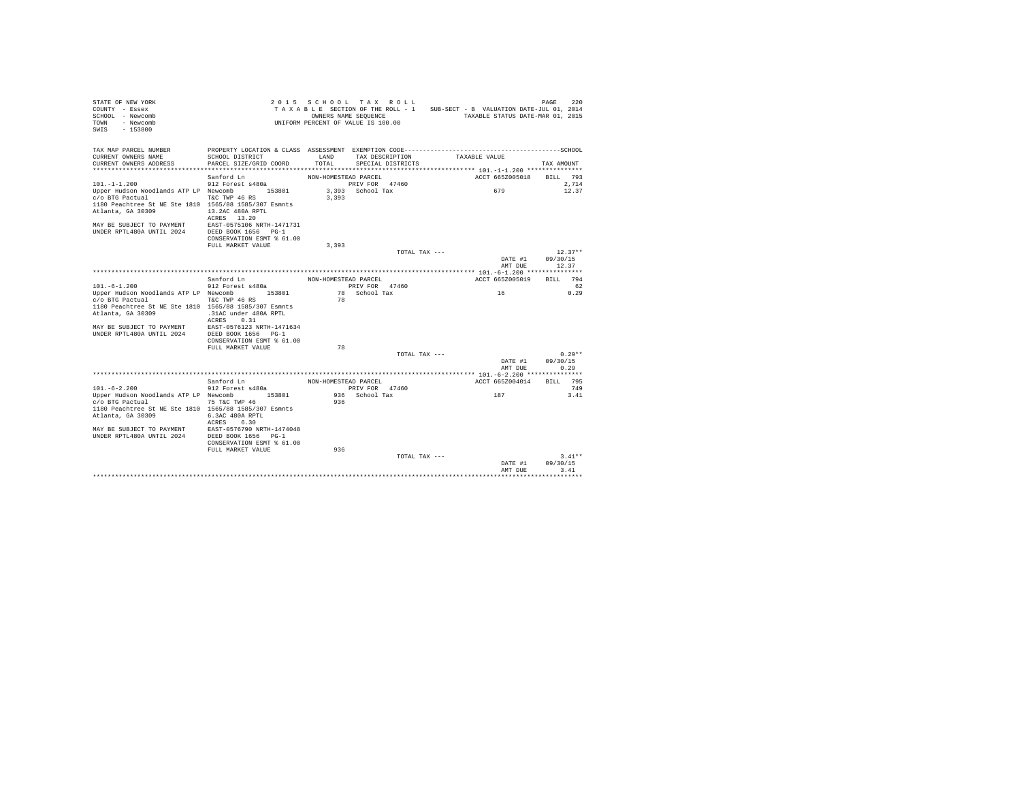| STATE OF NEW YORK<br>COUNTY - Essex<br>SCHOOL - Newcomb<br>- Newcomb<br>TOWN<br>$-153800$<br>SWIS                                                                                                                            |                                                                                                                                                           | OWNERS NAME SEQUENCE        | 2015 SCHOOL TAX ROLL<br>TAXABLE SECTION OF THE ROLL - 1 SUB-SECT - B VALUATION DATE-JUL 01, 2014<br>UNIFORM PERCENT OF VALUE IS 100.00 |               | TAXABLE STATUS DATE-MAR 01, 2015 | PAGE<br>220                    |
|------------------------------------------------------------------------------------------------------------------------------------------------------------------------------------------------------------------------------|-----------------------------------------------------------------------------------------------------------------------------------------------------------|-----------------------------|----------------------------------------------------------------------------------------------------------------------------------------|---------------|----------------------------------|--------------------------------|
| TAX MAP PARCEL NUMBER<br>CURRENT OWNERS NAME<br>CURRENT OWNERS ADDRESS                                                                                                                                                       | PROPERTY LOCATION & CLASS ASSESSMENT EXEMPTION CODE-----------------------------------SCHOOL<br>SCHOOL DISTRICT<br>PARCEL SIZE/GRID COORD                 | LAND<br>TOTAL               | TAX DESCRIPTION<br>SPECIAL DISTRICTS                                                                                                   | TAXABLE VALUE |                                  | TAX AMOUNT                     |
|                                                                                                                                                                                                                              | Sanford Ln                                                                                                                                                | NON-HOMESTEAD PARCEL        |                                                                                                                                        |               | ACCT 665Z005018                  | BILL 793                       |
| $101. -1 -1.200$<br>Upper Hudson Woodlands ATP LP Newcomb 153801<br>c/o BTG Pactual<br>1180 Peachtree St NE Ste 1810 1565/88 1585/307 Esmnts<br>Atlanta, GA 30309                                                            | 912 Forest s480a<br>T&C TWP 46 RS<br>13.2AC 480A RPTL<br>ACRES 13.20                                                                                      | 3,393                       | PRIV FOR 47460<br>3.393 School Tax                                                                                                     |               | 679                              | 2.714<br>12.37                 |
| MAY BE SUBJECT TO PAYMENT<br>UNDER RPTL480A UNTIL 2024                                                                                                                                                                       | EAST-0575106 NRTH-1471731<br>DEED BOOK 1656 PG-1<br>CONSERVATION ESMT % 61.00                                                                             |                             |                                                                                                                                        |               |                                  |                                |
|                                                                                                                                                                                                                              | FULL MARKET VALUE                                                                                                                                         | 3,393                       |                                                                                                                                        |               |                                  |                                |
|                                                                                                                                                                                                                              |                                                                                                                                                           |                             |                                                                                                                                        | TOTAL TAX --- | DATE #1<br>AMT DUE               | $12.37**$<br>09/30/15<br>12.37 |
|                                                                                                                                                                                                                              |                                                                                                                                                           |                             |                                                                                                                                        |               |                                  |                                |
|                                                                                                                                                                                                                              | Sanford Ln                                                                                                                                                | NON-HOMESTEAD PARCEL        |                                                                                                                                        |               | ACCT 665Z005019                  | 794<br>BTLL.                   |
| $101 - 6 - 1.200$<br>Upper Hudson Woodlands ATP LP Newcomb 153801<br>c/o BTG Pactual<br>1180 Peachtree St NE Ste 1810 1565/88 1585/307 Esmnts<br>Atlanta, GA 30309<br>MAY BE SUBJECT TO PAYMENT<br>UNDER RPTL480A UNTIL 2024 | 912 Forest s480a<br>T&C TWP 46 RS<br>.31AC under 480A RPTL<br>ACRES 0.31<br>EAST-0576123 NRTH-1471634<br>DEED BOOK 1656 PG-1<br>CONSERVATION ESMT % 61.00 | 78                          | PRIV FOR 47460<br>78 School Tax                                                                                                        |               | 16                               | 62<br>0.29                     |
|                                                                                                                                                                                                                              | FULL MARKET VALUE                                                                                                                                         | 78                          |                                                                                                                                        |               |                                  |                                |
|                                                                                                                                                                                                                              |                                                                                                                                                           |                             |                                                                                                                                        | TOTAL TAX --- | DATE #1<br>AMT DUE               | $0.29**$<br>09/30/15<br>0.29   |
|                                                                                                                                                                                                                              |                                                                                                                                                           |                             |                                                                                                                                        |               |                                  |                                |
| $101. - 6 - 2.200$<br>Upper Hudson Woodlands ATP LP Newcomb<br>c/o BTG Pactual<br>1180 Peachtree St NE Ste 1810 1565/88 1585/307 Esmnts<br>Atlanta, GA 30309<br>MAY BE SUBJECT TO PAYMENT<br>UNDER RPTL480A UNTIL 2024       | Sanford Ln<br>912 Forest s480a<br>153801<br>75 T&C TWP 46<br>6.3AC 480A RPTL<br>ACRES 6.30<br>EAST-0576790 NRTH-1474048<br>DEED BOOK 1656 PG-1            | NON-HOMESTEAD PARCEL<br>936 | PRIV FOR 47460<br>936 School Tax                                                                                                       |               | ACCT 665Z004014<br>187           | 795<br>RTLL.<br>749<br>3.41    |
|                                                                                                                                                                                                                              | CONSERVATION ESMT % 61.00                                                                                                                                 |                             |                                                                                                                                        |               |                                  |                                |
|                                                                                                                                                                                                                              | FULL MARKET VALUE                                                                                                                                         | 936                         |                                                                                                                                        | TOTAL TAX --- | DATE #1                          | $3.41**$<br>09/30/15<br>3.41   |
|                                                                                                                                                                                                                              |                                                                                                                                                           |                             |                                                                                                                                        |               | AMT DUE                          |                                |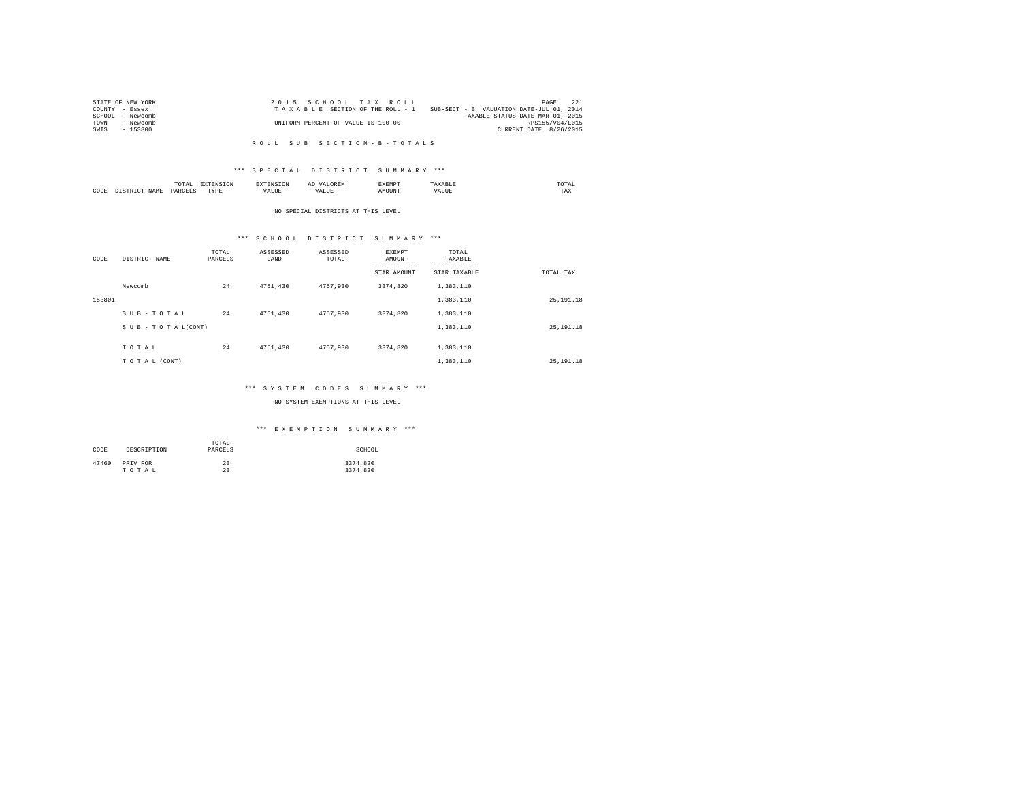| PAGE<br>SUB-SECT - B VALUATION DATE-JUL 01, 2014<br>TAXABLE STATUS DATE-MAR 01, 2015<br>RPS155/V04/L015<br>CURRENT DATE 8/26/2015 |
|-----------------------------------------------------------------------------------------------------------------------------------|

### R O L L S U B S E C T I O N - B - T O T A L S

# \*\*\* S P E C I A L D I S T R I C T S U M M A R Y \*\*\*

|      | ----<br>/ L A L<br>the contract of the contract of the contract of | ----       | $\cdots$ | .     | moms:<br>the contract of the contract of the contract of |
|------|--------------------------------------------------------------------|------------|----------|-------|----------------------------------------------------------|
| CODE | <b>DAR</b><br>$\sim$                                               | TVD's<br>. |          | MOUN. | 1'AX                                                     |

#### NO SPECIAL DISTRICTS AT THIS LEVEL

# \*\*\* S C H O O L D I S T R I C T S U M M A R Y \*\*\*

| CODE   | DISTRICT NAME   | TOTAL<br>PARCELS | ASSESSED<br>LAND | ASSESSED<br>TOTAL | EXEMPT<br>AMOUNT<br>---------<br>STAR AMOUNT | TOTAL<br>TAXABLE<br>---------<br>STAR TAXABLE | TOTAL TAX  |
|--------|-----------------|------------------|------------------|-------------------|----------------------------------------------|-----------------------------------------------|------------|
|        | Newcomb         | 24               | 4751.430         | 4757,930          | 3374.820                                     | 1,383,110                                     |            |
| 153801 |                 |                  |                  |                   |                                              | 1,383,110                                     | 25, 191.18 |
|        | SUB-TOTAL       | 24               | 4751.430         | 4757.930          | 3374.820                                     | 1,383,110                                     |            |
|        | SUB-TOTAL(CONT) |                  |                  |                   |                                              | 1,383,110                                     | 25, 191.18 |
|        | TOTAL           | 24               | 4751.430         | 4757.930          | 3374.820                                     | 1,383,110                                     |            |
|        | TO TAL (CONT)   |                  |                  |                   |                                              | 1,383,110                                     | 25, 191.18 |

# \*\*\* S Y S T E M C O D E S S U M M A R Y \*\*\*

# NO SYSTEM EXEMPTIONS AT THIS LEVEL

# \*\*\* E X E M P T I O N S U M M A R Y \*\*\*

| CODE  | DESCRIPTION | TOTAL<br>PARCELS | SCHOOL   |
|-------|-------------|------------------|----------|
| 47460 | PRIV FOR    | 23               | 3374.820 |
|       | TOTAL       | 23               | 3374.820 |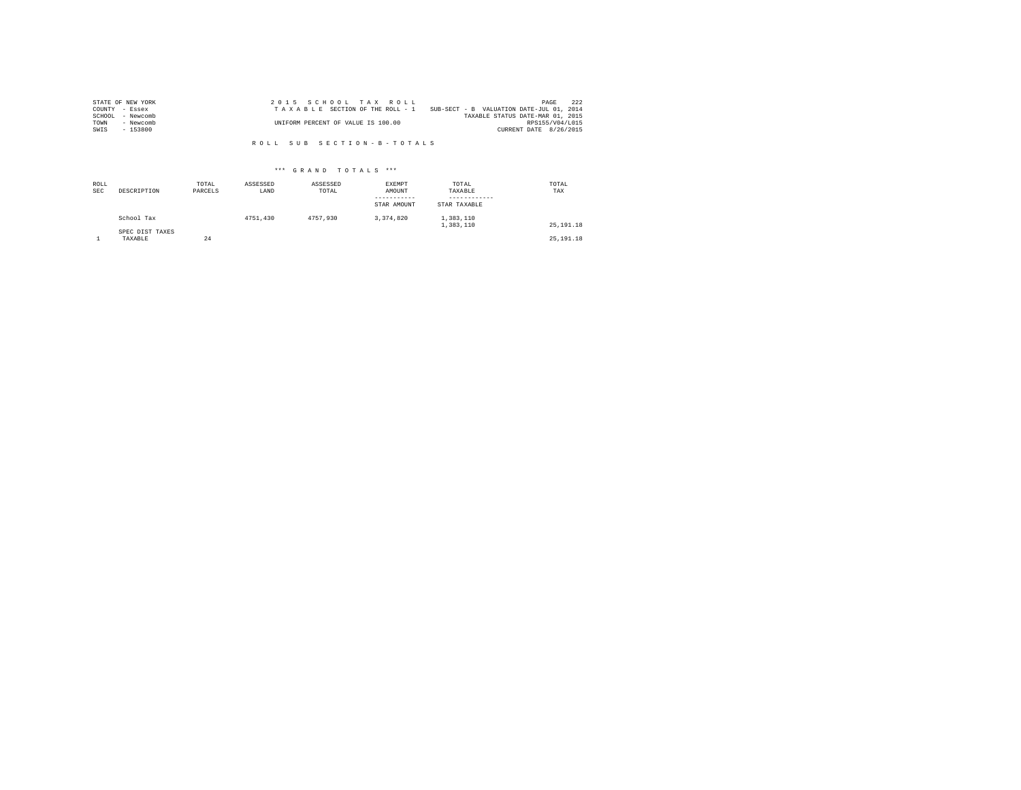| STATE OF NEW YORK   | 2015 SCHOOL TAX ROLL               | 222<br>PAGE                              |
|---------------------|------------------------------------|------------------------------------------|
| COUNTY - Essex      | TAXABLE SECTION OF THE ROLL - 1    | SUB-SECT - B VALUATION DATE-JUL 01, 2014 |
| SCHOOL<br>- Newcomb |                                    | TAXABLE STATUS DATE-MAR 01, 2015         |
| TOWN<br>- Newcomb   | UNIFORM PERCENT OF VALUE IS 100.00 | RPS155/V04/L015                          |
| - 153800<br>SWIS    |                                    | CURRENT DATE 8/26/2015                   |

R O L L S U B S E C T I O N - B - T O T A L S

# \*\*\* G R A N D T O T A L S \*\*\*

| ROLL<br><b>SEC</b> | DESCRIPTION                | TOTAL<br>PARCELS | ASSESSED<br>LAND | ASSESSED<br>TOTAL | EXEMPT<br>AMOUNT<br>---------<br>STAR AMOUNT | TOTAL<br>TAXABLE<br>STAR TAXABLE | TOTAL<br>TAX |
|--------------------|----------------------------|------------------|------------------|-------------------|----------------------------------------------|----------------------------------|--------------|
|                    | School Tax                 |                  | 4751,430         | 4757.930          | 3.374.820                                    | 1,383,110<br>1,383,110           | 25, 191, 18  |
|                    | SPEC DIST TAXES<br>TAXABLE | 24               |                  |                   |                                              |                                  | 25, 191, 18  |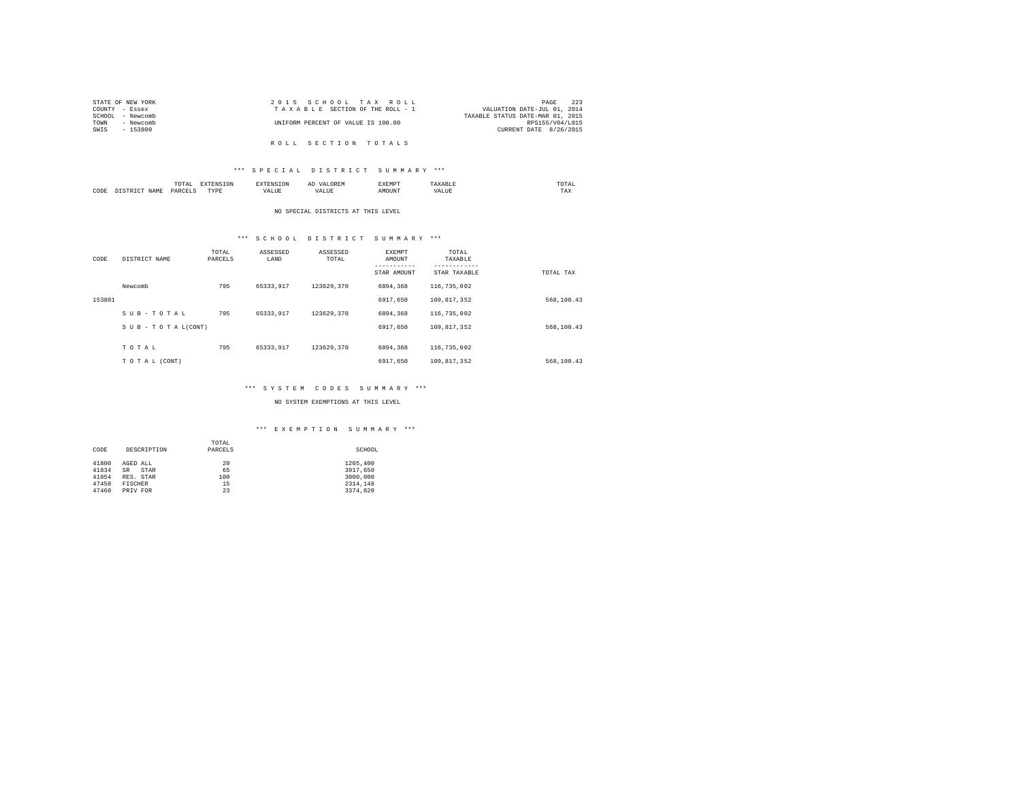| STATE OF NEW YORK | 2015 SCHOOL TAX ROLL               | 223<br>PAGE                      |
|-------------------|------------------------------------|----------------------------------|
| COUNTY - Essex    | TAXABLE SECTION OF THE ROLL - 1    | VALUATION DATE-JUL 01, 2014      |
| SCHOOL - Newcomb  |                                    | TAXABLE STATUS DATE-MAR 01, 2015 |
| TOWN<br>- Newcomb | UNIFORM PERCENT OF VALUE IS 100.00 | RPS155/V04/L015                  |
| SWIS<br>- 153800  |                                    | CURRENT DATE 8/26/2015           |
|                   |                                    |                                  |
|                   | ROLL SECTION TOTALS                |                                  |

# \*\*\* S P E C I A L D I S T R I C T S U M M A R Y \*\*\*

|      |   | .<br>the contract of the contract of the contract of the contract of the contract of | the contract of the contract of the contract of the contract of the contract of |  | -----<br>.  | mom:<br>the contract of the contract of the contract of |  |
|------|---|--------------------------------------------------------------------------------------|---------------------------------------------------------------------------------|--|-------------|---------------------------------------------------------|--|
| CODE | . | ODP'<br>$\sim$                                                                       | <b>TVD</b><br>.                                                                 |  | <b>DIN'</b> | 1 A.A                                                   |  |

#### NO SPECIAL DISTRICTS AT THIS LEVEL

# \*\*\* S C H O O L D I S T R I C T S U M M A R Y \*\*\*

| CODE   | DISTRICT NAME   | TOTAL<br>PARCELS | ASSESSED<br>LAND | ASSESSED<br>TOTAL | <b>EXEMPT</b><br>AMOUNT<br>STAR AMOUNT | TOTAL<br>TAXABLE<br>---------<br>STAR TAXABLE | TOTAL TAX  |
|--------|-----------------|------------------|------------------|-------------------|----------------------------------------|-----------------------------------------------|------------|
|        | Newcomb         | 795              | 65333.917        | 123629.370        | 6894,368                               | 116,735,002                                   |            |
| 153801 |                 |                  |                  |                   | 6917.650                               | 109.817.352                                   | 568,100.43 |
|        | SUB-TOTAL       | 795              | 65333.917        | 123629.370        | 6894,368                               | 116,735,002                                   |            |
|        | SUB-TOTAL(CONT) |                  |                  |                   | 6917.650                               | 109.817.352                                   | 568,100.43 |
|        |                 |                  |                  |                   |                                        |                                               |            |
|        | TOTAL           | 795              | 65333.917        | 123629.370        | 6894,368                               | 116,735,002                                   |            |
|        | TO TAL (CONT)   |                  |                  |                   | 6917.650                               | 109.817.352                                   | 568,100.43 |

# \*\*\* S Y S T E M C O D E S S U M M A R Y \*\*\*

NO SYSTEM EXEMPTIONS AT THIS LEVEL

# \*\*\* E X E M P T I O N S U M M A R Y \*\*\*

|       |                   | TOTAL   |          |
|-------|-------------------|---------|----------|
| CODE  | DESCRIPTION       | PARCELS | SCHOOL   |
|       |                   |         |          |
| 41800 | AGED ALL          | 20      | 1205,400 |
| 41834 | <b>SR</b><br>STAR | 65      | 3917.650 |
| 41854 | RES. STAR         | 100     | 3000,000 |
| 47450 | FISCHER           | 15      | 2314.148 |
| 47460 | PRIV FOR          | 23      | 3374.820 |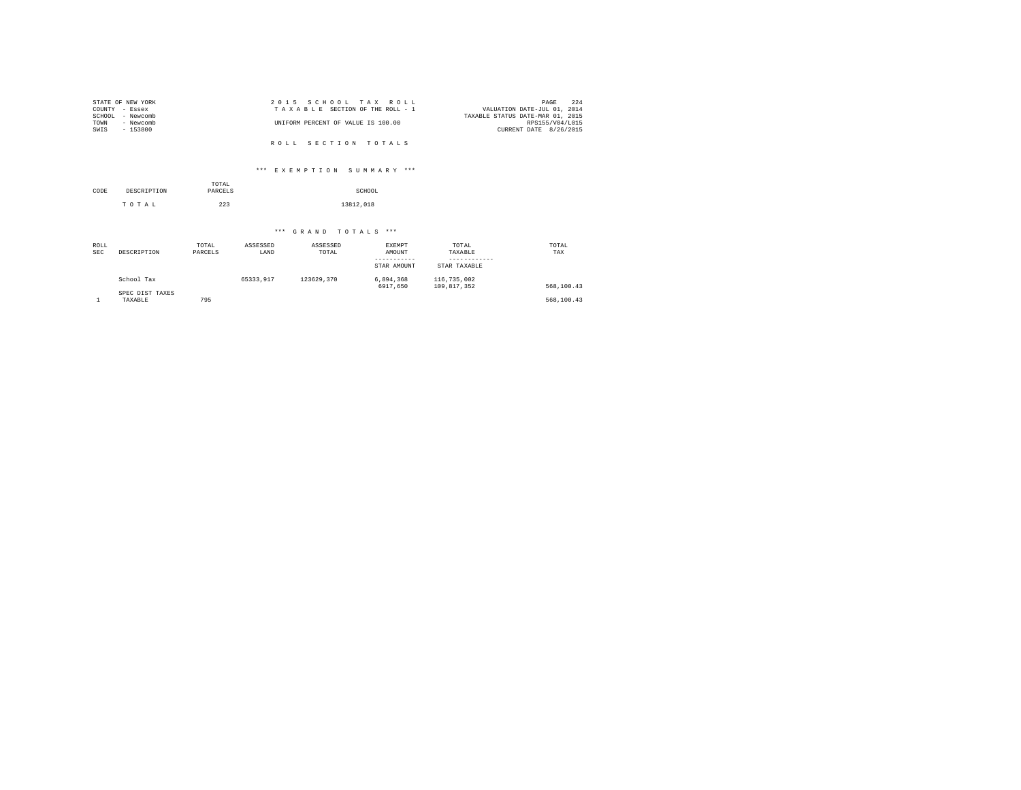| STATE OF NEW YORK | 2015 SCHOOL TAX ROLL               | 224<br>PAGE                      |
|-------------------|------------------------------------|----------------------------------|
| COUNTY - Essex    | TAXABLE SECTION OF THE ROLL - 1    | VALUATION DATE-JUL 01, 2014      |
| SCHOOL - Newcomb  |                                    | TAXABLE STATUS DATE-MAR 01, 2015 |
| TOWN<br>- Newcomb | UNIFORM PERCENT OF VALUE IS 100.00 | RPS155/V04/L015                  |
| SWIS<br>- 153800  |                                    | CURRENT DATE 8/26/2015           |
|                   |                                    |                                  |
|                   | ROLL SECTION TOTALS                |                                  |

\*\*\* E X E M P T I O N S U M M A R Y \*\*\*

| CODE | DESCRIPTION | TOTAL<br>PARCELS | SCHOOL    |
|------|-------------|------------------|-----------|
|      | TOTAL       | 223              | 13812.018 |

\*\*\* G R A N D T O T A L S \*\*\*

| ROLL<br><b>SEC</b> | DESCRIPTION                | TOTAL<br>PARCELS | ASSESSED<br>LAND | ASSESSED<br>TOTAL | EXEMPT<br>AMOUNT<br>-----------<br>STAR AMOUNT | TOTAL<br>TAXABLE<br>STAR TAXABLE | TOTAL<br>TAX |
|--------------------|----------------------------|------------------|------------------|-------------------|------------------------------------------------|----------------------------------|--------------|
|                    | School Tax                 |                  | 65333.917        | 123629.370        | 6,894,368<br>6917.650                          | 116,735,002<br>109.817.352       | 568,100.43   |
|                    | SPEC DIST TAXES<br>TAXABLE | 795              |                  |                   |                                                |                                  | 568,100.43   |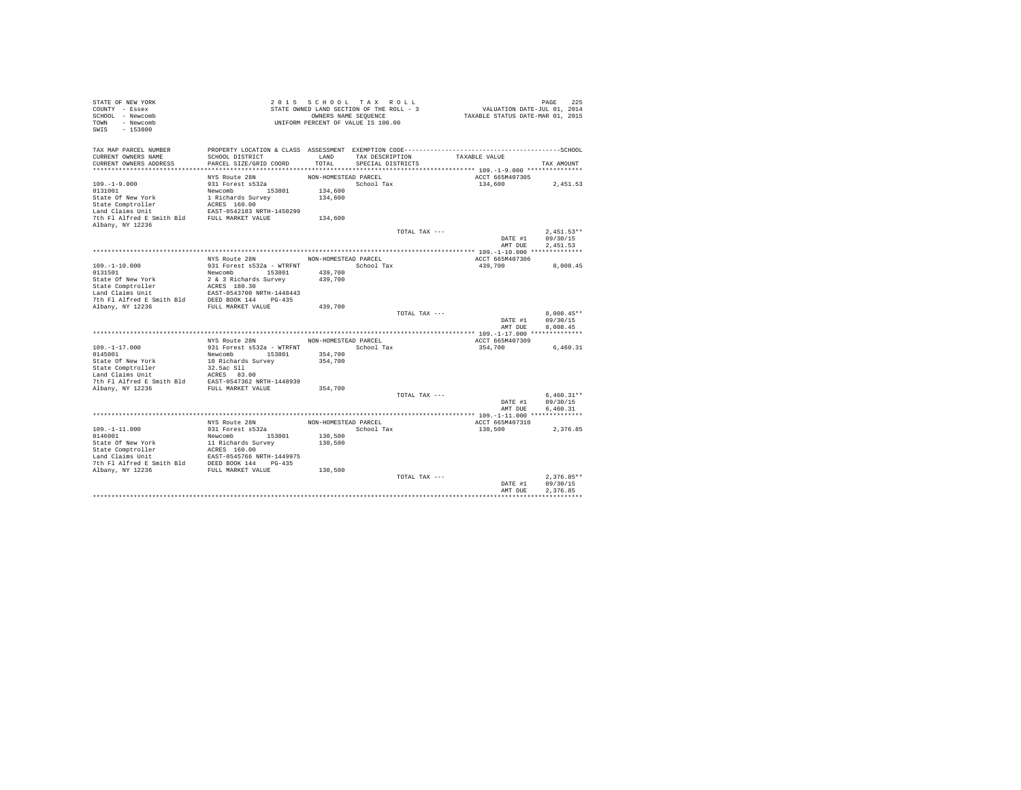| STATE OF NEW YORK<br>COUNTY - Essex<br>SCHOOL - Newcomb<br>TOWN - Newcomb<br>$-153800$<br>SWIS |                                                                                                                                           |                      | 2015 SCHOOL TAX ROLL<br>STATE OWNED LAND SECTION OF THE ROLL - 3<br>OWNERS NAME SEQUENCE<br>UNIFORM PERCENT OF VALUE IS 100.00 |               | VALUATION DATE-JUL 01, 2014<br>TAXABLE STATUS DATE-MAR 01, 2015 | PAGE<br>225          |
|------------------------------------------------------------------------------------------------|-------------------------------------------------------------------------------------------------------------------------------------------|----------------------|--------------------------------------------------------------------------------------------------------------------------------|---------------|-----------------------------------------------------------------|----------------------|
| TAX MAP PARCEL NUMBER<br>CURRENT OWNERS NAME<br>CURRENT OWNERS ADDRESS                         | PROPERTY LOCATION & CLASS ASSESSMENT EXEMPTION CODE-----------------------------------SCHOOL<br>SCHOOL DISTRICT<br>PARCEL SIZE/GRID COORD | LAND<br>TOTAL        | TAX DESCRIPTION<br>SPECIAL DISTRICTS                                                                                           | TAXABLE VALUE |                                                                 | TAX AMOUNT           |
|                                                                                                |                                                                                                                                           |                      |                                                                                                                                |               |                                                                 |                      |
|                                                                                                | NYS Route 28N                                                                                                                             | NON-HOMESTEAD PARCEL |                                                                                                                                |               | ACCT 665M407305                                                 |                      |
| $109. - 1 - 9.000$                                                                             | 931 Forest s532a                                                                                                                          |                      | School Tax                                                                                                                     | 134,600       |                                                                 | 2,451.53             |
| 0131001                                                                                        | Newcomb 153801                                                                                                                            | 134,600              |                                                                                                                                |               |                                                                 |                      |
| State Of New York                                                                              | 1 Richards Survey                                                                                                                         | 134,600              |                                                                                                                                |               |                                                                 |                      |
| State Comptroller                                                                              | ACRES 160.00                                                                                                                              |                      |                                                                                                                                |               |                                                                 |                      |
| Land Claims Unit                                                                               | EAST-0542183 NRTH-1450299                                                                                                                 |                      |                                                                                                                                |               |                                                                 |                      |
| 7th Fl Alfred E Smith Bld FULL MARKET VALUE                                                    |                                                                                                                                           | 134,600              |                                                                                                                                |               |                                                                 |                      |
| Albany, NY 12236                                                                               |                                                                                                                                           |                      |                                                                                                                                | TOTAL TAX --- |                                                                 | $2,451.53**$         |
|                                                                                                |                                                                                                                                           |                      |                                                                                                                                |               | DATE #1                                                         | 09/30/15             |
|                                                                                                |                                                                                                                                           |                      |                                                                                                                                |               | AMT DUE                                                         | 2.451.53             |
|                                                                                                |                                                                                                                                           |                      |                                                                                                                                |               |                                                                 |                      |
|                                                                                                | NYS Route 28N                                                                                                                             | NON-HOMESTEAD PARCEL |                                                                                                                                |               | ACCT 665M407306                                                 |                      |
| $109. - 1 - 10.000$                                                                            | 931 Forest s532a - WTRFNT                                                                                                                 |                      | School Tax                                                                                                                     | 439,700       |                                                                 | 8,008.45             |
| 0131501                                                                                        | Newcomb 153801                                                                                                                            | 439,700              |                                                                                                                                |               |                                                                 |                      |
| State Of New York                                                                              | 2 & 3 Richards Survey                                                                                                                     | 439,700              |                                                                                                                                |               |                                                                 |                      |
| State Comptroller<br>Land Claims Unit                                                          | ACRES 180.30<br>EAST-0543700 NRTH-1448443                                                                                                 |                      |                                                                                                                                |               |                                                                 |                      |
| 7th Fl Alfred E Smith Bld                                                                      | DEED BOOK 144 PG-435                                                                                                                      |                      |                                                                                                                                |               |                                                                 |                      |
| Albany, NY 12236                                                                               | FULL MARKET VALUE                                                                                                                         | 439,700              |                                                                                                                                |               |                                                                 |                      |
|                                                                                                |                                                                                                                                           |                      |                                                                                                                                | TOTAL TAX --- |                                                                 | $8.008.45**$         |
|                                                                                                |                                                                                                                                           |                      |                                                                                                                                |               | DATE #1                                                         | 09/30/15             |
|                                                                                                |                                                                                                                                           |                      |                                                                                                                                |               | AMT DUE                                                         | 8.008.45             |
|                                                                                                |                                                                                                                                           |                      |                                                                                                                                |               |                                                                 |                      |
|                                                                                                | NYS Route 28N                                                                                                                             | NON-HOMESTEAD PARCEL | School Tax                                                                                                                     |               | ACCT 665M407309                                                 |                      |
| $109. -1 - 17.000$<br>0145001                                                                  | 931 Forest s532a - WTRFNT<br>Newcomb 153801                                                                                               | 354,700              |                                                                                                                                | 354,700       |                                                                 | 6,460.31             |
| State Of New York                                                                              | 10 Richards Survey                                                                                                                        | 354,700              |                                                                                                                                |               |                                                                 |                      |
| State Comptroller                                                                              | 32.5ac S11                                                                                                                                |                      |                                                                                                                                |               |                                                                 |                      |
| Land Claims Unit                                                                               | ACRES 83.00                                                                                                                               |                      |                                                                                                                                |               |                                                                 |                      |
| 7th Fl Alfred E Smith Bld EAST-0547362 NRTH-1448939                                            |                                                                                                                                           |                      |                                                                                                                                |               |                                                                 |                      |
| Albany, NY 12236                                                                               | FULL MARKET VALUE                                                                                                                         | 354,700              |                                                                                                                                |               |                                                                 |                      |
|                                                                                                |                                                                                                                                           |                      |                                                                                                                                | TOTAL TAX --- |                                                                 | $6.460.31**$         |
|                                                                                                |                                                                                                                                           |                      |                                                                                                                                |               | DATE #1<br>AMT DUE                                              | 09/30/15<br>6,460.31 |
|                                                                                                |                                                                                                                                           |                      |                                                                                                                                |               |                                                                 |                      |
|                                                                                                | NYS Route 28N                                                                                                                             | NON-HOMESTEAD PARCEL |                                                                                                                                |               | ACCT 665M407310                                                 |                      |
| $109. - 1 - 11.000$                                                                            | 931 Forest s532a                                                                                                                          |                      | School Tax                                                                                                                     | 130,500       |                                                                 | 2.376.85             |
| 0146001                                                                                        | Newcomb 153801                                                                                                                            | 130,500              |                                                                                                                                |               |                                                                 |                      |
| State Of New York                                                                              | 11 Richards Survey<br>ACRES 160.00<br>EAST-0545766 NRTH-1449975                                                                           | 130,500              |                                                                                                                                |               |                                                                 |                      |
| State Of New York                                                                              |                                                                                                                                           |                      |                                                                                                                                |               |                                                                 |                      |
| Land Claims Unit                                                                               |                                                                                                                                           |                      |                                                                                                                                |               |                                                                 |                      |
| 7th Fl Alfred E Smith Bld DEED BOOK 144 PG-435<br>Albany, NY 12236                             | FULL MARKET VALUE                                                                                                                         | 130,500              |                                                                                                                                |               |                                                                 |                      |
|                                                                                                |                                                                                                                                           |                      |                                                                                                                                | TOTAL TAX --- |                                                                 | $2.376.85**$         |
|                                                                                                |                                                                                                                                           |                      |                                                                                                                                |               | DATE #1                                                         | 09/30/15             |
|                                                                                                |                                                                                                                                           |                      |                                                                                                                                |               | AMT DUE                                                         | 2.376.85             |
|                                                                                                |                                                                                                                                           |                      |                                                                                                                                |               |                                                                 |                      |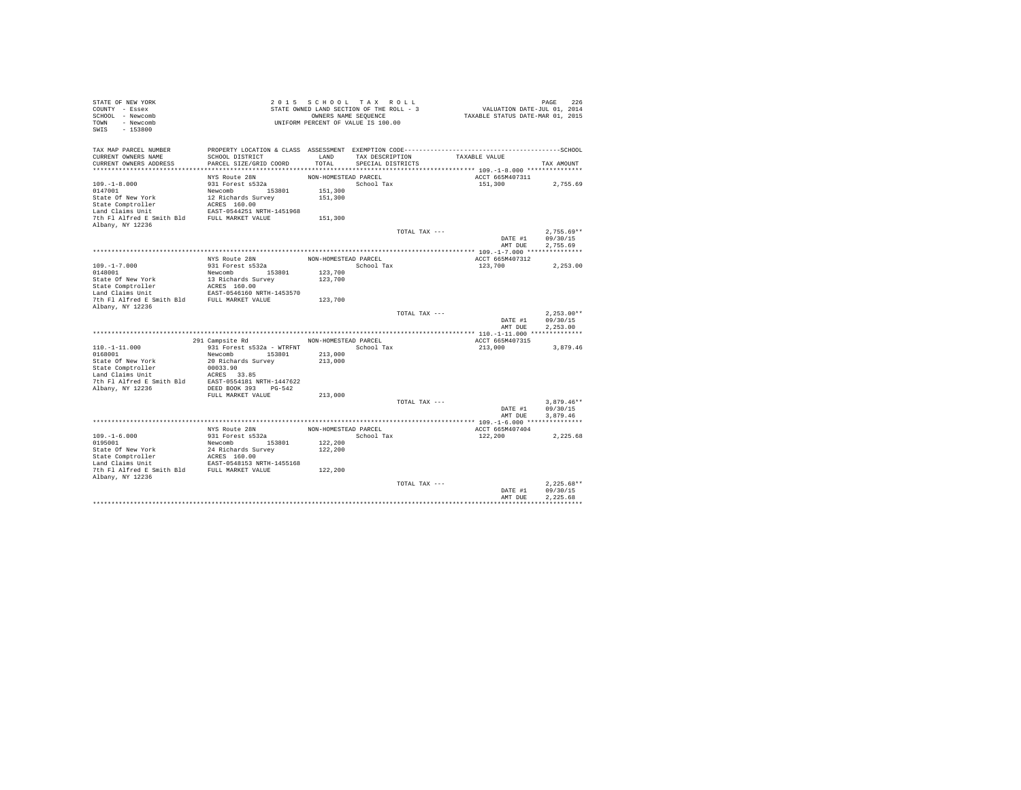| STATE OF NEW YORK<br>COUNTY - Essex                             |                                                                 | 2015 SCHOOL TAX ROLL<br>STATE OWNED LAND SECTION OF THE ROLL - 3 |                   |               | VALUATION DATE-JUL 01, 2014      | PAGE<br>226              |
|-----------------------------------------------------------------|-----------------------------------------------------------------|------------------------------------------------------------------|-------------------|---------------|----------------------------------|--------------------------|
| SCHOOL - Newcomb<br>TOWN - Newcomb<br>SWIS<br>$-153800$         |                                                                 | OWNERS NAME SEQUENCE<br>UNIFORM PERCENT OF VALUE IS 100.00       |                   |               | TAXABLE STATUS DATE-MAR 01, 2015 |                          |
|                                                                 |                                                                 |                                                                  |                   |               |                                  |                          |
| TAX MAP PARCEL NUMBER<br>CURRENT OWNERS NAME                    | SCHOOL DISTRICT                                                 | LAND                                                             | TAX DESCRIPTION   |               | TAXABLE VALUE                    |                          |
| CURRENT OWNERS ADDRESS                                          | PARCEL SIZE/GRID COORD                                          | TOTAL                                                            | SPECIAL DISTRICTS |               |                                  | TAX AMOUNT               |
|                                                                 |                                                                 |                                                                  |                   |               |                                  |                          |
|                                                                 | NYS Route 28N                                                   | NON-HOMESTEAD PARCEL                                             |                   |               | ACCT 665M407311                  |                          |
| $109. - 1 - 8.000$                                              | 931 Forest s532a                                                |                                                                  | School Tax        |               | 151,300                          | 2.755.69                 |
| 0147001                                                         | Newcomb 153801                                                  | 151,300                                                          |                   |               |                                  |                          |
| State Of New York                                               | 12 Richards Survey                                              | 151,300                                                          |                   |               |                                  |                          |
|                                                                 |                                                                 |                                                                  |                   |               |                                  |                          |
|                                                                 |                                                                 | 151,300                                                          |                   |               |                                  |                          |
| Albany, NY 12236                                                |                                                                 |                                                                  |                   |               |                                  |                          |
|                                                                 |                                                                 |                                                                  |                   | TOTAL TAX --- |                                  | $2.755.69**$             |
|                                                                 |                                                                 |                                                                  |                   |               | DATE #1                          | 09/30/15                 |
|                                                                 |                                                                 |                                                                  |                   |               | AMT DUE                          | 2.755.69                 |
|                                                                 |                                                                 |                                                                  |                   |               |                                  |                          |
|                                                                 | NYS Route 28N                                                   | NON-HOMESTEAD PARCEL                                             |                   |               | ACCT 665M407312                  |                          |
| $109. -1 - 7.000$                                               | 931 Forest s532a                                                |                                                                  | School Tax        |               | 123,700                          | 2,253.00                 |
| 0148001                                                         | Newcomb 153801                                                  | 123,700                                                          |                   |               |                                  |                          |
| State Of New York                                               | 13 Richards Survey<br>ACRES 160.00<br>EAST-0546160 NRTH-1453570 | 123,700                                                          |                   |               |                                  |                          |
| State Comptroller<br>Land Claims Unit                           |                                                                 |                                                                  |                   |               |                                  |                          |
| 7th Fl Alfred E Smith Bld FULL MARKET VALUE                     |                                                                 | 123,700                                                          |                   |               |                                  |                          |
| Albany, NY 12236                                                |                                                                 |                                                                  |                   |               |                                  |                          |
|                                                                 |                                                                 |                                                                  |                   | TOTAL TAX --- |                                  | $2.253.00**$             |
|                                                                 |                                                                 |                                                                  |                   |               | DATE #1                          | 09/30/15                 |
|                                                                 |                                                                 |                                                                  |                   |               | AMT DUE                          | 2.253.00                 |
|                                                                 | 291 Campsite Rd NON-HOMESTEAD PARCEL                            |                                                                  |                   |               | ACCT 665M407315                  |                          |
| $110. - 1 - 11.000$                                             | 931 Forest s532a - WTRFNT                                       |                                                                  | School Tax        |               | 213,000                          | 3,879.46                 |
| 0168001                                                         | Newcomb 153801                                                  | 213,000                                                          |                   |               |                                  |                          |
| State Of New York                                               | 20 Richards Survey                                              | 213,000                                                          |                   |               |                                  |                          |
| State Comptroller                                               | 00033.90                                                        |                                                                  |                   |               |                                  |                          |
| $Land \tilde{Claims}$ Unit                                      | ACRES 33.85                                                     |                                                                  |                   |               |                                  |                          |
| 7th Fl Alfred E Smith Bld EAST-0554181 NRTH-1447622             |                                                                 |                                                                  |                   |               |                                  |                          |
| Albany, NY 12236                                                | DEED BOOK 393 PG-542                                            |                                                                  |                   |               |                                  |                          |
|                                                                 | FULL MARKET VALUE                                               | 213,000                                                          |                   |               |                                  |                          |
|                                                                 |                                                                 |                                                                  |                   | TOTAL TAX --- | DATE #1                          | $3,879.46**$<br>09/30/15 |
|                                                                 |                                                                 |                                                                  |                   |               | AMT DUE                          | 3.879.46                 |
|                                                                 |                                                                 |                                                                  |                   |               |                                  |                          |
|                                                                 | NYS Route 28N                                                   | NON-HOMESTEAD PARCEL                                             |                   |               | ACCT 665M407404                  |                          |
| $109. - 1 - 6.000$                                              | 931 Forest s532a                                                |                                                                  | School Tax        |               | 122,200                          | 2,225.68                 |
| 0195001                                                         | Newcomb 153801                                                  | 122,200                                                          |                   |               |                                  |                          |
| State Of New York                                               | 24 Richards Survey<br>ACRES 160.00                              | 122,200                                                          |                   |               |                                  |                          |
| State Comptroller                                               |                                                                 |                                                                  |                   |               |                                  |                          |
| Land Claims Unit<br>7th Fl Alfred E Smith Bld FULL MARKET VALUE | EAST-0548153 NRTH-1455168                                       | 122,200                                                          |                   |               |                                  |                          |
| Albany, NY 12236                                                |                                                                 |                                                                  |                   |               |                                  |                          |
|                                                                 |                                                                 |                                                                  |                   | TOTAL TAX --- |                                  | $2.225.68**$             |
|                                                                 |                                                                 |                                                                  |                   |               | DATE #1                          | 09/30/15                 |
|                                                                 |                                                                 |                                                                  |                   |               | AMT DUE                          | 2.225.68                 |
|                                                                 |                                                                 |                                                                  |                   |               |                                  |                          |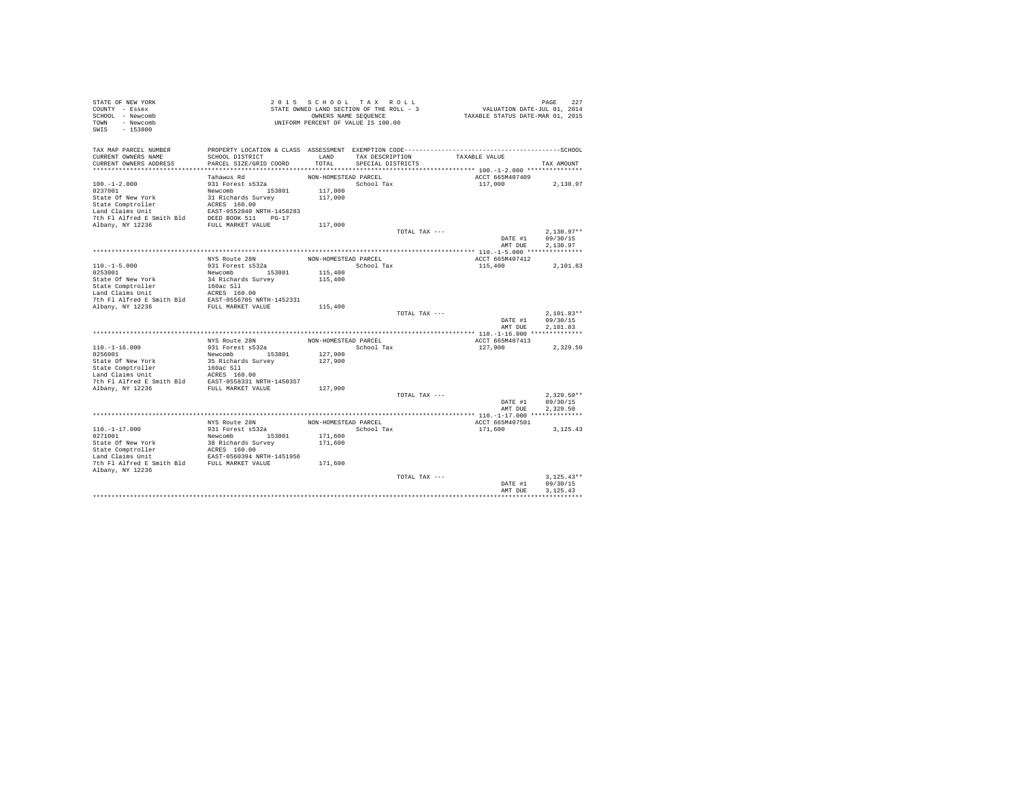| STATE OF NEW YORK<br>COUNTY - Essex<br>SCHOOL - Newcomb<br>TOWN - Newcomb<br>$-153800$<br>SWIS |                                           |                      | 2015 SCHOOL TAX ROLL<br>STATE OWNED LAND SECTION OF THE ROLL - 3<br>OWNERS NAME SEQUENCE<br>UNIFORM PERCENT OF VALUE IS 100.00 |               | VALUATION DATE-JUL 01, 2014<br>TAXABLE STATUS DATE-MAR 01, 2015 | PAGE<br>227  |
|------------------------------------------------------------------------------------------------|-------------------------------------------|----------------------|--------------------------------------------------------------------------------------------------------------------------------|---------------|-----------------------------------------------------------------|--------------|
| TAX MAP PARCEL NUMBER<br>CURRENT OWNERS NAME                                                   | SCHOOL DISTRICT                           | LAND                 | TAX DESCRIPTION                                                                                                                |               | TAXABLE VALUE                                                   |              |
| CURRENT OWNERS ADDRESS                                                                         | PARCEL SIZE/GRID COORD                    | TOTAL                | SPECIAL DISTRICTS                                                                                                              |               |                                                                 | TAX AMOUNT   |
|                                                                                                |                                           |                      |                                                                                                                                |               |                                                                 |              |
|                                                                                                | Tahawus Rd                                | NON-HOMESTEAD PARCEL |                                                                                                                                |               | ACCT 665M407409                                                 |              |
| $100. -1 - 2.000$<br>0237001                                                                   | 931 Forest s532a                          |                      | School Tax                                                                                                                     |               | 117,000                                                         | 2,130.97     |
| State Of New York                                                                              | Newcomb 153801<br>31 Richards Survey      | 117,000<br>117,000   |                                                                                                                                |               |                                                                 |              |
| State Comptroller                                                                              | ACRES 160.00                              |                      |                                                                                                                                |               |                                                                 |              |
| Land Claims Unit                                                                               | EAST-0552040 NRTH-1458283                 |                      |                                                                                                                                |               |                                                                 |              |
| 7th Fl Alfred E Smith Bld                                                                      | DEED BOOK 511 PG-17                       |                      |                                                                                                                                |               |                                                                 |              |
| Albany, NY 12236                                                                               | FULL MARKET VALUE                         | 117,000              |                                                                                                                                |               |                                                                 |              |
|                                                                                                |                                           |                      |                                                                                                                                | TOTAL TAX --- |                                                                 | $2,130.97**$ |
|                                                                                                |                                           |                      |                                                                                                                                |               | DATE #1                                                         | 09/30/15     |
|                                                                                                |                                           |                      |                                                                                                                                |               | AMT DUE                                                         | 2.130.97     |
|                                                                                                | NYS Route 28N                             | NON-HOMESTEAD PARCEL |                                                                                                                                |               | ACCT 665M407412                                                 |              |
| $110. -1 - 5.000$                                                                              | 931 Forest s532a                          |                      | School Tax                                                                                                                     |               | 115,400                                                         | 2,101.83     |
| 0253001                                                                                        | Newcomb 153801                            | 115,400              |                                                                                                                                |               |                                                                 |              |
| State Of New York                                                                              | 34 Richards Survey                        | 115,400              |                                                                                                                                |               |                                                                 |              |
| State Comptroller                                                                              | 160ac Sll                                 |                      |                                                                                                                                |               |                                                                 |              |
| Land Claims Unit<br>7th Fl Alfred E Smith Bld                                                  | ACRES 160.00<br>EAST-0556705 NRTH-1452331 |                      |                                                                                                                                |               |                                                                 |              |
| Albany, NY 12236                                                                               | FULL MARKET VALUE                         | 115,400              |                                                                                                                                |               |                                                                 |              |
|                                                                                                |                                           |                      |                                                                                                                                | TOTAL TAX --- |                                                                 | $2.101.83**$ |
|                                                                                                |                                           |                      |                                                                                                                                |               | DATE #1                                                         | 09/30/15     |
|                                                                                                |                                           |                      |                                                                                                                                |               | AMT DUE                                                         | 2.101.83     |
|                                                                                                |                                           |                      |                                                                                                                                |               |                                                                 |              |
| $110. -1 - 16.000$                                                                             | NYS Route 28N<br>931 Forest s532a         | NON-HOMESTEAD PARCEL | School Tax                                                                                                                     |               | ACCT 665M407413<br>127,900                                      | 2,329.50     |
| 0256001                                                                                        | Newcomb 153801                            | 127,900              |                                                                                                                                |               |                                                                 |              |
| State Of New York                                                                              | 35 Richards Survey                        | 127,900              |                                                                                                                                |               |                                                                 |              |
| State Comptroller                                                                              | 160ac Sll                                 |                      |                                                                                                                                |               |                                                                 |              |
| Land Claims Unit                                                                               | ACRES 160.00                              |                      |                                                                                                                                |               |                                                                 |              |
| 7th Fl Alfred E Smith Bld                                                                      | EAST-0558331 NRTH-1450357                 |                      |                                                                                                                                |               |                                                                 |              |
| Albany, NY 12236                                                                               | FULL MARKET VALUE                         | 127,900              |                                                                                                                                | TOTAL TAX --- |                                                                 | $2.329.50**$ |
|                                                                                                |                                           |                      |                                                                                                                                |               | DATE #1                                                         | 09/30/15     |
|                                                                                                |                                           |                      |                                                                                                                                |               | AMT DUE                                                         | 2.329.50     |
|                                                                                                |                                           |                      |                                                                                                                                |               |                                                                 |              |
|                                                                                                | NYS Route 28N                             | NON-HOMESTEAD PARCEL |                                                                                                                                |               | ACCT 665M407501                                                 |              |
| $110. - 1 - 17.000$                                                                            | 931 Forest s532a                          |                      | School Tax                                                                                                                     |               | 171,600                                                         | 3.125.43     |
| 0271001                                                                                        | Newcomb 153801                            | 171,600              |                                                                                                                                |               |                                                                 |              |
| State Of New York                                                                              | 38 Richards Survey<br>ACRES 160.00        | 171,600              |                                                                                                                                |               |                                                                 |              |
| State Comptroller<br>Land Claims Unit                                                          | EAST-0560394 NRTH-1451956                 |                      |                                                                                                                                |               |                                                                 |              |
| 7th Fl Alfred E Smith Bld FULL MARKET VALUE                                                    |                                           | 171,600              |                                                                                                                                |               |                                                                 |              |
| Albany, NY 12236                                                                               |                                           |                      |                                                                                                                                |               |                                                                 |              |
|                                                                                                |                                           |                      |                                                                                                                                | TOTAL TAX --- |                                                                 | $3.125.43**$ |
|                                                                                                |                                           |                      |                                                                                                                                |               | DATE #1                                                         | 09/30/15     |
|                                                                                                |                                           |                      |                                                                                                                                |               | AMT DUE                                                         | 3.125.43     |
|                                                                                                |                                           |                      |                                                                                                                                |               |                                                                 |              |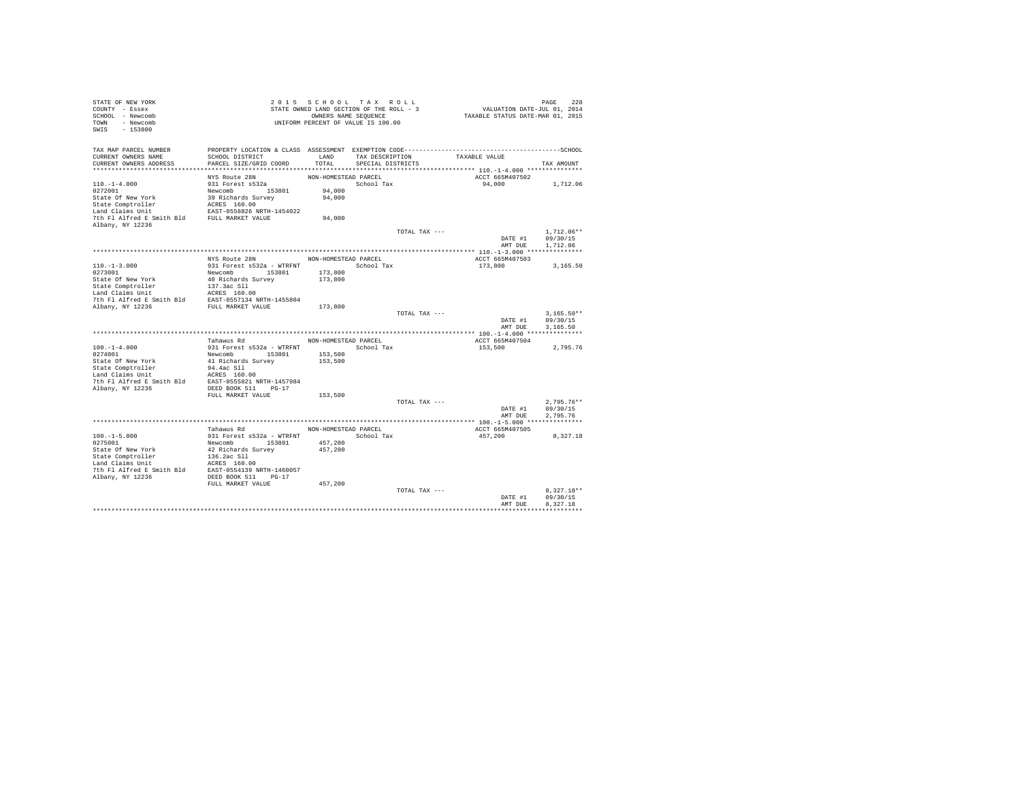| STATE OF NEW YORK                                                                                                                                                                                                                                         |                                                                                                 | 2015 SCHOOL TAX ROLL                     |                   |                 |                                         |                  |
|-----------------------------------------------------------------------------------------------------------------------------------------------------------------------------------------------------------------------------------------------------------|-------------------------------------------------------------------------------------------------|------------------------------------------|-------------------|-----------------|-----------------------------------------|------------------|
| COUNTY - Essex                                                                                                                                                                                                                                            |                                                                                                 | STATE OWNED LAND SECTION OF THE ROLL - 3 |                   |                 | PAGE 228<br>VALUATION DATE-JUL 01, 2014 |                  |
| SCHOOL - Newcomb                                                                                                                                                                                                                                          |                                                                                                 | OWNERS NAME SEQUENCE                     |                   |                 | TAXABLE STATUS DATE-MAR 01, 2015        |                  |
| TOWN - Newcomb                                                                                                                                                                                                                                            | UNIFORM PERCENT OF VALUE IS 100.00                                                              |                                          |                   |                 |                                         |                  |
| $-153800$<br>SWIS                                                                                                                                                                                                                                         |                                                                                                 |                                          |                   |                 |                                         |                  |
|                                                                                                                                                                                                                                                           |                                                                                                 |                                          |                   |                 |                                         |                  |
|                                                                                                                                                                                                                                                           |                                                                                                 |                                          |                   |                 |                                         |                  |
| TAX MAP PARCEL NUMBER                                                                                                                                                                                                                                     | PROPERTY LOCATION & CLASS ASSESSMENT EXEMPTION CODE-----------------------------------SCHOOL    |                                          |                   |                 |                                         |                  |
| CURRENT OWNERS NAME                                                                                                                                                                                                                                       | SCHOOL DISTRICT                                                                                 | LAND                                     |                   | TAX DESCRIPTION | TAXABLE VALUE                           |                  |
| CURRENT OWNERS ADDRESS                                                                                                                                                                                                                                    | PARCEL SIZE/GRID COORD                                                                          | TOTAL                                    | SPECIAL DISTRICTS |                 |                                         | TAX AMOUNT       |
|                                                                                                                                                                                                                                                           |                                                                                                 |                                          |                   |                 |                                         |                  |
|                                                                                                                                                                                                                                                           | NYS Route 28N                                                                                   | NON-HOMESTEAD PARCEL                     |                   |                 | ACCT 665M407502                         |                  |
| $110. - 1 - 4.000$                                                                                                                                                                                                                                        | 931 Forest s532a                                                                                |                                          | School Tax        |                 | 94,000 1,712.06                         |                  |
| 0272001                                                                                                                                                                                                                                                   |                                                                                                 | 94,000                                   |                   |                 |                                         |                  |
|                                                                                                                                                                                                                                                           |                                                                                                 | 94,000                                   |                   |                 |                                         |                  |
|                                                                                                                                                                                                                                                           |                                                                                                 |                                          |                   |                 |                                         |                  |
| 1972201<br>2022201<br>2022201<br>2022201<br>State Of New York<br>2023201<br>State Comptroller<br>1980<br>2022201<br>2022<br>State Comptroller<br>2023208208081711-1454022<br>20232082081711-1454022<br>20232082082081711-1454022<br>202320820820820820820 |                                                                                                 |                                          |                   |                 |                                         |                  |
|                                                                                                                                                                                                                                                           |                                                                                                 | 94,000                                   |                   |                 |                                         |                  |
| Albany, NY 12236                                                                                                                                                                                                                                          |                                                                                                 |                                          |                   |                 |                                         |                  |
|                                                                                                                                                                                                                                                           |                                                                                                 |                                          |                   |                 |                                         | $1.712.06**$     |
|                                                                                                                                                                                                                                                           |                                                                                                 |                                          |                   | TOTAL TAX ---   | DATE #1                                 |                  |
|                                                                                                                                                                                                                                                           |                                                                                                 |                                          |                   |                 |                                         | 09/30/15         |
|                                                                                                                                                                                                                                                           |                                                                                                 |                                          |                   |                 |                                         | AMT DUE 1,712.06 |
|                                                                                                                                                                                                                                                           |                                                                                                 |                                          |                   |                 |                                         |                  |
|                                                                                                                                                                                                                                                           | NYS Route 28N                                                                                   | NON-HOMESTEAD PARCEL                     |                   |                 | ACCT 665M407503                         |                  |
| $110.-1-3.000$<br>0273001                                                                                                                                                                                                                                 | 931 Forest s532a - WTRFNT School Tax                                                            |                                          |                   |                 | 173,800                                 | 3,165.50         |
|                                                                                                                                                                                                                                                           | Newcomb 153801 173,800                                                                          |                                          |                   |                 |                                         |                  |
|                                                                                                                                                                                                                                                           |                                                                                                 |                                          |                   |                 |                                         |                  |
|                                                                                                                                                                                                                                                           |                                                                                                 |                                          |                   |                 |                                         |                  |
|                                                                                                                                                                                                                                                           |                                                                                                 |                                          |                   |                 |                                         |                  |
|                                                                                                                                                                                                                                                           |                                                                                                 |                                          |                   |                 |                                         |                  |
|                                                                                                                                                                                                                                                           |                                                                                                 |                                          |                   |                 |                                         |                  |
|                                                                                                                                                                                                                                                           |                                                                                                 |                                          |                   | TOTAL TAX ---   |                                         | $3,165.50**$     |
|                                                                                                                                                                                                                                                           |                                                                                                 |                                          |                   |                 |                                         | DATE #1 09/30/15 |
|                                                                                                                                                                                                                                                           |                                                                                                 |                                          |                   |                 | AMT DUE                                 | 3,165.50         |
|                                                                                                                                                                                                                                                           |                                                                                                 |                                          |                   |                 |                                         |                  |
|                                                                                                                                                                                                                                                           | Tahawus Rd                                                                                      | NON-HOMESTEAD PARCEL                     |                   |                 | ACCT 665M407504                         |                  |
|                                                                                                                                                                                                                                                           | 931 Forest s532a - WTRFNT<br>Newcomb 153801 153,500<br>41 Richards Survey 153,500<br>94.4ac S11 |                                          |                   |                 | 153,500                                 | 2,795.76         |
| $100.-1-4.000$<br>0274001                                                                                                                                                                                                                                 |                                                                                                 |                                          |                   |                 |                                         |                  |
|                                                                                                                                                                                                                                                           |                                                                                                 |                                          |                   |                 |                                         |                  |
| State Of New York<br>State Comptroller                                                                                                                                                                                                                    |                                                                                                 |                                          |                   |                 |                                         |                  |
|                                                                                                                                                                                                                                                           |                                                                                                 |                                          |                   |                 |                                         |                  |
|                                                                                                                                                                                                                                                           |                                                                                                 |                                          |                   |                 |                                         |                  |
| Land Claims Unit MCRES 160.00<br>7th F1 Alfred E Smith Bld EAST-0555821 NRTH-1457984<br>Albany, NY 12236 DEED BOOK 511 PG-17                                                                                                                              |                                                                                                 |                                          |                   |                 |                                         |                  |
|                                                                                                                                                                                                                                                           | FULL MARKET VALUE                                                                               | 153,500                                  |                   |                 |                                         |                  |
|                                                                                                                                                                                                                                                           |                                                                                                 |                                          |                   | TOTAL TAX ---   |                                         | $2.795.76**$     |
|                                                                                                                                                                                                                                                           |                                                                                                 |                                          |                   |                 | DATE #1                                 | 09/30/15         |
|                                                                                                                                                                                                                                                           |                                                                                                 |                                          |                   |                 |                                         |                  |
|                                                                                                                                                                                                                                                           |                                                                                                 |                                          |                   |                 | AMT DUE                                 | 2.795.76         |
|                                                                                                                                                                                                                                                           |                                                                                                 |                                          |                   |                 |                                         |                  |
|                                                                                                                                                                                                                                                           | Tahawus Rd                                                                                      | NON-HOMESTEAD PARCEL                     |                   |                 | ACCT 665M407505                         |                  |
|                                                                                                                                                                                                                                                           |                                                                                                 | School Tax                               |                   |                 | 457,200                                 | 8,327.18         |
|                                                                                                                                                                                                                                                           |                                                                                                 | 457,200                                  |                   |                 |                                         |                  |
|                                                                                                                                                                                                                                                           |                                                                                                 | 457,200                                  |                   |                 |                                         |                  |
|                                                                                                                                                                                                                                                           |                                                                                                 |                                          |                   |                 |                                         |                  |
|                                                                                                                                                                                                                                                           |                                                                                                 |                                          |                   |                 |                                         |                  |
|                                                                                                                                                                                                                                                           |                                                                                                 |                                          |                   |                 |                                         |                  |
|                                                                                                                                                                                                                                                           |                                                                                                 |                                          |                   |                 |                                         |                  |
|                                                                                                                                                                                                                                                           | FULL MARKET VALUE                                                                               | 457,200                                  |                   |                 |                                         |                  |
|                                                                                                                                                                                                                                                           |                                                                                                 |                                          |                   | TOTAL TAX ---   |                                         | $8.327.18**$     |
|                                                                                                                                                                                                                                                           |                                                                                                 |                                          |                   |                 | DATE #1                                 | 09/30/15         |
|                                                                                                                                                                                                                                                           |                                                                                                 |                                          |                   |                 | AMT DUE                                 | 8.327.18         |
|                                                                                                                                                                                                                                                           |                                                                                                 |                                          |                   |                 |                                         |                  |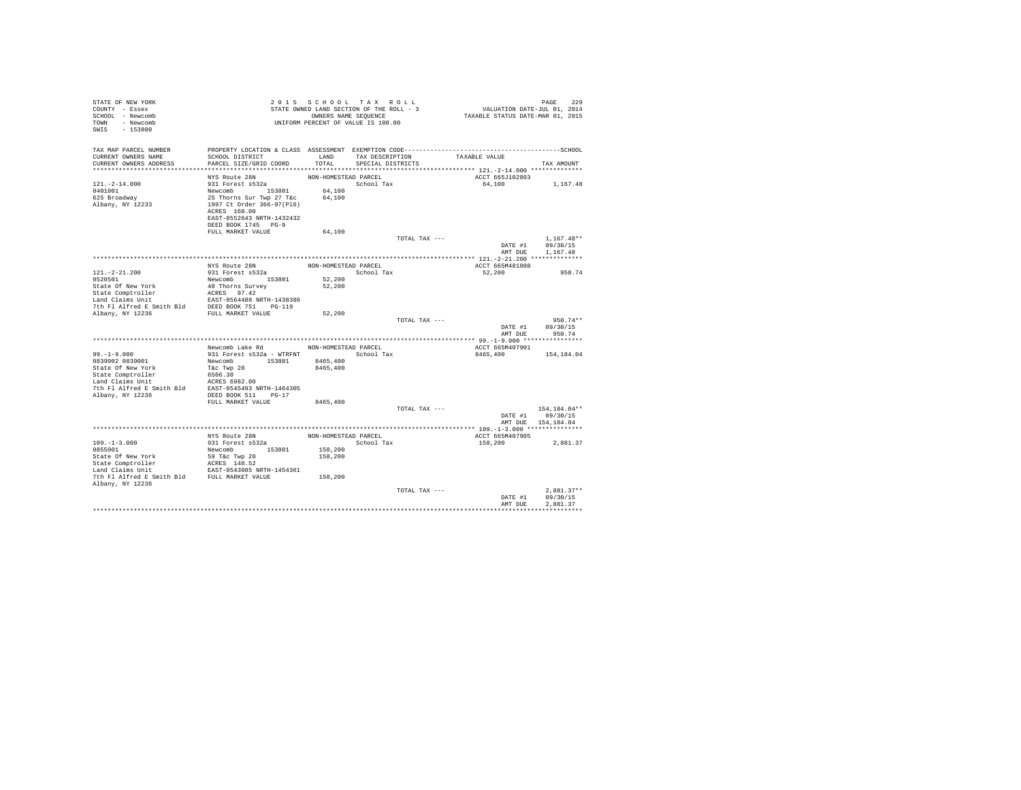| STATE OF NEW YORK<br>COUNTY - Essex<br>SCHOOL - Newcomb<br>TOWN - Newcomb<br>$-153800$<br>SWIS                                                                 |                                                                                       |                      | 2015 SCHOOL TAX ROLL<br>STATE OWNED LAND SECTION OF THE ROLL - 3<br>OWNERS NAME SEQUENCE<br>UNIFORM PERCENT OF VALUE IS 100.00 | PAGE 229<br>VALUATION DATE-JUL 01, 2014<br>TAXABLE STATUS DATE-MAR 01, 2015                  |                                  |
|----------------------------------------------------------------------------------------------------------------------------------------------------------------|---------------------------------------------------------------------------------------|----------------------|--------------------------------------------------------------------------------------------------------------------------------|----------------------------------------------------------------------------------------------|----------------------------------|
| TAX MAP PARCEL NUMBER                                                                                                                                          |                                                                                       |                      |                                                                                                                                | PROPERTY LOCATION & CLASS ASSESSMENT EXEMPTION CODE-----------------------------------SCHOOL |                                  |
| CURRENT OWNERS NAME<br>CURRENT OWNERS ADDRESS                                                                                                                  | SCHOOL DISTRICT<br>PARCEL SIZE/GRID COORD                                             | TOTAL.               | LAND TAX DESCRIPTION<br>SPECIAL DISTRICTS                                                                                      | TAXABLE VALUE                                                                                | TAX AMOUNT                       |
|                                                                                                                                                                |                                                                                       |                      |                                                                                                                                |                                                                                              |                                  |
|                                                                                                                                                                | NYS Route 28N                                                                         | NON-HOMESTEAD PARCEL |                                                                                                                                | ACCT 665J102803                                                                              |                                  |
| $121. - 2 - 14.000$                                                                                                                                            | 931 Forest s532a                                                                      |                      | School Tax                                                                                                                     | 64.100 1.167.48                                                                              |                                  |
| 0401001                                                                                                                                                        |                                                                                       |                      |                                                                                                                                |                                                                                              |                                  |
| 625 Broadway                                                                                                                                                   | Newcomb 153801 64,100<br>25 Thorns Sur Twp 27 T&c 64,100<br>1997 Ct Order 366-97(P16) |                      |                                                                                                                                |                                                                                              |                                  |
| Albany, NY 12233                                                                                                                                               | ACRES 160.00                                                                          |                      |                                                                                                                                |                                                                                              |                                  |
|                                                                                                                                                                | EAST-0552643 NRTH-1432432                                                             |                      |                                                                                                                                |                                                                                              |                                  |
|                                                                                                                                                                | DEED BOOK 1745 PG-9                                                                   |                      |                                                                                                                                |                                                                                              |                                  |
|                                                                                                                                                                | FULL MARKET VALUE                                                                     | 64,100               |                                                                                                                                |                                                                                              |                                  |
|                                                                                                                                                                |                                                                                       |                      | TOTAL TAX ---                                                                                                                  |                                                                                              | $1,167.48**$<br>DATE #1 09/30/15 |
|                                                                                                                                                                |                                                                                       |                      |                                                                                                                                | AMT DUE                                                                                      | 1.167.48                         |
|                                                                                                                                                                |                                                                                       |                      |                                                                                                                                |                                                                                              |                                  |
|                                                                                                                                                                | NYS Route 28N                                                                         | NON-HOMESTEAD PARCEL |                                                                                                                                | ACCT 665M481008                                                                              |                                  |
| $121. - 2 - 21.200$                                                                                                                                            | 931 Forest s532a                                                                      |                      | School Tax                                                                                                                     | 52,200                                                                                       | 950.74                           |
|                                                                                                                                                                |                                                                                       | 52,200<br>52,200     |                                                                                                                                |                                                                                              |                                  |
|                                                                                                                                                                |                                                                                       |                      |                                                                                                                                |                                                                                              |                                  |
|                                                                                                                                                                |                                                                                       |                      |                                                                                                                                |                                                                                              |                                  |
|                                                                                                                                                                |                                                                                       |                      |                                                                                                                                |                                                                                              |                                  |
|                                                                                                                                                                |                                                                                       | 52,200               | TOTAL TAX ---                                                                                                                  |                                                                                              | $950.74**$                       |
|                                                                                                                                                                |                                                                                       |                      |                                                                                                                                | DATE #1                                                                                      | 09/30/15                         |
|                                                                                                                                                                |                                                                                       |                      |                                                                                                                                |                                                                                              | AMT DUE 950.74                   |
|                                                                                                                                                                | Newcomb Lake Rd MON-HOMESTEAD PARCEL                                                  |                      |                                                                                                                                |                                                                                              |                                  |
| $99. -1 - 9.000$                                                                                                                                               | 931 Forest s532a - WTRFNT School Tax                                                  |                      |                                                                                                                                | ACCT 665M407901<br>8465,400                                                                  | 154,184.04                       |
| 0839002 0839001                                                                                                                                                | Newcomb 153801 8465,400                                                               |                      |                                                                                                                                |                                                                                              |                                  |
|                                                                                                                                                                |                                                                                       | 8465,400             |                                                                                                                                |                                                                                              |                                  |
|                                                                                                                                                                |                                                                                       |                      |                                                                                                                                |                                                                                              |                                  |
|                                                                                                                                                                |                                                                                       |                      |                                                                                                                                |                                                                                              |                                  |
|                                                                                                                                                                |                                                                                       |                      |                                                                                                                                |                                                                                              |                                  |
|                                                                                                                                                                | FULL MARKET VALUE                                                                     | 8465,400             |                                                                                                                                |                                                                                              |                                  |
|                                                                                                                                                                |                                                                                       |                      | TOTAL TAX ---                                                                                                                  |                                                                                              | 154,184.04**                     |
|                                                                                                                                                                |                                                                                       |                      |                                                                                                                                |                                                                                              | DATE #1 09/30/15                 |
|                                                                                                                                                                |                                                                                       |                      |                                                                                                                                |                                                                                              | AMT DUE 154,184.04               |
|                                                                                                                                                                |                                                                                       |                      |                                                                                                                                | ACCT 665M407905                                                                              |                                  |
| $109. -1 - 3.000$                                                                                                                                              |                                                                                       |                      | School Tax                                                                                                                     | 158,200                                                                                      | 2,881.37                         |
| 0855001                                                                                                                                                        | Newcomb 153801                                                                        | 158,200              |                                                                                                                                |                                                                                              |                                  |
|                                                                                                                                                                |                                                                                       | 158,200              |                                                                                                                                |                                                                                              |                                  |
| State Of New York 59 T&C Twp 28<br>State Comptroller ACRES 148.52<br>Land Claims Unit EAST-0543085 NRTH-1454361<br>The F1 Alfred E Smith Bld FULL MARKET VALUE |                                                                                       |                      |                                                                                                                                |                                                                                              |                                  |
|                                                                                                                                                                |                                                                                       | 158,200              |                                                                                                                                |                                                                                              |                                  |
| Albany, NY 12236                                                                                                                                               |                                                                                       |                      |                                                                                                                                |                                                                                              |                                  |
|                                                                                                                                                                |                                                                                       |                      | TOTAL TAX ---                                                                                                                  |                                                                                              | $2.881.37**$                     |
|                                                                                                                                                                |                                                                                       |                      |                                                                                                                                | DATE #1<br>AMT DUE                                                                           | 09/30/15<br>2.881.37             |
|                                                                                                                                                                |                                                                                       |                      |                                                                                                                                |                                                                                              |                                  |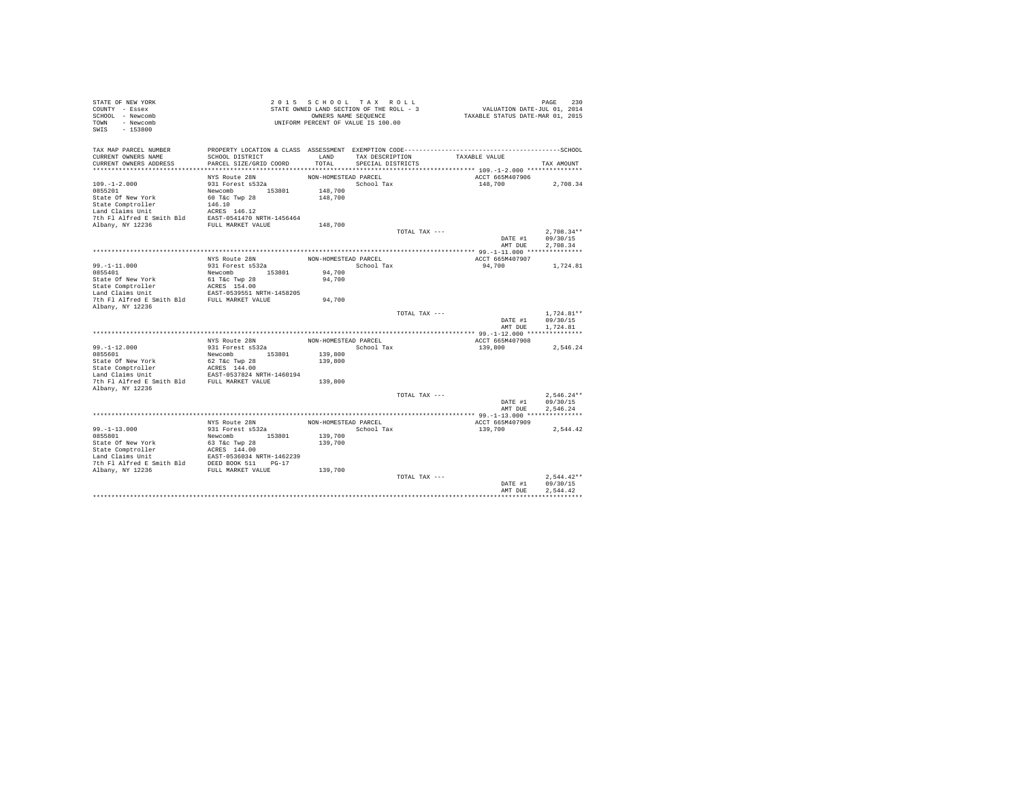| STATE OF NEW YORK<br>COUNTY - Essex<br>SCHOOL - Newcomb<br>TOWN - Newcomb<br>SWIS<br>$-153800$      |                                                            | 2015 SCHOOL TAX ROLL<br>STATE OWNED LAND SECTION OF THE ROLL - 3<br>UNIFORM PERCENT OF VALUE IS 100.00 | OWNERS NAME SEQUENCE |               | VALUATION DATE-JUL 01, 2014<br>TAXABLE STATUS DATE-MAR 01, 2015 | PAGE<br>230              |
|-----------------------------------------------------------------------------------------------------|------------------------------------------------------------|--------------------------------------------------------------------------------------------------------|----------------------|---------------|-----------------------------------------------------------------|--------------------------|
| TAX MAP PARCEL NUMBER                                                                               |                                                            |                                                                                                        |                      |               |                                                                 |                          |
| CURRENT OWNERS NAME<br>CURRENT OWNERS ADDRESS                                                       | SCHOOL DISTRICT<br>PARCEL SIZE/GRID COORD                  | LAND<br>TOTAL                                                                                          | TAX DESCRIPTION      |               | TAXABLE VALUE                                                   |                          |
|                                                                                                     |                                                            |                                                                                                        | SPECIAL DISTRICTS    |               |                                                                 | TAX AMOUNT               |
|                                                                                                     | NYS Route 28N                                              | NON-HOMESTEAD PARCEL                                                                                   |                      |               | ACCT 665M407906                                                 |                          |
| $109. - 1 - 2.000$                                                                                  | 931 Forest s532a                                           |                                                                                                        | School Tax           |               | 148,700                                                         | 2,708.34                 |
| 0855201                                                                                             | Newcomb 153801                                             | 148,700                                                                                                |                      |               |                                                                 |                          |
| State Of New York                                                                                   | 60 T&c Twp 28                                              | 148,700                                                                                                |                      |               |                                                                 |                          |
| State Comptroller                                                                                   | 146.10                                                     |                                                                                                        |                      |               |                                                                 |                          |
| Land Claims Unit                                                                                    | ACRES 146.12                                               |                                                                                                        |                      |               |                                                                 |                          |
| 7th Fl Alfred E Smith Bld EAST-0541470 NRTH-1456464                                                 |                                                            |                                                                                                        |                      |               |                                                                 |                          |
| Albany, NY 12236                                                                                    | FULL MARKET VALUE                                          | 148,700                                                                                                |                      |               |                                                                 |                          |
|                                                                                                     |                                                            |                                                                                                        |                      | TOTAL TAX --- |                                                                 | $2.708.34**$             |
|                                                                                                     |                                                            |                                                                                                        |                      |               | DATE #1                                                         | 09/30/15                 |
|                                                                                                     |                                                            |                                                                                                        |                      |               | AMT DUE                                                         | 2,708.34                 |
|                                                                                                     | NYS Route 28N                                              | NON-HOMESTEAD PARCEL                                                                                   |                      |               | ACCT 665M407907                                                 |                          |
| $99. - 1 - 11.000$                                                                                  | 931 Forest s532a                                           |                                                                                                        | School Tax           |               | 94,700                                                          | 1,724.81                 |
| 0855401                                                                                             | Newcomb 153801                                             | 94,700                                                                                                 |                      |               |                                                                 |                          |
| State Of New York                                                                                   | 61 T&c Twp 28                                              | 94,700                                                                                                 |                      |               |                                                                 |                          |
| State Comptroller                                                                                   | ACRES 154.00                                               |                                                                                                        |                      |               |                                                                 |                          |
|                                                                                                     |                                                            |                                                                                                        |                      |               |                                                                 |                          |
| Land Claims Unit<br>The EAST-0539551 NRTH-1458205<br>7th F1 Alfred E Smith Bld<br>FULL MARKET VALUE |                                                            | 94,700                                                                                                 |                      |               |                                                                 |                          |
| Albany, NY 12236                                                                                    |                                                            |                                                                                                        |                      |               |                                                                 |                          |
|                                                                                                     |                                                            |                                                                                                        |                      | TOTAL TAX --- |                                                                 | $1.724.81**$             |
|                                                                                                     |                                                            |                                                                                                        |                      |               | DATE #1<br>AMT DUE                                              | 09/30/15<br>1.724.81     |
|                                                                                                     |                                                            |                                                                                                        |                      |               |                                                                 |                          |
|                                                                                                     | NYS Route 28N                                              | NON-HOMESTEAD PARCEL                                                                                   |                      |               | ACCT 665M407908                                                 |                          |
| $99. -1 - 12.000$                                                                                   | 931 Forest s532a                                           |                                                                                                        | School Tax           |               | 139,800                                                         | 2,546.24                 |
| 0855601                                                                                             | Newcomb 153801                                             | 139,800                                                                                                |                      |               |                                                                 |                          |
| State Of New York                                                                                   | 62 T&c Twp 28                                              | 139,800                                                                                                |                      |               |                                                                 |                          |
| State Comptroller                                                                                   | ACRES 144.00                                               |                                                                                                        |                      |               |                                                                 |                          |
| Land Claims Unit                                                                                    | EAST-0537824 NRTH-1460194                                  |                                                                                                        |                      |               |                                                                 |                          |
| 7th Fl Alfred E Smith Bld FULL MARKET VALUE                                                         |                                                            | 139,800                                                                                                |                      |               |                                                                 |                          |
| Albany, NY 12236                                                                                    |                                                            |                                                                                                        |                      |               |                                                                 |                          |
|                                                                                                     |                                                            |                                                                                                        |                      | TOTAL TAX --- | DATE #1                                                         | $2.546.24**$<br>09/30/15 |
|                                                                                                     |                                                            |                                                                                                        |                      |               | AMT DUE                                                         | 2.546.24                 |
|                                                                                                     |                                                            |                                                                                                        |                      |               |                                                                 |                          |
|                                                                                                     | NYS Route 28N                                              | NON-HOMESTEAD PARCEL                                                                                   |                      |               | ACCT 665M407909                                                 |                          |
| $99. - 1 - 13.000$                                                                                  | 931 Forest s532a                                           |                                                                                                        | School Tax           |               | 139,700                                                         | 2.544.42                 |
| 0855801                                                                                             | Newcomb 153801                                             | 139,700                                                                                                |                      |               |                                                                 |                          |
| State Of New York                                                                                   | 63 T&c Twp 28                                              | 139,700                                                                                                |                      |               |                                                                 |                          |
| State Comptroller<br>Land Claims Unit                                                               | SS 140 1mp 20<br>ACRES 144.00<br>EAST-0536034 NRTH-1462239 |                                                                                                        |                      |               |                                                                 |                          |
|                                                                                                     |                                                            |                                                                                                        |                      |               |                                                                 |                          |
| 7th Fl Alfred E Smith Bld DEED BOOK 511 PG-17                                                       |                                                            |                                                                                                        |                      |               |                                                                 |                          |
| Albany, NY 12236                                                                                    | FULL MARKET VALUE                                          | 139,700                                                                                                |                      | TOTAL TAX --- |                                                                 | $2.544.42**$             |
|                                                                                                     |                                                            |                                                                                                        |                      |               | DATE #1                                                         | 09/30/15                 |
|                                                                                                     |                                                            |                                                                                                        |                      |               | AMT DUE                                                         | 2.544.42                 |
|                                                                                                     |                                                            |                                                                                                        |                      |               |                                                                 |                          |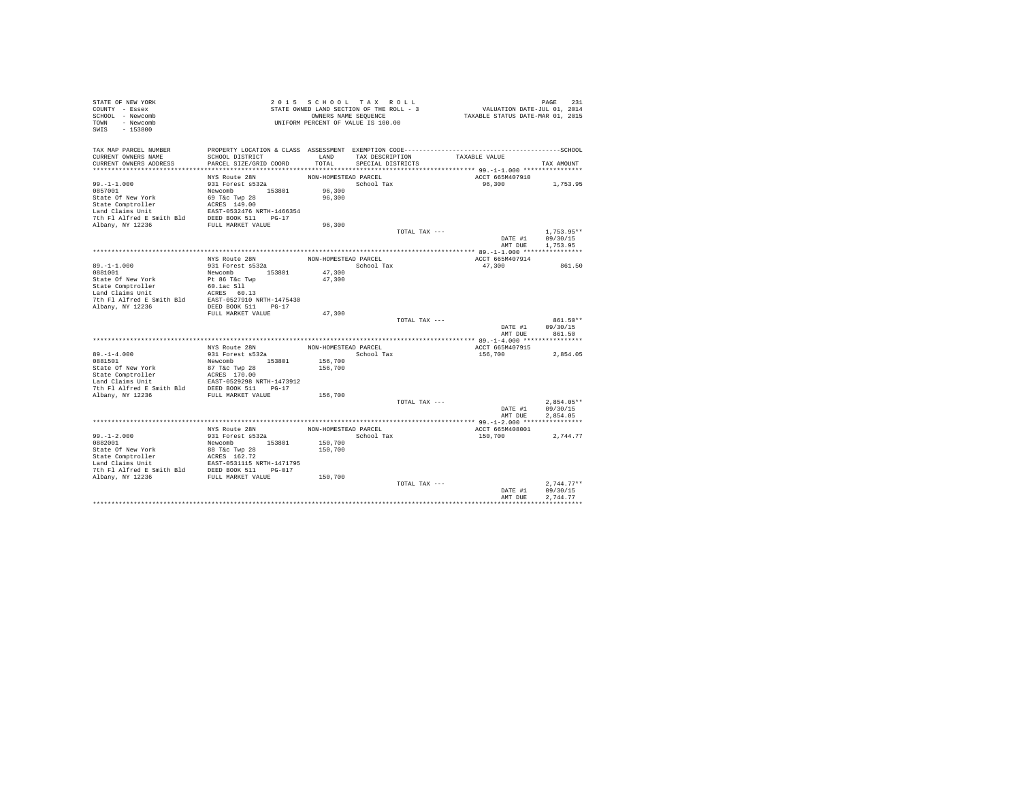| STATE OF NEW YORK<br>COUNTY - Essex                                                                                                                                                                                                          |                                           |                      | 2015 SCHOOL TAX ROLL<br>STATE OWNED LAND SECTION OF THE ROLL - 3 |               | PAGE 231<br>VALUATION DATE-JUL 01, 2014<br>TAXABLE STATUS DATE-MAR 01, 2015 |                                  |
|----------------------------------------------------------------------------------------------------------------------------------------------------------------------------------------------------------------------------------------------|-------------------------------------------|----------------------|------------------------------------------------------------------|---------------|-----------------------------------------------------------------------------|----------------------------------|
| SCHOOL - Newcomb                                                                                                                                                                                                                             |                                           |                      |                                                                  |               |                                                                             |                                  |
| TOWN - Newcomb                                                                                                                                                                                                                               |                                           |                      | OWNERS NAME SEQUENCE<br>UNIFORM PERCENT OF VALUE IS 100.00       |               |                                                                             |                                  |
| SWIS<br>$-153800$                                                                                                                                                                                                                            |                                           |                      |                                                                  |               |                                                                             |                                  |
|                                                                                                                                                                                                                                              |                                           |                      |                                                                  |               |                                                                             |                                  |
| TAX MAP PARCEL NUMBER                                                                                                                                                                                                                        |                                           |                      |                                                                  |               |                                                                             |                                  |
| CURRENT OWNERS NAME<br>CURRENT OWNERS ADDRESS                                                                                                                                                                                                | SCHOOL DISTRICT<br>PARCEL SIZE/GRID COORD | LAND<br>TOTAL        | TAX DESCRIPTION<br>SPECIAL DISTRICTS                             |               | TAXABLE VALUE                                                               | TAX AMOUNT                       |
|                                                                                                                                                                                                                                              |                                           |                      |                                                                  |               |                                                                             |                                  |
|                                                                                                                                                                                                                                              | NYS Route 28N                             | NON-HOMESTEAD PARCEL |                                                                  |               | ACCT 665M407910                                                             |                                  |
| $99. - 1 - 1.000$                                                                                                                                                                                                                            | 931 Forest s532a                          |                      | School Tax                                                       |               | 96,300                                                                      | 1,753.95                         |
| 0857001                                                                                                                                                                                                                                      |                                           | 96,300               |                                                                  |               |                                                                             |                                  |
| State Of New York                                                                                                                                                                                                                            | Newcomb 153801<br>69 T&c Twp 28           | 96,300               |                                                                  |               |                                                                             |                                  |
|                                                                                                                                                                                                                                              |                                           |                      |                                                                  |               |                                                                             |                                  |
|                                                                                                                                                                                                                                              |                                           |                      |                                                                  |               |                                                                             |                                  |
| State Comptroller<br>Land Claims Unit<br>Land Claims Unit<br>Land Claims Unit EAST-0532476 NRTH-1466354<br>2010 1 Albany, NY 12236 SULL MARKET VALUE                                                                                         |                                           |                      |                                                                  |               |                                                                             |                                  |
|                                                                                                                                                                                                                                              |                                           | 96,300               |                                                                  |               |                                                                             |                                  |
|                                                                                                                                                                                                                                              |                                           |                      |                                                                  | TOTAL TAX --- |                                                                             | $1,753.95**$<br>DATE #1 09/30/15 |
|                                                                                                                                                                                                                                              |                                           |                      |                                                                  |               | AMT DUE                                                                     | 1,753.95                         |
|                                                                                                                                                                                                                                              |                                           |                      |                                                                  |               |                                                                             |                                  |
|                                                                                                                                                                                                                                              |                                           | NON-HOMESTEAD PARCEL |                                                                  |               | ACCT 665M407914                                                             |                                  |
| $89. -1 - 1.000$                                                                                                                                                                                                                             | NYS Route 28N<br>931 Forest s532a         |                      | School Tax                                                       |               | 47,300                                                                      | 861.50                           |
|                                                                                                                                                                                                                                              |                                           | 47,300               |                                                                  |               |                                                                             |                                  |
|                                                                                                                                                                                                                                              |                                           | 47,300               |                                                                  |               |                                                                             |                                  |
|                                                                                                                                                                                                                                              |                                           |                      |                                                                  |               |                                                                             |                                  |
|                                                                                                                                                                                                                                              |                                           |                      |                                                                  |               |                                                                             |                                  |
|                                                                                                                                                                                                                                              |                                           |                      |                                                                  |               |                                                                             |                                  |
| Albany, NY 12236                                                                                                                                                                                                                             | DEED BOOK 511 PG-17<br>FULL MARKET VALUE  |                      |                                                                  |               |                                                                             |                                  |
|                                                                                                                                                                                                                                              |                                           | 47,300               |                                                                  | TOTAL TAX --- |                                                                             | 861.50**                         |
|                                                                                                                                                                                                                                              |                                           |                      |                                                                  |               |                                                                             | DATE #1 09/30/15                 |
|                                                                                                                                                                                                                                              |                                           |                      |                                                                  |               | AMT DUE                                                                     | 861.50                           |
|                                                                                                                                                                                                                                              |                                           |                      |                                                                  |               |                                                                             |                                  |
|                                                                                                                                                                                                                                              | NYS Route 28N                             | NON-HOMESTEAD PARCEL |                                                                  |               | ACCT 665M407915                                                             |                                  |
| $89. -1 - 4.000$                                                                                                                                                                                                                             | 931 Forest s532a                          |                      | School Tax                                                       |               | 156,700                                                                     | 2,854.05                         |
| 0881501                                                                                                                                                                                                                                      | Newcomb 153801                            | 156,700              |                                                                  |               |                                                                             |                                  |
|                                                                                                                                                                                                                                              |                                           | 156,700              |                                                                  |               |                                                                             |                                  |
|                                                                                                                                                                                                                                              |                                           |                      |                                                                  |               |                                                                             |                                  |
|                                                                                                                                                                                                                                              |                                           |                      |                                                                  |               |                                                                             |                                  |
|                                                                                                                                                                                                                                              |                                           | 156,700              |                                                                  |               |                                                                             |                                  |
|                                                                                                                                                                                                                                              |                                           |                      |                                                                  | TOTAL TAX --- |                                                                             | $2,854.05**$                     |
|                                                                                                                                                                                                                                              |                                           |                      |                                                                  |               | DATE #1                                                                     | 09/30/15                         |
|                                                                                                                                                                                                                                              |                                           |                      |                                                                  |               | AMT DUE                                                                     | 2.854.05                         |
|                                                                                                                                                                                                                                              |                                           |                      |                                                                  |               |                                                                             |                                  |
|                                                                                                                                                                                                                                              | NYS Route 28N                             | NON-HOMESTEAD PARCEL |                                                                  |               | ACCT 665M408001                                                             |                                  |
| $99. - 1 - 2.000$                                                                                                                                                                                                                            | 931 Forest s532a                          |                      | School Tax                                                       |               | 150,700                                                                     | 2,744.77                         |
| 0882001                                                                                                                                                                                                                                      | Newcomb 153801                            | 150,700              |                                                                  |               |                                                                             |                                  |
| State Of New York<br>State Comptroller<br>State Comptroller<br>Land Claims Unit<br>CRES 162.72<br>Land Claims United E Smith Bld<br>DEED BOOK 511<br>7th P1 Alford 1236<br>FULL MARKET VALUB<br>2001 Alford 17<br>21236<br>FULL MARKET VALUB |                                           | 150,700              |                                                                  |               |                                                                             |                                  |
|                                                                                                                                                                                                                                              |                                           |                      |                                                                  |               |                                                                             |                                  |
|                                                                                                                                                                                                                                              |                                           |                      |                                                                  |               |                                                                             |                                  |
|                                                                                                                                                                                                                                              |                                           | 150,700              |                                                                  |               |                                                                             |                                  |
|                                                                                                                                                                                                                                              |                                           |                      |                                                                  | TOTAL TAX --- |                                                                             | $2.744.77**$                     |
|                                                                                                                                                                                                                                              |                                           |                      |                                                                  |               | DATE #1                                                                     | 09/30/15                         |
|                                                                                                                                                                                                                                              |                                           |                      |                                                                  |               | AMT DUE                                                                     | 2.744.77                         |
|                                                                                                                                                                                                                                              |                                           |                      |                                                                  |               |                                                                             |                                  |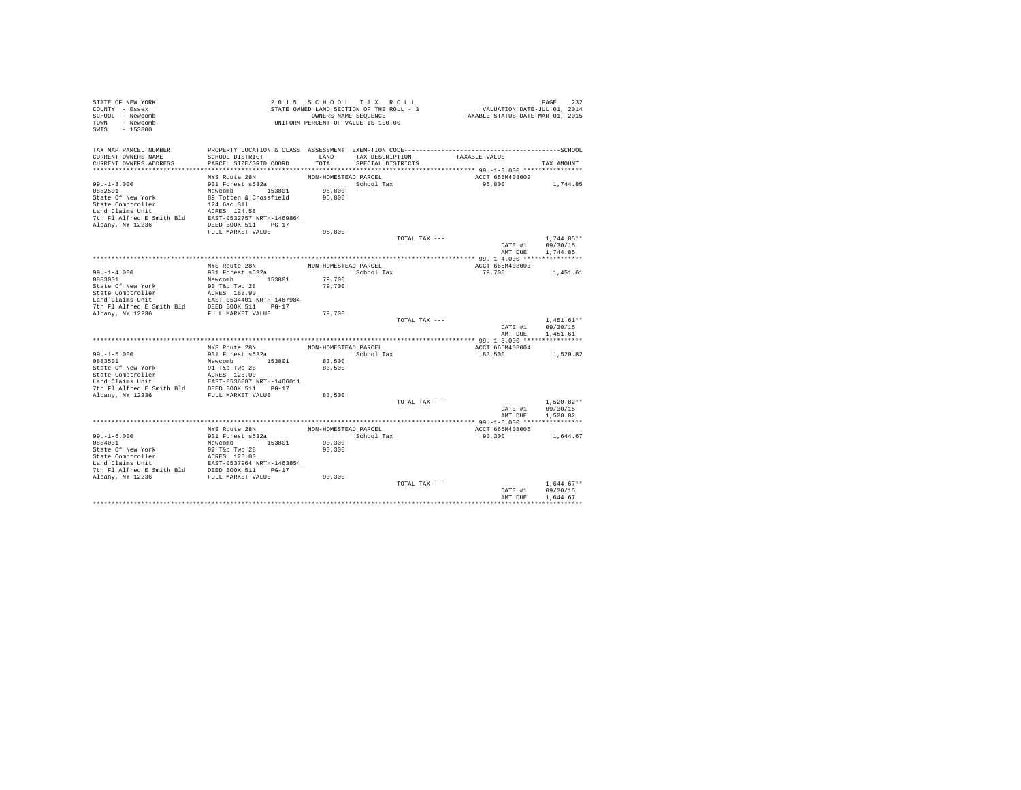| STATE OF NEW YORK<br>COUNTY - Essex<br>SCHOOL - Newcomb<br>TOWN - Newcomb                                                                                                                                                                            |                                                     |                      | 2015 SCHOOL TAX ROLL<br>STATE OWNED LAND SECTION OF THE ROLL - 3<br>OWNERS NAME SEQUENCE<br>UNIFORM PERCENT OF VALUE IS 100.00 |               | PAGE 232<br>VALUATION DATE-JUL 01, 2014<br>TAXABLE STATUS DATE-MAR 01, 2015 |                      |  |
|------------------------------------------------------------------------------------------------------------------------------------------------------------------------------------------------------------------------------------------------------|-----------------------------------------------------|----------------------|--------------------------------------------------------------------------------------------------------------------------------|---------------|-----------------------------------------------------------------------------|----------------------|--|
| SWIS - 153800                                                                                                                                                                                                                                        |                                                     |                      |                                                                                                                                |               |                                                                             |                      |  |
| TAX MAP PARCEL NUMBER                                                                                                                                                                                                                                |                                                     |                      |                                                                                                                                |               |                                                                             |                      |  |
| CURRENT OWNERS NAME<br>CURRENT OWNERS ADDRESS                                                                                                                                                                                                        | SCHOOL DISTRICT<br>PARCEL SIZE/GRID COORD           |                      | LAND TAX DESCRIPTION TAXABLE VALUE<br>TOTAL SPECIAL DISTRICTS                                                                  |               |                                                                             | TAX AMOUNT           |  |
|                                                                                                                                                                                                                                                      |                                                     |                      |                                                                                                                                |               |                                                                             |                      |  |
|                                                                                                                                                                                                                                                      | NYS Route 28N                                       | NON-HOMESTEAD PARCEL |                                                                                                                                |               | ACCT 665M408002                                                             |                      |  |
| $99. - 1 - 3.000$                                                                                                                                                                                                                                    | nis Kuute Zon<br>931 Forest s532a                   |                      | School Tax                                                                                                                     |               | 95,800 1,744.85                                                             |                      |  |
|                                                                                                                                                                                                                                                      |                                                     | 95,800               |                                                                                                                                |               |                                                                             |                      |  |
|                                                                                                                                                                                                                                                      |                                                     |                      |                                                                                                                                |               |                                                                             |                      |  |
| 93.-1-3.000<br>932501 931 FORE 835261 95,800<br>State Of New York 89 Totten & Crossfield 95,800<br>State Comptroller 124.6ac S11<br>Land Claims Unit RCRES 124.58<br>Albany, NY 12236<br>Albany, NY 12236<br>92.000000000000000000000000000          |                                                     |                      |                                                                                                                                |               |                                                                             |                      |  |
|                                                                                                                                                                                                                                                      |                                                     |                      |                                                                                                                                |               |                                                                             |                      |  |
|                                                                                                                                                                                                                                                      |                                                     |                      |                                                                                                                                |               |                                                                             |                      |  |
|                                                                                                                                                                                                                                                      | FULL MARKET VALUE                                   | 95,800               |                                                                                                                                |               |                                                                             |                      |  |
|                                                                                                                                                                                                                                                      |                                                     |                      |                                                                                                                                | TOTAL TAX --- |                                                                             | $1.744.85**$         |  |
|                                                                                                                                                                                                                                                      |                                                     |                      |                                                                                                                                |               | DATE #1<br>AMT DUE                                                          | 09/30/15<br>1,744.85 |  |
|                                                                                                                                                                                                                                                      |                                                     |                      |                                                                                                                                |               |                                                                             |                      |  |
| $99. - 1 - 4.000$                                                                                                                                                                                                                                    | NYS Route 28N                                       | NON-HOMESTEAD PARCEL | School Tax                                                                                                                     |               | ACCT 665M408003<br>79,700                                                   |                      |  |
| 0883001                                                                                                                                                                                                                                              | 931 Forest s532a<br>Newcomb 153801                  | 79,700               |                                                                                                                                |               |                                                                             | 1,451.61             |  |
|                                                                                                                                                                                                                                                      |                                                     | 79,700               |                                                                                                                                |               |                                                                             |                      |  |
|                                                                                                                                                                                                                                                      |                                                     |                      |                                                                                                                                |               |                                                                             |                      |  |
|                                                                                                                                                                                                                                                      |                                                     |                      |                                                                                                                                |               |                                                                             |                      |  |
|                                                                                                                                                                                                                                                      |                                                     |                      |                                                                                                                                |               |                                                                             |                      |  |
|                                                                                                                                                                                                                                                      |                                                     | 79,700               |                                                                                                                                | TOTAL TAX --- |                                                                             | $1,451.61**$         |  |
|                                                                                                                                                                                                                                                      |                                                     |                      |                                                                                                                                |               | $1,451.61*$<br>DATE #1 09/30/15                                             |                      |  |
|                                                                                                                                                                                                                                                      |                                                     |                      |                                                                                                                                |               |                                                                             | AMT DUE 1,451.61     |  |
|                                                                                                                                                                                                                                                      |                                                     |                      |                                                                                                                                |               |                                                                             |                      |  |
|                                                                                                                                                                                                                                                      | NYS Route 28N                                       |                      | NON-HOMESTEAD PARCEL                                                                                                           |               | ACCT 665M408004                                                             |                      |  |
|                                                                                                                                                                                                                                                      |                                                     |                      | School Tax                                                                                                                     |               | 83,500                                                                      | 1,520.82             |  |
|                                                                                                                                                                                                                                                      |                                                     | 83,500<br>83,500     |                                                                                                                                |               |                                                                             |                      |  |
| 99.-1-5.000<br>931 Forest a532a<br>8283501<br>83861 New York<br>81 Tec Twp 28<br>State Comptroller<br>16 CRES 125.00<br>17 The Plating Book State Comptroller<br>7th Flating bind<br>7th Flating E Smith Bld<br>7th Flating E Smith Bld<br>FULL MARK |                                                     |                      |                                                                                                                                |               |                                                                             |                      |  |
|                                                                                                                                                                                                                                                      |                                                     |                      |                                                                                                                                |               |                                                                             |                      |  |
|                                                                                                                                                                                                                                                      |                                                     |                      |                                                                                                                                |               |                                                                             |                      |  |
|                                                                                                                                                                                                                                                      |                                                     | 83,500               |                                                                                                                                |               |                                                                             |                      |  |
|                                                                                                                                                                                                                                                      |                                                     |                      |                                                                                                                                | TOTAL TAX --- |                                                                             | $1,520.82**$         |  |
|                                                                                                                                                                                                                                                      |                                                     |                      |                                                                                                                                |               | DATE #1<br>AMT DUE                                                          | 09/30/15<br>1,520.82 |  |
|                                                                                                                                                                                                                                                      |                                                     |                      |                                                                                                                                |               |                                                                             |                      |  |
|                                                                                                                                                                                                                                                      | NYS Route 28N<br>931 Forest s532a<br>Newcomb 153801 | NON-HOMESTEAD PARCEL |                                                                                                                                |               | ACCT 665M408005                                                             |                      |  |
| $99. - 1 - 6.000$                                                                                                                                                                                                                                    |                                                     |                      | School Tax                                                                                                                     |               | 90,300                                                                      | 1,644.67             |  |
| 0884001                                                                                                                                                                                                                                              |                                                     | 90,300<br>90,300     |                                                                                                                                |               |                                                                             |                      |  |
|                                                                                                                                                                                                                                                      |                                                     |                      |                                                                                                                                |               |                                                                             |                      |  |
|                                                                                                                                                                                                                                                      |                                                     |                      |                                                                                                                                |               |                                                                             |                      |  |
|                                                                                                                                                                                                                                                      |                                                     |                      |                                                                                                                                |               |                                                                             |                      |  |
|                                                                                                                                                                                                                                                      |                                                     | 90,300               |                                                                                                                                |               |                                                                             |                      |  |
|                                                                                                                                                                                                                                                      |                                                     |                      |                                                                                                                                | TOTAL TAX --- |                                                                             | $1.644.67**$         |  |
|                                                                                                                                                                                                                                                      |                                                     |                      |                                                                                                                                |               | DATE #1                                                                     | 09/30/15             |  |
|                                                                                                                                                                                                                                                      |                                                     |                      |                                                                                                                                |               | AMT DUE                                                                     | 1,644.67             |  |
|                                                                                                                                                                                                                                                      |                                                     |                      |                                                                                                                                |               |                                                                             |                      |  |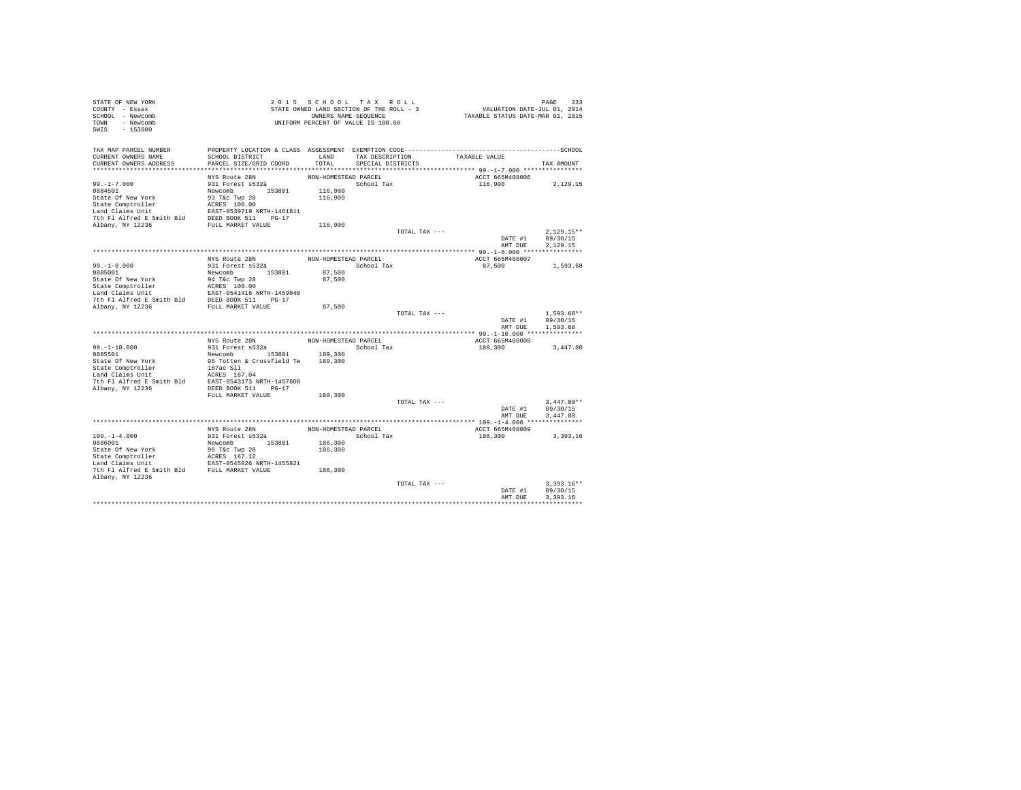| STATE OF NEW YORK<br>COUNTY - Essex                                                                                                                                                                                                |                                            |                      | 2015 SCHOOL TAX ROLL<br>STATE OWNED LAND SECTION OF THE ROLL - 3 |               | PAGE 233<br>VALUATION DATE-JUL 01, 2014<br>TAXABLE STATUS DATE-MAR 01, 2015 |                  |
|------------------------------------------------------------------------------------------------------------------------------------------------------------------------------------------------------------------------------------|--------------------------------------------|----------------------|------------------------------------------------------------------|---------------|-----------------------------------------------------------------------------|------------------|
| SCHOOL - Newcomb                                                                                                                                                                                                                   |                                            |                      |                                                                  |               |                                                                             |                  |
| TOWN - Newcomb                                                                                                                                                                                                                     |                                            |                      | OWNERS NAME SEQUENCE<br>UNIFORM PERCENT OF VALUE IS 100.00       |               |                                                                             |                  |
| SWIS - 153800                                                                                                                                                                                                                      |                                            |                      |                                                                  |               |                                                                             |                  |
|                                                                                                                                                                                                                                    |                                            |                      |                                                                  |               |                                                                             |                  |
| TAX MAP PARCEL NUMBER                                                                                                                                                                                                              |                                            |                      |                                                                  |               |                                                                             |                  |
| CURRENT OWNERS NAME                                                                                                                                                                                                                | SCHOOL DISTRICT                            |                      |                                                                  |               | LAND TAX DESCRIPTION TAXABLE VALUE                                          |                  |
| CURRENT OWNERS ADDRESS                                                                                                                                                                                                             | PARCEL SIZE/GRID COORD                     | TOTAL                | SPECIAL DISTRICTS                                                |               |                                                                             | TAX AMOUNT       |
|                                                                                                                                                                                                                                    |                                            |                      |                                                                  |               |                                                                             |                  |
|                                                                                                                                                                                                                                    | NYS Route 28N<br>931 Forest s532a          | NON-HOMESTEAD PARCEL |                                                                  |               | ACCT 665M408006                                                             |                  |
| $99. - 1 - 7.000$                                                                                                                                                                                                                  |                                            |                      | School Tax                                                       |               | 116,900 2,129.15                                                            |                  |
|                                                                                                                                                                                                                                    |                                            | 116,900<br>116,900   |                                                                  |               |                                                                             |                  |
|                                                                                                                                                                                                                                    |                                            |                      |                                                                  |               |                                                                             |                  |
|                                                                                                                                                                                                                                    |                                            |                      |                                                                  |               |                                                                             |                  |
|                                                                                                                                                                                                                                    |                                            |                      |                                                                  |               |                                                                             |                  |
|                                                                                                                                                                                                                                    |                                            | 116,900              |                                                                  |               |                                                                             |                  |
|                                                                                                                                                                                                                                    |                                            |                      |                                                                  | TOTAL TAX --- |                                                                             | $2.129.15**$     |
|                                                                                                                                                                                                                                    |                                            |                      |                                                                  |               |                                                                             | DATE #1 09/30/15 |
|                                                                                                                                                                                                                                    |                                            |                      |                                                                  |               | AMT DUE                                                                     | 2.129.15         |
|                                                                                                                                                                                                                                    |                                            |                      |                                                                  |               |                                                                             |                  |
|                                                                                                                                                                                                                                    | NYS Route 28N<br>931 Forest s532a          |                      | NON-HOMESTEAD PARCEL                                             |               | ACCT 665M408007                                                             |                  |
| $99. -1 - 8.000$                                                                                                                                                                                                                   |                                            |                      | School Tax                                                       |               | 87,500 1,593.68                                                             |                  |
|                                                                                                                                                                                                                                    |                                            | 87,500<br>87,500     |                                                                  |               |                                                                             |                  |
|                                                                                                                                                                                                                                    |                                            |                      |                                                                  |               |                                                                             |                  |
|                                                                                                                                                                                                                                    |                                            |                      |                                                                  |               |                                                                             |                  |
|                                                                                                                                                                                                                                    |                                            |                      |                                                                  |               |                                                                             |                  |
|                                                                                                                                                                                                                                    |                                            | 87,500               |                                                                  |               |                                                                             |                  |
|                                                                                                                                                                                                                                    |                                            |                      |                                                                  | TOTAL TAX --- |                                                                             | $1.593.68**$     |
|                                                                                                                                                                                                                                    |                                            |                      |                                                                  |               |                                                                             | DATE #1 09/30/15 |
|                                                                                                                                                                                                                                    |                                            |                      |                                                                  |               |                                                                             | AMT DUE 1,593.68 |
|                                                                                                                                                                                                                                    |                                            |                      |                                                                  |               |                                                                             |                  |
|                                                                                                                                                                                                                                    | NYS Route 28N                              | NON-HOMESTEAD PARCEL |                                                                  |               | ACCT 665M408008                                                             |                  |
| $99. - 1 - 10.000$<br>0885501                                                                                                                                                                                                      | 931 Forest s532a<br>Newcomb 153801 189,300 |                      | School Tax                                                       |               | 189,300                                                                     | 3,447.80         |
| State Of New York                                                                                                                                                                                                                  | 95 Totten & Crossfield Tw 189,300          |                      |                                                                  |               |                                                                             |                  |
|                                                                                                                                                                                                                                    |                                            |                      |                                                                  |               |                                                                             |                  |
|                                                                                                                                                                                                                                    |                                            |                      |                                                                  |               |                                                                             |                  |
|                                                                                                                                                                                                                                    |                                            |                      |                                                                  |               |                                                                             |                  |
| State Comptroller<br>167ac Sll<br>167ac Sll<br>167ac Sll<br>167ac Sll<br>167ac Sll<br>167ac Sll<br>167ac Sll<br>16857-0543173 NRTH-1457808<br>2010<br>2010<br>2010<br>2010<br>2010<br>2010<br>2010<br>2010<br>2010<br>2010<br>2010 |                                            |                      |                                                                  |               |                                                                             |                  |
|                                                                                                                                                                                                                                    | FULL MARKET VALUE                          | 189,300              |                                                                  |               |                                                                             |                  |
|                                                                                                                                                                                                                                    |                                            |                      |                                                                  | TOTAL TAX --- |                                                                             | $3,447.80**$     |
|                                                                                                                                                                                                                                    |                                            |                      |                                                                  |               |                                                                             | DATE #1 09/30/15 |
|                                                                                                                                                                                                                                    |                                            |                      |                                                                  |               | AMT DUE                                                                     | 3,447.80         |
|                                                                                                                                                                                                                                    | NYS Route 28N                              | NON-HOMESTEAD PARCEL |                                                                  |               |                                                                             |                  |
| $109. - 1 - 4.000$                                                                                                                                                                                                                 |                                            |                      | School Tax                                                       |               | ACCT 665M408009<br>186,300                                                  | 3,393.16         |
| 0886001                                                                                                                                                                                                                            | 931 Forest s532a<br>Newcomb 153801         | 186,300              |                                                                  |               |                                                                             |                  |
|                                                                                                                                                                                                                                    |                                            | 186,300              |                                                                  |               |                                                                             |                  |
| State of New York<br>State Comptroller<br>State Compton and CRESS 167.12<br>Land Claims Unit<br>The Planet E Smith Bld<br>The Planet E Smith Bld<br>FULL MARKET VALUE                                                              |                                            |                      |                                                                  |               |                                                                             |                  |
|                                                                                                                                                                                                                                    |                                            |                      |                                                                  |               |                                                                             |                  |
|                                                                                                                                                                                                                                    |                                            | 186,300              |                                                                  |               |                                                                             |                  |
| Albany, NY 12236                                                                                                                                                                                                                   |                                            |                      |                                                                  |               |                                                                             |                  |
|                                                                                                                                                                                                                                    |                                            |                      |                                                                  | TOTAL TAX --- |                                                                             | $3.393.16**$     |
|                                                                                                                                                                                                                                    |                                            |                      |                                                                  |               | DATE #1                                                                     | 09/30/15         |
|                                                                                                                                                                                                                                    |                                            |                      |                                                                  |               | AMT DUE                                                                     | 3.393.16         |
|                                                                                                                                                                                                                                    |                                            |                      |                                                                  |               |                                                                             |                  |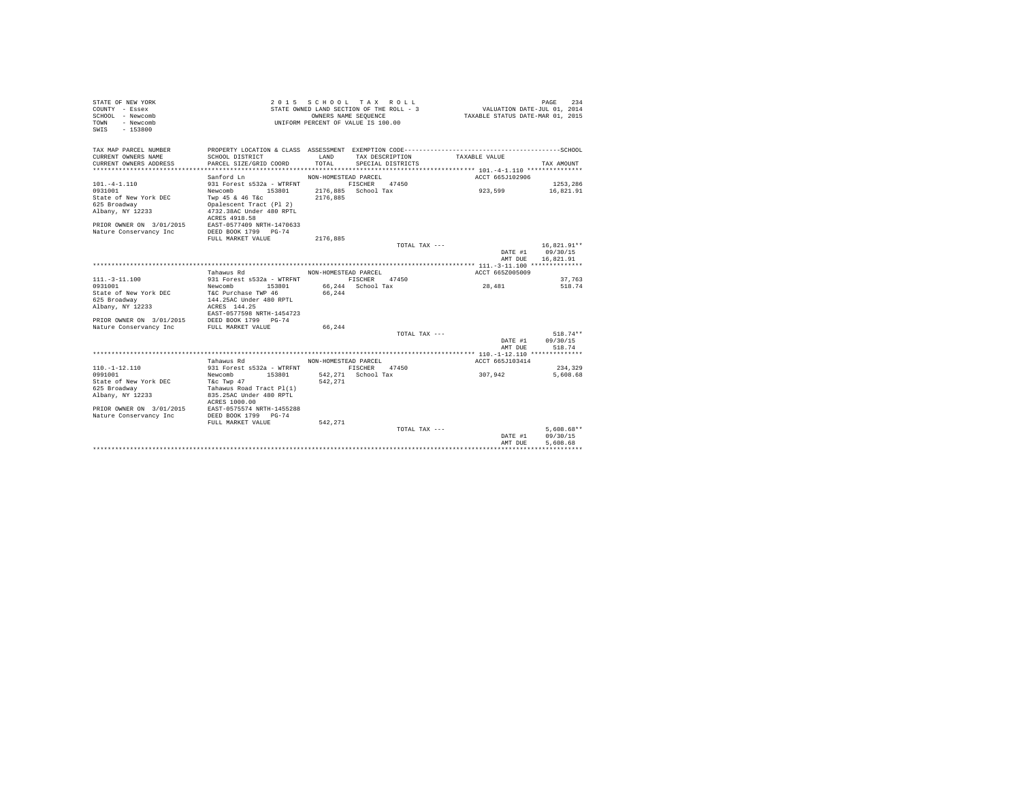| STATE OF NEW YORK<br>COUNTY - Essex<br>SCHOOL - Newcomb<br>TOWN - Newcomb<br>SWIS - 153800 |                                                   |                                 | 2015 SCHOOL TAX ROLL<br>STATE OWNED LAND SECTION OF THE ROLL - 3<br>OWNERS NAME SEQUENCE<br>UNIFORM PERCENT OF VALUE IS 100.00 | VALUATION DATE-JUL 01, 2014<br>TAXABLE STATUS DATE-MAR 01, 2015 |                  | 234<br>PAGE   |
|--------------------------------------------------------------------------------------------|---------------------------------------------------|---------------------------------|--------------------------------------------------------------------------------------------------------------------------------|-----------------------------------------------------------------|------------------|---------------|
| TAX MAP PARCEL NUMBER                                                                      |                                                   |                                 |                                                                                                                                |                                                                 |                  |               |
| CURRENT OWNERS NAME                                                                        | SCHOOL DISTRICT                                   | LAND                            | TAX DESCRIPTION                                                                                                                | TAXABLE VALUE                                                   |                  |               |
| CURRENT OWNERS ADDRESS                                                                     | PARCEL SIZE/GRID COORD                            | TOTAL                           | SPECIAL DISTRICTS                                                                                                              |                                                                 |                  | TAX AMOUNT    |
|                                                                                            | Sanford Ln                                        |                                 |                                                                                                                                |                                                                 |                  |               |
| $101. -4 - 1.110$                                                                          | 931 Forest s532a - WTRENT                         | NON-HOMESTEAD PARCEL<br>FISCHER | 47450                                                                                                                          |                                                                 | ACCT 665J102906  | 1253,286      |
| 0931001                                                                                    | Newcomb 153801                                    |                                 | 2176.885 School Tax                                                                                                            | 923,599                                                         |                  | 16,821.91     |
| State of New York DEC                                                                      | Twp 45 & 46 T&c                                   | 2176.885                        |                                                                                                                                |                                                                 |                  |               |
| 625 Broadway                                                                               | Opalescent Tract (Pl 2)                           |                                 |                                                                                                                                |                                                                 |                  |               |
| Albany, NY 12233                                                                           | 4732.38AC Under 480 RPTL                          |                                 |                                                                                                                                |                                                                 |                  |               |
|                                                                                            | ACRES 4918.58                                     |                                 |                                                                                                                                |                                                                 |                  |               |
| PRIOR OWNER ON 3/01/2015                                                                   | EAST-0577409 NRTH-1470633                         |                                 |                                                                                                                                |                                                                 |                  |               |
| Nature Conservancy Inc                                                                     | DEED BOOK 1799 PG-74                              |                                 |                                                                                                                                |                                                                 |                  |               |
|                                                                                            | FULL MARKET VALUE                                 | 2176.885                        | TOTAL TAX $---$                                                                                                                |                                                                 |                  |               |
|                                                                                            |                                                   |                                 |                                                                                                                                |                                                                 | DATE #1 09/30/15 | $16.821.91**$ |
|                                                                                            |                                                   |                                 |                                                                                                                                |                                                                 | AMT DUE          | 16,821.91     |
|                                                                                            |                                                   |                                 |                                                                                                                                |                                                                 |                  |               |
|                                                                                            | Tahawus Rd                                        | NON-HOMESTEAD PARCEL            |                                                                                                                                | ACCT 665Z005009                                                 |                  |               |
| $111. - 3 - 11.100$                                                                        | 931 Forest s532a - WTRFNT                         |                                 | FISCHER 47450                                                                                                                  |                                                                 |                  | 37.763        |
| 0931001                                                                                    | Newcomb 153801                                    |                                 | 66.244 School Tax                                                                                                              | 28,481                                                          |                  | 518.74        |
| State of New York DEC                                                                      | T&C Purchase TWP 46                               | 66.244                          |                                                                                                                                |                                                                 |                  |               |
| 625 Broadway                                                                               | 144.25AC Under 480 RPTL                           |                                 |                                                                                                                                |                                                                 |                  |               |
| Albany, NY 12233                                                                           | ACRES 144.25                                      |                                 |                                                                                                                                |                                                                 |                  |               |
| PRIOR OWNER ON 3/01/2015                                                                   | EAST-0577598 NRTH-1454723<br>DEED BOOK 1799 PG-74 |                                 |                                                                                                                                |                                                                 |                  |               |
| Nature Conservancy Inc                                                                     | FULL MARKET VALUE                                 | 66.244                          |                                                                                                                                |                                                                 |                  |               |
|                                                                                            |                                                   |                                 | TOTAL TAX ---                                                                                                                  |                                                                 |                  | $518.74**$    |
|                                                                                            |                                                   |                                 |                                                                                                                                |                                                                 | DATE #1 09/30/15 |               |
|                                                                                            |                                                   |                                 |                                                                                                                                |                                                                 | AMT DUE          | 518.74        |
|                                                                                            |                                                   |                                 |                                                                                                                                |                                                                 |                  |               |
|                                                                                            | Tahawus Rd                                        | NON-HOMESTEAD PARCEL            |                                                                                                                                |                                                                 | ACCT 665J103414  |               |
| $110. - 1 - 12.110$                                                                        | 931 Forest s532a - WTRFNT                         |                                 | FISCHER 47450                                                                                                                  |                                                                 |                  | 234,329       |
| 0991001                                                                                    | Newcomb 153801                                    |                                 | 542.271 School Tax                                                                                                             | 307,942                                                         |                  | 5,608.68      |
| State of New York DEC<br>625 Broadway                                                      | T&C Twp 47<br>Tahawus Road Tract Pl(1)            | 542.271                         |                                                                                                                                |                                                                 |                  |               |
| Albany, NY 12233                                                                           | 835.25AC Under 480 RPTL                           |                                 |                                                                                                                                |                                                                 |                  |               |
|                                                                                            | ACRES 1000.00                                     |                                 |                                                                                                                                |                                                                 |                  |               |
| PRIOR OWNER ON 3/01/2015 EAST-0575574 NRTH-1455288                                         |                                                   |                                 |                                                                                                                                |                                                                 |                  |               |
| Nature Conservancy Inc                                                                     | DEED BOOK 1799 PG-74                              |                                 |                                                                                                                                |                                                                 |                  |               |
|                                                                                            | FULL MARKET VALUE                                 | 542.271                         |                                                                                                                                |                                                                 |                  |               |
|                                                                                            |                                                   |                                 | TOTAL TAX ---                                                                                                                  |                                                                 |                  | $5,608.68**$  |
|                                                                                            |                                                   |                                 |                                                                                                                                |                                                                 | DATE #1          | 09/30/15      |
|                                                                                            |                                                   |                                 |                                                                                                                                |                                                                 | AMT DUE          | 5,608.68      |
|                                                                                            |                                                   |                                 |                                                                                                                                |                                                                 |                  |               |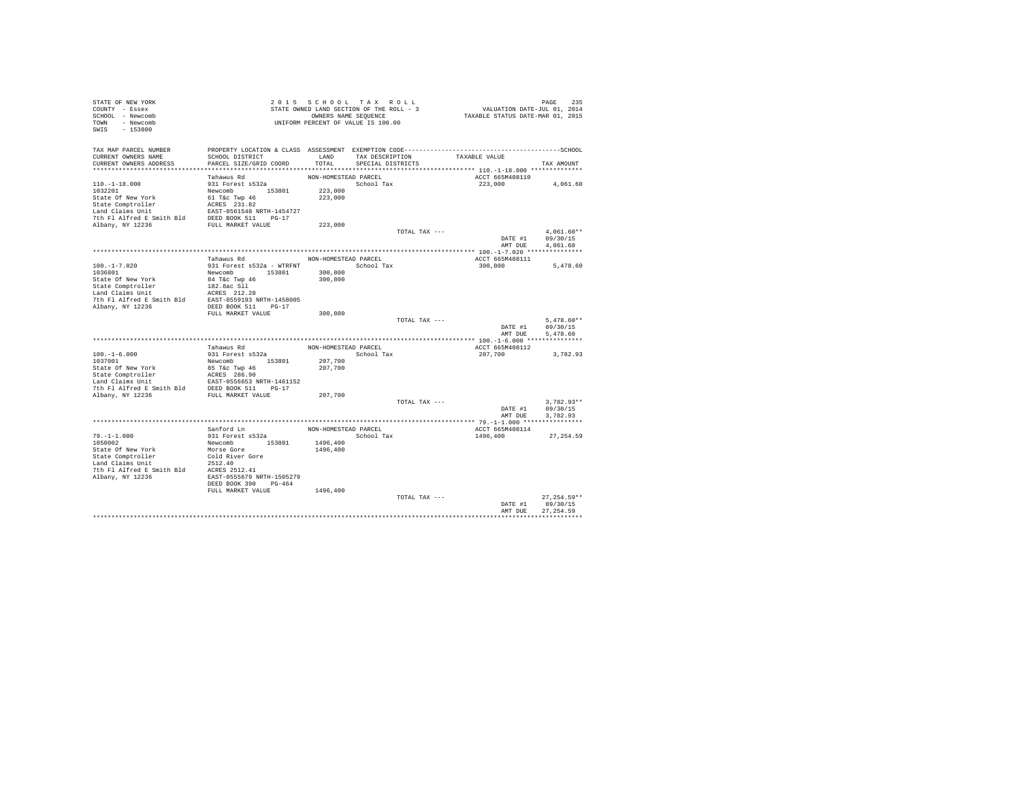| STATE OF NEW YORK<br>COUNTY - Essex                                                                                                                                                               |                                           | 2015 SCHOOL TAX ROLL<br>STATE OWNED LAND SECTION OF THE ROLL - 3 |                      |               |               | PAGE 235<br>VALUATION DATE-JUL 01, 2014 |                   |  |
|---------------------------------------------------------------------------------------------------------------------------------------------------------------------------------------------------|-------------------------------------------|------------------------------------------------------------------|----------------------|---------------|---------------|-----------------------------------------|-------------------|--|
| SCHOOL - Newcomb<br>TOWN - Newcomb<br>$-153800$<br>SWIS                                                                                                                                           |                                           | OWNERS NAME SEQUENCE<br>UNIFORM PERCENT OF VALUE IS 100.00       |                      |               |               | TAXABLE STATUS DATE-MAR 01, 2015        |                   |  |
| TAX MAP PARCEL NUMBER                                                                                                                                                                             |                                           |                                                                  |                      |               |               |                                         |                   |  |
| CURRENT OWNERS NAME                                                                                                                                                                               | SCHOOL DISTRICT                           |                                                                  | LAND TAX DESCRIPTION |               | TAXABLE VALUE |                                         |                   |  |
| CURRENT OWNERS ADDRESS                                                                                                                                                                            | PARCEL SIZE/GRID COORD                    | TOTAL                                                            | SPECIAL DISTRICTS    |               |               |                                         | TAX AMOUNT        |  |
|                                                                                                                                                                                                   | Tahawus Rd                                | NON-HOMESTEAD PARCEL                                             |                      |               |               | ACCT 665M408110                         |                   |  |
| $110.-1-18.000$                                                                                                                                                                                   | 931 Forest s532a                          |                                                                  | School Tax           |               |               | 223,000                                 | 4,061.60          |  |
| 1032201                                                                                                                                                                                           | Newcomb 153801                            | 223,000                                                          |                      |               |               |                                         |                   |  |
| State Of New York                                                                                                                                                                                 | 61 T&C Twp 46<br>ACRES 231.82             | 223,000                                                          |                      |               |               |                                         |                   |  |
| State Comptroller                                                                                                                                                                                 |                                           |                                                                  |                      |               |               |                                         |                   |  |
|                                                                                                                                                                                                   |                                           |                                                                  |                      |               |               |                                         |                   |  |
| Land Claims Unit<br>2008 - EAST-0561548 NRTH-1454727<br>7th F1 Alfred E Smith Bld<br>2008 - FULL MARKET VALUE<br>2008 - FULL MARKET VALUE                                                         |                                           |                                                                  |                      |               |               |                                         |                   |  |
|                                                                                                                                                                                                   |                                           | 223,000                                                          |                      | TOTAL TAX --- |               |                                         | $4.061.60**$      |  |
|                                                                                                                                                                                                   |                                           |                                                                  |                      |               |               | DATE #1                                 | 09/30/15          |  |
|                                                                                                                                                                                                   |                                           |                                                                  |                      |               |               | AMT DUE                                 | 4.061.60          |  |
|                                                                                                                                                                                                   |                                           |                                                                  |                      |               |               |                                         |                   |  |
|                                                                                                                                                                                                   | Tahawus Rd                                | NON-HOMESTEAD PARCEL                                             |                      |               |               | ACCT 665M408111                         |                   |  |
| $100. -1 - 7.020$                                                                                                                                                                                 | 931 Forest s532a - WTRFNT                 |                                                                  | School Tax           |               | 300,800       |                                         | 5,478.60          |  |
| 1036801                                                                                                                                                                                           | Newcomb 153801                            | 300,800                                                          |                      |               |               |                                         |                   |  |
| State Of New York                                                                                                                                                                                 | 84 T&c Twp 46                             | 300,800                                                          |                      |               |               |                                         |                   |  |
| State Comptroller<br>Land Claims Unit                                                                                                                                                             | 182.8ac Sll                               |                                                                  |                      |               |               |                                         |                   |  |
| $\begin{tabular}{llll} \texttt{Land Clains Unit} & \texttt{ACRES} & 212.28 \\ \texttt{7th Fl Alfred E Smith Bld} & \texttt{EAST-0559193 NRTH-1458005} \end{tabular}$                              |                                           |                                                                  |                      |               |               |                                         |                   |  |
| Albany, NY 12236                                                                                                                                                                                  | DEED BOOK 511 PG-17                       |                                                                  |                      |               |               |                                         |                   |  |
|                                                                                                                                                                                                   | FULL MARKET VALUE                         | 300,800                                                          |                      |               |               |                                         |                   |  |
|                                                                                                                                                                                                   |                                           |                                                                  |                      | TOTAL TAX --- |               |                                         | $5.478.60**$      |  |
|                                                                                                                                                                                                   |                                           |                                                                  |                      |               |               | DATE #1                                 | 09/30/15          |  |
|                                                                                                                                                                                                   |                                           |                                                                  |                      |               |               | AMT DUE                                 | 5.478.60          |  |
|                                                                                                                                                                                                   |                                           |                                                                  |                      |               |               |                                         |                   |  |
|                                                                                                                                                                                                   | Tahawus Rd                                | NON-HOMESTEAD PARCEL                                             |                      |               |               | ACCT 665M408112                         |                   |  |
| $100.-1-6.000$<br>1037001                                                                                                                                                                         | 931 Forest s532a<br>Newcomb 153801        | 207,700                                                          | School Tax           |               | 207,700       |                                         | 3,782.93          |  |
| State Of New York                                                                                                                                                                                 | 85 T&C Twp 46                             | 207,700                                                          |                      |               |               |                                         |                   |  |
|                                                                                                                                                                                                   |                                           |                                                                  |                      |               |               |                                         |                   |  |
|                                                                                                                                                                                                   |                                           |                                                                  |                      |               |               |                                         |                   |  |
| State Omptroller MCRS 286.90<br>Land Claims Unit<br>Land Claims Unit<br>The Fl Alfred E Smith Bld<br>DEED BOOK 511 PIC-17<br>7th Fl Alfred E Smith Bld<br>DEED BOOK 511 PC-17<br>Albany, NY 12236 |                                           |                                                                  |                      |               |               |                                         |                   |  |
|                                                                                                                                                                                                   |                                           | 207,700                                                          |                      |               |               |                                         |                   |  |
|                                                                                                                                                                                                   |                                           |                                                                  |                      | TOTAL TAX --- |               |                                         | $3,782.93**$      |  |
|                                                                                                                                                                                                   |                                           |                                                                  |                      |               |               | DATE #1                                 | 09/30/15          |  |
|                                                                                                                                                                                                   |                                           |                                                                  |                      |               |               | AMT DUE                                 | 3.782.93          |  |
|                                                                                                                                                                                                   | Sanford Ln                                | NON-HOMESTEAD PARCEL                                             |                      |               |               | ACCT 665M408114                         |                   |  |
| $79. - 1 - 1.000$                                                                                                                                                                                 | 931 Forest s532a                          |                                                                  | School Tax           |               | 1496,400      |                                         | 27,254.59         |  |
| 1050002                                                                                                                                                                                           | Newcomb 153801                            | 1496,400                                                         |                      |               |               |                                         |                   |  |
| State Of New York                                                                                                                                                                                 | Morse Gore                                | 1496,400                                                         |                      |               |               |                                         |                   |  |
| State Comptroller                                                                                                                                                                                 | Cold River Gore                           |                                                                  |                      |               |               |                                         |                   |  |
| Land Claims Unit                                                                                                                                                                                  | 2512.40                                   |                                                                  |                      |               |               |                                         |                   |  |
| 7th Fl Alfred E Smith Bld ACRES 2512.41                                                                                                                                                           |                                           |                                                                  |                      |               |               |                                         |                   |  |
| Albany, NY 12236                                                                                                                                                                                  | EAST-0555679 NRTH-1505279                 |                                                                  |                      |               |               |                                         |                   |  |
|                                                                                                                                                                                                   | DEED BOOK 390 PG-464<br>FULL MARKET VALUE | 1496,400                                                         |                      |               |               |                                         |                   |  |
|                                                                                                                                                                                                   |                                           |                                                                  |                      | TOTAL TAX --- |               |                                         | $27.254.59**$     |  |
|                                                                                                                                                                                                   |                                           |                                                                  |                      |               |               | DATE #1                                 | 09/30/15          |  |
|                                                                                                                                                                                                   |                                           |                                                                  |                      |               |               | AMT DUE                                 | 27, 254.59        |  |
|                                                                                                                                                                                                   |                                           |                                                                  |                      |               |               |                                         | ***************** |  |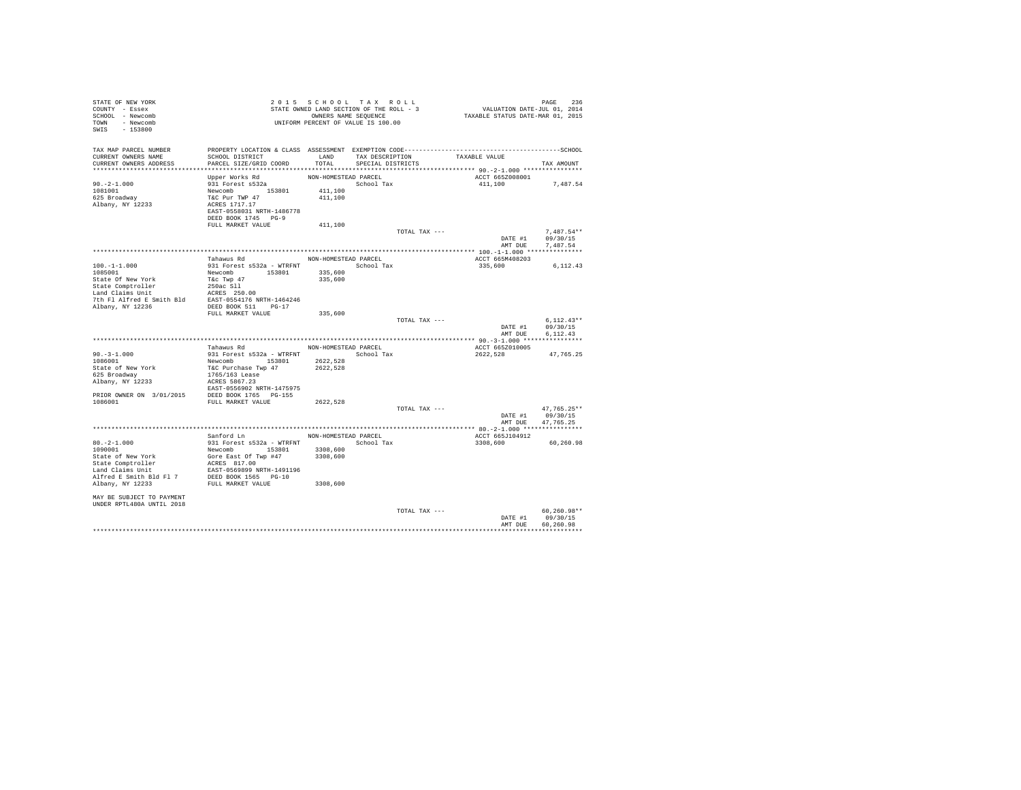| STATE OF NEW YORK<br>COUNTY - Essex<br>SCHOOL - Newcomb<br>TOWN - Newcomb<br>$-153800$<br>SWIS                                                                                                     | STATE OWNED LAND SECTION OF THE ROLL - 5<br>OWNERS NAME SEQUENCE<br>UNIFORM PERCENT OF VALUE IS 100.00                                   |                      |                   |                 | PAGE 236<br>VALUATION DATE-JUL 01, 2014<br>TAXABLE STATUS DATE-MAR 01, 2015 |                           |  |
|----------------------------------------------------------------------------------------------------------------------------------------------------------------------------------------------------|------------------------------------------------------------------------------------------------------------------------------------------|----------------------|-------------------|-----------------|-----------------------------------------------------------------------------|---------------------------|--|
| TAX MAP PARCEL NUMBER                                                                                                                                                                              | PROPERTY LOCATION & CLASS ASSESSMENT EXEMPTION CODE-----------------------------------SCHOOL                                             |                      |                   |                 |                                                                             |                           |  |
| CURRENT OWNERS NAME                                                                                                                                                                                | SCHOOL DISTRICT                                                                                                                          | LAND                 |                   | TAX DESCRIPTION | TAXABLE VALUE                                                               |                           |  |
| CURRENT OWNERS ADDRESS                                                                                                                                                                             | PARCEL SIZE/GRID COORD                                                                                                                   | TOTAL                | SPECIAL DISTRICTS |                 |                                                                             | TAX AMOUNT                |  |
|                                                                                                                                                                                                    |                                                                                                                                          |                      |                   |                 |                                                                             |                           |  |
| $90. -2 - 1.000$                                                                                                                                                                                   | Upper Works Rd                                                                                                                           | NON-HOMESTEAD PARCEL |                   |                 | ACCT 665Z008001                                                             |                           |  |
| 1081001                                                                                                                                                                                            | 931 Forest s532a                                                                                                                         | 411,100              | School Tax        |                 | 411,100 7,487.54                                                            |                           |  |
| 625 Broadway                                                                                                                                                                                       |                                                                                                                                          | 411,100              |                   |                 |                                                                             |                           |  |
| Albany, NY 12233                                                                                                                                                                                   | Newcomb<br>T&C Pur TWP 47<br>ACRES 1717.17                                                                                               |                      |                   |                 |                                                                             |                           |  |
|                                                                                                                                                                                                    | EAST-0558031 NRTH-1486778                                                                                                                |                      |                   |                 |                                                                             |                           |  |
|                                                                                                                                                                                                    | DEED BOOK 1745 PG-9                                                                                                                      |                      |                   |                 |                                                                             |                           |  |
|                                                                                                                                                                                                    | FULL MARKET VALUE                                                                                                                        | 411,100              |                   |                 |                                                                             |                           |  |
|                                                                                                                                                                                                    |                                                                                                                                          |                      |                   | TOTAL TAX ---   |                                                                             | $7.487.54**$              |  |
|                                                                                                                                                                                                    |                                                                                                                                          |                      |                   |                 | DATE #1<br>AMT DUE                                                          | 09/30/15<br>7,487.54      |  |
|                                                                                                                                                                                                    |                                                                                                                                          |                      |                   |                 |                                                                             |                           |  |
|                                                                                                                                                                                                    | Tahawus Rd                                                                                                                               | NON-HOMESTEAD PARCEL |                   |                 | ACCT 665M408203                                                             |                           |  |
| $100. -1 - 1.000$                                                                                                                                                                                  |                                                                                                                                          |                      |                   |                 | 335,600                                                                     | 6,112.43                  |  |
| 1085001                                                                                                                                                                                            | Newcomb 153801                                                                                                                           | 335,600              |                   |                 |                                                                             |                           |  |
| State Of New York Tac Twp 47<br>State Comptroller 250ac S11<br>State Compton 250ac S11<br>Land Claims Unit<br>The Research 250ac S150.00<br>The F1 Alfred E Smith B1d<br>EAST-0554176 NRTH-1464246 |                                                                                                                                          | 335,600              |                   |                 |                                                                             |                           |  |
|                                                                                                                                                                                                    |                                                                                                                                          |                      |                   |                 |                                                                             |                           |  |
|                                                                                                                                                                                                    |                                                                                                                                          |                      |                   |                 |                                                                             |                           |  |
| Albany, NY 12236                                                                                                                                                                                   | DEED BOOK 511 PG-17                                                                                                                      |                      |                   |                 |                                                                             |                           |  |
|                                                                                                                                                                                                    | FULL MARKET VALUE                                                                                                                        | 335,600              |                   |                 |                                                                             |                           |  |
|                                                                                                                                                                                                    |                                                                                                                                          |                      |                   | TOTAL TAX ---   |                                                                             | $6.112.43**$              |  |
|                                                                                                                                                                                                    |                                                                                                                                          |                      |                   |                 | DATE #1                                                                     | 09/30/15                  |  |
|                                                                                                                                                                                                    |                                                                                                                                          |                      |                   |                 | AMT DUE                                                                     | 6,112.43                  |  |
|                                                                                                                                                                                                    |                                                                                                                                          |                      |                   |                 |                                                                             |                           |  |
|                                                                                                                                                                                                    | Tahawus Rd                                                                                                                               | NON-HOMESTEAD PARCEL |                   |                 | ACCT 665Z010005                                                             |                           |  |
| $90. -3 - 1.000$<br>1086001                                                                                                                                                                        |                                                                                                                                          |                      |                   |                 | 2622,528                                                                    | 47.765.25                 |  |
| State of New York                                                                                                                                                                                  | 331 Forest s532a - WTRFNT<br>Newtomb 153801 2622,528<br>Newtomb 153801 2622,528<br>T&C Purchase Twp 47<br>1765/163 Lease<br>NCRS 5867.23 |                      |                   |                 |                                                                             |                           |  |
| 625 Broadway                                                                                                                                                                                       |                                                                                                                                          |                      |                   |                 |                                                                             |                           |  |
| Albany, NY 12233                                                                                                                                                                                   |                                                                                                                                          |                      |                   |                 |                                                                             |                           |  |
|                                                                                                                                                                                                    | EAST-0556902 NRTH-1475975                                                                                                                |                      |                   |                 |                                                                             |                           |  |
| PRIOR OWNER ON $3/01/2015$ DEED BOOK 1765 PG-155                                                                                                                                                   |                                                                                                                                          |                      |                   |                 |                                                                             |                           |  |
| 1086001                                                                                                                                                                                            | FULL MARKET VALUE                                                                                                                        | 2622,528             |                   |                 |                                                                             |                           |  |
|                                                                                                                                                                                                    |                                                                                                                                          |                      |                   | TOTAL TAX ---   | DATE #1                                                                     | $47.765.25**$<br>09/30/15 |  |
|                                                                                                                                                                                                    |                                                                                                                                          |                      |                   |                 | AMT DUE                                                                     | 47,765.25                 |  |
|                                                                                                                                                                                                    |                                                                                                                                          |                      |                   |                 |                                                                             |                           |  |
|                                                                                                                                                                                                    | Sanford Ln MON-HOMESTEAD PARCEL                                                                                                          |                      |                   |                 | ACCT 665J104912                                                             |                           |  |
| $80. -2 - 1.000$                                                                                                                                                                                   |                                                                                                                                          |                      |                   |                 | 3308,600                                                                    | 60,260.98                 |  |
| 1090001                                                                                                                                                                                            |                                                                                                                                          |                      |                   |                 |                                                                             |                           |  |
| State of New York                                                                                                                                                                                  | 931 Forest \$532a - WTRFNT<br>Newcomb 153801 3308,600<br>Gore East Of Twp #47 3308,600<br>ACRES 817.00                                   |                      |                   |                 |                                                                             |                           |  |
| State Comptroller<br>Land Claims Unit                                                                                                                                                              |                                                                                                                                          |                      |                   |                 |                                                                             |                           |  |
|                                                                                                                                                                                                    | EAST-0569899 NRTH-1491196                                                                                                                |                      |                   |                 |                                                                             |                           |  |
| Alfred E Smith Bld Fl 7 DEED BOOK 1565 PG-10<br>Albany, NY 12233 FULL MARKET VALUE                                                                                                                 |                                                                                                                                          | 3308,600             |                   |                 |                                                                             |                           |  |
|                                                                                                                                                                                                    |                                                                                                                                          |                      |                   |                 |                                                                             |                           |  |
| MAY BE SUBJECT TO PAYMENT                                                                                                                                                                          |                                                                                                                                          |                      |                   |                 |                                                                             |                           |  |
| UNDER RPTL480A UNTIL 2018                                                                                                                                                                          |                                                                                                                                          |                      |                   |                 |                                                                             |                           |  |
|                                                                                                                                                                                                    |                                                                                                                                          |                      |                   | TOTAL TAX ---   |                                                                             | $60, 260.98**$            |  |
|                                                                                                                                                                                                    |                                                                                                                                          |                      |                   |                 | DATE #1                                                                     | 09/30/15                  |  |
|                                                                                                                                                                                                    |                                                                                                                                          |                      |                   |                 | AMT DIR                                                                     | 60.260.98                 |  |
|                                                                                                                                                                                                    |                                                                                                                                          |                      |                   |                 |                                                                             |                           |  |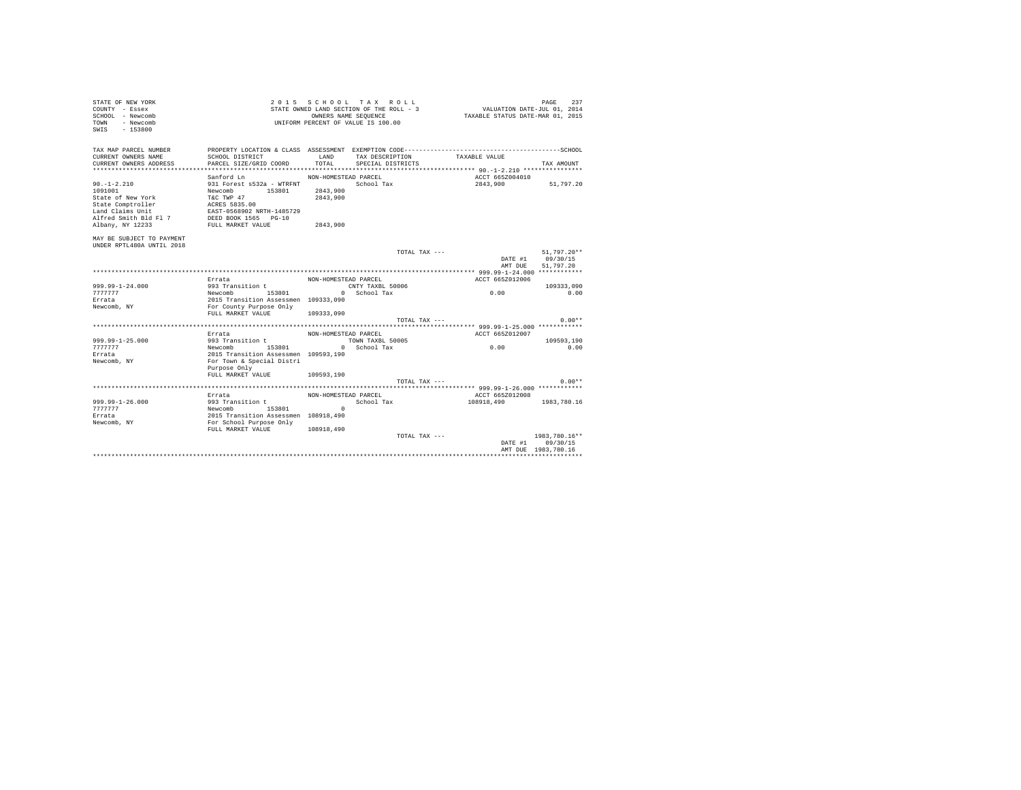| TAX MAP PARCEL NUMBER<br>CURRENT OWNERS NAME<br>LAND TAX DESCRIPTION<br>SCHOOL DISTRICT<br>TAXABLE VALUE<br>CURRENT OWNERS ADDRESS<br>PARCEL SIZE/GRID COORD<br>TOTAL<br>SPECIAL DISTRICTS<br>TAX AMOUNT<br>ACCT 665Z004010<br>Sanford Ln<br>NON-HOMESTEAD PARCEL<br>51,797.20<br>$90. -1 - 2.210$<br>931 Forest s532a - WTRFNT<br>School Tax<br>2843,900<br>Newcomb 153801<br>2843,900<br>1091001<br>T&C TWP 47<br>2843,900<br>State of New York<br>ACRES 5835.00<br>State Comptroller<br>Land Claims Unit<br>EAST-0568902 NRTH-1485729<br>DEED BOOK 1565 PG-10<br>Alfred Smith Bld Fl 7<br>FULL MARKET VALUE<br>2843,900<br>Albany, NY 12233<br>MAY BE SUBJECT TO PAYMENT<br>UNDER RPTL480A UNTIL 2018<br>TOTAL TAX ---<br>51,797.20**<br>DATE #1 09/30/15<br>51,797.20<br>AMT DUE<br>ACCT 665Z012006<br>Errata<br>NON-HOMESTEAD PARCEL<br>$999.99 - 1 - 24.000$<br>993 Transition t<br>CNTY TAXBL 50006<br>109333,090<br>Newcomb 153801 0 School Tax<br>2015 Transition Assessmen 109333,090<br>For County Purpose Only<br>0.00<br>777777<br>0.00<br>Errata<br>Newcomb, NY<br>FULL MARKET VALUE<br>109333,090<br>$0.00**$<br>TOTAL TAX ---<br>Errata<br>ACCT 665Z012007<br>NON-HOMESTEAD PARCEL<br>999.99-1-25.000<br>993 Transition t<br>TOWN TAXBL 50005<br>109593,190<br>0.00<br>Newcomb 153801 0 School Tax<br>2015 Transition Assessmen 109593,190<br>7777777<br>0.00<br>Errata<br>For Town & Special Distri<br>Newcomb, NY<br>Purpose Only<br>FULL MARKET VALUE 109593.190<br>$0.00**$<br>TOTAL TAX ---<br>Errata<br>NON-HOMESTEAD PARCEL<br>ACCT 665Z012008<br>$999.99 - 1 - 26.000$<br>993 Transition t<br>108918,490 1983,780.16<br>School Tax<br>Newcomb 153801 0<br>2015 Transition Assessmen 108918,490<br>For School Purpose Only<br>7777777<br>Errata<br>Newcomb, NY<br>108918,490<br>FULL MARKET VALUE<br>$1983.780.16**$<br>TOTAL TAX ---<br>DATE #1<br>09/30/15<br>AMT DUE 1983, 780.16 | STATE OF NEW YORK<br>COUNTY - Essex<br>SCHOOL - Newcomb<br>TOWN - Newcomb<br>$-153800$<br>SWTS |  | 2015 SCHOOL TAX ROLL<br>STATE OWNED LAND SECTION OF THE ROLL - 3<br>OWNERS NAME SEQUENCE<br>UNIFORM PERCENT OF VALUE IS 100.00 | VALUATION DATE-JUL 01, 2014<br>TAXABLE STATUS DATE-MAR 01, 2015 | PAGE<br>237 |
|-------------------------------------------------------------------------------------------------------------------------------------------------------------------------------------------------------------------------------------------------------------------------------------------------------------------------------------------------------------------------------------------------------------------------------------------------------------------------------------------------------------------------------------------------------------------------------------------------------------------------------------------------------------------------------------------------------------------------------------------------------------------------------------------------------------------------------------------------------------------------------------------------------------------------------------------------------------------------------------------------------------------------------------------------------------------------------------------------------------------------------------------------------------------------------------------------------------------------------------------------------------------------------------------------------------------------------------------------------------------------------------------------------------------------------------------------------------------------------------------------------------------------------------------------------------------------------------------------------------------------------------------------------------------------------------------------------------------------------------------------------------------------------------------------------------------------------------------------------------------------------------------------------------|------------------------------------------------------------------------------------------------|--|--------------------------------------------------------------------------------------------------------------------------------|-----------------------------------------------------------------|-------------|
|                                                                                                                                                                                                                                                                                                                                                                                                                                                                                                                                                                                                                                                                                                                                                                                                                                                                                                                                                                                                                                                                                                                                                                                                                                                                                                                                                                                                                                                                                                                                                                                                                                                                                                                                                                                                                                                                                                             |                                                                                                |  |                                                                                                                                |                                                                 |             |
|                                                                                                                                                                                                                                                                                                                                                                                                                                                                                                                                                                                                                                                                                                                                                                                                                                                                                                                                                                                                                                                                                                                                                                                                                                                                                                                                                                                                                                                                                                                                                                                                                                                                                                                                                                                                                                                                                                             |                                                                                                |  |                                                                                                                                |                                                                 |             |
|                                                                                                                                                                                                                                                                                                                                                                                                                                                                                                                                                                                                                                                                                                                                                                                                                                                                                                                                                                                                                                                                                                                                                                                                                                                                                                                                                                                                                                                                                                                                                                                                                                                                                                                                                                                                                                                                                                             |                                                                                                |  |                                                                                                                                |                                                                 |             |
|                                                                                                                                                                                                                                                                                                                                                                                                                                                                                                                                                                                                                                                                                                                                                                                                                                                                                                                                                                                                                                                                                                                                                                                                                                                                                                                                                                                                                                                                                                                                                                                                                                                                                                                                                                                                                                                                                                             |                                                                                                |  |                                                                                                                                |                                                                 |             |
|                                                                                                                                                                                                                                                                                                                                                                                                                                                                                                                                                                                                                                                                                                                                                                                                                                                                                                                                                                                                                                                                                                                                                                                                                                                                                                                                                                                                                                                                                                                                                                                                                                                                                                                                                                                                                                                                                                             |                                                                                                |  |                                                                                                                                |                                                                 |             |
|                                                                                                                                                                                                                                                                                                                                                                                                                                                                                                                                                                                                                                                                                                                                                                                                                                                                                                                                                                                                                                                                                                                                                                                                                                                                                                                                                                                                                                                                                                                                                                                                                                                                                                                                                                                                                                                                                                             |                                                                                                |  |                                                                                                                                |                                                                 |             |
|                                                                                                                                                                                                                                                                                                                                                                                                                                                                                                                                                                                                                                                                                                                                                                                                                                                                                                                                                                                                                                                                                                                                                                                                                                                                                                                                                                                                                                                                                                                                                                                                                                                                                                                                                                                                                                                                                                             |                                                                                                |  |                                                                                                                                |                                                                 |             |
|                                                                                                                                                                                                                                                                                                                                                                                                                                                                                                                                                                                                                                                                                                                                                                                                                                                                                                                                                                                                                                                                                                                                                                                                                                                                                                                                                                                                                                                                                                                                                                                                                                                                                                                                                                                                                                                                                                             |                                                                                                |  |                                                                                                                                |                                                                 |             |
|                                                                                                                                                                                                                                                                                                                                                                                                                                                                                                                                                                                                                                                                                                                                                                                                                                                                                                                                                                                                                                                                                                                                                                                                                                                                                                                                                                                                                                                                                                                                                                                                                                                                                                                                                                                                                                                                                                             |                                                                                                |  |                                                                                                                                |                                                                 |             |
|                                                                                                                                                                                                                                                                                                                                                                                                                                                                                                                                                                                                                                                                                                                                                                                                                                                                                                                                                                                                                                                                                                                                                                                                                                                                                                                                                                                                                                                                                                                                                                                                                                                                                                                                                                                                                                                                                                             |                                                                                                |  |                                                                                                                                |                                                                 |             |
|                                                                                                                                                                                                                                                                                                                                                                                                                                                                                                                                                                                                                                                                                                                                                                                                                                                                                                                                                                                                                                                                                                                                                                                                                                                                                                                                                                                                                                                                                                                                                                                                                                                                                                                                                                                                                                                                                                             |                                                                                                |  |                                                                                                                                |                                                                 |             |
|                                                                                                                                                                                                                                                                                                                                                                                                                                                                                                                                                                                                                                                                                                                                                                                                                                                                                                                                                                                                                                                                                                                                                                                                                                                                                                                                                                                                                                                                                                                                                                                                                                                                                                                                                                                                                                                                                                             |                                                                                                |  |                                                                                                                                |                                                                 |             |
|                                                                                                                                                                                                                                                                                                                                                                                                                                                                                                                                                                                                                                                                                                                                                                                                                                                                                                                                                                                                                                                                                                                                                                                                                                                                                                                                                                                                                                                                                                                                                                                                                                                                                                                                                                                                                                                                                                             |                                                                                                |  |                                                                                                                                |                                                                 |             |
|                                                                                                                                                                                                                                                                                                                                                                                                                                                                                                                                                                                                                                                                                                                                                                                                                                                                                                                                                                                                                                                                                                                                                                                                                                                                                                                                                                                                                                                                                                                                                                                                                                                                                                                                                                                                                                                                                                             |                                                                                                |  |                                                                                                                                |                                                                 |             |
|                                                                                                                                                                                                                                                                                                                                                                                                                                                                                                                                                                                                                                                                                                                                                                                                                                                                                                                                                                                                                                                                                                                                                                                                                                                                                                                                                                                                                                                                                                                                                                                                                                                                                                                                                                                                                                                                                                             |                                                                                                |  |                                                                                                                                |                                                                 |             |
|                                                                                                                                                                                                                                                                                                                                                                                                                                                                                                                                                                                                                                                                                                                                                                                                                                                                                                                                                                                                                                                                                                                                                                                                                                                                                                                                                                                                                                                                                                                                                                                                                                                                                                                                                                                                                                                                                                             |                                                                                                |  |                                                                                                                                |                                                                 |             |
|                                                                                                                                                                                                                                                                                                                                                                                                                                                                                                                                                                                                                                                                                                                                                                                                                                                                                                                                                                                                                                                                                                                                                                                                                                                                                                                                                                                                                                                                                                                                                                                                                                                                                                                                                                                                                                                                                                             |                                                                                                |  |                                                                                                                                |                                                                 |             |
|                                                                                                                                                                                                                                                                                                                                                                                                                                                                                                                                                                                                                                                                                                                                                                                                                                                                                                                                                                                                                                                                                                                                                                                                                                                                                                                                                                                                                                                                                                                                                                                                                                                                                                                                                                                                                                                                                                             |                                                                                                |  |                                                                                                                                |                                                                 |             |
|                                                                                                                                                                                                                                                                                                                                                                                                                                                                                                                                                                                                                                                                                                                                                                                                                                                                                                                                                                                                                                                                                                                                                                                                                                                                                                                                                                                                                                                                                                                                                                                                                                                                                                                                                                                                                                                                                                             |                                                                                                |  |                                                                                                                                |                                                                 |             |
|                                                                                                                                                                                                                                                                                                                                                                                                                                                                                                                                                                                                                                                                                                                                                                                                                                                                                                                                                                                                                                                                                                                                                                                                                                                                                                                                                                                                                                                                                                                                                                                                                                                                                                                                                                                                                                                                                                             |                                                                                                |  |                                                                                                                                |                                                                 |             |
|                                                                                                                                                                                                                                                                                                                                                                                                                                                                                                                                                                                                                                                                                                                                                                                                                                                                                                                                                                                                                                                                                                                                                                                                                                                                                                                                                                                                                                                                                                                                                                                                                                                                                                                                                                                                                                                                                                             |                                                                                                |  |                                                                                                                                |                                                                 |             |
|                                                                                                                                                                                                                                                                                                                                                                                                                                                                                                                                                                                                                                                                                                                                                                                                                                                                                                                                                                                                                                                                                                                                                                                                                                                                                                                                                                                                                                                                                                                                                                                                                                                                                                                                                                                                                                                                                                             |                                                                                                |  |                                                                                                                                |                                                                 |             |
|                                                                                                                                                                                                                                                                                                                                                                                                                                                                                                                                                                                                                                                                                                                                                                                                                                                                                                                                                                                                                                                                                                                                                                                                                                                                                                                                                                                                                                                                                                                                                                                                                                                                                                                                                                                                                                                                                                             |                                                                                                |  |                                                                                                                                |                                                                 |             |
|                                                                                                                                                                                                                                                                                                                                                                                                                                                                                                                                                                                                                                                                                                                                                                                                                                                                                                                                                                                                                                                                                                                                                                                                                                                                                                                                                                                                                                                                                                                                                                                                                                                                                                                                                                                                                                                                                                             |                                                                                                |  |                                                                                                                                |                                                                 |             |
|                                                                                                                                                                                                                                                                                                                                                                                                                                                                                                                                                                                                                                                                                                                                                                                                                                                                                                                                                                                                                                                                                                                                                                                                                                                                                                                                                                                                                                                                                                                                                                                                                                                                                                                                                                                                                                                                                                             |                                                                                                |  |                                                                                                                                |                                                                 |             |
|                                                                                                                                                                                                                                                                                                                                                                                                                                                                                                                                                                                                                                                                                                                                                                                                                                                                                                                                                                                                                                                                                                                                                                                                                                                                                                                                                                                                                                                                                                                                                                                                                                                                                                                                                                                                                                                                                                             |                                                                                                |  |                                                                                                                                |                                                                 |             |
|                                                                                                                                                                                                                                                                                                                                                                                                                                                                                                                                                                                                                                                                                                                                                                                                                                                                                                                                                                                                                                                                                                                                                                                                                                                                                                                                                                                                                                                                                                                                                                                                                                                                                                                                                                                                                                                                                                             |                                                                                                |  |                                                                                                                                |                                                                 |             |
|                                                                                                                                                                                                                                                                                                                                                                                                                                                                                                                                                                                                                                                                                                                                                                                                                                                                                                                                                                                                                                                                                                                                                                                                                                                                                                                                                                                                                                                                                                                                                                                                                                                                                                                                                                                                                                                                                                             |                                                                                                |  |                                                                                                                                |                                                                 |             |
|                                                                                                                                                                                                                                                                                                                                                                                                                                                                                                                                                                                                                                                                                                                                                                                                                                                                                                                                                                                                                                                                                                                                                                                                                                                                                                                                                                                                                                                                                                                                                                                                                                                                                                                                                                                                                                                                                                             |                                                                                                |  |                                                                                                                                |                                                                 |             |
|                                                                                                                                                                                                                                                                                                                                                                                                                                                                                                                                                                                                                                                                                                                                                                                                                                                                                                                                                                                                                                                                                                                                                                                                                                                                                                                                                                                                                                                                                                                                                                                                                                                                                                                                                                                                                                                                                                             |                                                                                                |  |                                                                                                                                |                                                                 |             |
|                                                                                                                                                                                                                                                                                                                                                                                                                                                                                                                                                                                                                                                                                                                                                                                                                                                                                                                                                                                                                                                                                                                                                                                                                                                                                                                                                                                                                                                                                                                                                                                                                                                                                                                                                                                                                                                                                                             |                                                                                                |  |                                                                                                                                |                                                                 |             |
|                                                                                                                                                                                                                                                                                                                                                                                                                                                                                                                                                                                                                                                                                                                                                                                                                                                                                                                                                                                                                                                                                                                                                                                                                                                                                                                                                                                                                                                                                                                                                                                                                                                                                                                                                                                                                                                                                                             |                                                                                                |  |                                                                                                                                |                                                                 |             |
|                                                                                                                                                                                                                                                                                                                                                                                                                                                                                                                                                                                                                                                                                                                                                                                                                                                                                                                                                                                                                                                                                                                                                                                                                                                                                                                                                                                                                                                                                                                                                                                                                                                                                                                                                                                                                                                                                                             |                                                                                                |  |                                                                                                                                |                                                                 |             |
|                                                                                                                                                                                                                                                                                                                                                                                                                                                                                                                                                                                                                                                                                                                                                                                                                                                                                                                                                                                                                                                                                                                                                                                                                                                                                                                                                                                                                                                                                                                                                                                                                                                                                                                                                                                                                                                                                                             |                                                                                                |  |                                                                                                                                |                                                                 |             |
|                                                                                                                                                                                                                                                                                                                                                                                                                                                                                                                                                                                                                                                                                                                                                                                                                                                                                                                                                                                                                                                                                                                                                                                                                                                                                                                                                                                                                                                                                                                                                                                                                                                                                                                                                                                                                                                                                                             |                                                                                                |  |                                                                                                                                |                                                                 |             |
|                                                                                                                                                                                                                                                                                                                                                                                                                                                                                                                                                                                                                                                                                                                                                                                                                                                                                                                                                                                                                                                                                                                                                                                                                                                                                                                                                                                                                                                                                                                                                                                                                                                                                                                                                                                                                                                                                                             |                                                                                                |  |                                                                                                                                |                                                                 |             |
|                                                                                                                                                                                                                                                                                                                                                                                                                                                                                                                                                                                                                                                                                                                                                                                                                                                                                                                                                                                                                                                                                                                                                                                                                                                                                                                                                                                                                                                                                                                                                                                                                                                                                                                                                                                                                                                                                                             |                                                                                                |  |                                                                                                                                |                                                                 |             |
|                                                                                                                                                                                                                                                                                                                                                                                                                                                                                                                                                                                                                                                                                                                                                                                                                                                                                                                                                                                                                                                                                                                                                                                                                                                                                                                                                                                                                                                                                                                                                                                                                                                                                                                                                                                                                                                                                                             |                                                                                                |  |                                                                                                                                |                                                                 |             |
|                                                                                                                                                                                                                                                                                                                                                                                                                                                                                                                                                                                                                                                                                                                                                                                                                                                                                                                                                                                                                                                                                                                                                                                                                                                                                                                                                                                                                                                                                                                                                                                                                                                                                                                                                                                                                                                                                                             |                                                                                                |  |                                                                                                                                |                                                                 |             |
|                                                                                                                                                                                                                                                                                                                                                                                                                                                                                                                                                                                                                                                                                                                                                                                                                                                                                                                                                                                                                                                                                                                                                                                                                                                                                                                                                                                                                                                                                                                                                                                                                                                                                                                                                                                                                                                                                                             |                                                                                                |  |                                                                                                                                |                                                                 |             |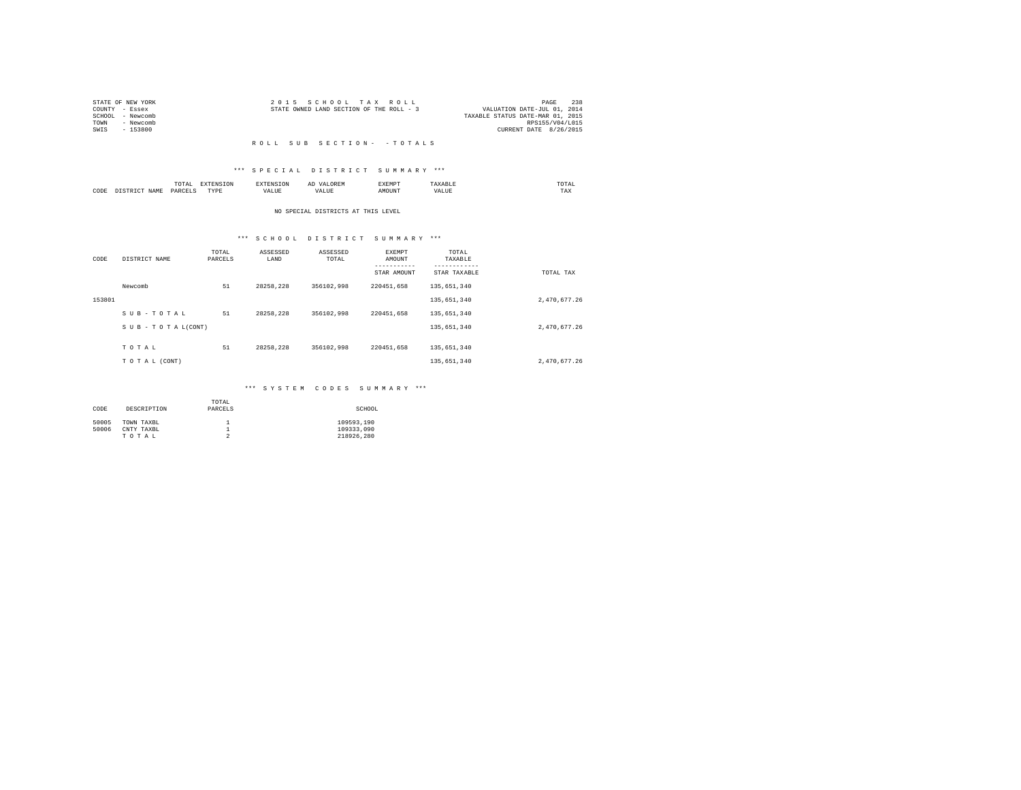| 2015 SCHOOL TAX ROLL                     | 238<br>PAGE                      |
|------------------------------------------|----------------------------------|
| STATE OWNED LAND SECTION OF THE ROLL - 3 | VALUATION DATE-JUL 01, 2014      |
|                                          | TAXABLE STATUS DATE-MAR 01, 2015 |
|                                          | RPS155/V04/L015                  |
|                                          | CURRENT DATE 8/26/2015           |
|                                          |                                  |

#### R O L L S U B S E C T I O N - - T O T A L S

# \*\*\* S P E C I A L D I S T R I C T S U M M A R Y \*\*\*

|      |      | momn'<br>ິ    |                | ---- | --    | EXEMPT |     | 'UTAL<br>the contract of the contract of the contract of |
|------|------|---------------|----------------|------|-------|--------|-----|----------------------------------------------------------|
| CODE | J∆M" | <b>DARCET</b> | 1.1.1.1.1<br>. |      | - --- | πю     | ۵۵. | TAX                                                      |

# NO SPECIAL DISTRICTS AT THIS LEVEL

# \*\*\* S C H O O L D I S T R I C T S U M M A R Y \*\*\*

| CODE   | DISTRICT NAME   | TOTAL<br>PARCELS | ASSESSED<br>LAND | ASSESSED<br>TOTAL | <b>EXEMPT</b><br>AMOUNT | TOTAL<br>TAXABLE<br>-------- |              |
|--------|-----------------|------------------|------------------|-------------------|-------------------------|------------------------------|--------------|
|        |                 |                  |                  |                   | STAR AMOUNT             | STAR TAXABLE                 | TOTAL TAX    |
|        | Newcomb         | 51               | 28258.228        | 356102.998        | 220451.658              | 135,651,340                  |              |
| 153801 |                 |                  |                  |                   |                         | 135,651,340                  | 2,470,677.26 |
|        | SUB-TOTAL       | 51               | 28258.228        | 356102.998        | 220451.658              | 135,651,340                  |              |
|        | SUB-TOTAL(CONT) |                  |                  |                   |                         | 135,651,340                  | 2.470.677.26 |
|        |                 |                  |                  |                   |                         |                              |              |
|        | TOTAL           | 51               | 28258.228        | 356102.998        | 220451.658              | 135,651,340                  |              |
|        | TO TAL (CONT)   |                  |                  |                   |                         | 135,651,340                  | 2,470,677.26 |

# \*\*\* S Y S T E M C O D E S S U M M A R Y \*\*\*

| CODE  | DESCRIPTION | TOTAL<br>PARCELS | SCHOOL     |
|-------|-------------|------------------|------------|
| 50005 | TOWN TAXBL  |                  | 109593.190 |
| 50006 | CNTY TAXBL  |                  | 109333.090 |
|       | TOTAL       |                  | 218926.280 |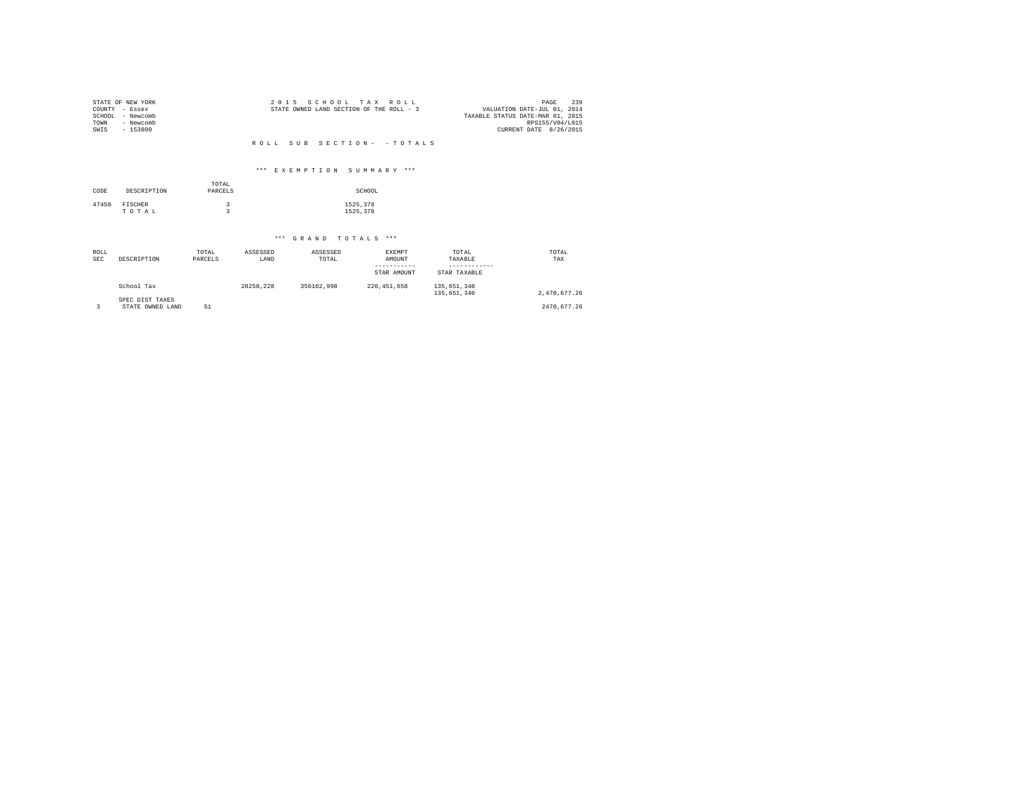| COUNTY<br>SCHOOL<br>TOWN<br>SWIS | STATE OF NEW YORK<br>- Essex<br>- Newcomb<br>- Newcomb<br>$-153800$ |                  | 2 0 1 5   | STATE OWNED LAND SECTION OF THE ROLL - 3 | SCHOOL TAX ROLL            |                      | 239<br>PAGE<br>VALUATION DATE-JUL 01, 2014<br>TAXABLE STATUS DATE-MAR 01, 2015<br>RPS155/V04/L015<br>CURRENT DATE 8/26/2015 |
|----------------------------------|---------------------------------------------------------------------|------------------|-----------|------------------------------------------|----------------------------|----------------------|-----------------------------------------------------------------------------------------------------------------------------|
|                                  |                                                                     |                  |           | ROLL SUB SECTION- - TOTALS               |                            |                      |                                                                                                                             |
|                                  |                                                                     |                  |           |                                          |                            |                      |                                                                                                                             |
|                                  |                                                                     |                  |           | *** EXEMPTION SUMMARY ***                |                            |                      |                                                                                                                             |
| CODE                             | DESCRIPTION                                                         | TOTAL<br>PARCELS |           |                                          | SCHOOL                     |                      |                                                                                                                             |
| 47450                            | FISCHER                                                             | 3                |           |                                          | 1525,378                   |                      |                                                                                                                             |
|                                  | TOTAL                                                               | $\overline{3}$   |           |                                          | 1525,378                   |                      |                                                                                                                             |
|                                  |                                                                     |                  |           |                                          |                            |                      |                                                                                                                             |
|                                  |                                                                     |                  |           | *** GRAND TOTALS ***                     |                            |                      |                                                                                                                             |
| ROLL                             |                                                                     | TOTAL            | ASSESSED  | ASSESSED                                 | EXEMPT                     | TOTAL                | TOTAL                                                                                                                       |
| <b>SEC</b>                       | DESCRIPTION                                                         | PARCELS          | LAND      | TOTAL                                    | AMOUNT                     | TAXABLE<br>--------- | TAX                                                                                                                         |
|                                  |                                                                     |                  |           |                                          | -----------<br>STAR AMOUNT | STAR TAXABLE         |                                                                                                                             |
|                                  | School Tax                                                          |                  | 28258.228 | 356102.998                               | 220, 451, 658              | 135,651,340          |                                                                                                                             |
|                                  | SPEC DIST TAXES                                                     |                  |           |                                          |                            | 135,651,340          | 2,470,677.26                                                                                                                |
| 3                                | STATE OWNED LAND                                                    | 51               |           |                                          |                            |                      | 2470,677.26                                                                                                                 |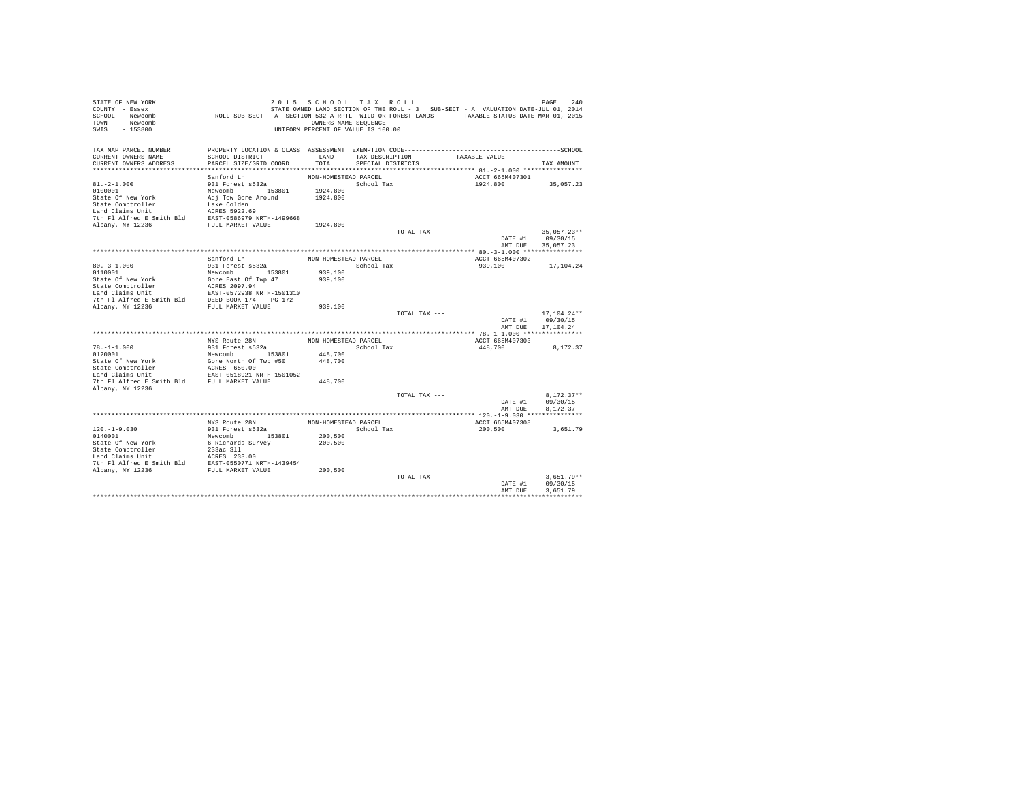| STATE OF NEW YORK<br>COUNTY - Essex           |                                                                                             | 2015 SCHOOL TAX ROLL               |                   |               | STATE OWNED LAND SECTION OF THE ROLL - 3 SUB-SECT - A VALUATION DATE-JUL 01, 2014 | 240<br>PAGE   |
|-----------------------------------------------|---------------------------------------------------------------------------------------------|------------------------------------|-------------------|---------------|-----------------------------------------------------------------------------------|---------------|
| SCHOOL - Newcomb                              | ROLL SUB-SECT - A- SECTION 532-A RPTL WILD OR FOREST LANDS TAXABLE STATUS DATE-MAR 01, 2015 |                                    |                   |               |                                                                                   |               |
| - Newcomb<br>TOWN                             |                                                                                             | OWNERS NAME SEQUENCE               |                   |               |                                                                                   |               |
| $-153800$<br>SWIS                             |                                                                                             | UNIFORM PERCENT OF VALUE IS 100.00 |                   |               |                                                                                   |               |
| TAX MAP PARCEL NUMBER                         |                                                                                             |                                    |                   |               |                                                                                   |               |
| CURRENT OWNERS NAME                           | SCHOOL DISTRICT                                                                             | LAND                               | TAX DESCRIPTION   |               | TAXABLE VALUE                                                                     |               |
| CURRENT OWNERS ADDRESS                        | PARCEL SIZE/GRID COORD                                                                      | TOTAL                              | SPECIAL DISTRICTS |               |                                                                                   | TAX AMOUNT    |
|                                               |                                                                                             |                                    |                   |               |                                                                                   |               |
|                                               | Sanford Ln                                                                                  | NON-HOMESTEAD PARCEL               |                   |               | ACCT 665M407301                                                                   |               |
| $81. -2 - 1.000$                              | 931 Forest s532a                                                                            |                                    | School Tax        |               | 1924,800                                                                          | 35,057.23     |
| 0100001                                       | Newcomb 153801                                                                              | 1924,800                           |                   |               |                                                                                   |               |
| State Of New York                             | Adj Tow Gore Around<br>Lake Colden                                                          | 1924,800                           |                   |               |                                                                                   |               |
| State Comptroller<br>Land Claims Unit         | ACRES 5922.69                                                                               |                                    |                   |               |                                                                                   |               |
| 7th Fl Alfred E Smith Bld                     | EAST-0586979 NRTH-1499668                                                                   |                                    |                   |               |                                                                                   |               |
| Albany, NY 12236                              | FULL MARKET VALUE                                                                           | 1924,800                           |                   |               |                                                                                   |               |
|                                               |                                                                                             |                                    |                   | TOTAL TAX --- |                                                                                   | $35.057.23**$ |
|                                               |                                                                                             |                                    |                   |               | DATE #1                                                                           | 09/30/15      |
|                                               |                                                                                             |                                    |                   |               | AMT DUE                                                                           | 35,057.23     |
|                                               |                                                                                             |                                    |                   |               |                                                                                   |               |
|                                               | Sanford Ln                                                                                  | NON-HOMESTEAD PARCEL               |                   |               | ACCT 665M407302                                                                   |               |
| $80. -3 - 1.000$                              | 931 Forest s532a                                                                            |                                    | School Tax        |               | 939,100                                                                           | 17,104.24     |
| 0110001                                       | Newcomb<br>153801                                                                           | 939,100                            |                   |               |                                                                                   |               |
| State Of New York                             | Gore East Of Twp 47                                                                         | 939,100                            |                   |               |                                                                                   |               |
| State Comptroller                             | ACRES 2097.94                                                                               |                                    |                   |               |                                                                                   |               |
| Land Claims Unit<br>7th Fl Alfred E Smith Bld | EAST-0572938 NRTH-1501310<br>DEED BOOK 174<br>PG-172                                        |                                    |                   |               |                                                                                   |               |
| Albany, NY 12236                              | FULL MARKET VALUE                                                                           | 939,100                            |                   |               |                                                                                   |               |
|                                               |                                                                                             |                                    |                   | TOTAL TAX --- |                                                                                   | $17.104.24**$ |
|                                               |                                                                                             |                                    |                   |               | DATE #1                                                                           | 09/30/15      |
|                                               |                                                                                             |                                    |                   |               | AMT DUE                                                                           | 17.104.24     |
|                                               |                                                                                             |                                    |                   |               |                                                                                   |               |
|                                               | NYS Route 28N                                                                               | NON-HOMESTEAD PARCEL               |                   |               | ACCT 665M407303                                                                   |               |
| $78. - 1 - 1.000$                             | 931 Forest s532a                                                                            |                                    | School Tax        |               | 448,700                                                                           | 8,172.37      |
| 0120001                                       | Newcomb<br>153801                                                                           | 448,700                            |                   |               |                                                                                   |               |
| State Of New York                             | Gore North Of Twp #50                                                                       | 448,700                            |                   |               |                                                                                   |               |
| State Comptroller                             | ACRES 650.00                                                                                |                                    |                   |               |                                                                                   |               |
| Land Claims Unit                              | EAST-0518921 NRTH-1501052                                                                   |                                    |                   |               |                                                                                   |               |
| 7th Fl Alfred E Smith Bld<br>Albany, NY 12236 | FULL MARKET VALUE                                                                           | 448,700                            |                   |               |                                                                                   |               |
|                                               |                                                                                             |                                    |                   | TOTAL TAX --- |                                                                                   | $8.172.37**$  |
|                                               |                                                                                             |                                    |                   |               | DATE #1                                                                           | 09/30/15      |
|                                               |                                                                                             |                                    |                   |               | AMT DUE                                                                           | 8.172.37      |
|                                               |                                                                                             |                                    |                   |               |                                                                                   |               |
|                                               | NYS Route 28N                                                                               | NON-HOMESTEAD PARCEL               |                   |               | ACCT 665M407308                                                                   |               |
| $120. -1 - 9.030$                             | 931 Forest s532a                                                                            |                                    | School Tax        |               | 200,500                                                                           | 3,651.79      |
| 0140001                                       | Newcomb 153801                                                                              | 200,500                            |                   |               |                                                                                   |               |
| State Of New York                             | 6 Richards Survey                                                                           | 200,500                            |                   |               |                                                                                   |               |
| State Comptroller                             | 233ac S11                                                                                   |                                    |                   |               |                                                                                   |               |
| Land Claims Unit                              | ACRES 233.00                                                                                |                                    |                   |               |                                                                                   |               |
| 7th Fl Alfred E Smith Bld                     | EAST-0550771 NRTH-1439454                                                                   |                                    |                   |               |                                                                                   |               |
| Albany, NY 12236                              | FULL MARKET VALUE                                                                           | 200,500                            |                   | TOTAL TAX --- |                                                                                   | $3.651.79**$  |
|                                               |                                                                                             |                                    |                   |               | DATE #1                                                                           | 09/30/15      |
|                                               |                                                                                             |                                    |                   |               | AMT DUE                                                                           | 3.651.79      |
|                                               |                                                                                             |                                    |                   |               |                                                                                   |               |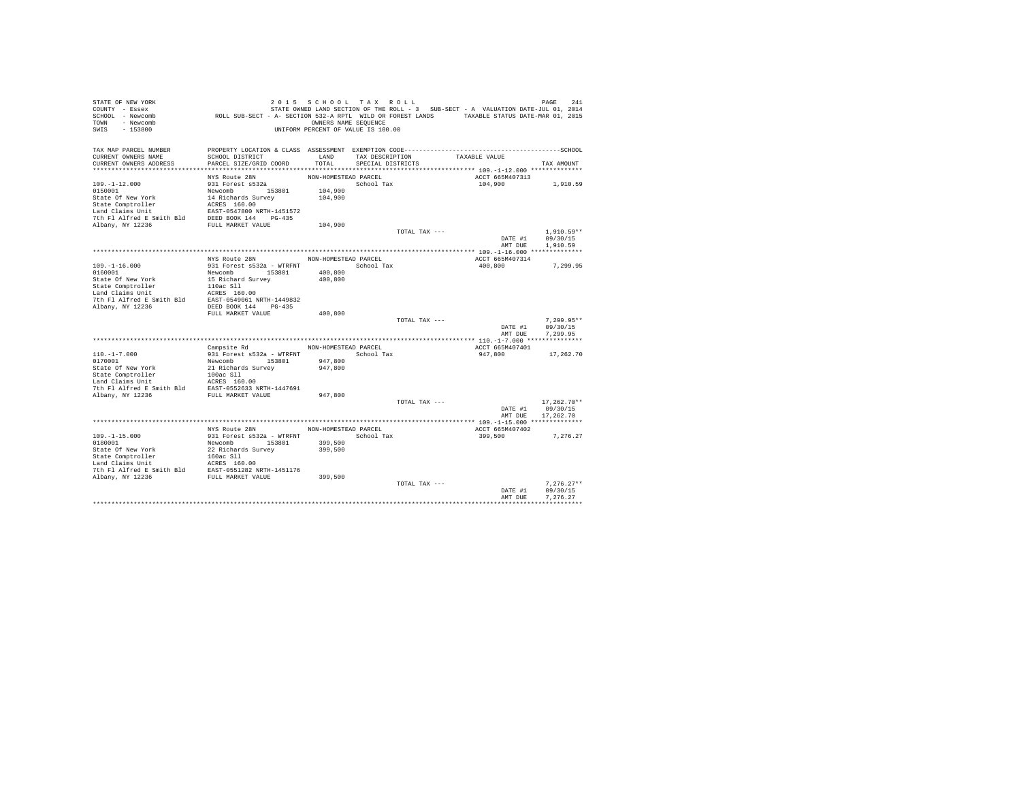| STATE OF NEW YORK                                                                                                                                                                                                                                                                              |                                                                                             | 2015 SCHOOL TAX ROLL               |                   |               |                                                                                   | 241<br>PAGE   |
|------------------------------------------------------------------------------------------------------------------------------------------------------------------------------------------------------------------------------------------------------------------------------------------------|---------------------------------------------------------------------------------------------|------------------------------------|-------------------|---------------|-----------------------------------------------------------------------------------|---------------|
| COUNTY - Essex                                                                                                                                                                                                                                                                                 |                                                                                             |                                    |                   |               | STATE OWNED LAND SECTION OF THE ROLL - 3 SUB-SECT - A VALUATION DATE-JUL 01, 2014 |               |
| SCHOOL - Newcomb                                                                                                                                                                                                                                                                               | ROLL SUB-SECT - A- SECTION 532-A RPTL WILD OR FOREST LANDS TAXABLE STATUS DATE-MAR 01, 2015 |                                    |                   |               |                                                                                   |               |
| TOWN - Newcomb                                                                                                                                                                                                                                                                                 |                                                                                             | OWNERS NAME SEQUENCE               |                   |               |                                                                                   |               |
| SWIS<br>$-153800$                                                                                                                                                                                                                                                                              |                                                                                             | UNIFORM PERCENT OF VALUE IS 100.00 |                   |               |                                                                                   |               |
|                                                                                                                                                                                                                                                                                                |                                                                                             |                                    |                   |               |                                                                                   |               |
| TAX MAP PARCEL NUMBER<br>CURRENT OWNERS NAME                                                                                                                                                                                                                                                   | SCHOOL DISTRICT                                                                             | LAND                               | TAX DESCRIPTION   |               | TAXABLE VALUE                                                                     |               |
| CURRENT OWNERS ADDRESS                                                                                                                                                                                                                                                                         | PARCEL SIZE/GRID COORD                                                                      | TOTAL                              | SPECIAL DISTRICTS |               |                                                                                   | TAX AMOUNT    |
|                                                                                                                                                                                                                                                                                                |                                                                                             |                                    |                   |               |                                                                                   |               |
|                                                                                                                                                                                                                                                                                                | NYS Route 28N                                                                               | NON-HOMESTEAD PARCEL               |                   |               | ACCT 665M407313                                                                   |               |
| $109. - 1 - 12.000$                                                                                                                                                                                                                                                                            | 931 Forest s532a                                                                            |                                    | School Tax        |               | 104,900                                                                           | 1,910.59      |
| 0150001                                                                                                                                                                                                                                                                                        |                                                                                             | 104,900                            |                   |               |                                                                                   |               |
| State Of New York                                                                                                                                                                                                                                                                              | Newcomb 153801<br>14 Richards Survey                                                        | 104,900                            |                   |               |                                                                                   |               |
|                                                                                                                                                                                                                                                                                                |                                                                                             |                                    |                   |               |                                                                                   |               |
| State Cometroller accress 160.00<br>Land Claims Unit<br>Land Claims Unit<br>EAST-0547800 NRTH-1451572<br>7th Fl Alfred E Smith Bld<br>DEED BOOK 144 PG-435<br>Albany, NY 12236<br>FULL MARKET VALUE                                                                                            |                                                                                             |                                    |                   |               |                                                                                   |               |
|                                                                                                                                                                                                                                                                                                |                                                                                             |                                    |                   |               |                                                                                   |               |
|                                                                                                                                                                                                                                                                                                |                                                                                             | 104,900                            |                   |               |                                                                                   |               |
|                                                                                                                                                                                                                                                                                                |                                                                                             |                                    |                   | TOTAL TAX --- |                                                                                   | $1,910.59**$  |
|                                                                                                                                                                                                                                                                                                |                                                                                             |                                    |                   |               | DATE #1                                                                           | 09/30/15      |
|                                                                                                                                                                                                                                                                                                |                                                                                             |                                    |                   |               | AMT DUE                                                                           | 1,910.59      |
|                                                                                                                                                                                                                                                                                                |                                                                                             |                                    |                   |               |                                                                                   |               |
|                                                                                                                                                                                                                                                                                                | NYS Route 28N                                                                               | NON-HOMESTEAD PARCEL               |                   |               | ACCT 665M407314                                                                   |               |
| $109. - 1 - 16.000$                                                                                                                                                                                                                                                                            | 931 Forest s532a - WTRFNT                                                                   | School Tax                         |                   |               | 400,800                                                                           | 7,299.95      |
| 0160001                                                                                                                                                                                                                                                                                        | Newcomb 153801                                                                              | 400,800                            |                   |               |                                                                                   |               |
| State of New York 15 Richard Survey<br>State Comptroller 100s Slide Sil<br>Land Claims Unit 100s Slide 211<br>Land Claims Unit 100s SSS 160.00<br>7th Fl Alfred E Smith Bld EAST-0549061 NRTH-1449832                                                                                          |                                                                                             | 400,800                            |                   |               |                                                                                   |               |
|                                                                                                                                                                                                                                                                                                |                                                                                             |                                    |                   |               |                                                                                   |               |
|                                                                                                                                                                                                                                                                                                |                                                                                             |                                    |                   |               |                                                                                   |               |
|                                                                                                                                                                                                                                                                                                |                                                                                             |                                    |                   |               |                                                                                   |               |
| Albany, NY 12236                                                                                                                                                                                                                                                                               | DEED BOOK 144 PG-435                                                                        |                                    |                   |               |                                                                                   |               |
|                                                                                                                                                                                                                                                                                                | FULL MARKET VALUE                                                                           | 400,800                            |                   |               |                                                                                   |               |
|                                                                                                                                                                                                                                                                                                |                                                                                             |                                    |                   | TOTAL TAX --- |                                                                                   | $7.299.95**$  |
|                                                                                                                                                                                                                                                                                                |                                                                                             |                                    |                   |               | DATE #1                                                                           | 09/30/15      |
|                                                                                                                                                                                                                                                                                                |                                                                                             |                                    |                   |               | AMT DUE                                                                           | 7.299.95      |
|                                                                                                                                                                                                                                                                                                |                                                                                             |                                    |                   |               |                                                                                   |               |
|                                                                                                                                                                                                                                                                                                | Campsite Rd                                                                                 | NON-HOMESTEAD PARCEL               |                   |               | ACCT 665M407401                                                                   |               |
|                                                                                                                                                                                                                                                                                                |                                                                                             | School Tax                         |                   |               | 947.800                                                                           | 17,262.70     |
|                                                                                                                                                                                                                                                                                                |                                                                                             | 947,800                            |                   |               |                                                                                   |               |
| $[100,-1-7.000~~931~Forest~8532a - WTRFTI0170001~~153801States of New York~~{\tt Newtonoh}~153801State Comptoller~~100ac S11Land Claim Unit~~100ac S11Land Cilaism Unit~~{\tt CRES}~160.007th F1 Alfred E Smith B1dREFS55333. RTHT-14476917th F1 Alfred E Smith B1dREST-0555333. RTHT-1447691$ |                                                                                             | 947,800                            |                   |               |                                                                                   |               |
|                                                                                                                                                                                                                                                                                                |                                                                                             |                                    |                   |               |                                                                                   |               |
|                                                                                                                                                                                                                                                                                                |                                                                                             |                                    |                   |               |                                                                                   |               |
|                                                                                                                                                                                                                                                                                                |                                                                                             |                                    |                   |               |                                                                                   |               |
| Albany, NY 12236                                                                                                                                                                                                                                                                               | FULL MARKET VALUE                                                                           | 947,800                            |                   | TOTAL TAX --- |                                                                                   | $17,262.70**$ |
|                                                                                                                                                                                                                                                                                                |                                                                                             |                                    |                   |               | DATE #1                                                                           | 09/30/15      |
|                                                                                                                                                                                                                                                                                                |                                                                                             |                                    |                   |               | AMT DUE                                                                           | 17,262.70     |
|                                                                                                                                                                                                                                                                                                |                                                                                             | *************************          |                   |               | ****************************** 109.-1-15.000 ***************                      |               |
|                                                                                                                                                                                                                                                                                                | NYS Route 28N                                                                               | NON-HOMESTEAD PARCEL               |                   |               | ACCT 665M407402                                                                   |               |
| $109. -1 - 15.000$                                                                                                                                                                                                                                                                             | 931 Forest s532a - WTRFNT                                                                   | School Tax                         |                   |               | 399,500                                                                           | 7,276.27      |
| 0180001                                                                                                                                                                                                                                                                                        | Newcomb 153801                                                                              | 399,500                            |                   |               |                                                                                   |               |
|                                                                                                                                                                                                                                                                                                |                                                                                             | 399,500                            |                   |               |                                                                                   |               |
|                                                                                                                                                                                                                                                                                                |                                                                                             |                                    |                   |               |                                                                                   |               |
|                                                                                                                                                                                                                                                                                                |                                                                                             |                                    |                   |               |                                                                                   |               |
|                                                                                                                                                                                                                                                                                                |                                                                                             |                                    |                   |               |                                                                                   |               |
|                                                                                                                                                                                                                                                                                                |                                                                                             | 399,500                            |                   |               |                                                                                   |               |
|                                                                                                                                                                                                                                                                                                |                                                                                             |                                    |                   | TOTAL TAX --- |                                                                                   | $7.276.27**$  |
|                                                                                                                                                                                                                                                                                                |                                                                                             |                                    |                   |               | DATE #1                                                                           | 09/30/15      |
|                                                                                                                                                                                                                                                                                                |                                                                                             |                                    |                   |               | AMT DUE                                                                           | 7.276.27      |
|                                                                                                                                                                                                                                                                                                |                                                                                             |                                    |                   |               |                                                                                   |               |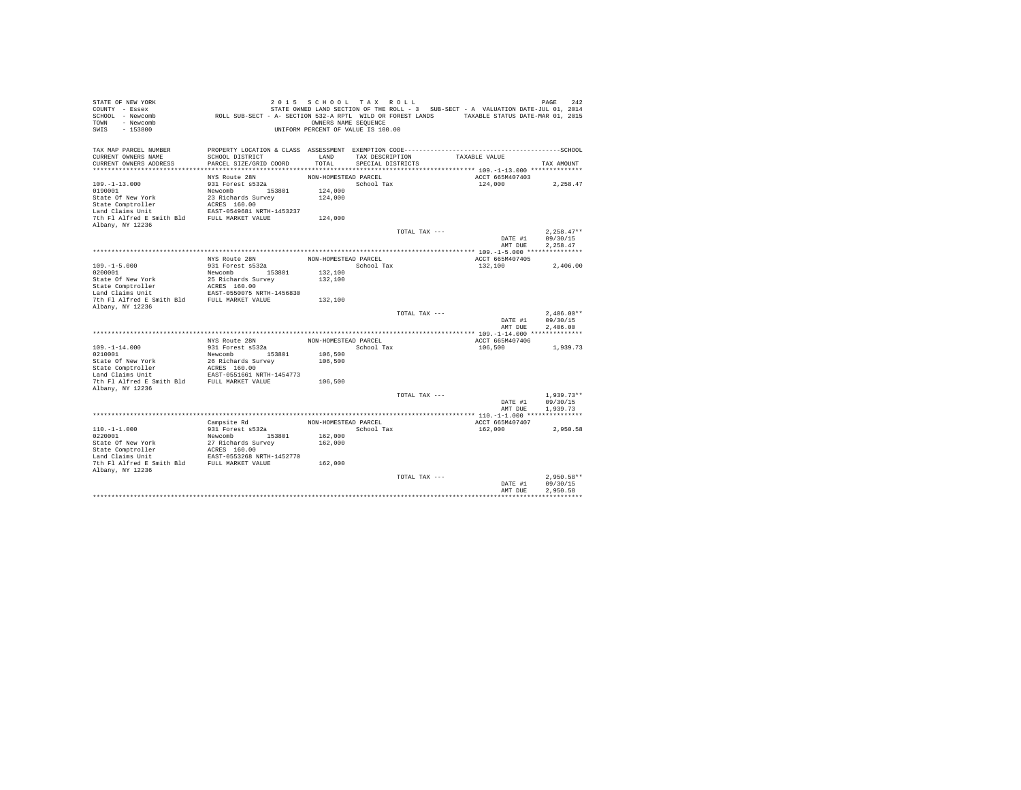| PROPERTY LOCATION & CLASS ASSESSMENT EXEMPTION CODE-----------------------------------SCHOOL<br>CURRENT OWNERS NAME<br>SCHOOL DISTRICT<br>LAND<br>TAXABLE VALUE<br>TAX DESCRIPTION<br>PARCEL SIZE/GRID COORD<br>TOTAL<br>CURRENT OWNERS ADDRESS<br>SPECIAL DISTRICTS<br>TAX AMOUNT<br>NYS Route 28N<br>NON-HOMESTEAD PARCEL<br>ACCT 665M407403<br>931 Forest s532a<br>School Tax<br>124,000<br>2,258.47<br>0190001<br>Newcomb 153801<br>124,000<br>State Of New York<br>23 Richards Survey<br>124,000<br>ACRES 160.00<br>State Comptroller<br>Land Claims Unit<br>EAST-0549681 NRTH-1453237<br>7th Fl Alfred E Smith Bld<br>FULL MARKET VALUE<br>124,000<br>$2.258.47**$<br>TOTAL TAX ---<br>09/30/15<br>DATE #1<br>AMT DUE<br>2.258.47<br>NYS Route 28N<br>NON-HOMESTEAD PARCEL<br>ACCT 665M407405<br>$109. -1 - 5.000$<br>931 Forest s532a<br>School Tax<br>132,100<br>2,406.00<br>0200001<br>132,100<br>Newcomb<br>153801<br>State Of New York<br>25 Richards Survey<br>132,100<br>ACRES 160.00<br>State Comptroller<br>EAST-0550075 NRTH-1456830<br>FULL MARKET VALUE<br>132,100<br>Albany, NY 12236<br>$2.406.00**$<br>TOTAL TAX ---<br>DATE #1<br>09/30/15<br>AMT DUE<br>2.406.00<br>NON-HOMESTEAD PARCEL<br>NYS Route 28N<br>ACCT 665M407406<br>931 Forest s532a<br>School Tax<br>106,500<br>1,939.73<br>106,500<br>Newcomb<br>153801<br>State Of New York<br>26 Richards Survey<br>106,500<br>State Comptroller<br>ACRES 160.00<br>Land Claims Unit<br>EAST-0551661 NRTH-1454773<br>7th Fl Alfred E Smith Bld<br>FULL MARKET VALUE<br>106,500<br>Albany, NY 12236<br>TOTAL TAX ---<br>$1.939.73**$<br>09/30/15<br>DATE #1<br>AMT DUE<br>1,939.73<br>Campsite Rd<br>NON-HOMESTEAD PARCEL<br>ACCT 665M407407<br>School Tax<br>$110. -1 - 1.000$<br>931 Forest s532a<br>162,000<br>2.950.58<br>0220001<br>Newcomb 153801<br>162,000<br>State Of New York<br>27 Richards Survey<br>162,000<br>ACRES 160.00<br>State Comptroller<br>EAST-0553268 NRTH-1452770<br>FULL MARKET VALUE<br>162,000<br>$2.950.58**$<br>TOTAL TAX ---<br>09/30/15<br>DATE #1<br>2.950.58<br>AMT DUE | STATE OF NEW YORK<br>COUNTY - Essex<br>SCHOOL - Newcomb<br>- Newcomb<br><b>TOWN</b><br>$-153800$<br>SWIS | ROLL SUB-SECT - A- SECTION 532-A RPTL WILD OR FOREST LANDS TAXABLE STATUS DATE-MAR 01, 2015 | 2015 SCHOOL TAX ROLL<br>OWNERS NAME SEQUENCE<br>UNIFORM PERCENT OF VALUE IS 100.00 |  | STATE OWNED LAND SECTION OF THE ROLL - 3 SUB-SECT - A VALUATION DATE-JUL 01, 2014 | PAGE<br>242 |
|---------------------------------------------------------------------------------------------------------------------------------------------------------------------------------------------------------------------------------------------------------------------------------------------------------------------------------------------------------------------------------------------------------------------------------------------------------------------------------------------------------------------------------------------------------------------------------------------------------------------------------------------------------------------------------------------------------------------------------------------------------------------------------------------------------------------------------------------------------------------------------------------------------------------------------------------------------------------------------------------------------------------------------------------------------------------------------------------------------------------------------------------------------------------------------------------------------------------------------------------------------------------------------------------------------------------------------------------------------------------------------------------------------------------------------------------------------------------------------------------------------------------------------------------------------------------------------------------------------------------------------------------------------------------------------------------------------------------------------------------------------------------------------------------------------------------------------------------------------------------------------------------------------------------------------------------------------------------------------------------------------------------------------------------------------------------------------|----------------------------------------------------------------------------------------------------------|---------------------------------------------------------------------------------------------|------------------------------------------------------------------------------------|--|-----------------------------------------------------------------------------------|-------------|
|                                                                                                                                                                                                                                                                                                                                                                                                                                                                                                                                                                                                                                                                                                                                                                                                                                                                                                                                                                                                                                                                                                                                                                                                                                                                                                                                                                                                                                                                                                                                                                                                                                                                                                                                                                                                                                                                                                                                                                                                                                                                                 | TAX MAP PARCEL NUMBER                                                                                    |                                                                                             |                                                                                    |  |                                                                                   |             |
|                                                                                                                                                                                                                                                                                                                                                                                                                                                                                                                                                                                                                                                                                                                                                                                                                                                                                                                                                                                                                                                                                                                                                                                                                                                                                                                                                                                                                                                                                                                                                                                                                                                                                                                                                                                                                                                                                                                                                                                                                                                                                 |                                                                                                          |                                                                                             |                                                                                    |  |                                                                                   |             |
|                                                                                                                                                                                                                                                                                                                                                                                                                                                                                                                                                                                                                                                                                                                                                                                                                                                                                                                                                                                                                                                                                                                                                                                                                                                                                                                                                                                                                                                                                                                                                                                                                                                                                                                                                                                                                                                                                                                                                                                                                                                                                 |                                                                                                          |                                                                                             |                                                                                    |  |                                                                                   |             |
|                                                                                                                                                                                                                                                                                                                                                                                                                                                                                                                                                                                                                                                                                                                                                                                                                                                                                                                                                                                                                                                                                                                                                                                                                                                                                                                                                                                                                                                                                                                                                                                                                                                                                                                                                                                                                                                                                                                                                                                                                                                                                 |                                                                                                          |                                                                                             |                                                                                    |  |                                                                                   |             |
|                                                                                                                                                                                                                                                                                                                                                                                                                                                                                                                                                                                                                                                                                                                                                                                                                                                                                                                                                                                                                                                                                                                                                                                                                                                                                                                                                                                                                                                                                                                                                                                                                                                                                                                                                                                                                                                                                                                                                                                                                                                                                 | $109. - 1 - 13.000$                                                                                      |                                                                                             |                                                                                    |  |                                                                                   |             |
|                                                                                                                                                                                                                                                                                                                                                                                                                                                                                                                                                                                                                                                                                                                                                                                                                                                                                                                                                                                                                                                                                                                                                                                                                                                                                                                                                                                                                                                                                                                                                                                                                                                                                                                                                                                                                                                                                                                                                                                                                                                                                 |                                                                                                          |                                                                                             |                                                                                    |  |                                                                                   |             |
|                                                                                                                                                                                                                                                                                                                                                                                                                                                                                                                                                                                                                                                                                                                                                                                                                                                                                                                                                                                                                                                                                                                                                                                                                                                                                                                                                                                                                                                                                                                                                                                                                                                                                                                                                                                                                                                                                                                                                                                                                                                                                 |                                                                                                          |                                                                                             |                                                                                    |  |                                                                                   |             |
|                                                                                                                                                                                                                                                                                                                                                                                                                                                                                                                                                                                                                                                                                                                                                                                                                                                                                                                                                                                                                                                                                                                                                                                                                                                                                                                                                                                                                                                                                                                                                                                                                                                                                                                                                                                                                                                                                                                                                                                                                                                                                 |                                                                                                          |                                                                                             |                                                                                    |  |                                                                                   |             |
|                                                                                                                                                                                                                                                                                                                                                                                                                                                                                                                                                                                                                                                                                                                                                                                                                                                                                                                                                                                                                                                                                                                                                                                                                                                                                                                                                                                                                                                                                                                                                                                                                                                                                                                                                                                                                                                                                                                                                                                                                                                                                 |                                                                                                          |                                                                                             |                                                                                    |  |                                                                                   |             |
|                                                                                                                                                                                                                                                                                                                                                                                                                                                                                                                                                                                                                                                                                                                                                                                                                                                                                                                                                                                                                                                                                                                                                                                                                                                                                                                                                                                                                                                                                                                                                                                                                                                                                                                                                                                                                                                                                                                                                                                                                                                                                 | Albany, NY 12236                                                                                         |                                                                                             |                                                                                    |  |                                                                                   |             |
|                                                                                                                                                                                                                                                                                                                                                                                                                                                                                                                                                                                                                                                                                                                                                                                                                                                                                                                                                                                                                                                                                                                                                                                                                                                                                                                                                                                                                                                                                                                                                                                                                                                                                                                                                                                                                                                                                                                                                                                                                                                                                 |                                                                                                          |                                                                                             |                                                                                    |  |                                                                                   |             |
|                                                                                                                                                                                                                                                                                                                                                                                                                                                                                                                                                                                                                                                                                                                                                                                                                                                                                                                                                                                                                                                                                                                                                                                                                                                                                                                                                                                                                                                                                                                                                                                                                                                                                                                                                                                                                                                                                                                                                                                                                                                                                 |                                                                                                          |                                                                                             |                                                                                    |  |                                                                                   |             |
|                                                                                                                                                                                                                                                                                                                                                                                                                                                                                                                                                                                                                                                                                                                                                                                                                                                                                                                                                                                                                                                                                                                                                                                                                                                                                                                                                                                                                                                                                                                                                                                                                                                                                                                                                                                                                                                                                                                                                                                                                                                                                 |                                                                                                          |                                                                                             |                                                                                    |  |                                                                                   |             |
|                                                                                                                                                                                                                                                                                                                                                                                                                                                                                                                                                                                                                                                                                                                                                                                                                                                                                                                                                                                                                                                                                                                                                                                                                                                                                                                                                                                                                                                                                                                                                                                                                                                                                                                                                                                                                                                                                                                                                                                                                                                                                 |                                                                                                          |                                                                                             |                                                                                    |  |                                                                                   |             |
|                                                                                                                                                                                                                                                                                                                                                                                                                                                                                                                                                                                                                                                                                                                                                                                                                                                                                                                                                                                                                                                                                                                                                                                                                                                                                                                                                                                                                                                                                                                                                                                                                                                                                                                                                                                                                                                                                                                                                                                                                                                                                 |                                                                                                          |                                                                                             |                                                                                    |  |                                                                                   |             |
|                                                                                                                                                                                                                                                                                                                                                                                                                                                                                                                                                                                                                                                                                                                                                                                                                                                                                                                                                                                                                                                                                                                                                                                                                                                                                                                                                                                                                                                                                                                                                                                                                                                                                                                                                                                                                                                                                                                                                                                                                                                                                 |                                                                                                          |                                                                                             |                                                                                    |  |                                                                                   |             |
|                                                                                                                                                                                                                                                                                                                                                                                                                                                                                                                                                                                                                                                                                                                                                                                                                                                                                                                                                                                                                                                                                                                                                                                                                                                                                                                                                                                                                                                                                                                                                                                                                                                                                                                                                                                                                                                                                                                                                                                                                                                                                 |                                                                                                          |                                                                                             |                                                                                    |  |                                                                                   |             |
|                                                                                                                                                                                                                                                                                                                                                                                                                                                                                                                                                                                                                                                                                                                                                                                                                                                                                                                                                                                                                                                                                                                                                                                                                                                                                                                                                                                                                                                                                                                                                                                                                                                                                                                                                                                                                                                                                                                                                                                                                                                                                 |                                                                                                          |                                                                                             |                                                                                    |  |                                                                                   |             |
|                                                                                                                                                                                                                                                                                                                                                                                                                                                                                                                                                                                                                                                                                                                                                                                                                                                                                                                                                                                                                                                                                                                                                                                                                                                                                                                                                                                                                                                                                                                                                                                                                                                                                                                                                                                                                                                                                                                                                                                                                                                                                 | Land Claims Unit                                                                                         |                                                                                             |                                                                                    |  |                                                                                   |             |
|                                                                                                                                                                                                                                                                                                                                                                                                                                                                                                                                                                                                                                                                                                                                                                                                                                                                                                                                                                                                                                                                                                                                                                                                                                                                                                                                                                                                                                                                                                                                                                                                                                                                                                                                                                                                                                                                                                                                                                                                                                                                                 | 7th Fl Alfred E Smith Bld                                                                                |                                                                                             |                                                                                    |  |                                                                                   |             |
|                                                                                                                                                                                                                                                                                                                                                                                                                                                                                                                                                                                                                                                                                                                                                                                                                                                                                                                                                                                                                                                                                                                                                                                                                                                                                                                                                                                                                                                                                                                                                                                                                                                                                                                                                                                                                                                                                                                                                                                                                                                                                 |                                                                                                          |                                                                                             |                                                                                    |  |                                                                                   |             |
|                                                                                                                                                                                                                                                                                                                                                                                                                                                                                                                                                                                                                                                                                                                                                                                                                                                                                                                                                                                                                                                                                                                                                                                                                                                                                                                                                                                                                                                                                                                                                                                                                                                                                                                                                                                                                                                                                                                                                                                                                                                                                 |                                                                                                          |                                                                                             |                                                                                    |  |                                                                                   |             |
|                                                                                                                                                                                                                                                                                                                                                                                                                                                                                                                                                                                                                                                                                                                                                                                                                                                                                                                                                                                                                                                                                                                                                                                                                                                                                                                                                                                                                                                                                                                                                                                                                                                                                                                                                                                                                                                                                                                                                                                                                                                                                 |                                                                                                          |                                                                                             |                                                                                    |  |                                                                                   |             |
|                                                                                                                                                                                                                                                                                                                                                                                                                                                                                                                                                                                                                                                                                                                                                                                                                                                                                                                                                                                                                                                                                                                                                                                                                                                                                                                                                                                                                                                                                                                                                                                                                                                                                                                                                                                                                                                                                                                                                                                                                                                                                 |                                                                                                          |                                                                                             |                                                                                    |  |                                                                                   |             |
|                                                                                                                                                                                                                                                                                                                                                                                                                                                                                                                                                                                                                                                                                                                                                                                                                                                                                                                                                                                                                                                                                                                                                                                                                                                                                                                                                                                                                                                                                                                                                                                                                                                                                                                                                                                                                                                                                                                                                                                                                                                                                 |                                                                                                          |                                                                                             |                                                                                    |  |                                                                                   |             |
|                                                                                                                                                                                                                                                                                                                                                                                                                                                                                                                                                                                                                                                                                                                                                                                                                                                                                                                                                                                                                                                                                                                                                                                                                                                                                                                                                                                                                                                                                                                                                                                                                                                                                                                                                                                                                                                                                                                                                                                                                                                                                 | $109. -1 - 14.000$                                                                                       |                                                                                             |                                                                                    |  |                                                                                   |             |
|                                                                                                                                                                                                                                                                                                                                                                                                                                                                                                                                                                                                                                                                                                                                                                                                                                                                                                                                                                                                                                                                                                                                                                                                                                                                                                                                                                                                                                                                                                                                                                                                                                                                                                                                                                                                                                                                                                                                                                                                                                                                                 | 0210001                                                                                                  |                                                                                             |                                                                                    |  |                                                                                   |             |
|                                                                                                                                                                                                                                                                                                                                                                                                                                                                                                                                                                                                                                                                                                                                                                                                                                                                                                                                                                                                                                                                                                                                                                                                                                                                                                                                                                                                                                                                                                                                                                                                                                                                                                                                                                                                                                                                                                                                                                                                                                                                                 |                                                                                                          |                                                                                             |                                                                                    |  |                                                                                   |             |
|                                                                                                                                                                                                                                                                                                                                                                                                                                                                                                                                                                                                                                                                                                                                                                                                                                                                                                                                                                                                                                                                                                                                                                                                                                                                                                                                                                                                                                                                                                                                                                                                                                                                                                                                                                                                                                                                                                                                                                                                                                                                                 |                                                                                                          |                                                                                             |                                                                                    |  |                                                                                   |             |
|                                                                                                                                                                                                                                                                                                                                                                                                                                                                                                                                                                                                                                                                                                                                                                                                                                                                                                                                                                                                                                                                                                                                                                                                                                                                                                                                                                                                                                                                                                                                                                                                                                                                                                                                                                                                                                                                                                                                                                                                                                                                                 |                                                                                                          |                                                                                             |                                                                                    |  |                                                                                   |             |
|                                                                                                                                                                                                                                                                                                                                                                                                                                                                                                                                                                                                                                                                                                                                                                                                                                                                                                                                                                                                                                                                                                                                                                                                                                                                                                                                                                                                                                                                                                                                                                                                                                                                                                                                                                                                                                                                                                                                                                                                                                                                                 |                                                                                                          |                                                                                             |                                                                                    |  |                                                                                   |             |
|                                                                                                                                                                                                                                                                                                                                                                                                                                                                                                                                                                                                                                                                                                                                                                                                                                                                                                                                                                                                                                                                                                                                                                                                                                                                                                                                                                                                                                                                                                                                                                                                                                                                                                                                                                                                                                                                                                                                                                                                                                                                                 |                                                                                                          |                                                                                             |                                                                                    |  |                                                                                   |             |
|                                                                                                                                                                                                                                                                                                                                                                                                                                                                                                                                                                                                                                                                                                                                                                                                                                                                                                                                                                                                                                                                                                                                                                                                                                                                                                                                                                                                                                                                                                                                                                                                                                                                                                                                                                                                                                                                                                                                                                                                                                                                                 |                                                                                                          |                                                                                             |                                                                                    |  |                                                                                   |             |
|                                                                                                                                                                                                                                                                                                                                                                                                                                                                                                                                                                                                                                                                                                                                                                                                                                                                                                                                                                                                                                                                                                                                                                                                                                                                                                                                                                                                                                                                                                                                                                                                                                                                                                                                                                                                                                                                                                                                                                                                                                                                                 |                                                                                                          |                                                                                             |                                                                                    |  |                                                                                   |             |
|                                                                                                                                                                                                                                                                                                                                                                                                                                                                                                                                                                                                                                                                                                                                                                                                                                                                                                                                                                                                                                                                                                                                                                                                                                                                                                                                                                                                                                                                                                                                                                                                                                                                                                                                                                                                                                                                                                                                                                                                                                                                                 |                                                                                                          |                                                                                             |                                                                                    |  |                                                                                   |             |
|                                                                                                                                                                                                                                                                                                                                                                                                                                                                                                                                                                                                                                                                                                                                                                                                                                                                                                                                                                                                                                                                                                                                                                                                                                                                                                                                                                                                                                                                                                                                                                                                                                                                                                                                                                                                                                                                                                                                                                                                                                                                                 |                                                                                                          |                                                                                             |                                                                                    |  |                                                                                   |             |
|                                                                                                                                                                                                                                                                                                                                                                                                                                                                                                                                                                                                                                                                                                                                                                                                                                                                                                                                                                                                                                                                                                                                                                                                                                                                                                                                                                                                                                                                                                                                                                                                                                                                                                                                                                                                                                                                                                                                                                                                                                                                                 |                                                                                                          |                                                                                             |                                                                                    |  |                                                                                   |             |
|                                                                                                                                                                                                                                                                                                                                                                                                                                                                                                                                                                                                                                                                                                                                                                                                                                                                                                                                                                                                                                                                                                                                                                                                                                                                                                                                                                                                                                                                                                                                                                                                                                                                                                                                                                                                                                                                                                                                                                                                                                                                                 |                                                                                                          |                                                                                             |                                                                                    |  |                                                                                   |             |
|                                                                                                                                                                                                                                                                                                                                                                                                                                                                                                                                                                                                                                                                                                                                                                                                                                                                                                                                                                                                                                                                                                                                                                                                                                                                                                                                                                                                                                                                                                                                                                                                                                                                                                                                                                                                                                                                                                                                                                                                                                                                                 |                                                                                                          |                                                                                             |                                                                                    |  |                                                                                   |             |
|                                                                                                                                                                                                                                                                                                                                                                                                                                                                                                                                                                                                                                                                                                                                                                                                                                                                                                                                                                                                                                                                                                                                                                                                                                                                                                                                                                                                                                                                                                                                                                                                                                                                                                                                                                                                                                                                                                                                                                                                                                                                                 | Land Claims Unit                                                                                         |                                                                                             |                                                                                    |  |                                                                                   |             |
|                                                                                                                                                                                                                                                                                                                                                                                                                                                                                                                                                                                                                                                                                                                                                                                                                                                                                                                                                                                                                                                                                                                                                                                                                                                                                                                                                                                                                                                                                                                                                                                                                                                                                                                                                                                                                                                                                                                                                                                                                                                                                 | 7th Fl Alfred E Smith Bld                                                                                |                                                                                             |                                                                                    |  |                                                                                   |             |
|                                                                                                                                                                                                                                                                                                                                                                                                                                                                                                                                                                                                                                                                                                                                                                                                                                                                                                                                                                                                                                                                                                                                                                                                                                                                                                                                                                                                                                                                                                                                                                                                                                                                                                                                                                                                                                                                                                                                                                                                                                                                                 | Albany, NY 12236                                                                                         |                                                                                             |                                                                                    |  |                                                                                   |             |
|                                                                                                                                                                                                                                                                                                                                                                                                                                                                                                                                                                                                                                                                                                                                                                                                                                                                                                                                                                                                                                                                                                                                                                                                                                                                                                                                                                                                                                                                                                                                                                                                                                                                                                                                                                                                                                                                                                                                                                                                                                                                                 |                                                                                                          |                                                                                             |                                                                                    |  |                                                                                   |             |
|                                                                                                                                                                                                                                                                                                                                                                                                                                                                                                                                                                                                                                                                                                                                                                                                                                                                                                                                                                                                                                                                                                                                                                                                                                                                                                                                                                                                                                                                                                                                                                                                                                                                                                                                                                                                                                                                                                                                                                                                                                                                                 |                                                                                                          |                                                                                             |                                                                                    |  |                                                                                   |             |
|                                                                                                                                                                                                                                                                                                                                                                                                                                                                                                                                                                                                                                                                                                                                                                                                                                                                                                                                                                                                                                                                                                                                                                                                                                                                                                                                                                                                                                                                                                                                                                                                                                                                                                                                                                                                                                                                                                                                                                                                                                                                                 |                                                                                                          |                                                                                             |                                                                                    |  |                                                                                   |             |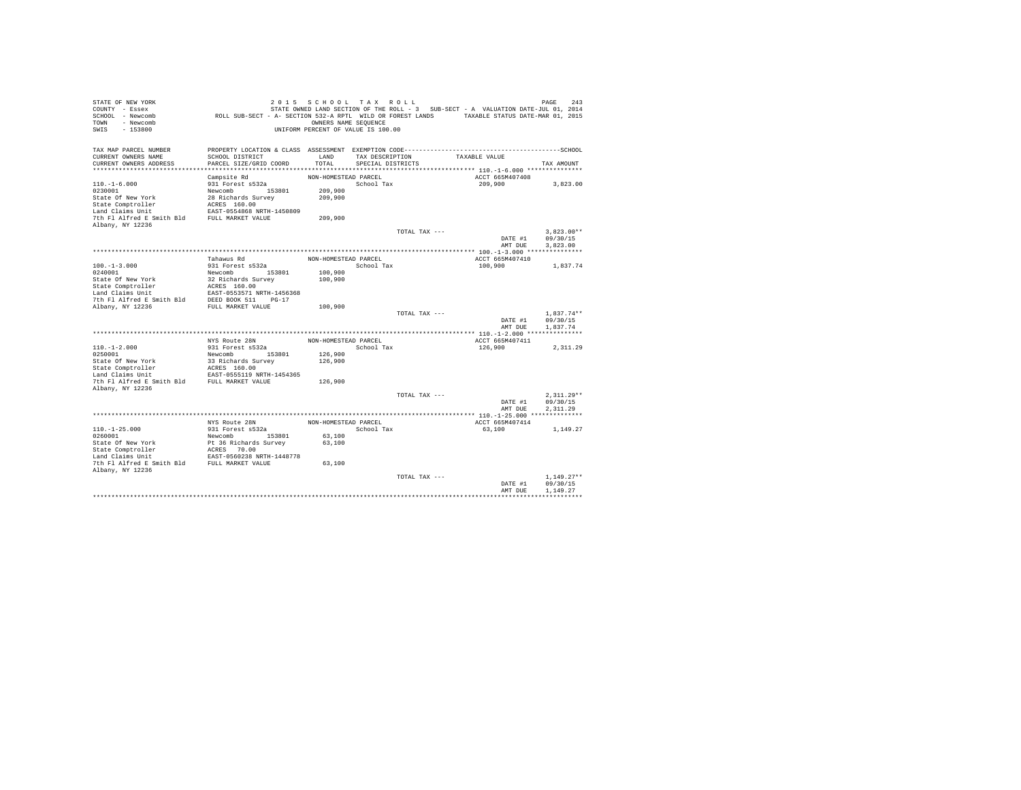| STATE OF NEW YORK<br>COUNTY - Essex<br>SCHOOL - Newcomb<br>- Newcomb<br><b>TOWN</b><br>$-153800$<br>SWIS | 2 0 1 5<br>ROLL SUB-SECT - A- SECTION 532-A RPTL WILD OR FOREST LANDS TAXABLE STATUS DATE-MAR 01, 2015          | SCHOOL TAX ROLL<br>OWNERS NAME SEQUENCE<br>UNIFORM PERCENT OF VALUE IS 100.00 |                   |               | STATE OWNED LAND SECTION OF THE ROLL - 3 SUB-SECT - A VALUATION DATE-JUL 01, 2014 | PAGE<br>243  |
|----------------------------------------------------------------------------------------------------------|-----------------------------------------------------------------------------------------------------------------|-------------------------------------------------------------------------------|-------------------|---------------|-----------------------------------------------------------------------------------|--------------|
| TAX MAP PARCEL NUMBER<br>CURRENT OWNERS NAME                                                             | PROPERTY LOCATION & CLASS ASSESSMENT EXEMPTION CODE-----------------------------------SCHOOL<br>SCHOOL DISTRICT | LAND                                                                          | TAX DESCRIPTION   |               | TAXABLE VALUE                                                                     |              |
| CURRENT OWNERS ADDRESS                                                                                   | PARCEL SIZE/GRID COORD                                                                                          | TOTAL                                                                         | SPECIAL DISTRICTS |               |                                                                                   | TAX AMOUNT   |
|                                                                                                          |                                                                                                                 |                                                                               |                   |               |                                                                                   |              |
|                                                                                                          | Campsite Rd                                                                                                     | NON-HOMESTEAD PARCEL                                                          |                   |               | ACCT 665M407408                                                                   |              |
| $110. - 1 - 6.000$                                                                                       | 931 Forest s532a                                                                                                |                                                                               | School Tax        |               | 209,900                                                                           | 3,823.00     |
| 0230001                                                                                                  | Newcomb<br>153801                                                                                               | 209,900                                                                       |                   |               |                                                                                   |              |
| State Of New York                                                                                        | 28 Richards Survey                                                                                              | 209,900                                                                       |                   |               |                                                                                   |              |
| State Comptroller                                                                                        | ACRES 160.00                                                                                                    |                                                                               |                   |               |                                                                                   |              |
| Land Claims Unit                                                                                         | EAST-0554868 NRTH-1450809                                                                                       |                                                                               |                   |               |                                                                                   |              |
| 7th Fl Alfred E Smith Bld<br>Albany, NY 12236                                                            | FULL MARKET VALUE                                                                                               | 209,900                                                                       |                   |               |                                                                                   |              |
|                                                                                                          |                                                                                                                 |                                                                               |                   | TOTAL TAX --- |                                                                                   | $3.823.00**$ |
|                                                                                                          |                                                                                                                 |                                                                               |                   |               | DATE #1                                                                           | 09/30/15     |
|                                                                                                          |                                                                                                                 |                                                                               |                   |               | AMT DUE                                                                           | 3,823.00     |
|                                                                                                          |                                                                                                                 |                                                                               |                   |               |                                                                                   |              |
|                                                                                                          | Tahawus Rd                                                                                                      | NON-HOMESTEAD PARCEL                                                          |                   |               | ACCT 665M407410                                                                   |              |
| $100. -1 - 3.000$                                                                                        | 931 Forest s532a                                                                                                |                                                                               | School Tax        |               | 100,900                                                                           | 1,837.74     |
| 0240001                                                                                                  | Newcomb<br>153801                                                                                               | 100,900                                                                       |                   |               |                                                                                   |              |
| State Of New York                                                                                        | 32 Richards Survey                                                                                              | 100,900                                                                       |                   |               |                                                                                   |              |
| State Comptroller                                                                                        | ACRES 160.00                                                                                                    |                                                                               |                   |               |                                                                                   |              |
| Land Claims Unit                                                                                         | EAST-0553571 NRTH-1456368                                                                                       |                                                                               |                   |               |                                                                                   |              |
| 7th Fl Alfred E Smith Bld                                                                                | DEED BOOK 511<br>$PG-17$                                                                                        |                                                                               |                   |               |                                                                                   |              |
| Albany, NY 12236                                                                                         | FULL MARKET VALUE                                                                                               | 100,900                                                                       |                   | TOTAL TAX --- |                                                                                   | $1.837.74**$ |
|                                                                                                          |                                                                                                                 |                                                                               |                   |               | DATE #1                                                                           | 09/30/15     |
|                                                                                                          |                                                                                                                 |                                                                               |                   |               | AMT DUE                                                                           | 1.837.74     |
|                                                                                                          |                                                                                                                 |                                                                               |                   |               |                                                                                   |              |
|                                                                                                          | NYS Route 28N                                                                                                   | NON-HOMESTEAD PARCEL                                                          |                   |               | ACCT 665M407411                                                                   |              |
| $110. - 1 - 2.000$                                                                                       | 931 Forest s532a                                                                                                |                                                                               | School Tax        |               | 126,900                                                                           | 2,311.29     |
| 0250001                                                                                                  | Newcomb<br>153801                                                                                               | 126,900                                                                       |                   |               |                                                                                   |              |
| State Of New York                                                                                        | 33 Richards Survey                                                                                              | 126,900                                                                       |                   |               |                                                                                   |              |
| State Comptroller<br>Land Claims Unit                                                                    | ACRES 160.00<br>EAST-0555119 NRTH-1454365                                                                       |                                                                               |                   |               |                                                                                   |              |
| 7th Fl Alfred E Smith Bld                                                                                | FULL MARKET VALUE                                                                                               | 126,900                                                                       |                   |               |                                                                                   |              |
| Albany, NY 12236                                                                                         |                                                                                                                 |                                                                               |                   |               |                                                                                   |              |
|                                                                                                          |                                                                                                                 |                                                                               |                   | TOTAL TAX --- |                                                                                   | $2.311.29**$ |
|                                                                                                          |                                                                                                                 |                                                                               |                   |               | DATE #1                                                                           | 09/30/15     |
|                                                                                                          |                                                                                                                 |                                                                               |                   |               | AMT DUE                                                                           | 2.311.29     |
|                                                                                                          |                                                                                                                 |                                                                               |                   |               |                                                                                   |              |
|                                                                                                          | NYS Route 28N                                                                                                   | NON-HOMESTEAD PARCEL                                                          |                   |               | ACCT 665M407414                                                                   |              |
| $110. - 1 - 25.000$                                                                                      | 931 Forest s532a                                                                                                |                                                                               | School Tax        |               | 63,100                                                                            | 1,149.27     |
| 0260001                                                                                                  | Newcomb 153801                                                                                                  | 63,100                                                                        |                   |               |                                                                                   |              |
| State Of New York                                                                                        | Pt 36 Richards Survey                                                                                           | 63,100                                                                        |                   |               |                                                                                   |              |
| State Comptroller<br>Land Claims Unit                                                                    | ACRES 70.00<br>EAST-0560238 NRTH-1448778                                                                        |                                                                               |                   |               |                                                                                   |              |
| 7th Fl Alfred E Smith Bld                                                                                | FULL MARKET VALUE                                                                                               | 63,100                                                                        |                   |               |                                                                                   |              |
| Albany, NY 12236                                                                                         |                                                                                                                 |                                                                               |                   |               |                                                                                   |              |
|                                                                                                          |                                                                                                                 |                                                                               |                   | TOTAL TAX --- |                                                                                   | $1.149.27**$ |
|                                                                                                          |                                                                                                                 |                                                                               |                   |               | DATE #1                                                                           | 09/30/15     |
|                                                                                                          |                                                                                                                 |                                                                               |                   |               | AMT DUE                                                                           | 1.149.27     |
|                                                                                                          |                                                                                                                 |                                                                               |                   |               |                                                                                   |              |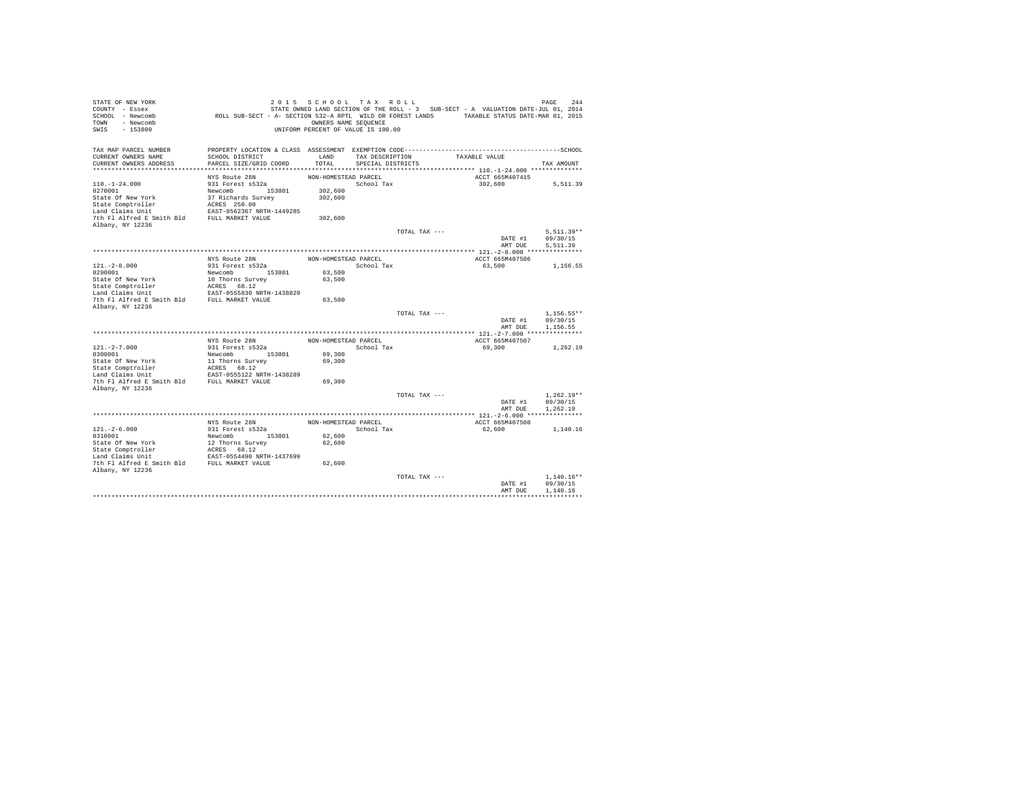| STATE OF NEW YORK<br>COUNTY - Essex<br>SCHOOL - Newcomb<br>- Newcomb<br><b>TOWN</b><br>$-153800$<br>SWIS | ROLL SUB-SECT - A- SECTION 532-A RPTL WILD OR FOREST LANDS TAXABLE STATUS DATE-MAR 01, 2015  | OWNERS NAME SEQUENCE | 2015 SCHOOL TAX ROLL<br>UNIFORM PERCENT OF VALUE IS 100.00 |               | STATE OWNED LAND SECTION OF THE ROLL - 3 SUB-SECT - A VALUATION DATE-JUL 01, 2014 | 244<br>PAGE  |
|----------------------------------------------------------------------------------------------------------|----------------------------------------------------------------------------------------------|----------------------|------------------------------------------------------------|---------------|-----------------------------------------------------------------------------------|--------------|
| TAX MAP PARCEL NUMBER                                                                                    | PROPERTY LOCATION & CLASS ASSESSMENT EXEMPTION CODE-----------------------------------SCHOOL |                      |                                                            |               |                                                                                   |              |
| CURRENT OWNERS NAME<br>CURRENT OWNERS ADDRESS                                                            | SCHOOL DISTRICT<br>PARCEL SIZE/GRID COORD                                                    | LAND<br>TOTAL        | TAX DESCRIPTION<br>SPECIAL DISTRICTS                       |               | TAXABLE VALUE                                                                     | TAX AMOUNT   |
|                                                                                                          |                                                                                              |                      |                                                            |               |                                                                                   |              |
|                                                                                                          | NYS Route 28N                                                                                | NON-HOMESTEAD PARCEL |                                                            |               | ACCT 665M407415                                                                   |              |
| $110. - 1 - 24.000$                                                                                      | 931 Forest s532a                                                                             |                      | School Tax                                                 |               | 302,600                                                                           | 5,511.39     |
| 0270001                                                                                                  | Newcomb 153801                                                                               | 302,600              |                                                            |               |                                                                                   |              |
| State Of New York                                                                                        | 37 Richards Survey                                                                           | 302,600              |                                                            |               |                                                                                   |              |
| State Comptroller                                                                                        | ACRES 250.00                                                                                 |                      |                                                            |               |                                                                                   |              |
| Land Claims Unit                                                                                         | EAST-0562367 NRTH-1449285                                                                    |                      |                                                            |               |                                                                                   |              |
| 7th Fl Alfred E Smith Bld                                                                                | FULL MARKET VALUE                                                                            | 302,600              |                                                            |               |                                                                                   |              |
| Albany, NY 12236                                                                                         |                                                                                              |                      |                                                            |               |                                                                                   |              |
|                                                                                                          |                                                                                              |                      |                                                            | TOTAL TAX --- |                                                                                   | $5.511.39**$ |
|                                                                                                          |                                                                                              |                      |                                                            |               | DATE #1                                                                           | 09/30/15     |
|                                                                                                          |                                                                                              |                      |                                                            |               | AMT DUE                                                                           | 5.511.39     |
|                                                                                                          |                                                                                              |                      |                                                            |               |                                                                                   |              |
| $121. -2 - 8.000$                                                                                        | NYS Route 28N<br>931 Forest s532a                                                            | NON-HOMESTEAD PARCEL | School Tax                                                 |               | ACCT 665M407506<br>63,500                                                         | 1,156.55     |
| 0290001                                                                                                  | Newcomb<br>153801                                                                            | 63,500               |                                                            |               |                                                                                   |              |
| State Of New York                                                                                        | 10 Thorns Survey                                                                             | 63,500               |                                                            |               |                                                                                   |              |
| State Comptroller                                                                                        | ACRES 68.12                                                                                  |                      |                                                            |               |                                                                                   |              |
| Land Claims Unit                                                                                         | EAST-0555830 NRTH-1438829                                                                    |                      |                                                            |               |                                                                                   |              |
| 7th Fl Alfred E Smith Bld                                                                                | FULL MARKET VALUE                                                                            | 63,500               |                                                            |               |                                                                                   |              |
| Albany, NY 12236                                                                                         |                                                                                              |                      |                                                            |               |                                                                                   |              |
|                                                                                                          |                                                                                              |                      |                                                            | TOTAL TAX --- |                                                                                   | $1.156.55**$ |
|                                                                                                          |                                                                                              |                      |                                                            |               | DATE #1                                                                           | 09/30/15     |
|                                                                                                          |                                                                                              |                      |                                                            |               | AMT DUE                                                                           | 1.156.55     |
|                                                                                                          |                                                                                              |                      |                                                            |               |                                                                                   |              |
| $121. -2 - 7.000$                                                                                        | NYS Route 28N<br>931 Forest s532a                                                            | NON-HOMESTEAD PARCEL | School Tax                                                 |               | ACCT 665M407507                                                                   |              |
| 0300001                                                                                                  | 153801<br>Newcomb                                                                            | 69,300               |                                                            |               | 69,300                                                                            | 1,262.19     |
| State Of New York                                                                                        | 11 Thorns Survey                                                                             | 69,300               |                                                            |               |                                                                                   |              |
| State Comptroller                                                                                        | ACRES 68.12                                                                                  |                      |                                                            |               |                                                                                   |              |
| Land Claims Unit                                                                                         | EAST-0555122 NRTH-1438289                                                                    |                      |                                                            |               |                                                                                   |              |
| 7th Fl Alfred E Smith Bld                                                                                | FULL MARKET VALUE                                                                            | 69,300               |                                                            |               |                                                                                   |              |
| Albany, NY 12236                                                                                         |                                                                                              |                      |                                                            |               |                                                                                   |              |
|                                                                                                          |                                                                                              |                      |                                                            | TOTAL TAX --- |                                                                                   | $1.262.19**$ |
|                                                                                                          |                                                                                              |                      |                                                            |               | DATE #1                                                                           | 09/30/15     |
|                                                                                                          |                                                                                              |                      |                                                            |               | AMT DUE                                                                           | 1,262.19     |
|                                                                                                          |                                                                                              |                      |                                                            |               |                                                                                   |              |
|                                                                                                          | NYS Route 28N<br>931 Forest s532a                                                            | NON-HOMESTEAD PARCEL |                                                            |               | ACCT 665M407508                                                                   |              |
| $121. - 2 - 6.000$<br>0310001                                                                            | Newcomb 153801                                                                               | 62,600               | School Tax                                                 |               | 62,600                                                                            | 1,140.16     |
| State Of New York                                                                                        | 12 Thorns Survey                                                                             | 62,600               |                                                            |               |                                                                                   |              |
| State Comptroller                                                                                        | ACRES 68.12                                                                                  |                      |                                                            |               |                                                                                   |              |
| Land Claims Unit                                                                                         | EAST-0554490 NRTH-1437699                                                                    |                      |                                                            |               |                                                                                   |              |
| 7th Fl Alfred E Smith Bld FULL MARKET VALUE                                                              |                                                                                              | 62,600               |                                                            |               |                                                                                   |              |
| Albany, NY 12236                                                                                         |                                                                                              |                      |                                                            |               |                                                                                   |              |
|                                                                                                          |                                                                                              |                      |                                                            | TOTAL TAX --- |                                                                                   | $1.140.16**$ |
|                                                                                                          |                                                                                              |                      |                                                            |               | DATE #1                                                                           | 09/30/15     |
|                                                                                                          |                                                                                              |                      |                                                            |               | AMT DUE                                                                           | 1.140.16     |
|                                                                                                          |                                                                                              |                      |                                                            |               |                                                                                   |              |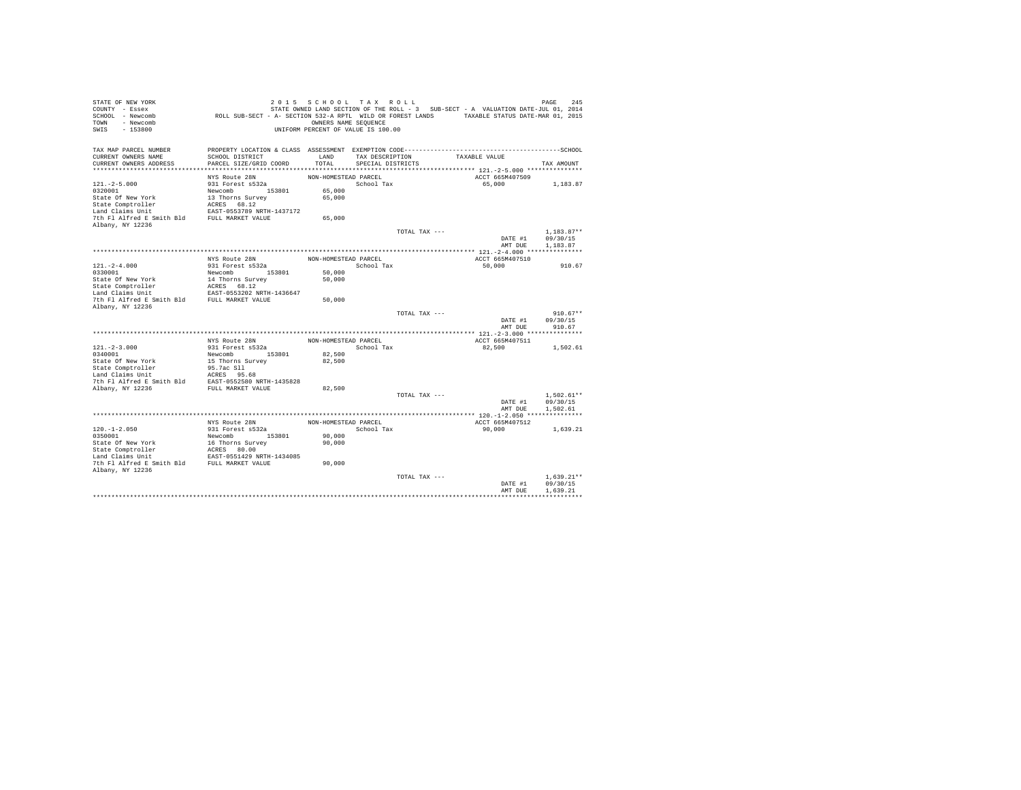| STATE OF NEW YORK<br>COUNTY - Essex<br>SCHOOL - Newcomb<br>- Newcomb<br>TOWN<br>$-153800$<br>SWIS | ROLL SUB-SECT - A- SECTION 532-A RPTL WILD OR FOREST LANDS TAXABLE STATUS DATE-MAR 01, 2015                     | 2015 SCHOOL TAX ROLL<br>OWNERS NAME SEQUENCE<br>UNIFORM PERCENT OF VALUE IS 100.00 |                   |               | STATE OWNED LAND SECTION OF THE ROLL - 3 SUB-SECT - A VALUATION DATE-JUL 01, 2014 | 245<br>PAGE              |
|---------------------------------------------------------------------------------------------------|-----------------------------------------------------------------------------------------------------------------|------------------------------------------------------------------------------------|-------------------|---------------|-----------------------------------------------------------------------------------|--------------------------|
| TAX MAP PARCEL NUMBER<br>CURRENT OWNERS NAME                                                      | PROPERTY LOCATION & CLASS ASSESSMENT EXEMPTION CODE-----------------------------------SCHOOL<br>SCHOOL DISTRICT | LAND                                                                               | TAX DESCRIPTION   |               | TAXABLE VALUE                                                                     |                          |
| CURRENT OWNERS ADDRESS                                                                            | PARCEL SIZE/GRID COORD                                                                                          | TOTAL                                                                              | SPECIAL DISTRICTS |               |                                                                                   | TAX AMOUNT               |
|                                                                                                   |                                                                                                                 |                                                                                    |                   |               |                                                                                   |                          |
| $121. -2 - 5.000$                                                                                 | NYS Route 28N<br>931 Forest s532a                                                                               | NON-HOMESTEAD PARCEL                                                               | School Tax        |               | ACCT 665M407509<br>65,000                                                         | 1,183.87                 |
| 0320001                                                                                           | Newcomb 153801                                                                                                  | 65,000                                                                             |                   |               |                                                                                   |                          |
| State Of New York                                                                                 | 13 Thorns Survey                                                                                                | 65,000                                                                             |                   |               |                                                                                   |                          |
| State Comptroller                                                                                 | ACRES 68.12                                                                                                     |                                                                                    |                   |               |                                                                                   |                          |
| Land Claims Unit                                                                                  | EAST-0553789 NRTH-1437172                                                                                       |                                                                                    |                   |               |                                                                                   |                          |
| 7th Fl Alfred E Smith Bld FULL MARKET VALUE                                                       |                                                                                                                 | 65,000                                                                             |                   |               |                                                                                   |                          |
| Albany, NY 12236                                                                                  |                                                                                                                 |                                                                                    |                   |               |                                                                                   |                          |
|                                                                                                   |                                                                                                                 |                                                                                    |                   | TOTAL TAX --- | DATE #1                                                                           | $1.183.87**$<br>09/30/15 |
|                                                                                                   |                                                                                                                 |                                                                                    |                   |               | AMT DUE                                                                           | 1,183.87                 |
|                                                                                                   |                                                                                                                 |                                                                                    |                   |               |                                                                                   |                          |
|                                                                                                   | NYS Route 28N                                                                                                   | NON-HOMESTEAD PARCEL                                                               |                   |               | ACCT 665M407510                                                                   |                          |
| $121. - 2 - 4.000$                                                                                | 931 Forest s532a                                                                                                |                                                                                    | School Tax        |               | 50,000                                                                            | 910.67                   |
| 0330001                                                                                           | Newcomb<br>153801                                                                                               | 50,000                                                                             |                   |               |                                                                                   |                          |
| State Of New York                                                                                 | 14 Thorns Survey                                                                                                | 50,000                                                                             |                   |               |                                                                                   |                          |
| State Comptroller<br>Land Claims Unit                                                             | ACRES 68.12<br>EAST-0553202 NRTH-1436647                                                                        |                                                                                    |                   |               |                                                                                   |                          |
| 7th Fl Alfred E Smith Bld                                                                         | FULL MARKET VALUE                                                                                               | 50,000                                                                             |                   |               |                                                                                   |                          |
| Albany, NY 12236                                                                                  |                                                                                                                 |                                                                                    |                   |               |                                                                                   |                          |
|                                                                                                   |                                                                                                                 |                                                                                    |                   | TOTAL TAX --- |                                                                                   | $910.67**$               |
|                                                                                                   |                                                                                                                 |                                                                                    |                   |               | DATE #1                                                                           | 09/30/15                 |
|                                                                                                   |                                                                                                                 |                                                                                    |                   |               | AMT DUE                                                                           | 910.67                   |
|                                                                                                   | NYS Route 28N                                                                                                   | NON-HOMESTEAD PARCEL                                                               |                   |               | ACCT 665M407511                                                                   |                          |
| $121. -2 - 3.000$                                                                                 | 931 Forest s532a                                                                                                |                                                                                    | School Tax        |               | 82,500                                                                            | 1,502.61                 |
| 0340001                                                                                           | Newcomb 153801                                                                                                  | 82,500                                                                             |                   |               |                                                                                   |                          |
| State Of New York                                                                                 | 15 Thorns Survey                                                                                                | 82,500                                                                             |                   |               |                                                                                   |                          |
| State Comptroller                                                                                 | 95.7ac S11                                                                                                      |                                                                                    |                   |               |                                                                                   |                          |
| Land Claims Unit                                                                                  | ACRES 95.68                                                                                                     |                                                                                    |                   |               |                                                                                   |                          |
| 7th Fl Alfred E Smith Bld                                                                         | EAST-0552580 NRTH-1435828                                                                                       |                                                                                    |                   |               |                                                                                   |                          |
| Albany, NY 12236                                                                                  | FULL MARKET VALUE                                                                                               | 82,500                                                                             |                   | TOTAL TAX --- |                                                                                   | $1.502.61**$             |
|                                                                                                   |                                                                                                                 |                                                                                    |                   |               | DATE #1                                                                           | 09/30/15                 |
|                                                                                                   |                                                                                                                 |                                                                                    |                   |               | AMT DUE                                                                           | 1,502.61                 |
|                                                                                                   |                                                                                                                 |                                                                                    |                   |               |                                                                                   |                          |
|                                                                                                   | NYS Route 28N                                                                                                   | NON-HOMESTEAD PARCEL                                                               |                   |               | ACCT 665M407512                                                                   |                          |
| $120. -1 - 2.050$                                                                                 | 931 Forest s532a                                                                                                |                                                                                    | School Tax        |               | 90,000                                                                            | 1.639.21                 |
| 0350001                                                                                           | Newcomb 153801                                                                                                  | 90,000                                                                             |                   |               |                                                                                   |                          |
| State Of New York                                                                                 | 16 Thorns Survey<br>ACRES 80.00                                                                                 | 90,000                                                                             |                   |               |                                                                                   |                          |
| State Comptroller<br>Land Claims Unit                                                             | EAST-0551429 NRTH-1434085                                                                                       |                                                                                    |                   |               |                                                                                   |                          |
| 7th Fl Alfred E Smith Bld FULL MARKET VALUE                                                       |                                                                                                                 | 90,000                                                                             |                   |               |                                                                                   |                          |
| Albany, NY 12236                                                                                  |                                                                                                                 |                                                                                    |                   |               |                                                                                   |                          |
|                                                                                                   |                                                                                                                 |                                                                                    |                   | TOTAL TAX --- |                                                                                   | $1.639.21**$             |
|                                                                                                   |                                                                                                                 |                                                                                    |                   |               | DATE #1                                                                           | 09/30/15                 |
|                                                                                                   |                                                                                                                 |                                                                                    |                   |               | AMT DUE                                                                           | 1,639.21                 |
|                                                                                                   |                                                                                                                 |                                                                                    |                   |               |                                                                                   |                          |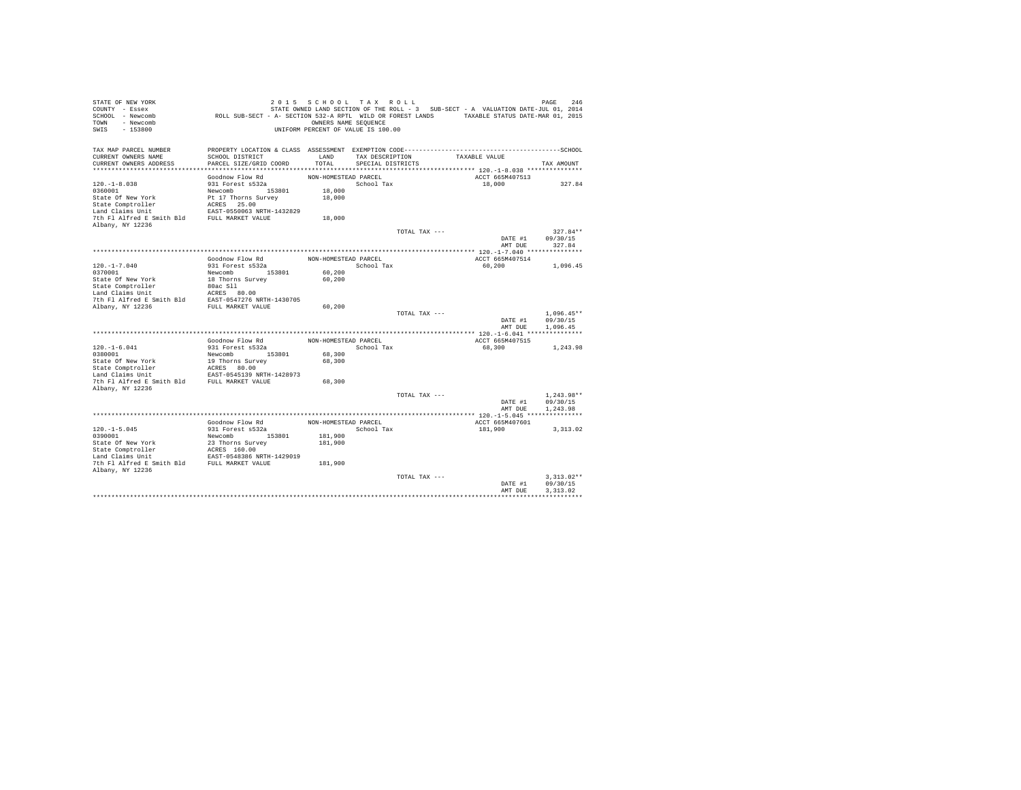| STATE OF NEW YORK<br>COUNTY - Essex<br>SCHOOL - Newcomb<br>- Newcomb<br>TOWN<br>$-153800$<br>SWIS | ROLL SUB-SECT - A- SECTION 532-A RPTL WILD OR FOREST LANDS TAXABLE STATUS DATE-MAR 01, 2015  | 2015 SCHOOL TAX ROLL<br>OWNERS NAME SEQUENCE<br>UNIFORM PERCENT OF VALUE IS 100.00 |                   |               | STATE OWNED LAND SECTION OF THE ROLL - 3 SUB-SECT - A VALUATION DATE-JUL 01, 2014 | 246<br>PAGE          |
|---------------------------------------------------------------------------------------------------|----------------------------------------------------------------------------------------------|------------------------------------------------------------------------------------|-------------------|---------------|-----------------------------------------------------------------------------------|----------------------|
| TAX MAP PARCEL NUMBER                                                                             | PROPERTY LOCATION & CLASS ASSESSMENT EXEMPTION CODE-----------------------------------SCHOOL |                                                                                    |                   |               |                                                                                   |                      |
| CURRENT OWNERS NAME                                                                               | SCHOOL DISTRICT<br>PARCEL SIZE/GRID COORD                                                    | LAND<br>TOTAL                                                                      | TAX DESCRIPTION   |               | TAXABLE VALUE                                                                     |                      |
| CURRENT OWNERS ADDRESS                                                                            |                                                                                              |                                                                                    | SPECIAL DISTRICTS |               |                                                                                   | TAX AMOUNT           |
|                                                                                                   | Goodnow Flow Rd                                                                              | NON-HOMESTEAD PARCEL                                                               |                   |               | ACCT 665M407513                                                                   |                      |
| $120. - 1 - 8.038$                                                                                | 931 Forest s532a                                                                             |                                                                                    | School Tax        |               | 18,000                                                                            | 327.84               |
| 0360001                                                                                           | Newcomb 153801                                                                               | 18,000                                                                             |                   |               |                                                                                   |                      |
| State Of New York                                                                                 | Pt 17 Thorns Survey                                                                          | 18,000                                                                             |                   |               |                                                                                   |                      |
| State Comptroller                                                                                 | ACRES 25.00                                                                                  |                                                                                    |                   |               |                                                                                   |                      |
| Land Claims Unit                                                                                  | EAST-0550063 NRTH-1432829                                                                    |                                                                                    |                   |               |                                                                                   |                      |
| 7th Fl Alfred E Smith Bld                                                                         | FULL MARKET VALUE                                                                            | 18,000                                                                             |                   |               |                                                                                   |                      |
| Albany, NY 12236                                                                                  |                                                                                              |                                                                                    |                   |               |                                                                                   |                      |
|                                                                                                   |                                                                                              |                                                                                    |                   | TOTAL TAX --- |                                                                                   | $327.84**$           |
|                                                                                                   |                                                                                              |                                                                                    |                   |               | DATE #1                                                                           | 09/30/15             |
|                                                                                                   |                                                                                              |                                                                                    |                   |               | AMT DUE                                                                           | 327.84               |
|                                                                                                   | Goodnow Flow Rd                                                                              | NON-HOMESTEAD PARCEL                                                               |                   |               | ACCT 665M407514                                                                   |                      |
| $120. -1 - 7.040$                                                                                 | 931 Forest s532a                                                                             |                                                                                    | School Tax        |               | 60,200                                                                            | 1,096.45             |
| 0370001                                                                                           | Newcomb<br>153801                                                                            | 60,200                                                                             |                   |               |                                                                                   |                      |
| State Of New York                                                                                 | 18 Thorns Survey                                                                             | 60,200                                                                             |                   |               |                                                                                   |                      |
| State Comptroller                                                                                 | 80ac S11                                                                                     |                                                                                    |                   |               |                                                                                   |                      |
| Land Claims Unit                                                                                  | ACRES 80.00                                                                                  |                                                                                    |                   |               |                                                                                   |                      |
| 7th Fl Alfred E Smith Bld                                                                         | EAST-0547276 NRTH-1430705                                                                    |                                                                                    |                   |               |                                                                                   |                      |
| Albany, NY 12236                                                                                  | FULL MARKET VALUE                                                                            | 60,200                                                                             |                   |               |                                                                                   |                      |
|                                                                                                   |                                                                                              |                                                                                    |                   | TOTAL TAX --- |                                                                                   | $1.096.45**$         |
|                                                                                                   |                                                                                              |                                                                                    |                   |               | DATE #1<br>AMT DUE                                                                | 09/30/15<br>1,096.45 |
|                                                                                                   |                                                                                              |                                                                                    |                   |               |                                                                                   |                      |
|                                                                                                   | Goodnow Flow Rd                                                                              | NON-HOMESTEAD PARCEL                                                               |                   |               | ACCT 665M407515                                                                   |                      |
| $120. - 1 - 6.041$                                                                                | 931 Forest s532a                                                                             |                                                                                    | School Tax        |               | 68,300                                                                            | 1,243.98             |
| 0380001                                                                                           | 153801<br>Newcomb                                                                            | 68,300                                                                             |                   |               |                                                                                   |                      |
| State Of New York                                                                                 | 19 Thorns Survey                                                                             | 68,300                                                                             |                   |               |                                                                                   |                      |
| State Comptroller                                                                                 | ACRES 80.00                                                                                  |                                                                                    |                   |               |                                                                                   |                      |
| Land Claims Unit                                                                                  | EAST-0545139 NRTH-1428973                                                                    |                                                                                    |                   |               |                                                                                   |                      |
| 7th Fl Alfred E Smith Bld                                                                         | FULL MARKET VALUE                                                                            | 68,300                                                                             |                   |               |                                                                                   |                      |
| Albany, NY 12236                                                                                  |                                                                                              |                                                                                    |                   |               |                                                                                   |                      |
|                                                                                                   |                                                                                              |                                                                                    |                   | TOTAL TAX --- | DATE #1                                                                           | $1.243.98**$         |
|                                                                                                   |                                                                                              |                                                                                    |                   |               | AMT DUE                                                                           | 09/30/15<br>1,243.98 |
|                                                                                                   |                                                                                              |                                                                                    |                   |               |                                                                                   |                      |
|                                                                                                   | Goodnow Flow Rd                                                                              | NON-HOMESTEAD PARCEL                                                               |                   |               | ACCT 665M407601                                                                   |                      |
| $120. -1 - 5.045$                                                                                 | 931 Forest s532a                                                                             |                                                                                    | School Tax        |               | 181,900                                                                           | 3, 313, 02           |
| 0390001                                                                                           | Newcomb 153801                                                                               | 181,900                                                                            |                   |               |                                                                                   |                      |
| State Of New York                                                                                 | 23 Thorns Survey                                                                             | 181,900                                                                            |                   |               |                                                                                   |                      |
| State Comptroller                                                                                 | ACRES 160.00                                                                                 |                                                                                    |                   |               |                                                                                   |                      |
| Land Claims Unit                                                                                  | EAST-0548386 NRTH-1429019                                                                    |                                                                                    |                   |               |                                                                                   |                      |
| 7th Fl Alfred E Smith Bld FULL MARKET VALUE                                                       |                                                                                              | 181,900                                                                            |                   |               |                                                                                   |                      |
| Albany, NY 12236                                                                                  |                                                                                              |                                                                                    |                   | TOTAL TAX --- |                                                                                   | $3.313.02**$         |
|                                                                                                   |                                                                                              |                                                                                    |                   |               | DATE #1                                                                           | 09/30/15             |
|                                                                                                   |                                                                                              |                                                                                    |                   |               | AMT DUE                                                                           | 3.313.02             |
|                                                                                                   |                                                                                              |                                                                                    |                   |               |                                                                                   |                      |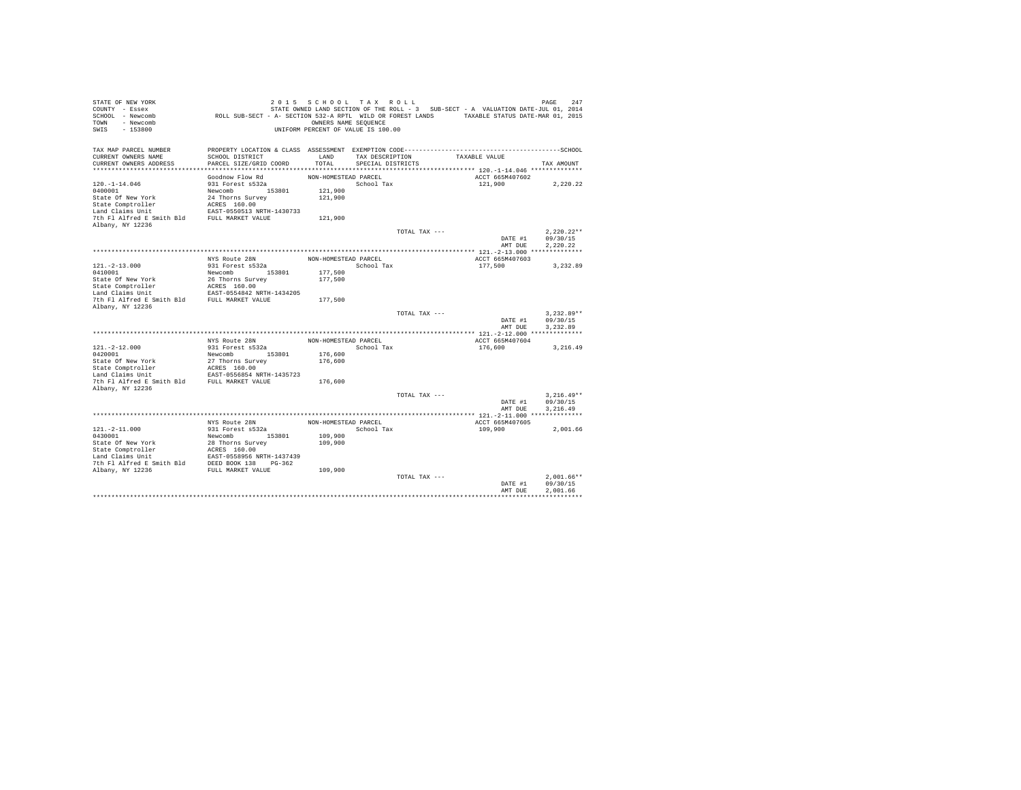| STATE OF NEW YORK<br>COUNTY - Essex<br>SCHOOL - Newcomb<br>- Newcomb<br>TOWN<br>$-153800$<br>SWIS | ROLL SUB-SECT - A- SECTION 532-A RPTL WILD OR FOREST LANDS TAXABLE STATUS DATE-MAR 01, 2015                     | 2015 SCHOOL TAX ROLL<br>OWNERS NAME SEQUENCE<br>UNIFORM PERCENT OF VALUE IS 100.00 |                   |               | STATE OWNED LAND SECTION OF THE ROLL - 3 SUB-SECT - A VALUATION DATE-JUL 01, 2014 | 247<br>PAGE          |
|---------------------------------------------------------------------------------------------------|-----------------------------------------------------------------------------------------------------------------|------------------------------------------------------------------------------------|-------------------|---------------|-----------------------------------------------------------------------------------|----------------------|
| TAX MAP PARCEL NUMBER<br>CURRENT OWNERS NAME                                                      | PROPERTY LOCATION & CLASS ASSESSMENT EXEMPTION CODE-----------------------------------SCHOOL<br>SCHOOL DISTRICT | LAND                                                                               | TAX DESCRIPTION   |               | TAXABLE VALUE                                                                     |                      |
| CURRENT OWNERS ADDRESS                                                                            | PARCEL SIZE/GRID COORD                                                                                          | TOTAL                                                                              | SPECIAL DISTRICTS |               |                                                                                   | TAX AMOUNT           |
|                                                                                                   |                                                                                                                 |                                                                                    |                   |               |                                                                                   |                      |
|                                                                                                   | Goodnow Flow Rd                                                                                                 | NON-HOMESTEAD PARCEL                                                               |                   |               | ACCT 665M407602                                                                   |                      |
| $120. - 1 - 14.046$                                                                               | 931 Forest s532a                                                                                                |                                                                                    | School Tax        |               | 121,900                                                                           | 2,220.22             |
| 0400001<br>State Of New York                                                                      | Newcomb 153801<br>24 Thorns Survey                                                                              | 121,900<br>121,900                                                                 |                   |               |                                                                                   |                      |
| State Comptroller                                                                                 | ACRES 160.00                                                                                                    |                                                                                    |                   |               |                                                                                   |                      |
| Land Claims Unit                                                                                  | EAST-0550513 NRTH-1430733                                                                                       |                                                                                    |                   |               |                                                                                   |                      |
| 7th Fl Alfred E Smith Bld                                                                         | FULL MARKET VALUE                                                                                               | 121,900                                                                            |                   |               |                                                                                   |                      |
| Albany, NY 12236                                                                                  |                                                                                                                 |                                                                                    |                   |               |                                                                                   |                      |
|                                                                                                   |                                                                                                                 |                                                                                    |                   | TOTAL TAX --- |                                                                                   | $2.220.22**$         |
|                                                                                                   |                                                                                                                 |                                                                                    |                   |               | DATE #1                                                                           | 09/30/15             |
|                                                                                                   |                                                                                                                 |                                                                                    |                   |               | AMT DUE                                                                           | 2,220.22             |
|                                                                                                   | NYS Route 28N                                                                                                   | NON-HOMESTEAD PARCEL                                                               |                   |               | ACCT 665M407603                                                                   |                      |
| $121. - 2 - 13.000$                                                                               | 931 Forest s532a                                                                                                |                                                                                    | School Tax        |               | 177.500                                                                           | 3,232.89             |
| 0410001                                                                                           | Newcomb<br>153801                                                                                               | 177,500                                                                            |                   |               |                                                                                   |                      |
| State Of New York                                                                                 | 26 Thorns Survey                                                                                                | 177,500                                                                            |                   |               |                                                                                   |                      |
| State Comptroller                                                                                 | ACRES 160.00                                                                                                    |                                                                                    |                   |               |                                                                                   |                      |
| Land Claims Unit                                                                                  | EAST-0554842 NRTH-1434205                                                                                       |                                                                                    |                   |               |                                                                                   |                      |
| 7th Fl Alfred E Smith Bld<br>Albany, NY 12236                                                     | FULL MARKET VALUE                                                                                               | 177,500                                                                            |                   |               |                                                                                   |                      |
|                                                                                                   |                                                                                                                 |                                                                                    |                   | TOTAL TAX --- |                                                                                   | $3.232.89**$         |
|                                                                                                   |                                                                                                                 |                                                                                    |                   |               | DATE #1                                                                           | 09/30/15             |
|                                                                                                   |                                                                                                                 |                                                                                    |                   |               | AMT DUE                                                                           | 3.232.89             |
|                                                                                                   |                                                                                                                 |                                                                                    |                   |               |                                                                                   |                      |
|                                                                                                   | NYS Route 28N                                                                                                   | NON-HOMESTEAD PARCEL                                                               |                   |               | ACCT 665M407604                                                                   |                      |
| $121. -2 - 12.000$<br>0420001                                                                     | 931 Forest s532a<br>153801<br>Newcomb                                                                           | 176,600                                                                            | School Tax        |               | 176,600                                                                           | 3,216.49             |
| State Of New York                                                                                 | 27 Thorns Survey                                                                                                | 176,600                                                                            |                   |               |                                                                                   |                      |
| State Comptroller                                                                                 | ACRES 160.00                                                                                                    |                                                                                    |                   |               |                                                                                   |                      |
| Land Claims Unit                                                                                  | EAST-0556854 NRTH-1435723                                                                                       |                                                                                    |                   |               |                                                                                   |                      |
| 7th Fl Alfred E Smith Bld                                                                         | FULL MARKET VALUE                                                                                               | 176,600                                                                            |                   |               |                                                                                   |                      |
| Albany, NY 12236                                                                                  |                                                                                                                 |                                                                                    |                   |               |                                                                                   |                      |
|                                                                                                   |                                                                                                                 |                                                                                    |                   | TOTAL TAX --- |                                                                                   | $3.216.49**$         |
|                                                                                                   |                                                                                                                 |                                                                                    |                   |               | DATE #1<br>AMT DUE                                                                | 09/30/15<br>3.216.49 |
|                                                                                                   |                                                                                                                 |                                                                                    |                   |               |                                                                                   |                      |
|                                                                                                   | NYS Route 28N                                                                                                   | NON-HOMESTEAD PARCEL                                                               |                   |               | ACCT 665M407605                                                                   |                      |
| $121. - 2 - 11.000$                                                                               | 931 Forest s532a                                                                                                |                                                                                    | School Tax        |               | 109,900                                                                           | 2.001.66             |
| 0430001                                                                                           | Newcomb 153801                                                                                                  | 109,900                                                                            |                   |               |                                                                                   |                      |
| State Of New York                                                                                 | 28 Thorns Survey                                                                                                | 109,900                                                                            |                   |               |                                                                                   |                      |
| State Comptroller                                                                                 | ACRES 160.00                                                                                                    |                                                                                    |                   |               |                                                                                   |                      |
| Land Claims Unit<br>7th Fl Alfred E Smith Bld                                                     | EAST-0558956 NRTH-1437439<br>DEED BOOK 138 PG-362                                                               |                                                                                    |                   |               |                                                                                   |                      |
| Albany, NY 12236                                                                                  | FULL MARKET VALUE                                                                                               | 109,900                                                                            |                   |               |                                                                                   |                      |
|                                                                                                   |                                                                                                                 |                                                                                    |                   | TOTAL TAX --- |                                                                                   | $2.001.66**$         |
|                                                                                                   |                                                                                                                 |                                                                                    |                   |               | DATE #1                                                                           | 09/30/15             |
|                                                                                                   |                                                                                                                 |                                                                                    |                   |               | AMT DUE                                                                           | 2.001.66             |
|                                                                                                   |                                                                                                                 |                                                                                    |                   |               |                                                                                   |                      |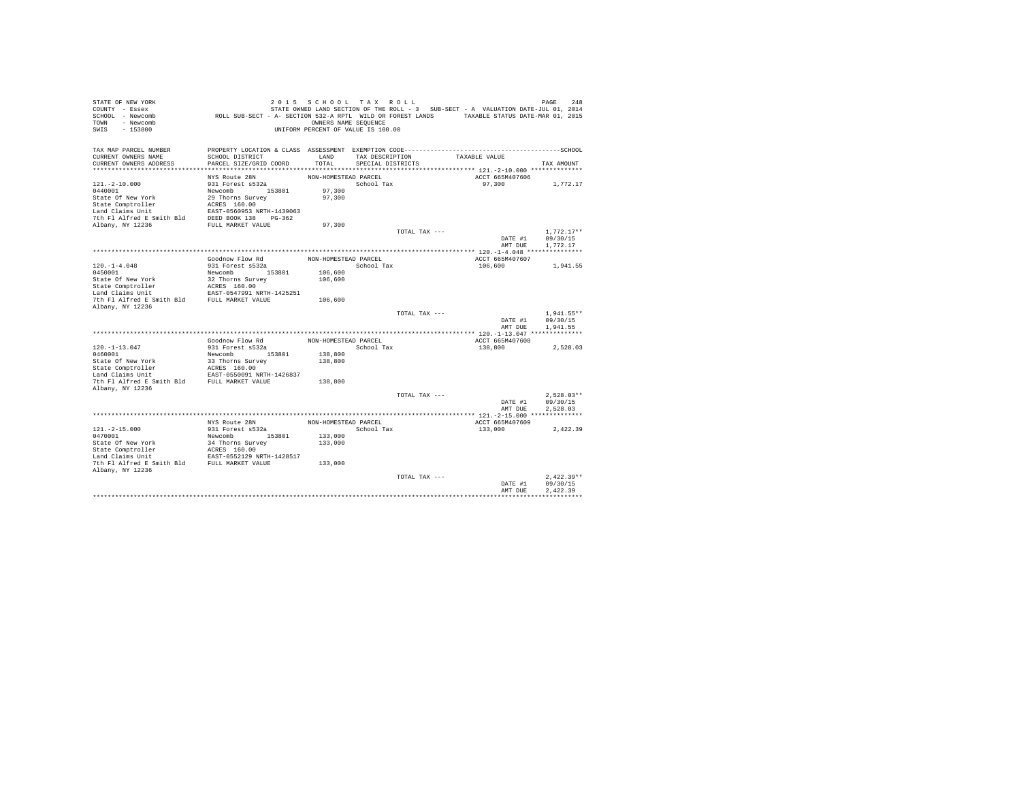| STATE OF NEW YORK<br>COUNTY - Essex<br>SCHOOL - Newcomb<br>- Newcomb<br>TOWN<br>$-153800$<br>SWIS | ROLL SUB-SECT - A- SECTION 532-A RPTL WILD OR FOREST LANDS TAXABLE STATUS DATE-MAR 01, 2015                     | 2015 SCHOOL TAX ROLL<br>OWNERS NAME SEQUENCE<br>UNIFORM PERCENT OF VALUE IS 100.00 |                   |               | STATE OWNED LAND SECTION OF THE ROLL - 3 SUB-SECT - A VALUATION DATE-JUL 01, 2014 | PAGE<br>248              |
|---------------------------------------------------------------------------------------------------|-----------------------------------------------------------------------------------------------------------------|------------------------------------------------------------------------------------|-------------------|---------------|-----------------------------------------------------------------------------------|--------------------------|
|                                                                                                   |                                                                                                                 |                                                                                    |                   |               |                                                                                   |                          |
| TAX MAP PARCEL NUMBER<br>CURRENT OWNERS NAME                                                      | PROPERTY LOCATION & CLASS ASSESSMENT EXEMPTION CODE-----------------------------------SCHOOL<br>SCHOOL DISTRICT | LAND                                                                               | TAX DESCRIPTION   |               | TAXABLE VALUE                                                                     |                          |
| CURRENT OWNERS ADDRESS                                                                            | PARCEL SIZE/GRID COORD                                                                                          | TOTAL                                                                              | SPECIAL DISTRICTS |               |                                                                                   | TAX AMOUNT               |
|                                                                                                   |                                                                                                                 |                                                                                    |                   |               |                                                                                   |                          |
|                                                                                                   | NYS Route 28N                                                                                                   | NON-HOMESTEAD PARCEL                                                               |                   |               | ACCT 665M407606                                                                   |                          |
| $121. - 2 - 10.000$                                                                               | 931 Forest s532a                                                                                                |                                                                                    | School Tax        |               | 97,300                                                                            | 1,772.17                 |
| 0440001                                                                                           | Newcomb 153801                                                                                                  | 97,300                                                                             |                   |               |                                                                                   |                          |
| State Of New York<br>State Comptroller                                                            | 29 Thorns Survey<br>ACRES 160.00                                                                                | 97,300                                                                             |                   |               |                                                                                   |                          |
| Land Claims Unit                                                                                  | EAST-0560953 NRTH-1439063                                                                                       |                                                                                    |                   |               |                                                                                   |                          |
| 7th Fl Alfred E Smith Bld                                                                         | DEED BOOK 138 PG-362                                                                                            |                                                                                    |                   |               |                                                                                   |                          |
| Albany, NY 12236                                                                                  | FULL MARKET VALUE                                                                                               | 97,300                                                                             |                   |               |                                                                                   |                          |
|                                                                                                   |                                                                                                                 |                                                                                    |                   | TOTAL TAX --- |                                                                                   | $1.772.17**$             |
|                                                                                                   |                                                                                                                 |                                                                                    |                   |               | DATE #1                                                                           | 09/30/15                 |
|                                                                                                   |                                                                                                                 |                                                                                    |                   |               | AMT DUE                                                                           | 1,772.17                 |
|                                                                                                   | Goodnow Flow Rd                                                                                                 | NON-HOMESTEAD PARCEL                                                               |                   |               | ACCT 665M407607                                                                   |                          |
| $120. -1 - 4.048$                                                                                 | 931 Forest s532a                                                                                                |                                                                                    | School Tax        |               | 106,600                                                                           | 1,941.55                 |
| 0450001                                                                                           | Newcomb<br>153801                                                                                               | 106,600                                                                            |                   |               |                                                                                   |                          |
| State Of New York                                                                                 | 32 Thorns Survey                                                                                                | 106,600                                                                            |                   |               |                                                                                   |                          |
| State Comptroller                                                                                 | ACRES 160.00                                                                                                    |                                                                                    |                   |               |                                                                                   |                          |
| Land Claims Unit                                                                                  | EAST-0547991 NRTH-1425251                                                                                       |                                                                                    |                   |               |                                                                                   |                          |
| 7th Fl Alfred E Smith Bld                                                                         | FULL MARKET VALUE                                                                                               | 106,600                                                                            |                   |               |                                                                                   |                          |
| Albany, NY 12236                                                                                  |                                                                                                                 |                                                                                    |                   | TOTAL TAX --- |                                                                                   | $1.941.55**$             |
|                                                                                                   |                                                                                                                 |                                                                                    |                   |               | DATE #1                                                                           | 09/30/15                 |
|                                                                                                   |                                                                                                                 |                                                                                    |                   |               | AMT DUE                                                                           | 1.941.55                 |
|                                                                                                   |                                                                                                                 |                                                                                    |                   |               |                                                                                   |                          |
|                                                                                                   | Goodnow Flow Rd                                                                                                 | NON-HOMESTEAD PARCEL                                                               |                   |               | ACCT 665M407608                                                                   |                          |
| $120. -1 - 13.047$<br>0460001                                                                     | 931 Forest s532a<br>Newcomb 153801                                                                              | 138,800                                                                            | School Tax        |               | 138,800                                                                           | 2,528.03                 |
| State Of New York                                                                                 | 33 Thorns Survey                                                                                                | 138,800                                                                            |                   |               |                                                                                   |                          |
| State Comptroller                                                                                 | ACRES 160.00                                                                                                    |                                                                                    |                   |               |                                                                                   |                          |
| Land Claims Unit                                                                                  | EAST-0550091 NRTH-1426837                                                                                       |                                                                                    |                   |               |                                                                                   |                          |
| 7th Fl Alfred E Smith Bld                                                                         | FULL MARKET VALUE                                                                                               | 138,800                                                                            |                   |               |                                                                                   |                          |
| Albany, NY 12236                                                                                  |                                                                                                                 |                                                                                    |                   |               |                                                                                   |                          |
|                                                                                                   |                                                                                                                 |                                                                                    |                   | TOTAL TAX --- | DATE #1                                                                           | $2.528.03**$<br>09/30/15 |
|                                                                                                   |                                                                                                                 |                                                                                    |                   |               | AMT DUE                                                                           | 2.528.03                 |
|                                                                                                   |                                                                                                                 |                                                                                    |                   |               |                                                                                   |                          |
|                                                                                                   | NYS Route 28N                                                                                                   | NON-HOMESTEAD PARCEL                                                               |                   |               | ACCT 665M407609                                                                   |                          |
| $121. -2 - 15.000$                                                                                | 931 Forest s532a                                                                                                |                                                                                    | School Tax        |               | 133,000                                                                           | 2.422.39                 |
| 0470001                                                                                           | Newcomb 153801                                                                                                  | 133,000                                                                            |                   |               |                                                                                   |                          |
| State Of New York                                                                                 | 34 Thorns Survey<br>ACRES 160.00                                                                                | 133,000                                                                            |                   |               |                                                                                   |                          |
| State Comptroller<br>Land Claims Unit                                                             | EAST-0552129 NRTH-1428517                                                                                       |                                                                                    |                   |               |                                                                                   |                          |
| 7th Fl Alfred E Smith Bld FULL MARKET VALUE                                                       |                                                                                                                 | 133,000                                                                            |                   |               |                                                                                   |                          |
| Albany, NY 12236                                                                                  |                                                                                                                 |                                                                                    |                   |               |                                                                                   |                          |
|                                                                                                   |                                                                                                                 |                                                                                    |                   | TOTAL TAX --- |                                                                                   | $2.422.39**$             |
|                                                                                                   |                                                                                                                 |                                                                                    |                   |               | DATE #1                                                                           | 09/30/15                 |
|                                                                                                   |                                                                                                                 |                                                                                    |                   |               | AMT DUE                                                                           | 2.422.39                 |
|                                                                                                   |                                                                                                                 |                                                                                    |                   |               |                                                                                   |                          |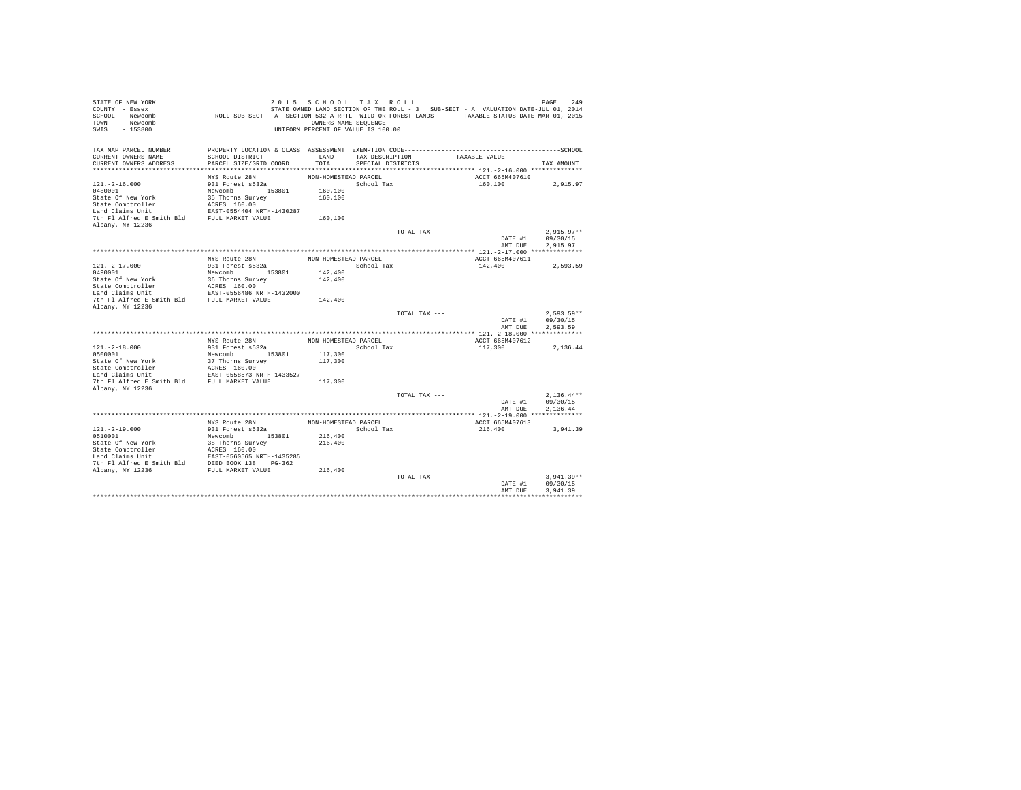| STATE OF NEW YORK<br>COUNTY - Essex<br>SCHOOL - Newcomb<br>- Newcomb<br>TOWN<br>$-153800$<br>SWIS | ROLL SUB-SECT - A- SECTION 532-A RPTL WILD OR FOREST LANDS TAXABLE STATUS DATE-MAR 01, 2015                     | 2015 SCHOOL TAX ROLL<br>OWNERS NAME SEQUENCE<br>UNIFORM PERCENT OF VALUE IS 100.00 |                   |               | STATE OWNED LAND SECTION OF THE ROLL - 3 SUB-SECT - A VALUATION DATE-JUL 01, 2014 | 249<br>PAGE          |
|---------------------------------------------------------------------------------------------------|-----------------------------------------------------------------------------------------------------------------|------------------------------------------------------------------------------------|-------------------|---------------|-----------------------------------------------------------------------------------|----------------------|
| TAX MAP PARCEL NUMBER<br>CURRENT OWNERS NAME                                                      | PROPERTY LOCATION & CLASS ASSESSMENT EXEMPTION CODE-----------------------------------SCHOOL<br>SCHOOL DISTRICT | LAND                                                                               | TAX DESCRIPTION   |               | TAXABLE VALUE                                                                     |                      |
| CURRENT OWNERS ADDRESS                                                                            | PARCEL SIZE/GRID COORD                                                                                          | TOTAL                                                                              | SPECIAL DISTRICTS |               |                                                                                   | TAX AMOUNT           |
|                                                                                                   |                                                                                                                 |                                                                                    |                   |               |                                                                                   |                      |
|                                                                                                   | NYS Route 28N                                                                                                   | NON-HOMESTEAD PARCEL                                                               |                   |               | ACCT 665M407610                                                                   |                      |
| $121. - 2 - 16.000$                                                                               | 931 Forest s532a                                                                                                |                                                                                    | School Tax        |               | 160,100                                                                           | 2,915.97             |
| 0480001                                                                                           | Newcomb 153801                                                                                                  | 160,100                                                                            |                   |               |                                                                                   |                      |
| State Of New York                                                                                 | 35 Thorns Survey                                                                                                | 160,100                                                                            |                   |               |                                                                                   |                      |
| State Comptroller                                                                                 | ACRES 160.00                                                                                                    |                                                                                    |                   |               |                                                                                   |                      |
| Land Claims Unit                                                                                  | EAST-0554404 NRTH-1430287                                                                                       |                                                                                    |                   |               |                                                                                   |                      |
| 7th Fl Alfred E Smith Bld<br>Albany, NY 12236                                                     | FULL MARKET VALUE                                                                                               | 160,100                                                                            |                   |               |                                                                                   |                      |
|                                                                                                   |                                                                                                                 |                                                                                    |                   | TOTAL TAX --- |                                                                                   | $2.915.97**$         |
|                                                                                                   |                                                                                                                 |                                                                                    |                   |               | DATE #1                                                                           | 09/30/15             |
|                                                                                                   |                                                                                                                 |                                                                                    |                   |               | AMT DUE                                                                           | 2,915.97             |
|                                                                                                   |                                                                                                                 |                                                                                    |                   |               |                                                                                   |                      |
|                                                                                                   | NYS Route 28N                                                                                                   | NON-HOMESTEAD PARCEL                                                               |                   |               | ACCT 665M407611                                                                   |                      |
| $121. - 2 - 17.000$                                                                               | 931 Forest s532a                                                                                                |                                                                                    | School Tax        |               | 142,400                                                                           | 2.593.59             |
| 0490001                                                                                           | Newcomb<br>153801                                                                                               | 142,400                                                                            |                   |               |                                                                                   |                      |
| State Of New York                                                                                 | 36 Thorns Survey<br>ACRES 160.00                                                                                | 142,400                                                                            |                   |               |                                                                                   |                      |
| State Comptroller<br>Land Claims Unit                                                             | EAST-0556486 NRTH-1432000                                                                                       |                                                                                    |                   |               |                                                                                   |                      |
| 7th Fl Alfred E Smith Bld                                                                         | FULL MARKET VALUE                                                                                               | 142,400                                                                            |                   |               |                                                                                   |                      |
| Albany, NY 12236                                                                                  |                                                                                                                 |                                                                                    |                   |               |                                                                                   |                      |
|                                                                                                   |                                                                                                                 |                                                                                    |                   | TOTAL TAX --- |                                                                                   | $2.593.59**$         |
|                                                                                                   |                                                                                                                 |                                                                                    |                   |               | DATE #1                                                                           | 09/30/15             |
|                                                                                                   |                                                                                                                 |                                                                                    |                   |               | AMT DUE                                                                           | 2.593.59             |
|                                                                                                   |                                                                                                                 |                                                                                    |                   |               |                                                                                   |                      |
| $121. - 2 - 18.000$                                                                               | NYS Route 28N<br>931 Forest s532a                                                                               | NON-HOMESTEAD PARCEL                                                               | School Tax        |               | ACCT 665M407612<br>117,300                                                        |                      |
| 0500001                                                                                           | 153801<br>Newcomb                                                                                               | 117,300                                                                            |                   |               |                                                                                   | 2,136.44             |
| State Of New York                                                                                 | 37 Thorns Survey                                                                                                | 117,300                                                                            |                   |               |                                                                                   |                      |
| State Comptroller                                                                                 | ACRES 160.00                                                                                                    |                                                                                    |                   |               |                                                                                   |                      |
| Land Claims Unit                                                                                  | EAST-0558573 NRTH-1433527                                                                                       |                                                                                    |                   |               |                                                                                   |                      |
| 7th Fl Alfred E Smith Bld                                                                         | FULL MARKET VALUE                                                                                               | 117,300                                                                            |                   |               |                                                                                   |                      |
| Albany, NY 12236                                                                                  |                                                                                                                 |                                                                                    |                   |               |                                                                                   |                      |
|                                                                                                   |                                                                                                                 |                                                                                    |                   | TOTAL TAX --- |                                                                                   | $2.136.44**$         |
|                                                                                                   |                                                                                                                 |                                                                                    |                   |               | DATE #1<br>AMT DUE                                                                | 09/30/15<br>2.136.44 |
|                                                                                                   |                                                                                                                 |                                                                                    |                   |               |                                                                                   |                      |
|                                                                                                   | NYS Route 28N                                                                                                   | NON-HOMESTEAD PARCEL                                                               |                   |               | ACCT 665M407613                                                                   |                      |
| $121. - 2 - 19.000$                                                                               | 931 Forest s532a                                                                                                |                                                                                    | School Tax        |               | 216,400                                                                           | 3,941.39             |
| 0510001                                                                                           | Newcomb 153801                                                                                                  | 216,400                                                                            |                   |               |                                                                                   |                      |
| State Of New York                                                                                 | 38 Thorns Survey                                                                                                | 216,400                                                                            |                   |               |                                                                                   |                      |
| State Comptroller                                                                                 | ACRES 160.00                                                                                                    |                                                                                    |                   |               |                                                                                   |                      |
| Land Claims Unit                                                                                  | EAST-0560565 NRTH-1435285                                                                                       |                                                                                    |                   |               |                                                                                   |                      |
| 7th Fl Alfred E Smith Bld                                                                         | DEED BOOK 138 PG-362<br>FULL MARKET VALUE                                                                       | 216,400                                                                            |                   |               |                                                                                   |                      |
| Albany, NY 12236                                                                                  |                                                                                                                 |                                                                                    |                   | TOTAL TAX --- |                                                                                   | $3.941.39**$         |
|                                                                                                   |                                                                                                                 |                                                                                    |                   |               | DATE #1                                                                           | 09/30/15             |
|                                                                                                   |                                                                                                                 |                                                                                    |                   |               | AMT DUE                                                                           | 3.941.39             |
|                                                                                                   |                                                                                                                 |                                                                                    |                   |               |                                                                                   |                      |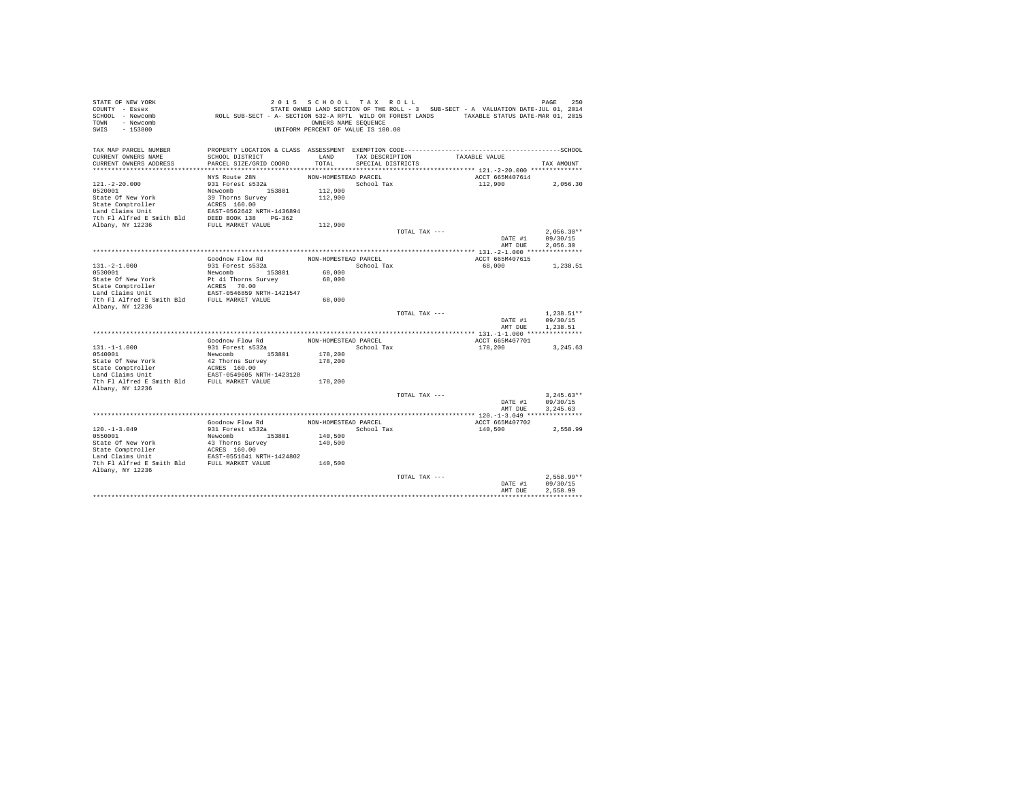| STATE OF NEW YORK<br>COUNTY - Essex         |                                                                                              | 2015 SCHOOL TAX ROLL               |                   |               | STATE OWNED LAND SECTION OF THE ROLL - 3 SUB-SECT - A VALUATION DATE-JUL 01, 2014 | 250<br>PAGE         |
|---------------------------------------------|----------------------------------------------------------------------------------------------|------------------------------------|-------------------|---------------|-----------------------------------------------------------------------------------|---------------------|
| SCHOOL - Newcomb                            | ROLL SUB-SECT - A- SECTION 532-A RPTL WILD OR FOREST LANDS TAXABLE STATUS DATE-MAR 01, 2015  |                                    |                   |               |                                                                                   |                     |
| - Newcomb<br>TOWN                           |                                                                                              | OWNERS NAME SEQUENCE               |                   |               |                                                                                   |                     |
| $-153800$<br>SWIS                           |                                                                                              | UNIFORM PERCENT OF VALUE IS 100.00 |                   |               |                                                                                   |                     |
|                                             |                                                                                              |                                    |                   |               |                                                                                   |                     |
| TAX MAP PARCEL NUMBER                       | PROPERTY LOCATION & CLASS ASSESSMENT EXEMPTION CODE-----------------------------------SCHOOL |                                    |                   |               |                                                                                   |                     |
| CURRENT OWNERS NAME                         | SCHOOL DISTRICT                                                                              | LAND                               | TAX DESCRIPTION   |               | TAXABLE VALUE                                                                     |                     |
| CURRENT OWNERS ADDRESS                      | PARCEL SIZE/GRID COORD                                                                       | TOTAL                              | SPECIAL DISTRICTS |               |                                                                                   | TAX AMOUNT          |
|                                             |                                                                                              |                                    |                   |               |                                                                                   |                     |
|                                             | NYS Route 28N                                                                                | NON-HOMESTEAD PARCEL               |                   |               | ACCT 665M407614                                                                   |                     |
| $121. - 2 - 20.000$                         | 931 Forest s532a                                                                             |                                    | School Tax        |               | 112,900                                                                           | 2,056.30            |
| 0520001                                     | Newcomb 153801                                                                               | 112,900                            |                   |               |                                                                                   |                     |
| State Of New York                           | 39 Thorns Survey                                                                             | 112,900                            |                   |               |                                                                                   |                     |
| State Comptroller                           | ACRES 160.00                                                                                 |                                    |                   |               |                                                                                   |                     |
| Land Claims Unit                            | EAST-0562642 NRTH-1436894                                                                    |                                    |                   |               |                                                                                   |                     |
| 7th Fl Alfred E Smith Bld                   | DEED BOOK 138 PG-362                                                                         |                                    |                   |               |                                                                                   |                     |
| Albany, NY 12236                            | FULL MARKET VALUE                                                                            | 112,900                            |                   |               |                                                                                   | $2.056.30**$        |
|                                             |                                                                                              |                                    |                   | TOTAL TAX --- |                                                                                   | 09/30/15<br>DATE #1 |
|                                             |                                                                                              |                                    |                   |               |                                                                                   | AMT DUE<br>2,056.30 |
|                                             |                                                                                              |                                    |                   |               |                                                                                   |                     |
|                                             | Goodnow Flow Rd                                                                              | NON-HOMESTEAD PARCEL               |                   |               | ACCT 665M407615                                                                   |                     |
| $131. -2 - 1.000$                           | 931 Forest s532a                                                                             |                                    | School Tax        |               | 68,000                                                                            | 1,238.51            |
| 0530001                                     | Newcomb<br>153801                                                                            | 68,000                             |                   |               |                                                                                   |                     |
| State Of New York                           | Pt 41 Thorns Survey                                                                          | 68,000                             |                   |               |                                                                                   |                     |
| State Comptroller                           | ACRES 70.00                                                                                  |                                    |                   |               |                                                                                   |                     |
| Land Claims Unit                            | EAST-0546859 NRTH-1421547                                                                    |                                    |                   |               |                                                                                   |                     |
| 7th Fl Alfred E Smith Bld                   | FULL MARKET VALUE                                                                            | 68,000                             |                   |               |                                                                                   |                     |
| Albany, NY 12236                            |                                                                                              |                                    |                   |               |                                                                                   |                     |
|                                             |                                                                                              |                                    |                   | TOTAL TAX --- |                                                                                   | $1.238.51**$        |
|                                             |                                                                                              |                                    |                   |               | DATE #1                                                                           | 09/30/15            |
|                                             |                                                                                              |                                    |                   |               | AMT DUE                                                                           | 1.238.51            |
|                                             | Goodnow Flow Rd                                                                              | NON-HOMESTEAD PARCEL               |                   |               | ACCT 665M407701                                                                   |                     |
| $131. -1 -1.000$                            | 931 Forest s532a                                                                             |                                    | School Tax        |               |                                                                                   |                     |
| 0540001                                     | Newcomb 153801                                                                               | 178,200                            |                   |               | 178,200                                                                           | 3,245.63            |
| State Of New York                           | 42 Thorns Survey                                                                             | 178,200                            |                   |               |                                                                                   |                     |
| State Comptroller                           | ACRES 160.00                                                                                 |                                    |                   |               |                                                                                   |                     |
| Land Claims Unit                            | EAST-0549605 NRTH-1423128                                                                    |                                    |                   |               |                                                                                   |                     |
| 7th Fl Alfred E Smith Bld                   | FULL MARKET VALUE                                                                            | 178,200                            |                   |               |                                                                                   |                     |
| Albany, NY 12236                            |                                                                                              |                                    |                   |               |                                                                                   |                     |
|                                             |                                                                                              |                                    |                   | TOTAL TAX --- |                                                                                   | $3.245.63**$        |
|                                             |                                                                                              |                                    |                   |               | DATE #1                                                                           | 09/30/15            |
|                                             |                                                                                              |                                    |                   |               | AMT DUE                                                                           | 3.245.63            |
|                                             |                                                                                              |                                    |                   |               |                                                                                   |                     |
|                                             | Goodnow Flow Rd                                                                              | NON-HOMESTEAD PARCEL               |                   |               | ACCT 665M407702                                                                   |                     |
| $120. - 1 - 3.049$                          | 931 Forest s532a                                                                             |                                    | School Tax        |               | 140,500                                                                           | 2.558.99            |
| 0550001                                     | Newcomb 153801                                                                               | 140,500                            |                   |               |                                                                                   |                     |
| State Of New York                           | 43 Thorns Survey                                                                             | 140,500                            |                   |               |                                                                                   |                     |
| State Comptroller<br>Land Claims Unit       | ACRES 160.00<br>EAST-0551641 NRTH-1424802                                                    |                                    |                   |               |                                                                                   |                     |
| 7th Fl Alfred E Smith Bld FULL MARKET VALUE |                                                                                              | 140,500                            |                   |               |                                                                                   |                     |
| Albany, NY 12236                            |                                                                                              |                                    |                   |               |                                                                                   |                     |
|                                             |                                                                                              |                                    |                   | TOTAL TAX --- |                                                                                   | $2.558.99**$        |
|                                             |                                                                                              |                                    |                   |               | DATE #1                                                                           | 09/30/15            |
|                                             |                                                                                              |                                    |                   |               | AMT DUE                                                                           | 2.558.99            |
|                                             |                                                                                              |                                    |                   |               |                                                                                   |                     |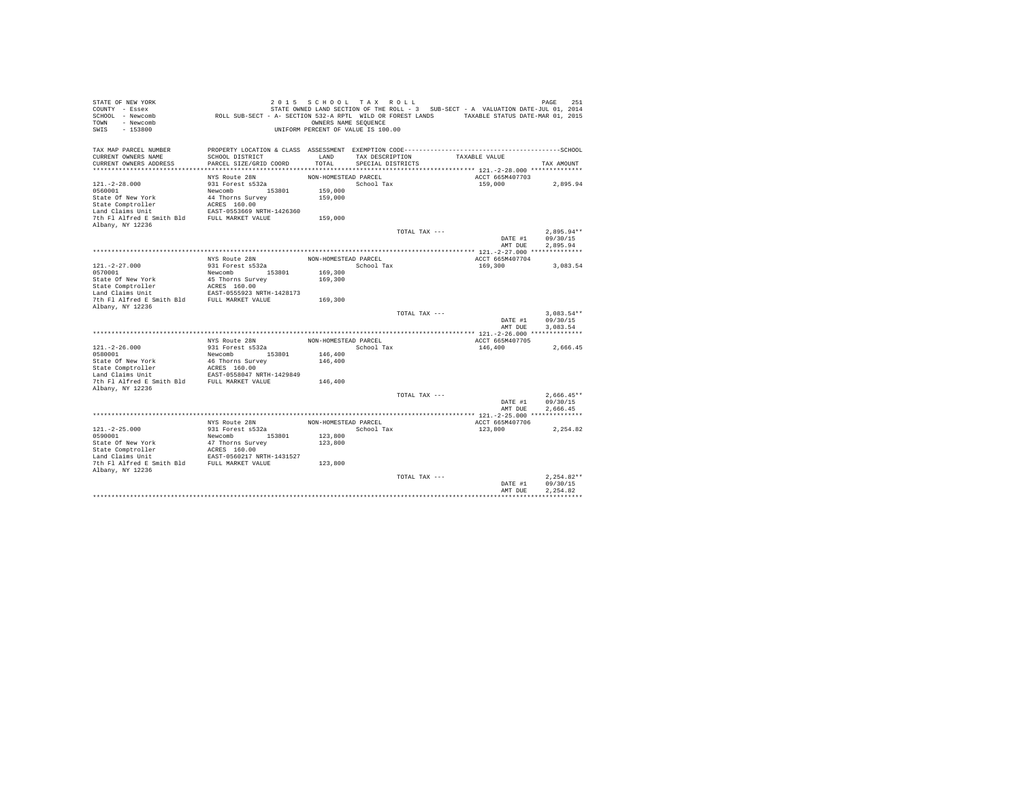| STATE OF NEW YORK<br>COUNTY - Essex<br>SCHOOL - Newcomb<br>- Newcomb<br>TOWN<br>$-153800$<br>SWIS | ROLL SUB-SECT - A- SECTION 532-A RPTL WILD OR FOREST LANDS TAXABLE STATUS DATE-MAR 01, 2015                     | 2015 SCHOOL TAX ROLL<br>OWNERS NAME SEQUENCE<br>UNIFORM PERCENT OF VALUE IS 100.00 |                   |               | STATE OWNED LAND SECTION OF THE ROLL - 3 SUB-SECT - A VALUATION DATE-JUL 01, 2014 | PAGE<br>251          |
|---------------------------------------------------------------------------------------------------|-----------------------------------------------------------------------------------------------------------------|------------------------------------------------------------------------------------|-------------------|---------------|-----------------------------------------------------------------------------------|----------------------|
| TAX MAP PARCEL NUMBER<br>CURRENT OWNERS NAME                                                      | PROPERTY LOCATION & CLASS ASSESSMENT EXEMPTION CODE-----------------------------------SCHOOL<br>SCHOOL DISTRICT | LAND                                                                               | TAX DESCRIPTION   |               | TAXABLE VALUE                                                                     |                      |
| CURRENT OWNERS ADDRESS                                                                            | PARCEL SIZE/GRID COORD                                                                                          | TOTAL                                                                              | SPECIAL DISTRICTS |               |                                                                                   | TAX AMOUNT           |
|                                                                                                   |                                                                                                                 |                                                                                    |                   |               |                                                                                   |                      |
|                                                                                                   | NYS Route 28N                                                                                                   | NON-HOMESTEAD PARCEL                                                               |                   |               | ACCT 665M407703                                                                   |                      |
| $121. - 2 - 28.000$                                                                               | 931 Forest s532a                                                                                                |                                                                                    | School Tax        |               | 159,000                                                                           | 2,895.94             |
| 0560001                                                                                           | Newcomb 153801                                                                                                  | 159,000                                                                            |                   |               |                                                                                   |                      |
| State Of New York                                                                                 | 44 Thorns Survey                                                                                                | 159,000                                                                            |                   |               |                                                                                   |                      |
| State Comptroller<br>Land Claims Unit                                                             | ACRES 160.00<br>EAST-0553669 NRTH-1426360                                                                       |                                                                                    |                   |               |                                                                                   |                      |
| 7th Fl Alfred E Smith Bld                                                                         | FULL MARKET VALUE                                                                                               | 159,000                                                                            |                   |               |                                                                                   |                      |
| Albany, NY 12236                                                                                  |                                                                                                                 |                                                                                    |                   |               |                                                                                   |                      |
|                                                                                                   |                                                                                                                 |                                                                                    |                   | TOTAL TAX --- |                                                                                   | $2.895.94**$         |
|                                                                                                   |                                                                                                                 |                                                                                    |                   |               | DATE #1                                                                           | 09/30/15             |
|                                                                                                   |                                                                                                                 |                                                                                    |                   |               | AMT DUE                                                                           | 2.895.94             |
|                                                                                                   |                                                                                                                 |                                                                                    |                   |               |                                                                                   |                      |
|                                                                                                   | NYS Route 28N                                                                                                   | NON-HOMESTEAD PARCEL                                                               |                   |               | ACCT 665M407704                                                                   |                      |
| $121. - 2 - 27.000$<br>0570001                                                                    | 931 Forest s532a<br>Newcomb<br>153801                                                                           | 169,300                                                                            | School Tax        |               | 169,300                                                                           | 3.083.54             |
| State Of New York                                                                                 | 45 Thorns Survey                                                                                                | 169,300                                                                            |                   |               |                                                                                   |                      |
| State Comptroller                                                                                 | ACRES 160.00                                                                                                    |                                                                                    |                   |               |                                                                                   |                      |
| Land Claims Unit                                                                                  | EAST-0555923 NRTH-1428173                                                                                       |                                                                                    |                   |               |                                                                                   |                      |
| 7th Fl Alfred E Smith Bld                                                                         | FULL MARKET VALUE                                                                                               | 169,300                                                                            |                   |               |                                                                                   |                      |
| Albany, NY 12236                                                                                  |                                                                                                                 |                                                                                    |                   |               |                                                                                   |                      |
|                                                                                                   |                                                                                                                 |                                                                                    |                   | TOTAL TAX --- |                                                                                   | $3.083.54**$         |
|                                                                                                   |                                                                                                                 |                                                                                    |                   |               | DATE #1<br>AMT DUE                                                                | 09/30/15<br>3.083.54 |
|                                                                                                   |                                                                                                                 |                                                                                    |                   |               |                                                                                   |                      |
|                                                                                                   | NYS Route 28N                                                                                                   | NON-HOMESTEAD PARCEL                                                               |                   |               | ACCT 665M407705                                                                   |                      |
| $121. -2 - 26.000$                                                                                | 931 Forest s532a                                                                                                |                                                                                    | School Tax        |               | 146,400                                                                           | 2,666.45             |
| 0580001                                                                                           | 153801<br>Newcomb                                                                                               | 146,400                                                                            |                   |               |                                                                                   |                      |
| State Of New York                                                                                 | 46 Thorns Survey                                                                                                | 146,400                                                                            |                   |               |                                                                                   |                      |
| State Comptroller                                                                                 | ACRES 160.00                                                                                                    |                                                                                    |                   |               |                                                                                   |                      |
| Land Claims Unit<br>7th Fl Alfred E Smith Bld                                                     | EAST-0558047 NRTH-1429849<br>FULL MARKET VALUE                                                                  | 146,400                                                                            |                   |               |                                                                                   |                      |
| Albany, NY 12236                                                                                  |                                                                                                                 |                                                                                    |                   |               |                                                                                   |                      |
|                                                                                                   |                                                                                                                 |                                                                                    |                   | TOTAL TAX --- |                                                                                   | $2.666.45**$         |
|                                                                                                   |                                                                                                                 |                                                                                    |                   |               | DATE #1                                                                           | 09/30/15             |
|                                                                                                   |                                                                                                                 |                                                                                    |                   |               | AMT DUE                                                                           | 2.666.45             |
|                                                                                                   |                                                                                                                 |                                                                                    |                   |               |                                                                                   |                      |
|                                                                                                   | NYS Route 28N                                                                                                   | NON-HOMESTEAD PARCEL                                                               |                   |               | ACCT 665M407706                                                                   |                      |
| $121. -2 - 25.000$                                                                                | 931 Forest s532a                                                                                                |                                                                                    | School Tax        |               | 123,800                                                                           | 2.254.82             |
| 0590001<br>State Of New York                                                                      | Newcomb 153801<br>47 Thorns Survey                                                                              | 123,800<br>123,800                                                                 |                   |               |                                                                                   |                      |
| State Comptroller                                                                                 | ACRES 160.00                                                                                                    |                                                                                    |                   |               |                                                                                   |                      |
| Land Claims Unit                                                                                  | EAST-0560217 NRTH-1431527                                                                                       |                                                                                    |                   |               |                                                                                   |                      |
| 7th Fl Alfred E Smith Bld FULL MARKET VALUE                                                       |                                                                                                                 | 123,800                                                                            |                   |               |                                                                                   |                      |
| Albany, NY 12236                                                                                  |                                                                                                                 |                                                                                    |                   |               |                                                                                   |                      |
|                                                                                                   |                                                                                                                 |                                                                                    |                   | TOTAL TAX --- |                                                                                   | $2.254.82**$         |
|                                                                                                   |                                                                                                                 |                                                                                    |                   |               | DATE #1                                                                           | 09/30/15             |
|                                                                                                   |                                                                                                                 |                                                                                    |                   |               | AMT DUE                                                                           | 2.254.82             |
|                                                                                                   |                                                                                                                 |                                                                                    |                   |               |                                                                                   |                      |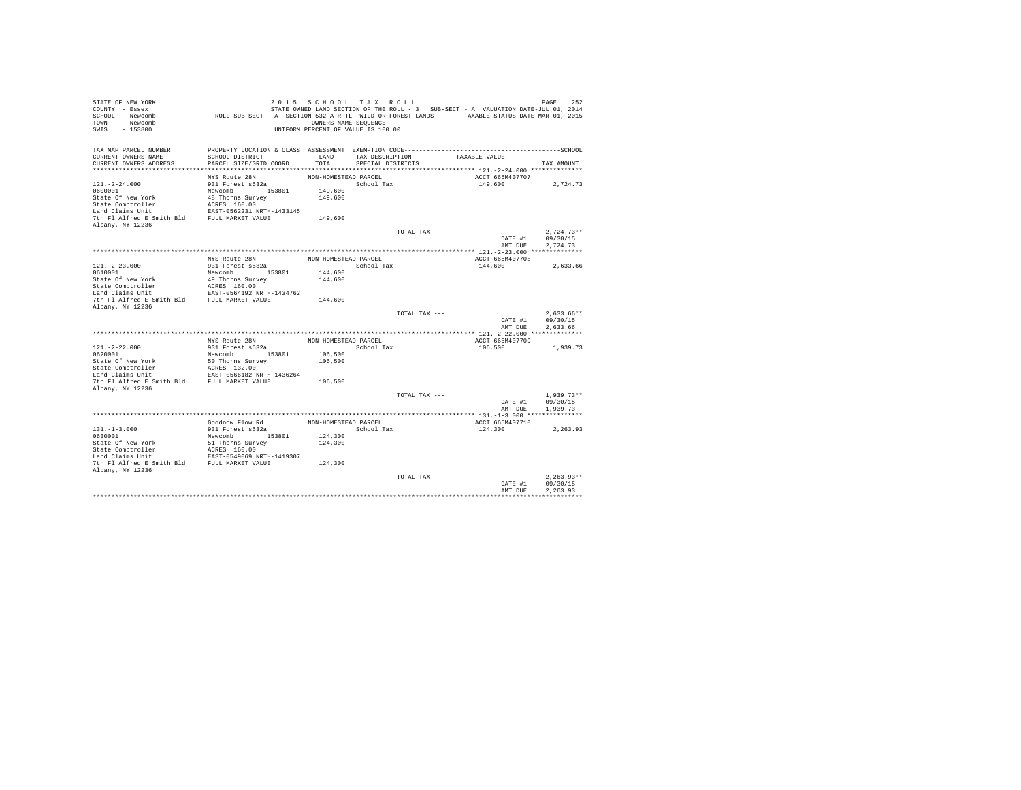| STATE OF NEW YORK<br>COUNTY - Essex<br>SCHOOL - Newcomb<br>- Newcomb<br>TOWN<br>$-153800$<br>SWIS | ROLL SUB-SECT - A- SECTION 532-A RPTL WILD OR FOREST LANDS TAXABLE STATUS DATE-MAR 01, 2015                     | OWNERS NAME SEQUENCE | 2015 SCHOOL TAX ROLL<br>UNIFORM PERCENT OF VALUE IS 100.00 |               | STATE OWNED LAND SECTION OF THE ROLL - 3 SUB-SECT - A VALUATION DATE-JUL 01, 2014 | 252<br>PAGE          |
|---------------------------------------------------------------------------------------------------|-----------------------------------------------------------------------------------------------------------------|----------------------|------------------------------------------------------------|---------------|-----------------------------------------------------------------------------------|----------------------|
| TAX MAP PARCEL NUMBER<br>CURRENT OWNERS NAME                                                      | PROPERTY LOCATION & CLASS ASSESSMENT EXEMPTION CODE-----------------------------------SCHOOL<br>SCHOOL DISTRICT | LAND                 | TAX DESCRIPTION                                            |               | TAXABLE VALUE                                                                     |                      |
| CURRENT OWNERS ADDRESS                                                                            | PARCEL SIZE/GRID COORD                                                                                          | TOTAL                | SPECIAL DISTRICTS                                          |               |                                                                                   | TAX AMOUNT           |
|                                                                                                   |                                                                                                                 |                      |                                                            |               |                                                                                   |                      |
|                                                                                                   | NYS Route 28N                                                                                                   | NON-HOMESTEAD PARCEL |                                                            |               | ACCT 665M407707                                                                   |                      |
| $121. - 2 - 24.000$                                                                               | 931 Forest s532a                                                                                                |                      | School Tax                                                 |               | 149,600                                                                           | 2,724.73             |
| 0600001<br>State Of New York                                                                      | Newcomb 153801<br>48 Thorns Survey                                                                              | 149,600<br>149,600   |                                                            |               |                                                                                   |                      |
| State Comptroller                                                                                 | ACRES 160.00                                                                                                    |                      |                                                            |               |                                                                                   |                      |
| Land Claims Unit                                                                                  | EAST-0562231 NRTH-1433145                                                                                       |                      |                                                            |               |                                                                                   |                      |
| 7th Fl Alfred E Smith Bld                                                                         | FULL MARKET VALUE                                                                                               | 149,600              |                                                            |               |                                                                                   |                      |
| Albany, NY 12236                                                                                  |                                                                                                                 |                      |                                                            |               |                                                                                   |                      |
|                                                                                                   |                                                                                                                 |                      |                                                            | TOTAL TAX --- |                                                                                   | $2.724.73**$         |
|                                                                                                   |                                                                                                                 |                      |                                                            |               | DATE #1                                                                           | 09/30/15             |
|                                                                                                   |                                                                                                                 |                      |                                                            |               | AMT DUE                                                                           | 2.724.73             |
|                                                                                                   | NYS Route 28N                                                                                                   | NON-HOMESTEAD PARCEL |                                                            |               | ACCT 665M407708                                                                   |                      |
| $121. - 2 - 23.000$                                                                               | 931 Forest s532a                                                                                                |                      | School Tax                                                 |               | 144,600                                                                           | 2.633.66             |
| 0610001                                                                                           | Newcomb<br>153801                                                                                               | 144,600              |                                                            |               |                                                                                   |                      |
| State Of New York                                                                                 | 49 Thorns Survey                                                                                                | 144,600              |                                                            |               |                                                                                   |                      |
| State Comptroller                                                                                 | ACRES 160.00                                                                                                    |                      |                                                            |               |                                                                                   |                      |
| Land Claims Unit                                                                                  | EAST-0564192 NRTH-1434762                                                                                       |                      |                                                            |               |                                                                                   |                      |
| 7th Fl Alfred E Smith Bld                                                                         | FULL MARKET VALUE                                                                                               | 144,600              |                                                            |               |                                                                                   |                      |
| Albany, NY 12236                                                                                  |                                                                                                                 |                      |                                                            | TOTAL TAX --- |                                                                                   | $2.633.66**$         |
|                                                                                                   |                                                                                                                 |                      |                                                            |               | DATE #1                                                                           | 09/30/15             |
|                                                                                                   |                                                                                                                 |                      |                                                            |               | AMT DUE                                                                           | 2.633.66             |
|                                                                                                   |                                                                                                                 |                      |                                                            |               |                                                                                   |                      |
|                                                                                                   | NYS Route 28N                                                                                                   | NON-HOMESTEAD PARCEL |                                                            |               | ACCT 665M407709                                                                   |                      |
| $121. -2 - 22.000$<br>0620001                                                                     | 931 Forest s532a<br>Newcomb<br>153801                                                                           | 106,500              | School Tax                                                 |               | 106,500                                                                           | 1,939.73             |
| State Of New York                                                                                 | 50 Thorns Survey                                                                                                | 106,500              |                                                            |               |                                                                                   |                      |
| State Comptroller                                                                                 | ACRES 132.00                                                                                                    |                      |                                                            |               |                                                                                   |                      |
| Land Claims Unit                                                                                  | EAST-0566182 NRTH-1436264                                                                                       |                      |                                                            |               |                                                                                   |                      |
| 7th Fl Alfred E Smith Bld                                                                         | FULL MARKET VALUE                                                                                               | 106,500              |                                                            |               |                                                                                   |                      |
| Albany, NY 12236                                                                                  |                                                                                                                 |                      |                                                            |               |                                                                                   |                      |
|                                                                                                   |                                                                                                                 |                      |                                                            | TOTAL TAX --- |                                                                                   | $1.939.73**$         |
|                                                                                                   |                                                                                                                 |                      |                                                            |               | DATE #1<br>AMT DUE                                                                | 09/30/15<br>1,939.73 |
|                                                                                                   |                                                                                                                 |                      |                                                            |               |                                                                                   |                      |
|                                                                                                   | Goodnow Flow Rd                                                                                                 | NON-HOMESTEAD PARCEL |                                                            |               | ACCT 665M407710                                                                   |                      |
| $131. -1 - 3.000$                                                                                 | 931 Forest s532a                                                                                                |                      | School Tax                                                 |               | 124,300                                                                           | 2.263.93             |
| 0630001                                                                                           | Newcomb 153801                                                                                                  | 124,300              |                                                            |               |                                                                                   |                      |
| State Of New York                                                                                 | 51 Thorns Survey                                                                                                | 124,300              |                                                            |               |                                                                                   |                      |
| State Comptroller<br>Land Claims Unit                                                             | ACRES 160.00<br>EAST-0549069 NRTH-1419307                                                                       |                      |                                                            |               |                                                                                   |                      |
| 7th Fl Alfred E Smith Bld FULL MARKET VALUE                                                       |                                                                                                                 | 124,300              |                                                            |               |                                                                                   |                      |
| Albany, NY 12236                                                                                  |                                                                                                                 |                      |                                                            |               |                                                                                   |                      |
|                                                                                                   |                                                                                                                 |                      |                                                            | TOTAL TAX --- |                                                                                   | $2.263.93**$         |
|                                                                                                   |                                                                                                                 |                      |                                                            |               | DATE #1                                                                           | 09/30/15             |
|                                                                                                   |                                                                                                                 |                      |                                                            |               | AMT DUE                                                                           | 2.263.93             |
|                                                                                                   |                                                                                                                 |                      |                                                            |               |                                                                                   |                      |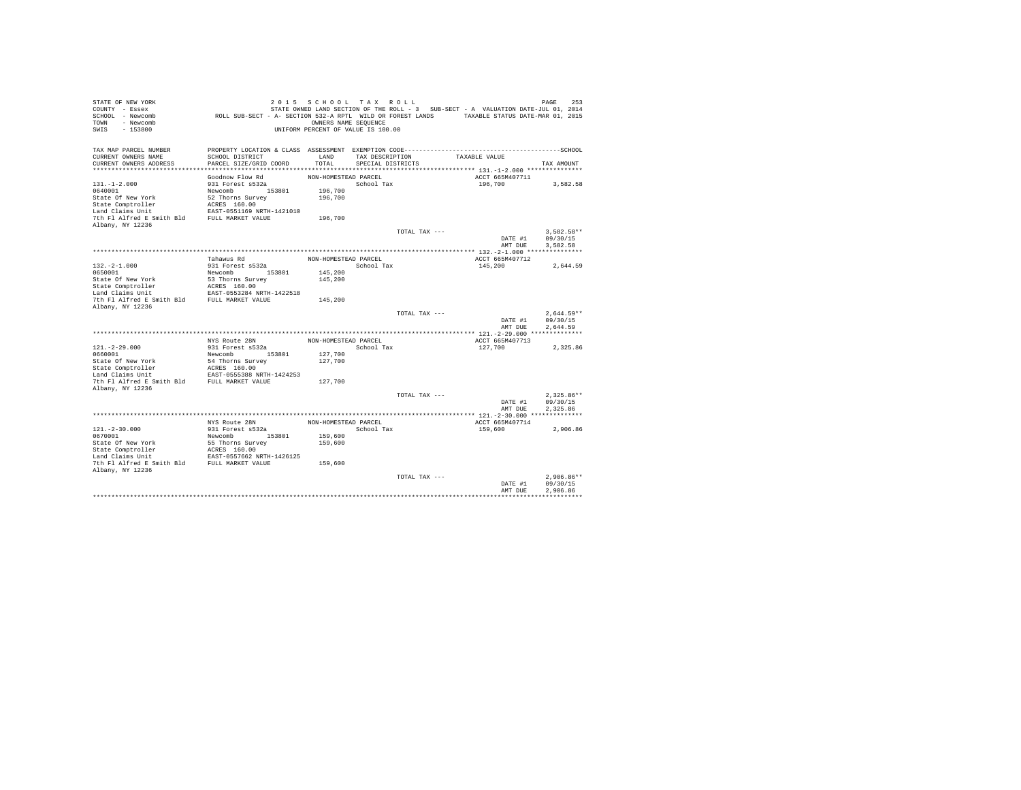| STATE OF NEW YORK<br>COUNTY - Essex<br>SCHOOL - Newcomb<br>- Newcomb<br>TOWN<br>$-153800$<br>SWIS | ROLL SUB-SECT - A- SECTION 532-A RPTL WILD OR FOREST LANDS TAXABLE STATUS DATE-MAR 01, 2015                     | 2015 SCHOOL TAX ROLL<br>OWNERS NAME SEQUENCE<br>UNIFORM PERCENT OF VALUE IS 100.00 |                   |               | STATE OWNED LAND SECTION OF THE ROLL - 3 SUB-SECT - A VALUATION DATE-JUL 01, 2014 | 253<br>PAGE  |
|---------------------------------------------------------------------------------------------------|-----------------------------------------------------------------------------------------------------------------|------------------------------------------------------------------------------------|-------------------|---------------|-----------------------------------------------------------------------------------|--------------|
| TAX MAP PARCEL NUMBER<br>CURRENT OWNERS NAME                                                      | PROPERTY LOCATION & CLASS ASSESSMENT EXEMPTION CODE-----------------------------------SCHOOL<br>SCHOOL DISTRICT | LAND                                                                               | TAX DESCRIPTION   |               | TAXABLE VALUE                                                                     |              |
| CURRENT OWNERS ADDRESS                                                                            | PARCEL SIZE/GRID COORD                                                                                          | TOTAL                                                                              | SPECIAL DISTRICTS |               |                                                                                   | TAX AMOUNT   |
|                                                                                                   | Goodnow Flow Rd                                                                                                 | NON-HOMESTEAD PARCEL                                                               |                   |               | ACCT 665M407711                                                                   |              |
| $131. - 1 - 2.000$                                                                                | 931 Forest s532a                                                                                                |                                                                                    | School Tax        |               | 196,700                                                                           | 3,582.58     |
| 0640001                                                                                           | Newcomb 153801                                                                                                  | 196,700                                                                            |                   |               |                                                                                   |              |
| State Of New York                                                                                 | 52 Thorns Survey                                                                                                | 196,700                                                                            |                   |               |                                                                                   |              |
| State Comptroller                                                                                 | ACRES 160.00                                                                                                    |                                                                                    |                   |               |                                                                                   |              |
| Land Claims Unit                                                                                  | EAST-0551169 NRTH-1421010                                                                                       |                                                                                    |                   |               |                                                                                   |              |
| 7th Fl Alfred E Smith Bld                                                                         | FULL MARKET VALUE                                                                                               | 196,700                                                                            |                   |               |                                                                                   |              |
| Albany, NY 12236                                                                                  |                                                                                                                 |                                                                                    |                   | TOTAL TAX --- |                                                                                   | $3.582.58**$ |
|                                                                                                   |                                                                                                                 |                                                                                    |                   |               | DATE #1                                                                           | 09/30/15     |
|                                                                                                   |                                                                                                                 |                                                                                    |                   |               | AMT DUE                                                                           | 3.582.58     |
|                                                                                                   |                                                                                                                 |                                                                                    |                   |               |                                                                                   |              |
|                                                                                                   | Tahawus Rd                                                                                                      | NON-HOMESTEAD PARCEL                                                               |                   |               | ACCT 665M407712                                                                   |              |
| $132. -2 - 1.000$                                                                                 | 931 Forest s532a                                                                                                |                                                                                    | School Tax        |               | 145,200                                                                           | 2.644.59     |
| 0650001                                                                                           | Newcomb<br>153801                                                                                               | 145,200                                                                            |                   |               |                                                                                   |              |
| State Of New York                                                                                 | 53 Thorns Survey                                                                                                | 145,200                                                                            |                   |               |                                                                                   |              |
| State Comptroller<br>Land Claims Unit                                                             | ACRES 160.00<br>EAST-0553284 NRTH-1422518                                                                       |                                                                                    |                   |               |                                                                                   |              |
| 7th Fl Alfred E Smith Bld                                                                         | FULL MARKET VALUE                                                                                               | 145,200                                                                            |                   |               |                                                                                   |              |
| Albany, NY 12236                                                                                  |                                                                                                                 |                                                                                    |                   |               |                                                                                   |              |
|                                                                                                   |                                                                                                                 |                                                                                    |                   | TOTAL TAX --- |                                                                                   | $2.644.59**$ |
|                                                                                                   |                                                                                                                 |                                                                                    |                   |               | DATE #1                                                                           | 09/30/15     |
|                                                                                                   |                                                                                                                 |                                                                                    |                   |               | AMT DUE                                                                           | 2.644.59     |
|                                                                                                   | NYS Route 28N                                                                                                   | NON-HOMESTEAD PARCEL                                                               |                   |               | ACCT 665M407713                                                                   |              |
| $121. - 2 - 29.000$                                                                               | 931 Forest s532a                                                                                                |                                                                                    | School Tax        |               | 127,700                                                                           | 2,325.86     |
| 0660001                                                                                           | Newcomb<br>153801                                                                                               | 127,700                                                                            |                   |               |                                                                                   |              |
| State Of New York                                                                                 | 54 Thorns Survey                                                                                                | 127,700                                                                            |                   |               |                                                                                   |              |
| State Comptroller                                                                                 | ACRES 160.00                                                                                                    |                                                                                    |                   |               |                                                                                   |              |
| Land Claims Unit                                                                                  | EAST-0555388 NRTH-1424253                                                                                       |                                                                                    |                   |               |                                                                                   |              |
| 7th Fl Alfred E Smith Bld                                                                         | FULL MARKET VALUE                                                                                               | 127,700                                                                            |                   |               |                                                                                   |              |
| Albany, NY 12236                                                                                  |                                                                                                                 |                                                                                    |                   | TOTAL TAX --- |                                                                                   | $2.325.86**$ |
|                                                                                                   |                                                                                                                 |                                                                                    |                   |               | DATE #1                                                                           | 09/30/15     |
|                                                                                                   |                                                                                                                 |                                                                                    |                   |               | AMT DUE                                                                           | 2.325.86     |
|                                                                                                   |                                                                                                                 |                                                                                    |                   |               |                                                                                   |              |
|                                                                                                   | NYS Route 28N                                                                                                   | NON-HOMESTEAD PARCEL                                                               |                   |               | ACCT 665M407714                                                                   |              |
| $121. - 2 - 30.000$                                                                               | 931 Forest s532a                                                                                                |                                                                                    | School Tax        |               | 159,600                                                                           | 2.906.86     |
| 0670001                                                                                           | Newcomb 153801                                                                                                  | 159,600                                                                            |                   |               |                                                                                   |              |
| State Of New York                                                                                 | 55 Thorns Survey                                                                                                | 159,600                                                                            |                   |               |                                                                                   |              |
| State Comptroller<br>Land Claims Unit                                                             | ACRES 160.00<br>EAST-0557662 NRTH-1426125                                                                       |                                                                                    |                   |               |                                                                                   |              |
| 7th Fl Alfred E Smith Bld FULL MARKET VALUE                                                       |                                                                                                                 | 159,600                                                                            |                   |               |                                                                                   |              |
| Albany, NY 12236                                                                                  |                                                                                                                 |                                                                                    |                   |               |                                                                                   |              |
|                                                                                                   |                                                                                                                 |                                                                                    |                   | TOTAL TAX --- |                                                                                   | $2.906.86**$ |
|                                                                                                   |                                                                                                                 |                                                                                    |                   |               | DATE #1                                                                           | 09/30/15     |
|                                                                                                   |                                                                                                                 |                                                                                    |                   |               | AMT DUE                                                                           | 2.906.86     |
|                                                                                                   |                                                                                                                 |                                                                                    |                   |               |                                                                                   |              |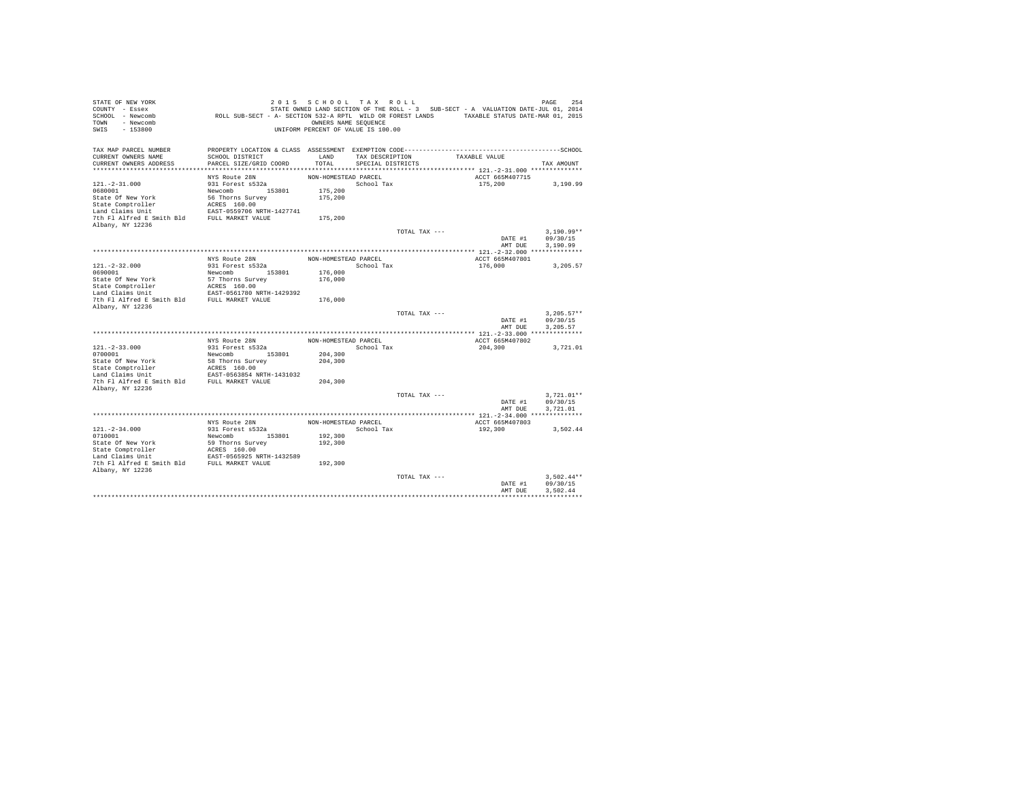| STATE OF NEW YORK<br>COUNTY - Essex<br>SCHOOL - Newcomb<br>- Newcomb<br>TOWN<br>$-153800$<br>SWIS | ROLL SUB-SECT - A- SECTION 532-A RPTL WILD OR FOREST LANDS TAXABLE STATUS DATE-MAR 01, 2015                     | 2015 SCHOOL TAX ROLL<br>OWNERS NAME SEQUENCE<br>UNIFORM PERCENT OF VALUE IS 100.00 |                   |               | STATE OWNED LAND SECTION OF THE ROLL - 3 SUB-SECT - A VALUATION DATE-JUL 01, 2014 | 254<br>PAGE  |
|---------------------------------------------------------------------------------------------------|-----------------------------------------------------------------------------------------------------------------|------------------------------------------------------------------------------------|-------------------|---------------|-----------------------------------------------------------------------------------|--------------|
| TAX MAP PARCEL NUMBER<br>CURRENT OWNERS NAME                                                      | PROPERTY LOCATION & CLASS ASSESSMENT EXEMPTION CODE-----------------------------------SCHOOL<br>SCHOOL DISTRICT | LAND                                                                               | TAX DESCRIPTION   |               | TAXABLE VALUE                                                                     |              |
| CURRENT OWNERS ADDRESS                                                                            | PARCEL SIZE/GRID COORD                                                                                          | TOTAL                                                                              | SPECIAL DISTRICTS |               |                                                                                   | TAX AMOUNT   |
|                                                                                                   |                                                                                                                 |                                                                                    |                   |               |                                                                                   |              |
|                                                                                                   | NYS Route 28N                                                                                                   | NON-HOMESTEAD PARCEL                                                               |                   |               | ACCT 665M407715                                                                   |              |
| $121. - 2 - 31.000$                                                                               | 931 Forest s532a                                                                                                |                                                                                    | School Tax        |               | 175,200                                                                           | 3,190.99     |
| 0680001                                                                                           | Newcomb 153801                                                                                                  | 175,200                                                                            |                   |               |                                                                                   |              |
| State Of New York                                                                                 | 56 Thorns Survey                                                                                                | 175,200                                                                            |                   |               |                                                                                   |              |
| State Comptroller                                                                                 | ACRES 160.00                                                                                                    |                                                                                    |                   |               |                                                                                   |              |
| Land Claims Unit<br>7th Fl Alfred E Smith Bld                                                     | EAST-0559706 NRTH-1427741<br>FULL MARKET VALUE                                                                  |                                                                                    |                   |               |                                                                                   |              |
| Albany, NY 12236                                                                                  |                                                                                                                 | 175,200                                                                            |                   |               |                                                                                   |              |
|                                                                                                   |                                                                                                                 |                                                                                    |                   | TOTAL TAX --- |                                                                                   | $3.190.99**$ |
|                                                                                                   |                                                                                                                 |                                                                                    |                   |               | DATE #1                                                                           | 09/30/15     |
|                                                                                                   |                                                                                                                 |                                                                                    |                   |               | AMT DUE                                                                           | 3,190.99     |
|                                                                                                   |                                                                                                                 |                                                                                    |                   |               |                                                                                   |              |
|                                                                                                   | NYS Route 28N                                                                                                   | NON-HOMESTEAD PARCEL                                                               |                   |               | ACCT 665M407801                                                                   |              |
| $121. - 2 - 32.000$                                                                               | 931 Forest s532a                                                                                                |                                                                                    | School Tax        |               | 176,000                                                                           | 3.205.57     |
| 0690001                                                                                           | Newcomb<br>153801                                                                                               | 176,000                                                                            |                   |               |                                                                                   |              |
| State Of New York<br>State Comptroller                                                            | 57 Thorns Survey<br>ACRES 160.00                                                                                | 176,000                                                                            |                   |               |                                                                                   |              |
| Land Claims Unit                                                                                  | EAST-0561780 NRTH-1429392                                                                                       |                                                                                    |                   |               |                                                                                   |              |
| 7th Fl Alfred E Smith Bld                                                                         | FULL MARKET VALUE                                                                                               | 176,000                                                                            |                   |               |                                                                                   |              |
| Albany, NY 12236                                                                                  |                                                                                                                 |                                                                                    |                   |               |                                                                                   |              |
|                                                                                                   |                                                                                                                 |                                                                                    |                   | TOTAL TAX --- |                                                                                   | $3.205.57**$ |
|                                                                                                   |                                                                                                                 |                                                                                    |                   |               | DATE #1                                                                           | 09/30/15     |
|                                                                                                   |                                                                                                                 |                                                                                    |                   |               | AMT DUE                                                                           | 3.205.57     |
|                                                                                                   | NYS Route 28N                                                                                                   | NON-HOMESTEAD PARCEL                                                               |                   |               | ACCT 665M407802                                                                   |              |
| $121. -2 - 33.000$                                                                                | 931 Forest s532a                                                                                                |                                                                                    | School Tax        |               | 204,300                                                                           | 3,721.01     |
| 0700001                                                                                           | 153801<br>Newcomb                                                                                               | 204,300                                                                            |                   |               |                                                                                   |              |
| State Of New York                                                                                 | 58 Thorns Survey                                                                                                | 204,300                                                                            |                   |               |                                                                                   |              |
| State Comptroller                                                                                 | ACRES 160.00                                                                                                    |                                                                                    |                   |               |                                                                                   |              |
| Land Claims Unit                                                                                  | EAST-0563854 NRTH-1431032                                                                                       |                                                                                    |                   |               |                                                                                   |              |
| 7th Fl Alfred E Smith Bld                                                                         | FULL MARKET VALUE                                                                                               | 204,300                                                                            |                   |               |                                                                                   |              |
| Albany, NY 12236                                                                                  |                                                                                                                 |                                                                                    |                   | TOTAL TAX --- |                                                                                   | $3.721.01**$ |
|                                                                                                   |                                                                                                                 |                                                                                    |                   |               | DATE #1                                                                           | 09/30/15     |
|                                                                                                   |                                                                                                                 |                                                                                    |                   |               | AMT DUE                                                                           | 3.721.01     |
|                                                                                                   |                                                                                                                 |                                                                                    |                   |               |                                                                                   |              |
|                                                                                                   | NYS Route 28N                                                                                                   | NON-HOMESTEAD PARCEL                                                               |                   |               | ACCT 665M407803                                                                   |              |
| $121. - 2 - 34.000$                                                                               | 931 Forest s532a                                                                                                |                                                                                    | School Tax        |               | 192,300                                                                           | 3.502.44     |
| 0710001                                                                                           | Newcomb 153801                                                                                                  | 192,300                                                                            |                   |               |                                                                                   |              |
| State Of New York                                                                                 | 59 Thorns Survey                                                                                                | 192,300                                                                            |                   |               |                                                                                   |              |
| State Comptroller<br>Land Claims Unit                                                             | ACRES 160.00<br>EAST-0565925 NRTH-1432589                                                                       |                                                                                    |                   |               |                                                                                   |              |
| 7th Fl Alfred E Smith Bld FULL MARKET VALUE                                                       |                                                                                                                 | 192,300                                                                            |                   |               |                                                                                   |              |
| Albany, NY 12236                                                                                  |                                                                                                                 |                                                                                    |                   |               |                                                                                   |              |
|                                                                                                   |                                                                                                                 |                                                                                    |                   | TOTAL TAX --- |                                                                                   | $3.502.44**$ |
|                                                                                                   |                                                                                                                 |                                                                                    |                   |               | DATE #1                                                                           | 09/30/15     |
|                                                                                                   |                                                                                                                 |                                                                                    |                   |               | AMT DUE                                                                           | 3.502.44     |
|                                                                                                   |                                                                                                                 |                                                                                    |                   |               |                                                                                   |              |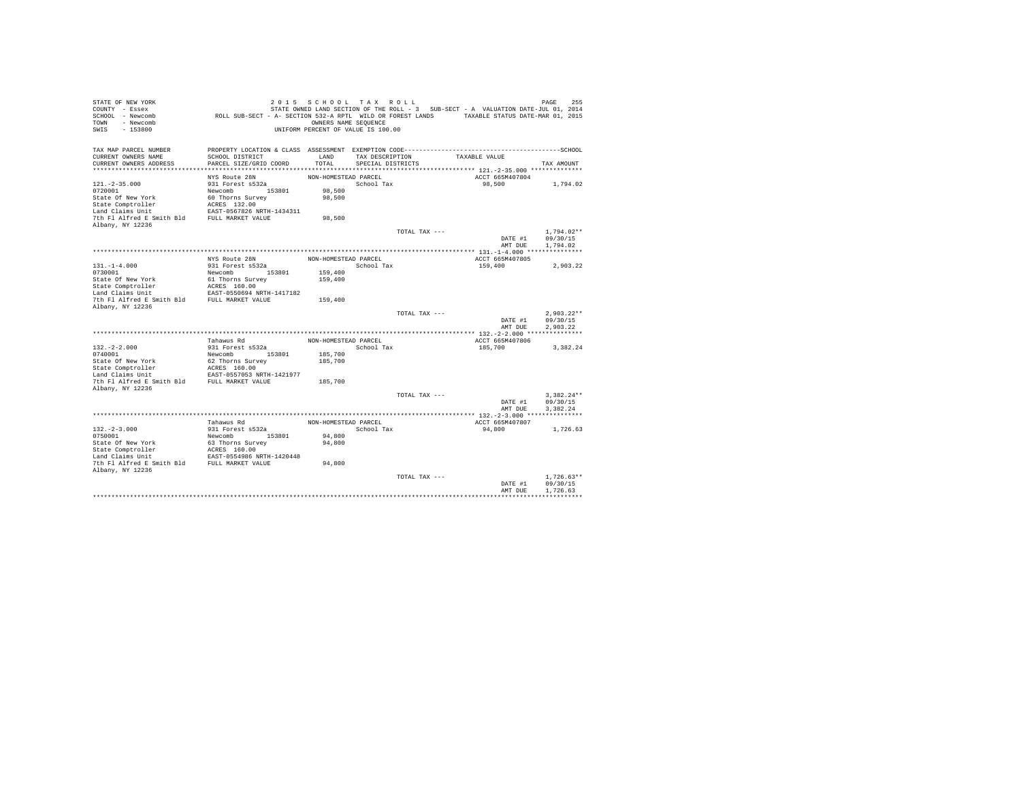| STATE OF NEW YORK<br>COUNTY - Essex<br>SCHOOL - Newcomb<br>- Newcomb<br>TOWN<br>$-153800$<br>SWIS | ROLL SUB-SECT - A- SECTION 532-A RPTL WILD OR FOREST LANDS TAXABLE STATUS DATE-MAR 01, 2015 | OWNERS NAME SEQUENCE | 2015 SCHOOL TAX ROLL<br>UNIFORM PERCENT OF VALUE IS 100.00 |               | STATE OWNED LAND SECTION OF THE ROLL - 3 SUB-SECT - A VALUATION DATE-JUL 01, 2014 | 255<br>PAGE  |
|---------------------------------------------------------------------------------------------------|---------------------------------------------------------------------------------------------|----------------------|------------------------------------------------------------|---------------|-----------------------------------------------------------------------------------|--------------|
| TAX MAP PARCEL NUMBER<br>CURRENT OWNERS NAME                                                      | SCHOOL DISTRICT                                                                             | LAND                 | TAX DESCRIPTION                                            |               | TAXABLE VALUE                                                                     |              |
| CURRENT OWNERS ADDRESS                                                                            | PARCEL SIZE/GRID COORD                                                                      | TOTAL                | SPECIAL DISTRICTS                                          |               |                                                                                   | TAX AMOUNT   |
|                                                                                                   |                                                                                             |                      |                                                            |               |                                                                                   |              |
|                                                                                                   | NYS Route 28N                                                                               | NON-HOMESTEAD PARCEL |                                                            |               | ACCT 665M407804                                                                   |              |
| $121. -2 - 35.000$                                                                                | 931 Forest s532a                                                                            |                      | School Tax                                                 |               | 98,500                                                                            | 1,794.02     |
| 0720001                                                                                           | Newcomb 153801                                                                              | 98,500               |                                                            |               |                                                                                   |              |
| State Of New York                                                                                 | 60 Thorns Survey                                                                            | 98,500               |                                                            |               |                                                                                   |              |
| State Comptroller<br>Land Claims Unit                                                             | ACRES 132.00<br>EAST-0567826 NRTH-1434311                                                   |                      |                                                            |               |                                                                                   |              |
| 7th Fl Alfred E Smith Bld                                                                         | FULL MARKET VALUE                                                                           | 98,500               |                                                            |               |                                                                                   |              |
| Albany, NY 12236                                                                                  |                                                                                             |                      |                                                            |               |                                                                                   |              |
|                                                                                                   |                                                                                             |                      |                                                            | TOTAL TAX --- |                                                                                   | $1.794.02**$ |
|                                                                                                   |                                                                                             |                      |                                                            |               | DATE #1                                                                           | 09/30/15     |
|                                                                                                   |                                                                                             |                      |                                                            |               | AMT DUE                                                                           | 1,794.02     |
|                                                                                                   |                                                                                             |                      |                                                            |               |                                                                                   |              |
| $131. -1 - 4.000$                                                                                 | NYS Route 28N<br>931 Forest s532a                                                           | NON-HOMESTEAD PARCEL | School Tax                                                 |               | ACCT 665M407805<br>159,400                                                        | 2.903.22     |
| 0730001                                                                                           | Newcomb<br>153801                                                                           | 159,400              |                                                            |               |                                                                                   |              |
| State Of New York                                                                                 | 61 Thorns Survey                                                                            | 159,400              |                                                            |               |                                                                                   |              |
| State Comptroller                                                                                 | ACRES 160.00                                                                                |                      |                                                            |               |                                                                                   |              |
| Land Claims Unit                                                                                  | EAST-0550694 NRTH-1417182                                                                   |                      |                                                            |               |                                                                                   |              |
| 7th Fl Alfred E Smith Bld                                                                         | FULL MARKET VALUE                                                                           | 159,400              |                                                            |               |                                                                                   |              |
| Albany, NY 12236                                                                                  |                                                                                             |                      |                                                            | TOTAL TAX --- |                                                                                   | $2.903.22**$ |
|                                                                                                   |                                                                                             |                      |                                                            |               | DATE #1                                                                           | 09/30/15     |
|                                                                                                   |                                                                                             |                      |                                                            |               | AMT DUE                                                                           | 2.903.22     |
|                                                                                                   |                                                                                             |                      |                                                            |               |                                                                                   |              |
|                                                                                                   | Tahawus Rd                                                                                  | NON-HOMESTEAD PARCEL |                                                            |               | ACCT 665M407806                                                                   |              |
| $132. -2 - 2.000$                                                                                 | 931 Forest s532a                                                                            |                      | School Tax                                                 |               | 185,700                                                                           | 3,382.24     |
| 0740001                                                                                           | 153801<br>Newcomb                                                                           | 185,700              |                                                            |               |                                                                                   |              |
| State Of New York<br>State Comptroller                                                            | 62 Thorns Survey<br>ACRES 160.00                                                            | 185,700              |                                                            |               |                                                                                   |              |
| Land Claims Unit                                                                                  | EAST-0557053 NRTH-1421977                                                                   |                      |                                                            |               |                                                                                   |              |
| 7th Fl Alfred E Smith Bld                                                                         | FULL MARKET VALUE                                                                           | 185,700              |                                                            |               |                                                                                   |              |
| Albany, NY 12236                                                                                  |                                                                                             |                      |                                                            |               |                                                                                   |              |
|                                                                                                   |                                                                                             |                      |                                                            | TOTAL TAX --- |                                                                                   | $3.382.24**$ |
|                                                                                                   |                                                                                             |                      |                                                            |               | DATE #1                                                                           | 09/30/15     |
|                                                                                                   |                                                                                             |                      |                                                            |               | AMT DUE                                                                           | 3.382.24     |
|                                                                                                   | Tahawus Rd                                                                                  | NON-HOMESTEAD PARCEL |                                                            |               | ACCT 665M407807                                                                   |              |
| $132. -2 - 3.000$                                                                                 | 931 Forest s532a                                                                            |                      | School Tax                                                 |               | 94,800                                                                            | 1.726.63     |
| 0750001                                                                                           | Newcomb 153801                                                                              | 94,800               |                                                            |               |                                                                                   |              |
| State Of New York                                                                                 | 63 Thorns Survey                                                                            | 94,800               |                                                            |               |                                                                                   |              |
| State Comptroller                                                                                 | ACRES 160.00                                                                                |                      |                                                            |               |                                                                                   |              |
| Land Claims Unit                                                                                  | EAST-0554986 NRTH-1420448                                                                   |                      |                                                            |               |                                                                                   |              |
| 7th Fl Alfred E Smith Bld FULL MARKET VALUE<br>Albany, NY 12236                                   |                                                                                             | 94,800               |                                                            |               |                                                                                   |              |
|                                                                                                   |                                                                                             |                      |                                                            | TOTAL TAX --- |                                                                                   | $1.726.63**$ |
|                                                                                                   |                                                                                             |                      |                                                            |               | DATE #1                                                                           | 09/30/15     |
|                                                                                                   |                                                                                             |                      |                                                            |               | AMT DUE                                                                           | 1.726.63     |
|                                                                                                   |                                                                                             |                      |                                                            |               |                                                                                   |              |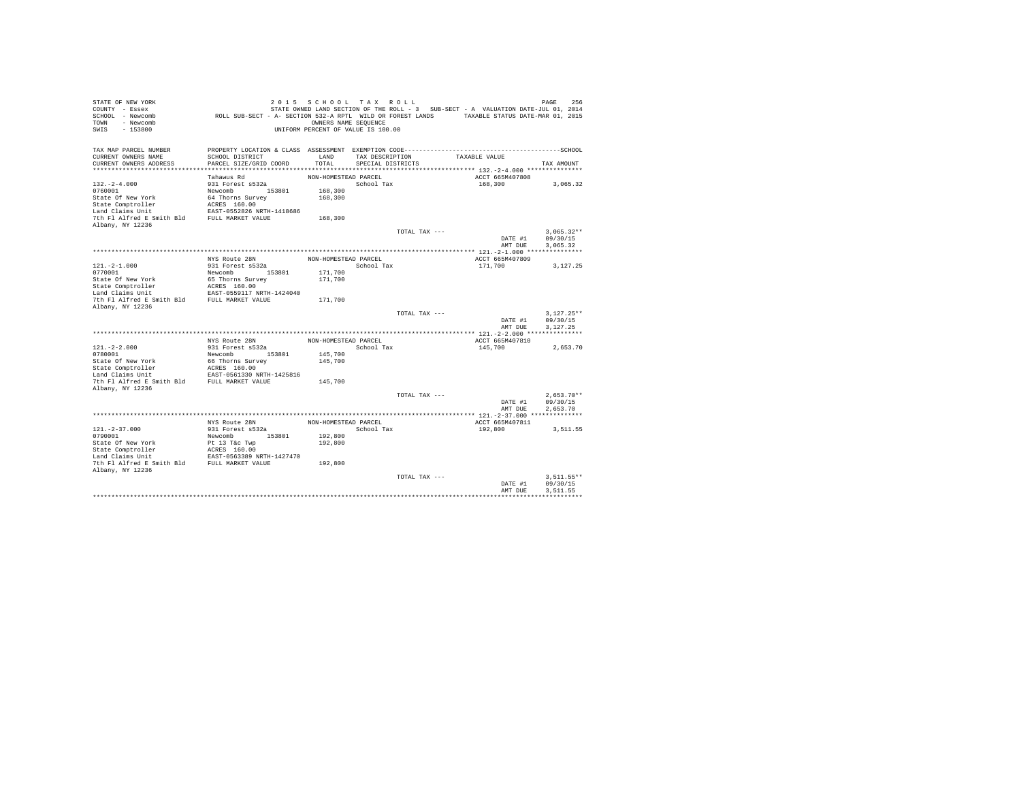| STATE OF NEW YORK<br>COUNTY - Essex<br>SCHOOL - Newcomb<br>- Newcomb<br>TOWN<br>$-153800$<br>SWIS | ROLL SUB-SECT - A- SECTION 532-A RPTL WILD OR FOREST LANDS TAXABLE STATUS DATE-MAR 01, 2015 | OWNERS NAME SEQUENCE | 2015 SCHOOL TAX ROLL<br>UNIFORM PERCENT OF VALUE IS 100.00 |               | STATE OWNED LAND SECTION OF THE ROLL - 3 SUB-SECT - A VALUATION DATE-JUL 01, 2014 | 256<br>PAGE  |
|---------------------------------------------------------------------------------------------------|---------------------------------------------------------------------------------------------|----------------------|------------------------------------------------------------|---------------|-----------------------------------------------------------------------------------|--------------|
| TAX MAP PARCEL NUMBER<br>CURRENT OWNERS NAME                                                      | SCHOOL DISTRICT                                                                             | LAND                 | TAX DESCRIPTION                                            |               | TAXABLE VALUE                                                                     |              |
| CURRENT OWNERS ADDRESS                                                                            | PARCEL SIZE/GRID COORD                                                                      | TOTAL                | SPECIAL DISTRICTS                                          |               |                                                                                   | TAX AMOUNT   |
|                                                                                                   |                                                                                             |                      |                                                            |               |                                                                                   |              |
|                                                                                                   | Tahawus Rd                                                                                  | NON-HOMESTEAD PARCEL |                                                            |               | ACCT 665M407808                                                                   |              |
| $132. - 2 - 4.000$                                                                                | 931 Forest s532a                                                                            |                      | School Tax                                                 |               | 168,300                                                                           | 3,065.32     |
| 0760001<br>State Of New York                                                                      | Newcomb 153801<br>64 Thorns Survey                                                          | 168,300<br>168,300   |                                                            |               |                                                                                   |              |
| State Comptroller                                                                                 | ACRES 160.00                                                                                |                      |                                                            |               |                                                                                   |              |
| Land Claims Unit                                                                                  | EAST-0552826 NRTH-1418686                                                                   |                      |                                                            |               |                                                                                   |              |
| 7th Fl Alfred E Smith Bld                                                                         | FULL MARKET VALUE                                                                           | 168,300              |                                                            |               |                                                                                   |              |
| Albany, NY 12236                                                                                  |                                                                                             |                      |                                                            |               |                                                                                   |              |
|                                                                                                   |                                                                                             |                      |                                                            | TOTAL TAX --- |                                                                                   | $3.065.32**$ |
|                                                                                                   |                                                                                             |                      |                                                            |               | DATE #1                                                                           | 09/30/15     |
|                                                                                                   |                                                                                             |                      |                                                            |               | AMT DUE                                                                           | 3,065.32     |
|                                                                                                   | NYS Route 28N                                                                               | NON-HOMESTEAD PARCEL |                                                            |               | ACCT 665M407809                                                                   |              |
| $121. -2 - 1.000$                                                                                 | 931 Forest s532a                                                                            |                      | School Tax                                                 |               | 171,700                                                                           | 3.127.25     |
| 0770001                                                                                           | Newcomb<br>153801                                                                           | 171,700              |                                                            |               |                                                                                   |              |
| State Of New York                                                                                 | 65 Thorns Survey                                                                            | 171,700              |                                                            |               |                                                                                   |              |
| State Comptroller                                                                                 | ACRES 160.00                                                                                |                      |                                                            |               |                                                                                   |              |
| Land Claims Unit                                                                                  | EAST-0559117 NRTH-1424040                                                                   |                      |                                                            |               |                                                                                   |              |
| 7th Fl Alfred E Smith Bld                                                                         | FULL MARKET VALUE                                                                           | 171,700              |                                                            |               |                                                                                   |              |
| Albany, NY 12236                                                                                  |                                                                                             |                      |                                                            | TOTAL TAX --- |                                                                                   | $3.127.25**$ |
|                                                                                                   |                                                                                             |                      |                                                            |               | DATE #1                                                                           | 09/30/15     |
|                                                                                                   |                                                                                             |                      |                                                            |               | AMT DUE                                                                           | 3.127.25     |
|                                                                                                   |                                                                                             |                      |                                                            |               |                                                                                   |              |
|                                                                                                   | NYS Route 28N                                                                               | NON-HOMESTEAD PARCEL |                                                            |               | ACCT 665M407810                                                                   |              |
| $121. -2 - 2.000$                                                                                 | 931 Forest s532a                                                                            |                      | School Tax                                                 |               | 145,700                                                                           | 2,653.70     |
| 0780001                                                                                           | Newcomb<br>153801                                                                           | 145,700              |                                                            |               |                                                                                   |              |
| State Of New York<br>State Comptroller                                                            | 66 Thorns Survey<br>ACRES 160.00                                                            | 145,700              |                                                            |               |                                                                                   |              |
| Land Claims Unit                                                                                  | EAST-0561330 NRTH-1425816                                                                   |                      |                                                            |               |                                                                                   |              |
| 7th Fl Alfred E Smith Bld                                                                         | FULL MARKET VALUE                                                                           | 145,700              |                                                            |               |                                                                                   |              |
| Albany, NY 12236                                                                                  |                                                                                             |                      |                                                            |               |                                                                                   |              |
|                                                                                                   |                                                                                             |                      |                                                            | TOTAL TAX --- |                                                                                   | $2.653.70**$ |
|                                                                                                   |                                                                                             |                      |                                                            |               | DATE #1                                                                           | 09/30/15     |
|                                                                                                   |                                                                                             |                      |                                                            |               | AMT DUE                                                                           | 2.653.70     |
|                                                                                                   | NYS Route 28N                                                                               | NON-HOMESTEAD PARCEL |                                                            |               | ACCT 665M407811                                                                   |              |
| $121. - 2 - 37.000$                                                                               | 931 Forest s532a                                                                            |                      | School Tax                                                 |               | 192,800                                                                           | 3,511.55     |
| 0790001                                                                                           | 153801<br>Newcomb                                                                           | 192,800              |                                                            |               |                                                                                   |              |
| State Of New York                                                                                 | Pt 13 T&c Twp                                                                               | 192,800              |                                                            |               |                                                                                   |              |
| State Comptroller                                                                                 | ACRES 160.00                                                                                |                      |                                                            |               |                                                                                   |              |
| Land Claims Unit                                                                                  | EAST-0563389 NRTH-1427470                                                                   |                      |                                                            |               |                                                                                   |              |
| 7th Fl Alfred E Smith Bld FULL MARKET VALUE<br>Albany, NY 12236                                   |                                                                                             | 192,800              |                                                            |               |                                                                                   |              |
|                                                                                                   |                                                                                             |                      |                                                            | TOTAL TAX --- |                                                                                   | $3.511.55**$ |
|                                                                                                   |                                                                                             |                      |                                                            |               | DATE #1                                                                           | 09/30/15     |
|                                                                                                   |                                                                                             |                      |                                                            |               | AMT DUE                                                                           | 3.511.55     |
|                                                                                                   |                                                                                             |                      |                                                            |               |                                                                                   |              |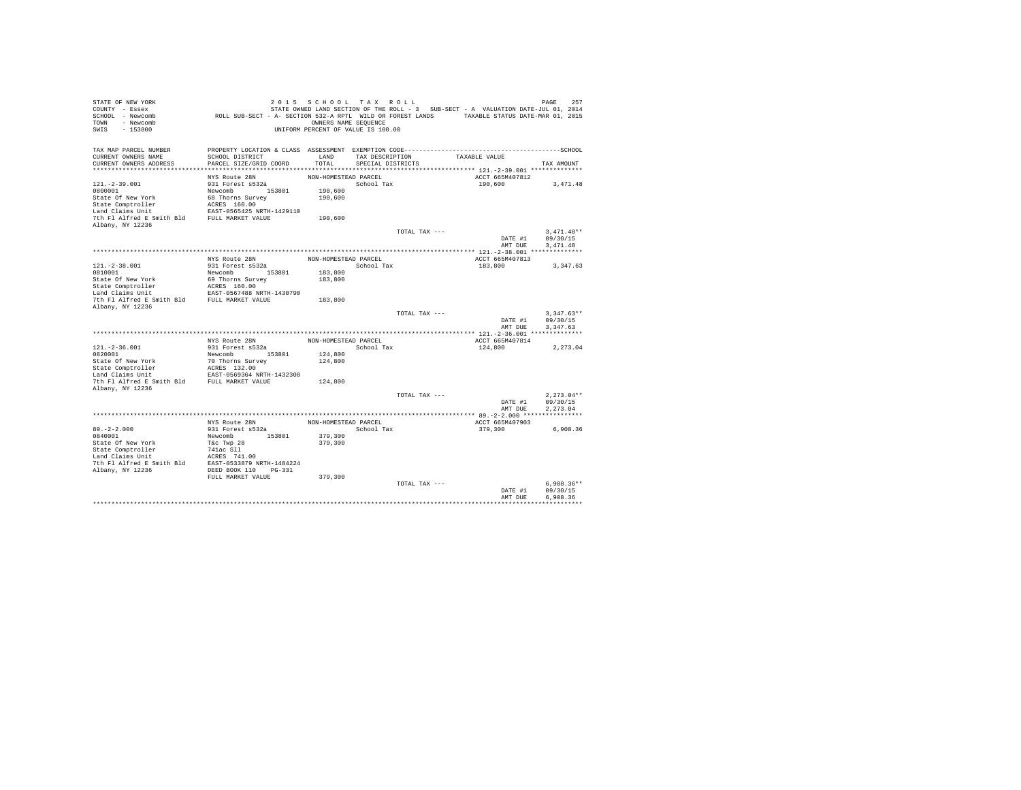| STATE OF NEW YORK         |                                                                                             | 2015 SCHOOL TAX ROLL               |                   |               |                                                                                   | 257<br>PAGE  |
|---------------------------|---------------------------------------------------------------------------------------------|------------------------------------|-------------------|---------------|-----------------------------------------------------------------------------------|--------------|
| COUNTY - Essex            |                                                                                             |                                    |                   |               | STATE OWNED LAND SECTION OF THE ROLL - 3 SUB-SECT - A VALUATION DATE-JUL 01, 2014 |              |
| SCHOOL - Newcomb          | ROLL SUB-SECT - A- SECTION 532-A RPTL WILD OR FOREST LANDS TAXABLE STATUS DATE-MAR 01, 2015 |                                    |                   |               |                                                                                   |              |
| - Newcomb<br>TOWN         |                                                                                             | OWNERS NAME SEQUENCE               |                   |               |                                                                                   |              |
| SWIS<br>$-153800$         |                                                                                             | UNIFORM PERCENT OF VALUE IS 100.00 |                   |               |                                                                                   |              |
|                           |                                                                                             |                                    |                   |               |                                                                                   |              |
|                           |                                                                                             |                                    |                   |               |                                                                                   |              |
| TAX MAP PARCEL NUMBER     |                                                                                             |                                    |                   |               |                                                                                   |              |
| CURRENT OWNERS NAME       | SCHOOL DISTRICT                                                                             | LAND                               | TAX DESCRIPTION   |               | TAXABLE VALUE                                                                     |              |
| CURRENT OWNERS ADDRESS    | PARCEL SIZE/GRID COORD                                                                      | TOTAL                              | SPECIAL DISTRICTS |               |                                                                                   | TAX AMOUNT   |
|                           |                                                                                             |                                    |                   |               |                                                                                   |              |
|                           | NYS Route 28N                                                                               | NON-HOMESTEAD PARCEL               |                   |               | ACCT 665M407812                                                                   |              |
| $121. -2 - 39.001$        | 931 Forest s532a                                                                            |                                    | School Tax        |               | 190,600                                                                           | 3.471.48     |
| 0800001                   | Newcomb 153801                                                                              | 190,600                            |                   |               |                                                                                   |              |
| State Of New York         | 68 Thorns Survey                                                                            | 190,600                            |                   |               |                                                                                   |              |
| State Comptroller         | ACRES 160.00                                                                                |                                    |                   |               |                                                                                   |              |
| Land Claims Unit          | EAST-0565425 NRTH-1429110                                                                   |                                    |                   |               |                                                                                   |              |
| 7th Fl Alfred E Smith Bld | FULL MARKET VALUE                                                                           | 190,600                            |                   |               |                                                                                   |              |
| Albany, NY 12236          |                                                                                             |                                    |                   |               |                                                                                   |              |
|                           |                                                                                             |                                    |                   | TOTAL TAX --- |                                                                                   | $3.471.48**$ |
|                           |                                                                                             |                                    |                   |               | DATE #1                                                                           | 09/30/15     |
|                           |                                                                                             |                                    |                   |               | AMT DUE                                                                           | 3.471.48     |
|                           |                                                                                             |                                    |                   |               |                                                                                   |              |
|                           | NYS Route 28N                                                                               | NON-HOMESTEAD PARCEL               |                   |               | ACCT 665M407813                                                                   |              |
| $121.-2-38.001$           | 931 Forest s532a                                                                            |                                    | School Tax        |               | 183,800                                                                           | 3,347.63     |
| 0810001                   | Newcomb<br>153801                                                                           | 183,800                            |                   |               |                                                                                   |              |
| State Of New York         | 69 Thorns Survey                                                                            | 183,800                            |                   |               |                                                                                   |              |
| State Comptroller         | ACRES 160.00                                                                                |                                    |                   |               |                                                                                   |              |
| Land Claims Unit          | EAST-0567488 NRTH-1430790                                                                   |                                    |                   |               |                                                                                   |              |
| 7th Fl Alfred E Smith Bld | FULL MARKET VALUE                                                                           | 183,800                            |                   |               |                                                                                   |              |
| Albany, NY 12236          |                                                                                             |                                    |                   |               |                                                                                   |              |
|                           |                                                                                             |                                    |                   | TOTAL TAX --- |                                                                                   | $3.347.63**$ |
|                           |                                                                                             |                                    |                   |               | DATE #1                                                                           | 09/30/15     |
|                           |                                                                                             |                                    |                   |               | AMT DUE                                                                           | 3.347.63     |
|                           |                                                                                             |                                    |                   |               |                                                                                   |              |
|                           | NYS Route 28N                                                                               | NON-HOMESTEAD PARCEL               |                   |               | ACCT 665M407814                                                                   |              |
| $121. - 2 - 36.001$       | 931 Forest s532a                                                                            |                                    | School Tax        |               | 124,800                                                                           | 2.273.04     |
| 0820001                   | Newcomb 153801                                                                              | 124,800                            |                   |               |                                                                                   |              |
| State Of New York         | 70 Thorns Survey                                                                            | 124,800                            |                   |               |                                                                                   |              |
| State Comptroller         | ACRES 132.00                                                                                |                                    |                   |               |                                                                                   |              |
| Land Claims Unit          | EAST-0569364 NRTH-1432308                                                                   |                                    |                   |               |                                                                                   |              |
| 7th Fl Alfred E Smith Bld | FULL MARKET VALUE                                                                           | 124,800                            |                   |               |                                                                                   |              |
| Albany, NY 12236          |                                                                                             |                                    |                   |               |                                                                                   |              |
|                           |                                                                                             |                                    |                   | TOTAL TAX --- |                                                                                   | $2,273.04**$ |
|                           |                                                                                             |                                    |                   |               | DATE #1                                                                           | 09/30/15     |
|                           |                                                                                             |                                    |                   |               | AMT DUE                                                                           | 2,273.04     |
|                           |                                                                                             |                                    |                   |               |                                                                                   |              |
|                           | NYS Route 28N                                                                               | NON-HOMESTEAD PARCEL               |                   |               | ACCT 665M407903                                                                   |              |
| $89. -2 - 2.000$          | 931 Forest s532a                                                                            |                                    | School Tax        |               | 379,300                                                                           | 6,908.36     |
| 0840001                   | 153801<br>Newcomb                                                                           | 379,300                            |                   |               |                                                                                   |              |
| State Of New York         | T&c Twp 28                                                                                  | 379,300                            |                   |               |                                                                                   |              |
| State Comptroller         | 741ac S11                                                                                   |                                    |                   |               |                                                                                   |              |
| Land Claims Unit          | ACRES 741.00                                                                                |                                    |                   |               |                                                                                   |              |
| 7th Fl Alfred E Smith Bld | EAST-0533879 NRTH-1484224                                                                   |                                    |                   |               |                                                                                   |              |
| Albany, NY 12236          | DEED BOOK 110<br>$PG-331$                                                                   |                                    |                   |               |                                                                                   |              |
|                           | FULL MARKET VALUE                                                                           | 379,300                            |                   |               |                                                                                   |              |
|                           |                                                                                             |                                    |                   | TOTAL TAX --- |                                                                                   | $6.908.36**$ |
|                           |                                                                                             |                                    |                   |               | DATE #1                                                                           | 09/30/15     |
|                           |                                                                                             |                                    |                   |               | AMT DUE                                                                           | 6.908.36     |
|                           |                                                                                             |                                    |                   |               |                                                                                   |              |
|                           |                                                                                             |                                    |                   |               |                                                                                   |              |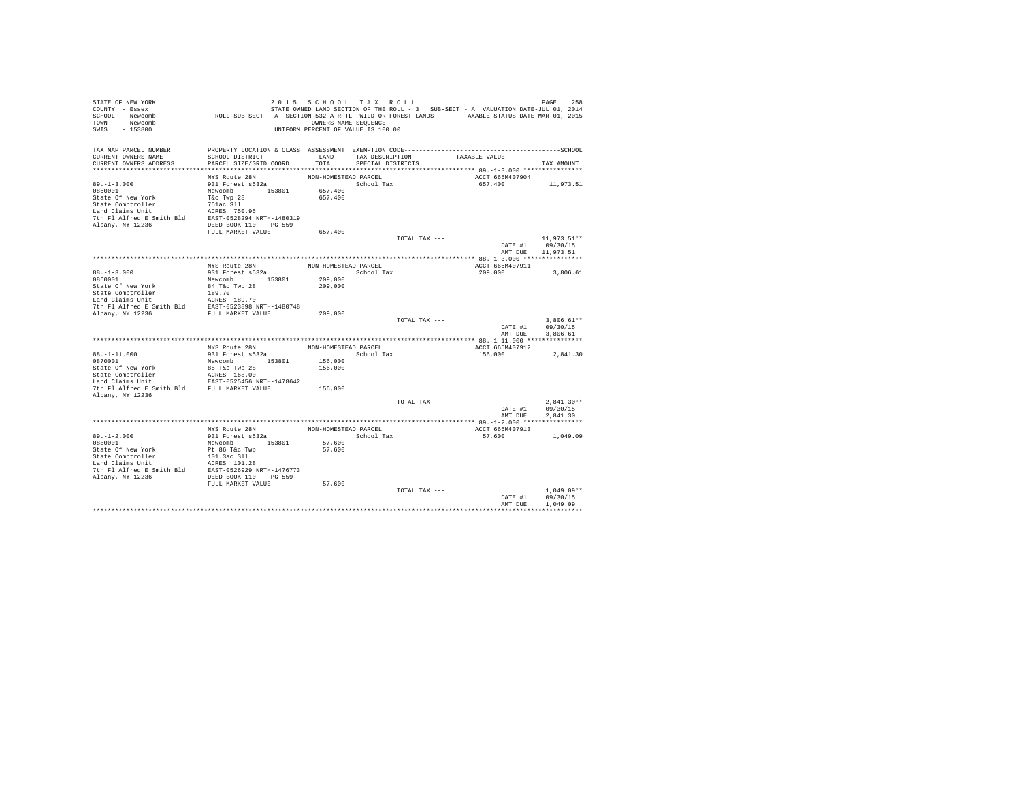| STATE OF NEW YORK<br>COUNTY - Essex<br>SCHOOL - Newcomb<br>- Newcomb<br>TOWN<br>$-153800$<br>SWIS | ROLL SUB-SECT - A- SECTION 532-A RPTL WILD OR FOREST LANDS TAXABLE STATUS DATE-MAR 01, 2015 | 2015 SCHOOL TAX ROLL<br>OWNERS NAME SEQUENCE<br>UNIFORM PERCENT OF VALUE IS 100.00 |                   |               | STATE OWNED LAND SECTION OF THE ROLL - 3 SUB-SECT - A VALUATION DATE-JUL 01, 2014 | PAGE<br>258             |
|---------------------------------------------------------------------------------------------------|---------------------------------------------------------------------------------------------|------------------------------------------------------------------------------------|-------------------|---------------|-----------------------------------------------------------------------------------|-------------------------|
| TAX MAP PARCEL NUMBER                                                                             |                                                                                             |                                                                                    |                   |               |                                                                                   |                         |
| CURRENT OWNERS NAME                                                                               | SCHOOL DISTRICT                                                                             | LAND                                                                               | TAX DESCRIPTION   |               | TAXABLE VALUE                                                                     |                         |
| CURRENT OWNERS ADDRESS                                                                            | PARCEL SIZE/GRID COORD                                                                      | TOTAL                                                                              | SPECIAL DISTRICTS |               |                                                                                   | TAX AMOUNT              |
|                                                                                                   | NYS Route 28N                                                                               | NON-HOMESTEAD PARCEL                                                               |                   |               | ACCT 665M407904                                                                   |                         |
| $89. -1 - 3.000$                                                                                  | 931 Forest s532a                                                                            |                                                                                    | School Tax        |               | 657,400                                                                           | 11,973.51               |
| 0850001                                                                                           | Newcomb 153801                                                                              | 657,400                                                                            |                   |               |                                                                                   |                         |
| State Of New York                                                                                 | T&c Twp 28                                                                                  | 657,400                                                                            |                   |               |                                                                                   |                         |
| State Comptroller                                                                                 | 751ac Sll                                                                                   |                                                                                    |                   |               |                                                                                   |                         |
| Land Claims Unit                                                                                  | ACRES 750.95                                                                                |                                                                                    |                   |               |                                                                                   |                         |
| 7th Fl Alfred E Smith Bld                                                                         | EAST-0528294 NRTH-1480319                                                                   |                                                                                    |                   |               |                                                                                   |                         |
| Albany, NY 12236                                                                                  | DEED BOOK 110 PG-559                                                                        |                                                                                    |                   |               |                                                                                   |                         |
|                                                                                                   | FULL MARKET VALUE                                                                           | 657,400                                                                            |                   | TOTAL TAX --- |                                                                                   |                         |
|                                                                                                   |                                                                                             |                                                                                    |                   |               | DATE #1                                                                           | 11,973.51**<br>09/30/15 |
|                                                                                                   |                                                                                             |                                                                                    |                   |               | AMT DUE                                                                           | 11,973.51               |
|                                                                                                   |                                                                                             |                                                                                    |                   |               |                                                                                   |                         |
|                                                                                                   | NYS Route 28N                                                                               | NON-HOMESTEAD PARCEL                                                               |                   |               | ACCT 665M407911                                                                   |                         |
| $88. - 1 - 3.000$                                                                                 | 931 Forest s532a                                                                            |                                                                                    | School Tax        |               | 209,000                                                                           | 3,806.61                |
| 0860001                                                                                           | Newcomb 153801                                                                              | 209,000                                                                            |                   |               |                                                                                   |                         |
| State Of New York                                                                                 | 84 T&c Twp 28                                                                               | 209,000                                                                            |                   |               |                                                                                   |                         |
| State Comptroller                                                                                 | 189.70                                                                                      |                                                                                    |                   |               |                                                                                   |                         |
| Land Claims Unit                                                                                  | ACRES 189.70                                                                                |                                                                                    |                   |               |                                                                                   |                         |
| The F1 Alfred E Smith Bld<br>The F1 Alfred E Smith Bld<br>FULL MARKET VALUE<br>FULL MARKET VALUE  |                                                                                             | 209,000                                                                            |                   |               |                                                                                   |                         |
|                                                                                                   |                                                                                             |                                                                                    |                   | TOTAL TAX --- |                                                                                   | $3.806.61**$            |
|                                                                                                   |                                                                                             |                                                                                    |                   |               | DATE #1                                                                           | 09/30/15                |
|                                                                                                   |                                                                                             |                                                                                    |                   |               | AMT DUE                                                                           | 3,806.61                |
|                                                                                                   |                                                                                             |                                                                                    |                   |               |                                                                                   |                         |
|                                                                                                   | NYS Route 28N                                                                               | NON-HOMESTEAD PARCEL                                                               |                   |               | ACCT 665M407912                                                                   |                         |
| $88. -1 - 11.000$                                                                                 | 931 Forest s532a                                                                            |                                                                                    | School Tax        |               | 156,000                                                                           | 2,841.30                |
| 0870001<br>State Of New York                                                                      | Newcomb 153801<br>85 T&c Twp 28                                                             | 156,000<br>156,000                                                                 |                   |               |                                                                                   |                         |
| State Comptroller                                                                                 | ACRES 168.00                                                                                |                                                                                    |                   |               |                                                                                   |                         |
| Land Claims Unit                                                                                  | EAST-0525456 NRTH-1478642                                                                   |                                                                                    |                   |               |                                                                                   |                         |
| 7th Fl Alfred E Smith Bld FULL MARKET VALUE                                                       |                                                                                             | 156,000                                                                            |                   |               |                                                                                   |                         |
| Albany, NY 12236                                                                                  |                                                                                             |                                                                                    |                   |               |                                                                                   |                         |
|                                                                                                   |                                                                                             |                                                                                    |                   | TOTAL TAX --- |                                                                                   | $2.841.30**$            |
|                                                                                                   |                                                                                             |                                                                                    |                   |               | DATE #1                                                                           | 09/30/15                |
|                                                                                                   |                                                                                             |                                                                                    |                   |               | AMT DUE                                                                           | 2.841.30                |
|                                                                                                   |                                                                                             |                                                                                    |                   |               |                                                                                   |                         |
| $89. - 1 - 2.000$                                                                                 | NYS Route 28N<br>931 Forest s532a                                                           | NON-HOMESTEAD PARCEL                                                               | School Tax        |               | ACCT 665M407913<br>57.600                                                         |                         |
| 0880001                                                                                           | Newcomb 153801                                                                              | 57,600                                                                             |                   |               |                                                                                   | 1,049.09                |
| State Of New York                                                                                 | Pt 86 T&c Twp                                                                               | 57,600                                                                             |                   |               |                                                                                   |                         |
| State Comptroller                                                                                 | 101.3ac Sll                                                                                 |                                                                                    |                   |               |                                                                                   |                         |
| Land Claims Unit                                                                                  | ACRES 101.28                                                                                |                                                                                    |                   |               |                                                                                   |                         |
| 7th Fl Alfred E Smith Bld                                                                         | EAST-0526929 NRTH-1476773                                                                   |                                                                                    |                   |               |                                                                                   |                         |
| Albany, NY 12236                                                                                  | DEED BOOK 110 PG-559                                                                        |                                                                                    |                   |               |                                                                                   |                         |
|                                                                                                   | FULL MARKET VALUE                                                                           | 57,600                                                                             |                   |               |                                                                                   |                         |
|                                                                                                   |                                                                                             |                                                                                    |                   | TOTAL TAX --- |                                                                                   | $1.049.09**$            |
|                                                                                                   |                                                                                             |                                                                                    |                   |               | DATE #1<br>AMT DUE                                                                | 09/30/15<br>1,049.09    |
|                                                                                                   |                                                                                             |                                                                                    |                   |               |                                                                                   |                         |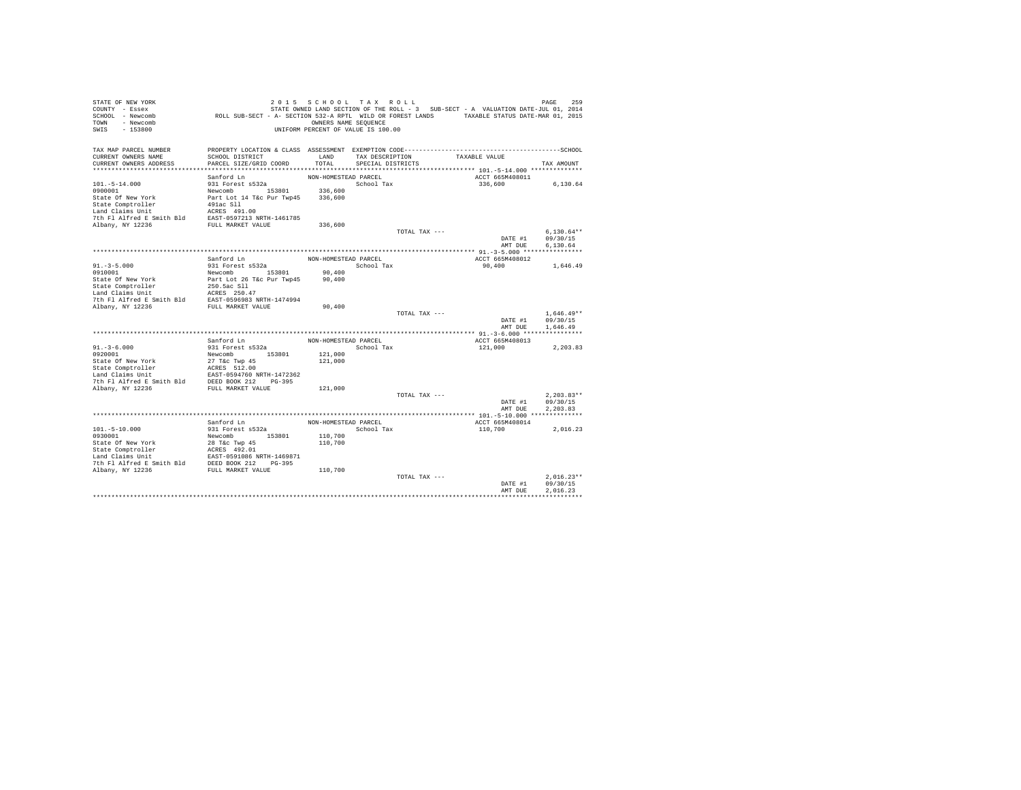| CURRENT OWNERS NAME<br>SCHOOL DISTRICT<br>LAND<br>TAXABLE VALUE<br>TAX DESCRIPTION<br>TOTAL<br>CURRENT OWNERS ADDRESS<br>PARCEL SIZE/GRID COORD<br>SPECIAL DISTRICTS<br>TAX AMOUNT<br>NON-HOMESTEAD PARCEL<br>ACCT 665M408011<br>Sanford Ln<br>931 Forest s532a<br>School Tax<br>336,600<br>6,130.64<br>Newcomb 153801<br>336,600<br>Part Lot 14 T&c Pur Twp45<br>336,600<br>State Comptroller<br>491ac Sll<br>Land Claims Unit<br>The Unit School (1818) 2013<br>7th Fl Alfred E Smith Bld<br>EAST-0597213 NRTH-1461785<br>Ribany, NY 12236<br>FULL MARKET VALUE<br>336,600<br>$6.130.64**$<br>TOTAL TAX ---<br>09/30/15<br>DATE #1<br>AMT DUE<br>6.130.64<br>Sanford Ln<br>NON-HOMESTEAD PARCEL<br>ACCT 665M408012<br>931 Forest s532a<br>School Tax<br>90,400<br>1,646.49<br>Newcomb 153801<br>90,400<br>Part Lot 26 T&c Pur Twp45<br>State Of New York<br>90,400<br>State Comptroller<br>250.5ac Sll<br>Land Claims Unit<br>ACRES 250.47<br>EAST-0596983 NRTH-1474994<br>7th Fl Alfred E Smith Bld<br>Albany, NY 12236<br>FULL MARKET VALUE<br>90,400<br>$1.646.49**$<br>TOTAL TAX ---<br>DATE #1<br>09/30/15<br>AMT DUE<br>1,646.49<br>Sanford Ln<br>NON-HOMESTEAD PARCEL<br>ACCT 665M408013<br>$91. - 3 - 6.000$<br>931 Forest s532a<br>School Tax<br>121,000<br>2,203.83<br>0920001<br>Newcomb 153801<br>121,000<br>State Of New York<br>27 T&c Twp 45<br>121,000<br>State Comptroller<br>ACRES 512.00<br>EAST-0594760 NRTH-1472362<br>Land Claims Unit<br>7th Fl Alfred E Smith Bld DEED BOOK 212 PG-395<br>FULL MARKET VALUE<br>121,000<br>TOTAL TAX ---<br>$2.203.83**$<br>09/30/15<br>DATE #1<br>AMT DUE<br>2.203.83<br>Sanford Ln<br>NON-HOMESTEAD PARCEL<br>ACCT 665M408014<br>931 Forest s532a<br>School Tax<br>$101. - 5 - 10.000$<br>110,700<br>2.016.23<br>110,700<br>0930001<br>Newcomb 153801<br>State Of New York<br>State Comptroller<br>Indeed Calins Unit Except 192.01<br>Land Claims Unit<br>The Plaificed Example 192.01<br>2000 21236<br>2000 2000 21236<br>PULL MARKET VALUE<br>DEED BOOK 212<br>2000 21236<br>PULL MARKET VALUE<br>110,700<br>110,700<br>$2.016.23**$<br>TOTAL TAX ---<br>09/30/15<br>DATE #1<br>2.016.23<br>AMT DUE | STATE OF NEW YORK<br>COUNTY - Essex<br>SCHOOL - Newcomb<br>TOWN - Newcomb<br>SWIS<br>$-153800$ | ROLL SUB-SECT - A- SECTION 532-A RPTL WILD OR FOREST LANDS TAXABLE STATUS DATE-MAR 01, 2015 | 2015 SCHOOL TAX ROLL<br>OWNERS NAME SEQUENCE<br>UNIFORM PERCENT OF VALUE IS 100.00 |  | STATE OWNED LAND SECTION OF THE ROLL - 3 SUB-SECT - A VALUATION DATE-JUL 01, 2014 | PAGE<br>259 |
|-------------------------------------------------------------------------------------------------------------------------------------------------------------------------------------------------------------------------------------------------------------------------------------------------------------------------------------------------------------------------------------------------------------------------------------------------------------------------------------------------------------------------------------------------------------------------------------------------------------------------------------------------------------------------------------------------------------------------------------------------------------------------------------------------------------------------------------------------------------------------------------------------------------------------------------------------------------------------------------------------------------------------------------------------------------------------------------------------------------------------------------------------------------------------------------------------------------------------------------------------------------------------------------------------------------------------------------------------------------------------------------------------------------------------------------------------------------------------------------------------------------------------------------------------------------------------------------------------------------------------------------------------------------------------------------------------------------------------------------------------------------------------------------------------------------------------------------------------------------------------------------------------------------------------------------------------------------------------------------------------------------------------------------------------------------------------------------------------------------------------------------------------------------------|------------------------------------------------------------------------------------------------|---------------------------------------------------------------------------------------------|------------------------------------------------------------------------------------|--|-----------------------------------------------------------------------------------|-------------|
|                                                                                                                                                                                                                                                                                                                                                                                                                                                                                                                                                                                                                                                                                                                                                                                                                                                                                                                                                                                                                                                                                                                                                                                                                                                                                                                                                                                                                                                                                                                                                                                                                                                                                                                                                                                                                                                                                                                                                                                                                                                                                                                                                                   |                                                                                                |                                                                                             |                                                                                    |  |                                                                                   |             |
|                                                                                                                                                                                                                                                                                                                                                                                                                                                                                                                                                                                                                                                                                                                                                                                                                                                                                                                                                                                                                                                                                                                                                                                                                                                                                                                                                                                                                                                                                                                                                                                                                                                                                                                                                                                                                                                                                                                                                                                                                                                                                                                                                                   | TAX MAP PARCEL NUMBER                                                                          |                                                                                             |                                                                                    |  |                                                                                   |             |
|                                                                                                                                                                                                                                                                                                                                                                                                                                                                                                                                                                                                                                                                                                                                                                                                                                                                                                                                                                                                                                                                                                                                                                                                                                                                                                                                                                                                                                                                                                                                                                                                                                                                                                                                                                                                                                                                                                                                                                                                                                                                                                                                                                   |                                                                                                |                                                                                             |                                                                                    |  |                                                                                   |             |
|                                                                                                                                                                                                                                                                                                                                                                                                                                                                                                                                                                                                                                                                                                                                                                                                                                                                                                                                                                                                                                                                                                                                                                                                                                                                                                                                                                                                                                                                                                                                                                                                                                                                                                                                                                                                                                                                                                                                                                                                                                                                                                                                                                   |                                                                                                |                                                                                             |                                                                                    |  |                                                                                   |             |
|                                                                                                                                                                                                                                                                                                                                                                                                                                                                                                                                                                                                                                                                                                                                                                                                                                                                                                                                                                                                                                                                                                                                                                                                                                                                                                                                                                                                                                                                                                                                                                                                                                                                                                                                                                                                                                                                                                                                                                                                                                                                                                                                                                   |                                                                                                |                                                                                             |                                                                                    |  |                                                                                   |             |
|                                                                                                                                                                                                                                                                                                                                                                                                                                                                                                                                                                                                                                                                                                                                                                                                                                                                                                                                                                                                                                                                                                                                                                                                                                                                                                                                                                                                                                                                                                                                                                                                                                                                                                                                                                                                                                                                                                                                                                                                                                                                                                                                                                   | $101. - 5 - 14.000$                                                                            |                                                                                             |                                                                                    |  |                                                                                   |             |
|                                                                                                                                                                                                                                                                                                                                                                                                                                                                                                                                                                                                                                                                                                                                                                                                                                                                                                                                                                                                                                                                                                                                                                                                                                                                                                                                                                                                                                                                                                                                                                                                                                                                                                                                                                                                                                                                                                                                                                                                                                                                                                                                                                   | 0900001                                                                                        |                                                                                             |                                                                                    |  |                                                                                   |             |
|                                                                                                                                                                                                                                                                                                                                                                                                                                                                                                                                                                                                                                                                                                                                                                                                                                                                                                                                                                                                                                                                                                                                                                                                                                                                                                                                                                                                                                                                                                                                                                                                                                                                                                                                                                                                                                                                                                                                                                                                                                                                                                                                                                   | State Of New York                                                                              |                                                                                             |                                                                                    |  |                                                                                   |             |
|                                                                                                                                                                                                                                                                                                                                                                                                                                                                                                                                                                                                                                                                                                                                                                                                                                                                                                                                                                                                                                                                                                                                                                                                                                                                                                                                                                                                                                                                                                                                                                                                                                                                                                                                                                                                                                                                                                                                                                                                                                                                                                                                                                   |                                                                                                |                                                                                             |                                                                                    |  |                                                                                   |             |
|                                                                                                                                                                                                                                                                                                                                                                                                                                                                                                                                                                                                                                                                                                                                                                                                                                                                                                                                                                                                                                                                                                                                                                                                                                                                                                                                                                                                                                                                                                                                                                                                                                                                                                                                                                                                                                                                                                                                                                                                                                                                                                                                                                   |                                                                                                |                                                                                             |                                                                                    |  |                                                                                   |             |
|                                                                                                                                                                                                                                                                                                                                                                                                                                                                                                                                                                                                                                                                                                                                                                                                                                                                                                                                                                                                                                                                                                                                                                                                                                                                                                                                                                                                                                                                                                                                                                                                                                                                                                                                                                                                                                                                                                                                                                                                                                                                                                                                                                   |                                                                                                |                                                                                             |                                                                                    |  |                                                                                   |             |
|                                                                                                                                                                                                                                                                                                                                                                                                                                                                                                                                                                                                                                                                                                                                                                                                                                                                                                                                                                                                                                                                                                                                                                                                                                                                                                                                                                                                                                                                                                                                                                                                                                                                                                                                                                                                                                                                                                                                                                                                                                                                                                                                                                   |                                                                                                |                                                                                             |                                                                                    |  |                                                                                   |             |
|                                                                                                                                                                                                                                                                                                                                                                                                                                                                                                                                                                                                                                                                                                                                                                                                                                                                                                                                                                                                                                                                                                                                                                                                                                                                                                                                                                                                                                                                                                                                                                                                                                                                                                                                                                                                                                                                                                                                                                                                                                                                                                                                                                   |                                                                                                |                                                                                             |                                                                                    |  |                                                                                   |             |
|                                                                                                                                                                                                                                                                                                                                                                                                                                                                                                                                                                                                                                                                                                                                                                                                                                                                                                                                                                                                                                                                                                                                                                                                                                                                                                                                                                                                                                                                                                                                                                                                                                                                                                                                                                                                                                                                                                                                                                                                                                                                                                                                                                   |                                                                                                |                                                                                             |                                                                                    |  |                                                                                   |             |
|                                                                                                                                                                                                                                                                                                                                                                                                                                                                                                                                                                                                                                                                                                                                                                                                                                                                                                                                                                                                                                                                                                                                                                                                                                                                                                                                                                                                                                                                                                                                                                                                                                                                                                                                                                                                                                                                                                                                                                                                                                                                                                                                                                   |                                                                                                |                                                                                             |                                                                                    |  |                                                                                   |             |
|                                                                                                                                                                                                                                                                                                                                                                                                                                                                                                                                                                                                                                                                                                                                                                                                                                                                                                                                                                                                                                                                                                                                                                                                                                                                                                                                                                                                                                                                                                                                                                                                                                                                                                                                                                                                                                                                                                                                                                                                                                                                                                                                                                   |                                                                                                |                                                                                             |                                                                                    |  |                                                                                   |             |
|                                                                                                                                                                                                                                                                                                                                                                                                                                                                                                                                                                                                                                                                                                                                                                                                                                                                                                                                                                                                                                                                                                                                                                                                                                                                                                                                                                                                                                                                                                                                                                                                                                                                                                                                                                                                                                                                                                                                                                                                                                                                                                                                                                   | $91. - 3 - 5.000$                                                                              |                                                                                             |                                                                                    |  |                                                                                   |             |
|                                                                                                                                                                                                                                                                                                                                                                                                                                                                                                                                                                                                                                                                                                                                                                                                                                                                                                                                                                                                                                                                                                                                                                                                                                                                                                                                                                                                                                                                                                                                                                                                                                                                                                                                                                                                                                                                                                                                                                                                                                                                                                                                                                   | 0910001                                                                                        |                                                                                             |                                                                                    |  |                                                                                   |             |
|                                                                                                                                                                                                                                                                                                                                                                                                                                                                                                                                                                                                                                                                                                                                                                                                                                                                                                                                                                                                                                                                                                                                                                                                                                                                                                                                                                                                                                                                                                                                                                                                                                                                                                                                                                                                                                                                                                                                                                                                                                                                                                                                                                   |                                                                                                |                                                                                             |                                                                                    |  |                                                                                   |             |
|                                                                                                                                                                                                                                                                                                                                                                                                                                                                                                                                                                                                                                                                                                                                                                                                                                                                                                                                                                                                                                                                                                                                                                                                                                                                                                                                                                                                                                                                                                                                                                                                                                                                                                                                                                                                                                                                                                                                                                                                                                                                                                                                                                   |                                                                                                |                                                                                             |                                                                                    |  |                                                                                   |             |
|                                                                                                                                                                                                                                                                                                                                                                                                                                                                                                                                                                                                                                                                                                                                                                                                                                                                                                                                                                                                                                                                                                                                                                                                                                                                                                                                                                                                                                                                                                                                                                                                                                                                                                                                                                                                                                                                                                                                                                                                                                                                                                                                                                   |                                                                                                |                                                                                             |                                                                                    |  |                                                                                   |             |
|                                                                                                                                                                                                                                                                                                                                                                                                                                                                                                                                                                                                                                                                                                                                                                                                                                                                                                                                                                                                                                                                                                                                                                                                                                                                                                                                                                                                                                                                                                                                                                                                                                                                                                                                                                                                                                                                                                                                                                                                                                                                                                                                                                   |                                                                                                |                                                                                             |                                                                                    |  |                                                                                   |             |
|                                                                                                                                                                                                                                                                                                                                                                                                                                                                                                                                                                                                                                                                                                                                                                                                                                                                                                                                                                                                                                                                                                                                                                                                                                                                                                                                                                                                                                                                                                                                                                                                                                                                                                                                                                                                                                                                                                                                                                                                                                                                                                                                                                   |                                                                                                |                                                                                             |                                                                                    |  |                                                                                   |             |
|                                                                                                                                                                                                                                                                                                                                                                                                                                                                                                                                                                                                                                                                                                                                                                                                                                                                                                                                                                                                                                                                                                                                                                                                                                                                                                                                                                                                                                                                                                                                                                                                                                                                                                                                                                                                                                                                                                                                                                                                                                                                                                                                                                   |                                                                                                |                                                                                             |                                                                                    |  |                                                                                   |             |
|                                                                                                                                                                                                                                                                                                                                                                                                                                                                                                                                                                                                                                                                                                                                                                                                                                                                                                                                                                                                                                                                                                                                                                                                                                                                                                                                                                                                                                                                                                                                                                                                                                                                                                                                                                                                                                                                                                                                                                                                                                                                                                                                                                   |                                                                                                |                                                                                             |                                                                                    |  |                                                                                   |             |
|                                                                                                                                                                                                                                                                                                                                                                                                                                                                                                                                                                                                                                                                                                                                                                                                                                                                                                                                                                                                                                                                                                                                                                                                                                                                                                                                                                                                                                                                                                                                                                                                                                                                                                                                                                                                                                                                                                                                                                                                                                                                                                                                                                   |                                                                                                |                                                                                             |                                                                                    |  |                                                                                   |             |
|                                                                                                                                                                                                                                                                                                                                                                                                                                                                                                                                                                                                                                                                                                                                                                                                                                                                                                                                                                                                                                                                                                                                                                                                                                                                                                                                                                                                                                                                                                                                                                                                                                                                                                                                                                                                                                                                                                                                                                                                                                                                                                                                                                   |                                                                                                |                                                                                             |                                                                                    |  |                                                                                   |             |
|                                                                                                                                                                                                                                                                                                                                                                                                                                                                                                                                                                                                                                                                                                                                                                                                                                                                                                                                                                                                                                                                                                                                                                                                                                                                                                                                                                                                                                                                                                                                                                                                                                                                                                                                                                                                                                                                                                                                                                                                                                                                                                                                                                   |                                                                                                |                                                                                             |                                                                                    |  |                                                                                   |             |
|                                                                                                                                                                                                                                                                                                                                                                                                                                                                                                                                                                                                                                                                                                                                                                                                                                                                                                                                                                                                                                                                                                                                                                                                                                                                                                                                                                                                                                                                                                                                                                                                                                                                                                                                                                                                                                                                                                                                                                                                                                                                                                                                                                   |                                                                                                |                                                                                             |                                                                                    |  |                                                                                   |             |
|                                                                                                                                                                                                                                                                                                                                                                                                                                                                                                                                                                                                                                                                                                                                                                                                                                                                                                                                                                                                                                                                                                                                                                                                                                                                                                                                                                                                                                                                                                                                                                                                                                                                                                                                                                                                                                                                                                                                                                                                                                                                                                                                                                   |                                                                                                |                                                                                             |                                                                                    |  |                                                                                   |             |
|                                                                                                                                                                                                                                                                                                                                                                                                                                                                                                                                                                                                                                                                                                                                                                                                                                                                                                                                                                                                                                                                                                                                                                                                                                                                                                                                                                                                                                                                                                                                                                                                                                                                                                                                                                                                                                                                                                                                                                                                                                                                                                                                                                   |                                                                                                |                                                                                             |                                                                                    |  |                                                                                   |             |
|                                                                                                                                                                                                                                                                                                                                                                                                                                                                                                                                                                                                                                                                                                                                                                                                                                                                                                                                                                                                                                                                                                                                                                                                                                                                                                                                                                                                                                                                                                                                                                                                                                                                                                                                                                                                                                                                                                                                                                                                                                                                                                                                                                   |                                                                                                |                                                                                             |                                                                                    |  |                                                                                   |             |
|                                                                                                                                                                                                                                                                                                                                                                                                                                                                                                                                                                                                                                                                                                                                                                                                                                                                                                                                                                                                                                                                                                                                                                                                                                                                                                                                                                                                                                                                                                                                                                                                                                                                                                                                                                                                                                                                                                                                                                                                                                                                                                                                                                   | Albany, NY 12236                                                                               |                                                                                             |                                                                                    |  |                                                                                   |             |
|                                                                                                                                                                                                                                                                                                                                                                                                                                                                                                                                                                                                                                                                                                                                                                                                                                                                                                                                                                                                                                                                                                                                                                                                                                                                                                                                                                                                                                                                                                                                                                                                                                                                                                                                                                                                                                                                                                                                                                                                                                                                                                                                                                   |                                                                                                |                                                                                             |                                                                                    |  |                                                                                   |             |
|                                                                                                                                                                                                                                                                                                                                                                                                                                                                                                                                                                                                                                                                                                                                                                                                                                                                                                                                                                                                                                                                                                                                                                                                                                                                                                                                                                                                                                                                                                                                                                                                                                                                                                                                                                                                                                                                                                                                                                                                                                                                                                                                                                   |                                                                                                |                                                                                             |                                                                                    |  |                                                                                   |             |
|                                                                                                                                                                                                                                                                                                                                                                                                                                                                                                                                                                                                                                                                                                                                                                                                                                                                                                                                                                                                                                                                                                                                                                                                                                                                                                                                                                                                                                                                                                                                                                                                                                                                                                                                                                                                                                                                                                                                                                                                                                                                                                                                                                   |                                                                                                |                                                                                             |                                                                                    |  |                                                                                   |             |
|                                                                                                                                                                                                                                                                                                                                                                                                                                                                                                                                                                                                                                                                                                                                                                                                                                                                                                                                                                                                                                                                                                                                                                                                                                                                                                                                                                                                                                                                                                                                                                                                                                                                                                                                                                                                                                                                                                                                                                                                                                                                                                                                                                   |                                                                                                |                                                                                             |                                                                                    |  |                                                                                   |             |
|                                                                                                                                                                                                                                                                                                                                                                                                                                                                                                                                                                                                                                                                                                                                                                                                                                                                                                                                                                                                                                                                                                                                                                                                                                                                                                                                                                                                                                                                                                                                                                                                                                                                                                                                                                                                                                                                                                                                                                                                                                                                                                                                                                   |                                                                                                |                                                                                             |                                                                                    |  |                                                                                   |             |
|                                                                                                                                                                                                                                                                                                                                                                                                                                                                                                                                                                                                                                                                                                                                                                                                                                                                                                                                                                                                                                                                                                                                                                                                                                                                                                                                                                                                                                                                                                                                                                                                                                                                                                                                                                                                                                                                                                                                                                                                                                                                                                                                                                   |                                                                                                |                                                                                             |                                                                                    |  |                                                                                   |             |
|                                                                                                                                                                                                                                                                                                                                                                                                                                                                                                                                                                                                                                                                                                                                                                                                                                                                                                                                                                                                                                                                                                                                                                                                                                                                                                                                                                                                                                                                                                                                                                                                                                                                                                                                                                                                                                                                                                                                                                                                                                                                                                                                                                   |                                                                                                |                                                                                             |                                                                                    |  |                                                                                   |             |
|                                                                                                                                                                                                                                                                                                                                                                                                                                                                                                                                                                                                                                                                                                                                                                                                                                                                                                                                                                                                                                                                                                                                                                                                                                                                                                                                                                                                                                                                                                                                                                                                                                                                                                                                                                                                                                                                                                                                                                                                                                                                                                                                                                   |                                                                                                |                                                                                             |                                                                                    |  |                                                                                   |             |
|                                                                                                                                                                                                                                                                                                                                                                                                                                                                                                                                                                                                                                                                                                                                                                                                                                                                                                                                                                                                                                                                                                                                                                                                                                                                                                                                                                                                                                                                                                                                                                                                                                                                                                                                                                                                                                                                                                                                                                                                                                                                                                                                                                   |                                                                                                |                                                                                             |                                                                                    |  |                                                                                   |             |
|                                                                                                                                                                                                                                                                                                                                                                                                                                                                                                                                                                                                                                                                                                                                                                                                                                                                                                                                                                                                                                                                                                                                                                                                                                                                                                                                                                                                                                                                                                                                                                                                                                                                                                                                                                                                                                                                                                                                                                                                                                                                                                                                                                   |                                                                                                |                                                                                             |                                                                                    |  |                                                                                   |             |
|                                                                                                                                                                                                                                                                                                                                                                                                                                                                                                                                                                                                                                                                                                                                                                                                                                                                                                                                                                                                                                                                                                                                                                                                                                                                                                                                                                                                                                                                                                                                                                                                                                                                                                                                                                                                                                                                                                                                                                                                                                                                                                                                                                   |                                                                                                |                                                                                             |                                                                                    |  |                                                                                   |             |
|                                                                                                                                                                                                                                                                                                                                                                                                                                                                                                                                                                                                                                                                                                                                                                                                                                                                                                                                                                                                                                                                                                                                                                                                                                                                                                                                                                                                                                                                                                                                                                                                                                                                                                                                                                                                                                                                                                                                                                                                                                                                                                                                                                   |                                                                                                |                                                                                             |                                                                                    |  |                                                                                   |             |
|                                                                                                                                                                                                                                                                                                                                                                                                                                                                                                                                                                                                                                                                                                                                                                                                                                                                                                                                                                                                                                                                                                                                                                                                                                                                                                                                                                                                                                                                                                                                                                                                                                                                                                                                                                                                                                                                                                                                                                                                                                                                                                                                                                   |                                                                                                |                                                                                             |                                                                                    |  |                                                                                   |             |
|                                                                                                                                                                                                                                                                                                                                                                                                                                                                                                                                                                                                                                                                                                                                                                                                                                                                                                                                                                                                                                                                                                                                                                                                                                                                                                                                                                                                                                                                                                                                                                                                                                                                                                                                                                                                                                                                                                                                                                                                                                                                                                                                                                   |                                                                                                |                                                                                             |                                                                                    |  |                                                                                   |             |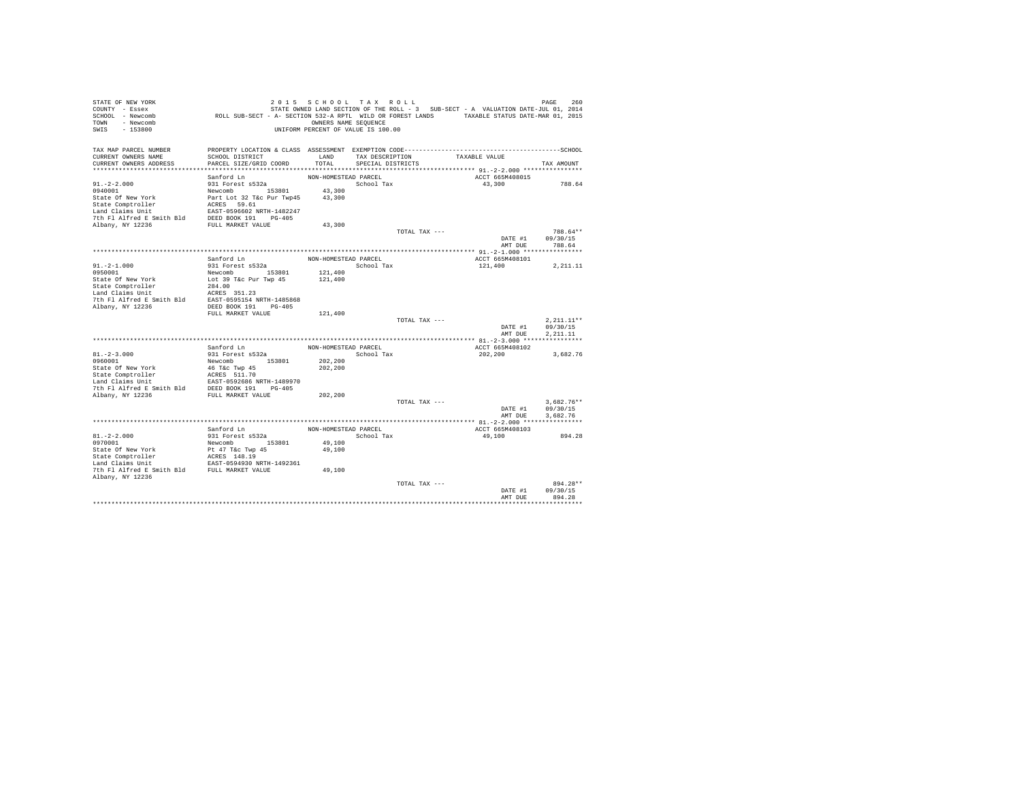| STATE OF NEW YORK<br>COUNTY - Essex<br>SCHOOL - Newcomb                                                                                                                                                                                            | ROLL SUB-SECT - A- SECTION 532-A RPTL WILD OR FOREST LANDS TAXABLE STATUS DATE-MAR 01, 2015  | 2015 SCHOOL TAX ROLL                                       |                                      |               | STATE OWNED LAND SECTION OF THE ROLL - 3 SUB-SECT - A VALUATION DATE-JUL 01, 2014 | PAGE<br>260              |
|----------------------------------------------------------------------------------------------------------------------------------------------------------------------------------------------------------------------------------------------------|----------------------------------------------------------------------------------------------|------------------------------------------------------------|--------------------------------------|---------------|-----------------------------------------------------------------------------------|--------------------------|
| TOWN - Newcomb<br>SWIS - 153800                                                                                                                                                                                                                    |                                                                                              | OWNERS NAME SEQUENCE<br>UNIFORM PERCENT OF VALUE IS 100.00 |                                      |               |                                                                                   |                          |
| TAX MAP PARCEL NUMBER                                                                                                                                                                                                                              | PROPERTY LOCATION & CLASS ASSESSMENT EXEMPTION CODE-----------------------------------SCHOOL |                                                            |                                      |               | TAXABLE VALUE                                                                     |                          |
| CURRENT OWNERS NAME<br>CURRENT OWNERS ADDRESS                                                                                                                                                                                                      | SCHOOL DISTRICT<br>PARCEL SIZE/GRID COORD                                                    | LAND<br>TOTAL                                              | TAX DESCRIPTION<br>SPECIAL DISTRICTS |               |                                                                                   | TAX AMOUNT               |
|                                                                                                                                                                                                                                                    |                                                                                              |                                                            |                                      |               |                                                                                   |                          |
|                                                                                                                                                                                                                                                    | Sanford Ln                                                                                   | NON-HOMESTEAD PARCEL                                       |                                      |               | ACCT 665M408015                                                                   |                          |
| $91. -2 - 2.000$                                                                                                                                                                                                                                   | 931 Forest s532a                                                                             |                                                            | School Tax                           |               | 43,300                                                                            | 788.64                   |
|                                                                                                                                                                                                                                                    |                                                                                              |                                                            |                                      |               |                                                                                   |                          |
|                                                                                                                                                                                                                                                    |                                                                                              |                                                            |                                      |               |                                                                                   |                          |
|                                                                                                                                                                                                                                                    |                                                                                              |                                                            |                                      |               |                                                                                   |                          |
|                                                                                                                                                                                                                                                    |                                                                                              |                                                            |                                      |               |                                                                                   |                          |
|                                                                                                                                                                                                                                                    |                                                                                              |                                                            |                                      |               |                                                                                   |                          |
|                                                                                                                                                                                                                                                    |                                                                                              |                                                            |                                      | TOTAL TAX --- |                                                                                   | 788.64**                 |
|                                                                                                                                                                                                                                                    |                                                                                              |                                                            |                                      |               | DATE #1                                                                           | 09/30/15                 |
|                                                                                                                                                                                                                                                    |                                                                                              |                                                            |                                      |               | AMT DUE                                                                           | 788.64                   |
|                                                                                                                                                                                                                                                    | Sanford Ln                                                                                   |                                                            |                                      |               | ACCT 665M408101                                                                   |                          |
| $91. - 2 - 1.000$                                                                                                                                                                                                                                  | 931 Forest s532a                                                                             | NON-HOMESTEAD PARCEL<br>School Tax                         |                                      |               | 121,400                                                                           | 2,211.11                 |
| 0950001                                                                                                                                                                                                                                            | Newcomb 153801                                                                               | 121,400                                                    |                                      |               |                                                                                   |                          |
| State Of New York<br>State Comptroller<br>Land Claims Unit                                                                                                                                                                                         |                                                                                              | 121,400                                                    |                                      |               |                                                                                   |                          |
|                                                                                                                                                                                                                                                    | Lot 39 T&c Pur Twp 45<br>284.00<br>----- 051.00                                              |                                                            |                                      |               |                                                                                   |                          |
|                                                                                                                                                                                                                                                    |                                                                                              |                                                            |                                      |               |                                                                                   |                          |
|                                                                                                                                                                                                                                                    |                                                                                              |                                                            |                                      |               |                                                                                   |                          |
|                                                                                                                                                                                                                                                    | FULL MARKET VALUE                                                                            | 121,400                                                    |                                      |               |                                                                                   |                          |
|                                                                                                                                                                                                                                                    |                                                                                              |                                                            |                                      | TOTAL TAX --- |                                                                                   | $2,211.11**$             |
|                                                                                                                                                                                                                                                    |                                                                                              |                                                            |                                      |               | DATE #1                                                                           | 09/30/15                 |
|                                                                                                                                                                                                                                                    |                                                                                              |                                                            |                                      |               | AMT DUE                                                                           | 2.211.11                 |
|                                                                                                                                                                                                                                                    |                                                                                              |                                                            |                                      |               |                                                                                   |                          |
| $81. -2 - 3.000$                                                                                                                                                                                                                                   | Sanford Ln                                                                                   | NON-HOMESTEAD PARCEL                                       |                                      |               | ACCT 665M408102                                                                   |                          |
| 0960001                                                                                                                                                                                                                                            | 931 Forest s532a<br>Newcomb 153801                                                           | 202,200                                                    | School Tax                           |               | 202,200                                                                           | 3,682.76                 |
|                                                                                                                                                                                                                                                    |                                                                                              | 202,200                                                    |                                      |               |                                                                                   |                          |
|                                                                                                                                                                                                                                                    |                                                                                              |                                                            |                                      |               |                                                                                   |                          |
| State of New York<br>State Comptroller<br>State Compton and Calmas Unit<br>Land Claims Unit<br>Land Claims Unit<br>The FI Alfred E Smith Bld<br>DEED BOOK 191<br>7th FI Alfred E Smith Bld<br>DEED BOOK 191<br>PULL MARKET VALUE<br>PULL MARKET VA |                                                                                              |                                                            |                                      |               |                                                                                   |                          |
|                                                                                                                                                                                                                                                    |                                                                                              |                                                            |                                      |               |                                                                                   |                          |
|                                                                                                                                                                                                                                                    |                                                                                              | 202,200                                                    |                                      |               |                                                                                   |                          |
|                                                                                                                                                                                                                                                    |                                                                                              |                                                            |                                      | TOTAL TAX --- | DATE #1                                                                           | $3.682.76**$<br>09/30/15 |
|                                                                                                                                                                                                                                                    |                                                                                              |                                                            |                                      |               | AMT DUE                                                                           | 3,682.76                 |
|                                                                                                                                                                                                                                                    |                                                                                              |                                                            |                                      |               |                                                                                   |                          |
|                                                                                                                                                                                                                                                    | Sanford Ln                                                                                   | NON-HOMESTEAD PARCEL                                       |                                      |               | ACCT 665M408103                                                                   |                          |
| $81. - 2 - 2.000$                                                                                                                                                                                                                                  | 931 Forest s532a                                                                             |                                                            | School Tax                           |               | 49,100                                                                            | 894.28                   |
| 0970001                                                                                                                                                                                                                                            | Newcomb 153801                                                                               | 49,100                                                     |                                      |               |                                                                                   |                          |
| State Of New York<br>State Comptroller<br>Land Claims Unit                                                                                                                                                                                         | Pt 47 T&c Twp 45<br>ACRES 148.19<br>EAST-0594930 NRTH-1492361                                | 49,100                                                     |                                      |               |                                                                                   |                          |
|                                                                                                                                                                                                                                                    |                                                                                              |                                                            |                                      |               |                                                                                   |                          |
| 7th Fl Alfred E Smith Bld FULL MARKET VALUE                                                                                                                                                                                                        |                                                                                              | 49,100                                                     |                                      |               |                                                                                   |                          |
| Albany, NY 12236                                                                                                                                                                                                                                   |                                                                                              |                                                            |                                      |               |                                                                                   |                          |
|                                                                                                                                                                                                                                                    |                                                                                              |                                                            |                                      | TOTAL TAX --- |                                                                                   | 894.28**                 |
|                                                                                                                                                                                                                                                    |                                                                                              |                                                            |                                      |               | DATE #1                                                                           | 09/30/15                 |
|                                                                                                                                                                                                                                                    |                                                                                              |                                                            |                                      |               | AMT DUE                                                                           | 894.28                   |
|                                                                                                                                                                                                                                                    |                                                                                              |                                                            |                                      |               |                                                                                   |                          |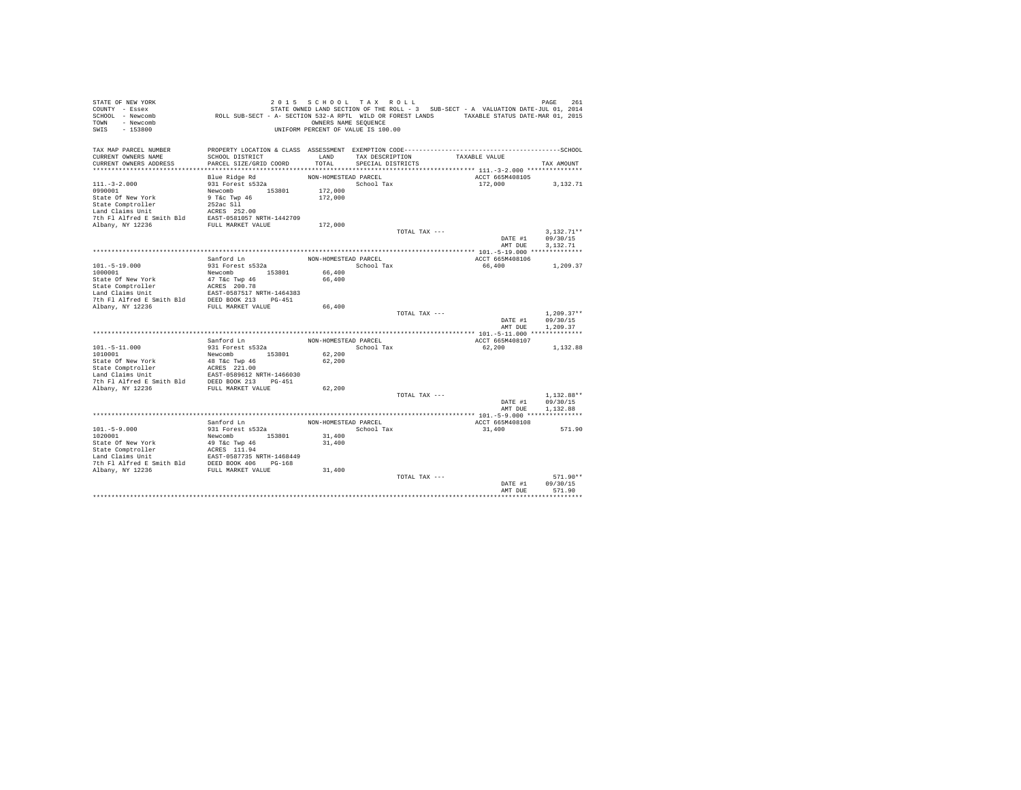| STATE OF NEW YORK<br>COUNTY - Essex                                                                                                                                 |                                                                                             | 2015 SCHOOL TAX ROLL               |                   |               | STATE OWNED LAND SECTION OF THE ROLL - 3 SUB-SECT - A VALUATION DATE-JUL 01, 2014 | 261<br>PAGE  |
|---------------------------------------------------------------------------------------------------------------------------------------------------------------------|---------------------------------------------------------------------------------------------|------------------------------------|-------------------|---------------|-----------------------------------------------------------------------------------|--------------|
| SCHOOL - Newcomb                                                                                                                                                    | ROLL SUB-SECT - A- SECTION 532-A RPTL WILD OR FOREST LANDS TAXABLE STATUS DATE-MAR 01, 2015 |                                    |                   |               |                                                                                   |              |
| - Newcomb<br>TOWN                                                                                                                                                   |                                                                                             | OWNERS NAME SEQUENCE               |                   |               |                                                                                   |              |
| $-153800$<br>SWIS                                                                                                                                                   |                                                                                             | UNIFORM PERCENT OF VALUE IS 100.00 |                   |               |                                                                                   |              |
| TAX MAP PARCEL NUMBER                                                                                                                                               |                                                                                             |                                    |                   |               |                                                                                   |              |
| CURRENT OWNERS NAME                                                                                                                                                 | SCHOOL DISTRICT                                                                             | LAND                               | TAX DESCRIPTION   |               | TAXABLE VALUE                                                                     |              |
| CURRENT OWNERS ADDRESS                                                                                                                                              | PARCEL SIZE/GRID COORD                                                                      | TOTAL                              | SPECIAL DISTRICTS |               |                                                                                   | TAX AMOUNT   |
|                                                                                                                                                                     |                                                                                             |                                    |                   |               |                                                                                   |              |
|                                                                                                                                                                     | Blue Ridge Rd                                                                               | NON-HOMESTEAD PARCEL               |                   |               | ACCT 665M408105                                                                   |              |
| $111. - 3 - 2.000$                                                                                                                                                  | 931 Forest s532a                                                                            |                                    | School Tax        |               | 172,000                                                                           | 3,132.71     |
| 0990001<br>State Of New York                                                                                                                                        | Newcomb 153801                                                                              | 172,000<br>172,000                 |                   |               |                                                                                   |              |
| State Comptroller                                                                                                                                                   | $9$ T&c Twp $46$<br>252ac Sll                                                               |                                    |                   |               |                                                                                   |              |
|                                                                                                                                                                     |                                                                                             |                                    |                   |               |                                                                                   |              |
|                                                                                                                                                                     |                                                                                             |                                    |                   |               |                                                                                   |              |
|                                                                                                                                                                     |                                                                                             | 172,000                            |                   |               |                                                                                   |              |
|                                                                                                                                                                     |                                                                                             |                                    |                   | TOTAL TAX --- |                                                                                   | $3.132.71**$ |
|                                                                                                                                                                     |                                                                                             |                                    |                   |               | DATE #1                                                                           | 09/30/15     |
|                                                                                                                                                                     |                                                                                             |                                    |                   |               | AMT DUE                                                                           | 3,132.71     |
|                                                                                                                                                                     |                                                                                             |                                    |                   |               |                                                                                   |              |
|                                                                                                                                                                     | Sanford Ln                                                                                  | NON-HOMESTEAD PARCEL               |                   |               | ACCT 665M408106                                                                   |              |
| $101. - 5 - 19.000$                                                                                                                                                 | 931 Forest s532a                                                                            |                                    | School Tax        |               | 66,400                                                                            | 1,209.37     |
| 1000001                                                                                                                                                             | Newcomb 153801                                                                              | 66,400                             |                   |               |                                                                                   |              |
| State Of New York<br>State Comptroller                                                                                                                              | 47 T&c Twp 46<br>ACRES 200.78                                                               | 66,400                             |                   |               |                                                                                   |              |
| Land Claims Unit                                                                                                                                                    |                                                                                             |                                    |                   |               |                                                                                   |              |
| 7th Fl Alfred E Smith Bld                                                                                                                                           |                                                                                             |                                    |                   |               |                                                                                   |              |
| Albany, NY 12236                                                                                                                                                    | EAST-0587517 NRTH-1464383<br>DEED BOOK 213 PG-451<br>FULL MARKET VALUE                      | 66,400                             |                   |               |                                                                                   |              |
|                                                                                                                                                                     |                                                                                             |                                    |                   | TOTAL TAX --- |                                                                                   | $1,209.37**$ |
|                                                                                                                                                                     |                                                                                             |                                    |                   |               | DATE #1                                                                           | 09/30/15     |
|                                                                                                                                                                     |                                                                                             |                                    |                   |               | AMT DUE                                                                           | 1,209.37     |
|                                                                                                                                                                     |                                                                                             |                                    |                   |               |                                                                                   |              |
|                                                                                                                                                                     | Sanford Ln                                                                                  | NON-HOMESTEAD PARCEL               |                   |               | ACCT 665M408107                                                                   |              |
| $101.-5-11.000$                                                                                                                                                     | 931 Forest s532a                                                                            |                                    | School Tax        |               | 62,200                                                                            | 1,132.88     |
| 1010001<br>State Of New York                                                                                                                                        | Newcomb 153801<br>48 T&c Twp 46                                                             | 62,200<br>62,200                   |                   |               |                                                                                   |              |
| State Comptroller                                                                                                                                                   |                                                                                             |                                    |                   |               |                                                                                   |              |
| Land Claims Unit                                                                                                                                                    | ACRES 221.00<br>EAST-0589612 NRTH-1466030                                                   |                                    |                   |               |                                                                                   |              |
| 7th Fl Alfred E Smith Bld DEED BOOK 213 PG-451                                                                                                                      |                                                                                             |                                    |                   |               |                                                                                   |              |
| Albany, NY 12236                                                                                                                                                    | FULL MARKET VALUE                                                                           | 62,200                             |                   |               |                                                                                   |              |
|                                                                                                                                                                     |                                                                                             |                                    |                   | TOTAL TAX --- |                                                                                   | $1.132.88**$ |
|                                                                                                                                                                     |                                                                                             |                                    |                   |               | DATE #1                                                                           | 09/30/15     |
|                                                                                                                                                                     |                                                                                             |                                    |                   |               | AMT DUE                                                                           | 1,132.88     |
|                                                                                                                                                                     |                                                                                             |                                    |                   |               |                                                                                   |              |
| $101. - 5 - 9.000$                                                                                                                                                  | Sanford Ln<br>931 Forest s532a                                                              | NON-HOMESTEAD PARCEL               | School Tax        |               | ACCT 665M408108<br>31,400                                                         | 571.90       |
| 1020001                                                                                                                                                             | Newcomb 153801                                                                              | 31,400                             |                   |               |                                                                                   |              |
| State Of New York                                                                                                                                                   | 49 T&c Twp 46                                                                               | 31,400                             |                   |               |                                                                                   |              |
| State On New<br>State Comptroller                                                                                                                                   |                                                                                             |                                    |                   |               |                                                                                   |              |
|                                                                                                                                                                     |                                                                                             |                                    |                   |               |                                                                                   |              |
| State Comptroller<br>Land Claims Unit<br>Land Claims Unit<br>The F1 Alfred E Smith Bld<br>DEED BOOK 406 PG-168<br>The F1 Alfred E Smith Bld<br>DEED BOOK 406 PG-168 |                                                                                             |                                    |                   |               |                                                                                   |              |
| Albany, NY 12236                                                                                                                                                    | FULL MARKET VALUE                                                                           | 31,400                             |                   |               |                                                                                   |              |
|                                                                                                                                                                     |                                                                                             |                                    |                   | TOTAL TAX --- |                                                                                   | $571.90**$   |
|                                                                                                                                                                     |                                                                                             |                                    |                   |               | DATE #1                                                                           | 09/30/15     |
|                                                                                                                                                                     |                                                                                             |                                    |                   |               | AMT DUE                                                                           | 571.90       |
|                                                                                                                                                                     |                                                                                             |                                    |                   |               |                                                                                   |              |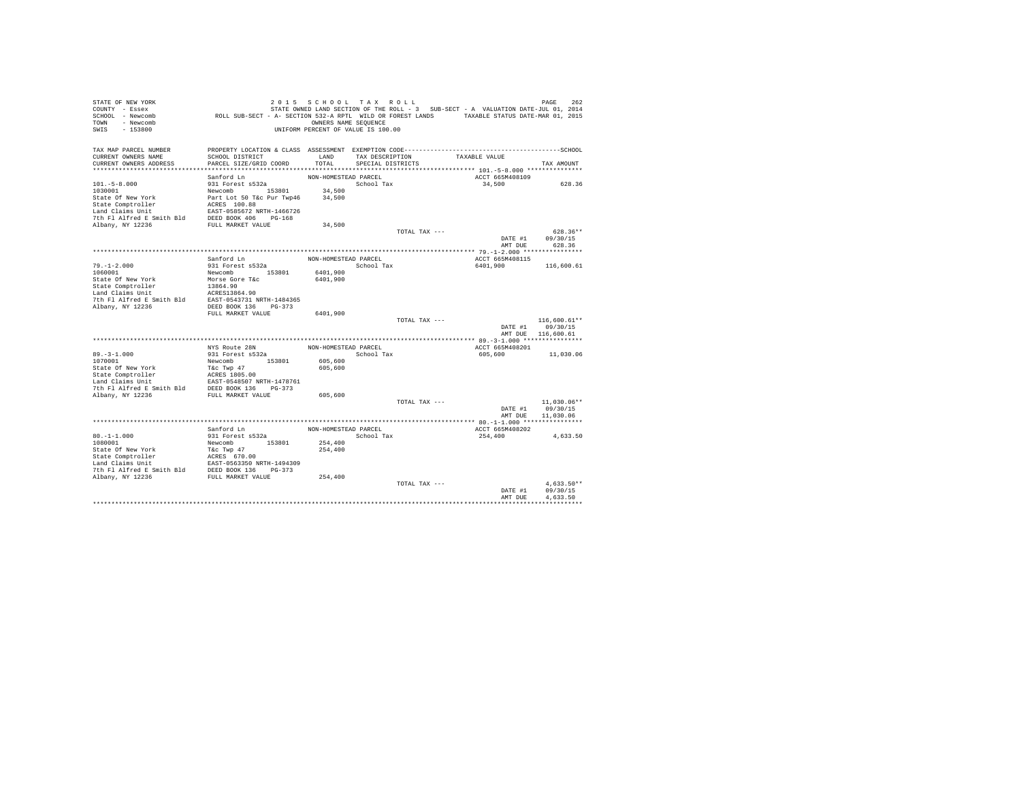| STATE OF NEW YORK                                                                                                                                                                                                                        |                                                                                             | 2015 SCHOOL TAX ROLL               |                   |               |                                                                                   | PAGE<br>262                |
|------------------------------------------------------------------------------------------------------------------------------------------------------------------------------------------------------------------------------------------|---------------------------------------------------------------------------------------------|------------------------------------|-------------------|---------------|-----------------------------------------------------------------------------------|----------------------------|
| COUNTY - Essex                                                                                                                                                                                                                           |                                                                                             |                                    |                   |               | STATE OWNED LAND SECTION OF THE ROLL - 3 SUB-SECT - A VALUATION DATE-JUL 01, 2014 |                            |
| SCHOOL - Newcomb                                                                                                                                                                                                                         | ROLL SUB-SECT - A- SECTION 532-A RPTL WILD OR FOREST LANDS TAXABLE STATUS DATE-MAR 01, 2015 |                                    |                   |               |                                                                                   |                            |
| TOWN - Newcomb                                                                                                                                                                                                                           |                                                                                             | OWNERS NAME SEQUENCE               |                   |               |                                                                                   |                            |
| SWIS<br>$-153800$                                                                                                                                                                                                                        |                                                                                             | UNIFORM PERCENT OF VALUE IS 100.00 |                   |               |                                                                                   |                            |
|                                                                                                                                                                                                                                          |                                                                                             |                                    |                   |               |                                                                                   |                            |
|                                                                                                                                                                                                                                          |                                                                                             |                                    |                   |               |                                                                                   |                            |
| TAX MAP PARCEL NUMBER                                                                                                                                                                                                                    |                                                                                             |                                    |                   |               |                                                                                   |                            |
| CURRENT OWNERS NAME                                                                                                                                                                                                                      | SCHOOL DISTRICT                                                                             | LAND                               | TAX DESCRIPTION   |               | TAXABLE VALUE                                                                     |                            |
| CURRENT OWNERS ADDRESS                                                                                                                                                                                                                   | PARCEL SIZE/GRID COORD                                                                      | TOTAL                              | SPECIAL DISTRICTS |               |                                                                                   | TAX AMOUNT                 |
|                                                                                                                                                                                                                                          |                                                                                             |                                    |                   |               |                                                                                   |                            |
|                                                                                                                                                                                                                                          | Sanford Ln                                                                                  | NON-HOMESTEAD PARCEL               |                   |               | ACCT 665M408109                                                                   |                            |
| $101. - 5 - 8.000$                                                                                                                                                                                                                       | 931 Forest s532a                                                                            |                                    | School Tax        |               | 34,500                                                                            | 628.36                     |
| 1030001                                                                                                                                                                                                                                  | Newcomb 153801<br>Part Lot 50 T&c Pur Twp46                                                 | 34,500                             |                   |               |                                                                                   |                            |
| State Of New York                                                                                                                                                                                                                        |                                                                                             | 34,500                             |                   |               |                                                                                   |                            |
|                                                                                                                                                                                                                                          |                                                                                             |                                    |                   |               |                                                                                   |                            |
| State Comptroller<br>Land Claims Unit<br>Land Claims Unit<br>Land Claims Unit<br>The Fl Alfred E Smith Bld<br>2006 ADSR POLIT MRKET VALUE<br>2006 ADSR POLIT MRKET VALUE                                                                 |                                                                                             |                                    |                   |               |                                                                                   |                            |
|                                                                                                                                                                                                                                          |                                                                                             |                                    |                   |               |                                                                                   |                            |
|                                                                                                                                                                                                                                          |                                                                                             | 34,500                             |                   | TOTAL TAX --- |                                                                                   | $628.36**$                 |
|                                                                                                                                                                                                                                          |                                                                                             |                                    |                   |               |                                                                                   |                            |
|                                                                                                                                                                                                                                          |                                                                                             |                                    |                   |               | AMT DUE                                                                           | DATE #1 09/30/15<br>628.36 |
|                                                                                                                                                                                                                                          |                                                                                             |                                    |                   |               |                                                                                   |                            |
|                                                                                                                                                                                                                                          | Sanford Ln                                                                                  |                                    |                   |               | ACCT 665M408115                                                                   |                            |
|                                                                                                                                                                                                                                          | 931 Forest s532a                                                                            | NON-HOMESTEAD PARCEL               | School Tax        |               |                                                                                   |                            |
| $79. - 1 - 2.000$<br>1060001                                                                                                                                                                                                             | Newcomb 153801                                                                              | 6401,900                           |                   |               | 6401,900                                                                          | 116,600.61                 |
|                                                                                                                                                                                                                                          |                                                                                             | 6401,900                           |                   |               |                                                                                   |                            |
| State Of New York Morse Gore Tac<br>State Comptroller 13864.90<br>ISBA 19864.90<br>Land Claims Unit ACRES13864.90<br>Th Fl Alfred E Smith Bld EAST-0543731 NRTH-1484365                                                                  |                                                                                             |                                    |                   |               |                                                                                   |                            |
|                                                                                                                                                                                                                                          |                                                                                             |                                    |                   |               |                                                                                   |                            |
|                                                                                                                                                                                                                                          |                                                                                             |                                    |                   |               |                                                                                   |                            |
| Albany, NY 12236                                                                                                                                                                                                                         | DEED BOOK 136 PG-373                                                                        |                                    |                   |               |                                                                                   |                            |
|                                                                                                                                                                                                                                          | FULL MARKET VALUE 6401,900                                                                  |                                    |                   |               |                                                                                   |                            |
|                                                                                                                                                                                                                                          |                                                                                             |                                    |                   | TOTAL TAX --- |                                                                                   | 116,600.61**               |
|                                                                                                                                                                                                                                          |                                                                                             |                                    |                   |               |                                                                                   | DATE #1 09/30/15           |
|                                                                                                                                                                                                                                          |                                                                                             |                                    |                   |               |                                                                                   | AMT DUE 116,600.61         |
|                                                                                                                                                                                                                                          |                                                                                             |                                    |                   |               |                                                                                   |                            |
|                                                                                                                                                                                                                                          | NYS Route 28N                                                                               | NON-HOMESTEAD PARCEL               |                   |               | ACCT 665M408201                                                                   |                            |
| $89. - 3 - 1.000$                                                                                                                                                                                                                        | 931 Forest s532a                                                                            |                                    | School Tax        |               | 605,600                                                                           | 11,030.06                  |
| 1070001                                                                                                                                                                                                                                  | Newcomb 153801                                                                              | 605,600                            |                   |               |                                                                                   |                            |
|                                                                                                                                                                                                                                          |                                                                                             | 605,600                            |                   |               |                                                                                   |                            |
| State of New York<br>The Tac Twp 47<br>State Comptroller<br>and Claims Unit<br>EAST -0548507 NRTH-1478761<br>The Fl Alfred E Smith Bld<br>DEED BOOK 136<br>DEED Albany, NY 12236<br>FULL MARKET VALUE<br>POLE MARKET VALUE               |                                                                                             |                                    |                   |               |                                                                                   |                            |
|                                                                                                                                                                                                                                          |                                                                                             |                                    |                   |               |                                                                                   |                            |
|                                                                                                                                                                                                                                          |                                                                                             |                                    |                   |               |                                                                                   |                            |
|                                                                                                                                                                                                                                          |                                                                                             | 605,600                            |                   |               |                                                                                   |                            |
|                                                                                                                                                                                                                                          |                                                                                             |                                    |                   | TOTAL TAX --- |                                                                                   | $11.030.06**$              |
|                                                                                                                                                                                                                                          |                                                                                             |                                    |                   |               | DATE #1                                                                           | 09/30/15                   |
|                                                                                                                                                                                                                                          |                                                                                             |                                    |                   |               | AMT DUE                                                                           | 11,030.06                  |
|                                                                                                                                                                                                                                          |                                                                                             |                                    |                   |               |                                                                                   |                            |
|                                                                                                                                                                                                                                          | Sanford Ln                                                                                  | NON-HOMESTEAD PARCEL               |                   |               | ACCT 665M408202                                                                   |                            |
| $80. -1 - 1.000$                                                                                                                                                                                                                         | 931 Forest s532a                                                                            |                                    | School Tax        |               | 254,400                                                                           | 4,633.50                   |
| 1080001                                                                                                                                                                                                                                  | Newcomb 153801                                                                              | 254,400                            |                   |               |                                                                                   |                            |
| State Of New York<br>The Tac Twp 47<br>State Comptroller<br>State Compton and Claims Unit<br>EAST -0563350 NRTH-1494309<br>7th P1 Alfred E Smith Bld<br>DEED BOOK 136<br>DRED TOUL MARKET VALUE<br>Albany, NY 12236<br>FULL MARKET VALUE |                                                                                             | 254,400                            |                   |               |                                                                                   |                            |
|                                                                                                                                                                                                                                          |                                                                                             |                                    |                   |               |                                                                                   |                            |
|                                                                                                                                                                                                                                          |                                                                                             |                                    |                   |               |                                                                                   |                            |
|                                                                                                                                                                                                                                          |                                                                                             |                                    |                   |               |                                                                                   |                            |
|                                                                                                                                                                                                                                          |                                                                                             | 254,400                            |                   |               |                                                                                   |                            |
|                                                                                                                                                                                                                                          |                                                                                             |                                    |                   | TOTAL TAX --- |                                                                                   | $4.633.50**$               |
|                                                                                                                                                                                                                                          |                                                                                             |                                    |                   |               | DATE #1                                                                           | 09/30/15                   |
|                                                                                                                                                                                                                                          |                                                                                             |                                    |                   |               | AMT DUE                                                                           | 4.633.50                   |
|                                                                                                                                                                                                                                          |                                                                                             |                                    |                   |               |                                                                                   |                            |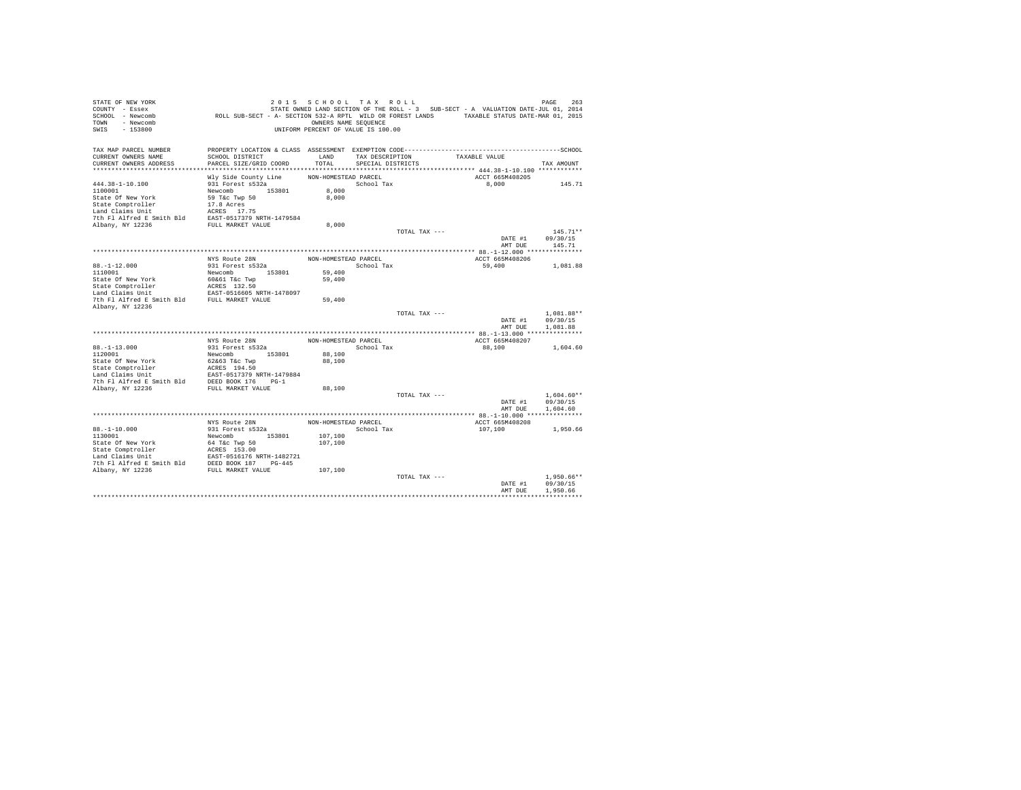| STATE OF NEW YORK<br>COUNTY - Essex<br>SCHOOL - Newcomb<br>TOWN - Newcomb<br>SWIS<br>$-153800$                                                                                                          | ROLL SUB-SECT - A- SECTION 532-A RPTL WILD OR FOREST LANDS TAXABLE STATUS DATE-MAR 01, 2015 | 2015 SCHOOL TAX ROLL<br>OWNERS NAME SEQUENCE<br>UNIFORM PERCENT OF VALUE IS 100.00 |                   |               | STATE OWNED LAND SECTION OF THE ROLL - 3 SUB-SECT - A VALUATION DATE-JUL 01, 2014 | PAGE<br>263              |
|---------------------------------------------------------------------------------------------------------------------------------------------------------------------------------------------------------|---------------------------------------------------------------------------------------------|------------------------------------------------------------------------------------|-------------------|---------------|-----------------------------------------------------------------------------------|--------------------------|
| TAX MAP PARCEL NUMBER                                                                                                                                                                                   |                                                                                             |                                                                                    |                   |               |                                                                                   |                          |
| CURRENT OWNERS NAME<br>CURRENT OWNERS ADDRESS                                                                                                                                                           | SCHOOL DISTRICT<br>PARCEL SIZE/GRID COORD                                                   | LAND<br>TOTAL                                                                      | TAX DESCRIPTION   |               | TAXABLE VALUE                                                                     |                          |
|                                                                                                                                                                                                         |                                                                                             |                                                                                    | SPECIAL DISTRICTS |               |                                                                                   | TAX AMOUNT               |
|                                                                                                                                                                                                         | Wly Side County Line                                                                        | NON-HOMESTEAD PARCEL                                                               |                   |               | ACCT 665M408205                                                                   |                          |
| $444.38 - 1 - 10.100$                                                                                                                                                                                   | 931 Forest s532a                                                                            |                                                                                    | School Tax        |               | 8,000                                                                             | 145.71                   |
| 1100001                                                                                                                                                                                                 | Newcomb 153801                                                                              | 8,000                                                                              |                   |               |                                                                                   |                          |
| State Of New York                                                                                                                                                                                       | 59 T&c Twp 50                                                                               | 8,000                                                                              |                   |               |                                                                                   |                          |
| State Comptroller                                                                                                                                                                                       | 17.8 Acres                                                                                  |                                                                                    |                   |               |                                                                                   |                          |
| Land Claims Unit                                                                                                                                                                                        | ACRES 17.75                                                                                 |                                                                                    |                   |               |                                                                                   |                          |
| 7th Fl Alfred E Smith Bld EAST-0517379 NRTH-1479584                                                                                                                                                     |                                                                                             |                                                                                    |                   |               |                                                                                   |                          |
| Albany, NY 12236                                                                                                                                                                                        | FULL MARKET VALUE                                                                           | 8,000                                                                              |                   |               |                                                                                   |                          |
|                                                                                                                                                                                                         |                                                                                             |                                                                                    |                   | TOTAL TAX --- |                                                                                   | $145.71**$               |
|                                                                                                                                                                                                         |                                                                                             |                                                                                    |                   |               | DATE #1                                                                           | 09/30/15                 |
|                                                                                                                                                                                                         |                                                                                             |                                                                                    |                   |               | AMT DUE                                                                           | 145.71                   |
|                                                                                                                                                                                                         | NYS Route 28N                                                                               | NON-HOMESTEAD PARCEL                                                               |                   |               | ACCT 665M408206                                                                   |                          |
| $88. - 1 - 12.000$                                                                                                                                                                                      | 931 Forest s532a                                                                            |                                                                                    | School Tax        |               | 59,400                                                                            | 1,081.88                 |
| 1110001                                                                                                                                                                                                 | Newcomb 153801                                                                              | 59,400                                                                             |                   |               |                                                                                   |                          |
| State Of New York                                                                                                                                                                                       | 60&61 T&c Twp                                                                               | 59,400                                                                             |                   |               |                                                                                   |                          |
| State Comptroller                                                                                                                                                                                       | ACRES 132.50                                                                                |                                                                                    |                   |               |                                                                                   |                          |
|                                                                                                                                                                                                         |                                                                                             |                                                                                    |                   |               |                                                                                   |                          |
| Land Claims Unit<br>EAST-0516605 NRTH-1478097<br>7th Fl Alfred E Smith Bld<br>FULL MARKET VALUE                                                                                                         |                                                                                             | 59,400                                                                             |                   |               |                                                                                   |                          |
| Albany, NY 12236                                                                                                                                                                                        |                                                                                             |                                                                                    |                   |               |                                                                                   |                          |
|                                                                                                                                                                                                         |                                                                                             |                                                                                    |                   | TOTAL TAX --- |                                                                                   | 1,081.88**               |
|                                                                                                                                                                                                         |                                                                                             |                                                                                    |                   |               | DATE #1<br>AMT DUE                                                                | 09/30/15<br>1,081.88     |
|                                                                                                                                                                                                         |                                                                                             |                                                                                    |                   |               |                                                                                   |                          |
|                                                                                                                                                                                                         | NYS Route 28N                                                                               | NON-HOMESTEAD PARCEL                                                               |                   |               | ACCT 665M408207                                                                   |                          |
| $88. -1 - 13.000$                                                                                                                                                                                       | 931 Forest s532a                                                                            |                                                                                    | School Tax        |               | 88,100                                                                            | 1,604.60                 |
| 1120001                                                                                                                                                                                                 | Newcomb 153801                                                                              | 88,100                                                                             |                   |               |                                                                                   |                          |
| State Of New York                                                                                                                                                                                       | 62&63 T&c Twp                                                                               | 88,100                                                                             |                   |               |                                                                                   |                          |
|                                                                                                                                                                                                         |                                                                                             |                                                                                    |                   |               |                                                                                   |                          |
|                                                                                                                                                                                                         |                                                                                             |                                                                                    |                   |               |                                                                                   |                          |
|                                                                                                                                                                                                         |                                                                                             |                                                                                    |                   |               |                                                                                   |                          |
| Albany, NY 12236                                                                                                                                                                                        | FULL MARKET VALUE                                                                           | 88,100                                                                             |                   |               |                                                                                   |                          |
|                                                                                                                                                                                                         |                                                                                             |                                                                                    |                   | TOTAL TAX --- |                                                                                   | $1.604.60**$             |
|                                                                                                                                                                                                         |                                                                                             |                                                                                    |                   |               | DATE #1<br>AMT DUE                                                                | 09/30/15<br>1,604.60     |
|                                                                                                                                                                                                         |                                                                                             |                                                                                    |                   |               |                                                                                   |                          |
|                                                                                                                                                                                                         | NYS Route 28N                                                                               | NON-HOMESTEAD PARCEL                                                               |                   |               | ACCT 665M408208                                                                   |                          |
| $88. - 1 - 10.000$                                                                                                                                                                                      | 931 Forest s532a                                                                            |                                                                                    | School Tax        |               | 107,100                                                                           | 1,950.66                 |
| 1130001                                                                                                                                                                                                 | Newcomb 153801                                                                              | 107,100                                                                            |                   |               |                                                                                   |                          |
| State Of New York                                                                                                                                                                                       | 64 T&c Twp 50                                                                               | 107,100                                                                            |                   |               |                                                                                   |                          |
|                                                                                                                                                                                                         |                                                                                             |                                                                                    |                   |               |                                                                                   |                          |
|                                                                                                                                                                                                         |                                                                                             |                                                                                    |                   |               |                                                                                   |                          |
| State Comptroller and Mark 2018<br>Ind Claims Unit<br>In the MASE 153.00<br>Land Claims Unit<br>The Platfred E Smith Bld<br>DEED BOOK 187<br>PLAT MARKET VALUE<br>Albany, NY 12236<br>FULL MARKET VALUE |                                                                                             |                                                                                    |                   |               |                                                                                   |                          |
|                                                                                                                                                                                                         |                                                                                             | 107,100                                                                            |                   |               |                                                                                   |                          |
|                                                                                                                                                                                                         |                                                                                             |                                                                                    |                   | TOTAL TAX --- | DATE #1                                                                           | $1.950.66**$<br>09/30/15 |
|                                                                                                                                                                                                         |                                                                                             |                                                                                    |                   |               | AMT DUE                                                                           | 1,950.66                 |
|                                                                                                                                                                                                         |                                                                                             |                                                                                    |                   |               |                                                                                   |                          |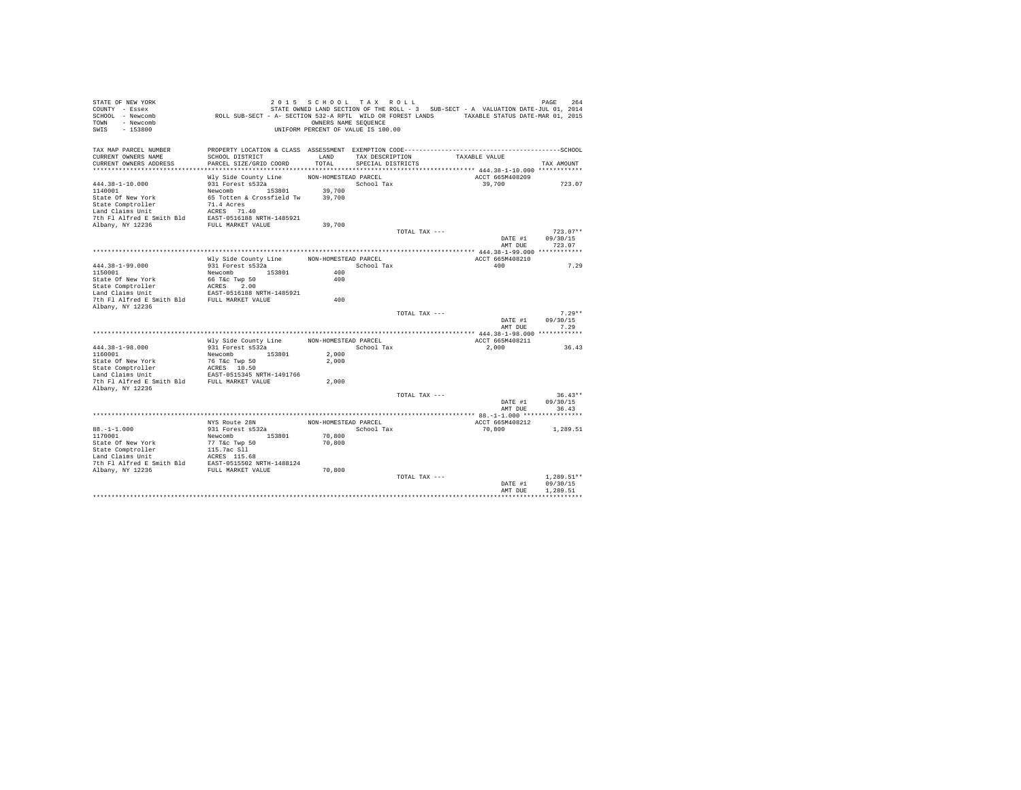| STATE OF NEW YORK<br>COUNTY - Essex<br>SCHOOL - Newcomb<br>TOWN - Newcomb<br>SWIS<br>$-153800$ | ROLL SUB-SECT - A- SECTION 532-A RPTL WILD OR FOREST LANDS TAXABLE STATUS DATE-MAR 01, 2015 | 2015 SCHOOL TAX ROLL<br>OWNERS NAME SEQUENCE<br>UNIFORM PERCENT OF VALUE IS 100.00 |                   |               | STATE OWNED LAND SECTION OF THE ROLL - 3 SUB-SECT - A VALUATION DATE-JUL 01, 2014 | PAGE<br>264            |
|------------------------------------------------------------------------------------------------|---------------------------------------------------------------------------------------------|------------------------------------------------------------------------------------|-------------------|---------------|-----------------------------------------------------------------------------------|------------------------|
| TAX MAP PARCEL NUMBER<br>CURRENT OWNERS NAME                                                   | SCHOOL DISTRICT                                                                             | LAND                                                                               | TAX DESCRIPTION   |               | TAXABLE VALUE                                                                     |                        |
| CURRENT OWNERS ADDRESS                                                                         | PARCEL SIZE/GRID COORD                                                                      | TOTAL                                                                              | SPECIAL DISTRICTS |               |                                                                                   | TAX AMOUNT             |
|                                                                                                |                                                                                             |                                                                                    |                   |               |                                                                                   |                        |
|                                                                                                | Wly Side County Line                                                                        | NON-HOMESTEAD PARCEL                                                               |                   |               | ACCT 665M408209                                                                   |                        |
| $444.38 - 1 - 10.000$                                                                          | 931 Forest s532a                                                                            |                                                                                    | School Tax        |               | 39,700                                                                            | 723.07                 |
| 1140001<br>State Of New York                                                                   | Newcomb 153801<br>65 Totten & Crossfield Tw                                                 | 39,700<br>39,700                                                                   |                   |               |                                                                                   |                        |
| State Comptroller                                                                              | 71.4 Acres                                                                                  |                                                                                    |                   |               |                                                                                   |                        |
| Land Claims Unit                                                                               | ACRES 71.40                                                                                 |                                                                                    |                   |               |                                                                                   |                        |
| 7th Fl Alfred E Smith Bld EAST-0516188 NRTH-1485921                                            |                                                                                             |                                                                                    |                   |               |                                                                                   |                        |
| Albany, NY 12236                                                                               | FULL MARKET VALUE                                                                           | 39,700                                                                             |                   |               |                                                                                   |                        |
|                                                                                                |                                                                                             |                                                                                    |                   | TOTAL TAX --- | DATE #1                                                                           | $723.07**$<br>09/30/15 |
|                                                                                                |                                                                                             |                                                                                    |                   |               | AMT DUE                                                                           | 723.07                 |
|                                                                                                |                                                                                             |                                                                                    |                   |               |                                                                                   |                        |
|                                                                                                | Wly Side County Line                                                                        | NON-HOMESTEAD PARCEL                                                               |                   |               | ACCT 665M408210                                                                   |                        |
| $444.38 - 1 - 99.000$                                                                          | 931 Forest s532a                                                                            |                                                                                    | School Tax        |               | 400                                                                               | 7.29                   |
| 1150001                                                                                        | Newcomb 153801                                                                              | 400                                                                                |                   |               |                                                                                   |                        |
| State Of New York<br>State Comptroller                                                         | 66 T&c Twp 50<br>ACRES 2.00                                                                 | 400                                                                                |                   |               |                                                                                   |                        |
| Land Claims Unit                                                                               | EAST-0516188 NRTH-1485921                                                                   |                                                                                    |                   |               |                                                                                   |                        |
| 7th Fl Alfred E Smith Bld                                                                      | FULL MARKET VALUE                                                                           | 400                                                                                |                   |               |                                                                                   |                        |
| Albany, NY 12236                                                                               |                                                                                             |                                                                                    |                   |               |                                                                                   |                        |
|                                                                                                |                                                                                             |                                                                                    |                   | TOTAL TAX --- |                                                                                   | $7.29**$               |
|                                                                                                |                                                                                             |                                                                                    |                   |               | DATE #1<br>AMT DUR                                                                | 09/30/15<br>7.29       |
|                                                                                                |                                                                                             |                                                                                    |                   |               |                                                                                   |                        |
|                                                                                                | Wly Side County Line                                                                        | NON-HOMESTEAD PARCEL                                                               |                   |               | ACCT 665M408211                                                                   |                        |
| 444.38-1-98.000                                                                                | 931 Forest s532a                                                                            |                                                                                    | School Tax        |               | 2,000                                                                             | 36.43                  |
| 1160001                                                                                        | 153801<br>Newcomb                                                                           | 2,000                                                                              |                   |               |                                                                                   |                        |
| State Of New York<br>State Comptroller                                                         | 76 T&c Twp 50<br>ACRES 10.50                                                                | 2,000                                                                              |                   |               |                                                                                   |                        |
| Land Claims Unit                                                                               | EAST-0515345 NRTH-1491766                                                                   |                                                                                    |                   |               |                                                                                   |                        |
| 7th Fl Alfred E Smith Bld FULL MARKET VALUE                                                    |                                                                                             | 2,000                                                                              |                   |               |                                                                                   |                        |
| Albany, NY 12236                                                                               |                                                                                             |                                                                                    |                   |               |                                                                                   |                        |
|                                                                                                |                                                                                             |                                                                                    |                   | TOTAL TAX --- |                                                                                   | $36.43**$              |
|                                                                                                |                                                                                             |                                                                                    |                   |               | DATE #1<br>AMT DUE                                                                | 09/30/15<br>36.43      |
|                                                                                                |                                                                                             |                                                                                    |                   |               |                                                                                   |                        |
|                                                                                                | NYS Route 28N                                                                               | NON-HOMESTEAD PARCEL                                                               |                   |               | ACCT 665M408212                                                                   |                        |
| $88. - 1 - 1.000$                                                                              | 931 Forest s532a                                                                            |                                                                                    | School Tax        |               | 70,800                                                                            | 1,289.51               |
| 1170001                                                                                        | Newcomb 153801                                                                              | 70,800                                                                             |                   |               |                                                                                   |                        |
| State Of New York<br>State Comptroller                                                         | 77 T&c Twp 50<br>115.7ac Sll                                                                | 70,800                                                                             |                   |               |                                                                                   |                        |
| Land Claims Unit                                                                               | ACRES 115.68                                                                                |                                                                                    |                   |               |                                                                                   |                        |
| 7th Fl Alfred E Smith Bld EAST-0515502 NRTH-1488124                                            |                                                                                             |                                                                                    |                   |               |                                                                                   |                        |
| Albany, NY 12236                                                                               | FULL MARKET VALUE                                                                           | 70,800                                                                             |                   |               |                                                                                   |                        |
|                                                                                                |                                                                                             |                                                                                    |                   | TOTAL TAX --- |                                                                                   | $1.289.51**$           |
|                                                                                                |                                                                                             |                                                                                    |                   |               | DATE #1<br>AMT DUE                                                                | 09/30/15<br>1,289.51   |
|                                                                                                |                                                                                             |                                                                                    |                   |               |                                                                                   |                        |
|                                                                                                |                                                                                             |                                                                                    |                   |               |                                                                                   |                        |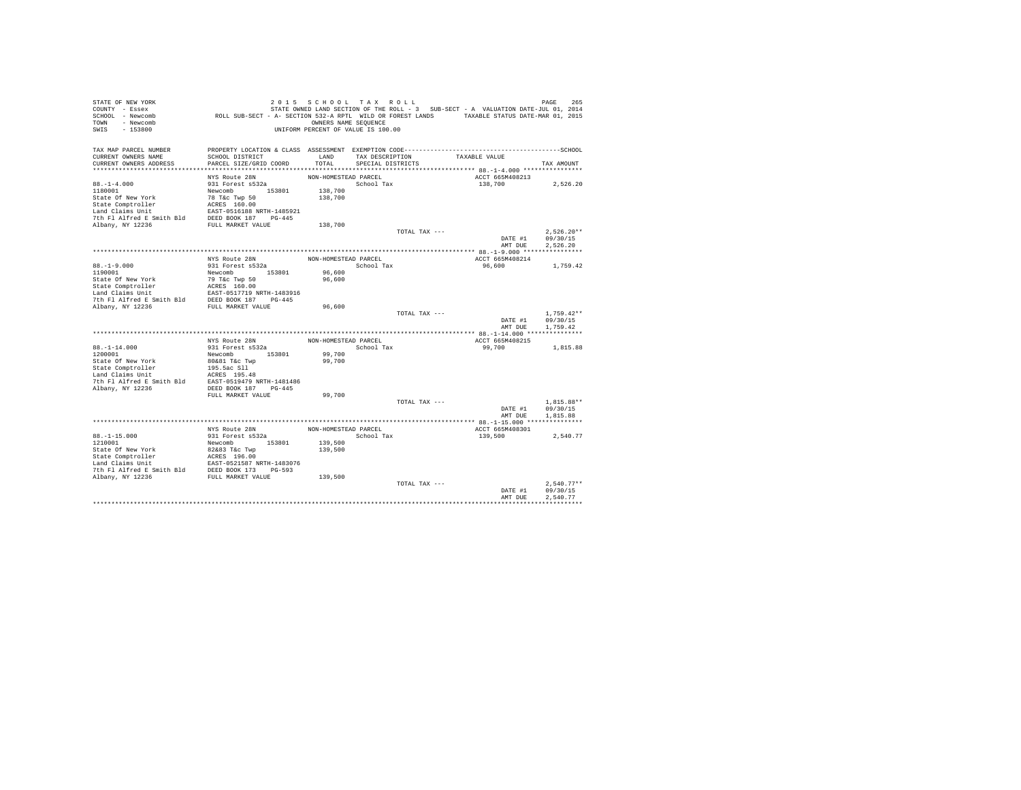| STATE OF NEW YORK<br>COUNTY - Essex                                                                                                                                                                                                                    |                                                     |                                    |                   |               |                                    |                  |
|--------------------------------------------------------------------------------------------------------------------------------------------------------------------------------------------------------------------------------------------------------|-----------------------------------------------------|------------------------------------|-------------------|---------------|------------------------------------|------------------|
| SCHOOL - Newcomb                                                                                                                                                                                                                                       |                                                     |                                    |                   |               |                                    |                  |
| TOWN - Newcomb                                                                                                                                                                                                                                         |                                                     | OWNERS NAME SEQUENCE               |                   |               |                                    |                  |
| SWIS<br>$-153800$                                                                                                                                                                                                                                      |                                                     | UNIFORM PERCENT OF VALUE IS 100.00 |                   |               |                                    |                  |
| TAX MAP PARCEL NUMBER                                                                                                                                                                                                                                  |                                                     |                                    |                   |               |                                    |                  |
| CURRENT OWNERS NAME                                                                                                                                                                                                                                    | SCHOOL DISTRICT                                     |                                    |                   |               | LAND TAX DESCRIPTION TAXABLE VALUE |                  |
| CURRENT OWNERS ADDRESS                                                                                                                                                                                                                                 | PARCEL SIZE/GRID COORD                              | TOTAL                              | SPECIAL DISTRICTS |               |                                    | TAX AMOUNT       |
|                                                                                                                                                                                                                                                        |                                                     |                                    |                   |               |                                    |                  |
|                                                                                                                                                                                                                                                        | NYS Route 28N                                       | NON-HOMESTEAD PARCEL               |                   |               | ACCT 665M408213                    |                  |
| $88. - 1 - 4.000$                                                                                                                                                                                                                                      | 931 Forest s532a                                    |                                    | School Tax        |               | 138,700                            | 2.526.20         |
|                                                                                                                                                                                                                                                        |                                                     | 138,700                            |                   |               |                                    |                  |
|                                                                                                                                                                                                                                                        |                                                     | 138,700                            |                   |               |                                    |                  |
|                                                                                                                                                                                                                                                        |                                                     |                                    |                   |               |                                    |                  |
|                                                                                                                                                                                                                                                        |                                                     |                                    |                   |               |                                    |                  |
|                                                                                                                                                                                                                                                        |                                                     | 138,700                            |                   |               |                                    |                  |
|                                                                                                                                                                                                                                                        |                                                     |                                    |                   | TOTAL TAX --- |                                    | $2.526.20**$     |
|                                                                                                                                                                                                                                                        |                                                     |                                    |                   |               |                                    | DATE #1 09/30/15 |
|                                                                                                                                                                                                                                                        |                                                     |                                    |                   |               | AMT DUE                            | 2,526.20         |
|                                                                                                                                                                                                                                                        |                                                     |                                    |                   |               |                                    |                  |
|                                                                                                                                                                                                                                                        | NYS Route 28N<br>931 Forest s532a                   | NON-HOMESTEAD PARCEL               |                   |               | ACCT 665M408214                    |                  |
| $88. - 1 - 9.000$                                                                                                                                                                                                                                      |                                                     |                                    | School Tax        |               | 96,600 1,759.42                    |                  |
|                                                                                                                                                                                                                                                        |                                                     | 96,600                             |                   |               |                                    |                  |
|                                                                                                                                                                                                                                                        |                                                     | 96,600                             |                   |               |                                    |                  |
|                                                                                                                                                                                                                                                        |                                                     |                                    |                   |               |                                    |                  |
|                                                                                                                                                                                                                                                        |                                                     |                                    |                   |               |                                    |                  |
| 0119001<br>119001<br>State Of New York<br>The Tack of New York<br>The Mexicomb<br>State Comptroller<br>Land Claims Unit<br>The Flatford ESS 160.00<br>Land Claims Unit<br>The Flatford ESS 160.00<br>Albany, NY 12236<br>FULL MARKET VALUE<br>TULL MAR |                                                     | 96,600                             |                   |               |                                    |                  |
|                                                                                                                                                                                                                                                        |                                                     |                                    |                   | TOTAL TAX --- |                                    | $1.759.42**$     |
|                                                                                                                                                                                                                                                        |                                                     |                                    |                   |               |                                    | DATE #1 09/30/15 |
|                                                                                                                                                                                                                                                        |                                                     |                                    |                   |               | AMT DUE                            | 1,759.42         |
|                                                                                                                                                                                                                                                        |                                                     |                                    |                   |               |                                    |                  |
|                                                                                                                                                                                                                                                        | NYS Route 28N                                       | NON-HOMESTEAD PARCEL               |                   |               | ACCT 665M408215                    |                  |
| $88. - 1 - 14.000$                                                                                                                                                                                                                                     |                                                     |                                    | School Tax        |               | 99,700                             | 1,815.88         |
| 1200001                                                                                                                                                                                                                                                | 931 Forest s532a<br>Newcomb 153801<br>80&81 T&c Twp | 99,700                             |                   |               |                                    |                  |
| State Of New York                                                                                                                                                                                                                                      |                                                     | 99,700                             |                   |               |                                    |                  |
|                                                                                                                                                                                                                                                        |                                                     |                                    |                   |               |                                    |                  |
| State Cometroller and the construction<br>195.5ac S11<br>Land Claims Unit 195.5ac S11<br>2010 195.5ac S11<br>2010 197.848 EAST-0519479 NRTH-1481486<br>2021 20236 DEED BOOK 187 PG-445                                                                 |                                                     |                                    |                   |               |                                    |                  |
|                                                                                                                                                                                                                                                        |                                                     |                                    |                   |               |                                    |                  |
|                                                                                                                                                                                                                                                        | FULL MARKET VALUE                                   | 99,700                             |                   |               |                                    |                  |
|                                                                                                                                                                                                                                                        |                                                     |                                    |                   | TOTAL TAX --- |                                    | $1,815.88**$     |
|                                                                                                                                                                                                                                                        |                                                     |                                    |                   |               | DATE #1                            | 09/30/15         |
|                                                                                                                                                                                                                                                        |                                                     |                                    |                   |               | AMT DUE                            | 1.815.88         |
|                                                                                                                                                                                                                                                        |                                                     |                                    |                   |               |                                    |                  |
|                                                                                                                                                                                                                                                        | NYS Route 28N                                       | NON-HOMESTEAD PARCEL               |                   |               | ACCT 665M408301                    |                  |
|                                                                                                                                                                                                                                                        |                                                     | 139,500                            | School Tax        |               | 139,500                            | 2,540.77         |
|                                                                                                                                                                                                                                                        |                                                     |                                    |                   |               |                                    |                  |
| 88.-1-15.000<br>931 Forest S522a<br>12000101<br>931 Forest S522a<br>State Of New York<br>82683 T&c Twp 153801<br>932 State Comptroller<br>139,500<br>State Comptroller<br>139,500<br>The Fl Alfred E Smith Bld<br>7th Fl Alfred E Smith Bld<br>PED     |                                                     |                                    |                   |               |                                    |                  |
|                                                                                                                                                                                                                                                        |                                                     |                                    |                   |               |                                    |                  |
|                                                                                                                                                                                                                                                        |                                                     |                                    |                   |               |                                    |                  |
|                                                                                                                                                                                                                                                        |                                                     |                                    |                   |               |                                    |                  |
|                                                                                                                                                                                                                                                        |                                                     |                                    |                   | TOTAL TAX --- |                                    | $2.540.77**$     |
|                                                                                                                                                                                                                                                        |                                                     |                                    |                   |               | DATE #1                            | 09/30/15         |
|                                                                                                                                                                                                                                                        |                                                     |                                    |                   |               | AMT DUE                            | 2.540.77         |
|                                                                                                                                                                                                                                                        |                                                     |                                    |                   |               |                                    |                  |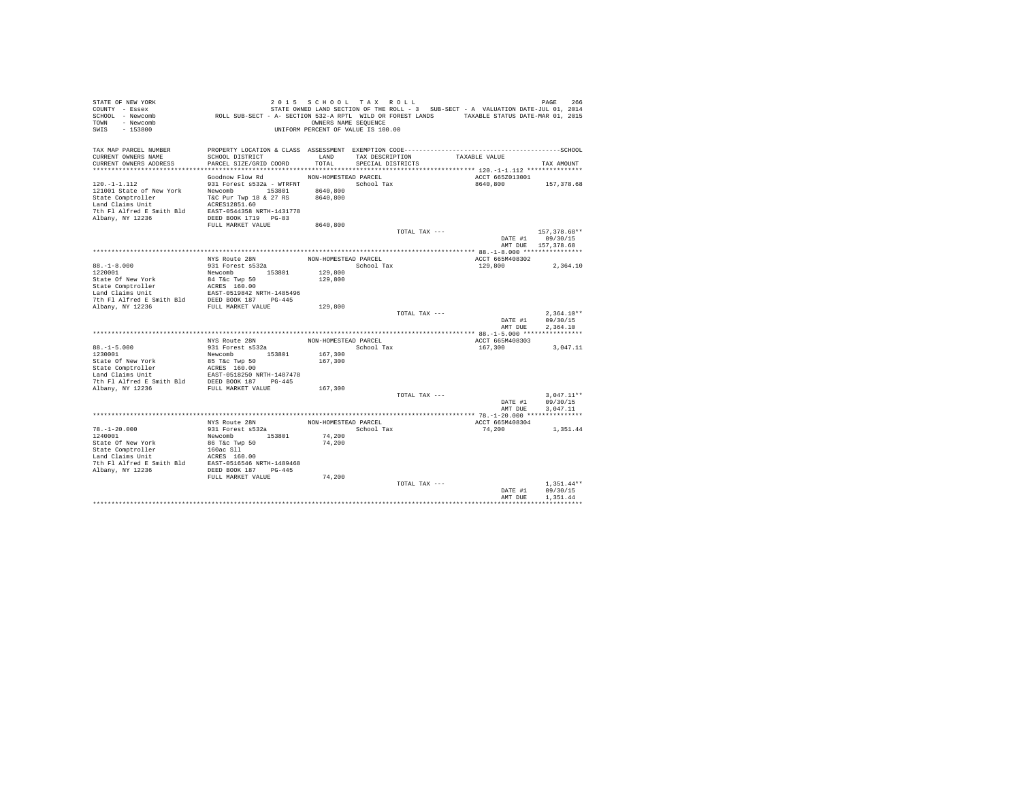| STATE OF NEW YORK                              |                                                                                             | 2015 SCHOOL TAX ROLL               |                   |               |                                                                                   | 266<br>PAGE              |
|------------------------------------------------|---------------------------------------------------------------------------------------------|------------------------------------|-------------------|---------------|-----------------------------------------------------------------------------------|--------------------------|
| COUNTY - Essex                                 |                                                                                             |                                    |                   |               | STATE OWNED LAND SECTION OF THE ROLL - 3 SUB-SECT - A VALUATION DATE-JUL 01, 2014 |                          |
| SCHOOL - Newcomb                               | ROLL SUB-SECT - A- SECTION 532-A RPTL WILD OR FOREST LANDS TAXABLE STATUS DATE-MAR 01, 2015 |                                    |                   |               |                                                                                   |                          |
| TOWN - Newcomb                                 |                                                                                             | OWNERS NAME SEQUENCE               |                   |               |                                                                                   |                          |
| SWIS<br>$-153800$                              |                                                                                             | UNIFORM PERCENT OF VALUE IS 100.00 |                   |               |                                                                                   |                          |
|                                                |                                                                                             |                                    |                   |               |                                                                                   |                          |
| TAX MAP PARCEL NUMBER<br>CURRENT OWNERS NAME   | SCHOOL DISTRICT                                                                             | LAND                               | TAX DESCRIPTION   |               | TAXABLE VALUE                                                                     |                          |
| CURRENT OWNERS ADDRESS                         | PARCEL SIZE/GRID COORD                                                                      | TOTAL                              | SPECIAL DISTRICTS |               |                                                                                   | TAX AMOUNT               |
|                                                |                                                                                             |                                    |                   |               |                                                                                   |                          |
|                                                | Goodnow Flow Rd                                                                             | NON-HOMESTEAD PARCEL               |                   |               | ACCT 665Z013001                                                                   |                          |
| $120. -1 - 1.112$                              | 931 Forest s532a - WTRFNT                                                                   |                                    | School Tax        |               | 8640,800                                                                          | 157,378.68               |
| 121001 State of New York                       | Newcomb 153801                                                                              | 8640,800                           |                   |               |                                                                                   |                          |
| State Comptroller                              | T&C Pur Twp 18 & 27 RS                                                                      | 8640,800                           |                   |               |                                                                                   |                          |
| Land Claims Unit                               | ACRES12851.60                                                                               |                                    |                   |               |                                                                                   |                          |
| 7th Fl Alfred E Smith Bld                      | EAST-0544358 NRTH-1431778                                                                   |                                    |                   |               |                                                                                   |                          |
| Albany, NY 12236                               | DEED BOOK 1719 PG-83                                                                        |                                    |                   |               |                                                                                   |                          |
|                                                | FULL MARKET VALUE                                                                           | 8640,800                           |                   |               |                                                                                   |                          |
|                                                |                                                                                             |                                    |                   | TOTAL TAX --- |                                                                                   | 157,378.68**             |
|                                                |                                                                                             |                                    |                   |               | DATE #1                                                                           | 09/30/15                 |
|                                                |                                                                                             |                                    |                   |               |                                                                                   | AMT DUE 157,378.68       |
|                                                |                                                                                             |                                    |                   |               |                                                                                   |                          |
|                                                | NYS Route 28N                                                                               | NON-HOMESTEAD PARCEL               |                   |               | ACCT 665M408302                                                                   |                          |
| $88. - 1 - 8.000$                              | 931 Forest s532a                                                                            |                                    | School Tax        |               | 129,800                                                                           | 2,364.10                 |
| 1220001                                        | Newcomb 153801                                                                              | 129,800                            |                   |               |                                                                                   |                          |
| State Of New York                              | 84 T&C Twp 50<br>ACRES 160.00<br>EAST-0519842 NRTH-1485496                                  | 129,800                            |                   |               |                                                                                   |                          |
| State Comptroller<br>Land Claims Unit          |                                                                                             |                                    |                   |               |                                                                                   |                          |
|                                                |                                                                                             |                                    |                   |               |                                                                                   |                          |
| 7th Fl Alfred E Smith Bld DEED BOOK 187 PG-445 |                                                                                             |                                    |                   |               |                                                                                   |                          |
| Albany, NY 12236                               | FULL MARKET VALUE                                                                           | 129,800                            |                   |               |                                                                                   |                          |
|                                                |                                                                                             |                                    |                   | TOTAL TAX --- | DATE #1                                                                           | $2.364.10**$<br>09/30/15 |
|                                                |                                                                                             |                                    |                   |               | AMT DUE                                                                           | 2.364.10                 |
|                                                |                                                                                             |                                    |                   |               |                                                                                   |                          |
|                                                | NYS Route 28N                                                                               | NON-HOMESTEAD PARCEL               |                   |               | ACCT 665M408303                                                                   |                          |
| $88. - 1 - 5.000$                              | 931 Forest s532a                                                                            |                                    | School Tax        |               | 167,300                                                                           | 3.047.11                 |
| 1230001                                        | Newcomb 153801                                                                              | 167.300                            |                   |               |                                                                                   |                          |
| State Of New York                              | 85 T&c Twp 50                                                                               | 167,300                            |                   |               |                                                                                   |                          |
|                                                |                                                                                             |                                    |                   |               |                                                                                   |                          |
| State Comptroller<br>Land Claims Unit          | ACRES 160.00<br>EAST-0518250 NRTH-1487478                                                   |                                    |                   |               |                                                                                   |                          |
| 7th Fl Alfred E Smith Bld DEED BOOK 187 PG-445 |                                                                                             |                                    |                   |               |                                                                                   |                          |
| Albany, NY 12236                               | FULL MARKET VALUE                                                                           | 167,300                            |                   |               |                                                                                   |                          |
|                                                |                                                                                             |                                    |                   | TOTAL TAX --- |                                                                                   | $3,047.11**$             |
|                                                |                                                                                             |                                    |                   |               | DATE #1                                                                           | 09/30/15                 |
|                                                |                                                                                             |                                    |                   |               | AMT DUE                                                                           | 3,047.11                 |
|                                                |                                                                                             |                                    |                   |               |                                                                                   |                          |
|                                                | NYS Route 28N                                                                               | NON-HOMESTEAD PARCEL               |                   |               | ACCT 665M408304                                                                   |                          |
| $78. - 1 - 20.000$                             | 931 Forest s532a                                                                            |                                    | School Tax        |               | 74,200                                                                            | 1,351.44                 |
| 1240001                                        | Newcomb 153801                                                                              | 74,200                             |                   |               |                                                                                   |                          |
| State Of New York                              | 86 T&c Twp 50                                                                               | 74,200                             |                   |               |                                                                                   |                          |
| State Comptroller<br>Land Claims Unit          | 160ac Sll                                                                                   |                                    |                   |               |                                                                                   |                          |
|                                                | ACRES 160.00<br>EAST-0516546 NRTH-1489468                                                   |                                    |                   |               |                                                                                   |                          |
| 7th Fl Alfred E Smith Bld<br>Albany, NY 12236  | DEED BOOK 187 PG-445                                                                        |                                    |                   |               |                                                                                   |                          |
|                                                | FULL MARKET VALUE                                                                           | 74,200                             |                   |               |                                                                                   |                          |
|                                                |                                                                                             |                                    |                   | TOTAL TAX --- |                                                                                   | $1.351.44**$             |
|                                                |                                                                                             |                                    |                   |               | DATE #1                                                                           | 09/30/15                 |
|                                                |                                                                                             |                                    |                   |               | AMT DUE                                                                           | 1.351.44                 |
|                                                |                                                                                             |                                    |                   |               |                                                                                   |                          |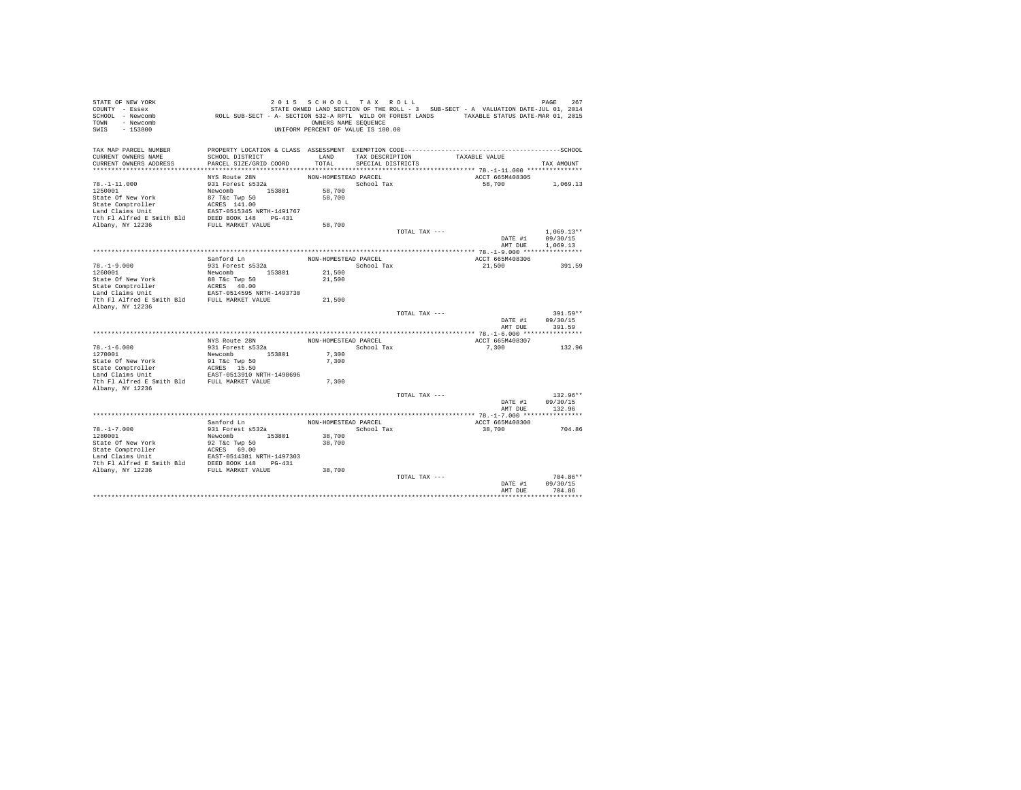| STATE OF NEW YORK<br>COUNTY - Essex<br>SCHOOL - Newcomb<br>TOWN - Newcomb | ROLL SUB-SECT - A- SECTION 532-A RPTL WILD OR FOREST LANDS TAXABLE STATUS DATE-MAR 01, 2015 | 2015 SCHOOL TAX ROLL<br>OWNERS NAME SEQUENCE |                   |               | STATE OWNED LAND SECTION OF THE ROLL - 3 SUB-SECT - A VALUATION DATE-JUL 01, 2014 | PAGE<br>267  |
|---------------------------------------------------------------------------|---------------------------------------------------------------------------------------------|----------------------------------------------|-------------------|---------------|-----------------------------------------------------------------------------------|--------------|
| $-153800$<br>SWIS                                                         |                                                                                             | UNIFORM PERCENT OF VALUE IS 100.00           |                   |               |                                                                                   |              |
| TAX MAP PARCEL NUMBER                                                     |                                                                                             |                                              |                   |               |                                                                                   |              |
| CURRENT OWNERS NAME                                                       | SCHOOL DISTRICT                                                                             | LAND                                         | TAX DESCRIPTION   |               | TAXABLE VALUE                                                                     |              |
| CURRENT OWNERS ADDRESS                                                    | PARCEL SIZE/GRID COORD                                                                      | TOTAL                                        | SPECIAL DISTRICTS |               |                                                                                   | TAX AMOUNT   |
|                                                                           | NYS Route 28N                                                                               | NON-HOMESTEAD PARCEL                         |                   |               | ACCT 665M408305                                                                   |              |
| $78. - 1 - 11.000$                                                        | 931 Forest s532a                                                                            |                                              | School Tax        |               | 58,700                                                                            | 1,069.13     |
| 1250001                                                                   | Newcomb 153801                                                                              | 58,700                                       |                   |               |                                                                                   |              |
| State Of New York                                                         | 87 T&c Twp 50                                                                               | 58,700                                       |                   |               |                                                                                   |              |
| State Comptroller                                                         | ACRES 141.00                                                                                |                                              |                   |               |                                                                                   |              |
| Land Claims Unit                                                          | EAST-0515345 NRTH-1491767                                                                   |                                              |                   |               |                                                                                   |              |
| 7th Fl Alfred E Smith Bld                                                 | DEED BOOK 148 PG-431                                                                        |                                              |                   |               |                                                                                   |              |
| Albany, NY 12236                                                          | FULL MARKET VALUE                                                                           | 58,700                                       |                   |               |                                                                                   |              |
|                                                                           |                                                                                             |                                              |                   | TOTAL TAX --- |                                                                                   | $1.069.13**$ |
|                                                                           |                                                                                             |                                              |                   |               | DATE #1                                                                           | 09/30/15     |
|                                                                           |                                                                                             |                                              |                   |               | AMT DUE                                                                           | 1,069.13     |
|                                                                           |                                                                                             |                                              |                   |               |                                                                                   |              |
| $78. - 1 - 9.000$                                                         | Sanford Ln<br>931 Forest s532a                                                              | NON-HOMESTEAD PARCEL                         | School Tax        |               | ACCT 665M408306<br>21,500                                                         | 391.59       |
| 1260001                                                                   | Newcomb 153801                                                                              | 21,500                                       |                   |               |                                                                                   |              |
| State Of New York                                                         | 88 T&c Twp 50                                                                               | 21,500                                       |                   |               |                                                                                   |              |
| State Comptroller                                                         | ACRES 40.00                                                                                 |                                              |                   |               |                                                                                   |              |
| Land Claims Unit                                                          | EAST-0514595 NRTH-1493730                                                                   |                                              |                   |               |                                                                                   |              |
| 7th Fl Alfred E Smith Bld                                                 | FULL MARKET VALUE                                                                           | 21,500                                       |                   |               |                                                                                   |              |
| Albany, NY 12236                                                          |                                                                                             |                                              |                   |               |                                                                                   |              |
|                                                                           |                                                                                             |                                              |                   | TOTAL TAX --- |                                                                                   | 391.59**     |
|                                                                           |                                                                                             |                                              |                   |               | DATE #1                                                                           | 09/30/15     |
|                                                                           |                                                                                             |                                              |                   |               | AMT DUE                                                                           | 391.59       |
|                                                                           | NYS Route 28N                                                                               | NON-HOMESTEAD PARCEL                         |                   |               | ACCT 665M408307                                                                   |              |
| $78. - 1 - 6.000$                                                         | 931 Forest s532a                                                                            |                                              | School Tax        |               | 7.300                                                                             | 132.96       |
| 1270001                                                                   | 153801<br>Newcomb                                                                           | 7.300                                        |                   |               |                                                                                   |              |
| State Of New York                                                         | 91 T&C Twp 50                                                                               | 7.300                                        |                   |               |                                                                                   |              |
| State Comptroller                                                         | ACRES 15.50                                                                                 |                                              |                   |               |                                                                                   |              |
| Land Claims Unit                                                          | EAST-0513910 NRTH-1498696                                                                   |                                              |                   |               |                                                                                   |              |
| 7th Fl Alfred E Smith Bld                                                 | FULL MARKET VALUE                                                                           | 7.300                                        |                   |               |                                                                                   |              |
| Albany, NY 12236                                                          |                                                                                             |                                              |                   |               |                                                                                   |              |
|                                                                           |                                                                                             |                                              |                   | TOTAL TAX --- |                                                                                   | $132.96**$   |
|                                                                           |                                                                                             |                                              |                   |               | DATE #1                                                                           | 09/30/15     |
|                                                                           |                                                                                             |                                              |                   |               | AMT DUE                                                                           | 132.96       |
|                                                                           | Sanford Ln                                                                                  | NON-HOMESTEAD PARCEL                         |                   |               | ACCT 665M408308                                                                   |              |
| $78. - 1 - 7.000$                                                         | 931 Forest s532a                                                                            |                                              | School Tax        |               | 38,700                                                                            | 704.86       |
| 1280001                                                                   | Newcomb 153801                                                                              | 38,700                                       |                   |               |                                                                                   |              |
| State Of New York                                                         | 92 T&c Twp 50                                                                               | 38,700                                       |                   |               |                                                                                   |              |
| State Comptroller                                                         |                                                                                             |                                              |                   |               |                                                                                   |              |
| Land Claims Unit                                                          | ACRES 69.00<br>EAST-0514381 NRTH-1497303                                                    |                                              |                   |               |                                                                                   |              |
| 7th Fl Alfred E Smith Bld DEED BOOK 148 PG-431                            |                                                                                             |                                              |                   |               |                                                                                   |              |
| Albany, NY 12236                                                          | FULL MARKET VALUE                                                                           | 38,700                                       |                   |               |                                                                                   |              |
|                                                                           |                                                                                             |                                              |                   | TOTAL TAX --- |                                                                                   | 704.86**     |
|                                                                           |                                                                                             |                                              |                   |               | DATE #1                                                                           | 09/30/15     |
|                                                                           |                                                                                             |                                              |                   |               | AMT DUE                                                                           | 704.86       |
|                                                                           |                                                                                             |                                              |                   |               |                                                                                   |              |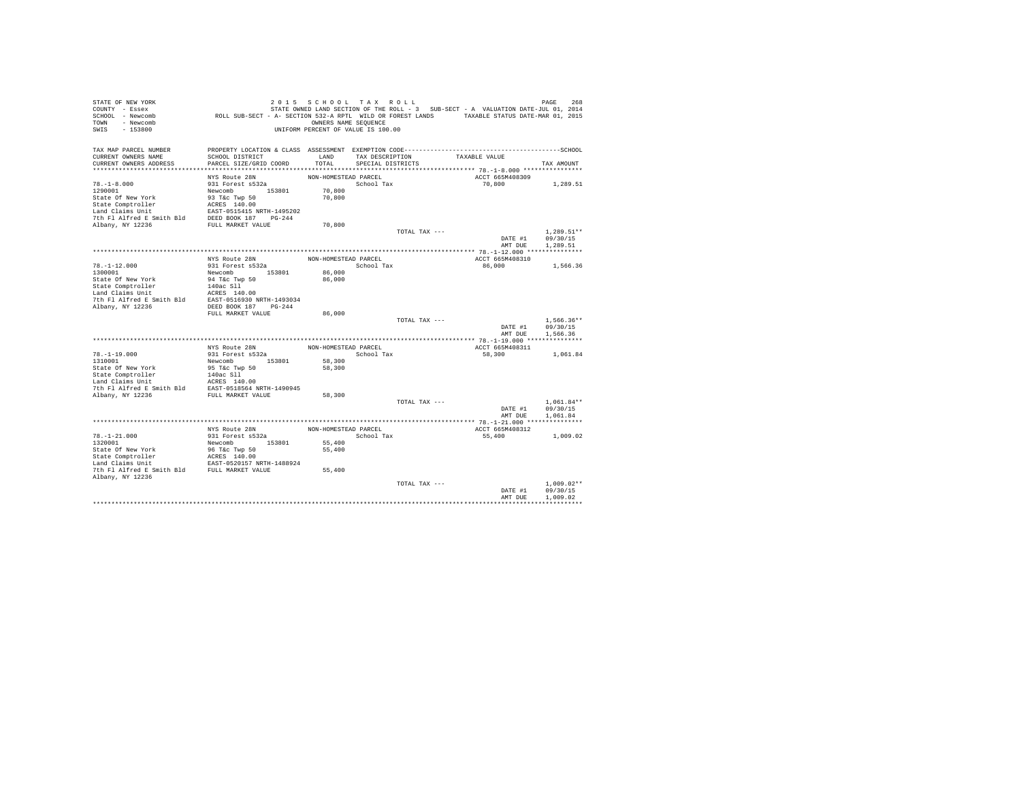| STATE OF NEW YORK<br>COUNTY - Essex                                                                                                                                    |                                                                                             |                      | 2015 SCHOOL TAX ROLL               |               | STATE OWNED LAND SECTION OF THE ROLL - 3 SUB-SECT - A VALUATION DATE-JUL 01, 2014 | PAGE<br>268                  |
|------------------------------------------------------------------------------------------------------------------------------------------------------------------------|---------------------------------------------------------------------------------------------|----------------------|------------------------------------|---------------|-----------------------------------------------------------------------------------|------------------------------|
| SCHOOL - Newcomb                                                                                                                                                       | ROLL SUB-SECT - A- SECTION 532-A RPTL WILD OR FOREST LANDS TAXABLE STATUS DATE-MAR 01, 2015 |                      |                                    |               |                                                                                   |                              |
| TOWN - Newcomb                                                                                                                                                         |                                                                                             | OWNERS NAME SEQUENCE |                                    |               |                                                                                   |                              |
| SWIS<br>$-153800$                                                                                                                                                      |                                                                                             |                      | UNIFORM PERCENT OF VALUE IS 100.00 |               |                                                                                   |                              |
| TAX MAP PARCEL NUMBER                                                                                                                                                  |                                                                                             |                      |                                    |               |                                                                                   |                              |
| CURRENT OWNERS NAME                                                                                                                                                    | SCHOOL DISTRICT                                                                             | LAND                 | TAX DESCRIPTION                    |               | TAXABLE VALUE                                                                     |                              |
| CURRENT OWNERS ADDRESS                                                                                                                                                 | PARCEL SIZE/GRID COORD                                                                      | TOTAL                | SPECIAL DISTRICTS                  |               |                                                                                   | TAX AMOUNT                   |
|                                                                                                                                                                        |                                                                                             |                      |                                    |               |                                                                                   |                              |
|                                                                                                                                                                        | NYS Route 28N                                                                               | NON-HOMESTEAD PARCEL |                                    |               | ACCT 665M408309                                                                   |                              |
| $78. - 1 - 8.000$<br>1290001                                                                                                                                           | 931 Forest s532a                                                                            |                      | School Tax                         |               | 70,800                                                                            | 1,289.51                     |
| State Of New York                                                                                                                                                      | Newcomb 153801<br>93 T&c Twp 50                                                             | 70,800<br>70,800     |                                    |               |                                                                                   |                              |
|                                                                                                                                                                        |                                                                                             |                      |                                    |               |                                                                                   |                              |
|                                                                                                                                                                        |                                                                                             |                      |                                    |               |                                                                                   |                              |
|                                                                                                                                                                        |                                                                                             |                      |                                    |               |                                                                                   |                              |
| State Comptroller 2018<br>Land Claims bnit 1495202<br>Land Claims bnit 1495202<br>The Fl Alfred E Smith Bld<br>PED BOOK 187 PG-244<br>PULL MARKET VALUE                |                                                                                             | 70,800               |                                    |               |                                                                                   |                              |
|                                                                                                                                                                        |                                                                                             |                      |                                    | TOTAL TAX --- |                                                                                   | $1.289.51**$                 |
|                                                                                                                                                                        |                                                                                             |                      |                                    |               |                                                                                   | DATE #1 09/30/15             |
|                                                                                                                                                                        |                                                                                             |                      |                                    |               | AMT DUE                                                                           | 1,289.51                     |
|                                                                                                                                                                        |                                                                                             |                      |                                    |               |                                                                                   |                              |
|                                                                                                                                                                        | NYS Route 28N<br>931 Forest s532a                                                           | NON-HOMESTEAD PARCEL |                                    |               | ACCT 665M408310                                                                   |                              |
| $78. -1 - 12.000$                                                                                                                                                      |                                                                                             | 86,000               | School Tax                         |               | 86,000                                                                            | 1,566.36                     |
|                                                                                                                                                                        |                                                                                             | 86,000               |                                    |               |                                                                                   |                              |
|                                                                                                                                                                        |                                                                                             |                      |                                    |               |                                                                                   |                              |
|                                                                                                                                                                        |                                                                                             |                      |                                    |               |                                                                                   |                              |
|                                                                                                                                                                        |                                                                                             |                      |                                    |               |                                                                                   |                              |
| Albany, NY 12236                                                                                                                                                       | DEED BOOK 187 PG-244                                                                        |                      |                                    |               |                                                                                   |                              |
|                                                                                                                                                                        | FULL MARKET VALUE                                                                           | 86,000               |                                    |               |                                                                                   |                              |
|                                                                                                                                                                        |                                                                                             |                      |                                    | TOTAL TAX --- |                                                                                   | $1.566.36**$                 |
|                                                                                                                                                                        |                                                                                             |                      |                                    |               | AMT DUE                                                                           | DATE #1 09/30/15<br>1,566.36 |
|                                                                                                                                                                        |                                                                                             |                      |                                    |               |                                                                                   |                              |
|                                                                                                                                                                        | NYS Route 28N                                                                               | NON-HOMESTEAD PARCEL |                                    |               | ACCT 665M408311                                                                   |                              |
| $78. -1 - 19.000$                                                                                                                                                      | 931 Forest s532a                                                                            |                      | School Tax                         |               | 58,300                                                                            | 1,061.84                     |
| 1310001                                                                                                                                                                | Newcomb 153801                                                                              | 58,300               |                                    |               |                                                                                   |                              |
|                                                                                                                                                                        |                                                                                             | 58,300               |                                    |               |                                                                                   |                              |
|                                                                                                                                                                        |                                                                                             |                      |                                    |               |                                                                                   |                              |
|                                                                                                                                                                        |                                                                                             |                      |                                    |               |                                                                                   |                              |
|                                                                                                                                                                        |                                                                                             |                      |                                    |               |                                                                                   |                              |
|                                                                                                                                                                        |                                                                                             | 58,300               |                                    |               |                                                                                   |                              |
|                                                                                                                                                                        |                                                                                             |                      |                                    | TOTAL TAX --- | DATE #1                                                                           | $1,061.84**$<br>09/30/15     |
|                                                                                                                                                                        |                                                                                             |                      |                                    |               | AMT DUE                                                                           | 1,061.84                     |
|                                                                                                                                                                        |                                                                                             |                      |                                    |               |                                                                                   |                              |
|                                                                                                                                                                        | NYS Route 28N                                                                               | NON-HOMESTEAD PARCEL |                                    |               | ACCT 665M408312                                                                   |                              |
| $78. - 1 - 21.000$                                                                                                                                                     | 931 Forest s532a                                                                            |                      | School Tax                         |               | 55,400                                                                            | 1,009.02                     |
| 1320001                                                                                                                                                                | Newcomb 153801                                                                              | 55,400               |                                    |               |                                                                                   |                              |
| State Of New York and So Tac Twp 50<br>State Comptroller and CRESS 140.00<br>Land Claims Unit EAST-0520157 NRTH-1488924<br>The F1 Alfred E Smith Bld FULL MARKET VALUE |                                                                                             | 55,400               |                                    |               |                                                                                   |                              |
|                                                                                                                                                                        |                                                                                             |                      |                                    |               |                                                                                   |                              |
|                                                                                                                                                                        |                                                                                             |                      |                                    |               |                                                                                   |                              |
| Albany, NY 12236                                                                                                                                                       |                                                                                             | 55,400               |                                    |               |                                                                                   |                              |
|                                                                                                                                                                        |                                                                                             |                      |                                    | TOTAL TAX --- |                                                                                   | $1.009.02**$                 |
|                                                                                                                                                                        |                                                                                             |                      |                                    |               | DATE #1                                                                           | 09/30/15                     |
|                                                                                                                                                                        |                                                                                             |                      |                                    |               | AMT DUE                                                                           | 1,009.02                     |
|                                                                                                                                                                        |                                                                                             |                      |                                    |               |                                                                                   |                              |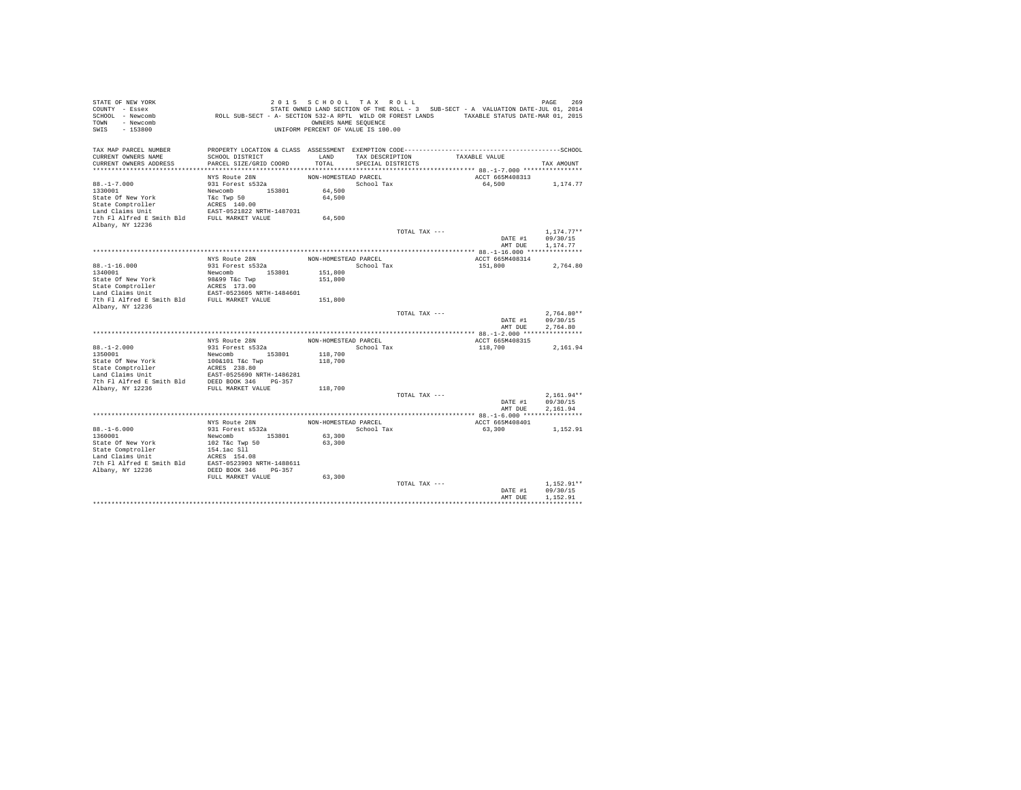| STATE OF NEW YORK                                                  |                                                                                             | 2015 SCHOOL TAX ROLL               |                   |               |                                                                                   | PAGE<br>269          |
|--------------------------------------------------------------------|---------------------------------------------------------------------------------------------|------------------------------------|-------------------|---------------|-----------------------------------------------------------------------------------|----------------------|
| COUNTY - Essex                                                     |                                                                                             |                                    |                   |               | STATE OWNED LAND SECTION OF THE ROLL - 3 SUB-SECT - A VALUATION DATE-JUL 01, 2014 |                      |
| SCHOOL - Newcomb                                                   | ROLL SUB-SECT - A- SECTION 532-A RPTL WILD OR FOREST LANDS TAXABLE STATUS DATE-MAR 01, 2015 |                                    |                   |               |                                                                                   |                      |
| TOWN - Newcomb                                                     |                                                                                             | OWNERS NAME SEQUENCE               |                   |               |                                                                                   |                      |
| SWIS<br>$-153800$                                                  |                                                                                             | UNIFORM PERCENT OF VALUE IS 100.00 |                   |               |                                                                                   |                      |
|                                                                    |                                                                                             |                                    |                   |               |                                                                                   |                      |
|                                                                    |                                                                                             |                                    |                   |               |                                                                                   |                      |
| TAX MAP PARCEL NUMBER<br>CURRENT OWNERS NAME                       | SCHOOL DISTRICT                                                                             | LAND                               |                   |               | TAXABLE VALUE                                                                     |                      |
|                                                                    |                                                                                             |                                    | TAX DESCRIPTION   |               |                                                                                   |                      |
| CURRENT OWNERS ADDRESS                                             | PARCEL SIZE/GRID COORD                                                                      | TOTAL                              | SPECIAL DISTRICTS |               |                                                                                   | TAX AMOUNT           |
|                                                                    |                                                                                             |                                    |                   |               | ACCT 665M408313                                                                   |                      |
|                                                                    | NYS Route 28N                                                                               | NON-HOMESTEAD PARCEL               |                   |               |                                                                                   |                      |
| $88. - 1 - 7.000$                                                  | 931 Forest s532a                                                                            |                                    | School Tax        |               | 64,500                                                                            | 1,174.77             |
| 1330001                                                            | Newcomb 153801                                                                              | 64,500                             |                   |               |                                                                                   |                      |
| State Of New York                                                  | T&c Twp 50                                                                                  | 64,500                             |                   |               |                                                                                   |                      |
| State Comptroller<br>Land Claims Unit                              | ACRES 140.00                                                                                |                                    |                   |               |                                                                                   |                      |
|                                                                    | EAST-0521822 NRTH-1487031                                                                   |                                    |                   |               |                                                                                   |                      |
| 7th Fl Alfred E Smith Bld FULL MARKET VALUE                        |                                                                                             | 64,500                             |                   |               |                                                                                   |                      |
| Albany, NY 12236                                                   |                                                                                             |                                    |                   |               |                                                                                   |                      |
|                                                                    |                                                                                             |                                    |                   | TOTAL TAX --- |                                                                                   | $1,174.77**$         |
|                                                                    |                                                                                             |                                    |                   |               | DATE #1                                                                           | 09/30/15<br>1.174.77 |
|                                                                    |                                                                                             |                                    |                   |               | AMT DUE                                                                           |                      |
|                                                                    |                                                                                             |                                    |                   |               |                                                                                   |                      |
|                                                                    | NYS Route 28N                                                                               | NON-HOMESTEAD PARCEL               |                   |               | ACCT 665M408314                                                                   |                      |
| $88. - 1 - 16.000$<br>1340001                                      | 931 Forest s532a                                                                            |                                    | School Tax        |               | 151,800                                                                           | 2,764.80             |
|                                                                    | Newcomb<br>153801                                                                           | 151,800                            |                   |               |                                                                                   |                      |
| State Of New York                                                  | 98&99 T&c Twp                                                                               | 151,800                            |                   |               |                                                                                   |                      |
| State Comptroller<br>Land Claims Unit                              | ACRES 173.00<br>EAST-0523605 NRTH-1484601                                                   |                                    |                   |               |                                                                                   |                      |
| 7th Fl Alfred E Smith Bld FULL MARKET VALUE                        |                                                                                             | 151,800                            |                   |               |                                                                                   |                      |
| Albany, NY 12236                                                   |                                                                                             |                                    |                   |               |                                                                                   |                      |
|                                                                    |                                                                                             |                                    |                   | TOTAL TAX --- |                                                                                   | $2.764.80**$         |
|                                                                    |                                                                                             |                                    |                   |               | DATE #1                                                                           | 09/30/15             |
|                                                                    |                                                                                             |                                    |                   |               | AMT DUE                                                                           | 2.764.80             |
|                                                                    |                                                                                             |                                    |                   |               |                                                                                   |                      |
|                                                                    | NYS Route 28N                                                                               | NON-HOMESTEAD PARCEL               |                   |               | ACCT 665M408315                                                                   |                      |
| $88. - 1 - 2.000$                                                  | 931 Forest s532a                                                                            |                                    | School Tax        |               | 118,700                                                                           | 2.161.94             |
| 1350001                                                            | Newcomb 153801                                                                              | 118,700                            |                   |               |                                                                                   |                      |
| State Of New York                                                  | 100&101 T&c Twp                                                                             | 118,700                            |                   |               |                                                                                   |                      |
|                                                                    | ACRES 238.80                                                                                |                                    |                   |               |                                                                                   |                      |
| State Comptroller<br>Land Claims Unit                              | EAST-0525690 NRTH-1486281                                                                   |                                    |                   |               |                                                                                   |                      |
|                                                                    |                                                                                             |                                    |                   |               |                                                                                   |                      |
| 7th Fl Alfred E Smith Bld DEED BOOK 346 PG-357<br>Albany, NY 12236 | FULL MARKET VALUE                                                                           | 118,700                            |                   |               |                                                                                   |                      |
|                                                                    |                                                                                             |                                    |                   | TOTAL TAX --- |                                                                                   | $2,161.94**$         |
|                                                                    |                                                                                             |                                    |                   |               | DATE #1                                                                           | 09/30/15             |
|                                                                    |                                                                                             |                                    |                   |               | AMT DUE                                                                           | 2,161.94             |
|                                                                    |                                                                                             |                                    |                   |               |                                                                                   |                      |
|                                                                    | NYS Route 28N                                                                               | NON-HOMESTEAD PARCEL               |                   |               | ACCT 665M408401                                                                   |                      |
| $88. - 1 - 6.000$                                                  | 931 Forest s532a                                                                            |                                    | School Tax        |               | 63,300                                                                            | 1,152.91             |
| 1360001                                                            | Newcomb 153801                                                                              | 63,300                             |                   |               |                                                                                   |                      |
| State Of New York                                                  | 102 T&c Twp 50                                                                              | 63,300                             |                   |               |                                                                                   |                      |
| State Comptroller                                                  | 154.1ac Sll                                                                                 |                                    |                   |               |                                                                                   |                      |
| Land Claims Unit                                                   | ACRES 154.08                                                                                |                                    |                   |               |                                                                                   |                      |
| 7th Fl Alfred E Smith Bld                                          | EAST-0523903 NRTH-1488611                                                                   |                                    |                   |               |                                                                                   |                      |
| Albany, NY 12236                                                   | DEED BOOK 346 PG-357                                                                        |                                    |                   |               |                                                                                   |                      |
|                                                                    | FULL MARKET VALUE                                                                           | 63,300                             |                   |               |                                                                                   |                      |
|                                                                    |                                                                                             |                                    |                   | TOTAL TAX --- |                                                                                   | $1.152.91**$         |
|                                                                    |                                                                                             |                                    |                   |               | DATE #1                                                                           | 09/30/15             |
|                                                                    |                                                                                             |                                    |                   |               | AMT DUE                                                                           | 1,152.91             |
|                                                                    |                                                                                             |                                    |                   |               |                                                                                   |                      |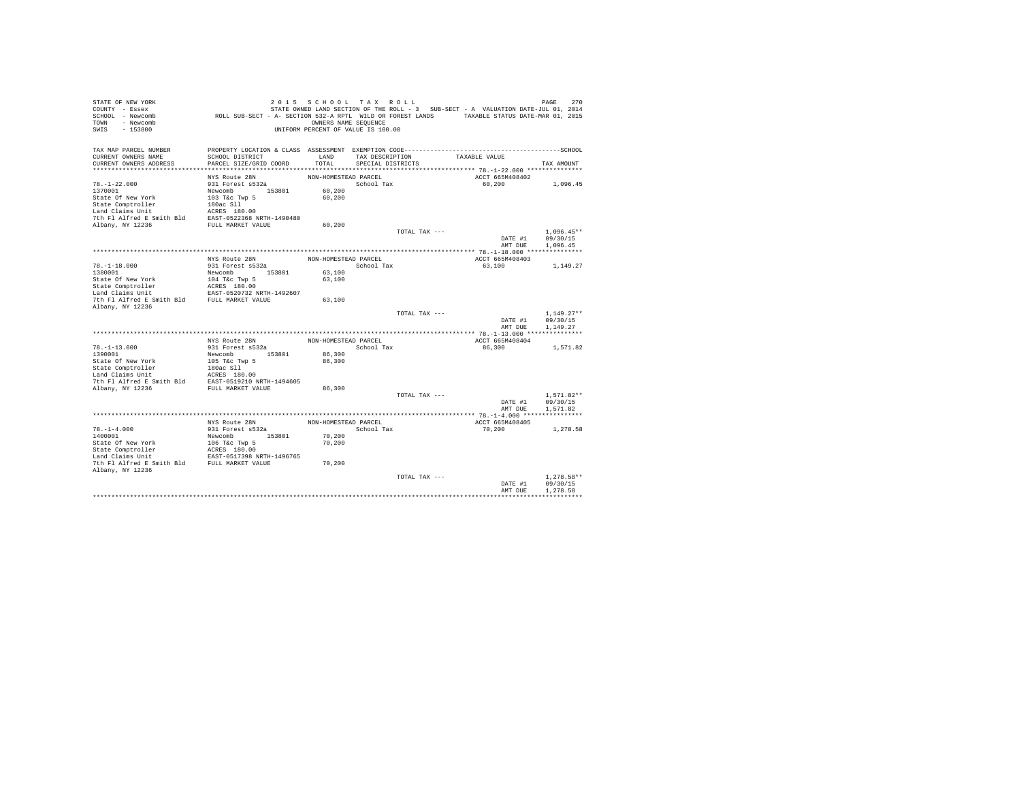| TAX MAP PARCEL NUMBER<br>CURRENT OWNERS NAME<br>SCHOOL DISTRICT<br>LAND<br>TAXABLE VALUE<br>TAX DESCRIPTION<br>TOTAL<br>CURRENT OWNERS ADDRESS<br>PARCEL SIZE/GRID COORD<br>SPECIAL DISTRICTS<br>TAX AMOUNT<br>ACCT 665M408402<br>NYS Route 28N<br>NON-HOMESTEAD PARCEL<br>$78. - 1 - 22.000$<br>931 Forest s532a<br>School Tax<br>60,200<br>1,096.45<br>Newcomb 153801<br>60,200<br>State Of New York<br>103 T&c Twp 5<br>60.200<br>State Comptroller<br>180ac Sll<br>Land Claims Unit<br>ACRES 180.00<br>EAST-0522368 NRTH-1490480<br>7th Fl Alfred E Smith Bld<br>FULL MARKET VALUE<br>Albany, NY 12236<br>60.200<br>$1.096.45**$<br>TOTAL TAX ---<br>09/30/15<br>DATE #1<br>AMT DUE<br>1,096.45<br>NYS Route 28N<br>NON-HOMESTEAD PARCEL<br>ACCT 665M408403<br>$78. - 1 - 18.000$<br>931 Forest s532a<br>School Tax<br>63,100<br>1,149.27<br>1380001<br>Newcomb 153801<br>63,100<br>State Of New York<br>104 T&c Twp 5<br>63,100<br>ACRES 180.00<br>State Comptroller<br>Land Claims Unit<br>EAST-0520732 NRTH-1492607<br>FULL MARKET VALUE<br>7th Fl Alfred E Smith Bld<br>63,100<br>Albany, NY 12236<br>$1.149.27**$<br>TOTAL TAX ---<br>DATE #1<br>09/30/15<br>AMT DUE<br>1.149.27<br>NYS Route 28N<br>NON-HOMESTEAD PARCEL<br>ACCT 665M408404<br>$78. - 1 - 13.000$<br>931 Forest s532a<br>School Tax<br>86,300<br>1,571.82<br>1390001<br>Newcomb<br>153801<br>86,300<br>State Of New York<br>86,300<br>105 T&c Twp 5<br>State Comptroller<br>180ac Sll<br>Land Claims Unit<br>ACRES 180.00<br>EAST-0519210 NRTH-1494605<br>7th Fl Alfred E Smith Bld<br>Albany, NY 12236<br>FULL MARKET VALUE<br>86,300<br>TOTAL TAX ---<br>$1.571.82**$<br>DATE #1<br>09/30/15<br>AMT DUE<br>1.571.82<br>NYS Route 28N<br>NON-HOMESTEAD PARCEL<br>ACCT 665M408405<br>$78. - 1 - 4.000$<br>931 Forest s532a<br>School Tax<br>70,200<br>1,278.58<br>70,200<br>1400001<br>153801<br>Newcomb<br>70,200<br>State Of New York<br>106 T&c Twp 5<br>ACRES 180.00<br>EAST-0517398 NRTH-1496765<br>State Comptroller<br>7th Fl Alfred E Smith Bld FULL MARKET VALUE<br>70,200<br>$1.278.58**$<br>TOTAL TAX ---<br>DATE #1<br>09/30/15<br>1.278.58<br>AMT DUE | STATE OF NEW YORK<br>COUNTY - Essex<br>SCHOOL - Newcomb<br>- Newcomb<br>TOWN<br>$-153800$<br>SWIS | ROLL SUB-SECT - A- SECTION 532-A RPTL WILD OR FOREST LANDS TAXABLE STATUS DATE-MAR 01, 2015 | 2015 SCHOOL TAX ROLL<br>OWNERS NAME SEQUENCE<br>UNIFORM PERCENT OF VALUE IS 100.00 |  | STATE OWNED LAND SECTION OF THE ROLL - 3 SUB-SECT - A VALUATION DATE-JUL 01, 2014 | 270<br>PAGE |
|----------------------------------------------------------------------------------------------------------------------------------------------------------------------------------------------------------------------------------------------------------------------------------------------------------------------------------------------------------------------------------------------------------------------------------------------------------------------------------------------------------------------------------------------------------------------------------------------------------------------------------------------------------------------------------------------------------------------------------------------------------------------------------------------------------------------------------------------------------------------------------------------------------------------------------------------------------------------------------------------------------------------------------------------------------------------------------------------------------------------------------------------------------------------------------------------------------------------------------------------------------------------------------------------------------------------------------------------------------------------------------------------------------------------------------------------------------------------------------------------------------------------------------------------------------------------------------------------------------------------------------------------------------------------------------------------------------------------------------------------------------------------------------------------------------------------------------------------------------------------------------------------------------------------------------------------------------------------------------------------------------------------------------------------------------------------------------------------------------------------------------------------|---------------------------------------------------------------------------------------------------|---------------------------------------------------------------------------------------------|------------------------------------------------------------------------------------|--|-----------------------------------------------------------------------------------|-------------|
|                                                                                                                                                                                                                                                                                                                                                                                                                                                                                                                                                                                                                                                                                                                                                                                                                                                                                                                                                                                                                                                                                                                                                                                                                                                                                                                                                                                                                                                                                                                                                                                                                                                                                                                                                                                                                                                                                                                                                                                                                                                                                                                                              |                                                                                                   |                                                                                             |                                                                                    |  |                                                                                   |             |
|                                                                                                                                                                                                                                                                                                                                                                                                                                                                                                                                                                                                                                                                                                                                                                                                                                                                                                                                                                                                                                                                                                                                                                                                                                                                                                                                                                                                                                                                                                                                                                                                                                                                                                                                                                                                                                                                                                                                                                                                                                                                                                                                              |                                                                                                   |                                                                                             |                                                                                    |  |                                                                                   |             |
|                                                                                                                                                                                                                                                                                                                                                                                                                                                                                                                                                                                                                                                                                                                                                                                                                                                                                                                                                                                                                                                                                                                                                                                                                                                                                                                                                                                                                                                                                                                                                                                                                                                                                                                                                                                                                                                                                                                                                                                                                                                                                                                                              |                                                                                                   |                                                                                             |                                                                                    |  |                                                                                   |             |
|                                                                                                                                                                                                                                                                                                                                                                                                                                                                                                                                                                                                                                                                                                                                                                                                                                                                                                                                                                                                                                                                                                                                                                                                                                                                                                                                                                                                                                                                                                                                                                                                                                                                                                                                                                                                                                                                                                                                                                                                                                                                                                                                              |                                                                                                   |                                                                                             |                                                                                    |  |                                                                                   |             |
|                                                                                                                                                                                                                                                                                                                                                                                                                                                                                                                                                                                                                                                                                                                                                                                                                                                                                                                                                                                                                                                                                                                                                                                                                                                                                                                                                                                                                                                                                                                                                                                                                                                                                                                                                                                                                                                                                                                                                                                                                                                                                                                                              |                                                                                                   |                                                                                             |                                                                                    |  |                                                                                   |             |
|                                                                                                                                                                                                                                                                                                                                                                                                                                                                                                                                                                                                                                                                                                                                                                                                                                                                                                                                                                                                                                                                                                                                                                                                                                                                                                                                                                                                                                                                                                                                                                                                                                                                                                                                                                                                                                                                                                                                                                                                                                                                                                                                              | 1370001                                                                                           |                                                                                             |                                                                                    |  |                                                                                   |             |
|                                                                                                                                                                                                                                                                                                                                                                                                                                                                                                                                                                                                                                                                                                                                                                                                                                                                                                                                                                                                                                                                                                                                                                                                                                                                                                                                                                                                                                                                                                                                                                                                                                                                                                                                                                                                                                                                                                                                                                                                                                                                                                                                              |                                                                                                   |                                                                                             |                                                                                    |  |                                                                                   |             |
|                                                                                                                                                                                                                                                                                                                                                                                                                                                                                                                                                                                                                                                                                                                                                                                                                                                                                                                                                                                                                                                                                                                                                                                                                                                                                                                                                                                                                                                                                                                                                                                                                                                                                                                                                                                                                                                                                                                                                                                                                                                                                                                                              |                                                                                                   |                                                                                             |                                                                                    |  |                                                                                   |             |
|                                                                                                                                                                                                                                                                                                                                                                                                                                                                                                                                                                                                                                                                                                                                                                                                                                                                                                                                                                                                                                                                                                                                                                                                                                                                                                                                                                                                                                                                                                                                                                                                                                                                                                                                                                                                                                                                                                                                                                                                                                                                                                                                              |                                                                                                   |                                                                                             |                                                                                    |  |                                                                                   |             |
|                                                                                                                                                                                                                                                                                                                                                                                                                                                                                                                                                                                                                                                                                                                                                                                                                                                                                                                                                                                                                                                                                                                                                                                                                                                                                                                                                                                                                                                                                                                                                                                                                                                                                                                                                                                                                                                                                                                                                                                                                                                                                                                                              |                                                                                                   |                                                                                             |                                                                                    |  |                                                                                   |             |
|                                                                                                                                                                                                                                                                                                                                                                                                                                                                                                                                                                                                                                                                                                                                                                                                                                                                                                                                                                                                                                                                                                                                                                                                                                                                                                                                                                                                                                                                                                                                                                                                                                                                                                                                                                                                                                                                                                                                                                                                                                                                                                                                              |                                                                                                   |                                                                                             |                                                                                    |  |                                                                                   |             |
|                                                                                                                                                                                                                                                                                                                                                                                                                                                                                                                                                                                                                                                                                                                                                                                                                                                                                                                                                                                                                                                                                                                                                                                                                                                                                                                                                                                                                                                                                                                                                                                                                                                                                                                                                                                                                                                                                                                                                                                                                                                                                                                                              |                                                                                                   |                                                                                             |                                                                                    |  |                                                                                   |             |
|                                                                                                                                                                                                                                                                                                                                                                                                                                                                                                                                                                                                                                                                                                                                                                                                                                                                                                                                                                                                                                                                                                                                                                                                                                                                                                                                                                                                                                                                                                                                                                                                                                                                                                                                                                                                                                                                                                                                                                                                                                                                                                                                              |                                                                                                   |                                                                                             |                                                                                    |  |                                                                                   |             |
|                                                                                                                                                                                                                                                                                                                                                                                                                                                                                                                                                                                                                                                                                                                                                                                                                                                                                                                                                                                                                                                                                                                                                                                                                                                                                                                                                                                                                                                                                                                                                                                                                                                                                                                                                                                                                                                                                                                                                                                                                                                                                                                                              |                                                                                                   |                                                                                             |                                                                                    |  |                                                                                   |             |
|                                                                                                                                                                                                                                                                                                                                                                                                                                                                                                                                                                                                                                                                                                                                                                                                                                                                                                                                                                                                                                                                                                                                                                                                                                                                                                                                                                                                                                                                                                                                                                                                                                                                                                                                                                                                                                                                                                                                                                                                                                                                                                                                              |                                                                                                   |                                                                                             |                                                                                    |  |                                                                                   |             |
|                                                                                                                                                                                                                                                                                                                                                                                                                                                                                                                                                                                                                                                                                                                                                                                                                                                                                                                                                                                                                                                                                                                                                                                                                                                                                                                                                                                                                                                                                                                                                                                                                                                                                                                                                                                                                                                                                                                                                                                                                                                                                                                                              |                                                                                                   |                                                                                             |                                                                                    |  |                                                                                   |             |
|                                                                                                                                                                                                                                                                                                                                                                                                                                                                                                                                                                                                                                                                                                                                                                                                                                                                                                                                                                                                                                                                                                                                                                                                                                                                                                                                                                                                                                                                                                                                                                                                                                                                                                                                                                                                                                                                                                                                                                                                                                                                                                                                              |                                                                                                   |                                                                                             |                                                                                    |  |                                                                                   |             |
|                                                                                                                                                                                                                                                                                                                                                                                                                                                                                                                                                                                                                                                                                                                                                                                                                                                                                                                                                                                                                                                                                                                                                                                                                                                                                                                                                                                                                                                                                                                                                                                                                                                                                                                                                                                                                                                                                                                                                                                                                                                                                                                                              |                                                                                                   |                                                                                             |                                                                                    |  |                                                                                   |             |
|                                                                                                                                                                                                                                                                                                                                                                                                                                                                                                                                                                                                                                                                                                                                                                                                                                                                                                                                                                                                                                                                                                                                                                                                                                                                                                                                                                                                                                                                                                                                                                                                                                                                                                                                                                                                                                                                                                                                                                                                                                                                                                                                              |                                                                                                   |                                                                                             |                                                                                    |  |                                                                                   |             |
|                                                                                                                                                                                                                                                                                                                                                                                                                                                                                                                                                                                                                                                                                                                                                                                                                                                                                                                                                                                                                                                                                                                                                                                                                                                                                                                                                                                                                                                                                                                                                                                                                                                                                                                                                                                                                                                                                                                                                                                                                                                                                                                                              |                                                                                                   |                                                                                             |                                                                                    |  |                                                                                   |             |
|                                                                                                                                                                                                                                                                                                                                                                                                                                                                                                                                                                                                                                                                                                                                                                                                                                                                                                                                                                                                                                                                                                                                                                                                                                                                                                                                                                                                                                                                                                                                                                                                                                                                                                                                                                                                                                                                                                                                                                                                                                                                                                                                              |                                                                                                   |                                                                                             |                                                                                    |  |                                                                                   |             |
|                                                                                                                                                                                                                                                                                                                                                                                                                                                                                                                                                                                                                                                                                                                                                                                                                                                                                                                                                                                                                                                                                                                                                                                                                                                                                                                                                                                                                                                                                                                                                                                                                                                                                                                                                                                                                                                                                                                                                                                                                                                                                                                                              |                                                                                                   |                                                                                             |                                                                                    |  |                                                                                   |             |
|                                                                                                                                                                                                                                                                                                                                                                                                                                                                                                                                                                                                                                                                                                                                                                                                                                                                                                                                                                                                                                                                                                                                                                                                                                                                                                                                                                                                                                                                                                                                                                                                                                                                                                                                                                                                                                                                                                                                                                                                                                                                                                                                              |                                                                                                   |                                                                                             |                                                                                    |  |                                                                                   |             |
|                                                                                                                                                                                                                                                                                                                                                                                                                                                                                                                                                                                                                                                                                                                                                                                                                                                                                                                                                                                                                                                                                                                                                                                                                                                                                                                                                                                                                                                                                                                                                                                                                                                                                                                                                                                                                                                                                                                                                                                                                                                                                                                                              |                                                                                                   |                                                                                             |                                                                                    |  |                                                                                   |             |
|                                                                                                                                                                                                                                                                                                                                                                                                                                                                                                                                                                                                                                                                                                                                                                                                                                                                                                                                                                                                                                                                                                                                                                                                                                                                                                                                                                                                                                                                                                                                                                                                                                                                                                                                                                                                                                                                                                                                                                                                                                                                                                                                              |                                                                                                   |                                                                                             |                                                                                    |  |                                                                                   |             |
|                                                                                                                                                                                                                                                                                                                                                                                                                                                                                                                                                                                                                                                                                                                                                                                                                                                                                                                                                                                                                                                                                                                                                                                                                                                                                                                                                                                                                                                                                                                                                                                                                                                                                                                                                                                                                                                                                                                                                                                                                                                                                                                                              |                                                                                                   |                                                                                             |                                                                                    |  |                                                                                   |             |
|                                                                                                                                                                                                                                                                                                                                                                                                                                                                                                                                                                                                                                                                                                                                                                                                                                                                                                                                                                                                                                                                                                                                                                                                                                                                                                                                                                                                                                                                                                                                                                                                                                                                                                                                                                                                                                                                                                                                                                                                                                                                                                                                              |                                                                                                   |                                                                                             |                                                                                    |  |                                                                                   |             |
|                                                                                                                                                                                                                                                                                                                                                                                                                                                                                                                                                                                                                                                                                                                                                                                                                                                                                                                                                                                                                                                                                                                                                                                                                                                                                                                                                                                                                                                                                                                                                                                                                                                                                                                                                                                                                                                                                                                                                                                                                                                                                                                                              |                                                                                                   |                                                                                             |                                                                                    |  |                                                                                   |             |
|                                                                                                                                                                                                                                                                                                                                                                                                                                                                                                                                                                                                                                                                                                                                                                                                                                                                                                                                                                                                                                                                                                                                                                                                                                                                                                                                                                                                                                                                                                                                                                                                                                                                                                                                                                                                                                                                                                                                                                                                                                                                                                                                              |                                                                                                   |                                                                                             |                                                                                    |  |                                                                                   |             |
|                                                                                                                                                                                                                                                                                                                                                                                                                                                                                                                                                                                                                                                                                                                                                                                                                                                                                                                                                                                                                                                                                                                                                                                                                                                                                                                                                                                                                                                                                                                                                                                                                                                                                                                                                                                                                                                                                                                                                                                                                                                                                                                                              |                                                                                                   |                                                                                             |                                                                                    |  |                                                                                   |             |
|                                                                                                                                                                                                                                                                                                                                                                                                                                                                                                                                                                                                                                                                                                                                                                                                                                                                                                                                                                                                                                                                                                                                                                                                                                                                                                                                                                                                                                                                                                                                                                                                                                                                                                                                                                                                                                                                                                                                                                                                                                                                                                                                              |                                                                                                   |                                                                                             |                                                                                    |  |                                                                                   |             |
|                                                                                                                                                                                                                                                                                                                                                                                                                                                                                                                                                                                                                                                                                                                                                                                                                                                                                                                                                                                                                                                                                                                                                                                                                                                                                                                                                                                                                                                                                                                                                                                                                                                                                                                                                                                                                                                                                                                                                                                                                                                                                                                                              |                                                                                                   |                                                                                             |                                                                                    |  |                                                                                   |             |
|                                                                                                                                                                                                                                                                                                                                                                                                                                                                                                                                                                                                                                                                                                                                                                                                                                                                                                                                                                                                                                                                                                                                                                                                                                                                                                                                                                                                                                                                                                                                                                                                                                                                                                                                                                                                                                                                                                                                                                                                                                                                                                                                              |                                                                                                   |                                                                                             |                                                                                    |  |                                                                                   |             |
|                                                                                                                                                                                                                                                                                                                                                                                                                                                                                                                                                                                                                                                                                                                                                                                                                                                                                                                                                                                                                                                                                                                                                                                                                                                                                                                                                                                                                                                                                                                                                                                                                                                                                                                                                                                                                                                                                                                                                                                                                                                                                                                                              |                                                                                                   |                                                                                             |                                                                                    |  |                                                                                   |             |
|                                                                                                                                                                                                                                                                                                                                                                                                                                                                                                                                                                                                                                                                                                                                                                                                                                                                                                                                                                                                                                                                                                                                                                                                                                                                                                                                                                                                                                                                                                                                                                                                                                                                                                                                                                                                                                                                                                                                                                                                                                                                                                                                              |                                                                                                   |                                                                                             |                                                                                    |  |                                                                                   |             |
|                                                                                                                                                                                                                                                                                                                                                                                                                                                                                                                                                                                                                                                                                                                                                                                                                                                                                                                                                                                                                                                                                                                                                                                                                                                                                                                                                                                                                                                                                                                                                                                                                                                                                                                                                                                                                                                                                                                                                                                                                                                                                                                                              |                                                                                                   |                                                                                             |                                                                                    |  |                                                                                   |             |
|                                                                                                                                                                                                                                                                                                                                                                                                                                                                                                                                                                                                                                                                                                                                                                                                                                                                                                                                                                                                                                                                                                                                                                                                                                                                                                                                                                                                                                                                                                                                                                                                                                                                                                                                                                                                                                                                                                                                                                                                                                                                                                                                              |                                                                                                   |                                                                                             |                                                                                    |  |                                                                                   |             |
|                                                                                                                                                                                                                                                                                                                                                                                                                                                                                                                                                                                                                                                                                                                                                                                                                                                                                                                                                                                                                                                                                                                                                                                                                                                                                                                                                                                                                                                                                                                                                                                                                                                                                                                                                                                                                                                                                                                                                                                                                                                                                                                                              |                                                                                                   |                                                                                             |                                                                                    |  |                                                                                   |             |
|                                                                                                                                                                                                                                                                                                                                                                                                                                                                                                                                                                                                                                                                                                                                                                                                                                                                                                                                                                                                                                                                                                                                                                                                                                                                                                                                                                                                                                                                                                                                                                                                                                                                                                                                                                                                                                                                                                                                                                                                                                                                                                                                              |                                                                                                   |                                                                                             |                                                                                    |  |                                                                                   |             |
|                                                                                                                                                                                                                                                                                                                                                                                                                                                                                                                                                                                                                                                                                                                                                                                                                                                                                                                                                                                                                                                                                                                                                                                                                                                                                                                                                                                                                                                                                                                                                                                                                                                                                                                                                                                                                                                                                                                                                                                                                                                                                                                                              |                                                                                                   |                                                                                             |                                                                                    |  |                                                                                   |             |
|                                                                                                                                                                                                                                                                                                                                                                                                                                                                                                                                                                                                                                                                                                                                                                                                                                                                                                                                                                                                                                                                                                                                                                                                                                                                                                                                                                                                                                                                                                                                                                                                                                                                                                                                                                                                                                                                                                                                                                                                                                                                                                                                              | Land Claims Unit                                                                                  |                                                                                             |                                                                                    |  |                                                                                   |             |
|                                                                                                                                                                                                                                                                                                                                                                                                                                                                                                                                                                                                                                                                                                                                                                                                                                                                                                                                                                                                                                                                                                                                                                                                                                                                                                                                                                                                                                                                                                                                                                                                                                                                                                                                                                                                                                                                                                                                                                                                                                                                                                                                              |                                                                                                   |                                                                                             |                                                                                    |  |                                                                                   |             |
|                                                                                                                                                                                                                                                                                                                                                                                                                                                                                                                                                                                                                                                                                                                                                                                                                                                                                                                                                                                                                                                                                                                                                                                                                                                                                                                                                                                                                                                                                                                                                                                                                                                                                                                                                                                                                                                                                                                                                                                                                                                                                                                                              | Albany, NY 12236                                                                                  |                                                                                             |                                                                                    |  |                                                                                   |             |
|                                                                                                                                                                                                                                                                                                                                                                                                                                                                                                                                                                                                                                                                                                                                                                                                                                                                                                                                                                                                                                                                                                                                                                                                                                                                                                                                                                                                                                                                                                                                                                                                                                                                                                                                                                                                                                                                                                                                                                                                                                                                                                                                              |                                                                                                   |                                                                                             |                                                                                    |  |                                                                                   |             |
|                                                                                                                                                                                                                                                                                                                                                                                                                                                                                                                                                                                                                                                                                                                                                                                                                                                                                                                                                                                                                                                                                                                                                                                                                                                                                                                                                                                                                                                                                                                                                                                                                                                                                                                                                                                                                                                                                                                                                                                                                                                                                                                                              |                                                                                                   |                                                                                             |                                                                                    |  |                                                                                   |             |
|                                                                                                                                                                                                                                                                                                                                                                                                                                                                                                                                                                                                                                                                                                                                                                                                                                                                                                                                                                                                                                                                                                                                                                                                                                                                                                                                                                                                                                                                                                                                                                                                                                                                                                                                                                                                                                                                                                                                                                                                                                                                                                                                              |                                                                                                   |                                                                                             |                                                                                    |  |                                                                                   |             |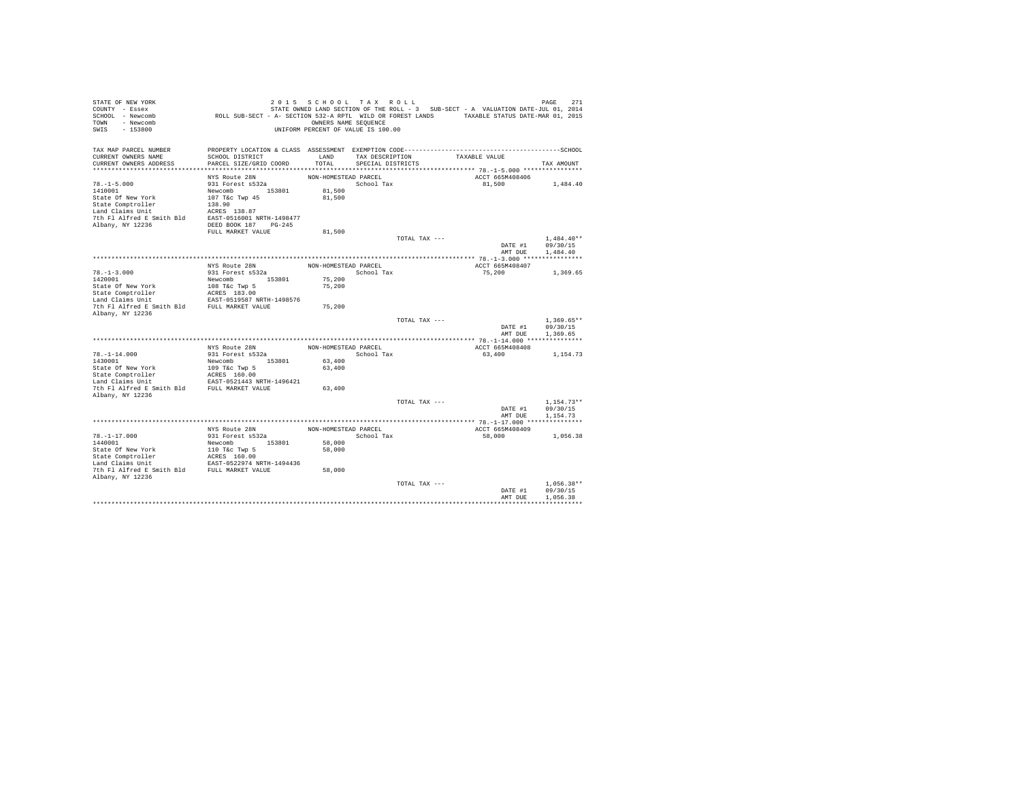| STATE OF NEW YORK<br>COUNTY - Essex<br>SCHOOL - Newcomb<br>TOWN<br>- Newcomb<br>SWIS<br>$-153800$ |                                           | 2015 SCHOOL TAX ROLL<br>OWNERS NAME SEQUENCE<br>UNIFORM PERCENT OF VALUE IS 100.00 |                                      |               | STATE OWNED LAND SECTION OF THE ROLL - 3 SUB-SECT - A VALUATION DATE-JUL 01, 2014<br>ROLL SUB-SECT - A- SECTION 532-A RPTL WILD OR FOREST LANDS TAXABLE STATUS DATE-MAR 01, 2015 | PAGE<br>271                          |
|---------------------------------------------------------------------------------------------------|-------------------------------------------|------------------------------------------------------------------------------------|--------------------------------------|---------------|----------------------------------------------------------------------------------------------------------------------------------------------------------------------------------|--------------------------------------|
| TAX MAP PARCEL NUMBER<br>CURRENT OWNERS NAME<br>CURRENT OWNERS ADDRESS                            | SCHOOL DISTRICT<br>PARCEL SIZE/GRID COORD | LAND<br>TOTAL                                                                      | TAX DESCRIPTION<br>SPECIAL DISTRICTS |               | TAXABLE VALUE                                                                                                                                                                    | TAX AMOUNT                           |
|                                                                                                   |                                           |                                                                                    |                                      |               |                                                                                                                                                                                  |                                      |
|                                                                                                   | NYS Route 28N                             | NON-HOMESTEAD PARCEL                                                               |                                      |               | ACCT 665M408406                                                                                                                                                                  |                                      |
| $78. - 1 - 5.000$                                                                                 | 931 Forest s532a                          |                                                                                    | School Tax                           |               | 81,500                                                                                                                                                                           | 1,484.40                             |
| 1410001<br>State Of New York                                                                      | Newcomb 153801<br>107 T&c Twp 45          | 81,500<br>81,500                                                                   |                                      |               |                                                                                                                                                                                  |                                      |
| State Comptroller                                                                                 | 138.90                                    |                                                                                    |                                      |               |                                                                                                                                                                                  |                                      |
| Land Claims Unit                                                                                  | ACRES 138.87                              |                                                                                    |                                      |               |                                                                                                                                                                                  |                                      |
| 7th Fl Alfred E Smith Bld EAST-0516001 NRTH-1498477                                               |                                           |                                                                                    |                                      |               |                                                                                                                                                                                  |                                      |
| Albany, NY 12236                                                                                  | DEED BOOK 187 PG-245                      |                                                                                    |                                      |               |                                                                                                                                                                                  |                                      |
|                                                                                                   | FULL MARKET VALUE                         | 81,500                                                                             |                                      |               |                                                                                                                                                                                  |                                      |
|                                                                                                   |                                           |                                                                                    |                                      | TOTAL TAX --- |                                                                                                                                                                                  | $1.484.40**$                         |
|                                                                                                   |                                           |                                                                                    |                                      |               | DATE #1<br>AMT DUE                                                                                                                                                               | 09/30/15<br>1,484.40                 |
|                                                                                                   |                                           |                                                                                    |                                      |               |                                                                                                                                                                                  |                                      |
|                                                                                                   | NYS Route 28N                             | NON-HOMESTEAD PARCEL                                                               |                                      |               | ACCT 665M408407                                                                                                                                                                  |                                      |
| $78. - 1 - 3.000$                                                                                 | 931 Forest s532a                          |                                                                                    | School Tax                           |               | 75,200                                                                                                                                                                           | 1,369.65                             |
| 1420001                                                                                           | Newcomb 153801                            | 75,200                                                                             |                                      |               |                                                                                                                                                                                  |                                      |
| State Of New York                                                                                 | 108 T&c Twp 5                             | 75,200                                                                             |                                      |               |                                                                                                                                                                                  |                                      |
| State Comptroller<br>Land Claims Unit                                                             | ACRES 183.00<br>EAST-0519587 NRTH-1498576 |                                                                                    |                                      |               |                                                                                                                                                                                  |                                      |
| 7th Fl Alfred E Smith Bld FULL MARKET VALUE                                                       |                                           | 75,200                                                                             |                                      |               |                                                                                                                                                                                  |                                      |
| Albany, NY 12236                                                                                  |                                           |                                                                                    |                                      |               |                                                                                                                                                                                  |                                      |
|                                                                                                   |                                           |                                                                                    |                                      | TOTAL TAX --- | DATE #1<br>AMT DUE                                                                                                                                                               | $1.369.65**$<br>09/30/15<br>1.369.65 |
|                                                                                                   |                                           |                                                                                    |                                      |               |                                                                                                                                                                                  |                                      |
|                                                                                                   | NYS Route 28N                             | NON-HOMESTEAD PARCEL                                                               |                                      |               | ACCT 665M408408                                                                                                                                                                  |                                      |
| $78. - 1 - 14.000$                                                                                | 931 Forest s532a                          |                                                                                    | School Tax                           |               | 63,400                                                                                                                                                                           | 1,154.73                             |
| 1430001                                                                                           | Newcomb<br>153801                         | 63,400                                                                             |                                      |               |                                                                                                                                                                                  |                                      |
| State Of New York                                                                                 | 109 T&c Twp 5                             | 63,400                                                                             |                                      |               |                                                                                                                                                                                  |                                      |
| State Comptroller<br>Land Claims Unit                                                             | ACRES 160.00<br>EAST-0521443 NRTH-1496421 |                                                                                    |                                      |               |                                                                                                                                                                                  |                                      |
| 7th Fl Alfred E Smith Bld FULL MARKET VALUE                                                       |                                           | 63,400                                                                             |                                      |               |                                                                                                                                                                                  |                                      |
| Albany, NY 12236                                                                                  |                                           |                                                                                    |                                      |               |                                                                                                                                                                                  |                                      |
|                                                                                                   |                                           |                                                                                    |                                      | TOTAL TAX --- |                                                                                                                                                                                  | $1.154.73**$                         |
|                                                                                                   |                                           |                                                                                    |                                      |               | DATE #1                                                                                                                                                                          | 09/30/15                             |
|                                                                                                   |                                           |                                                                                    |                                      |               | AMT DUE                                                                                                                                                                          | 1.154.73                             |
|                                                                                                   | NYS Route 28N                             | NON-HOMESTEAD PARCEL                                                               |                                      |               | ACCT 665M408409                                                                                                                                                                  |                                      |
| $78. - 1 - 17.000$                                                                                | 931 Forest s532a                          |                                                                                    | School Tax                           |               | 58,000                                                                                                                                                                           | 1,056.38                             |
| 1440001                                                                                           | Newcomb 153801                            | 58,000                                                                             |                                      |               |                                                                                                                                                                                  |                                      |
| State Of New York                                                                                 | 110 T&C Twp 5<br>ACRES 160.00             | 58,000                                                                             |                                      |               |                                                                                                                                                                                  |                                      |
| State Comptroller                                                                                 |                                           |                                                                                    |                                      |               |                                                                                                                                                                                  |                                      |
| Land Claims Unit<br>7th Fl Alfred E Smith Bld FULL MARKET VALUE                                   | EAST-0522974 NRTH-1494436                 |                                                                                    |                                      |               |                                                                                                                                                                                  |                                      |
| Albany, NY 12236                                                                                  |                                           | 58,000                                                                             |                                      |               |                                                                                                                                                                                  |                                      |
|                                                                                                   |                                           |                                                                                    |                                      | TOTAL TAX --- |                                                                                                                                                                                  | $1.056.38**$                         |
|                                                                                                   |                                           |                                                                                    |                                      |               | DATE #1                                                                                                                                                                          | 09/30/15                             |
|                                                                                                   |                                           |                                                                                    |                                      |               | AMT DUE                                                                                                                                                                          | 1,056.38                             |
|                                                                                                   |                                           |                                                                                    |                                      |               |                                                                                                                                                                                  |                                      |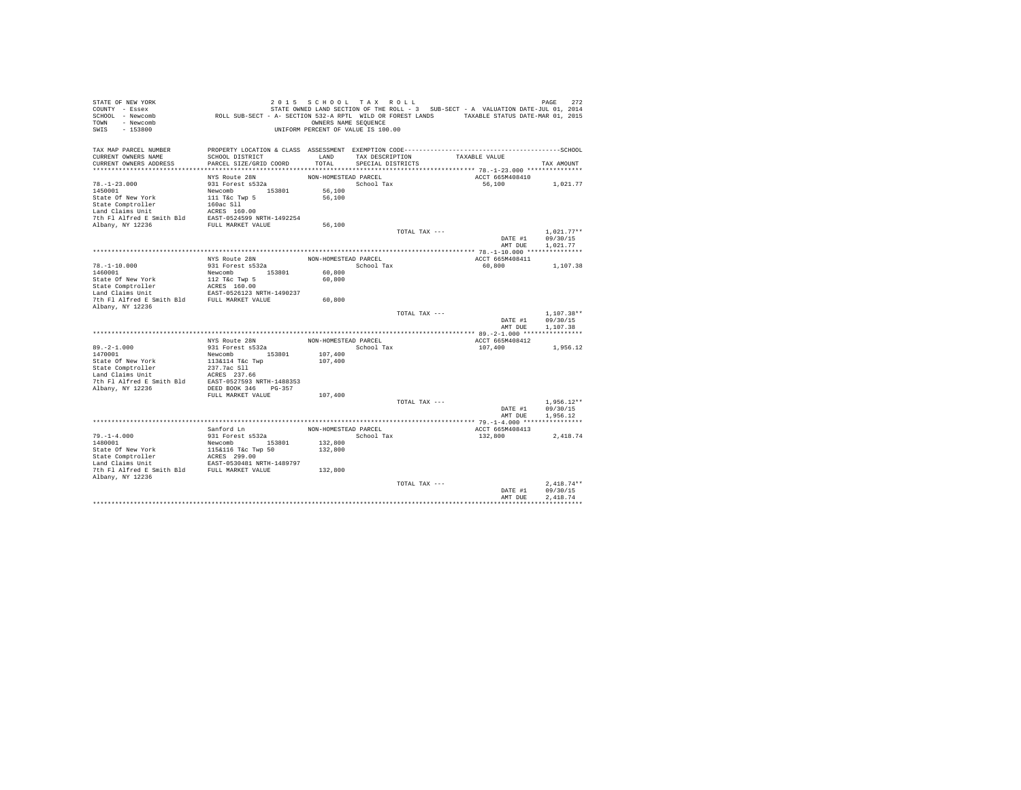| STATE OF NEW YORK<br>COUNTY - Essex                                                                                                                                                                                                                           |                                                                                             | 2015 SCHOOL TAX ROLL               |                      |               | STATE OWNED LAND SECTION OF THE ROLL - 3 SUB-SECT - A VALUATION DATE-JUL 01, 2014 | 272<br>PAGE                      |
|---------------------------------------------------------------------------------------------------------------------------------------------------------------------------------------------------------------------------------------------------------------|---------------------------------------------------------------------------------------------|------------------------------------|----------------------|---------------|-----------------------------------------------------------------------------------|----------------------------------|
| SCHOOL - Newcomb<br>TOWN - Newcomb                                                                                                                                                                                                                            | ROLL SUB-SECT - A- SECTION 532-A RPTL WILD OR FOREST LANDS TAXABLE STATUS DATE-MAR 01, 2015 | OWNERS NAME SEQUENCE               |                      |               |                                                                                   |                                  |
| SWIS<br>$-153800$                                                                                                                                                                                                                                             |                                                                                             | UNIFORM PERCENT OF VALUE IS 100.00 |                      |               |                                                                                   |                                  |
|                                                                                                                                                                                                                                                               |                                                                                             |                                    |                      |               |                                                                                   |                                  |
| TAX MAP PARCEL NUMBER                                                                                                                                                                                                                                         |                                                                                             |                                    |                      |               |                                                                                   |                                  |
| CURRENT OWNERS NAME                                                                                                                                                                                                                                           | SCHOOL DISTRICT                                                                             |                                    | LAND TAX DESCRIPTION |               | TAXABLE VALUE                                                                     |                                  |
| CURRENT OWNERS ADDRESS                                                                                                                                                                                                                                        | PARCEL SIZE/GRID COORD                                                                      | TOTAL                              | SPECIAL DISTRICTS    |               |                                                                                   | TAX AMOUNT                       |
|                                                                                                                                                                                                                                                               |                                                                                             |                                    |                      |               |                                                                                   |                                  |
|                                                                                                                                                                                                                                                               | NYS Route 28N                                                                               | NON-HOMESTEAD PARCEL               |                      |               | ACCT 665M408410                                                                   |                                  |
| $78. - 1 - 23.000$<br>1450001                                                                                                                                                                                                                                 | 931 Forest s532a                                                                            | 56,100                             | School Tax           |               | 56,100                                                                            | 1,021.77                         |
| State Of New York                                                                                                                                                                                                                                             | Newcomb 153801<br>111 T&c Twp 5                                                             | 56,100                             |                      |               |                                                                                   |                                  |
|                                                                                                                                                                                                                                                               |                                                                                             |                                    |                      |               |                                                                                   |                                  |
| State Comptroller 160ac S11<br>160ac S11<br>Land Claims Unit 160ac S160.00<br>The F1 Alfred E Smith B1d EAST-0524599 NETH-1492254<br>Albany, NY 12236 FULL MARKET VALUE                                                                                       |                                                                                             |                                    |                      |               |                                                                                   |                                  |
|                                                                                                                                                                                                                                                               |                                                                                             |                                    |                      |               |                                                                                   |                                  |
|                                                                                                                                                                                                                                                               |                                                                                             | 56,100                             |                      |               |                                                                                   |                                  |
|                                                                                                                                                                                                                                                               |                                                                                             |                                    |                      | TOTAL TAX --- |                                                                                   | $1,021.77**$                     |
|                                                                                                                                                                                                                                                               |                                                                                             |                                    |                      |               |                                                                                   | DATE #1 09/30/15                 |
|                                                                                                                                                                                                                                                               |                                                                                             |                                    |                      |               | AMT DUE                                                                           | 1,021,77                         |
|                                                                                                                                                                                                                                                               |                                                                                             |                                    |                      |               |                                                                                   |                                  |
| $78. - 1 - 10.000$                                                                                                                                                                                                                                            | NYS Route 28N<br>931 Forest s532a                                                           | NON-HOMESTEAD PARCEL               | School Tax           |               | ACCT 665M408411<br>60,800                                                         | 1,107.38                         |
|                                                                                                                                                                                                                                                               |                                                                                             | 60,800                             |                      |               |                                                                                   |                                  |
|                                                                                                                                                                                                                                                               |                                                                                             | 60,800                             |                      |               |                                                                                   |                                  |
|                                                                                                                                                                                                                                                               |                                                                                             |                                    |                      |               |                                                                                   |                                  |
|                                                                                                                                                                                                                                                               |                                                                                             |                                    |                      |               |                                                                                   |                                  |
|                                                                                                                                                                                                                                                               |                                                                                             | 60,800                             |                      |               |                                                                                   |                                  |
| Albany, NY 12236                                                                                                                                                                                                                                              |                                                                                             |                                    |                      |               |                                                                                   |                                  |
|                                                                                                                                                                                                                                                               |                                                                                             |                                    |                      | TOTAL TAX --- |                                                                                   | $1.107.38**$<br>DATE #1 09/30/15 |
|                                                                                                                                                                                                                                                               |                                                                                             |                                    |                      |               | AMT DUE                                                                           | 1,107.38                         |
|                                                                                                                                                                                                                                                               |                                                                                             |                                    |                      |               |                                                                                   |                                  |
|                                                                                                                                                                                                                                                               | NYS Route 28N                                                                               | NON-HOMESTEAD PARCEL               |                      |               | ACCT 665M408412                                                                   |                                  |
| $89. -2 - 1.000$                                                                                                                                                                                                                                              | 931 Forest s532a<br>Newcomb 153801<br>113&114 T&c Twp                                       |                                    | School Tax           |               | 107,400                                                                           | 1,956.12                         |
| 1470001                                                                                                                                                                                                                                                       |                                                                                             | 107,400                            |                      |               |                                                                                   |                                  |
| State Of New York                                                                                                                                                                                                                                             |                                                                                             | 107,400                            |                      |               |                                                                                   |                                  |
|                                                                                                                                                                                                                                                               |                                                                                             |                                    |                      |               |                                                                                   |                                  |
|                                                                                                                                                                                                                                                               |                                                                                             |                                    |                      |               |                                                                                   |                                  |
| State Cometroller 237.7ac S11<br>Land Claims Unit<br>Land Claims Unit<br>237.7ac S11<br>237.7ac S11<br>237.7ac S11<br>237.7ac S11<br>237.7ac S11<br>237.7ac S11<br>237.7ac S11<br>237.7ac S11<br>237.7ac S11<br>237.7ac S11<br>237.7ac S11<br>237.7ac S11<br> |                                                                                             |                                    |                      |               |                                                                                   |                                  |
|                                                                                                                                                                                                                                                               | FULL MARKET VALUE                                                                           | 107,400                            |                      |               |                                                                                   |                                  |
|                                                                                                                                                                                                                                                               |                                                                                             |                                    |                      | TOTAL TAX --- |                                                                                   | $1,956.12**$                     |
|                                                                                                                                                                                                                                                               |                                                                                             |                                    |                      |               | DATE #1                                                                           | 09/30/15                         |
|                                                                                                                                                                                                                                                               |                                                                                             |                                    |                      |               | AMT DUE                                                                           | 1.956.12                         |
|                                                                                                                                                                                                                                                               |                                                                                             |                                    |                      |               |                                                                                   |                                  |
|                                                                                                                                                                                                                                                               | Sanford Ln                                                                                  | NON-HOMESTEAD PARCEL               |                      |               | ACCT 665M408413                                                                   |                                  |
| $79. - 1 - 4.000$                                                                                                                                                                                                                                             | 931 Forest s532a<br>Newcomb 153801                                                          |                                    | School Tax           |               | 132,800                                                                           | 2,418.74                         |
| 1480001                                                                                                                                                                                                                                                       |                                                                                             | 132,800                            |                      |               |                                                                                   |                                  |
|                                                                                                                                                                                                                                                               |                                                                                             | 132,800                            |                      |               |                                                                                   |                                  |
| Provide State of New York and Missilfo Tac Twp 50<br>State Comptroller and MCRES 299.00<br>Land Claims Unit EAST-0530481 NRTH-1489797<br>7th Fl Alfred E Smith Bld FULL MARKET VALUE                                                                          |                                                                                             |                                    |                      |               |                                                                                   |                                  |
|                                                                                                                                                                                                                                                               |                                                                                             | 132,800                            |                      |               |                                                                                   |                                  |
| Albany, NY 12236                                                                                                                                                                                                                                              |                                                                                             |                                    |                      |               |                                                                                   |                                  |
|                                                                                                                                                                                                                                                               |                                                                                             |                                    |                      | TOTAL TAX --- |                                                                                   | $2.418.74**$                     |
|                                                                                                                                                                                                                                                               |                                                                                             |                                    |                      |               | DATE #1                                                                           | 09/30/15                         |
|                                                                                                                                                                                                                                                               |                                                                                             |                                    |                      |               | AMT DUE                                                                           | 2.418.74                         |
|                                                                                                                                                                                                                                                               |                                                                                             |                                    |                      |               |                                                                                   |                                  |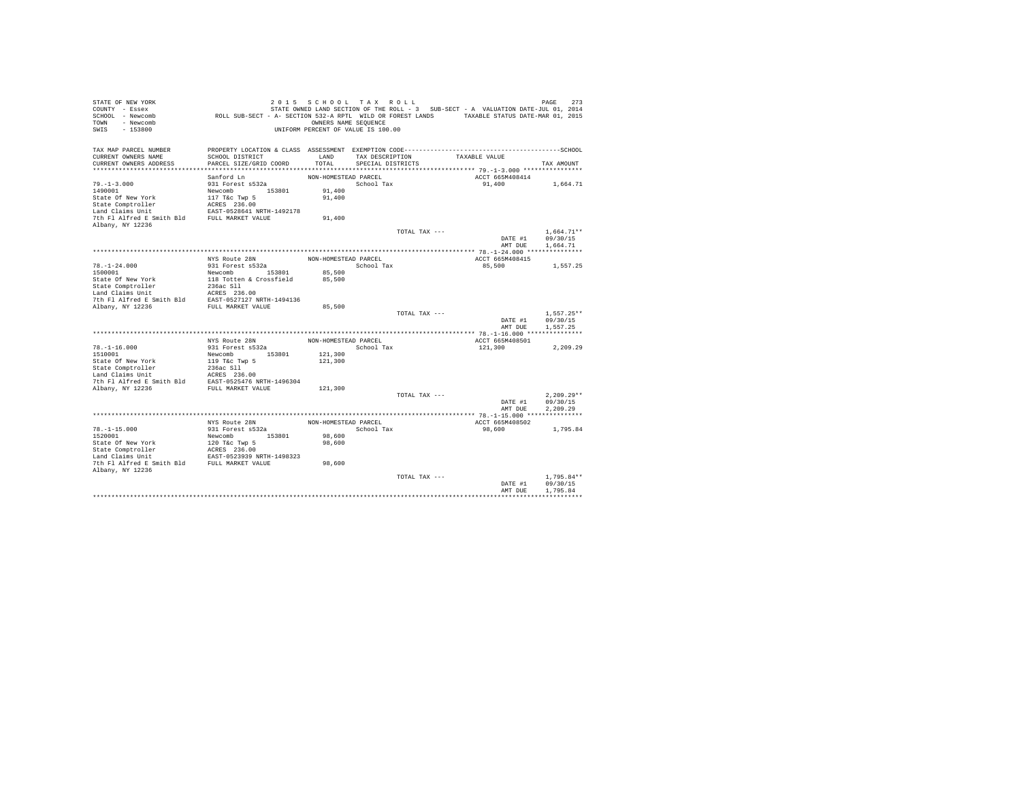| STATE OF NEW YORK<br>COUNTY - Essex<br>SCHOOL - Newcomb<br>- Newcomb<br>TOWN<br>$-153800$<br>SWIS | ROLL SUB-SECT - A- SECTION 532-A RPTL WILD OR FOREST LANDS TAXABLE STATUS DATE-MAR 01, 2015  | OWNERS NAME SEQUENCE | 2015 SCHOOL TAX ROLL<br>UNIFORM PERCENT OF VALUE IS 100.00 |               | STATE OWNED LAND SECTION OF THE ROLL - 3 SUB-SECT - A VALUATION DATE-JUL 01, 2014 | 273<br>PAGE              |
|---------------------------------------------------------------------------------------------------|----------------------------------------------------------------------------------------------|----------------------|------------------------------------------------------------|---------------|-----------------------------------------------------------------------------------|--------------------------|
| TAX MAP PARCEL NUMBER                                                                             | PROPERTY LOCATION & CLASS ASSESSMENT EXEMPTION CODE-----------------------------------SCHOOL |                      |                                                            |               |                                                                                   |                          |
| CURRENT OWNERS NAME<br>CURRENT OWNERS ADDRESS                                                     | SCHOOL DISTRICT<br>PARCEL SIZE/GRID COORD                                                    | LAND<br>TOTAL        | TAX DESCRIPTION<br>SPECIAL DISTRICTS                       |               | TAXABLE VALUE                                                                     | TAX AMOUNT               |
|                                                                                                   |                                                                                              |                      |                                                            |               |                                                                                   |                          |
|                                                                                                   | Sanford Ln                                                                                   | NON-HOMESTEAD PARCEL |                                                            |               | ACCT 665M408414                                                                   |                          |
| $79. - 1 - 3.000$                                                                                 | 931 Forest s532a                                                                             |                      | School Tax                                                 |               | 91,400                                                                            | 1,664.71                 |
| 1490001                                                                                           | Newcomb 153801                                                                               | 91,400               |                                                            |               |                                                                                   |                          |
| State Of New York                                                                                 | 117 T&c Twp 5                                                                                | 91,400               |                                                            |               |                                                                                   |                          |
| State Comptroller                                                                                 | ACRES 236.00                                                                                 |                      |                                                            |               |                                                                                   |                          |
| Land Claims Unit                                                                                  | EAST-0528641 NRTH-1492178                                                                    |                      |                                                            |               |                                                                                   |                          |
| 7th Fl Alfred E Smith Bld                                                                         | FULL MARKET VALUE                                                                            | 91,400               |                                                            |               |                                                                                   |                          |
| Albany, NY 12236                                                                                  |                                                                                              |                      |                                                            |               |                                                                                   |                          |
|                                                                                                   |                                                                                              |                      |                                                            | TOTAL TAX --- | DATE #1                                                                           | $1.664.71**$<br>09/30/15 |
|                                                                                                   |                                                                                              |                      |                                                            |               | AMT DUE                                                                           | 1,664.71                 |
|                                                                                                   |                                                                                              |                      |                                                            |               |                                                                                   |                          |
|                                                                                                   | NYS Route 28N                                                                                | NON-HOMESTEAD PARCEL |                                                            |               | ACCT 665M408415                                                                   |                          |
| $78. - 1 - 24.000$                                                                                | 931 Forest s532a                                                                             |                      | School Tax                                                 |               | 85,500                                                                            | 1.557.25                 |
| 1500001                                                                                           | Newcomb 153801                                                                               | 85,500               |                                                            |               |                                                                                   |                          |
| State Of New York                                                                                 | 118 Totten & Crossfield                                                                      | 85,500               |                                                            |               |                                                                                   |                          |
| State Comptroller                                                                                 | 236ac Sll                                                                                    |                      |                                                            |               |                                                                                   |                          |
| Land Claims Unit                                                                                  | ACRES 236.00                                                                                 |                      |                                                            |               |                                                                                   |                          |
| 7th Fl Alfred E Smith Bld                                                                         | EAST-0527127 NRTH-1494136                                                                    |                      |                                                            |               |                                                                                   |                          |
| Albany, NY 12236                                                                                  | FULL MARKET VALUE                                                                            | 85,500               |                                                            |               |                                                                                   |                          |
|                                                                                                   |                                                                                              |                      |                                                            | TOTAL TAX --- | DATE #1                                                                           | $1.557.25**$<br>09/30/15 |
|                                                                                                   |                                                                                              |                      |                                                            |               | AMT DUE                                                                           | 1.557.25                 |
|                                                                                                   |                                                                                              |                      |                                                            |               |                                                                                   |                          |
|                                                                                                   | NYS Route 28N                                                                                | NON-HOMESTEAD PARCEL |                                                            |               | ACCT 665M408501                                                                   |                          |
| $78. - 1 - 16.000$                                                                                | 931 Forest s532a                                                                             |                      | School Tax                                                 |               | 121,300                                                                           | 2,209.29                 |
| 1510001                                                                                           | Newcomb 153801                                                                               | 121,300              |                                                            |               |                                                                                   |                          |
| State Of New York                                                                                 | 119 T&c Twp 5                                                                                | 121,300              |                                                            |               |                                                                                   |                          |
| State Comptroller                                                                                 | 236ac Sll                                                                                    |                      |                                                            |               |                                                                                   |                          |
| Land Claims Unit                                                                                  | ACRES 236.00                                                                                 |                      |                                                            |               |                                                                                   |                          |
| 7th Fl Alfred E Smith Bld                                                                         | EAST-0525476 NRTH-1496304<br>FULL MARKET VALUE                                               | 121,300              |                                                            |               |                                                                                   |                          |
| Albany, NY 12236                                                                                  |                                                                                              |                      |                                                            | TOTAL TAX --- |                                                                                   | $2.209.29**$             |
|                                                                                                   |                                                                                              |                      |                                                            |               | DATE #1                                                                           | 09/30/15                 |
|                                                                                                   |                                                                                              |                      |                                                            |               | AMT DUE                                                                           | 2.209.29                 |
|                                                                                                   |                                                                                              |                      |                                                            |               |                                                                                   |                          |
|                                                                                                   | NYS Route 28N                                                                                | NON-HOMESTEAD PARCEL |                                                            |               | ACCT 665M408502                                                                   |                          |
| $78. - 1 - 15.000$                                                                                | 931 Forest s532a                                                                             |                      | School Tax                                                 |               | 98,600                                                                            | 1,795.84                 |
| 1520001                                                                                           | Newcomb 153801                                                                               | 98,600               |                                                            |               |                                                                                   |                          |
| State Of New York                                                                                 | 120 T&c Twp 5                                                                                | 98,600               |                                                            |               |                                                                                   |                          |
| State Comptroller                                                                                 | ACRES 236.00<br>EAST-0523939 NRTH-1498323                                                    |                      |                                                            |               |                                                                                   |                          |
| Land Claims Unit                                                                                  |                                                                                              |                      |                                                            |               |                                                                                   |                          |
| 7th Fl Alfred E Smith Bld FULL MARKET VALUE<br>Albany, NY 12236                                   |                                                                                              | 98,600               |                                                            |               |                                                                                   |                          |
|                                                                                                   |                                                                                              |                      |                                                            | TOTAL TAX --- |                                                                                   | $1.795.84**$             |
|                                                                                                   |                                                                                              |                      |                                                            |               | DATE #1                                                                           | 09/30/15                 |
|                                                                                                   |                                                                                              |                      |                                                            |               | AMT DUE                                                                           | 1,795.84                 |
|                                                                                                   |                                                                                              |                      |                                                            |               |                                                                                   |                          |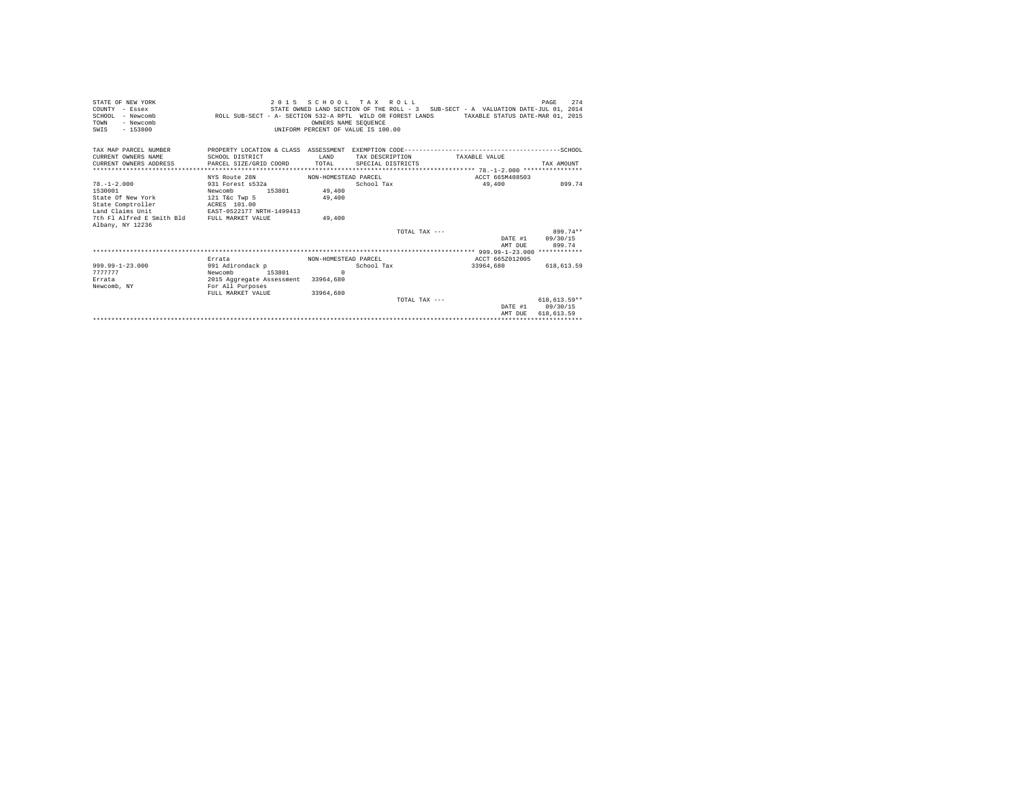| STATE OF NEW YORK<br>COUNTY - Essex<br>SCHOOL - Newcomb<br>- Newcomb<br>TOWN<br>SWTS<br>$-153800$ | 2 0 1 5<br>ROLL SUB-SECT - A- SECTION 532-A RPTL WILD OR FOREST LANDS TAXABLE STATUS DATE-MAR 01, 2015 | OWNERS NAME SEQUENCE<br>UNIFORM PERCENT OF VALUE IS 100.00 | SCHOOL TAX ROLL   | STATE OWNED LAND SECTION OF THE ROLL - 3 SUB-SECT - A VALUATION DATE-JUL 01, 2014 | 274<br>PAGE  |
|---------------------------------------------------------------------------------------------------|--------------------------------------------------------------------------------------------------------|------------------------------------------------------------|-------------------|-----------------------------------------------------------------------------------|--------------|
| TAX MAP PARCEL NUMBER<br>CURRENT OWNERS NAME                                                      | SCHOOL DISTRICT                                                                                        | <b>T.AND</b>                                               | TAX DESCRIPTION   | TAXABLE VALUE                                                                     |              |
| CURRENT OWNERS ADDRESS                                                                            | PARCEL SIZE/GRID COORD                                                                                 | TOTAL                                                      | SPECIAL DISTRICTS |                                                                                   | TAX AMOUNT   |
|                                                                                                   |                                                                                                        |                                                            |                   |                                                                                   |              |
|                                                                                                   | NYS Route 28N                                                                                          | NON-HOMESTEAD PARCEL                                       |                   | ACCT 665M408503                                                                   |              |
| $78. - 1 - 2.000$                                                                                 | 931 Forest s532a                                                                                       |                                                            | School Tax        | 49,400                                                                            | 899.74       |
| 1530001                                                                                           | Newcomb<br>153801                                                                                      | 49,400                                                     |                   |                                                                                   |              |
| State Of New York<br>State Comptroller                                                            | 121 T&C Twp 5<br>ACRES 101.00                                                                          | 49,400                                                     |                   |                                                                                   |              |
| Land Claims Unit                                                                                  | EAST-0522177 NRTH-1499413                                                                              |                                                            |                   |                                                                                   |              |
| 7th Fl Alfred E Smith Bld FULL MARKET VALUE                                                       |                                                                                                        | 49,400                                                     |                   |                                                                                   |              |
| Albany, NY 12236                                                                                  |                                                                                                        |                                                            |                   |                                                                                   |              |
|                                                                                                   |                                                                                                        |                                                            | TOTAL TAX ---     |                                                                                   | 899.74**     |
|                                                                                                   |                                                                                                        |                                                            |                   | DATE #1                                                                           | 09/30/15     |
|                                                                                                   |                                                                                                        |                                                            |                   | AMT DUE                                                                           | 899.74       |
|                                                                                                   |                                                                                                        |                                                            |                   |                                                                                   |              |
|                                                                                                   | Errata                                                                                                 | NON-HOMESTEAD PARCEL                                       |                   | ACCT 665Z012005                                                                   |              |
| $999.99 - 1 - 23.000$                                                                             | 991 Adirondack p                                                                                       |                                                            | School Tax        | 33964.680                                                                         | 618,613.59   |
| 7777777                                                                                           | 153801<br>Newcomb                                                                                      | $\Omega$                                                   |                   |                                                                                   |              |
| Errata<br>Newcomb, NY                                                                             | 2015 Aggregate Assessment 33964,680<br>For All Purposes                                                |                                                            |                   |                                                                                   |              |
|                                                                                                   | FULL MARKET VALUE                                                                                      | 33964,680                                                  |                   |                                                                                   |              |
|                                                                                                   |                                                                                                        |                                                            | TOTAL TAX ---     |                                                                                   | 618,613.59** |
|                                                                                                   |                                                                                                        |                                                            |                   | DATE #1                                                                           | 09/30/15     |
|                                                                                                   |                                                                                                        |                                                            |                   | AMT DUE                                                                           | 618,613.59   |
|                                                                                                   |                                                                                                        |                                                            |                   |                                                                                   |              |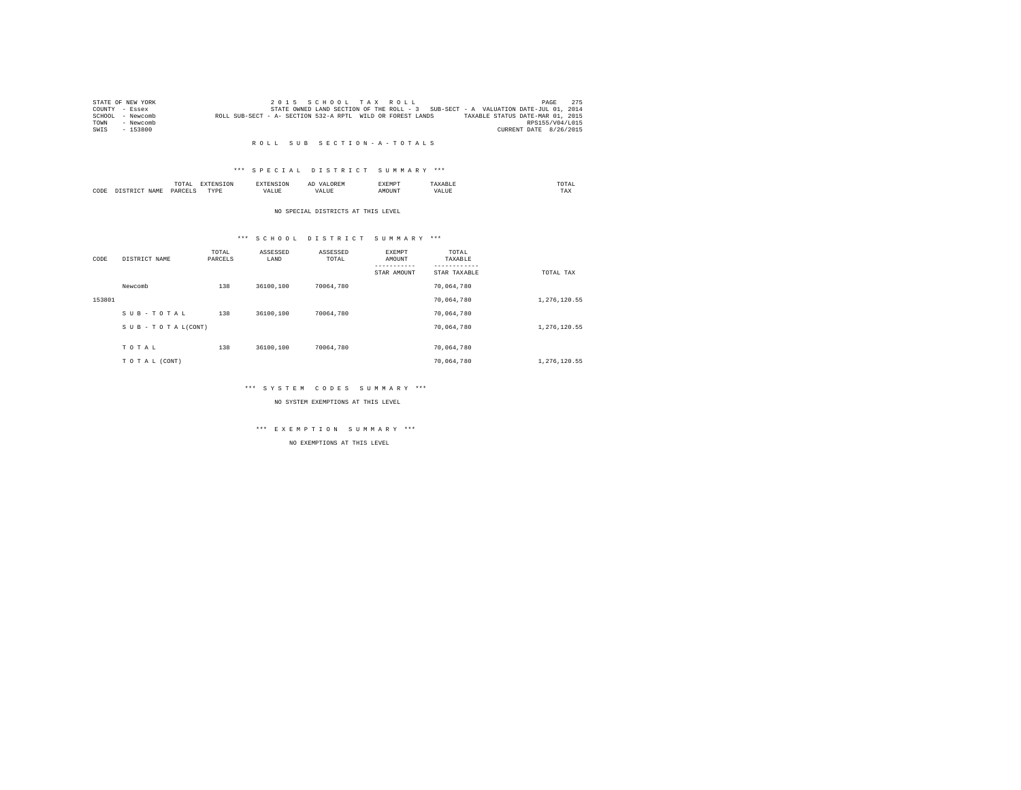|        | STATE OF NEW YORK |                                                            |  |  | 2015 SCHOOL TAX ROLL |                                                                                   | PAGE                   | 275 |
|--------|-------------------|------------------------------------------------------------|--|--|----------------------|-----------------------------------------------------------------------------------|------------------------|-----|
|        | COUNTY - Essex    |                                                            |  |  |                      | STATE OWNED LAND SECTION OF THE ROLL - 3 SUB-SECT - A VALUATION DATE-JUL 01, 2014 |                        |     |
| SCHOOL | - Newcomb         | ROLL SUB-SECT - A- SECTION 532-A RPTL WILD OR FOREST LANDS |  |  |                      | TAXABLE STATUS DATE-MAR 01, 2015                                                  |                        |     |
| TOWN   | - Newcomb         |                                                            |  |  |                      |                                                                                   | RPS155/V04/L015        |     |
| SWIS   | - 153800          |                                                            |  |  |                      |                                                                                   | CURRENT DATE 8/26/2015 |     |

#### R O L L S U B S E C T I O N - A - T O T A L S

### \*\*\* S P E C I A L D I S T R I C T S U M M A R Y \*\*\*

|      |             | moms:<br>IUIAI     |           |   | $\sim$ | :XEMP' |       | UIAI<br>the contract of the contract of the contract of |  |
|------|-------------|--------------------|-----------|---|--------|--------|-------|---------------------------------------------------------|--|
| CODE | <b>NAME</b> | DADCET<br>________ | PVDI<br>. | . |        |        | . ۱ ۵ | 1 A.A                                                   |  |

#### NO SPECIAL DISTRICTS AT THIS LEVEL

### \*\*\* S C H O O L D I S T R I C T S U M M A R Y \*\*\*

| CODE   | DISTRICT NAME      | TOTAL<br>PARCELS | ASSESSED<br>LAND | ASSESSED<br>TOTAL | EXEMPT<br>AMOUNT | TOTAL<br>TAXABLE |              |
|--------|--------------------|------------------|------------------|-------------------|------------------|------------------|--------------|
|        |                    |                  |                  |                   | STAR AMOUNT      | STAR TAXABLE     | TOTAL TAX    |
|        | Newcomb            | 138              | 36100,100        | 70064.780         |                  | 70.064.780       |              |
| 153801 |                    |                  |                  |                   |                  | 70,064,780       | 1,276,120.55 |
|        | SUB-TOTAL          | 138              | 36100,100        | 70064.780         |                  | 70.064.780       |              |
|        | SUB - TO TAL(CONT) |                  |                  |                   |                  | 70,064,780       | 1,276,120.55 |
|        |                    |                  |                  |                   |                  |                  |              |
|        | TOTAL              | 138              | 36100,100        | 70064.780         |                  | 70.064.780       |              |
|        | TO TAL (CONT)      |                  |                  |                   |                  | 70.064.780       | 1,276,120.55 |

### \*\*\* S Y S T E M C O D E S S U M M A R Y \*\*\*

NO SYSTEM EXEMPTIONS AT THIS LEVEL

# \*\*\* E X E M P T I O N S U M M A R Y \*\*\*

NO EXEMPTIONS AT THIS LEVEL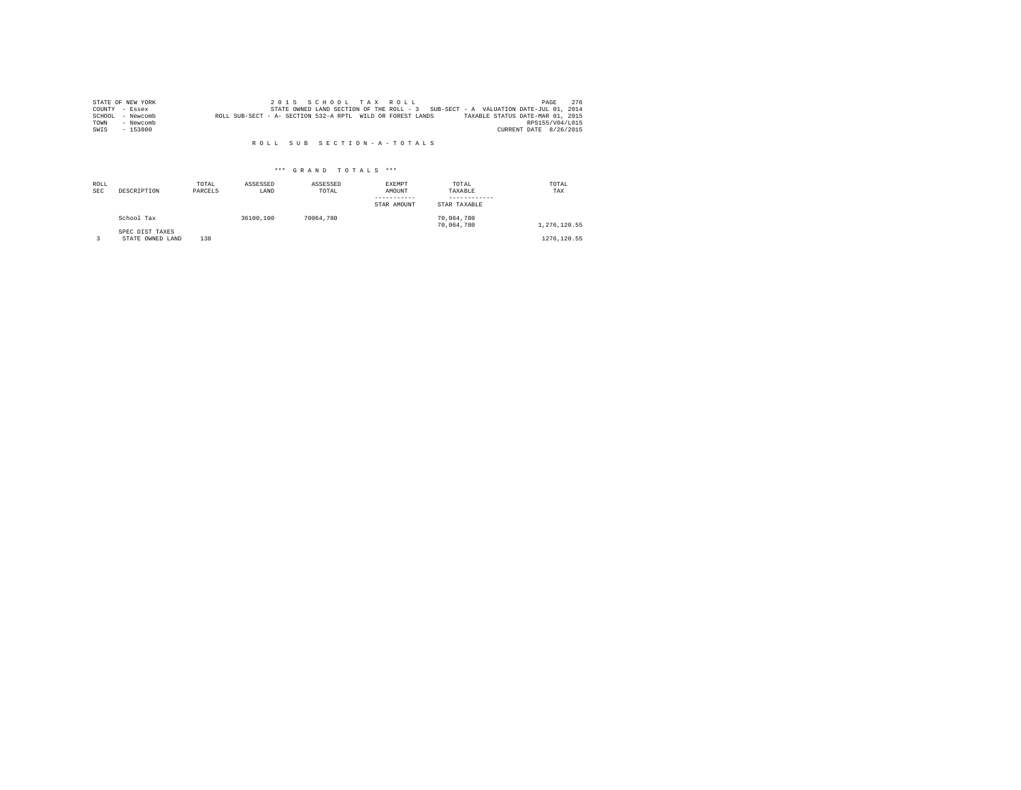|      | STATE OF NEW YORK |                                                            |  |  | 2015 SCHOOL TAX ROLL |                                                                                   |  |                                  | PAGE | 276 |
|------|-------------------|------------------------------------------------------------|--|--|----------------------|-----------------------------------------------------------------------------------|--|----------------------------------|------|-----|
|      | COUNTY - Essex    |                                                            |  |  |                      | STATE OWNED LAND SECTION OF THE ROLL - 3 SUB-SECT - A VALUATION DATE-JUL 01, 2014 |  |                                  |      |     |
|      | SCHOOL - Newcomb  | ROLL SUB-SECT - A- SECTION 532-A RPTL WILD OR FOREST LANDS |  |  |                      |                                                                                   |  | TAXABLE STATUS DATE-MAR 01, 2015 |      |     |
| TOWN | - Newcomb         |                                                            |  |  |                      |                                                                                   |  | RPS155/V04/L015                  |      |     |
| SWIS | $-153800$         |                                                            |  |  |                      |                                                                                   |  | CURRENT DATE 8/26/2015           |      |     |

#### R O L L S U B S E C T I O N - A - T O T A L S

### \*\*\* G R A N D T O T A L S \*\*\*

| ROLL<br><b>SEC</b> | DESCRIPTION                         | TOTAL<br>PARCELS | ASSESSED<br>LAND | ASSESSED<br>TOTAL | EXEMPT<br>AMOUNT<br>-----------<br>STAR AMOUNT | TOTAL<br>TAXABLE<br>------------<br>STAR TAXABLE | TOTAL<br>TAX |
|--------------------|-------------------------------------|------------------|------------------|-------------------|------------------------------------------------|--------------------------------------------------|--------------|
|                    | School Tax                          |                  | 36100.100        | 70064.780         |                                                | 70.064.780<br>70.064.780                         | 1.276.120.55 |
|                    | SPEC DIST TAXES<br>STATE OWNED LAND | 138              |                  |                   |                                                |                                                  | 1276.120.55  |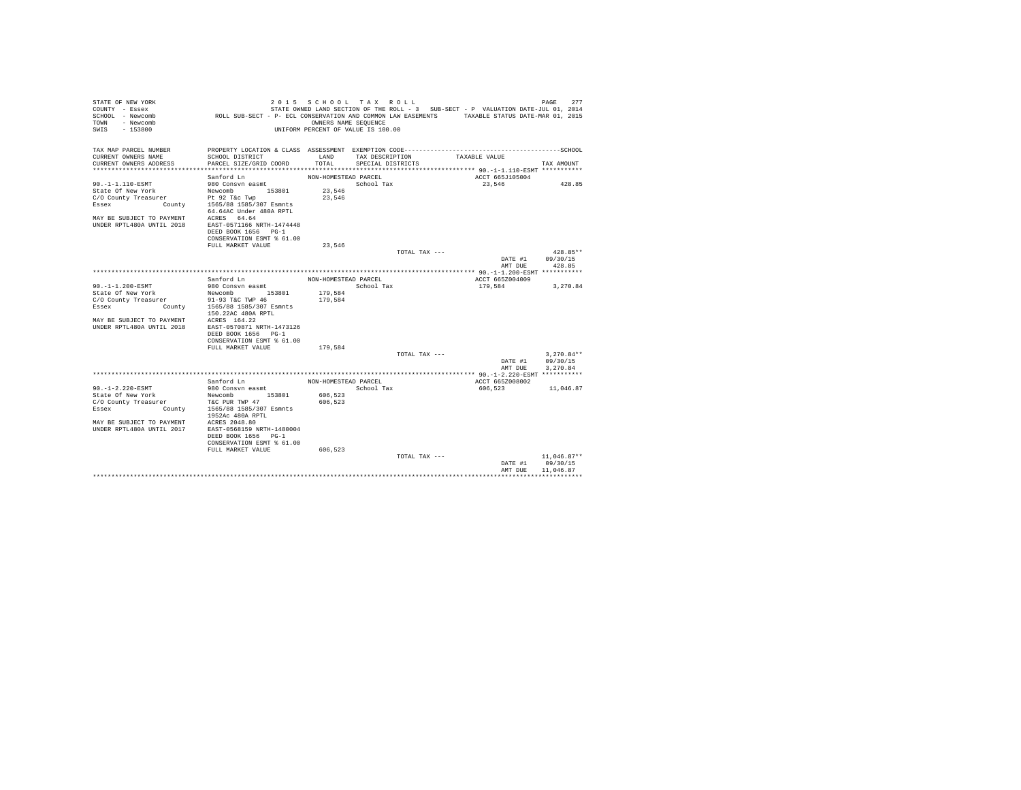| STATE OF NEW YORK<br>COUNTY - Essex<br>SCHOOL - Newcomb                                                                                                                                                                                                   | ROLL SUB-SECT - P- ECL CONSERVATION AND COMMON LAW EASEMENTS TAXABLE STATUS DATE-MAR 01, 2015                                                                                                                   |                      | 2015 SCHOOL TAX ROLL               |               | STATE OWNED LAND SECTION OF THE ROLL - 3 SUB-SECT - P VALUATION DATE-JUL 01, 2014 | 277<br>PAGE      |
|-----------------------------------------------------------------------------------------------------------------------------------------------------------------------------------------------------------------------------------------------------------|-----------------------------------------------------------------------------------------------------------------------------------------------------------------------------------------------------------------|----------------------|------------------------------------|---------------|-----------------------------------------------------------------------------------|------------------|
| TOWN - Newcomb<br>SWTS<br>$-153800$                                                                                                                                                                                                                       |                                                                                                                                                                                                                 | OWNERS NAME SEQUENCE | UNIFORM PERCENT OF VALUE IS 100.00 |               |                                                                                   |                  |
| TAX MAP PARCEL NUMBER                                                                                                                                                                                                                                     | PROPERTY LOCATION & CLASS ASSESSMENT EXEMPTION CODE-----------------------------------SCHOOL                                                                                                                    |                      |                                    |               |                                                                                   |                  |
| CURRENT OWNERS NAME                                                                                                                                                                                                                                       | SCHOOL DISTRICT                                                                                                                                                                                                 | LAND                 | TAX DESCRIPTION                    |               | TAXABLE VALUE                                                                     |                  |
| CURRENT OWNERS ADDRESS                                                                                                                                                                                                                                    | PARCEL SIZE/GRID COORD                                                                                                                                                                                          | TOTAL                | SPECIAL DISTRICTS                  |               |                                                                                   | TAX AMOUNT       |
|                                                                                                                                                                                                                                                           | Sanford Ln                                                                                                                                                                                                      | NON-HOMESTEAD PARCEL |                                    |               | ACCT 665J105004                                                                   |                  |
| 90.-1-1.110-ESMT                                                                                                                                                                                                                                          | 980 Consvn easmt                                                                                                                                                                                                |                      | School Tax                         |               | 23,546                                                                            | 428.85           |
|                                                                                                                                                                                                                                                           |                                                                                                                                                                                                                 | 23,546               |                                    |               |                                                                                   |                  |
|                                                                                                                                                                                                                                                           |                                                                                                                                                                                                                 | 23.546               |                                    |               |                                                                                   |                  |
| $\begin{tabular}{lllllllllll} \texttt{State Of New York} & \texttt{Newcomb} & 153801 \\ \texttt{C/O County Treasury} & \texttt{Preasure} & \texttt{Pt 92 Tkc Two} \\ \texttt{Essex} & \texttt{Country} & 1565/88 1585/307 \texttt{ Semnts} \end{tabular}$ | 64.64AC Under 480A RPTL                                                                                                                                                                                         |                      |                                    |               |                                                                                   |                  |
| MAY BE SUBJECT TO PAYMENT ACRES 64.64                                                                                                                                                                                                                     |                                                                                                                                                                                                                 |                      |                                    |               |                                                                                   |                  |
| UNDER RPTL480A UNTIL 2018                                                                                                                                                                                                                                 | EAST-0571166 NRTH-1474448                                                                                                                                                                                       |                      |                                    |               |                                                                                   |                  |
|                                                                                                                                                                                                                                                           | DEED BOOK 1656 PG-1                                                                                                                                                                                             |                      |                                    |               |                                                                                   |                  |
|                                                                                                                                                                                                                                                           | CONSERVATION ESMT % 61.00                                                                                                                                                                                       |                      |                                    |               |                                                                                   |                  |
|                                                                                                                                                                                                                                                           | FULL MARKET VALUE                                                                                                                                                                                               | 23.546               |                                    |               |                                                                                   |                  |
|                                                                                                                                                                                                                                                           |                                                                                                                                                                                                                 |                      |                                    | TOTAL TAX --- |                                                                                   | 428.85**         |
|                                                                                                                                                                                                                                                           |                                                                                                                                                                                                                 |                      |                                    |               |                                                                                   | DATE #1 09/30/15 |
|                                                                                                                                                                                                                                                           |                                                                                                                                                                                                                 |                      |                                    |               | AMT DUE                                                                           | 428.85           |
|                                                                                                                                                                                                                                                           | Sanford Ln                                                                                                                                                                                                      | NON-HOMESTEAD PARCEL |                                    |               | ACCT 665Z004009                                                                   |                  |
| 90. -1-1.200-ESMT                                                                                                                                                                                                                                         | 980 Consvn easmt                                                                                                                                                                                                |                      | School Tax                         |               | 179.584                                                                           | 3,270.84         |
| State Of New York                                                                                                                                                                                                                                         |                                                                                                                                                                                                                 | 179.584              |                                    |               |                                                                                   |                  |
| C/O County Treasurer                                                                                                                                                                                                                                      |                                                                                                                                                                                                                 | 179.584              |                                    |               |                                                                                   |                  |
| Essex                                                                                                                                                                                                                                                     | New York Mewcomb 153801<br>ty Treasurer 91-93 T&C TWP 46<br>County 1565/88 1585/307 Esmnts                                                                                                                      |                      |                                    |               |                                                                                   |                  |
|                                                                                                                                                                                                                                                           | 150.22AC 480A RPTL                                                                                                                                                                                              |                      |                                    |               |                                                                                   |                  |
| MAY BE SUBJECT TO PAYMENT ACRES 164.22                                                                                                                                                                                                                    |                                                                                                                                                                                                                 |                      |                                    |               |                                                                                   |                  |
| UNDER RPTL480A UNTIL 2018                                                                                                                                                                                                                                 | EAST-0570871 NRTH-1473126                                                                                                                                                                                       |                      |                                    |               |                                                                                   |                  |
|                                                                                                                                                                                                                                                           | DEED BOOK 1656 PG-1<br>CONSERVATION ESMT % 61.00                                                                                                                                                                |                      |                                    |               |                                                                                   |                  |
|                                                                                                                                                                                                                                                           | FULL MARKET VALUE                                                                                                                                                                                               | 179,584              |                                    |               |                                                                                   |                  |
|                                                                                                                                                                                                                                                           |                                                                                                                                                                                                                 |                      |                                    | TOTAL TAX --- |                                                                                   | $3.270.84**$     |
|                                                                                                                                                                                                                                                           |                                                                                                                                                                                                                 |                      |                                    |               |                                                                                   | DATE #1 09/30/15 |
|                                                                                                                                                                                                                                                           |                                                                                                                                                                                                                 |                      |                                    |               | AMT DUE                                                                           | 3.270.84         |
|                                                                                                                                                                                                                                                           |                                                                                                                                                                                                                 |                      |                                    |               |                                                                                   |                  |
|                                                                                                                                                                                                                                                           | Sanford Ln                                                                                                                                                                                                      | NON-HOMESTEAD PARCEL |                                    |               | ACCT 665Z008002                                                                   |                  |
| $90. -1 - 2.220 - ESMT$                                                                                                                                                                                                                                   | 980 Consvn easmt                                                                                                                                                                                                |                      | School Tax                         |               | 606.523                                                                           | 11,046.87        |
| State Of New York                                                                                                                                                                                                                                         | $\begin{tabular}{lllllllll} {\bf New York} & {\bf Newcomb} & 153801 \\ {\tt ty\ Treasury} & {\tt\nTrecasure} & {\tt\nTC\ PUR\ TWR\ WP\ 47} \\ & {\tt\n    County} & 1565/88\ 1585/307\ Esmnts \\ \end{tabular}$ | 606,523              |                                    |               |                                                                                   |                  |
| C/O County Treasurer                                                                                                                                                                                                                                      |                                                                                                                                                                                                                 | 606.523              |                                    |               |                                                                                   |                  |
| Essex                                                                                                                                                                                                                                                     | 1952Ac 480A RPTL                                                                                                                                                                                                |                      |                                    |               |                                                                                   |                  |
| MAY BE SUBJECT TO PAYMENT ACRES 2048.80                                                                                                                                                                                                                   |                                                                                                                                                                                                                 |                      |                                    |               |                                                                                   |                  |
| UNDER RPTL480A UNTIL 2017                                                                                                                                                                                                                                 | EAST-0568159 NRTH-1480004                                                                                                                                                                                       |                      |                                    |               |                                                                                   |                  |
|                                                                                                                                                                                                                                                           | DEED BOOK 1656 PG-1                                                                                                                                                                                             |                      |                                    |               |                                                                                   |                  |
|                                                                                                                                                                                                                                                           | CONSERVATION ESMT % 61.00                                                                                                                                                                                       |                      |                                    |               |                                                                                   |                  |
|                                                                                                                                                                                                                                                           | FULL MARKET VALUE                                                                                                                                                                                               | 606,523              |                                    | TOTAL TAX --- |                                                                                   | 11,046.87**      |
|                                                                                                                                                                                                                                                           |                                                                                                                                                                                                                 |                      |                                    |               |                                                                                   | DATE #1 09/30/15 |
|                                                                                                                                                                                                                                                           |                                                                                                                                                                                                                 |                      |                                    |               | AMT DHE                                                                           | 11,046.87        |
|                                                                                                                                                                                                                                                           |                                                                                                                                                                                                                 |                      |                                    |               |                                                                                   |                  |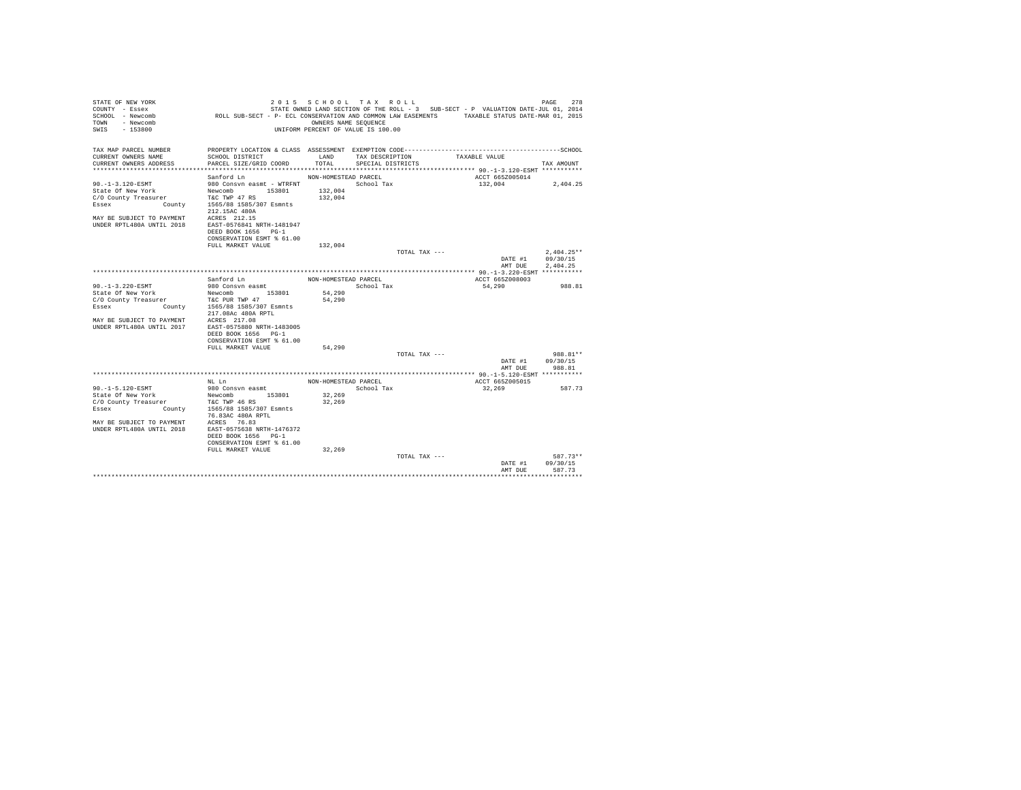| STATE OF NEW YORK<br>COUNTY - Essex                    |                                                                                               | 2015 SCHOOL TAX ROLL               |                   |               | STATE OWNED LAND SECTION OF THE ROLL - 3 SUB-SECT - P VALUATION DATE-JUL 01, 2014 | 278<br>PAGE           |
|--------------------------------------------------------|-----------------------------------------------------------------------------------------------|------------------------------------|-------------------|---------------|-----------------------------------------------------------------------------------|-----------------------|
| SCHOOL - Newcomb                                       | ROLL SUB-SECT - P- ECL CONSERVATION AND COMMON LAW EASEMENTS TAXABLE STATUS DATE-MAR 01, 2015 |                                    |                   |               |                                                                                   |                       |
| TOWN<br>- Newcomb                                      |                                                                                               | OWNERS NAME SEOUENCE               |                   |               |                                                                                   |                       |
| SWIS<br>- 153800                                       |                                                                                               | UNIFORM PERCENT OF VALUE IS 100.00 |                   |               |                                                                                   |                       |
|                                                        |                                                                                               |                                    |                   |               |                                                                                   |                       |
|                                                        |                                                                                               |                                    |                   |               |                                                                                   |                       |
| TAX MAP PARCEL NUMBER                                  | PROPERTY LOCATION & CLASS ASSESSMENT EXEMPTION CODE------------------------                   |                                    |                   |               |                                                                                   | ---------------SCHOOL |
| CURRENT OWNERS NAME                                    | SCHOOL DISTRICT                                                                               | LAND                               | TAX DESCRIPTION   |               | TAXABLE VALUE                                                                     |                       |
| CURRENT OWNERS ADDRESS                                 | PARCEL SIZE/GRID COORD                                                                        | TOTAL                              | SPECIAL DISTRICTS |               |                                                                                   | TAX AMOUNT            |
|                                                        |                                                                                               |                                    |                   |               | ACCT 665Z005014                                                                   |                       |
| $90. -1 - 3.120 - ESMT$                                | Sanford Ln<br>980 Consyn easmt - WTRFNT                                                       | NON-HOMESTEAD PARCEL               | School Tax        |               | 132,004                                                                           | 2,404.25              |
| State Of New York                                      | 153801<br>Newcomb                                                                             | 132,004                            |                   |               |                                                                                   |                       |
| C/O County Treasurer                                   | T&C TWP 47 RS                                                                                 | 132,004                            |                   |               |                                                                                   |                       |
| Essex<br>County                                        | 1565/88 1585/307 Esmnts                                                                       |                                    |                   |               |                                                                                   |                       |
|                                                        | 212.15AC 480A                                                                                 |                                    |                   |               |                                                                                   |                       |
| MAY BE SUBJECT TO PAYMENT                              | ACRES 212.15                                                                                  |                                    |                   |               |                                                                                   |                       |
| <b>IINDER RPTL480A IINTIL 2018</b>                     | EAST-0576841 NRTH-1481947                                                                     |                                    |                   |               |                                                                                   |                       |
|                                                        | DEED BOOK 1656 PG-1                                                                           |                                    |                   |               |                                                                                   |                       |
|                                                        | CONSERVATION ESMT % 61.00                                                                     |                                    |                   |               |                                                                                   |                       |
|                                                        | FULL MARKET VALUE                                                                             | 132,004                            |                   |               |                                                                                   |                       |
|                                                        |                                                                                               |                                    |                   | TOTAL TAX --- |                                                                                   | $2,404.25**$          |
|                                                        |                                                                                               |                                    |                   |               | DATE #1<br>AMT DUE                                                                | 09/30/15<br>2,404.25  |
|                                                        |                                                                                               |                                    |                   |               |                                                                                   |                       |
|                                                        | Sanford Ln                                                                                    | NON-HOMESTEAD PARCEL               |                   |               | ACCT 665Z008003                                                                   |                       |
| 90. -1-3.220-ESMT                                      | 980 Consvn easmt                                                                              |                                    | School Tax        |               | 54,290                                                                            | 988.81                |
| State Of New York                                      | 153801<br>Newcomb                                                                             | 54,290                             |                   |               |                                                                                   |                       |
| C/O County Treasurer                                   | T&C PUR TWP 47                                                                                | 54,290                             |                   |               |                                                                                   |                       |
| Essex                                                  | County 1565/88 1585/307 Esmnts                                                                |                                    |                   |               |                                                                                   |                       |
|                                                        | 217.08Ac 480A RPTL                                                                            |                                    |                   |               |                                                                                   |                       |
| MAY BE SUBJECT TO PAYMENT<br>UNDER RPTL480A UNTIL 2017 | ACRES 217.08<br>EAST-0575880 NRTH-1483005                                                     |                                    |                   |               |                                                                                   |                       |
|                                                        | DEED BOOK 1656 PG-1                                                                           |                                    |                   |               |                                                                                   |                       |
|                                                        | CONSERVATION ESMT % 61.00                                                                     |                                    |                   |               |                                                                                   |                       |
|                                                        | FULL MARKET VALUE                                                                             | 54,290                             |                   |               |                                                                                   |                       |
|                                                        |                                                                                               |                                    |                   | TOTAL TAX --- |                                                                                   | 988.81**              |
|                                                        |                                                                                               |                                    |                   |               | DATE #1                                                                           | 09/30/15              |
|                                                        |                                                                                               |                                    |                   |               | AMT DUE                                                                           | 988.81                |
|                                                        | NT. Ln                                                                                        |                                    |                   |               |                                                                                   |                       |
| 90. -1-5.120-ESMT                                      | 980 Consyn easmt                                                                              | NON-HOMESTEAD PARCEL               | School Tax        |               | ACCT 665Z005015<br>32,269                                                         | 587.73                |
| State Of New York                                      | 153801<br>Newcomb                                                                             | 32,269                             |                   |               |                                                                                   |                       |
| C/O County Treasurer                                   | T&C TWP 46 RS                                                                                 | 32,269                             |                   |               |                                                                                   |                       |
| County<br>Essex                                        | 1565/88 1585/307 Esmnts                                                                       |                                    |                   |               |                                                                                   |                       |
|                                                        | 76.83AC 480A RPTL                                                                             |                                    |                   |               |                                                                                   |                       |
| MAY BE SUBJECT TO PAYMENT                              | ACRES 76.83                                                                                   |                                    |                   |               |                                                                                   |                       |
| <b>IINDER RPTL480A IINTIL 2018</b>                     | EAST-0575638 NRTH-1476372                                                                     |                                    |                   |               |                                                                                   |                       |
|                                                        | DEED BOOK 1656 PG-1                                                                           |                                    |                   |               |                                                                                   |                       |
|                                                        | CONSERVATION ESMT % 61.00                                                                     |                                    |                   |               |                                                                                   |                       |
|                                                        | FULL MARKET VALUE                                                                             | 32,269                             |                   | TOTAL TAX --- |                                                                                   | 587.73**              |
|                                                        |                                                                                               |                                    |                   |               | DATE #1                                                                           | 09/30/15              |
|                                                        |                                                                                               |                                    |                   |               | AMT DUE                                                                           | 587.73                |
|                                                        |                                                                                               |                                    |                   |               |                                                                                   | ********              |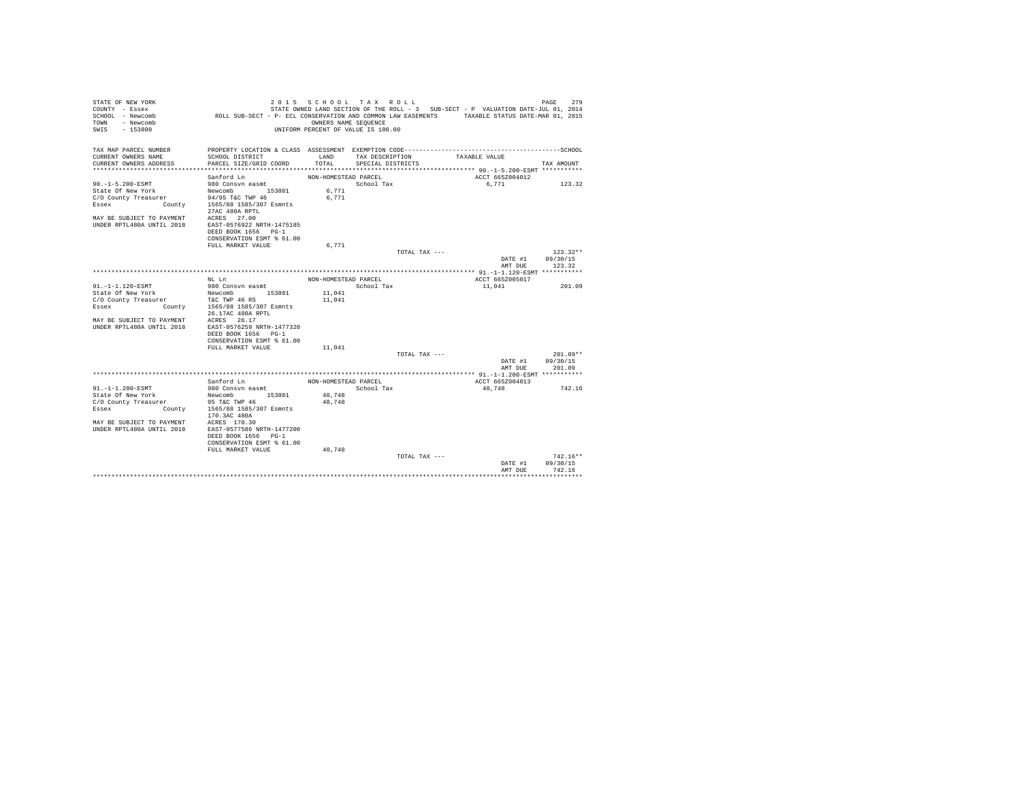| STATE OF NEW YORK<br>COUNTY - Essex<br>SCHOOL - Newcomb | ROLL SUB-SECT - P- ECL CONSERVATION AND COMMON LAW EASEMENTS TAXABLE STATUS DATE-MAR 01, 2015 | 2015 SCHOOL TAX ROLL                                       |                                      |               | STATE OWNED LAND SECTION OF THE ROLL - 3 SUB-SECT - P VALUATION DATE-JUL 01, 2014 | PAGE<br>279            |
|---------------------------------------------------------|-----------------------------------------------------------------------------------------------|------------------------------------------------------------|--------------------------------------|---------------|-----------------------------------------------------------------------------------|------------------------|
| - Newcomb<br>TOWN<br>SWIS<br>- 153800                   |                                                                                               | OWNERS NAME SEOUENCE<br>UNIFORM PERCENT OF VALUE IS 100.00 |                                      |               |                                                                                   |                        |
| TAX MAP PARCEL NUMBER                                   | PROPERTY LOCATION & CLASS ASSESSMENT EXEMPTION CODE------------------------                   |                                                            |                                      |               |                                                                                   | ----------------SCHOOL |
| CURRENT OWNERS NAME<br>CURRENT OWNERS ADDRESS           | SCHOOL DISTRICT<br>PARCEL SIZE/GRID COORD                                                     | LAND<br>TOTAL                                              | TAX DESCRIPTION<br>SPECIAL DISTRICTS |               | TAXABLE VALUE                                                                     | TAX AMOUNT             |
|                                                         |                                                                                               |                                                            |                                      |               |                                                                                   |                        |
|                                                         | Sanford Ln                                                                                    | NON-HOMESTEAD PARCEL                                       |                                      |               | ACCT 665Z004012                                                                   |                        |
| 90. -1-5.200-ESMT                                       | 980 Consyn easmt                                                                              |                                                            | School Tax                           |               | 6.771                                                                             | 123.32                 |
| State Of New York                                       | Newcomb<br>153801                                                                             | 6,771                                                      |                                      |               |                                                                                   |                        |
| C/O County Treasurer                                    | 94/95 T&C TWP 46                                                                              | 6.771                                                      |                                      |               |                                                                                   |                        |
| Essex                                                   | County 1565/88 1585/307 Esmnts<br>27AC 480A RPTL                                              |                                                            |                                      |               |                                                                                   |                        |
| MAY BE SUBJECT TO PAYMENT                               | ACRES 27.00                                                                                   |                                                            |                                      |               |                                                                                   |                        |
| <b>IINDER RPTL480A IINTIL 2018</b>                      | EAST-0576922 NRTH-1475185                                                                     |                                                            |                                      |               |                                                                                   |                        |
|                                                         | DEED BOOK 1656 PG-1                                                                           |                                                            |                                      |               |                                                                                   |                        |
|                                                         | CONSERVATION ESMT % 61.00                                                                     |                                                            |                                      |               |                                                                                   |                        |
|                                                         | FULL MARKET VALUE                                                                             | 6,771                                                      |                                      |               |                                                                                   |                        |
|                                                         |                                                                                               |                                                            |                                      | TOTAL TAX --- |                                                                                   | $123.32**$             |
|                                                         |                                                                                               |                                                            |                                      |               | DATE #1<br>AMT DUE                                                                | 09/30/15<br>123.32     |
|                                                         |                                                                                               |                                                            |                                      |               |                                                                                   |                        |
|                                                         | NT. T.n                                                                                       | NON-HOMESTEAD PARCEL                                       |                                      |               | ACCT 665Z005017                                                                   |                        |
| 91.-1-1.120-ESMT                                        | 980 Consvn easmt                                                                              |                                                            | School Tax                           |               | 11,041                                                                            | 201.09                 |
| State Of New York                                       | Newcomb 153801                                                                                | 11,041                                                     |                                      |               |                                                                                   |                        |
| C/O County Treasurer                                    | T&C TWP 46 RS                                                                                 | 11,041                                                     |                                      |               |                                                                                   |                        |
| Essex                                                   | County 1565/88 1585/307 Esmnts                                                                |                                                            |                                      |               |                                                                                   |                        |
|                                                         | 26.17AC 480A RPTL                                                                             |                                                            |                                      |               |                                                                                   |                        |
| MAY BE SUBJECT TO PAYMENT                               | ACRES 26.17                                                                                   |                                                            |                                      |               |                                                                                   |                        |
| UNDER RPTL480A UNTIL 2018                               | EAST-0576259 NRTH-1477320<br>DEED BOOK 1656 PG-1                                              |                                                            |                                      |               |                                                                                   |                        |
|                                                         | CONSERVATION ESMT % 61.00                                                                     |                                                            |                                      |               |                                                                                   |                        |
|                                                         | FULL MARKET VALUE                                                                             | 11,041                                                     |                                      |               |                                                                                   |                        |
|                                                         |                                                                                               |                                                            |                                      | TOTAL TAX --- |                                                                                   | $201.09**$             |
|                                                         |                                                                                               |                                                            |                                      |               | DATE #1                                                                           | 09/30/15               |
|                                                         |                                                                                               |                                                            |                                      |               | AMT DUE                                                                           | 201.09                 |
|                                                         |                                                                                               |                                                            |                                      |               |                                                                                   |                        |
|                                                         | Sanford Ln                                                                                    | NON-HOMESTEAD PARCEL                                       |                                      |               | ACCT 665Z004013                                                                   |                        |
| 91. -1-1.200-ESMT                                       | 980 Consyn easmt<br>153801                                                                    |                                                            | School Tax                           |               | 40.748                                                                            | 742.16                 |
| State Of New York<br>C/O County Treasurer               | Newcomb<br>95 T&C TWP 46                                                                      | 40,748<br>40,748                                           |                                      |               |                                                                                   |                        |
| Essex<br>County                                         | 1565/88 1585/307 Esmnts                                                                       |                                                            |                                      |               |                                                                                   |                        |
|                                                         | 170.3AC 480A                                                                                  |                                                            |                                      |               |                                                                                   |                        |
| MAY BE SUBJECT TO PAYMENT                               | ACRES 170.30                                                                                  |                                                            |                                      |               |                                                                                   |                        |
| <b>IINDER RPTL480A IINTIL 2018</b>                      | EAST-0577586 NRTH-1477200                                                                     |                                                            |                                      |               |                                                                                   |                        |
|                                                         | DEED BOOK 1656 PG-1                                                                           |                                                            |                                      |               |                                                                                   |                        |
|                                                         | CONSERVATION ESMT % 61.00                                                                     |                                                            |                                      |               |                                                                                   |                        |
|                                                         | FULL MARKET VALUE                                                                             | 40.748                                                     |                                      |               |                                                                                   |                        |
|                                                         |                                                                                               |                                                            |                                      | TOTAL TAX --- |                                                                                   | $742.16**$<br>09/30/15 |
|                                                         |                                                                                               |                                                            |                                      |               | DATE #1<br>AMT DUE                                                                | 742.16                 |
|                                                         |                                                                                               |                                                            |                                      |               |                                                                                   |                        |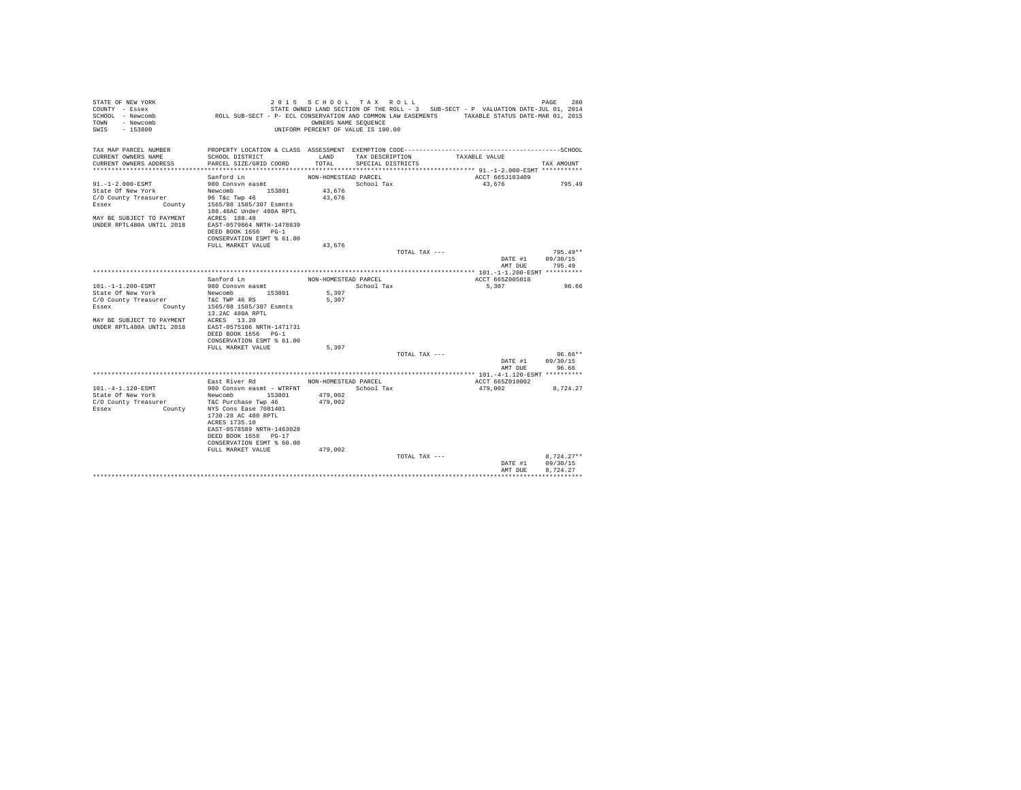| STATE OF NEW YORK<br>COUNTY - Essex<br>SCHOOL - Newcomb | ROLL SUB-SECT - P- ECL CONSERVATION AND COMMON LAW EASEMENTS TAXABLE STATUS DATE-MAR 01, 2015                          |                      | 2015 SCHOOL TAX ROLL               |               | STATE OWNED LAND SECTION OF THE ROLL - 3 SUB-SECT - P VALUATION DATE-JUL 01, 2014 | PAGE<br>280  |
|---------------------------------------------------------|------------------------------------------------------------------------------------------------------------------------|----------------------|------------------------------------|---------------|-----------------------------------------------------------------------------------|--------------|
| TOWN<br>- Newcomb<br>SWTS<br>$-153800$                  |                                                                                                                        | OWNERS NAME SEQUENCE | UNIFORM PERCENT OF VALUE IS 100.00 |               |                                                                                   |              |
| TAX MAP PARCEL NUMBER                                   |                                                                                                                        |                      |                                    |               |                                                                                   |              |
| CURRENT OWNERS NAME                                     | SCHOOL DISTRICT                                                                                                        | LAND                 | TAX DESCRIPTION                    |               | TAXABLE VALUE                                                                     |              |
| CURRENT OWNERS ADDRESS                                  | PARCEL SIZE/GRID COORD                                                                                                 | TOTAL                | SPECIAL DISTRICTS                  |               |                                                                                   | TAX AMOUNT   |
|                                                         | Sanford Ln                                                                                                             | NON-HOMESTEAD PARCEL |                                    |               | ACCT 665J103409                                                                   |              |
| 91.-1-2.000-ESMT                                        | 980 Consvn easmt                                                                                                       |                      | School Tax                         |               | 43,676                                                                            | 795.49       |
| State Of New York                                       | Newcomb 153801                                                                                                         | 43,676               |                                    |               |                                                                                   |              |
| C/O County Treasurer                                    |                                                                                                                        | 43.676               |                                    |               |                                                                                   |              |
| Essex                                                   | ty Treasurer 36 T&C Twp 46<br>Ey Treasurer 36 T&C Twp 46<br>County 1565/88 1585/307 Esmnts<br>188.48AC Under 480A RPTL |                      |                                    |               |                                                                                   |              |
| MAY BE SUBJECT TO PAYMENT ACRES 188.48                  |                                                                                                                        |                      |                                    |               |                                                                                   |              |
| UNDER RPTL480A UNTIL 2018                               | EAST-0579664 NRTH-1478839                                                                                              |                      |                                    |               |                                                                                   |              |
|                                                         | DEED BOOK 1656 PG-1                                                                                                    |                      |                                    |               |                                                                                   |              |
|                                                         | CONSERVATION ESMT % 61.00                                                                                              |                      |                                    |               |                                                                                   |              |
|                                                         | FULL MARKET VALUE                                                                                                      | 43.676               |                                    |               |                                                                                   |              |
|                                                         |                                                                                                                        |                      |                                    | TOTAL TAX --- |                                                                                   | $795.49**$   |
|                                                         |                                                                                                                        |                      |                                    |               | DATE #1                                                                           | 09/30/15     |
|                                                         |                                                                                                                        |                      |                                    |               | AMT DUE                                                                           | 795.49       |
|                                                         | Sanford Ln                                                                                                             | NON-HOMESTEAD PARCEL |                                    |               | ACCT 665Z005018                                                                   |              |
| 101.-1-1.200-ESMT                                       | 980 Consvn easmt                                                                                                       |                      | School Tax                         |               | 5,307                                                                             | 96.66        |
| State Of New York                                       | Newcomb 153801                                                                                                         | 5,307                |                                    |               |                                                                                   |              |
| C/O County Treasurer                                    | T&C TWP 46 RS                                                                                                          | 5.307                |                                    |               |                                                                                   |              |
| <b>County</b><br>Essex                                  | 1565/88 1585/307 Esmnts                                                                                                |                      |                                    |               |                                                                                   |              |
|                                                         | 13.2AC 480A RPTL                                                                                                       |                      |                                    |               |                                                                                   |              |
| MAY BE SUBJECT TO PAYMENT ACRES 13.20                   |                                                                                                                        |                      |                                    |               |                                                                                   |              |
| UNDER RPTL480A UNTIL 2018                               | EAST-0575106 NRTH-1471731                                                                                              |                      |                                    |               |                                                                                   |              |
|                                                         | DEED BOOK 1656 PG-1                                                                                                    |                      |                                    |               |                                                                                   |              |
|                                                         | CONSERVATION ESMT % 61.00                                                                                              |                      |                                    |               |                                                                                   |              |
|                                                         | FULL MARKET VALUE                                                                                                      | 5.307                |                                    | TOTAL TAX --- |                                                                                   | $96.66**$    |
|                                                         |                                                                                                                        |                      |                                    |               | DATE #1                                                                           | 09/30/15     |
|                                                         |                                                                                                                        |                      |                                    |               | AMT DUE                                                                           | 96.66        |
|                                                         | East River Rd                                                                                                          | NON-HOMESTEAD PARCEL |                                    |               | ACCT 665Z010002                                                                   |              |
| 101.-4-1.120-ESMT                                       | 980 Consyn easmt - WTRFNT                                                                                              |                      | School Tax                         |               | 479.002                                                                           | 8.724.27     |
| State Of New York                                       | Newcomb 153801                                                                                                         | 479,002              |                                    |               |                                                                                   |              |
| C/O County Treasurer                                    | T&C Purchase Twp 46                                                                                                    | 479,002              |                                    |               |                                                                                   |              |
| Essex<br><b>County</b>                                  | NYS Cons Ease 7001401                                                                                                  |                      |                                    |               |                                                                                   |              |
|                                                         | 1730.28 AC 480 RPTL                                                                                                    |                      |                                    |               |                                                                                   |              |
|                                                         | ACRES 1735.10                                                                                                          |                      |                                    |               |                                                                                   |              |
|                                                         | EAST-0578589 NRTH-1463028                                                                                              |                      |                                    |               |                                                                                   |              |
|                                                         | DEED BOOK 1658 PG-17                                                                                                   |                      |                                    |               |                                                                                   |              |
|                                                         | CONSERVATION ESMT % 60.00<br>FULL MARKET VALUE                                                                         | 479,002              |                                    |               |                                                                                   |              |
|                                                         |                                                                                                                        |                      |                                    | TOTAL TAX --- |                                                                                   | $8.724.27**$ |
|                                                         |                                                                                                                        |                      |                                    |               | DATE #1                                                                           | 09/30/15     |
|                                                         |                                                                                                                        |                      |                                    |               | AMT DUE                                                                           | 8.724.27     |
|                                                         |                                                                                                                        |                      |                                    |               |                                                                                   |              |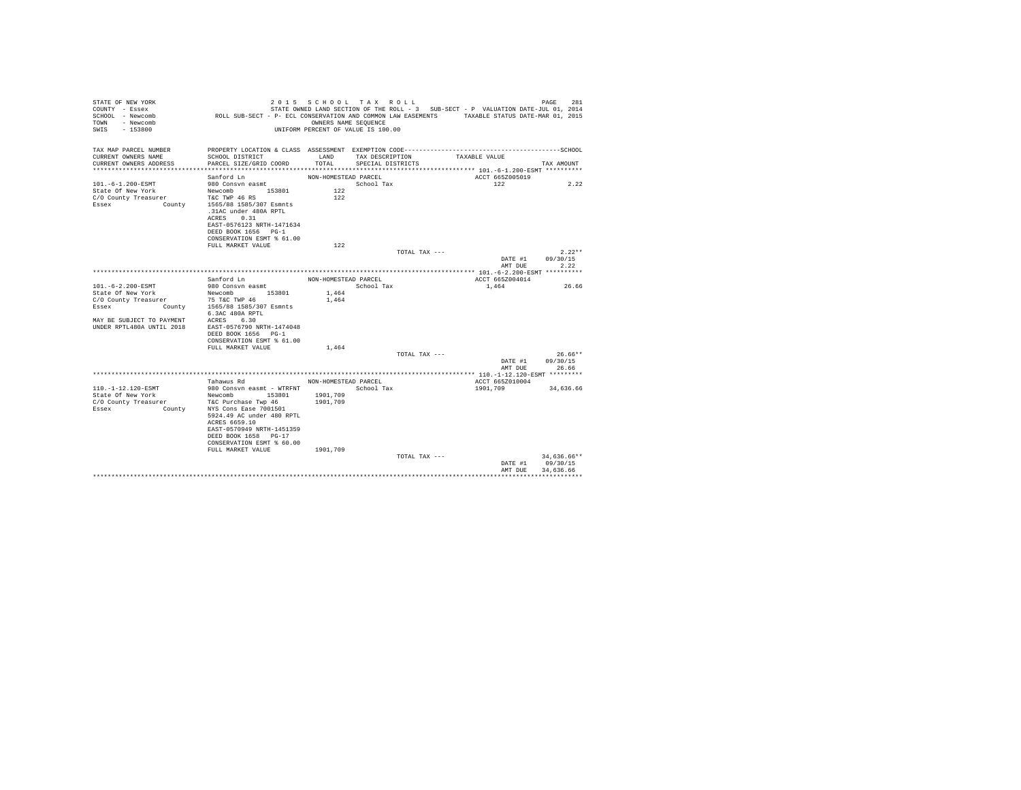| STATE OF NEW YORK<br>COUNTY - Essex     |                                                                                               | 2015 SCHOOL TAX ROLL               |                   |                 | STATE OWNED LAND SECTION OF THE ROLL - 3 SUB-SECT - P VALUATION DATE-JUL 01, 2014 |                    | 281<br>PAGE           |
|-----------------------------------------|-----------------------------------------------------------------------------------------------|------------------------------------|-------------------|-----------------|-----------------------------------------------------------------------------------|--------------------|-----------------------|
| SCHOOL - Newcomb<br>- Newcomb<br>TOWN   | ROLL SUB-SECT - P- ECL CONSERVATION AND COMMON LAW EASEMENTS TAXABLE STATUS DATE-MAR 01, 2015 | OWNERS NAME SEOUENCE               |                   |                 |                                                                                   |                    |                       |
| SWTS<br>- 153800                        |                                                                                               | UNIFORM PERCENT OF VALUE IS 100.00 |                   |                 |                                                                                   |                    |                       |
| TAX MAP PARCEL NUMBER                   | PROPERTY LOCATION & CLASS ASSESSMENT EXEMPTION CODE--------------------                       |                                    |                   |                 |                                                                                   |                    | ---------------SCHOOL |
| CURRENT OWNERS NAME                     | SCHOOL DISTRICT                                                                               | LAND                               | TAX DESCRIPTION   |                 | TAXABLE VALUE                                                                     |                    |                       |
| CURRENT OWNERS ADDRESS                  | PARCEL SIZE/GRID COORD                                                                        | TOTAL                              | SPECIAL DISTRICTS |                 |                                                                                   |                    | TAX AMOUNT            |
|                                         | Sanford Ln                                                                                    | NON-HOMESTEAD PARCEL               |                   |                 |                                                                                   | ACCT 665Z005019    |                       |
| 101. -6-1.200-ESMT                      | 980 Consyn easmt                                                                              |                                    | School Tax        |                 |                                                                                   | 122                | 2.22                  |
| State Of New York                       | Newcomb 153801                                                                                | 122                                |                   |                 |                                                                                   |                    |                       |
| C/O County Treasurer                    | T&C TWP 46 RS                                                                                 | 122                                |                   |                 |                                                                                   |                    |                       |
| Essex<br>County                         | 1565/88 1585/307 Esmnts                                                                       |                                    |                   |                 |                                                                                   |                    |                       |
|                                         | .31AC under 480A RPTL<br>0.31<br>ACRES                                                        |                                    |                   |                 |                                                                                   |                    |                       |
|                                         | EAST-0576123 NRTH-1471634                                                                     |                                    |                   |                 |                                                                                   |                    |                       |
|                                         | DEED BOOK 1656 PG-1                                                                           |                                    |                   |                 |                                                                                   |                    |                       |
|                                         | CONSERVATION ESMT % 61.00                                                                     |                                    |                   |                 |                                                                                   |                    |                       |
|                                         | FULL MARKET VALUE                                                                             | 122                                |                   |                 |                                                                                   |                    |                       |
|                                         |                                                                                               |                                    |                   | TOTAL TAX ---   |                                                                                   |                    | $2.22**$              |
|                                         |                                                                                               |                                    |                   |                 |                                                                                   | DATE #1<br>AMT DUE | 09/30/15<br>2.22      |
|                                         |                                                                                               |                                    |                   |                 |                                                                                   |                    |                       |
|                                         | Sanford Ln                                                                                    | NON-HOMESTEAD PARCEL               |                   |                 |                                                                                   | ACCT 665Z004014    |                       |
| 101.-6-2.200-ESMT                       | 980 Consvn easmt                                                                              |                                    | School Tax        |                 | 1,464                                                                             |                    | 26.66                 |
| State Of New York                       | Newcomb 153801                                                                                | 1,464                              |                   |                 |                                                                                   |                    |                       |
| C/O County Treasurer                    | 75 T&C TWP 46                                                                                 | 1,464                              |                   |                 |                                                                                   |                    |                       |
| Essex                                   | County 1565/88 1585/307 Esmnts<br>6.3AC 480A RPTL                                             |                                    |                   |                 |                                                                                   |                    |                       |
| MAY BE SUBJECT TO PAYMENT               | ACRES 6.30                                                                                    |                                    |                   |                 |                                                                                   |                    |                       |
| UNDER RPTL480A UNTIL 2018               | EAST-0576790 NRTH-1474048                                                                     |                                    |                   |                 |                                                                                   |                    |                       |
|                                         | DEED BOOK 1656 PG-1                                                                           |                                    |                   |                 |                                                                                   |                    |                       |
|                                         | CONSERVATION ESMT % 61.00                                                                     |                                    |                   |                 |                                                                                   |                    |                       |
|                                         | FULL MARKET VALUE                                                                             | 1.464                              |                   |                 |                                                                                   |                    |                       |
|                                         |                                                                                               |                                    |                   | TOTAL TAX $---$ |                                                                                   | DATE #1            | $26.66**$<br>09/30/15 |
|                                         |                                                                                               |                                    |                   |                 |                                                                                   | AMT DUE            | 26.66                 |
|                                         |                                                                                               |                                    |                   |                 |                                                                                   |                    |                       |
|                                         | Tahawus Rd                                                                                    | NON-HOMESTEAD PARCEL               |                   |                 |                                                                                   | ACCT 665Z010004    |                       |
| 110. -1-12.120-ESMT                     | 980 Consyn easmt - WTRFNT                                                                     |                                    | School Tax        |                 | 1901,709                                                                          |                    | 34,636.66             |
| State Of New York                       | Newcomb<br>153801                                                                             | 1901,709                           |                   |                 |                                                                                   |                    |                       |
| C/O County Treasurer<br>Essex<br>County | T&C Purchase Twp 46<br>NYS Cons Ease 7001501                                                  | 1901,709                           |                   |                 |                                                                                   |                    |                       |
|                                         | 5924.49 AC under 480 RPTL                                                                     |                                    |                   |                 |                                                                                   |                    |                       |
|                                         | ACRES 6659.10                                                                                 |                                    |                   |                 |                                                                                   |                    |                       |
|                                         | EAST-0570949 NRTH-1451359                                                                     |                                    |                   |                 |                                                                                   |                    |                       |
|                                         | DEED BOOK 1658 PG-17                                                                          |                                    |                   |                 |                                                                                   |                    |                       |
|                                         | CONSERVATION ESMT % 60.00                                                                     |                                    |                   |                 |                                                                                   |                    |                       |
|                                         | FULL MARKET VALUE                                                                             | 1901,709                           |                   | TOTAL TAX ---   |                                                                                   |                    | 34,636.66**           |
|                                         |                                                                                               |                                    |                   |                 |                                                                                   | DATE #1            | 09/30/15              |
|                                         |                                                                                               |                                    |                   |                 |                                                                                   | AMT DHE            | 34.636.66             |
|                                         |                                                                                               |                                    |                   |                 |                                                                                   |                    |                       |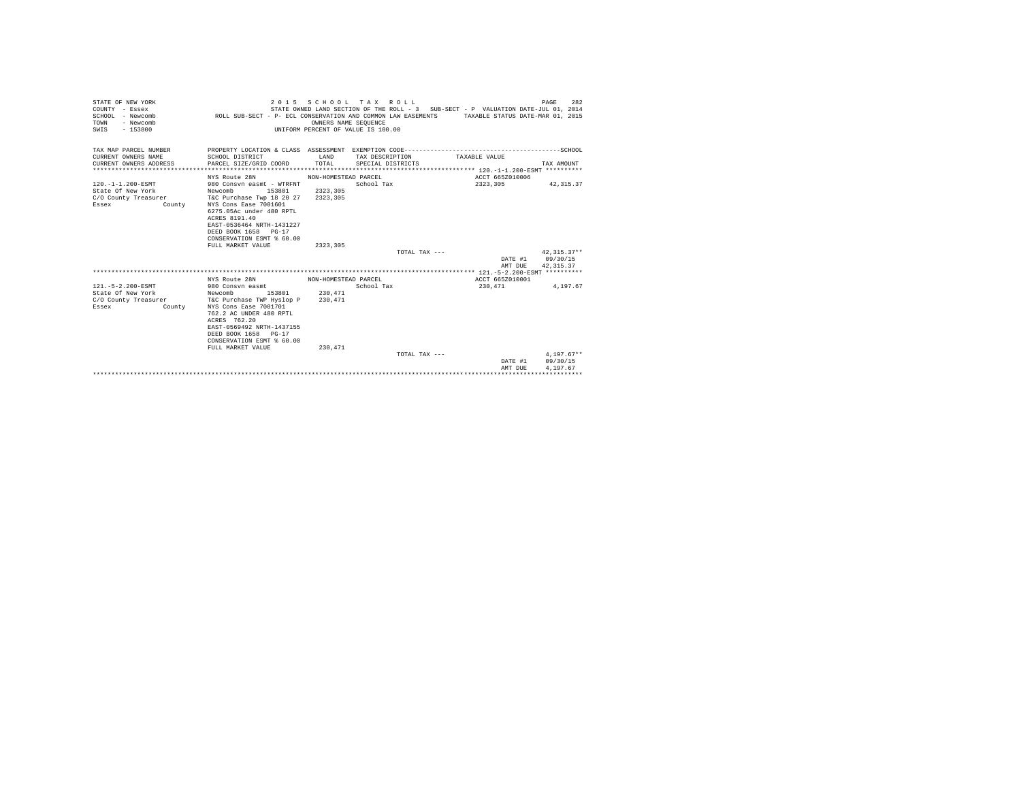| STATE OF NEW YORK<br>COUNTY - Essex<br>$SCHOM. - Newcomb$<br>TOWN<br>- Newcomb<br>$-153800$<br>SWIS |                                                                                                                                                                                                                                                          | OWNERS NAME SEOUENCE             | 2015 SCHOOL TAX ROLL<br>UNIFORM PERCENT OF VALUE IS 100.00 | STATE OWNED LAND SECTION OF THE ROLL - 3 SUB-SECT - P VALUATION DATE-JUL 01, 2014<br>ROLL SUB-SECT - P- ECL CONSERVATION AND COMMON LAW EASEMENTS TAXABLE STATUS DATE-MAR 01, 2015 | 282<br>PAGE                          |
|-----------------------------------------------------------------------------------------------------|----------------------------------------------------------------------------------------------------------------------------------------------------------------------------------------------------------------------------------------------------------|----------------------------------|------------------------------------------------------------|------------------------------------------------------------------------------------------------------------------------------------------------------------------------------------|--------------------------------------|
| TAX MAP PARCEL NUMBER<br>CURRENT OWNERS NAME<br>CURRENT OWNERS ADDRESS                              | SCHOOL DISTRICT<br>PARCEL SIZE/GRID COORD                                                                                                                                                                                                                | LAND<br>TOTAL                    | TAX DESCRIPTION<br>SPECIAL DISTRICTS                       | PROPERTY LOCATION & CLASS ASSESSMENT EXEMPTION CODE-----------------------------------SCHOOL<br>TAXABLE VALUE                                                                      | TAX AMOUNT                           |
|                                                                                                     |                                                                                                                                                                                                                                                          |                                  |                                                            |                                                                                                                                                                                    |                                      |
|                                                                                                     | NYS Route 28N                                                                                                                                                                                                                                            | NON-HOMESTEAD PARCEL             |                                                            | ACCT 665Z010006                                                                                                                                                                    |                                      |
| 120. -1-1.200-ESMT<br>State Of New York<br>C/O County Treasurer<br>Essex<br>County                  | 980 Consyn easmt - WTRFNT<br>153801<br>Newcomb<br>T&C Purchase Twp 18 20 27<br>NYS Cons Ease 7001601<br>6275.05Ac under 480 RPTL<br>ACRES 8191.40<br>EAST-0536464 NRTH-1431227<br>DEED BOOK 1658 PG-17<br>CONSERVATION ESMT % 60.00<br>FULL MARKET VALUE | 2323,305<br>2323,305<br>2323,305 | School Tax<br>TOTAL TAX $---$                              | 2323,305                                                                                                                                                                           | 42, 315.37<br>$42,315.37**$          |
|                                                                                                     |                                                                                                                                                                                                                                                          |                                  |                                                            | DATE #1                                                                                                                                                                            | 09/30/15                             |
|                                                                                                     |                                                                                                                                                                                                                                                          |                                  |                                                            | AMT DUE                                                                                                                                                                            | 42.315.37                            |
|                                                                                                     |                                                                                                                                                                                                                                                          |                                  |                                                            |                                                                                                                                                                                    |                                      |
|                                                                                                     | NYS Route 28N                                                                                                                                                                                                                                            | NON-HOMESTEAD PARCEL             |                                                            | ACCT 665Z010001                                                                                                                                                                    |                                      |
| 121. - 5 - 2.200 - ESMT<br>State Of New York<br>C/O County Treasurer<br>Essex<br>County             | 980 Consyn easmt<br>153801<br>Newcomb<br>T&C Purchase TWP Hyslop P<br>NYS Cons Ease 7001701<br>762.2 AC UNDER 480 RPTL<br>ACRES 762.20<br>EAST-0569492 NRTH-1437155<br>DEED BOOK 1658 PG-17<br>CONSERVATION ESMT % 60.00                                 | 230,471<br>230,471               | School Tax                                                 | 230.471                                                                                                                                                                            | 4.197.67                             |
|                                                                                                     | FULL MARKET VALUE                                                                                                                                                                                                                                        | 230.471                          |                                                            |                                                                                                                                                                                    |                                      |
|                                                                                                     |                                                                                                                                                                                                                                                          |                                  | TOTAL TAX ---                                              | DATE #1<br>AMT DUE                                                                                                                                                                 | $4.197.67**$<br>09/30/15<br>4.197.67 |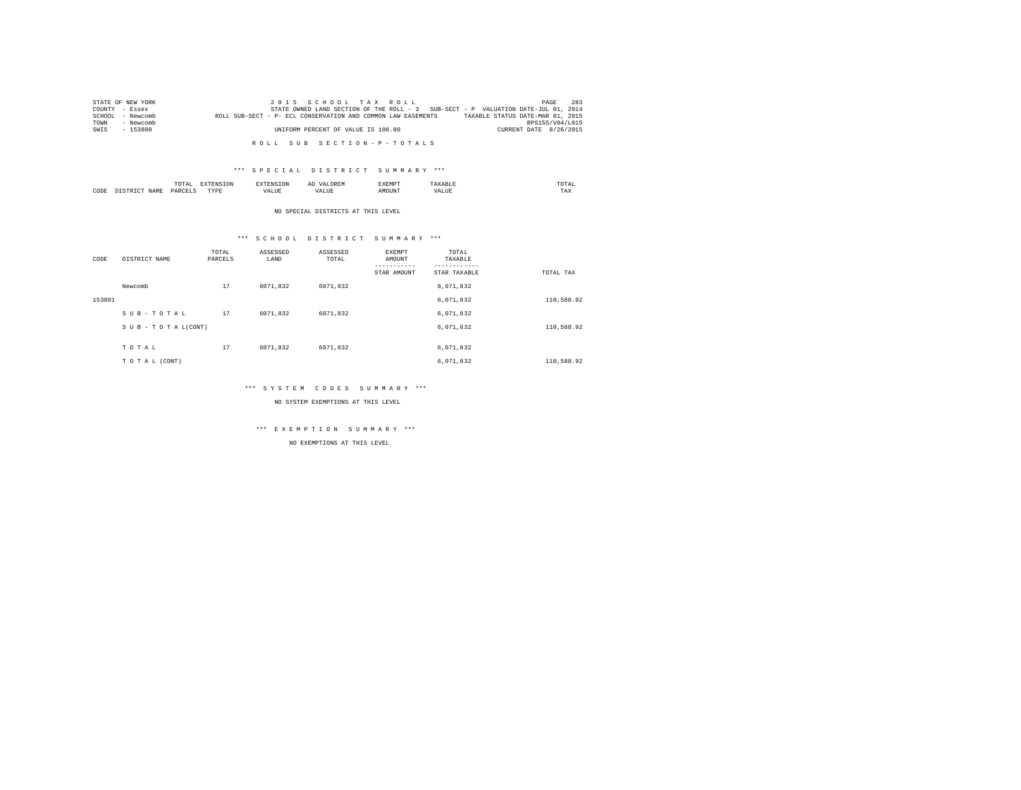| STATE OF NEW YORK | 2015 SCHOOL TAX ROLL                                                                             | PAGE                   | 283 |
|-------------------|--------------------------------------------------------------------------------------------------|------------------------|-----|
| COUNTY - Essex    | STATE OWNED LAND SECTION OF THE ROLL - 3 SUB-SECT - P VALUATION DATE-JUL 01, 2014                |                        |     |
| SCHOOL - Newcomb  | TAXABLE STATUS DATE-MAR 01, 2015<br>ROLL SUB-SECT - P- ECL CONSERVATION AND COMMON LAW EASEMENTS |                        |     |
| TOWN<br>- Newcomb |                                                                                                  | RPS155/V04/L015        |     |
| $-153800$<br>SWIS | UNIFORM PERCENT OF VALUE IS 100.00                                                               | CURRENT DATE 8/26/2015 |     |
|                   |                                                                                                  |                        |     |

R O L L S U B S E C T I O N - P - T O T A L S

### \*\*\* S P E C I A L D I S T R I C T S U M M A R Y \*\*\*

|      |   | ----<br>. |   |  | ABRE | the contract of the contract of the contract of |
|------|---|-----------|---|--|------|-------------------------------------------------|
| CODI | . |           | . |  |      | $- - -$<br>TAX                                  |

NO SPECIAL DISTRICTS AT THIS LEVEL

### \*\*\* S C H O O L D I S T R I C T S U M M A R Y \*\*\*

| CODE   | DISTRICT NAME   | TOTAL<br>PARCELS | ASSESSED<br>LAND | ASSESSED<br>TOTAL | EXEMPT<br>AMOUNT<br>STAR AMOUNT | TOTAL<br>TAXABLE<br>STAR TAXABLE | TOTAL TAX  |
|--------|-----------------|------------------|------------------|-------------------|---------------------------------|----------------------------------|------------|
|        | Newcomb         | 17               | 6071.832         | 6071.832          |                                 | 6,071,832                        |            |
| 153801 |                 |                  |                  |                   |                                 | 6,071,832                        | 110,588.92 |
|        | SUB-TOTAL       | 17               | 6071.832         | 6071.832          |                                 | 6.071.832                        |            |
|        | SUB-TOTAL(CONT) |                  |                  |                   |                                 | 6,071,832                        | 110,588.92 |
|        | TOTAL           | 17               | 6071.832         | 6071.832          |                                 | 6.071.832                        |            |
|        | TO TAL (CONT)   |                  |                  |                   |                                 | 6.071.832                        | 110,588.92 |

### \*\*\* S Y S T E M C O D E S S U M M A R Y \*\*\*

NO SYSTEM EXEMPTIONS AT THIS LEVEL

# \*\*\* E X E M P T I O N S U M M A R Y \*\*\*

NO EXEMPTIONS AT THIS LEVEL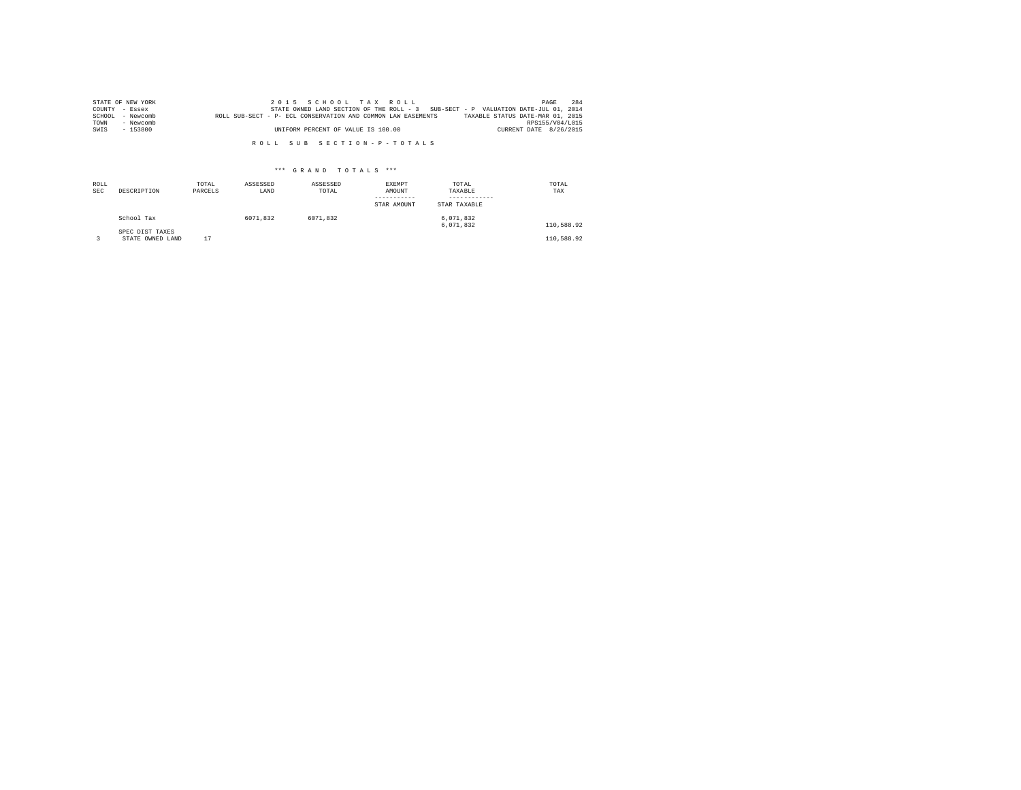|        | STATE OF NEW YORK | 2015 SCHOOL TAX ROLL                                                                             | PAGE                   | 284 |
|--------|-------------------|--------------------------------------------------------------------------------------------------|------------------------|-----|
|        | COUNTY - Essex    | STATE OWNED LAND SECTION OF THE ROLL - 3 SUB-SECT - P VALUATION DATE-JUL 01, 2014                |                        |     |
| SCHOOL | - Newcomb         | TAXABLE STATUS DATE-MAR 01, 2015<br>ROLL SUB-SECT - P- ECL CONSERVATION AND COMMON LAW EASEMENTS |                        |     |
| TOWN   | - Newcomb         |                                                                                                  | RPS155/V04/L015        |     |
| SWIS   | - 153800          | UNIFORM PERCENT OF VALUE IS 100.00                                                               | CURRENT DATE 8/26/2015 |     |

R O L L S U B S E C T I O N - P - T O T A L S

### \*\*\* G R A N D T O T A L S \*\*\*

| ROLL<br><b>SEC</b> | DESCRIPTION                         | TOTAL<br>PARCELS | ASSESSED<br>LAND | ASSESSED<br>TOTAL | EXEMPT<br>AMOUNT<br>-----------<br>STAR AMOUNT | TOTAL<br>TAXABLE<br>----------<br>STAR TAXABLE | TOTAL<br>TAX |
|--------------------|-------------------------------------|------------------|------------------|-------------------|------------------------------------------------|------------------------------------------------|--------------|
|                    | School Tax                          |                  | 6071.832         | 6071.832          |                                                | 6,071,832<br>6.071.832                         | 110,588.92   |
|                    | SPEC DIST TAXES<br>STATE OWNED LAND | 17               |                  |                   |                                                |                                                | 110,588.92   |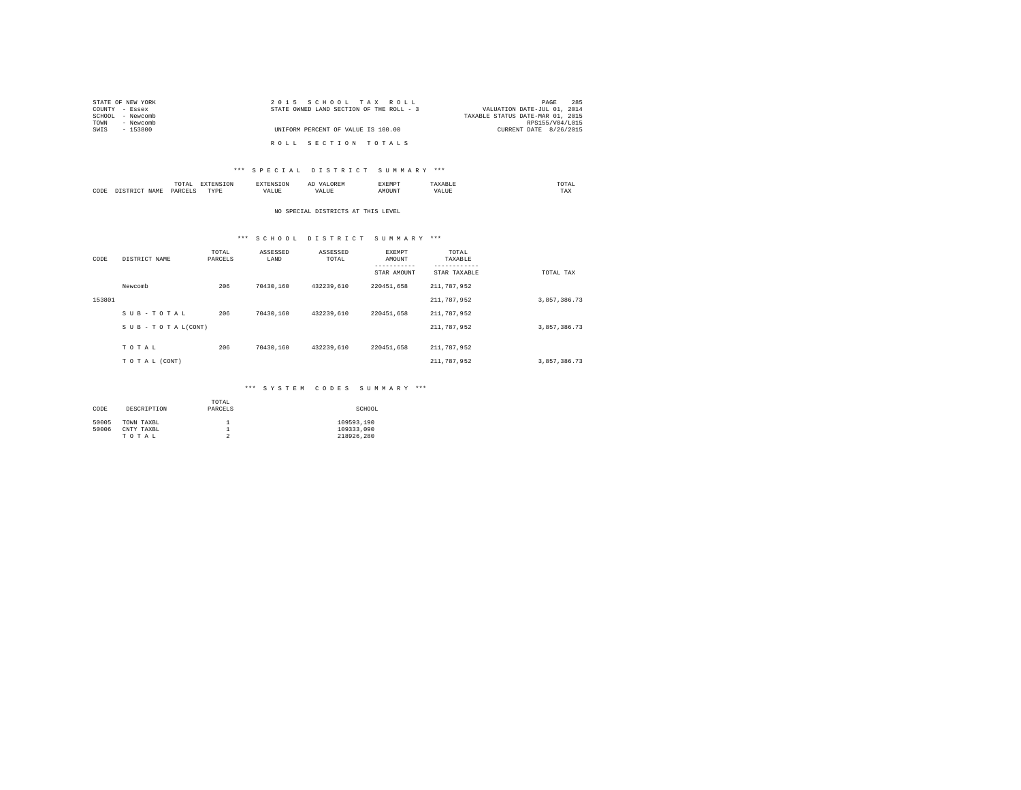| STATE OF NEW YORK | 2015 SCHOOL TAX ROLL                     | 285<br>PAGE                      |
|-------------------|------------------------------------------|----------------------------------|
| COUNTY - Essex    | STATE OWNED LAND SECTION OF THE ROLL - 3 | VALUATION DATE-JUL 01, 2014      |
| SCHOOL - Newcomb  |                                          | TAXABLE STATUS DATE-MAR 01, 2015 |
| - Newcomb<br>TOWN |                                          | RPS155/V04/L015                  |
| SWIS<br>- 153800  | UNIFORM PERCENT OF VALUE IS 100.00       | CURRENT DATE 8/26/2015           |
|                   | ROLL SECTION TOTALS                      |                                  |

### \*\*\* S P E C I A L D I S T R I C T S U M M A R Y \*\*\*

|      | .<br>the contract of the contract of the contract of | the contract of the contract of the contract of the contract of the contract of | ≖ | .<br>. | ------ | the contract of the contract of the contract of |
|------|------------------------------------------------------|---------------------------------------------------------------------------------|---|--------|--------|-------------------------------------------------|
| CODE | ODP'                                                 | M 13 L<br>.                                                                     |   | )UN'   |        | 1 M.A                                           |

### NO SPECIAL DISTRICTS AT THIS LEVEL

## \*\*\* S C H O O L D I S T R I C T S U M M A R Y \*\*\*

| CODE   | DISTRICT NAME   | TOTAL<br>PARCELS | ASSESSED<br>LAND | ASSESSED<br>TOTAL | <b>EXEMPT</b><br>AMOUNT<br>-----------<br>STAR AMOUNT | TOTAL<br>TAXABLE<br>--------<br>STAR TAXABLE | TOTAL TAX    |
|--------|-----------------|------------------|------------------|-------------------|-------------------------------------------------------|----------------------------------------------|--------------|
|        | Newcomb         | 206              | 70430.160        | 432239.610        | 220451.658                                            | 211,787,952                                  |              |
| 153801 |                 |                  |                  |                   |                                                       | 211,787,952                                  | 3.857.386.73 |
|        | SUB-TOTAL       | 206              | 70430.160        | 432239.610        | 220451.658                                            | 211,787,952                                  |              |
|        | SUB-TOTAL(CONT) |                  |                  |                   |                                                       | 211,787,952                                  | 3,857,386.73 |
|        | TOTAL           | 206              | 70430.160        | 432239.610        | 220451.658                                            | 211,787,952                                  |              |
|        | TO TAL (CONT)   |                  |                  |                   |                                                       | 211,787,952                                  | 3,857,386.73 |

### \*\*\* S Y S T E M C O D E S S U M M A R Y \*\*\*

| CODE  | DESCRIPTION | TOTAL<br>PARCELS | SCHOOL     |
|-------|-------------|------------------|------------|
| 50005 | TOWN TAXBL  |                  | 109593.190 |
| 50006 | CNTY TAXBL  |                  | 109333.090 |
|       | TOTAL       | ≘                | 218926.280 |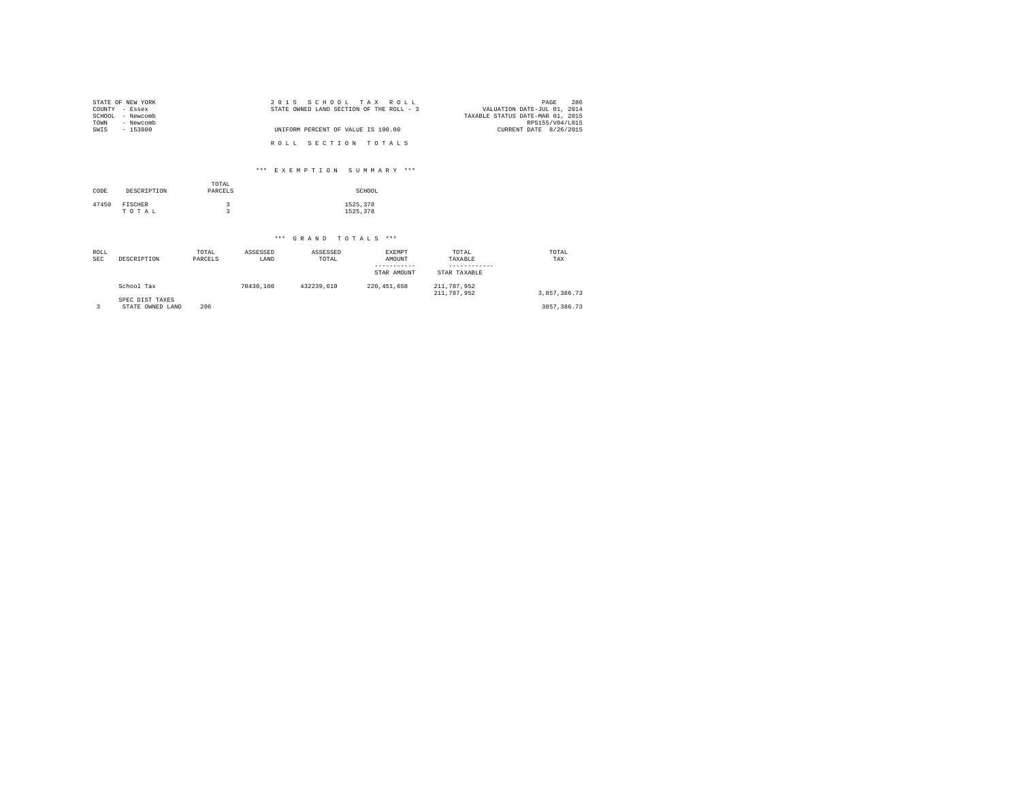| STATE OF NEW YORK | 2015 SCHOOL TAX ROLL                     | 286<br>PAGE                      |
|-------------------|------------------------------------------|----------------------------------|
| COUNTY - Essex    | STATE OWNED LAND SECTION OF THE ROLL - 3 | VALUATION DATE-JUL 01, 2014      |
| SCHOOL - Newcomb  |                                          | TAXABLE STATUS DATE-MAR 01, 2015 |
| TOWN<br>- Newcomb |                                          | RPS155/V04/L015                  |
| SWIS<br>- 153800  | UNIFORM PERCENT OF VALUE IS 100.00       | CURRENT DATE 8/26/2015           |
|                   |                                          |                                  |
|                   | ROLL SECTION TOTALS                      |                                  |

### \*\*\* E X E M P T I O N S U M M A R Y \*\*\*

| CODE  | DESCRIPTION      | TOTAL<br>PARCELS | SCHOOL               |
|-------|------------------|------------------|----------------------|
| 47450 | FISCHER<br>TOTAL |                  | 1525,378<br>1525.378 |

## \*\*\* G R A N D T O T A L S \*\*\*

| ROLL<br><b>SEC</b> | DESCRIPTION                         | TOTAL<br>PARCELS | ASSESSED<br>LAND | ASSESSED<br>TOTAL | <b>EXEMPT</b><br>AMOUNT<br>STAR AMOUNT | TOTAL<br>TAXABLE<br>STAR TAXABLE | TOTAL<br>TAX  |
|--------------------|-------------------------------------|------------------|------------------|-------------------|----------------------------------------|----------------------------------|---------------|
|                    | School Tax                          |                  | 70430.160        | 432239.610        | 220, 451, 658                          | 211,787,952<br>211,787,952       | 3.857.386.73  |
|                    | SPEC DIST TAXES<br>STATE OWNED LAND | 206              |                  |                   |                                        |                                  | 3857, 386, 73 |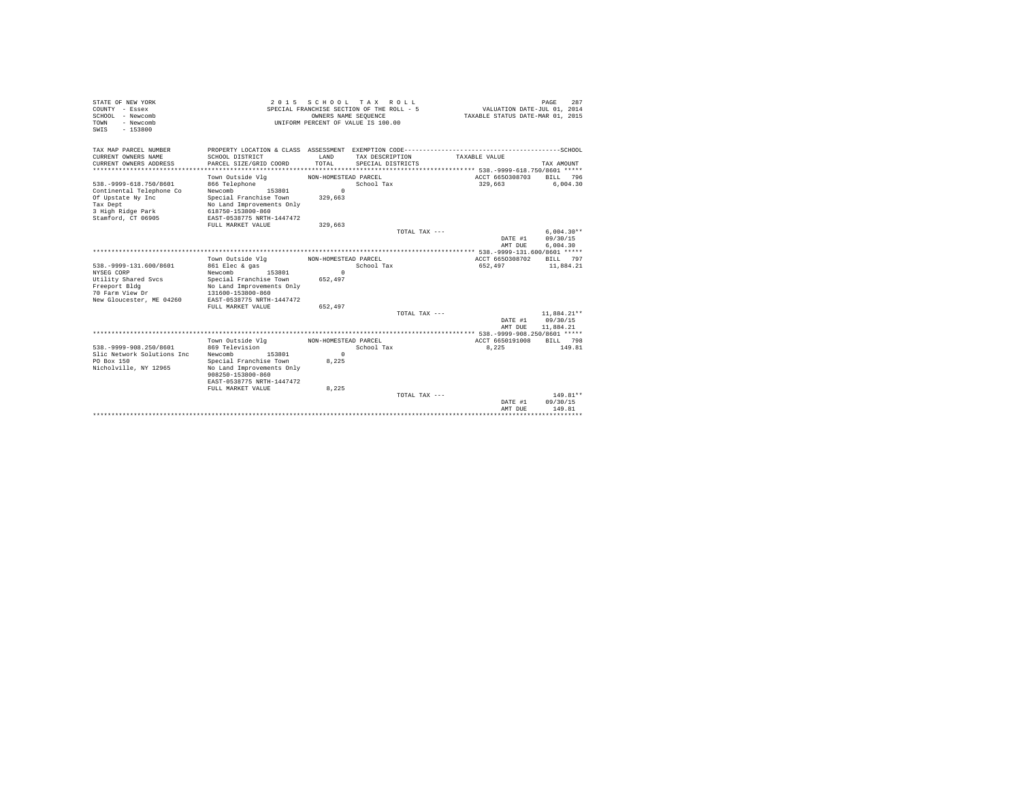| STATE OF NEW YORK             | 2 0 1 5                               |                      | SCHOOL TAX ROLL                           |               |                 | PAGE<br>287                      |
|-------------------------------|---------------------------------------|----------------------|-------------------------------------------|---------------|-----------------|----------------------------------|
| COUNTY - Essex                |                                       |                      | SPECIAL FRANCHISE SECTION OF THE ROLL - 5 |               |                 | VALUATION DATE-JUL 01, 2014      |
| SCHOOL - Newcomb              |                                       | OWNERS NAME SEQUENCE |                                           |               |                 | TAXABLE STATUS DATE-MAR 01, 2015 |
| - Newcomb<br>TOWN             |                                       |                      | UNIFORM PERCENT OF VALUE IS 100.00        |               |                 |                                  |
| $-153800$<br>SWIS             |                                       |                      |                                           |               |                 |                                  |
|                               |                                       |                      |                                           |               |                 |                                  |
|                               |                                       |                      |                                           |               |                 |                                  |
| TAX MAP PARCEL NUMBER         |                                       |                      |                                           |               |                 |                                  |
| CURRENT OWNERS NAME           | SCHOOL DISTRICT                       | LAND                 | TAX DESCRIPTION                           | TAXABLE VALUE |                 |                                  |
| CURRENT OWNERS ADDRESS        | PARCEL SIZE/GRID COORD                | TOTAL                | SPECIAL DISTRICTS                         |               |                 | TAX AMOUNT                       |
| ********************          |                                       |                      |                                           |               |                 |                                  |
|                               | Town Outside Vlg                      | NON-HOMESTEAD PARCEL |                                           |               | ACCT 6650308703 | BILL 796                         |
| 538. - 9999-618. 750/8601     | 866 Telephone                         |                      | School Tax                                | 329,663       |                 | 6,004.30                         |
| Continental Telephone Co      | 153801<br>Newcomb                     | $\Omega$             |                                           |               |                 |                                  |
|                               | Special Franchise Town                | 329,663              |                                           |               |                 |                                  |
| Of Upstate Ny Inc<br>Tax Dept |                                       |                      |                                           |               |                 |                                  |
|                               | No Land Improvements Only             |                      |                                           |               |                 |                                  |
| 3 High Ridge Park             | 618750-153800-860                     |                      |                                           |               |                 |                                  |
| Stamford, CT 06905            | EAST-0538775 NRTH-1447472             |                      |                                           |               |                 |                                  |
|                               | FULL MARKET VALUE                     | 329,663              |                                           |               |                 |                                  |
|                               |                                       |                      | TOTAL TAX ---                             |               |                 | $6.004.30**$                     |
|                               |                                       |                      |                                           |               | DATE #1         | 09/30/15                         |
|                               |                                       |                      |                                           |               | AMT DUE         | 6,004.30                         |
|                               |                                       |                      |                                           |               |                 |                                  |
|                               | Town Outside Vla                      | NON-HOMESTEAD PARCEL |                                           |               | ACCT 6650308702 | BILL 797                         |
| 538. - 9999-131.600/8601      | 861 Elec & gas                        |                      | School Tax                                | 652,497       |                 | 11,884.21                        |
| NYSEG CORP                    | Newcomb<br>153801                     | $\Omega$             |                                           |               |                 |                                  |
| Utility Shared Svcs           | Special Franchise Town                | 652,497              |                                           |               |                 |                                  |
| Freeport Bldg                 | No Land Improvements Only             |                      |                                           |               |                 |                                  |
| 70 Farm View Dr               | 131600-153800-860                     |                      |                                           |               |                 |                                  |
| New Gloucester, ME 04260      | EAST-0538775 NRTH-1447472             |                      |                                           |               |                 |                                  |
|                               | FULL MARKET VALUE                     | 652.497              |                                           |               |                 |                                  |
|                               |                                       |                      | TOTAL TAX ---                             |               |                 | 11,884.21**                      |
|                               |                                       |                      |                                           |               | DATE #1         | 09/30/15                         |
|                               |                                       |                      |                                           |               | AMT DUE         | 11,884.21                        |
|                               |                                       |                      |                                           |               |                 |                                  |
|                               | Town Outside Vlg MON-HOMESTEAD PARCEL |                      |                                           |               | ACCT 6650191008 | BILL 798                         |
|                               |                                       |                      |                                           |               |                 |                                  |
| 538. - 9999 - 908. 250/8601   | 869 Television                        |                      | School Tax                                |               | 8.225           | 149.81                           |
| Slic Network Solutions Inc    | Newcomb<br>153801                     | $\Omega$             |                                           |               |                 |                                  |
| PO Box 150                    | Special Franchise Town                | 8,225                |                                           |               |                 |                                  |
| Nicholville, NY 12965         | No Land Improvements Only             |                      |                                           |               |                 |                                  |
|                               | 908250-153800-860                     |                      |                                           |               |                 |                                  |
|                               | EAST-0538775 NRTH-1447472             |                      |                                           |               |                 |                                  |
|                               | FULL MARKET VALUE                     | 8,225                |                                           |               |                 |                                  |
|                               |                                       |                      | $TOTAI. TAX - - -$                        |               |                 | $149.81**$                       |
|                               |                                       |                      |                                           |               | DATE #1         | 09/30/15                         |
|                               |                                       |                      |                                           |               | AMT DUE         | 149.81                           |
|                               |                                       |                      |                                           |               |                 |                                  |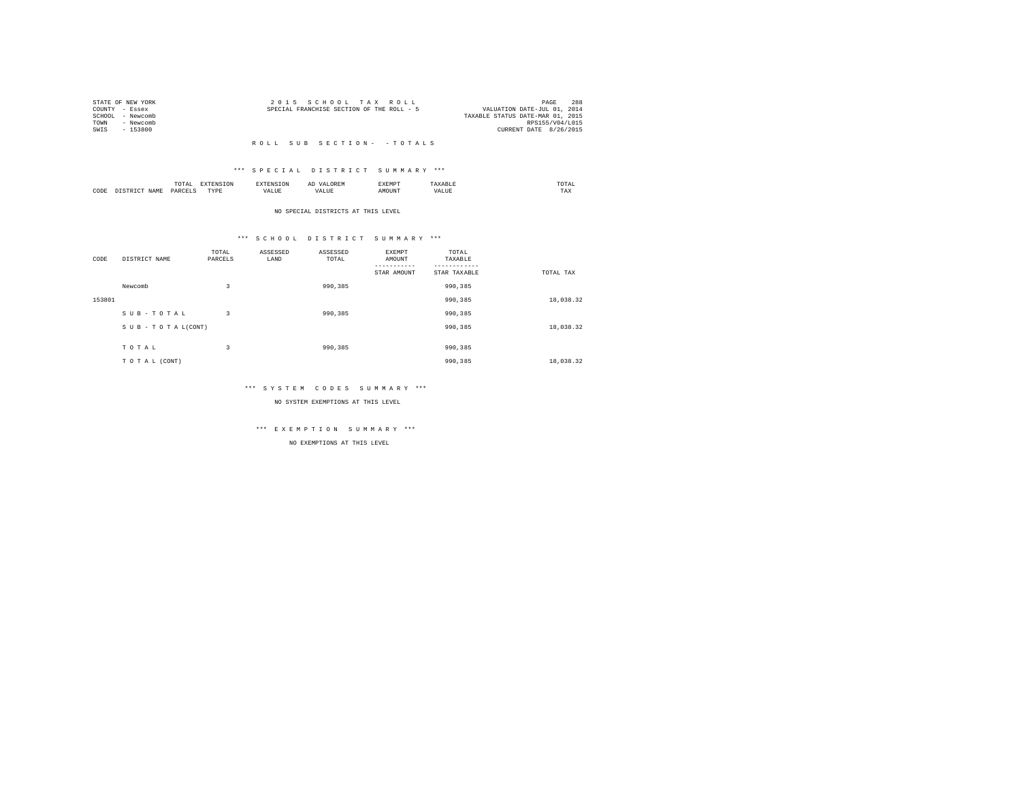|      | STATE OF NEW YORK | 2015 SCHOOL TAX ROLL                      |                                  | PAGE | 288 |
|------|-------------------|-------------------------------------------|----------------------------------|------|-----|
|      | COUNTY - Essex    | SPECIAL FRANCHISE SECTION OF THE ROLL - 5 | VALUATION DATE-JUL 01, 2014      |      |     |
|      | SCHOOL - Newcomb  |                                           | TAXABLE STATUS DATE-MAR 01, 2015 |      |     |
| TOWN | - Newcomb         |                                           | RPS155/V04/L015                  |      |     |
| SWIS | - 153800          |                                           | CURRENT DATE 8/26/2015           |      |     |
|      |                   |                                           |                                  |      |     |

#### R O L L S U B S E C T I O N - - T O T A L S

### \*\*\* S P E C I A L D I S T R I C T S U M M A R Y \*\*\*

|      |      | 10171    |           |       |     | .XEMP" | 1 A L<br>the contract of the contract of the contract of |
|------|------|----------|-----------|-------|-----|--------|----------------------------------------------------------|
| CODE | ч∆м. | レムト<br>. | ----<br>. | - --- | , , |        | 1 A.A                                                    |

NO SPECIAL DISTRICTS AT THIS LEVEL

### \*\*\* S C H O O L D I S T R I C T S U M M A R Y \*\*\*

| CODE   | DISTRICT NAME      | TOTAL<br>PARCELS | ASSESSED<br>LAND | ASSESSED<br>TOTAL | EXEMPT<br>AMOUNT | TOTAL<br>TAXABLE |           |
|--------|--------------------|------------------|------------------|-------------------|------------------|------------------|-----------|
|        |                    |                  |                  |                   |                  |                  |           |
|        |                    |                  |                  |                   | STAR AMOUNT      | STAR TAXABLE     | TOTAL TAX |
|        | Newcomb            | 3                |                  | 990,385           |                  | 990,385          |           |
| 153801 |                    |                  |                  |                   |                  | 990,385          | 18,038.32 |
|        | SUB-TOTAL          | 3                |                  | 990,385           |                  | 990,385          |           |
|        | SUB - TO TAL(CONT) |                  |                  |                   |                  | 990,385          | 18,038.32 |
|        |                    |                  |                  |                   |                  |                  |           |
|        | TOTAL              | 3                |                  | 990,385           |                  | 990,385          |           |
|        | TO TAL (CONT)      |                  |                  |                   |                  | 990.385          | 18,038.32 |

### \*\*\* S Y S T E M C O D E S S U M M A R Y \*\*\*

NO SYSTEM EXEMPTIONS AT THIS LEVEL

# \*\*\* E X E M P T I O N S U M M A R Y \*\*\*

NO EXEMPTIONS AT THIS LEVEL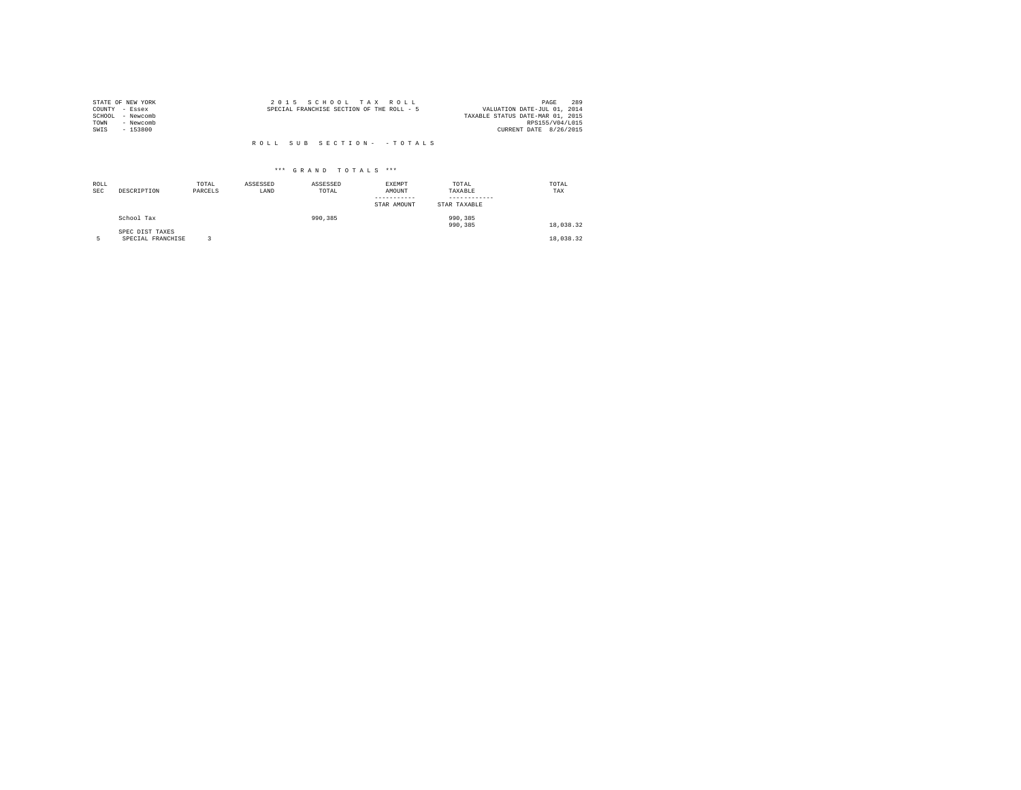|                | STATE OF NEW YORK | 2015 SCHOOL TAX ROLL                      | 289<br>PAGE                 |
|----------------|-------------------|-------------------------------------------|-----------------------------|
| COUNTY - Essex |                   | SPECIAL FRANCHISE SECTION OF THE ROLL - 5 | VALUATION DATE-JUL 01, 2014 |
| SCHOOL         | - Newcomb         | TAXABLE STATUS DATE-MAR 01, 2015          |                             |
| TOWN           | - Newcomb         |                                           | RPS155/V04/L015             |
| SWIS           | - 153800          |                                           | CURRENT DATE 8/26/2015      |
|                |                   |                                           |                             |
|                |                   | ROLL SUB SECTION- - TOTALS                |                             |

| ROLL<br><b>SEC</b> | DESCRIPTION                   | TOTAL<br>PARCELS | ASSESSED<br>LAND | ASSESSED<br>TOTAL | EXEMPT<br>AMOUNT<br>-----------<br>STAR AMOUNT | TOTAL<br>TAXABLE<br>------------<br>STAR TAXABLE | TOTAL<br>TAX |  |
|--------------------|-------------------------------|------------------|------------------|-------------------|------------------------------------------------|--------------------------------------------------|--------------|--|
|                    | School Tax<br>SPEC DIST TAXES |                  |                  | 990,385           |                                                | 990, 385<br>990,385                              | 18,038.32    |  |
|                    | SPECIAL FRANCHISE             |                  |                  |                   |                                                |                                                  | 18,038.32    |  |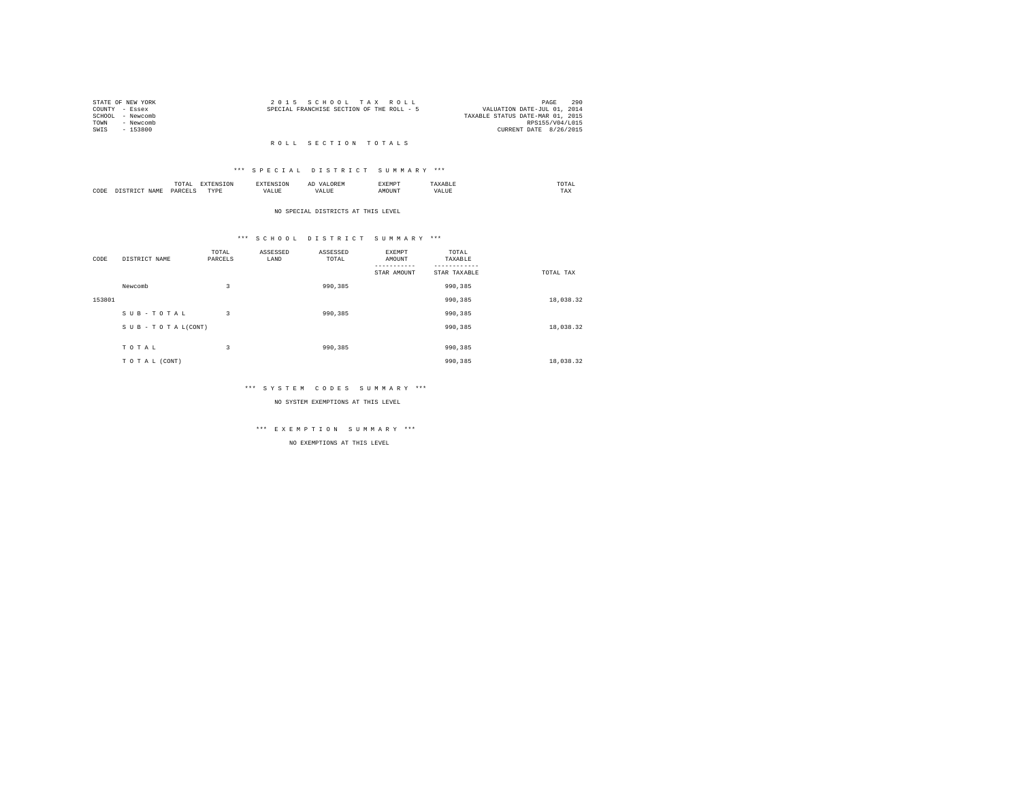|                | STATE OF NEW YORK | 2015 SCHOOL TAX ROLL                      |  |  |                                  |                 | PAGE | 290 |
|----------------|-------------------|-------------------------------------------|--|--|----------------------------------|-----------------|------|-----|
| COUNTY - Essex |                   | SPECIAL FRANCHISE SECTION OF THE ROLL - 5 |  |  | VALUATION DATE-JUL 01, 2014      |                 |      |     |
|                | SCHOOL - Newcomb  |                                           |  |  | TAXABLE STATUS DATE-MAR 01, 2015 |                 |      |     |
| TOWN           | - Newcomb         |                                           |  |  |                                  | RPS155/V04/L015 |      |     |
| SWIS           | - 153800          |                                           |  |  | CURRENT DATE 8/26/2015           |                 |      |     |
|                |                   |                                           |  |  |                                  |                 |      |     |

#### R O L L S E C T I O N T O T A L S

#### \*\*\* S P E C I A L D I S T R I C T S U M M A R Y \*\*\*

|      |       | .<br>the contract of the contract of the contract of the contract of the contract of |          |       | $\mathcal{L}$          | SXEMP" | /LAL<br>the contract of the contract of the contract of |  |
|------|-------|--------------------------------------------------------------------------------------|----------|-------|------------------------|--------|---------------------------------------------------------|--|
| CODE | ∢т∆мг | <b>DAW</b><br>. .                                                                    | TVD<br>. | - --- | $\cdot$ $\sim$ $\cdot$ |        | TAX                                                     |  |

#### NO SPECIAL DISTRICTS AT THIS LEVEL

#### \*\*\* S C H O O L D I S T R I C T S U M M A R Y \*\*\*

| CODE   | DISTRICT NAME   | TOTAL<br>PARCELS | ASSESSED<br>LAND | ASSESSED<br>TOTAL | EXEMPT<br>AMOUNT | TOTAL<br>TAXABLE |           |
|--------|-----------------|------------------|------------------|-------------------|------------------|------------------|-----------|
|        |                 |                  |                  |                   |                  |                  |           |
|        |                 |                  |                  |                   | STAR AMOUNT      | STAR TAXABLE     | TOTAL TAX |
|        | Newcomb         | 3                |                  | 990,385           |                  | 990.385          |           |
| 153801 |                 |                  |                  |                   |                  | 990,385          | 18,038.32 |
|        | SUB-TOTAL       | 3                |                  | 990.385           |                  | 990.385          |           |
|        | SUB-TOTAL(CONT) |                  |                  |                   |                  | 990,385          | 18,038.32 |
|        |                 |                  |                  |                   |                  |                  |           |
|        | TOTAL           | 3                |                  | 990.385           |                  | 990,385          |           |
|        | TO TAL (CONT)   |                  |                  |                   |                  | 990,385          | 18,038.32 |

#### \*\*\* S Y S T E M C O D E S S U M M A R Y \*\*\*

NO SYSTEM EXEMPTIONS AT THIS LEVEL

# \*\*\* E X E M P T I O N S U M M A R Y \*\*\*

NO EXEMPTIONS AT THIS LEVEL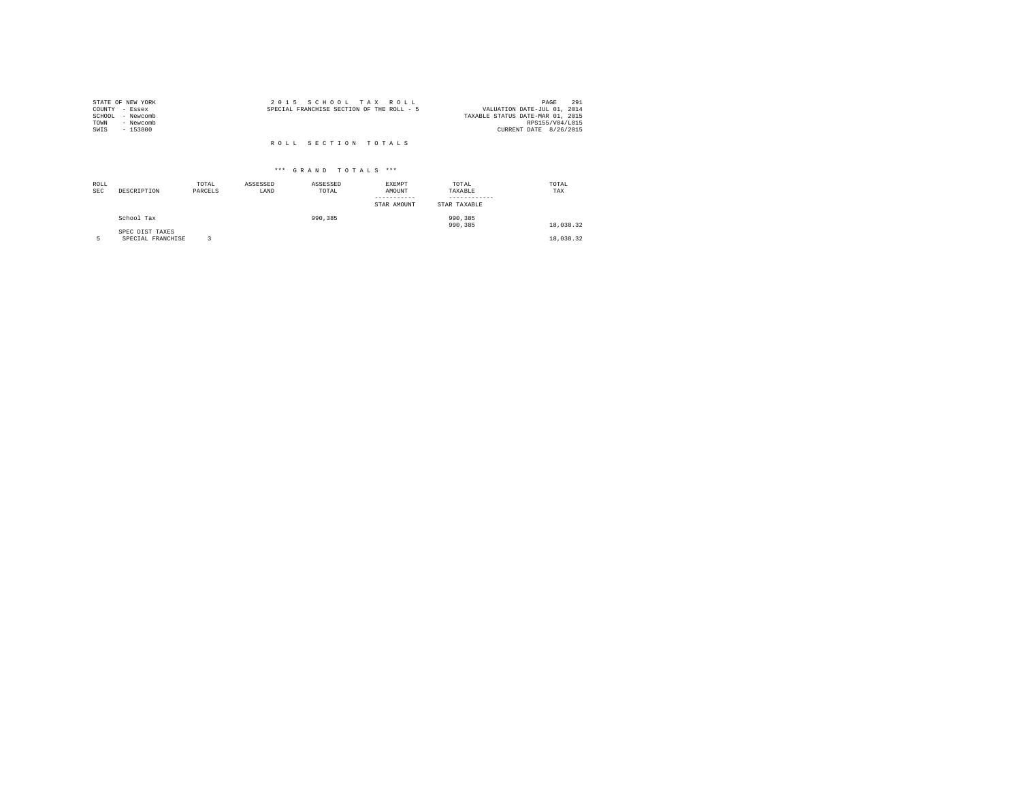| STATE OF NEW YORK |           | 2015 SCHOOL TAX ROLL                      |                                  | PAGE            | 291 |
|-------------------|-----------|-------------------------------------------|----------------------------------|-----------------|-----|
| COUNTY - Essex    |           | SPECIAL FRANCHISE SECTION OF THE ROLL - 5 | VALUATION DATE-JUL 01, 2014      |                 |     |
| SCHOOL            | - Newcomb |                                           | TAXABLE STATUS DATE-MAR 01, 2015 |                 |     |
| TOWN              | - Newcomb |                                           |                                  | RPS155/V04/L015 |     |
| SWIS              | $-153800$ |                                           | CURRENT DATE 8/26/2015           |                 |     |
|                   |           |                                           |                                  |                 |     |
|                   |           | ROLL SECTION TOTALS                       |                                  |                 |     |

| ROLL<br><b>SEC</b> | DESCRIPTION                          | TOTAL<br>PARCELS | ASSESSED<br>LAND | ASSESSED<br>TOTAL | <b>EXEMPT</b><br>AMOUNT<br>STAR AMOUNT | TOTAL<br>TAXABLE<br>STAR TAXABLE | TOTAL<br>TAX |
|--------------------|--------------------------------------|------------------|------------------|-------------------|----------------------------------------|----------------------------------|--------------|
|                    | School Tax                           |                  |                  | 990,385           |                                        | 990,385<br>990,385               | 18,038.32    |
|                    | SPEC DIST TAXES<br>SPECIAL FRANCHISE |                  |                  |                   |                                        |                                  | 18,038.32    |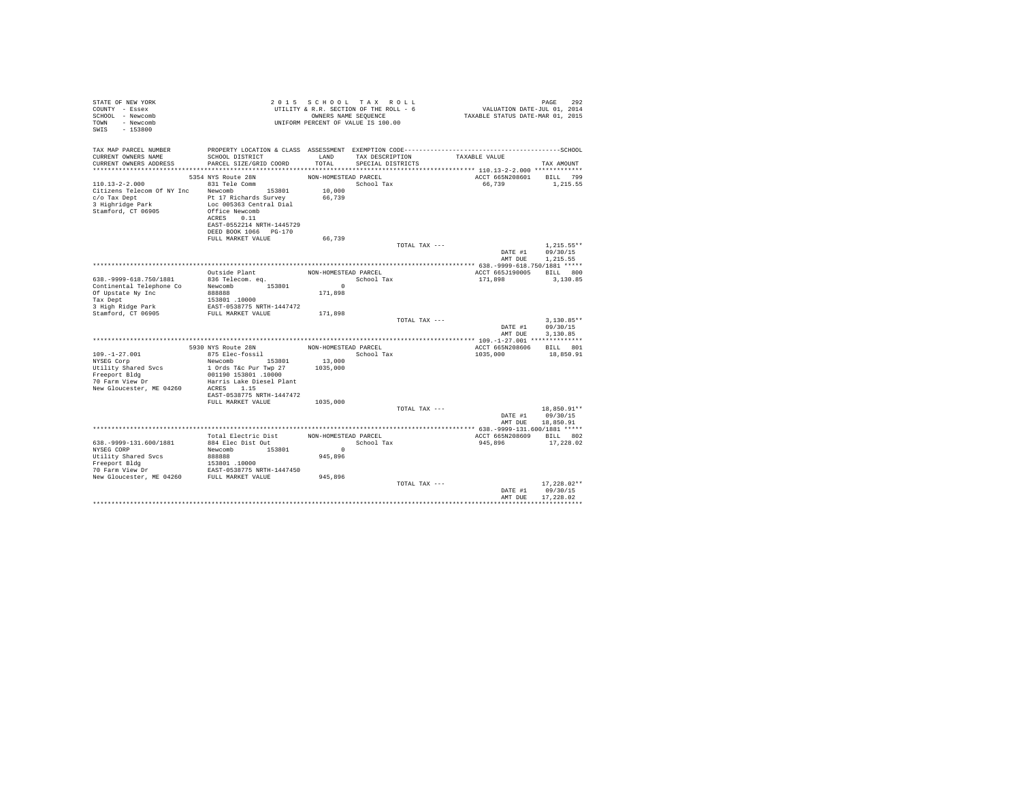| STATE OF NEW YORK<br>COUNTY - Essex<br>SCHOOL - Newcomb<br>TOWN - Newcomb<br>SWIS - 153800                                                                                |                                                                                             |                      | 2015 SCHOOL TAX ROLL<br>UTILITY & R.R. SECTION OF THE ROLL - 6<br>OWNERS NAME SEQUENCE<br>UNIFORM PERCENT OF VALUE IS 100.00 | PAGE 292<br>VALUATION DATE-JUL 01, 2014<br>TAXABLE STATUS DATE-MAR 01, 2015 | PAGE<br>292                                  |
|---------------------------------------------------------------------------------------------------------------------------------------------------------------------------|---------------------------------------------------------------------------------------------|----------------------|------------------------------------------------------------------------------------------------------------------------------|-----------------------------------------------------------------------------|----------------------------------------------|
| TAX MAP PARCEL NUMBER<br>CURRENT OWNERS NAME<br>CURRENT OWNERS ADDRESS                                                                                                    | SCHOOL DISTRICT<br>PARCEL SIZE/GRID COORD                                                   | LAND<br>TOTAL        | TAX DESCRIPTION<br>SPECIAL DISTRICTS                                                                                         | TAXABLE VALUE                                                               | TAX AMOUNT                                   |
| 110.13-2-2.000 831 Tele Comm                                                                                                                                              | 5354 NYS Route 28N                                                                          | NON-HOMESTEAD PARCEL | $\begin{minipage}{.4\linewidth} \textbf{School Tax} \\ \textbf{10,000} \end{minipage}$                                       | ACCT 665N208601 BILL 799<br>66,739                                          | 1,215.55                                     |
| Citizens Telecom Of NY Inc Newcomb 153801<br>C/O Tax Dept<br>Pt 17 Richards Survey<br>3 Highridge Park<br>Loc 005363 Central Dial<br>Stamford, CT 06905<br>Office Newcomb | Loc 005363 Central Dial<br>ACRES 0.11<br>EAST-0552214 NRTH-1445729<br>DEED BOOK 1066 PG-170 | 66,739               |                                                                                                                              |                                                                             |                                              |
|                                                                                                                                                                           | FULL MARKET VALUE                                                                           | 66,739               |                                                                                                                              |                                                                             |                                              |
|                                                                                                                                                                           |                                                                                             |                      | TOTAL TAX ---                                                                                                                | AMT DUE                                                                     | $1.215.55**$<br>DATE #1 09/30/15<br>1,215.55 |
|                                                                                                                                                                           |                                                                                             |                      |                                                                                                                              |                                                                             |                                              |
|                                                                                                                                                                           | Outside Plant                                                                               |                      | NON-HOMESTEAD PARCEL                                                                                                         | ACCT 665J190005 BILL 800                                                    |                                              |
| 638. - 9999-618. 750/1881                                                                                                                                                 | 836 Telecom. eq.                                                                            | $\sim$ 0             | School Tax                                                                                                                   | 171,898                                                                     | 3,130.85                                     |
| Continental Telephone Co Newcomb 153801<br>Of Upstate My Inc 888888                                                                                                       |                                                                                             | 171,898              |                                                                                                                              |                                                                             |                                              |
| Tax Dept<br>iax Dept<br>3 High Ridge Park                                                                                                                                 | 153801.10000                                                                                |                      |                                                                                                                              |                                                                             |                                              |
| Stamford, CT 06905                                                                                                                                                        | ------<br>EAST-0538775 NRTH-1447472<br>FULL MARKET VALUE                                    | 171,898              |                                                                                                                              |                                                                             |                                              |
|                                                                                                                                                                           |                                                                                             |                      | TOTAL TAX ---                                                                                                                | AMT DUE                                                                     | $3.130.85**$<br>DATE #1 09/30/15<br>3,130.85 |
|                                                                                                                                                                           |                                                                                             |                      |                                                                                                                              |                                                                             |                                              |
|                                                                                                                                                                           | 5930 NYS Route 28N NON-HOMESTEAD PARCEL                                                     |                      |                                                                                                                              | ACCT 665N208606                                                             | BILL 801                                     |
| $109. - 1 - 27.001$<br>109.-1-27.001<br>NYSEG Corp                                                                                                                        | 875 Elec-fossil                                                                             |                      | School Tax                                                                                                                   | 1035,000                                                                    | 18,850.91                                    |
| Utility Shared Svcs                                                                                                                                                       | Newcomb 153801 13,000<br>1 Ords T&c Pur Twp 27                                              | 1035,000             |                                                                                                                              |                                                                             |                                              |
| Freeport Bldg                                                                                                                                                             | 001190 153801 .10000                                                                        |                      |                                                                                                                              |                                                                             |                                              |
| 70 Farm View Dr                                                                                                                                                           | Harris Lake Diesel Plant<br>ACRES 1.15                                                      |                      |                                                                                                                              |                                                                             |                                              |
| New Gloucester, ME 04260                                                                                                                                                  | EAST-0538775 NRTH-1447472                                                                   |                      |                                                                                                                              |                                                                             |                                              |
|                                                                                                                                                                           | FULL MARKET VALUE 1035,000                                                                  |                      |                                                                                                                              |                                                                             |                                              |
|                                                                                                                                                                           |                                                                                             |                      | TOTAL TAX ---                                                                                                                | DATE #1 09/30/15                                                            | 18,850.91**                                  |
|                                                                                                                                                                           |                                                                                             |                      |                                                                                                                              | AMT DUE                                                                     | 18,850.91                                    |
|                                                                                                                                                                           |                                                                                             |                      |                                                                                                                              |                                                                             |                                              |
|                                                                                                                                                                           | Total Electric Dist                                                                         | NON-HOMESTEAD PARCEL |                                                                                                                              | ACCT 665N208609 BILL 802                                                    |                                              |
| 638. - 9999-131.600/1881                                                                                                                                                  | 884 Elec Dist Out                                                                           | $\sim$ 0             | School Tax                                                                                                                   | 945.896 17.228.02                                                           |                                              |
| NYSEG CORP                                                                                                                                                                | Newcomb 153801                                                                              |                      |                                                                                                                              |                                                                             |                                              |
|                                                                                                                                                                           |                                                                                             |                      |                                                                                                                              |                                                                             |                                              |
|                                                                                                                                                                           |                                                                                             |                      |                                                                                                                              |                                                                             |                                              |
|                                                                                                                                                                           |                                                                                             |                      |                                                                                                                              |                                                                             | $17,228.02**$                                |
|                                                                                                                                                                           |                                                                                             |                      | TOTAL TAX ---                                                                                                                | DATE #1                                                                     | 09/30/15                                     |
|                                                                                                                                                                           |                                                                                             |                      |                                                                                                                              | AMT DUE                                                                     | 17.228.02                                    |
|                                                                                                                                                                           |                                                                                             |                      |                                                                                                                              |                                                                             |                                              |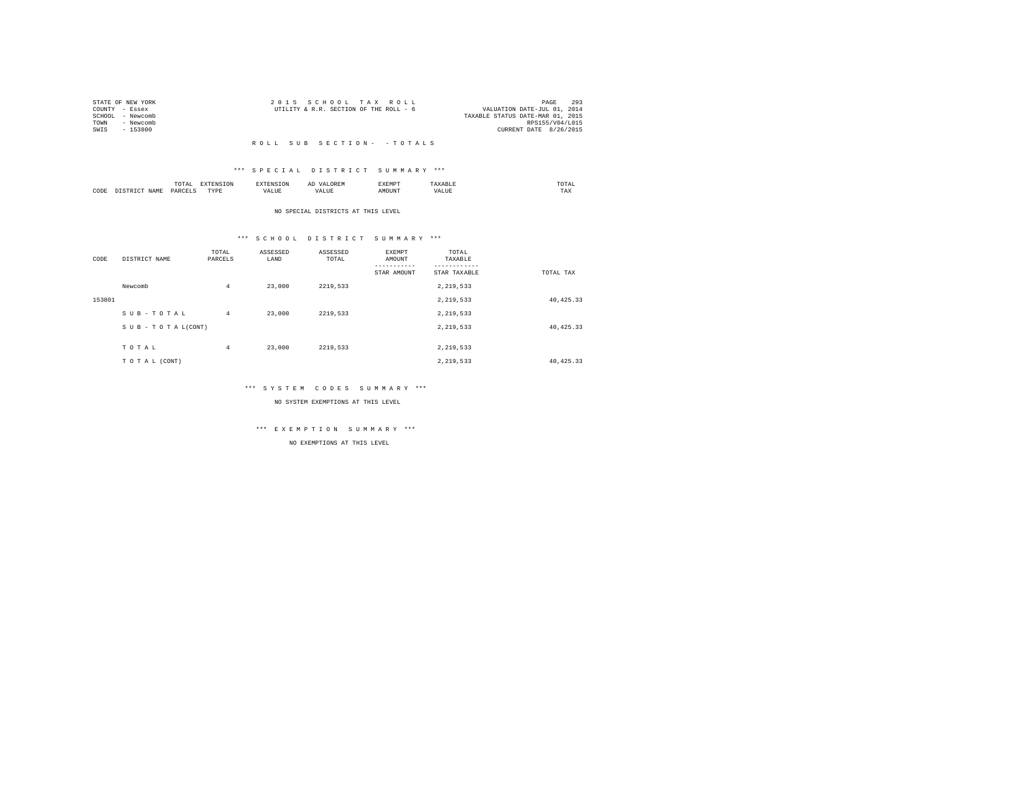|                | STATE OF NEW YORK | 2015 SCHOOL TAX ROLL |                                        |  |  | 293<br>PAGE                      |
|----------------|-------------------|----------------------|----------------------------------------|--|--|----------------------------------|
| COUNTY - Essex |                   |                      | UTILITY & R.R. SECTION OF THE ROLL - 6 |  |  | VALUATION DATE-JUL 01, 2014      |
|                | SCHOOL - Newcomb  |                      |                                        |  |  | TAXABLE STATUS DATE-MAR 01, 2015 |
| TOWN           | - Newcomb         |                      |                                        |  |  | RPS155/V04/L015                  |
| SWIS           | - 153800          |                      |                                        |  |  | CURRENT DATE 8/26/2015           |
|                |                   |                      |                                        |  |  |                                  |

#### \*\*\* S P E C I A L D I S T R I C T S U M M A R Y \*\*\*

|      |              | .                  |                  |       | $\cdots$ | SXEMP" |    | / LAL<br>the contract of the contract of the contract of |
|------|--------------|--------------------|------------------|-------|----------|--------|----|----------------------------------------------------------|
| CODE | $J \Delta M$ | <b>DARCET</b><br>. | <b>TVDI</b><br>. | - --- | ,,       | эттn   | n. | 1'AX                                                     |

#### NO SPECIAL DISTRICTS AT THIS LEVEL

#### \*\*\* S C H O O L D I S T R I C T S U M M A R Y \*\*\*

| CODE   | DISTRICT NAME      | TOTAL<br>PARCELS | ASSESSED<br>LAND | ASSESSED<br>TOTAL | EXEMPT<br>AMOUNT<br>STAR AMOUNT | TOTAL<br>TAXABLE<br>STAR TAXABLE | TOTAL TAX  |
|--------|--------------------|------------------|------------------|-------------------|---------------------------------|----------------------------------|------------|
|        | Newcomb            | $\overline{4}$   | 23,000           | 2219.533          |                                 | 2,219,533                        |            |
| 153801 |                    |                  |                  |                   |                                 | 2,219,533                        | 40, 425.33 |
|        | SUB-TOTAL          | $\overline{4}$   | 23,000           | 2219,533          |                                 | 2.219.533                        |            |
|        | SUB - TO TAL(CONT) |                  |                  |                   |                                 | 2,219,533                        | 40, 425.33 |
|        | TOTAL              | $\overline{4}$   | 23,000           | 2219.533          |                                 | 2,219,533                        |            |
|        | TO TAL (CONT)      |                  |                  |                   |                                 | 2.219.533                        | 40.425.33  |

#### \*\*\* S Y S T E M C O D E S S U M M A R Y \*\*\*

NO SYSTEM EXEMPTIONS AT THIS LEVEL

# \*\*\* E X E M P T I O N S U M M A R Y \*\*\*

NO EXEMPTIONS AT THIS LEVEL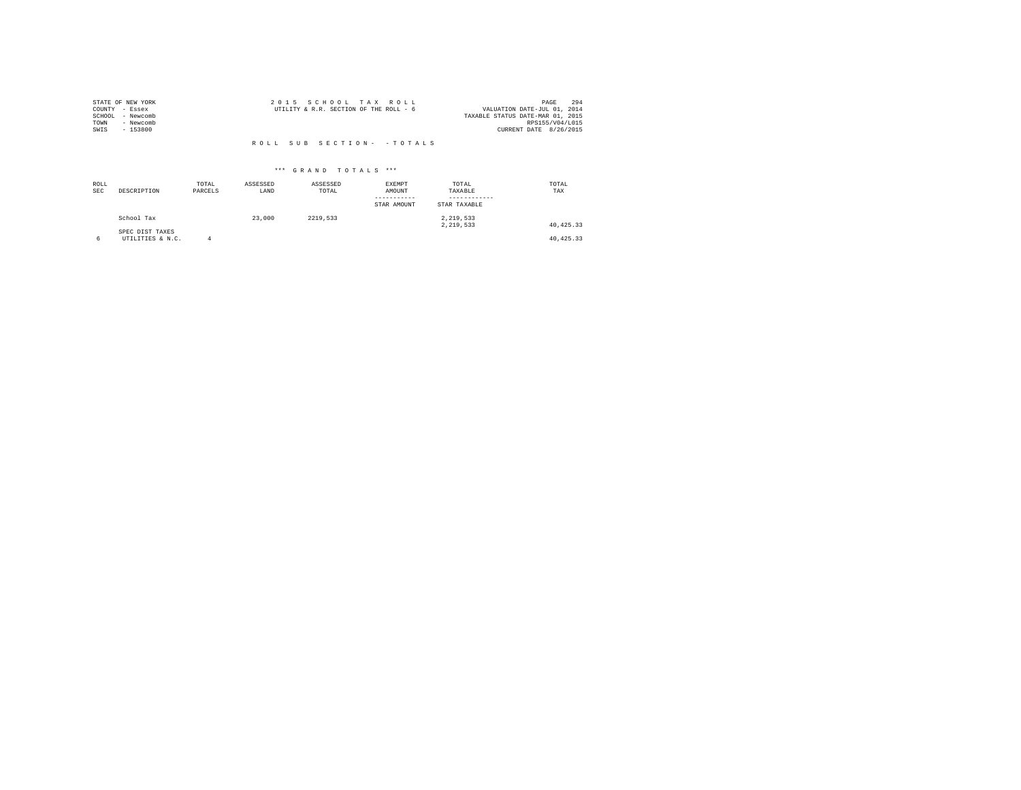|        | STATE OF NEW YORK | 2015 SCHOOL TAX ROLL                                                  | PAGE            | 294 |
|--------|-------------------|-----------------------------------------------------------------------|-----------------|-----|
|        | COUNTY - Essex    | UTILITY & R.R. SECTION OF THE ROLL - 6<br>VALUATION DATE-JUL 01, 2014 |                 |     |
| SCHOOL | - Newcomb         | TAXABLE STATUS DATE-MAR 01, 2015                                      |                 |     |
| TOWN   | - Newcomb         |                                                                       | RPS155/V04/L015 |     |
| SWIS   | $-153800$         | CURRENT DATE 8/26/2015                                                |                 |     |
|        |                   |                                                                       |                 |     |

| ROLL<br><b>SEC</b> | DESCRIPTION                         | TOTAL<br>PARCELS | ASSESSED<br>LAND | ASSESSED<br>TOTAL | <b>EXEMPT</b><br>AMOUNT<br>--------<br>STAR AMOUNT | TOTAL<br>TAXABLE<br>STAR TAXABLE | TOTAL<br>TAX |
|--------------------|-------------------------------------|------------------|------------------|-------------------|----------------------------------------------------|----------------------------------|--------------|
|                    | School Tax                          |                  | 23,000           | 2219.533          |                                                    | 2.219.533<br>2.219.533           | 40.425.33    |
| 6                  | SPEC DIST TAXES<br>UTILITIES & N.C. |                  |                  |                   |                                                    |                                  | 40.425.33    |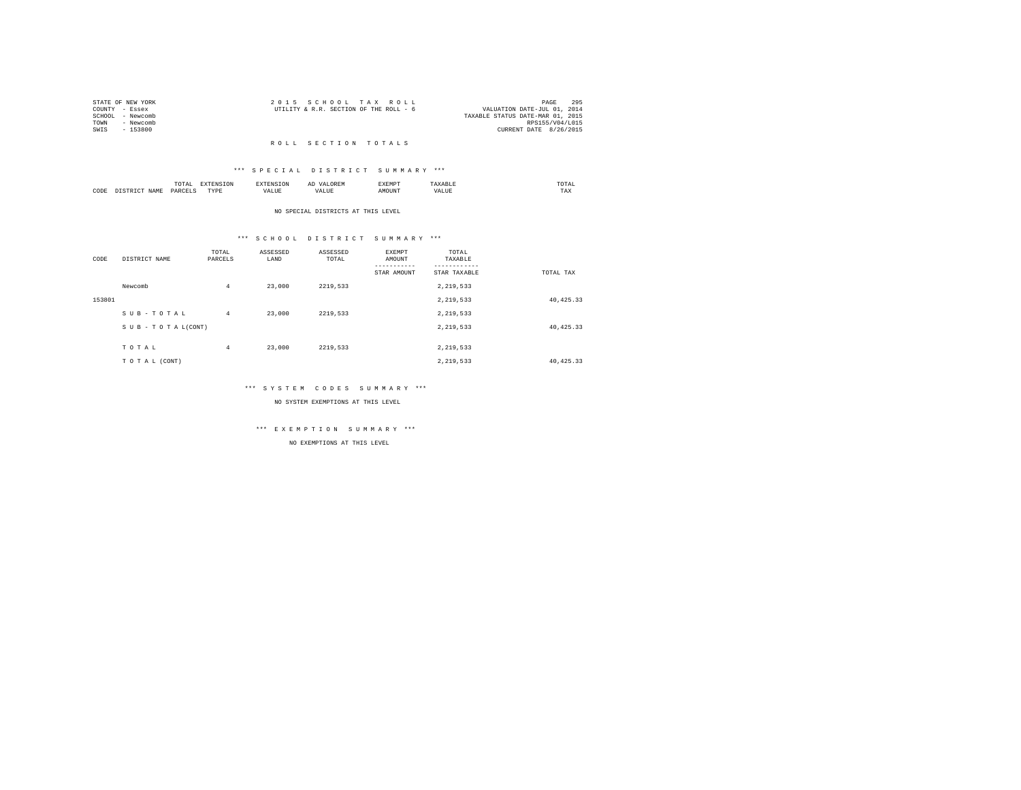| STATE OF NEW YORK |           | 2015 SCHOOL TAX ROLL                   |  |                                  | PAGE            | 295 |
|-------------------|-----------|----------------------------------------|--|----------------------------------|-----------------|-----|
| COUNTY - Essex    |           | UTILITY & R.R. SECTION OF THE ROLL - 6 |  | VALUATION DATE-JUL 01, 2014      |                 |     |
| SCHOOL - Newcomb  |           |                                        |  | TAXABLE STATUS DATE-MAR 01, 2015 |                 |     |
| TOWN              | - Newcomb |                                        |  |                                  | RPS155/V04/L015 |     |
| SWIS              | - 153800  |                                        |  | CURRENT DATE 8/26/2015           |                 |     |
|                   |           |                                        |  |                                  |                 |     |

#### R O L L S E C T I O N T O T A L S

#### \*\*\* S P E C I A L D I S T R I C T S U M M A R Y \*\*\*

|      |     | .<br>the contract of the contract of the contract of |          |           | -- |    |   | ---<br>UIAL<br>the contract of the contract of the contract of |
|------|-----|------------------------------------------------------|----------|-----------|----|----|---|----------------------------------------------------------------|
| CODE | J∆M | D∆⋤                                                  | TVD<br>. | $- - - -$ |    | υm | . | $\pm$ ma                                                       |

#### NO SPECIAL DISTRICTS AT THIS LEVEL

# \*\*\* S C H O O L D I S T R I C T S U M M A R Y \*\*\*

| CODE   | DISTRICT NAME      | TOTAL<br>PARCELS | ASSESSED<br>LAND | ASSESSED<br>TOTAL | EXEMPT<br>AMOUNT<br>STAR AMOUNT | TOTAL<br>TAXABLE<br>STAR TAXABLE | TOTAL TAX  |
|--------|--------------------|------------------|------------------|-------------------|---------------------------------|----------------------------------|------------|
|        | Newcomb            | $\overline{4}$   | 23,000           | 2219.533          |                                 | 2,219,533                        |            |
| 153801 |                    |                  |                  |                   |                                 | 2,219,533                        | 40, 425.33 |
|        | SUB-TOTAL          | $\overline{4}$   | 23,000           | 2219.533          |                                 | 2.219.533                        |            |
|        | SUB - TO TAL(CONT) |                  |                  |                   |                                 | 2,219,533                        | 40, 425.33 |
|        | TOTAL              | $\overline{4}$   | 23,000           | 2219.533          |                                 | 2,219,533                        |            |
|        | TO TAL (CONT)      |                  |                  |                   |                                 | 2.219.533                        | 40.425.33  |

#### \*\*\* S Y S T E M C O D E S S U M M A R Y \*\*\*

NO SYSTEM EXEMPTIONS AT THIS LEVEL

# \*\*\* E X E M P T I O N S U M M A R Y \*\*\*

NO EXEMPTIONS AT THIS LEVEL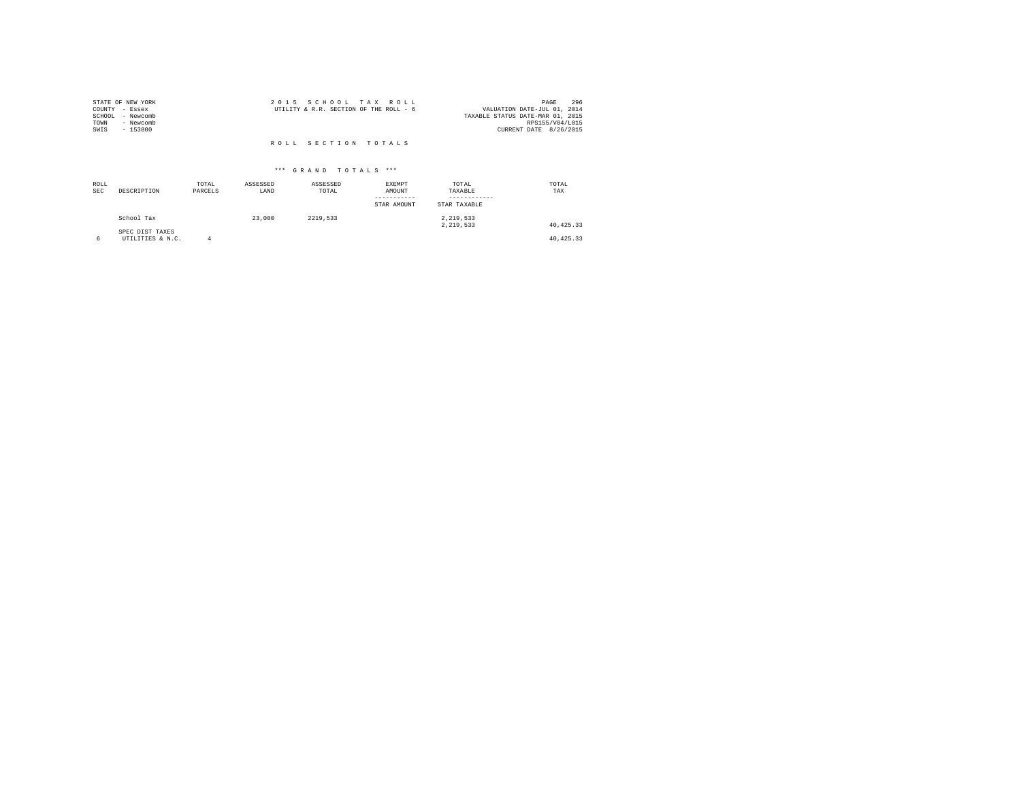| STATE OF NEW YORK   | 2015 SCHOOL TAX ROLL                   | 296<br>PAGE                      |
|---------------------|----------------------------------------|----------------------------------|
| COUNTY - Essex      | UTILITY & R.R. SECTION OF THE ROLL - 6 | VALUATION DATE-JUL 01, 2014      |
| - Newcomb<br>SCHOOL |                                        | TAXABLE STATUS DATE-MAR 01, 2015 |
| TOWN<br>- Newcomb   |                                        | RPS155/V04/L015                  |
| SWIS<br>$-153800$   |                                        | CURRENT DATE 8/26/2015           |
|                     |                                        |                                  |
|                     | ROLL SECTION TOTALS                    |                                  |

| ROLL<br><b>SEC</b> | DESCRIPTION                         | TOTAL<br>PARCELS | ASSESSED<br>LAND | ASSESSED<br>TOTAL | <b>EXEMPT</b><br>AMOUNT<br>-----------<br>STAR AMOUNT | TOTAL<br>TAXABLE<br>------------<br>STAR TAXABLE | TOTAL<br>TAX |
|--------------------|-------------------------------------|------------------|------------------|-------------------|-------------------------------------------------------|--------------------------------------------------|--------------|
|                    | School Tax                          |                  | 23,000           | 2219.533          |                                                       | 2,219,533<br>2.219.533                           | 40.425.33    |
| 6                  | SPEC DIST TAXES<br>UTILITIES & N.C. |                  |                  |                   |                                                       |                                                  | 40.425.33    |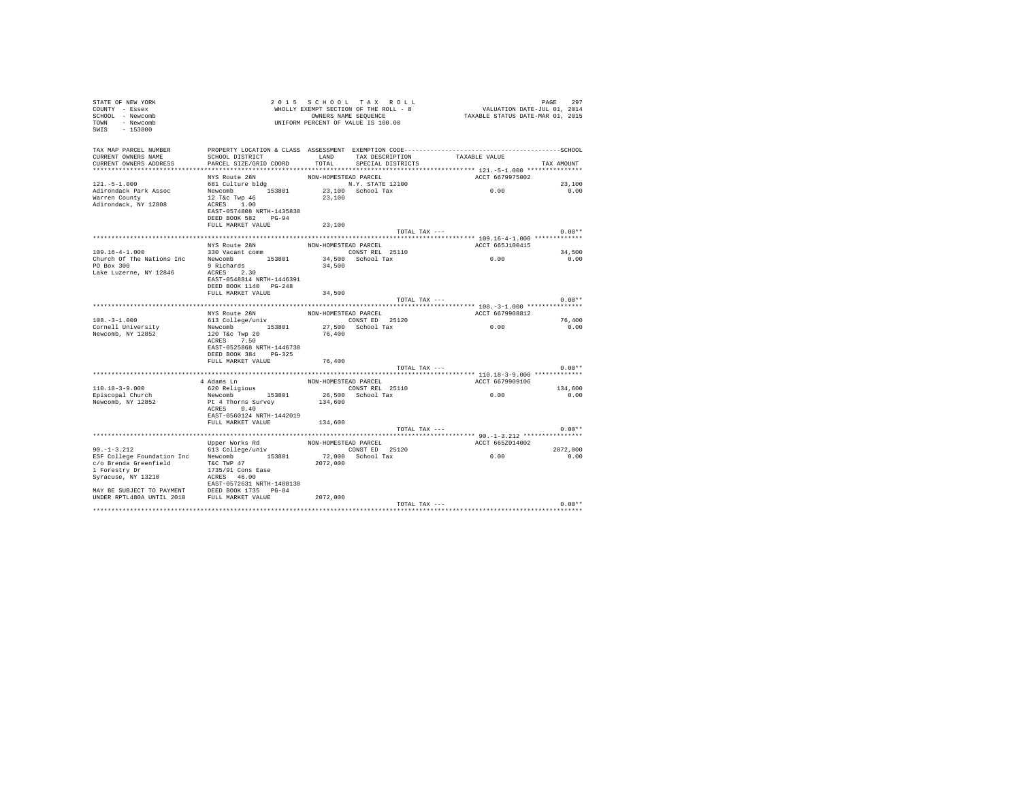| COUNTY - Essex<br>SCHOOL - Newcomb<br>TOWN - Newcomb<br>$SWTS = 153800$ |                                                                                                                                                                                                                                              |                      | UNIFORM PERCENT OF VALUE IS 100.00 |                                          |            |
|-------------------------------------------------------------------------|----------------------------------------------------------------------------------------------------------------------------------------------------------------------------------------------------------------------------------------------|----------------------|------------------------------------|------------------------------------------|------------|
| TAX MAP PARCEL NUMBER                                                   |                                                                                                                                                                                                                                              |                      |                                    |                                          |            |
| CURRENT OWNERS NAME                                                     | SCHOOL DISTRICT                                                                                                                                                                                                                              |                      |                                    | LAND TAX DESCRIPTION TAXABLE VALUE       |            |
|                                                                         | CURRENT OWNERS ADDRESS PARCEL SIZE/GRID COORD                                                                                                                                                                                                |                      | TOTAL SPECIAL DISTRICTS            |                                          | TAX AMOUNT |
|                                                                         |                                                                                                                                                                                                                                              |                      |                                    |                                          |            |
|                                                                         | NYS Route 28N                                                                                                                                                                                                                                | NON-HOMESTEAD PARCEL |                                    | ACCT 6679975002                          |            |
| $121. -5 - 1.000$                                                       |                                                                                                                                                                                                                                              |                      | N.Y. STATE 12100                   | 0.00                                     | 23,100     |
| Adirondack Park Assoc<br>Warren County                                  |                                                                                                                                                                                                                                              | 23,100               | 23,100 School Tax                  |                                          | 0.00       |
| Adirondack, NY 12808                                                    | AND NORTHER SON CONTROL<br>Newcomb 153801<br>12 T&c Twp 46<br>ACRES 1.00<br>1.00<br>EAST-0574808 NRTH-1435838<br>DEED BOOK 582 PG-94                                                                                                         |                      |                                    |                                          |            |
|                                                                         | FULL MARKET VALUE                                                                                                                                                                                                                            | 23,100               |                                    |                                          |            |
|                                                                         |                                                                                                                                                                                                                                              |                      | TOTAL TAX ---                      |                                          | $0.00**$   |
|                                                                         | NYS Route 28N                                                                                                                                                                                                                                | NON-HOMESTEAD PARCEL |                                    | ACCT 665J100415                          |            |
|                                                                         |                                                                                                                                                                                                                                              |                      | CONST REL 25110                    |                                          | 34,500     |
|                                                                         |                                                                                                                                                                                                                                              |                      | 34,500 School Tax                  | 0.00                                     | 0.00       |
|                                                                         | 109.16-4-1.000<br>Church Of The Nations Inc Newcomb 153801<br>Church Of The Nations Inc Newcomb 153801<br>PO Box 300<br>Lake Luzerne, NY 12846 $\frac{2 \times 30}{\sqrt{25}}$ 2.30<br>EAST-0548814 NRTH-1446391<br>DEED BOOK 1140 PG-248    | 34,500               |                                    |                                          |            |
|                                                                         | FULL MARKET VALUE                                                                                                                                                                                                                            | 34,500               |                                    |                                          |            |
|                                                                         |                                                                                                                                                                                                                                              |                      | TOTAL TAX ---                      |                                          | $0.00**$   |
|                                                                         |                                                                                                                                                                                                                                              |                      |                                    |                                          |            |
|                                                                         | NYS Route 28N                                                                                                                                                                                                                                | NON-HOMESTEAD PARCEL |                                    | ACCT 6679908812                          |            |
| $108. - 3 - 1.000$                                                      | 613 College/univ                                                                                                                                                                                                                             |                      | CONST ED 25120                     |                                          | 76,400     |
| Cornell University<br>Newcomb, NY 12852                                 | Newcomb 153801 27,500 CMC 152110<br>120 T&c Twp 20 76,400<br>ACRES 7.50<br>EAST-0525868 NRTH-1446738                                                                                                                                         |                      |                                    | 0.00                                     | 0.00       |
|                                                                         | DEED BOOK 384 PG-325                                                                                                                                                                                                                         |                      |                                    |                                          |            |
|                                                                         | FULL MARKET VALUE                                                                                                                                                                                                                            | 76,400               |                                    |                                          |            |
|                                                                         |                                                                                                                                                                                                                                              |                      | TOTAL TAX ---                      |                                          | $0.00**$   |
|                                                                         | 4 Adams Ln                                                                                                                                                                                                                                   | NON-HOMESTEAD PARCEL |                                    | ACCT 6679909106                          |            |
| $110.18 - 3 - 9.000$                                                    |                                                                                                                                                                                                                                              |                      | CONST REL 25110                    |                                          | 134,600    |
| Episcopal Church                                                        | 620 Religious<br>Newcomb 153801                                                                                                                                                                                                              |                      | 26,500 School Tax                  | 0.00                                     | 0.00       |
| Newcomb, NY 12852                                                       | Pt 4 Thorns Survey<br>ACRES 0.40<br>EAST-0560124 NRTH-1442019<br>FULL MARKET VALUE 134,600                                                                                                                                                   | 134,600              |                                    |                                          |            |
|                                                                         |                                                                                                                                                                                                                                              |                      | TOTAL TAX ---                      |                                          | $0.00**$   |
|                                                                         |                                                                                                                                                                                                                                              |                      |                                    |                                          |            |
|                                                                         |                                                                                                                                                                                                                                              | NON-HOMESTEAD PARCEL |                                    | ACCT 665Z014002                          |            |
| $90. -1 - 3.212$                                                        | Upper Works Rd<br>613 College/univ                                                                                                                                                                                                           |                      | CONST ED 25120                     |                                          | 2072,000   |
|                                                                         | 90.-1-3.212<br>ESP College Foundation Inc Newcomb 153801 72,000 School Tax<br>ESP College Foundation Inc Newcomb 153801 72,000 School Tax<br>$1735/91 \cos 2072,000$<br>Syracuse, NY 13210 2GRS 46.00<br>SYRACUSE NY 13210 2GRS 46.00<br>MAY |                      |                                    | 0.00                                     | 0.00       |
|                                                                         |                                                                                                                                                                                                                                              |                      |                                    |                                          |            |
|                                                                         |                                                                                                                                                                                                                                              |                      |                                    | TOTAL TAX --- $\hspace{2.6cm} 0.00^{**}$ |            |

STATE OF NEW YORK  $2015$  SCHOOL TAX ROLL  $2015$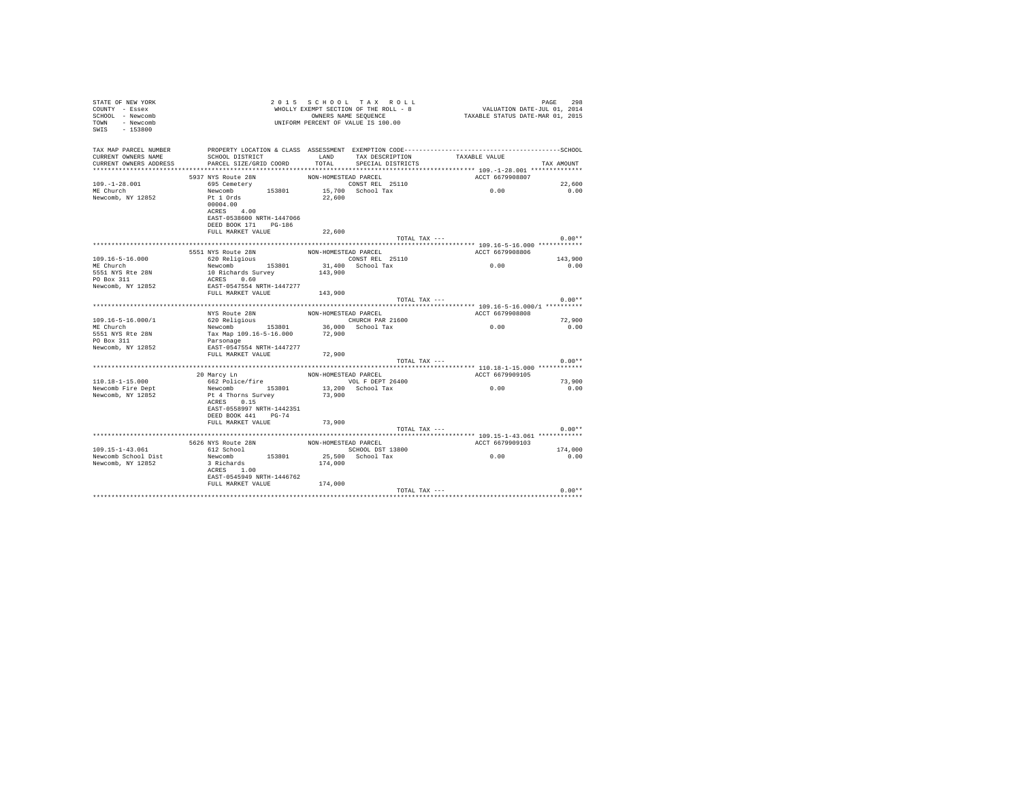| TAX MAP PARCEL NUMBER<br>SCHOOL DISTRICT<br>TAX DESCRIPTION TAXABLE VALUE<br>LAND<br>CURRENT OWNERS NAME<br>CURRENT OWNERS ADDRESS<br>PARCEL SIZE/GRID COORD<br>TOTAL<br>SPECIAL DISTRICTS<br>TAX AMOUNT<br>ACCT 6679908807<br>5937 NYS Route 28N<br>NON-HOMESTEAD PARCEL<br>$109. - 1 - 28.001$<br>CONST REL 25110<br>0.00<br>695 Cemetery<br>22,600<br>ME Church<br>Newcomb 153801<br>15,700 School Tax<br>0.00<br>Newcomb, NY 12852<br>Pt 1 Ords<br>22,600<br>00004.00<br>ACRES 4.00<br>EAST-0538600 NRTH-1447066<br>DEED BOOK 171 PG-186<br>FULL MARKET VALUE<br>22,600<br>$0.00**$<br>TOTAL TAX ---<br>5551 NYS Route 28N<br>ACCT 6679908806<br>NON-HOMESTEAD PARCEL<br>0.00<br>CONST REL 25110<br>620 Religious<br>$109.16 - 5 - 16.000$<br>143,900<br>ME Church<br>Newcomb 153801<br>31,400 School Tax<br>0.00<br>5551 NYS Rte 28N<br>10 Richards Survey<br>143,900<br>PO Box 311<br>ACRES 0.60<br>Newcomb, NY 12852<br>EAST-0547554 NRTH-1447277<br>FULL MARKET VALUE 143.900<br>$0.00**$<br>TOTAL TAX ---<br>NYS Route 28N<br>ACCT 6679908808<br>NON-HOMESTEAD PARCEL<br>$109.16 - 5 - 16.000 / 1$<br>CHURCH PAR 21600<br>620 Religious<br>72,900<br>0.00<br>Newcomb 153801 36,000 School Tax<br>ME Church<br>0.00<br>Tax Map 109.16-5-16.000 72,900<br>5551 NYS Rte 28N<br>PO Box 311<br>Parsonage<br>Newcomb, NY 12852<br>EAST-0547554 NRTH-1447277<br>FULL MARKET VALUE<br>72,900<br>TOTAL TAX ---<br>$0.00**$<br>NON-HOMESTEAD PARCEL<br>ACCT 6679909105<br>20 Marcy Ln<br>662 Police/fire<br>VOL F DEPT 26400<br>$110.18 - 1 - 15.000$<br>73,900<br>0.00<br>Newcomb Fire Dept<br>Newcomb 153801<br>13,200 School Tax<br>0.00<br>73,900<br>Newcomb, NY 12852<br>Pt 4 Thorns Survey<br>ACRES 0.15<br>EAST-0558997 NRTH-1442351<br>DEED BOOK 441 PG-74<br>73,900<br>FULL MARKET VALUE<br>$0.00**$<br>TOTAL TAX ---<br>5626 NYS Route 28N<br>NON-HOMESTEAD PARCEL<br>ACCT 6679909103<br>109.15-1-43.061<br>612 School<br>SCHOOL DST 13800<br>174,000<br>0.00<br>Newcomb 153801<br>25.500 School Tax<br>0.00<br>Newcomb School Dist<br>3 Richards<br>174,000<br>Newcomb, NY 12852<br>ACRES 1.00<br>EAST-0545949 NRTH-1446762<br>174,000<br>FULL MARKET VALUE<br>$0.00**$<br>TOTAL TAX --- | STATE OF NEW YORK<br>COUNTY - Essex<br>SCHOOL - Newcomb<br>TOWN - Newcomb<br>$-153800$<br>SWIS |  | 2015 SCHOOL TAX ROLL<br>WHOLLY EXEMPT SECTION OF THE ROLL - 8<br>OWNERS NAME SEQUENCE<br>UNIFORM PERCENT OF VALUE IS 100.00 | VALUATION DATE-JUL 01, 2014<br>TAXABLE STATUS DATE-MAR 01, 2015 | 298<br>PAGE |
|----------------------------------------------------------------------------------------------------------------------------------------------------------------------------------------------------------------------------------------------------------------------------------------------------------------------------------------------------------------------------------------------------------------------------------------------------------------------------------------------------------------------------------------------------------------------------------------------------------------------------------------------------------------------------------------------------------------------------------------------------------------------------------------------------------------------------------------------------------------------------------------------------------------------------------------------------------------------------------------------------------------------------------------------------------------------------------------------------------------------------------------------------------------------------------------------------------------------------------------------------------------------------------------------------------------------------------------------------------------------------------------------------------------------------------------------------------------------------------------------------------------------------------------------------------------------------------------------------------------------------------------------------------------------------------------------------------------------------------------------------------------------------------------------------------------------------------------------------------------------------------------------------------------------------------------------------------------------------------------------------------------------------------------------------------------------------------------------------------------------------------------------------------------------------------------------------|------------------------------------------------------------------------------------------------|--|-----------------------------------------------------------------------------------------------------------------------------|-----------------------------------------------------------------|-------------|
|                                                                                                                                                                                                                                                                                                                                                                                                                                                                                                                                                                                                                                                                                                                                                                                                                                                                                                                                                                                                                                                                                                                                                                                                                                                                                                                                                                                                                                                                                                                                                                                                                                                                                                                                                                                                                                                                                                                                                                                                                                                                                                                                                                                                    |                                                                                                |  |                                                                                                                             |                                                                 |             |
|                                                                                                                                                                                                                                                                                                                                                                                                                                                                                                                                                                                                                                                                                                                                                                                                                                                                                                                                                                                                                                                                                                                                                                                                                                                                                                                                                                                                                                                                                                                                                                                                                                                                                                                                                                                                                                                                                                                                                                                                                                                                                                                                                                                                    |                                                                                                |  |                                                                                                                             |                                                                 |             |
|                                                                                                                                                                                                                                                                                                                                                                                                                                                                                                                                                                                                                                                                                                                                                                                                                                                                                                                                                                                                                                                                                                                                                                                                                                                                                                                                                                                                                                                                                                                                                                                                                                                                                                                                                                                                                                                                                                                                                                                                                                                                                                                                                                                                    |                                                                                                |  |                                                                                                                             |                                                                 |             |
|                                                                                                                                                                                                                                                                                                                                                                                                                                                                                                                                                                                                                                                                                                                                                                                                                                                                                                                                                                                                                                                                                                                                                                                                                                                                                                                                                                                                                                                                                                                                                                                                                                                                                                                                                                                                                                                                                                                                                                                                                                                                                                                                                                                                    |                                                                                                |  |                                                                                                                             |                                                                 |             |
|                                                                                                                                                                                                                                                                                                                                                                                                                                                                                                                                                                                                                                                                                                                                                                                                                                                                                                                                                                                                                                                                                                                                                                                                                                                                                                                                                                                                                                                                                                                                                                                                                                                                                                                                                                                                                                                                                                                                                                                                                                                                                                                                                                                                    |                                                                                                |  |                                                                                                                             |                                                                 |             |
|                                                                                                                                                                                                                                                                                                                                                                                                                                                                                                                                                                                                                                                                                                                                                                                                                                                                                                                                                                                                                                                                                                                                                                                                                                                                                                                                                                                                                                                                                                                                                                                                                                                                                                                                                                                                                                                                                                                                                                                                                                                                                                                                                                                                    |                                                                                                |  |                                                                                                                             |                                                                 |             |
|                                                                                                                                                                                                                                                                                                                                                                                                                                                                                                                                                                                                                                                                                                                                                                                                                                                                                                                                                                                                                                                                                                                                                                                                                                                                                                                                                                                                                                                                                                                                                                                                                                                                                                                                                                                                                                                                                                                                                                                                                                                                                                                                                                                                    |                                                                                                |  |                                                                                                                             |                                                                 |             |
|                                                                                                                                                                                                                                                                                                                                                                                                                                                                                                                                                                                                                                                                                                                                                                                                                                                                                                                                                                                                                                                                                                                                                                                                                                                                                                                                                                                                                                                                                                                                                                                                                                                                                                                                                                                                                                                                                                                                                                                                                                                                                                                                                                                                    |                                                                                                |  |                                                                                                                             |                                                                 |             |
|                                                                                                                                                                                                                                                                                                                                                                                                                                                                                                                                                                                                                                                                                                                                                                                                                                                                                                                                                                                                                                                                                                                                                                                                                                                                                                                                                                                                                                                                                                                                                                                                                                                                                                                                                                                                                                                                                                                                                                                                                                                                                                                                                                                                    |                                                                                                |  |                                                                                                                             |                                                                 |             |
|                                                                                                                                                                                                                                                                                                                                                                                                                                                                                                                                                                                                                                                                                                                                                                                                                                                                                                                                                                                                                                                                                                                                                                                                                                                                                                                                                                                                                                                                                                                                                                                                                                                                                                                                                                                                                                                                                                                                                                                                                                                                                                                                                                                                    |                                                                                                |  |                                                                                                                             |                                                                 |             |
|                                                                                                                                                                                                                                                                                                                                                                                                                                                                                                                                                                                                                                                                                                                                                                                                                                                                                                                                                                                                                                                                                                                                                                                                                                                                                                                                                                                                                                                                                                                                                                                                                                                                                                                                                                                                                                                                                                                                                                                                                                                                                                                                                                                                    |                                                                                                |  |                                                                                                                             |                                                                 |             |
|                                                                                                                                                                                                                                                                                                                                                                                                                                                                                                                                                                                                                                                                                                                                                                                                                                                                                                                                                                                                                                                                                                                                                                                                                                                                                                                                                                                                                                                                                                                                                                                                                                                                                                                                                                                                                                                                                                                                                                                                                                                                                                                                                                                                    |                                                                                                |  |                                                                                                                             |                                                                 |             |
|                                                                                                                                                                                                                                                                                                                                                                                                                                                                                                                                                                                                                                                                                                                                                                                                                                                                                                                                                                                                                                                                                                                                                                                                                                                                                                                                                                                                                                                                                                                                                                                                                                                                                                                                                                                                                                                                                                                                                                                                                                                                                                                                                                                                    |                                                                                                |  |                                                                                                                             |                                                                 |             |
|                                                                                                                                                                                                                                                                                                                                                                                                                                                                                                                                                                                                                                                                                                                                                                                                                                                                                                                                                                                                                                                                                                                                                                                                                                                                                                                                                                                                                                                                                                                                                                                                                                                                                                                                                                                                                                                                                                                                                                                                                                                                                                                                                                                                    |                                                                                                |  |                                                                                                                             |                                                                 |             |
|                                                                                                                                                                                                                                                                                                                                                                                                                                                                                                                                                                                                                                                                                                                                                                                                                                                                                                                                                                                                                                                                                                                                                                                                                                                                                                                                                                                                                                                                                                                                                                                                                                                                                                                                                                                                                                                                                                                                                                                                                                                                                                                                                                                                    |                                                                                                |  |                                                                                                                             |                                                                 |             |
|                                                                                                                                                                                                                                                                                                                                                                                                                                                                                                                                                                                                                                                                                                                                                                                                                                                                                                                                                                                                                                                                                                                                                                                                                                                                                                                                                                                                                                                                                                                                                                                                                                                                                                                                                                                                                                                                                                                                                                                                                                                                                                                                                                                                    |                                                                                                |  |                                                                                                                             |                                                                 |             |
|                                                                                                                                                                                                                                                                                                                                                                                                                                                                                                                                                                                                                                                                                                                                                                                                                                                                                                                                                                                                                                                                                                                                                                                                                                                                                                                                                                                                                                                                                                                                                                                                                                                                                                                                                                                                                                                                                                                                                                                                                                                                                                                                                                                                    |                                                                                                |  |                                                                                                                             |                                                                 |             |
|                                                                                                                                                                                                                                                                                                                                                                                                                                                                                                                                                                                                                                                                                                                                                                                                                                                                                                                                                                                                                                                                                                                                                                                                                                                                                                                                                                                                                                                                                                                                                                                                                                                                                                                                                                                                                                                                                                                                                                                                                                                                                                                                                                                                    |                                                                                                |  |                                                                                                                             |                                                                 |             |
|                                                                                                                                                                                                                                                                                                                                                                                                                                                                                                                                                                                                                                                                                                                                                                                                                                                                                                                                                                                                                                                                                                                                                                                                                                                                                                                                                                                                                                                                                                                                                                                                                                                                                                                                                                                                                                                                                                                                                                                                                                                                                                                                                                                                    |                                                                                                |  |                                                                                                                             |                                                                 |             |
|                                                                                                                                                                                                                                                                                                                                                                                                                                                                                                                                                                                                                                                                                                                                                                                                                                                                                                                                                                                                                                                                                                                                                                                                                                                                                                                                                                                                                                                                                                                                                                                                                                                                                                                                                                                                                                                                                                                                                                                                                                                                                                                                                                                                    |                                                                                                |  |                                                                                                                             |                                                                 |             |
|                                                                                                                                                                                                                                                                                                                                                                                                                                                                                                                                                                                                                                                                                                                                                                                                                                                                                                                                                                                                                                                                                                                                                                                                                                                                                                                                                                                                                                                                                                                                                                                                                                                                                                                                                                                                                                                                                                                                                                                                                                                                                                                                                                                                    |                                                                                                |  |                                                                                                                             |                                                                 |             |
|                                                                                                                                                                                                                                                                                                                                                                                                                                                                                                                                                                                                                                                                                                                                                                                                                                                                                                                                                                                                                                                                                                                                                                                                                                                                                                                                                                                                                                                                                                                                                                                                                                                                                                                                                                                                                                                                                                                                                                                                                                                                                                                                                                                                    |                                                                                                |  |                                                                                                                             |                                                                 |             |
|                                                                                                                                                                                                                                                                                                                                                                                                                                                                                                                                                                                                                                                                                                                                                                                                                                                                                                                                                                                                                                                                                                                                                                                                                                                                                                                                                                                                                                                                                                                                                                                                                                                                                                                                                                                                                                                                                                                                                                                                                                                                                                                                                                                                    |                                                                                                |  |                                                                                                                             |                                                                 |             |
|                                                                                                                                                                                                                                                                                                                                                                                                                                                                                                                                                                                                                                                                                                                                                                                                                                                                                                                                                                                                                                                                                                                                                                                                                                                                                                                                                                                                                                                                                                                                                                                                                                                                                                                                                                                                                                                                                                                                                                                                                                                                                                                                                                                                    |                                                                                                |  |                                                                                                                             |                                                                 |             |
|                                                                                                                                                                                                                                                                                                                                                                                                                                                                                                                                                                                                                                                                                                                                                                                                                                                                                                                                                                                                                                                                                                                                                                                                                                                                                                                                                                                                                                                                                                                                                                                                                                                                                                                                                                                                                                                                                                                                                                                                                                                                                                                                                                                                    |                                                                                                |  |                                                                                                                             |                                                                 |             |
|                                                                                                                                                                                                                                                                                                                                                                                                                                                                                                                                                                                                                                                                                                                                                                                                                                                                                                                                                                                                                                                                                                                                                                                                                                                                                                                                                                                                                                                                                                                                                                                                                                                                                                                                                                                                                                                                                                                                                                                                                                                                                                                                                                                                    |                                                                                                |  |                                                                                                                             |                                                                 |             |
|                                                                                                                                                                                                                                                                                                                                                                                                                                                                                                                                                                                                                                                                                                                                                                                                                                                                                                                                                                                                                                                                                                                                                                                                                                                                                                                                                                                                                                                                                                                                                                                                                                                                                                                                                                                                                                                                                                                                                                                                                                                                                                                                                                                                    |                                                                                                |  |                                                                                                                             |                                                                 |             |
|                                                                                                                                                                                                                                                                                                                                                                                                                                                                                                                                                                                                                                                                                                                                                                                                                                                                                                                                                                                                                                                                                                                                                                                                                                                                                                                                                                                                                                                                                                                                                                                                                                                                                                                                                                                                                                                                                                                                                                                                                                                                                                                                                                                                    |                                                                                                |  |                                                                                                                             |                                                                 |             |
|                                                                                                                                                                                                                                                                                                                                                                                                                                                                                                                                                                                                                                                                                                                                                                                                                                                                                                                                                                                                                                                                                                                                                                                                                                                                                                                                                                                                                                                                                                                                                                                                                                                                                                                                                                                                                                                                                                                                                                                                                                                                                                                                                                                                    |                                                                                                |  |                                                                                                                             |                                                                 |             |
|                                                                                                                                                                                                                                                                                                                                                                                                                                                                                                                                                                                                                                                                                                                                                                                                                                                                                                                                                                                                                                                                                                                                                                                                                                                                                                                                                                                                                                                                                                                                                                                                                                                                                                                                                                                                                                                                                                                                                                                                                                                                                                                                                                                                    |                                                                                                |  |                                                                                                                             |                                                                 |             |
|                                                                                                                                                                                                                                                                                                                                                                                                                                                                                                                                                                                                                                                                                                                                                                                                                                                                                                                                                                                                                                                                                                                                                                                                                                                                                                                                                                                                                                                                                                                                                                                                                                                                                                                                                                                                                                                                                                                                                                                                                                                                                                                                                                                                    |                                                                                                |  |                                                                                                                             |                                                                 |             |
|                                                                                                                                                                                                                                                                                                                                                                                                                                                                                                                                                                                                                                                                                                                                                                                                                                                                                                                                                                                                                                                                                                                                                                                                                                                                                                                                                                                                                                                                                                                                                                                                                                                                                                                                                                                                                                                                                                                                                                                                                                                                                                                                                                                                    |                                                                                                |  |                                                                                                                             |                                                                 |             |
|                                                                                                                                                                                                                                                                                                                                                                                                                                                                                                                                                                                                                                                                                                                                                                                                                                                                                                                                                                                                                                                                                                                                                                                                                                                                                                                                                                                                                                                                                                                                                                                                                                                                                                                                                                                                                                                                                                                                                                                                                                                                                                                                                                                                    |                                                                                                |  |                                                                                                                             |                                                                 |             |
|                                                                                                                                                                                                                                                                                                                                                                                                                                                                                                                                                                                                                                                                                                                                                                                                                                                                                                                                                                                                                                                                                                                                                                                                                                                                                                                                                                                                                                                                                                                                                                                                                                                                                                                                                                                                                                                                                                                                                                                                                                                                                                                                                                                                    |                                                                                                |  |                                                                                                                             |                                                                 |             |
|                                                                                                                                                                                                                                                                                                                                                                                                                                                                                                                                                                                                                                                                                                                                                                                                                                                                                                                                                                                                                                                                                                                                                                                                                                                                                                                                                                                                                                                                                                                                                                                                                                                                                                                                                                                                                                                                                                                                                                                                                                                                                                                                                                                                    |                                                                                                |  |                                                                                                                             |                                                                 |             |
|                                                                                                                                                                                                                                                                                                                                                                                                                                                                                                                                                                                                                                                                                                                                                                                                                                                                                                                                                                                                                                                                                                                                                                                                                                                                                                                                                                                                                                                                                                                                                                                                                                                                                                                                                                                                                                                                                                                                                                                                                                                                                                                                                                                                    |                                                                                                |  |                                                                                                                             |                                                                 |             |
|                                                                                                                                                                                                                                                                                                                                                                                                                                                                                                                                                                                                                                                                                                                                                                                                                                                                                                                                                                                                                                                                                                                                                                                                                                                                                                                                                                                                                                                                                                                                                                                                                                                                                                                                                                                                                                                                                                                                                                                                                                                                                                                                                                                                    |                                                                                                |  |                                                                                                                             |                                                                 |             |
|                                                                                                                                                                                                                                                                                                                                                                                                                                                                                                                                                                                                                                                                                                                                                                                                                                                                                                                                                                                                                                                                                                                                                                                                                                                                                                                                                                                                                                                                                                                                                                                                                                                                                                                                                                                                                                                                                                                                                                                                                                                                                                                                                                                                    |                                                                                                |  |                                                                                                                             |                                                                 |             |
|                                                                                                                                                                                                                                                                                                                                                                                                                                                                                                                                                                                                                                                                                                                                                                                                                                                                                                                                                                                                                                                                                                                                                                                                                                                                                                                                                                                                                                                                                                                                                                                                                                                                                                                                                                                                                                                                                                                                                                                                                                                                                                                                                                                                    |                                                                                                |  |                                                                                                                             |                                                                 |             |
|                                                                                                                                                                                                                                                                                                                                                                                                                                                                                                                                                                                                                                                                                                                                                                                                                                                                                                                                                                                                                                                                                                                                                                                                                                                                                                                                                                                                                                                                                                                                                                                                                                                                                                                                                                                                                                                                                                                                                                                                                                                                                                                                                                                                    |                                                                                                |  |                                                                                                                             |                                                                 |             |
|                                                                                                                                                                                                                                                                                                                                                                                                                                                                                                                                                                                                                                                                                                                                                                                                                                                                                                                                                                                                                                                                                                                                                                                                                                                                                                                                                                                                                                                                                                                                                                                                                                                                                                                                                                                                                                                                                                                                                                                                                                                                                                                                                                                                    |                                                                                                |  |                                                                                                                             |                                                                 |             |
|                                                                                                                                                                                                                                                                                                                                                                                                                                                                                                                                                                                                                                                                                                                                                                                                                                                                                                                                                                                                                                                                                                                                                                                                                                                                                                                                                                                                                                                                                                                                                                                                                                                                                                                                                                                                                                                                                                                                                                                                                                                                                                                                                                                                    |                                                                                                |  |                                                                                                                             |                                                                 |             |
|                                                                                                                                                                                                                                                                                                                                                                                                                                                                                                                                                                                                                                                                                                                                                                                                                                                                                                                                                                                                                                                                                                                                                                                                                                                                                                                                                                                                                                                                                                                                                                                                                                                                                                                                                                                                                                                                                                                                                                                                                                                                                                                                                                                                    |                                                                                                |  |                                                                                                                             |                                                                 |             |
|                                                                                                                                                                                                                                                                                                                                                                                                                                                                                                                                                                                                                                                                                                                                                                                                                                                                                                                                                                                                                                                                                                                                                                                                                                                                                                                                                                                                                                                                                                                                                                                                                                                                                                                                                                                                                                                                                                                                                                                                                                                                                                                                                                                                    |                                                                                                |  |                                                                                                                             |                                                                 |             |
|                                                                                                                                                                                                                                                                                                                                                                                                                                                                                                                                                                                                                                                                                                                                                                                                                                                                                                                                                                                                                                                                                                                                                                                                                                                                                                                                                                                                                                                                                                                                                                                                                                                                                                                                                                                                                                                                                                                                                                                                                                                                                                                                                                                                    |                                                                                                |  |                                                                                                                             |                                                                 |             |
|                                                                                                                                                                                                                                                                                                                                                                                                                                                                                                                                                                                                                                                                                                                                                                                                                                                                                                                                                                                                                                                                                                                                                                                                                                                                                                                                                                                                                                                                                                                                                                                                                                                                                                                                                                                                                                                                                                                                                                                                                                                                                                                                                                                                    |                                                                                                |  |                                                                                                                             |                                                                 |             |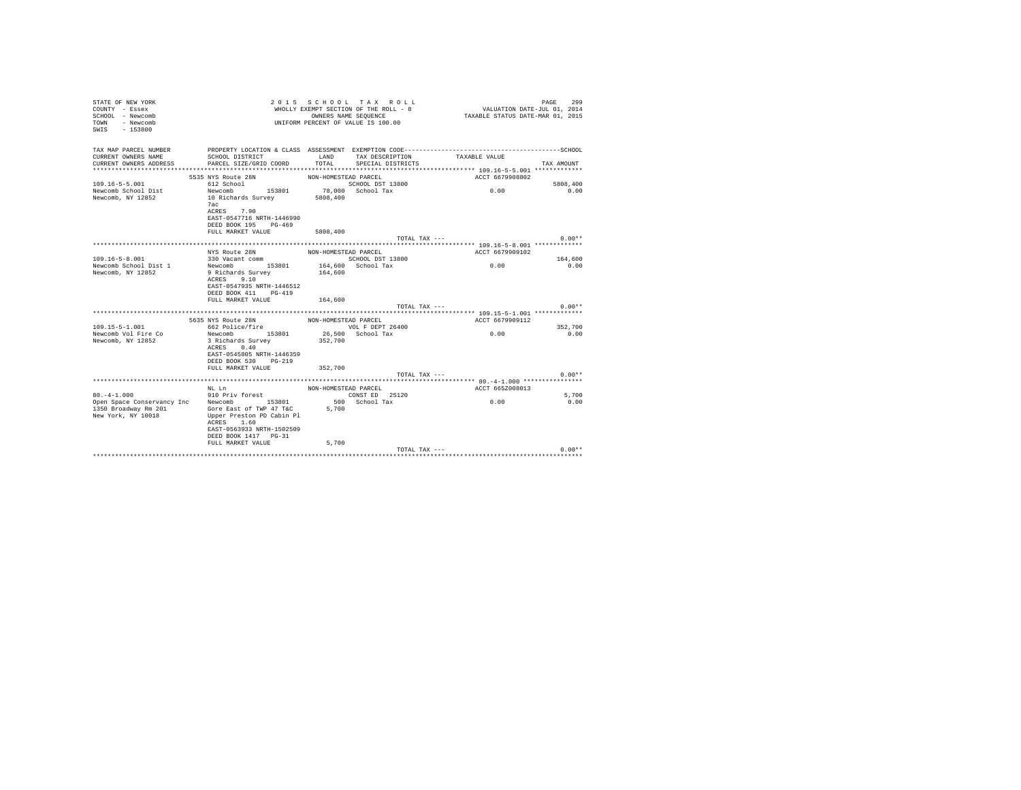| STATE OF NEW YORK<br>COUNTY - Essex<br>SCHOOL - Newcomb<br>TOWN<br>- Newcomb<br>$-153800$<br>SWTS | 2 0 1 5                                           |                      | SCHOOL TAX ROLL<br>WHOLLY EXEMPT SECTION OF THE ROLL - 8<br>OWNERS NAME SEQUENCE<br>UNIFORM PERCENT OF VALUE IS 100.00 | VALUATION DATE-JUL 01, 2014<br>TAXABLE STATUS DATE-MAR 01, 2015 | 299<br>PAGE     |
|---------------------------------------------------------------------------------------------------|---------------------------------------------------|----------------------|------------------------------------------------------------------------------------------------------------------------|-----------------------------------------------------------------|-----------------|
| TAX MAP PARCEL NUMBER                                                                             |                                                   |                      |                                                                                                                        |                                                                 |                 |
| CURRENT OWNERS NAME<br>CURRENT OWNERS ADDRESS                                                     | SCHOOL DISTRICT<br>PARCEL SIZE/GRID COORD         | LAND<br>TOTAL        | TAX DESCRIPTION<br>SPECIAL DISTRICTS                                                                                   | TAXABLE VALUE                                                   | TAX AMOUNT      |
|                                                                                                   |                                                   |                      |                                                                                                                        |                                                                 |                 |
|                                                                                                   | 5535 NYS Route 28N                                | NON-HOMESTEAD PARCEL |                                                                                                                        | ACCT 6679908802                                                 |                 |
| $109.16 - 5 - 5.001$                                                                              | 612 School                                        |                      | SCHOOL DST 13800                                                                                                       |                                                                 | 5808,400        |
| Newcomb School Dist                                                                               | Newcomb 153801                                    |                      | 78,000 School Tax                                                                                                      | 0.00                                                            | 0.00            |
| Newcomb, NY 12852                                                                                 | 10 Richards Survey<br>7ac                         | 5808,400             |                                                                                                                        |                                                                 |                 |
|                                                                                                   | ACRES 7.90                                        |                      |                                                                                                                        |                                                                 |                 |
|                                                                                                   | EAST-0547716 NRTH-1446990                         |                      |                                                                                                                        |                                                                 |                 |
|                                                                                                   | DEED BOOK 195 PG-469                              |                      |                                                                                                                        |                                                                 |                 |
|                                                                                                   | FULL MARKET VALUE                                 | 5808,400             |                                                                                                                        |                                                                 |                 |
|                                                                                                   |                                                   |                      | TOTAL TAX ---                                                                                                          |                                                                 | $0.00**$        |
|                                                                                                   | NYS Route 28N                                     | NON-HOMESTEAD PARCEL |                                                                                                                        | ACCT 6679909102                                                 |                 |
| $109.16 - 5 - 8.001$                                                                              | 330 Vacant comm                                   |                      | SCHOOL DST 13800                                                                                                       |                                                                 | 164,600         |
| Newcomb School Dist 1                                                                             | Newcomb 153801                                    |                      | 164,600 School Tax                                                                                                     | 0.00                                                            | 0.00            |
| Newcomb, NY 12852                                                                                 | 9 Richards Survey                                 | 164,600              |                                                                                                                        |                                                                 |                 |
|                                                                                                   | 9.10<br>ACRES                                     |                      |                                                                                                                        |                                                                 |                 |
|                                                                                                   | EAST-0547935 NRTH-1446512<br>DEED BOOK 411 PG-419 |                      |                                                                                                                        |                                                                 |                 |
|                                                                                                   | FULL MARKET VALUE                                 | 164,600              |                                                                                                                        |                                                                 |                 |
|                                                                                                   |                                                   |                      | TOTAL TAX ---                                                                                                          |                                                                 | $0.00**$        |
|                                                                                                   |                                                   |                      |                                                                                                                        |                                                                 |                 |
|                                                                                                   | 5635 NYS Route 28N                                | NON-HOMESTEAD PARCEL |                                                                                                                        | ACCT 6679909112                                                 |                 |
| $109.15 - 5 - 1.001$<br>Newcomb Vol Fire Co                                                       | 662 Police/fire<br>153801<br>Newcomb              |                      | VOL F DEPT 26400<br>26,500 School Tax                                                                                  | 0.00                                                            | 352,700<br>0.00 |
| Newcomb, NY 12852                                                                                 | 3 Richards Survey                                 | 352,700              |                                                                                                                        |                                                                 |                 |
|                                                                                                   | 0.40<br>ACRES                                     |                      |                                                                                                                        |                                                                 |                 |
|                                                                                                   | EAST-0545805 NRTH-1446359                         |                      |                                                                                                                        |                                                                 |                 |
|                                                                                                   | DEED BOOK 530 PG-219                              |                      |                                                                                                                        |                                                                 |                 |
|                                                                                                   | FULL MARKET VALUE                                 | 352,700              |                                                                                                                        |                                                                 |                 |
|                                                                                                   |                                                   |                      | TOTAL TAX ---                                                                                                          |                                                                 | $0.00**$        |
|                                                                                                   | NL Ln                                             | NON-HOMESTEAD PARCEL |                                                                                                                        | ACCT 665Z008013                                                 |                 |
| $80. -4 - 1.000$                                                                                  | 910 Priv forest                                   |                      | CONST ED 25120                                                                                                         |                                                                 | 5,700           |
| Open Space Conservancy Inc                                                                        | Newcomb 153801                                    |                      | 500 School Tax                                                                                                         | 0.00                                                            | 0.00            |
| 1350 Broadway Rm 201                                                                              | Gore East of TWP 47 T&C 5,700                     |                      |                                                                                                                        |                                                                 |                 |
| New York, NY 10018                                                                                | Upper Preston PD Cabin Pl<br>ACRES 1.60           |                      |                                                                                                                        |                                                                 |                 |
|                                                                                                   | EAST-0563933 NRTH-1502509                         |                      |                                                                                                                        |                                                                 |                 |
|                                                                                                   | DEED BOOK 1417 PG-31                              |                      |                                                                                                                        |                                                                 |                 |
|                                                                                                   | FULL MARKET VALUE                                 | 5,700                |                                                                                                                        |                                                                 |                 |
|                                                                                                   |                                                   |                      | TOTAL TAX ---                                                                                                          |                                                                 | $0.00**$        |
|                                                                                                   |                                                   |                      |                                                                                                                        |                                                                 |                 |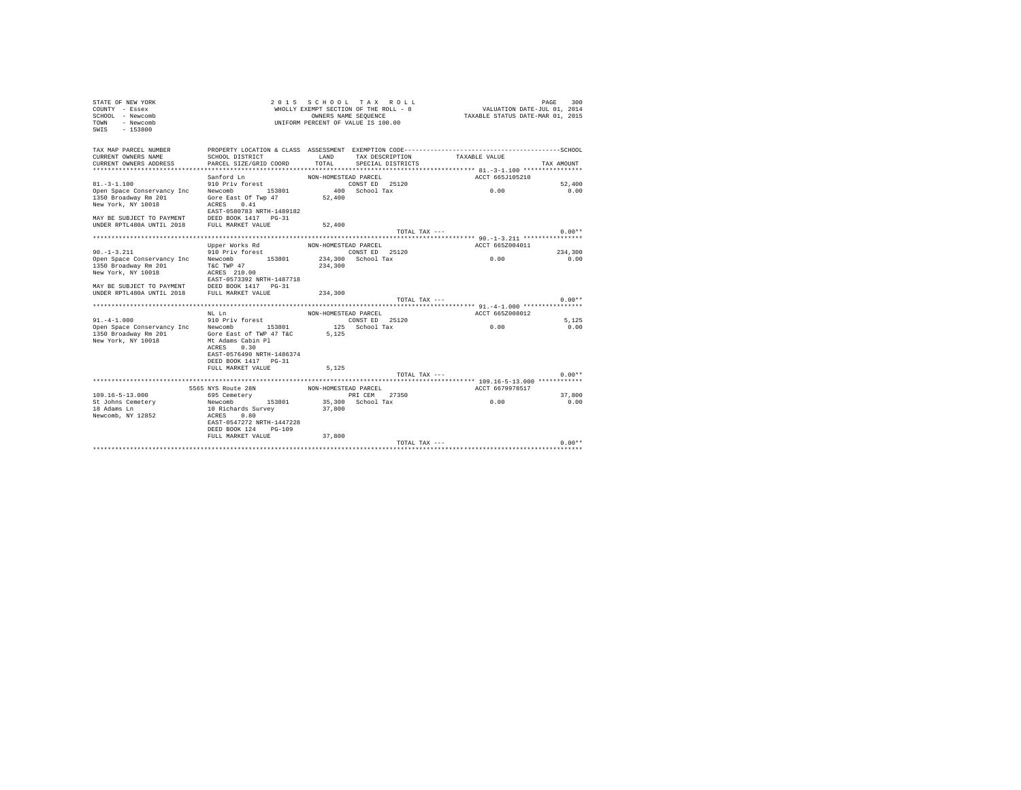| STATE OF NEW YORK<br>COUNTY - Essex<br>SCHOOL - Newcomb<br>- Newcomb<br>TOWN<br>SWIS - 153800 |                                                         |                      | 2015 SCHOOL TAX ROLL<br>OWNERS NAME SEQUENCE<br>UNIFORM PERCENT OF VALUE IS 100.00 | $\begin{array}{lllllllll} \textit{a} & \textit{b} & \textit{c} & \textit{c} & \textit{d} & \textit{d} & \textit{d} \\ \textit{a} & \textit{b} & \textit{c} & \textit{d} & \textit{c} & \textit{d} & \textit{d} & \textit{d} & \textit{d} & \textit{d} \\ \textit{a} & \textit{b} & \textit{b} & \textit{c} & \textit{d} & \textit{d} & \textit{d} & \textit{d} & \textit{d} & \textit{d} & \textit{d} & \textit{d} & \textit{d}$ | PAGE<br>300<br>TAXABLE STATUS DATE-MAR 01, 2015 |
|-----------------------------------------------------------------------------------------------|---------------------------------------------------------|----------------------|------------------------------------------------------------------------------------|----------------------------------------------------------------------------------------------------------------------------------------------------------------------------------------------------------------------------------------------------------------------------------------------------------------------------------------------------------------------------------------------------------------------------------|-------------------------------------------------|
| TAX MAP PARCEL NUMBER                                                                         |                                                         |                      |                                                                                    |                                                                                                                                                                                                                                                                                                                                                                                                                                  |                                                 |
| CURRENT OWNERS NAME<br>CURRENT OWNERS ADDRESS                                                 | SCHOOL DISTRICT<br>PARCEL SIZE/GRID COORD               | LAND<br>TOTAL        | SPECIAL DISTRICTS                                                                  | TAX DESCRIPTION TAXABLE VALUE                                                                                                                                                                                                                                                                                                                                                                                                    | TAX AMOUNT                                      |
|                                                                                               |                                                         |                      |                                                                                    |                                                                                                                                                                                                                                                                                                                                                                                                                                  |                                                 |
|                                                                                               | Sanford Ln                                              | NON-HOMESTEAD PARCEL |                                                                                    | ACCT 665J105210                                                                                                                                                                                                                                                                                                                                                                                                                  |                                                 |
| $81. - 3 - 1.100$                                                                             | 910 Priv forest                                         |                      | CONST ED 25120                                                                     |                                                                                                                                                                                                                                                                                                                                                                                                                                  | 52,400                                          |
| Open Space Conservancy Inc Newcomb 153801 400 School Tax                                      |                                                         |                      |                                                                                    | 0.00                                                                                                                                                                                                                                                                                                                                                                                                                             | 0.00                                            |
| 1350 Broadway Rm 201<br>New York, NY 10018                                                    | Gore East Of Twp 47<br>ACRES 0.41                       | 52,400               |                                                                                    |                                                                                                                                                                                                                                                                                                                                                                                                                                  |                                                 |
|                                                                                               | EAST-0580783 NRTH-1489182                               |                      |                                                                                    |                                                                                                                                                                                                                                                                                                                                                                                                                                  |                                                 |
| MAY BE SUBJECT TO PAYMENT DEED BOOK 1417 PG-31<br>UNDER RPTL480A UNTIL 2018 FULL MARKET VALUE |                                                         |                      |                                                                                    |                                                                                                                                                                                                                                                                                                                                                                                                                                  |                                                 |
|                                                                                               |                                                         | 52,400               |                                                                                    | TOTAL TAX ---                                                                                                                                                                                                                                                                                                                                                                                                                    | $0.00**$                                        |
|                                                                                               |                                                         |                      |                                                                                    |                                                                                                                                                                                                                                                                                                                                                                                                                                  |                                                 |
|                                                                                               | Upper Works Rd NON-HOMESTEAD PARCEL                     |                      |                                                                                    | ACCT 665Z004011                                                                                                                                                                                                                                                                                                                                                                                                                  |                                                 |
| $90. -1 - 3.211$                                                                              | 910 Priv forest                                         |                      | CONST ED 25120                                                                     |                                                                                                                                                                                                                                                                                                                                                                                                                                  | 234,300                                         |
| Open Space Conservancy Inc Newcomb 153801                                                     |                                                         |                      | 234,300 School Tax                                                                 | 0.00                                                                                                                                                                                                                                                                                                                                                                                                                             | 0.00                                            |
| 1350 Broadway Rm 201<br>New York, NY 10018                                                    | T&C TWP 47<br>ACRES 210.00<br>EAST-0573392 NRTH-1487718 | 234,300              |                                                                                    |                                                                                                                                                                                                                                                                                                                                                                                                                                  |                                                 |
| MAY BE SUBJECT TO PAYMENT DEED BOOK 1417 PG-31                                                |                                                         |                      |                                                                                    |                                                                                                                                                                                                                                                                                                                                                                                                                                  |                                                 |
| UNDER RPTL480A UNTIL 2018 FULL MARKET VALUE                                                   |                                                         | 234,300              |                                                                                    |                                                                                                                                                                                                                                                                                                                                                                                                                                  |                                                 |
|                                                                                               |                                                         |                      |                                                                                    | TOTAL TAX ---                                                                                                                                                                                                                                                                                                                                                                                                                    | $0.00**$                                        |
|                                                                                               |                                                         |                      |                                                                                    |                                                                                                                                                                                                                                                                                                                                                                                                                                  |                                                 |
|                                                                                               | NT. T.n                                                 | NON-HOMESTEAD PARCEL |                                                                                    | ACCT 665Z008012                                                                                                                                                                                                                                                                                                                                                                                                                  |                                                 |
| $91. -4 -1.000$                                                                               | 910 Priv forest                                         |                      | CONST ED 25120                                                                     |                                                                                                                                                                                                                                                                                                                                                                                                                                  | 5.125                                           |
| Open Space Conservancy Inc Newcomb 153801                                                     |                                                         |                      | 125 School Tax                                                                     | 0.00                                                                                                                                                                                                                                                                                                                                                                                                                             | 0.00                                            |
| 1350 Broadway Rm 201                                                                          | Gore East of TWP 47 T&C 5.125                           |                      |                                                                                    |                                                                                                                                                                                                                                                                                                                                                                                                                                  |                                                 |
| New York, NY 10018                                                                            | Mt Adams Cabin Pl                                       |                      |                                                                                    |                                                                                                                                                                                                                                                                                                                                                                                                                                  |                                                 |
|                                                                                               | ACRES<br>0.30                                           |                      |                                                                                    |                                                                                                                                                                                                                                                                                                                                                                                                                                  |                                                 |
|                                                                                               | EAST-0576490 NRTH-1486374                               |                      |                                                                                    |                                                                                                                                                                                                                                                                                                                                                                                                                                  |                                                 |
|                                                                                               | DEED BOOK 1417 PG-31                                    |                      |                                                                                    |                                                                                                                                                                                                                                                                                                                                                                                                                                  |                                                 |
|                                                                                               | FULL MARKET VALUE                                       | 5.125                |                                                                                    |                                                                                                                                                                                                                                                                                                                                                                                                                                  |                                                 |
|                                                                                               |                                                         |                      |                                                                                    | TOTAL TAX ---                                                                                                                                                                                                                                                                                                                                                                                                                    | $0.00**$                                        |
|                                                                                               |                                                         |                      |                                                                                    |                                                                                                                                                                                                                                                                                                                                                                                                                                  |                                                 |
| $109.16 - 5 - 13.000$                                                                         |                                                         |                      |                                                                                    | ACCT 6679978517                                                                                                                                                                                                                                                                                                                                                                                                                  |                                                 |
| St Johns Cemetery                                                                             | 153801<br>Newcomb                                       |                      | 35,300 School Tax                                                                  | 0.00                                                                                                                                                                                                                                                                                                                                                                                                                             | 37,800<br>0.00                                  |
| 18 Adams Ln                                                                                   | 10 Richards Survey                                      | 37,800               |                                                                                    |                                                                                                                                                                                                                                                                                                                                                                                                                                  |                                                 |
| Newcomb, NY 12852                                                                             | ACRES 0.80                                              |                      |                                                                                    |                                                                                                                                                                                                                                                                                                                                                                                                                                  |                                                 |
|                                                                                               | EAST-0547272 NRTH-1447228                               |                      |                                                                                    |                                                                                                                                                                                                                                                                                                                                                                                                                                  |                                                 |
|                                                                                               | DEED BOOK 124 PG-109                                    |                      |                                                                                    |                                                                                                                                                                                                                                                                                                                                                                                                                                  |                                                 |
|                                                                                               | FULL MARKET VALUE                                       | 37,800               |                                                                                    |                                                                                                                                                                                                                                                                                                                                                                                                                                  |                                                 |
|                                                                                               |                                                         |                      |                                                                                    | TOTAL TAX ---                                                                                                                                                                                                                                                                                                                                                                                                                    | $0.00**$                                        |
|                                                                                               |                                                         |                      |                                                                                    |                                                                                                                                                                                                                                                                                                                                                                                                                                  |                                                 |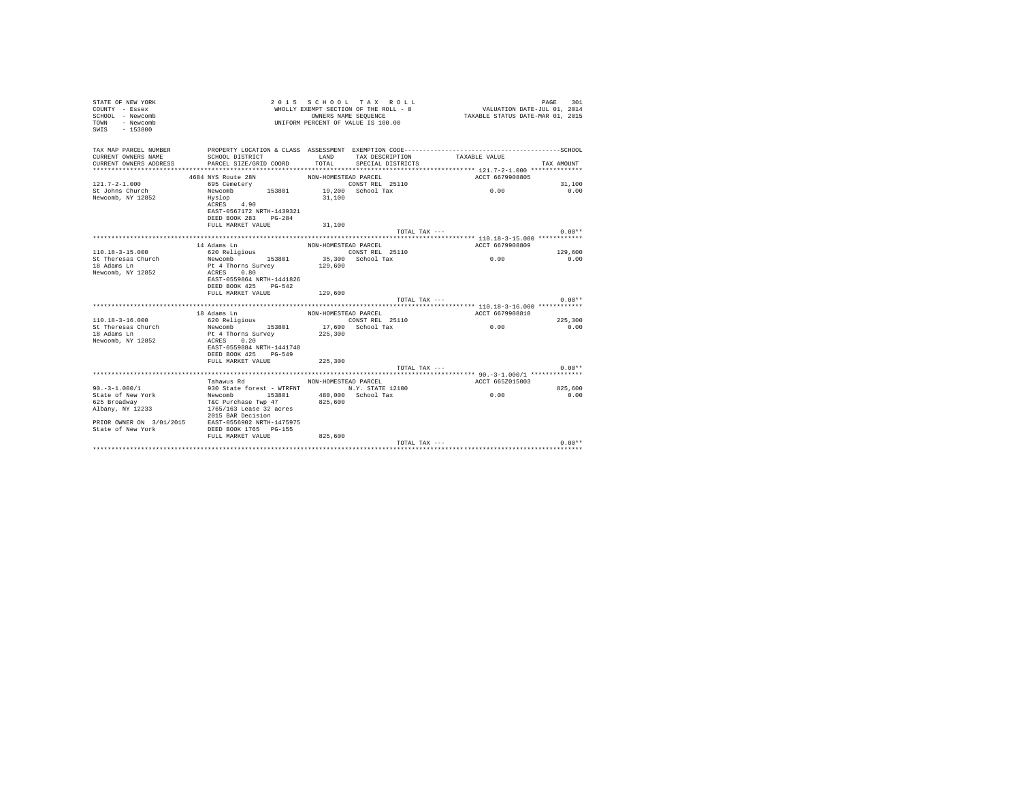| STATE OF NEW YORK<br>COUNTY - Essex<br>SCHOOL - Newcomb<br>- Newcomb<br>TOWN<br>SWIS - 153800 |                                                    | 2015 SCHOOL TAX ROLL<br>WHOLLY EXEMPT SECTION OF THE ROLL - 8<br>OWNERS NAME SEQUENCE<br>UNIFORM PERCENT OF VALUE IS 100.00 | 301<br>PAGE<br>VALUATION DATE-JUL 01, 2014<br>TAXABLE STATUS DATE-MAR 01, 2015 |  |
|-----------------------------------------------------------------------------------------------|----------------------------------------------------|-----------------------------------------------------------------------------------------------------------------------------|--------------------------------------------------------------------------------|--|
| TAX MAP PARCEL NUMBER                                                                         |                                                    |                                                                                                                             |                                                                                |  |
| CURRENT OWNERS NAME<br>CURRENT OWNERS ADDRESS                                                 | SCHOOL DISTRICT<br>PARCEL SIZE/GRID COORD          | LAND<br>TAX DESCRIPTION<br>TOTAL<br>SPECIAL DISTRICTS                                                                       | TAXABLE VALUE<br>TAX AMOUNT                                                    |  |
|                                                                                               |                                                    |                                                                                                                             |                                                                                |  |
|                                                                                               | 4684 NYS Route 28N                                 | NON-HOMESTEAD PARCEL                                                                                                        | ACCT 6679908805                                                                |  |
| $121.7 - 2 - 1.000$                                                                           | 695 Cemetery                                       | CONST REL 25110                                                                                                             | 31,100                                                                         |  |
| St Johns Church                                                                               | Newcomb                                            | 153801 19,200 School Tax                                                                                                    | 0.00<br>0.00                                                                   |  |
| Newcomb, NY 12852                                                                             | Hyslop<br>ACRES 4.90                               | 31,100                                                                                                                      |                                                                                |  |
|                                                                                               | EAST-0567172 NRTH-1439321                          |                                                                                                                             |                                                                                |  |
|                                                                                               | DEED BOOK 283 PG-284                               |                                                                                                                             |                                                                                |  |
|                                                                                               | FULL MARKET VALUE                                  | 31,100                                                                                                                      |                                                                                |  |
|                                                                                               |                                                    | TOTAL TAX ---                                                                                                               | $0.00**$                                                                       |  |
|                                                                                               |                                                    |                                                                                                                             |                                                                                |  |
|                                                                                               | 14 Adams Ln                                        | NON-HOMESTEAD PARCEL                                                                                                        | ACCT 6679908809                                                                |  |
| $110.18 - 3 - 15.000$                                                                         | 620 Religious                                      | CONST REL 25110                                                                                                             | 129,600                                                                        |  |
| St Theresas Church                                                                            | Newcomb 153801                                     | 35,300 School Tax                                                                                                           | 0.00<br>0.00                                                                   |  |
| 18 Adams Ln                                                                                   | Pt 4 Thorns Survey                                 | 129,600                                                                                                                     |                                                                                |  |
| Newcomb, NY 12852                                                                             | ACRES 0.80                                         |                                                                                                                             |                                                                                |  |
|                                                                                               | EAST-0559864 NRTH-1441826                          |                                                                                                                             |                                                                                |  |
|                                                                                               | DEED BOOK 425 PG-542                               |                                                                                                                             |                                                                                |  |
|                                                                                               | FULL MARKET VALUE                                  | 129,600<br>TOTAL TAX ---                                                                                                    | $0.00**$                                                                       |  |
|                                                                                               |                                                    |                                                                                                                             |                                                                                |  |
|                                                                                               | 18 Adams Ln                                        | NON-HOMESTEAD PARCEL                                                                                                        | ACCT 6679908810                                                                |  |
| $110.18 - 3 - 16.000$                                                                         | 620 Religious                                      |                                                                                                                             | 225,300                                                                        |  |
| St Theresas Church                                                                            | Newcomb 153801                                     | CONST REL 25110<br>17,600 School Tax                                                                                        | 0.00<br>0.00                                                                   |  |
| 18 Adams Ln                                                                                   | Pt 4 Thorns Survey                                 | 225,300                                                                                                                     |                                                                                |  |
| Newcomb, NY 12852                                                                             | ACRES 0.20                                         |                                                                                                                             |                                                                                |  |
|                                                                                               | EAST-0559884 NRTH-1441748                          |                                                                                                                             |                                                                                |  |
|                                                                                               | DEED BOOK 425 PG-549                               |                                                                                                                             |                                                                                |  |
|                                                                                               | FULL MARKET VALUE                                  | 225,300                                                                                                                     |                                                                                |  |
|                                                                                               |                                                    | TOTAL TAX ---                                                                                                               | $0.00**$                                                                       |  |
|                                                                                               |                                                    |                                                                                                                             |                                                                                |  |
|                                                                                               | Tahawus Rd MON-HOMESTEAD PARCEL                    |                                                                                                                             | ACCT 665Z015003                                                                |  |
| $90. - 3 - 1.000/1$                                                                           |                                                    | 930 State forest - WTRFNT N.Y. STATE 12100                                                                                  | 825,600                                                                        |  |
| State of New York                                                                             | Newcomb 153801 480,000 School Tax                  |                                                                                                                             | 0.00<br>0.00                                                                   |  |
| 625 Broadway                                                                                  | T&C Purchase Twp 47                                | 825,600                                                                                                                     |                                                                                |  |
| Albany, NY 12233                                                                              | 1765/163 Lease 32 acres                            |                                                                                                                             |                                                                                |  |
|                                                                                               | 2015 BAR Decision                                  |                                                                                                                             |                                                                                |  |
|                                                                                               | PRIOR OWNER ON 3/01/2015 EAST-0556902 NRTH-1475975 |                                                                                                                             |                                                                                |  |
| State of New York                                                                             | DEED BOOK 1765 PG-155                              |                                                                                                                             |                                                                                |  |
|                                                                                               | FULL MARKET VALUE                                  | 825,600                                                                                                                     |                                                                                |  |
|                                                                                               |                                                    | TOTAL TAX ---                                                                                                               | $0.00**$                                                                       |  |
|                                                                                               |                                                    |                                                                                                                             |                                                                                |  |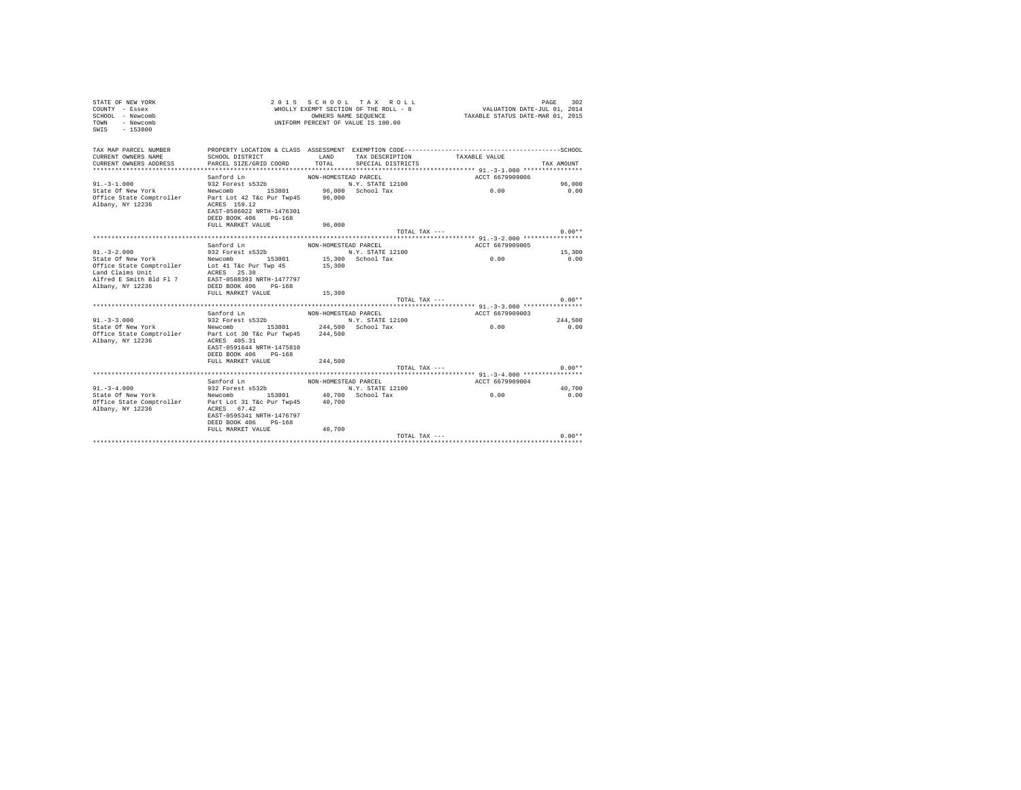| COUNTY - Essex<br>SCHOOL - Newcomb<br>TOWN<br>- Newcomb<br>$-153800$<br>SWIS          |                                                   | OWNERS NAME SEQUENCE | WHOLLY EXEMPT SECTION OF THE ROLL - 8<br>UNIFORM PERCENT OF VALUE IS 100.00 | VALUATION DATE-JUL 01, 2014<br>TAXABLE STATUS DATE-MAR 01, 2015 |            |
|---------------------------------------------------------------------------------------|---------------------------------------------------|----------------------|-----------------------------------------------------------------------------|-----------------------------------------------------------------|------------|
| TAX MAP PARCEL NUMBER<br>CURRENT OWNERS NAME                                          | SCHOOL DISTRICT                                   | LAND                 | TAX DESCRIPTION                                                             | TAXABLE VALUE                                                   |            |
| CURRENT OWNERS ADDRESS                                                                | PARCEL SIZE/GRID COORD                            | TOTAL                | SPECIAL DISTRICTS                                                           |                                                                 | TAX AMOUNT |
|                                                                                       |                                                   |                      |                                                                             |                                                                 |            |
|                                                                                       | Sanford Ln                                        | NON-HOMESTEAD PARCEL |                                                                             | ACCT 6679909006                                                 |            |
| $91. - 3 - 1.000$                                                                     | 932 Forest s532b                                  |                      | N.Y. STATE 12100                                                            |                                                                 | 96,000     |
| State Of New York                                                                     | Newcomb 153801 96,000 School Tax                  |                      |                                                                             | 0.00                                                            | 0.00       |
| Office State Comptroller Part Lot 42 T&c Pur Twp45 96,000<br>Albany, NY 12236         | ACRES 159.12                                      |                      |                                                                             |                                                                 |            |
|                                                                                       | EAST-0586022 NRTH-1476301<br>DEED BOOK 406 PG-168 |                      |                                                                             |                                                                 |            |
|                                                                                       | FULL MARKET VALUE                                 | 96,000               |                                                                             |                                                                 |            |
|                                                                                       |                                                   |                      | TOTAL TAX ---                                                               |                                                                 | $0.00**$   |
|                                                                                       |                                                   |                      |                                                                             |                                                                 |            |
|                                                                                       | Sanford Ln                                        | NON-HOMESTEAD PARCEL |                                                                             | ACCT 6679909005                                                 |            |
| $91. - 3 - 2.000$                                                                     | 932 Forest s532b                                  |                      | N.Y. STATE 12100                                                            |                                                                 | 15,300     |
| State Of New York                                                                     | Newcomb 153801                                    |                      | 15,300 School Tax                                                           | 0.00                                                            | 0.00       |
| Office State Comptroller bot 41 T&c Pur Twp 45 15,300<br>Land Claims Unit ACRES 25.38 |                                                   |                      |                                                                             |                                                                 |            |
| Alfred E Smith Bld Fl 7                                                               |                                                   |                      |                                                                             |                                                                 |            |
| Albany, NY 12236                                                                      | EAST-0588393 NRTH-1477797<br>DEED BOOK 406 PG-168 |                      |                                                                             |                                                                 |            |
|                                                                                       | FULL MARKET VALUE                                 | 15,300               |                                                                             |                                                                 |            |
|                                                                                       |                                                   |                      | TOTAL TAX ---                                                               |                                                                 | $0.00**$   |
|                                                                                       |                                                   |                      |                                                                             |                                                                 |            |
|                                                                                       | Sanford Ln                                        | NON-HOMESTEAD PARCEL |                                                                             | ACCT 6679909003                                                 |            |
| $91. - 3 - 3.000$                                                                     | 932 Forest s532b                                  |                      | N.Y. STATE 12100                                                            |                                                                 | 244.500    |
| State Of New York                                                                     | Newcomb 153801 244,500 School Tax                 |                      |                                                                             | 0.00                                                            | 0.00       |
| Office State Comptroller Part Lot 30 T&c Pur Twp45 244,500<br>Albany, NY 12236        | ACRES 405.31                                      |                      |                                                                             |                                                                 |            |
|                                                                                       | EAST-0591644 NRTH-1475810                         |                      |                                                                             |                                                                 |            |
|                                                                                       | DEED BOOK 406 PG-168                              |                      |                                                                             |                                                                 |            |
|                                                                                       | FULL MARKET VALUE                                 | 244,500              |                                                                             |                                                                 |            |
|                                                                                       |                                                   |                      | TOTAL TAX ---                                                               |                                                                 | $0.00**$   |
|                                                                                       |                                                   |                      |                                                                             |                                                                 |            |
| $91. - 3 - 4.000$                                                                     | Sanford Ln<br>932 Forest s532b                    | NON-HOMESTEAD PARCEL | N.Y. STATE 12100                                                            | ACCT 6679909004                                                 | 40,700     |
| State Of New York                                                                     | Newcomb 153801 40,700 School Tax                  |                      |                                                                             | 0.00                                                            | 0.00       |
| Office State Comptroller Part Lot 31 T&c Pur Twp45 40,700                             |                                                   |                      |                                                                             |                                                                 |            |
| Albany, NY 12236                                                                      | ACRES 67.42                                       |                      |                                                                             |                                                                 |            |
|                                                                                       | EAST-0595341 NRTH-1476797                         |                      |                                                                             |                                                                 |            |
|                                                                                       | DEED BOOK 406 PG-168                              |                      |                                                                             |                                                                 |            |
|                                                                                       | FULL MARKET VALUE                                 | 40,700               |                                                                             |                                                                 |            |
|                                                                                       |                                                   |                      | TOTAL TAX ---                                                               |                                                                 | $0.00**$   |
|                                                                                       |                                                   |                      |                                                                             |                                                                 |            |

STATE OF NEW YORK 2 0 1 5 S C H O O L T A X R O L L PAGE 302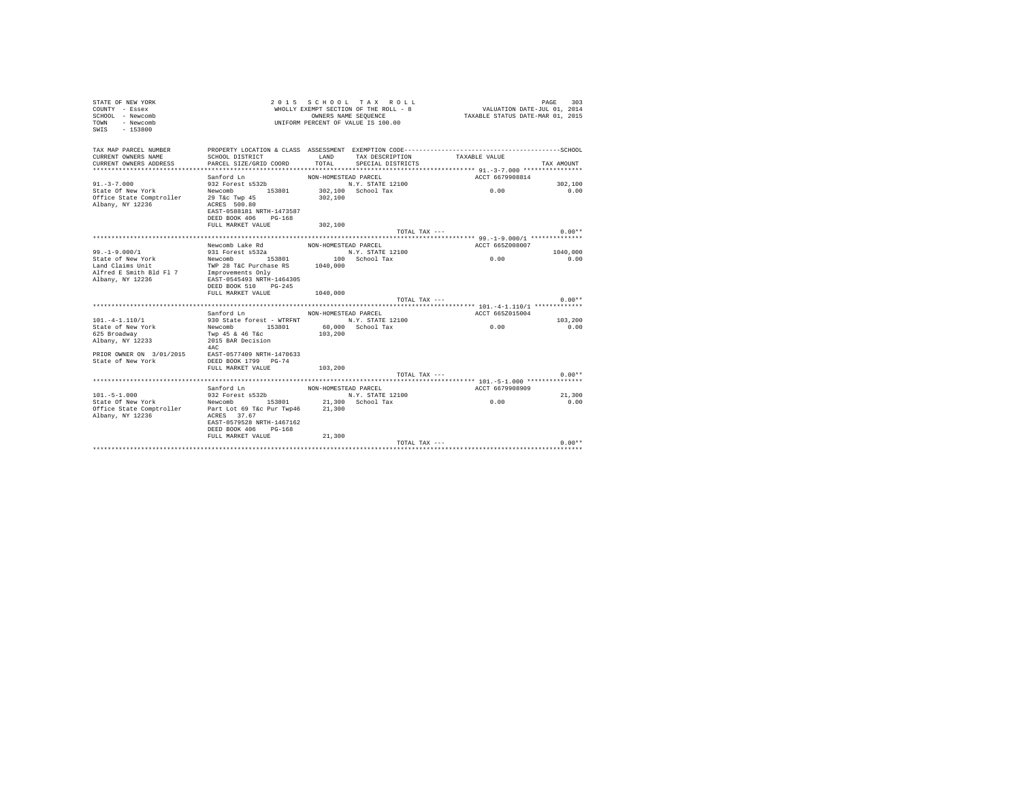| TAX MAP PARCEL NUMBER<br>LAND<br>CURRENT OWNERS NAME<br>SCHOOL DISTRICT<br>TAX DESCRIPTION<br>TAXABLE VALUE<br>TOTAL SPECIAL DISTRICTS<br>CURRENT OWNERS ADDRESS<br>PARCEL SIZE/GRID COORD<br>TAX AMOUNT<br>Sanford Ln<br>NON-HOMESTEAD PARCEL<br>ACCT 6679908814<br>saniord un<br>932 Forest s532b<br>$91 - 3 - 7.000$<br>N.Y. STATE 12100<br>302,100<br>0.00<br>302,100 School Tax<br>State Of New York Newcomb 153801<br>Office State Comptroller 29 T&c Twp 45<br>0.00<br>302,100<br>Albany, NY 12236<br>ACRES 500.80<br>EAST-0588181 NRTH-1473587<br>DEED BOOK 406 PG-168<br>FULL MARKET VALUE 302,100<br>$0.00**$<br>TOTAL TAX ---<br>Newcomb Lake Rd<br>ACCT 665Z008007<br>NON-HOMESTEAD PARCEL<br>$99. - 1 - 9.000 / 1$<br>N.Y. STATE 12100<br>931 Forest s532a<br>1040,000<br>State of New York<br>Mewcomb 153801 100 School Tax<br>Land Claims Unit Tax<br>Alfred E Smith Bld Fl 7 Improvements Only<br>2 Tax 1040,000 20101 2021<br>Alfred E Smith Bld Fl 7 Improvements Only<br>0.00<br>0.00<br>EAST-0545493 NRTH-1464305<br>Albany, NY 12236<br>DEED BOOK 510 PG-245<br>FULL MARKET VALUE<br>1040,000<br>TOTAL TAX ---<br>$0.00**$<br>ACCT 665Z015004<br>Sanford Ln<br>NON-HOMESTEAD PARCEL<br>930 State forest - WTRFNT N.Y. STATE 12100<br>$101. -4 - 1.110/1$<br>103,200<br>State of New York Mewcomb 153801 60,000 School Tax<br>0.00<br>0.00<br>Twp 45 & 46 T&c<br>103,200<br>625 Broadway<br>Albany, NY 12233<br>2015 BAR Decision<br>4AC<br>PRIOR OWNER ON 3/01/2015<br>EAST-0577409 NRTH-1470633<br>State of New York<br>DEED BOOK 1799 PG-74<br>FULL MARKET VALUE<br>103,200<br>$0.00**$<br>TOTAL TAX ---<br>Sanford Ln<br>ACCT 6679908909<br>NON-HOMESTEAD PARCEL<br>$101. -5 - 1.000$<br>N.Y. STATE 12100<br>932 Forest s532b<br>21,300<br>State Of New York Mewcomb 153801 21,300 School Tax<br>Office State Comptroller Part Lot 69 T&c Pur Twp46 21,300<br>0.00<br>0.00<br>Albany, NY 12236<br>ACRES 37.67<br>EAST-0579528 NRTH-1467162<br>DEED BOOK 406 PG-168<br>FULL MARKET VALUE 21,300<br>$0.00**$<br>TOTAL TAX --- | STATE OF NEW YORK<br>COUNTY - Essex<br>SCHOOL - Newcomb<br>TOWN - Newcomb<br>SWIS - 153800 |  | 2015 SCHOOL TAX ROLL<br>WHOLLY EXEMPT SECTION OF THE ROLL - 8<br>OWNERS NAME SEQUENCE<br>UNIFORM PERCENT OF VALUE IS 100.00 | VALUATION DATE-JUL 01, 2014<br>TAXABLE STATUS DATE-MAR 01, 2015 | PAGE<br>303 |
|-----------------------------------------------------------------------------------------------------------------------------------------------------------------------------------------------------------------------------------------------------------------------------------------------------------------------------------------------------------------------------------------------------------------------------------------------------------------------------------------------------------------------------------------------------------------------------------------------------------------------------------------------------------------------------------------------------------------------------------------------------------------------------------------------------------------------------------------------------------------------------------------------------------------------------------------------------------------------------------------------------------------------------------------------------------------------------------------------------------------------------------------------------------------------------------------------------------------------------------------------------------------------------------------------------------------------------------------------------------------------------------------------------------------------------------------------------------------------------------------------------------------------------------------------------------------------------------------------------------------------------------------------------------------------------------------------------------------------------------------------------------------------------------------------------------------------------------------------------------------------------------------------------------------------------------------------------------------------------------------------------------------------------------------------------|--------------------------------------------------------------------------------------------|--|-----------------------------------------------------------------------------------------------------------------------------|-----------------------------------------------------------------|-------------|
|                                                                                                                                                                                                                                                                                                                                                                                                                                                                                                                                                                                                                                                                                                                                                                                                                                                                                                                                                                                                                                                                                                                                                                                                                                                                                                                                                                                                                                                                                                                                                                                                                                                                                                                                                                                                                                                                                                                                                                                                                                                     |                                                                                            |  |                                                                                                                             |                                                                 |             |
|                                                                                                                                                                                                                                                                                                                                                                                                                                                                                                                                                                                                                                                                                                                                                                                                                                                                                                                                                                                                                                                                                                                                                                                                                                                                                                                                                                                                                                                                                                                                                                                                                                                                                                                                                                                                                                                                                                                                                                                                                                                     |                                                                                            |  |                                                                                                                             |                                                                 |             |
|                                                                                                                                                                                                                                                                                                                                                                                                                                                                                                                                                                                                                                                                                                                                                                                                                                                                                                                                                                                                                                                                                                                                                                                                                                                                                                                                                                                                                                                                                                                                                                                                                                                                                                                                                                                                                                                                                                                                                                                                                                                     |                                                                                            |  |                                                                                                                             |                                                                 |             |
|                                                                                                                                                                                                                                                                                                                                                                                                                                                                                                                                                                                                                                                                                                                                                                                                                                                                                                                                                                                                                                                                                                                                                                                                                                                                                                                                                                                                                                                                                                                                                                                                                                                                                                                                                                                                                                                                                                                                                                                                                                                     |                                                                                            |  |                                                                                                                             |                                                                 |             |
|                                                                                                                                                                                                                                                                                                                                                                                                                                                                                                                                                                                                                                                                                                                                                                                                                                                                                                                                                                                                                                                                                                                                                                                                                                                                                                                                                                                                                                                                                                                                                                                                                                                                                                                                                                                                                                                                                                                                                                                                                                                     |                                                                                            |  |                                                                                                                             |                                                                 |             |
|                                                                                                                                                                                                                                                                                                                                                                                                                                                                                                                                                                                                                                                                                                                                                                                                                                                                                                                                                                                                                                                                                                                                                                                                                                                                                                                                                                                                                                                                                                                                                                                                                                                                                                                                                                                                                                                                                                                                                                                                                                                     |                                                                                            |  |                                                                                                                             |                                                                 |             |
|                                                                                                                                                                                                                                                                                                                                                                                                                                                                                                                                                                                                                                                                                                                                                                                                                                                                                                                                                                                                                                                                                                                                                                                                                                                                                                                                                                                                                                                                                                                                                                                                                                                                                                                                                                                                                                                                                                                                                                                                                                                     |                                                                                            |  |                                                                                                                             |                                                                 |             |
|                                                                                                                                                                                                                                                                                                                                                                                                                                                                                                                                                                                                                                                                                                                                                                                                                                                                                                                                                                                                                                                                                                                                                                                                                                                                                                                                                                                                                                                                                                                                                                                                                                                                                                                                                                                                                                                                                                                                                                                                                                                     |                                                                                            |  |                                                                                                                             |                                                                 |             |
|                                                                                                                                                                                                                                                                                                                                                                                                                                                                                                                                                                                                                                                                                                                                                                                                                                                                                                                                                                                                                                                                                                                                                                                                                                                                                                                                                                                                                                                                                                                                                                                                                                                                                                                                                                                                                                                                                                                                                                                                                                                     |                                                                                            |  |                                                                                                                             |                                                                 |             |
|                                                                                                                                                                                                                                                                                                                                                                                                                                                                                                                                                                                                                                                                                                                                                                                                                                                                                                                                                                                                                                                                                                                                                                                                                                                                                                                                                                                                                                                                                                                                                                                                                                                                                                                                                                                                                                                                                                                                                                                                                                                     |                                                                                            |  |                                                                                                                             |                                                                 |             |
|                                                                                                                                                                                                                                                                                                                                                                                                                                                                                                                                                                                                                                                                                                                                                                                                                                                                                                                                                                                                                                                                                                                                                                                                                                                                                                                                                                                                                                                                                                                                                                                                                                                                                                                                                                                                                                                                                                                                                                                                                                                     |                                                                                            |  |                                                                                                                             |                                                                 |             |
|                                                                                                                                                                                                                                                                                                                                                                                                                                                                                                                                                                                                                                                                                                                                                                                                                                                                                                                                                                                                                                                                                                                                                                                                                                                                                                                                                                                                                                                                                                                                                                                                                                                                                                                                                                                                                                                                                                                                                                                                                                                     |                                                                                            |  |                                                                                                                             |                                                                 |             |
|                                                                                                                                                                                                                                                                                                                                                                                                                                                                                                                                                                                                                                                                                                                                                                                                                                                                                                                                                                                                                                                                                                                                                                                                                                                                                                                                                                                                                                                                                                                                                                                                                                                                                                                                                                                                                                                                                                                                                                                                                                                     |                                                                                            |  |                                                                                                                             |                                                                 |             |
|                                                                                                                                                                                                                                                                                                                                                                                                                                                                                                                                                                                                                                                                                                                                                                                                                                                                                                                                                                                                                                                                                                                                                                                                                                                                                                                                                                                                                                                                                                                                                                                                                                                                                                                                                                                                                                                                                                                                                                                                                                                     |                                                                                            |  |                                                                                                                             |                                                                 |             |
|                                                                                                                                                                                                                                                                                                                                                                                                                                                                                                                                                                                                                                                                                                                                                                                                                                                                                                                                                                                                                                                                                                                                                                                                                                                                                                                                                                                                                                                                                                                                                                                                                                                                                                                                                                                                                                                                                                                                                                                                                                                     |                                                                                            |  |                                                                                                                             |                                                                 |             |
|                                                                                                                                                                                                                                                                                                                                                                                                                                                                                                                                                                                                                                                                                                                                                                                                                                                                                                                                                                                                                                                                                                                                                                                                                                                                                                                                                                                                                                                                                                                                                                                                                                                                                                                                                                                                                                                                                                                                                                                                                                                     |                                                                                            |  |                                                                                                                             |                                                                 |             |
|                                                                                                                                                                                                                                                                                                                                                                                                                                                                                                                                                                                                                                                                                                                                                                                                                                                                                                                                                                                                                                                                                                                                                                                                                                                                                                                                                                                                                                                                                                                                                                                                                                                                                                                                                                                                                                                                                                                                                                                                                                                     |                                                                                            |  |                                                                                                                             |                                                                 |             |
|                                                                                                                                                                                                                                                                                                                                                                                                                                                                                                                                                                                                                                                                                                                                                                                                                                                                                                                                                                                                                                                                                                                                                                                                                                                                                                                                                                                                                                                                                                                                                                                                                                                                                                                                                                                                                                                                                                                                                                                                                                                     |                                                                                            |  |                                                                                                                             |                                                                 |             |
|                                                                                                                                                                                                                                                                                                                                                                                                                                                                                                                                                                                                                                                                                                                                                                                                                                                                                                                                                                                                                                                                                                                                                                                                                                                                                                                                                                                                                                                                                                                                                                                                                                                                                                                                                                                                                                                                                                                                                                                                                                                     |                                                                                            |  |                                                                                                                             |                                                                 |             |
|                                                                                                                                                                                                                                                                                                                                                                                                                                                                                                                                                                                                                                                                                                                                                                                                                                                                                                                                                                                                                                                                                                                                                                                                                                                                                                                                                                                                                                                                                                                                                                                                                                                                                                                                                                                                                                                                                                                                                                                                                                                     |                                                                                            |  |                                                                                                                             |                                                                 |             |
|                                                                                                                                                                                                                                                                                                                                                                                                                                                                                                                                                                                                                                                                                                                                                                                                                                                                                                                                                                                                                                                                                                                                                                                                                                                                                                                                                                                                                                                                                                                                                                                                                                                                                                                                                                                                                                                                                                                                                                                                                                                     |                                                                                            |  |                                                                                                                             |                                                                 |             |
|                                                                                                                                                                                                                                                                                                                                                                                                                                                                                                                                                                                                                                                                                                                                                                                                                                                                                                                                                                                                                                                                                                                                                                                                                                                                                                                                                                                                                                                                                                                                                                                                                                                                                                                                                                                                                                                                                                                                                                                                                                                     |                                                                                            |  |                                                                                                                             |                                                                 |             |
|                                                                                                                                                                                                                                                                                                                                                                                                                                                                                                                                                                                                                                                                                                                                                                                                                                                                                                                                                                                                                                                                                                                                                                                                                                                                                                                                                                                                                                                                                                                                                                                                                                                                                                                                                                                                                                                                                                                                                                                                                                                     |                                                                                            |  |                                                                                                                             |                                                                 |             |
|                                                                                                                                                                                                                                                                                                                                                                                                                                                                                                                                                                                                                                                                                                                                                                                                                                                                                                                                                                                                                                                                                                                                                                                                                                                                                                                                                                                                                                                                                                                                                                                                                                                                                                                                                                                                                                                                                                                                                                                                                                                     |                                                                                            |  |                                                                                                                             |                                                                 |             |
|                                                                                                                                                                                                                                                                                                                                                                                                                                                                                                                                                                                                                                                                                                                                                                                                                                                                                                                                                                                                                                                                                                                                                                                                                                                                                                                                                                                                                                                                                                                                                                                                                                                                                                                                                                                                                                                                                                                                                                                                                                                     |                                                                                            |  |                                                                                                                             |                                                                 |             |
|                                                                                                                                                                                                                                                                                                                                                                                                                                                                                                                                                                                                                                                                                                                                                                                                                                                                                                                                                                                                                                                                                                                                                                                                                                                                                                                                                                                                                                                                                                                                                                                                                                                                                                                                                                                                                                                                                                                                                                                                                                                     |                                                                                            |  |                                                                                                                             |                                                                 |             |
|                                                                                                                                                                                                                                                                                                                                                                                                                                                                                                                                                                                                                                                                                                                                                                                                                                                                                                                                                                                                                                                                                                                                                                                                                                                                                                                                                                                                                                                                                                                                                                                                                                                                                                                                                                                                                                                                                                                                                                                                                                                     |                                                                                            |  |                                                                                                                             |                                                                 |             |
|                                                                                                                                                                                                                                                                                                                                                                                                                                                                                                                                                                                                                                                                                                                                                                                                                                                                                                                                                                                                                                                                                                                                                                                                                                                                                                                                                                                                                                                                                                                                                                                                                                                                                                                                                                                                                                                                                                                                                                                                                                                     |                                                                                            |  |                                                                                                                             |                                                                 |             |
|                                                                                                                                                                                                                                                                                                                                                                                                                                                                                                                                                                                                                                                                                                                                                                                                                                                                                                                                                                                                                                                                                                                                                                                                                                                                                                                                                                                                                                                                                                                                                                                                                                                                                                                                                                                                                                                                                                                                                                                                                                                     |                                                                                            |  |                                                                                                                             |                                                                 |             |
|                                                                                                                                                                                                                                                                                                                                                                                                                                                                                                                                                                                                                                                                                                                                                                                                                                                                                                                                                                                                                                                                                                                                                                                                                                                                                                                                                                                                                                                                                                                                                                                                                                                                                                                                                                                                                                                                                                                                                                                                                                                     |                                                                                            |  |                                                                                                                             |                                                                 |             |
|                                                                                                                                                                                                                                                                                                                                                                                                                                                                                                                                                                                                                                                                                                                                                                                                                                                                                                                                                                                                                                                                                                                                                                                                                                                                                                                                                                                                                                                                                                                                                                                                                                                                                                                                                                                                                                                                                                                                                                                                                                                     |                                                                                            |  |                                                                                                                             |                                                                 |             |
|                                                                                                                                                                                                                                                                                                                                                                                                                                                                                                                                                                                                                                                                                                                                                                                                                                                                                                                                                                                                                                                                                                                                                                                                                                                                                                                                                                                                                                                                                                                                                                                                                                                                                                                                                                                                                                                                                                                                                                                                                                                     |                                                                                            |  |                                                                                                                             |                                                                 |             |
|                                                                                                                                                                                                                                                                                                                                                                                                                                                                                                                                                                                                                                                                                                                                                                                                                                                                                                                                                                                                                                                                                                                                                                                                                                                                                                                                                                                                                                                                                                                                                                                                                                                                                                                                                                                                                                                                                                                                                                                                                                                     |                                                                                            |  |                                                                                                                             |                                                                 |             |
|                                                                                                                                                                                                                                                                                                                                                                                                                                                                                                                                                                                                                                                                                                                                                                                                                                                                                                                                                                                                                                                                                                                                                                                                                                                                                                                                                                                                                                                                                                                                                                                                                                                                                                                                                                                                                                                                                                                                                                                                                                                     |                                                                                            |  |                                                                                                                             |                                                                 |             |
|                                                                                                                                                                                                                                                                                                                                                                                                                                                                                                                                                                                                                                                                                                                                                                                                                                                                                                                                                                                                                                                                                                                                                                                                                                                                                                                                                                                                                                                                                                                                                                                                                                                                                                                                                                                                                                                                                                                                                                                                                                                     |                                                                                            |  |                                                                                                                             |                                                                 |             |
|                                                                                                                                                                                                                                                                                                                                                                                                                                                                                                                                                                                                                                                                                                                                                                                                                                                                                                                                                                                                                                                                                                                                                                                                                                                                                                                                                                                                                                                                                                                                                                                                                                                                                                                                                                                                                                                                                                                                                                                                                                                     |                                                                                            |  |                                                                                                                             |                                                                 |             |
|                                                                                                                                                                                                                                                                                                                                                                                                                                                                                                                                                                                                                                                                                                                                                                                                                                                                                                                                                                                                                                                                                                                                                                                                                                                                                                                                                                                                                                                                                                                                                                                                                                                                                                                                                                                                                                                                                                                                                                                                                                                     |                                                                                            |  |                                                                                                                             |                                                                 |             |
|                                                                                                                                                                                                                                                                                                                                                                                                                                                                                                                                                                                                                                                                                                                                                                                                                                                                                                                                                                                                                                                                                                                                                                                                                                                                                                                                                                                                                                                                                                                                                                                                                                                                                                                                                                                                                                                                                                                                                                                                                                                     |                                                                                            |  |                                                                                                                             |                                                                 |             |
|                                                                                                                                                                                                                                                                                                                                                                                                                                                                                                                                                                                                                                                                                                                                                                                                                                                                                                                                                                                                                                                                                                                                                                                                                                                                                                                                                                                                                                                                                                                                                                                                                                                                                                                                                                                                                                                                                                                                                                                                                                                     |                                                                                            |  |                                                                                                                             |                                                                 |             |
|                                                                                                                                                                                                                                                                                                                                                                                                                                                                                                                                                                                                                                                                                                                                                                                                                                                                                                                                                                                                                                                                                                                                                                                                                                                                                                                                                                                                                                                                                                                                                                                                                                                                                                                                                                                                                                                                                                                                                                                                                                                     |                                                                                            |  |                                                                                                                             |                                                                 |             |
|                                                                                                                                                                                                                                                                                                                                                                                                                                                                                                                                                                                                                                                                                                                                                                                                                                                                                                                                                                                                                                                                                                                                                                                                                                                                                                                                                                                                                                                                                                                                                                                                                                                                                                                                                                                                                                                                                                                                                                                                                                                     |                                                                                            |  |                                                                                                                             |                                                                 |             |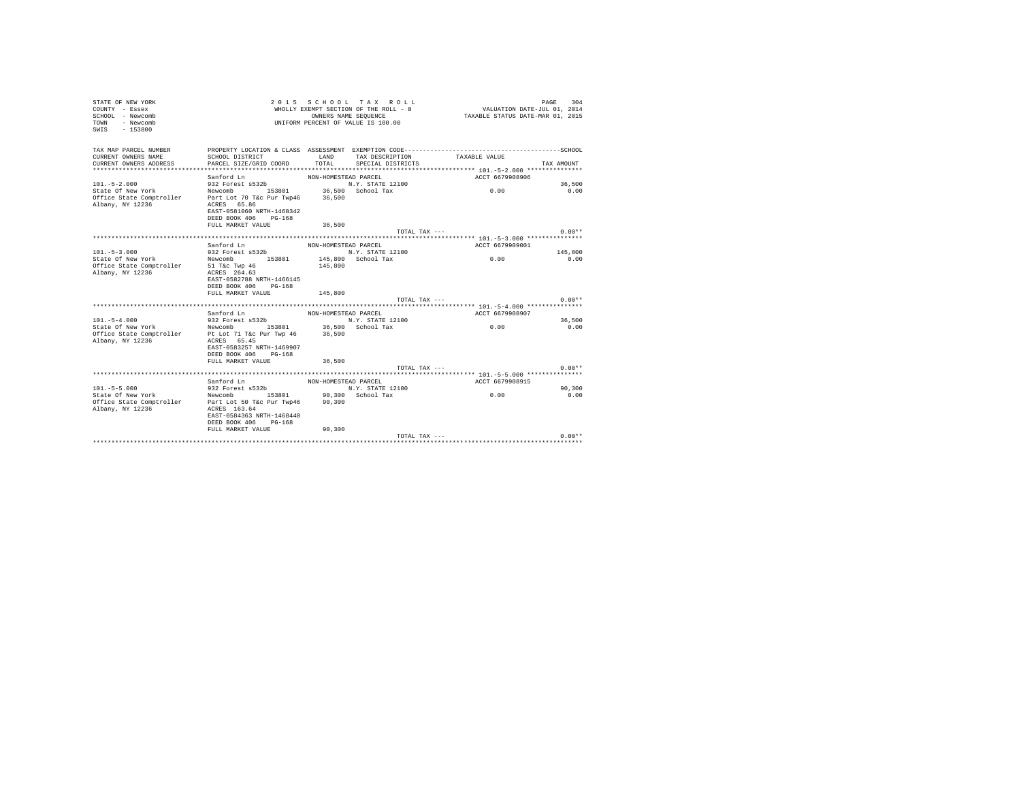| STATE OF NEW YORK<br>COUNTY - Essex<br>SCHOOL - Newcomb<br>- Newcomb<br><b>TOWN</b><br>$-153800$<br>SWIS |                                                                                                                                   | OWNERS NAME SEQUENCE | 2015 SCHOOL TAX ROLL<br>WHOLLY EXEMPT SECTION OF THE ROLL - 8<br>UNIFORM PERCENT OF VALUE IS 100.00 | VALUATION DATE-JUL 01, 2014<br>TAXABLE STATUS DATE-MAR 01, 2015                                               | PAGE<br>304 |
|----------------------------------------------------------------------------------------------------------|-----------------------------------------------------------------------------------------------------------------------------------|----------------------|-----------------------------------------------------------------------------------------------------|---------------------------------------------------------------------------------------------------------------|-------------|
| TAX MAP PARCEL NUMBER<br>CURRENT OWNERS NAME<br>CURRENT OWNERS ADDRESS                                   | SCHOOL DISTRICT<br>PARCEL SIZE/GRID COORD                                                                                         | LAND<br>TOTAL        | TAX DESCRIPTION<br>SPECIAL DISTRICTS                                                                | PROPERTY LOCATION & CLASS ASSESSMENT EXEMPTION CODE-----------------------------------SCHOOL<br>TAXABLE VALUE | TAX AMOUNT  |
|                                                                                                          | Sanford Ln                                                                                                                        | NON-HOMESTEAD PARCEL |                                                                                                     | ACCT 6679908906                                                                                               |             |
| $101. - 5 - 2.000$                                                                                       | 932 Forest s532b                                                                                                                  |                      | N.Y. STATE 12100                                                                                    |                                                                                                               | 36,500      |
| State Of New York<br>Office State Comptroller<br>Albany, NY 12236                                        | Newcomb 153801 36,500 School Tax<br>Part Lot 70 T&c Pur Twp46<br>ACRES 65.86<br>EAST-0581060 NRTH-1468342<br>DEED BOOK 406 PG-168 | 36,500               |                                                                                                     | 0.00                                                                                                          | 0.00        |
|                                                                                                          | FULL MARKET VALUE                                                                                                                 | 36,500               |                                                                                                     |                                                                                                               |             |
|                                                                                                          |                                                                                                                                   |                      | TOTAL TAX ---                                                                                       |                                                                                                               | $0.00**$    |
|                                                                                                          | Sanford Ln                                                                                                                        | NON-HOMESTEAD PARCEL |                                                                                                     | ACCT 6679909001                                                                                               |             |
| $101 - 5 - 3.000$                                                                                        | 932 Forest s532b                                                                                                                  |                      | N.Y. STATE 12100                                                                                    |                                                                                                               | 145,800     |
| State Of New York                                                                                        | Newcomb 153801                                                                                                                    |                      | 145,800 School Tax                                                                                  | 0.00                                                                                                          | 0.00        |
| Office State Comptroller<br>Albany, NY 12236                                                             | 51 T&c Twp 46<br>ACRES 264.63<br>EAST-0582788 NRTH-1466145<br>DEED BOOK 406 PG-168                                                | 145,800              |                                                                                                     |                                                                                                               |             |
|                                                                                                          | FULL MARKET VALUE                                                                                                                 | 145,800              | TOTAL TAX ---                                                                                       |                                                                                                               | $0.00**$    |
|                                                                                                          |                                                                                                                                   |                      |                                                                                                     |                                                                                                               |             |
|                                                                                                          | Sanford Ln                                                                                                                        | NON-HOMESTEAD PARCEL |                                                                                                     | ACCT 6679908907                                                                                               |             |
| $101. - 5 - 4.000$                                                                                       | 932 Forest s532b                                                                                                                  |                      | N.Y. STATE 12100                                                                                    |                                                                                                               | 36,500      |
| State Of New York<br>Office State Comptroller<br>Albany, NY 12236                                        | Newcomb 153801 36,500 School Tax<br>Pt Lot 71 T&c Pur Twp 46<br>ACRES 65.45<br>EAST-0583257 NRTH-1469907                          | 36,500               |                                                                                                     | 0.00                                                                                                          | 0.00        |
|                                                                                                          | DEED BOOK 406 PG-168                                                                                                              |                      |                                                                                                     |                                                                                                               |             |
|                                                                                                          | FULL MARKET VALUE                                                                                                                 | 36,500               | TOTAL TAX $---$                                                                                     |                                                                                                               | $0.00**$    |
|                                                                                                          |                                                                                                                                   |                      |                                                                                                     |                                                                                                               |             |
|                                                                                                          | Sanford Ln                                                                                                                        | NON-HOMESTEAD PARCEL |                                                                                                     | ACCT 6679908915                                                                                               |             |
| $101. - 5 - 5.000$                                                                                       | 932 Forest $s532b$                                                                                                                |                      | N.Y. STATE 12100                                                                                    |                                                                                                               | 90,300      |
| State Of New York                                                                                        | Newcomb 153801 90.300 School Tax                                                                                                  |                      |                                                                                                     | 0.00                                                                                                          | 0.00        |
| Office State Comptroller Part Lot 50 T&c Pur Twp46                                                       |                                                                                                                                   | 90,300               |                                                                                                     |                                                                                                               |             |
| Albany, NY 12236                                                                                         | ACRES 163.64<br>EAST-0584363 NRTH-1468440<br>DEED BOOK 406 PG-168                                                                 |                      |                                                                                                     |                                                                                                               |             |
|                                                                                                          | FULL MARKET VALUE                                                                                                                 | 90.300               |                                                                                                     |                                                                                                               |             |
|                                                                                                          |                                                                                                                                   |                      | TOTAL TAX ---                                                                                       |                                                                                                               | $0.00**$    |
|                                                                                                          |                                                                                                                                   |                      |                                                                                                     |                                                                                                               |             |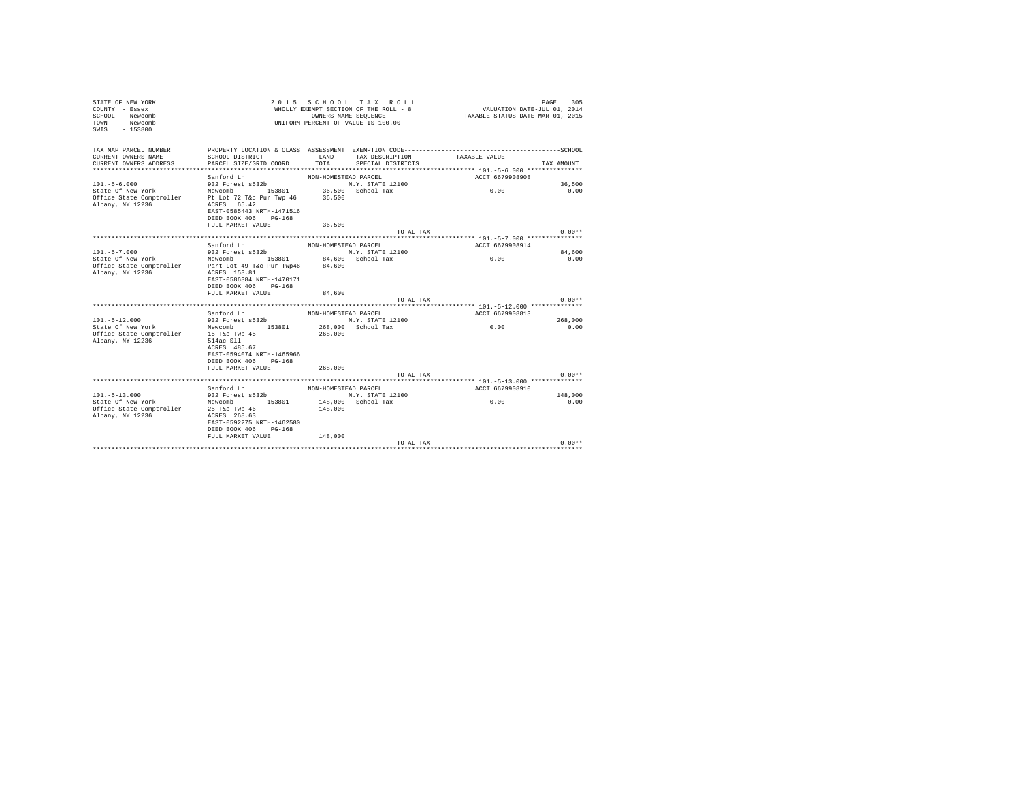| TAX MAP PARCEL NUMBER<br>CURRENT OWNERS NAME<br>LAND<br>SCHOOL DISTRICT<br>TAX DESCRIPTION<br>TAXABLE VALUE<br>PARCEL SIZE/GRID COORD<br>TOTAL<br>CURRENT OWNERS ADDRESS<br>SPECIAL DISTRICTS<br>TAX AMOUNT<br>ACCT 6679908908<br>Sanford Ln<br>NON-HOMESTEAD PARCEL<br>$101. - 5 - 6.000$<br>932 Forest s532b<br>N.Y. STATE 12100<br>36,500<br>Newcomb 153801 36,500 School Tax<br>Pt Lot 72 T&c Pur Twp 46 36,500<br>0.00<br>State Of New York<br>0.00<br>Office State Comptroller<br>Albany, NY 12236<br>ACRES 65.42<br>EAST-0585443 NRTH-1471516<br>DEED BOOK 406 PG-168<br>FULL MARKET VALUE<br>36,500<br>$0.00**$<br>TOTAL TAX ---<br>Sanford Ln<br>NON-HOMESTEAD PARCEL<br>ACCT 6679908914<br>932 Forest s532b<br>$101. - 5 - 7.000$<br>N.Y. STATE 12100<br>84,600<br>0.00<br>Newcomb 153801<br>84,600 School Tax<br>State Of New York<br>0.00<br>Office State Comptroller Part Lot 49 T&c Pur Twp46 84,600<br>Albany, NY 12236<br>ACRES 153.81<br>EAST-0586384 NRTH-1470171<br>DEED BOOK 406 PG-168<br>FULL MARKET VALUE<br>84,600<br>$0.00**$<br>TOTAL TAX $---$<br>ACCT 6679908813<br>Sanford $Ln$<br>NON-HOMESTEAD PARCEL<br>N.Y. STATE 12100<br>$101.-5-12.000$<br>932 Forest s532b<br>268,000<br>Newcomb 153801<br>268,000 School Tax<br>0.00<br>State Of New York<br>0.00<br>15 T&c Twp 45<br>Office State Comptroller<br>268,000<br>Albany, NY 12236<br>514ac Sll<br>ACRES 485.67<br>EAST-0594074 NRTH-1465966<br>DEED BOOK 406 PG-168<br>268,000<br>FULL MARKET VALUE<br>$0.00**$<br>TOTAL TAX ---<br>Sanford Ln<br>NON-HOMESTEAD PARCEL<br>ACCT 6679908910<br>Sanford Ln<br>932 Forest s532b<br>N.Y. STATE 12100<br>$101. - 5 - 13.000$<br>148,000<br>Newcomb 153801<br>148,000 School Tax<br>0.00<br>State Of New York<br>0.00<br>Office State Comptroller 25 T&c Twp 46<br>148,000<br>Albany, NY 12236<br>ACRES 268.63<br>EAST-0592275 NRTH-1462580<br>DEED BOOK 406 PG-168<br>FULL MARKET VALUE<br>148,000<br>$0.00**$<br>TOTAL TAX --- | STATE OF NEW YORK<br>COUNTY - Essex<br>SCHOOL - Newcomb<br>- Newcomb<br>TOWN<br>$-153800$<br>SWIS | 2 0 1 5<br>SCHOOL TAX ROLL<br>WHOLLY EXEMPT SECTION OF THE ROLL - 8<br>OWNERS NAME SEOUENCE<br>UNIFORM PERCENT OF VALUE IS 100.00 |  |  | VALUATION DATE-JUL 01, 2014<br>TAXABLE STATUS DATE-MAR 01, 2015 | 305<br>PAGE |
|-------------------------------------------------------------------------------------------------------------------------------------------------------------------------------------------------------------------------------------------------------------------------------------------------------------------------------------------------------------------------------------------------------------------------------------------------------------------------------------------------------------------------------------------------------------------------------------------------------------------------------------------------------------------------------------------------------------------------------------------------------------------------------------------------------------------------------------------------------------------------------------------------------------------------------------------------------------------------------------------------------------------------------------------------------------------------------------------------------------------------------------------------------------------------------------------------------------------------------------------------------------------------------------------------------------------------------------------------------------------------------------------------------------------------------------------------------------------------------------------------------------------------------------------------------------------------------------------------------------------------------------------------------------------------------------------------------------------------------------------------------------------------------------------------------------------------------------------------------------------------------------------------------------------------------------------------------------|---------------------------------------------------------------------------------------------------|-----------------------------------------------------------------------------------------------------------------------------------|--|--|-----------------------------------------------------------------|-------------|
|                                                                                                                                                                                                                                                                                                                                                                                                                                                                                                                                                                                                                                                                                                                                                                                                                                                                                                                                                                                                                                                                                                                                                                                                                                                                                                                                                                                                                                                                                                                                                                                                                                                                                                                                                                                                                                                                                                                                                             |                                                                                                   |                                                                                                                                   |  |  |                                                                 |             |
|                                                                                                                                                                                                                                                                                                                                                                                                                                                                                                                                                                                                                                                                                                                                                                                                                                                                                                                                                                                                                                                                                                                                                                                                                                                                                                                                                                                                                                                                                                                                                                                                                                                                                                                                                                                                                                                                                                                                                             |                                                                                                   |                                                                                                                                   |  |  |                                                                 |             |
|                                                                                                                                                                                                                                                                                                                                                                                                                                                                                                                                                                                                                                                                                                                                                                                                                                                                                                                                                                                                                                                                                                                                                                                                                                                                                                                                                                                                                                                                                                                                                                                                                                                                                                                                                                                                                                                                                                                                                             |                                                                                                   |                                                                                                                                   |  |  |                                                                 |             |
|                                                                                                                                                                                                                                                                                                                                                                                                                                                                                                                                                                                                                                                                                                                                                                                                                                                                                                                                                                                                                                                                                                                                                                                                                                                                                                                                                                                                                                                                                                                                                                                                                                                                                                                                                                                                                                                                                                                                                             |                                                                                                   |                                                                                                                                   |  |  |                                                                 |             |
|                                                                                                                                                                                                                                                                                                                                                                                                                                                                                                                                                                                                                                                                                                                                                                                                                                                                                                                                                                                                                                                                                                                                                                                                                                                                                                                                                                                                                                                                                                                                                                                                                                                                                                                                                                                                                                                                                                                                                             |                                                                                                   |                                                                                                                                   |  |  |                                                                 |             |
|                                                                                                                                                                                                                                                                                                                                                                                                                                                                                                                                                                                                                                                                                                                                                                                                                                                                                                                                                                                                                                                                                                                                                                                                                                                                                                                                                                                                                                                                                                                                                                                                                                                                                                                                                                                                                                                                                                                                                             |                                                                                                   |                                                                                                                                   |  |  |                                                                 |             |
|                                                                                                                                                                                                                                                                                                                                                                                                                                                                                                                                                                                                                                                                                                                                                                                                                                                                                                                                                                                                                                                                                                                                                                                                                                                                                                                                                                                                                                                                                                                                                                                                                                                                                                                                                                                                                                                                                                                                                             |                                                                                                   |                                                                                                                                   |  |  |                                                                 |             |
|                                                                                                                                                                                                                                                                                                                                                                                                                                                                                                                                                                                                                                                                                                                                                                                                                                                                                                                                                                                                                                                                                                                                                                                                                                                                                                                                                                                                                                                                                                                                                                                                                                                                                                                                                                                                                                                                                                                                                             |                                                                                                   |                                                                                                                                   |  |  |                                                                 |             |
|                                                                                                                                                                                                                                                                                                                                                                                                                                                                                                                                                                                                                                                                                                                                                                                                                                                                                                                                                                                                                                                                                                                                                                                                                                                                                                                                                                                                                                                                                                                                                                                                                                                                                                                                                                                                                                                                                                                                                             |                                                                                                   |                                                                                                                                   |  |  |                                                                 |             |
|                                                                                                                                                                                                                                                                                                                                                                                                                                                                                                                                                                                                                                                                                                                                                                                                                                                                                                                                                                                                                                                                                                                                                                                                                                                                                                                                                                                                                                                                                                                                                                                                                                                                                                                                                                                                                                                                                                                                                             |                                                                                                   |                                                                                                                                   |  |  |                                                                 |             |
|                                                                                                                                                                                                                                                                                                                                                                                                                                                                                                                                                                                                                                                                                                                                                                                                                                                                                                                                                                                                                                                                                                                                                                                                                                                                                                                                                                                                                                                                                                                                                                                                                                                                                                                                                                                                                                                                                                                                                             |                                                                                                   |                                                                                                                                   |  |  |                                                                 |             |
|                                                                                                                                                                                                                                                                                                                                                                                                                                                                                                                                                                                                                                                                                                                                                                                                                                                                                                                                                                                                                                                                                                                                                                                                                                                                                                                                                                                                                                                                                                                                                                                                                                                                                                                                                                                                                                                                                                                                                             |                                                                                                   |                                                                                                                                   |  |  |                                                                 |             |
|                                                                                                                                                                                                                                                                                                                                                                                                                                                                                                                                                                                                                                                                                                                                                                                                                                                                                                                                                                                                                                                                                                                                                                                                                                                                                                                                                                                                                                                                                                                                                                                                                                                                                                                                                                                                                                                                                                                                                             |                                                                                                   |                                                                                                                                   |  |  |                                                                 |             |
|                                                                                                                                                                                                                                                                                                                                                                                                                                                                                                                                                                                                                                                                                                                                                                                                                                                                                                                                                                                                                                                                                                                                                                                                                                                                                                                                                                                                                                                                                                                                                                                                                                                                                                                                                                                                                                                                                                                                                             |                                                                                                   |                                                                                                                                   |  |  |                                                                 |             |
|                                                                                                                                                                                                                                                                                                                                                                                                                                                                                                                                                                                                                                                                                                                                                                                                                                                                                                                                                                                                                                                                                                                                                                                                                                                                                                                                                                                                                                                                                                                                                                                                                                                                                                                                                                                                                                                                                                                                                             |                                                                                                   |                                                                                                                                   |  |  |                                                                 |             |
|                                                                                                                                                                                                                                                                                                                                                                                                                                                                                                                                                                                                                                                                                                                                                                                                                                                                                                                                                                                                                                                                                                                                                                                                                                                                                                                                                                                                                                                                                                                                                                                                                                                                                                                                                                                                                                                                                                                                                             |                                                                                                   |                                                                                                                                   |  |  |                                                                 |             |
|                                                                                                                                                                                                                                                                                                                                                                                                                                                                                                                                                                                                                                                                                                                                                                                                                                                                                                                                                                                                                                                                                                                                                                                                                                                                                                                                                                                                                                                                                                                                                                                                                                                                                                                                                                                                                                                                                                                                                             |                                                                                                   |                                                                                                                                   |  |  |                                                                 |             |
|                                                                                                                                                                                                                                                                                                                                                                                                                                                                                                                                                                                                                                                                                                                                                                                                                                                                                                                                                                                                                                                                                                                                                                                                                                                                                                                                                                                                                                                                                                                                                                                                                                                                                                                                                                                                                                                                                                                                                             |                                                                                                   |                                                                                                                                   |  |  |                                                                 |             |
|                                                                                                                                                                                                                                                                                                                                                                                                                                                                                                                                                                                                                                                                                                                                                                                                                                                                                                                                                                                                                                                                                                                                                                                                                                                                                                                                                                                                                                                                                                                                                                                                                                                                                                                                                                                                                                                                                                                                                             |                                                                                                   |                                                                                                                                   |  |  |                                                                 |             |
|                                                                                                                                                                                                                                                                                                                                                                                                                                                                                                                                                                                                                                                                                                                                                                                                                                                                                                                                                                                                                                                                                                                                                                                                                                                                                                                                                                                                                                                                                                                                                                                                                                                                                                                                                                                                                                                                                                                                                             |                                                                                                   |                                                                                                                                   |  |  |                                                                 |             |
|                                                                                                                                                                                                                                                                                                                                                                                                                                                                                                                                                                                                                                                                                                                                                                                                                                                                                                                                                                                                                                                                                                                                                                                                                                                                                                                                                                                                                                                                                                                                                                                                                                                                                                                                                                                                                                                                                                                                                             |                                                                                                   |                                                                                                                                   |  |  |                                                                 |             |
|                                                                                                                                                                                                                                                                                                                                                                                                                                                                                                                                                                                                                                                                                                                                                                                                                                                                                                                                                                                                                                                                                                                                                                                                                                                                                                                                                                                                                                                                                                                                                                                                                                                                                                                                                                                                                                                                                                                                                             |                                                                                                   |                                                                                                                                   |  |  |                                                                 |             |
|                                                                                                                                                                                                                                                                                                                                                                                                                                                                                                                                                                                                                                                                                                                                                                                                                                                                                                                                                                                                                                                                                                                                                                                                                                                                                                                                                                                                                                                                                                                                                                                                                                                                                                                                                                                                                                                                                                                                                             |                                                                                                   |                                                                                                                                   |  |  |                                                                 |             |
|                                                                                                                                                                                                                                                                                                                                                                                                                                                                                                                                                                                                                                                                                                                                                                                                                                                                                                                                                                                                                                                                                                                                                                                                                                                                                                                                                                                                                                                                                                                                                                                                                                                                                                                                                                                                                                                                                                                                                             |                                                                                                   |                                                                                                                                   |  |  |                                                                 |             |
|                                                                                                                                                                                                                                                                                                                                                                                                                                                                                                                                                                                                                                                                                                                                                                                                                                                                                                                                                                                                                                                                                                                                                                                                                                                                                                                                                                                                                                                                                                                                                                                                                                                                                                                                                                                                                                                                                                                                                             |                                                                                                   |                                                                                                                                   |  |  |                                                                 |             |
|                                                                                                                                                                                                                                                                                                                                                                                                                                                                                                                                                                                                                                                                                                                                                                                                                                                                                                                                                                                                                                                                                                                                                                                                                                                                                                                                                                                                                                                                                                                                                                                                                                                                                                                                                                                                                                                                                                                                                             |                                                                                                   |                                                                                                                                   |  |  |                                                                 |             |
|                                                                                                                                                                                                                                                                                                                                                                                                                                                                                                                                                                                                                                                                                                                                                                                                                                                                                                                                                                                                                                                                                                                                                                                                                                                                                                                                                                                                                                                                                                                                                                                                                                                                                                                                                                                                                                                                                                                                                             |                                                                                                   |                                                                                                                                   |  |  |                                                                 |             |
|                                                                                                                                                                                                                                                                                                                                                                                                                                                                                                                                                                                                                                                                                                                                                                                                                                                                                                                                                                                                                                                                                                                                                                                                                                                                                                                                                                                                                                                                                                                                                                                                                                                                                                                                                                                                                                                                                                                                                             |                                                                                                   |                                                                                                                                   |  |  |                                                                 |             |
|                                                                                                                                                                                                                                                                                                                                                                                                                                                                                                                                                                                                                                                                                                                                                                                                                                                                                                                                                                                                                                                                                                                                                                                                                                                                                                                                                                                                                                                                                                                                                                                                                                                                                                                                                                                                                                                                                                                                                             |                                                                                                   |                                                                                                                                   |  |  |                                                                 |             |
|                                                                                                                                                                                                                                                                                                                                                                                                                                                                                                                                                                                                                                                                                                                                                                                                                                                                                                                                                                                                                                                                                                                                                                                                                                                                                                                                                                                                                                                                                                                                                                                                                                                                                                                                                                                                                                                                                                                                                             |                                                                                                   |                                                                                                                                   |  |  |                                                                 |             |
|                                                                                                                                                                                                                                                                                                                                                                                                                                                                                                                                                                                                                                                                                                                                                                                                                                                                                                                                                                                                                                                                                                                                                                                                                                                                                                                                                                                                                                                                                                                                                                                                                                                                                                                                                                                                                                                                                                                                                             |                                                                                                   |                                                                                                                                   |  |  |                                                                 |             |
|                                                                                                                                                                                                                                                                                                                                                                                                                                                                                                                                                                                                                                                                                                                                                                                                                                                                                                                                                                                                                                                                                                                                                                                                                                                                                                                                                                                                                                                                                                                                                                                                                                                                                                                                                                                                                                                                                                                                                             |                                                                                                   |                                                                                                                                   |  |  |                                                                 |             |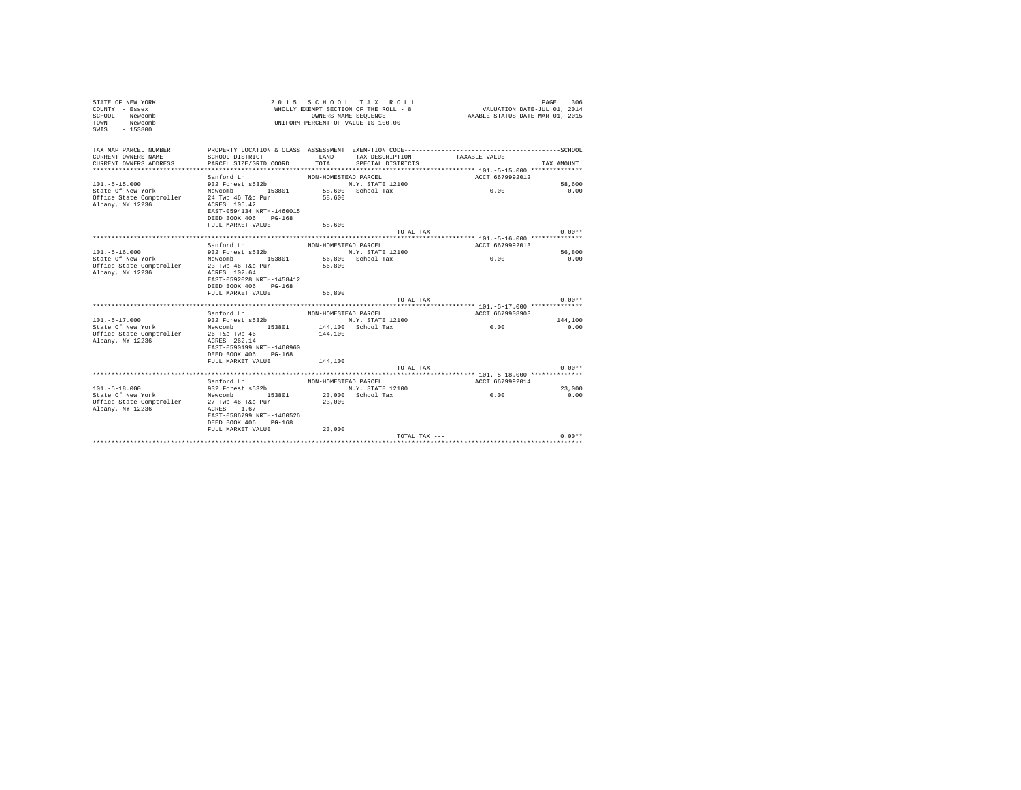| TAX MAP PARCEL NUMBER<br>CURRENT OWNERS NAME<br>SCHOOL DISTRICT<br>LAND<br>TAXABLE VALUE<br>TAX DESCRIPTION<br>TOTAL<br>CURRENT OWNERS ADDRESS<br>PARCEL SIZE/GRID COORD<br>SPECIAL DISTRICTS<br>TAX AMOUNT<br>ACCT 6679992012<br>Sanford Ln<br>NON-HOMESTEAD PARCEL<br>$101. - 5 - 15.000$<br>932 Forest s532b<br>N.Y. STATE 12100<br>58,600<br>58,600 School Tax<br>State Of New York<br>Newcomb 153801<br>0.00<br>0.00<br>Office State Comptroller<br>24 Twp 46 T&c Pur<br>58,600<br>ACRES 105.42<br>Albany, NY 12236<br>EAST-0594134 NRTH-1460015<br>DEED BOOK 406 PG-168<br>FULL MARKET VALUE<br>58,600<br>$0.00**$<br>TOTAL TAX ---<br>Sanford Ln<br>ACCT 6679992013<br>NON-HOMESTEAD PARCEL<br>932 Forest s532b<br>56,800<br>$101.-5-16.000$<br>N.Y. STATE 12100<br>Newcomb 153801<br>56,800 School Tax<br>0.00<br>0.00<br>State Of New York<br>Office State Comptroller 23 Twp 46 T&c Pur<br>56,800<br>Albany, NY 12236<br>ACRES 102.64<br>EAST-0592028 NRTH-1458412<br>DEED BOOK 406 PG-168<br>FULL MARKET VALUE<br>56,800<br>$0.00**$<br>TOTAL TAX ---<br>ACCT 6679908903<br>Sanford Ln<br>NON-HOMESTEAD PARCEL<br>$101. - 5 - 17.000$<br>932 Forest s532b<br>144,100<br>N.Y. STATE 12100<br>Newcomb 153801<br>State Of New York<br>144,100 School Tax<br>0.00<br>0.00<br>Office State Comptroller<br>26 T&c Twp 46<br>144,100<br>Albany, NY 12236<br>ACRES 262.14<br>EAST-0590199 NRTH-1460960<br>DEED BOOK 406 PG-168<br>FULL MARKET VALUE<br>144,100<br>$0.00**$<br>TOTAL TAX ---<br>Sanford Ln<br>ACCT 6679992014<br>NON-HOMESTEAD PARCEL<br>$101. - 5 - 18.000$<br>932 Forest s532b<br>N.Y. STATE 12100<br>23,000<br>Newcomb 153801<br>23,000 School Tax<br>0.00<br>State Of New York<br>0.00<br>Office State Comptroller 27 Twp 46 T&c Pur<br>23,000<br>Albany, NY 12236<br>ACRES 1.67<br>EAST-0586799 NRTH-1460526<br>DEED BOOK 406 PG-168<br>FULL MARKET VALUE<br>23,000<br>TOTAL TAX ---<br>$0.00**$ | COUNTY - Essex<br>SCHOOL - Newcomb<br>TOWN<br>- Newcomb<br>$-153800$<br>SWIS |  | WHOLLY EXEMPT SECTION OF THE ROLL - 8<br>OWNERS NAME SEQUENCE<br>UNIFORM PERCENT OF VALUE IS 100.00 | VALUATION DATE-JUL 01, 2014<br>TAXABLE STATUS DATE-MAR 01, 2015 |  |
|-------------------------------------------------------------------------------------------------------------------------------------------------------------------------------------------------------------------------------------------------------------------------------------------------------------------------------------------------------------------------------------------------------------------------------------------------------------------------------------------------------------------------------------------------------------------------------------------------------------------------------------------------------------------------------------------------------------------------------------------------------------------------------------------------------------------------------------------------------------------------------------------------------------------------------------------------------------------------------------------------------------------------------------------------------------------------------------------------------------------------------------------------------------------------------------------------------------------------------------------------------------------------------------------------------------------------------------------------------------------------------------------------------------------------------------------------------------------------------------------------------------------------------------------------------------------------------------------------------------------------------------------------------------------------------------------------------------------------------------------------------------------------------------------------------------------------------------------------------------------------------------------------------------------------|------------------------------------------------------------------------------|--|-----------------------------------------------------------------------------------------------------|-----------------------------------------------------------------|--|
|                                                                                                                                                                                                                                                                                                                                                                                                                                                                                                                                                                                                                                                                                                                                                                                                                                                                                                                                                                                                                                                                                                                                                                                                                                                                                                                                                                                                                                                                                                                                                                                                                                                                                                                                                                                                                                                                                                                         |                                                                              |  |                                                                                                     |                                                                 |  |
|                                                                                                                                                                                                                                                                                                                                                                                                                                                                                                                                                                                                                                                                                                                                                                                                                                                                                                                                                                                                                                                                                                                                                                                                                                                                                                                                                                                                                                                                                                                                                                                                                                                                                                                                                                                                                                                                                                                         |                                                                              |  |                                                                                                     |                                                                 |  |
|                                                                                                                                                                                                                                                                                                                                                                                                                                                                                                                                                                                                                                                                                                                                                                                                                                                                                                                                                                                                                                                                                                                                                                                                                                                                                                                                                                                                                                                                                                                                                                                                                                                                                                                                                                                                                                                                                                                         |                                                                              |  |                                                                                                     |                                                                 |  |
|                                                                                                                                                                                                                                                                                                                                                                                                                                                                                                                                                                                                                                                                                                                                                                                                                                                                                                                                                                                                                                                                                                                                                                                                                                                                                                                                                                                                                                                                                                                                                                                                                                                                                                                                                                                                                                                                                                                         |                                                                              |  |                                                                                                     |                                                                 |  |
|                                                                                                                                                                                                                                                                                                                                                                                                                                                                                                                                                                                                                                                                                                                                                                                                                                                                                                                                                                                                                                                                                                                                                                                                                                                                                                                                                                                                                                                                                                                                                                                                                                                                                                                                                                                                                                                                                                                         |                                                                              |  |                                                                                                     |                                                                 |  |
|                                                                                                                                                                                                                                                                                                                                                                                                                                                                                                                                                                                                                                                                                                                                                                                                                                                                                                                                                                                                                                                                                                                                                                                                                                                                                                                                                                                                                                                                                                                                                                                                                                                                                                                                                                                                                                                                                                                         |                                                                              |  |                                                                                                     |                                                                 |  |
|                                                                                                                                                                                                                                                                                                                                                                                                                                                                                                                                                                                                                                                                                                                                                                                                                                                                                                                                                                                                                                                                                                                                                                                                                                                                                                                                                                                                                                                                                                                                                                                                                                                                                                                                                                                                                                                                                                                         |                                                                              |  |                                                                                                     |                                                                 |  |
|                                                                                                                                                                                                                                                                                                                                                                                                                                                                                                                                                                                                                                                                                                                                                                                                                                                                                                                                                                                                                                                                                                                                                                                                                                                                                                                                                                                                                                                                                                                                                                                                                                                                                                                                                                                                                                                                                                                         |                                                                              |  |                                                                                                     |                                                                 |  |
|                                                                                                                                                                                                                                                                                                                                                                                                                                                                                                                                                                                                                                                                                                                                                                                                                                                                                                                                                                                                                                                                                                                                                                                                                                                                                                                                                                                                                                                                                                                                                                                                                                                                                                                                                                                                                                                                                                                         |                                                                              |  |                                                                                                     |                                                                 |  |
|                                                                                                                                                                                                                                                                                                                                                                                                                                                                                                                                                                                                                                                                                                                                                                                                                                                                                                                                                                                                                                                                                                                                                                                                                                                                                                                                                                                                                                                                                                                                                                                                                                                                                                                                                                                                                                                                                                                         |                                                                              |  |                                                                                                     |                                                                 |  |
|                                                                                                                                                                                                                                                                                                                                                                                                                                                                                                                                                                                                                                                                                                                                                                                                                                                                                                                                                                                                                                                                                                                                                                                                                                                                                                                                                                                                                                                                                                                                                                                                                                                                                                                                                                                                                                                                                                                         |                                                                              |  |                                                                                                     |                                                                 |  |
|                                                                                                                                                                                                                                                                                                                                                                                                                                                                                                                                                                                                                                                                                                                                                                                                                                                                                                                                                                                                                                                                                                                                                                                                                                                                                                                                                                                                                                                                                                                                                                                                                                                                                                                                                                                                                                                                                                                         |                                                                              |  |                                                                                                     |                                                                 |  |
|                                                                                                                                                                                                                                                                                                                                                                                                                                                                                                                                                                                                                                                                                                                                                                                                                                                                                                                                                                                                                                                                                                                                                                                                                                                                                                                                                                                                                                                                                                                                                                                                                                                                                                                                                                                                                                                                                                                         |                                                                              |  |                                                                                                     |                                                                 |  |
|                                                                                                                                                                                                                                                                                                                                                                                                                                                                                                                                                                                                                                                                                                                                                                                                                                                                                                                                                                                                                                                                                                                                                                                                                                                                                                                                                                                                                                                                                                                                                                                                                                                                                                                                                                                                                                                                                                                         |                                                                              |  |                                                                                                     |                                                                 |  |
|                                                                                                                                                                                                                                                                                                                                                                                                                                                                                                                                                                                                                                                                                                                                                                                                                                                                                                                                                                                                                                                                                                                                                                                                                                                                                                                                                                                                                                                                                                                                                                                                                                                                                                                                                                                                                                                                                                                         |                                                                              |  |                                                                                                     |                                                                 |  |
|                                                                                                                                                                                                                                                                                                                                                                                                                                                                                                                                                                                                                                                                                                                                                                                                                                                                                                                                                                                                                                                                                                                                                                                                                                                                                                                                                                                                                                                                                                                                                                                                                                                                                                                                                                                                                                                                                                                         |                                                                              |  |                                                                                                     |                                                                 |  |
|                                                                                                                                                                                                                                                                                                                                                                                                                                                                                                                                                                                                                                                                                                                                                                                                                                                                                                                                                                                                                                                                                                                                                                                                                                                                                                                                                                                                                                                                                                                                                                                                                                                                                                                                                                                                                                                                                                                         |                                                                              |  |                                                                                                     |                                                                 |  |
|                                                                                                                                                                                                                                                                                                                                                                                                                                                                                                                                                                                                                                                                                                                                                                                                                                                                                                                                                                                                                                                                                                                                                                                                                                                                                                                                                                                                                                                                                                                                                                                                                                                                                                                                                                                                                                                                                                                         |                                                                              |  |                                                                                                     |                                                                 |  |
|                                                                                                                                                                                                                                                                                                                                                                                                                                                                                                                                                                                                                                                                                                                                                                                                                                                                                                                                                                                                                                                                                                                                                                                                                                                                                                                                                                                                                                                                                                                                                                                                                                                                                                                                                                                                                                                                                                                         |                                                                              |  |                                                                                                     |                                                                 |  |
|                                                                                                                                                                                                                                                                                                                                                                                                                                                                                                                                                                                                                                                                                                                                                                                                                                                                                                                                                                                                                                                                                                                                                                                                                                                                                                                                                                                                                                                                                                                                                                                                                                                                                                                                                                                                                                                                                                                         |                                                                              |  |                                                                                                     |                                                                 |  |
|                                                                                                                                                                                                                                                                                                                                                                                                                                                                                                                                                                                                                                                                                                                                                                                                                                                                                                                                                                                                                                                                                                                                                                                                                                                                                                                                                                                                                                                                                                                                                                                                                                                                                                                                                                                                                                                                                                                         |                                                                              |  |                                                                                                     |                                                                 |  |
|                                                                                                                                                                                                                                                                                                                                                                                                                                                                                                                                                                                                                                                                                                                                                                                                                                                                                                                                                                                                                                                                                                                                                                                                                                                                                                                                                                                                                                                                                                                                                                                                                                                                                                                                                                                                                                                                                                                         |                                                                              |  |                                                                                                     |                                                                 |  |
|                                                                                                                                                                                                                                                                                                                                                                                                                                                                                                                                                                                                                                                                                                                                                                                                                                                                                                                                                                                                                                                                                                                                                                                                                                                                                                                                                                                                                                                                                                                                                                                                                                                                                                                                                                                                                                                                                                                         |                                                                              |  |                                                                                                     |                                                                 |  |
|                                                                                                                                                                                                                                                                                                                                                                                                                                                                                                                                                                                                                                                                                                                                                                                                                                                                                                                                                                                                                                                                                                                                                                                                                                                                                                                                                                                                                                                                                                                                                                                                                                                                                                                                                                                                                                                                                                                         |                                                                              |  |                                                                                                     |                                                                 |  |
|                                                                                                                                                                                                                                                                                                                                                                                                                                                                                                                                                                                                                                                                                                                                                                                                                                                                                                                                                                                                                                                                                                                                                                                                                                                                                                                                                                                                                                                                                                                                                                                                                                                                                                                                                                                                                                                                                                                         |                                                                              |  |                                                                                                     |                                                                 |  |
|                                                                                                                                                                                                                                                                                                                                                                                                                                                                                                                                                                                                                                                                                                                                                                                                                                                                                                                                                                                                                                                                                                                                                                                                                                                                                                                                                                                                                                                                                                                                                                                                                                                                                                                                                                                                                                                                                                                         |                                                                              |  |                                                                                                     |                                                                 |  |
|                                                                                                                                                                                                                                                                                                                                                                                                                                                                                                                                                                                                                                                                                                                                                                                                                                                                                                                                                                                                                                                                                                                                                                                                                                                                                                                                                                                                                                                                                                                                                                                                                                                                                                                                                                                                                                                                                                                         |                                                                              |  |                                                                                                     |                                                                 |  |
|                                                                                                                                                                                                                                                                                                                                                                                                                                                                                                                                                                                                                                                                                                                                                                                                                                                                                                                                                                                                                                                                                                                                                                                                                                                                                                                                                                                                                                                                                                                                                                                                                                                                                                                                                                                                                                                                                                                         |                                                                              |  |                                                                                                     |                                                                 |  |
|                                                                                                                                                                                                                                                                                                                                                                                                                                                                                                                                                                                                                                                                                                                                                                                                                                                                                                                                                                                                                                                                                                                                                                                                                                                                                                                                                                                                                                                                                                                                                                                                                                                                                                                                                                                                                                                                                                                         |                                                                              |  |                                                                                                     |                                                                 |  |
|                                                                                                                                                                                                                                                                                                                                                                                                                                                                                                                                                                                                                                                                                                                                                                                                                                                                                                                                                                                                                                                                                                                                                                                                                                                                                                                                                                                                                                                                                                                                                                                                                                                                                                                                                                                                                                                                                                                         |                                                                              |  |                                                                                                     |                                                                 |  |
|                                                                                                                                                                                                                                                                                                                                                                                                                                                                                                                                                                                                                                                                                                                                                                                                                                                                                                                                                                                                                                                                                                                                                                                                                                                                                                                                                                                                                                                                                                                                                                                                                                                                                                                                                                                                                                                                                                                         |                                                                              |  |                                                                                                     |                                                                 |  |
|                                                                                                                                                                                                                                                                                                                                                                                                                                                                                                                                                                                                                                                                                                                                                                                                                                                                                                                                                                                                                                                                                                                                                                                                                                                                                                                                                                                                                                                                                                                                                                                                                                                                                                                                                                                                                                                                                                                         |                                                                              |  |                                                                                                     |                                                                 |  |
|                                                                                                                                                                                                                                                                                                                                                                                                                                                                                                                                                                                                                                                                                                                                                                                                                                                                                                                                                                                                                                                                                                                                                                                                                                                                                                                                                                                                                                                                                                                                                                                                                                                                                                                                                                                                                                                                                                                         |                                                                              |  |                                                                                                     |                                                                 |  |
|                                                                                                                                                                                                                                                                                                                                                                                                                                                                                                                                                                                                                                                                                                                                                                                                                                                                                                                                                                                                                                                                                                                                                                                                                                                                                                                                                                                                                                                                                                                                                                                                                                                                                                                                                                                                                                                                                                                         |                                                                              |  |                                                                                                     |                                                                 |  |
|                                                                                                                                                                                                                                                                                                                                                                                                                                                                                                                                                                                                                                                                                                                                                                                                                                                                                                                                                                                                                                                                                                                                                                                                                                                                                                                                                                                                                                                                                                                                                                                                                                                                                                                                                                                                                                                                                                                         |                                                                              |  |                                                                                                     |                                                                 |  |
|                                                                                                                                                                                                                                                                                                                                                                                                                                                                                                                                                                                                                                                                                                                                                                                                                                                                                                                                                                                                                                                                                                                                                                                                                                                                                                                                                                                                                                                                                                                                                                                                                                                                                                                                                                                                                                                                                                                         |                                                                              |  |                                                                                                     |                                                                 |  |
|                                                                                                                                                                                                                                                                                                                                                                                                                                                                                                                                                                                                                                                                                                                                                                                                                                                                                                                                                                                                                                                                                                                                                                                                                                                                                                                                                                                                                                                                                                                                                                                                                                                                                                                                                                                                                                                                                                                         |                                                                              |  |                                                                                                     |                                                                 |  |
|                                                                                                                                                                                                                                                                                                                                                                                                                                                                                                                                                                                                                                                                                                                                                                                                                                                                                                                                                                                                                                                                                                                                                                                                                                                                                                                                                                                                                                                                                                                                                                                                                                                                                                                                                                                                                                                                                                                         |                                                                              |  |                                                                                                     |                                                                 |  |
|                                                                                                                                                                                                                                                                                                                                                                                                                                                                                                                                                                                                                                                                                                                                                                                                                                                                                                                                                                                                                                                                                                                                                                                                                                                                                                                                                                                                                                                                                                                                                                                                                                                                                                                                                                                                                                                                                                                         |                                                                              |  |                                                                                                     |                                                                 |  |
|                                                                                                                                                                                                                                                                                                                                                                                                                                                                                                                                                                                                                                                                                                                                                                                                                                                                                                                                                                                                                                                                                                                                                                                                                                                                                                                                                                                                                                                                                                                                                                                                                                                                                                                                                                                                                                                                                                                         |                                                                              |  |                                                                                                     |                                                                 |  |

STATE OF NEW YORK 2 0 1 5 S C H O O L T A X R O L L PAGE 306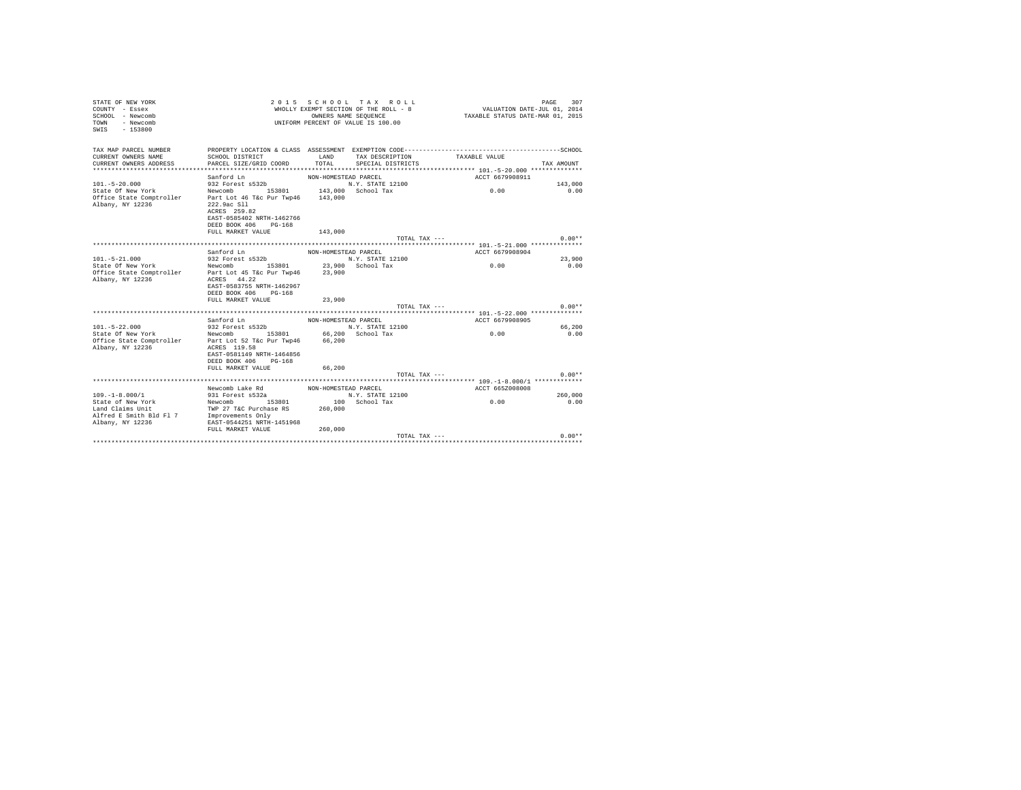| STATE OF NEW YORK<br>COUNTY - Essex<br>SCHOOL - Newcomb<br>- Newcomb<br>TOWN<br>$-153800$<br>SWTS | 2 0 1 5<br>SCHOOL TAX ROLL<br>WHOLLY EXEMPT SECTION OF THE ROLL - 8<br>OWNERS NAME SEOUENCE<br>UNIFORM PERCENT OF VALUE IS 100.00                          |                      |                                      |                 | PAGE<br>307<br>VALUATION DATE-JUL 01, 2014<br>TAXABLE STATUS DATE-MAR 01, 2015 |  |  |
|---------------------------------------------------------------------------------------------------|------------------------------------------------------------------------------------------------------------------------------------------------------------|----------------------|--------------------------------------|-----------------|--------------------------------------------------------------------------------|--|--|
| TAX MAP PARCEL NUMBER                                                                             |                                                                                                                                                            |                      |                                      |                 |                                                                                |  |  |
| CURRENT OWNERS NAME<br>CURRENT OWNERS ADDRESS                                                     | SCHOOL DISTRICT<br>PARCEL SIZE/GRID COORD                                                                                                                  | LAND<br>TOTAL        | TAX DESCRIPTION<br>SPECIAL DISTRICTS | TAXABLE VALUE   | TAX AMOUNT                                                                     |  |  |
|                                                                                                   |                                                                                                                                                            |                      |                                      |                 |                                                                                |  |  |
| $101. - 5 - 20.000$                                                                               | Sanford Ln<br>932 Forest s532b                                                                                                                             | NON-HOMESTEAD PARCEL | N.Y. STATE 12100                     | ACCT 6679908911 | 143,000                                                                        |  |  |
| State Of New York                                                                                 | Newcomb 153801                                                                                                                                             |                      | 143,000 School Tax                   | 0.00            | 0.00                                                                           |  |  |
| Office State Comptroller<br>Albany, NY 12236                                                      | Part Lot 46 T&c Pur Twp46 143,000<br>222.9ac S11<br>ACRES 259.82<br>EAST-0585402 NRTH-1462766<br>DEED BOOK 406 PG-168<br>FULL MARKET VALUE                 | 143,000              |                                      |                 |                                                                                |  |  |
|                                                                                                   |                                                                                                                                                            |                      | TOTAL TAX $---$                      |                 | $0.00**$                                                                       |  |  |
|                                                                                                   |                                                                                                                                                            |                      |                                      |                 |                                                                                |  |  |
|                                                                                                   | Sanford Ln                                                                                                                                                 | NON-HOMESTEAD PARCEL |                                      | ACCT 6679908904 |                                                                                |  |  |
| $101. - 5 - 21.000$                                                                               | 932 Forest s532b                                                                                                                                           |                      | N.Y. STATE 12100                     |                 | 23,900                                                                         |  |  |
| State Of New York<br>Office State Comptroller<br>Albany, NY 12236                                 | Newcomb 153801<br>Part Lot 45 T&c Pur Twp46<br>ACRES 44.22<br>EAST-0583755 NRTH-1462967<br>DEED BOOK 406 PG-168                                            | 23,900               | 23,900 School Tax                    | 0.00            | 0.00                                                                           |  |  |
|                                                                                                   | FULL MARKET VALUE                                                                                                                                          | 23,900               |                                      |                 |                                                                                |  |  |
|                                                                                                   |                                                                                                                                                            |                      | TOTAL TAX $---$                      |                 | $0.00**$                                                                       |  |  |
|                                                                                                   | Sanford Ln                                                                                                                                                 |                      |                                      | ACCT 6679908905 |                                                                                |  |  |
| $101. - 5 - 22.000$                                                                               | 932 Forest s532b                                                                                                                                           | NON-HOMESTEAD PARCEL | N.Y. STATE 12100                     |                 | 66,200                                                                         |  |  |
| State Of New York<br>Office State Comptroller<br>Albany, NY 12236                                 | 153801 66,200 School Tax<br>Newcomb<br>Part Lot 52 T&c Pur Twp46<br>ACRES 119.58<br>EAST-0581149 NRTH-1464856<br>DEED BOOK 406 PG-168<br>FULL MARKET VALUE | 66,200<br>66.200     |                                      | 0.00            | 0.00                                                                           |  |  |
|                                                                                                   |                                                                                                                                                            |                      | TOTAL TAX ---                        |                 | $0.00**$                                                                       |  |  |
|                                                                                                   |                                                                                                                                                            |                      |                                      |                 |                                                                                |  |  |
|                                                                                                   | Newcomb Lake Rd                                                                                                                                            | NON-HOMESTEAD PARCEL |                                      | ACCT 665Z008008 |                                                                                |  |  |
| $109. - 1 - 8.000 / 1$                                                                            | 931 Forest s532a                                                                                                                                           |                      | N.Y. STATE 12100                     |                 | 260,000                                                                        |  |  |
| State of New York<br>Land Claims Unit<br>Alfred E Smith Bld Fl 7<br>Albany, NY 12236              | 153801<br>Newcomb<br>TWP 27 T&C Purchase RS<br>Improvements Only<br>EAST-0544251 NRTH-1451968                                                              | 260,000              | 100 School Tax                       | 0.00            | 0.00                                                                           |  |  |
|                                                                                                   | FULL MARKET VALUE                                                                                                                                          | 260,000              |                                      |                 |                                                                                |  |  |
|                                                                                                   |                                                                                                                                                            |                      | TOTAL TAX ---                        |                 | $0.00**$                                                                       |  |  |
|                                                                                                   |                                                                                                                                                            |                      |                                      |                 |                                                                                |  |  |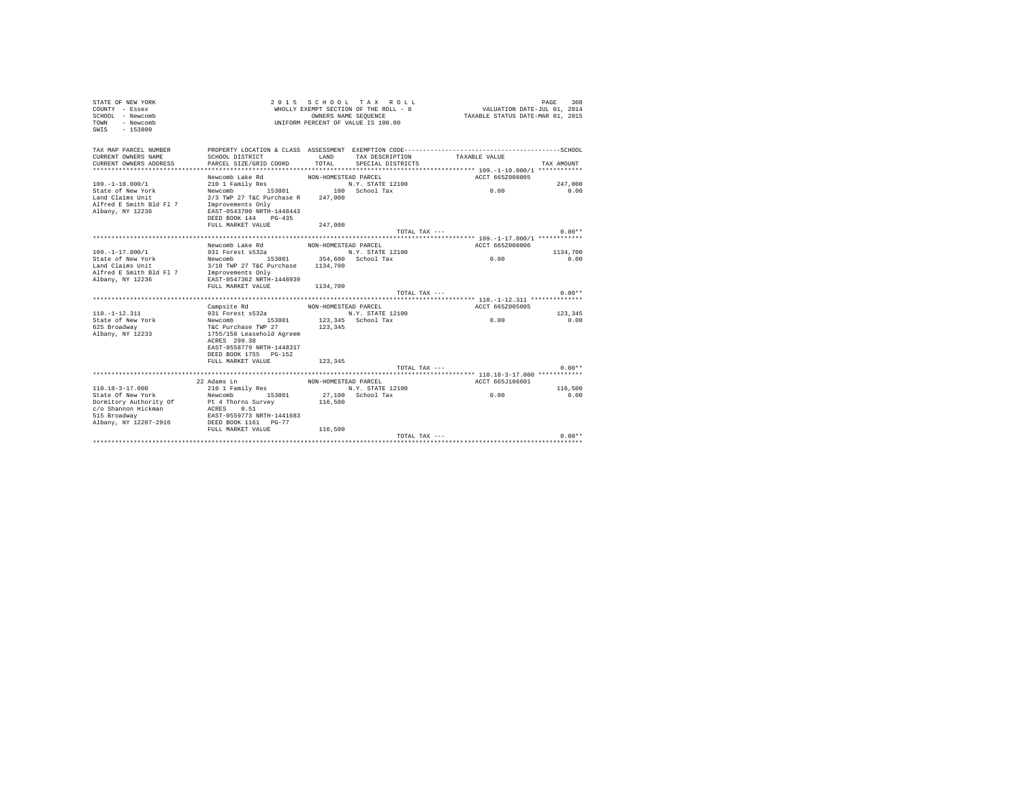| STATE OF NEW YORK<br>COUNTY - Essex<br>SCHOOL - Newcomb<br>- Newcomb<br><b>TOWN</b><br>SWIS<br>$-153800$ |                                           | OWNERS NAME SEQUENCE | 2015 SCHOOL TAX ROLL<br>WHOLLY EXEMPT SECTION OF THE ROLL - 8<br>UNIFORM PERCENT OF VALUE IS 100.00 | VALUATION DATE-JUL 01, 2014<br>TAXABLE STATUS DATE-MAR 01, 2015 | PAGE<br>308     |
|----------------------------------------------------------------------------------------------------------|-------------------------------------------|----------------------|-----------------------------------------------------------------------------------------------------|-----------------------------------------------------------------|-----------------|
| TAX MAP PARCEL NUMBER<br>CURRENT OWNERS NAME<br>CURRENT OWNERS ADDRESS                                   | SCHOOL DISTRICT<br>PARCEL SIZE/GRID COORD | LAND<br>TOTAL        | TAX DESCRIPTION<br>SPECIAL DISTRICTS                                                                | TAXABLE VALUE                                                   | TAX AMOUNT      |
|                                                                                                          | Newcomb Lake Rd                           | NON-HOMESTEAD PARCEL |                                                                                                     | ACCT 665Z008005                                                 |                 |
| $109. - 1 - 10.000 / 1$                                                                                  | 210 1 Family Res                          |                      | N.Y. STATE 12100                                                                                    |                                                                 | 247.000         |
| State of New York                                                                                        | Newcomb<br>153801                         |                      | 100 School Tax                                                                                      | 0.00                                                            | 0.00            |
| Land Claims Unit                                                                                         | 2/3 TWP 27 T&C Purchase R                 | 247,000              |                                                                                                     |                                                                 |                 |
| Alfred E Smith Bld Fl 7                                                                                  | Improvements Only                         |                      |                                                                                                     |                                                                 |                 |
| Albany, NY 12236                                                                                         | EAST-0543700 NRTH-1448443                 |                      |                                                                                                     |                                                                 |                 |
|                                                                                                          | DEED BOOK 144 PG-435                      |                      |                                                                                                     |                                                                 |                 |
|                                                                                                          | FULL MARKET VALUE                         | 247.000              |                                                                                                     |                                                                 | $0.00**$        |
|                                                                                                          |                                           |                      | TOTAL TAX ---                                                                                       |                                                                 |                 |
|                                                                                                          | Newcomb Lake Rd                           | NON-HOMESTEAD PARCEL |                                                                                                     | ACCT 665Z008006                                                 |                 |
| $109. - 1 - 17.000/1$                                                                                    | 931 Forest s532a                          |                      | N.Y. STATE 12100                                                                                    |                                                                 | 1134,700        |
| State of New York                                                                                        | Newcomb 153801 354,600 School Tax         |                      |                                                                                                     | 0.00                                                            | 0.00            |
| Land Claims Unit                                                                                         | 3/10 TWP 27 T&C Purchase                  | 1134,700             |                                                                                                     |                                                                 |                 |
| Alfred E Smith Bld Fl 7                                                                                  | Improvements Only                         |                      |                                                                                                     |                                                                 |                 |
| Albany, NY 12236                                                                                         | EAST-0547362 NRTH-1448939                 |                      |                                                                                                     |                                                                 |                 |
|                                                                                                          | FULL MARKET VALUE                         | 1134,700             |                                                                                                     |                                                                 |                 |
|                                                                                                          |                                           |                      | TOTAL TAX $---$                                                                                     |                                                                 | $0.00**$        |
|                                                                                                          |                                           |                      |                                                                                                     |                                                                 |                 |
|                                                                                                          | Campsite Rd                               | NON-HOMESTEAD PARCEL |                                                                                                     | ACCT 665Z005005                                                 |                 |
| $110. -1 - 12.311$<br>State of New York                                                                  | 931 Forest s532a<br>Newcomb<br>153801     |                      | N.Y. STATE 12100<br>123,345 School Tax                                                              | 0.00                                                            | 123,345<br>0.00 |
| 625 Broadway                                                                                             | T&C Purchase TWP 27                       | 123,345              |                                                                                                     |                                                                 |                 |
| Albany, NY 12233                                                                                         | 1755/158 Leasehold Agreem                 |                      |                                                                                                     |                                                                 |                 |
|                                                                                                          | ACRES 299.38                              |                      |                                                                                                     |                                                                 |                 |
|                                                                                                          | EAST-0558779 NRTH-1448317                 |                      |                                                                                                     |                                                                 |                 |
|                                                                                                          | DEED BOOK 1755 PG-152                     |                      |                                                                                                     |                                                                 |                 |
|                                                                                                          | FULL MARKET VALUE                         | 123,345              |                                                                                                     |                                                                 |                 |
|                                                                                                          |                                           |                      | TOTAL TAX $---$                                                                                     |                                                                 | $0.00**$        |
|                                                                                                          |                                           |                      |                                                                                                     |                                                                 |                 |
|                                                                                                          | 22 Adams Ln                               | NON-HOMESTEAD PARCEL |                                                                                                     | ACCT 665J106601                                                 |                 |
| $110.18 - 3 - 17.000$                                                                                    | 210 1 Family Res                          |                      | N.Y. STATE 12100                                                                                    |                                                                 | 116,500         |
| State Of New York                                                                                        | Newcomb<br>153801                         |                      | 27,100 School Tax                                                                                   | 0.00                                                            | 0.00            |
| Dormitory Authority Of<br>c/o Shannon Hickman                                                            | Pt 4 Thorns Survey<br>ACRES<br>0.51       | 116,500              |                                                                                                     |                                                                 |                 |
| 515 Broadway                                                                                             | EAST-0559773 NRTH-1441683                 |                      |                                                                                                     |                                                                 |                 |
| Albany, NY 12207-2916                                                                                    | DEED BOOK 1161 PG-77                      |                      |                                                                                                     |                                                                 |                 |
|                                                                                                          | FULL MARKET VALUE                         | 116,500              |                                                                                                     |                                                                 |                 |
|                                                                                                          |                                           |                      | TOTAL TAX ---                                                                                       |                                                                 | $0.00**$        |
|                                                                                                          |                                           |                      |                                                                                                     |                                                                 |                 |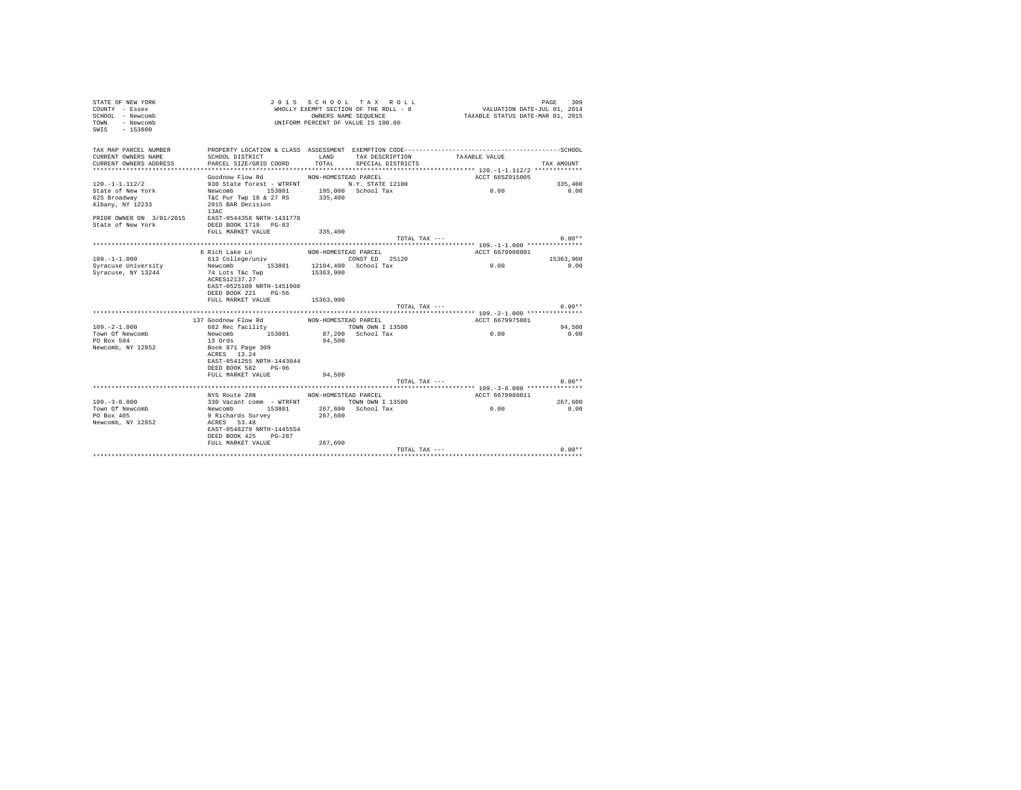| STATE OF NEW YORK<br>COUNTY - Essex<br>SCHOOL - Newcomb<br>- Newcomb<br>TOWN<br>$-153800$<br>SWIS |                           |                      | 2015 SCHOOL TAX ROLL<br>WHOLLY EXEMPT SECTION OF THE ROLL - 8<br>OWNERS NAME SEQUENCE<br>UNIFORM PERCENT OF VALUE IS 100.00 | VALUATION DATE-JUL 01, 2014<br>TAXABLE STATUS DATE-MAR 01, 2015 | 309<br>PAGE  |
|---------------------------------------------------------------------------------------------------|---------------------------|----------------------|-----------------------------------------------------------------------------------------------------------------------------|-----------------------------------------------------------------|--------------|
| TAX MAP PARCEL NUMBER                                                                             |                           |                      |                                                                                                                             |                                                                 |              |
| CURRENT OWNERS NAME                                                                               | SCHOOL DISTRICT           | LAND                 | TAX DESCRIPTION                                                                                                             | TAXABLE VALUE                                                   |              |
| CURRENT OWNERS ADDRESS                                                                            | PARCEL SIZE/GRID COORD    | TOTAL.               | SPECIAL DISTRICTS                                                                                                           |                                                                 | TAX AMOUNT   |
|                                                                                                   |                           |                      |                                                                                                                             |                                                                 |              |
|                                                                                                   | Goodnow Flow Rd           | NON-HOMESTEAD PARCEL |                                                                                                                             | ACCT 665Z015005                                                 |              |
| $120. -1 - 1.112/2$                                                                               | 930 State forest - WTRFNT |                      | N.Y. STATE 12100                                                                                                            |                                                                 | 335,400      |
| State of New York                                                                                 | Newcomb 153801            |                      | 195,000 School Tax                                                                                                          | 0.00                                                            | 0.00         |
| 625 Broadway                                                                                      | T&C Pur Twp 18 & 27 RS    | 335,400              |                                                                                                                             |                                                                 |              |
| Albany, NY 12233                                                                                  | 2015 BAR Decision<br>13AC |                      |                                                                                                                             |                                                                 |              |
| PRIOR OWNER ON 3/01/2015                                                                          | EAST-0544358 NRTH-1431778 |                      |                                                                                                                             |                                                                 |              |
| State of New York                                                                                 | DEED BOOK 1719 PG-83      |                      |                                                                                                                             |                                                                 |              |
|                                                                                                   | FULL MARKET VALUE         | 335,400              |                                                                                                                             |                                                                 |              |
|                                                                                                   |                           |                      | TOTAL TAX ---                                                                                                               |                                                                 | $0.00**$     |
|                                                                                                   |                           |                      |                                                                                                                             |                                                                 |              |
|                                                                                                   | 6 Rich Lake Ln            | NON-HOMESTEAD PARCEL |                                                                                                                             | ACCT 6679908801                                                 |              |
| $109. - 1 - 1.000$                                                                                | 613 College/univ          |                      | CONST ED 25120                                                                                                              |                                                                 | 15363.900    |
| Syracuse University                                                                               | Newcomb 153801            |                      | 12104,400 School Tax                                                                                                        | 0.00                                                            | 0.00         |
| Syracuse, NY 13244                                                                                | 74 Lots T&c Twp           | 15363,900            |                                                                                                                             |                                                                 |              |
|                                                                                                   | ACRES12137.27             |                      |                                                                                                                             |                                                                 |              |
|                                                                                                   | EAST-0525100 NRTH-1451960 |                      |                                                                                                                             |                                                                 |              |
|                                                                                                   | DEED BOOK 221 PG-56       |                      |                                                                                                                             |                                                                 |              |
|                                                                                                   | FULL MARKET VALUE         | 15363,900            |                                                                                                                             |                                                                 | $0.00**$     |
|                                                                                                   |                           |                      | TOTAL TAX ---                                                                                                               |                                                                 |              |
|                                                                                                   | 137 Goodnow Flow Rd       | NON-HOMESTEAD PARCEL |                                                                                                                             | ACCT 6679975001                                                 |              |
| $109 - 2 - 1.000$                                                                                 | 682 Rec facility          |                      | TOWN OWN I 13500                                                                                                            |                                                                 | 94,500       |
| Town Of Newcomb                                                                                   | Newcomb 153801            |                      | 87.200 School Tax                                                                                                           | 0.00                                                            | 0.00         |
| PO Box 504                                                                                        | 13 Ords                   | 94,500               |                                                                                                                             |                                                                 |              |
| Newcomb, NY 12852                                                                                 | Book 871 Page 309         |                      |                                                                                                                             |                                                                 |              |
|                                                                                                   | ACRES 13.24               |                      |                                                                                                                             |                                                                 |              |
|                                                                                                   | EAST-0541255 NRTH-1443044 |                      |                                                                                                                             |                                                                 |              |
|                                                                                                   | DEED BOOK 582 PG-96       |                      |                                                                                                                             |                                                                 |              |
|                                                                                                   | FULL MARKET VALUE         | 94,500               |                                                                                                                             |                                                                 |              |
|                                                                                                   |                           |                      | TOTAL TAX ---                                                                                                               |                                                                 | $0.00**$     |
|                                                                                                   |                           |                      |                                                                                                                             | ********** 109. -3-8.000 **************                         |              |
|                                                                                                   | NYS Route 28N             | NON-HOMESTEAD PARCEL |                                                                                                                             | ACCT 6679980011                                                 |              |
| $109 - 3 - 8.000$                                                                                 | 330 Vacant comm - WTRFNT  |                      | TOWN OWN I 13500                                                                                                            |                                                                 | 267,600      |
| Town Of Newcomb                                                                                   | Newcomb<br>153801         |                      | 267,600 School Tax                                                                                                          | 0.00                                                            | 0.00         |
| PO Box 405                                                                                        | 9 Richards Survey         | 267,600              |                                                                                                                             |                                                                 |              |
| Newcomb, NY 12852                                                                                 | ACRES 53.48               |                      |                                                                                                                             |                                                                 |              |
|                                                                                                   | EAST-0548279 NRTH-1445554 |                      |                                                                                                                             |                                                                 |              |
|                                                                                                   | DEED BOOK 425 PG-287      |                      |                                                                                                                             |                                                                 |              |
|                                                                                                   | FULL MARKET VALUE         | 267.600              |                                                                                                                             |                                                                 |              |
|                                                                                                   |                           |                      | $TOTAI. TAX - - -$                                                                                                          |                                                                 | $0.00**$<br> |
|                                                                                                   |                           |                      |                                                                                                                             |                                                                 |              |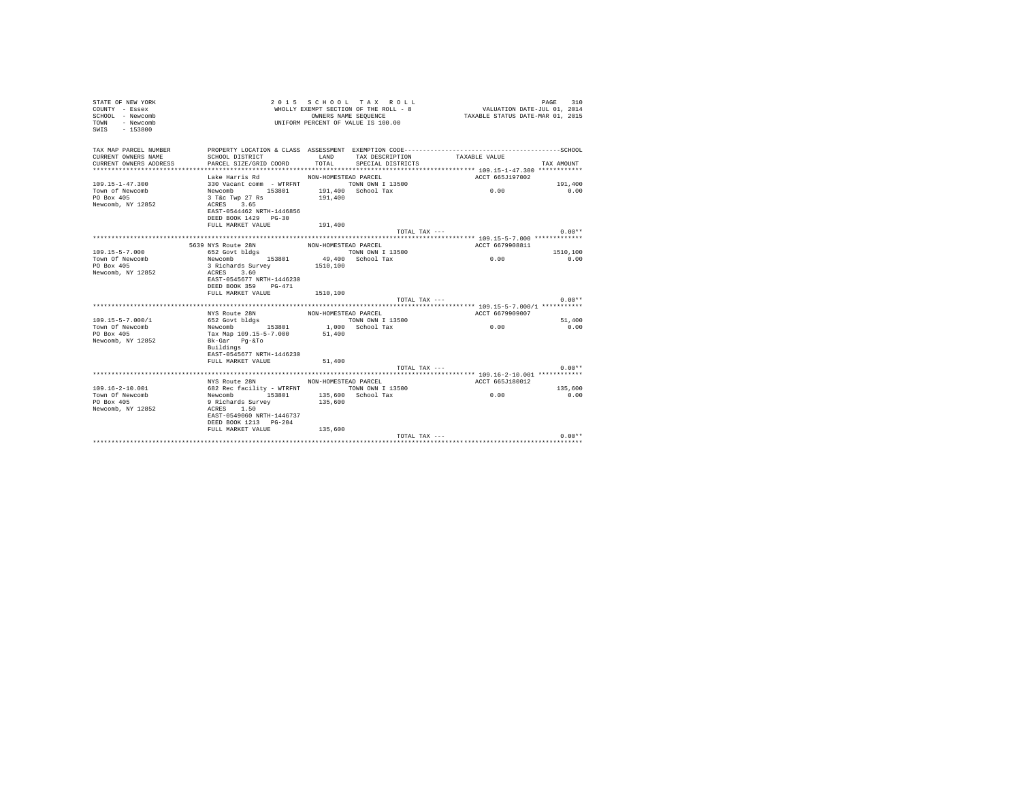| STATE OF NEW YORK<br>COUNTY - Essex<br>SCHOOL - Newcomb<br>- Newcomb<br><b>TOWN</b><br>SWIS<br>$-153800$ |                                                                                      |                      | 2015 SCHOOL TAX ROLL<br>WHOLLY EXEMPT SECTION OF THE ROLL - 8<br>OWNERS NAME SEQUENCE<br>UNIFORM PERCENT OF VALUE IS 100.00 | VALUATION DATE-JUL 01, 2014<br>TAXABLE STATUS DATE-MAR 01, 2015 | PAGE<br>310 |
|----------------------------------------------------------------------------------------------------------|--------------------------------------------------------------------------------------|----------------------|-----------------------------------------------------------------------------------------------------------------------------|-----------------------------------------------------------------|-------------|
| TAX MAP PARCEL NUMBER                                                                                    |                                                                                      |                      |                                                                                                                             |                                                                 |             |
| CURRENT OWNERS NAME                                                                                      | SCHOOL DISTRICT                                                                      | LAND                 | TAX DESCRIPTION                                                                                                             | TAXABLE VALUE                                                   |             |
| CURRENT OWNERS ADDRESS                                                                                   | PARCEL SIZE/GRID COORD                                                               | TOTAL                | SPECIAL DISTRICTS                                                                                                           |                                                                 | TAX AMOUNT  |
|                                                                                                          |                                                                                      |                      |                                                                                                                             |                                                                 |             |
|                                                                                                          | Lake Harris Rd                                                                       | NON-HOMESTEAD PARCEL |                                                                                                                             | ACCT 665J197002                                                 |             |
| $109.15 - 1 - 47.300$                                                                                    | 330 Vacant comm - WTRFNT TOWN OWN I 13500                                            |                      |                                                                                                                             |                                                                 | 191,400     |
| Town of Newcomb<br>PO Box 405                                                                            | Newcomb 153801<br>3 T&c Twp 27 Rs                                                    | 191,400              | 191,400 School Tax                                                                                                          | 0.00                                                            | 0.00        |
| Newcomb, NY 12852                                                                                        | ACRES 3.65                                                                           |                      |                                                                                                                             |                                                                 |             |
|                                                                                                          | EAST-0544462 NRTH-1446856                                                            |                      |                                                                                                                             |                                                                 |             |
|                                                                                                          | DEED BOOK 1429 PG-30                                                                 |                      |                                                                                                                             |                                                                 |             |
|                                                                                                          | FULL MARKET VALUE                                                                    | 191,400              |                                                                                                                             |                                                                 |             |
|                                                                                                          |                                                                                      |                      | TOTAL TAX ---                                                                                                               |                                                                 | $0.00**$    |
|                                                                                                          |                                                                                      |                      |                                                                                                                             |                                                                 |             |
|                                                                                                          | 5639 NYS Route 28N                                                                   | NON-HOMESTEAD PARCEL |                                                                                                                             | ACCT 6679908811                                                 |             |
| $109.15 - 5 - 7.000$                                                                                     | 652 Govt bldgs                                                                       |                      | TOWN OWN I 13500                                                                                                            |                                                                 | 1510,100    |
| Town Of Newcomb                                                                                          | Newcomb 153801                                                                       |                      | 49,400 School Tax                                                                                                           | 0.00                                                            | 0.00        |
| PO Box 405<br>Newcomb, NY 12852                                                                          | 3 Richards Survey<br>ACRES 3.60<br>EAST-0545677 NRTH-1446230<br>DEED BOOK 359 PG-471 | 1510,100             |                                                                                                                             |                                                                 |             |
|                                                                                                          | FULL MARKET VALUE                                                                    | 1510,100             |                                                                                                                             |                                                                 |             |
|                                                                                                          |                                                                                      |                      | TOTAL TAX ---                                                                                                               |                                                                 | $0.00**$    |
|                                                                                                          |                                                                                      |                      |                                                                                                                             |                                                                 |             |
|                                                                                                          | NYS Route 28N                                                                        | NON-HOMESTEAD PARCEL |                                                                                                                             | ACCT 6679909007                                                 |             |
| $109.15 - 5 - 7.000 / 1$                                                                                 | 652 Govt bldgs                                                                       |                      | TOWN OWN I 13500                                                                                                            | 0.00                                                            | 51,400      |
| Town Of Newcomb                                                                                          | Newcomb 153801                                                                       |                      | 1,000 School Tax                                                                                                            |                                                                 | 0.00        |
| PO Box 405<br>Newcomb, NY 12852                                                                          | Tax Map 109.15-5-7.000<br>Bk-Gar Pq-&To                                              | 51,400               |                                                                                                                             |                                                                 |             |
|                                                                                                          | Buildings                                                                            |                      |                                                                                                                             |                                                                 |             |
|                                                                                                          | EAST-0545677 NRTH-1446230                                                            |                      |                                                                                                                             |                                                                 |             |
|                                                                                                          | FULL MARKET VALUE                                                                    | 51,400               |                                                                                                                             |                                                                 |             |
|                                                                                                          |                                                                                      |                      | TOTAL TAX ---                                                                                                               |                                                                 | $0.00**$    |
|                                                                                                          |                                                                                      |                      |                                                                                                                             |                                                                 |             |
|                                                                                                          | NYS Route 28N NON-HOMESTEAD PARCEL                                                   |                      |                                                                                                                             | ACCT 665J180012                                                 |             |
| $109.16 - 2 - 10.001$                                                                                    | 682 Rec facility - WTRFNT TOWN OWN I 13500                                           |                      |                                                                                                                             |                                                                 | 135,600     |
| Town Of Newcomb                                                                                          | Newcomb 153801                                                                       |                      | 135,600 School Tax                                                                                                          | 0.00                                                            | 0.00        |
| PO Box 405                                                                                               | 9 Richards Survey                                                                    | 135,600              |                                                                                                                             |                                                                 |             |
| Newcomb, NY 12852                                                                                        | ACRES 1.50<br>EAST-0549060 NRTH-1446737                                              |                      |                                                                                                                             |                                                                 |             |
|                                                                                                          | DEED BOOK 1213 PG-204                                                                |                      |                                                                                                                             |                                                                 |             |
|                                                                                                          | FULL MARKET VALUE                                                                    | 135,600              |                                                                                                                             |                                                                 |             |
|                                                                                                          |                                                                                      |                      | TOTAL TAX ---                                                                                                               |                                                                 | $0.00**$    |
|                                                                                                          |                                                                                      |                      |                                                                                                                             |                                                                 |             |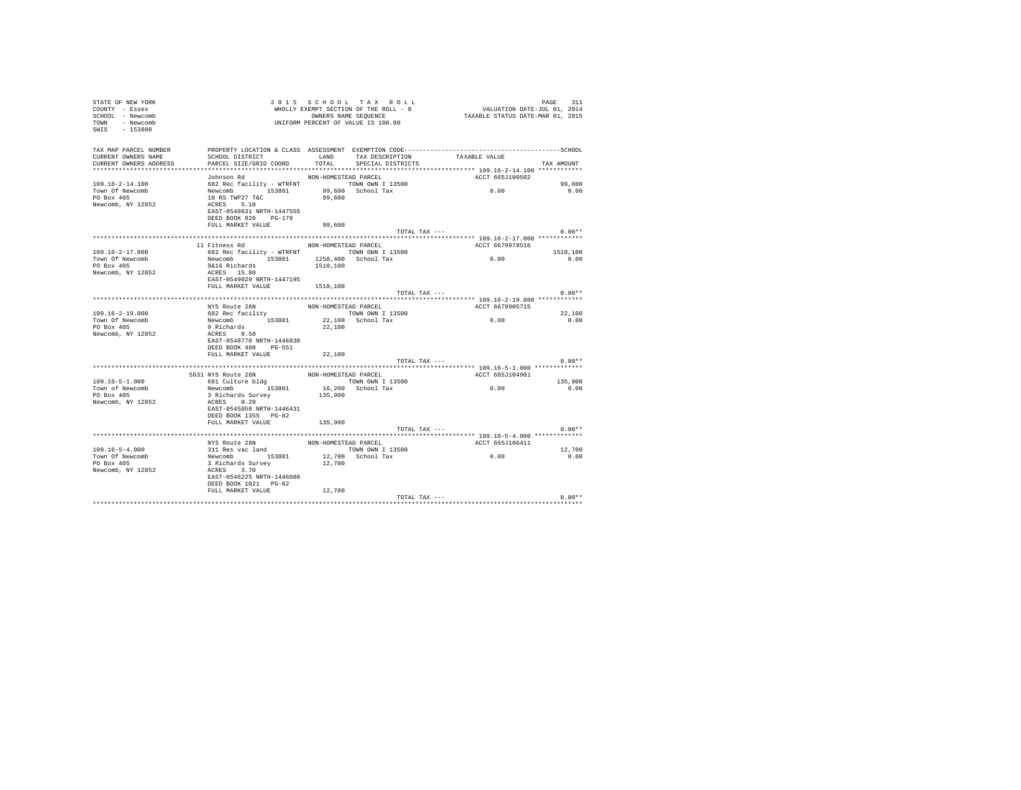| STATE OF NEW YORK<br>COUNTY - Essex<br>SCHOOL - Newcomb<br>TOWN - Newcomb<br>SWIS - 153800 |                                                                                                                                                                                        |                      | 2015 SCHOOL TAX ROLL<br>WHOLLY EXEMPT SECTION OF THE ROLL - 8<br>OWNERS NAME SEQUENCE<br>UNIFORM PERCENT OF VALUE IS 100.00 | PAGE 511<br>VALUATION DATE-JUL 01, 2014<br>TAXABLE STATUS DATE-MAR 01, 2015 | PAGE<br>311 |
|--------------------------------------------------------------------------------------------|----------------------------------------------------------------------------------------------------------------------------------------------------------------------------------------|----------------------|-----------------------------------------------------------------------------------------------------------------------------|-----------------------------------------------------------------------------|-------------|
| TAX MAP PARCEL NUMBER<br>CURRENT OWNERS NAME<br>CURRENT OWNERS ADDRESS                     | SCHOOL DISTRICT $\begin{array}{ccc}\n\text{LAND} & \text{TAX DESCRIPTION} \\ \text{DADPT} & \text{CTP} & \text{COPD} \\ \end{array}$<br>PARCEL SIZE/GRID COORD TOTAL SPECIAL DISTRICTS |                      |                                                                                                                             |                                                                             | TAX AMOUNT  |
|                                                                                            | Johnson Rd                                                                                                                                                                             | NON-HOMESTEAD PARCEL |                                                                                                                             | ACCT 665J100502                                                             |             |
| $109.16 - 2 - 14.100$                                                                      | 99,600 NORTH TOWN OWN T 13500<br>Newcomb 153801 99,600 School Tax<br>10 RS TWP27 T&C 99,600 School Tax<br>10 RS TWP27 T&C 99,600                                                       |                      |                                                                                                                             |                                                                             | 99,600      |
| Town Of Newcomb                                                                            |                                                                                                                                                                                        |                      |                                                                                                                             | 0.00                                                                        | 0.00        |
| PO Box 405                                                                                 |                                                                                                                                                                                        |                      |                                                                                                                             |                                                                             |             |
| Newcomb, NY 12852                                                                          |                                                                                                                                                                                        |                      |                                                                                                                             |                                                                             |             |
|                                                                                            | EAST-0548631 NRTH-1447555<br>DEED BOOK 826 PG-179                                                                                                                                      |                      |                                                                                                                             |                                                                             |             |
|                                                                                            | FULL MARKET VALUE                                                                                                                                                                      | 99,600               |                                                                                                                             |                                                                             |             |
|                                                                                            |                                                                                                                                                                                        |                      | TOTAL TAX ---                                                                                                               |                                                                             | $0.00**$    |
|                                                                                            |                                                                                                                                                                                        |                      |                                                                                                                             |                                                                             |             |
|                                                                                            | 11 Fitness Rd MON-HOMESTEAD PARCEL                                                                                                                                                     |                      |                                                                                                                             | ACCT 6679978516                                                             |             |
| 109.16-2-17.000                                                                            | 682 Rec facility - WTRFNT TOWN OWN I 13500                                                                                                                                             |                      |                                                                                                                             | 0.00                                                                        | 1510,100    |
| Town Of Newcomb                                                                            | Newcomb 153801 1258,400 School Tax                                                                                                                                                     |                      |                                                                                                                             |                                                                             | 0.00        |
| PO Box 405                                                                                 | 9&16 Richards                                                                                                                                                                          | 1510,100             |                                                                                                                             |                                                                             |             |
| Newcomb, NY 12852                                                                          | ACRES 15.80                                                                                                                                                                            |                      |                                                                                                                             |                                                                             |             |
|                                                                                            | EAST-0549029 NRTH-1447195                                                                                                                                                              |                      |                                                                                                                             |                                                                             |             |
|                                                                                            | FULL MARKET VALUE 1510,100                                                                                                                                                             |                      | TOTAL TAX ---                                                                                                               |                                                                             | $0.00**$    |
|                                                                                            |                                                                                                                                                                                        |                      |                                                                                                                             |                                                                             |             |
|                                                                                            | NYS Route 28N                                                                                                                                                                          |                      | NON-HOMESTEAD PARCEL                                                                                                        | ACCT 6679905715                                                             |             |
| $109.16 - 2 - 19.000$                                                                      | 682 Rec facility                                                                                                                                                                       |                      | TOWN OWN I 13500                                                                                                            |                                                                             | 22,100      |
| Town Of Newcomb                                                                            |                                                                                                                                                                                        |                      |                                                                                                                             | 0.00                                                                        | 0.00        |
| PO Box 405                                                                                 | Newcomb<br>Newcomb 153801 22,100 School Tax<br>9 Richards 22,100                                                                                                                       |                      |                                                                                                                             |                                                                             |             |
| Newcomb, NY 12852                                                                          | ACRES 0.50                                                                                                                                                                             |                      |                                                                                                                             |                                                                             |             |
|                                                                                            | EAST-0548770 NRTH-1446830                                                                                                                                                              |                      |                                                                                                                             |                                                                             |             |
|                                                                                            | DEED BOOK 480 PG-551                                                                                                                                                                   |                      |                                                                                                                             |                                                                             |             |
|                                                                                            | FULL MARKET VALUE                                                                                                                                                                      | 22,100               |                                                                                                                             |                                                                             |             |
|                                                                                            |                                                                                                                                                                                        |                      | TOTAL TAX ---                                                                                                               |                                                                             | $0.00**$    |
|                                                                                            |                                                                                                                                                                                        |                      |                                                                                                                             |                                                                             |             |
|                                                                                            | 5631 NYS Route 28N MON-HOMESTEAD PARCEL<br>681 Culture bldg (TOWN OWN I 13500                                                                                                          |                      |                                                                                                                             | ACCT 665J104901                                                             |             |
| $109.16 - 5 - 1.000$                                                                       |                                                                                                                                                                                        |                      |                                                                                                                             | 0.00                                                                        | 135,900     |
| Town of Newcomb                                                                            | Newcomb 153801 16,200 School Tax<br>3 Richards Survey 135,900                                                                                                                          |                      |                                                                                                                             |                                                                             | 0.00        |
| PO Box 405<br>Newcomb, NY 12852                                                            | ACRES 0.20                                                                                                                                                                             |                      |                                                                                                                             |                                                                             |             |
|                                                                                            | EAST-0545858 NRTH-1446431                                                                                                                                                              |                      |                                                                                                                             |                                                                             |             |
|                                                                                            | DEED BOOK 1355 PG-82                                                                                                                                                                   |                      |                                                                                                                             |                                                                             |             |
|                                                                                            | FULL MARKET VALUE 135,900                                                                                                                                                              |                      |                                                                                                                             |                                                                             |             |
|                                                                                            |                                                                                                                                                                                        |                      | TOTAL TAX ---                                                                                                               |                                                                             | $0.00**$    |
|                                                                                            |                                                                                                                                                                                        |                      |                                                                                                                             |                                                                             |             |
|                                                                                            | NYS Route 28N<br>311 Res vac land                                                                                                                                                      |                      | NON-HOMESTEAD PARCEL                                                                                                        | ACCT 665J106411                                                             |             |
| $109.16 - 5 - 4.000$                                                                       |                                                                                                                                                                                        |                      | TOWN OWN I 13500<br>12,700 School Tax                                                                                       | 0.00                                                                        | 12,700      |
| Town Of Newcomb                                                                            |                                                                                                                                                                                        |                      |                                                                                                                             |                                                                             | 0.00        |
| $PO$ Box $405$                                                                             |                                                                                                                                                                                        | 12,700               |                                                                                                                             |                                                                             |             |
| Newcomb, NY 12852                                                                          | Newcomb 153801<br>3 Richards Survey<br>ACRES 3.70                                                                                                                                      |                      |                                                                                                                             |                                                                             |             |
|                                                                                            | EAST-0546225 NRTH-1446088                                                                                                                                                              |                      |                                                                                                                             |                                                                             |             |
|                                                                                            | DEED BOOK 1021 PG-62                                                                                                                                                                   |                      |                                                                                                                             |                                                                             |             |
|                                                                                            | FULL MARKET VALUE                                                                                                                                                                      | 12,700               |                                                                                                                             |                                                                             |             |
|                                                                                            |                                                                                                                                                                                        |                      |                                                                                                                             | TOTAL TAX ---                                                               | $0.00**$    |
|                                                                                            |                                                                                                                                                                                        |                      |                                                                                                                             |                                                                             |             |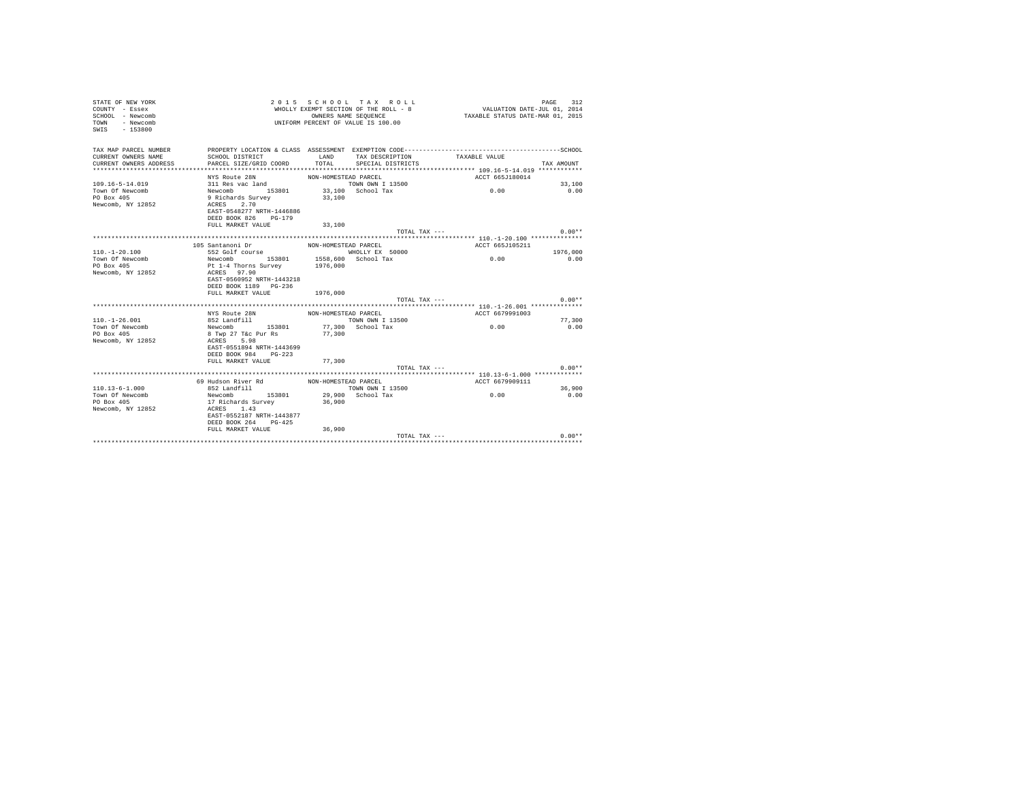| STATE OF NEW YORK<br>COUNTY - Essex<br>SCHOOL - Newcomb<br>- Newcomb<br>TOWN<br>$-153800$<br>SWIS |                                                        | OWNERS NAME SEQUENCE | 2015 SCHOOL TAX ROLL<br>WHOLLY EXEMPT SECTION OF THE ROLL - 8<br>UNIFORM PERCENT OF VALUE IS 100.00 | VALUATION DATE-JUL 01, 2014<br>TAXABLE STATUS DATE-MAR 01, 2015                                               | 312<br>PAGE |
|---------------------------------------------------------------------------------------------------|--------------------------------------------------------|----------------------|-----------------------------------------------------------------------------------------------------|---------------------------------------------------------------------------------------------------------------|-------------|
| TAX MAP PARCEL NUMBER<br>CURRENT OWNERS NAME<br>CURRENT OWNERS ADDRESS                            | SCHOOL DISTRICT<br>PARCEL SIZE/GRID COORD              | LAND<br>TOTAL        | TAX DESCRIPTION<br>SPECIAL DISTRICTS                                                                | PROPERTY LOCATION & CLASS ASSESSMENT EXEMPTION CODE-----------------------------------SCHOOL<br>TAXABLE VALUE | TAX AMOUNT  |
|                                                                                                   | NYS Route 28N                                          | NON-HOMESTEAD PARCEL |                                                                                                     | ACCT 665J180014                                                                                               |             |
| $109.16 - 5 - 14.019$                                                                             | 311 Res vac land                                       |                      | TOWN OWN I 13500                                                                                    |                                                                                                               | 33,100      |
| Town Of Newcomb                                                                                   | Newcomb 153801                                         |                      | 33,100 School Tax                                                                                   | 0.00                                                                                                          | 0.00        |
| PO Box 405                                                                                        | 9 Richards Survey                                      | 33,100               |                                                                                                     |                                                                                                               |             |
| Newcomb, NY 12852                                                                                 | 2.70<br>ACRES                                          |                      |                                                                                                     |                                                                                                               |             |
|                                                                                                   | EAST-0548277 NRTH-1446886                              |                      |                                                                                                     |                                                                                                               |             |
|                                                                                                   | DEED BOOK 826<br>$PG-179$                              |                      |                                                                                                     |                                                                                                               |             |
|                                                                                                   | FULL MARKET VALUE                                      | 33,100               |                                                                                                     |                                                                                                               |             |
|                                                                                                   |                                                        |                      | TOTAL TAX ---                                                                                       |                                                                                                               | $0.00**$    |
|                                                                                                   |                                                        |                      |                                                                                                     |                                                                                                               |             |
| $110. - 1 - 20.100$                                                                               | 105 Santanoni Dr<br>552 Golf course                    | NON-HOMESTEAD PARCEL | WHOLLY EX 50000                                                                                     | ACCT 665J105211                                                                                               | 1976,000    |
| Town Of Newcomb                                                                                   | Newcomb 153801                                         |                      | 1558,600 School Tax                                                                                 | 0.00                                                                                                          | 0.00        |
| PO Box 405                                                                                        | Pt 1-4 Thorns Survey                                   | 1976,000             |                                                                                                     |                                                                                                               |             |
| Newcomb, NY 12852                                                                                 | ACRES 97.90                                            |                      |                                                                                                     |                                                                                                               |             |
|                                                                                                   | EAST-0560952 NRTH-1443218                              |                      |                                                                                                     |                                                                                                               |             |
|                                                                                                   | DEED BOOK 1189 PG-236                                  |                      |                                                                                                     |                                                                                                               |             |
|                                                                                                   | FULL MARKET VALUE                                      | 1976,000             |                                                                                                     |                                                                                                               |             |
|                                                                                                   |                                                        |                      | TOTAL TAX $---$                                                                                     |                                                                                                               | $0.00**$    |
|                                                                                                   |                                                        |                      |                                                                                                     |                                                                                                               |             |
|                                                                                                   | NYS Route 28N                                          | NON-HOMESTEAD PARCEL |                                                                                                     | ACCT 6679991003                                                                                               |             |
| $110. - 1 - 26.001$                                                                               | 852 Landfill                                           |                      | TOWN OWN I 13500                                                                                    |                                                                                                               | 77,300      |
| Town Of Newcomb                                                                                   | 153801<br>Newcomb                                      |                      | 77,300 School Tax                                                                                   | 0.00                                                                                                          | 0.00        |
| PO Box 405                                                                                        | 8 Twp 27 T&c Pur Rs                                    | 77,300               |                                                                                                     |                                                                                                               |             |
| Newcomb, NY 12852                                                                                 | 5.98<br>ACRES                                          |                      |                                                                                                     |                                                                                                               |             |
|                                                                                                   | EAST-0551894 NRTH-1443699<br>DEED BOOK 984<br>$PG-223$ |                      |                                                                                                     |                                                                                                               |             |
|                                                                                                   | FULL MARKET VALUE                                      | 77,300               |                                                                                                     |                                                                                                               |             |
|                                                                                                   |                                                        |                      | TOTAL TAX $---$                                                                                     |                                                                                                               | $0.00**$    |
|                                                                                                   |                                                        |                      |                                                                                                     |                                                                                                               |             |
|                                                                                                   | 69 Hudson River Rd                                     | NON-HOMESTEAD PARCEL |                                                                                                     | ACCT 6679909111                                                                                               |             |
| $110.13 - 6 - 1.000$                                                                              | 852 Landfill                                           |                      | TOWN OWN I 13500                                                                                    |                                                                                                               | 36,900      |
| Town Of Newcomb                                                                                   | Newcomb 153801                                         |                      | 29,900 School Tax                                                                                   | 0.00                                                                                                          | 0.00        |
| PO Box 405                                                                                        | 17 Richards Survey                                     | 36,900               |                                                                                                     |                                                                                                               |             |
| Newcomb, NY 12852                                                                                 | ACRES 1.43                                             |                      |                                                                                                     |                                                                                                               |             |
|                                                                                                   | EAST-0552187 NRTH-1443877                              |                      |                                                                                                     |                                                                                                               |             |
|                                                                                                   | DEED BOOK 264 PG-425                                   |                      |                                                                                                     |                                                                                                               |             |
|                                                                                                   | FULL MARKET VALUE                                      | 36,900               |                                                                                                     |                                                                                                               |             |
|                                                                                                   |                                                        |                      | TOTAL TAX ---                                                                                       |                                                                                                               | $0.00**$    |
|                                                                                                   |                                                        |                      |                                                                                                     |                                                                                                               |             |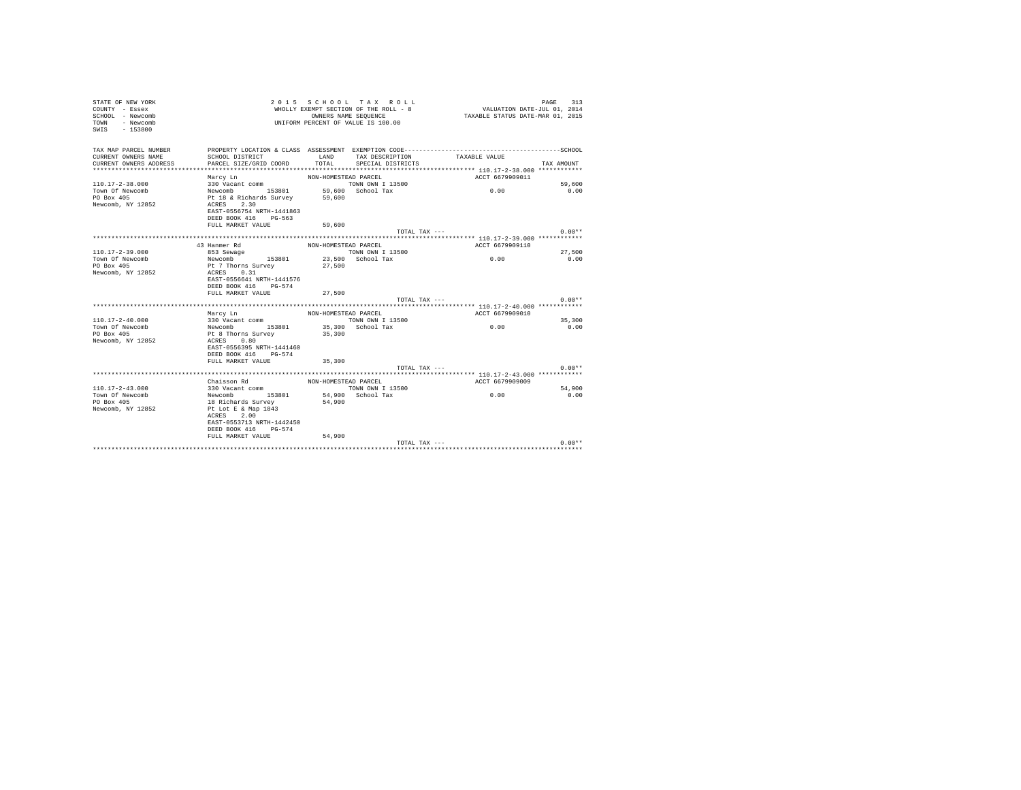| STATE OF NEW YORK<br>COUNTY - Essex<br>SCHOOL - Newcomb<br>- Newcomb<br>TOWN<br>$SWTS = 153800$ |                                                         |                      | 2015 SCHOOL TAX ROLL<br>WHOLLY EXEMPT SECTION OF THE ROLL - 8<br>OWNERS NAME SEQUENCE<br>UNIFORM PERCENT OF VALUE IS 100.00 | VALUATION DATE-JUL 01, 2014<br>TAXABLE STATUS DATE-MAR 01, 2015 | 313<br>PAGE |
|-------------------------------------------------------------------------------------------------|---------------------------------------------------------|----------------------|-----------------------------------------------------------------------------------------------------------------------------|-----------------------------------------------------------------|-------------|
| TAX MAP PARCEL NUMBER                                                                           |                                                         |                      |                                                                                                                             |                                                                 |             |
| CURRENT OWNERS NAME                                                                             | SCHOOL DISTRICT                                         | LAND                 | TAX DESCRIPTION                                                                                                             | TAXABLE VALUE                                                   |             |
| CURRENT OWNERS ADDRESS                                                                          | PARCEL SIZE/GRID COORD                                  | TOTAL                | SPECIAL DISTRICTS                                                                                                           |                                                                 | TAX AMOUNT  |
| ************************                                                                        |                                                         |                      |                                                                                                                             |                                                                 |             |
|                                                                                                 | Marcy Ln                                                | NON-HOMESTEAD PARCEL |                                                                                                                             | ACCT 6679909011                                                 |             |
| $110.17 - 2 - 38.000$                                                                           | 330 Vacant comm                                         |                      | TOWN OWN I 13500                                                                                                            |                                                                 | 59,600      |
| Town Of Newcomb                                                                                 | Newcomb 153801 59,600<br>Pt 18 & Richards Survey 59,600 |                      | 59,600 School Tax                                                                                                           | 0.00                                                            | 0.00        |
| PO Box 405<br>Newcomb, NY 12852                                                                 | ACRES 2.30                                              |                      |                                                                                                                             |                                                                 |             |
|                                                                                                 | EAST-0556754 NRTH-1441863                               |                      |                                                                                                                             |                                                                 |             |
|                                                                                                 | DEED BOOK 416 PG-563                                    |                      |                                                                                                                             |                                                                 |             |
|                                                                                                 | FULL MARKET VALUE                                       | 59,600               |                                                                                                                             |                                                                 |             |
|                                                                                                 |                                                         |                      | TOTAL TAX ---                                                                                                               |                                                                 | $0.00**$    |
|                                                                                                 |                                                         |                      |                                                                                                                             |                                                                 |             |
|                                                                                                 | 43 Hanmer Rd                                            | NON-HOMESTEAD PARCEL |                                                                                                                             | ACCT 6679909110                                                 |             |
| $110.17 - 2 - 39.000$                                                                           | 853 Sewage                                              |                      | TOWN OWN I 13500                                                                                                            |                                                                 | 27,500      |
| Town Of Newcomb                                                                                 | Newcomb 153801                                          |                      | 23,500 School Tax                                                                                                           | 0.00                                                            | 0.00        |
| PO Box 405                                                                                      | Pt 7 Thorns Survey                                      | 27,500               |                                                                                                                             |                                                                 |             |
| Newcomb, NY 12852                                                                               | ACRES 0.31                                              |                      |                                                                                                                             |                                                                 |             |
|                                                                                                 | EAST-0556641 NRTH-1441576                               |                      |                                                                                                                             |                                                                 |             |
|                                                                                                 | DEED BOOK 416 PG-574                                    |                      |                                                                                                                             |                                                                 |             |
|                                                                                                 | FULL MARKET VALUE                                       | 27,500               |                                                                                                                             |                                                                 |             |
|                                                                                                 |                                                         |                      | TOTAL TAX ---                                                                                                               |                                                                 | $0.00**$    |
|                                                                                                 |                                                         |                      |                                                                                                                             | ********************* 110.17-2-40.000 ************              |             |
|                                                                                                 | Marcy Ln                                                | NON-HOMESTEAD PARCEL |                                                                                                                             | ACCT 6679909010                                                 |             |
| $110.17 - 2 - 40.000$                                                                           | 330 Vacant comm                                         |                      | TOWN OWN I 13500                                                                                                            |                                                                 | 35,300      |
| Town Of Newcomb                                                                                 | Newcomb 153801                                          |                      | 35,300 School Tax                                                                                                           | 0.00                                                            | 0.00        |
| PO Box 405<br>Newcomb, NY 12852                                                                 | Pt 8 Thorns Survey<br>ACRES 0.80                        | 35,300               |                                                                                                                             |                                                                 |             |
|                                                                                                 | EAST-0556395 NRTH-1441460                               |                      |                                                                                                                             |                                                                 |             |
|                                                                                                 | DEED BOOK 416 PG-574                                    |                      |                                                                                                                             |                                                                 |             |
|                                                                                                 | FULL MARKET VALUE                                       | 35,300               |                                                                                                                             |                                                                 |             |
|                                                                                                 |                                                         |                      | TOTAL TAX ---                                                                                                               |                                                                 | $0.00**$    |
|                                                                                                 |                                                         |                      |                                                                                                                             |                                                                 |             |
|                                                                                                 | Chaisson Rd                                             | NON-HOMESTEAD PARCEL |                                                                                                                             | ACCT 6679909009                                                 |             |
| $110.17 - 2 - 43.000$                                                                           | 330 Vacant comm                                         |                      | TOWN OWN I 13500                                                                                                            |                                                                 | 54,900      |
| Town Of Newcomb                                                                                 | Newcomb 153801                                          |                      | 54.900 School Tax                                                                                                           | 0.00                                                            | 0.00        |
| PO Box 405                                                                                      | 18 Richards Survey                                      | 54,900               |                                                                                                                             |                                                                 |             |
| Newcomb, NY 12852                                                                               | Pt Lot E & Map 1843                                     |                      |                                                                                                                             |                                                                 |             |
|                                                                                                 | ACRES 2.00                                              |                      |                                                                                                                             |                                                                 |             |
|                                                                                                 | EAST-0553713 NRTH-1442450                               |                      |                                                                                                                             |                                                                 |             |
|                                                                                                 | DEED BOOK 416 PG-574                                    |                      |                                                                                                                             |                                                                 |             |
|                                                                                                 | FULL MARKET VALUE                                       | 54,900               |                                                                                                                             |                                                                 |             |
|                                                                                                 |                                                         |                      | TOTAL TAX ---                                                                                                               |                                                                 | $0.00**$    |
|                                                                                                 |                                                         |                      |                                                                                                                             |                                                                 |             |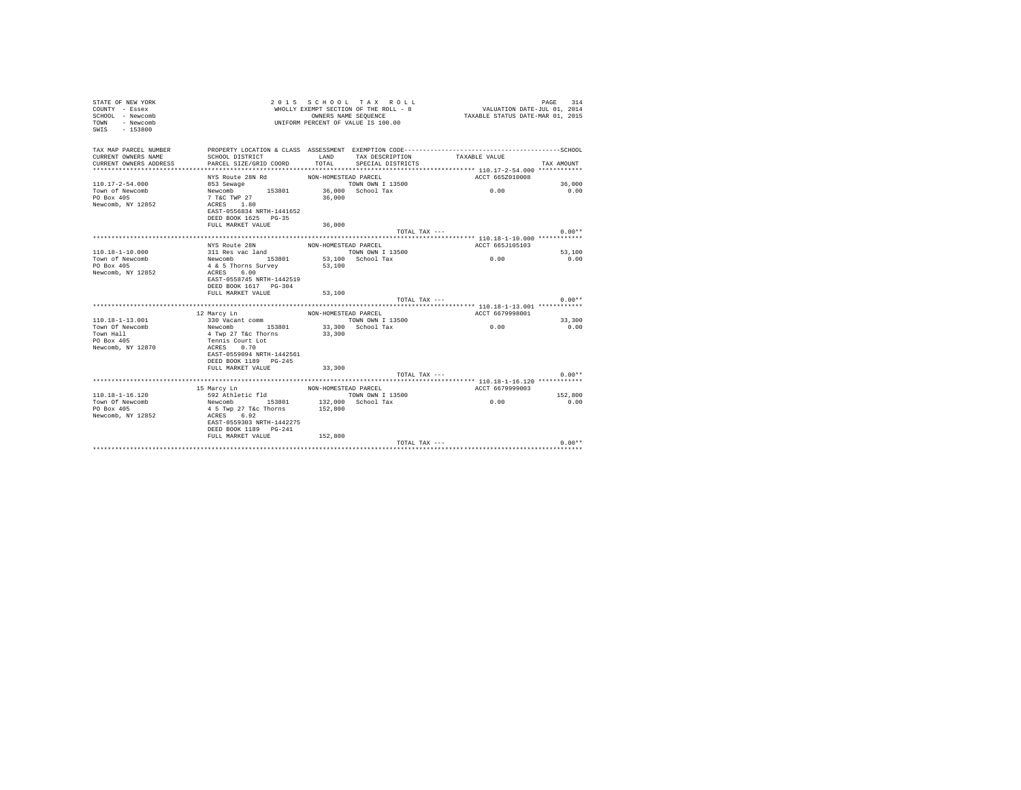| STATE OF NEW YORK<br>COUNTY - Essex<br>SCHOOL - Newcomb<br>- Newcomb<br>TOWN<br>SWTS<br>$-153800$ |                                         |                      | 2015 SCHOOL TAX ROLL<br>WHOLLY EXEMPT SECTION OF THE ROLL - 8<br>OWNERS NAME SEQUENCE<br>UNIFORM PERCENT OF VALUE IS 100.00 | VALUATION DATE-JUL 01, 2014<br>TAXABLE STATUS DATE-MAR 01, 2015 | 314<br>PAGE    |
|---------------------------------------------------------------------------------------------------|-----------------------------------------|----------------------|-----------------------------------------------------------------------------------------------------------------------------|-----------------------------------------------------------------|----------------|
| TAX MAP PARCEL NUMBER                                                                             |                                         |                      |                                                                                                                             |                                                                 |                |
| CURRENT OWNERS NAME                                                                               | SCHOOL DISTRICT                         | LAND                 | TAX DESCRIPTION                                                                                                             | TAXABLE VALUE                                                   |                |
| CURRENT OWNERS ADDRESS<br>************************                                                | PARCEL SIZE/GRID COORD                  | TOTAL                | SPECIAL DISTRICTS                                                                                                           |                                                                 | TAX AMOUNT     |
|                                                                                                   |                                         | NON-HOMESTEAD PARCEL |                                                                                                                             | ACCT 665Z010008                                                 |                |
| $110.17 - 2 - 54.000$                                                                             | NYS Route 28N Rd<br>853 Sewage          |                      | TOWN OWN I 13500                                                                                                            |                                                                 | 36,000         |
| Town of Newcomb                                                                                   | Newcomb 153801                          |                      | 36,000 School Tax                                                                                                           | 0.00                                                            | 0.00           |
| PO Box 405                                                                                        | 7 T&C TWP 27                            | 36,000               |                                                                                                                             |                                                                 |                |
| Newcomb, NY 12852                                                                                 | ACRES 1.80                              |                      |                                                                                                                             |                                                                 |                |
|                                                                                                   | EAST-0556834 NRTH-1441652               |                      |                                                                                                                             |                                                                 |                |
|                                                                                                   | DEED BOOK 1625 PG-35                    |                      |                                                                                                                             |                                                                 |                |
|                                                                                                   | FULL MARKET VALUE                       | 36,000               |                                                                                                                             |                                                                 |                |
|                                                                                                   |                                         |                      |                                                                                                                             | TOTAL TAX ---                                                   | $0.00**$       |
|                                                                                                   |                                         |                      |                                                                                                                             |                                                                 |                |
|                                                                                                   | NYS Route 28N                           | NON-HOMESTEAD PARCEL |                                                                                                                             | ACCT 665J105103                                                 |                |
| $110.18 - 1 - 10.000$<br>Town of Newcomb                                                          | 311 Res vac land                        |                      | TOWN OWN I 13500<br>53,100 School Tax                                                                                       | 0.00                                                            | 53,100<br>0.00 |
| PO Box 405                                                                                        | Newcomb 153801<br>4 & 5 Thorns Survey   | 53,100               |                                                                                                                             |                                                                 |                |
| Newcomb, NY 12852                                                                                 | ACRES 6.00                              |                      |                                                                                                                             |                                                                 |                |
|                                                                                                   | EAST-0558745 NRTH-1442519               |                      |                                                                                                                             |                                                                 |                |
|                                                                                                   | DEED BOOK 1617 PG-304                   |                      |                                                                                                                             |                                                                 |                |
|                                                                                                   | FULL MARKET VALUE                       | 53,100               |                                                                                                                             |                                                                 |                |
|                                                                                                   |                                         |                      |                                                                                                                             | TOTAL TAX ---                                                   | $0.00**$       |
|                                                                                                   |                                         |                      |                                                                                                                             | ******************** 110.18-1-13.001 ***********                |                |
|                                                                                                   | 12 Marcy Ln                             | NON-HOMESTEAD PARCEL |                                                                                                                             | ACCT 6679998001                                                 |                |
| $110.18 - 1 - 13.001$                                                                             | 330 Vacant comm<br>Newcomb 153801       |                      | TOWN OWN I 13500<br>33,300 School Tax                                                                                       |                                                                 | 33,300         |
| Town Of Newcomb<br>Town Hall                                                                      | 4 Twp 27 T&c Thorns                     | 33,300               |                                                                                                                             | 0.00                                                            | 0.00           |
| PO Box 405                                                                                        | Tennis Court Lot                        |                      |                                                                                                                             |                                                                 |                |
| Newcomb, NY 12870                                                                                 | ACRES 0.70                              |                      |                                                                                                                             |                                                                 |                |
|                                                                                                   | EAST-0559094 NRTH-1442561               |                      |                                                                                                                             |                                                                 |                |
|                                                                                                   | DEED BOOK 1189 PG-245                   |                      |                                                                                                                             |                                                                 |                |
|                                                                                                   | FULL MARKET VALUE                       | 33,300               |                                                                                                                             |                                                                 |                |
|                                                                                                   |                                         |                      |                                                                                                                             | TOTAL TAX ---                                                   | $0.00**$       |
|                                                                                                   |                                         |                      |                                                                                                                             |                                                                 |                |
|                                                                                                   | 15 Marcy Ln                             | NON-HOMESTEAD PARCEL |                                                                                                                             | ACCT 6679999003                                                 |                |
| $110.18 - 1 - 16.120$                                                                             | 592 Athletic fld                        |                      | TOWN OWN I 13500                                                                                                            |                                                                 | 152,800        |
| Town Of Newcomb<br>PO Box 405                                                                     | Newcomb 153801<br>4 5 Twp 27 T&c Thorns | 152,800              | $132,000$ School Tax                                                                                                        | 0.00                                                            | 0.00           |
| Newcomb, NY 12852                                                                                 | ACRES 6.92                              |                      |                                                                                                                             |                                                                 |                |
|                                                                                                   | EAST-0559303 NRTH-1442275               |                      |                                                                                                                             |                                                                 |                |
|                                                                                                   | DEED BOOK 1189 PG-241                   |                      |                                                                                                                             |                                                                 |                |
|                                                                                                   | FULL MARKET VALUE                       | 152,800              |                                                                                                                             |                                                                 |                |
|                                                                                                   |                                         |                      |                                                                                                                             | TOTAL TAX ---                                                   | $0.00**$       |
|                                                                                                   |                                         |                      |                                                                                                                             |                                                                 |                |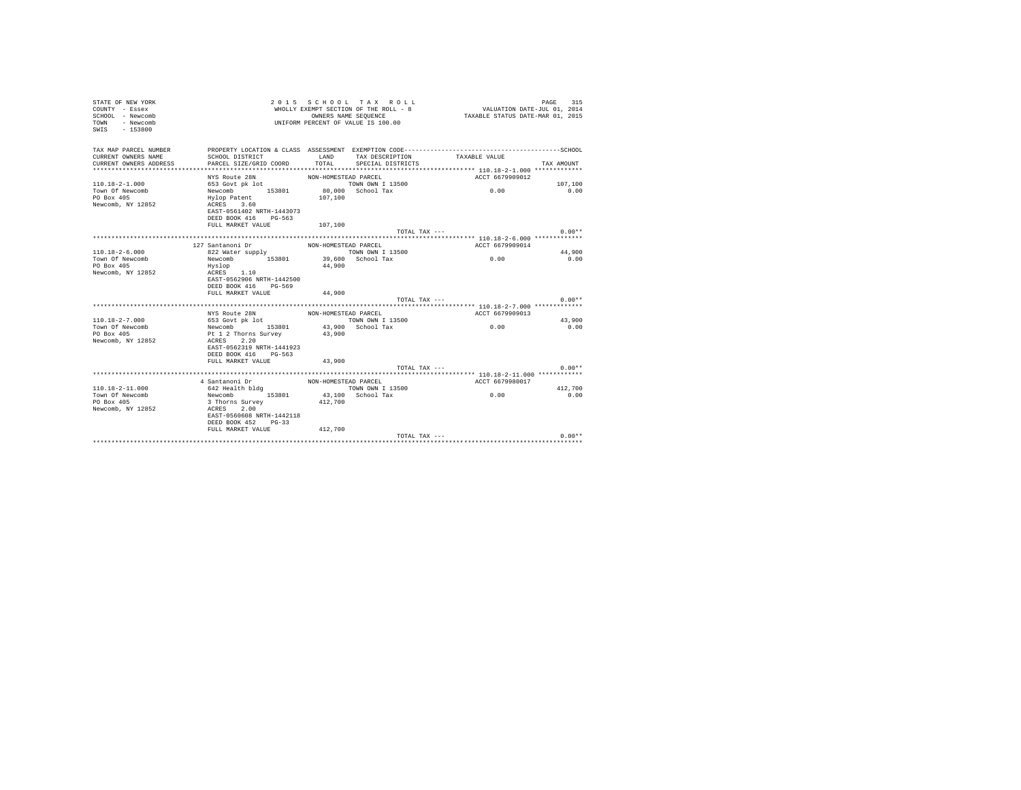| STATE OF NEW YORK<br>COUNTY - Essex<br>SCHOOL - Newcomb<br>- Newcomb<br>TOWN<br>$-153800$<br>SWIS |                           | OWNERS NAME SEQUENCE | 2015 SCHOOL TAX ROLL<br>WHOLLY EXEMPT SECTION OF THE ROLL - 8<br>UNIFORM PERCENT OF VALUE IS 100.00 | VALUATION DATE-JUL 01, 2014<br>TAXABLE STATUS DATE-MAR 01, 2015 | 315<br>PAGE |
|---------------------------------------------------------------------------------------------------|---------------------------|----------------------|-----------------------------------------------------------------------------------------------------|-----------------------------------------------------------------|-------------|
| TAX MAP PARCEL NUMBER<br>CURRENT OWNERS NAME                                                      | SCHOOL DISTRICT           | LAND                 | TAX DESCRIPTION                                                                                     | TAXABLE VALUE                                                   |             |
| CURRENT OWNERS ADDRESS                                                                            | PARCEL SIZE/GRID COORD    | TOTAL                | SPECIAL DISTRICTS                                                                                   |                                                                 | TAX AMOUNT  |
|                                                                                                   |                           |                      |                                                                                                     |                                                                 |             |
|                                                                                                   | NYS Route 28N             | NON-HOMESTEAD PARCEL |                                                                                                     | ACCT 6679909012                                                 |             |
| $110.18 - 2 - 1.000$                                                                              | 653 Govt pk lot           |                      | TOWN OWN I 13500                                                                                    |                                                                 | 107,100     |
| Town Of Newcomb                                                                                   | 153801<br>Newcomb         |                      | 80,000 School Tax                                                                                   | 0.00                                                            | 0.00        |
| PO Box 405                                                                                        | Hylop Patent              | 107,100              |                                                                                                     |                                                                 |             |
| Newcomb, NY 12852                                                                                 | ACRES 3.60                |                      |                                                                                                     |                                                                 |             |
|                                                                                                   | EAST-0561402 NRTH-1443073 |                      |                                                                                                     |                                                                 |             |
|                                                                                                   | DEED BOOK 416<br>PG-563   |                      |                                                                                                     |                                                                 |             |
|                                                                                                   | FULL MARKET VALUE         | 107,100              |                                                                                                     |                                                                 | $0.00**$    |
|                                                                                                   |                           |                      | TOTAL TAX ---                                                                                       |                                                                 |             |
|                                                                                                   | 127 Santanoni Dr          | NON-HOMESTEAD PARCEL |                                                                                                     | ACCT 6679909014                                                 |             |
| $110.18 - 2 - 6.000$                                                                              | 822 Water supply          |                      | TOWN OWN I 13500                                                                                    |                                                                 | 44,900      |
| Town Of Newcomb                                                                                   | Newcomb 153801            |                      | 39,600 School Tax                                                                                   | 0.00                                                            | 0.00        |
| PO Box 405                                                                                        | Hyslop                    | 44,900               |                                                                                                     |                                                                 |             |
| Newcomb, NY 12852                                                                                 | 1.10<br>ACRES             |                      |                                                                                                     |                                                                 |             |
|                                                                                                   | EAST-0562906 NRTH-1442500 |                      |                                                                                                     |                                                                 |             |
|                                                                                                   | DEED BOOK 416 PG-569      |                      |                                                                                                     |                                                                 |             |
|                                                                                                   | FULL MARKET VALUE         | 44,900               |                                                                                                     |                                                                 |             |
|                                                                                                   |                           |                      | $TOTAI. TAX - - -$                                                                                  |                                                                 | $0.00**$    |
|                                                                                                   |                           |                      |                                                                                                     |                                                                 |             |
|                                                                                                   | NYS Route 28N             | NON-HOMESTEAD PARCEL |                                                                                                     | ACCT 6679909013                                                 |             |
| $110.18 - 2 - 7.000$                                                                              | 653 Govt pk lot           |                      | TOWN OWN I 13500                                                                                    |                                                                 | 43,900      |
| Town Of Newcomb                                                                                   | Newcomb 153801            |                      | 43,900 School Tax                                                                                   | 0.00                                                            | 0.00        |
| PO Box 405                                                                                        | Pt 1 2 Thorns Survey      | 43,900               |                                                                                                     |                                                                 |             |
| Newcomb, NY 12852                                                                                 | ACRES 2.20                |                      |                                                                                                     |                                                                 |             |
|                                                                                                   | EAST-0562319 NRTH-1441923 |                      |                                                                                                     |                                                                 |             |
|                                                                                                   | DEED BOOK 416 PG-563      |                      |                                                                                                     |                                                                 |             |
|                                                                                                   | FULL MARKET VALUE         | 43,900               | TOTAL TAX $---$                                                                                     |                                                                 | $0.00**$    |
|                                                                                                   |                           |                      |                                                                                                     |                                                                 |             |
|                                                                                                   | 4 Santanoni Dr            | NON-HOMESTEAD PARCEL |                                                                                                     | ACCT 6679980017                                                 |             |
| $110.18 - 2 - 11.000$                                                                             | 642 Health bldg           |                      | TOWN OWN I 13500                                                                                    |                                                                 | 412,700     |
| Town Of Newcomb                                                                                   | Newcomb 153801            |                      | 43,100 School Tax                                                                                   | 0.00                                                            | 0.00        |
| PO Box 405                                                                                        | 3 Thorns Survey           | 412,700              |                                                                                                     |                                                                 |             |
| Newcomb, NY 12852                                                                                 | ACRES 2.00                |                      |                                                                                                     |                                                                 |             |
|                                                                                                   | EAST-0560608 NRTH-1442118 |                      |                                                                                                     |                                                                 |             |
|                                                                                                   | DEED BOOK 452 PG-33       |                      |                                                                                                     |                                                                 |             |
|                                                                                                   | FULL MARKET VALUE         | 412,700              |                                                                                                     |                                                                 |             |
|                                                                                                   |                           |                      | TOTAL TAX ---                                                                                       |                                                                 | $0.00**$    |
|                                                                                                   |                           |                      |                                                                                                     |                                                                 |             |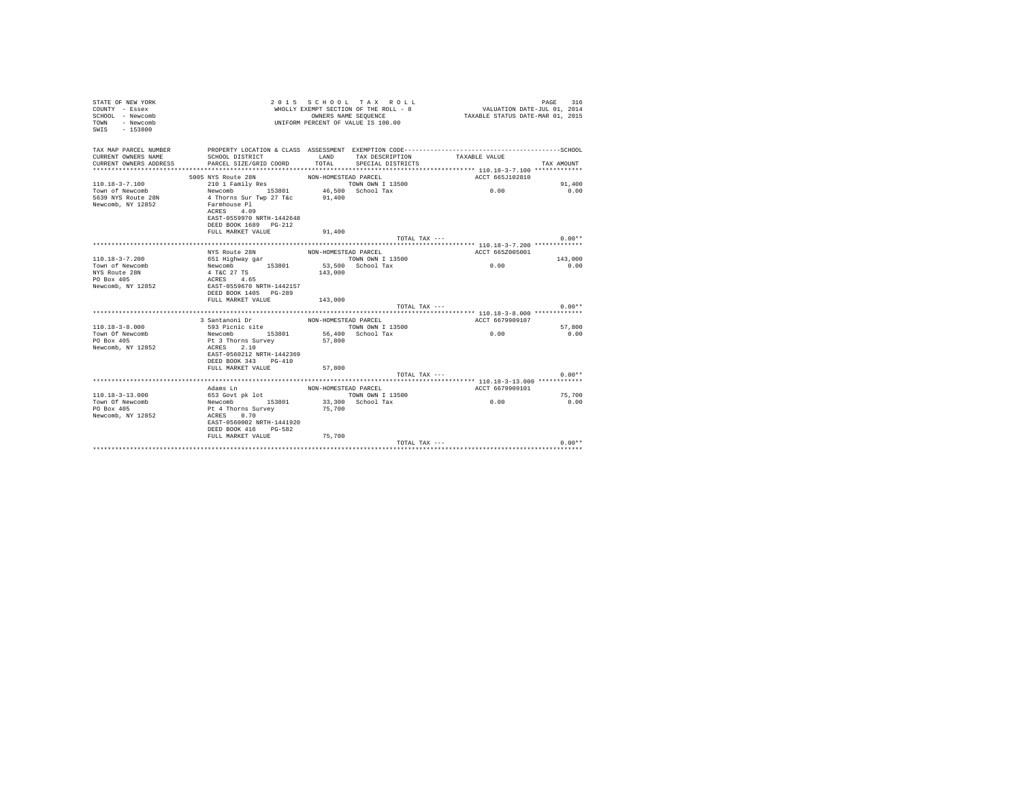| STATE OF NEW YORK<br>COUNTY - Essex<br>SCHOOL - Newcomb<br>TOWN - Newcomb<br>$-153800$<br>SWIS |                                           |                      | 2015 SCHOOL TAX ROLL<br>WHOLLY EXEMPT SECTION OF THE ROLL - 8<br>OWNERS NAME SEQUENCE<br>UNIFORM PERCENT OF VALUE IS 100.00 | VALUATION DATE-JUL 01, 2014<br>TAXABLE STATUS DATE-MAR 01, 2015 | 316<br>PAGE    |
|------------------------------------------------------------------------------------------------|-------------------------------------------|----------------------|-----------------------------------------------------------------------------------------------------------------------------|-----------------------------------------------------------------|----------------|
| TAX MAP PARCEL NUMBER                                                                          |                                           |                      |                                                                                                                             |                                                                 |                |
| CURRENT OWNERS NAME                                                                            | SCHOOL DISTRICT<br>PARCEL SIZE/GRID COORD | LAND<br>TOTAL        | TAX DESCRIPTION                                                                                                             | TAXABLE VALUE                                                   | TAX AMOUNT     |
| CURRENT OWNERS ADDRESS                                                                         |                                           |                      | SPECIAL DISTRICTS                                                                                                           |                                                                 |                |
|                                                                                                | 5005 NYS Route 28N                        | NON-HOMESTEAD PARCEL |                                                                                                                             | ACCT 665J102810                                                 |                |
| 110.18-3-7.100                                                                                 | 210 1 Family Res                          |                      | TOWN OWN I 13500                                                                                                            |                                                                 | 91,400         |
| Town of Newcomb                                                                                | Newcomb 153801 46,500 School Tax          |                      |                                                                                                                             | 0.00                                                            | 0.00           |
| 5639 NYS Route 28N                                                                             | 4 Thorns Sur Twp 27 T&c                   | 91,400               |                                                                                                                             |                                                                 |                |
| Newcomb, NY 12852                                                                              | Farmhouse Pl                              |                      |                                                                                                                             |                                                                 |                |
|                                                                                                | ACRES 4.09                                |                      |                                                                                                                             |                                                                 |                |
|                                                                                                | EAST-0559970 NRTH-1442648                 |                      |                                                                                                                             |                                                                 |                |
|                                                                                                | DEED BOOK 1689 PG-212                     |                      |                                                                                                                             |                                                                 |                |
|                                                                                                | FULL MARKET VALUE                         | 91,400               |                                                                                                                             |                                                                 |                |
|                                                                                                |                                           |                      | TOTAL TAX ---                                                                                                               |                                                                 | $0.00**$       |
|                                                                                                | NYS Route 28N                             | NON-HOMESTEAD PARCEL |                                                                                                                             | ACCT 665Z005001                                                 |                |
| $110.18 - 3 - 7.200$                                                                           | 651 Highway gar                           |                      | TOWN OWN I 13500                                                                                                            |                                                                 | 143,000        |
| Town of Newcomb                                                                                | Newcomb 153801                            |                      | 53,500 School Tax                                                                                                           | 0.00                                                            | 0.00           |
| NYS Route 28N                                                                                  | $4$ T&C $27$ TS                           | 143,000              |                                                                                                                             |                                                                 |                |
| PO Box 405                                                                                     |                                           |                      |                                                                                                                             |                                                                 |                |
| Newcomb, NY 12852                                                                              | ACRES 4.65<br>EAST-0559670 NRTH-1442157   |                      |                                                                                                                             |                                                                 |                |
|                                                                                                | DEED BOOK 1405 PG-289                     |                      |                                                                                                                             |                                                                 |                |
|                                                                                                | FULL MARKET VALUE                         | 143,000              |                                                                                                                             |                                                                 |                |
|                                                                                                |                                           |                      | TOTAL TAX ---                                                                                                               |                                                                 | $0.00**$       |
|                                                                                                |                                           |                      |                                                                                                                             |                                                                 |                |
| $110.18 - 3 - 8.000$                                                                           | 3 Santanoni Dr                            | NON-HOMESTEAD PARCEL |                                                                                                                             | ACCT 6679909107                                                 |                |
| Town Of Newcomb                                                                                | 593 Picnic site<br>Newcomb 153801         |                      | TOWN OWN I 13500<br>56,400 School Tax                                                                                       | 0.00                                                            | 57,800<br>0.00 |
| PO Box 405                                                                                     | Pt 3 Thorns Survey                        | 57,800               |                                                                                                                             |                                                                 |                |
| Newcomb, NY 12852                                                                              | ACRES 2.10                                |                      |                                                                                                                             |                                                                 |                |
|                                                                                                | EAST-0560212 NRTH-1442369                 |                      |                                                                                                                             |                                                                 |                |
|                                                                                                | DEED BOOK 343 PG-410                      |                      |                                                                                                                             |                                                                 |                |
|                                                                                                | FULL MARKET VALUE                         | 57,800               |                                                                                                                             |                                                                 |                |
|                                                                                                |                                           |                      | TOTAL TAX ---                                                                                                               |                                                                 | $0.00**$       |
|                                                                                                |                                           |                      |                                                                                                                             |                                                                 |                |
|                                                                                                | Adams Ln                                  | NON-HOMESTEAD PARCEL |                                                                                                                             | ACCT 6679909101                                                 |                |
| 110.18-3-13.000                                                                                | $653$ Govt pk lot                         |                      | TOWN OWN I 13500                                                                                                            |                                                                 | 75,700         |
| Town Of Newcomb                                                                                | Newcomb 153801<br>Pt 4 Thorns Survey      |                      | 33,300 School Tax                                                                                                           | 0.00                                                            | 0.00           |
| PO Box 405                                                                                     |                                           | 75,700               |                                                                                                                             |                                                                 |                |
| Newcomb, NY 12852                                                                              | ACRES 0.70<br>EAST-0560002 NRTH-1441920   |                      |                                                                                                                             |                                                                 |                |
|                                                                                                | DEED BOOK 416 PG-582                      |                      |                                                                                                                             |                                                                 |                |
|                                                                                                | FULL MARKET VALUE 75,700                  |                      |                                                                                                                             |                                                                 |                |
|                                                                                                |                                           |                      | TOTAL TAX ---                                                                                                               |                                                                 | $0.00**$       |
|                                                                                                |                                           |                      |                                                                                                                             |                                                                 |                |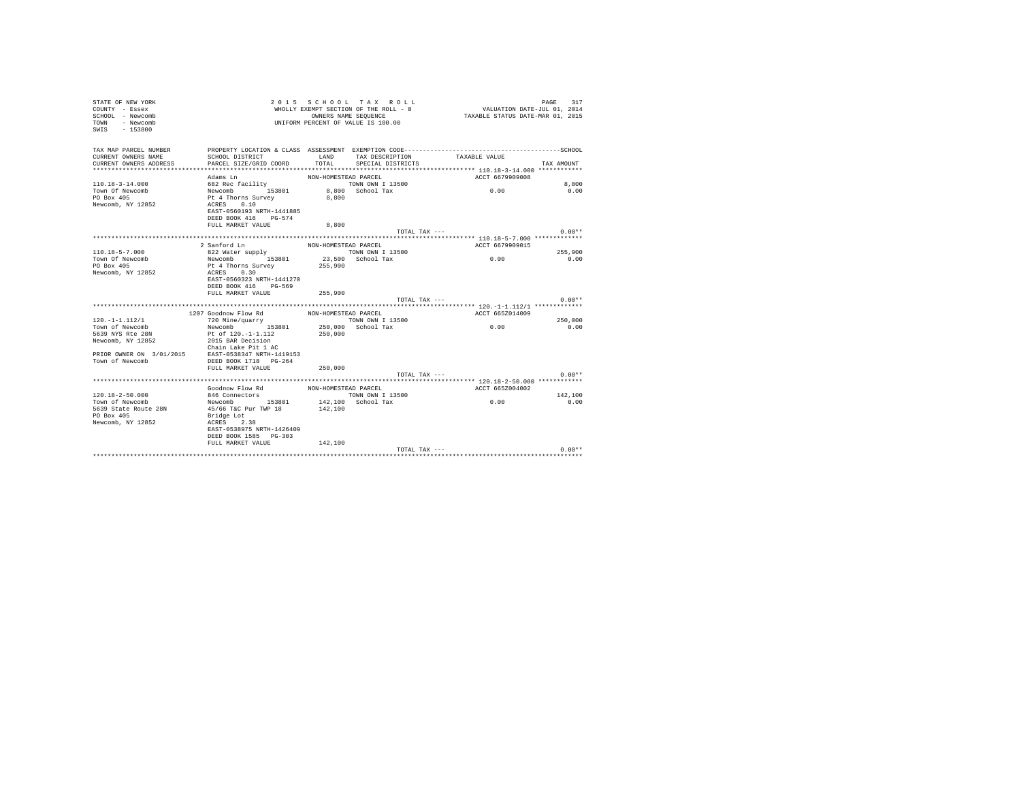| STATE OF NEW YORK<br>COUNTY - Essex<br>SCHOOL - Newcomb<br>- Newcomb<br><b>TOWN</b><br>$-153800$<br>SWIS |                                                    |                      | 2015 SCHOOL TAX ROLL<br>WHOLLY EXEMPT SECTION OF THE ROLL - 8<br>OWNERS NAME SEQUENCE<br>UNIFORM PERCENT OF VALUE IS 100.00 | VALUATION DATE-JUL 01, 2014<br>TAXABLE STATUS DATE-MAR 01, 2015 | PAGE<br>317 |
|----------------------------------------------------------------------------------------------------------|----------------------------------------------------|----------------------|-----------------------------------------------------------------------------------------------------------------------------|-----------------------------------------------------------------|-------------|
| TAX MAP PARCEL NUMBER                                                                                    |                                                    |                      |                                                                                                                             |                                                                 |             |
| CURRENT OWNERS NAME                                                                                      | SCHOOL DISTRICT                                    | LAND                 | TAX DESCRIPTION                                                                                                             | TAXABLE VALUE                                                   |             |
| CURRENT OWNERS ADDRESS                                                                                   | PARCEL SIZE/GRID COORD                             | TOTAL.               | SPECIAL DISTRICTS                                                                                                           |                                                                 | TAX AMOUNT  |
|                                                                                                          | Adams In                                           | NON-HOMESTEAD PARCEL |                                                                                                                             | ACCT 6679909008                                                 |             |
| $110.18 - 3 - 14.000$                                                                                    | 682 Rec facility                                   |                      | TOWN OWN I 13500                                                                                                            |                                                                 | 8,800       |
| Town Of Newcomb                                                                                          | Newcomb 153801                                     |                      | 8.800 School Tax                                                                                                            | 0.00                                                            | 0.00        |
| PO Box 405                                                                                               | Pt 4 Thorns Survey                                 | 8,800                |                                                                                                                             |                                                                 |             |
| Newcomb, NY 12852                                                                                        | 0.10<br>ACRES                                      |                      |                                                                                                                             |                                                                 |             |
|                                                                                                          | EAST-0560193 NRTH-1441885                          |                      |                                                                                                                             |                                                                 |             |
|                                                                                                          | DEED BOOK 416 PG-574                               |                      |                                                                                                                             |                                                                 |             |
|                                                                                                          | FULL MARKET VALUE                                  | 8,800                |                                                                                                                             |                                                                 |             |
|                                                                                                          |                                                    |                      | TOTAL TAX ---                                                                                                               |                                                                 | $0.00**$    |
|                                                                                                          |                                                    |                      |                                                                                                                             |                                                                 |             |
|                                                                                                          | 2 Sanford Ln                                       | NON-HOMESTEAD PARCEL |                                                                                                                             | ACCT 6679909015                                                 |             |
| $110.18 - 5 - 7.000$                                                                                     | 822 Water supply                                   |                      | TOWN OWN I 13500                                                                                                            | 0.00                                                            | 255,900     |
| Town Of Newcomb<br>PO Box 405                                                                            | Newcomb 153801<br>Pt 4 Thorns Survey               | 255,900              | 23,500 School Tax                                                                                                           |                                                                 | 0.00        |
| Newcomb, NY 12852                                                                                        | 0.30<br>ACRES                                      |                      |                                                                                                                             |                                                                 |             |
|                                                                                                          | EAST-0560323 NRTH-1441270                          |                      |                                                                                                                             |                                                                 |             |
|                                                                                                          | DEED BOOK 416 PG-569                               |                      |                                                                                                                             |                                                                 |             |
|                                                                                                          | FULL MARKET VALUE                                  | 255,900              |                                                                                                                             |                                                                 |             |
|                                                                                                          |                                                    |                      | TOTAL TAX ---                                                                                                               |                                                                 | $0.00**$    |
|                                                                                                          |                                                    |                      |                                                                                                                             |                                                                 |             |
|                                                                                                          | 1207 Goodnow Flow Rd                               | NON-HOMESTEAD PARCEL |                                                                                                                             | ACCT 665Z014009                                                 |             |
| $120. -1 - 1.112/1$                                                                                      | 720 Mine/quarry                                    |                      | TOWN OWN I 13500                                                                                                            |                                                                 | 250,000     |
| Town of Newcomb                                                                                          | Newcomb 153801                                     |                      | 250,000 School Tax                                                                                                          | 0.00                                                            | 0.00        |
| 5639 NYS Rte 28N                                                                                         | Pt of 120.-1-1.112                                 | 250,000              |                                                                                                                             |                                                                 |             |
| Newcomb, NY 12852                                                                                        | 2015 BAR Decision<br>Chain Lake Pit 1 AC           |                      |                                                                                                                             |                                                                 |             |
| PRIOR OWNER ON 3/01/2015                                                                                 | EAST-0538347 NRTH-1419153                          |                      |                                                                                                                             |                                                                 |             |
| Town of Newcomb                                                                                          | DEED BOOK 1718 PG-264                              |                      |                                                                                                                             |                                                                 |             |
|                                                                                                          | FULL MARKET VALUE                                  | 250,000              |                                                                                                                             |                                                                 |             |
|                                                                                                          |                                                    |                      | TOTAL TAX ---                                                                                                               |                                                                 | $0.00**$    |
|                                                                                                          |                                                    |                      |                                                                                                                             |                                                                 |             |
|                                                                                                          | Goodnow Flow Rd                                    | NON-HOMESTEAD PARCEL |                                                                                                                             | ACCT 665Z004002                                                 |             |
| $120.18 - 2 - 50.000$                                                                                    | 846 Connectors                                     |                      | TOWN OWN I 13500                                                                                                            |                                                                 | 142,100     |
| Town of Newcomb                                                                                          | Newcomb 153801                                     |                      | 142.100 School Tax                                                                                                          | 0.00                                                            | 0.00        |
| 5639 State Route 28N                                                                                     | 45/66 T&C Pur TWP 18                               | 142,100              |                                                                                                                             |                                                                 |             |
| PO Box 405                                                                                               | Bridge Lot                                         |                      |                                                                                                                             |                                                                 |             |
| Newcomb, NY 12852                                                                                        | ACRES 2.38                                         |                      |                                                                                                                             |                                                                 |             |
|                                                                                                          | EAST-0538975 NRTH-1426409<br>DEED BOOK 1585 PG-303 |                      |                                                                                                                             |                                                                 |             |
|                                                                                                          | FULL MARKET VALUE                                  | 142,100              |                                                                                                                             |                                                                 |             |
|                                                                                                          |                                                    |                      | TOTAL TAX ---                                                                                                               |                                                                 | $0.00**$    |
|                                                                                                          |                                                    |                      |                                                                                                                             |                                                                 |             |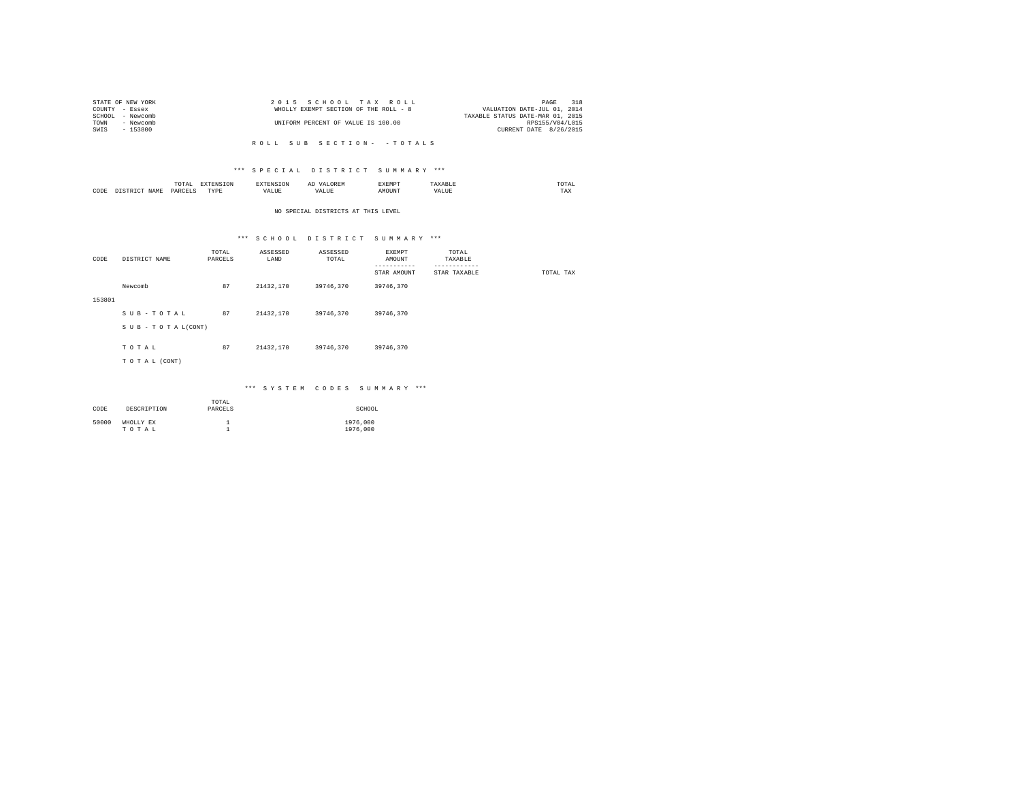|                | STATE OF NEW YORK | 2015 SCHOOL TAX ROLL                  |                                  | PAGE | 318 |
|----------------|-------------------|---------------------------------------|----------------------------------|------|-----|
| COUNTY - Essex |                   | WHOLLY EXEMPT SECTION OF THE ROLL - 8 | VALUATION DATE-JUL 01, 2014      |      |     |
|                | SCHOOL - Newcomb  |                                       | TAXABLE STATUS DATE-MAR 01, 2015 |      |     |
| TOWN           | - Newcomb         | UNIFORM PERCENT OF VALUE IS 100.00    | RPS155/V04/1015                  |      |     |
| SWIS           | - 153800          |                                       | CURRENT DATE 8/26/2015           |      |     |
|                |                   |                                       |                                  |      |     |

#### \*\*\* S P E C I A L D I S T R I C T S U M M A R Y \*\*\*

|                                           | JIAI<br>the contract of the contract of the contract of the contract of the contract of | the contract of the contract of the contract of the contract of the contract of |                 | ハンニー  | <b>marmarme</b><br><b>AAEMPT</b> | A A B L            | mome<br>UTAL<br>the contract of the contract of the contract of |
|-------------------------------------------|-----------------------------------------------------------------------------------------|---------------------------------------------------------------------------------|-----------------|-------|----------------------------------|--------------------|-----------------------------------------------------------------|
| ,,,,,<br>$\sqrt{\Delta} M^{\gamma\gamma}$ | VAW.                                                                                    | TVDF<br>.                                                                       | $+ 115$<br>ALUE | 'ALUE | AMOUNT                           | tra r rrm<br>VALUE | $- - -$<br>1 M.A                                                |

#### NO SPECIAL DISTRICTS AT THIS LEVEL

# \*\*\* S C H O O L D I S T R I C T S U M M A R Y \*\*\*

| CODE   | DISTRICT NAME   | TOTAL<br>PARCELS | ASSESSED<br>LAND | ASSESSED<br>TOTAL | EXEMPT<br>AMOUNT<br>--------- | TOTAL<br>TAXABLE<br>------------ |           |
|--------|-----------------|------------------|------------------|-------------------|-------------------------------|----------------------------------|-----------|
|        |                 |                  |                  |                   | STAR AMOUNT                   | STAR TAXABLE                     | TOTAL TAX |
|        | Newcomb         | 87               | 21432,170        | 39746.370         | 39746,370                     |                                  |           |
| 153801 |                 |                  |                  |                   |                               |                                  |           |
|        | SUB-TOTAL       | 87               | 21432,170        | 39746,370         | 39746,370                     |                                  |           |
|        | SUB-TOTAL(CONT) |                  |                  |                   |                               |                                  |           |
|        | TOTAL           | 87               | 21432,170        | 39746.370         | 39746,370                     |                                  |           |
|        | TO TAL (CONT)   |                  |                  |                   |                               |                                  |           |
|        |                 |                  |                  |                   |                               |                                  |           |

#### \*\*\* S Y S T E M C O D E S S U M M A R Y \*\*\*

| CODE  | DESCRIPTION        | TOTAL<br>PARCELS | SCHOOL               |
|-------|--------------------|------------------|----------------------|
| 50000 | WHOLLY EX<br>TOTAL |                  | 1976,000<br>1976,000 |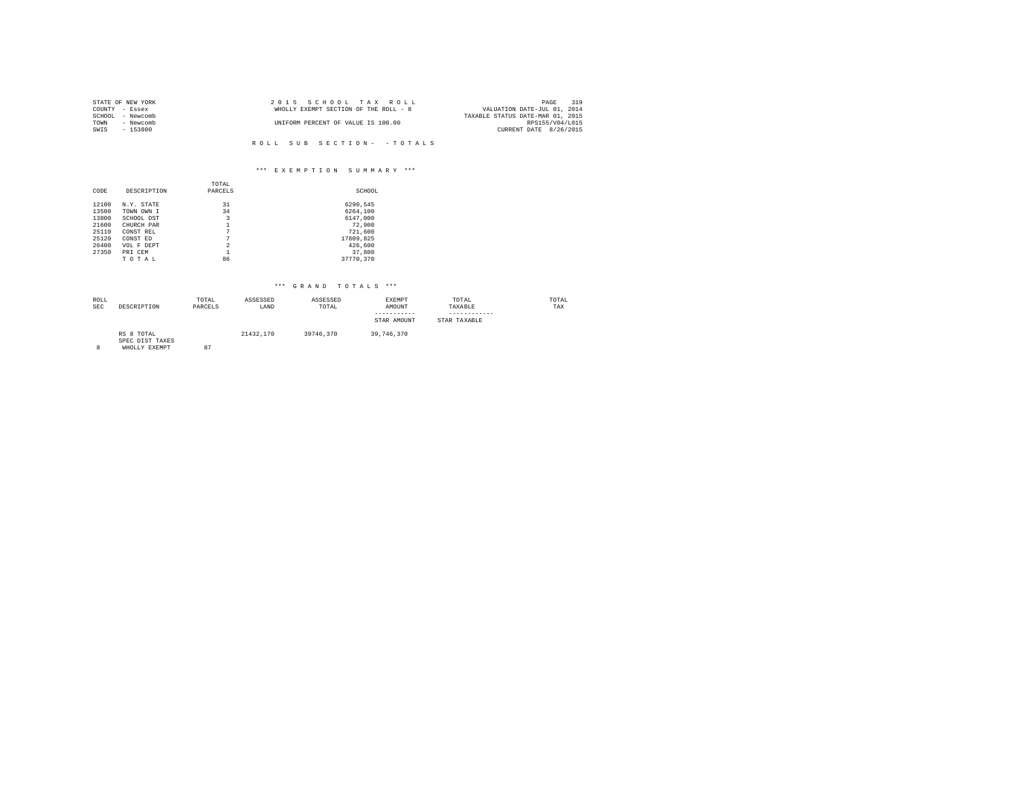|        | STATE OF NEW YORK | 2015 SCHOOL TAX ROLL                  | 319<br>PAGE                      |
|--------|-------------------|---------------------------------------|----------------------------------|
|        | COUNTY - Essex    | WHOLLY EXEMPT SECTION OF THE ROLL - 8 | VALUATION DATE-JUL 01, 2014      |
| SCHOOL | - Newcomb         |                                       | TAXABLE STATUS DATE-MAR 01, 2015 |
| TOWN   | - Newcomb         | UNIFORM PERCENT OF VALUE IS 100.00    | RPS155/V04/L015                  |
| SWIS   | $-153800$         |                                       | CURRENT DATE 8/26/2015           |
|        |                   |                                       |                                  |

# \*\*\* E X E M P T I O N S U M M A R Y \*\*\*

|       |             | TOTAL          |           |
|-------|-------------|----------------|-----------|
| CODE  | DESCRIPTION | PARCELS        | SCHOOL    |
|       |             |                |           |
| 12100 | N.Y. STATE  | 31             | 6290.545  |
| 13500 | TOWN OWN I  | 34             | 6264,100  |
| 13800 | SCHOOL DST  | 3              | 6147.000  |
| 21600 | CHURCH PAR  |                | 72.900    |
| 25110 | CONST REL   | 7              | 721,600   |
| 25120 | CONST ED    | 7              | 17809,825 |
| 26400 | VOL F DEPT  | $\mathfrak{D}$ | 426,600   |
| 27350 | PRI CEM     | 1              | 37,800    |
|       | TOTAL       | 86             | 37770.370 |

| ROLL<br>SEC | DESCRIPTION                                    | TOTAL<br>PARCELS | ASSESSED<br>LAND | ASSESSED<br>TOTAL | <b>EXEMPT</b><br>AMOUNT<br>-----------<br>STAR AMOUNT | TOTAL<br>TAXABLE<br>STAR TAXABLE | TOTAL<br>TAX |
|-------------|------------------------------------------------|------------------|------------------|-------------------|-------------------------------------------------------|----------------------------------|--------------|
| 8           | RS 8 TOTAL<br>SPEC DIST TAXES<br>WHOLLY EXEMPT | 87               | 21432.170        | 39746.370         | 39,746,370                                            |                                  |              |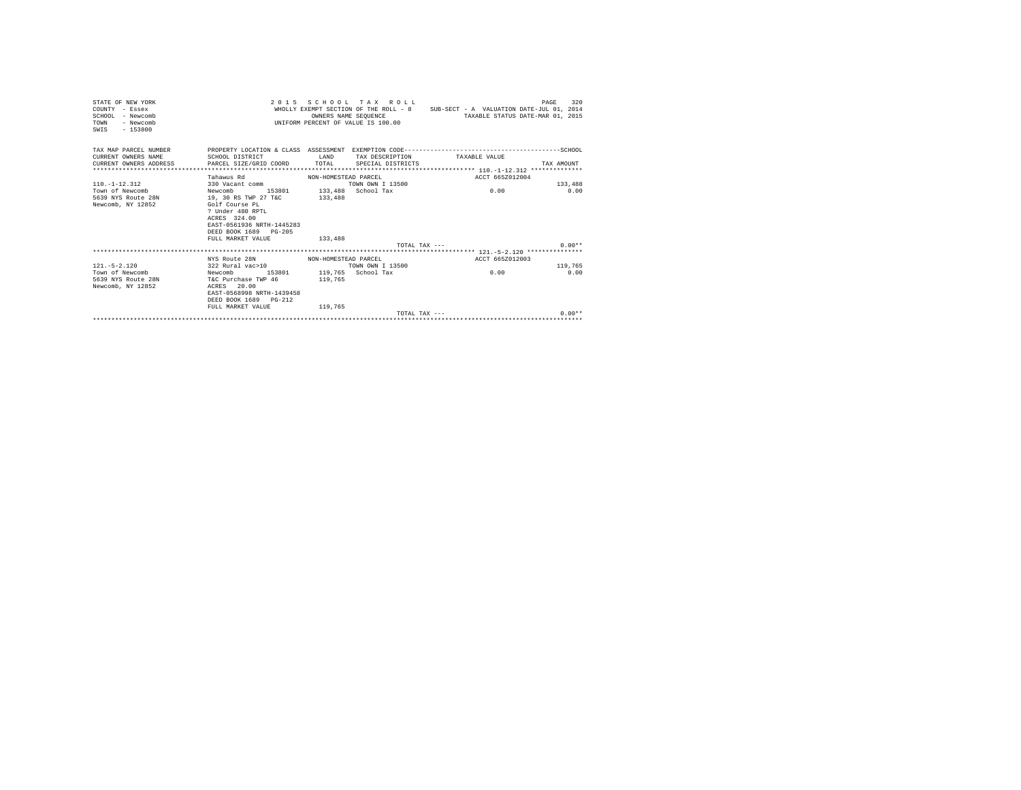| STATE OF NEW YORK<br>COUNTY - Essex<br>$SCHOM - Newcomb$<br>- Newcomb<br>TOWN<br>SWIS - 153800 |                                              |                      | 2015 SCHOOL TAX ROLL<br>OWNERS NAME SEOUENCE<br>UNIFORM PERCENT OF VALUE IS 100.00 | WHOLLY EXEMPT SECTION OF THE ROLL - 8 SUB-SECT - A VALUATION DATE-JUL 01, 2014<br>TAXABLE STATUS DATE-MAR 01, 2015 | 320<br>PAGE     |
|------------------------------------------------------------------------------------------------|----------------------------------------------|----------------------|------------------------------------------------------------------------------------|--------------------------------------------------------------------------------------------------------------------|-----------------|
|                                                                                                |                                              |                      |                                                                                    |                                                                                                                    |                 |
| CURRENT OWNERS NAME                                                                            | SCHOOL DISTRICT<br><b>LAND</b>               |                      |                                                                                    | TAX DESCRIPTION TAXABLE VALUE                                                                                      |                 |
| CURRENT OWNERS ADDRESS 6 PARCEL SIZE/GRID COORD TOTAL SPECIAL DISTRICTS                        |                                              |                      |                                                                                    |                                                                                                                    | TAX AMOUNT      |
|                                                                                                |                                              |                      |                                                                                    |                                                                                                                    |                 |
|                                                                                                | Tahawus Rd                                   | NON-HOMESTEAD PARCEL |                                                                                    | ACCT 665Z012004                                                                                                    |                 |
| $110. - 1 - 12.312$                                                                            | 330 Vacant comm<br>153801 133.488 School Tax |                      | TOWN OWN T 13500                                                                   |                                                                                                                    | 133,488         |
| Town of Newcomb<br>Newcomb<br>5639 NYS Route 28N 19, 30 RS TWP 27 T&C                          |                                              | 133,488              |                                                                                    | 0.00                                                                                                               | 0.00            |
| Newcomb, NY 12852                                                                              | Golf Course PL                               |                      |                                                                                    |                                                                                                                    |                 |
|                                                                                                | ? Under 480 RPTL                             |                      |                                                                                    |                                                                                                                    |                 |
|                                                                                                | ACRES 324.00                                 |                      |                                                                                    |                                                                                                                    |                 |
|                                                                                                | EAST-0561936 NRTH-1445283                    |                      |                                                                                    |                                                                                                                    |                 |
|                                                                                                | DEED BOOK 1689 PG-205                        |                      |                                                                                    |                                                                                                                    |                 |
|                                                                                                | FULL MARKET VALUE                            | 133,488              |                                                                                    |                                                                                                                    |                 |
|                                                                                                |                                              |                      |                                                                                    | TOTAL TAX ---                                                                                                      | $0.00**$        |
|                                                                                                |                                              |                      |                                                                                    |                                                                                                                    |                 |
|                                                                                                | NYS Route 28N MON-HOMESTEAD PARCEL           |                      |                                                                                    | ACCT 665Z012003                                                                                                    |                 |
| $121 - 5 - 2.120$<br>Town of Newcomb Newcomb 153801 119,765 School Tax                         | 322 Rural vac>10                             |                      | TOWN OWN I 13500                                                                   | 0.00                                                                                                               | 119,765<br>0.00 |
| 5639 NYS Route 28N T&C Purchase TWP 46 119,765                                                 |                                              |                      |                                                                                    |                                                                                                                    |                 |
| Newcomb, NY 12852                                                                              | ACRES 20.00                                  |                      |                                                                                    |                                                                                                                    |                 |
|                                                                                                | EAST-0568998 NRTH-1439458                    |                      |                                                                                    |                                                                                                                    |                 |
|                                                                                                | DEED BOOK 1689 PG-212                        |                      |                                                                                    |                                                                                                                    |                 |
|                                                                                                | FULL MARKET VALUE                            | 119,765              |                                                                                    |                                                                                                                    |                 |
|                                                                                                |                                              |                      | TOTAL TAX $---$                                                                    |                                                                                                                    | $0.00**$        |
|                                                                                                |                                              |                      |                                                                                    |                                                                                                                    |                 |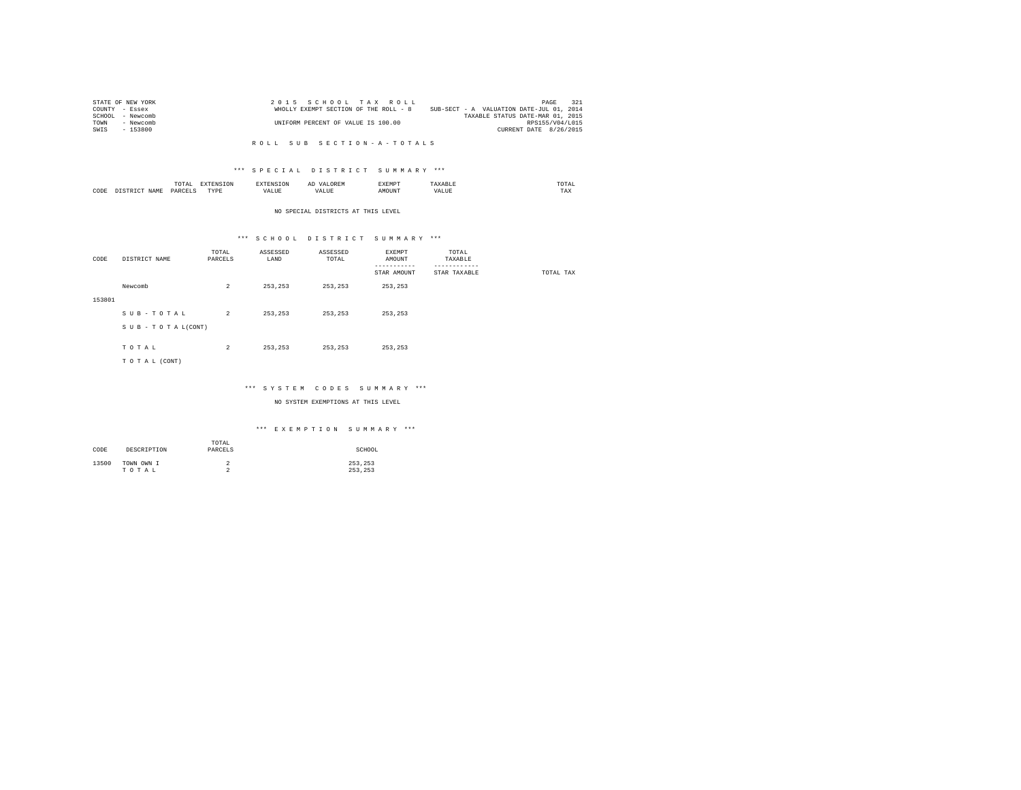| STATE OF NEW YORK   | 2015 SCHOOL TAX ROLL                  | 321<br>PAGE                              |
|---------------------|---------------------------------------|------------------------------------------|
| COUNTY - Essex      | WHOLLY EXEMPT SECTION OF THE ROLL - 8 | SUB-SECT - A VALUATION DATE-JUL 01, 2014 |
| SCHOOL<br>- Newcomb |                                       | TAXABLE STATUS DATE-MAR 01, 2015         |
| TOWN<br>- Newcomb   | UNIFORM PERCENT OF VALUE IS 100.00    | RPS155/V04/L015                          |
| - 153800<br>SWIS    |                                       | CURRENT DATE 8/26/2015                   |

#### \*\*\* S P E C I A L D I S T R I C T S U M M A R Y \*\*\*

|      |   | ------<br>l'O'l'Al<br>the contract of the contract of the contract of | ---<br>the contract of the contract of the contract of the contract of the contract of | $\cdots$<br> | -----  |             | moms:<br>the contract of the contract of the contract of |
|------|---|-----------------------------------------------------------------------|----------------------------------------------------------------------------------------|--------------|--------|-------------|----------------------------------------------------------|
| CODE | . | PARCEL <sup>®</sup><br>_______                                        | <b>TVDE</b><br>.                                                                       | .<br>.       | AMOUNT | ---<br>ALUI | TAX                                                      |

#### NO SPECIAL DISTRICTS AT THIS LEVEL

#### \*\*\* S C H O O L D I S T R I C T S U M M A R Y \*\*\*

| CODE   | DISTRICT NAME   | TOTAL<br>PARCELS | ASSESSED<br>LAND | ASSESSED<br>TOTAL | EXEMPT<br>AMOUNT<br>. | TOTAL<br>TAXABLE<br>--------- |           |
|--------|-----------------|------------------|------------------|-------------------|-----------------------|-------------------------------|-----------|
|        |                 |                  |                  |                   | STAR AMOUNT           | STAR TAXABLE                  | TOTAL TAX |
|        | Newcomb         | $\overline{2}$   | 253,253          | 253,253           | 253,253               |                               |           |
| 153801 |                 |                  |                  |                   |                       |                               |           |
|        | SUB-TOTAL       | $\overline{2}$   | 253.253          | 253,253           | 253.253               |                               |           |
|        | SUB-TOTAL(CONT) |                  |                  |                   |                       |                               |           |
|        |                 |                  |                  |                   |                       |                               |           |
|        | TOTAL           | $\overline{a}$   | 253.253          | 253,253           | 253.253               |                               |           |
|        | TO TAL (CONT)   |                  |                  |                   |                       |                               |           |
|        |                 |                  |                  |                   |                       |                               |           |

#### \*\*\* S Y S T E M C O D E S S U M M A R Y \*\*\*

NO SYSTEM EXEMPTIONS AT THIS LEVEL

#### \*\*\* E X E M P T I O N S U M M A R Y \*\*\*

| CODE  | DESCRIPTION         | TOTAL<br>PARCELS | SCHOOL             |
|-------|---------------------|------------------|--------------------|
| 13500 | TOWN OWN I<br>TOTAL | ∠<br>$\sim$<br>∼ | 253.253<br>253.253 |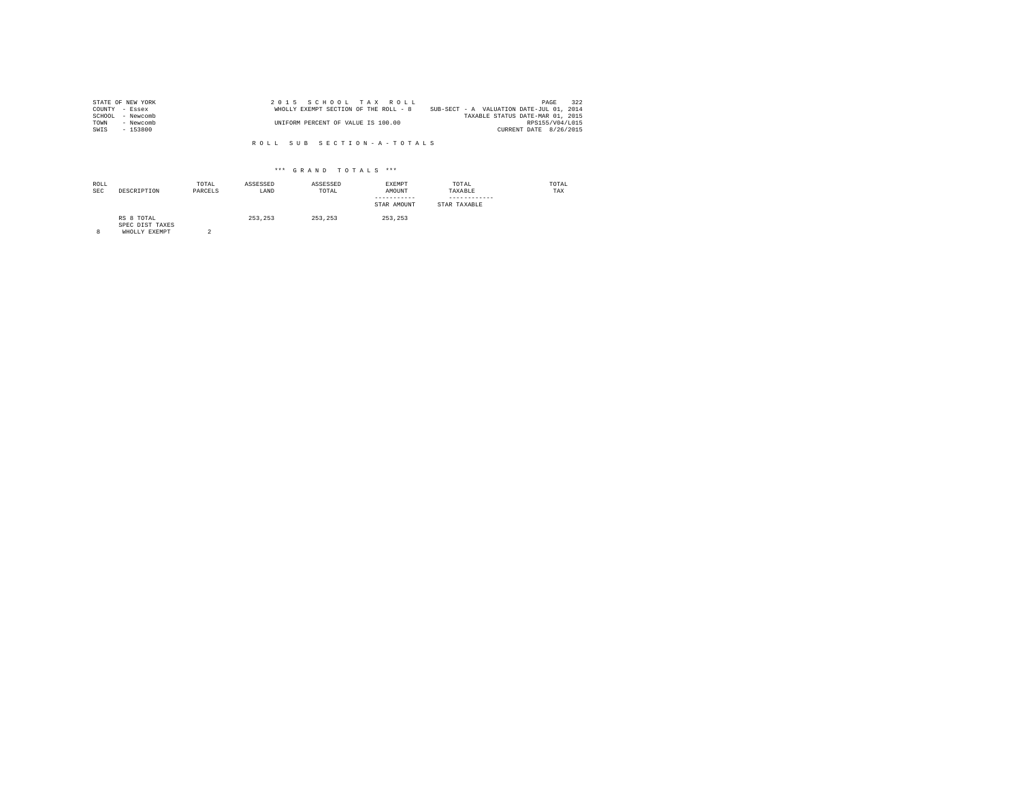| STATE OF NEW YORK | 2015 SCHOOL TAX ROLL                  |                                          | PAGE            | 322 |
|-------------------|---------------------------------------|------------------------------------------|-----------------|-----|
| COUNTY - Essex    | WHOLLY EXEMPT SECTION OF THE ROLL - 8 | SUB-SECT - A VALUATION DATE-JUL 01, 2014 |                 |     |
| SCHOOL - Newcomb  |                                       | TAXABLE STATUS DATE-MAR 01, 2015         |                 |     |
| TOWN<br>- Newcomb | UNIFORM PERCENT OF VALUE IS 100.00    |                                          | RPS155/V04/L015 |     |
| SWIS<br>- 153800  |                                       | CURRENT DATE 8/26/2015                   |                 |     |

| ROLL<br><b>SEC</b> | DESCRIPTION                                    | TOTAL<br>PARCELS | ASSESSED<br>LAND | ASSESSED<br>TOTAL | EXEMPT<br>AMOUNT<br>-----------<br>STAR AMOUNT | TOTAL<br>TAXABLE<br>------------<br>STAR TAXABLE | TOTAL<br>TAX |
|--------------------|------------------------------------------------|------------------|------------------|-------------------|------------------------------------------------|--------------------------------------------------|--------------|
| 8                  | RS 8 TOTAL<br>SPEC DIST TAXES<br>WHOLLY EXEMPT | $\Omega$         | 253.253          | 253.253           | 253.253                                        |                                                  |              |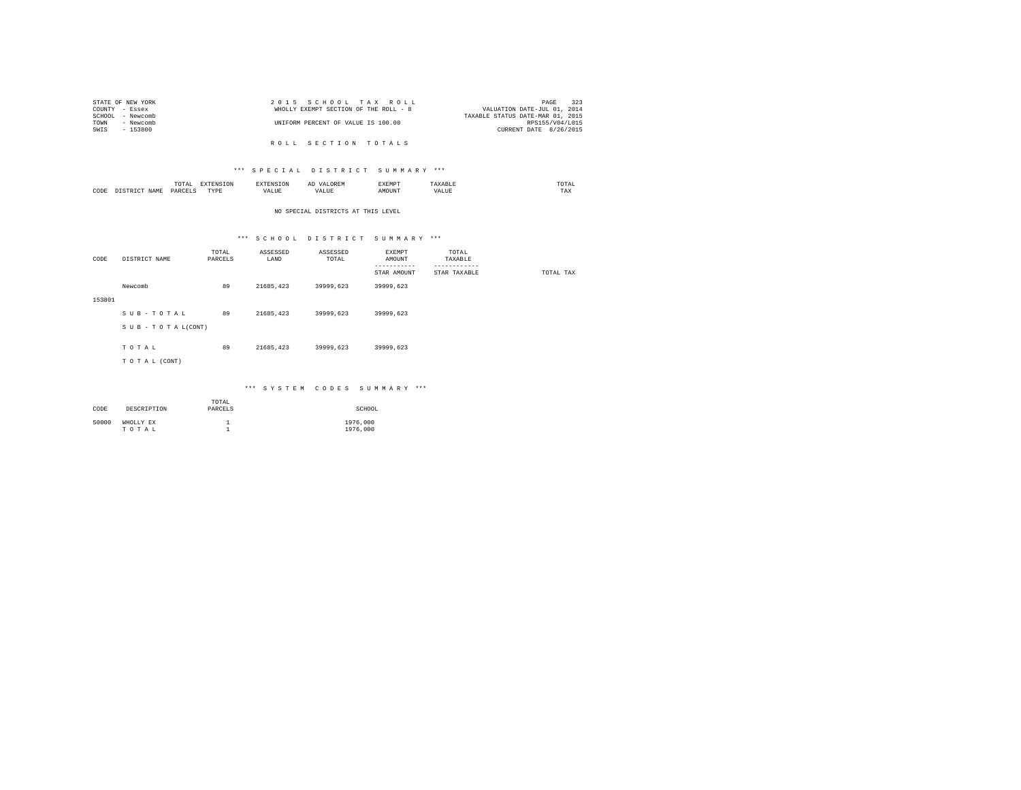|                | STATE OF NEW YORK | 2015 SCHOOL TAX ROLL                  |  |  |  | 323<br>PAGE                      |
|----------------|-------------------|---------------------------------------|--|--|--|----------------------------------|
| COUNTY - Essex |                   | WHOLLY EXEMPT SECTION OF THE ROLL - 8 |  |  |  | VALUATION DATE-JUL 01, 2014      |
|                | SCHOOL - Newcomb  |                                       |  |  |  | TAXABLE STATUS DATE-MAR 01, 2015 |
| TOWN           | - Newcomb         | UNIFORM PERCENT OF VALUE IS 100.00    |  |  |  | RPS155/V04/L015                  |
| SWIS           | - 153800          |                                       |  |  |  | CURRENT DATE 8/26/2015           |
|                |                   |                                       |  |  |  |                                  |
|                |                   | ROLL SECTION TOTALS                   |  |  |  |                                  |

### \*\*\* S P E C I A L D I S T R I C T S U M M A R Y \*\*\*

|      | mome<br>n<br>.<br>the contract of the contract of the contract of | the contract of the contract of the contract of the contract of the contract of | АΙ | <b>************</b><br>ہ دے تا |   | the contract of the contract of the contract of |  |
|------|-------------------------------------------------------------------|---------------------------------------------------------------------------------|----|--------------------------------|---|-------------------------------------------------|--|
| CODE | PARCFT                                                            | $-$<br>ZD.<br>.                                                                 |    | ۱Т                             | n | 1 M.A                                           |  |

#### NO SPECIAL DISTRICTS AT THIS LEVEL

# \*\*\* S C H O O L D I S T R I C T S U M M A R Y \*\*\*

|        |                 | TOTAL   | ASSESSED  | ASSESSED  | EXEMPT      | TOTAL        |           |
|--------|-----------------|---------|-----------|-----------|-------------|--------------|-----------|
| CODE   | DISTRICT NAME   | PARCELS | LAND      | TOTAL     | AMOUNT      | TAXABLE      |           |
|        |                 |         |           |           | ---------   | ------------ |           |
|        |                 |         |           |           | STAR AMOUNT | STAR TAXABLE | TOTAL TAX |
|        | Newcomb         | 89      | 21685,423 | 39999,623 | 39999,623   |              |           |
| 153801 |                 |         |           |           |             |              |           |
|        |                 |         |           |           |             |              |           |
|        | SUB-TOTAL       | 89      | 21685.423 | 39999.623 | 39999,623   |              |           |
|        |                 |         |           |           |             |              |           |
|        | SUB-TOTAL(CONT) |         |           |           |             |              |           |
|        |                 |         |           |           |             |              |           |
|        | TOTAL           | 89      | 21685.423 | 39999.623 | 39999.623   |              |           |
|        |                 |         |           |           |             |              |           |
|        | TO TAL (CONT)   |         |           |           |             |              |           |
|        |                 |         |           |           |             |              |           |
|        |                 |         |           |           |             |              |           |

#### \*\*\* S Y S T E M C O D E S S U M M A R Y \*\*\*

| CODE  | DESCRIPTION        | TOTAL<br>PARCELS | SCHOOL               |
|-------|--------------------|------------------|----------------------|
| 50000 | WHOLLY EX<br>TOTAL |                  | 1976,000<br>1976,000 |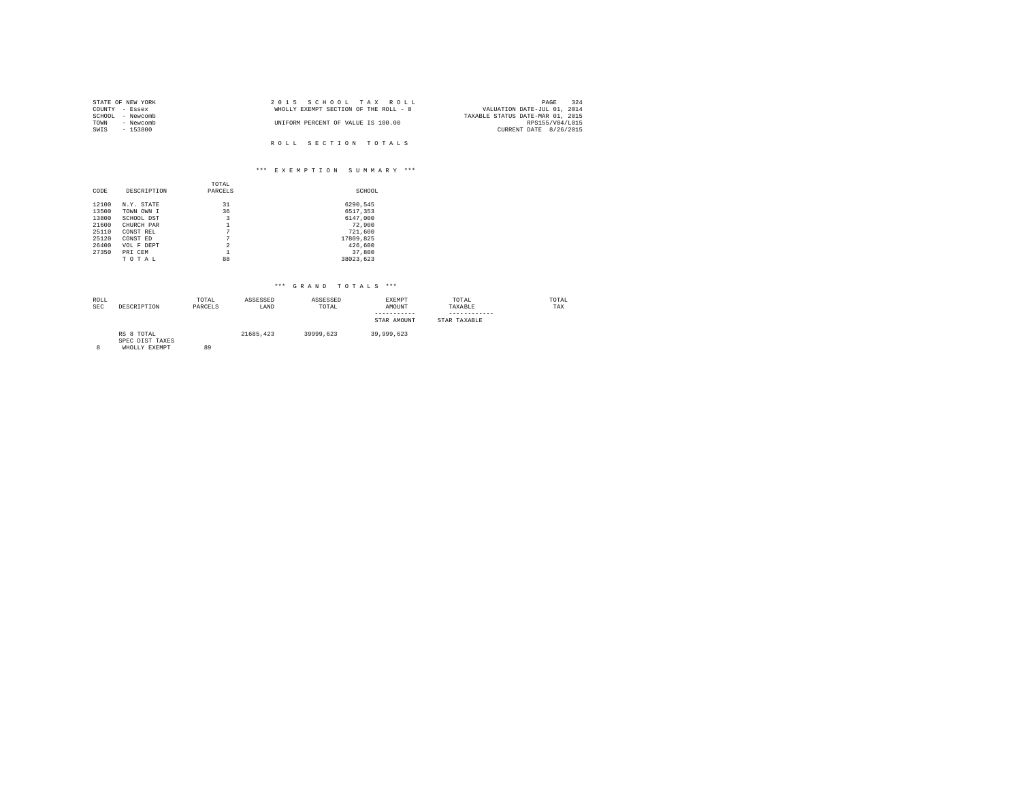| STATE OF NEW YORK | 2015 SCHOOL TAX ROLL                  | 324<br>PAGE                      |
|-------------------|---------------------------------------|----------------------------------|
| COUNTY - Essex    | WHOLLY EXEMPT SECTION OF THE ROLL - 8 | VALUATION DATE-JUL 01, 2014      |
| SCHOOL - Newcomb  |                                       | TAXABLE STATUS DATE-MAR 01, 2015 |
| - Newcomb<br>TOWN | UNIFORM PERCENT OF VALUE IS 100.00    | RPS155/V04/L015                  |
| SWIS<br>$-153800$ |                                       | CURRENT DATE 8/26/2015           |
|                   |                                       |                                  |
|                   | ROLL SECTION TOTALS                   |                                  |

# \*\*\* E X E M P T I O N S U M M A R Y \*\*\*

|       |             | TOTAL                   |           |
|-------|-------------|-------------------------|-----------|
| CODE  | DESCRIPTION | PARCELS                 | SCHOOL    |
| 12100 | N.Y. STATE  | 31                      | 6290,545  |
| 13500 | TOWN OWN I  | 36                      | 6517,353  |
| 13800 | SCHOOL DST  | 3                       | 6147.000  |
| 21600 | CHURCH PAR  |                         | 72,900    |
| 25110 | CONST REL   | 7                       | 721,600   |
| 25120 | CONST ED    | 7                       | 17809,825 |
| 26400 | VOL F DEPT  | $\overline{\mathbf{c}}$ | 426,600   |
| 27350 | PRI CEM     |                         | 37,800    |
|       | TOTAL       | 88                      | 38023.623 |

| ROLL<br><b>SEC</b> | DESCRIPTION                                    | TOTAL<br>PARCELS | ASSESSED<br>LAND | ASSESSED<br>TOTAL | <b>EXEMPT</b><br>AMOUNT<br>-----------<br>STAR AMOUNT | TOTAL<br>TAXABLE<br>STAR TAXABLE | TOTAL<br>TAX |
|--------------------|------------------------------------------------|------------------|------------------|-------------------|-------------------------------------------------------|----------------------------------|--------------|
| 8                  | RS 8 TOTAL<br>SPEC DIST TAXES<br>WHOLLY EXEMPT | 89               | 21685.423        | 39999.623         | 39,999,623                                            |                                  |              |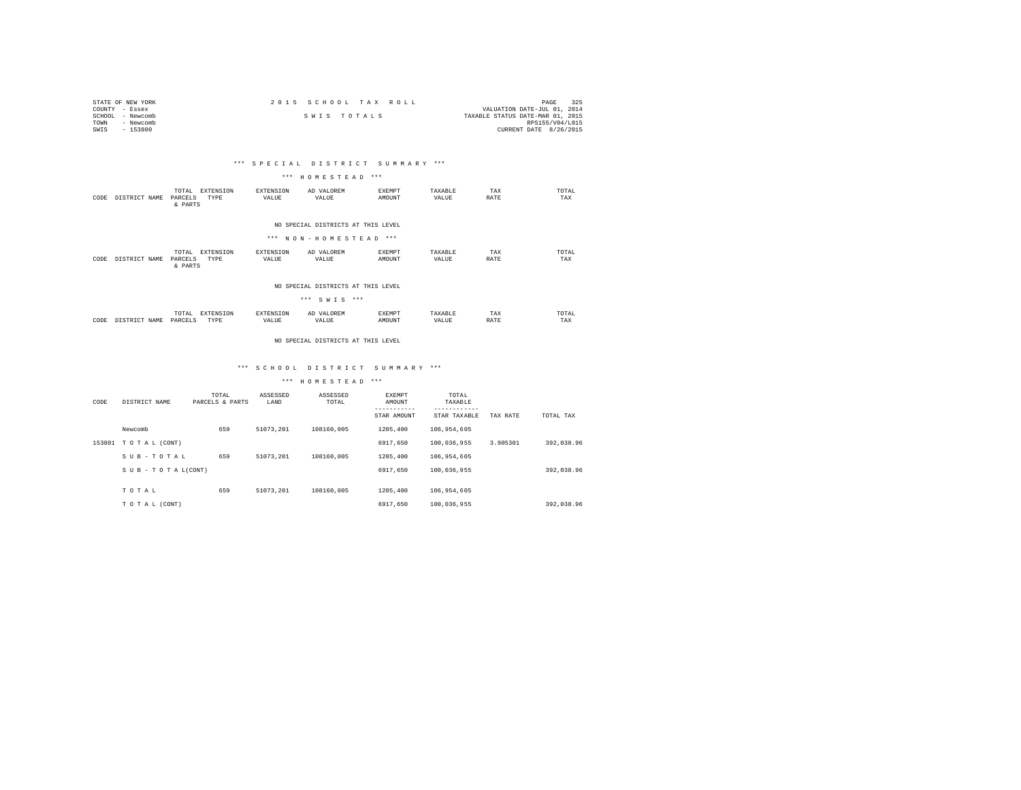| STATE OF NEW YORK | 2015 SCHOOL TAX ROLL | 325<br>PAGE                      |
|-------------------|----------------------|----------------------------------|
| COUNTY - Essex    |                      | VALUATION DATE-JUL 01, 2014      |
| SCHOOL - Newcomb  | SWIS TOTALS          | TAXABLE STATUS DATE-MAR 01, 2015 |
| TOWN<br>- Newcomb |                      | RPS155/V04/L015                  |
| SWIS<br>$-153800$ |                      | CURRENT DATE 8/26/2015           |

### \*\*\* S P E C I A L D I S T R I C T S U M M A R Y \*\*\*

#### \*\*\* H O M E S T E A D \*\*\*

| CODE | DISTRICT NAME | EXTENSION<br>TOTAL<br>PARCELS<br>TYPE<br>& PARTS  | EXTENSION<br>VALUE        | AD VALOREM<br>VALUE                                         | <b>EXEMPT</b><br>AMOUNT | TAXABLE<br>VALUE | TAX<br>RATE | TOTAL<br>TAX |
|------|---------------|---------------------------------------------------|---------------------------|-------------------------------------------------------------|-------------------------|------------------|-------------|--------------|
|      |               |                                                   |                           | NO SPECIAL DISTRICTS AT THIS LEVEL<br>*** NON-HOMESTEAD *** |                         |                  |             |              |
| CODE | DISTRICT NAME | EXTENSION<br>TOTAL.<br>TYPE<br>PARCELS<br>& PARTS | <b>EXTENSION</b><br>VALUE | AD VALOREM<br>VALUE                                         | <b>EXEMPT</b><br>AMOUNT | TAXARLE<br>VALUE | TAX<br>RATE | TOTAL<br>TAX |

#### NO SPECIAL DISTRICTS AT THIS LEVEL

|      |               |                  |                   |                           | *** SWIS ***        |                  |                  |             |              |
|------|---------------|------------------|-------------------|---------------------------|---------------------|------------------|------------------|-------------|--------------|
| CODE | DISTRICT NAME | TOTAL<br>PARCELS | EXTENSION<br>TYPE | <b>EXTENSION</b><br>VALUE | AD VALOREM<br>VALUE | EXEMPT<br>AMOUNT | TAXABLE<br>VALUE | TAX<br>RATE | TOTAL<br>TAX |

#### NO SPECIAL DISTRICTS AT THIS LEVEL

### \*\*\* S C H O O L D I S T R I C T S U M M A R Y \*\*\*

| CODE   | DISTRICT NAME                 | TOTAL<br>PARCELS & PARTS | ASSESSED<br>LAND | ASSESSED<br>TOTAL | <b>EXEMPT</b><br>AMOUNT<br>STAR AMOUNT | TOTAL<br>TAXABLE<br>STAR TAXABLE | TAX RATE | TOTAL TAX  |
|--------|-------------------------------|--------------------------|------------------|-------------------|----------------------------------------|----------------------------------|----------|------------|
|        | Newcomb                       | 659                      | 51073.201        | 108160.005        | 1205,400                               | 106.954.605                      |          |            |
| 153801 | TO TAL (CONT)                 |                          |                  |                   | 6917.650                               | 100,036,955                      | 3.905301 | 392.038.96 |
|        | SUB-TOTAL                     | 659                      | 51073.201        | 108160.005        | 1205,400                               | 106.954.605                      |          |            |
|        | $S \cup B - T O T A L (CONT)$ |                          |                  |                   | 6917.650                               | 100.036.955                      |          | 392.038.96 |
|        | TOTAL                         | 659                      | 51073.201        | 108160.005        | 1205,400                               | 106,954,605                      |          |            |
|        | TO TAL (CONT)                 |                          |                  |                   | 6917.650                               | 100,036,955                      |          | 392.038.96 |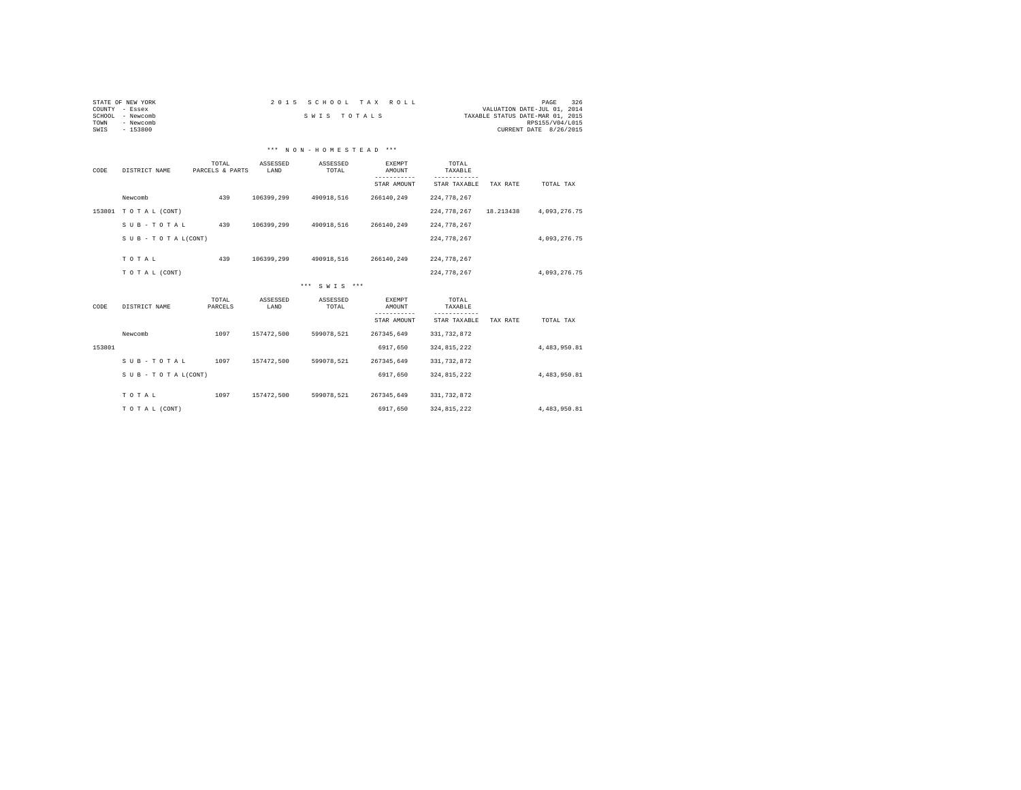| STATE OF NEW YORK   | 2015 SCHOOL TAX ROLL | 326<br>PAGE                      |
|---------------------|----------------------|----------------------------------|
| COUNTY - Essex      |                      | VALUATION DATE-JUL 01, 2014      |
| - Newcomb<br>SCHOOL | SWIS TOTALS          | TAXABLE STATUS DATE-MAR 01, 2015 |
| TOWN<br>- Newcomb   |                      | RPS155/V04/L015                  |
| $-153800$<br>SWIS   |                      | CURRENT DATE 8/26/2015           |
|                     |                      |                                  |
|                     |                      |                                  |

| ------ | ----------            |  |  | ---------- |  |  |  | _________ |  |
|--------|-----------------------|--|--|------------|--|--|--|-----------|--|
|        | *** NON-HOMESTEAD *** |  |  |            |  |  |  |           |  |

| DISTRICT NAME   | TOTAL<br>PARCELS & PARTS | ASSESSED<br>LAND | ASSESSED<br>TOTAL | <b>EXEMPT</b><br>AMOUNT | TOTAL<br>TAXABLE             |              | TOTAL TAX    |
|-----------------|--------------------------|------------------|-------------------|-------------------------|------------------------------|--------------|--------------|
| Newcomb         | 439                      | 106399.299       | 490918.516        | 266140.249              | 224, 778, 267                |              |              |
| TO TAL (CONT)   |                          |                  |                   |                         | 224, 778, 267                | 18.213438    | 4,093,276.75 |
| SUB-TOTAL       | 439                      | 106399.299       | 490918.516        | 266140.249              | 224, 778, 267                |              |              |
|                 |                          |                  |                   |                         | 224, 778, 267                |              | 4,093,276.75 |
| TOTAL           | 439                      | 106399,299       | 490918,516        | 266140,249              | 224, 778, 267                |              |              |
| TO TAL (CONT)   |                          |                  |                   |                         | 224, 778, 267                |              | 4,093,276.75 |
|                 |                          |                  | $***$             |                         |                              |              |              |
|                 |                          |                  |                   |                         |                              |              |              |
| DISTRICT NAME   | TOTAL<br>PARCELS         | ASSESSED<br>LAND | ASSESSED<br>TOTAL | <b>EXEMPT</b><br>AMOUNT | TOTAL<br>TAXABLE             |              |              |
|                 |                          |                  |                   | STAR AMOUNT             | STAR TAXABLE                 | TAX RATE     | TOTAL TAX    |
| Newcomb         | 1097                     | 157472.500       | 599078,521        | 267345,649              | 331,732,872                  |              |              |
|                 |                          |                  |                   | 6917,650                | 324, 815, 222                |              | 4,483,950.81 |
| SUB-TOTAL       | 1097                     | 157472.500       | 599078.521        | 267345.649              | 331,732,872                  |              |              |
| SUB-TOTAL(CONT) |                          |                  |                   | 6917,650                | 324, 815, 222                |              | 4,483,950.81 |
| TOTAL           | 1097                     | 157472.500       | 599078,521        | 267345.649              | 331,732,872                  |              |              |
|                 |                          | SUB-TOTAL(CONT)  |                   |                         | STAR AMOUNT<br>$S W I S$ *** | STAR TAXABLE | TAX RATE     |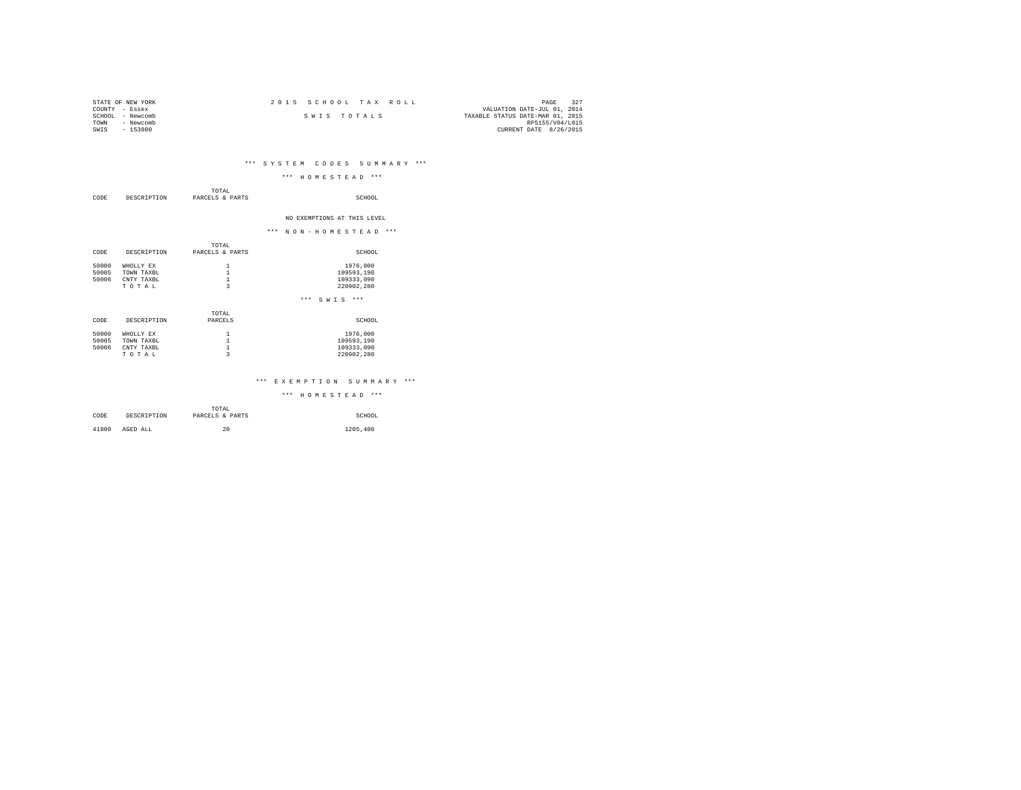| STATE OF NEW YORK   | 2015 SCHOOL TAX ROLL | PAGE                             |
|---------------------|----------------------|----------------------------------|
| COUNTY - Essex      |                      | VALUATION DATE-JUL 01, 2014      |
| SCHOOL<br>- Newcomb | SWIS TOTALS          | TAXABLE STATUS DATE-MAR 01, 2015 |
| TOWN<br>- Newcomb   |                      | RPS155/V04/L015                  |
| $-153800$<br>SWIS   |                      | CURRENT DATE 8/26/2015           |

## \*\*\* S Y S T E M C O D E S S U M M A R Y \*\*\*

| *** HOMESTEAD *** |  |  |  |  |  |  |
|-------------------|--|--|--|--|--|--|
|                   |  |  |  |  |  |  |

| CODE  | DESCRIPTION | TOTAL<br>PARCELS & PARTS | SCHOOL                      |
|-------|-------------|--------------------------|-----------------------------|
|       |             |                          | NO EXEMPTIONS AT THIS LEVEL |
|       |             |                          | *** NON-HOMESTEAD ***       |
|       |             | TOTAL                    |                             |
| CODE  | DESCRIPTION | PARCELS & PARTS          | SCHOOL                      |
| 50000 | WHOLLY EX   | 1                        | 1976,000                    |
| 50005 | TOWN TAXBL  | $\mathbf 1$              | 109593,190                  |
| 50006 | CNTY TAXBL  | $\frac{1}{3}$            | 109333,090                  |
|       | TOTAL       |                          | 220902,280                  |
|       |             |                          | $***$<br>$S W I S$ ***      |
|       |             | TOTAL                    |                             |
| CODE  | DESCRIPTION | PARCELS                  | SCHOOL                      |
| 50000 | WHOLLY EX   | 1                        | 1976,000                    |
| 50005 | TOWN TAXBL  | $\mathbf{1}$             | 109593,190                  |
| 50006 | CNTY TAXBL  | $\mathbf 1$              | 109333,090                  |
|       | TOTAL       | $\overline{\mathbf{3}}$  | 220902,280                  |
|       |             |                          |                             |

### \*\*\* E X E M P T I O N S U M M A R Y \*\*\*

|       |             | TOTAL           |          |
|-------|-------------|-----------------|----------|
| CODE  | DESCRIPTION | PARCELS & PARTS | SCHOOL   |
|       |             |                 |          |
| 41800 | AGED ALL    | 20              | 1205,400 |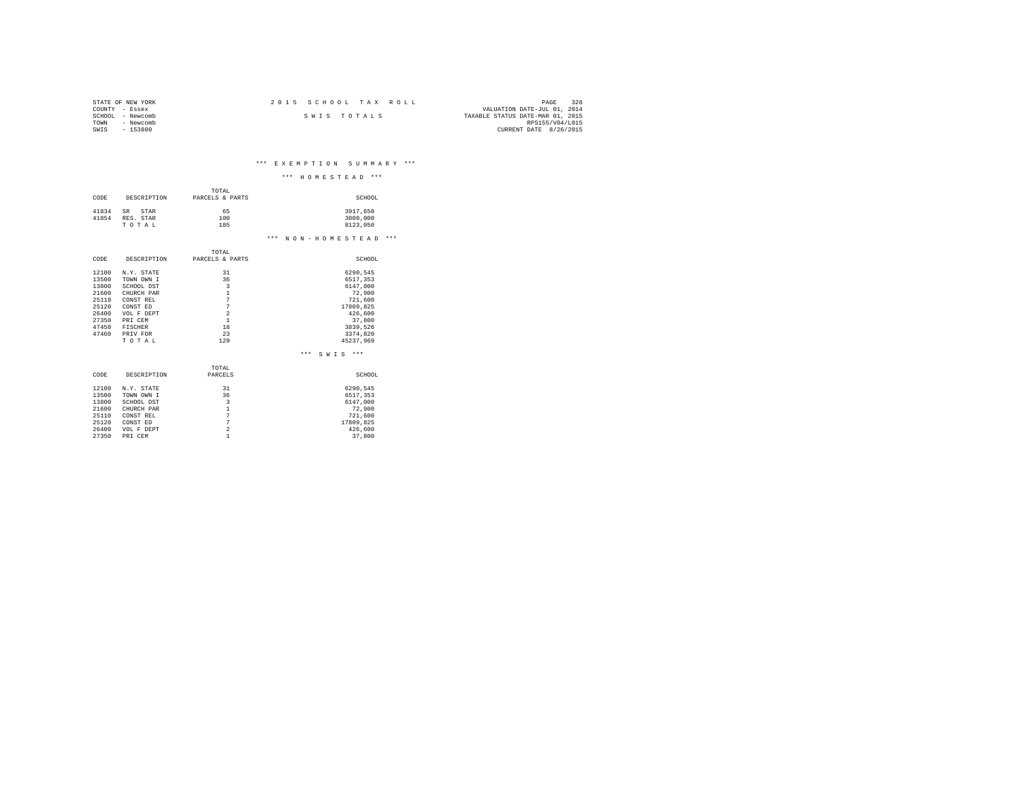| STATE OF NEW YORK | 2015 SCHOOL TAX ROLL | 328<br>PAGE                      |
|-------------------|----------------------|----------------------------------|
| COUNTY - Essex    |                      | VALUATION DATE-JUL 01, 2014      |
| SCHOOL - Newcomb  | SWIS TOTALS          | TAXABLE STATUS DATE-MAR 01, 2015 |
| TOWN<br>- Newcomb |                      | RPS155/V04/L015                  |
| $-153800$<br>SWIS |                      | CURRENT DATE 8/26/2015           |
|                   |                      |                                  |

\*\*\* E X E M P T I O N S U M M A R Y \*\*\*

|       |             |                         | ***<br>***<br>HOMESTEAD       |
|-------|-------------|-------------------------|-------------------------------|
|       |             | TOTAL.                  |                               |
|       |             |                         |                               |
| CODE  | DESCRIPTION | PARCELS & PARTS         | SCHOOL                        |
| 41834 | SR.<br>STAR | 65                      | 3917,650                      |
| 41854 | RES. STAR   | 100                     | 3000,000                      |
|       | TOTAL       | 185                     | 8123.050                      |
|       |             |                         | ***<br>$***$<br>NON-HOMESTEAD |
|       |             |                         |                               |
|       |             | TOTAL                   |                               |
| CODE  | DESCRIPTION | PARCELS & PARTS         | SCHOOL                        |
| 12100 | N.Y. STATE  | 31                      | 6290,545                      |
| 13500 | TOWN OWN I  | 36                      | 6517,353                      |
| 13800 | SCHOOL DST  | 3                       | 6147.000                      |
| 21600 | CHURCH PAR  | $\mathbf{1}$            | 72.900                        |
| 25110 | CONST REL   | $\overline{7}$          | 721,600                       |
| 25120 | CONST ED    | $\overline{7}$          | 17809,825                     |
| 26400 | VOL F DEPT  | $\overline{a}$          | 426,600                       |
| 27350 | PRI CEM     | $\mathbf{1}$            | 37,800                        |
| 47450 | FISCHER     | 18                      | 3839,526                      |
| 47460 | PRIV FOR    | 23                      | 3374,820                      |
|       | TOTAL       | 129                     | 45237.969                     |
|       |             |                         | $***$<br>SWTS<br>$***$        |
|       |             | TOTAL                   |                               |
| CODE  | DESCRIPTION | PARCELS                 | SCHOOL                        |
| 12100 | N.Y. STATE  | 31                      | 6290,545                      |
| 13500 | TOWN OWN I  | 36                      | 6517,353                      |
| 13800 | SCHOOL DST  | $\overline{\mathbf{3}}$ | 6147,000                      |
| 21600 | CHURCH PAR  | $\mathbf{1}$            | 72,900                        |
| 25110 | CONST REL   | $\overline{7}$          | 721,600                       |
| 25120 | CONST ED    | $\overline{7}$          | 17809,825                     |
| 26400 | VOL F DEPT  | $\overline{a}$          | 426,600                       |
| 27350 | PRI CEM     | 1                       | 37,800                        |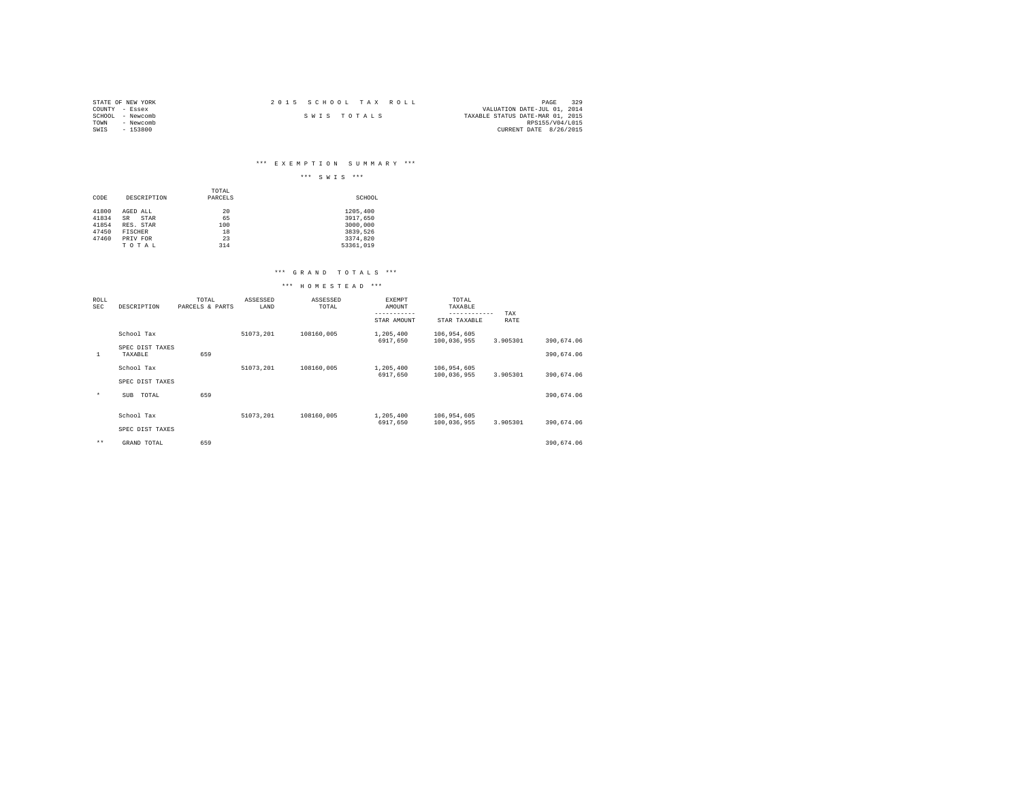| STATE OF NEW YORK | 2015 SCHOOL TAX ROLL | 329<br>PAGE                      |
|-------------------|----------------------|----------------------------------|
| COUNTY - Essex    |                      | VALUATION DATE-JUL 01, 2014      |
| SCHOOL - Newcomb  | SWIS TOTALS          | TAXABLE STATUS DATE-MAR 01, 2015 |
| TOWN<br>- Newcomb |                      | RPS155/V04/L015                  |
| $-153800$<br>SWIS |                      | CURRENT DATE 8/26/2015           |

## \*\*\* E X E M P T I O N S U M M A R Y \*\*\*

|                |                        |                  | $***$<br>$***$<br>SWIS |
|----------------|------------------------|------------------|------------------------|
| CODE           | DESCRIPTION            | TOTAL<br>PARCELS | SCHOOL                 |
| 41800<br>41834 | AGED ALL<br>SR<br>STAR | 20<br>65         | 1205,400<br>3917,650   |
| 41854<br>47450 | RES. STAR<br>FISCHER   | 100<br>18        | 3000,000<br>3839,526   |
| 47460          | PRIV FOR<br>TO TAL     | 23<br>314        | 3374,820<br>53361,019  |

### \*\*\* G R A N D T O T A L S \*\*\*

| ROLL<br><b>SEC</b> | DESCRIPTION                | TOTAL<br>PARCELS & PARTS | ASSESSED<br>LAND | ASSESSED<br>TOTAL | EXEMPT<br>AMOUNT<br>----------- | TOTAL<br>TAXABLE<br>------------ | TAX      |            |
|--------------------|----------------------------|--------------------------|------------------|-------------------|---------------------------------|----------------------------------|----------|------------|
|                    |                            |                          |                  |                   | STAR AMOUNT                     | STAR TAXABLE                     | RATE     |            |
|                    | School Tax                 |                          | 51073.201        | 108160.005        | 1,205,400<br>6917.650           | 106,954,605<br>100,036,955       | 3.905301 | 390,674.06 |
| 1                  | SPEC DIST TAXES<br>TAXABLE | 659                      |                  |                   |                                 |                                  |          | 390,674.06 |
|                    | School Tax                 |                          | 51073,201        | 108160.005        | 1,205,400<br>6917.650           | 106,954,605<br>100,036,955       | 3.905301 | 390,674.06 |
|                    | SPEC DIST TAXES            |                          |                  |                   |                                 |                                  |          |            |
| $\star$            | TOTAL<br>SUB               | 659                      |                  |                   |                                 |                                  |          | 390,674.06 |
|                    |                            |                          |                  |                   |                                 |                                  |          |            |
|                    | School Tax                 |                          | 51073.201        | 108160.005        | 1,205,400<br>6917,650           | 106,954,605<br>100.036.955       | 3.905301 | 390.674.06 |
|                    | SPEC DIST TAXES            |                          |                  |                   |                                 |                                  |          |            |
| $***$              | GRAND TOTAL                | 659                      |                  |                   |                                 |                                  |          | 390,674.06 |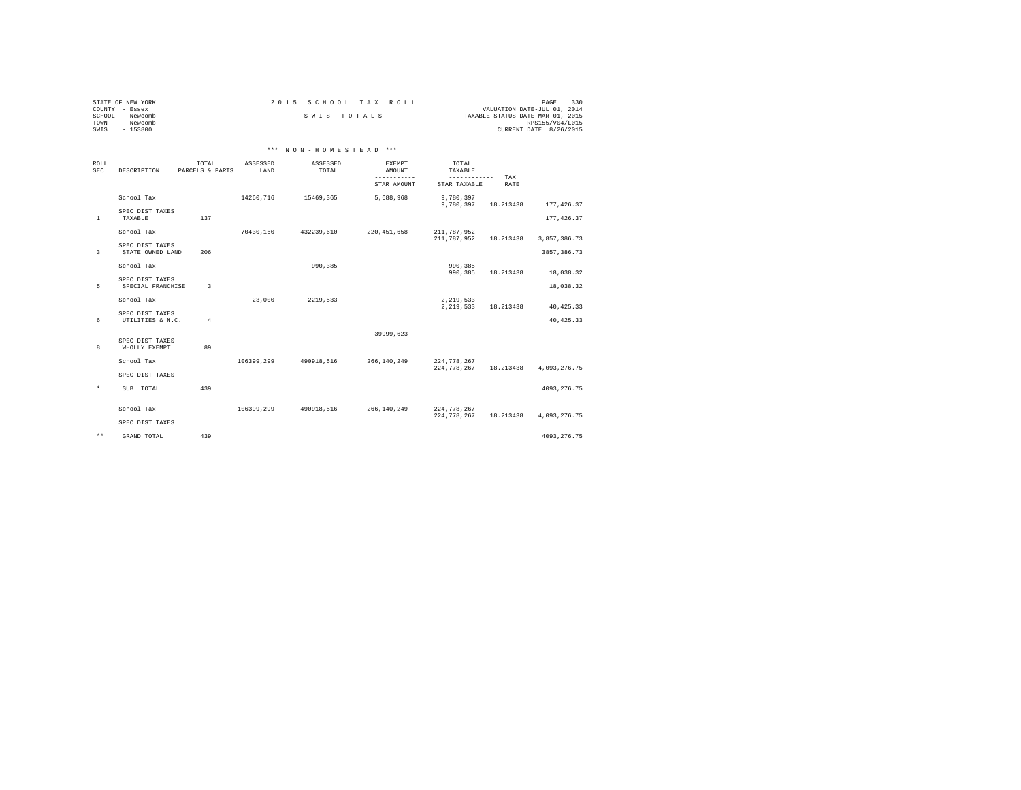|      | STATE OF NEW YORK | 2015 SCHOOL TAX ROLL |  |                                  | PAGE            | 330 |
|------|-------------------|----------------------|--|----------------------------------|-----------------|-----|
|      | COUNTY - Essex    |                      |  | VALUATION DATE-JUL 01, 2014      |                 |     |
|      | SCHOOL - Newcomb  | SWIS TOTALS          |  | TAXABLE STATUS DATE-MAR 01, 2015 |                 |     |
| TOWN | - Newcomb         |                      |  |                                  | RPS155/V04/L015 |     |
| SWIS | $-153800$         |                      |  | CURRENT DATE 8/26/2015           |                 |     |

## \*\*\* N O N - H O M E S T E A D \*\*\*

| ROLL<br><b>SEC</b> | DESCRIPTION                          | TOTAL<br>PARCELS & PARTS | ASSESSED<br>LAND | ASSESSED<br>TOTAL | <b>EXEMPT</b><br>AMOUNT<br>-----------<br>STAR AMOUNT | TOTAL<br>TAXABLE<br>------------<br>STAR TAXABLE | TAX<br><b>RATE</b> |              |
|--------------------|--------------------------------------|--------------------------|------------------|-------------------|-------------------------------------------------------|--------------------------------------------------|--------------------|--------------|
|                    | School Tax                           |                          | 14260,716        | 15469,365         | 5,688,968                                             | 9,780,397<br>9,780,397                           | 18.213438          | 177, 426.37  |
| <sup>1</sup>       | SPEC DIST TAXES<br>TAXABLE           | 137                      |                  |                   |                                                       |                                                  |                    | 177, 426.37  |
|                    | School Tax                           |                          | 70430.160        | 432239,610        | 220, 451, 658                                         | 211,787,952<br>211,787,952                       | 18.213438          | 3,857,386.73 |
| 3                  | SPEC DIST TAXES<br>STATE OWNED LAND  | 206                      |                  |                   |                                                       |                                                  |                    | 3857, 386.73 |
|                    | School Tax                           |                          |                  | 990.385           |                                                       | 990,385<br>990, 385                              | 18.213438          | 18,038.32    |
| 5                  | SPEC DIST TAXES<br>SPECIAL FRANCHISE | 3                        |                  |                   |                                                       |                                                  |                    | 18,038.32    |
|                    | School Tax                           |                          | 23,000           | 2219,533          |                                                       | 2.219.533<br>2,219,533                           | 18.213438          | 40, 425.33   |
| 6                  | SPEC DIST TAXES<br>UTILITIES & N.C.  | $\overline{4}$           |                  |                   |                                                       |                                                  |                    | 40, 425.33   |
|                    | SPEC DIST TAXES                      |                          |                  |                   | 39999.623                                             |                                                  |                    |              |
| 8                  | WHOLLY EXEMPT                        | 89                       |                  |                   |                                                       |                                                  |                    |              |
|                    | School Tax                           |                          | 106399,299       | 490918,516        | 266, 140, 249                                         | 224,778,267<br>224,778,267                       | 18.213438          | 4,093,276.75 |
|                    | SPEC DIST TAXES                      |                          |                  |                   |                                                       |                                                  |                    |              |
| $^\star$           | TOTAL<br><b>SUB</b>                  | 439                      |                  |                   |                                                       |                                                  |                    | 4093, 276.75 |
|                    | School Tax                           |                          | 106399,299       | 490918,516        | 266, 140, 249                                         | 224,778,267<br>224,778,267                       | 18.213438          | 4,093,276.75 |
|                    | SPEC DIST TAXES                      |                          |                  |                   |                                                       |                                                  |                    |              |
| $\star\star$       | GRAND TOTAL                          | 439                      |                  |                   |                                                       |                                                  |                    | 4093, 276.75 |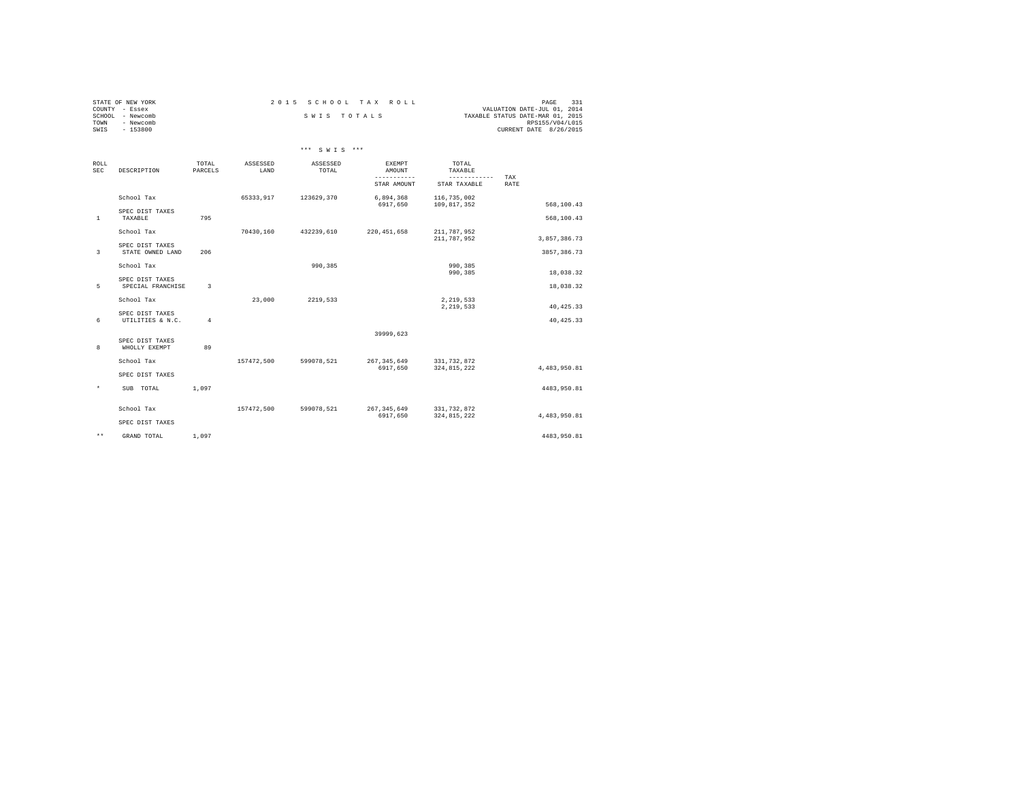| STATE OF NEW YORK   | 2015 SCHOOL TAX ROLL | 331<br>PAGE                      |
|---------------------|----------------------|----------------------------------|
| COUNTY<br>- Essex   |                      | VALUATION DATE-JUL 01, 2014      |
| - Newcomb<br>SCHOOL | SWIS TOTALS          | TAXABLE STATUS DATE-MAR 01, 2015 |
| Newcomb<br>TOWN     |                      | RPS155/V04/L015                  |
| $-153800$<br>SWIS   |                      | CURRENT DATE 8/26/2015           |
|                     |                      |                                  |

|                    |                                      |                  |                  | *** SWTS ***      |                                 |                                  |                    |
|--------------------|--------------------------------------|------------------|------------------|-------------------|---------------------------------|----------------------------------|--------------------|
| ROLL<br><b>SEC</b> | DESCRIPTION                          | TOTAL<br>PARCELS | ASSESSED<br>LAND | ASSESSED<br>TOTAL | EXEMPT<br>AMOUNT<br>----------- | TOTAL<br>TAXABLE<br>------------ |                    |
|                    |                                      |                  |                  |                   | STAR AMOUNT                     | STAR TAXABLE                     | TAX<br><b>RATE</b> |
|                    | School Tax                           |                  | 65333.917        | 123629.370        | 6,894,368<br>6917.650           | 116,735,002<br>109,817,352       | 568,100.43         |
| $\mathbf{1}$       | SPEC DIST TAXES<br>TAXABLE           | 795              |                  |                   |                                 |                                  | 568,100.43         |
|                    | School Tax                           |                  | 70430,160        | 432239,610        | 220, 451, 658                   | 211,787,952<br>211,787,952       | 3,857,386.73       |
| 3                  | SPEC DIST TAXES<br>STATE OWNED LAND  | 206              |                  |                   |                                 |                                  | 3857, 386.73       |
|                    | School Tax                           |                  |                  | 990,385           |                                 | 990,385<br>990,385               | 18,038.32          |
| 5                  | SPEC DIST TAXES<br>SPECIAL FRANCHISE | 3                |                  |                   |                                 |                                  | 18,038.32          |
|                    | School Tax                           |                  | 23,000           | 2219,533          |                                 | 2,219,533<br>2,219,533           | 40, 425.33         |
| 6                  | SPEC DIST TAXES<br>UTILITIES & N.C.  | $\overline{4}$   |                  |                   |                                 |                                  | 40, 425.33         |
| 8                  | SPEC DIST TAXES<br>WHOLLY EXEMPT     | 89               |                  |                   | 39999,623                       |                                  |                    |
|                    | School Tax                           |                  | 157472.500       | 599078,521        | 267, 345, 649<br>6917.650       | 331,732,872<br>324, 815, 222     | 4,483,950.81       |
|                    | SPEC DIST TAXES                      |                  |                  |                   |                                 |                                  |                    |
| $\star$            | SUB TOTAL                            | 1,097            |                  |                   |                                 |                                  | 4483.950.81        |
|                    | School Tax                           |                  | 157472,500       | 599078,521        | 267, 345, 649<br>6917,650       | 331,732,872<br>324, 815, 222     | 4,483,950.81       |
|                    | SPEC DIST TAXES                      |                  |                  |                   |                                 |                                  |                    |
| $\star\star$       | GRAND TOTAL                          | 1,097            |                  |                   |                                 |                                  | 4483.950.81        |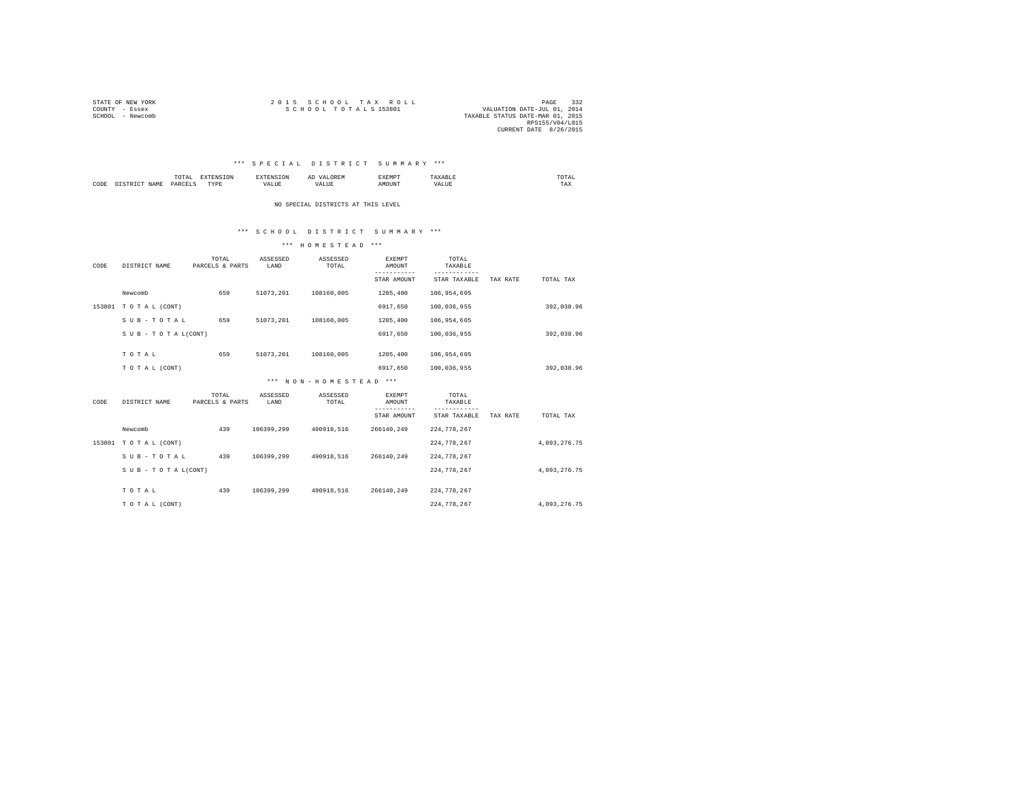| STATE OF NEW YORK | 2015 SCHOOL TAX ROLL             | PAGE                        | 332 |
|-------------------|----------------------------------|-----------------------------|-----|
| COUNTY - Essex    | SCHOOL TOTALS 153801             | VALUATION DATE-JUL 01, 2014 |     |
| SCHOOL - Newcomb  | TAXABLE STATUS DATE-MAR 01, 2015 |                             |     |
|                   |                                  | RPS155/V04/L015             |     |
|                   |                                  | CURRENT DATE 8/26/2015      |     |

### \*\*\* S P E C I A L D I S T R I C T S U M M A R Y \*\*\*

|      |                         |   | $\sim$ |  | UTAL<br>the contract of the contract of the contract of |
|------|-------------------------|---|--------|--|---------------------------------------------------------|
| CODE | $\Omega \wedge \Omega'$ | . | - ---  |  | TAX                                                     |

NO SPECIAL DISTRICTS AT THIS LEVEL

### \*\*\* S C H O O L D I S T R I C T S U M M A R Y \*\*\*

| CODE | DISTRICT NAME       | TOTAL<br>PARCELS & PARTS | ASSESSED<br>LAND | ASSESSED<br>TOTAL     | <b>EXEMPT</b><br>AMOUNT | TOTAL<br>TAXABLE   |          |              |  |
|------|---------------------|--------------------------|------------------|-----------------------|-------------------------|--------------------|----------|--------------|--|
|      |                     |                          |                  |                       | STAR AMOUNT             | STAR TAXABLE       | TAX RATE | TOTAL TAX    |  |
|      | Newcomb             | 659                      | 51073,201        | 108160,005            | 1205,400                | 106, 954, 605      |          |              |  |
|      | 153801 TOTAL (CONT) |                          |                  |                       | 6917,650                | 100,036,955        |          | 392,038.96   |  |
|      | SUB-TOTAL           | 659                      | 51073.201        | 108160,005            | 1205,400                | 106, 954, 605      |          |              |  |
|      | SUB - TO TAL(CONT)  |                          |                  |                       | 6917,650                | 100,036,955        |          | 392,038.96   |  |
|      |                     |                          |                  |                       |                         |                    |          |              |  |
|      | TOTAL               | 659                      | 51073,201        | 108160,005            | 1205,400                | 106,954,605        |          |              |  |
|      | TO TAL (CONT)       |                          |                  |                       | 6917,650                | 100,036,955        |          | 392,038.96   |  |
|      |                     |                          |                  | *** NON-HOMESTEAD *** |                         |                    |          |              |  |
|      |                     | TOTAL                    | ASSESSED         | ASSESSED              | <b>EXEMPT</b>           | TOTAL              |          |              |  |
| CODE | DISTRICT NAME       | PARCELS & PARTS          | LAND             | TOTAL                 | AMOUNT<br>-----------   | TAXABLE<br>------- |          |              |  |
|      |                     |                          |                  |                       | STAR AMOUNT             | STAR TAXABLE       | TAX RATE | TOTAL TAX    |  |
|      | Newcomb             | 439                      | 106399,299       | 490918,516            | 266140,249              | 224, 778, 267      |          |              |  |
|      | 153801 TOTAL (CONT) |                          |                  |                       |                         | 224, 778, 267      |          | 4,093,276.75 |  |
|      | SUB-TOTAL           | 439                      | 106399,299       | 490918,516            | 266140,249              | 224, 778, 267      |          |              |  |
|      | SUB - TO TAL(CONT)  |                          |                  |                       |                         | 224, 778, 267      |          | 4,093,276.75 |  |
|      |                     |                          |                  |                       |                         |                    |          |              |  |
|      | TOTAL               | 439                      | 106399.299       | 490918.516            | 266140.249              | 224, 778, 267      |          |              |  |
|      | TO TAL (CONT)       |                          |                  |                       |                         | 224, 778, 267      |          | 4.093.276.75 |  |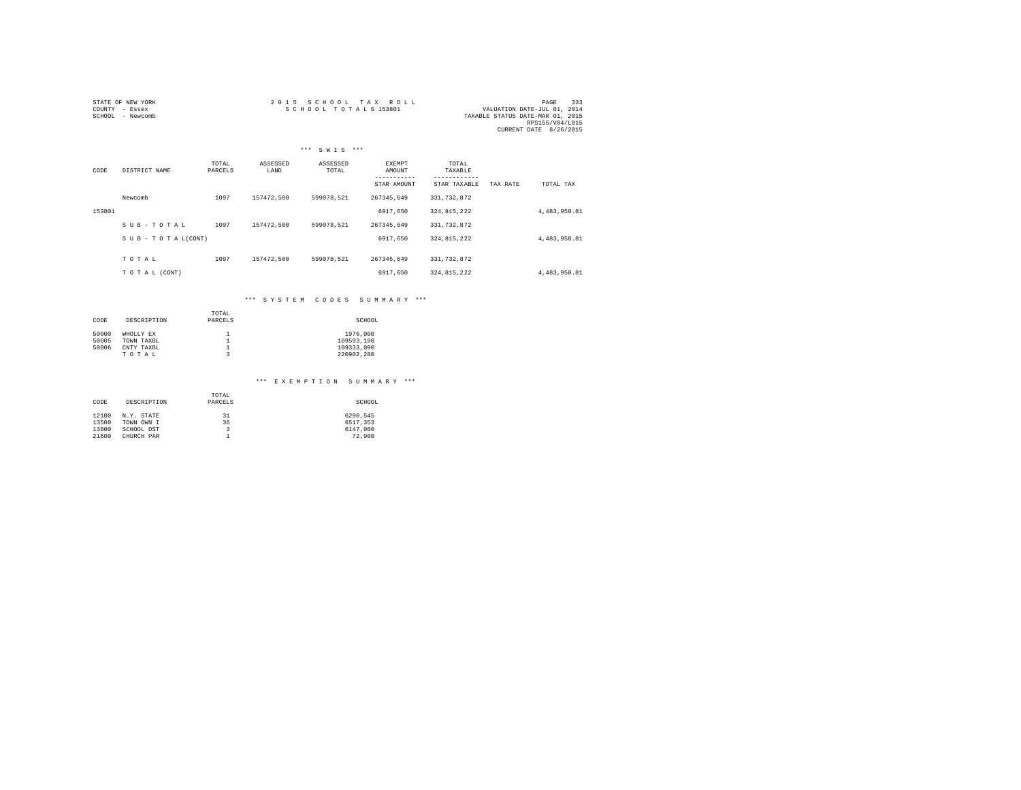| STATE OF NEW YORK | 2015 SCHOOL TAX ROLL                                | PAGE            | 333 |
|-------------------|-----------------------------------------------------|-----------------|-----|
| COUNTY - Essex    | SCHOOL TOTALS 153801<br>VALUATION DATE-JUL 01, 2014 |                 |     |
| SCHOOL - Newcomb  | TAXABLE STATUS DATE-MAR 01, 2015                    |                 |     |
|                   |                                                     | RPS155/V04/L015 |     |
|                   | CURRENT DATE 8/26/2015                              |                 |     |

|        |                    |                  |                  | *** SWIS ***      |                  |                  |          |              |
|--------|--------------------|------------------|------------------|-------------------|------------------|------------------|----------|--------------|
| CODE   | DISTRICT NAME      | TOTAL<br>PARCELS | ASSESSED<br>LAND | ASSESSED<br>TOTAL | EXEMPT<br>AMOUNT | TOTAL<br>TAXABLE |          |              |
|        |                    |                  |                  |                   | STAR AMOUNT      | STAR TAXABLE     | TAX RATE | TOTAL TAX    |
|        | Newcomb            | 1097             | 157472.500       | 599078.521        | 267345.649       | 331, 732, 872    |          |              |
| 153801 |                    |                  |                  |                   | 6917.650         | 324, 815, 222    |          | 4,483,950.81 |
|        | SUB-TOTAL          | 1097             | 157472,500       | 599078.521        | 267345.649       | 331,732,872      |          |              |
|        | SUB - TO TAL(CONT) |                  |                  |                   | 6917.650         | 324,815,222      |          | 4,483,950.81 |
|        |                    |                  |                  |                   |                  |                  |          |              |
|        | TOTAL              | 1097             | 157472.500       | 599078.521        | 267345.649       | 331,732,872      |          |              |
|        | TO TAL (CONT)      |                  |                  |                   | 6917,650         | 324,815,222      |          | 4,483,950.81 |

## \*\*\* S Y S T E M C O D E S S U M M A R Y \*\*\*

| CODE  | DESCRIPTION | TOTAL<br>PARCELS | SCHOOL     |
|-------|-------------|------------------|------------|
| 50000 | WHOLLY EX   |                  | 1976,000   |
| 50005 | TOWN TAXBL  | 1                | 109593.190 |
| 50006 | CNTY TAXBL  |                  | 109333.090 |
|       | TOTAL       | 3                | 220902.280 |

### \*\*\* E X E M P T I O N S U M M A R Y \*\*\*

| CODE  | DESCRIPTION | TOTAL<br>PARCELS | SCHOOL   |
|-------|-------------|------------------|----------|
| 12100 | N.Y. STATE  | 31               | 6290.545 |
| 13500 | TOWN OWN I  | 36               | 6517.353 |
| 13800 | SCHOOL DST  | 3                | 6147.000 |
| 21600 | CHURCH PAR  |                  | 72,900   |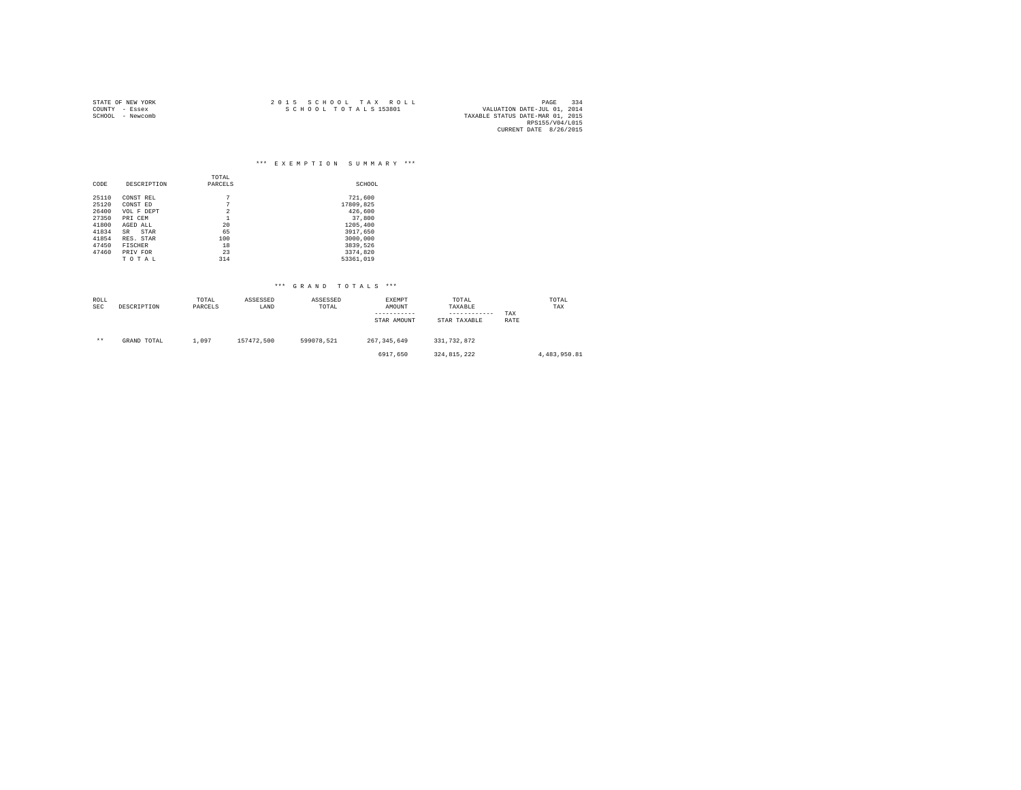| STATE OF NEW YORK | 2015 SCHOOL TAX ROLL | 334<br>PAGE                      |
|-------------------|----------------------|----------------------------------|
| COUNTY - Essex    | SCHOOL TOTALS 153801 | VALUATION DATE-JUL 01, 2014      |
| SCHOOL - Newcomb  |                      | TAXABLE STATUS DATE-MAR 01, 2015 |
|                   |                      | RPS155/V04/L015                  |
|                   |                      | CURRENT DATE 8/26/2015           |

|       |                |                | $***$<br>***<br>EXEMPTION SUMMARY |
|-------|----------------|----------------|-----------------------------------|
|       |                | TOTAL          |                                   |
| CODE  | DESCRIPTION    | PARCELS        | SCHOOL                            |
| 25110 | CONST REL      | 7              | 721,600                           |
| 25120 | CONST ED       | 7              | 17809.825                         |
| 26400 | VOL F DEPT     | $\overline{2}$ | 426,600                           |
| 27350 | PRI CEM        | ٠              | 37,800                            |
| 41800 | AGED ALL       | 20             | 1205,400                          |
| 41834 | STAR<br>SR     | 65             | 3917,650                          |
| 41854 | RES. STAR      | 100            | 3000,000                          |
| 47450 | <b>FISCHER</b> | 18             | 3839.526                          |
| 47460 | PRIV FOR       | 23             | 3374,820                          |
|       | TOTAL          | 314            | 53361,019                         |

|  | *** GRAND TOTALS *** |  |  |  |  |  |  |  |  |  |  |  |  |
|--|----------------------|--|--|--|--|--|--|--|--|--|--|--|--|
|--|----------------------|--|--|--|--|--|--|--|--|--|--|--|--|

| ROLL<br><b>SEC</b> | DESCRIPTION | TOTAL<br>PARCELS | ASSESSED<br>LAND | ASSESSED<br>TOTAL | EXEMPT<br>AMOUNT<br>STAR AMOUNT | TOTAL<br>TAXABLE<br>------------<br>STAR TAXABLE | TAX<br>RATE | TOTAL<br>TAX |
|--------------------|-------------|------------------|------------------|-------------------|---------------------------------|--------------------------------------------------|-------------|--------------|
| $***$              | GRAND TOTAL | 1,097            | 157472.500       | 599078.521        | 267.345.649                     | 331,732,872                                      |             |              |
|                    |             |                  |                  |                   | 6917.650                        | 324, 815, 222                                    |             | 4,483,950.81 |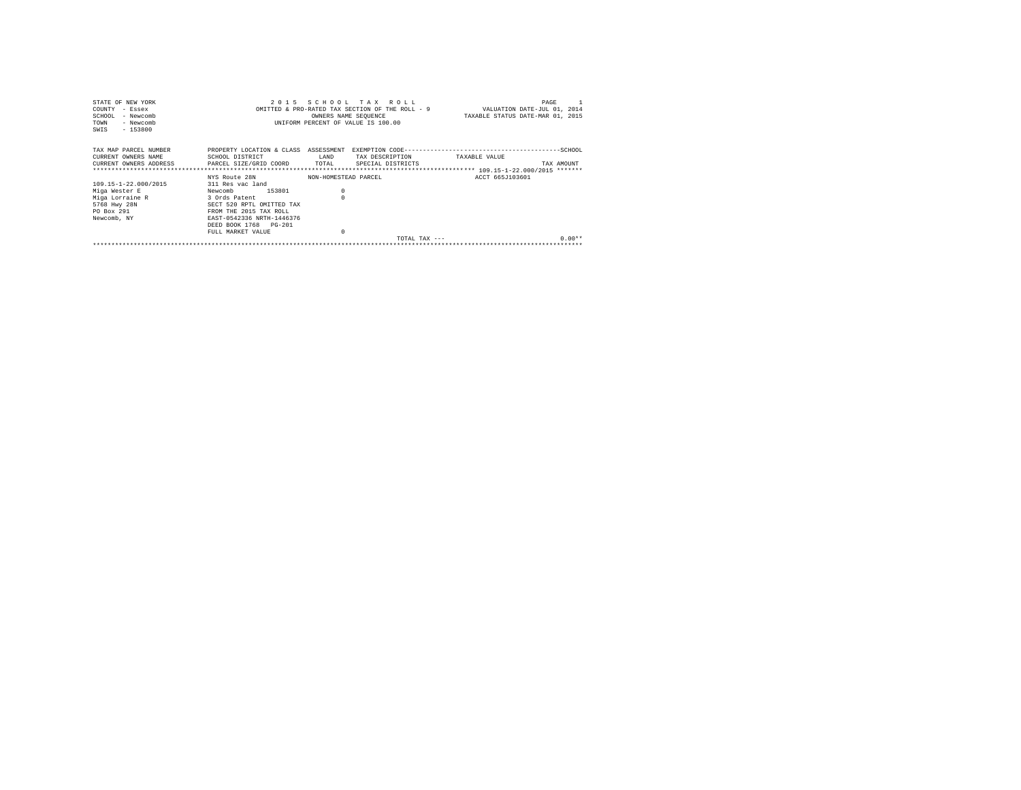| STATE OF NEW YORK                                                                      |                                |                      | 2015 SCHOOL TAX ROLL               | PAGE                                                                        |  |
|----------------------------------------------------------------------------------------|--------------------------------|----------------------|------------------------------------|-----------------------------------------------------------------------------|--|
| COUNTY - Essex                                                                         |                                |                      |                                    | OMITTED & PRO-RATED TAX SECTION OF THE ROLL - 9 WALUATION DATE-JUL 01, 2014 |  |
| SCHOOL<br>- Newcomb                                                                    |                                |                      | OWNERS NAME SEQUENCE               | TAXABLE STATUS DATE-MAR 01, 2015                                            |  |
| TOWN<br>- Newcomb                                                                      |                                |                      | UNIFORM PERCENT OF VALUE IS 100.00 |                                                                             |  |
| SWIS<br>$-153800$                                                                      |                                |                      |                                    |                                                                             |  |
|                                                                                        |                                |                      |                                    |                                                                             |  |
| TAX MAP PARCEL NUMBER                                                                  |                                |                      |                                    |                                                                             |  |
| CURRENT OWNERS NAME                                                                    | SCHOOL DISTRICT<br><b>EAND</b> |                      | TAX DESCRIPTION                    | TAXABLE VALUE                                                               |  |
| CURRENT OWNERS ADDRESS 6 PARCEL SIZE/GRID COORD TOTAL SPECIAL DISTRICTS                |                                |                      |                                    | TAX AMOUNT                                                                  |  |
|                                                                                        |                                |                      |                                    |                                                                             |  |
|                                                                                        | NYS Route 28N                  | NON-HOMESTEAD PARCEL |                                    | ACCT 665J103601                                                             |  |
|                                                                                        |                                |                      |                                    |                                                                             |  |
|                                                                                        | 311 Res vac land               |                      |                                    |                                                                             |  |
|                                                                                        | 153801<br>Newcomb              | $^{\circ}$           |                                    |                                                                             |  |
|                                                                                        | 3 Ords Patent                  |                      |                                    |                                                                             |  |
|                                                                                        | SECT 520 RPTL OMITTED TAX      |                      |                                    |                                                                             |  |
| 109.15-1-22.000/2015<br>Miga Wester E<br>Miga Lorraine R<br>5768 Hwy 28N<br>PO Box 291 | FROM THE 2015 TAX ROLL         |                      |                                    |                                                                             |  |
| Newcomb, NY                                                                            | EAST-0542336 NRTH-1446376      |                      |                                    |                                                                             |  |
|                                                                                        | DEED BOOK 1768 PG-201          |                      |                                    |                                                                             |  |
|                                                                                        | FULL MARKET VALUE              | $\Omega$             |                                    |                                                                             |  |
|                                                                                        |                                |                      | TOTAL TAX $---$                    | $0.00**$                                                                    |  |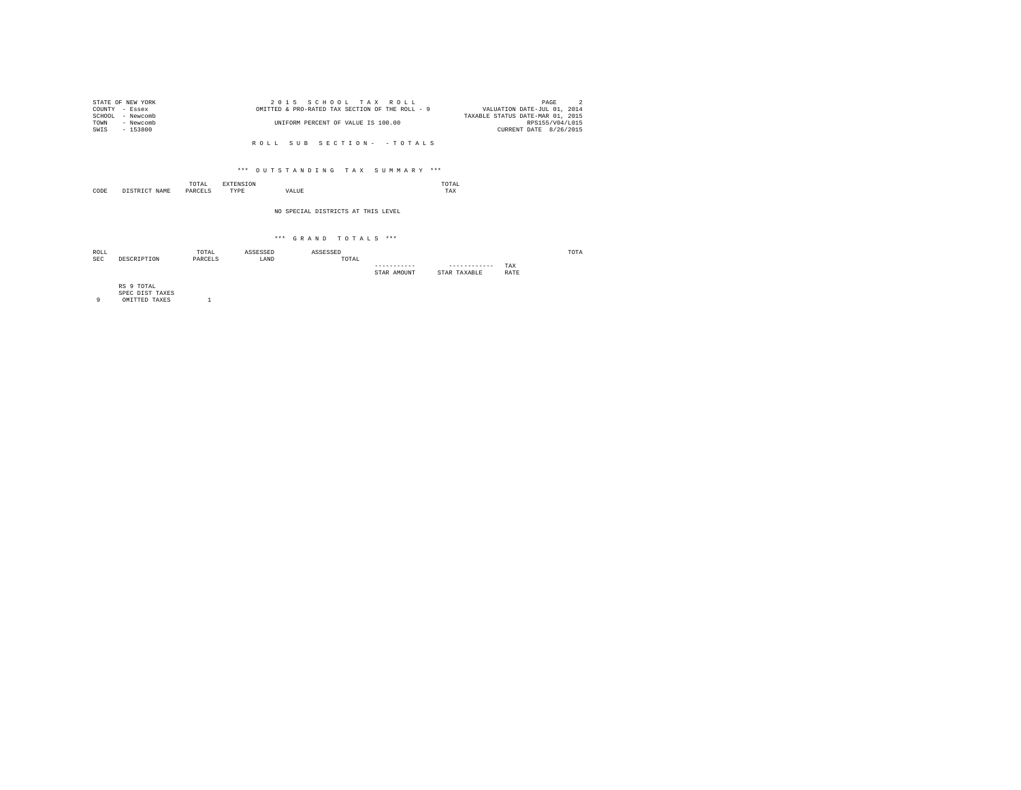| STATE OF NEW YORK | 2015 SCHOOL TAX ROLL                            | PAGE                             |
|-------------------|-------------------------------------------------|----------------------------------|
| COUNTY - Essex    | OMITTED & PRO-RATED TAX SECTION OF THE ROLL - 9 | VALUATION DATE-JUL 01, 2014      |
| SCHOOL - Newcomb  |                                                 | TAXABLE STATUS DATE-MAR 01, 2015 |
| TOWN<br>- Newcomb | UNIFORM PERCENT OF VALUE IS 100.00              | RPS155/V04/L015                  |
| SWTS<br>- 153800  |                                                 | CURRENT DATE 8/26/2015           |
|                   |                                                 |                                  |

R O L L S U B S E C T I O N - - T O T A L S

### \*\*\* O U T S T A N D I N G T A X S U M M A R Y \*\*\*

|      |                        | TOTAL<br>the contract of the contract of the contract of | <b>ENSION</b> |       | TAL<br>the contract of the contract of the contract of |
|------|------------------------|----------------------------------------------------------|---------------|-------|--------------------------------------------------------|
| CODE | CTD TOT<br><b>NAME</b> |                                                          | TYPE          | VALUE | TAX                                                    |

#### NO SPECIAL DISTRICTS AT THIS LEVEL

### $***$  GRAND TOTALS  $***$

| ROLL |             | TOTAL   | ASSESSED | ASSESSED |             |              |      | TOTA |
|------|-------------|---------|----------|----------|-------------|--------------|------|------|
| SEC  | DESCRIPTION | PARCELS | LAND     | TOTAL    |             |              |      |      |
|      |             |         |          |          | ----------- | ------------ | TAX  |      |
|      |             |         |          |          | STAR AMOUNT | STAR TAXABLE | RATE |      |
|      |             |         |          |          |             |              |      |      |

RS 9 TOTAL SPEC DIST TAXES 9 OMITTED TAXES 1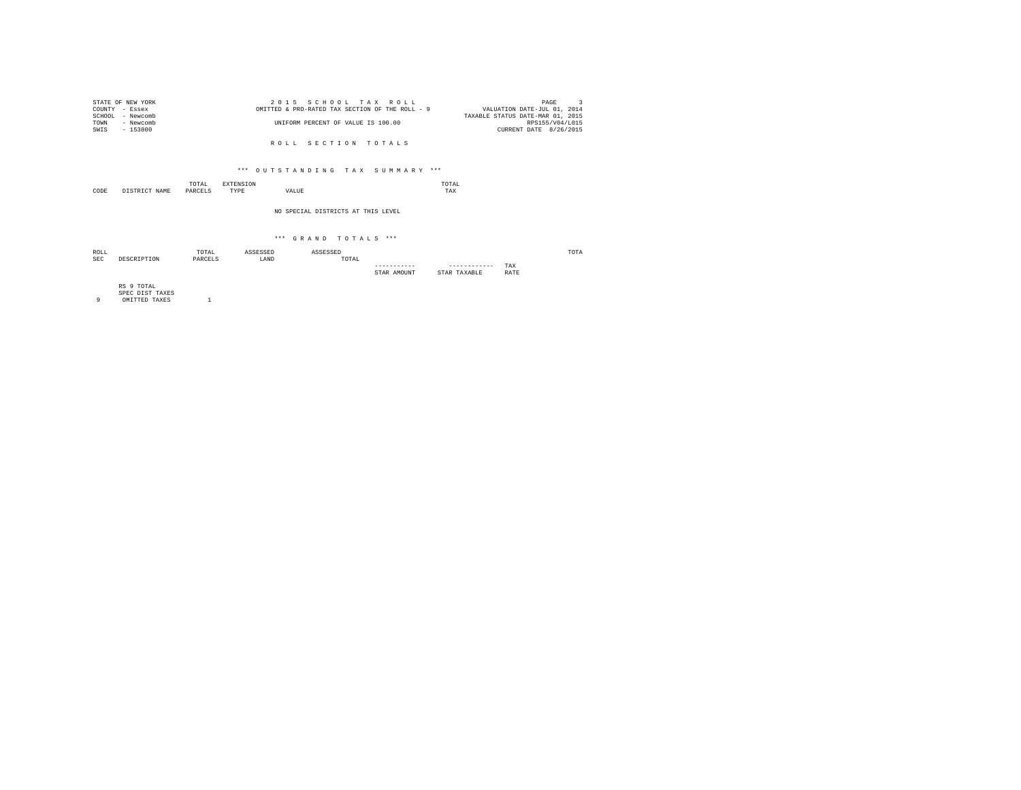| STATE OF NEW YORK | 2015 SCHOOL TAX ROLL                            | PAGE                             |
|-------------------|-------------------------------------------------|----------------------------------|
| COUNTY - Essex    | OMITTED & PRO-RATED TAX SECTION OF THE ROLL - 9 | VALUATION DATE-JUL 01, 2014      |
| SCHOOL - Newcomb  |                                                 | TAXABLE STATUS DATE-MAR 01, 2015 |
| TOWN<br>- Newcomb | UNIFORM PERCENT OF VALUE IS 100.00              | RPS155/V04/L015                  |
| - 153800<br>SWTS  |                                                 | CURRENT DATE 8/26/2015           |
|                   |                                                 |                                  |

ROLL SECTION TOTALS

### \*\*\* O U T S T A N D I N G T A X S U M M A R Y \*\*\*

|           |                         | TOTAL<br>the contract of the contract of the contract of | w                |       | TAL<br>the contract of the contract of the contract of |
|-----------|-------------------------|----------------------------------------------------------|------------------|-------|--------------------------------------------------------|
| CODE<br>. | NAME<br>cm <sub>T</sub> | DARCELS                                                  | <b>TVDL</b><br>. | VALUE | TAX                                                    |

#### NO SPECIAL DISTRICTS AT THIS LEVEL

### \*\*\* G R A N D T O T A L S \*\*\*

| ROLL |            | TOTAL   | SSESSED | ASSESSED                                     |              |                 |             | TOTA |
|------|------------|---------|---------|----------------------------------------------|--------------|-----------------|-------------|------|
| SEC  | DECCETETOM | PARCELS | LAND    | TOTAL<br>the contract of the contract of the |              |                 |             |      |
|      |            |         |         |                                              | ------------ | -------------   | TAX         |      |
|      |            |         |         |                                              | STAR AMOUNT  | TAXABLE<br>STAR | <b>RATE</b> |      |

RS 9 TOTAL SPEC DIST TAXES 9 OMITTED TAXES 1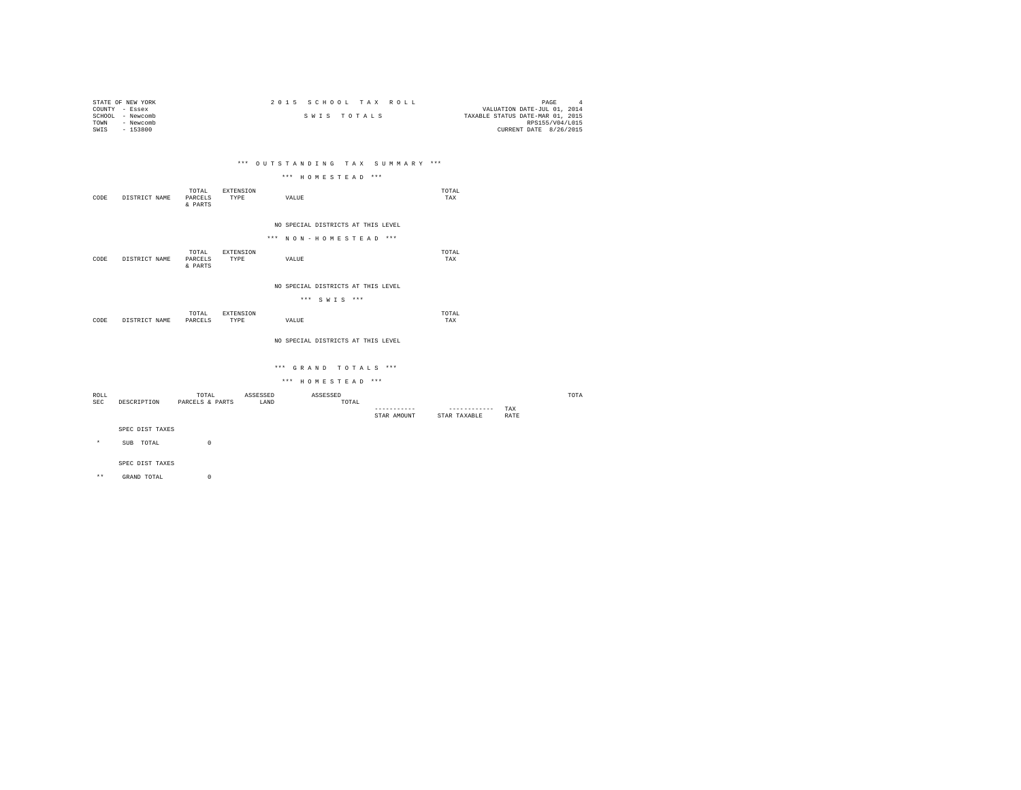| STATE OF NEW YORK   | 2015 SCHOOL TAX ROLL | PAGE                             |
|---------------------|----------------------|----------------------------------|
| COUNTY - Essex      |                      | VALUATION DATE-JUL 01, 2014      |
| - Newcomb<br>SCHOOL | SWIS TOTALS          | TAXABLE STATUS DATE-MAR 01, 2015 |
| - Newcomb<br>TOWN   |                      | RPS155/V04/L015                  |
| $-153800$<br>SWIS   |                      | CURRENT DATE 8/26/2015           |
|                     |                      |                                  |

### \*\*\* O U T S T A N D I N G T A X S U M M A R Y \*\*\*

|  | *** HOMESTEAD *** |  |  |  |  |  |  |  |  |  |  |
|--|-------------------|--|--|--|--|--|--|--|--|--|--|
|--|-------------------|--|--|--|--|--|--|--|--|--|--|

| CODE | DISTRICT NAME | TOTAL<br>PARCELS<br>& PARTS | EXTENSION<br>TYPE | VALUE                                                       | TOTAL<br>TAX |
|------|---------------|-----------------------------|-------------------|-------------------------------------------------------------|--------------|
|      |               |                             |                   | NO SPECIAL DISTRICTS AT THIS LEVEL<br>*** NON-HOMESTEAD *** |              |

|      |               | TOTAL            | <b>EXTENSION</b> |       | TOTAL<br>the contract of the contract of the contract of |
|------|---------------|------------------|------------------|-------|----------------------------------------------------------|
| CODE | DISTRICT NAME | PARCELS<br>PARTS | TYPE             | VALUE | TAX                                                      |

NO SPECIAL DISTRICTS AT THIS LEVEL

\*\*\* S W I S \*\*\*

|      |                         | TOTAL<br>the contract of the contract of the contract of | <b>INSTON</b> |       | TOTAL<br>the contract of the contract of the contract of |
|------|-------------------------|----------------------------------------------------------|---------------|-------|----------------------------------------------------------|
| CODE | <b>DICTOIOT</b><br>NAME | PARCELS                                                  | TYPE          | VALUE | TAX                                                      |
|      |                         |                                                          |               |       |                                                          |

NO SPECIAL DISTRICTS AT THIS LEVEL

### \*\*\* G R A N D T O T A L S \*\*\*

\*\*\* H O M E S T E A D \*\*\*

| ROLL       |             | TOTAL           | ASSESSED | ASSESSED |                |              |             | TOTA |
|------------|-------------|-----------------|----------|----------|----------------|--------------|-------------|------|
| <b>SEC</b> | DESCRIPTION | PARCELS & PARTS | LAND     | TOTAL    |                |              |             |      |
|            |             |                 |          |          | ------------   | ------------ | TAX         |      |
|            |             |                 |          |          | AMOUNT<br>"TAR | STAR TAXABLE | <b>RATE</b> |      |

SPEC DIST TAXES

\* SUB TOTAL 0

SPEC DIST TAXES

 $\star\,\star$   $\qquad$  GRAND TOTAL  $\qquad \qquad$   $\qquad \qquad$   $\qquad \qquad$  0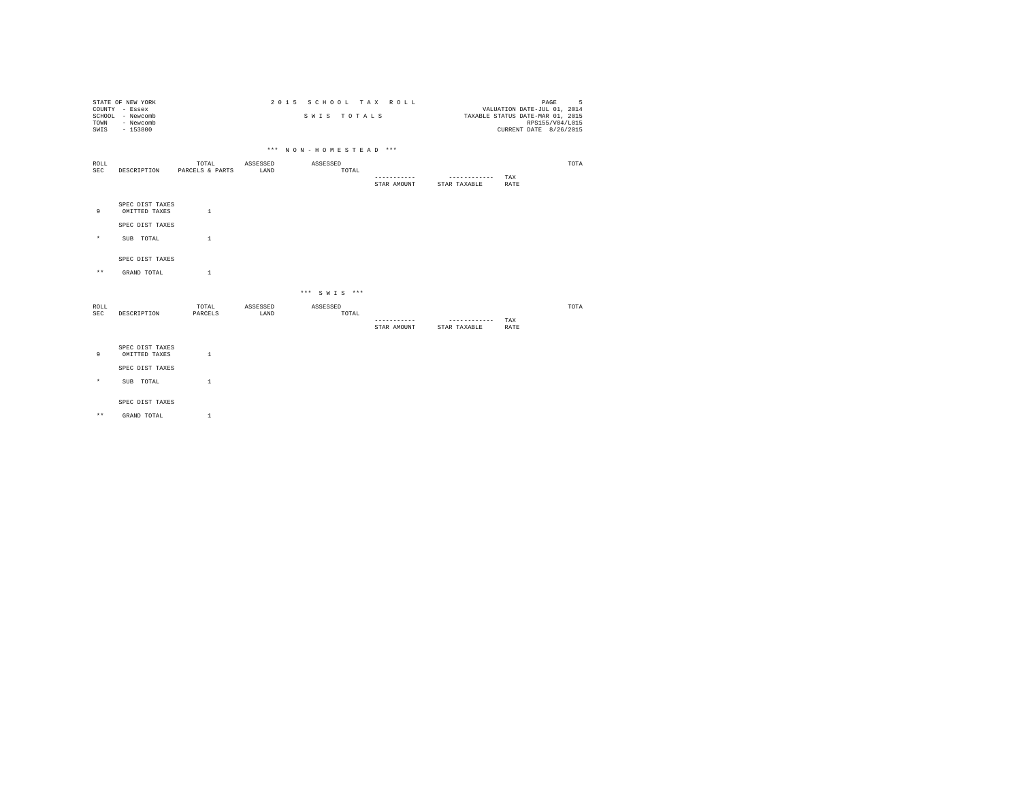| TOWN<br>SWIS       | STATE OF NEW YORK<br>COUNTY - Essex<br>SCHOOL - Newcomb<br>- Newcomb<br>$-153800$ |                          |                  |                       | SWIS TOTALS  | 2015 SCHOOL TAX ROLL       |                              | PAGE<br>VALUATION DATE-JUL 01, 2014<br>TAXABLE STATUS DATE-MAR 01, 2015<br>RPS155/V04/L015<br>CURRENT DATE 8/26/2015 | 5    |
|--------------------|-----------------------------------------------------------------------------------|--------------------------|------------------|-----------------------|--------------|----------------------------|------------------------------|----------------------------------------------------------------------------------------------------------------------|------|
|                    |                                                                                   |                          |                  | *** NON-HOMESTEAD *** |              |                            |                              |                                                                                                                      |      |
| ROLL<br>SEC        | DESCRIPTION                                                                       | TOTAL<br>PARCELS & PARTS | ASSESSED<br>LAND | ASSESSED              | TOTAL        |                            |                              |                                                                                                                      | TOTA |
|                    |                                                                                   |                          |                  |                       |              | -----------<br>STAR AMOUNT | ------------<br>STAR TAXABLE | TAX<br><b>RATE</b>                                                                                                   |      |
| 9                  | SPEC DIST TAXES<br>OMITTED TAXES                                                  | $\mathbf{1}$             |                  |                       |              |                            |                              |                                                                                                                      |      |
|                    | SPEC DIST TAXES                                                                   |                          |                  |                       |              |                            |                              |                                                                                                                      |      |
| $^{\star}$         | SUB TOTAL                                                                         | $\mathbf{1}$             |                  |                       |              |                            |                              |                                                                                                                      |      |
|                    | SPEC DIST TAXES                                                                   |                          |                  |                       |              |                            |                              |                                                                                                                      |      |
| $\star\star$       | GRAND TOTAL                                                                       | $\mathbf{1}$             |                  |                       |              |                            |                              |                                                                                                                      |      |
|                    |                                                                                   |                          |                  |                       | *** SWIS *** |                            |                              |                                                                                                                      |      |
| ROLL<br><b>SEC</b> | DESCRIPTION                                                                       | TOTAL<br>PARCELS         | ASSESSED<br>LAND | ASSESSED              | TOTAL        |                            |                              |                                                                                                                      | TOTA |
|                    |                                                                                   |                          |                  |                       |              | -----------<br>STAR AMOUNT | ------------<br>STAR TAXABLE | TAX<br>RATE                                                                                                          |      |
| 9                  | SPEC DIST TAXES<br>OMITTED TAXES                                                  | $\mathbf{1}$             |                  |                       |              |                            |                              |                                                                                                                      |      |
|                    | SPEC DIST TAXES                                                                   |                          |                  |                       |              |                            |                              |                                                                                                                      |      |
| $\star$            | SUB TOTAL                                                                         | $\mathbf{1}$             |                  |                       |              |                            |                              |                                                                                                                      |      |
|                    | SPEC DIST TAXES                                                                   |                          |                  |                       |              |                            |                              |                                                                                                                      |      |
| $\star\star$       | GRAND TOTAL                                                                       | $\mathbf{1}$             |                  |                       |              |                            |                              |                                                                                                                      |      |